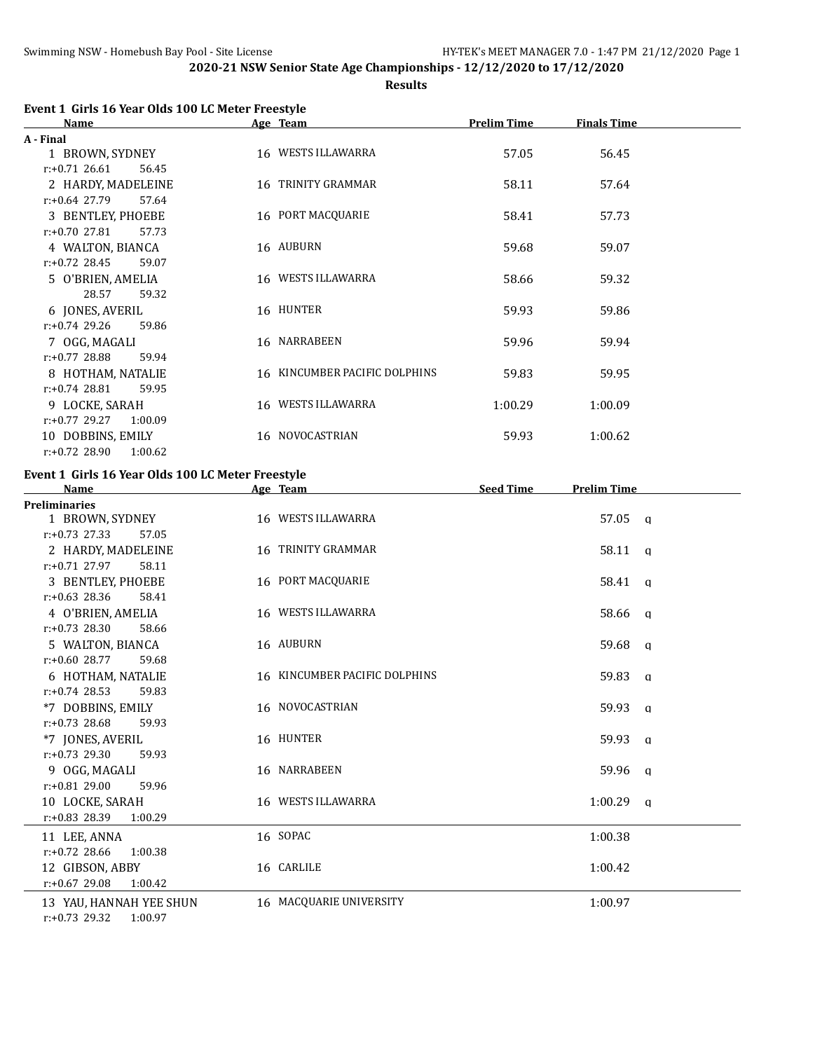**Results**

| Event 1 Girls 16 Year Olds 100 LC Meter Freestyle |          |
|---------------------------------------------------|----------|
| <b>Name</b>                                       | Age Team |

| <b>Name</b>                 | Age Team                      | <b>Prelim Time</b> | <b>Finals Time</b> |  |
|-----------------------------|-------------------------------|--------------------|--------------------|--|
| A - Final                   |                               |                    |                    |  |
| 1 BROWN, SYDNEY             | 16 WESTS ILLAWARRA            | 57.05              | 56.45              |  |
| $r: +0.71$ 26.61<br>56.45   |                               |                    |                    |  |
| 2 HARDY, MADELEINE          | 16 TRINITY GRAMMAR            | 58.11              | 57.64              |  |
| $r: +0.64$ 27.79<br>57.64   |                               |                    |                    |  |
| 3 BENTLEY, PHOEBE           | 16 PORT MACQUARIE             | 58.41              | 57.73              |  |
| $r: +0.70$ 27.81<br>57.73   |                               |                    |                    |  |
| 4 WALTON, BIANCA            | 16 AUBURN                     | 59.68              | 59.07              |  |
| $r: +0.72$ 28.45<br>59.07   |                               |                    |                    |  |
| 5 O'BRIEN, AMELIA           | 16 WESTS ILLAWARRA            | 58.66              | 59.32              |  |
| 28.57<br>59.32              |                               |                    |                    |  |
| 6 JONES, AVERIL             | 16 HUNTER                     | 59.93              | 59.86              |  |
| $r: +0.74$ 29.26<br>59.86   |                               |                    |                    |  |
| 7 OGG, MAGALI               | 16 NARRABEEN                  | 59.96              | 59.94              |  |
| $r: +0.77$ 28.88<br>59.94   |                               |                    |                    |  |
| 8 HOTHAM, NATALIE           | 16 KINCUMBER PACIFIC DOLPHINS | 59.83              | 59.95              |  |
| $r: +0.74$ 28.81<br>59.95   |                               |                    |                    |  |
| 9 LOCKE, SARAH              | 16 WESTS ILLAWARRA            | 1:00.29            | 1:00.09            |  |
| $r: +0.77$ 29.27<br>1:00.09 |                               |                    |                    |  |
| 10 DOBBINS, EMILY           | 16 NOVOCASTRIAN               | 59.93              | 1:00.62            |  |
| $r: +0.72$ 28.90<br>1:00.62 |                               |                    |                    |  |

#### **Event 1 Girls 16 Year Olds 100 LC Meter Freestyle**

| <b>Name</b>                 | Age Team                      | <b>Seed Time</b> | <b>Prelim Time</b> |  |
|-----------------------------|-------------------------------|------------------|--------------------|--|
| <b>Preliminaries</b>        |                               |                  |                    |  |
| 1 BROWN, SYDNEY             | 16 WESTS ILLAWARRA            |                  | 57.05 a            |  |
| $r: +0.73$ 27.33<br>57.05   |                               |                  |                    |  |
| 2 HARDY, MADELEINE          | 16 TRINITY GRAMMAR            |                  | $58.11 \quad a$    |  |
| 58.11<br>$r: +0.71$ 27.97   |                               |                  |                    |  |
| 3 BENTLEY, PHOEBE           | 16 PORT MACQUARIE             |                  | 58.41 q            |  |
| $r: +0.63$ 28.36<br>58.41   |                               |                  |                    |  |
| 4 O'BRIEN, AMELIA           | 16 WESTS ILLAWARRA            |                  | 58.66 q            |  |
| $r: +0.73$ 28.30<br>58.66   |                               |                  |                    |  |
| 5 WALTON, BIANCA            | 16 AUBURN                     |                  | 59.68 q            |  |
| $r: +0.60$ 28.77<br>59.68   |                               |                  |                    |  |
| 6 HOTHAM, NATALIE           | 16 KINCUMBER PACIFIC DOLPHINS |                  | 59.83 a            |  |
| $r: +0.74$ 28.53<br>59.83   |                               |                  |                    |  |
| *7 DOBBINS, EMILY           | 16 NOVOCASTRIAN               |                  | 59.93 a            |  |
| $r: +0.73$ 28.68<br>59.93   |                               |                  |                    |  |
| *7 JONES, AVERIL            | 16 HUNTER                     |                  | 59.93 a            |  |
| $r: +0.73$ 29.30<br>59.93   |                               |                  |                    |  |
| 9 OGG, MAGALI               | 16 NARRABEEN                  |                  | 59.96 q            |  |
| $r: +0.81$ 29.00<br>59.96   |                               |                  |                    |  |
| 10 LOCKE, SARAH             | 16 WESTS ILLAWARRA            |                  | $1:00.29$ q        |  |
| $r: +0.83$ 28.39<br>1:00.29 |                               |                  |                    |  |
| 11 LEE, ANNA                | 16 SOPAC                      |                  | 1:00.38            |  |
| $r: +0.72$ 28.66<br>1:00.38 |                               |                  |                    |  |
| 12 GIBSON, ABBY             | 16 CARLILE                    |                  | 1:00.42            |  |
| $r: +0.67$ 29.08<br>1:00.42 |                               |                  |                    |  |
| 13 YAU, HANNAH YEE SHUN     | 16 MACQUARIE UNIVERSITY       |                  | 1:00.97            |  |
| $r: +0.73$ 29.32<br>1:00.97 |                               |                  |                    |  |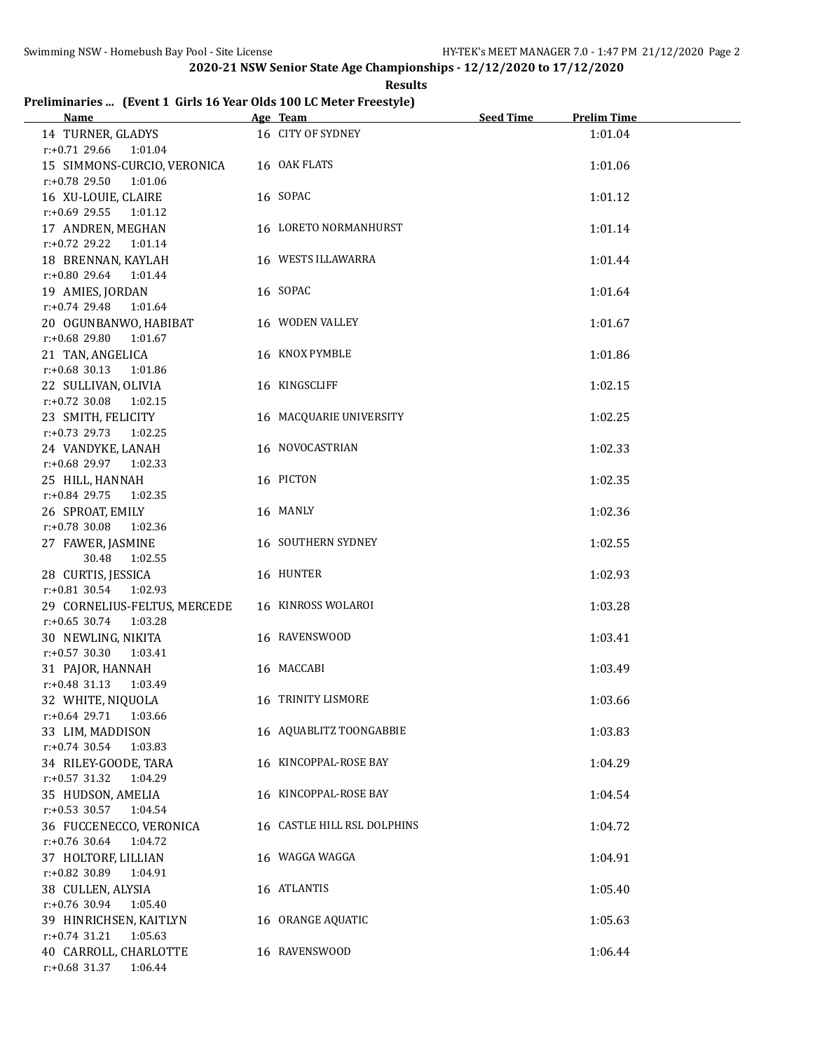**Results**

# **Preliminaries ... (Event 1 Girls 16 Year Olds 100 LC Meter Freestyle)**

| <b>Name</b>                                               | Age Team                    | <b>Seed Time</b> | <b>Prelim Time</b> |  |
|-----------------------------------------------------------|-----------------------------|------------------|--------------------|--|
| 14 TURNER, GLADYS                                         | 16 CITY OF SYDNEY           |                  | 1:01.04            |  |
| $r.+0.71$ 29.66<br>1:01.04<br>15 SIMMONS-CURCIO, VERONICA | 16 OAK FLATS                |                  | 1:01.06            |  |
| r:+0.78 29.50<br>1:01.06                                  |                             |                  |                    |  |
| 16 XU-LOUIE, CLAIRE                                       | 16 SOPAC                    |                  | 1:01.12            |  |
| $r: +0.69$ 29.55 1:01.12                                  |                             |                  |                    |  |
| 17 ANDREN, MEGHAN                                         | 16 LORETO NORMANHURST       |                  | 1:01.14            |  |
| r:+0.72 29.22 1:01.14                                     |                             |                  |                    |  |
| 18 BRENNAN, KAYLAH                                        | 16 WESTS ILLAWARRA          |                  | 1:01.44            |  |
| r:+0.80 29.64 1:01.44<br>19 AMIES, JORDAN                 | 16 SOPAC                    |                  | 1:01.64            |  |
| $r.+0.74$ 29.48<br>1:01.64                                |                             |                  |                    |  |
| 20 OGUNBANWO, HABIBAT                                     | 16 WODEN VALLEY             |                  | 1:01.67            |  |
| r:+0.68 29.80<br>1:01.67                                  |                             |                  |                    |  |
| 21 TAN, ANGELICA                                          | 16 KNOX PYMBLE              |                  | 1:01.86            |  |
| $r: +0.68$ 30.13<br>1:01.86                               |                             |                  |                    |  |
| 22 SULLIVAN, OLIVIA                                       | 16 KINGSCLIFF               |                  | 1:02.15            |  |
| $r: +0.72$ 30.08<br>1:02.15                               |                             |                  |                    |  |
| 23 SMITH, FELICITY<br>$r: +0.73$ 29.73<br>1:02.25         | 16 MACQUARIE UNIVERSITY     |                  | 1:02.25            |  |
| 24 VANDYKE, LANAH                                         | 16 NOVOCASTRIAN             |                  | 1:02.33            |  |
| r:+0.68 29.97<br>1:02.33                                  |                             |                  |                    |  |
| 25 HILL, HANNAH                                           | 16 PICTON                   |                  | 1:02.35            |  |
| $r: +0.84$ 29.75<br>1:02.35                               |                             |                  |                    |  |
| 26 SPROAT, EMILY                                          | 16 MANLY                    |                  | 1:02.36            |  |
| $r: +0.78$ 30.08<br>1:02.36                               |                             |                  |                    |  |
| 27 FAWER, JASMINE<br>30.48<br>1:02.55                     | 16 SOUTHERN SYDNEY          |                  | 1:02.55            |  |
| 28 CURTIS, JESSICA                                        | 16 HUNTER                   |                  | 1:02.93            |  |
| $r: +0.81$ 30.54<br>1:02.93                               |                             |                  |                    |  |
| 29 CORNELIUS-FELTUS, MERCEDE                              | 16 KINROSS WOLAROI          |                  | 1:03.28            |  |
| $r: +0.65$ 30.74<br>1:03.28                               |                             |                  |                    |  |
| 30 NEWLING, NIKITA                                        | 16 RAVENSWOOD               |                  | 1:03.41            |  |
| $r: +0.57$ 30.30<br>1:03.41<br>31 PAJOR, HANNAH           | 16 MACCABI                  |                  | 1:03.49            |  |
| $r: +0.48$ 31.13<br>1:03.49                               |                             |                  |                    |  |
| 32 WHITE, NIQUOLA                                         | 16 TRINITY LISMORE          |                  | 1:03.66            |  |
| $r: +0.64$ 29.71<br>1:03.66                               |                             |                  |                    |  |
| 33 LIM, MADDISON                                          | 16 AQUABLITZ TOONGABBIE     |                  | 1:03.83            |  |
| $r: +0.74$ 30.54<br>1:03.83                               |                             |                  |                    |  |
| 34 RILEY-GOODE, TARA                                      | 16 KINCOPPAL-ROSE BAY       |                  | 1:04.29            |  |
| $r: +0.57$ 31.32<br>1:04.29<br>35 HUDSON, AMELIA          | 16 KINCOPPAL-ROSE BAY       |                  | 1:04.54            |  |
| $r$ :+0.53 30.57<br>1:04.54                               |                             |                  |                    |  |
| 36 FUCCENECCO, VERONICA                                   | 16 CASTLE HILL RSL DOLPHINS |                  | 1:04.72            |  |
| r:+0.76 30.64<br>1:04.72                                  |                             |                  |                    |  |
| 37 HOLTORF, LILLIAN                                       | 16 WAGGA WAGGA              |                  | 1:04.91            |  |
| r:+0.82 30.89<br>1:04.91                                  |                             |                  |                    |  |
| 38 CULLEN, ALYSIA<br>r:+0.76 30.94<br>1:05.40             | 16 ATLANTIS                 |                  | 1:05.40            |  |
| 39 HINRICHSEN, KAITLYN                                    | 16 ORANGE AQUATIC           |                  | 1:05.63            |  |
| $r: +0.74$ 31.21<br>1:05.63                               |                             |                  |                    |  |
| 40 CARROLL, CHARLOTTE                                     | 16 RAVENSWOOD               |                  | 1:06.44            |  |
| r:+0.68 31.37<br>1:06.44                                  |                             |                  |                    |  |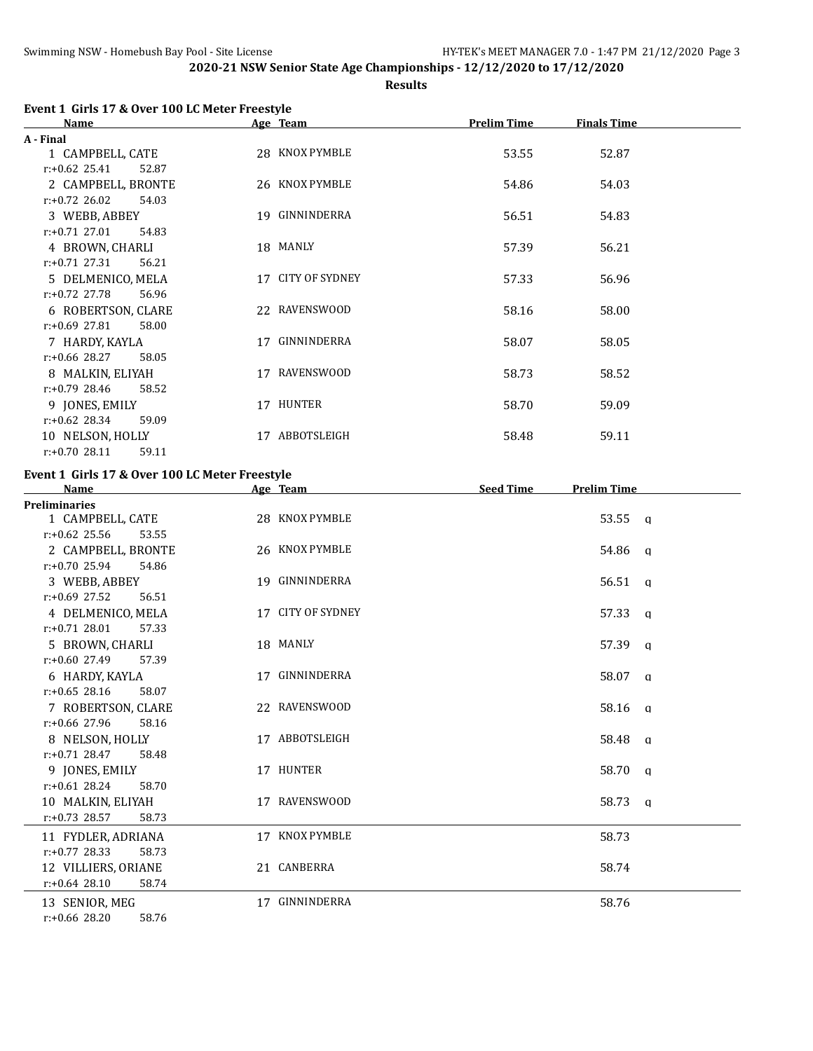**Results**

|  |  | Event 1 Girls 17 & Over 100 LC Meter Freestyle |
|--|--|------------------------------------------------|
|  |  |                                                |

| <b>Name</b>               | Age Team |                   | <b>Prelim Time</b> | <b>Finals Time</b> |  |
|---------------------------|----------|-------------------|--------------------|--------------------|--|
| A - Final                 |          |                   |                    |                    |  |
| 1 CAMPBELL, CATE          |          | 28 KNOX PYMBLE    | 53.55              | 52.87              |  |
| $r: +0.62$ 25.41<br>52.87 |          |                   |                    |                    |  |
| 2 CAMPBELL, BRONTE        |          | 26 KNOX PYMBLE    | 54.86              | 54.03              |  |
| $r: +0.72$ 26.02<br>54.03 |          |                   |                    |                    |  |
| 3 WEBB, ABBEY             |          | 19 GINNINDERRA    | 56.51              | 54.83              |  |
| $r: +0.71$ 27.01<br>54.83 |          |                   |                    |                    |  |
| 4 BROWN, CHARLI           |          | 18 MANLY          | 57.39              | 56.21              |  |
| $r: +0.71$ 27.31<br>56.21 |          |                   |                    |                    |  |
| 5 DELMENICO, MELA         |          | 17 CITY OF SYDNEY | 57.33              | 56.96              |  |
| $r: +0.72$ 27.78<br>56.96 |          |                   |                    |                    |  |
| 6 ROBERTSON, CLARE        |          | 22 RAVENSWOOD     | 58.16              | 58.00              |  |
| $r: +0.69$ 27.81<br>58.00 |          |                   |                    |                    |  |
| 7 HARDY, KAYLA            | 17       | GINNINDERRA       | 58.07              | 58.05              |  |
| $r: +0.66$ 28.27<br>58.05 |          |                   |                    |                    |  |
| 8 MALKIN, ELIYAH          |          | 17 RAVENSWOOD     | 58.73              | 58.52              |  |
| $r: +0.79$ 28.46<br>58.52 |          |                   |                    |                    |  |
| 9 JONES, EMILY            |          | 17 HUNTER         | 58.70              | 59.09              |  |
| $r: +0.62$ 28.34<br>59.09 |          |                   |                    |                    |  |
| 10 NELSON, HOLLY          | 17       | ABBOTSLEIGH       | 58.48              | 59.11              |  |
| $r: +0.70$ 28.11<br>59.11 |          |                   |                    |                    |  |

# **Event 1 Girls 17 & Over 100 LC Meter Freestyle**

| <b>Name</b>               | Age Team          | <b>Seed Time</b> | <b>Prelim Time</b> |  |
|---------------------------|-------------------|------------------|--------------------|--|
| <b>Preliminaries</b>      |                   |                  |                    |  |
| 1 CAMPBELL, CATE          | 28 KNOX PYMBLE    |                  | 53.55 a            |  |
| $r: +0.62$ 25.56<br>53.55 |                   |                  |                    |  |
| 2 CAMPBELL, BRONTE        | 26 KNOX PYMBLE    |                  | 54.86 q            |  |
| $r: +0.70$ 25.94<br>54.86 |                   |                  |                    |  |
| 3 WEBB, ABBEY             | 19 GINNINDERRA    |                  | $56.51$ a          |  |
| $r: +0.69$ 27.52<br>56.51 |                   |                  |                    |  |
| 4 DELMENICO, MELA         | 17 CITY OF SYDNEY |                  | 57.33 q            |  |
| $r: +0.71$ 28.01<br>57.33 |                   |                  |                    |  |
| 5 BROWN, CHARLI           | 18 MANLY          |                  | 57.39 q            |  |
| $r: +0.60$ 27.49<br>57.39 |                   |                  |                    |  |
| 6 HARDY, KAYLA            | 17 GINNINDERRA    |                  | 58.07 q            |  |
| $r: +0.65$ 28.16<br>58.07 |                   |                  |                    |  |
| 7 ROBERTSON, CLARE        | 22 RAVENSWOOD     |                  | $58.16$ q          |  |
| $r: +0.66$ 27.96<br>58.16 |                   |                  |                    |  |
| 8 NELSON, HOLLY           | 17 ABBOTSLEIGH    |                  | 58.48 q            |  |
| $r: +0.71$ 28.47<br>58.48 |                   |                  |                    |  |
| 9 JONES, EMILY            | 17 HUNTER         |                  | 58.70 q            |  |
| $r: +0.61$ 28.24<br>58.70 |                   |                  |                    |  |
| 10 MALKIN, ELIYAH         | 17 RAVENSWOOD     |                  | 58.73 a            |  |
| $r: +0.73$ 28.57<br>58.73 |                   |                  |                    |  |
| 11 FYDLER, ADRIANA        | 17 KNOX PYMBLE    |                  | 58.73              |  |
| $r: +0.77$ 28.33<br>58.73 |                   |                  |                    |  |
| 12 VILLIERS, ORIANE       | 21 CANBERRA       |                  | 58.74              |  |
| $r: +0.64$ 28.10<br>58.74 |                   |                  |                    |  |
| 13 SENIOR, MEG            | 17 GINNINDERRA    |                  | 58.76              |  |
| $r: +0.66$ 28.20<br>58.76 |                   |                  |                    |  |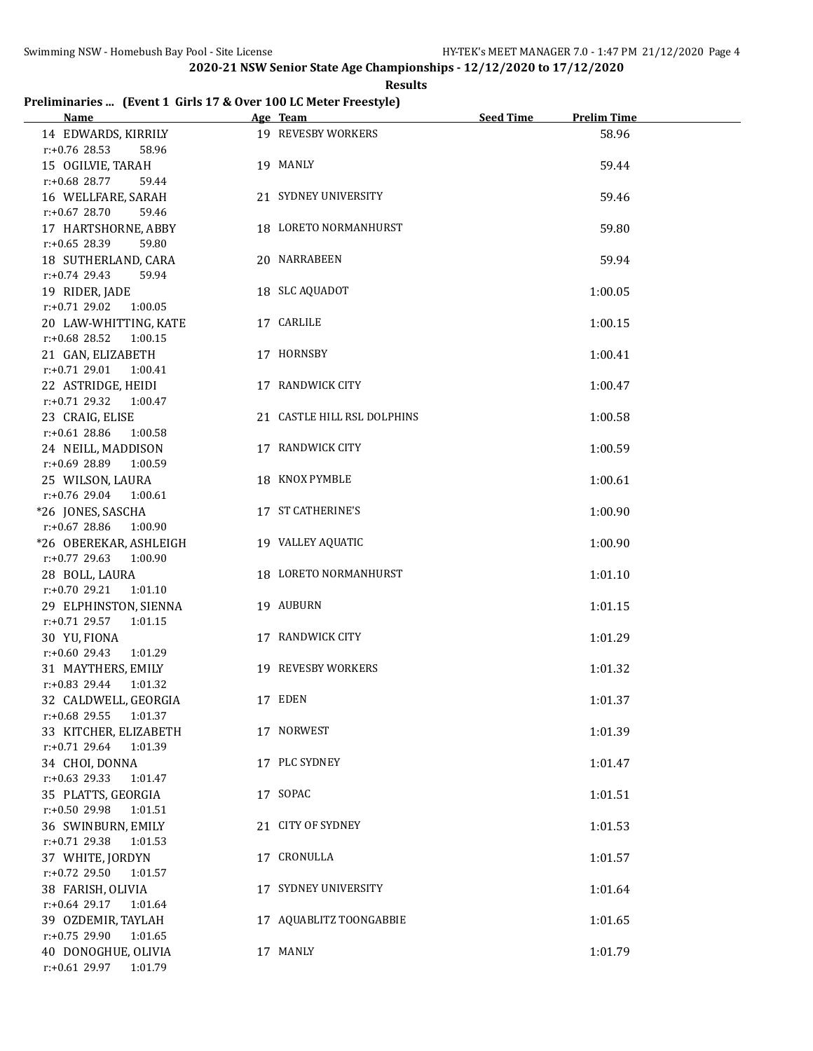**Results**

# **Preliminaries ... (Event 1 Girls 17 & Over 100 LC Meter Freestyle)**

| Name and the state of the state of the state of the state of the state of the state of the state of the state of the state of the state of the state of the state of the state of the state of the state of the state of the s | Age Team                    | <b>Seed Time</b><br><b>Prelim Time</b> |
|--------------------------------------------------------------------------------------------------------------------------------------------------------------------------------------------------------------------------------|-----------------------------|----------------------------------------|
| 14 EDWARDS, KIRRILY                                                                                                                                                                                                            | 19 REVESBY WORKERS          | 58.96                                  |
| $r: +0.76$ 28.53<br>58.96                                                                                                                                                                                                      |                             |                                        |
| 15 OGILVIE, TARAH                                                                                                                                                                                                              | 19 MANLY                    | 59.44                                  |
| r:+0.68 28.77<br>59.44                                                                                                                                                                                                         |                             |                                        |
| 16 WELLFARE, SARAH                                                                                                                                                                                                             | 21 SYDNEY UNIVERSITY        | 59.46                                  |
| $r: +0.67$ 28.70<br>59.46                                                                                                                                                                                                      |                             |                                        |
| 17 HARTSHORNE, ABBY                                                                                                                                                                                                            | 18 LORETO NORMANHURST       | 59.80                                  |
| $r: +0.65$ 28.39<br>59.80                                                                                                                                                                                                      |                             |                                        |
| 18 SUTHERLAND, CARA                                                                                                                                                                                                            | 20 NARRABEEN                | 59.94                                  |
| $r: +0.74$ 29.43<br>59.94                                                                                                                                                                                                      |                             |                                        |
|                                                                                                                                                                                                                                | 18 SLC AQUADOT              |                                        |
| 19 RIDER, JADE<br>$r: +0.71$ 29.02 1:00.05                                                                                                                                                                                     |                             | 1:00.05                                |
|                                                                                                                                                                                                                                |                             |                                        |
| 20 LAW-WHITTING, KATE                                                                                                                                                                                                          | 17 CARLILE                  | 1:00.15                                |
| $r: +0.68$ 28.52 1:00.15                                                                                                                                                                                                       |                             |                                        |
| 21 GAN, ELIZABETH                                                                                                                                                                                                              | 17 HORNSBY                  | 1:00.41                                |
| $r.+0.7129.01100.41$                                                                                                                                                                                                           |                             |                                        |
| 22 ASTRIDGE, HEIDI                                                                                                                                                                                                             | 17 RANDWICK CITY            | 1:00.47                                |
| $r.+0.71$ 29.32 1:00.47                                                                                                                                                                                                        |                             |                                        |
| 23 CRAIG, ELISE                                                                                                                                                                                                                | 21 CASTLE HILL RSL DOLPHINS | 1:00.58                                |
| $r: +0.61$ 28.86<br>1:00.58                                                                                                                                                                                                    |                             |                                        |
| 24 NEILL, MADDISON                                                                                                                                                                                                             | 17 RANDWICK CITY            | 1:00.59                                |
| r:+0.69 28.89 1:00.59                                                                                                                                                                                                          |                             |                                        |
| 25 WILSON, LAURA                                                                                                                                                                                                               | 18 KNOX PYMBLE              | 1:00.61                                |
| $r: +0.76$ 29.04 1:00.61                                                                                                                                                                                                       |                             |                                        |
| *26 JONES, SASCHA                                                                                                                                                                                                              | 17 ST CATHERINE'S           | 1:00.90                                |
| r:+0.67 28.86<br>1:00.90                                                                                                                                                                                                       |                             |                                        |
| *26 OBEREKAR, ASHLEIGH                                                                                                                                                                                                         | 19 VALLEY AQUATIC           | 1:00.90                                |
| $r.+0.77$ 29.63 1:00.90                                                                                                                                                                                                        |                             |                                        |
| 28 BOLL, LAURA                                                                                                                                                                                                                 | 18 LORETO NORMANHURST       | 1:01.10                                |
| $r: +0.70$ 29.21<br>1:01.10                                                                                                                                                                                                    |                             |                                        |
|                                                                                                                                                                                                                                | 19 AUBURN                   |                                        |
| 29 ELPHINSTON, SIENNA                                                                                                                                                                                                          |                             | 1:01.15                                |
| $r: +0.71$ 29.57<br>1:01.15                                                                                                                                                                                                    |                             |                                        |
| 30 YU, FIONA                                                                                                                                                                                                                   | 17 RANDWICK CITY            | 1:01.29                                |
| $r: +0.60$ 29.43<br>1:01.29                                                                                                                                                                                                    |                             |                                        |
| 31 MAYTHERS, EMILY                                                                                                                                                                                                             | 19 REVESBY WORKERS          | 1:01.32                                |
| $r: +0.83$ 29.44<br>1:01.32                                                                                                                                                                                                    |                             |                                        |
| 32 CALDWELL, GEORGIA                                                                                                                                                                                                           | 17 EDEN                     | 1:01.37                                |
| r:+0.68 29.55 1:01.37                                                                                                                                                                                                          |                             |                                        |
| 33 KITCHER, ELIZABETH                                                                                                                                                                                                          | 17 NORWEST                  | 1:01.39                                |
| $r: +0.71$ 29.64<br>1:01.39                                                                                                                                                                                                    |                             |                                        |
| 34 CHOI, DONNA                                                                                                                                                                                                                 | 17 PLC SYDNEY               | 1:01.47                                |
| $r: +0.63$ 29.33<br>1:01.47                                                                                                                                                                                                    |                             |                                        |
| 35 PLATTS, GEORGIA                                                                                                                                                                                                             | 17 SOPAC                    | 1:01.51                                |
| r:+0.50 29.98<br>1:01.51                                                                                                                                                                                                       |                             |                                        |
| 36 SWINBURN, EMILY                                                                                                                                                                                                             | 21 CITY OF SYDNEY           | 1:01.53                                |
| r:+0.71 29.38<br>1:01.53                                                                                                                                                                                                       |                             |                                        |
| 37 WHITE, JORDYN                                                                                                                                                                                                               | 17 CRONULLA                 | 1:01.57                                |
| r:+0.72 29.50<br>1:01.57                                                                                                                                                                                                       |                             |                                        |
| 38 FARISH, OLIVIA                                                                                                                                                                                                              | 17 SYDNEY UNIVERSITY        | 1:01.64                                |
| $r: +0.64$ 29.17<br>1:01.64                                                                                                                                                                                                    |                             |                                        |
| 39 OZDEMIR, TAYLAH                                                                                                                                                                                                             | 17 AQUABLITZ TOONGABBIE     | 1:01.65                                |
| $r: +0.75$ 29.90<br>1:01.65                                                                                                                                                                                                    |                             |                                        |
| 40 DONOGHUE, OLIVIA                                                                                                                                                                                                            | 17 MANLY                    | 1:01.79                                |
| r:+0.61 29.97 1:01.79                                                                                                                                                                                                          |                             |                                        |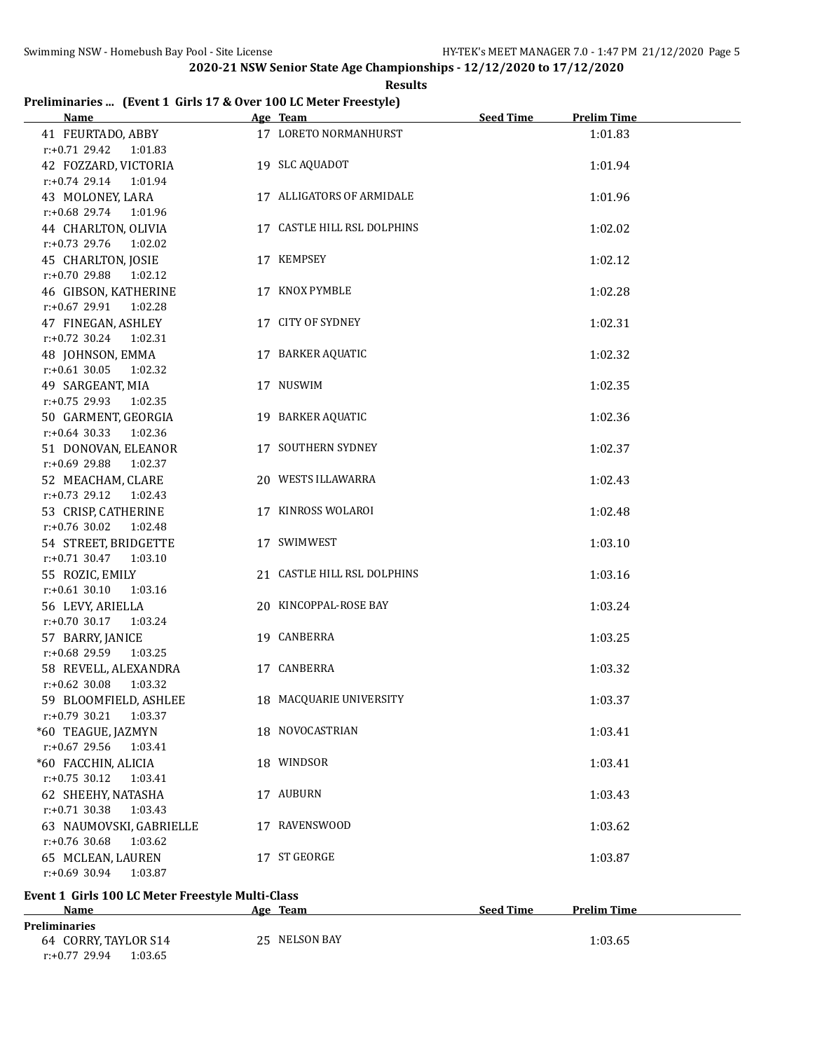r:+0.77 29.94 1:03.65

**2020-21 NSW Senior State Age Championships - 12/12/2020 to 17/12/2020**

#### **Results**

# **Preliminaries ... (Event 1 Girls 17 & Over 100 LC Meter Freestyle)**

| <b>Name</b>                                                                  | Age Team                    | <b>Seed Time</b> | <b>Prelim Time</b> |
|------------------------------------------------------------------------------|-----------------------------|------------------|--------------------|
| 41 FEURTADO, ABBY<br>$r: +0.71$ 29.42 1:01.83                                | 17 LORETO NORMANHURST       |                  | 1:01.83            |
| 42 FOZZARD, VICTORIA<br>r:+0.74 29.14 1:01.94                                | 19 SLC AQUADOT              |                  | 1:01.94            |
| 43 MOLONEY, LARA<br>r:+0.68 29.74 1:01.96                                    | 17 ALLIGATORS OF ARMIDALE   |                  | 1:01.96            |
| 44 CHARLTON, OLIVIA<br>1:02.02                                               | 17 CASTLE HILL RSL DOLPHINS |                  | 1:02.02            |
| $r: +0.73$ 29.76<br>45 CHARLTON, JOSIE<br>$r: +0.70$ 29.88<br>1:02.12        | 17 KEMPSEY                  |                  | 1:02.12            |
| 46 GIBSON, KATHERINE<br>1:02.28                                              | 17 KNOX PYMBLE              |                  | 1:02.28            |
| $r: +0.67$ 29.91<br>47 FINEGAN, ASHLEY<br>1:02.31                            | 17 CITY OF SYDNEY           |                  | 1:02.31            |
| $r: +0.72$ 30.24<br>48 JOHNSON, EMMA<br>1:02.32                              | 17 BARKER AQUATIC           |                  | 1:02.32            |
| $r: +0.61$ 30.05<br>49 SARGEANT, MIA                                         | 17 NUSWIM                   |                  | 1:02.35            |
| r:+0.75 29.93 1:02.35<br>50 GARMENT, GEORGIA<br>$r: +0.64$ 30.33 1:02.36     | 19 BARKER AQUATIC           |                  | 1:02.36            |
| 51 DONOVAN, ELEANOR                                                          | 17 SOUTHERN SYDNEY          |                  | 1:02.37            |
| r:+0.69 29.88<br>1:02.37<br>52 MEACHAM, CLARE<br>$r: +0.73$ 29.12<br>1:02.43 | 20 WESTS ILLAWARRA          |                  | 1:02.43            |
| 53 CRISP, CATHERINE<br>$r: +0.76$ 30.02<br>1:02.48                           | 17 KINROSS WOLAROI          |                  | 1:02.48            |
| 54 STREET, BRIDGETTE<br>$r.+0.71$ 30.47 1:03.10                              | 17 SWIMWEST                 |                  | 1:03.10            |
| 55 ROZIC, EMILY<br>$r: +0.61$ 30.10<br>1:03.16                               | 21 CASTLE HILL RSL DOLPHINS |                  | 1:03.16            |
| 56 LEVY, ARIELLA<br>$r: +0.70$ 30.17<br>1:03.24                              | 20 KINCOPPAL-ROSE BAY       |                  | 1:03.24            |
| 57 BARRY, JANICE<br>r:+0.68 29.59 1:03.25                                    | 19 CANBERRA                 |                  | 1:03.25            |
| 58 REVELL, ALEXANDRA<br>$r: +0.62$ 30.08<br>1:03.32                          | 17 CANBERRA                 |                  | 1:03.32            |
| 59 BLOOMFIELD, ASHLEE<br>$r: +0.79$ 30.21<br>1:03.37                         | 18 MACQUARIE UNIVERSITY     |                  | 1:03.37            |
| *60 TEAGUE, JAZMYN<br>r:+0.67 29.56<br>1:03.41                               | 18 NOVOCASTRIAN             |                  | 1:03.41            |
| *60 FACCHIN, ALICIA<br>$r: +0.75$ 30.12<br>1:03.41                           | 18 WINDSOR                  |                  | 1:03.41            |
| 62 SHEEHY, NATASHA<br>$r: +0.71$ 30.38<br>1:03.43                            | 17 AUBURN                   |                  | 1:03.43            |
| 63 NAUMOVSKI, GABRIELLE<br>r:+0.76 30.68<br>1:03.62                          | 17 RAVENSWOOD               |                  | 1:03.62            |
| 65 MCLEAN, LAUREN<br>$r: +0.69$ 30.94<br>1:03.87                             | 17 ST GEORGE                |                  | 1:03.87            |
|                                                                              |                             |                  |                    |
| Event 1 Girls 100 LC Meter Freestyle Multi-Class<br>Name                     | Age Team                    | <b>Seed Time</b> | <b>Prelim Time</b> |
| <b>Preliminaries</b>                                                         |                             |                  |                    |
| 64 CORRY, TAYLOR S14                                                         | 25 NELSON BAY               |                  | 1:03.65            |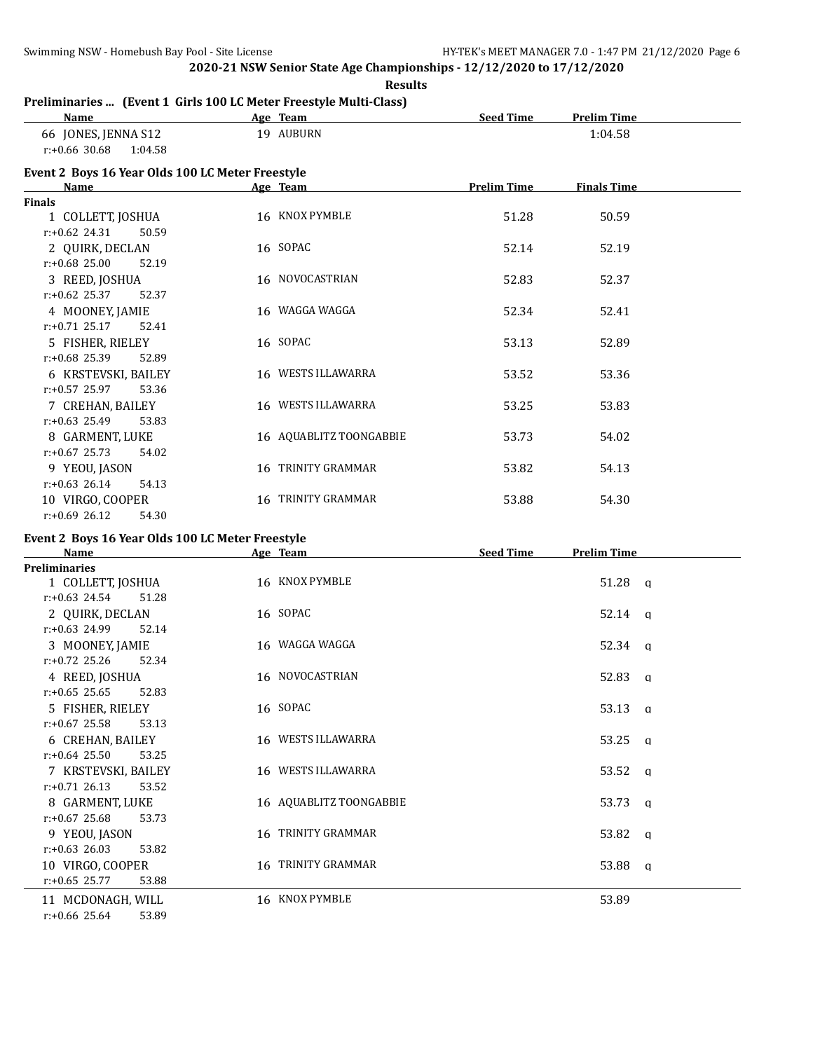**Results**

# **Preliminaries ... (Event 1 Girls 100 LC Meter Freestyle Multi-Class)**

| Name                                             | Age Team                | <b>Seed Time</b>   | <b>Prelim Time</b> |  |
|--------------------------------------------------|-------------------------|--------------------|--------------------|--|
| 66 JONES, JENNA S12                              | 19 AUBURN               |                    | 1:04.58            |  |
| $r: +0.66$ 30.68<br>1:04.58                      |                         |                    |                    |  |
| Event 2 Boys 16 Year Olds 100 LC Meter Freestyle |                         |                    |                    |  |
| Name                                             | Age Team                | <b>Prelim Time</b> | <b>Finals Time</b> |  |
| <b>Finals</b>                                    |                         |                    |                    |  |
| 1 COLLETT, JOSHUA                                | 16 KNOX PYMBLE          | 51.28              | 50.59              |  |
| $r: +0.62$ 24.31<br>50.59                        |                         |                    |                    |  |
| 2 QUIRK, DECLAN                                  | 16 SOPAC                | 52.14              | 52.19              |  |
| $r: +0.68$ 25.00<br>52.19                        |                         |                    |                    |  |
| 3 REED, JOSHUA                                   | 16 NOVOCASTRIAN         | 52.83              | 52.37              |  |
| $r: +0.62$ 25.37<br>52.37                        |                         |                    |                    |  |
| 4 MOONEY, JAMIE                                  | 16 WAGGA WAGGA          | 52.34              | 52.41              |  |
| $r: +0.71$ 25.17<br>52.41                        |                         |                    |                    |  |
| 5 FISHER, RIELEY                                 | 16 SOPAC                | 53.13              | 52.89              |  |
| $r: +0.68$ 25.39<br>52.89                        |                         |                    |                    |  |
| 6 KRSTEVSKI, BAILEY                              | 16 WESTS ILLAWARRA      | 53.52              | 53.36              |  |
| $r: +0.57$ 25.97<br>53.36                        |                         |                    |                    |  |
| 7 CREHAN, BAILEY                                 | 16 WESTS ILLAWARRA      | 53.25              | 53.83              |  |
| $r: +0.63$ 25.49<br>53.83                        |                         |                    |                    |  |
| 8 GARMENT, LUKE                                  | 16 AQUABLITZ TOONGABBIE | 53.73              | 54.02              |  |
| $r: +0.67$ 25.73<br>54.02                        |                         |                    |                    |  |
| 9 YEOU, JASON                                    | 16 TRINITY GRAMMAR      | 53.82              | 54.13              |  |
| $r: +0.63$ 26.14<br>54.13                        |                         |                    |                    |  |
| 10 VIRGO, COOPER                                 | 16 TRINITY GRAMMAR      | 53.88              | 54.30              |  |
| $r: +0.69$ 26.12<br>54.30                        |                         |                    |                    |  |

# **Event 2 Boys 16 Year Olds 100 LC Meter Freestyle**

| <b>Name</b>               | Age Team                | <b>Seed Time</b><br><b>Prelim Time</b> |
|---------------------------|-------------------------|----------------------------------------|
| <b>Preliminaries</b>      |                         |                                        |
| 1 COLLETT, JOSHUA         | 16 KNOX PYMBLE          | $51.28$ q                              |
| $r: +0.63$ 24.54<br>51.28 |                         |                                        |
| 2 QUIRK, DECLAN           | 16 SOPAC                | $52.14 \text{ q}$                      |
| $r: +0.63$ 24.99<br>52.14 |                         |                                        |
| 3 MOONEY, JAMIE           | 16 WAGGA WAGGA          | $52.34 \quad a$                        |
| $r: +0.72$ 25.26<br>52.34 |                         |                                        |
| 4 REED, JOSHUA            | 16 NOVOCASTRIAN         | 52.83 q                                |
| $r: +0.65$ 25.65<br>52.83 |                         |                                        |
| 5 FISHER, RIELEY          | 16 SOPAC                | $53.13 \text{ q}$                      |
| $r: +0.67$ 25.58<br>53.13 |                         |                                        |
| 6 CREHAN, BAILEY          | 16 WESTS ILLAWARRA      | $53.25 \text{ g}$                      |
| $r: +0.64$ 25.50<br>53.25 |                         |                                        |
| 7 KRSTEVSKI, BAILEY       | 16 WESTS ILLAWARRA      | $53.52 \quad a$                        |
| $r: +0.71$ 26.13<br>53.52 |                         |                                        |
| 8 GARMENT, LUKE           | 16 AQUABLITZ TOONGABBIE | 53.73 q                                |
| $r: +0.67$ 25.68<br>53.73 |                         |                                        |
| 9 YEOU, JASON             | 16 TRINITY GRAMMAR      | 53.82 a                                |
| $r: +0.63$ 26.03<br>53.82 |                         |                                        |
| 10 VIRGO, COOPER          | 16 TRINITY GRAMMAR      | 53.88 a                                |
| $r: +0.65$ 25.77<br>53.88 |                         |                                        |
| 11 MCDONAGH, WILL         | 16 KNOX PYMBLE          | 53.89                                  |

r:+0.66 25.64 53.89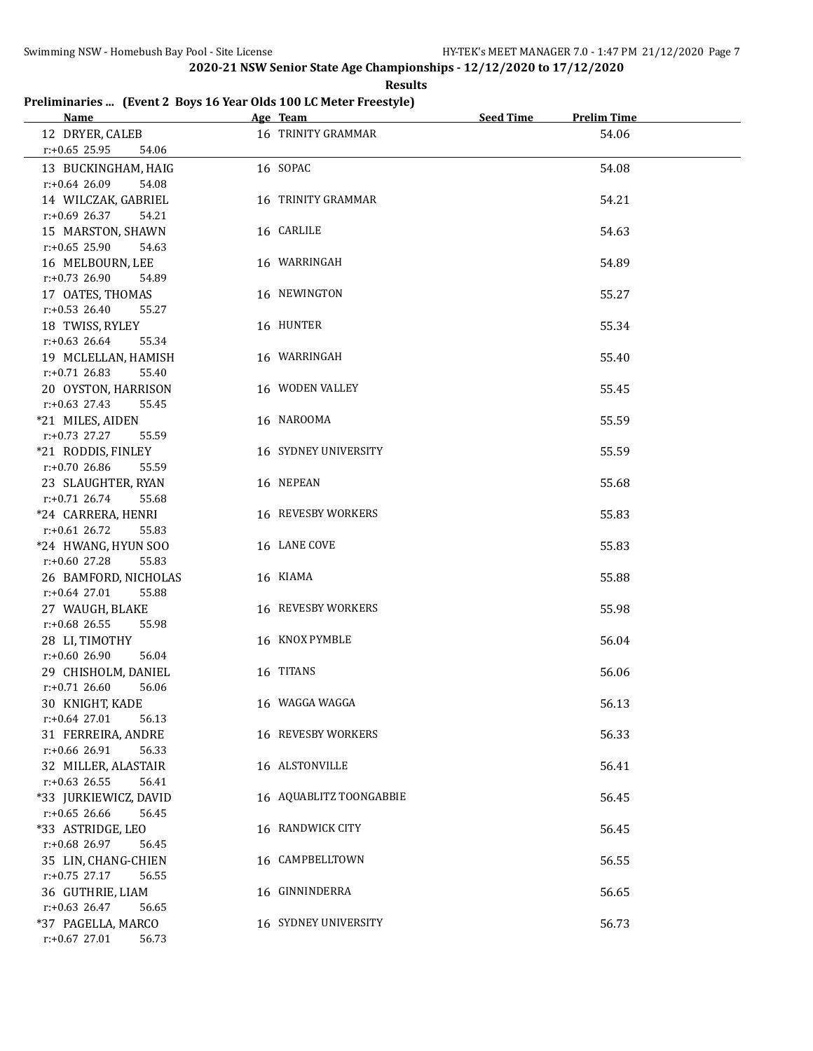**Results**

# **Preliminaries ... (Event 2 Boys 16 Year Olds 100 LC Meter Freestyle)**

| Name and the same state of the state of the state of the state of the state of the state of the state of the state of the state of the state of the state of the state of the state of the state of the state of the state of | Age Team                  | Seed Time<br><b>Prelim Time</b> |
|-------------------------------------------------------------------------------------------------------------------------------------------------------------------------------------------------------------------------------|---------------------------|---------------------------------|
| 12 DRYER, CALEB                                                                                                                                                                                                               | 16 TRINITY GRAMMAR        | 54.06                           |
| $r: +0.65$ 25.95<br>54.06                                                                                                                                                                                                     |                           |                                 |
| 13 BUCKINGHAM, HAIG                                                                                                                                                                                                           | 16 SOPAC                  | 54.08                           |
| 54.08<br>r:+0.64 26.09                                                                                                                                                                                                        |                           |                                 |
| 14 WILCZAK, GABRIEL                                                                                                                                                                                                           | 16 TRINITY GRAMMAR        | 54.21                           |
| $r: +0.69$ 26.37<br>54.21                                                                                                                                                                                                     |                           |                                 |
| 15 MARSTON, SHAWN                                                                                                                                                                                                             | 16 CARLILE                | 54.63                           |
| $r: +0.65$ 25.90<br>54.63                                                                                                                                                                                                     |                           |                                 |
| 16 MELBOURN, LEE                                                                                                                                                                                                              | 16 WARRINGAH              | 54.89                           |
| $r: +0.73$ 26.90<br>54.89                                                                                                                                                                                                     |                           |                                 |
| 17 OATES, THOMAS                                                                                                                                                                                                              | 16 NEWINGTON              | 55.27                           |
| $r: +0.53$ 26.40<br>55.27                                                                                                                                                                                                     |                           |                                 |
| 18 TWISS, RYLEY                                                                                                                                                                                                               | 16 HUNTER                 | 55.34                           |
| $r: +0.63$ 26.64<br>55.34                                                                                                                                                                                                     |                           |                                 |
| 19 MCLELLAN, HAMISH                                                                                                                                                                                                           | 16 WARRINGAH              | 55.40                           |
| $r: +0.71$ 26.83<br>55.40                                                                                                                                                                                                     |                           |                                 |
| 20 OYSTON, HARRISON                                                                                                                                                                                                           | 16 WODEN VALLEY           | 55.45                           |
| $r: +0.63$ 27.43<br>55.45                                                                                                                                                                                                     |                           |                                 |
| *21 MILES, AIDEN<br>$r.+0.73$ 27.27<br>55.59                                                                                                                                                                                  | 16 NAROOMA                | 55.59                           |
| *21 RODDIS, FINLEY                                                                                                                                                                                                            | 16 SYDNEY UNIVERSITY      | 55.59                           |
| $r: +0.70$ 26.86<br>55.59                                                                                                                                                                                                     |                           |                                 |
| 23 SLAUGHTER, RYAN                                                                                                                                                                                                            | 16 NEPEAN                 | 55.68                           |
| $r.+0.71$ 26.74<br>55.68                                                                                                                                                                                                      |                           |                                 |
| *24 CARRERA, HENRI                                                                                                                                                                                                            | 16 REVESBY WORKERS        | 55.83                           |
| $r.+0.61$ 26.72<br>55.83                                                                                                                                                                                                      |                           |                                 |
| *24 HWANG, HYUN SOO                                                                                                                                                                                                           | 16 LANE COVE              | 55.83                           |
| r:+0.60 27.28<br>55.83                                                                                                                                                                                                        |                           |                                 |
| 26 BAMFORD, NICHOLAS                                                                                                                                                                                                          | 16 KIAMA                  | 55.88                           |
| $r.+0.64$ 27.01<br>55.88                                                                                                                                                                                                      |                           |                                 |
| 27 WAUGH, BLAKE                                                                                                                                                                                                               | 16 REVESBY WORKERS        | 55.98                           |
| $r: +0.68$ 26.55<br>55.98                                                                                                                                                                                                     |                           |                                 |
| 28 LI, TIMOTHY                                                                                                                                                                                                                | 16 KNOX PYMBLE            | 56.04                           |
| $r+0.60$ 26.90<br>56.04                                                                                                                                                                                                       |                           |                                 |
| 29 CHISHOLM, DANIEL                                                                                                                                                                                                           | 16 TITANS                 | 56.06                           |
| $r: +0.71$ 26.60<br>56.06                                                                                                                                                                                                     |                           |                                 |
| 30 KNIGHT, KADE                                                                                                                                                                                                               | 16 WAGGA WAGGA            | 56.13                           |
| $r: +0.64$ 27.01<br>56.13                                                                                                                                                                                                     |                           |                                 |
| 31 FERREIRA, ANDRE                                                                                                                                                                                                            | <b>16 REVESBY WORKERS</b> | 56.33                           |
| 56.33<br>$r+0.66$ 26.91                                                                                                                                                                                                       | 16 ALSTONVILLE            |                                 |
| 32 MILLER, ALASTAIR<br>$r: +0.63$ 26.55<br>56.41                                                                                                                                                                              |                           | 56.41                           |
| *33 JURKIEWICZ, DAVID                                                                                                                                                                                                         | 16 AQUABLITZ TOONGABBIE   | 56.45                           |
| $r$ :+0.65 26.66<br>56.45                                                                                                                                                                                                     |                           |                                 |
| *33 ASTRIDGE, LEO                                                                                                                                                                                                             | 16 RANDWICK CITY          | 56.45                           |
| $r+0.68$ 26.97<br>56.45                                                                                                                                                                                                       |                           |                                 |
| 35 LIN, CHANG-CHIEN                                                                                                                                                                                                           | 16 CAMPBELLTOWN           | 56.55                           |
| $r: +0.75$ 27.17<br>56.55                                                                                                                                                                                                     |                           |                                 |
| 36 GUTHRIE, LIAM                                                                                                                                                                                                              | 16 GINNINDERRA            | 56.65                           |
| $r: +0.63$ 26.47<br>56.65                                                                                                                                                                                                     |                           |                                 |
| *37 PAGELLA, MARCO                                                                                                                                                                                                            | 16 SYDNEY UNIVERSITY      | 56.73                           |
| r:+0.67 27.01<br>56.73                                                                                                                                                                                                        |                           |                                 |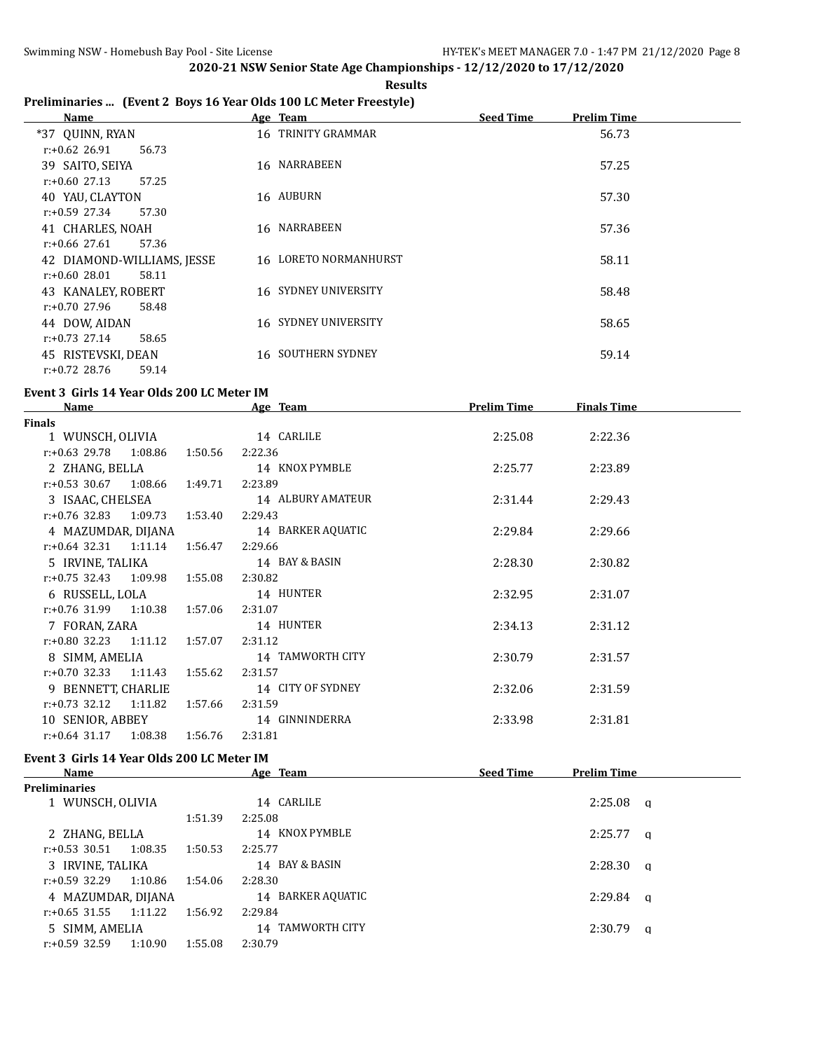**Results**

# **Preliminaries ... (Event 2 Boys 16 Year Olds 100 LC Meter Freestyle)**

| Name                       | Age Team              | <b>Seed Time</b> | <b>Prelim Time</b> |
|----------------------------|-----------------------|------------------|--------------------|
| *37 OUINN, RYAN            | 16 TRINITY GRAMMAR    |                  | 56.73              |
| $r: +0.62$ 26.91<br>56.73  |                       |                  |                    |
| 39 SAITO, SEIYA            | 16 NARRABEEN          |                  | 57.25              |
| $r: +0.60$ 27.13<br>57.25  |                       |                  |                    |
| 40 YAU, CLAYTON            | 16 AUBURN             |                  | 57.30              |
| $r: +0.59$ 27.34<br>57.30  |                       |                  |                    |
| 41 CHARLES, NOAH           | 16 NARRABEEN          |                  | 57.36              |
| $r: +0.66$ 27.61<br>57.36  |                       |                  |                    |
| 42 DIAMOND-WILLIAMS, JESSE | 16 LORETO NORMANHURST |                  | 58.11              |
| $r: +0.6028.01$<br>58.11   |                       |                  |                    |
| 43 KANALEY, ROBERT         | 16 SYDNEY UNIVERSITY  |                  | 58.48              |
| $r: +0.70$ 27.96<br>58.48  |                       |                  |                    |
| 44 DOW, AIDAN              | 16 SYDNEY UNIVERSITY  |                  | 58.65              |
| $r: +0.73$ 27.14<br>58.65  |                       |                  |                    |
| 45 RISTEVSKI, DEAN         | 16 SOUTHERN SYDNEY    |                  | 59.14              |
| $r: +0.72$ 28.76<br>59.14  |                       |                  |                    |

#### **Event 3 Girls 14 Year Olds 200 LC Meter IM**

| Name                             |         | Age Team          | <b>Prelim Time</b> | <b>Finals Time</b> |  |
|----------------------------------|---------|-------------------|--------------------|--------------------|--|
| Finals                           |         |                   |                    |                    |  |
| 1 WUNSCH, OLIVIA                 |         | 14 CARLILE        | 2:25.08            | 2:22.36            |  |
| $r.+0.63$ 29.78 1:08.86          | 1:50.56 | 2:22.36           |                    |                    |  |
| 2 ZHANG, BELLA                   |         | 14 KNOX PYMBLE    | 2:25.77            | 2:23.89            |  |
| $r: +0.53$ 30.67 1:08.66         | 1:49.71 | 2:23.89           |                    |                    |  |
| 3 ISAAC, CHELSEA                 |         | 14 ALBURY AMATEUR | 2:31.44            | 2:29.43            |  |
| $r: +0.76$ 32.83 1:09.73         | 1:53.40 | 2:29.43           |                    |                    |  |
| 4 MAZUMDAR, DIJANA               |         | 14 BARKER AQUATIC | 2:29.84            | 2:29.66            |  |
| $r: +0.64$ 32.31 1:11.14         | 1:56.47 | 2:29.66           |                    |                    |  |
| 5 IRVINE, TALIKA                 |         | 14 BAY & BASIN    | 2:28.30            | 2:30.82            |  |
| $r: +0.75$ 32.43 1:09.98         | 1:55.08 | 2:30.82           |                    |                    |  |
| 6 RUSSELL, LOLA                  |         | 14 HUNTER         | 2:32.95            | 2:31.07            |  |
| $r: +0.76$ 31.99 1:10.38 1:57.06 |         | 2:31.07           |                    |                    |  |
| 7 FORAN, ZARA                    |         | 14 HUNTER         | 2:34.13            | 2:31.12            |  |
| $r: +0.80$ 32.23 1:11.12         | 1:57.07 | 2:31.12           |                    |                    |  |
| 8 SIMM, AMELIA                   |         | 14 TAMWORTH CITY  | 2:30.79            | 2:31.57            |  |
| $r.+0.70$ 32.33 1:11.43          | 1:55.62 | 2:31.57           |                    |                    |  |
| 9 BENNETT, CHARLIE               |         | 14 CITY OF SYDNEY | 2:32.06            | 2:31.59            |  |
| $r.+0.73$ 32.12 1:11.82          | 1:57.66 | 2:31.59           |                    |                    |  |
| 10 SENIOR, ABBEY                 |         | 14 GINNINDERRA    | 2:33.98            | 2:31.81            |  |
| r:+0.64 31.17<br>1:08.38         | 1:56.76 | 2:31.81           |                    |                    |  |

#### **Event 3 Girls 14 Year Olds 200 LC Meter IM**

|         | Age Team                                                                           | <b>Seed Time</b> | <b>Prelim Time</b> |                                                                      |
|---------|------------------------------------------------------------------------------------|------------------|--------------------|----------------------------------------------------------------------|
|         |                                                                                    |                  |                    |                                                                      |
|         | 14 CARLILE                                                                         |                  |                    |                                                                      |
| 1:51.39 | 2:25.08                                                                            |                  |                    |                                                                      |
|         | 14 KNOX PYMBLE                                                                     |                  |                    |                                                                      |
| 1:50.53 | 2:25.77                                                                            |                  |                    |                                                                      |
|         | 14 BAY & BASIN                                                                     |                  |                    |                                                                      |
| 1:54.06 | 2:28.30                                                                            |                  |                    |                                                                      |
|         | 14 BARKER AQUATIC                                                                  |                  |                    |                                                                      |
| 1:56.92 | 2:29.84                                                                            |                  |                    |                                                                      |
|         | 14 TAMWORTH CITY                                                                   |                  | 2:30.79            |                                                                      |
| 1:55.08 | 2:30.79                                                                            |                  |                    |                                                                      |
|         | 1 WUNSCH, OLIVIA<br>1:08.35<br>1:10.86<br>4 MAZUMDAR, DIJANA<br>1:11.22<br>1:10.90 |                  |                    | $2:25.08$ a<br>$2:25.77$ a<br>$2:28.30$ a<br>$2:29.84$ a<br>$\alpha$ |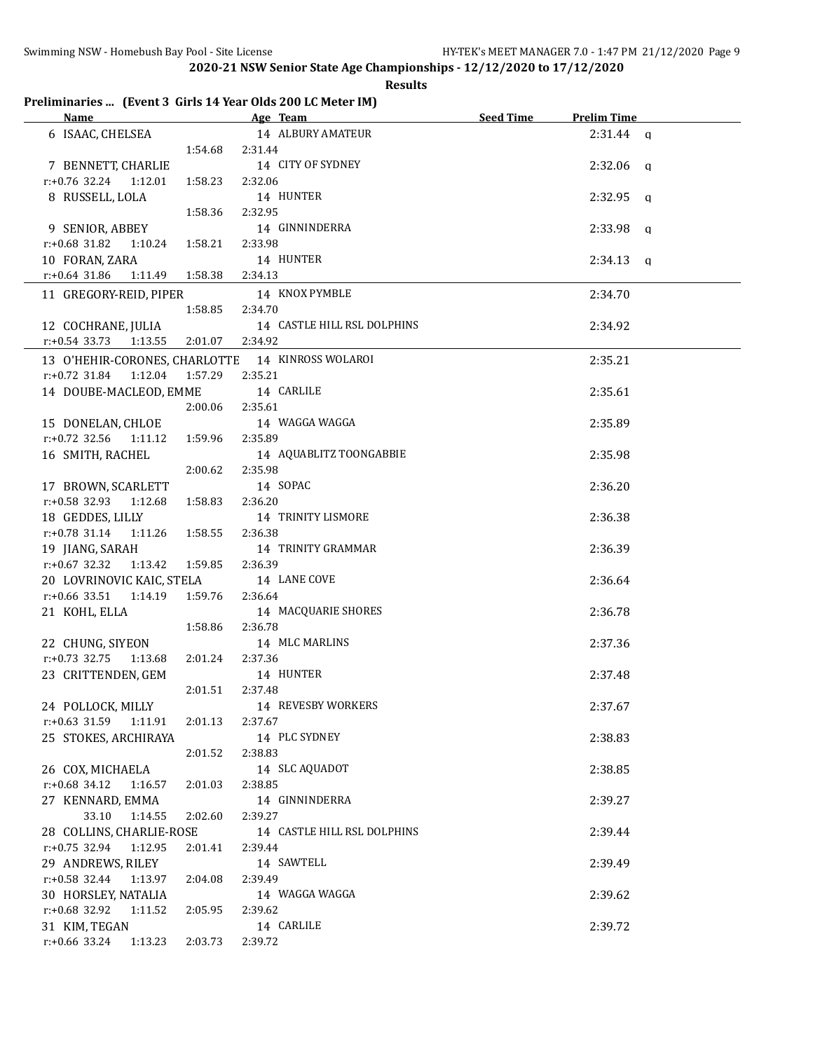**Results**

# **Preliminaries ... (Event 3 Girls 14 Year Olds 200 LC Meter IM)**

| Name                                             |                 | Age Team and the state of the state of the state of the state of the state of the state of the state of the state of the state of the state of the state of the state of the state of the state of the state of the state of t | Seed Time | <b>Prelim Time</b> |
|--------------------------------------------------|-----------------|--------------------------------------------------------------------------------------------------------------------------------------------------------------------------------------------------------------------------------|-----------|--------------------|
| 6 ISAAC, CHELSEA                                 |                 | 14 ALBURY AMATEUR                                                                                                                                                                                                              |           | $2:31.44$ a        |
|                                                  | 1:54.68 2:31.44 |                                                                                                                                                                                                                                |           |                    |
| 7 BENNETT, CHARLIE                               |                 | 14 CITY OF SYDNEY                                                                                                                                                                                                              |           | $2:32.06$ a        |
| r:+0.76 32.24<br>1:12.01                         | 1:58.23         | 2:32.06                                                                                                                                                                                                                        |           |                    |
| 8 RUSSELL, LOLA                                  |                 | 14 HUNTER                                                                                                                                                                                                                      |           | $2:32.95$ a        |
|                                                  | 1:58.36         | 2:32.95                                                                                                                                                                                                                        |           |                    |
| 9 SENIOR, ABBEY                                  |                 | 14 GINNINDERRA                                                                                                                                                                                                                 |           | $2:33.98$ q        |
| $r: +0.68$ 31.82<br>1:10.24                      | 1:58.21         | 2:33.98                                                                                                                                                                                                                        |           |                    |
| 10 FORAN, ZARA                                   |                 | 14 HUNTER                                                                                                                                                                                                                      |           | $2:34.13$ q        |
| $r: +0.64$ 31.86<br>1:11.49                      | 1:58.38         | 2:34.13                                                                                                                                                                                                                        |           |                    |
| 11 GREGORY-REID, PIPER                           |                 | 14 KNOX PYMBLE                                                                                                                                                                                                                 |           | 2:34.70            |
|                                                  | 1:58.85         | 2:34.70                                                                                                                                                                                                                        |           |                    |
| 12 COCHRANE, JULIA                               |                 | 14 CASTLE HILL RSL DOLPHINS                                                                                                                                                                                                    |           | 2:34.92            |
| $r.+0.54$ 33.73 1:13.55                          | 2:01.07         | 2:34.92                                                                                                                                                                                                                        |           |                    |
| 13 O'HEHIR-CORONES, CHARLOTTE 14 KINROSS WOLAROI |                 |                                                                                                                                                                                                                                |           | 2:35.21            |
| $r: +0.72$ 31.84<br>1:12.04                      | 1:57.29         | 2:35.21                                                                                                                                                                                                                        |           |                    |
| 14 DOUBE-MACLEOD, EMME                           |                 | 14 CARLILE                                                                                                                                                                                                                     |           | 2:35.61            |
|                                                  | 2:00.06         | 2:35.61                                                                                                                                                                                                                        |           |                    |
| 15 DONELAN, CHLOE                                |                 | 14 WAGGA WAGGA                                                                                                                                                                                                                 |           | 2:35.89            |
| $r.+0.72$ 32.56 1:11.12                          | 1:59.96         | 2:35.89                                                                                                                                                                                                                        |           |                    |
| 16 SMITH, RACHEL                                 |                 | 14 AQUABLITZ TOONGABBIE                                                                                                                                                                                                        |           | 2:35.98            |
|                                                  | 2:00.62         | 2:35.98                                                                                                                                                                                                                        |           |                    |
| 17 BROWN, SCARLETT                               |                 | 14 SOPAC                                                                                                                                                                                                                       |           | 2:36.20            |
| $r: +0.58$ 32.93<br>1:12.68                      | 1:58.83         | 2:36.20                                                                                                                                                                                                                        |           |                    |
| 18 GEDDES, LILLY                                 |                 | 14 TRINITY LISMORE                                                                                                                                                                                                             |           | 2:36.38            |
| $r.+0.78$ 31.14 1:11.26                          | 1:58.55         | 2:36.38                                                                                                                                                                                                                        |           |                    |
| 19 JIANG, SARAH                                  |                 | 14 TRINITY GRAMMAR                                                                                                                                                                                                             |           | 2:36.39            |
| $r: +0.67$ 32.32<br>1:13.42                      | 1:59.85         | 2:36.39                                                                                                                                                                                                                        |           |                    |
| 20 LOVRINOVIC KAIC, STELA                        |                 | 14 LANE COVE                                                                                                                                                                                                                   |           | 2:36.64            |
| $r: +0.66$ 33.51<br>1:14.19                      | 1:59.76         | 2:36.64                                                                                                                                                                                                                        |           |                    |
| 21 KOHL, ELLA                                    |                 | 14 MACQUARIE SHORES                                                                                                                                                                                                            |           | 2:36.78            |
|                                                  | 1:58.86         | 2:36.78                                                                                                                                                                                                                        |           |                    |
| 22 CHUNG, SIYEON                                 |                 | 14 MLC MARLINS                                                                                                                                                                                                                 |           | 2:37.36            |
| $r: +0.73$ 32.75<br>1:13.68                      | 2:01.24         | 2:37.36                                                                                                                                                                                                                        |           |                    |
| 23 CRITTENDEN, GEM                               |                 | 14 HUNTER                                                                                                                                                                                                                      |           | 2:37.48            |
|                                                  | 2:01.51         | 2:37.48                                                                                                                                                                                                                        |           |                    |
| 24 POLLOCK, MILLY                                |                 | 14 REVESBY WORKERS                                                                                                                                                                                                             |           | 2:37.67            |
| $r: +0.63$ 31.59<br>1:11.91                      | 2:01.13         | 2:37.67<br>14 PLC SYDNEY                                                                                                                                                                                                       |           |                    |
| 25 STOKES, ARCHIRAYA                             | 2:01.52         |                                                                                                                                                                                                                                |           | 2:38.83            |
|                                                  |                 | 2:38.83<br>14 SLC AQUADOT                                                                                                                                                                                                      |           |                    |
| 26 COX, MICHAELA<br>$r.+0.68$ 34.12<br>1:16.57   | 2:01.03         | 2:38.85                                                                                                                                                                                                                        |           | 2:38.85            |
| 27 KENNARD, EMMA                                 |                 | 14 GINNINDERRA                                                                                                                                                                                                                 |           | 2:39.27            |
| 33.10<br>1:14.55                                 | 2:02.60         | 2:39.27                                                                                                                                                                                                                        |           |                    |
| 28 COLLINS, CHARLIE-ROSE                         |                 | 14 CASTLE HILL RSL DOLPHINS                                                                                                                                                                                                    |           | 2:39.44            |
| $r: +0.75$ 32.94<br>1:12.95                      | 2:01.41         | 2:39.44                                                                                                                                                                                                                        |           |                    |
| 29 ANDREWS, RILEY                                |                 | 14 SAWTELL                                                                                                                                                                                                                     |           | 2:39.49            |
| $r.+0.58$ 32.44<br>1:13.97                       | 2:04.08         | 2:39.49                                                                                                                                                                                                                        |           |                    |
| 30 HORSLEY, NATALIA                              |                 | 14 WAGGA WAGGA                                                                                                                                                                                                                 |           | 2:39.62            |
| r:+0.68 32.92<br>1:11.52                         | 2:05.95         | 2:39.62                                                                                                                                                                                                                        |           |                    |
| 31 KIM, TEGAN                                    |                 | 14 CARLILE                                                                                                                                                                                                                     |           | 2:39.72            |
| r:+0.66 33.24<br>1:13.23                         | 2:03.73         | 2:39.72                                                                                                                                                                                                                        |           |                    |
|                                                  |                 |                                                                                                                                                                                                                                |           |                    |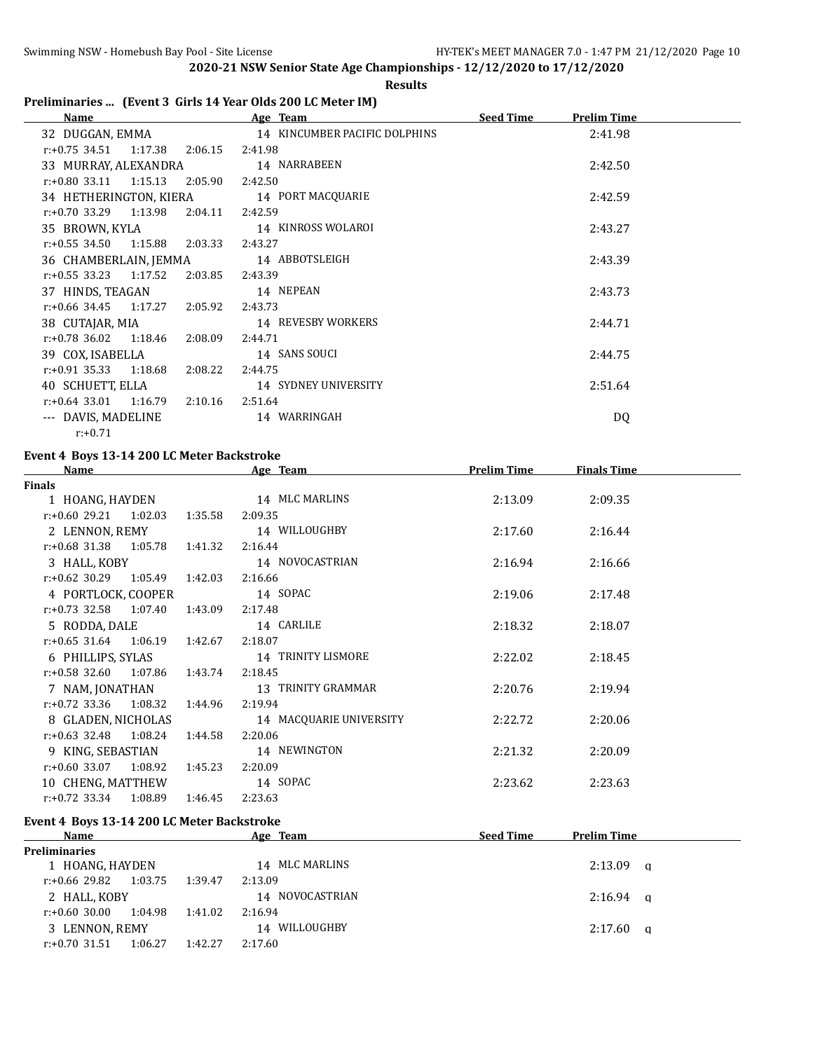#### **Results**

# **Preliminaries ... (Event 3 Girls 14 Year Olds 200 LC Meter IM)**

| Name                        |         | Age Team                      | <b>Seed Time</b> | <b>Prelim Time</b> |  |
|-----------------------------|---------|-------------------------------|------------------|--------------------|--|
| 32 DUGGAN, EMMA             |         | 14 KINCUMBER PACIFIC DOLPHINS |                  | 2:41.98            |  |
| $r: +0.75$ 34.51<br>1:17.38 | 2:06.15 | 2:41.98                       |                  |                    |  |
| 33 MURRAY, ALEXANDRA        |         | 14 NARRABEEN                  |                  | 2:42.50            |  |
| $r.+0.80$ 33.11 1:15.13     | 2:05.90 | 2:42.50                       |                  |                    |  |
| 34 HETHERINGTON, KIERA      |         | 14 PORT MACQUARIE             |                  | 2:42.59            |  |
| $r.+0.70$ 33.29 1:13.98     | 2:04.11 | 2:42.59                       |                  |                    |  |
| 35 BROWN, KYLA              |         | 14 KINROSS WOLAROI            |                  | 2:43.27            |  |
| $r: +0.55$ 34.50<br>1:15.88 | 2:03.33 | 2:43.27                       |                  |                    |  |
| 36 CHAMBERLAIN, JEMMA       |         | 14 ABBOTSLEIGH                |                  | 2:43.39            |  |
| $r.+0.55$ 33.23 1:17.52     | 2:03.85 | 2:43.39                       |                  |                    |  |
| 37 HINDS, TEAGAN            |         | 14 NEPEAN                     |                  | 2:43.73            |  |
| $r.+0.66$ 34.45 1:17.27     | 2:05.92 | 2:43.73                       |                  |                    |  |
| 38 CUTAJAR, MIA             |         | 14 REVESBY WORKERS            |                  | 2:44.71            |  |
| $r: +0.78$ 36.02<br>1:18.46 | 2:08.09 | 2:44.71                       |                  |                    |  |
| 39 COX, ISABELLA            |         | 14 SANS SOUCI                 |                  | 2:44.75            |  |
| $r.+0.91$ 35.33 1:18.68     | 2:08.22 | 2:44.75                       |                  |                    |  |
| 40 SCHUETT, ELLA            |         | 14 SYDNEY UNIVERSITY          |                  | 2:51.64            |  |
| $r: +0.64$ 33.01<br>1:16.79 | 2:10.16 | 2:51.64                       |                  |                    |  |
| --- DAVIS, MADELINE         |         | 14 WARRINGAH                  |                  | DQ                 |  |
| $r: +0.71$                  |         |                               |                  |                    |  |

### **Event 4 Boys 13-14 200 LC Meter Backstroke**

| <b>Name</b>                      |         | Age Team                | <b>Prelim Time</b> | <b>Finals Time</b> |  |
|----------------------------------|---------|-------------------------|--------------------|--------------------|--|
| <b>Finals</b>                    |         |                         |                    |                    |  |
| 1 HOANG, HAYDEN                  |         | 14 MLC MARLINS          | 2:13.09            | 2:09.35            |  |
| $r: +0.60$ 29.21 1:02.03         | 1:35.58 | 2:09.35                 |                    |                    |  |
| 2 LENNON, REMY                   |         | 14 WILLOUGHBY           | 2:17.60            | 2:16.44            |  |
| $r.+0.68$ 31.38 1:05.78 1:41.32  |         | 2:16.44                 |                    |                    |  |
| 3 HALL, KOBY                     |         | 14 NOVOCASTRIAN         | 2:16.94            | 2:16.66            |  |
| $r: +0.62$ 30.29 1:05.49 1:42.03 |         | 2:16.66                 |                    |                    |  |
| 4 PORTLOCK, COOPER               |         | 14 SOPAC                | 2:19.06            | 2:17.48            |  |
| $r: +0.73$ 32.58 1:07.40         | 1:43.09 | 2:17.48                 |                    |                    |  |
| 5 RODDA, DALE                    |         | 14 CARLILE              | 2:18.32            | 2:18.07            |  |
| $r.+0.65$ 31.64 1:06.19 1:42.67  |         | 2:18.07                 |                    |                    |  |
| 6 PHILLIPS, SYLAS                |         | 14 TRINITY LISMORE      | 2:22.02            | 2:18.45            |  |
| $r: +0.58$ 32.60 1:07.86         | 1:43.74 | 2:18.45                 |                    |                    |  |
| 7 NAM, JONATHAN                  |         | 13   TRINITY GRAMMAR    | 2:20.76            | 2:19.94            |  |
| $r: +0.72$ 33.36 1:08.32         | 1:44.96 | 2:19.94                 |                    |                    |  |
| 8 GLADEN, NICHOLAS               |         | 14 MACQUARIE UNIVERSITY | 2:22.72            | 2:20.06            |  |
| $r.+0.63$ 32.48 1:08.24 1:44.58  |         | 2:20.06                 |                    |                    |  |
| 9 KING, SEBASTIAN                |         | 14 NEWINGTON            | 2:21.32            | 2:20.09            |  |
| $r.+0.60$ 33.07 1:08.92          | 1:45.23 | 2:20.09                 |                    |                    |  |
| 10 CHENG, MATTHEW                |         | 14 SOPAC                | 2:23.62            | 2:23.63            |  |
| $r: +0.72$ 33.34 1:08.89         | 1:46.45 | 2:23.63                 |                    |                    |  |
| .                                |         |                         |                    |                    |  |

#### **Event 4 Boys 13-14 200 LC Meter Backstroke**

| Name                 |         |         | <b>Team</b><br>Age | <b>Seed Time</b> | <b>Prelim Time</b> |  |
|----------------------|---------|---------|--------------------|------------------|--------------------|--|
| <b>Preliminaries</b> |         |         |                    |                  |                    |  |
| 1 HOANG, HAYDEN      |         |         | 14 MLC MARLINS     |                  | $2:13.09$ a        |  |
| r:+0.66 29.82        | 1:03.75 | 1:39.47 | 2:13.09            |                  |                    |  |
| 2 HALL, KOBY         |         |         | 14 NOVOCASTRIAN    |                  | $2:16.94$ a        |  |
| r:+0.60 30.00        | 1:04.98 | 1:41.02 | 2:16.94            |                  |                    |  |
| 3 LENNON, REMY       |         |         | WILLOUGHBY<br>14   |                  | $2:17.60$ a        |  |
| r:+0.70 31.51        | 1:06.27 | 1:42.27 | 2:17.60            |                  |                    |  |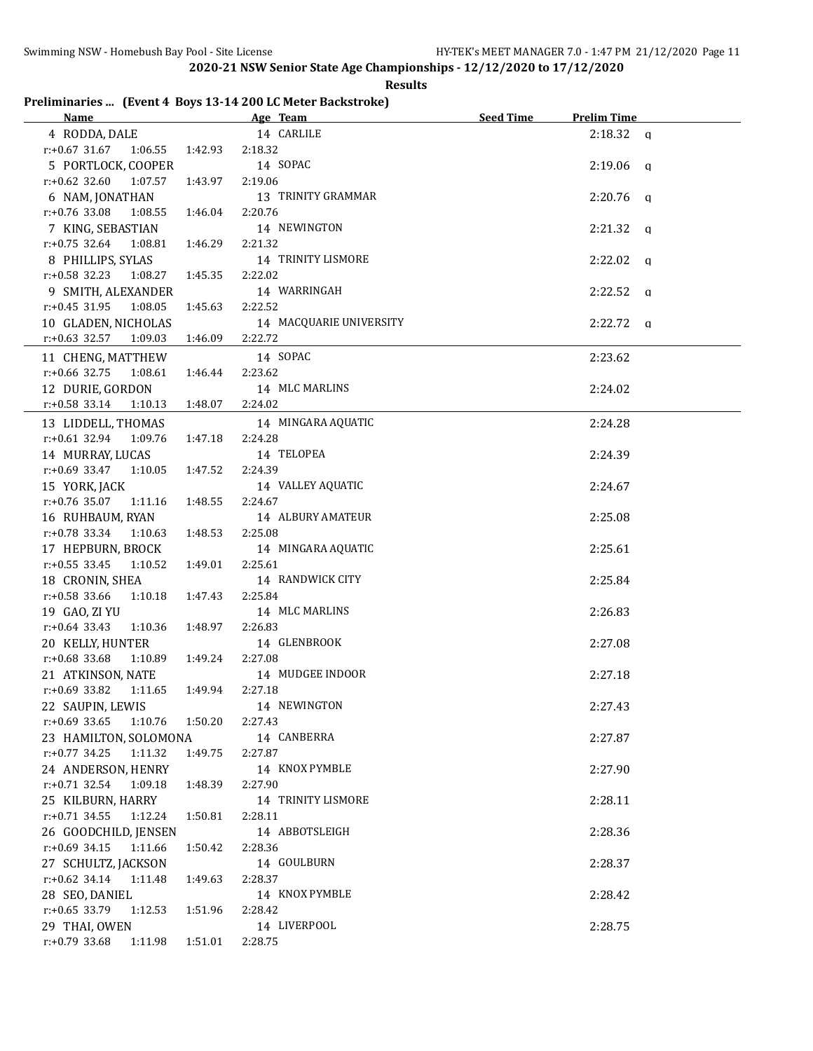# **Results**

# **Preliminaries ... (Event 4 Boys 13-14 200 LC Meter Backstroke)**

| <b>Name</b>                            | Age Team and the state of the state of the state of the state of the state of the state of the state of the state of the state of the state of the state of the state of the state of the state of the state of the state of t | <b>Seed Time</b> | <b>Prelim Time</b> |
|----------------------------------------|--------------------------------------------------------------------------------------------------------------------------------------------------------------------------------------------------------------------------------|------------------|--------------------|
| 4 RODDA, DALE                          | 14 CARLILE                                                                                                                                                                                                                     |                  | $2:18.32$ a        |
| $r: +0.67$ 31.67<br>1:06.55<br>1:42.93 | 2:18.32                                                                                                                                                                                                                        |                  |                    |
| 5 PORTLOCK, COOPER                     | 14 SOPAC                                                                                                                                                                                                                       |                  | $2:19.06$ q        |
| $r: +0.62$ 32.60<br>1:07.57<br>1:43.97 | 2:19.06                                                                                                                                                                                                                        |                  |                    |
| 6 NAM, JONATHAN                        | 13 TRINITY GRAMMAR                                                                                                                                                                                                             |                  | $2:20.76$ a        |
| $r: +0.76$ 33.08<br>1:08.55<br>1:46.04 | 2:20.76                                                                                                                                                                                                                        |                  |                    |
| 7 KING, SEBASTIAN                      | 14 NEWINGTON                                                                                                                                                                                                                   |                  | $2:21.32$ q        |
| $r: +0.75$ 32.64<br>1:08.81<br>1:46.29 | 2:21.32                                                                                                                                                                                                                        |                  |                    |
| 8 PHILLIPS, SYLAS                      | 14 TRINITY LISMORE                                                                                                                                                                                                             |                  | $2:22.02$ q        |
| r:+0.58 32.23 1:08.27<br>1:45.35       | 2:22.02                                                                                                                                                                                                                        |                  |                    |
| 9 SMITH, ALEXANDER                     | 14 WARRINGAH                                                                                                                                                                                                                   |                  | $2:22.52$ a        |
| $r: +0.45$ 31.95<br>1:08.05<br>1:45.63 | 2:22.52                                                                                                                                                                                                                        |                  |                    |
| 10 GLADEN, NICHOLAS                    | 14 MACQUARIE UNIVERSITY                                                                                                                                                                                                        |                  | $2:22.72$ q        |
| $r$ :+0.63 32.57<br>1:09.03<br>1:46.09 | 2:22.72                                                                                                                                                                                                                        |                  |                    |
| 11 CHENG, MATTHEW                      | 14 SOPAC                                                                                                                                                                                                                       |                  | 2:23.62            |
| $r: +0.66$ 32.75<br>1:08.61<br>1:46.44 | 2:23.62                                                                                                                                                                                                                        |                  |                    |
| 12 DURIE, GORDON                       | 14 MLC MARLINS                                                                                                                                                                                                                 |                  | 2:24.02            |
| $r.+0.58$ 33.14<br>1:10.13<br>1:48.07  | 2:24.02                                                                                                                                                                                                                        |                  |                    |
|                                        |                                                                                                                                                                                                                                |                  |                    |
| 13 LIDDELL, THOMAS                     | 14 MINGARA AQUATIC                                                                                                                                                                                                             |                  | 2:24.28            |
| $r: +0.61$ 32.94<br>1:09.76<br>1:47.18 | 2:24.28                                                                                                                                                                                                                        |                  |                    |
| 14 MURRAY, LUCAS                       | 14 TELOPEA                                                                                                                                                                                                                     |                  | 2:24.39            |
| $r: +0.69$ 33.47<br>1:10.05<br>1:47.52 | 2:24.39                                                                                                                                                                                                                        |                  |                    |
| 15 YORK, JACK                          | 14 VALLEY AQUATIC                                                                                                                                                                                                              |                  | 2:24.67            |
| $r: +0.76$ 35.07<br>1:11.16<br>1:48.55 | 2:24.67                                                                                                                                                                                                                        |                  |                    |
| 16 RUHBAUM, RYAN                       | 14 ALBURY AMATEUR                                                                                                                                                                                                              |                  | 2:25.08            |
| $r: +0.78$ 33.34<br>1:48.53<br>1:10.63 | 2:25.08                                                                                                                                                                                                                        |                  |                    |
| 17 HEPBURN, BROCK                      | 14 MINGARA AQUATIC                                                                                                                                                                                                             |                  | 2:25.61            |
| $r: +0.55$ 33.45<br>1:10.52<br>1:49.01 | 2:25.61                                                                                                                                                                                                                        |                  |                    |
| 18 CRONIN, SHEA                        | 14 RANDWICK CITY                                                                                                                                                                                                               |                  | 2:25.84            |
| r:+0.58 33.66<br>1:10.18<br>1:47.43    | 2:25.84                                                                                                                                                                                                                        |                  |                    |
| 19 GAO, ZI YU                          | 14 MLC MARLINS                                                                                                                                                                                                                 |                  | 2:26.83            |
| $r: +0.64$ 33.43<br>1:10.36<br>1:48.97 | 2:26.83                                                                                                                                                                                                                        |                  |                    |
| 20 KELLY, HUNTER                       | 14 GLENBROOK                                                                                                                                                                                                                   |                  | 2:27.08            |
| $r: +0.68$ 33.68<br>1:10.89<br>1:49.24 | 2:27.08                                                                                                                                                                                                                        |                  |                    |
| 21 ATKINSON, NATE                      | 14 MUDGEE INDOOR                                                                                                                                                                                                               |                  | 2:27.18            |
| $r: +0.69$ 33.82 1:11.65<br>1:49.94    | 2:27.18                                                                                                                                                                                                                        |                  |                    |
| 22 SAUPIN, LEWIS                       | 14 NEWINGTON                                                                                                                                                                                                                   |                  | 2:27.43            |
| $r: +0.69$ 33.65<br>1:10.76 1:50.20    | 2:27.43                                                                                                                                                                                                                        |                  |                    |
| 23 HAMILTON, SOLOMONA                  | 14 CANBERRA                                                                                                                                                                                                                    |                  | 2:27.87            |
| $r: +0.77$ 34.25<br>1:11.32<br>1:49.75 | 2:27.87                                                                                                                                                                                                                        |                  |                    |
| 24 ANDERSON, HENRY                     | 14 KNOX PYMBLE                                                                                                                                                                                                                 |                  | 2:27.90            |
| r:+0.71 32.54 1:09.18<br>1:48.39       | 2:27.90                                                                                                                                                                                                                        |                  |                    |
| 25 KILBURN, HARRY                      | 14 TRINITY LISMORE                                                                                                                                                                                                             |                  | 2:28.11            |
| $r: +0.71$ 34.55<br>1:12.24<br>1:50.81 | 2:28.11                                                                                                                                                                                                                        |                  |                    |
| 26 GOODCHILD, JENSEN                   | 14 ABBOTSLEIGH                                                                                                                                                                                                                 |                  | 2:28.36            |
| $r.+0.69$ 34.15<br>1:11.66<br>1:50.42  | 2:28.36                                                                                                                                                                                                                        |                  |                    |
| 27 SCHULTZ, JACKSON                    | 14 GOULBURN                                                                                                                                                                                                                    |                  | 2:28.37            |
| $r: +0.62$ 34.14<br>1:11.48<br>1:49.63 | 2:28.37                                                                                                                                                                                                                        |                  |                    |
| 28 SEO, DANIEL                         | 14 KNOX PYMBLE                                                                                                                                                                                                                 |                  | 2:28.42            |
| $r$ :+0.65 33.79<br>1:12.53<br>1:51.96 | 2:28.42                                                                                                                                                                                                                        |                  |                    |
| 29 THAI, OWEN                          | 14 LIVERPOOL                                                                                                                                                                                                                   |                  | 2:28.75            |
| $r: +0.79$ 33.68<br>1:11.98<br>1:51.01 | 2:28.75                                                                                                                                                                                                                        |                  |                    |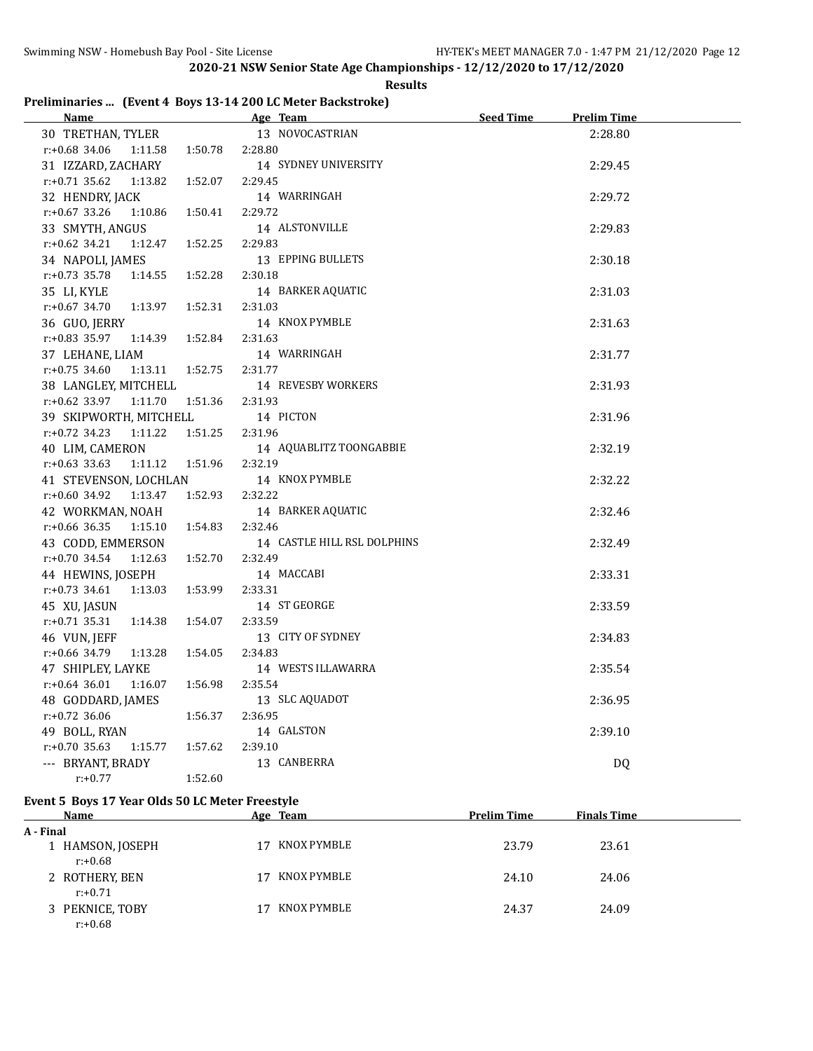# **Preliminaries ... (Event 4 Boys 13-14 200 LC Meter Backstroke)**

| <u>Name</u>                 | Age Team                    | <b>Seed Time</b><br><b>Prelim Time</b> |  |
|-----------------------------|-----------------------------|----------------------------------------|--|
| 30 TRETHAN, TYLER           | 13 NOVOCASTRIAN             | 2:28.80                                |  |
| r:+0.68 34.06<br>1:11.58    | 2:28.80<br>1:50.78          |                                        |  |
| 31 IZZARD, ZACHARY          | 14 SYDNEY UNIVERSITY        | 2:29.45                                |  |
| $r: +0.71$ 35.62<br>1:13.82 | 1:52.07<br>2:29.45          |                                        |  |
| 32 HENDRY, JACK             | 14 WARRINGAH                | 2:29.72                                |  |
| r:+0.67 33.26<br>1:10.86    | 2:29.72<br>1:50.41          |                                        |  |
| 33 SMYTH, ANGUS             | 14 ALSTONVILLE              | 2:29.83                                |  |
| $r: +0.62$ 34.21<br>1:12.47 | 2:29.83<br>1:52.25          |                                        |  |
| 34 NAPOLI, JAMES            | 13 EPPING BULLETS           | 2:30.18                                |  |
| r:+0.73 35.78<br>1:14.55    | 2:30.18<br>1:52.28          |                                        |  |
| 35 LI, KYLE                 | 14 BARKER AQUATIC           | 2:31.03                                |  |
| $r: +0.67$ 34.70<br>1:13.97 | 1:52.31<br>2:31.03          |                                        |  |
| 36 GUO, JERRY               | 14 KNOX PYMBLE              | 2:31.63                                |  |
| r:+0.83 35.97<br>1:14.39    | 1:52.84<br>2:31.63          |                                        |  |
| 37 LEHANE, LIAM             | 14 WARRINGAH                | 2:31.77                                |  |
| $r: +0.75$ 34.60<br>1:13.11 | 1:52.75<br>2:31.77          |                                        |  |
| 38 LANGLEY, MITCHELL        | 14 REVESBY WORKERS          | 2:31.93                                |  |
| r:+0.62 33.97<br>1:11.70    | 1:51.36<br>2:31.93          |                                        |  |
| 39 SKIPWORTH, MITCHELL      | 14 PICTON                   | 2:31.96                                |  |
| $r.+0.72$ 34.23<br>1:11.22  | 1:51.25<br>2:31.96          |                                        |  |
| 40 LIM, CAMERON             | 14 AQUABLITZ TOONGABBIE     | 2:32.19                                |  |
| $r: +0.63$ 33.63<br>1:11.12 | 1:51.96<br>2:32.19          |                                        |  |
| 41 STEVENSON, LOCHLAN       | 14 KNOX PYMBLE              | 2:32.22                                |  |
| $r: +0.60$ 34.92<br>1:13.47 | 2:32.22<br>1:52.93          |                                        |  |
| 42 WORKMAN, NOAH            | 14 BARKER AQUATIC           | 2:32.46                                |  |
| $r$ :+0.66 36.35<br>1:15.10 | 2:32.46<br>1:54.83          |                                        |  |
| 43 CODD, EMMERSON           | 14 CASTLE HILL RSL DOLPHINS | 2:32.49                                |  |
| r:+0.70 34.54<br>1:12.63    | 1:52.70<br>2:32.49          |                                        |  |
| 44 HEWINS, JOSEPH           | 14 MACCABI                  | 2:33.31                                |  |
| $r: +0.73$ 34.61<br>1:13.03 | 1:53.99<br>2:33.31          |                                        |  |
| 45 XU, JASUN                | 14 ST GEORGE                | 2:33.59                                |  |
| $r: +0.71$ 35.31<br>1:14.38 | 2:33.59<br>1:54.07          |                                        |  |
| 46 VUN, JEFF                | 13 CITY OF SYDNEY           | 2:34.83                                |  |
| r:+0.66 34.79<br>1:13.28    | 2:34.83<br>1:54.05          |                                        |  |
| 47 SHIPLEY, LAYKE           | 14 WESTS ILLAWARRA          | 2:35.54                                |  |
| $r: +0.64$ 36.01<br>1:16.07 | 1:56.98<br>2:35.54          |                                        |  |
| 48 GODDARD, JAMES           | 13 SLC AQUADOT              | 2:36.95                                |  |
| r:+0.72 36.06               | 2:36.95<br>1:56.37          |                                        |  |
| 49 BOLL, RYAN               | 14 GALSTON                  | 2:39.10                                |  |
| r:+0.70 35.63<br>1:15.77    | 2:39.10<br>1:57.62          |                                        |  |
| --- BRYANT, BRADY           | 13 CANBERRA                 | DQ                                     |  |
| $r: +0.77$                  | 1:52.60                     |                                        |  |

#### **Event 5 Boys 17 Year Olds 50 LC Meter Freestyle**

| Name                           | Age Team          | <b>Prelim Time</b> | <b>Finals Time</b> |  |
|--------------------------------|-------------------|--------------------|--------------------|--|
| A - Final                      |                   |                    |                    |  |
| 1 HAMSON, JOSEPH<br>$r: +0.68$ | KNOX PYMBLE<br>17 | 23.79              | 23.61              |  |
| 2 ROTHERY, BEN<br>$r: +0.71$   | KNOX PYMBLE<br>17 | 24.10              | 24.06              |  |
| 3 PEKNICE, TOBY<br>$r: +0.68$  | KNOX PYMBLE<br>17 | 24.37              | 24.09              |  |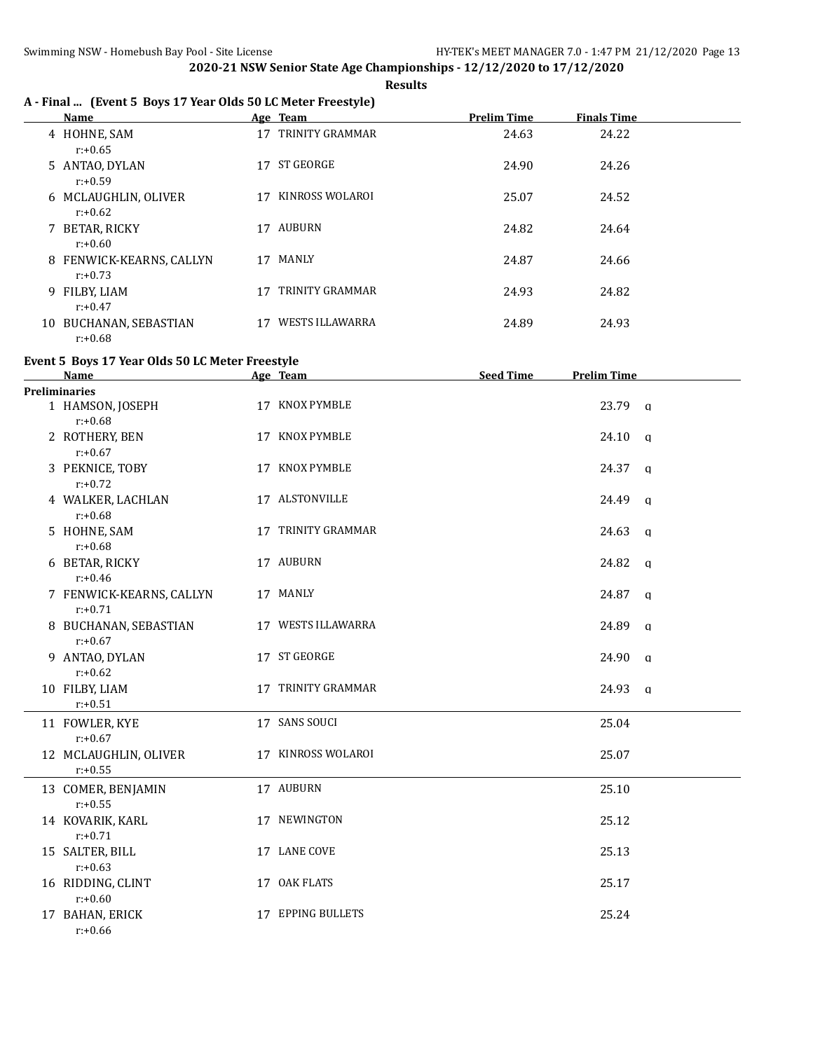**Results**

# **A - Final ... (Event 5 Boys 17 Year Olds 50 LC Meter Freestyle)**

|    | <b>Name</b>                          |    | Age Team               | <b>Prelim Time</b> | <b>Finals Time</b> |
|----|--------------------------------------|----|------------------------|--------------------|--------------------|
|    | 4 HOHNE, SAM                         | 17 | TRINITY GRAMMAR        | 24.63              | 24.22              |
|    | $r: +0.65$<br>5 ANTAO, DYLAN         | 17 | <b>ST GEORGE</b>       | 24.90              | 24.26              |
|    | $r: +0.59$<br>6 MCLAUGHLIN, OLIVER   | 17 | KINROSS WOLAROI        | 25.07              | 24.52              |
|    | $r: +0.62$<br>7 BETAR, RICKY         | 17 | <b>AUBURN</b>          | 24.82              | 24.64              |
| 8  | $r: +0.60$<br>FENWICK-KEARNS, CALLYN | 17 | MANLY                  | 24.87              | 24.66              |
| 9  | $r: +0.73$<br>FILBY, LIAM            | 17 | TRINITY GRAMMAR        | 24.93              | 24.82              |
| 10 | $r: +0.47$<br>BUCHANAN, SEBASTIAN    | 17 | <b>WESTS ILLAWARRA</b> | 24.89              | 24.93              |
|    | $r: +0.68$                           |    |                        |                    |                    |

### **Event 5 Boys 17 Year Olds 50 LC Meter Freestyle**

| <b>Name</b>                            | Age Team           | <b>Seed Time</b> | <b>Prelim Time</b>    |  |
|----------------------------------------|--------------------|------------------|-----------------------|--|
| Preliminaries                          |                    |                  |                       |  |
| 1 HAMSON, JOSEPH<br>$r: +0.68$         | 17 KNOX PYMBLE     |                  | 23.79 a               |  |
| 2 ROTHERY, BEN<br>$r: +0.67$           | 17 KNOX PYMBLE     |                  | 24.10 a               |  |
| 3 PEKNICE, TOBY<br>$r: +0.72$          | 17 KNOX PYMBLE     |                  | $24.37 \alpha$        |  |
| 4 WALKER, LACHLAN<br>$r: +0.68$        | 17 ALSTONVILLE     |                  | $24.49$ q             |  |
| 5 HOHNE, SAM<br>$r: +0.68$             | 17 TRINITY GRAMMAR |                  | 24.63<br>$\alpha$     |  |
| 6 BETAR, RICKY<br>$r: +0.46$           | 17 AUBURN          |                  | $24.82 \text{ a}$     |  |
| 7 FENWICK-KEARNS, CALLYN<br>$r: +0.71$ | 17 MANLY           |                  | 24.87<br>$\alpha$     |  |
| 8 BUCHANAN, SEBASTIAN<br>$r: +0.67$    | 17 WESTS ILLAWARRA |                  | 24.89<br>$\mathbf{q}$ |  |
| 9 ANTAO, DYLAN<br>$r: +0.62$           | 17 ST GEORGE       |                  | $24.90$ q             |  |
| 10 FILBY, LIAM<br>$r: +0.51$           | 17 TRINITY GRAMMAR |                  | 24.93 a               |  |
| 11 FOWLER, KYE<br>$r: +0.67$           | 17 SANS SOUCI      |                  | 25.04                 |  |
| 12 MCLAUGHLIN, OLIVER<br>$r: +0.55$    | 17 KINROSS WOLAROI |                  | 25.07                 |  |
| 13 COMER, BENJAMIN<br>$r: +0.55$       | 17 AUBURN          |                  | 25.10                 |  |
| 14 KOVARIK, KARL<br>$r: +0.71$         | 17 NEWINGTON       |                  | 25.12                 |  |
| 15 SALTER, BILL<br>$r: +0.63$          | 17 LANE COVE       |                  | 25.13                 |  |
| 16 RIDDING, CLINT<br>$r: +0.60$        | 17 OAK FLATS       |                  | 25.17                 |  |
| 17 BAHAN, ERICK<br>$r: +0.66$          | 17 EPPING BULLETS  |                  | 25.24                 |  |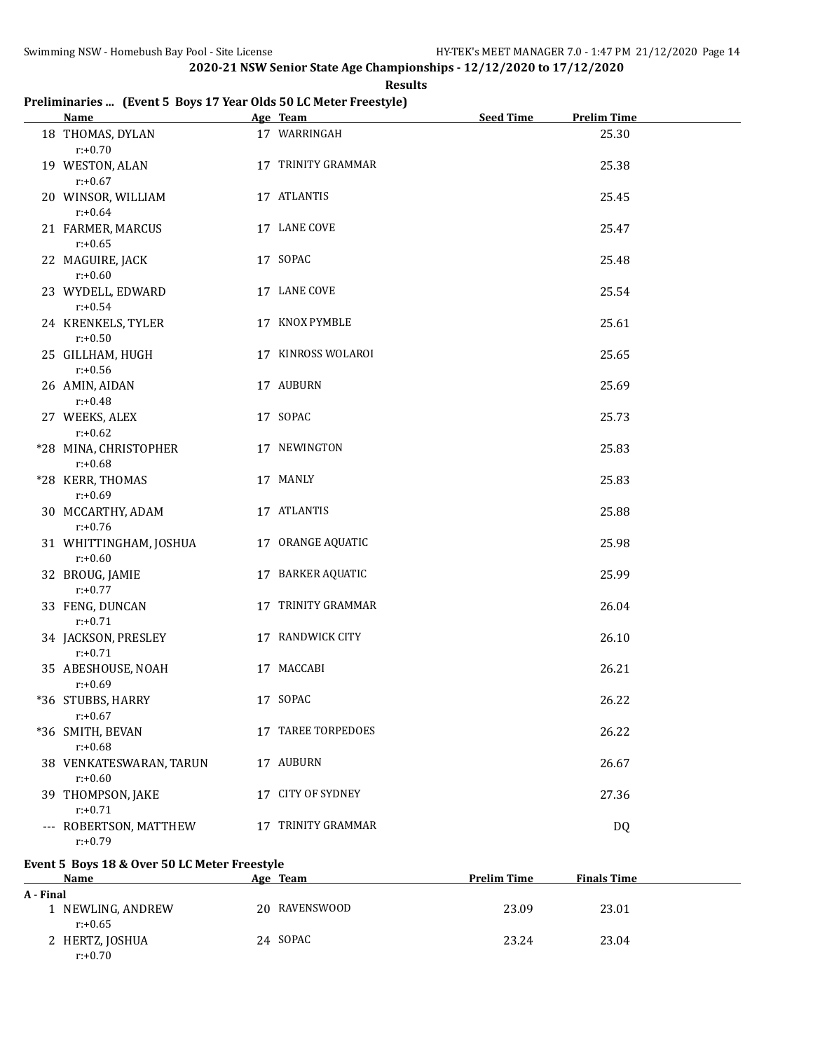#### **Results**

# **Preliminaries ... (Event 5 Boys 17 Year Olds 50 LC Meter Freestyle)**

| <b>Name</b>                                   | Age Team           | <b>Seed Time</b> | <b>Prelim Time</b> |
|-----------------------------------------------|--------------------|------------------|--------------------|
| 18 THOMAS, DYLAN<br>$r: +0.70$                | 17 WARRINGAH       |                  | 25.30              |
| 19 WESTON, ALAN<br>$r: +0.67$                 | 17 TRINITY GRAMMAR |                  | 25.38              |
| 20 WINSOR, WILLIAM                            | 17 ATLANTIS        |                  | 25.45              |
| $r: +0.64$<br>21 FARMER, MARCUS<br>$r: +0.65$ | 17 LANE COVE       |                  | 25.47              |
| 22 MAGUIRE, JACK<br>$r: +0.60$                | 17 SOPAC           |                  | 25.48              |
| 23 WYDELL, EDWARD<br>$r: +0.54$               | 17 LANE COVE       |                  | 25.54              |
| 24 KRENKELS, TYLER<br>$r: +0.50$              | 17 KNOX PYMBLE     |                  | 25.61              |
| 25 GILLHAM, HUGH<br>$r: +0.56$                | 17 KINROSS WOLAROI |                  | 25.65              |
| 26 AMIN, AIDAN<br>$r: +0.48$                  | 17 AUBURN          |                  | 25.69              |
| 27 WEEKS, ALEX<br>$r: +0.62$                  | 17 SOPAC           |                  | 25.73              |
| *28 MINA, CHRISTOPHER<br>$r: +0.68$           | 17 NEWINGTON       |                  | 25.83              |
| *28 KERR, THOMAS<br>$r: +0.69$                | 17 MANLY           |                  | 25.83              |
| 30 MCCARTHY, ADAM<br>$r: +0.76$               | 17 ATLANTIS        |                  | 25.88              |
| 31 WHITTINGHAM, JOSHUA<br>$r: +0.60$          | 17 ORANGE AQUATIC  |                  | 25.98              |
| 32 BROUG, JAMIE<br>$r: +0.77$                 | 17 BARKER AQUATIC  |                  | 25.99              |
| 33 FENG, DUNCAN<br>$r: +0.71$                 | 17 TRINITY GRAMMAR |                  | 26.04              |
| 34 JACKSON, PRESLEY<br>$r: +0.71$             | 17 RANDWICK CITY   |                  | 26.10              |
| 35 ABESHOUSE, NOAH<br>$r: +0.69$              | 17 MACCABI         |                  | 26.21              |
| *36 STUBBS, HARRY<br>$r: +0.67$               | 17 SOPAC           |                  | 26.22              |
| *36 SMITH, BEVAN<br>$r: +0.68$                | 17 TAREE TORPEDOES |                  | 26.22              |
| 38 VENKATESWARAN, TARUN<br>$r: +0.60$         | 17 AUBURN          |                  | 26.67              |
| 39 THOMPSON, JAKE<br>$r: +0.71$               | 17 CITY OF SYDNEY  |                  | 27.36              |
| --- ROBERTSON, MATTHEW<br>$r: +0.79$          | 17 TRINITY GRAMMAR |                  | <b>DQ</b>          |

# **Event 5 Boys 18 & Over 50 LC Meter Freestyle**

| <b>Name</b>                   | Age Team      | <b>Prelim Time</b> | <b>Finals Time</b> |  |
|-------------------------------|---------------|--------------------|--------------------|--|
| A - Final                     |               |                    |                    |  |
| l NEWLING, ANDREW<br>r:+0.65  | 20 RAVENSWOOD | 23.09              | 23.01              |  |
| 2 HERTZ, JOSHUA<br>$r: +0.70$ | 24 SOPAC      | 23.24              | 23.04              |  |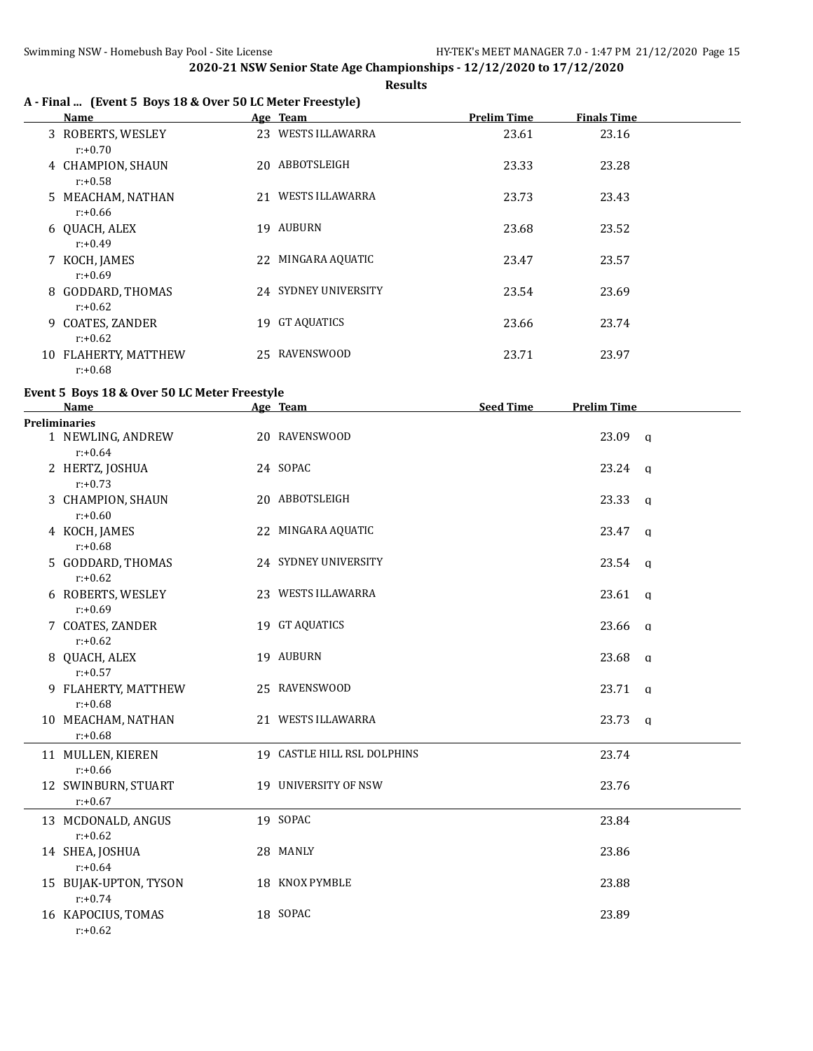**Results**

# **A - Final ... (Event 5 Boys 18 & Over 50 LC Meter Freestyle)**

|   | Name                                |    | Age Team             | <b>Prelim Time</b> | <b>Finals Time</b> |
|---|-------------------------------------|----|----------------------|--------------------|--------------------|
|   | 3 ROBERTS, WESLEY<br>$r: +0.70$     |    | 23 WESTS ILLAWARRA   | 23.61              | 23.16              |
|   | 4 CHAMPION, SHAUN<br>$r: +0.58$     |    | 20 ABBOTSLEIGH       | 23.33              | 23.28              |
|   | 5 MEACHAM, NATHAN<br>$r: +0.66$     | 21 | WESTS ILLAWARRA      | 23.73              | 23.43              |
|   | 6 QUACH, ALEX<br>$r: +0.49$         | 19 | AUBURN               | 23.68              | 23.52              |
|   | 7 KOCH, JAMES<br>$r: +0.69$         |    | 22 MINGARA AQUATIC   | 23.47              | 23.57              |
|   | 8 GODDARD, THOMAS<br>$r: +0.62$     |    | 24 SYDNEY UNIVERSITY | 23.54              | 23.69              |
| 9 | <b>COATES, ZANDER</b><br>$r: +0.62$ | 19 | <b>GT AQUATICS</b>   | 23.66              | 23.74              |
|   | 10 FLAHERTY, MATTHEW<br>$r: +0.68$  |    | 25 RAVENSWOOD        | 23.71              | 23.97              |

### **Event 5 Boys 18 & Over 50 LC Meter Freestyle**

| <b>Name</b>                         | Age Team                    | <b>Seed Time</b> | <b>Prelim Time</b> |              |
|-------------------------------------|-----------------------------|------------------|--------------------|--------------|
| <b>Preliminaries</b>                |                             |                  |                    |              |
| 1 NEWLING, ANDREW<br>$r: +0.64$     | 20 RAVENSWOOD               |                  | 23.09 a            |              |
| 2 HERTZ, JOSHUA<br>$r: +0.73$       | 24 SOPAC                    |                  | 23.24 q            |              |
| 3 CHAMPION, SHAUN<br>$r: +0.60$     | 20 ABBOTSLEIGH              |                  | $23.33$ q          |              |
| 4 KOCH, JAMES<br>$r: +0.68$         | 22 MINGARA AQUATIC          |                  | $23.47$ q          |              |
| 5 GODDARD, THOMAS<br>$r: +0.62$     | 24 SYDNEY UNIVERSITY        |                  | 23.54              | q            |
| 6 ROBERTS, WESLEY<br>$r: +0.69$     | 23 WESTS ILLAWARRA          |                  | $23.61$ q          |              |
| 7 COATES, ZANDER<br>$r: +0.62$      | 19 GT AQUATICS              |                  | 23.66              | q            |
| 8 QUACH, ALEX<br>$r: +0.57$         | 19 AUBURN                   |                  | 23.68              | q            |
| 9 FLAHERTY, MATTHEW<br>$r: +0.68$   | 25 RAVENSWOOD               |                  | $23.71$ q          |              |
| 10 MEACHAM, NATHAN<br>$r: +0.68$    | 21 WESTS ILLAWARRA          |                  | 23.73              | $\mathbf{q}$ |
| 11 MULLEN, KIEREN<br>$r: +0.66$     | 19 CASTLE HILL RSL DOLPHINS |                  | 23.74              |              |
| 12 SWINBURN, STUART<br>$r: +0.67$   | 19 UNIVERSITY OF NSW        |                  | 23.76              |              |
| 13 MCDONALD, ANGUS<br>$r: +0.62$    | 19 SOPAC                    |                  | 23.84              |              |
| 14 SHEA, JOSHUA<br>$r: +0.64$       | 28 MANLY                    |                  | 23.86              |              |
| 15 BUJAK-UPTON, TYSON<br>$r: +0.74$ | 18 KNOX PYMBLE              |                  | 23.88              |              |
| 16 KAPOCIUS, TOMAS<br>$r: +0.62$    | 18 SOPAC                    |                  | 23.89              |              |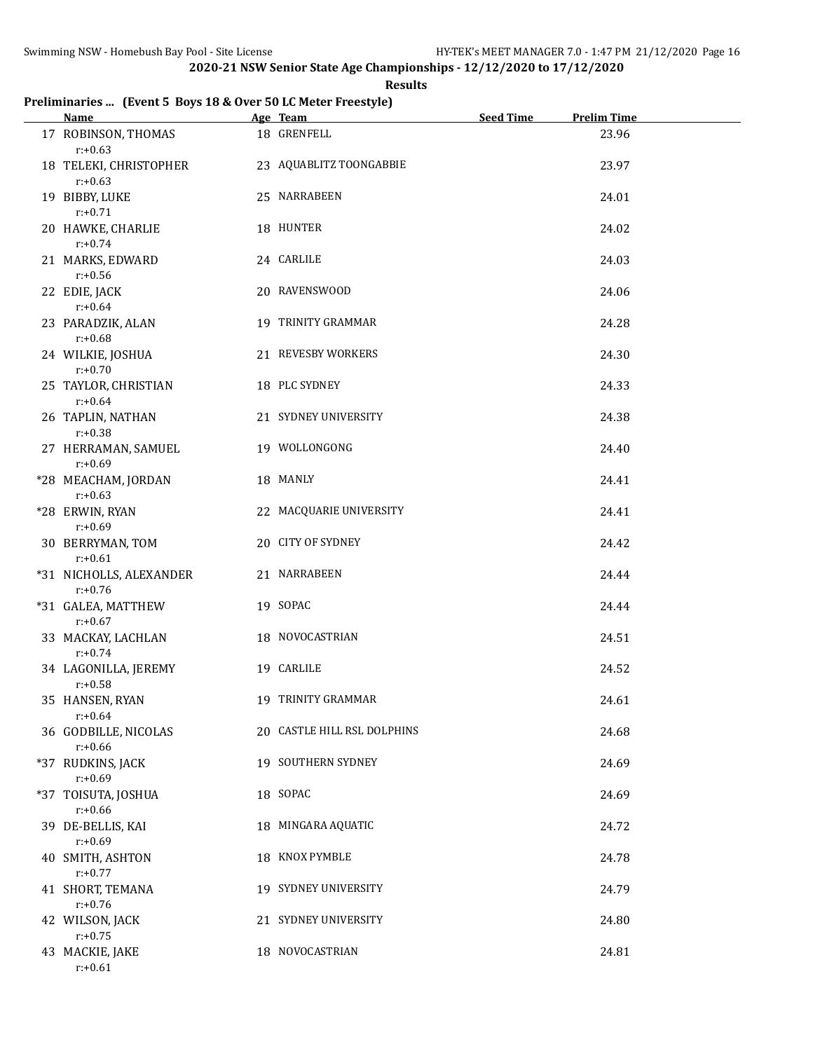#### **Results**

# **Preliminaries ... (Event 5 Boys 18 & Over 50 LC Meter Freestyle)**

| <b>Name</b>                           | Age Team                    | <b>Seed Time</b> | <b>Prelim Time</b> |
|---------------------------------------|-----------------------------|------------------|--------------------|
| 17 ROBINSON, THOMAS<br>$r: +0.63$     | 18 GRENFELL                 |                  | 23.96              |
| 18 TELEKI, CHRISTOPHER<br>$r: +0.63$  | 23 AQUABLITZ TOONGABBIE     |                  | 23.97              |
| 19 BIBBY, LUKE<br>$r: +0.71$          | 25 NARRABEEN                |                  | 24.01              |
| 20 HAWKE, CHARLIE<br>$r: +0.74$       | 18 HUNTER                   |                  | 24.02              |
| 21 MARKS, EDWARD<br>$r: +0.56$        | 24 CARLILE                  |                  | 24.03              |
| 22 EDIE, JACK<br>$r: +0.64$           | 20 RAVENSWOOD               |                  | 24.06              |
| 23 PARADZIK, ALAN<br>$r: +0.68$       | 19 TRINITY GRAMMAR          |                  | 24.28              |
| 24 WILKIE, JOSHUA<br>$r: +0.70$       | 21 REVESBY WORKERS          |                  | 24.30              |
| 25 TAYLOR, CHRISTIAN<br>$r: +0.64$    | 18 PLC SYDNEY               |                  | 24.33              |
| 26 TAPLIN, NATHAN<br>$r: +0.38$       | 21 SYDNEY UNIVERSITY        |                  | 24.38              |
| 27 HERRAMAN, SAMUEL<br>$r: +0.69$     | 19 WOLLONGONG               |                  | 24.40              |
| *28 MEACHAM, JORDAN<br>$r: +0.63$     | 18 MANLY                    |                  | 24.41              |
| *28 ERWIN, RYAN<br>$r: +0.69$         | 22 MACQUARIE UNIVERSITY     |                  | 24.41              |
| 30 BERRYMAN, TOM<br>$r: +0.61$        | 20 CITY OF SYDNEY           |                  | 24.42              |
| *31 NICHOLLS, ALEXANDER<br>$r: +0.76$ | 21 NARRABEEN                |                  | 24.44              |
| *31 GALEA, MATTHEW<br>$r: +0.67$      | 19 SOPAC                    |                  | 24.44              |
| 33 MACKAY, LACHLAN<br>$r: +0.74$      | 18 NOVOCASTRIAN             |                  | 24.51              |
| 34 LAGONILLA, JEREMY<br>$r: +0.58$    | 19 CARLILE                  |                  | 24.52              |
| 35 HANSEN, RYAN<br>$r: +0.64$         | 19 TRINITY GRAMMAR          |                  | 24.61              |
| 36 GODBILLE, NICOLAS<br>$r: +0.66$    | 20 CASTLE HILL RSL DOLPHINS |                  | 24.68              |
| *37 RUDKINS, JACK<br>$r: +0.69$       | 19 SOUTHERN SYDNEY          |                  | 24.69              |
| *37 TOISUTA, JOSHUA<br>$r: +0.66$     | 18 SOPAC                    |                  | 24.69              |
| 39 DE-BELLIS, KAI<br>$r: +0.69$       | 18 MINGARA AQUATIC          |                  | 24.72              |
| 40 SMITH, ASHTON<br>$r: +0.77$        | 18 KNOX PYMBLE              |                  | 24.78              |
| 41 SHORT, TEMANA<br>$r: +0.76$        | 19 SYDNEY UNIVERSITY        |                  | 24.79              |
| 42 WILSON, JACK<br>$r: +0.75$         | 21 SYDNEY UNIVERSITY        |                  | 24.80              |
| 43 MACKIE, JAKE<br>$r: +0.61$         | 18 NOVOCASTRIAN             |                  | 24.81              |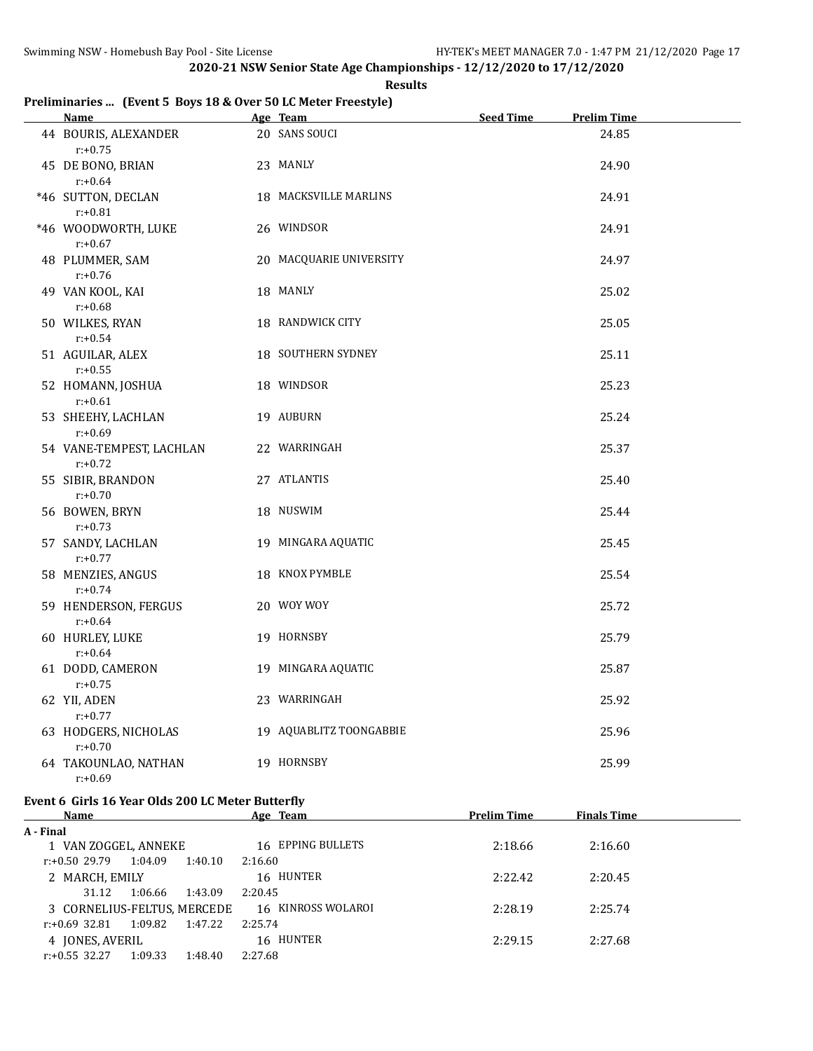#### **Results**

# **Preliminaries ... (Event 5 Boys 18 & Over 50 LC Meter Freestyle)**

| Name <b>Name</b>                       | Age Team                | Seed Time | <b>Prelim Time</b> |
|----------------------------------------|-------------------------|-----------|--------------------|
| 44 BOURIS, ALEXANDER<br>$r: +0.75$     | 20 SANS SOUCI           |           | 24.85              |
| 45 DE BONO, BRIAN<br>$r: +0.64$        | 23 MANLY                |           | 24.90              |
| *46 SUTTON, DECLAN<br>$r: +0.81$       | 18 MACKSVILLE MARLINS   |           | 24.91              |
| *46 WOODWORTH, LUKE<br>$r: +0.67$      | 26 WINDSOR              |           | 24.91              |
| 48 PLUMMER, SAM<br>$r: +0.76$          | 20 MACQUARIE UNIVERSITY |           | 24.97              |
| 49 VAN KOOL, KAI<br>$r: +0.68$         | 18 MANLY                |           | 25.02              |
| 50 WILKES, RYAN<br>$r: +0.54$          | 18 RANDWICK CITY        |           | 25.05              |
| 51 AGUILAR, ALEX<br>$r: +0.55$         | 18 SOUTHERN SYDNEY      |           | 25.11              |
| 52 HOMANN, JOSHUA<br>$r: +0.61$        | 18 WINDSOR              |           | 25.23              |
| 53 SHEEHY, LACHLAN<br>$r: +0.69$       | 19 AUBURN               |           | 25.24              |
| 54 VANE-TEMPEST, LACHLAN<br>$r: +0.72$ | 22 WARRINGAH            |           | 25.37              |
| 55 SIBIR, BRANDON<br>$r: +0.70$        | 27 ATLANTIS             |           | 25.40              |
| 56 BOWEN, BRYN<br>$r: +0.73$           | 18 NUSWIM               |           | 25.44              |
| 57 SANDY, LACHLAN<br>$r: +0.77$        | 19 MINGARA AQUATIC      |           | 25.45              |
| 58 MENZIES, ANGUS<br>$r: +0.74$        | 18 KNOX PYMBLE          |           | 25.54              |
| 59 HENDERSON, FERGUS<br>$r: +0.64$     | 20 WOY WOY              |           | 25.72              |
| 60 HURLEY, LUKE<br>$r: +0.64$          | 19 HORNSBY              |           | 25.79              |
| 61 DODD, CAMERON<br>$r: +0.75$         | 19 MINGARA AQUATIC      |           | 25.87              |
| 62 YII, ADEN<br>$r: +0.77$             | 23 WARRINGAH            |           | 25.92              |
| 63 HODGERS, NICHOLAS<br>$r: +0.70$     | 19 AQUABLITZ TOONGABBIE |           | 25.96              |
| 64 TAKOUNLAO, NATHAN<br>$r: +0.69$     | 19 HORNSBY              |           | 25.99              |

#### **Event 6 Girls 16 Year Olds 200 LC Meter Butterfly**

| Name                                   | Age Team           | <b>Prelim Time</b> | <b>Finals Time</b> |
|----------------------------------------|--------------------|--------------------|--------------------|
| A - Final                              |                    |                    |                    |
| 1 VAN ZOGGEL, ANNEKE                   | 16 EPPING BULLETS  | 2:18.66            | 2:16.60            |
| 1:04.09<br>1:40.10<br>r:+0.50 29.79    | 2:16.60            |                    |                    |
| 2 MARCH, EMILY                         | 16 HUNTER          | 2:22.42            | 2:20.45            |
| 1:06.66<br>1:43.09<br>31.12            | 2:20.45            |                    |                    |
| 3 CORNELIUS-FELTUS, MERCEDE            | 16 KINROSS WOLAROI | 2:28.19            | 2:25.74            |
| 1:09.82<br>1:47.22<br>$r: +0.69$ 32.81 | 2:25.74            |                    |                    |
| 4 JONES, AVERIL                        | 16 HUNTER          | 2:29.15            | 2:27.68            |
| 1:09.33<br>$r: +0.55$ 32.27<br>1:48.40 | 2:27.68            |                    |                    |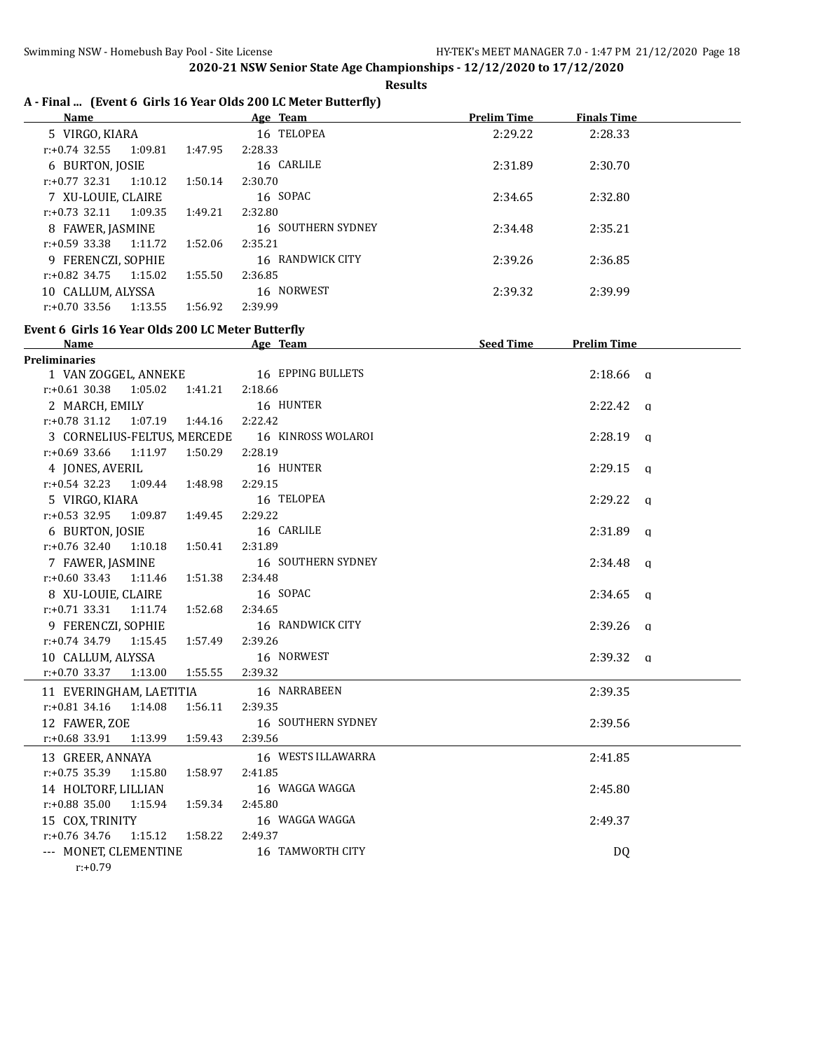**Results**

# **A - Final ... (Event 6 Girls 16 Year Olds 200 LC Meter Butterfly)**

| Name                        |         | Age Team           | <b>Prelim Time</b> | <b>Finals Time</b> |  |
|-----------------------------|---------|--------------------|--------------------|--------------------|--|
| 5 VIRGO, KIARA              |         | 16 TELOPEA         | 2:29.22            | 2:28.33            |  |
| 1:09.81<br>$r: +0.74$ 32.55 | 1:47.95 | 2:28.33            |                    |                    |  |
| 6 BURTON, JOSIE             |         | 16 CARLILE         | 2:31.89            | 2:30.70            |  |
| 1:10.12<br>r:+0.77 32.31    | 1:50.14 | 2:30.70            |                    |                    |  |
| 7 XU-LOUIE, CLAIRE          |         | 16 SOPAC           | 2:34.65            | 2:32.80            |  |
| 1:09.35<br>$r: +0.73$ 32.11 | 1:49.21 | 2:32.80            |                    |                    |  |
| 8 FAWER, JASMINE            |         | 16 SOUTHERN SYDNEY | 2:34.48            | 2:35.21            |  |
| $r: +0.59$ 33.38<br>1:11.72 | 1:52.06 | 2:35.21            |                    |                    |  |
| 9 FERENCZI, SOPHIE          |         | 16 RANDWICK CITY   | 2:39.26            | 2:36.85            |  |
| 1:15.02<br>r:+0.82 34.75    | 1:55.50 | 2:36.85            |                    |                    |  |
| 10 CALLUM, ALYSSA           |         | 16 NORWEST         | 2:39.32            | 2:39.99            |  |
| 1:13.55<br>$r: +0.70$ 33.56 | 1:56.92 | 2:39.99            |                    |                    |  |

# **Event 6 Girls 16 Year Olds 200 LC Meter Butterfly**

| <b>Name</b>                              | Age Team                                       | <b>Seed Time</b> | <b>Prelim Time</b> |  |
|------------------------------------------|------------------------------------------------|------------------|--------------------|--|
| <b>Preliminaries</b>                     |                                                |                  |                    |  |
|                                          | 1 VAN ZOGGEL, ANNEKE 16 EPPING BULLETS         |                  | $2:18.66$ q        |  |
| r:+0.61 30.38 1:05.02 1:41.21 2:18.66    |                                                |                  |                    |  |
| 2 MARCH, EMILY                           | 16 HUNTER                                      |                  | $2:22.42$ q        |  |
| r:+0.78 31.12 1:07.19 1:44.16 2:22.42    |                                                |                  |                    |  |
|                                          | 3 CORNELIUS-FELTUS, MERCEDE 16 KINROSS WOLAROI |                  | $2:28.19$ q        |  |
| $r.+0.69$ 33.66 1:11.97 1:50.29 2:28.19  |                                                |                  |                    |  |
| 4 JONES, AVERIL                          | 16 HUNTER                                      |                  | $2:29.15$ q        |  |
| $r: +0.54$ 32.23 1:09.44 1:48.98         | 2:29.15                                        |                  |                    |  |
| 5 VIRGO, KIARA                           | 16 TELOPEA                                     |                  | $2:29.22$ a        |  |
| $r: +0.53$ 32.95 1:09.87 1:49.45         | 2:29.22                                        |                  |                    |  |
| 6 BURTON, JOSIE                          | 16 CARLILE                                     |                  | $2:31.89$ q        |  |
| $r.+0.76$ 32.40 1:10.18 1:50.41          | 2:31.89                                        |                  |                    |  |
| 7 FAWER, JASMINE                         | 16 SOUTHERN SYDNEY                             |                  | $2:34.48$ q        |  |
| $r.+0.60$ 33.43 1:11.46 1:51.38          | 2:34.48                                        |                  |                    |  |
| 8 XU-LOUIE, CLAIRE                       | 16 SOPAC                                       |                  | $2:34.65$ q        |  |
| $r.+0.71$ 33.31 1:11.74 1:52.68          | 2:34.65                                        |                  |                    |  |
| 9 FERENCZI, SOPHIE                       | 16 RANDWICK CITY                               |                  | $2:39.26$ q        |  |
| $r: +0.74$ 34.79 1:15.45 1:57.49         | 2:39.26                                        |                  |                    |  |
| 10 CALLUM, ALYSSA                        | 16 NORWEST                                     |                  | $2:39.32$ q        |  |
| r:+0.70 33.37 1:13.00 1:55.55 2:39.32    |                                                |                  |                    |  |
| 11 EVERINGHAM, LAETITIA                  | 16 NARRABEEN                                   |                  | 2:39.35            |  |
| $r: +0.81$ 34.16 1:14.08 1:56.11         | 2:39.35                                        |                  |                    |  |
| 12 FAWER, ZOE                            | 16 SOUTHERN SYDNEY                             |                  | 2:39.56            |  |
| $r.+0.68$ 33.91 1:13.99 1:59.43          | 2:39.56                                        |                  |                    |  |
| 13 GREER, ANNAYA                         | 16 WESTS ILLAWARRA                             |                  | 2:41.85            |  |
| $r: +0.75$ 35.39 1:15.80 1:58.97         | 2:41.85                                        |                  |                    |  |
| 14 HOLTORF, LILLIAN                      | 16 WAGGA WAGGA                                 |                  | 2:45.80            |  |
| $r.+0.88$ 35.00 1:15.94 1:59.34          | 2:45.80                                        |                  |                    |  |
| 15 COX, TRINITY                          | 16 WAGGA WAGGA                                 |                  | 2:49.37            |  |
| $r: +0.76$ 34.76 1:15.12 1:58.22 2:49.37 |                                                |                  |                    |  |
| --- MONET, CLEMENTINE                    | 16 TAMWORTH CITY                               |                  | DQ                 |  |
| $r: +0.79$                               |                                                |                  |                    |  |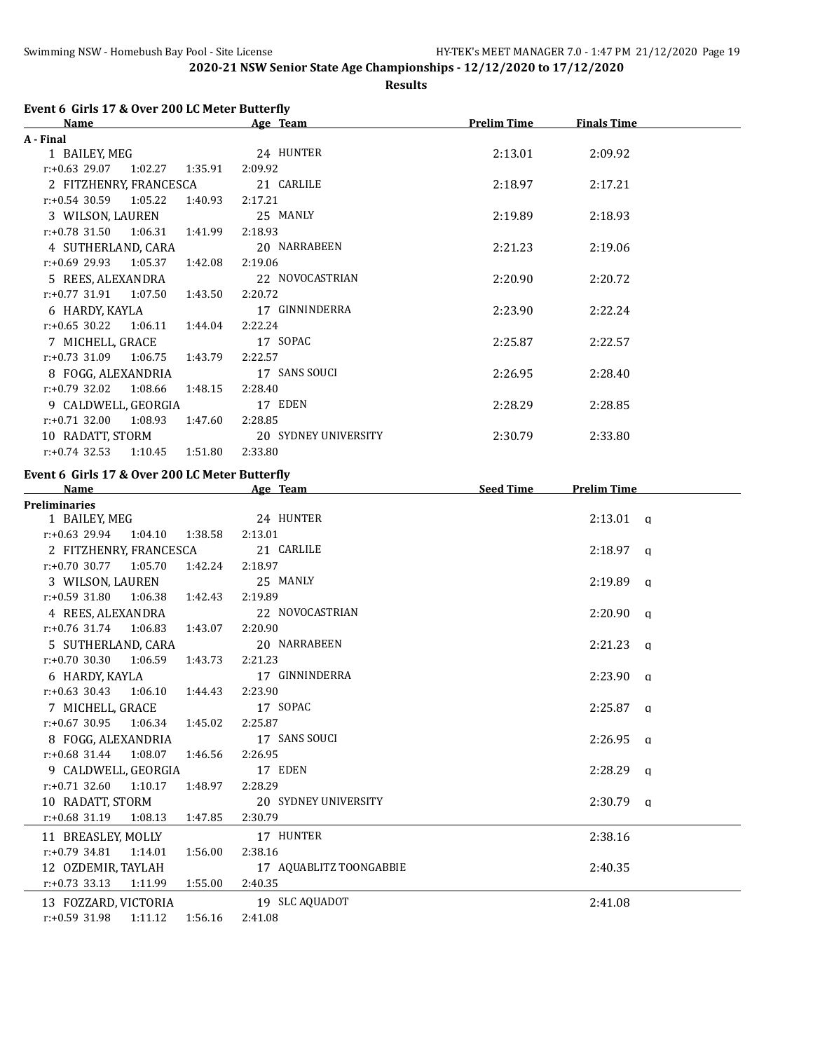**Results**

# **Event 6 Girls 17 & Over 200 LC Meter Butterfly**

| Name                            |                    | Age Team             | <b>Prelim Time</b> | <b>Finals Time</b> |
|---------------------------------|--------------------|----------------------|--------------------|--------------------|
| A - Final                       |                    |                      |                    |                    |
| 1 BAILEY, MEG                   |                    | 24 HUNTER            | 2:13.01            | 2:09.92            |
| $r.+0.63$ 29.07 1:02.27 1:35.91 | 2:09.92            |                      |                    |                    |
| 2 FITZHENRY, FRANCESCA          |                    | 21 CARLILE           | 2:18.97            | 2:17.21            |
| $r.+0.54$ 30.59 1:05.22         | 1:40.93<br>2:17.21 |                      |                    |                    |
| 3 WILSON, LAUREN                |                    | 25 MANLY             | 2:19.89            | 2:18.93            |
| $r.+0.78$ 31.50 1:06.31         | 1:41.99<br>2:18.93 |                      |                    |                    |
| 4 SUTHERLAND, CARA              |                    | 20 NARRABEEN         | 2:21.23            | 2:19.06            |
| $r: +0.69$ 29.93 1:05.37        | 1:42.08<br>2:19.06 |                      |                    |                    |
| 5 REES, ALEXANDRA               |                    | 22 NOVOCASTRIAN      | 2:20.90            | 2:20.72            |
| $r.+0.77$ 31.91 1:07.50         | 1:43.50<br>2:20.72 |                      |                    |                    |
| 6 HARDY, KAYLA                  |                    | 17 GINNINDERRA       | 2:23.90            | 2:22.24            |
| $r: +0.65$ 30.22 1:06.11        | 1:44.04<br>2:22.24 |                      |                    |                    |
| 7 MICHELL, GRACE                |                    | 17 SOPAC             | 2:25.87            | 2:22.57            |
| $r: +0.73$ 31.09<br>1:06.75     | 1:43.79<br>2:22.57 |                      |                    |                    |
| 8 FOGG, ALEXANDRIA              |                    | 17 SANS SOUCI        | 2:26.95            | 2:28.40            |
| 1:08.66<br>$r: +0.79$ 32.02     | 1:48.15<br>2:28.40 |                      |                    |                    |
| 9 CALDWELL, GEORGIA             |                    | 17 EDEN              | 2:28.29            | 2:28.85            |
| $r: +0.71$ 32.00<br>1:08.93     | 1:47.60<br>2:28.85 |                      |                    |                    |
| 10 RADATT, STORM                |                    | 20 SYDNEY UNIVERSITY | 2:30.79            | 2:33.80            |
| $r: +0.74$ 32.53<br>1:10.45     | 1:51.80<br>2:33.80 |                      |                    |                    |

### **Event 6 Girls 17 & Over 200 LC Meter Butterfly**

| <b>Name</b>                      |         | Age Team                | <b>Seed Time</b> | <b>Prelim Time</b> |  |
|----------------------------------|---------|-------------------------|------------------|--------------------|--|
| <b>Preliminaries</b>             |         |                         |                  |                    |  |
| 1 BAILEY, MEG                    |         | 24 HUNTER               |                  | $2:13.01$ q        |  |
| $r: +0.63$ 29.94 1:04.10 1:38.58 |         | 2:13.01                 |                  |                    |  |
| 2 FITZHENRY, FRANCESCA           |         | 21 CARLILE              |                  | $2:18.97$ q        |  |
| $r: +0.70$ 30.77 1:05.70         | 1:42.24 | 2:18.97                 |                  |                    |  |
| 3 WILSON, LAUREN                 |         | 25 MANLY                |                  | $2:19.89$ a        |  |
| $r: +0.59$ 31.80 1:06.38 1:42.43 |         | 2:19.89                 |                  |                    |  |
| 4 REES, ALEXANDRA                |         | 22 NOVOCASTRIAN         |                  | $2:20.90$ a        |  |
| $r: +0.76$ 31.74 1:06.83         | 1:43.07 | 2:20.90                 |                  |                    |  |
| 5 SUTHERLAND, CARA               |         | 20 NARRABEEN            |                  | $2:21.23$ q        |  |
| $r: +0.70$ 30.30 1:06.59 1:43.73 |         | 2:21.23                 |                  |                    |  |
| 6 HARDY, KAYLA                   |         | 17 GINNINDERRA          |                  | $2:23.90$ q        |  |
| $r.+0.63$ 30.43 1:06.10 1:44.43  |         | 2:23.90                 |                  |                    |  |
| 7 MICHELL, GRACE                 |         | 17 SOPAC                |                  | $2:25.87$ a        |  |
| $r: +0.67$ 30.95 1:06.34 1:45.02 |         | 2:25.87                 |                  |                    |  |
| 8 FOGG, ALEXANDRIA               |         | 17 SANS SOUCI           |                  | $2:26.95$ a        |  |
| $r: +0.68$ 31.44 1:08.07         | 1:46.56 | 2:26.95                 |                  |                    |  |
| 9 CALDWELL, GEORGIA              |         | 17 EDEN                 |                  | $2:28.29$ a        |  |
| $r: +0.71$ 32.60 1:10.17 1:48.97 |         | 2:28.29                 |                  |                    |  |
| 10 RADATT, STORM                 |         | 20 SYDNEY UNIVERSITY    |                  | $2:30.79$ a        |  |
| $r: +0.68$ 31.19 1:08.13 1:47.85 |         | 2:30.79                 |                  |                    |  |
| 11 BREASLEY, MOLLY               |         | 17 HUNTER               |                  | 2:38.16            |  |
| $r: +0.79$ 34.81 1:14.01         | 1:56.00 | 2:38.16                 |                  |                    |  |
| 12 OZDEMIR, TAYLAH               |         | 17 AQUABLITZ TOONGABBIE |                  | 2:40.35            |  |
| $r.+0.73$ 33.13 1:11.99          | 1:55.00 | 2:40.35                 |                  |                    |  |
| 13 FOZZARD, VICTORIA             |         | 19 SLC AQUADOT          |                  | 2:41.08            |  |
| $r: +0.59$ 31.98 1:11.12 1:56.16 |         | 2:41.08                 |                  |                    |  |
|                                  |         |                         |                  |                    |  |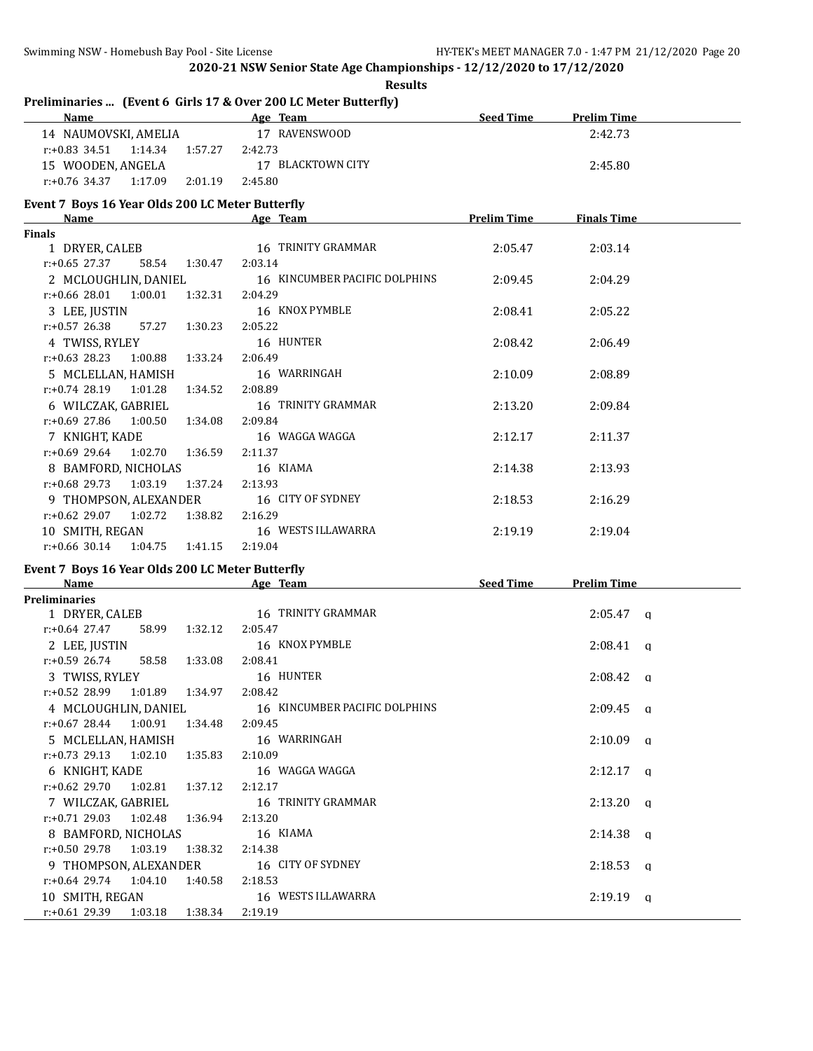| <b>Results</b>                                                  |                               |                    |                     |  |  |
|-----------------------------------------------------------------|-------------------------------|--------------------|---------------------|--|--|
| Preliminaries  (Event 6 Girls 17 & Over 200 LC Meter Butterfly) |                               |                    |                     |  |  |
| <b>Name</b>                                                     | Age Team                      | <b>Seed Time</b>   | <b>Prelim Time</b>  |  |  |
| 14 NAUMOVSKI, AMELIA                                            | 17 RAVENSWOOD                 |                    | 2:42.73             |  |  |
| $r: +0.83$ 34.51<br>1:14.34<br>1:57.27                          | 2:42.73                       |                    |                     |  |  |
| 15 WOODEN, ANGELA                                               | 17 BLACKTOWN CITY             |                    | 2:45.80             |  |  |
| $r: +0.76$ 34.37<br>1:17.09<br>2:01.19                          | 2:45.80                       |                    |                     |  |  |
| Event 7 Boys 16 Year Olds 200 LC Meter Butterfly                |                               |                    |                     |  |  |
| Name                                                            | Age Team                      | <b>Prelim Time</b> | <b>Finals Time</b>  |  |  |
| <b>Finals</b>                                                   |                               |                    |                     |  |  |
| 1 DRYER, CALEB                                                  | 16 TRINITY GRAMMAR            | 2:05.47            | 2:03.14             |  |  |
| $r: +0.65$ 27.37<br>58.54<br>1:30.47                            | 2:03.14                       |                    |                     |  |  |
| 2 MCLOUGHLIN, DANIEL                                            | 16 KINCUMBER PACIFIC DOLPHINS | 2:09.45            | 2:04.29             |  |  |
| 1:00.01<br>$r: +0.66$ 28.01<br>1:32.31                          | 2:04.29                       |                    |                     |  |  |
| 3 LEE, JUSTIN                                                   | 16 KNOX PYMBLE                | 2:08.41            | 2:05.22             |  |  |
| $r: +0.57$ 26.38<br>57.27<br>1:30.23                            | 2:05.22                       |                    |                     |  |  |
| 4 TWISS, RYLEY                                                  | 16 HUNTER                     | 2:08.42            | 2:06.49             |  |  |
| $r: +0.63$ 28.23<br>1:33.24<br>1:00.88                          | 2:06.49                       |                    |                     |  |  |
| 5 MCLELLAN, HAMISH                                              | 16 WARRINGAH                  | 2:10.09            | 2:08.89             |  |  |
| r:+0.74 28.19<br>1:01.28<br>1:34.52                             | 2:08.89                       |                    |                     |  |  |
| 6 WILCZAK, GABRIEL                                              | 16 TRINITY GRAMMAR            | 2:13.20            | 2:09.84             |  |  |
| r:+0.69 27.86<br>1:00.50<br>1:34.08                             | 2:09.84                       |                    |                     |  |  |
| 7 KNIGHT, KADE                                                  | 16 WAGGA WAGGA                | 2:12.17            | 2:11.37             |  |  |
| $r: +0.69$ 29.64<br>1:02.70<br>1:36.59                          | 2:11.37                       |                    |                     |  |  |
| 8 BAMFORD, NICHOLAS                                             | 16 KIAMA                      | 2:14.38            | 2:13.93             |  |  |
| $r: +0.68$ 29.73<br>1:03.19<br>1:37.24                          | 2:13.93                       |                    |                     |  |  |
| 9 THOMPSON, ALEXANDER                                           | 16 CITY OF SYDNEY             | 2:18.53            | 2:16.29             |  |  |
| $r: +0.62$ 29.07<br>1:02.72<br>1:38.82                          | 2:16.29                       |                    |                     |  |  |
| 10 SMITH, REGAN                                                 | 16 WESTS ILLAWARRA            | 2:19.19            | 2:19.04             |  |  |
| $r: +0.66$ 30.14<br>1:04.75<br>1:41.15                          | 2:19.04                       |                    |                     |  |  |
| Event 7 Boys 16 Year Olds 200 LC Meter Butterfly                |                               |                    |                     |  |  |
| Name                                                            | Age Team                      | <b>Seed Time</b>   | <b>Prelim Time</b>  |  |  |
| <b>Preliminaries</b>                                            |                               |                    |                     |  |  |
| 1 DRYER, CALEB                                                  | 16 TRINITY GRAMMAR            |                    | $2:05.47$ a         |  |  |
| $r: +0.64$ 27.47<br>58.99<br>1:32.12                            | 2:05.47                       |                    |                     |  |  |
| 2 LEE, JUSTIN                                                   | 16 KNOX PYMBLE                |                    | 2:08.41<br><b>a</b> |  |  |
| $r+0.59$ 26.74<br>58.58<br>1:33.08                              | 2:08.41                       |                    |                     |  |  |
| 3 TWISS, RYLEY                                                  | 16 HUNTER                     |                    | $2:08.42$ a         |  |  |
| r:+0.52 28.99<br>1:01.89<br>1:34.97                             | 2:08.42                       |                    |                     |  |  |
| 4 MCLOUGHLIN, DANIEL                                            | 16 KINCUMBER PACIFIC DOLPHINS |                    | $2:09.45$ q         |  |  |
| $r: +0.67$ 28.44<br>1:00.91<br>1:34.48                          | 2:09.45                       |                    |                     |  |  |
| 5 MCLELLAN, HAMISH                                              | 16 WARRINGAH                  |                    | $2:10.09$ q         |  |  |
| $r: +0.73$ 29.13<br>1:02.10<br>1:35.83                          | 2:10.09                       |                    |                     |  |  |
| 6 KNIGHT, KADE                                                  | 16 WAGGA WAGGA                |                    | $2:12.17$ a         |  |  |
| r:+0.62 29.70<br>1:02.81<br>1:37.12                             | 2:12.17                       |                    |                     |  |  |
| 7 WILCZAK, GABRIEL                                              | 16 TRINITY GRAMMAR            |                    | $2:13.20$ q         |  |  |
| $r: +0.71$ 29.03<br>1:36.94<br>1:02.48                          | 2:13.20                       |                    |                     |  |  |
| 8 BAMFORD, NICHOLAS                                             | 16 KIAMA                      |                    | $2:14.38$ q         |  |  |
| $r: +0.50$ 29.78<br>1:03.19<br>1:38.32                          | 2:14.38                       |                    |                     |  |  |
| 9 THOMPSON, ALEXANDER                                           | 16 CITY OF SYDNEY             |                    |                     |  |  |
| $r+0.64$ 29.74<br>1:04.10<br>1:40.58                            | 2:18.53                       |                    | $2:18.53$ q         |  |  |
| 10 SMITH, REGAN                                                 | 16 WESTS ILLAWARRA            |                    | $2:19.19$ q         |  |  |
| r:+0.61 29.39<br>1:03.18<br>1:38.34                             | 2:19.19                       |                    |                     |  |  |
|                                                                 |                               |                    |                     |  |  |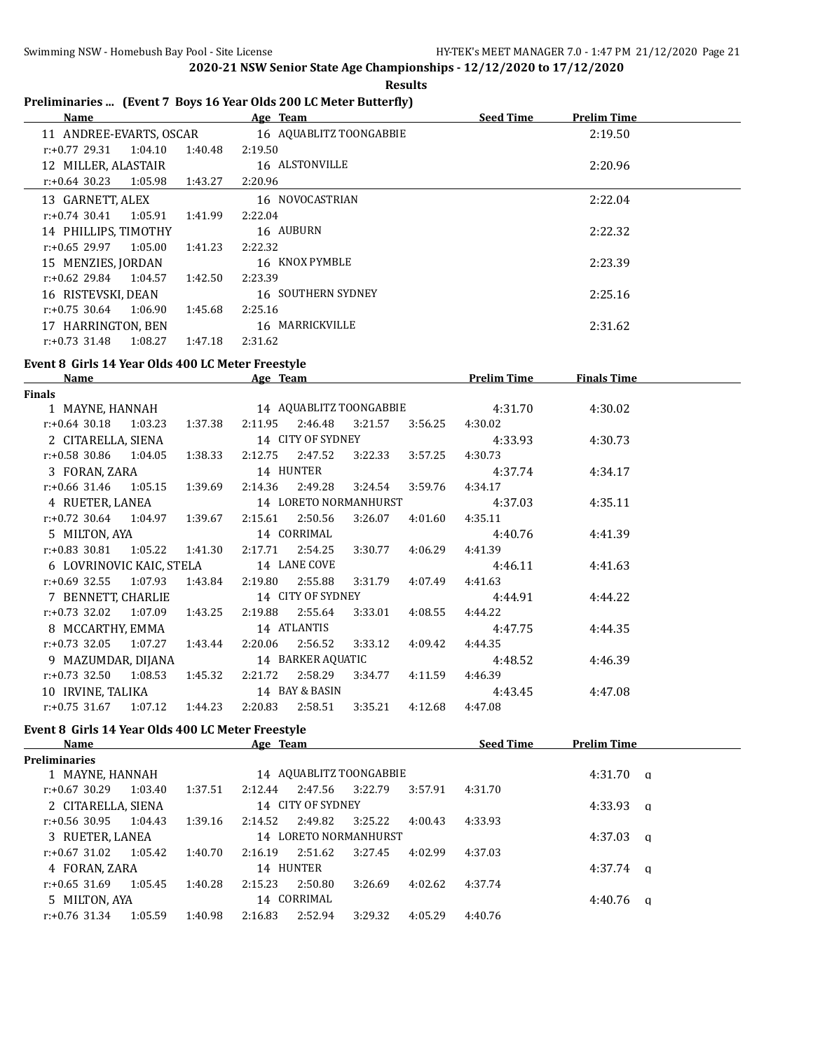|                                                                   |  |  | <b>Results</b> |
|-------------------------------------------------------------------|--|--|----------------|
| Preliminaries  (Event 7 Boys 16 Year Olds 200 LC Meter Butterfly) |  |  |                |

| <u>Name</u>                                       |         | <b>Example 20 Age Team Age of Time 20 Age Team 20 Age Team 20 Age Team 20 Age 20 Age 20 Age 20 Age 20 Age 20 Age 20 Age 20 Age 20 Age 20 Age 20 Age 20 Age 20 Age 20 Age 20 Age 20 Age 20 Age 20 Age 20 Age 20 Age 20 Age 20 Age</b> |                 |                 |                    |                    |  |
|---------------------------------------------------|---------|--------------------------------------------------------------------------------------------------------------------------------------------------------------------------------------------------------------------------------------|-----------------|-----------------|--------------------|--------------------|--|
| 11 ANDREE-EVARTS, OSCAR 16 AQUABLITZ TOONGABBIE   |         |                                                                                                                                                                                                                                      |                 |                 |                    | 2:19.50            |  |
| $r: +0.77$ 29.31<br>1:04.10                       | 1:40.48 | 2:19.50                                                                                                                                                                                                                              |                 |                 |                    |                    |  |
| 12 MILLER, ALASTAIR                               |         | 16 ALSTONVILLE                                                                                                                                                                                                                       |                 |                 |                    | 2:20.96            |  |
| $r: +0.64$ 30.23<br>1:05.98  1:43.27  2:20.96     |         |                                                                                                                                                                                                                                      |                 |                 |                    |                    |  |
| 13 GARNETT, ALEX                                  |         | 16 NOVOCASTRIAN                                                                                                                                                                                                                      |                 |                 |                    | 2:22.04            |  |
| $r: +0.74$ 30.41 1:05.91                          | 1:41.99 | 2:22.04                                                                                                                                                                                                                              |                 |                 |                    |                    |  |
| 14 PHILLIPS, TIMOTHY                              |         | 16 AUBURN                                                                                                                                                                                                                            |                 |                 |                    | 2:22.32            |  |
| $r: +0.65$ 29.97 1:05.00                          | 1:41.23 | 2:22.32                                                                                                                                                                                                                              |                 |                 |                    |                    |  |
| 15 MENZIES, JORDAN                                |         | 16 KNOX PYMBLE                                                                                                                                                                                                                       |                 |                 |                    | 2:23.39            |  |
| $r.+0.62$ 29.84 1:04.57                           | 1:42.50 | 2:23.39                                                                                                                                                                                                                              |                 |                 |                    |                    |  |
| 16 RISTEVSKI, DEAN                                |         | 16 SOUTHERN SYDNEY                                                                                                                                                                                                                   |                 |                 |                    | 2:25.16            |  |
| $r: +0.75$ 30.64<br>1:06.90 1:45.68               |         | 2:25.16                                                                                                                                                                                                                              |                 |                 |                    |                    |  |
| 17 HARRINGTON, BEN                                |         | 16 MARRICKVILLE                                                                                                                                                                                                                      |                 |                 |                    | 2:31.62            |  |
| $r: +0.73$ 31.48<br>1:08.27 1:47.18               |         | 2:31.62                                                                                                                                                                                                                              |                 |                 |                    |                    |  |
|                                                   |         |                                                                                                                                                                                                                                      |                 |                 |                    |                    |  |
| Event 8 Girls 14 Year Olds 400 LC Meter Freestyle |         |                                                                                                                                                                                                                                      |                 |                 |                    |                    |  |
| Name Age Team Age Team Prelim Time                |         |                                                                                                                                                                                                                                      |                 |                 |                    | <b>Finals Time</b> |  |
| Finals                                            |         |                                                                                                                                                                                                                                      |                 |                 |                    |                    |  |
| 1 MAYNE, HANNAH 14 AQUABLITZ TOONGABBIE           |         |                                                                                                                                                                                                                                      |                 |                 | 4:31.70            | 4:30.02            |  |
| $r: +0.64$ 30.18                                  |         | 1:03.23  1:37.38  2:11.95  2:46.48                                                                                                                                                                                                   |                 | 3:21.57 3:56.25 | 4:30.02            |                    |  |
| 2 CITARELLA, SIENA                                |         | 14 CITY OF SYDNEY                                                                                                                                                                                                                    |                 |                 | 4:33.93            | 4:30.73            |  |
| $r.+0.58$ 30.86 1:04.05                           | 1:38.33 | 2:12.75                                                                                                                                                                                                                              | 2:47.52 3:22.33 | 3:57.25         | 4:30.73            |                    |  |
| 3 FORAN, ZARA                                     |         | 14 HUNTER                                                                                                                                                                                                                            |                 |                 | 4:37.74            | 4:34.17            |  |
| $r: +0.66$ 31.46<br>1:05.15 1:39.69               |         | 2:14.36<br>2:49.28                                                                                                                                                                                                                   | 3:24.54         | 3:59.76         | 4:34.17            |                    |  |
| 4 RUETER, LANEA                                   |         | 14 LORETO NORMANHURST                                                                                                                                                                                                                |                 |                 | 4:37.03            | 4:35.11            |  |
| $r.+0.72$ 30.64 1:04.97 1:39.67                   |         | 2:50.56<br>2:15.61                                                                                                                                                                                                                   | 3:26.07         | 4:01.60         | 4:35.11            |                    |  |
| 5 MILTON, AYA                                     |         | 14 CORRIMAL                                                                                                                                                                                                                          |                 |                 | 4:40.76            | 4:41.39            |  |
| $r: +0.83$ 30.81<br>1:05.22                       | 1:41.30 | 2:17.71<br>2:54.25                                                                                                                                                                                                                   | 3:30.77         | 4:06.29         | 4:41.39            |                    |  |
| 6 LOVRINOVIC KAIC, STELA                          |         | 14 LANE COVE<br>2:55.88                                                                                                                                                                                                              |                 |                 | 4:46.11<br>4:41.63 | 4:41.63            |  |
| $r: +0.69$ 32.55<br>1:07.93<br>7 BENNETT, CHARLIE | 1:43.84 | 2:19.80<br>14 CITY OF SYDNEY                                                                                                                                                                                                         | 3:31.79         | 4:07.49         |                    | 4:44.22            |  |
| $r: +0.73$ 32.02<br>1:07.09 1:43.25               |         | 2:19.88 2:55.64                                                                                                                                                                                                                      | 3:33.01         | 4:08.55         | 4:44.91<br>4:44.22 |                    |  |
| 8 MCCARTHY, EMMA                                  |         | 14 ATLANTIS                                                                                                                                                                                                                          |                 |                 |                    |                    |  |
| $r: +0.73$ 32.05<br>1:07.27  1:43.44              |         | 2:20.06<br>2:56.52                                                                                                                                                                                                                   | 3:33.12         | 4:09.42         | 4:47.75<br>4:44.35 | 4:44.35            |  |
| 9 MAZUMDAR, DIJANA 14 BARKER AQUATIC              |         |                                                                                                                                                                                                                                      |                 |                 | 4:48.52            | 4:46.39            |  |
| 1:08.53  1:45.32  2:21.72<br>$r: +0.73$ 32.50     |         | 2:58.29                                                                                                                                                                                                                              |                 | 3:34.77 4:11.59 | 4:46.39            |                    |  |
| 10 IRVINE, TALIKA                                 |         | 14 BAY & BASIN                                                                                                                                                                                                                       |                 |                 | 4:43.45            | 4:47.08            |  |
| 1:07.12  1:44.23<br>$r: +0.75$ 31.67              |         | 2:20.83<br>2:58.51                                                                                                                                                                                                                   | 3:35.21         | 4:12.68         | 4:47.08            |                    |  |
|                                                   |         |                                                                                                                                                                                                                                      |                 |                 |                    |                    |  |

# **Event 8 Girls 14 Year Olds 400 LC Meter Freestyle**

| Name                 |         |         | Age Team |                   |                         |         | <b>Seed Time</b> | <b>Prelim Time</b> |          |
|----------------------|---------|---------|----------|-------------------|-------------------------|---------|------------------|--------------------|----------|
| <b>Preliminaries</b> |         |         |          |                   |                         |         |                  |                    |          |
| 1 MAYNE, HANNAH      |         |         |          |                   | 14 AQUABLITZ TOONGABBIE |         |                  | 4:31.70            | $\alpha$ |
| $r: +0.67$ 30.29     | 1:03.40 | 1:37.51 | 2:12.44  | 2:47.56           | 3:22.79                 | 3:57.91 | 4:31.70          |                    |          |
| 2 CITARELLA, SIENA   |         |         |          | 14 CITY OF SYDNEY |                         |         |                  | $4:33.93$ a        |          |
| r:+0.56 30.95        | 1:04.43 | 1:39.16 | 2:14.52  | 2:49.82           | 3:25.22                 | 4:00.43 | 4:33.93          |                    |          |
| 3 RUETER, LANEA      |         |         |          |                   | 14 LORETO NORMANHURST   |         |                  | $4:37.03$ a        |          |
| $r: +0.67$ 31.02     | 1:05.42 | 1:40.70 | 2:16.19  | 2:51.62           | 3:27.45                 | 4:02.99 | 4:37.03          |                    |          |
| 4 FORAN, ZARA        |         |         |          | 14 HUNTER         |                         |         |                  | $4:37.74$ a        |          |
| $r: +0.65$ 31.69     | 1:05.45 | 1:40.28 | 2:15.23  | 2:50.80           | 3:26.69                 | 4:02.62 | 4:37.74          |                    |          |
| 5 MILTON, AYA        |         |         |          | 14 CORRIMAL       |                         |         |                  | $4:40.76$ a        |          |
| $r: +0.76$ 31.34     | 1:05.59 | 1:40.98 | 2:16.83  | 2:52.94           | 3:29.32                 | 4:05.29 | 4:40.76          |                    |          |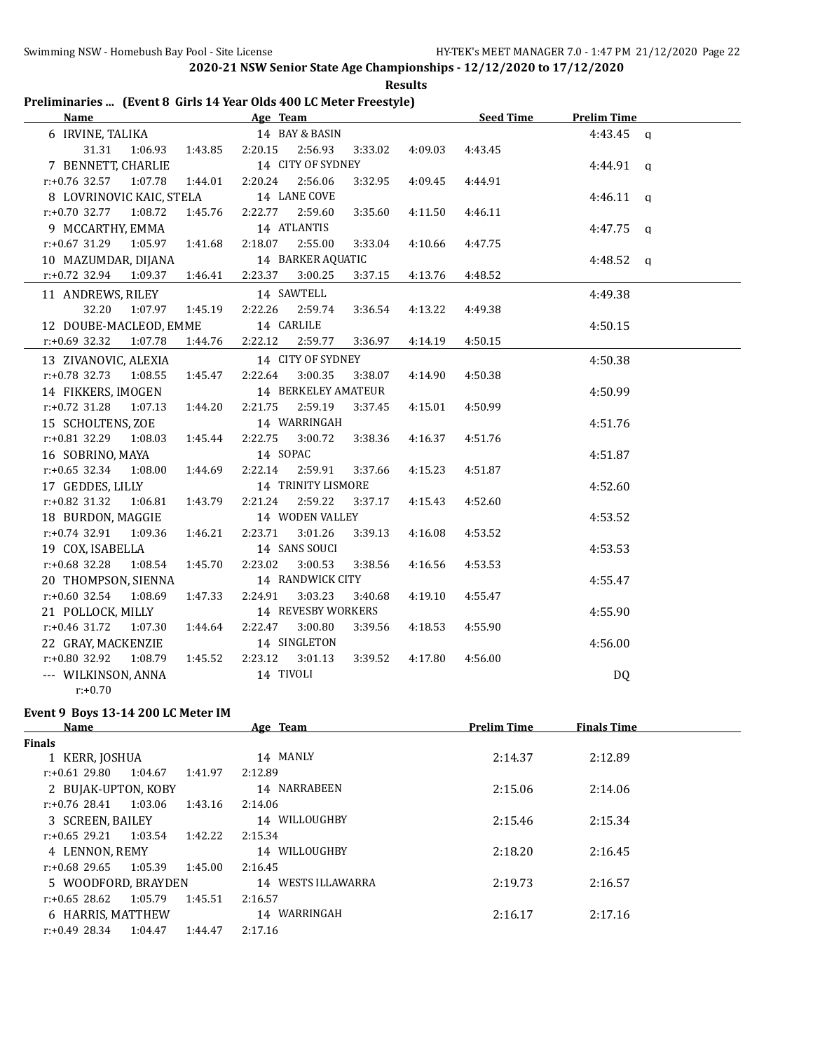| <b>Results</b>                                                     |  |
|--------------------------------------------------------------------|--|
| Preliminaries  (Event 8 Girls 14 Year Olds 400 LC Meter Freestyle) |  |

| <b>Name</b>                       |         |         |                      | Age Team            |         |         | Seed Time | <b>Prelim Time</b> |  |
|-----------------------------------|---------|---------|----------------------|---------------------|---------|---------|-----------|--------------------|--|
| 6 IRVINE, TALIKA                  |         |         |                      | 14 BAY & BASIN      |         |         |           | $4:43.45$ a        |  |
| 31.31                             | 1:06.93 | 1:43.85 | 2:20.15              | 2:56.93             | 3:33.02 | 4:09.03 | 4:43.45   |                    |  |
| 7 BENNETT, CHARLIE                |         |         |                      | 14 CITY OF SYDNEY   |         |         |           | $4:44.91$ q        |  |
| $r: +0.76$ 32.57 1:07.78          |         | 1:44.01 | 2:20.24              | 2:56.06             | 3:32.95 | 4:09.45 | 4:44.91   |                    |  |
| 8 LOVRINOVIC KAIC, STELA          |         |         |                      | 14 LANE COVE        |         |         |           | $4:46.11$ a        |  |
| $r: +0.70$ 32.77                  | 1:08.72 | 1:45.76 | 2:22.77 2:59.60      |                     | 3:35.60 | 4:11.50 | 4:46.11   |                    |  |
| 9 MCCARTHY, EMMA                  |         |         |                      | 14 ATLANTIS         |         |         |           | $4:47.75$ q        |  |
| $r: +0.67$ 31.29                  | 1:05.97 | 1:41.68 | 2:18.07              | 2:55.00             | 3:33.04 | 4:10.66 | 4:47.75   |                    |  |
| 10 MAZUMDAR, DIJANA               |         |         |                      | 14 BARKER AQUATIC   |         |         |           | 4:48.52 $q$        |  |
| r:+0.72 32.94                     | 1:09.37 | 1:46.41 | 2:23.37              | 3:00.25             | 3:37.15 | 4:13.76 | 4:48.52   |                    |  |
| 11 ANDREWS, RILEY                 |         |         |                      | 14 SAWTELL          |         |         |           | 4:49.38            |  |
| 32.20                             | 1:07.97 | 1:45.19 | 2:22.26              | 2:59.74             | 3:36.54 | 4:13.22 | 4:49.38   |                    |  |
| 12 DOUBE-MACLEOD, EMME            |         |         | 14 CARLILE           |                     |         |         |           | 4:50.15            |  |
| $r: +0.69$ 32.32                  | 1:07.78 | 1:44.76 | 2:22.12              | 2:59.77             | 3:36.97 | 4:14.19 | 4:50.15   |                    |  |
| 13 ZIVANOVIC, ALEXIA              |         |         |                      | 14 CITY OF SYDNEY   |         |         |           | 4:50.38            |  |
| $r: +0.78$ 32.73 1:08.55          |         | 1:45.47 | 2:22.64              | 3:00.35             | 3:38.07 | 4:14.90 | 4:50.38   |                    |  |
| 14 FIKKERS, IMOGEN                |         |         |                      | 14 BERKELEY AMATEUR |         |         |           | 4:50.99            |  |
| $r: +0.72$ 31.28                  | 1:07.13 | 1:44.20 | 2:21.75              | 2:59.19             | 3:37.45 | 4:15.01 | 4:50.99   |                    |  |
| 15 SCHOLTENS, ZOE                 |         |         |                      | 14 WARRINGAH        |         |         |           | 4:51.76            |  |
| r:+0.81 32.29 1:08.03             |         | 1:45.44 | 2:22.75              | 3:00.72             | 3:38.36 | 4:16.37 | 4:51.76   |                    |  |
| 16 SOBRINO, MAYA                  |         |         | 14 SOPAC             |                     |         |         |           | 4:51.87            |  |
| $r: +0.65$ 32.34                  | 1:08.00 | 1:44.69 | 2:22.14              | 2:59.91             | 3:37.66 | 4:15.23 | 4:51.87   |                    |  |
| 17 GEDDES, LILLY                  |         |         |                      | 14 TRINITY LISMORE  |         |         |           | 4:52.60            |  |
| $r: +0.82$ 31.32                  | 1:06.81 | 1:43.79 | 2:21.24              | 2:59.22             | 3:37.17 | 4:15.43 | 4:52.60   |                    |  |
| 18 BURDON, MAGGIE                 |         |         |                      | 14 WODEN VALLEY     |         |         |           | 4:53.52            |  |
| $r: +0.74$ 32.91                  | 1:09.36 | 1:46.21 | 2:23.71              | 3:01.26             | 3:39.13 | 4:16.08 | 4:53.52   |                    |  |
| 19 COX, ISABELLA                  |         |         |                      | 14 SANS SOUCI       |         |         |           | 4:53.53            |  |
| $r: +0.68$ 32.28                  | 1:08.54 | 1:45.70 | 2:23.02              | 3:00.53             | 3:38.56 | 4:16.56 | 4:53.53   |                    |  |
| 20 THOMPSON, SIENNA               |         |         |                      | 14 RANDWICK CITY    |         |         |           | 4:55.47            |  |
| $r: +0.60$ 32.54                  | 1:08.69 | 1:47.33 | 2:24.91              | 3:03.23             | 3:40.68 | 4:19.10 | 4:55.47   |                    |  |
| 21 POLLOCK, MILLY                 |         |         |                      | 14 REVESBY WORKERS  |         |         |           | 4:55.90            |  |
| $r: +0.46$ 31.72                  | 1:07.30 | 1:44.64 | 2:22.47              | 3:00.80             | 3:39.56 | 4:18.53 | 4:55.90   |                    |  |
| 22 GRAY, MACKENZIE                |         |         |                      | 14 SINGLETON        |         |         |           | 4:56.00            |  |
| $r: +0.80$ 32.92                  | 1:08.79 | 1:45.52 | 2:23.12<br>14 TIVOLI | 3:01.13             | 3:39.52 | 4:17.80 | 4:56.00   |                    |  |
| --- WILKINSON, ANNA<br>$r: +0.70$ |         |         |                      |                     |         |         |           | DQ                 |  |
|                                   |         |         |                      |                     |         |         |           |                    |  |

# **Event 9 Boys 13-14 200 LC Meter IM**

| <b>Name</b>                 |         | Age Team           | <b>Prelim Time</b> | <b>Finals Time</b> |  |
|-----------------------------|---------|--------------------|--------------------|--------------------|--|
| Finals                      |         |                    |                    |                    |  |
| 1 KERR, JOSHUA              |         | 14 MANLY           | 2:14.37            | 2:12.89            |  |
| r:+0.61 29.80<br>1:04.67    | 1:41.97 | 2:12.89            |                    |                    |  |
| 2 BUJAK-UPTON, KOBY         |         | 14 NARRABEEN       | 2:15.06            | 2:14.06            |  |
| r:+0.76 28.41<br>1:03.06    | 1:43.16 | 2:14.06            |                    |                    |  |
| 3 SCREEN, BAILEY            |         | 14 WILLOUGHBY      | 2:15.46            | 2:15.34            |  |
| $r: +0.65$ 29.21 1:03.54    | 1:42.22 | 2:15.34            |                    |                    |  |
| 4 LENNON, REMY              |         | 14 WILLOUGHBY      | 2:18.20            | 2:16.45            |  |
| 1:05.39<br>r:+0.68 29.65    | 1:45.00 | 2:16.45            |                    |                    |  |
| 5 WOODFORD, BRAYDEN         |         | 14 WESTS ILLAWARRA | 2:19.73            | 2:16.57            |  |
| $r: +0.65$ 28.62<br>1:05.79 | 1:45.51 | 2:16.57            |                    |                    |  |
| 6 HARRIS, MATTHEW           |         | 14 WARRINGAH       | 2:16.17            | 2:17.16            |  |
| $r: +0.49$ 28.34<br>1:04.47 | 1:44.47 | 2:17.16            |                    |                    |  |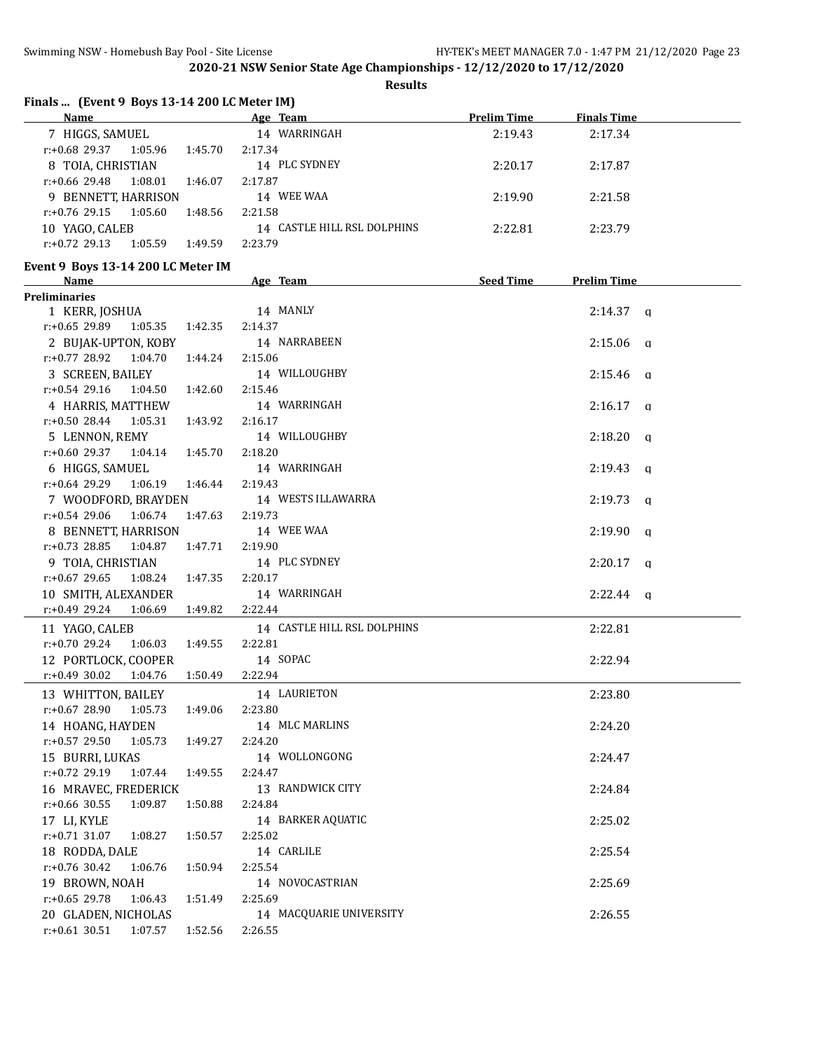**Results**

| Finals  (Event 9 Boys 13-14 200 LC Meter IM)<br>Name |         |                             |                    |                    |
|------------------------------------------------------|---------|-----------------------------|--------------------|--------------------|
|                                                      |         | Age Team                    | <b>Prelim Time</b> | <b>Finals Time</b> |
| 7 HIGGS, SAMUEL                                      |         | 14 WARRINGAH                | 2:19.43            | 2:17.34            |
| $r.+0.68$ 29.37 1:05.96                              | 1:45.70 | 2:17.34                     |                    |                    |
| 8 TOIA, CHRISTIAN                                    |         | 14 PLC SYDNEY               | 2:20.17            | 2:17.87            |
| r:+0.66 29.48<br>1:08.01                             | 1:46.07 | 2:17.87                     |                    |                    |
| 9 BENNETT, HARRISON                                  |         | 14 WEE WAA                  | 2:19.90            | 2:21.58            |
| r:+0.76 29.15<br>1:05.60                             | 1:48.56 | 2:21.58                     |                    |                    |
| 10 YAGO, CALEB                                       |         | 14 CASTLE HILL RSL DOLPHINS | 2:22.81            | 2:23.79            |
| $r: +0.72$ 29.13<br>1:05.59                          | 1:49.59 | 2:23.79                     |                    |                    |
| Event 9 Boys 13-14 200 LC Meter IM<br>Name           |         | Age Team                    | <b>Seed Time</b>   | <b>Prelim Time</b> |
| <b>Preliminaries</b>                                 |         |                             |                    |                    |
| 1 KERR, JOSHUA                                       |         | 14 MANLY                    |                    | $2:14.37$ q        |
| r:+0.65 29.89<br>1:05.35                             | 1:42.35 | 2:14.37                     |                    |                    |
| 2 BUJAK-UPTON, KOBY                                  |         | 14 NARRABEEN                |                    | $2:15.06$ q        |
| $r: +0.77$ 28.92<br>1:04.70                          | 1:44.24 | 2:15.06                     |                    |                    |
| 3 SCREEN, BAILEY                                     |         | 14 WILLOUGHBY               |                    | $2:15.46$ q        |
| $r.+0.54$ 29.16 1:04.50                              | 1:42.60 | 2:15.46                     |                    |                    |
| 4 HARRIS, MATTHEW                                    |         | 14 WARRINGAH                |                    | $2:16.17$ a        |
| r:+0.50 28.44<br>1:05.31                             | 1:43.92 | 2:16.17                     |                    |                    |
| 5 LENNON, REMY                                       |         | 14 WILLOUGHBY               |                    | $2:18.20$ q        |
| $r.+0.60$ 29.37 1:04.14                              | 1:45.70 | 2:18.20                     |                    |                    |
| 6 HIGGS, SAMUEL                                      |         | 14 WARRINGAH                |                    | $2:19.43$ q        |
| r:+0.64 29.29<br>1:06.19                             | 1:46.44 | 2:19.43                     |                    |                    |
| 7 WOODFORD, BRAYDEN                                  |         | 14 WESTS ILLAWARRA          |                    | $2:19.73$ q        |
| 1:06.74<br>$r: +0.54$ 29.06                          | 1:47.63 | 2:19.73                     |                    |                    |
| 8 BENNETT, HARRISON                                  |         | 14 WEE WAA                  |                    | $2:19.90$ q        |
| $r.+0.73$ 28.85<br>1:04.87                           | 1:47.71 | 2:19.90                     |                    |                    |
| 9 TOIA, CHRISTIAN                                    |         | 14 PLC SYDNEY               |                    | $2:20.17$ q        |
| r:+0.67 29.65<br>1:08.24                             | 1:47.35 | 2:20.17                     |                    |                    |
|                                                      |         | 14 WARRINGAH                |                    |                    |
| 10 SMITH, ALEXANDER                                  |         |                             |                    | $2:22.44$ q        |
| $r.+0.49$ 29.24<br>1:06.69                           | 1:49.82 | 2:22.44                     |                    |                    |
| 11 YAGO, CALEB                                       |         | 14 CASTLE HILL RSL DOLPHINS |                    | 2:22.81            |
| $r: +0.70$ 29.24<br>1:06.03                          | 1:49.55 | 2:22.81                     |                    |                    |
| 12 PORTLOCK, COOPER                                  |         | 14 SOPAC                    |                    | 2:22.94            |
| $r: +0.49$ 30.02<br>1:04.76                          | 1:50.49 | 2:22.94                     |                    |                    |
| 13 WHITTON, BAILEY                                   |         | 14 LAURIETON                |                    | 2:23.80            |
| $r: +0.67$ 28.90<br>1:05.73                          | 1:49.06 | 2:23.80                     |                    |                    |
| 14 HOANG, HAYDEN                                     |         | 14 MLC MARLINS              |                    | 2:24.20            |
| r:+0.57 29.50<br>1:05.73                             | 1:49.27 | 2:24.20                     |                    |                    |
| 15 BURRI, LUKAS                                      |         | 14 WOLLONGONG               |                    | 2:24.47            |
| r:+0.72 29.19<br>1:07.44                             | 1:49.55 | 2:24.47                     |                    |                    |
| 16 MRAVEC, FREDERICK                                 |         | 13 RANDWICK CITY            |                    | 2:24.84            |
| $r: +0.66$ 30.55<br>1:09.87                          | 1:50.88 | 2:24.84                     |                    |                    |
| 17 LI, KYLE                                          |         | 14 BARKER AQUATIC           |                    | 2:25.02            |
| $r: +0.71$ 31.07<br>1:08.27                          | 1:50.57 | 2:25.02                     |                    |                    |
| 18 RODDA, DALE                                       |         | 14 CARLILE                  |                    | 2:25.54            |
| r:+0.76 30.42<br>1:06.76                             | 1:50.94 | 2:25.54                     |                    |                    |
| 19 BROWN, NOAH                                       |         | 14 NOVOCASTRIAN             |                    | 2:25.69            |
| r:+0.65 29.78<br>1:06.43                             | 1:51.49 | 2:25.69                     |                    |                    |
| 20 GLADEN, NICHOLAS                                  |         | 14 MACQUARIE UNIVERSITY     |                    | 2:26.55            |
| $r: +0.61$ 30.51<br>1:07.57                          | 1:52.56 | 2:26.55                     |                    |                    |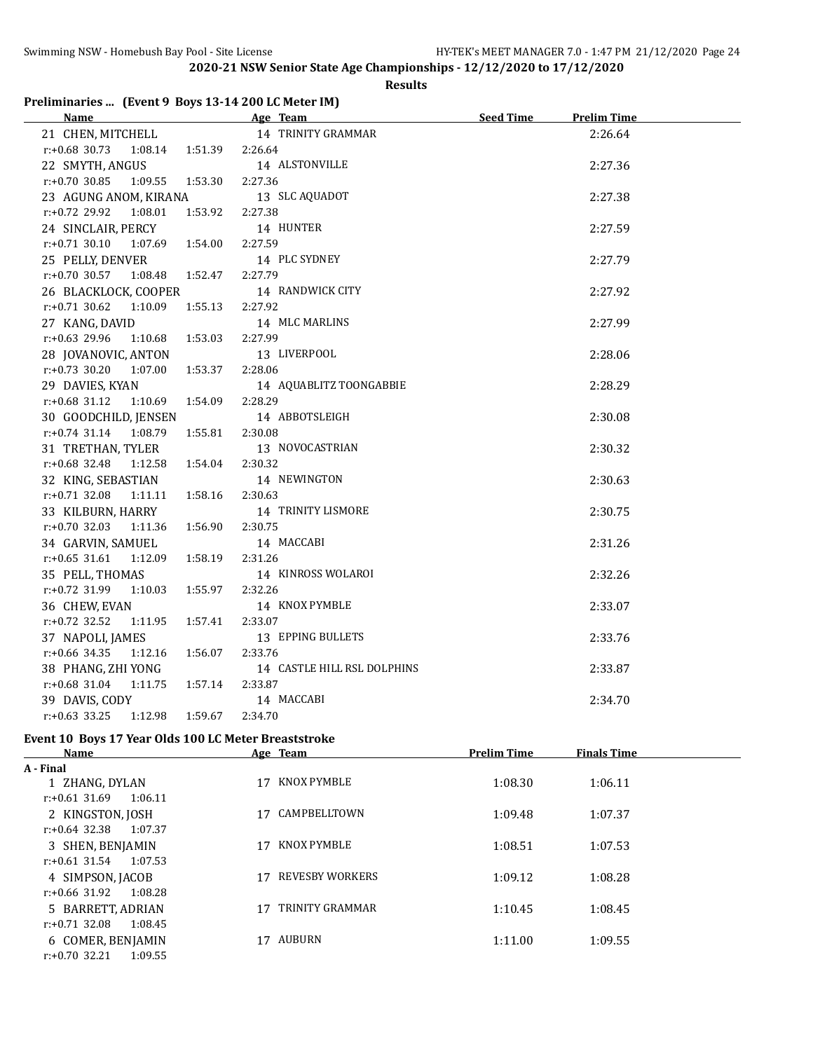$\overline{a}$ 

**2020-21 NSW Senior State Age Championships - 12/12/2020 to 17/12/2020**

#### **Results**

# **Preliminaries ... (Event 9 Boys 13-14 200 LC Meter IM)**

| <u>Name</u>                            | Age Team                    | <b>Seed Time</b><br><b>Prelim Time</b> |
|----------------------------------------|-----------------------------|----------------------------------------|
| 21 CHEN, MITCHELL                      | 14 TRINITY GRAMMAR          | 2:26.64                                |
| $r: +0.68$ 30.73<br>1:08.14<br>1:51.39 | 2:26.64                     |                                        |
| 22 SMYTH, ANGUS                        | 14 ALSTONVILLE              | 2:27.36                                |
| 1:53.30<br>$r: +0.70$ 30.85<br>1:09.55 | 2:27.36                     |                                        |
| 23 AGUNG ANOM, KIRANA                  | 13 SLC AQUADOT              | 2:27.38                                |
| 1:53.92<br>r:+0.72 29.92<br>1:08.01    | 2:27.38                     |                                        |
| 24 SINCLAIR, PERCY                     | 14 HUNTER                   | 2:27.59                                |
| 1:54.00<br>$r: +0.71$ 30.10<br>1:07.69 | 2:27.59                     |                                        |
| 25 PELLY, DENVER                       | 14 PLC SYDNEY               | 2:27.79                                |
| $r: +0.70$ 30.57<br>1:08.48<br>1:52.47 | 2:27.79                     |                                        |
| 26 BLACKLOCK, COOPER                   | 14 RANDWICK CITY            | 2:27.92                                |
| $r: +0.71$ 30.62 1:10.09<br>1:55.13    | 2:27.92                     |                                        |
| 27 KANG, DAVID                         | 14 MLC MARLINS              | 2:27.99                                |
| $r: +0.63$ 29.96<br>1:10.68<br>1:53.03 | 2:27.99                     |                                        |
| 28 JOVANOVIC, ANTON                    | 13 LIVERPOOL                | 2:28.06                                |
| $r: +0.73$ 30.20<br>1:07.00<br>1:53.37 | 2:28.06                     |                                        |
| 29 DAVIES, KYAN                        | 14 AQUABLITZ TOONGABBIE     | 2:28.29                                |
| $r: +0.68$ 31.12<br>1:10.69<br>1:54.09 | 2:28.29                     |                                        |
| 30 GOODCHILD, JENSEN                   | 14 ABBOTSLEIGH              | 2:30.08                                |
| $r.+0.74$ 31.14<br>1:08.79<br>1:55.81  | 2:30.08                     |                                        |
| 31 TRETHAN, TYLER                      | 13 NOVOCASTRIAN             | 2:30.32                                |
| r:+0.68 32.48<br>1:12.58<br>1:54.04    | 2:30.32                     |                                        |
| 32 KING, SEBASTIAN                     | 14 NEWINGTON                | 2:30.63                                |
| $r: +0.71$ 32.08<br>1:11.11<br>1:58.16 | 2:30.63                     |                                        |
| 33 KILBURN, HARRY                      | 14 TRINITY LISMORE          | 2:30.75                                |
| $r.+0.70$ 32.03 1:11.36<br>1:56.90     | 2:30.75                     |                                        |
| 34 GARVIN, SAMUEL                      | 14 MACCABI                  | 2:31.26                                |
| $r: +0.65$ 31.61<br>1:12.09<br>1:58.19 | 2:31.26                     |                                        |
| 35 PELL, THOMAS                        | 14 KINROSS WOLAROI          | 2:32.26                                |
| $r: +0.72$ 31.99<br>1:10.03<br>1:55.97 | 2:32.26                     |                                        |
| 36 CHEW, EVAN                          | 14 KNOX PYMBLE              | 2:33.07                                |
| $r: +0.72$ 32.52<br>1:11.95<br>1:57.41 | 2:33.07                     |                                        |
| 37 NAPOLI, JAMES                       | 13 EPPING BULLETS           | 2:33.76                                |
| $r: +0.66$ 34.35<br>1:12.16<br>1:56.07 | 2:33.76                     |                                        |
| 38 PHANG, ZHI YONG                     | 14 CASTLE HILL RSL DOLPHINS | 2:33.87                                |
| $r: +0.68$ 31.04<br>1:11.75<br>1:57.14 | 2:33.87                     |                                        |
| 39 DAVIS, CODY                         | 14 MACCABI                  | 2:34.70                                |
| $r: +0.63$ 33.25<br>1:12.98<br>1:59.67 | 2:34.70                     |                                        |

### **Event 10 Boys 17 Year Olds 100 LC Meter Breaststroke**

| <b>Name</b>                 |    | Age Team        | <b>Prelim Time</b> | <b>Finals Time</b> |  |
|-----------------------------|----|-----------------|--------------------|--------------------|--|
| A - Final                   |    |                 |                    |                    |  |
| 1 ZHANG, DYLAN              | 17 | KNOX PYMBLE     | 1:08.30            | 1:06.11            |  |
| $r: +0.61$ 31.69<br>1:06.11 |    |                 |                    |                    |  |
| 2 KINGSTON, JOSH            | 17 | CAMPBELLTOWN    | 1:09.48            | 1:07.37            |  |
| $r: +0.64$ 32.38<br>1:07.37 |    |                 |                    |                    |  |
| 3 SHEN, BENJAMIN            | 17 | KNOX PYMBLE     | 1:08.51            | 1:07.53            |  |
| $r: +0.61$ 31.54<br>1:07.53 |    |                 |                    |                    |  |
| 4 SIMPSON, JACOB            | 17 | REVESBY WORKERS | 1:09.12            | 1:08.28            |  |
| r:+0.66 31.92<br>1:08.28    |    |                 |                    |                    |  |
| 5 BARRETT, ADRIAN           | 17 | TRINITY GRAMMAR | 1:10.45            | 1:08.45            |  |
| $r: +0.71$ 32.08<br>1:08.45 |    |                 |                    |                    |  |
| 6 COMER, BENJAMIN           | 17 | AUBURN          | 1:11.00            | 1:09.55            |  |
| $r: +0.70$ 32.21<br>1:09.55 |    |                 |                    |                    |  |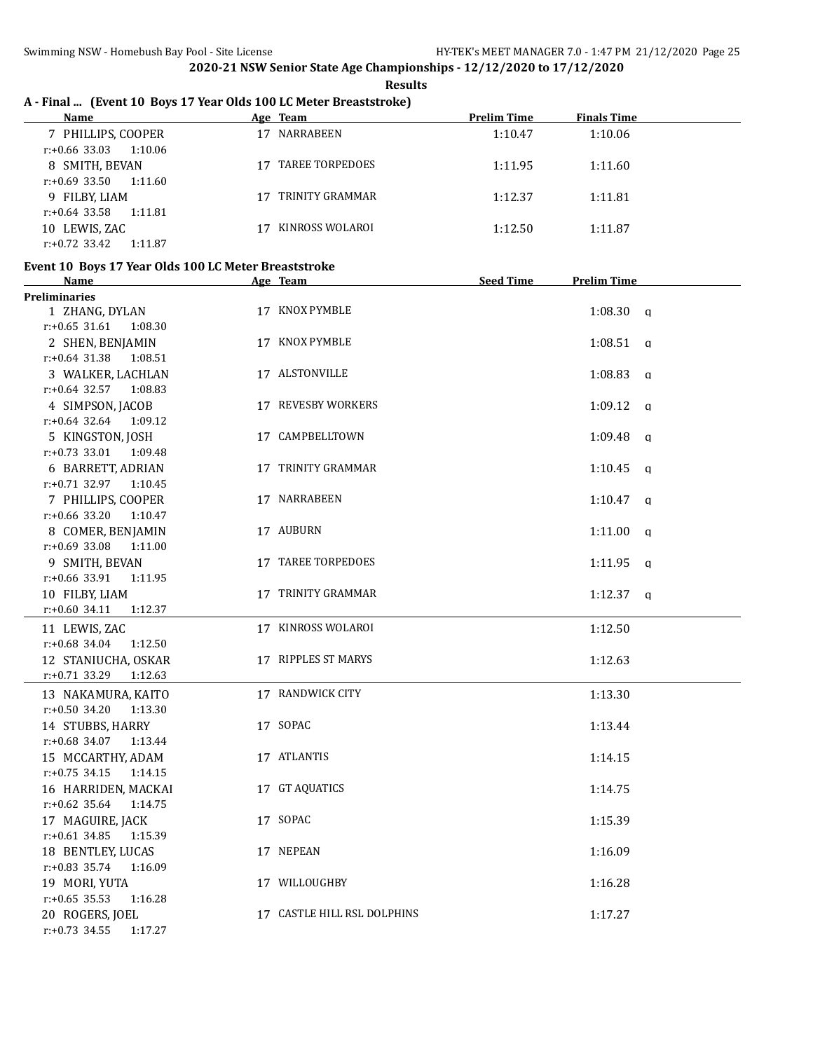| A - Final  (Event 10 Boys 17 Year Olds 100 LC Meter Breaststroke)<br>Name | Age Team |                             | <b>Prelim Time</b> | <b>Finals Time</b>      |  |
|---------------------------------------------------------------------------|----------|-----------------------------|--------------------|-------------------------|--|
| 7 PHILLIPS, COOPER                                                        |          | 17 NARRABEEN                | 1:10.47            | 1:10.06                 |  |
| $r: +0.66$ 33.03<br>1:10.06                                               |          |                             |                    |                         |  |
| 8 SMITH, BEVAN                                                            |          | 17 TAREE TORPEDOES          | 1:11.95            | 1:11.60                 |  |
| $r: +0.69$ 33.50<br>1:11.60                                               |          |                             |                    |                         |  |
| 9 FILBY, LIAM                                                             |          | 17 TRINITY GRAMMAR          | 1:12.37            | 1:11.81                 |  |
| $r: +0.64$ 33.58<br>1:11.81                                               |          |                             |                    |                         |  |
| 10 LEWIS, ZAC                                                             |          | 17 KINROSS WOLAROI          | 1:12.50            | 1:11.87                 |  |
| $r: +0.72$ 33.42<br>1:11.87                                               |          |                             |                    |                         |  |
| Event 10 Boys 17 Year Olds 100 LC Meter Breaststroke                      |          |                             |                    |                         |  |
| <b>Name</b>                                                               |          | Age Team                    | <b>Seed Time</b>   | <b>Prelim Time</b>      |  |
| <b>Preliminaries</b>                                                      |          |                             |                    |                         |  |
| 1 ZHANG, DYLAN                                                            |          | 17 KNOX PYMBLE              |                    | $1:08.30$ q             |  |
| $r: +0.65$ 31.61<br>1:08.30                                               |          |                             |                    |                         |  |
| 2 SHEN, BENJAMIN                                                          |          | 17 KNOX PYMBLE              |                    | 1:08.51<br>q            |  |
| $r: +0.64$ 31.38<br>1:08.51                                               |          |                             |                    |                         |  |
| 3 WALKER, LACHLAN                                                         |          | 17 ALSTONVILLE              |                    | 1:08.83<br>$\mathsf{q}$ |  |
| $r: +0.64$ 32.57<br>1:08.83                                               |          |                             |                    |                         |  |
| 4 SIMPSON, JACOB                                                          |          | 17 REVESBY WORKERS          |                    | 1:09.12<br>q            |  |
| $r: +0.64$ 32.64<br>1:09.12                                               |          |                             |                    |                         |  |
| 5 KINGSTON, JOSH                                                          |          | 17 CAMPBELLTOWN             |                    | 1:09.48<br>q            |  |
| $r: +0.73$ 33.01<br>1:09.48                                               |          |                             |                    |                         |  |
| 6 BARRETT, ADRIAN                                                         |          | 17 TRINITY GRAMMAR          |                    | 1:10.45<br>q            |  |
| r:+0.71 32.97 1:10.45                                                     |          |                             |                    |                         |  |
| 7 PHILLIPS, COOPER                                                        |          | 17 NARRABEEN                |                    | 1:10.47<br>q            |  |
| $r: +0.66$ 33.20<br>1:10.47                                               |          |                             |                    |                         |  |
| 8 COMER, BENJAMIN                                                         |          | 17 AUBURN                   |                    | 1:11.00<br>q            |  |
| r:+0.69 33.08<br>1:11.00                                                  |          |                             |                    |                         |  |
| 9 SMITH, BEVAN                                                            |          | 17 TAREE TORPEDOES          |                    | 1:11.95<br>q            |  |
| r:+0.66 33.91<br>1:11.95                                                  |          |                             |                    |                         |  |
| 10 FILBY, LIAM                                                            |          | 17 TRINITY GRAMMAR          |                    | 1:12.37<br>$\mathbf{q}$ |  |
| r:+0.60 34.11<br>1:12.37                                                  |          |                             |                    |                         |  |
| 11 LEWIS, ZAC                                                             |          | 17 KINROSS WOLAROI          |                    | 1:12.50                 |  |
| $r: +0.68$ 34.04<br>1:12.50                                               |          |                             |                    |                         |  |
| 12 STANIUCHA, OSKAR                                                       |          | 17 RIPPLES ST MARYS         |                    | 1:12.63                 |  |
| $r: +0.71$ 33.29<br>1:12.63                                               |          |                             |                    |                         |  |
| 13 NAKAMURA, KAITO                                                        |          | 17 RANDWICK CITY            |                    | 1:13.30                 |  |
| $r: +0.50$ 34.20<br>1:13.30                                               |          |                             |                    |                         |  |
| 14 STUBBS, HARRY                                                          |          | 17 SOPAC                    |                    | 1:13.44                 |  |
| $r: +0.68$ 34.07<br>1:13.44                                               |          |                             |                    |                         |  |
| 15 MCCARTHY, ADAM                                                         |          | 17 ATLANTIS                 |                    | 1:14.15                 |  |
| $r: +0.75$ 34.15<br>1:14.15                                               |          |                             |                    |                         |  |
| 16 HARRIDEN, MACKAI                                                       |          | 17 GT AQUATICS              |                    | 1:14.75                 |  |
| $r: +0.62$ 35.64<br>1:14.75                                               |          |                             |                    |                         |  |
| 17 MAGUIRE, JACK                                                          |          | 17 SOPAC                    |                    | 1:15.39                 |  |
| $r: +0.61$ 34.85<br>1:15.39                                               |          |                             |                    |                         |  |
| 18 BENTLEY, LUCAS                                                         |          | 17 NEPEAN                   |                    | 1:16.09                 |  |
| r:+0.83 35.74<br>1:16.09                                                  |          |                             |                    |                         |  |
| 19 MORI, YUTA                                                             |          | 17 WILLOUGHBY               |                    | 1:16.28                 |  |
| $r: +0.65$ 35.53<br>1:16.28                                               |          |                             |                    |                         |  |
| 20 ROGERS, JOEL                                                           |          | 17 CASTLE HILL RSL DOLPHINS |                    | 1:17.27                 |  |

r:+0.73 34.55 1:17.27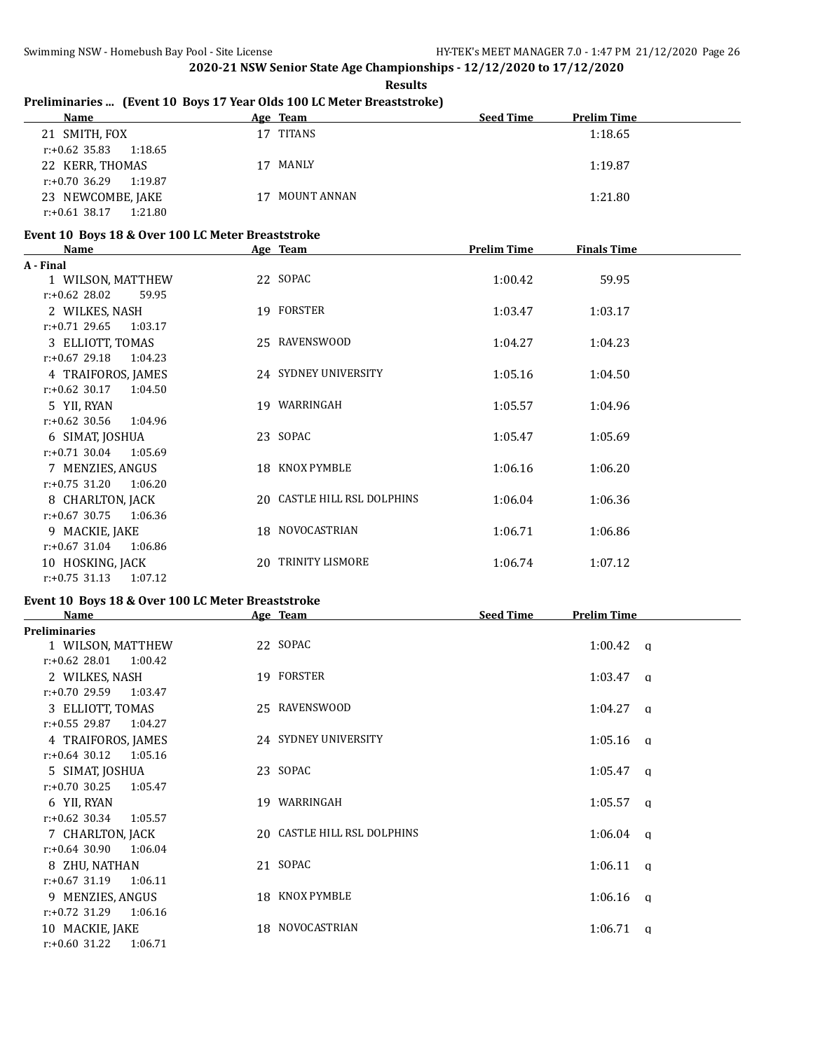r:+0.60 31.22 1:06.71

**2020-21 NSW Senior State Age Championships - 12/12/2020 to 17/12/2020 Results**

| Preliminaries  (Event 10 Boys 17 Year Olds 100 LC Meter Breaststroke)<br>Name | Age Team                    | <b>Seed Time</b>   | <b>Prelim Time</b> |  |
|-------------------------------------------------------------------------------|-----------------------------|--------------------|--------------------|--|
| 21 SMITH, FOX                                                                 | 17 TITANS                   |                    | 1:18.65            |  |
| $r: +0.62$ 35.83<br>1:18.65                                                   |                             |                    |                    |  |
| 22 KERR, THOMAS                                                               | 17 MANLY                    |                    | 1:19.87            |  |
| $r: +0.70$ 36.29<br>1:19.87                                                   |                             |                    |                    |  |
| 23 NEWCOMBE, JAKE                                                             | 17 MOUNT ANNAN              |                    | 1:21.80            |  |
| $r.+0.61$ 38.17 1:21.80                                                       |                             |                    |                    |  |
|                                                                               |                             |                    |                    |  |
| Event 10 Boys 18 & Over 100 LC Meter Breaststroke<br><u>Name</u>              | Age Team                    | <b>Prelim Time</b> | <b>Finals Time</b> |  |
| A - Final                                                                     |                             |                    |                    |  |
| 1 WILSON, MATTHEW                                                             | 22 SOPAC                    | 1:00.42            | 59.95              |  |
| $r: +0.62$ 28.02<br>59.95                                                     |                             |                    |                    |  |
| 2 WILKES, NASH                                                                | 19 FORSTER                  | 1:03.47            | 1:03.17            |  |
| $r: +0.71$ 29.65<br>1:03.17                                                   |                             |                    |                    |  |
| 3 ELLIOTT, TOMAS                                                              | 25 RAVENSWOOD               | 1:04.27            | 1:04.23            |  |
| $r: +0.67$ 29.18<br>1:04.23                                                   |                             |                    |                    |  |
| 4 TRAIFOROS, JAMES                                                            | 24 SYDNEY UNIVERSITY        | 1:05.16            | 1:04.50            |  |
| $r: +0.62$ 30.17<br>1:04.50                                                   |                             |                    |                    |  |
| 5 YII, RYAN                                                                   | 19 WARRINGAH                | 1:05.57            | 1:04.96            |  |
| $r: +0.62$ 30.56<br>1:04.96                                                   |                             |                    |                    |  |
| 6 SIMAT, JOSHUA                                                               | 23 SOPAC                    | 1:05.47            | 1:05.69            |  |
| $r: +0.71$ 30.04<br>1:05.69                                                   |                             |                    |                    |  |
| 7 MENZIES, ANGUS                                                              | 18 KNOX PYMBLE              | 1:06.16            | 1:06.20            |  |
| $r: +0.75$ 31.20<br>1:06.20                                                   |                             |                    |                    |  |
| 8 CHARLTON, JACK                                                              | 20 CASTLE HILL RSL DOLPHINS | 1:06.04            | 1:06.36            |  |
| $r: +0.67$ 30.75<br>1:06.36                                                   |                             |                    |                    |  |
| 9 MACKIE, JAKE                                                                | 18 NOVOCASTRIAN             | 1:06.71            | 1:06.86            |  |
| $r: +0.67$ 31.04<br>1:06.86                                                   |                             |                    |                    |  |
| 10 HOSKING, JACK                                                              | 20 TRINITY LISMORE          | 1:06.74            | 1:07.12            |  |
| $r: +0.75$ 31.13<br>1:07.12                                                   |                             |                    |                    |  |
|                                                                               |                             |                    |                    |  |
| Event 10 Boys 18 & Over 100 LC Meter Breaststroke                             |                             |                    | <b>Prelim Time</b> |  |
| Name<br><b>Preliminaries</b>                                                  | Age Team                    | <b>Seed Time</b>   |                    |  |
| 1 WILSON, MATTHEW                                                             | 22 SOPAC                    |                    | 1:00.42            |  |
| $r: +0.62$ 28.01<br>1:00.42                                                   |                             |                    | q                  |  |
| 2 WILKES, NASH                                                                | 19 FORSTER                  |                    | 1:03.47            |  |
| r:+0.70 29.59<br>1:03.47                                                      |                             |                    | q                  |  |
| 3 ELLIOTT, TOMAS                                                              | 25 RAVENSWOOD               |                    | $1:04.27$ q        |  |
| r:+0.55 29.87<br>1:04.27                                                      |                             |                    |                    |  |
| 4 TRAIFOROS, JAMES                                                            | 24 SYDNEY UNIVERSITY        |                    | $1:05.16$ q        |  |
| $r: +0.64$ 30.12<br>1:05.16                                                   |                             |                    |                    |  |
|                                                                               |                             |                    |                    |  |
| 5 SIMAT, JOSHUA                                                               | 23 SOPAC                    |                    | $1:05.47$ q        |  |
| $r: +0.70$ 30.25<br>1:05.47                                                   |                             |                    |                    |  |
| 6 YII, RYAN                                                                   | 19 WARRINGAH                |                    | $1:05.57$ a        |  |
| $r: +0.62$ 30.34<br>1:05.57                                                   |                             |                    |                    |  |
| 7 CHARLTON, JACK                                                              | 20 CASTLE HILL RSL DOLPHINS |                    | $1:06.04$ q        |  |
| $r: +0.64$ 30.90<br>1:06.04                                                   |                             |                    |                    |  |
| 8 ZHU, NATHAN                                                                 | 21 SOPAC                    |                    | $1:06.11$ q        |  |
| r:+0.67 31.19<br>1:06.11                                                      |                             |                    |                    |  |
| 9 MENZIES, ANGUS                                                              | 18 KNOX PYMBLE              |                    | 1:06.16<br>q       |  |
| r:+0.72 31.29<br>1:06.16                                                      |                             |                    |                    |  |
| 10 MACKIE, JAKE                                                               | 18 NOVOCASTRIAN             |                    | $1:06.71$ a        |  |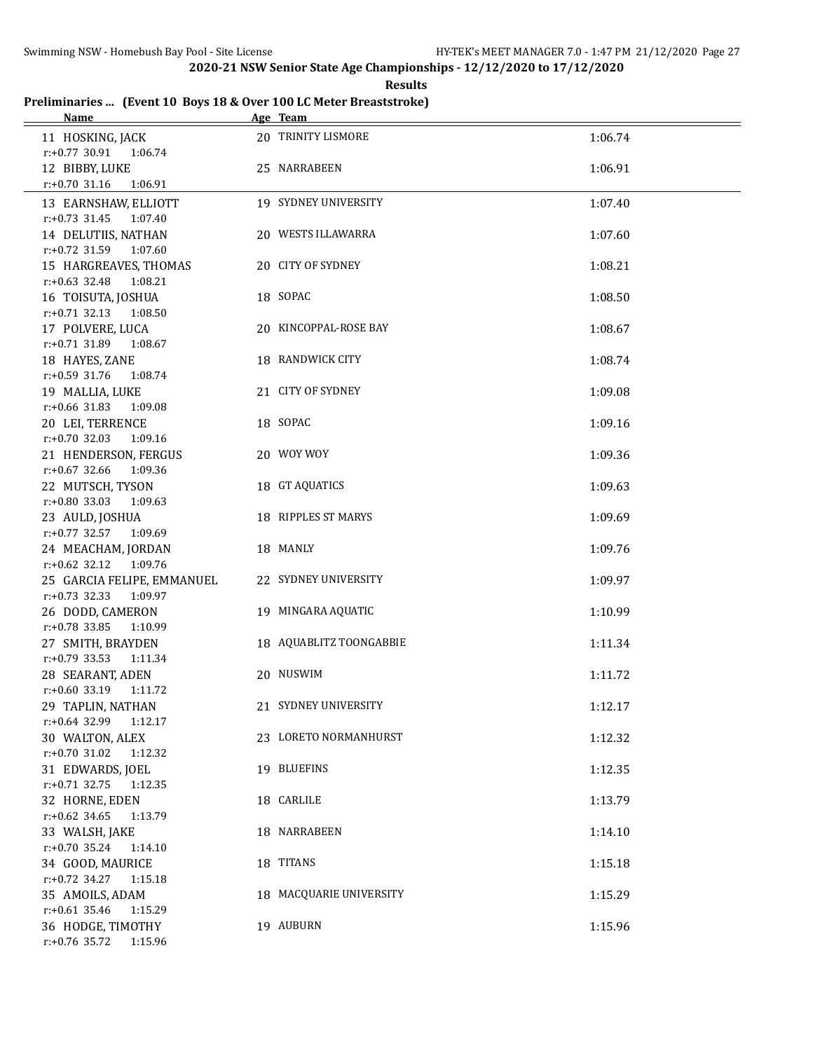**Results**

#### **Preliminaries ... (Event 10 Boys 18 & Over 100 LC Meter Breaststroke) Name Age Team**

| <u>iname</u>                                              | <u>две теаш</u>         |         |
|-----------------------------------------------------------|-------------------------|---------|
| 11 HOSKING, JACK<br>1:06.74                               | 20 TRINITY LISMORE      | 1:06.74 |
| r:+0.77 30.91<br>12 BIBBY, LUKE                           | 25 NARRABEEN            | 1:06.91 |
| $r: +0.70$ 31.16<br>1:06.91                               |                         |         |
| 13 EARNSHAW, ELLIOTT                                      | 19 SYDNEY UNIVERSITY    | 1:07.40 |
| $r.+0.73$ 31.45 1:07.40<br>14 DELUTIIS, NATHAN            | 20 WESTS ILLAWARRA      | 1:07.60 |
| $r: +0.72$ 31.59 1:07.60                                  |                         |         |
| 15 HARGREAVES, THOMAS<br>$r: +0.63$ 32.48<br>1:08.21      | 20 CITY OF SYDNEY       | 1:08.21 |
| 16 TOISUTA, JOSHUA                                        | 18 SOPAC                | 1:08.50 |
| $r: +0.71$ 32.13<br>1:08.50                               |                         |         |
| 17 POLVERE, LUCA                                          | 20 KINCOPPAL-ROSE BAY   | 1:08.67 |
| $r: +0.71$ 31.89<br>1:08.67                               |                         |         |
| 18 HAYES, ZANE                                            | 18 RANDWICK CITY        | 1:08.74 |
| $r: +0.59$ 31.76<br>1:08.74                               |                         |         |
| 19 MALLIA, LUKE                                           | 21 CITY OF SYDNEY       | 1:09.08 |
| $r: +0.66$ 31.83<br>1:09.08                               |                         |         |
| 20 LEI, TERRENCE                                          | 18 SOPAC                | 1:09.16 |
| $r: +0.70$ 32.03<br>1:09.16                               |                         |         |
| 21 HENDERSON, FERGUS                                      | 20 WOY WOY              | 1:09.36 |
| $r: +0.67$ 32.66<br>1:09.36                               |                         |         |
| 22 MUTSCH, TYSON                                          | 18 GT AQUATICS          | 1:09.63 |
| $r: +0.80$ 33.03<br>1:09.63                               |                         |         |
| 23 AULD, JOSHUA                                           | 18 RIPPLES ST MARYS     | 1:09.69 |
| r:+0.77 32.57 1:09.69                                     |                         |         |
| 24 MEACHAM, JORDAN                                        | 18 MANLY                | 1:09.76 |
| r:+0.62 32.12 1:09.76                                     |                         |         |
| 25 GARCIA FELIPE, EMMANUEL<br>$r: +0.73$ 32.33<br>1:09.97 | 22 SYDNEY UNIVERSITY    | 1:09.97 |
| 26 DODD, CAMERON                                          | 19 MINGARA AQUATIC      | 1:10.99 |
| $r: +0.78$ 33.85<br>1:10.99                               |                         |         |
| 27 SMITH, BRAYDEN                                         | 18 AQUABLITZ TOONGABBIE | 1:11.34 |
| $r: +0.79$ 33.53<br>1:11.34                               |                         |         |
| 28 SEARANT, ADEN                                          | 20 NUSWIM               | 1:11.72 |
| $r.+0.60$ 33.19 1:11.72                                   |                         |         |
| 29 TAPLIN, NATHAN                                         | 21 SYDNEY UNIVERSITY    | 1:12.17 |
| $r: +0.64$ 32.99<br>1:12.17                               |                         |         |
| 30 WALTON, ALEX                                           | 23 LORETO NORMANHURST   | 1:12.32 |
| $r: +0.70$ 31.02<br>1:12.32                               |                         |         |
| 31 EDWARDS, JOEL                                          | 19 BLUEFINS             | 1:12.35 |
| $r: +0.71$ 32.75<br>1:12.35                               |                         |         |
| 32 HORNE, EDEN                                            | 18 CARLILE              | 1:13.79 |
| $r: +0.62$ 34.65<br>1:13.79                               |                         |         |
| 33 WALSH, JAKE                                            | 18 NARRABEEN            | 1:14.10 |
| r:+0.70 35.24<br>1:14.10                                  |                         |         |
| 34 GOOD, MAURICE                                          | 18 TITANS               | 1:15.18 |
| r:+0.72 34.27<br>1:15.18                                  |                         |         |
| 35 AMOILS, ADAM                                           | 18 MACQUARIE UNIVERSITY | 1:15.29 |
| $r: +0.61$ 35.46<br>1:15.29                               |                         |         |
| 36 HODGE, TIMOTHY                                         | 19 AUBURN               | 1:15.96 |
| r:+0.76 35.72<br>1:15.96                                  |                         |         |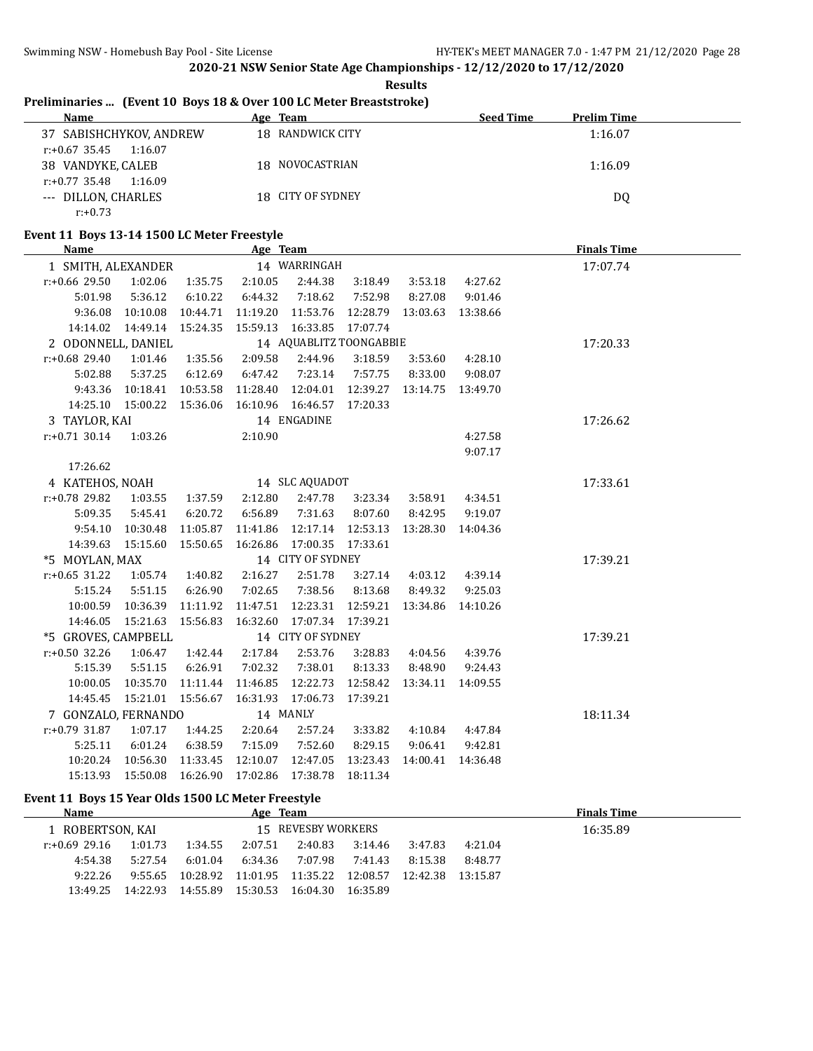**Results**

# **Preliminaries ... (Event 10 Boys 18 & Over 100 LC Meter Breaststroke)**

| Name                        | Age Team          | <b>Seed Time</b> | <b>Prelim Time</b> |
|-----------------------------|-------------------|------------------|--------------------|
| 37 SABISHCHYKOV, ANDREW     | 18 RANDWICK CITY  |                  | 1:16.07            |
| $r: +0.67$ 35.45<br>1:16.07 |                   |                  |                    |
| 38 VANDYKE, CALEB           | 18 NOVOCASTRIAN   |                  | 1:16.09            |
| $r: +0.77$ 35.48<br>1:16.09 |                   |                  |                    |
| --- DILLON, CHARLES         | 18 CITY OF SYDNEY |                  | DQ                 |
| $r: +0.73$                  |                   |                  |                    |

# **Event 11 Boys 13-14 1500 LC Meter Freestyle**

| <b>Name</b>         |                              |                  | Age Team          |                         |                   |          |                    | <b>Finals Time</b> |
|---------------------|------------------------------|------------------|-------------------|-------------------------|-------------------|----------|--------------------|--------------------|
| 1 SMITH, ALEXANDER  |                              |                  |                   | 14 WARRINGAH            |                   |          |                    | 17:07.74           |
| r:+0.66 29.50       | 1:02.06                      | 1:35.75          | 2:10.05           | 2:44.38                 | 3:18.49           | 3:53.18  | 4:27.62            |                    |
| 5:01.98             | 5:36.12                      | 6:10.22          | 6:44.32           | 7:18.62                 | 7:52.98           | 8:27.08  | 9:01.46            |                    |
| 9:36.08             | 10:10.08                     | 10:44.71         | 11:19.20          | 11:53.76                | 12:28.79          |          | 13:03.63 13:38.66  |                    |
|                     | 14:14.02  14:49.14  15:24.35 |                  | 15:59.13          | 16:33.85 17:07.74       |                   |          |                    |                    |
| 2 ODONNELL, DANIEL  |                              |                  |                   | 14 AQUABLITZ TOONGABBIE |                   |          |                    | 17:20.33           |
| $r: +0.68$ 29.40    | 1:01.46                      | 1:35.56          | 2:09.58           | 2:44.96                 | 3:18.59           |          | 3:53.60 4:28.10    |                    |
| 5:02.88             | 5:37.25                      | 6:12.69          | 6:47.42           | 7:23.14                 | 7:57.75           | 8:33.00  | 9:08.07            |                    |
| 9:43.36             | 10:18.41                     | 10:53.58         | 11:28.40          | 12:04.01                | 12:39.27          |          | 13:14.75  13:49.70 |                    |
| 14:25.10            | 15:00.22 15:36.06            |                  | 16:10.96 16:46.57 |                         | 17:20.33          |          |                    |                    |
| 3 TAYLOR, KAI       |                              |                  |                   | 14 ENGADINE             |                   |          |                    | 17:26.62           |
| $r: +0.71$ 30.14    | 1:03.26                      |                  | 2:10.90           |                         |                   |          | 4:27.58            |                    |
|                     |                              |                  |                   |                         |                   |          | 9:07.17            |                    |
| 17:26.62            |                              |                  |                   |                         |                   |          |                    |                    |
| 4 KATEHOS, NOAH     |                              |                  |                   | 14 SLC AQUADOT          |                   |          |                    | 17:33.61           |
| r:+0.78 29.82       | 1:03.55                      | 1:37.59          | 2:12.80           | 2:47.78                 | 3:23.34           | 3:58.91  | 4:34.51            |                    |
| 5:09.35             | 5:45.41                      | 6:20.72          | 6:56.89           | 7:31.63                 | 8:07.60           | 8:42.95  | 9:19.07            |                    |
| 9:54.10             | 10:30.48                     | 11:05.87         | 11:41.86          |                         | 12:17.14 12:53.13 | 13:28.30 | 14:04.36           |                    |
| 14:39.63            | 15:15.60 15:50.65            |                  | 16:26.86          | 17:00.35 17:33.61       |                   |          |                    |                    |
| *5 MOYLAN, MAX      |                              |                  |                   | 14 CITY OF SYDNEY       |                   |          |                    | 17:39.21           |
| $r: +0.65$ 31.22    |                              | 1:05.74  1:40.82 | 2:16.27           | 2:51.78                 | 3:27.14           |          | 4:03.12 4:39.14    |                    |
| 5:15.24             | 5:51.15                      | 6:26.90          | 7:02.65           | 7:38.56                 | 8:13.68           | 8:49.32  | 9:25.03            |                    |
| 10:00.59            | 10:36.39                     | 11:11.92         | 11:47.51          | 12:23.31                | 12:59.21          | 13:34.86 | 14:10.26           |                    |
| 14:46.05            | 15:21.63                     | 15:56.83         | 16:32.60          | 17:07.34 17:39.21       |                   |          |                    |                    |
| *5 GROVES, CAMPBELL |                              |                  |                   | 14 CITY OF SYDNEY       |                   |          |                    | 17:39.21           |
| $r: +0.50$ 32.26    | 1:06.47                      | 1:42.44          | 2:17.84           | 2:53.76                 | 3:28.83           | 4:04.56  | 4:39.76            |                    |
| 5:15.39             | 5:51.15                      | 6:26.91          | 7:02.32           | 7:38.01                 | 8:13.33           | 8:48.90  | 9:24.43            |                    |
| 10:00.05            | 10:35.70                     | 11:11.44         | 11:46.85          | 12:22.73                | 12:58.42          |          | 13:34.11 14:09.55  |                    |
|                     | 14:45.45  15:21.01  15:56.67 |                  | 16:31.93 17:06.73 |                         | 17:39.21          |          |                    |                    |
| 7 GONZALO, FERNANDO |                              |                  |                   | 14 MANLY                |                   |          |                    | 18:11.34           |
| $r: +0.79$ 31.87    | 1:07.17                      | 1:44.25          | 2:20.64           | 2:57.24                 | 3:33.82           | 4:10.84  | 4:47.84            |                    |
| 5:25.11             | 6:01.24                      | 6:38.59          | 7:15.09           | 7:52.60                 | 8:29.15           | 9:06.41  | 9:42.81            |                    |
|                     | 10:20.24 10:56.30            | 11:33.45         | 12:10.07          | 12:47.05                | 13:23.43          | 14:00.41 | 14:36.48           |                    |
|                     | 15:13.93  15:50.08  16:26.90 |                  | 17:02.86          | 17:38.78                | 18:11.34          |          |                    |                    |

### **Event 11 Boys 15 Year Olds 1500 LC Meter Freestyle**

| Name             |          |          | Age Team |                            |          |          |          | <b>Finals Time</b> |
|------------------|----------|----------|----------|----------------------------|----------|----------|----------|--------------------|
| L ROBERTSON, KAI |          |          |          | 15 REVESBY WORKERS         |          |          |          | 16:35.89           |
| r:+0.69 29.16    | 1:01.73  | 1:34.55  | 2:07.51  | 2:40.83                    | 3:14.46  | 3:47.83  | 4:21.04  |                    |
| 4:54.38          | 5:27.54  | 6:01.04  | 6:34.36  | 7:07.98                    | 7:41.43  | 8:15.38  | 8:48.77  |                    |
| 9:22.26          | 9:55.65  | 10:28.92 |          | 11:01.95 11:35.22 12:08.57 |          | 12:42.38 | 13:15.87 |                    |
| 13:49.25         | 14:22.93 | 14:55.89 | 15:30.53 | 16:04.30                   | 16:35.89 |          |          |                    |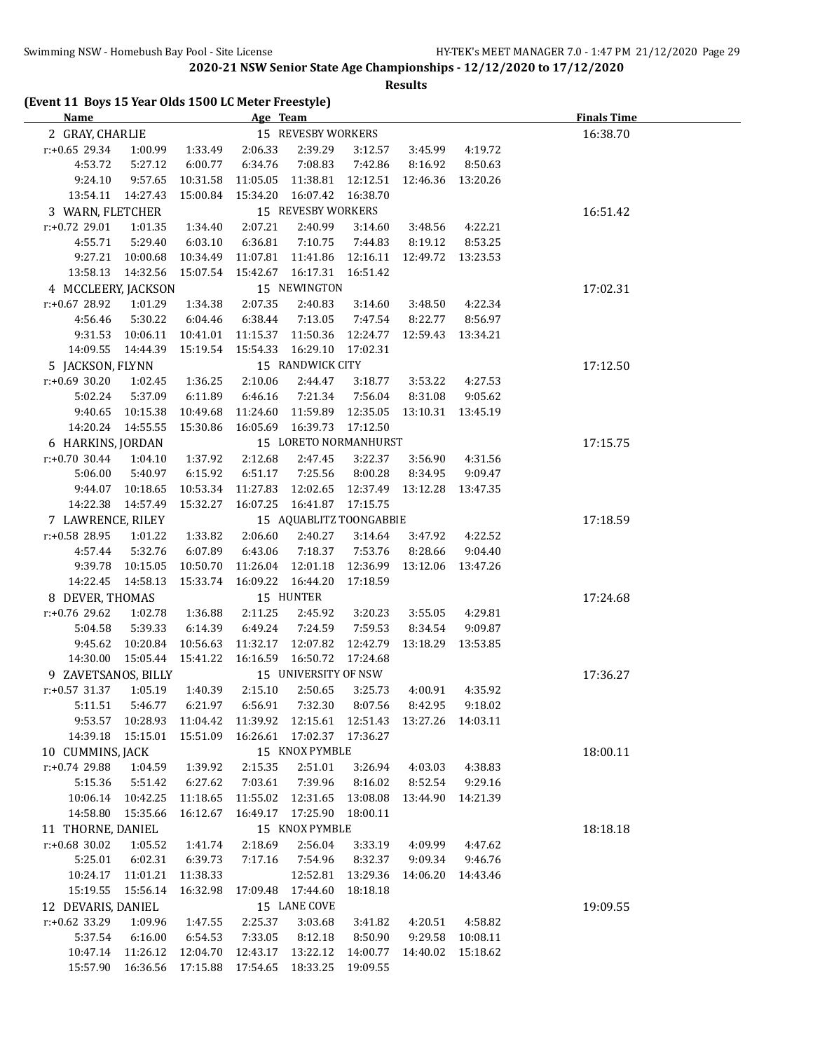### **Results**

|  |  |  |  | (Event 11 Boys 15 Year Olds 1500 LC Meter Freestyle) |
|--|--|--|--|------------------------------------------------------|
|--|--|--|--|------------------------------------------------------|

| Name                |                                                                        |          | Age Team                     |                                                  |          |                              |                  | <b>Finals Time</b> |
|---------------------|------------------------------------------------------------------------|----------|------------------------------|--------------------------------------------------|----------|------------------------------|------------------|--------------------|
| 2 GRAY, CHARLIE     |                                                                        |          |                              | 15 REVESBY WORKERS                               |          |                              |                  | 16:38.70           |
| $r: +0.65$ 29.34    | 1:00.99                                                                | 1:33.49  | 2:06.33                      | 2:39.29                                          | 3:12.57  | 3:45.99                      | 4:19.72          |                    |
| 4:53.72             | 5:27.12                                                                | 6:00.77  | 6:34.76                      | 7:08.83                                          | 7:42.86  | 8:16.92                      | 8:50.63          |                    |
| 9:24.10             | 9:57.65                                                                | 10:31.58 | 11:05.05                     | 11:38.81  12:12.51  12:46.36  13:20.26           |          |                              |                  |                    |
|                     | 13:54.11 14:27.43                                                      | 15:00.84 | 15:34.20                     | 16:07.42 16:38.70                                |          |                              |                  |                    |
| 3 WARN, FLETCHER    |                                                                        |          |                              | 15 REVESBY WORKERS                               |          |                              |                  | 16:51.42           |
| $r: +0.72$ 29.01    | 1:01.35                                                                | 1:34.40  | 2:07.21                      | 2:40.99                                          | 3:14.60  | 3:48.56                      | 4:22.21          |                    |
| 4:55.71             | 5:29.40                                                                | 6:03.10  | 6:36.81                      | 7:10.75                                          | 7:44.83  | 8:19.12                      | 8:53.25          |                    |
|                     | 9:27.21 10:00.68                                                       | 10:34.49 |                              | 11:07.81  11:41.86  12:16.11  12:49.72  13:23.53 |          |                              |                  |                    |
|                     | 13:58.13  14:32.56  15:07.54                                           |          | 15:42.67                     | 16:17.31                                         | 16:51.42 |                              |                  |                    |
| 4 MCCLEERY, JACKSON |                                                                        |          |                              | 15 NEWINGTON                                     |          |                              |                  | 17:02.31           |
| $r: +0.67$ 28.92    | 1:01.29                                                                | 1:34.38  | 2:07.35                      | 2:40.83                                          | 3:14.60  | 3:48.50                      | 4:22.34          |                    |
| 4:56.46             | 5:30.22                                                                | 6:04.46  | 6:38.44                      | 7:13.05                                          | 7:47.54  | 8:22.77                      | 8:56.97          |                    |
|                     | 9:31.53 10:06.11                                                       | 10:41.01 |                              | 11:15.37  11:50.36  12:24.77  12:59.43  13:34.21 |          |                              |                  |                    |
|                     | 14:09.55  14:44.39  15:19.54                                           |          |                              | 15:54.33  16:29.10  17:02.31                     |          |                              |                  |                    |
| 5 JACKSON, FLYNN    |                                                                        |          |                              | 15 RANDWICK CITY                                 |          |                              |                  | 17:12.50           |
| $r: +0.69$ 30.20    | 1:02.45                                                                | 1:36.25  | 2:10.06                      | 2:44.47                                          | 3:18.77  | 3:53.22                      | 4:27.53          |                    |
| 5:02.24             | 5:37.09                                                                | 6:11.89  | 6:46.16                      | 7:21.34                                          | 7:56.04  | 8:31.08                      | 9:05.62          |                    |
|                     | 9:40.65 10:15.38 10:49.68                                              |          | 11:24.60                     | 11:59.89  12:35.05  13:10.31  13:45.19           |          |                              |                  |                    |
|                     | 14:20.24 14:55.55                                                      | 15:30.86 |                              | 16:05.69  16:39.73  17:12.50                     |          |                              |                  |                    |
| 6 HARKINS, JORDAN   |                                                                        |          |                              | 15 LORETO NORMANHURST                            |          |                              |                  | 17:15.75           |
| $r: +0.70$ 30.44    | 1:04.10                                                                | 1:37.92  | 2:12.68                      | 2:47.45                                          | 3:22.37  | 3:56.90                      | 4:31.56          |                    |
| 5:06.00             | 5:40.97                                                                | 6:15.92  | 6:51.17                      | 7:25.56                                          | 8:00.28  | 8:34.95                      | 9:09.47          |                    |
| 9:44.07             | 10:18.65                                                               | 10:53.34 | 11:27.83                     | 12:02.65                                         |          | 12:37.49  13:12.28  13:47.35 |                  |                    |
|                     | 14:22.38  14:57.49  15:32.27                                           |          |                              | 16:07.25  16:41.87  17:15.75                     |          |                              |                  |                    |
| 7 LAWRENCE, RILEY   |                                                                        |          |                              | 15 AQUABLITZ TOONGABBIE                          |          |                              |                  | 17:18.59           |
| r:+0.58 28.95       | 1:01.22                                                                | 1:33.82  | 2:06.60                      | 2:40.27                                          | 3:14.64  | 3:47.92                      | 4:22.52          |                    |
| 4:57.44             | 5:32.76                                                                | 6:07.89  | 6:43.06                      | 7:18.37                                          | 7:53.76  | 8:28.66                      | 9:04.40          |                    |
| 9:39.78             | 10:15.05                                                               | 10:50.70 | 11:26.04                     | 12:01.18                                         |          | 12:36.99  13:12.06  13:47.26 |                  |                    |
|                     | 14:22.45  14:58.13                                                     | 15:33.74 | 16:09.22 16:44.20            |                                                  | 17:18.59 |                              |                  |                    |
| 8 DEVER, THOMAS     |                                                                        |          |                              | 15 HUNTER                                        |          |                              |                  | 17:24.68           |
| r:+0.76 29.62       | 1:02.78                                                                | 1:36.88  | 2:11.25                      | 2:45.92                                          | 3:20.23  | 3:55.05                      | 4:29.81          |                    |
| 5:04.58             | 5:39.33                                                                | 6:14.39  | 6:49.24                      | 7:24.59                                          | 7:59.53  | 8:34.54                      | 9:09.87          |                    |
|                     | 9:45.62 10:20.84                                                       | 10:56.63 |                              | 11:32.17 12:07.82 12:42.79 13:18.29 13:53.85     |          |                              |                  |                    |
|                     | 14:30.00  15:05.44  15:41.22                                           |          | 16:16.59  16:50.72  17:24.68 |                                                  |          |                              |                  |                    |
| 9 ZAVETSANOS, BILLY |                                                                        |          |                              | 15 UNIVERSITY OF NSW                             |          |                              |                  | 17:36.27           |
| $r: +0.57$ 31.37    | 1:05.19 1:40.39                                                        |          | 2:15.10                      | 2:50.65                                          | 3:25.73  | 4:00.91                      | 4:35.92          |                    |
|                     | 5:11.51 5:46.77 6:21.97 6:56.91 7:32.30 8:07.56 8:42.95 9:18.02        |          |                              |                                                  |          |                              |                  |                    |
|                     | 9:53.57 10:28.93 11:04.42 11:39.92 12:15.61 12:51.43 13:27.26 14:03.11 |          |                              |                                                  |          |                              |                  |                    |
|                     | 14:39.18  15:15.01  15:51.09                                           |          |                              | 16:26.61 17:02.37 17:36.27                       |          |                              |                  |                    |
| 10 CUMMINS, JACK    |                                                                        |          |                              | 15 KNOX PYMBLE                                   |          |                              |                  | 18:00.11           |
| $r: +0.74$ 29.88    | 1:04.59                                                                | 1:39.92  | 2:15.35                      | 2:51.01                                          | 3:26.94  | 4:03.03                      | 4:38.83          |                    |
| 5:15.36             | 5:51.42                                                                | 6:27.62  | 7:03.61                      | 7:39.96                                          | 8:16.02  | 8:52.54                      | 9:29.16          |                    |
|                     | 10:06.14 10:42.25                                                      | 11:18.65 |                              | 11:55.02  12:31.65                               |          | 13:08.08  13:44.90  14:21.39 |                  |                    |
| 14:58.80            | 15:35.66                                                               | 16:12.67 |                              | 16:49.17 17:25.90                                | 18:00.11 |                              |                  |                    |
| 11 THORNE, DANIEL   |                                                                        |          |                              | 15 KNOX PYMBLE                                   |          |                              |                  | 18:18.18           |
| $r: +0.68$ 30.02    | 1:05.52                                                                | 1:41.74  | 2:18.69                      | 2:56.04                                          | 3:33.19  | 4:09.99                      | 4:47.62          |                    |
| 5:25.01             | 6:02.31                                                                | 6:39.73  | 7:17.16                      | 7:54.96                                          | 8:32.37  | 9:09.34                      | 9:46.76          |                    |
|                     | 10:24.17 11:01.21                                                      | 11:38.33 |                              | 12:52.81                                         | 13:29.36 | 14:06.20                     | 14:43.46         |                    |
| 15:19.55            | 15:56.14                                                               | 16:32.98 |                              | 17:09.48 17:44.60                                | 18:18.18 |                              |                  |                    |
| 12 DEVARIS, DANIEL  |                                                                        |          |                              | 15 LANE COVE                                     |          |                              |                  | 19:09.55           |
| $r: +0.62$ 33.29    | 1:09.96                                                                | 1:47.55  | 2:25.37                      | 3:03.68                                          | 3:41.82  | 4:20.51                      | 4:58.82          |                    |
| 5:37.54             | 6:16.00                                                                | 6:54.53  | 7:33.05                      | 8:12.18                                          | 8:50.90  |                              | 9:29.58 10:08.11 |                    |
|                     | 10:47.14 11:26.12                                                      | 12:04.70 | 12:43.17                     | 13:22.12                                         |          | 14:00.77  14:40.02  15:18.62 |                  |                    |
|                     | 15:57.90  16:36.56  17:15.88  17:54.65  18:33.25  19:09.55             |          |                              |                                                  |          |                              |                  |                    |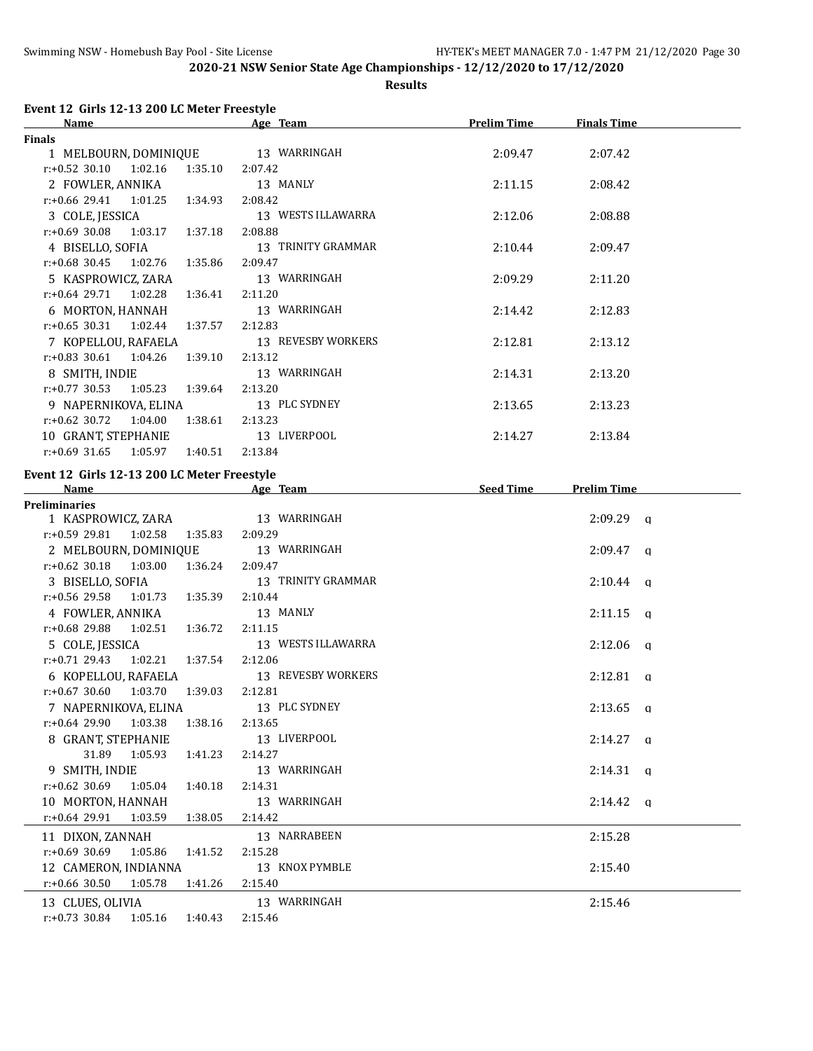**Results**

# **Event 12 Girls 12-13 200 LC Meter Freestyle**

| <b>Name</b>                            | Age Team           | <b>Prelim Time</b> | <b>Finals Time</b> |  |
|----------------------------------------|--------------------|--------------------|--------------------|--|
| <b>Finals</b>                          |                    |                    |                    |  |
| 1 MELBOURN, DOMINIQUE 13 WARRINGAH     |                    | 2:09.47            | 2:07.42            |  |
| $r.+0.52$ 30.10 1:02.16 1:35.10        | 2:07.42            |                    |                    |  |
| 2 FOWLER, ANNIKA                       | 13 MANLY           | 2:11.15            | 2:08.42            |  |
| $r: +0.66$ 29.41 1:01.25<br>1:34.93    | 2:08.42            |                    |                    |  |
| 3 COLE, JESSICA                        | 13 WESTS ILLAWARRA | 2:12.06            | 2:08.88            |  |
| $r: +0.69$ 30.08 1:03.17 1:37.18       | 2:08.88            |                    |                    |  |
| 4 BISELLO, SOFIA                       | 13 TRINITY GRAMMAR | 2:10.44            | 2:09.47            |  |
| $r: +0.68$ 30.45 1:02.76 1:35.86       | 2:09.47            |                    |                    |  |
| 5 KASPROWICZ, ZARA                     | 13 WARRINGAH       | 2:09.29            | 2:11.20            |  |
| $r.+0.64$ 29.71 1:02.28 1:36.41        | 2:11.20            |                    |                    |  |
| 6 MORTON, HANNAH                       | 13 WARRINGAH       | 2:14.42            | 2:12.83            |  |
| $r: +0.65$ 30.31 1:02.44<br>1:37.57    | 2:12.83            |                    |                    |  |
| 7 KOPELLOU, RAFAELA                    | 13 REVESBY WORKERS | 2:12.81            | 2:13.12            |  |
| $r: +0.83$ 30.61 1:04.26<br>1:39.10    | 2:13.12            |                    |                    |  |
| 8 SMITH, INDIE                         | 13 WARRINGAH       | 2:14.31            | 2:13.20            |  |
| $r.+0.77$ 30.53 1:05.23<br>1:39.64     | 2:13.20            |                    |                    |  |
| 9 NAPERNIKOVA, ELINA                   | 13 PLC SYDNEY      | 2:13.65            | 2:13.23            |  |
| $r: +0.62$ 30.72<br>1:04.00<br>1:38.61 | 2:13.23            |                    |                    |  |
| 10 GRANT, STEPHANIE                    | 13 LIVERPOOL       | 2:14.27            | 2:13.84            |  |
| $r.+0.69$ 31.65 1:05.97<br>1:40.51     | 2:13.84            |                    |                    |  |

# **Event 12 Girls 12-13 200 LC Meter Freestyle**

| <b>Name</b>                             | Age Team                               | <b>Seed Time</b> | <b>Prelim Time</b> |
|-----------------------------------------|----------------------------------------|------------------|--------------------|
| <b>Preliminaries</b>                    |                                        |                  |                    |
| 1 KASPROWICZ, ZARA 13 WARRINGAH         |                                        |                  | $2:09.29$ a        |
| $r: +0.59$ 29.81 1:02.58 1:35.83        | 2:09.29                                |                  |                    |
| 2 MELBOURN, DOMINIQUE 13 WARRINGAH      |                                        |                  | $2:09.47$ a        |
| r:+0.62 30.18 1:03.00 1:36.24 2:09.47   |                                        |                  |                    |
| 3 BISELLO, SOFIA                        | 13 TRINITY GRAMMAR                     |                  | $2:10.44$ q        |
| r:+0.56 29.58 1:01.73 1:35.39           | 2:10.44                                |                  |                    |
| 4 FOWLER, ANNIKA                        | 13 MANLY                               |                  | $2:11.15$ q        |
| r:+0.68 29.88 1:02.51 1:36.72           | 2:11.15                                |                  |                    |
| 5 COLE, JESSICA                         | 13 WESTS ILLAWARRA                     |                  | $2:12.06$ q        |
| $r.+0.71$ 29.43 1:02.21 1:37.54 2:12.06 |                                        |                  |                    |
|                                         | 6 KOPELLOU, RAFAELA 13 REVESBY WORKERS |                  | $2:12.81$ q        |
| $r.+0.67$ 30.60 1:03.70 1:39.03         | 2:12.81                                |                  |                    |
| 7 NAPERNIKOVA, ELINA                    | 13 PLC SYDNEY                          |                  | $2:13.65$ q        |
| $r: +0.64$ 29.90 1:03.38 1:38.16        | 2:13.65                                |                  |                    |
| 8 GRANT, STEPHANIE 13 LIVERPOOL         |                                        |                  | $2:14.27$ a        |
| 31.89 1:05.93 1:41.23 2:14.27           |                                        |                  |                    |
| 9 SMITH, INDIE 13 WARRINGAH             |                                        |                  | $2:14.31$ a        |
| $r: +0.62$ 30.69 1:05.04 1:40.18        | 2:14.31                                |                  |                    |
| 10 MORTON, HANNAH                       | 13 WARRINGAH                           |                  | $2:14.42$ a        |
| $r: +0.64$ 29.91 1:03.59 1:38.05        | 2:14.42                                |                  |                    |
| 11 DIXON, ZANNAH 13 NARRABEEN           |                                        |                  | 2:15.28            |
| $r: +0.69$ 30.69 1:05.86 1:41.52        | 2:15.28                                |                  |                    |
| 12 CAMERON, INDIANNA                    | 13 KNOX PYMBLE                         |                  | 2:15.40            |
| $r: +0.66$ 30.50 1:05.78 1:41.26        | 2:15.40                                |                  |                    |
| 13 CLUES, OLIVIA                        | 13 WARRINGAH                           |                  | 2:15.46            |
| $r: +0.73$ 30.84 1:05.16 1:40.43        | 2:15.46                                |                  |                    |
|                                         |                                        |                  |                    |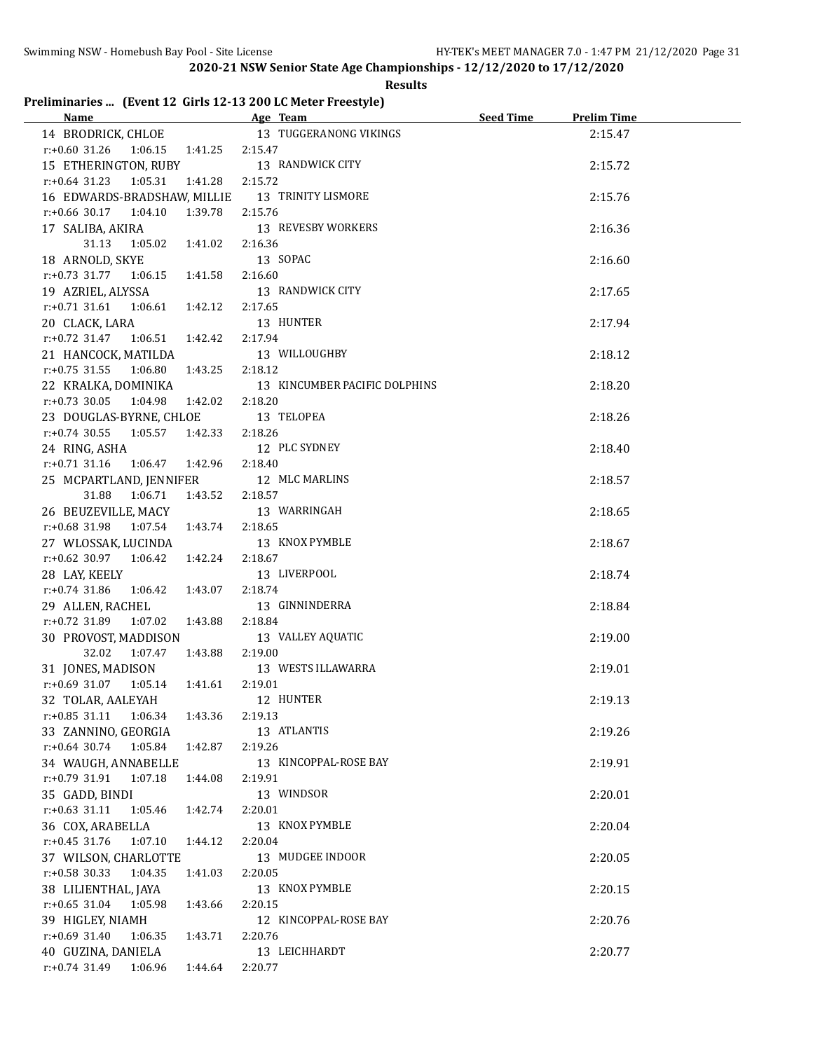# **Results**

# **Preliminaries ... (Event 12 Girls 12-13 200 LC Meter Freestyle)**

| Name and the state of the state of the state of the state of the state of the state of the state of the state of the state of the state of the state of the state of the state of the state of the state of the state of the s | Age Team and the state of the state of the state of the state of the state of the state of the state of the state of the state of the state of the state of the state of the state of the state of the state of the state of t | Seed Time | <b>Prelim Time</b> |  |
|--------------------------------------------------------------------------------------------------------------------------------------------------------------------------------------------------------------------------------|--------------------------------------------------------------------------------------------------------------------------------------------------------------------------------------------------------------------------------|-----------|--------------------|--|
| 14 BRODRICK, CHLOE                                                                                                                                                                                                             | 13 TUGGERANONG VIKINGS                                                                                                                                                                                                         |           | 2:15.47            |  |
| $r: +0.60$ 31.26 1:06.15 1:41.25                                                                                                                                                                                               | 2:15.47                                                                                                                                                                                                                        |           |                    |  |
| 15 ETHERINGTON, RUBY                                                                                                                                                                                                           | 13 RANDWICK CITY                                                                                                                                                                                                               |           | 2:15.72            |  |
| $r: +0.64$ 31.23 1:05.31<br>1:41.28                                                                                                                                                                                            | 2:15.72                                                                                                                                                                                                                        |           |                    |  |
| 16 EDWARDS-BRADSHAW, MILLIE 13 TRINITY LISMORE                                                                                                                                                                                 |                                                                                                                                                                                                                                |           | 2:15.76            |  |
| $r.+0.66$ 30.17 1:04.10<br>1:39.78                                                                                                                                                                                             | 2:15.76                                                                                                                                                                                                                        |           |                    |  |
| 17 SALIBA, AKIRA                                                                                                                                                                                                               | 13 REVESBY WORKERS                                                                                                                                                                                                             |           | 2:16.36            |  |
| 31.13<br>1:05.02  1:41.02                                                                                                                                                                                                      | 2:16.36                                                                                                                                                                                                                        |           |                    |  |
| 18 ARNOLD, SKYE                                                                                                                                                                                                                | 13 SOPAC                                                                                                                                                                                                                       |           | 2:16.60            |  |
| $r.+0.73$ 31.77 1:06.15 1:41.58                                                                                                                                                                                                | 2:16.60                                                                                                                                                                                                                        |           |                    |  |
| 19 AZRIEL, ALYSSA                                                                                                                                                                                                              | 13 RANDWICK CITY                                                                                                                                                                                                               |           | 2:17.65            |  |
| $r: +0.71$ 31.61<br>1:06.61  1:42.12                                                                                                                                                                                           | 2:17.65                                                                                                                                                                                                                        |           |                    |  |
| 20 CLACK, LARA                                                                                                                                                                                                                 | 13 HUNTER                                                                                                                                                                                                                      |           | 2:17.94            |  |
| $r.+0.72$ 31.47 1:06.51 1:42.42                                                                                                                                                                                                | 2:17.94                                                                                                                                                                                                                        |           |                    |  |
| 21 HANCOCK, MATILDA                                                                                                                                                                                                            | 13 WILLOUGHBY                                                                                                                                                                                                                  |           | 2:18.12            |  |
| $r.+0.75$ 31.55 1:06.80<br>1:43.25                                                                                                                                                                                             | 2:18.12                                                                                                                                                                                                                        |           |                    |  |
| 22 KRALKA, DOMINIKA                                                                                                                                                                                                            | 13 KINCUMBER PACIFIC DOLPHINS                                                                                                                                                                                                  |           | 2:18.20            |  |
| $r.+0.73$ 30.05 1:04.98<br>1:42.02                                                                                                                                                                                             | 2:18.20                                                                                                                                                                                                                        |           |                    |  |
| 23 DOUGLAS-BYRNE, CHLOE                                                                                                                                                                                                        | 13 TELOPEA                                                                                                                                                                                                                     |           | 2:18.26            |  |
| $r: +0.74$ 30.55<br>1:05.57<br>1:42.33                                                                                                                                                                                         | 2:18.26                                                                                                                                                                                                                        |           |                    |  |
| 24 RING, ASHA                                                                                                                                                                                                                  | 12 PLC SYDNEY                                                                                                                                                                                                                  |           | 2:18.40            |  |
| $r: +0.71$ 31.16<br>1:06.47<br>1:42.96                                                                                                                                                                                         | 2:18.40                                                                                                                                                                                                                        |           |                    |  |
| 25 MCPARTLAND, JENNIFER                                                                                                                                                                                                        | 12 MLC MARLINS                                                                                                                                                                                                                 |           | 2:18.57            |  |
| 1:06.71<br>31.88<br>1:43.52                                                                                                                                                                                                    | 2:18.57                                                                                                                                                                                                                        |           |                    |  |
| 26 BEUZEVILLE, MACY                                                                                                                                                                                                            | 13 WARRINGAH                                                                                                                                                                                                                   |           | 2:18.65            |  |
| 1:07.54 1:43.74<br>r:+0.68 31.98                                                                                                                                                                                               | 2:18.65                                                                                                                                                                                                                        |           |                    |  |
| 27 WLOSSAK, LUCINDA                                                                                                                                                                                                            | 13 KNOX PYMBLE                                                                                                                                                                                                                 |           | 2:18.67            |  |
| $r.+0.62$ 30.97 1:06.42 1:42.24                                                                                                                                                                                                | 2:18.67                                                                                                                                                                                                                        |           |                    |  |
| 28 LAY, KEELY                                                                                                                                                                                                                  | 13 LIVERPOOL                                                                                                                                                                                                                   |           | 2:18.74            |  |
| r:+0.74 31.86 1:06.42<br>1:43.07                                                                                                                                                                                               | 2:18.74                                                                                                                                                                                                                        |           |                    |  |
| 29 ALLEN, RACHEL                                                                                                                                                                                                               | 13 GINNINDERRA                                                                                                                                                                                                                 |           | 2:18.84            |  |
| 1:07.02<br>1:43.88<br>r:+0.72 31.89                                                                                                                                                                                            | 2:18.84                                                                                                                                                                                                                        |           |                    |  |
| 30 PROVOST, MADDISON                                                                                                                                                                                                           | 13 VALLEY AQUATIC                                                                                                                                                                                                              |           | 2:19.00            |  |
| 32.02<br>1:07.47  1:43.88                                                                                                                                                                                                      | 2:19.00                                                                                                                                                                                                                        |           |                    |  |
| 31 JONES, MADISON                                                                                                                                                                                                              | 13 WESTS ILLAWARRA                                                                                                                                                                                                             |           | 2:19.01            |  |
| 1:41.61<br>$r: +0.69$ 31.07 1:05.14                                                                                                                                                                                            | 2:19.01                                                                                                                                                                                                                        |           |                    |  |
| 32 TOLAR, AALEYAH                                                                                                                                                                                                              | 12 HUNTER                                                                                                                                                                                                                      |           | 2:19.13            |  |
| $r: +0.85$ 31.11<br>1:06.34<br>1:43.36                                                                                                                                                                                         | 2:19.13                                                                                                                                                                                                                        |           |                    |  |
| 33 ZANNINO, GEORGIA                                                                                                                                                                                                            | 13 ATLANTIS                                                                                                                                                                                                                    |           | 2:19.26            |  |
| $r: +0.64$ 30.74<br>1:05.84<br>1:42.87                                                                                                                                                                                         | 2:19.26                                                                                                                                                                                                                        |           |                    |  |
| 34 WAUGH, ANNABELLE                                                                                                                                                                                                            | 13 KINCOPPAL-ROSE BAY                                                                                                                                                                                                          |           | 2:19.91            |  |
| $r.+0.79$ 31.91<br>1:07.18<br>1:44.08                                                                                                                                                                                          | 2:19.91                                                                                                                                                                                                                        |           |                    |  |
| 35 GADD, BINDI                                                                                                                                                                                                                 | 13 WINDSOR                                                                                                                                                                                                                     |           | 2:20.01            |  |
| $r: +0.63$ 31.11<br>1:05.46<br>1:42.74                                                                                                                                                                                         | 2:20.01                                                                                                                                                                                                                        |           |                    |  |
| 36 COX, ARABELLA                                                                                                                                                                                                               | 13 KNOX PYMBLE                                                                                                                                                                                                                 |           | 2:20.04            |  |
| $r: +0.45$ 31.76<br>1:07.10<br>1:44.12                                                                                                                                                                                         | 2:20.04                                                                                                                                                                                                                        |           |                    |  |
| 37 WILSON, CHARLOTTE                                                                                                                                                                                                           | 13 MUDGEE INDOOR                                                                                                                                                                                                               |           | 2:20.05            |  |
| $r: +0.58$ 30.33<br>1:04.35<br>1:41.03                                                                                                                                                                                         | 2:20.05                                                                                                                                                                                                                        |           |                    |  |
| 38 LILIENTHAL, JAYA                                                                                                                                                                                                            | 13 KNOX PYMBLE                                                                                                                                                                                                                 |           | 2:20.15            |  |
| $r: +0.65$ 31.04<br>1:43.66<br>1:05.98                                                                                                                                                                                         | 2:20.15                                                                                                                                                                                                                        |           |                    |  |
| 39 HIGLEY, NIAMH                                                                                                                                                                                                               | 12 KINCOPPAL-ROSE BAY                                                                                                                                                                                                          |           | 2:20.76            |  |
| $r: +0.69$ 31.40<br>1:06.35<br>1:43.71                                                                                                                                                                                         | 2:20.76                                                                                                                                                                                                                        |           |                    |  |
| 40 GUZINA, DANIELA                                                                                                                                                                                                             | 13 LEICHHARDT                                                                                                                                                                                                                  |           | 2:20.77            |  |
| $r: +0.74$ 31.49<br>1:06.96<br>1:44.64                                                                                                                                                                                         | 2:20.77                                                                                                                                                                                                                        |           |                    |  |
|                                                                                                                                                                                                                                |                                                                                                                                                                                                                                |           |                    |  |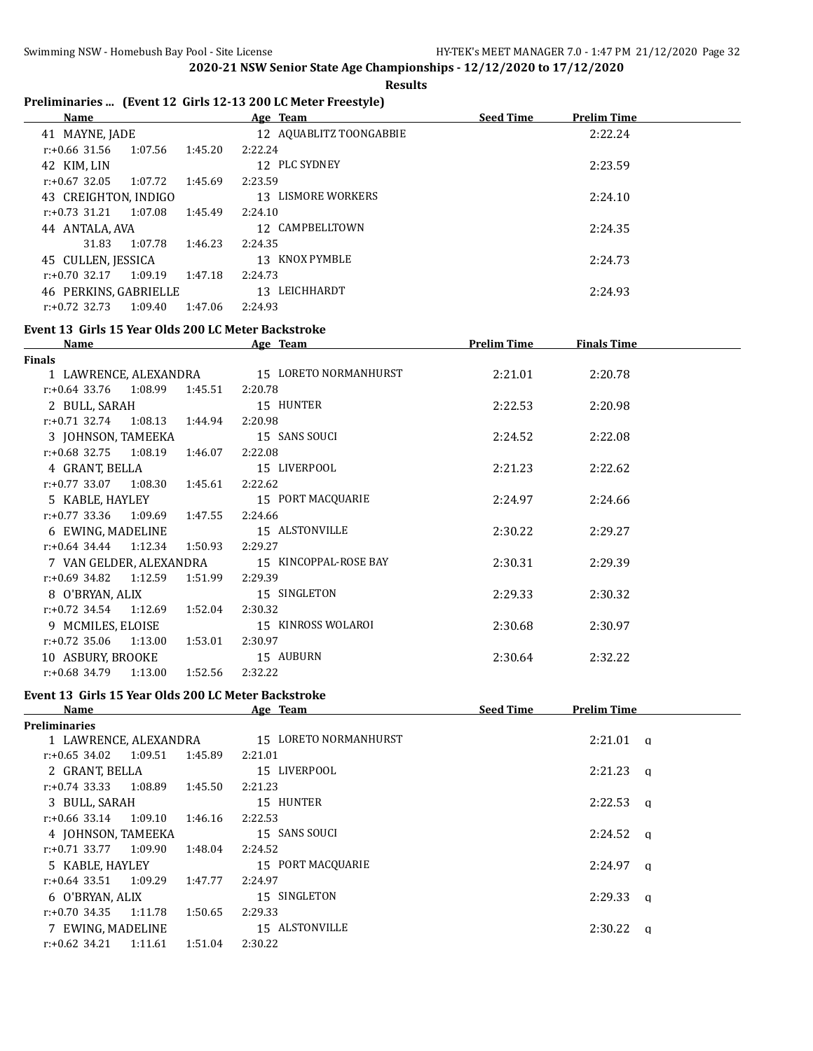**Results**

# **Preliminaries ... (Event 12 Girls 12-13 200 LC Meter Freestyle)**

| <b>Name</b>                 |         | Age Team                | <b>Seed Time</b><br><b>Prelim Time</b> |  |
|-----------------------------|---------|-------------------------|----------------------------------------|--|
| 41 MAYNE, JADE              |         | 12 AQUABLITZ TOONGABBIE | 2:22.24                                |  |
| 1:07.56<br>r:+0.66 31.56    | 1:45.20 | 2:22.24                 |                                        |  |
| 42 KIM, LIN                 |         | 12 PLC SYDNEY           | 2:23.59                                |  |
| $r: +0.67$ 32.05<br>1:07.72 | 1:45.69 | 2:23.59                 |                                        |  |
| 43 CREIGHTON, INDIGO        |         | 13 LISMORE WORKERS      | 2:24.10                                |  |
| 1:07.08<br>$r: +0.73$ 31.21 | 1:45.49 | 2:24.10                 |                                        |  |
| 44 ANTALA, AVA              |         | 12 CAMPBELLTOWN         | 2:24.35                                |  |
| 1:07.78<br>31.83            | 1:46.23 | 2:24.35                 |                                        |  |
| 45 CULLEN, JESSICA          |         | 13 KNOX PYMBLE          | 2:24.73                                |  |
| $r: +0.70$ 32.17<br>1:09.19 | 1:47.18 | 2:24.73                 |                                        |  |
| 46 PERKINS, GABRIELLE       |         | 13 LEICHHARDT           | 2:24.93                                |  |
| $r: +0.72$ 32.73<br>1:09.40 | 1:47.06 | 2:24.93                 |                                        |  |

### **Event 13 Girls 15 Year Olds 200 LC Meter Backstroke**

| <b>Name</b>                     |         | Age Team                                    | <b>Prelim Time</b> | <b>Finals Time</b> |  |
|---------------------------------|---------|---------------------------------------------|--------------------|--------------------|--|
| Finals                          |         |                                             |                    |                    |  |
|                                 |         | 1 LAWRENCE, ALEXANDRA 15 LORETO NORMANHURST | 2:21.01            | 2:20.78            |  |
| $r.+0.64$ 33.76 1:08.99 1:45.51 |         | 2:20.78                                     |                    |                    |  |
| 2 BULL, SARAH                   |         | 15 HUNTER                                   | 2:22.53            | 2:20.98            |  |
| $r: +0.71$ 32.74 1:08.13        | 1:44.94 | 2:20.98                                     |                    |                    |  |
| 3 JOHNSON, TAMEEKA              |         | 15 SANS SOUCI                               | 2:24.52            | 2:22.08            |  |
| $r: +0.68$ 32.75 1:08.19        | 1:46.07 | 2:22.08                                     |                    |                    |  |
| 4 GRANT, BELLA                  |         | 15 LIVERPOOL                                | 2:21.23            | 2:22.62            |  |
| $r: +0.77$ 33.07 1:08.30        | 1:45.61 | 2:22.62                                     |                    |                    |  |
| 5 KABLE, HAYLEY                 |         | 15 PORT MACQUARIE                           | 2:24.97            | 2:24.66            |  |
| $r.+0.77$ 33.36 1:09.69 1:47.55 |         | 2:24.66                                     |                    |                    |  |
| 6 EWING, MADELINE               |         | 15 ALSTONVILLE                              | 2:30.22            | 2:29.27            |  |
| $r: +0.64$ 34.44 1:12.34        | 1:50.93 | 2:29.27                                     |                    |                    |  |
| 7   VAN GELDER, ALEXANDRA       |         | 15 KINCOPPAL-ROSE BAY                       | 2:30.31            | 2:29.39            |  |
| $r: +0.69$ 34.82 1:12.59        | 1:51.99 | 2:29.39                                     |                    |                    |  |
| 8 O'BRYAN, ALIX                 |         | 15 SINGLETON                                | 2:29.33            | 2:30.32            |  |
| $r.+0.72$ 34.54 1:12.69         | 1:52.04 | 2:30.32                                     |                    |                    |  |
| 9 MCMILES, ELOISE               |         | 15 KINROSS WOLAROI                          | 2:30.68            | 2:30.97            |  |
| $r: +0.72$ 35.06<br>1:13.00     | 1:53.01 | 2:30.97                                     |                    |                    |  |
| 10 ASBURY, BROOKE               |         | 15 AUBURN                                   | 2:30.64            | 2:32.22            |  |
| $r: +0.68$ 34.79 1:13.00        | 1:52.56 | 2:32.22                                     |                    |                    |  |

### **Event 13 Girls 15 Year Olds 200 LC Meter Backstroke**

| Name                     |         |         | Age Team              | <b>Seed Time</b> | <b>Prelim Time</b> |          |
|--------------------------|---------|---------|-----------------------|------------------|--------------------|----------|
| <b>Preliminaries</b>     |         |         |                       |                  |                    |          |
| 1 LAWRENCE, ALEXANDRA    |         |         | 15 LORETO NORMANHURST |                  | 2:21.01            | $\alpha$ |
| r:+0.65 34.02            | 1:09.51 | 1:45.89 | 2:21.01               |                  |                    |          |
| 2 GRANT, BELLA           |         |         | 15 LIVERPOOL          |                  | 2:21.23            | $\alpha$ |
| r:+0.74 33.33            | 1:08.89 | 1:45.50 | 2:21.23               |                  |                    |          |
| 3 BULL, SARAH            |         |         | 15 HUNTER             |                  | 2:22.53            | $\alpha$ |
| r:+0.66 33.14            | 1:09.10 | 1:46.16 | 2:22.53               |                  |                    |          |
| 4 JOHNSON, TAMEEKA       |         |         | 15 SANS SOUCI         |                  | $2:24.52$ a        |          |
| $r: +0.71$ 33.77 1:09.90 |         | 1:48.04 | 2:24.52               |                  |                    |          |
| 5 KABLE, HAYLEY          |         |         | 15 PORT MACOUARIE     |                  | 2:24.97            | a        |
| $r: +0.64$ 33.51 1:09.29 |         | 1:47.77 | 2:24.97               |                  |                    |          |
| 6 O'BRYAN, ALIX          |         |         | 15 SINGLETON          |                  | 2:29.33            | a        |
| $r: +0.70$ 34.35 1:11.78 |         | 1:50.65 | 2:29.33               |                  |                    |          |
| 7 EWING, MADELINE        |         |         | 15 ALSTONVILLE        |                  | 2:30.22            | $\alpha$ |
| $r: +0.62$ 34.21         | 1:11.61 | 1:51.04 | 2:30.22               |                  |                    |          |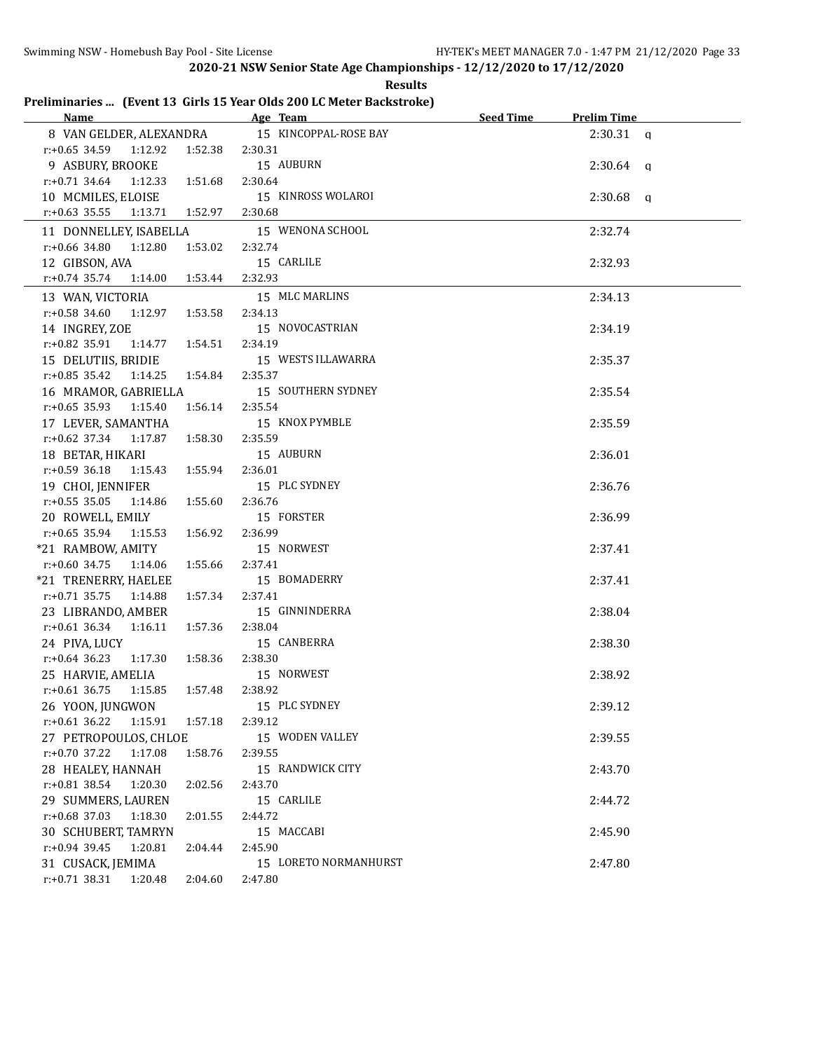|                                        | <b>Results</b>                                                       |                                 |  |
|----------------------------------------|----------------------------------------------------------------------|---------------------------------|--|
|                                        | Preliminaries  (Event 13 Girls 15 Year Olds 200 LC Meter Backstroke) |                                 |  |
| <b>Name</b>                            | Age Team                                                             | Seed Time<br><b>Prelim Time</b> |  |
| 8 VAN GELDER, ALEXANDRA                | 15 KINCOPPAL-ROSE BAY                                                | $2:30.31$ a                     |  |
| $r: +0.65$ 34.59<br>1:12.92<br>1:52.38 | 2:30.31                                                              |                                 |  |
| 9 ASBURY, BROOKE                       | 15 AUBURN                                                            | $2:30.64$ a                     |  |
| $r.+0.71$ 34.64<br>1:12.33<br>1:51.68  | 2:30.64                                                              |                                 |  |
| 10 MCMILES, ELOISE                     | 15 KINROSS WOLAROI                                                   | $2:30.68$ a                     |  |
| $r: +0.63$ 35.55<br>1:13.71<br>1:52.97 | 2:30.68                                                              |                                 |  |
| 11 DONNELLEY, ISABELLA                 | 15 WENONA SCHOOL                                                     | 2:32.74                         |  |
| $r: +0.66$ 34.80<br>1:12.80<br>1:53.02 | 2:32.74                                                              |                                 |  |
| 12 GIBSON, AVA                         | 15 CARLILE                                                           | 2:32.93                         |  |
| r:+0.74 35.74<br>1:14.00<br>1:53.44    | 2:32.93                                                              |                                 |  |
| 13 WAN, VICTORIA                       | 15 MLC MARLINS                                                       | 2:34.13                         |  |
| $r: +0.58$ 34.60<br>1:12.97<br>1:53.58 | 2:34.13                                                              |                                 |  |
| 14 INGREY, ZOE                         | 15 NOVOCASTRIAN                                                      | 2:34.19                         |  |
| r:+0.82 35.91<br>1:14.77<br>1:54.51    | 2:34.19                                                              |                                 |  |
| 15 DELUTIIS, BRIDIE                    | 15 WESTS ILLAWARRA                                                   | 2:35.37                         |  |
| $r.+0.85$ 35.42 1:14.25<br>1:54.84     | 2:35.37                                                              |                                 |  |
| 16 MRAMOR, GABRIELLA                   | 15 SOUTHERN SYDNEY                                                   | 2:35.54                         |  |
| $r: +0.65$ 35.93<br>1:15.40<br>1:56.14 | 2:35.54                                                              |                                 |  |
| 17 LEVER, SAMANTHA                     | 15 KNOX PYMBLE                                                       | 2:35.59                         |  |
| $r.+0.62$ 37.34 1:17.87<br>1:58.30     | 2:35.59                                                              |                                 |  |
| 18 BETAR, HIKARI                       | 15 AUBURN                                                            | 2:36.01                         |  |
| $r: +0.59$ 36.18<br>1:15.43<br>1:55.94 | 2:36.01                                                              |                                 |  |
| 19 CHOI, JENNIFER                      | 15 PLC SYDNEY                                                        | 2:36.76                         |  |
| $r: +0.55$ 35.05<br>1:14.86<br>1:55.60 | 2:36.76                                                              |                                 |  |
| 20 ROWELL, EMILY                       | 15 FORSTER                                                           | 2:36.99                         |  |
| r:+0.65 35.94<br>1:15.53<br>1:56.92    | 2:36.99                                                              |                                 |  |
| *21 RAMBOW, AMITY                      | 15 NORWEST                                                           | 2:37.41                         |  |
| $r: +0.60$ 34.75<br>1:14.06<br>1:55.66 | 2:37.41                                                              |                                 |  |
| *21 TRENERRY, HAELEE                   | 15 BOMADERRY                                                         | 2:37.41                         |  |
| $r: +0.71$ 35.75<br>1:14.88<br>1:57.34 | 2:37.41                                                              |                                 |  |
| 23 LIBRANDO, AMBER                     | 15 GINNINDERRA                                                       | 2:38.04                         |  |
| $r$ :+0.61 36.34<br>1:57.36<br>1:16.11 | 2:38.04                                                              |                                 |  |
| 24 PIVA, LUCY                          | 15 CANBERRA                                                          | 2:38.30                         |  |
| $r: +0.64$ 36.23<br>1:17.30<br>1:58.36 | 2:38.30                                                              |                                 |  |
| 25 HARVIE, AMELIA                      | 15 NORWEST                                                           | 2:38.92                         |  |
| $r: +0.61$ 36.75<br>1:15.85<br>1:57.48 | 2:38.92                                                              |                                 |  |
| 26 YOON, JUNGWON                       | 15 PLC SYDNEY                                                        | 2:39.12                         |  |
| $r: +0.61$ 36.22<br>1:57.18<br>1:15.91 | 2:39.12                                                              |                                 |  |
| 27 PETROPOULOS, CHLOE                  | 15 WODEN VALLEY                                                      | 2:39.55                         |  |
| $r: +0.70$ 37.22<br>1:58.76<br>1:17.08 | 2:39.55                                                              |                                 |  |
| 28 HEALEY, HANNAH                      | 15 RANDWICK CITY                                                     | 2:43.70                         |  |
| $r: +0.81$ 38.54<br>1:20.30<br>2:02.56 | 2:43.70                                                              |                                 |  |
| 29 SUMMERS, LAUREN                     | 15 CARLILE                                                           | 2:44.72                         |  |
| $r: +0.68$ 37.03<br>1:18.30<br>2:01.55 | 2:44.72                                                              |                                 |  |
| 30 SCHUBERT, TAMRYN                    | 15 MACCABI                                                           | 2:45.90                         |  |
| $r.+0.94$ 39.45<br>1:20.81<br>2:04.44  | 2:45.90                                                              |                                 |  |
| 31 CUSACK, JEMIMA                      | 15 LORETO NORMANHURST                                                | 2:47.80                         |  |
| r:+0.71 38.31 1:20.48<br>2:04.60       | 2:47.80                                                              |                                 |  |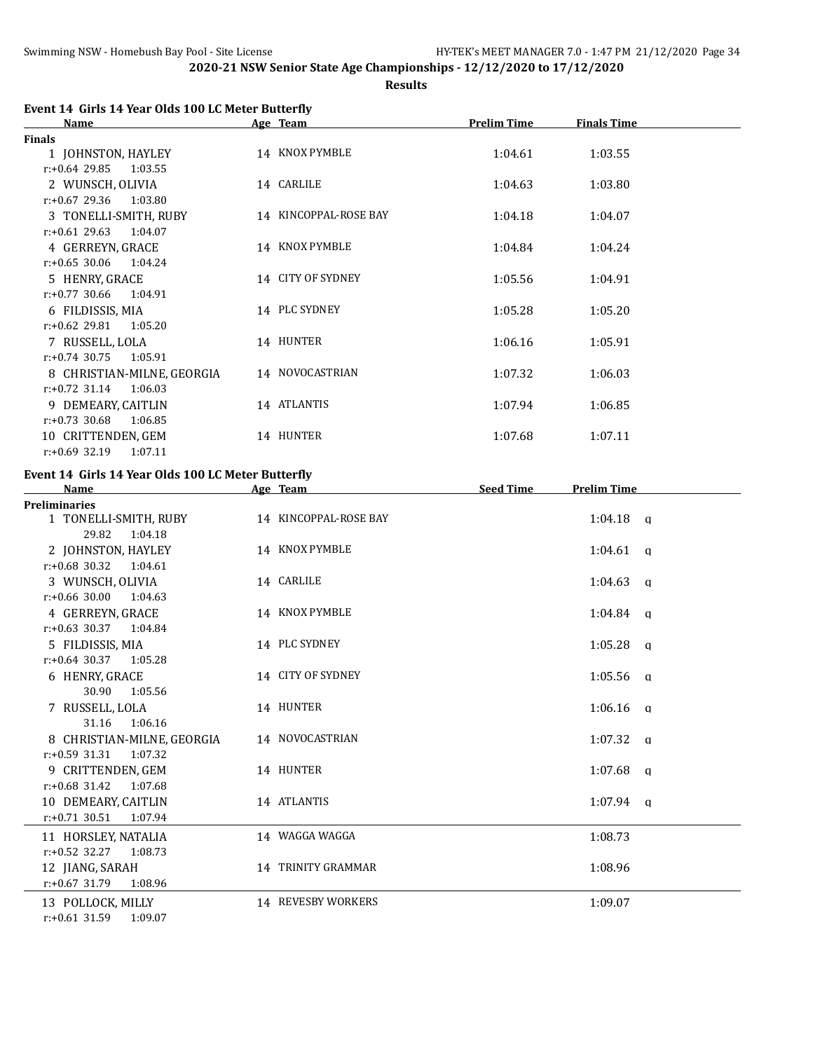**Results**

| <b>Name</b>                 | Age Team              | <b>Prelim Time</b> | <b>Finals Time</b> |  |
|-----------------------------|-----------------------|--------------------|--------------------|--|
| <b>Finals</b>               |                       |                    |                    |  |
| 1 JOHNSTON, HAYLEY          | 14 KNOX PYMBLE        | 1:04.61            | 1:03.55            |  |
| $r: +0.64$ 29.85<br>1:03.55 |                       |                    |                    |  |
| 2 WUNSCH, OLIVIA            | 14 CARLILE            | 1:04.63            | 1:03.80            |  |
| $r: +0.67$ 29.36<br>1:03.80 |                       |                    |                    |  |
| 3 TONELLI-SMITH, RUBY       | 14 KINCOPPAL-ROSE BAY | 1:04.18            | 1:04.07            |  |
| $r: +0.61$ 29.63<br>1:04.07 |                       |                    |                    |  |
| 4 GERREYN, GRACE            | 14 KNOX PYMBLE        | 1:04.84            | 1:04.24            |  |
| $r: +0.65$ 30.06<br>1:04.24 |                       |                    |                    |  |
| 5 HENRY, GRACE              | 14 CITY OF SYDNEY     | 1:05.56            | 1:04.91            |  |
| $r: +0.77$ 30.66<br>1:04.91 |                       |                    |                    |  |
| 6 FILDISSIS, MIA            | 14 PLC SYDNEY         | 1:05.28            | 1:05.20            |  |
| $r: +0.62$ 29.81<br>1:05.20 |                       |                    |                    |  |
| 7 RUSSELL, LOLA             | 14 HUNTER             | 1:06.16            | 1:05.91            |  |
| $r: +0.74$ 30.75<br>1:05.91 |                       |                    |                    |  |
| 8 CHRISTIAN-MILNE, GEORGIA  | 14 NOVOCASTRIAN       | 1:07.32            | 1:06.03            |  |
| $r: +0.72$ 31.14<br>1:06.03 |                       |                    |                    |  |
| 9 DEMEARY, CAITLIN          | 14 ATLANTIS           | 1:07.94            | 1:06.85            |  |
| $r: +0.73$ 30.68<br>1:06.85 |                       |                    |                    |  |
| 10 CRITTENDEN, GEM          | 14 HUNTER             | 1:07.68            | 1:07.11            |  |
| $r: +0.69$ 32.19<br>1:07.11 |                       |                    |                    |  |

# **Event 14 Girls 14 Year Olds 100 LC Meter Butterfly**

| <b>Name</b>                                                    | Age Team              | <b>Seed Time</b> | <b>Prelim Time</b> |
|----------------------------------------------------------------|-----------------------|------------------|--------------------|
| <b>Preliminaries</b>                                           |                       |                  |                    |
| 1 TONELLI-SMITH, RUBY<br>29.82<br>1:04.18                      | 14 KINCOPPAL-ROSE BAY |                  | $1:04.18$ q        |
| 2 JOHNSTON, HAYLEY<br>$r: +0.68$ 30.32<br>1:04.61              | 14 KNOX PYMBLE        |                  | $1:04.61$ a        |
| 3 WUNSCH, OLIVIA<br>$r: +0.66$ 30.00 1:04.63                   | 14 CARLILE            |                  | $1:04.63$ q        |
| 4 GERREYN, GRACE                                               | 14 KNOX PYMBLE        |                  | $1:04.84$ a        |
| $r: +0.63$ 30.37 1:04.84<br>5 FILDISSIS, MIA                   | 14 PLC SYDNEY         |                  | $1:05.28$ a        |
| $r: +0.64$ 30.37 1:05.28<br>6 HENRY, GRACE<br>30.90<br>1:05.56 | 14 CITY OF SYDNEY     |                  | $1:05.56$ q        |
| 7 RUSSELL, LOLA<br>31.16<br>1:06.16                            | 14 HUNTER             |                  | $1:06.16$ a        |
| 8 CHRISTIAN-MILNE, GEORGIA<br>$r: +0.59$ 31.31<br>1:07.32      | 14 NOVOCASTRIAN       |                  | $1:07.32$ a        |
| 9 CRITTENDEN, GEM<br>$r: +0.68$ 31.42<br>1:07.68               | 14 HUNTER             |                  | $1:07.68$ q        |
| 10 DEMEARY, CAITLIN<br>$r: +0.71$ 30.51<br>1:07.94             | 14 ATLANTIS           |                  | $1:07.94$ a        |
| 11 HORSLEY, NATALIA<br>$r: +0.52$ 32.27<br>1:08.73             | 14 WAGGA WAGGA        |                  | 1:08.73            |
| 12 JIANG, SARAH<br>$r: +0.67$ 31.79<br>1:08.96                 | 14 TRINITY GRAMMAR    |                  | 1:08.96            |
| 13 POLLOCK, MILLY<br>$r: +0.61$ 31.59<br>1:09.07               | 14 REVESBY WORKERS    |                  | 1:09.07            |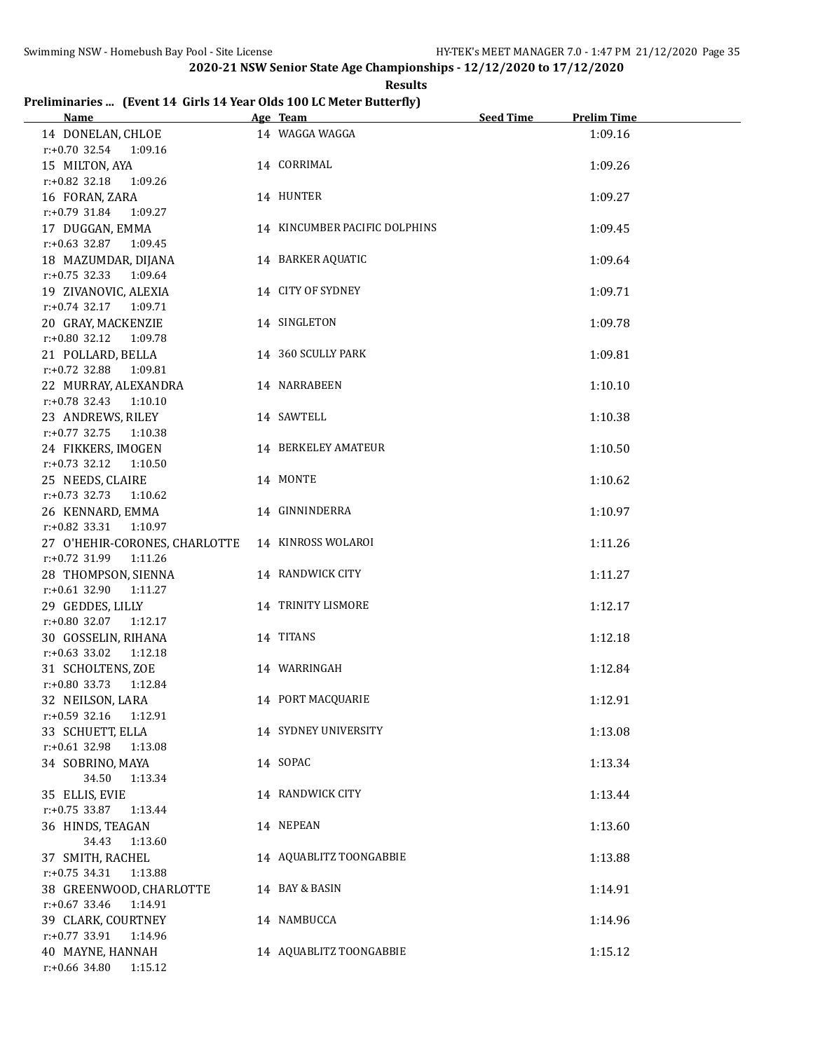**Results**

# **Preliminaries ... (Event 14 Girls 14 Year Olds 100 LC Meter Butterfly)**

| <b>Name</b>                                                                  | Age Team and the Team and the Team and the Team and the Team and the Team and the Team and the Team and the Te | <b>Seed Time</b> | <b>Prelim Time</b> |
|------------------------------------------------------------------------------|----------------------------------------------------------------------------------------------------------------|------------------|--------------------|
| 14 DONELAN, CHLOE<br>$r: +0.70$ 32.54 1:09.16                                | 14 WAGGA WAGGA                                                                                                 |                  | 1:09.16            |
| 15 MILTON, AYA<br>r:+0.82 32.18 1:09.26                                      | 14 CORRIMAL                                                                                                    |                  | 1:09.26            |
| 16 FORAN, ZARA<br>$r: +0.79$ 31.84 1:09.27                                   | 14 HUNTER                                                                                                      |                  | 1:09.27            |
| 17 DUGGAN, EMMA<br>r:+0.63 32.87 1:09.45                                     | 14 KINCUMBER PACIFIC DOLPHINS                                                                                  |                  | 1:09.45            |
| 18 MAZUMDAR, DIJANA<br>r:+0.75 32.33 1:09.64                                 | 14 BARKER AQUATIC                                                                                              |                  | 1:09.64            |
| 19 ZIVANOVIC, ALEXIA                                                         | 14 CITY OF SYDNEY                                                                                              |                  | 1:09.71            |
| $r.+0.74$ 32.17 1:09.71<br>20 GRAY, MACKENZIE<br>$r: +0.80$ 32.12<br>1:09.78 | 14 SINGLETON                                                                                                   |                  | 1:09.78            |
| 21 POLLARD, BELLA                                                            | 14 360 SCULLY PARK                                                                                             |                  | 1:09.81            |
| r:+0.72 32.88 1:09.81<br>22 MURRAY, ALEXANDRA                                | 14 NARRABEEN                                                                                                   |                  | 1:10.10            |
| r:+0.78 32.43 1:10.10<br>23 ANDREWS, RILEY                                   | 14 SAWTELL                                                                                                     |                  | 1:10.38            |
| $r: +0.77$ 32.75<br>1:10.38<br>24 FIKKERS, IMOGEN                            | 14 BERKELEY AMATEUR                                                                                            |                  | 1:10.50            |
| $r: +0.73$ 32.12<br>1:10.50<br>25 NEEDS, CLAIRE                              | 14 MONTE                                                                                                       |                  | 1:10.62            |
| $r.+0.73$ 32.73 1:10.62<br>26 KENNARD, EMMA                                  | 14 GINNINDERRA                                                                                                 |                  | 1:10.97            |
| $r.+0.82$ 33.31 1:10.97<br>27 O'HEHIR-CORONES, CHARLOTTE                     | 14 KINROSS WOLAROI                                                                                             |                  | 1:11.26            |
| $r: +0.72$ 31.99<br>1:11.26<br>28 THOMPSON, SIENNA                           | 14 RANDWICK CITY                                                                                               |                  | 1:11.27            |
| $r: +0.61$ 32.90<br>1:11.27<br>29 GEDDES, LILLY                              | 14 TRINITY LISMORE                                                                                             |                  | 1:12.17            |
| r:+0.80 32.07 1:12.17<br>30 GOSSELIN, RIHANA                                 | 14 TITANS                                                                                                      |                  | 1:12.18            |
| r:+0.63 33.02 1:12.18<br>31 SCHOLTENS, ZOE                                   | 14 WARRINGAH                                                                                                   |                  | 1:12.84            |
| r:+0.80 33.73 1:12.84<br>32 NEILSON, LARA                                    | 14 PORT MACQUARIE                                                                                              |                  | 1:12.91            |
| $r: +0.59$ 32.16<br>1:12.91<br>33 SCHUETT, ELLA                              | 14 SYDNEY UNIVERSITY                                                                                           |                  | 1:13.08            |
| $r: +0.61$ 32.98<br>1:13.08<br>34 SOBRINO, MAYA                              | 14 SOPAC                                                                                                       |                  | 1:13.34            |
| 34.50<br>1:13.34<br>35 ELLIS, EVIE                                           | 14 RANDWICK CITY                                                                                               |                  | 1:13.44            |
| r:+0.75 33.87<br>1:13.44<br>36 HINDS, TEAGAN                                 | 14 NEPEAN                                                                                                      |                  | 1:13.60            |
| 34.43<br>1:13.60<br>37 SMITH, RACHEL                                         | 14 AQUABLITZ TOONGABBIE                                                                                        |                  | 1:13.88            |
| $r: +0.75$ 34.31<br>1:13.88<br>38 GREENWOOD, CHARLOTTE                       | 14 BAY & BASIN                                                                                                 |                  | 1:14.91            |
| $r: +0.67$ 33.46<br>1:14.91<br>39 CLARK, COURTNEY                            | 14 NAMBUCCA                                                                                                    |                  | 1:14.96            |
| $r: +0.77$ 33.91<br>1:14.96<br>40 MAYNE, HANNAH                              | 14 AQUABLITZ TOONGABBIE                                                                                        |                  | 1:15.12            |
| r:+0.66 34.80<br>1:15.12                                                     |                                                                                                                |                  |                    |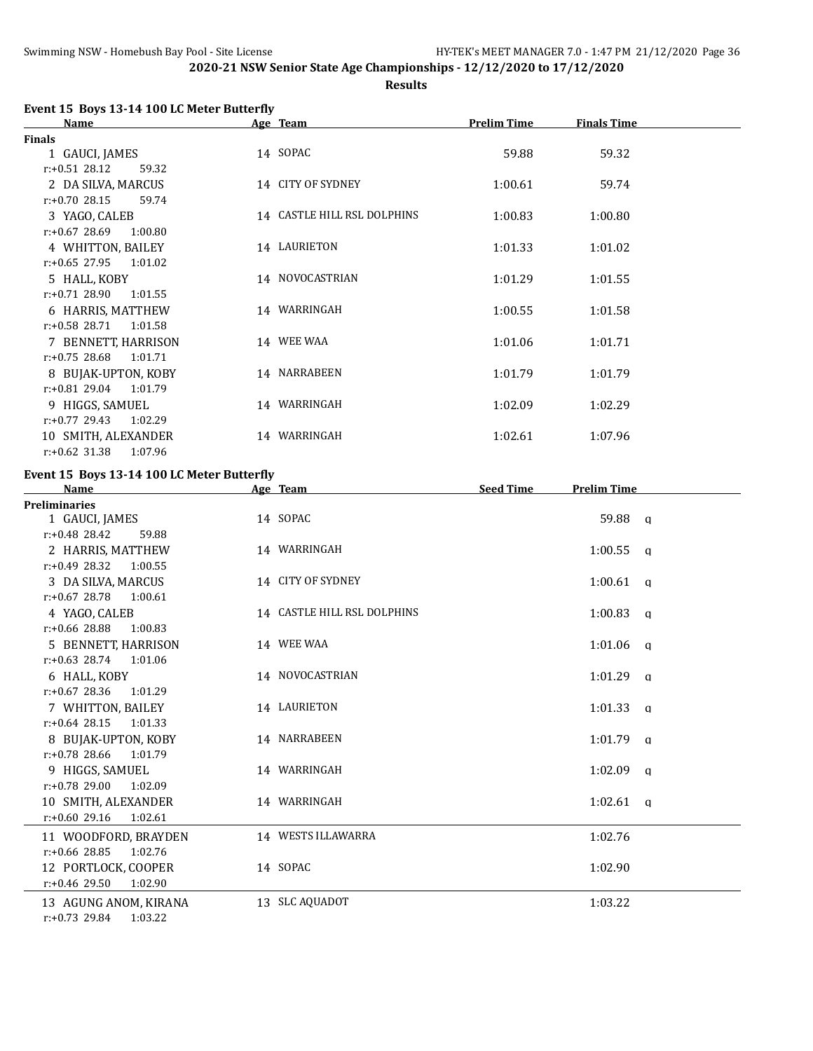**Results**

# **Event 15 Boys 13-14 100 LC Meter Butterfly**

| <b>Name</b>                 | Age Team                    | <b>Prelim Time</b> | <b>Finals Time</b> |  |
|-----------------------------|-----------------------------|--------------------|--------------------|--|
| <b>Finals</b>               |                             |                    |                    |  |
| 1 GAUCI, JAMES              | 14 SOPAC                    | 59.88              | 59.32              |  |
| $r: +0.51$ 28.12<br>59.32   |                             |                    |                    |  |
| 2 DA SILVA, MARCUS          | 14 CITY OF SYDNEY           | 1:00.61            | 59.74              |  |
| $r: +0.70$ 28.15<br>59.74   |                             |                    |                    |  |
| 3 YAGO, CALEB               | 14 CASTLE HILL RSL DOLPHINS | 1:00.83            | 1:00.80            |  |
| $r: +0.67$ 28.69<br>1:00.80 |                             |                    |                    |  |
| 4 WHITTON, BAILEY           | 14 LAURIETON                | 1:01.33            | 1:01.02            |  |
| $r: +0.65$ 27.95<br>1:01.02 |                             |                    |                    |  |
| 5 HALL, KOBY                | 14 NOVOCASTRIAN             | 1:01.29            | 1:01.55            |  |
| $r: +0.71$ 28.90<br>1:01.55 |                             |                    |                    |  |
| 6 HARRIS, MATTHEW           | 14 WARRINGAH                | 1:00.55            | 1:01.58            |  |
| $r: +0.58$ 28.71<br>1:01.58 |                             |                    |                    |  |
| 7 BENNETT, HARRISON         | 14 WEE WAA                  | 1:01.06            | 1:01.71            |  |
| $r: +0.75$ 28.68<br>1:01.71 |                             |                    |                    |  |
| 8 BUJAK-UPTON, KOBY         | 14 NARRABEEN                | 1:01.79            | 1:01.79            |  |
| $r: +0.81$ 29.04<br>1:01.79 |                             |                    |                    |  |
| 9 HIGGS, SAMUEL             | 14 WARRINGAH                | 1:02.09            | 1:02.29            |  |
| $r: +0.77$ 29.43<br>1:02.29 |                             |                    |                    |  |
| 10 SMITH, ALEXANDER         | 14 WARRINGAH                | 1:02.61            | 1:07.96            |  |
| $r: +0.62$ 31.38<br>1:07.96 |                             |                    |                    |  |

# **Event 15 Boys 13-14 100 LC Meter Butterfly**

| <b>Name</b>                 | Age Team                    | <b>Seed Time</b> | <b>Prelim Time</b> |
|-----------------------------|-----------------------------|------------------|--------------------|
| <b>Preliminaries</b>        |                             |                  |                    |
| 1 GAUCI, JAMES              | 14 SOPAC                    |                  | 59.88 a            |
| $r: +0.48$ 28.42<br>59.88   |                             |                  |                    |
| 2 HARRIS, MATTHEW           | 14 WARRINGAH                |                  | $1:00.55$ a        |
| $r: +0.49$ 28.32<br>1:00.55 |                             |                  |                    |
| 3 DA SILVA, MARCUS          | 14 CITY OF SYDNEY           |                  | $1:00.61$ a        |
| $r: +0.67$ 28.78 1:00.61    |                             |                  |                    |
| 4 YAGO, CALEB               | 14 CASTLE HILL RSL DOLPHINS |                  | $1:00.83$ q        |
| $r: +0.66$ 28.88<br>1:00.83 |                             |                  |                    |
| 5 BENNETT, HARRISON         | 14 WEE WAA                  |                  | $1:01.06$ a        |
| $r: +0.63$ 28.74 1:01.06    |                             |                  |                    |
| 6 HALL, KOBY                | 14 NOVOCASTRIAN             |                  | $1:01.29$ a        |
| $r: +0.67$ 28.36<br>1:01.29 |                             |                  |                    |
| 7 WHITTON, BAILEY           | 14 LAURIETON                |                  | $1:01.33$ a        |
| $r: +0.64$ 28.15<br>1:01.33 |                             |                  |                    |
| 8 BUJAK-UPTON, KOBY         | 14 NARRABEEN                |                  | $1:01.79$ a        |
| 1:01.79<br>$r: +0.78$ 28.66 |                             |                  |                    |
| 9 HIGGS, SAMUEL             | 14 WARRINGAH                |                  | $1:02.09$ q        |
| $r: +0.78$ 29.00<br>1:02.09 |                             |                  |                    |
| 10 SMITH. ALEXANDER         | 14 WARRINGAH                |                  | $1:02.61$ a        |
| $r: +0.60$ 29.16<br>1:02.61 |                             |                  |                    |
| 11 WOODFORD, BRAYDEN        | 14 WESTS ILLAWARRA          |                  | 1:02.76            |
| $r: +0.66$ 28.85<br>1:02.76 |                             |                  |                    |
| 12 PORTLOCK, COOPER         | 14 SOPAC                    |                  | 1:02.90            |
| $r: +0.46$ 29.50<br>1:02.90 |                             |                  |                    |
| 13 AGUNG ANOM, KIRANA       | 13 SLC AQUADOT              |                  | 1:03.22            |
| $r: +0.73$ 29.84<br>1:03.22 |                             |                  |                    |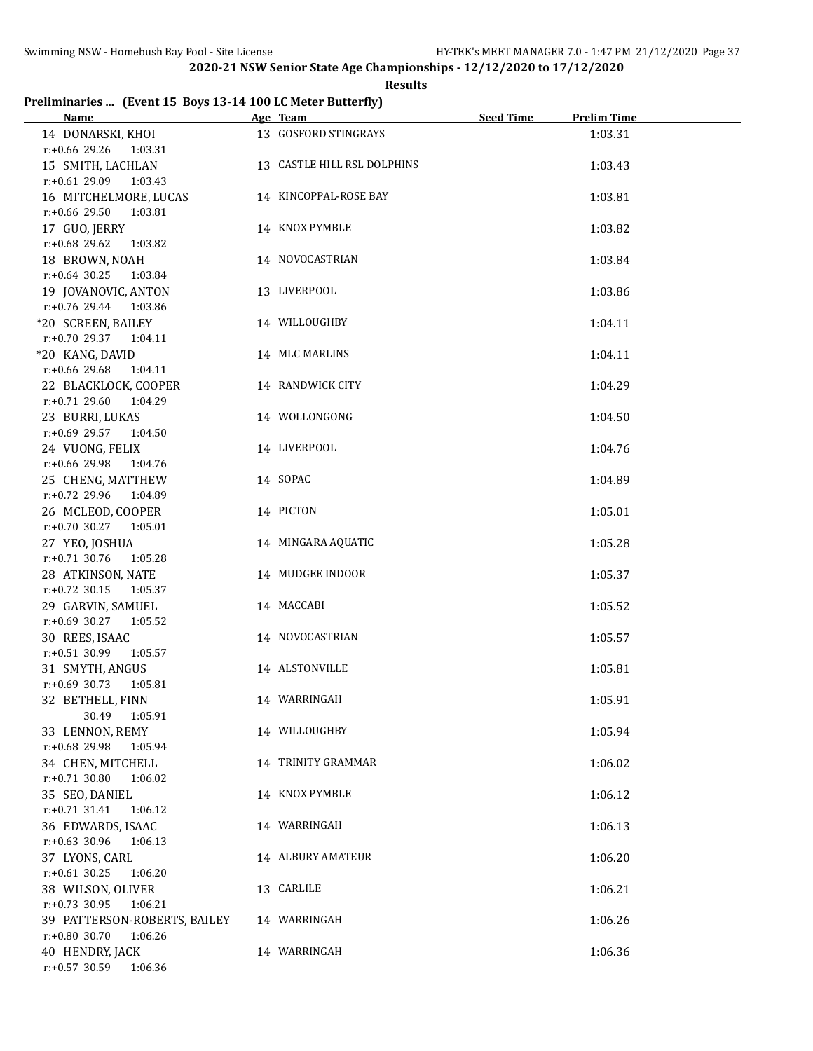### **Results**

# **Preliminaries ... (Event 15 Boys 13-14 100 LC Meter Butterfly)**

| Name                         | Age Team                    | <b>Seed Time</b> | <b>Prelim Time</b> |
|------------------------------|-----------------------------|------------------|--------------------|
| 14 DONARSKI, KHOI            | 13 GOSFORD STINGRAYS        |                  | 1:03.31            |
| $r: +0.66$ 29.26<br>1:03.31  |                             |                  |                    |
| 15 SMITH, LACHLAN            | 13 CASTLE HILL RSL DOLPHINS |                  | 1:03.43            |
| $r: +0.61$ 29.09 1:03.43     |                             |                  |                    |
| 16 MITCHELMORE, LUCAS        | 14 KINCOPPAL-ROSE BAY       |                  | 1:03.81            |
| $r: +0.66$ 29.50<br>1:03.81  |                             |                  |                    |
| 17 GUO, JERRY                | 14 KNOX PYMBLE              |                  | 1:03.82            |
| r:+0.68 29.62<br>1:03.82     |                             |                  |                    |
| 18 BROWN, NOAH               | 14 NOVOCASTRIAN             |                  | 1:03.84            |
|                              |                             |                  |                    |
| $r: +0.64$ 30.25<br>1:03.84  |                             |                  |                    |
| 19 JOVANOVIC, ANTON          | 13 LIVERPOOL                |                  | 1:03.86            |
| r:+0.76 29.44<br>1:03.86     |                             |                  |                    |
| *20 SCREEN, BAILEY           | 14 WILLOUGHBY               |                  | 1:04.11            |
| r:+0.70 29.37 1:04.11        |                             |                  |                    |
| *20 KANG, DAVID              | 14 MLC MARLINS              |                  | 1:04.11            |
| $r: +0.66$ 29.68<br>1:04.11  |                             |                  |                    |
| 22 BLACKLOCK, COOPER         | 14 RANDWICK CITY            |                  | 1:04.29            |
| $r: +0.71$ 29.60<br>1:04.29  |                             |                  |                    |
| 23 BURRI, LUKAS              | 14 WOLLONGONG               |                  | 1:04.50            |
| $r: +0.69$ 29.57<br>1:04.50  |                             |                  |                    |
| 24 VUONG, FELIX              | 14 LIVERPOOL                |                  | 1:04.76            |
| r:+0.66 29.98<br>1:04.76     |                             |                  |                    |
| 25 CHENG, MATTHEW            | 14 SOPAC                    |                  | 1:04.89            |
| $r: +0.72$ 29.96<br>1:04.89  |                             |                  |                    |
| 26 MCLEOD, COOPER            | 14 PICTON                   |                  | 1:05.01            |
| $r: +0.70$ 30.27<br>1:05.01  |                             |                  |                    |
| 27 YEO, JOSHUA               | 14 MINGARA AQUATIC          |                  | 1:05.28            |
| $r: +0.71$ 30.76<br>1:05.28  |                             |                  |                    |
| 28 ATKINSON, NATE            | 14 MUDGEE INDOOR            |                  | 1:05.37            |
| $r: +0.72$ 30.15<br>1:05.37  |                             |                  |                    |
|                              |                             |                  |                    |
| 29 GARVIN, SAMUEL            | 14 MACCABI                  |                  | 1:05.52            |
| r:+0.69 30.27 1:05.52        |                             |                  |                    |
| 30 REES, ISAAC               | 14 NOVOCASTRIAN             |                  | 1:05.57            |
| $r: +0.51$ 30.99<br>1:05.57  |                             |                  |                    |
| 31 SMYTH, ANGUS              | 14 ALSTONVILLE              |                  | 1:05.81            |
| $r: +0.69$ 30.73<br>1:05.81  |                             |                  |                    |
| 32 BETHELL, FINN             | 14 WARRINGAH                |                  | 1:05.91            |
| 30.49<br>1:05.91             |                             |                  |                    |
| 33 LENNON, REMY              | 14 WILLOUGHBY               |                  | 1:05.94            |
| r:+0.68 29.98<br>1:05.94     |                             |                  |                    |
| 34 CHEN, MITCHELL            | 14 TRINITY GRAMMAR          |                  | 1:06.02            |
| $r: +0.71$ 30.80<br>1:06.02  |                             |                  |                    |
| 35 SEO, DANIEL               | 14 KNOX PYMBLE              |                  | 1:06.12            |
| $r: +0.71$ 31.41<br>1:06.12  |                             |                  |                    |
| 36 EDWARDS, ISAAC            | 14 WARRINGAH                |                  | 1:06.13            |
| r:+0.63 30.96<br>1:06.13     |                             |                  |                    |
| 37 LYONS, CARL               | 14 ALBURY AMATEUR           |                  | 1:06.20            |
| $r: +0.61$ 30.25<br>1:06.20  |                             |                  |                    |
| 38 WILSON, OLIVER            | 13 CARLILE                  |                  | 1:06.21            |
| $r: +0.73$ 30.95<br>1:06.21  |                             |                  |                    |
| 39 PATTERSON-ROBERTS, BAILEY | 14 WARRINGAH                |                  | 1:06.26            |
| r:+0.80 30.70<br>1:06.26     |                             |                  |                    |
| 40 HENDRY, JACK              | 14 WARRINGAH                |                  | 1:06.36            |
| r:+0.57 30.59<br>1:06.36     |                             |                  |                    |
|                              |                             |                  |                    |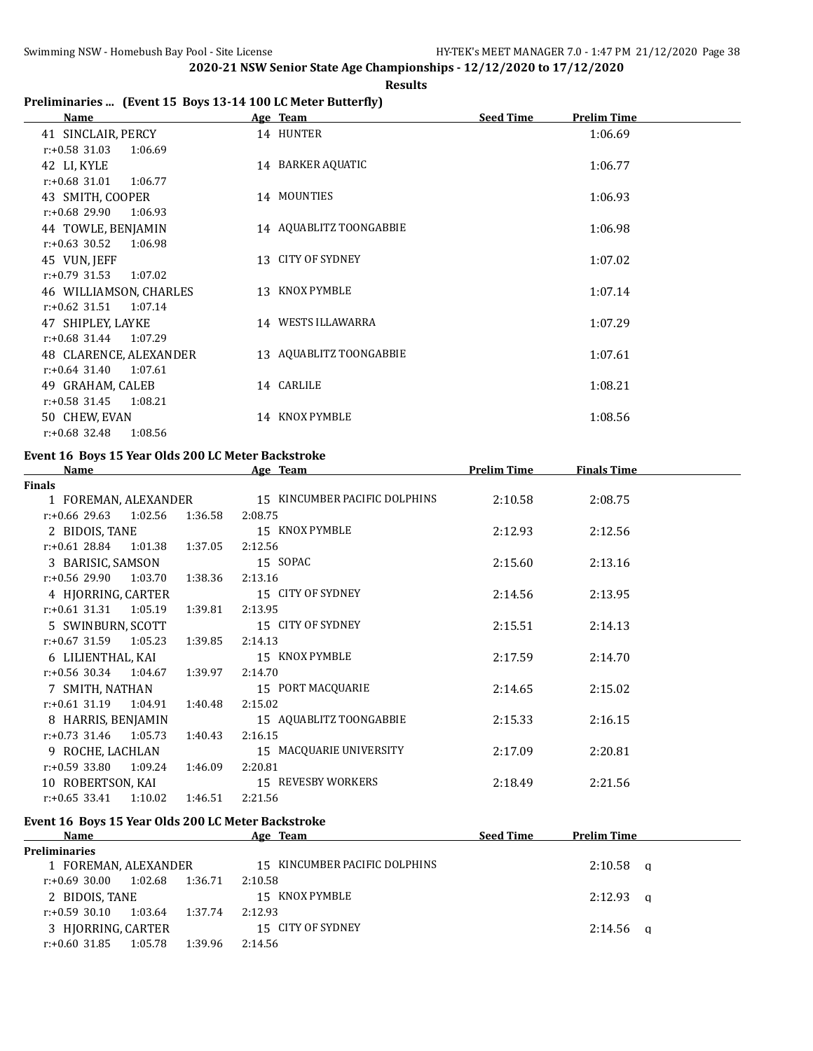#### **Results**

## **Preliminaries ... (Event 15 Boys 13-14 100 LC Meter Butterfly)**

| <b>Name</b>                 | Age Team                | <b>Seed Time</b><br><b>Prelim Time</b> |
|-----------------------------|-------------------------|----------------------------------------|
| 41 SINCLAIR, PERCY          | 14 HUNTER               | 1:06.69                                |
| $r: +0.58$ 31.03<br>1:06.69 |                         |                                        |
| 42 LI, KYLE                 | 14 BARKER AQUATIC       | 1:06.77                                |
| $r: +0.68$ 31.01<br>1:06.77 |                         |                                        |
| 43 SMITH, COOPER            | 14 MOUNTIES             | 1:06.93                                |
| $r: +0.68$ 29.90<br>1:06.93 |                         |                                        |
| 44 TOWLE, BENJAMIN          | 14 AQUABLITZ TOONGABBIE | 1:06.98                                |
| $r: +0.63$ 30.52<br>1:06.98 |                         |                                        |
| 45 VUN, JEFF                | 13 CITY OF SYDNEY       | 1:07.02                                |
| $r: +0.79$ 31.53<br>1:07.02 |                         |                                        |
| 46 WILLIAMSON, CHARLES      | 13 KNOX PYMBLE          | 1:07.14                                |
| $r: +0.62$ 31.51<br>1:07.14 |                         |                                        |
| 47 SHIPLEY, LAYKE           | 14 WESTS ILLAWARRA      | 1:07.29                                |
| $r: +0.68$ 31.44<br>1:07.29 |                         |                                        |
| 48 CLARENCE, ALEXANDER      | 13 AQUABLITZ TOONGABBIE | 1:07.61                                |
| $r: +0.64$ 31.40<br>1:07.61 |                         |                                        |
| 49 GRAHAM, CALEB            | 14 CARLILE              | 1:08.21                                |
| $r: +0.58$ 31.45<br>1:08.21 |                         |                                        |
| 50 CHEW, EVAN               | 14 KNOX PYMBLE          | 1:08.56                                |
| $r: +0.68$ 32.48<br>1:08.56 |                         |                                        |

# **Event 16 Boys 15 Year Olds 200 LC Meter Backstroke**

| <b>Name</b>                                        | <b>Prelim Time</b><br>Age Team |                               | <b>Finals Time</b> |                    |  |
|----------------------------------------------------|--------------------------------|-------------------------------|--------------------|--------------------|--|
| <b>Finals</b>                                      |                                |                               |                    |                    |  |
| 1 FOREMAN, ALEXANDER                               |                                | 15 KINCUMBER PACIFIC DOLPHINS | 2:10.58            | 2:08.75            |  |
| $r: +0.66$ 29.63 1:02.56                           | 1:36.58                        | 2:08.75                       |                    |                    |  |
| 2 BIDOIS, TANE                                     |                                | 15 KNOX PYMBLE                | 2:12.93            | 2:12.56            |  |
| $r: +0.6128.84$ 1:01.38                            | 1:37.05                        | 2:12.56                       |                    |                    |  |
| 3 BARISIC, SAMSON                                  |                                | 15 SOPAC                      | 2:15.60            | 2:13.16            |  |
| $r: +0.56$ 29.90<br>1:03.70                        | 1:38.36                        | 2:13.16                       |                    |                    |  |
| 4 HJORRING, CARTER                                 |                                | 15 CITY OF SYDNEY             | 2:14.56            | 2:13.95            |  |
| 1:05.19<br>$r: +0.61$ 31.31                        | 1:39.81                        | 2:13.95                       |                    |                    |  |
| 5 SWINBURN, SCOTT                                  |                                | 15 CITY OF SYDNEY             | 2:15.51            | 2:14.13            |  |
| $r.+0.67$ 31.59 1:05.23                            | 1:39.85                        | 2:14.13                       |                    |                    |  |
| 6 LILIENTHAL, KAI                                  |                                | 15 KNOX PYMBLE                | 2:17.59            | 2:14.70            |  |
| $r: +0.56$ 30.34 1:04.67                           | 1:39.97                        | 2:14.70                       |                    |                    |  |
| 7 SMITH, NATHAN                                    |                                | 15 PORT MACQUARIE             | 2:14.65            | 2:15.02            |  |
| $r: +0.61$ 31.19 1:04.91                           | 1:40.48                        | 2:15.02                       |                    |                    |  |
| 8 HARRIS, BENJAMIN                                 |                                | 15 AQUABLITZ TOONGABBIE       | 2:15.33            | 2:16.15            |  |
| $r: +0.73$ 31.46 1:05.73                           | 1:40.43                        | 2:16.15                       |                    |                    |  |
| 9 ROCHE, LACHLAN                                   |                                | 15 MACQUARIE UNIVERSITY       | 2:17.09            | 2:20.81            |  |
| $r: +0.59$ 33.80 1:09.24                           | 1:46.09                        | 2:20.81                       |                    |                    |  |
| 10 ROBERTSON, KAI                                  |                                | 15 REVESBY WORKERS            | 2:18.49            | 2:21.56            |  |
| $r: +0.65$ 33.41 1:10.02                           | 1:46.51                        | 2:21.56                       |                    |                    |  |
| Event 16 Boys 15 Year Olds 200 LC Meter Backstroke |                                |                               |                    |                    |  |
| Name                                               |                                | Age Team                      | <b>Seed Time</b>   | <b>Prelim Time</b> |  |

| <b>Preliminaries</b> |         |         |                               |             |  |
|----------------------|---------|---------|-------------------------------|-------------|--|
| 1 FOREMAN, ALEXANDER |         |         | 15 KINCUMBER PACIFIC DOLPHINS | $2:10.58$ q |  |
| r:+0.69 30.00        | 1:02.68 | 1:36.71 | 2:10.58                       |             |  |
| 2 BIDOIS, TANE       |         |         | 15 KNOX PYMBLE                | $2:12.93$ a |  |
| r:+0.59 30.10        | 1:03.64 | 1:37.74 | 2:12.93                       |             |  |
| 3 HJORRING, CARTER   |         |         | 15 CITY OF SYDNEY             | $2:14.56$ a |  |
| $r: +0.60$ 31.85     | 1:05.78 | 1:39.96 | 2:14.56                       |             |  |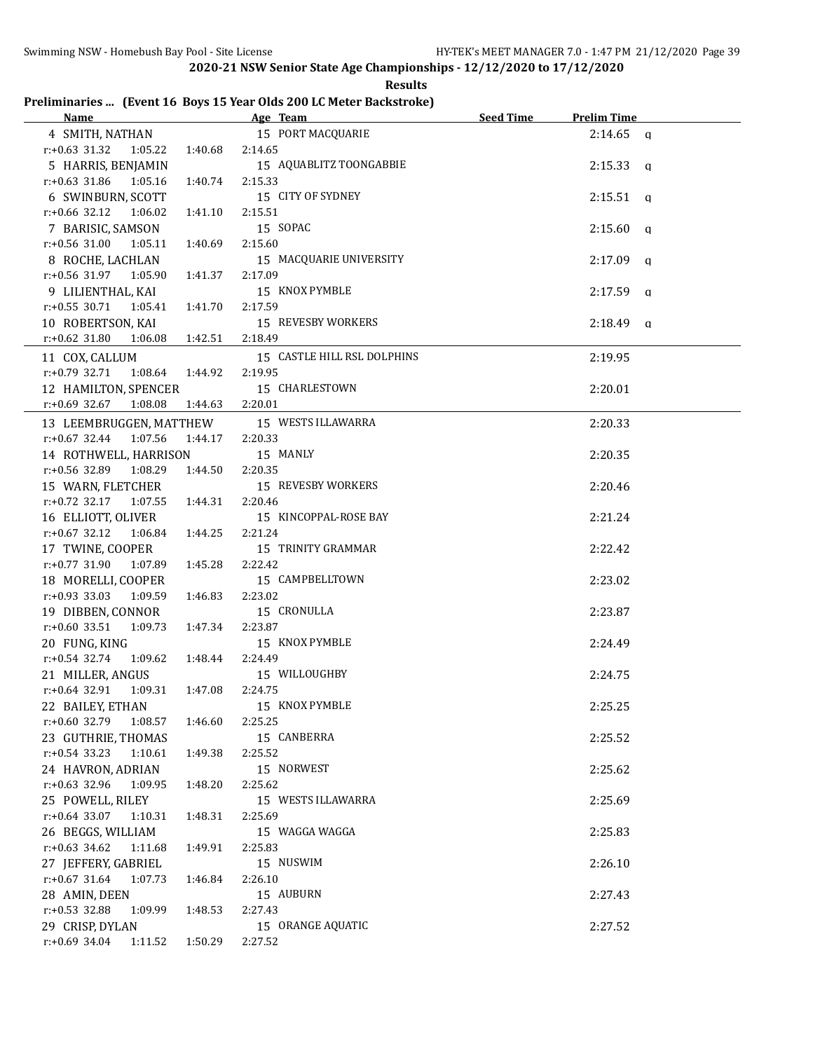| <b>Example 2016</b> Age Team<br>Name         |         | Preliminaries  (Event 16 Boys 15 Year Olds 200 LC Meter Backstroke) | Seed Time | <b>Prelim Time</b> |
|----------------------------------------------|---------|---------------------------------------------------------------------|-----------|--------------------|
|                                              |         | 15 PORT MACQUARIE                                                   |           |                    |
| 4 SMITH, NATHAN                              |         |                                                                     |           | $2:14.65$ a        |
| $r: +0.63$ 31.32<br>1:05.22                  | 1:40.68 | 2:14.65                                                             |           |                    |
| 5 HARRIS, BENJAMIN                           |         | 15 AQUABLITZ TOONGABBIE                                             |           | $2:15.33$ a        |
| $r: +0.63$ 31.86 1:05.16                     | 1:40.74 | 2:15.33                                                             |           |                    |
| 6 SWINBURN, SCOTT                            |         | 15 CITY OF SYDNEY                                                   |           | $2:15.51$ q        |
| $r: +0.66$ 32.12 1:06.02                     | 1:41.10 | 2:15.51                                                             |           |                    |
| 7 BARISIC, SAMSON                            |         | 15 SOPAC                                                            |           | 2:15.60<br>q       |
| $r: +0.56$ 31.00<br>1:05.11                  | 1:40.69 | 2:15.60                                                             |           |                    |
| 8 ROCHE, LACHLAN                             |         | 15 MACQUARIE UNIVERSITY                                             |           | 2:17.09<br>q       |
| r:+0.56 31.97 1:05.90                        | 1:41.37 | 2:17.09                                                             |           |                    |
| 9 LILIENTHAL, KAI                            |         | 15 KNOX PYMBLE                                                      |           | 2:17.59<br>q       |
| $r.+0.55$ 30.71<br>1:05.41                   | 1:41.70 | 2:17.59                                                             |           |                    |
| 10 ROBERTSON, KAI                            |         | 15 REVESBY WORKERS                                                  |           | $2:18.49$ q        |
| $r: +0.62$ 31.80<br>1:06.08                  | 1:42.51 | 2:18.49                                                             |           |                    |
| 11 COX, CALLUM                               |         | 15 CASTLE HILL RSL DOLPHINS                                         |           | 2:19.95            |
| $r.+0.79$ 32.71<br>1:08.64                   | 1:44.92 | 2:19.95                                                             |           |                    |
| 12 HAMILTON, SPENCER                         |         | 15 CHARLESTOWN                                                      |           | 2:20.01            |
| $r.+0.69$ 32.67<br>1:08.08                   | 1:44.63 | 2:20.01                                                             |           |                    |
| 13 LEEMBRUGGEN, MATTHEW                      |         | 15 WESTS ILLAWARRA                                                  |           | 2:20.33            |
| $r: +0.67$ 32.44<br>1:07.56                  | 1:44.17 | 2:20.33                                                             |           |                    |
| 14 ROTHWELL, HARRISON                        |         | 15 MANLY                                                            |           | 2:20.35            |
| r:+0.56 32.89 1:08.29                        | 1:44.50 | 2:20.35                                                             |           |                    |
| 15 WARN, FLETCHER                            |         | 15 REVESBY WORKERS                                                  |           | 2:20.46            |
| $r.+0.72$ 32.17 1:07.55                      | 1:44.31 | 2:20.46                                                             |           |                    |
| 16 ELLIOTT, OLIVER                           |         | 15 KINCOPPAL-ROSE BAY                                               |           | 2:21.24            |
| $r: +0.67$ 32.12<br>1:06.84                  | 1:44.25 | 2:21.24                                                             |           |                    |
| 17 TWINE, COOPER                             |         | 15 TRINITY GRAMMAR                                                  |           | 2:22.42            |
| $r.+0.77$ 31.90<br>1:07.89                   | 1:45.28 | 2:22.42                                                             |           |                    |
| 18 MORELLI, COOPER                           |         | 15 CAMPBELLTOWN                                                     |           | 2:23.02            |
| $r: +0.93$ 33.03<br>1:09.59                  | 1:46.83 | 2:23.02                                                             |           |                    |
| 19 DIBBEN, CONNOR                            |         | 15 CRONULLA                                                         |           | 2:23.87            |
| $r: +0.60$ 33.51<br>1:09.73                  | 1:47.34 | 2:23.87                                                             |           |                    |
| 20 FUNG, KING                                |         | 15 KNOX PYMBLE                                                      |           | 2:24.49            |
| r:+0.54 32.74 1:09.62                        | 1:48.44 | 2:24.49                                                             |           |                    |
| 21 MILLER, ANGUS                             |         | 15 WILLOUGHBY                                                       |           | 2:24.75            |
| r:+0.64 32.91  1:09.31  1:47.08  2:24.75     |         |                                                                     |           |                    |
|                                              |         | 15 KNOX PYMBLE                                                      |           |                    |
| 22 BAILEY, ETHAN<br>r:+0.60 32.79<br>1:08.57 | 1:46.60 | 2:25.25                                                             |           | 2:25.25            |
|                                              |         | 15 CANBERRA                                                         |           | 2:25.52            |
| 23 GUTHRIE, THOMAS<br>r:+0.54 33.23 1:10.61  |         | 2:25.52                                                             |           |                    |
|                                              | 1:49.38 |                                                                     |           |                    |
| 24 HAVRON, ADRIAN                            |         | 15 NORWEST                                                          |           | 2:25.62            |
| r:+0.63 32.96 1:09.95                        | 1:48.20 | 2:25.62                                                             |           |                    |
| 25 POWELL, RILEY                             |         | 15 WESTS ILLAWARRA                                                  |           | 2:25.69            |
| r:+0.64 33.07<br>1:10.31                     | 1:48.31 | 2:25.69                                                             |           |                    |
| 26 BEGGS, WILLIAM                            |         | 15 WAGGA WAGGA                                                      |           | 2:25.83            |
| $r.+0.63$ 34.62<br>1:11.68                   | 1:49.91 | 2:25.83                                                             |           |                    |
| 27 JEFFERY, GABRIEL                          |         | 15 NUSWIM                                                           |           | 2:26.10            |
| $r: +0.67$ 31.64<br>1:07.73                  | 1:46.84 | 2:26.10                                                             |           |                    |
| 28 AMIN, DEEN                                |         | 15 AUBURN                                                           |           | 2:27.43            |
| $r: +0.53$ 32.88<br>1:09.99                  | 1:48.53 | 2:27.43                                                             |           |                    |
| 29 CRISP, DYLAN                              |         | 15 ORANGE AQUATIC                                                   |           | 2:27.52            |
| $r: +0.69$ 34.04<br>1:11.52                  | 1:50.29 | 2:27.52                                                             |           |                    |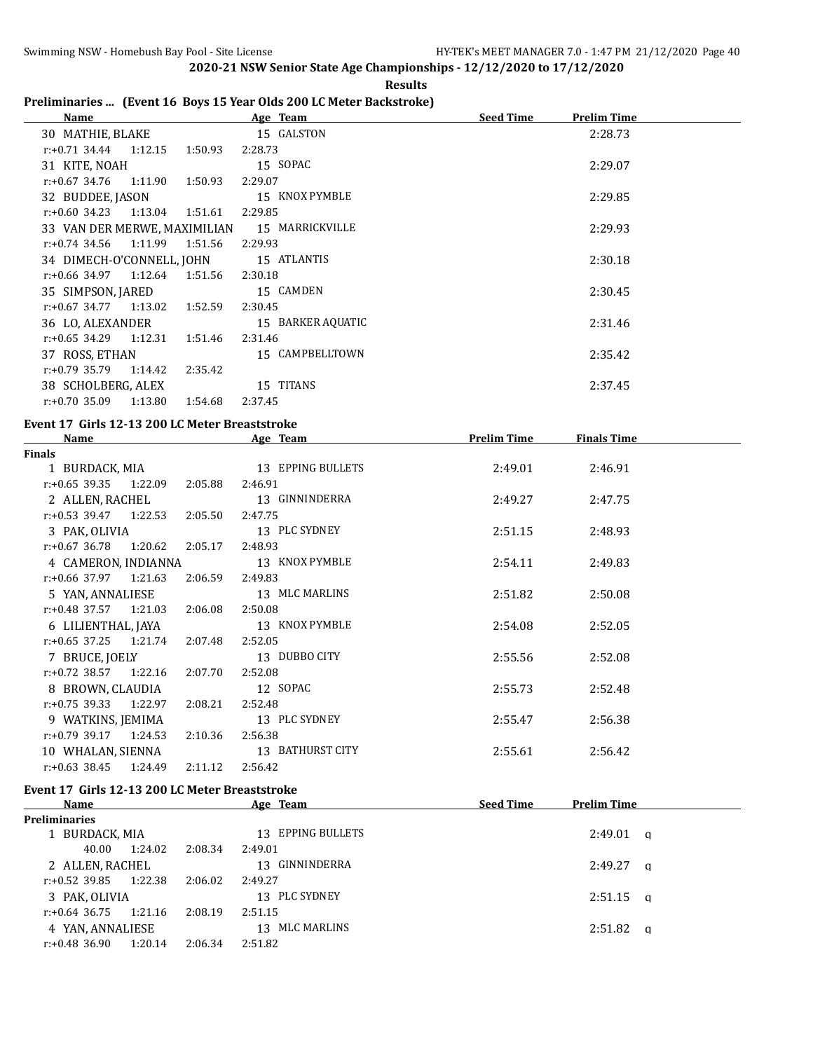# **Results**

# **Preliminaries ... (Event 16 Boys 15 Year Olds 200 LC Meter Backstroke)**

| <b>Name</b>                                  | Age Team          | <b>Seed Time</b><br><b>Prelim Time</b> |
|----------------------------------------------|-------------------|----------------------------------------|
| 30 MATHIE, BLAKE                             | 15 GALSTON        | 2:28.73                                |
| $r.+0.71$ 34.44 1:12.15<br>1:50.93           | 2:28.73           |                                        |
| 31 KITE, NOAH                                | 15 SOPAC          | 2:29.07                                |
| 1:11.90<br>1:50.93<br>r:+0.67 34.76          | 2:29.07           |                                        |
| 32 BUDDEE, JASON                             | 15 KNOX PYMBLE    | 2:29.85                                |
| $r: +0.60$ 34.23<br>1:13.04<br>1:51.61       | 2:29.85           |                                        |
| 33 VAN DER MERWE, MAXIMILIAN 15 MARRICKVILLE |                   | 2:29.93                                |
| 1:11.99<br>1:51.56<br>$r: +0.74$ 34.56       | 2:29.93           |                                        |
| 34 DIMECH-O'CONNELL, JOHN                    | 15 ATLANTIS       | 2:30.18                                |
| 1:12.64<br>r:+0.66 34.97<br>1:51.56          | 2:30.18           |                                        |
| 35 SIMPSON, JARED                            | 15 CAMDEN         | 2:30.45                                |
| 1:13.02<br>1:52.59<br>r:+0.67 34.77          | 2:30.45           |                                        |
| 36 LO, ALEXANDER                             | 15 BARKER AQUATIC | 2:31.46                                |
| 1:12.31<br>r:+0.65 34.29<br>1:51.46          | 2:31.46           |                                        |
| 37 ROSS, ETHAN                               | 15 CAMPBELLTOWN   | 2:35.42                                |
| 1:14.42<br>r:+0.79 35.79<br>2:35.42          |                   |                                        |
| 38 SCHOLBERG, ALEX                           | 15 TITANS         | 2:37.45                                |
| $r: +0.70$ 35.09<br>1:13.80<br>1:54.68       | 2:37.45           |                                        |

#### **Event 17 Girls 12-13 200 LC Meter Breaststroke**

| <b>Name</b>                      |         | Age Team          | <b>Prelim Time</b> | <b>Finals Time</b> |  |
|----------------------------------|---------|-------------------|--------------------|--------------------|--|
| <b>Finals</b>                    |         |                   |                    |                    |  |
| 1 BURDACK, MIA                   |         | 13 EPPING BULLETS | 2:49.01            | 2:46.91            |  |
| $r: +0.65$ 39.35 1:22.09         | 2:05.88 | 2:46.91           |                    |                    |  |
| 2 ALLEN, RACHEL                  |         | 13 GINNINDERRA    | 2:49.27            | 2:47.75            |  |
| $r: +0.53$ 39.47 1:22.53         | 2:05.50 | 2:47.75           |                    |                    |  |
| 3 PAK, OLIVIA                    |         | 13 PLC SYDNEY     | 2:51.15            | 2:48.93            |  |
| $r: +0.67$ 36.78 1:20.62 2:05.17 |         | 2:48.93           |                    |                    |  |
| 4 CAMERON, INDIANNA              |         | 13 KNOX PYMBLE    | 2:54.11            | 2:49.83            |  |
| $r: +0.66$ 37.97 1:21.63         | 2:06.59 | 2:49.83           |                    |                    |  |
| 5 YAN, ANNALIESE                 |         | 13 MLC MARLINS    | 2:51.82            | 2:50.08            |  |
| $r.+0.48$ 37.57 1:21.03          | 2:06.08 | 2:50.08           |                    |                    |  |
| 6 LILIENTHAL, JAYA               |         | 13 KNOX PYMBLE    | 2:54.08            | 2:52.05            |  |
| $r: +0.65$ 37.25 1:21.74         | 2:07.48 | 2:52.05           |                    |                    |  |
| 7 BRUCE, JOELY                   |         | 13 DUBBO CITY     | 2:55.56            | 2:52.08            |  |
| $r.+0.72$ 38.57 1:22.16          | 2:07.70 | 2:52.08           |                    |                    |  |
| 8 BROWN, CLAUDIA                 |         | 12 SOPAC          | 2:55.73            | 2:52.48            |  |
| $r: +0.75$ 39.33 1:22.97         | 2:08.21 | 2:52.48           |                    |                    |  |
| 9 WATKINS, JEMIMA                |         | 13 PLC SYDNEY     | 2:55.47            | 2:56.38            |  |
| $r.+0.79$ 39.17 1:24.53          | 2:10.36 | 2:56.38           |                    |                    |  |
| 10 WHALAN, SIENNA                |         | 13 BATHURST CITY  | 2:55.61            | 2:56.42            |  |
| $r: +0.63$ 38.45 1:24.49         | 2:11.12 | 2:56.42           |                    |                    |  |

#### **Event 17 Girls 12-13 200 LC Meter Breaststroke**

| Name                     |         |         | Age Team          | <b>Seed Time</b> | <b>Prelim Time</b> |          |
|--------------------------|---------|---------|-------------------|------------------|--------------------|----------|
| <b>Preliminaries</b>     |         |         |                   |                  |                    |          |
| 1 BURDACK, MIA           |         |         | 13 EPPING BULLETS |                  | $2:49.01$ a        |          |
| 40.00                    | 1:24.02 | 2:08.34 | 2:49.01           |                  |                    |          |
| 2 ALLEN, RACHEL          |         |         | 13 GINNINDERRA    |                  | 2:49.27            | <b>a</b> |
| $r: +0.52$ 39.85 1:22.38 |         | 2:06.02 | 2:49.27           |                  |                    |          |
| 3 PAK. OLIVIA            |         |         | 13 PLC SYDNEY     |                  | $2:51.15$ a        |          |
| r:+0.64 36.75            | 1:21.16 | 2:08.19 | 2:51.15           |                  |                    |          |
| 4 YAN, ANNALIESE         |         |         | 13 MLC MARLINS    |                  | 2:51.82            | - a      |
| r:+0.48 36.90            | 1:20.14 | 2:06.34 | 2:51.82           |                  |                    |          |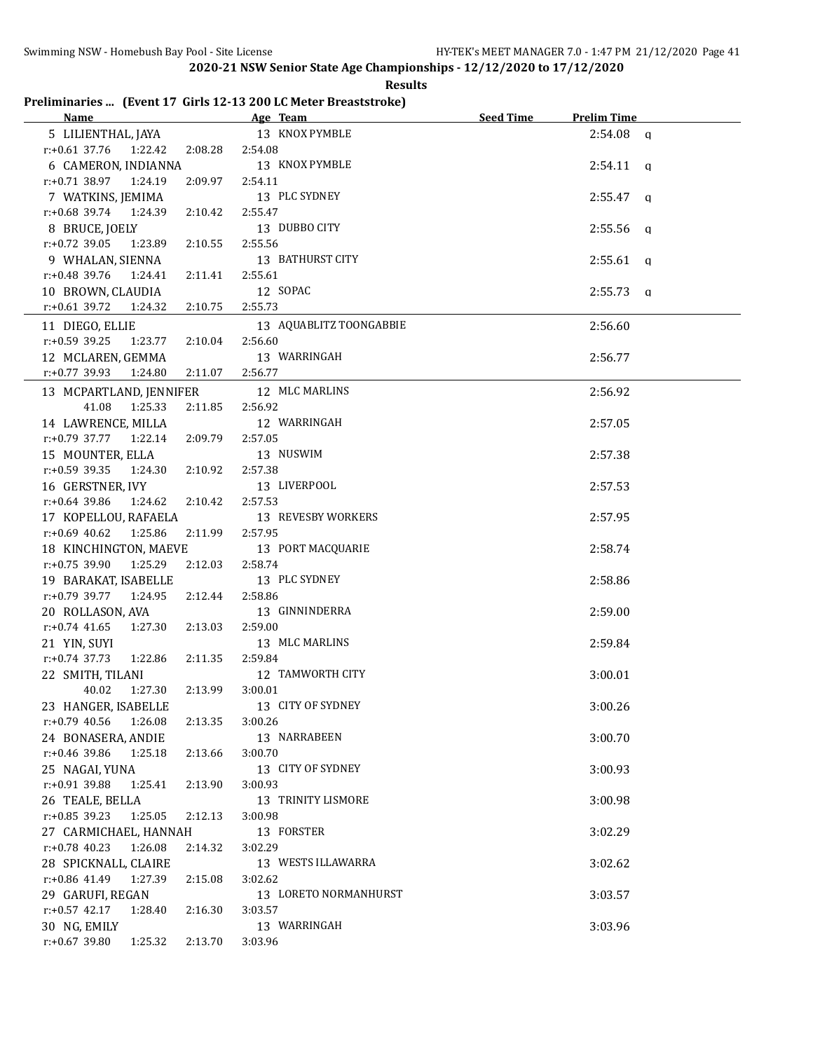**Results**

### **Preliminaries ... (Event 17 Girls 12-13 200 LC Meter Breaststroke)**

| Name and the state of the state of the state of the state of the state of the state of the state of the state of the state of the state of the state of the state of the state of the state of the state of the state of the s | Age Team and the state of the state of the state of the state of the state of the state of the state of the state of the state of the state of the state of the state of the state of the state of the state of the state of t | Seed Time | <b>Prelim Time</b> |  |
|--------------------------------------------------------------------------------------------------------------------------------------------------------------------------------------------------------------------------------|--------------------------------------------------------------------------------------------------------------------------------------------------------------------------------------------------------------------------------|-----------|--------------------|--|
| 5 LILIENTHAL, JAYA                                                                                                                                                                                                             | 13 KNOX PYMBLE                                                                                                                                                                                                                 |           | $2:54.08$ a        |  |
| r:+0.61 37.76  1:22.42  2:08.28                                                                                                                                                                                                | 2:54.08                                                                                                                                                                                                                        |           |                    |  |
| 6 CAMERON, INDIANNA                                                                                                                                                                                                            | 13 KNOX PYMBLE                                                                                                                                                                                                                 |           | $2:54.11$ a        |  |
| $r.+0.71$ 38.97 1:24.19<br>2:09.97                                                                                                                                                                                             | 2:54.11                                                                                                                                                                                                                        |           |                    |  |
| 7 WATKINS, JEMIMA                                                                                                                                                                                                              | 13 PLC SYDNEY                                                                                                                                                                                                                  |           | $2:55.47$ a        |  |
| $r.+0.68$ 39.74 1:24.39<br>2:10.42                                                                                                                                                                                             | 2:55.47                                                                                                                                                                                                                        |           |                    |  |
| 8 BRUCE, JOELY                                                                                                                                                                                                                 | 13 DUBBO CITY                                                                                                                                                                                                                  |           | $2:55.56$ q        |  |
| $r.+0.72$ 39.05 1:23.89<br>2:10.55                                                                                                                                                                                             | 2:55.56                                                                                                                                                                                                                        |           |                    |  |
| 9 WHALAN, SIENNA                                                                                                                                                                                                               | 13 BATHURST CITY                                                                                                                                                                                                               |           | $2:55.61$ q        |  |
| r:+0.48 39.76 1:24.41<br>2:11.41                                                                                                                                                                                               | 2:55.61                                                                                                                                                                                                                        |           |                    |  |
| 10 BROWN, CLAUDIA                                                                                                                                                                                                              | 12 SOPAC                                                                                                                                                                                                                       |           | $2:55.73$ q        |  |
| $r.+0.61$ 39.72<br>1:24.32<br>2:10.75                                                                                                                                                                                          | 2:55.73                                                                                                                                                                                                                        |           |                    |  |
|                                                                                                                                                                                                                                |                                                                                                                                                                                                                                |           |                    |  |
| 11 DIEGO, ELLIE                                                                                                                                                                                                                | 13 AQUABLITZ TOONGABBIE                                                                                                                                                                                                        |           | 2:56.60            |  |
| $r: +0.59$ 39.25 1:23.77<br>2:10.04                                                                                                                                                                                            | 2:56.60                                                                                                                                                                                                                        |           |                    |  |
| 12 MCLAREN, GEMMA                                                                                                                                                                                                              | 13 WARRINGAH                                                                                                                                                                                                                   |           | 2:56.77            |  |
| $r: +0.77$ 39.93 1:24.80<br>2:11.07                                                                                                                                                                                            | 2:56.77                                                                                                                                                                                                                        |           |                    |  |
| 13 MCPARTLAND, JENNIFER                                                                                                                                                                                                        | 12 MLC MARLINS                                                                                                                                                                                                                 |           | 2:56.92            |  |
| 41.08 1:25.33<br>2:11.85                                                                                                                                                                                                       | 2:56.92                                                                                                                                                                                                                        |           |                    |  |
| 14 LAWRENCE, MILLA                                                                                                                                                                                                             | 12 WARRINGAH                                                                                                                                                                                                                   |           | 2:57.05            |  |
| $r.+0.79$ 37.77 1:22.14<br>2:09.79                                                                                                                                                                                             | 2:57.05                                                                                                                                                                                                                        |           |                    |  |
| 15 MOUNTER, ELLA                                                                                                                                                                                                               | 13 NUSWIM                                                                                                                                                                                                                      |           | 2:57.38            |  |
| $r: +0.59$ 39.35 1:24.30<br>2:10.92                                                                                                                                                                                            | 2:57.38                                                                                                                                                                                                                        |           |                    |  |
| 16 GERSTNER, IVY                                                                                                                                                                                                               | 13 LIVERPOOL                                                                                                                                                                                                                   |           | 2:57.53            |  |
| r:+0.64 39.86 1:24.62 2:10.42                                                                                                                                                                                                  | 2:57.53                                                                                                                                                                                                                        |           |                    |  |
| 17 KOPELLOU, RAFAELA                                                                                                                                                                                                           | 13 REVESBY WORKERS                                                                                                                                                                                                             |           | 2:57.95            |  |
| $r: +0.69$ 40.62 1:25.86<br>2:11.99                                                                                                                                                                                            | 2:57.95                                                                                                                                                                                                                        |           |                    |  |
| 18 KINCHINGTON, MAEVE                                                                                                                                                                                                          | 13 PORT MACQUARIE                                                                                                                                                                                                              |           | 2:58.74            |  |
| r:+0.75 39.90 1:25.29 2:12.03                                                                                                                                                                                                  | 2:58.74                                                                                                                                                                                                                        |           |                    |  |
| 19 BARAKAT, ISABELLE                                                                                                                                                                                                           | 13 PLC SYDNEY                                                                                                                                                                                                                  |           | 2:58.86            |  |
| $r.+0.79$ 39.77 1:24.95<br>2:12.44                                                                                                                                                                                             | 2:58.86                                                                                                                                                                                                                        |           |                    |  |
| 20 ROLLASON, AVA                                                                                                                                                                                                               | 13 GINNINDERRA                                                                                                                                                                                                                 |           | 2:59.00            |  |
| $r: +0.74$ 41.65<br>1:27.30<br>2:13.03                                                                                                                                                                                         | 2:59.00                                                                                                                                                                                                                        |           |                    |  |
| 21 YIN, SUYI                                                                                                                                                                                                                   | 13 MLC MARLINS                                                                                                                                                                                                                 |           | 2:59.84            |  |
| r:+0.74 37.73 1:22.86<br>2:11.35                                                                                                                                                                                               | 2:59.84                                                                                                                                                                                                                        |           |                    |  |
| 22 SMITH, TILANI                                                                                                                                                                                                               | 12 TAMWORTH CITY                                                                                                                                                                                                               |           | 3:00.01            |  |
| 40.02<br>1:27.30<br>2:13.99                                                                                                                                                                                                    | 3:00.01                                                                                                                                                                                                                        |           |                    |  |
| 23 HANGER, ISABELLE                                                                                                                                                                                                            | 13 CITY OF SYDNEY                                                                                                                                                                                                              |           | 3:00.26            |  |
| $r.+0.79$ 40.56 1:26.08                                                                                                                                                                                                        | 3:00.26                                                                                                                                                                                                                        |           |                    |  |
| 2:13.35                                                                                                                                                                                                                        |                                                                                                                                                                                                                                |           |                    |  |
| 24 BONASERA, ANDIE                                                                                                                                                                                                             | 13 NARRABEEN                                                                                                                                                                                                                   |           | 3:00.70            |  |
| r:+0.46 39.86 1:25.18<br>2:13.66                                                                                                                                                                                               | 3:00.70                                                                                                                                                                                                                        |           |                    |  |
| 25 NAGAI, YUNA                                                                                                                                                                                                                 | 13 CITY OF SYDNEY                                                                                                                                                                                                              |           | 3:00.93            |  |
| r:+0.91 39.88<br>1:25.41<br>2:13.90                                                                                                                                                                                            | 3:00.93                                                                                                                                                                                                                        |           |                    |  |
| 26 TEALE, BELLA                                                                                                                                                                                                                | 13 TRINITY LISMORE                                                                                                                                                                                                             |           | 3:00.98            |  |
| $r$ :+0.85 39.23<br>1:25.05<br>2:12.13                                                                                                                                                                                         | 3:00.98                                                                                                                                                                                                                        |           |                    |  |
| 27 CARMICHAEL, HANNAH                                                                                                                                                                                                          | 13 FORSTER                                                                                                                                                                                                                     |           | 3:02.29            |  |
| $r.+0.78$ 40.23<br>1:26.08<br>2:14.32                                                                                                                                                                                          | 3:02.29                                                                                                                                                                                                                        |           |                    |  |
| 28 SPICKNALL, CLAIRE                                                                                                                                                                                                           | 13 WESTS ILLAWARRA                                                                                                                                                                                                             |           | 3:02.62            |  |
| r:+0.86 41.49<br>1:27.39<br>2:15.08                                                                                                                                                                                            | 3:02.62                                                                                                                                                                                                                        |           |                    |  |
| 29 GARUFI, REGAN                                                                                                                                                                                                               | 13 LORETO NORMANHURST                                                                                                                                                                                                          |           | 3:03.57            |  |
| $r: +0.57$ 42.17<br>1:28.40<br>2:16.30                                                                                                                                                                                         | 3:03.57                                                                                                                                                                                                                        |           |                    |  |
| 30 NG, EMILY                                                                                                                                                                                                                   | 13 WARRINGAH                                                                                                                                                                                                                   |           | 3:03.96            |  |
| r:+0.67 39.80<br>1:25.32<br>2:13.70                                                                                                                                                                                            | 3:03.96                                                                                                                                                                                                                        |           |                    |  |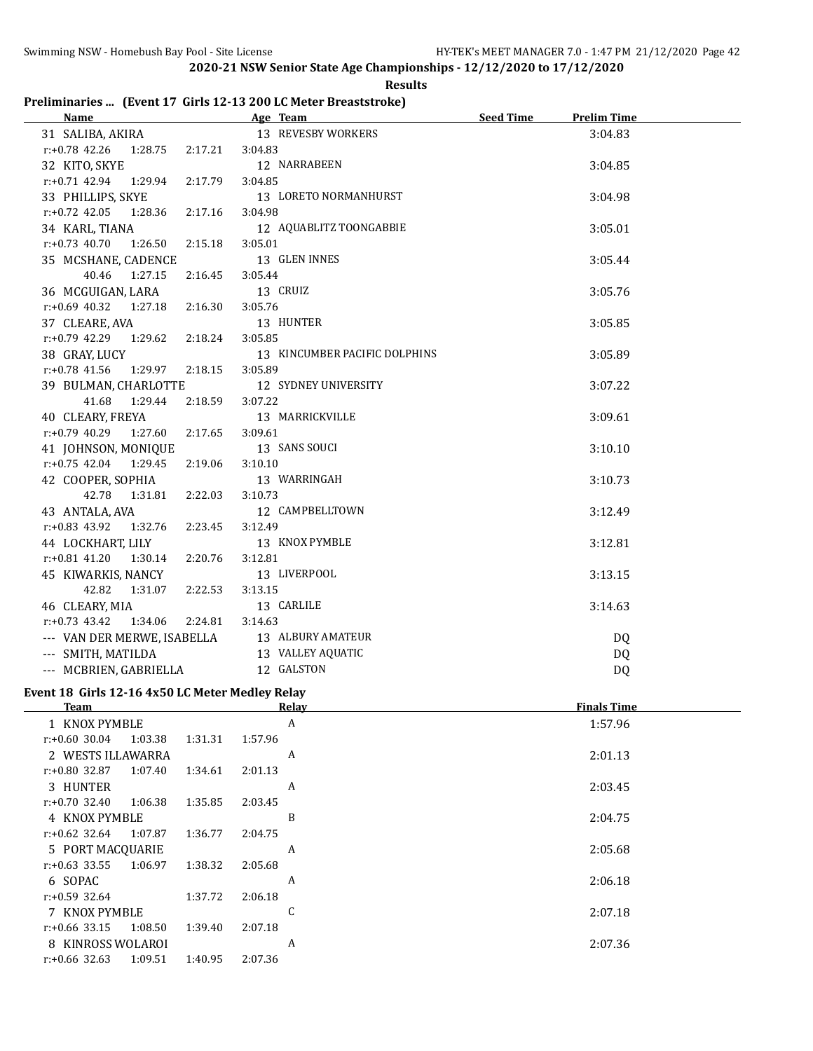#### **Results**

#### **Preliminaries ... (Event 17 Girls 12-13 200 LC Meter Breaststroke)**

| Name                                   | Age Team                      | <b>Seed Time</b><br><b>Prelim Time</b> |
|----------------------------------------|-------------------------------|----------------------------------------|
| 31 SALIBA, AKIRA                       | 13 REVESBY WORKERS            | 3:04.83                                |
| r:+0.78 42.26<br>2:17.21<br>1:28.75    | 3:04.83                       |                                        |
| 32 KITO, SKYE                          | 12 NARRABEEN                  | 3:04.85                                |
| $r: +0.71$ 42.94<br>1:29.94<br>2:17.79 | 3:04.85                       |                                        |
| 33 PHILLIPS, SKYE                      | 13 LORETO NORMANHURST         | 3:04.98                                |
| $r: +0.72$ 42.05<br>1:28.36<br>2:17.16 | 3:04.98                       |                                        |
| 34 KARL, TIANA                         | 12 AQUABLITZ TOONGABBIE       | 3:05.01                                |
| $r: +0.73$ 40.70<br>1:26.50<br>2:15.18 | 3:05.01                       |                                        |
| 35 MCSHANE, CADENCE                    | 13 GLEN INNES                 | 3:05.44                                |
| 40.46<br>1:27.15<br>2:16.45            | 3:05.44                       |                                        |
| 36 MCGUIGAN, LARA                      | 13 CRUIZ                      | 3:05.76                                |
| $r.+0.69$ 40.32 1:27.18<br>2:16.30     | 3:05.76                       |                                        |
| 37 CLEARE, AVA                         | 13 HUNTER                     | 3:05.85                                |
| $r: +0.79$ 42.29<br>1:29.62<br>2:18.24 | 3:05.85                       |                                        |
| 38 GRAY, LUCY                          | 13 KINCUMBER PACIFIC DOLPHINS | 3:05.89                                |
| 1:29.97<br>2:18.15<br>$r: +0.78$ 41.56 | 3:05.89                       |                                        |
| 39 BULMAN, CHARLOTTE                   | 12 SYDNEY UNIVERSITY          | 3:07.22                                |
| 41.68<br>1:29.44<br>2:18.59            | 3:07.22                       |                                        |
| 40 CLEARY, FREYA                       | 13 MARRICKVILLE               | 3:09.61                                |
| $r: +0.79$ 40.29<br>1:27.60<br>2:17.65 | 3:09.61                       |                                        |
| 41 JOHNSON, MONIQUE                    | 13 SANS SOUCI                 | 3:10.10                                |
| $r.+0.75$ 42.04 1:29.45<br>2:19.06     | 3:10.10                       |                                        |
| 42 COOPER, SOPHIA                      | 13 WARRINGAH                  | 3:10.73                                |
| 42.78<br>1:31.81<br>2:22.03            | 3:10.73                       |                                        |
| 43 ANTALA, AVA                         | 12 CAMPBELLTOWN               | 3:12.49                                |
| $r: +0.83$ 43.92<br>1:32.76<br>2:23.45 | 3:12.49                       |                                        |
| 44 LOCKHART, LILY                      | 13 KNOX PYMBLE                | 3:12.81                                |
| $r: +0.81$ 41.20<br>1:30.14<br>2:20.76 | 3:12.81                       |                                        |
| 45 KIWARKIS, NANCY                     | 13 LIVERPOOL                  | 3:13.15                                |
| 42.82<br>2:22.53<br>1:31.07            | 3:13.15                       |                                        |
| 46 CLEARY, MIA                         | 13 CARLILE                    | 3:14.63                                |
| $r: +0.73$ 43.42<br>1:34.06<br>2:24.81 | 3:14.63                       |                                        |
| --- VAN DER MERWE, ISABELLA            | 13 ALBURY AMATEUR             | DQ                                     |
| --- SMITH, MATILDA                     | 13 VALLEY AQUATIC             | <b>DQ</b>                              |
| --- MCBRIEN, GABRIELLA                 | 12 GALSTON                    | <b>DQ</b>                              |

#### **Event 18 Girls 12-16 4x50 LC Meter Medley Relay**

| Team              |         |         |         | Relav | <b>Finals Time</b> |
|-------------------|---------|---------|---------|-------|--------------------|
| 1 KNOX PYMBLE     |         |         |         | A     | 1:57.96            |
| $r: +0.60$ 30.04  | 1:03.38 | 1:31.31 | 1:57.96 |       |                    |
| 2 WESTS ILLAWARRA |         |         |         | A     | 2:01.13            |
| $r: +0.80$ 32.87  | 1:07.40 | 1:34.61 | 2:01.13 |       |                    |
| 3 HUNTER          |         |         |         | A     | 2:03.45            |
| $r: +0.70$ 32.40  | 1:06.38 | 1:35.85 | 2:03.45 |       |                    |
| 4 KNOX PYMBLE     |         |         |         | B     | 2:04.75            |
| $r: +0.62$ 32.64  | 1:07.87 | 1:36.77 | 2:04.75 |       |                    |
| 5 PORT MACQUARIE  |         |         |         | A     | 2:05.68            |
| $r: +0.63$ 33.55  | 1:06.97 | 1:38.32 | 2:05.68 |       |                    |
| 6 SOPAC           |         |         |         | A     | 2:06.18            |
| $r: +0.59$ 32.64  |         | 1:37.72 | 2:06.18 |       |                    |
| 7 KNOX PYMBLE     |         |         |         |       | 2:07.18            |
| $r: +0.66$ 33.15  | 1:08.50 | 1:39.40 | 2:07.18 |       |                    |
| 8 KINROSS WOLAROI |         |         |         | A     | 2:07.36            |
| $r: +0.66$ 32.63  | 1:09.51 | 1:40.95 | 2:07.36 |       |                    |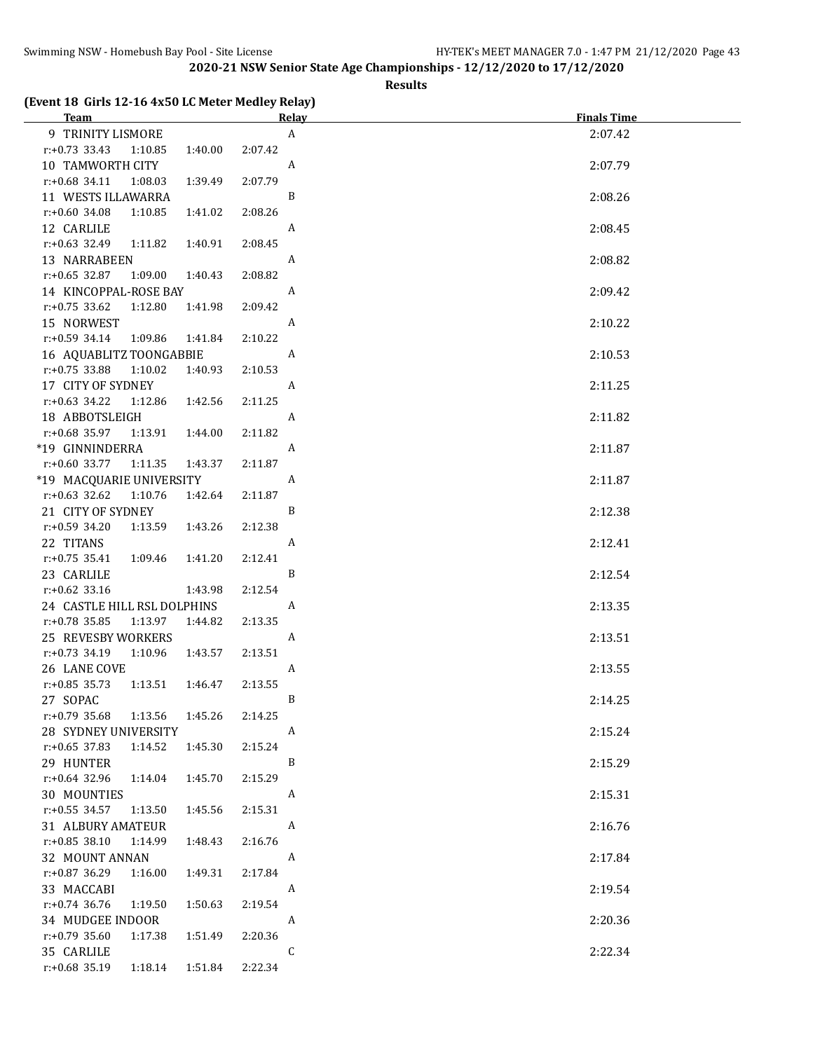#### **Results**

#### **(Event 18 Girls 12-16 4x50 LC Meter Medley Relay)**

| <b>Team</b>                            |                  | <b>Finals Time</b><br><u>Relav</u> |
|----------------------------------------|------------------|------------------------------------|
| 9 TRINITY LISMORE                      |                  | $\boldsymbol{A}$<br>2:07.42        |
| $r: +0.73$ 33.43<br>1:40.00<br>1:10.85 | 2:07.42          |                                    |
| 10 TAMWORTH CITY                       | A                | 2:07.79                            |
| $r: +0.68$ 34.11<br>1:08.03<br>1:39.49 | 2:07.79          |                                    |
| 11 WESTS ILLAWARRA                     | B                | 2:08.26                            |
| $r: +0.60$ 34.08<br>1:10.85<br>1:41.02 | 2:08.26          |                                    |
| 12 CARLILE                             | A                | 2:08.45                            |
| $r: +0.63$ 32.49<br>1:11.82<br>1:40.91 | 2:08.45          |                                    |
| 13 NARRABEEN                           | $\boldsymbol{A}$ | 2:08.82                            |
| $r: +0.65$ 32.87<br>1:09.00<br>1:40.43 | 2:08.82          |                                    |
| 14 KINCOPPAL-ROSE BAY                  | $\boldsymbol{A}$ | 2:09.42                            |
| $r: +0.75$ 33.62<br>1:12.80<br>1:41.98 | 2:09.42          |                                    |
| 15 NORWEST                             | A                | 2:10.22                            |
| $r: +0.59$ 34.14<br>1:09.86<br>1:41.84 | 2:10.22          |                                    |
| 16 AQUABLITZ TOONGABBIE                | A                | 2:10.53                            |
| $r: +0.75$ 33.88 1:10.02<br>1:40.93    | 2:10.53          |                                    |
| 17 CITY OF SYDNEY                      | A                | 2:11.25                            |
| $r.+0.63$ 34.22<br>1:12.86<br>1:42.56  | 2:11.25          |                                    |
| 18 ABBOTSLEIGH                         | A                | 2:11.82                            |
| r:+0.68 35.97 1:13.91<br>1:44.00       | 2:11.82          |                                    |
| *19 GINNINDERRA                        | A                | 2:11.87                            |
| $r: +0.60$ 33.77 1:11.35<br>1:43.37    | 2:11.87          |                                    |
| *19 MACQUARIE UNIVERSITY               | A                | 2:11.87                            |
| r:+0.63 32.62 1:10.76<br>1:42.64       | 2:11.87          |                                    |
| 21 CITY OF SYDNEY                      | B                | 2:12.38                            |
| $r: +0.59$ 34.20<br>1:13.59<br>1:43.26 | 2:12.38          |                                    |
| 22 TITANS                              | A                | 2:12.41                            |
| $r: +0.75$ 35.41<br>1:09.46<br>1:41.20 | 2:12.41          |                                    |
| 23 CARLILE                             | B                | 2:12.54                            |
| $r.+0.62$ 33.16<br>1:43.98             | 2:12.54          |                                    |
| 24 CASTLE HILL RSL DOLPHINS            | A                | 2:13.35                            |
| $r: +0.78$ 35.85<br>1:13.97<br>1:44.82 | 2:13.35          |                                    |
| 25 REVESBY WORKERS                     |                  | A<br>2:13.51                       |
| $r.+0.73$ 34.19<br>1:10.96<br>1:43.57  | 2:13.51          |                                    |
| 26 LANE COVE                           | A                | 2:13.55                            |
| $r: +0.85$ 35.73<br>1:13.51<br>1:46.47 | 2:13.55          |                                    |
| 27 SOPAC                               |                  | 2:14.25<br>B                       |
| r:+0.79 35.68<br>1:13.56<br>1:45.26    | 2:14.25          |                                    |
| 28 SYDNEY UNIVERSITY                   | A                | 2:15.24                            |
| $r$ :+0.65 37.83<br>1:14.52<br>1:45.30 | 2:15.24          |                                    |
| 29 HUNTER                              |                  | B<br>2:15.29                       |
| $r: +0.64$ 32.96<br>1:14.04<br>1:45.70 | 2:15.29          |                                    |
| 30 MOUNTIES                            | A                | 2:15.31                            |
| $r: +0.55$ 34.57<br>1:13.50<br>1:45.56 | 2:15.31          |                                    |
| 31 ALBURY AMATEUR                      | A                | 2:16.76                            |
| $r: +0.85$ 38.10<br>1:14.99<br>1:48.43 | 2:16.76          |                                    |
| 32 MOUNT ANNAN                         | A                | 2:17.84                            |
| r:+0.87 36.29<br>1:16.00<br>1:49.31    | 2:17.84          |                                    |
| 33 MACCABI                             | A                | 2:19.54                            |
| $r: +0.74$ 36.76<br>1:50.63<br>1:19.50 | 2:19.54          |                                    |
| 34 MUDGEE INDOOR                       | A                | 2:20.36                            |
| r:+0.79 35.60<br>1:17.38<br>1:51.49    | 2:20.36          |                                    |
| 35 CARLILE                             | $\mathsf{C}$     | 2:22.34                            |
| r:+0.68 35.19<br>1:18.14<br>1:51.84    | 2:22.34          |                                    |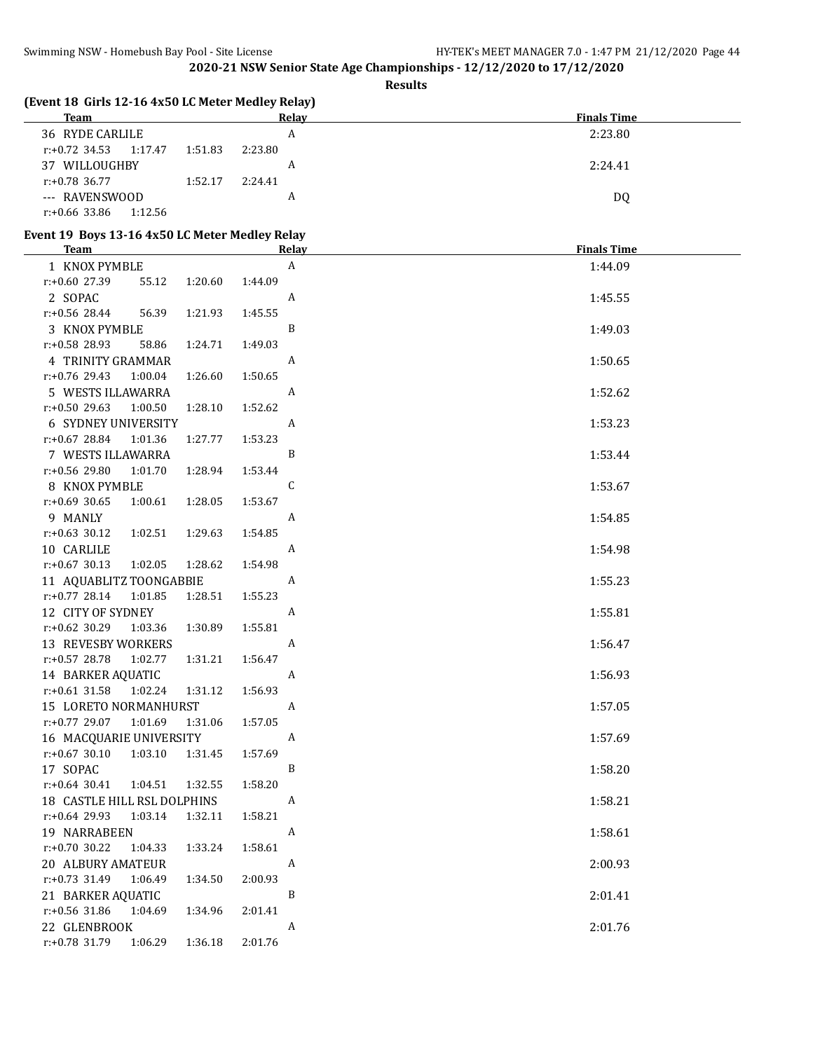**Results**

| (Event 18 Girls 12-16 4x50 LC Meter Medley Relay)<br><b>Team</b> |                    | <b>Relay</b>              | <b>Finals Time</b> |
|------------------------------------------------------------------|--------------------|---------------------------|--------------------|
| 36 RYDE CARLILE                                                  |                    | $\, {\bf A}$              | 2:23.80            |
| $r: +0.72$ 34.53<br>1:17.47                                      | 2:23.80<br>1:51.83 |                           |                    |
| 37 WILLOUGHBY                                                    |                    | A                         | 2:24.41            |
| r:+0.78 36.77                                                    | 2:24.41<br>1:52.17 |                           |                    |
| --- RAVENSWOOD                                                   |                    | A                         | DQ                 |
| r:+0.66 33.86<br>1:12.56                                         |                    |                           |                    |
|                                                                  |                    |                           |                    |
| Event 19 Boys 13-16 4x50 LC Meter Medley Relay                   |                    |                           |                    |
| <b>Team</b>                                                      |                    | <b>Relay</b>              | <b>Finals Time</b> |
| 1 KNOX PYMBLE                                                    |                    | $\boldsymbol{\mathsf{A}}$ | 1:44.09            |
| r:+0.60 27.39<br>55.12                                           | 1:20.60<br>1:44.09 |                           |                    |
| 2 SOPAC                                                          |                    | A                         | 1:45.55            |
| r:+0.56 28.44<br>56.39                                           | 1:45.55<br>1:21.93 |                           |                    |
| 3 KNOX PYMBLE                                                    |                    | B                         | 1:49.03            |
| r:+0.58 28.93<br>58.86                                           | 1:24.71<br>1:49.03 |                           |                    |
| 4 TRINITY GRAMMAR                                                |                    | A                         | 1:50.65            |
| r:+0.76 29.43<br>1:00.04                                         | 1:26.60<br>1:50.65 |                           |                    |
| 5 WESTS ILLAWARRA                                                |                    | A                         | 1:52.62            |
| r:+0.50 29.63<br>1:00.50                                         | 1:28.10<br>1:52.62 |                           |                    |
| 6 SYDNEY UNIVERSITY                                              |                    | A                         | 1:53.23            |
| $r: +0.67$ 28.84<br>1:01.36                                      | 1:27.77<br>1:53.23 |                           |                    |
| 7 WESTS ILLAWARRA                                                |                    | B                         | 1:53.44            |
| r:+0.56 29.80<br>1:01.70                                         | 1:28.94<br>1:53.44 |                           |                    |
| 8 KNOX PYMBLE                                                    |                    | C                         | 1:53.67            |
| $r: +0.69$ 30.65<br>1:00.61                                      | 1:28.05<br>1:53.67 |                           |                    |
| 9 MANLY                                                          |                    | A                         | 1:54.85            |
| $r: +0.63$ 30.12<br>1:02.51                                      | 1:54.85<br>1:29.63 |                           |                    |
| 10 CARLILE                                                       |                    | A                         | 1:54.98            |
| $r: +0.67$ 30.13<br>1:02.05                                      | 1:28.62<br>1:54.98 |                           |                    |
| 11 AQUABLITZ TOONGABBIE                                          |                    | A                         | 1:55.23            |
| $r: +0.77$ 28.14<br>1:01.85                                      | 1:55.23<br>1:28.51 |                           |                    |
| 12 CITY OF SYDNEY                                                |                    | A                         | 1:55.81            |
| r:+0.62 30.29<br>1:03.36                                         | 1:55.81<br>1:30.89 |                           |                    |
| 13 REVESBY WORKERS                                               |                    | A                         | 1:56.47            |
| r:+0.57 28.78<br>1:02.77                                         | 1:56.47<br>1:31.21 |                           |                    |
| 14 BARKER AQUATIC                                                |                    | A                         | 1:56.93            |
| $r: +0.61$ 31.58<br>1:02.24                                      | 1:31.12<br>1:56.93 |                           |                    |
| 15 LORETO NORMANHURST                                            |                    | A                         | 1:57.05            |
| r:+0.77 29.07<br>1:01.69                                         | 1:57.05<br>1:31.06 |                           |                    |
| 16 MACQUARIE UNIVERSITY                                          |                    | A                         | 1:57.69            |
| $r: +0.67$ 30.10<br>1:03.10                                      | 1:57.69<br>1:31.45 |                           |                    |
| 17 SOPAC                                                         |                    | B                         | 1:58.20            |
| $r: +0.64$ 30.41<br>1:04.51                                      | 1:58.20<br>1:32.55 |                           |                    |
| 18 CASTLE HILL RSL DOLPHINS                                      |                    | A                         | 1:58.21            |
| r:+0.64 29.93<br>1:03.14                                         | 1:58.21<br>1:32.11 |                           |                    |
| 19 NARRABEEN                                                     |                    | A                         | 1:58.61            |
| $r: +0.70$ 30.22<br>1:04.33                                      | 1:58.61<br>1:33.24 |                           |                    |
| 20 ALBURY AMATEUR                                                |                    | A                         | 2:00.93            |
| $r.+0.73$ 31.49<br>1:06.49                                       | 2:00.93<br>1:34.50 |                           |                    |
| 21 BARKER AQUATIC                                                |                    | B                         | 2:01.41            |
| r:+0.56 31.86<br>1:04.69                                         | 1:34.96<br>2:01.41 |                           |                    |
| 22 GLENBROOK                                                     |                    | A                         | 2:01.76            |
| r:+0.78 31.79<br>1:06.29                                         | 2:01.76<br>1:36.18 |                           |                    |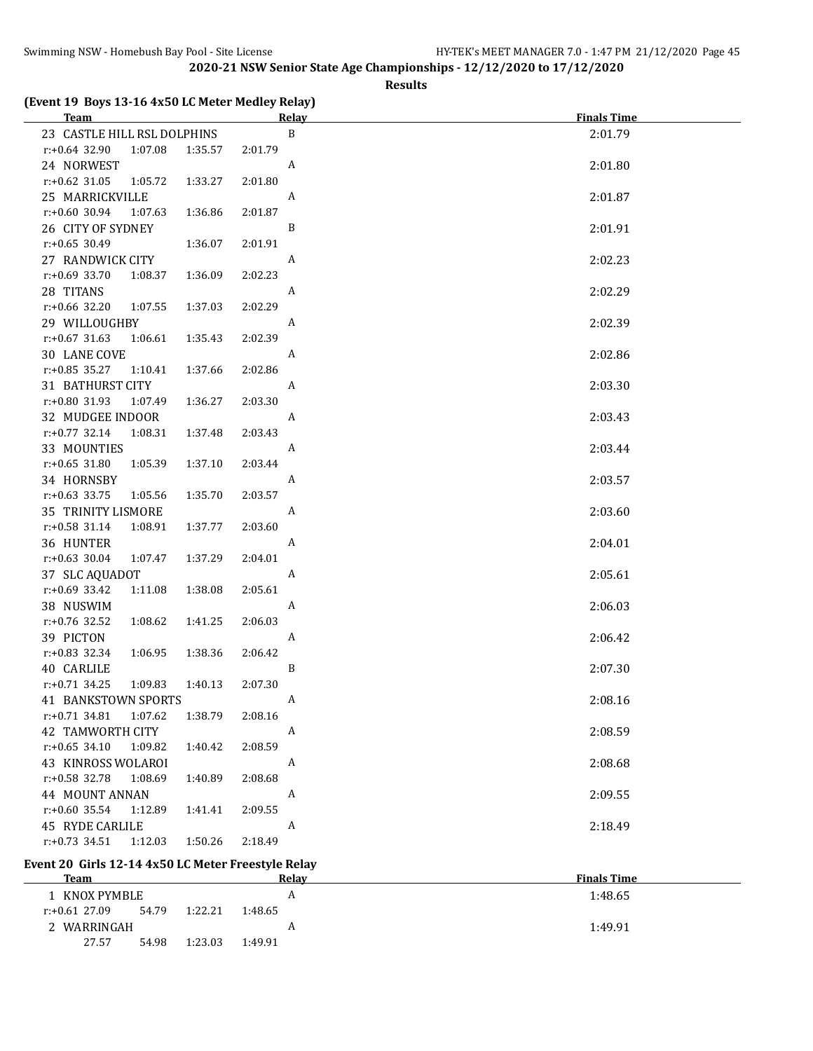#### **Results**

#### **(Event 19 Boys 13-16 4x50 LC Meter Medley Relay)**

| <b>Team</b>                           |         | <b>Relay</b> | <b>Finals Time</b> |
|---------------------------------------|---------|--------------|--------------------|
| 23 CASTLE HILL RSL DOLPHINS           |         | $\, {\bf B}$ | 2:01.79            |
| r:+0.64 32.90<br>1:07.08              | 1:35.57 | 2:01.79      |                    |
| 24 NORWEST                            |         | A            | 2:01.80            |
| $r: +0.62$ 31.05<br>1:05.72           | 1:33.27 | 2:01.80      |                    |
| 25 MARRICKVILLE                       |         | A            | 2:01.87            |
| r:+0.60 30.94<br>1:07.63              | 1:36.86 | 2:01.87      |                    |
| 26 CITY OF SYDNEY                     |         | B            | 2:01.91            |
| $r: +0.65$ 30.49                      | 1:36.07 | 2:01.91      |                    |
| 27 RANDWICK CITY                      |         | A            | 2:02.23            |
| $r: +0.69$ 33.70<br>1:08.37           | 1:36.09 | 2:02.23      |                    |
| 28 TITANS                             |         | A            | 2:02.29            |
| r:+0.66 32.20<br>1:07.55              | 1:37.03 | 2:02.29      |                    |
| 29 WILLOUGHBY                         |         | A            | 2:02.39            |
| $r: +0.67$ 31.63<br>1:06.61           | 1:35.43 | 2:02.39      |                    |
| 30 LANE COVE                          |         | A            | 2:02.86            |
| $r: +0.85$ 35.27<br>1:10.41           | 1:37.66 | 2:02.86      |                    |
| 31 BATHURST CITY                      |         | A            | 2:03.30            |
| r:+0.80 31.93<br>1:07.49              | 1:36.27 | 2:03.30      |                    |
| 32 MUDGEE INDOOR                      |         | A            | 2:03.43            |
| $r: +0.77$ 32.14<br>1:08.31           | 1:37.48 | 2:03.43      |                    |
| 33 MOUNTIES                           |         | A            | 2:03.44            |
| $r: +0.65$ 31.80<br>1:05.39           | 1:37.10 | 2:03.44      |                    |
| 34 HORNSBY                            |         | A            | 2:03.57            |
| $r: +0.63$ 33.75<br>1:05.56           | 1:35.70 | 2:03.57      |                    |
| 35 TRINITY LISMORE                    |         | A            | 2:03.60            |
| $r: +0.58$ 31.14<br>1:08.91           | 1:37.77 | 2:03.60      |                    |
| 36 HUNTER                             |         | A            | 2:04.01            |
| $r: +0.63$ 30.04<br>1:07.47           | 1:37.29 | 2:04.01      |                    |
| 37 SLC AQUADOT                        |         | A            | 2:05.61            |
| r:+0.69 33.42<br>1:11.08              | 1:38.08 | 2:05.61      |                    |
| 38 NUSWIM                             |         | A            | 2:06.03            |
| r:+0.76 32.52<br>1:08.62              | 1:41.25 | 2:06.03      |                    |
| 39 PICTON                             |         | A            | 2:06.42            |
| r:+0.83 32.34<br>1:06.95              | 1:38.36 | 2:06.42      |                    |
| 40 CARLILE                            |         | B            | 2:07.30            |
| $r: +0.71$ 34.25<br>1:09.83           | 1:40.13 | 2:07.30      |                    |
| <b>41 BANKSTOWN SPORTS</b><br>1:07.62 | 1:38.79 | A<br>2:08.16 | 2:08.16            |
| $r.+0.71$ 34.81<br>42 TAMWORTH CITY   |         | A            | 2:08.59            |
| $r: +0.65$ 34.10<br>1:09.82           | 1:40.42 | 2:08.59      |                    |
| 43 KINROSS WOLAROI                    |         | A            | 2:08.68            |
| r:+0.58 32.78<br>1:08.69              | 1:40.89 | 2:08.68      |                    |
| 44 MOUNT ANNAN                        |         | A            | 2:09.55            |
| r:+0.60 35.54<br>1:12.89              | 1:41.41 | 2:09.55      |                    |
| 45 RYDE CARLILE                       |         | A            | 2:18.49            |
| $r: +0.73$ 34.51<br>1:12.03           | 1:50.26 | 2:18.49      |                    |
|                                       |         |              |                    |

### **Event 20 Girls 12-14 4x50 LC Meter Freestyle Relay**

| Team            |       |         |         | Relav | <b>Finals Time</b> |
|-----------------|-------|---------|---------|-------|--------------------|
| 1   KNOX PYMBLE |       |         |         | A     | 1:48.65            |
| r:+0.61 27.09   | 54.79 | 1:22.21 | 1:48.65 |       |                    |
| 2 WARRINGAH     |       |         |         | л     | 1:49.91            |
| 27.57           | 54.98 | 1:23.03 | 1:49.91 |       |                    |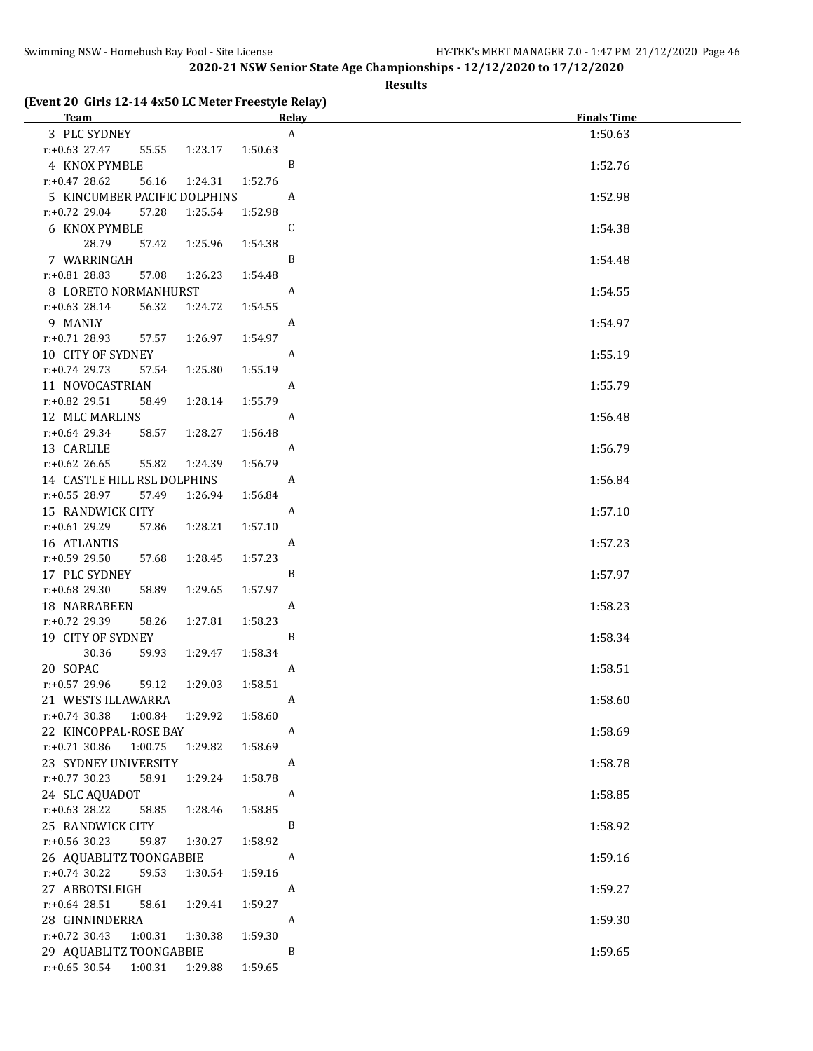**Results**

#### **(Event 20 Girls 12-14 4x50 LC Meter Freestyle Relay)**

| Team <u>and the second second</u> service of the second second service of the second series of the series of the second series of the series of the series of the series of the series of the series of the series of the series of | <b>Relay</b>     | <b>Finals Time</b> |
|-------------------------------------------------------------------------------------------------------------------------------------------------------------------------------------------------------------------------------------|------------------|--------------------|
| 3 PLC SYDNEY                                                                                                                                                                                                                        | $\boldsymbol{A}$ | 1:50.63            |
| $r: +0.63$ 27.47<br>1:23.17<br>55.55                                                                                                                                                                                                | 1:50.63          |                    |
| 4 KNOX PYMBLE                                                                                                                                                                                                                       | B                | 1:52.76            |
| $r: +0.47$ 28.62<br>56.16<br>1:24.31                                                                                                                                                                                                | 1:52.76          |                    |
| 5 KINCUMBER PACIFIC DOLPHINS                                                                                                                                                                                                        | A                | 1:52.98            |
| $r: +0.72$ 29.04<br>57.28<br>1:25.54                                                                                                                                                                                                | 1:52.98          |                    |
| 6 KNOX PYMBLE                                                                                                                                                                                                                       | C                | 1:54.38            |
| 28.79<br>1:25.96<br>57.42                                                                                                                                                                                                           | 1:54.38          |                    |
| 7 WARRINGAH                                                                                                                                                                                                                         | B                | 1:54.48            |
| r:+0.81 28.83<br>57.08<br>1:26.23                                                                                                                                                                                                   | 1:54.48          |                    |
| 8 LORETO NORMANHURST                                                                                                                                                                                                                | A                | 1:54.55            |
| $r: +0.63$ 28.14<br>56.32<br>1:24.72                                                                                                                                                                                                | 1:54.55          |                    |
| 9 MANLY                                                                                                                                                                                                                             | A                | 1:54.97            |
| $r.+0.71$ 28.93<br>57.57<br>1:26.97                                                                                                                                                                                                 | 1:54.97          |                    |
| 10 CITY OF SYDNEY                                                                                                                                                                                                                   | A                | 1:55.19            |
| r:+0.74 29.73<br>57.54<br>1:25.80                                                                                                                                                                                                   | 1:55.19          |                    |
| 11 NOVOCASTRIAN                                                                                                                                                                                                                     | A                | 1:55.79            |
| $r: +0.82$ 29.51<br>58.49<br>1:28.14                                                                                                                                                                                                | 1:55.79          |                    |
| 12 MLC MARLINS                                                                                                                                                                                                                      | A                | 1:56.48            |
| $r.+0.64$ 29.34<br>1:28.27<br>58.57                                                                                                                                                                                                 | 1:56.48          |                    |
| 13 CARLILE                                                                                                                                                                                                                          | A                | 1:56.79            |
| $r: +0.62$ 26.65<br>55.82<br>1:24.39                                                                                                                                                                                                | 1:56.79          |                    |
| 14 CASTLE HILL RSL DOLPHINS                                                                                                                                                                                                         | A                | 1:56.84            |
| $r: +0.55$ 28.97<br>57.49<br>1:26.94                                                                                                                                                                                                | 1:56.84          |                    |
| 15 RANDWICK CITY                                                                                                                                                                                                                    | A                | 1:57.10            |
| $r.+0.61$ 29.29<br>57.86<br>1:28.21                                                                                                                                                                                                 | 1:57.10<br>A     |                    |
| 16 ATLANTIS<br>r:+0.59 29.50<br>57.68<br>1:28.45                                                                                                                                                                                    | 1:57.23          | 1:57.23            |
| 17 PLC SYDNEY                                                                                                                                                                                                                       | B                | 1:57.97            |
| r:+0.68 29.30<br>58.89<br>1:29.65                                                                                                                                                                                                   | 1:57.97          |                    |
| 18 NARRABEEN                                                                                                                                                                                                                        | A                | 1:58.23            |
| r:+0.72 29.39<br>58.26<br>1:27.81                                                                                                                                                                                                   | 1:58.23          |                    |
| 19 CITY OF SYDNEY                                                                                                                                                                                                                   | B                | 1:58.34            |
| 30.36<br>59.93<br>1:29.47                                                                                                                                                                                                           | 1:58.34          |                    |
| 20 SOPAC                                                                                                                                                                                                                            | A                | 1:58.51            |
| r:+0.57 29.96<br>59.12<br>1:29.03                                                                                                                                                                                                   | 1:58.51          |                    |
| 21 WESTS ILLAWARRA                                                                                                                                                                                                                  | A                | 1:58.60            |
| $r: +0.74$ 30.38<br>1:00.84<br>1:29.92                                                                                                                                                                                              | 1:58.60          |                    |
| 22 KINCOPPAL-ROSE BAY                                                                                                                                                                                                               | A                | 1:58.69            |
| $r: +0.71$ 30.86<br>1:00.75<br>1:29.82                                                                                                                                                                                              | 1:58.69          |                    |
| 23 SYDNEY UNIVERSITY                                                                                                                                                                                                                | A                | 1:58.78            |
| $r: +0.77$ 30.23<br>58.91<br>1:29.24                                                                                                                                                                                                | 1:58.78          |                    |
| 24 SLC AQUADOT                                                                                                                                                                                                                      | A                | 1:58.85            |
| $r: +0.63$ 28.22<br>58.85<br>1:28.46                                                                                                                                                                                                | 1:58.85          |                    |
| 25 RANDWICK CITY                                                                                                                                                                                                                    | B                | 1:58.92            |
| r:+0.56 30.23<br>59.87<br>1:30.27                                                                                                                                                                                                   | 1:58.92          |                    |
| 26 AQUABLITZ TOONGABBIE                                                                                                                                                                                                             | A                | 1:59.16            |
| $r.+0.74$ 30.22<br>59.53<br>1:30.54                                                                                                                                                                                                 | 1:59.16          |                    |
| 27 ABBOTSLEIGH                                                                                                                                                                                                                      | A                | 1:59.27            |
| $r: +0.64$ 28.51<br>1:29.41<br>58.61                                                                                                                                                                                                | 1:59.27<br>A     |                    |
| 28 GINNINDERRA<br>$r: +0.72$ 30.43<br>1:00.31<br>1:30.38                                                                                                                                                                            | 1:59.30          | 1:59.30            |
| 29 AQUABLITZ TOONGABBIE                                                                                                                                                                                                             | B                | 1:59.65            |
| $r: +0.65$ 30.54<br>1:00.31<br>1:29.88                                                                                                                                                                                              | 1:59.65          |                    |
|                                                                                                                                                                                                                                     |                  |                    |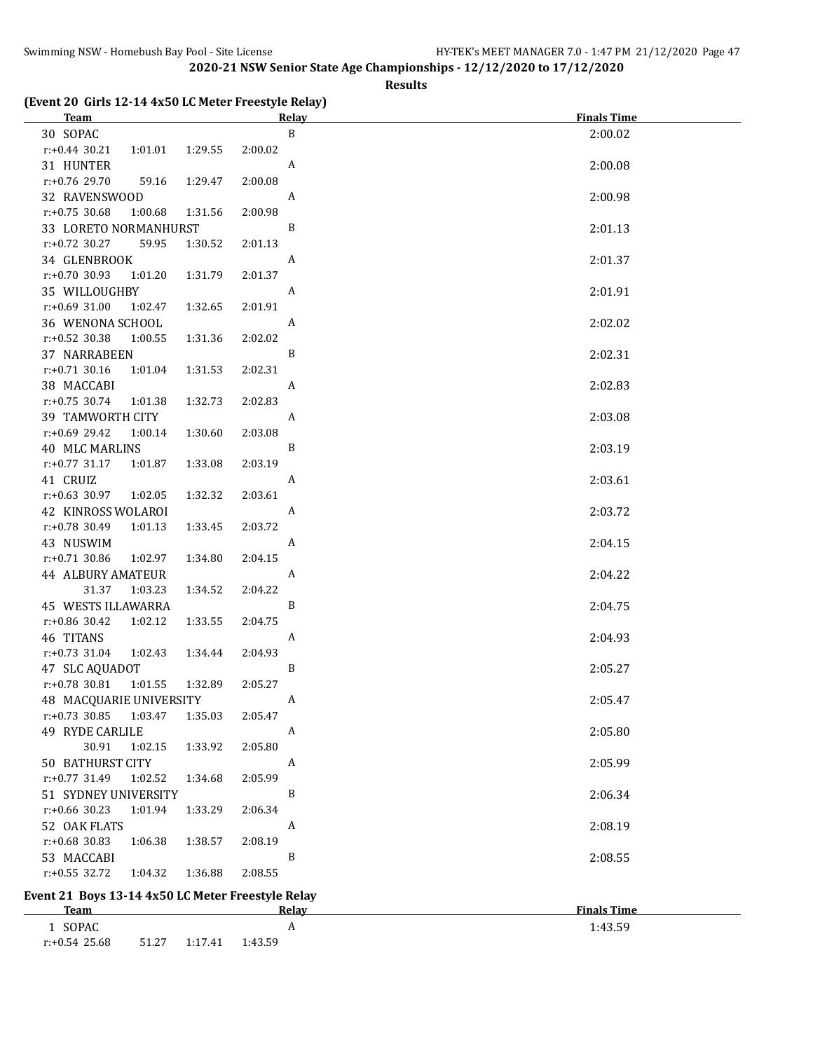**Results**

#### **(Event 20 Girls 12-14 4x50 LC Meter Freestyle Relay)**

| <b>Team</b>                                       |                    | Relay        | <b>Finals Time</b> |
|---------------------------------------------------|--------------------|--------------|--------------------|
| 30 SOPAC                                          |                    | $\, {\bf B}$ | 2:00.02            |
| $r: +0.44$ 30.21<br>1:01.01                       | 1:29.55<br>2:00.02 |              |                    |
| 31 HUNTER                                         |                    | A            | 2:00.08            |
| r:+0.76 29.70<br>59.16                            | 1:29.47<br>2:00.08 |              |                    |
| 32 RAVENSWOOD                                     |                    | A            | 2:00.98            |
| $r: +0.75$ 30.68<br>1:00.68                       | 2:00.98<br>1:31.56 |              |                    |
| 33 LORETO NORMANHURST                             |                    | B            | 2:01.13            |
| $r.+0.72$ 30.27<br>59.95                          | 1:30.52<br>2:01.13 |              |                    |
| 34 GLENBROOK                                      |                    | A            | 2:01.37            |
| $r: +0.70$ 30.93<br>1:01.20                       | 2:01.37<br>1:31.79 |              |                    |
| 35 WILLOUGHBY                                     |                    | A            | 2:01.91            |
| $r: +0.69$ 31.00<br>1:02.47                       | 2:01.91<br>1:32.65 |              |                    |
| 36 WENONA SCHOOL                                  |                    | A            | 2:02.02            |
| $r: +0.52$ 30.38<br>1:00.55                       | 1:31.36<br>2:02.02 |              |                    |
| 37 NARRABEEN                                      |                    | B            | 2:02.31            |
| $r: +0.71$ 30.16<br>1:01.04                       | 1:31.53<br>2:02.31 |              |                    |
| 38 MACCABI                                        |                    | A            | 2:02.83            |
| $r: +0.75$ 30.74<br>1:01.38                       | 1:32.73<br>2:02.83 |              |                    |
| 39 TAMWORTH CITY                                  |                    | A            | 2:03.08            |
| $r+0.69$ 29.42<br>1:00.14                         | 2:03.08<br>1:30.60 |              |                    |
| 40 MLC MARLINS                                    |                    | B            | 2:03.19            |
| $r: +0.77$ 31.17<br>1:01.87                       | 2:03.19<br>1:33.08 |              |                    |
| 41 CRUIZ                                          |                    | A            | 2:03.61            |
| 1:02.05<br>r:+0.63 30.97                          | 1:32.32<br>2:03.61 |              |                    |
| 42 KINROSS WOLAROI                                |                    | A            | 2:03.72            |
| 1:01.13<br>$r+0.78$ 30.49                         | 1:33.45<br>2:03.72 |              |                    |
| 43 NUSWIM                                         |                    | A            | 2:04.15            |
| $r: +0.71$ 30.86<br>1:02.97                       | 1:34.80<br>2:04.15 |              |                    |
| <b>44 ALBURY AMATEUR</b>                          |                    | A            | 2:04.22            |
| 31.37<br>1:03.23                                  | 1:34.52<br>2:04.22 |              |                    |
| 45 WESTS ILLAWARRA                                |                    | $\, {\bf B}$ | 2:04.75            |
| $r: +0.86$ 30.42<br>1:02.12                       | 1:33.55<br>2:04.75 |              |                    |
| 46 TITANS                                         |                    | A            | 2:04.93            |
| $r: +0.73$ 31.04<br>1:02.43                       | 1:34.44<br>2:04.93 |              |                    |
| 47 SLC AQUADOT                                    |                    | B            | 2:05.27            |
| $r.+0.78$ 30.81 1:01.55                           | 1:32.89<br>2:05.27 |              |                    |
| 48 MACQUARIE UNIVERSITY                           |                    | A            | 2:05.47            |
| $r: +0.73$ 30.85<br>1:03.47                       | 1:35.03<br>2:05.47 |              |                    |
| 49 RYDE CARLILE                                   |                    | A            | 2:05.80            |
| 30.91<br>1:02.15                                  | 1:33.92<br>2:05.80 |              |                    |
| <b>50 BATHURST CITY</b>                           |                    | A            | 2:05.99            |
| $r: +0.77$ 31.49<br>1:02.52                       | 2:05.99<br>1:34.68 |              |                    |
| 51 SYDNEY UNIVERSITY                              |                    | B            | 2:06.34            |
| $r: +0.66$ 30.23<br>1:01.94                       | 1:33.29<br>2:06.34 |              |                    |
| 52 OAK FLATS                                      |                    | A            | 2:08.19            |
| r:+0.68 30.83<br>1:06.38                          | 1:38.57<br>2:08.19 |              |                    |
| 53 MACCABI                                        |                    | B            |                    |
| $r: +0.55$ 32.72<br>1:04.32                       | 2:08.55<br>1:36.88 |              | 2:08.55            |
|                                                   |                    |              |                    |
| Event 21 Boys 13-14 4x50 LC Meter Freestyle Relay |                    |              |                    |
| <u>Team</u>                                       |                    | <b>Relay</b> | <b>Finals Time</b> |
| 1 SOPAC                                           |                    | A            | 1:43.59            |
| r:+0.54 25.68<br>51.27                            | 1:17.41<br>1:43.59 |              |                    |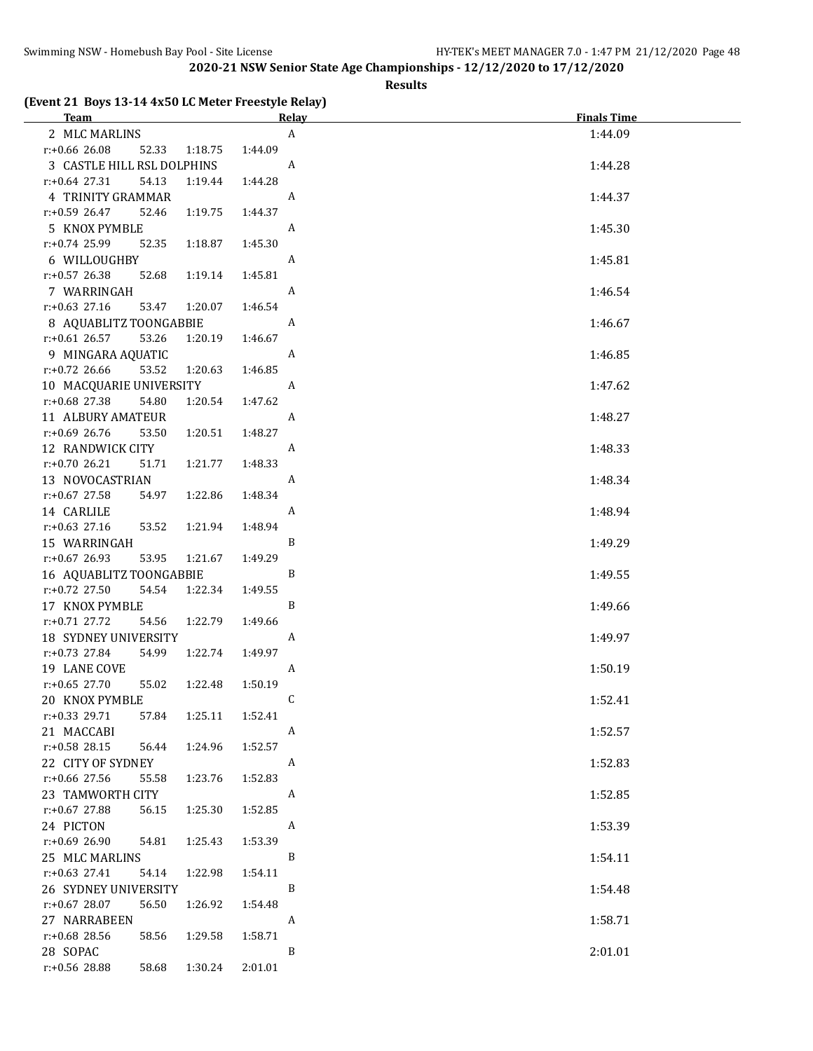#### **Results**

# **(Event 21 Boys 13-14 4x50 LC Meter Freestyle Relay)**

| (Event 21 Doys 10 11 TAGO BO Meter Treestyle Relay)<br>Team |                    | <u>Relav</u>     | <b>Finals Time</b> |
|-------------------------------------------------------------|--------------------|------------------|--------------------|
| 2 MLC MARLINS                                               |                    | $\boldsymbol{A}$ | 1:44.09            |
| r:+0.66 26.08<br>52.33                                      | 1:18.75<br>1:44.09 |                  |                    |
| 3 CASTLE HILL RSL DOLPHINS                                  |                    | A                | 1:44.28            |
| 54.13<br>$r+0.64$ 27.31                                     | 1:19.44<br>1:44.28 |                  |                    |
|                                                             |                    | A                |                    |
| 4 TRINITY GRAMMAR                                           |                    |                  | 1:44.37            |
| $r+0.59$ 26.47<br>52.46                                     | 1:19.75<br>1:44.37 |                  |                    |
| 5 KNOX PYMBLE                                               |                    | A                | 1:45.30            |
| r:+0.74 25.99<br>52.35                                      | 1:45.30<br>1:18.87 |                  |                    |
| 6 WILLOUGHBY                                                |                    | A                | 1:45.81            |
| r:+0.57 26.38<br>52.68                                      | 1:45.81<br>1:19.14 |                  |                    |
| 7 WARRINGAH                                                 |                    | A                | 1:46.54            |
| $r: +0.63$ 27.16<br>53.47                                   | 1:46.54<br>1:20.07 |                  |                    |
| 8 AQUABLITZ TOONGABBIE                                      |                    | A                | 1:46.67            |
| $r: +0.61$ 26.57<br>53.26                                   | 1:20.19<br>1:46.67 |                  |                    |
| 9 MINGARA AQUATIC                                           |                    | A                | 1:46.85            |
| $r: +0.72$ 26.66<br>53.52                                   | 1:46.85<br>1:20.63 |                  |                    |
| 10 MACQUARIE UNIVERSITY                                     |                    | A                | 1:47.62            |
| r:+0.68 27.38<br>54.80                                      | 1:20.54<br>1:47.62 |                  |                    |
| 11 ALBURY AMATEUR                                           |                    | A                | 1:48.27            |
| $r: +0.69$ 26.76<br>53.50                                   | 1:48.27<br>1:20.51 |                  |                    |
| 12 RANDWICK CITY                                            |                    | A                | 1:48.33            |
| $r: +0.70$ 26.21<br>51.71                                   | 1:48.33<br>1:21.77 |                  |                    |
| 13 NOVOCASTRIAN                                             |                    | A                | 1:48.34            |
| r:+0.67 27.58<br>54.97                                      | 1:48.34<br>1:22.86 |                  |                    |
| 14 CARLILE                                                  |                    | A                | 1:48.94            |
| $r: +0.63$ 27.16<br>53.52                                   | 1:48.94<br>1:21.94 |                  |                    |
| 15 WARRINGAH                                                |                    | B                | 1:49.29            |
| r:+0.67 26.93<br>53.95                                      | 1:21.67<br>1:49.29 |                  |                    |
| 16 AQUABLITZ TOONGABBIE                                     |                    | B                | 1:49.55            |
| r:+0.72 27.50<br>54.54                                      | 1:22.34<br>1:49.55 |                  |                    |
| 17 KNOX PYMBLE                                              |                    | B                | 1:49.66            |
| $r: +0.71$ 27.72<br>54.56                                   | 1:22.79<br>1:49.66 |                  |                    |
| <b>18 SYDNEY UNIVERSITY</b>                                 |                    | A                | 1:49.97            |
| $r: +0.73$ 27.84<br>54.99                                   | 1:22.74<br>1:49.97 |                  |                    |
| 19 LANE COVE                                                |                    | A                | 1:50.19            |
| $r: +0.65$ 27.70<br>55.02                                   | 1:50.19<br>1:22.48 |                  |                    |
| 20 KNOX PYMBLE                                              |                    | $\overline{c}$   | 1:52.41            |
| $r.+0.33$ 29.71<br>57.84                                    | 1:25.11<br>1:52.41 |                  |                    |
| 21 MACCABI                                                  |                    | A                | 1:52.57            |
| $r: +0.58$ 28.15<br>56.44                                   | 1:52.57<br>1:24.96 |                  |                    |
| 22 CITY OF SYDNEY                                           |                    | A                | 1:52.83            |
| r:+0.66 27.56<br>55.58                                      | 1:23.76<br>1:52.83 |                  |                    |
| 23 TAMWORTH CITY                                            |                    | A                | 1:52.85            |
| $r: +0.67$ 27.88<br>56.15                                   | 1:25.30<br>1:52.85 |                  |                    |
| 24 PICTON                                                   |                    | A                | 1:53.39            |
| $r: +0.69$ 26.90<br>54.81                                   | 1:25.43<br>1:53.39 |                  |                    |
| 25 MLC MARLINS                                              |                    | B                | 1:54.11            |
| $r: +0.63$ 27.41<br>54.14                                   | 1:22.98<br>1:54.11 |                  |                    |
| 26 SYDNEY UNIVERSITY                                        |                    | B                | 1:54.48            |
| $r: +0.67$ 28.07<br>56.50                                   | 1:26.92<br>1:54.48 |                  |                    |
| 27 NARRABEEN                                                |                    | A                | 1:58.71            |
| r:+0.68 28.56<br>58.56                                      | 1:29.58<br>1:58.71 |                  |                    |
| 28 SOPAC                                                    |                    | B                | 2:01.01            |
| r:+0.56 28.88<br>58.68                                      | 1:30.24<br>2:01.01 |                  |                    |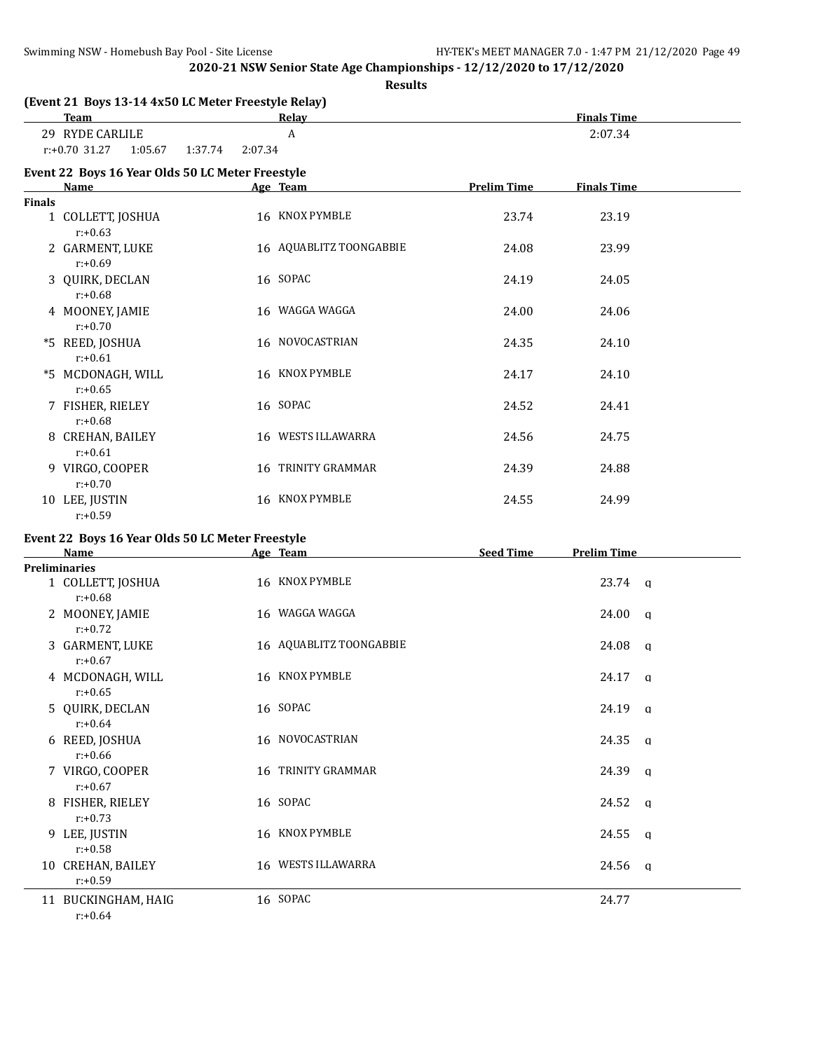**Results**

|               | (Event 21 Boys 13-14 4x50 LC Meter Freestyle Relay)<br><b>Team</b> |                    | Relay                   |                    | <b>Finals Time</b> |  |
|---------------|--------------------------------------------------------------------|--------------------|-------------------------|--------------------|--------------------|--|
|               | 29 RYDE CARLILE                                                    |                    | A                       |                    | 2:07.34            |  |
|               | $r: +0.70$ 31.27<br>1:05.67                                        | 2:07.34<br>1:37.74 |                         |                    |                    |  |
|               | Event 22 Boys 16 Year Olds 50 LC Meter Freestyle<br><b>Name</b>    |                    | Age Team                | <b>Prelim Time</b> | <b>Finals Time</b> |  |
| <b>Finals</b> |                                                                    |                    |                         |                    |                    |  |
|               | 1 COLLETT, JOSHUA<br>$r: +0.63$                                    |                    | 16 KNOX PYMBLE          | 23.74              | 23.19              |  |
|               | 2 GARMENT, LUKE<br>$r: +0.69$                                      |                    | 16 AQUABLITZ TOONGABBIE | 24.08              | 23.99              |  |
|               | 3 QUIRK, DECLAN<br>$r: +0.68$                                      |                    | 16 SOPAC                | 24.19              | 24.05              |  |
|               | 4 MOONEY, JAMIE<br>$r: +0.70$                                      |                    | 16 WAGGA WAGGA          | 24.00              | 24.06              |  |
|               | *5 REED, JOSHUA<br>$r: +0.61$                                      |                    | 16 NOVOCASTRIAN         | 24.35              | 24.10              |  |
|               | *5 MCDONAGH, WILL<br>$r: +0.65$                                    |                    | 16 KNOX PYMBLE          | 24.17              | 24.10              |  |
|               | 7 FISHER, RIELEY<br>$r: +0.68$                                     |                    | 16 SOPAC                | 24.52              | 24.41              |  |
|               | 8 CREHAN, BAILEY<br>$r: +0.61$                                     |                    | 16 WESTS ILLAWARRA      | 24.56              | 24.75              |  |
|               | 9 VIRGO, COOPER<br>$r: +0.70$                                      |                    | 16 TRINITY GRAMMAR      | 24.39              | 24.88              |  |
|               | 10 LEE, JUSTIN<br>$r: +0.59$                                       |                    | 16 KNOX PYMBLE          | 24.55              | 24.99              |  |
|               | Event 22 Boys 16 Year Olds 50 LC Meter Freestyle                   |                    |                         |                    |                    |  |
|               | Name                                                               |                    | Age Team                | <b>Seed Time</b>   | <b>Prelim Time</b> |  |
|               | <b>Preliminaries</b><br>1 COLLETT, JOSHUA                          |                    | 16 KNOX PYMBLE          |                    | $23.74$ q          |  |
|               | $r: +0.68$                                                         |                    |                         |                    |                    |  |
|               | 2 MOONEY, JAMIE<br>$r: +0.72$                                      |                    | 16 WAGGA WAGGA          |                    | 24.00<br>$\alpha$  |  |
|               | 3 GARMENT, LUKE<br>$r: +0.67$                                      |                    | 16 AQUABLITZ TOONGABBIE |                    | 24.08<br>q         |  |
|               | 4 MCDONAGH, WILL<br>$r: +0.65$                                     |                    | 16 KNOX PYMBLE          |                    | 24.17<br>q         |  |
|               | 5 QUIRK, DECLAN<br>$r: +0.64$                                      |                    | 16 SOPAC                |                    | 24.19 q            |  |
|               | 6 REED, JOSHUA<br>$r: +0.66$                                       |                    | 16 NOVOCASTRIAN         |                    | 24.35 q            |  |
|               | 7 VIRGO, COOPER<br>$r: +0.67$                                      |                    | 16 TRINITY GRAMMAR      |                    | 24.39 a            |  |
|               | 8 FISHER, RIELEY<br>$r: +0.73$                                     |                    | 16 SOPAC                |                    | 24.52 a            |  |
|               | 9 LEE, JUSTIN<br>$r: +0.58$                                        |                    | 16 KNOX PYMBLE          |                    | 24.55 a            |  |
|               | 10 CREHAN, BAILEY<br>$r: +0.59$                                    |                    | 16 WESTS ILLAWARRA      |                    | $24.56$ q          |  |
|               | 11 BUCKINGHAM, HAIG<br>$r: +0.64$                                  |                    | 16 SOPAC                |                    | 24.77              |  |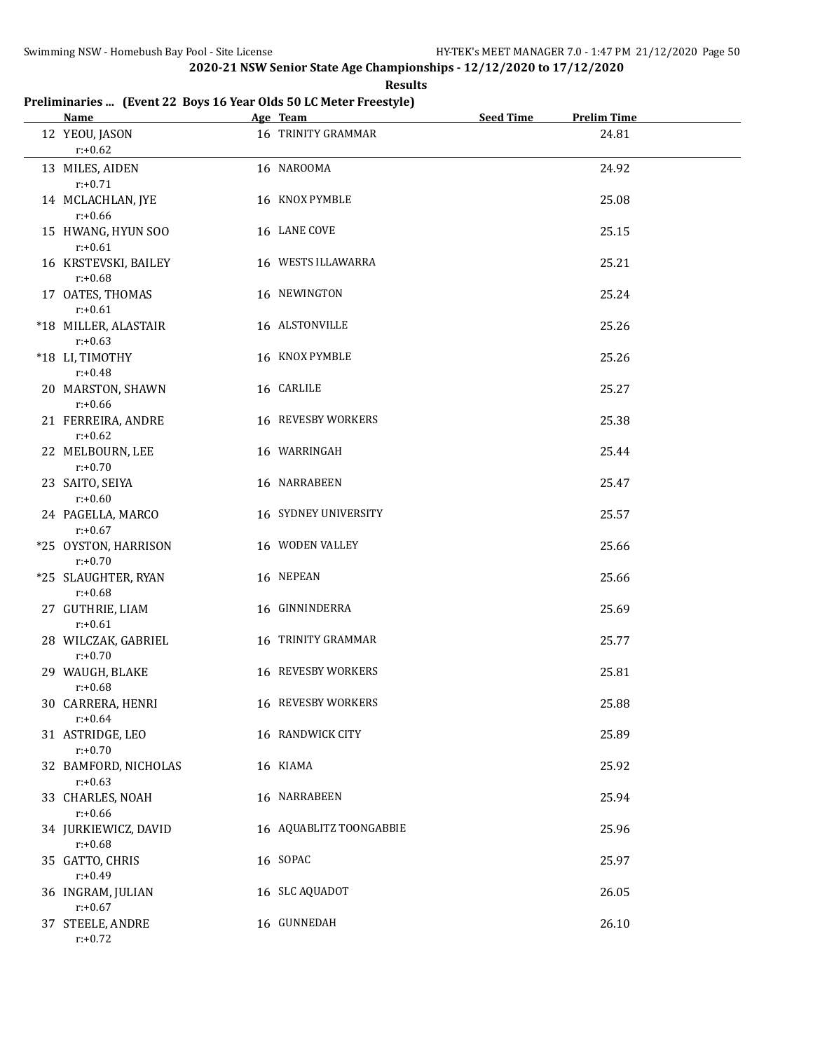**Results**

#### **Preliminaries ... (Event 22 Boys 16 Year Olds 50 LC Meter Freestyle)**

| Name and the state of the state of the state of the state of the state of the state of the state of the state of the state of the state of the state of the state of the state of the state of the state of the state of the s | Age Team                | <b>Seed Time</b> | <b>Prelim Time</b> |
|--------------------------------------------------------------------------------------------------------------------------------------------------------------------------------------------------------------------------------|-------------------------|------------------|--------------------|
| 12 YEOU, JASON<br>$r: +0.62$                                                                                                                                                                                                   | 16 TRINITY GRAMMAR      |                  | 24.81              |
| 13 MILES, AIDEN<br>$r: +0.71$                                                                                                                                                                                                  | 16 NAROOMA              |                  | 24.92              |
| 14 MCLACHLAN, JYE<br>$r: +0.66$                                                                                                                                                                                                | 16 KNOX PYMBLE          |                  | 25.08              |
| 15 HWANG, HYUN SOO<br>$r: +0.61$                                                                                                                                                                                               | 16 LANE COVE            |                  | 25.15              |
| 16 KRSTEVSKI, BAILEY<br>$r: +0.68$                                                                                                                                                                                             | 16 WESTS ILLAWARRA      |                  | 25.21              |
| 17 OATES, THOMAS<br>$r: +0.61$                                                                                                                                                                                                 | 16 NEWINGTON            |                  | 25.24              |
| *18 MILLER, ALASTAIR<br>$r: +0.63$                                                                                                                                                                                             | 16 ALSTONVILLE          |                  | 25.26              |
| *18 LI, TIMOTHY<br>$r: +0.48$                                                                                                                                                                                                  | 16 KNOX PYMBLE          |                  | 25.26              |
| 20 MARSTON, SHAWN<br>$r: +0.66$                                                                                                                                                                                                | 16 CARLILE              |                  | 25.27              |
| 21 FERREIRA, ANDRE<br>$r: +0.62$                                                                                                                                                                                               | 16 REVESBY WORKERS      |                  | 25.38              |
| 22 MELBOURN, LEE<br>$r: +0.70$                                                                                                                                                                                                 | 16 WARRINGAH            |                  | 25.44              |
| 23 SAITO, SEIYA<br>$r: +0.60$                                                                                                                                                                                                  | 16 NARRABEEN            |                  | 25.47              |
| 24 PAGELLA, MARCO<br>$r: +0.67$                                                                                                                                                                                                | 16 SYDNEY UNIVERSITY    |                  | 25.57              |
| *25 OYSTON, HARRISON<br>$r: +0.70$                                                                                                                                                                                             | 16 WODEN VALLEY         |                  | 25.66              |
| *25 SLAUGHTER, RYAN<br>$r: +0.68$                                                                                                                                                                                              | 16 NEPEAN               |                  | 25.66              |
| 27 GUTHRIE, LIAM<br>$r: +0.61$                                                                                                                                                                                                 | 16 GINNINDERRA          |                  | 25.69              |
| 28 WILCZAK, GABRIEL<br>$r: +0.70$                                                                                                                                                                                              | 16 TRINITY GRAMMAR      |                  | 25.77              |
| 29 WAUGH, BLAKE<br>$r: +0.68$                                                                                                                                                                                                  | 16 REVESBY WORKERS      |                  | 25.81              |
| 30 CARRERA, HENRI<br>$r: +0.64$                                                                                                                                                                                                | 16 REVESBY WORKERS      |                  | 25.88              |
| 31 ASTRIDGE, LEO<br>$r: +0.70$                                                                                                                                                                                                 | 16 RANDWICK CITY        |                  | 25.89              |
| 32 BAMFORD, NICHOLAS<br>$r: +0.63$                                                                                                                                                                                             | 16 KIAMA                |                  | 25.92              |
| 33 CHARLES, NOAH<br>$r: +0.66$                                                                                                                                                                                                 | 16 NARRABEEN            |                  | 25.94              |
| 34 JURKIEWICZ, DAVID<br>$r: +0.68$                                                                                                                                                                                             | 16 AQUABLITZ TOONGABBIE |                  | 25.96              |
| 35 GATTO, CHRIS<br>$r: +0.49$                                                                                                                                                                                                  | 16 SOPAC                |                  | 25.97              |
| 36 INGRAM, JULIAN<br>$r: +0.67$                                                                                                                                                                                                | 16 SLC AQUADOT          |                  | 26.05              |
| 37 STEELE, ANDRE<br>$r: +0.72$                                                                                                                                                                                                 | 16 GUNNEDAH             |                  | 26.10              |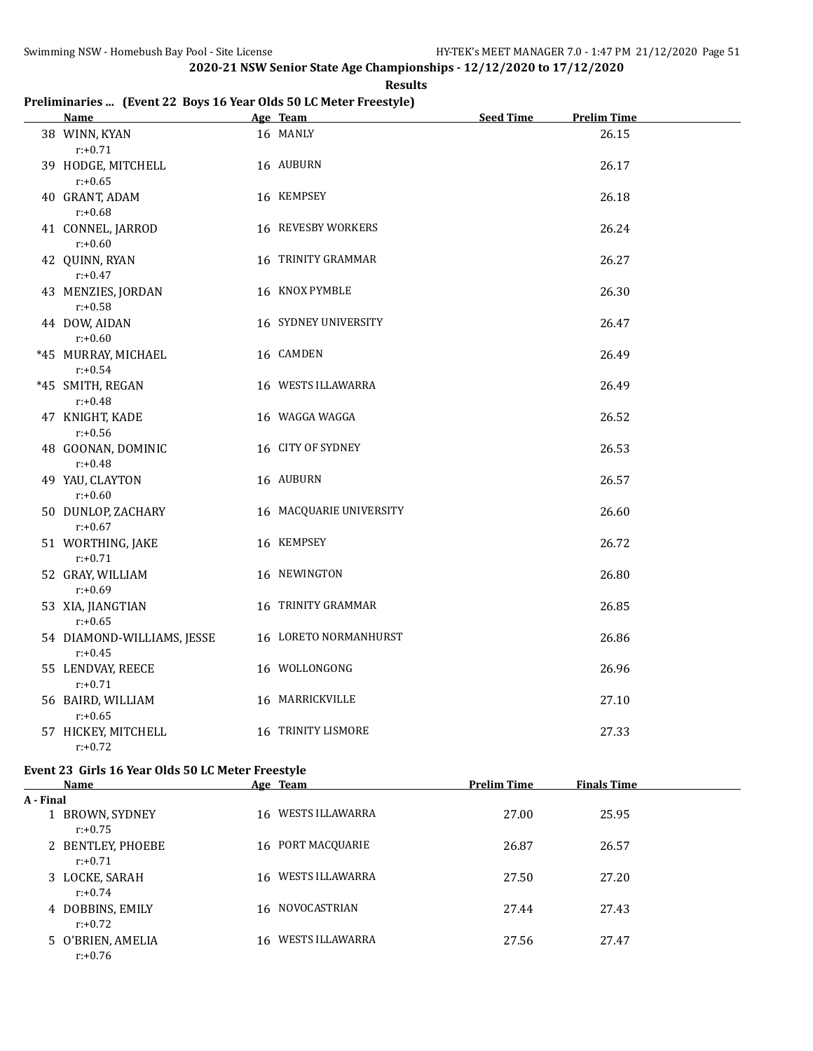**Results**

#### **Preliminaries ... (Event 22 Boys 16 Year Olds 50 LC Meter Freestyle)**

| Name and the state of the state of the state of the state of the state of the state of the state of the state o |  | Age Team                  | <b>Seed Time</b> | <b>Prelim Time</b> |  |  |
|-----------------------------------------------------------------------------------------------------------------|--|---------------------------|------------------|--------------------|--|--|
| 38 WINN, KYAN<br>$r: +0.71$                                                                                     |  | 16 MANLY                  |                  | 26.15              |  |  |
| 39 HODGE, MITCHELL<br>$r: +0.65$                                                                                |  | 16 AUBURN                 |                  | 26.17              |  |  |
| 40 GRANT, ADAM<br>$r: +0.68$                                                                                    |  | 16 KEMPSEY                |                  | 26.18              |  |  |
| 41 CONNEL, JARROD<br>$r: +0.60$                                                                                 |  | <b>16 REVESBY WORKERS</b> |                  | 26.24              |  |  |
| 42 QUINN, RYAN<br>$r: +0.47$                                                                                    |  | 16 TRINITY GRAMMAR        |                  | 26.27              |  |  |
| 43 MENZIES, JORDAN<br>$r: +0.58$                                                                                |  | 16 KNOX PYMBLE            |                  | 26.30              |  |  |
| 44 DOW, AIDAN<br>$r: +0.60$                                                                                     |  | 16 SYDNEY UNIVERSITY      |                  | 26.47              |  |  |
| *45 MURRAY, MICHAEL<br>$r: +0.54$                                                                               |  | 16 CAMDEN                 |                  | 26.49              |  |  |
| *45 SMITH, REGAN<br>$r: +0.48$                                                                                  |  | 16 WESTS ILLAWARRA        |                  | 26.49              |  |  |
| 47 KNIGHT, KADE<br>$r: +0.56$                                                                                   |  | 16 WAGGA WAGGA            |                  | 26.52              |  |  |
| 48 GOONAN, DOMINIC<br>$r: +0.48$                                                                                |  | 16 CITY OF SYDNEY         |                  | 26.53              |  |  |
| 49 YAU, CLAYTON<br>$r: +0.60$                                                                                   |  | 16 AUBURN                 |                  | 26.57              |  |  |
| 50 DUNLOP, ZACHARY<br>$r: +0.67$                                                                                |  | 16 MACQUARIE UNIVERSITY   |                  | 26.60              |  |  |
| 51 WORTHING, JAKE<br>$r: +0.71$                                                                                 |  | 16 KEMPSEY                |                  | 26.72              |  |  |
| 52 GRAY, WILLIAM<br>$r: +0.69$                                                                                  |  | 16 NEWINGTON              |                  | 26.80              |  |  |
| 53 XIA, JIANGTIAN<br>$r: +0.65$                                                                                 |  | 16 TRINITY GRAMMAR        |                  | 26.85              |  |  |
| 54 DIAMOND-WILLIAMS, JESSE<br>$r: +0.45$                                                                        |  | 16 LORETO NORMANHURST     |                  | 26.86              |  |  |
| 55 LENDVAY, REECE<br>$r: +0.71$                                                                                 |  | 16 WOLLONGONG             |                  | 26.96              |  |  |
| 56 BAIRD, WILLIAM<br>$r: +0.65$                                                                                 |  | 16 MARRICKVILLE           |                  | 27.10              |  |  |
| 57 HICKEY, MITCHELL<br>$r: +0.72$                                                                               |  | 16 TRINITY LISMORE        |                  | 27.33              |  |  |
| Event 23 Girls 16 Year Olds 50 LC Meter Freestyle                                                               |  |                           |                  |                    |  |  |

|           | Name                            |    | Age Team           | <b>Prelim Time</b> | <b>Finals Time</b> |
|-----------|---------------------------------|----|--------------------|--------------------|--------------------|
| A - Final |                                 |    |                    |                    |                    |
|           | 1 BROWN, SYDNEY<br>$r: +0.75$   | 16 | WESTS ILLAWARRA    | 27.00              | 25.95              |
|           | 2 BENTLEY, PHOEBE<br>$r: +0.71$ |    | 16 PORT MACQUARIE  | 26.87              | 26.57              |
|           | 3 LOCKE, SARAH<br>$r: +0.74$    | 16 | WESTS ILLAWARRA    | 27.50              | 27.20              |
|           | 4 DOBBINS, EMILY<br>$r: +0.72$  |    | 16 NOVOCASTRIAN    | 27.44              | 27.43              |
|           | 5 O'BRIEN, AMELIA<br>$r: +0.76$ |    | 16 WESTS ILLAWARRA | 27.56              | 27.47              |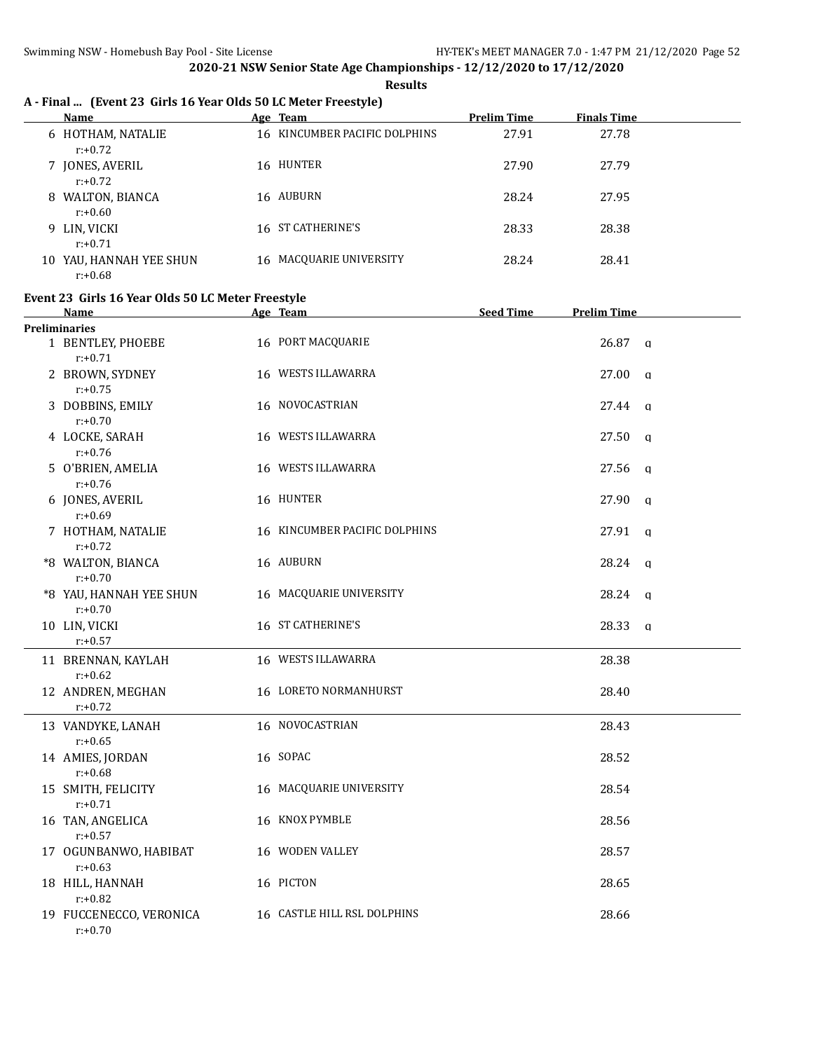**Results**

## **A - Final ... (Event 23 Girls 16 Year Olds 50 LC Meter Freestyle)**

|    | Name                               | Age Team                      | <b>Prelim Time</b> | <b>Finals Time</b> |
|----|------------------------------------|-------------------------------|--------------------|--------------------|
|    | 6 HOTHAM, NATALIE<br>$r: +0.72$    | 16 KINCUMBER PACIFIC DOLPHINS | 27.91              | 27.78              |
|    | 7 JONES, AVERIL<br>$r: +0.72$      | 16 HUNTER                     | 27.90              | 27.79              |
|    | 8 WALTON, BIANCA<br>$r: +0.60$     | 16 AUBURN                     | 28.24              | 27.95              |
|    | 9 LIN, VICKI<br>$r: +0.71$         | 16 ST CATHERINE'S             | 28.33              | 28.38              |
| 10 | YAU, HANNAH YEE SHUN<br>$r: +0.68$ | 16 MACQUARIE UNIVERSITY       | 28.24              | 28.41              |

#### **Event 23 Girls 16 Year Olds 50 LC Meter Freestyle**

| Name                                  | Age Team                      | <b>Seed Time</b> | <b>Prelim Time</b> |              |
|---------------------------------------|-------------------------------|------------------|--------------------|--------------|
| <b>Preliminaries</b>                  |                               |                  |                    |              |
| 1 BENTLEY, PHOEBE<br>$r: +0.71$       | 16 PORT MACQUARIE             |                  | $26.87$ q          |              |
| 2 BROWN, SYDNEY<br>$r: +0.75$         | 16 WESTS ILLAWARRA            |                  | $27.00 \text{ q}$  |              |
| 3 DOBBINS, EMILY<br>$r: +0.70$        | 16 NOVOCASTRIAN               |                  | 27.44 a            |              |
| 4 LOCKE, SARAH<br>$r: +0.76$          | 16 WESTS ILLAWARRA            |                  | 27.50 a            |              |
| 5 O'BRIEN, AMELIA<br>$r: +0.76$       | 16 WESTS ILLAWARRA            |                  | $27.56$ q          |              |
| 6 JONES, AVERIL<br>$r: +0.69$         | 16 HUNTER                     |                  | 27.90              | $\mathbf{q}$ |
| 7 HOTHAM, NATALIE<br>$r: +0.72$       | 16 KINCUMBER PACIFIC DOLPHINS |                  | 27.91              | $\alpha$     |
| *8 WALTON, BIANCA<br>$r: +0.70$       | 16 AUBURN                     |                  | 28.24              | q            |
| *8 YAU, HANNAH YEE SHUN<br>$r: +0.70$ | 16 MACQUARIE UNIVERSITY       |                  | $28.24$ q          |              |
| 10 LIN, VICKI<br>$r: +0.57$           | 16 ST CATHERINE'S             |                  | 28.33              | $\mathbf{q}$ |
| 11 BRENNAN, KAYLAH<br>$r: +0.62$      | 16 WESTS ILLAWARRA            |                  | 28.38              |              |
| 12 ANDREN, MEGHAN<br>$r: +0.72$       | 16 LORETO NORMANHURST         |                  | 28.40              |              |
| 13 VANDYKE, LANAH<br>$r: +0.65$       | 16 NOVOCASTRIAN               |                  | 28.43              |              |
| 14 AMIES, JORDAN<br>$r: +0.68$        | 16 SOPAC                      |                  | 28.52              |              |
| 15 SMITH, FELICITY<br>$r: +0.71$      | 16 MACQUARIE UNIVERSITY       |                  | 28.54              |              |
| 16 TAN, ANGELICA<br>$r: +0.57$        | 16 KNOX PYMBLE                |                  | 28.56              |              |
| 17 OGUNBANWO, HABIBAT<br>$r: +0.63$   | 16 WODEN VALLEY               |                  | 28.57              |              |
| 18 HILL, HANNAH<br>$r: +0.82$         | 16 PICTON                     |                  | 28.65              |              |
| 19 FUCCENECCO, VERONICA<br>$r: +0.70$ | 16 CASTLE HILL RSL DOLPHINS   |                  | 28.66              |              |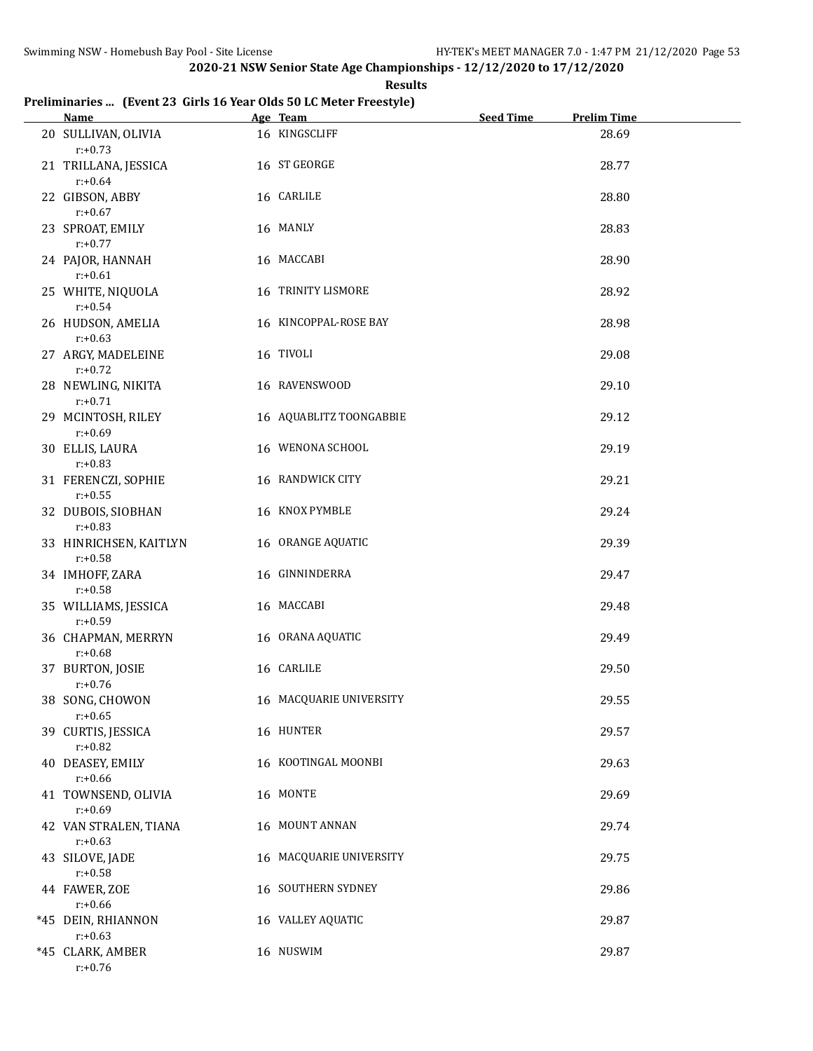**Results**

#### **Preliminaries ... (Event 23 Girls 16 Year Olds 50 LC Meter Freestyle)**

| Name Manual Manual Manual Manual Manual Manual Manual Manual Manual Manual Manual Manual Manual Manual Manual Ma | Age Team                | <b>Seed Time</b> | <b>Prelim Time</b> |
|------------------------------------------------------------------------------------------------------------------|-------------------------|------------------|--------------------|
| 20 SULLIVAN, OLIVIA<br>$r: +0.73$                                                                                | 16 KINGSCLIFF           |                  | 28.69              |
| 21 TRILLANA, JESSICA<br>$r: +0.64$                                                                               | 16 ST GEORGE            |                  | 28.77              |
| 22 GIBSON, ABBY<br>$r: +0.67$                                                                                    | 16 CARLILE              |                  | 28.80              |
| 23 SPROAT, EMILY<br>$r: +0.77$                                                                                   | 16 MANLY                |                  | 28.83              |
| 24 PAJOR, HANNAH<br>$r: +0.61$                                                                                   | 16 MACCABI              |                  | 28.90              |
| 25 WHITE, NIQUOLA<br>$r: +0.54$                                                                                  | 16 TRINITY LISMORE      |                  | 28.92              |
| 26 HUDSON, AMELIA<br>$r: +0.63$                                                                                  | 16 KINCOPPAL-ROSE BAY   |                  | 28.98              |
| 27 ARGY, MADELEINE<br>$r: +0.72$                                                                                 | 16 TIVOLI               |                  | 29.08              |
| 28 NEWLING, NIKITA<br>$r: +0.71$                                                                                 | 16 RAVENSWOOD           |                  | 29.10              |
| 29 MCINTOSH, RILEY<br>$r: +0.69$                                                                                 | 16 AQUABLITZ TOONGABBIE |                  | 29.12              |
| 30 ELLIS, LAURA<br>$r: +0.83$                                                                                    | 16 WENONA SCHOOL        |                  | 29.19              |
| 31 FERENCZI, SOPHIE<br>$r: +0.55$                                                                                | 16 RANDWICK CITY        |                  | 29.21              |
| 32 DUBOIS, SIOBHAN<br>$r: +0.83$                                                                                 | 16 KNOX PYMBLE          |                  | 29.24              |
| 33 HINRICHSEN, KAITLYN<br>$r: +0.58$                                                                             | 16 ORANGE AQUATIC       |                  | 29.39              |
| 34 IMHOFF, ZARA<br>$r: +0.58$                                                                                    | 16 GINNINDERRA          |                  | 29.47              |
| 35 WILLIAMS, JESSICA<br>$r: +0.59$                                                                               | 16 MACCABI              |                  | 29.48              |
| 36 CHAPMAN, MERRYN<br>$r: +0.68$                                                                                 | 16 ORANA AQUATIC        |                  | 29.49              |
| 37 BURTON, JOSIE<br>$r: +0.76$                                                                                   | 16 CARLILE              |                  | 29.50              |
| 38 SONG, CHOWON<br>$r: +0.65$                                                                                    | 16 MACQUARIE UNIVERSITY |                  | 29.55              |
| 39 CURTIS, JESSICA<br>$r: +0.82$                                                                                 | 16 HUNTER               |                  | 29.57              |
| 40 DEASEY, EMILY<br>$r: +0.66$                                                                                   | 16 KOOTINGAL MOONBI     |                  | 29.63              |
| 41 TOWNSEND, OLIVIA<br>$r: +0.69$                                                                                | 16 MONTE                |                  | 29.69              |
| 42 VAN STRALEN, TIANA<br>$r: +0.63$                                                                              | 16 MOUNT ANNAN          |                  | 29.74              |
| 43 SILOVE, JADE<br>$r: +0.58$                                                                                    | 16 MACQUARIE UNIVERSITY |                  | 29.75              |
| 44 FAWER, ZOE<br>$r: +0.66$                                                                                      | 16 SOUTHERN SYDNEY      |                  | 29.86              |
| *45 DEIN, RHIANNON<br>$r: +0.63$                                                                                 | 16 VALLEY AQUATIC       |                  | 29.87              |
| *45 CLARK, AMBER<br>$r: +0.76$                                                                                   | 16 NUSWIM               |                  | 29.87              |
|                                                                                                                  |                         |                  |                    |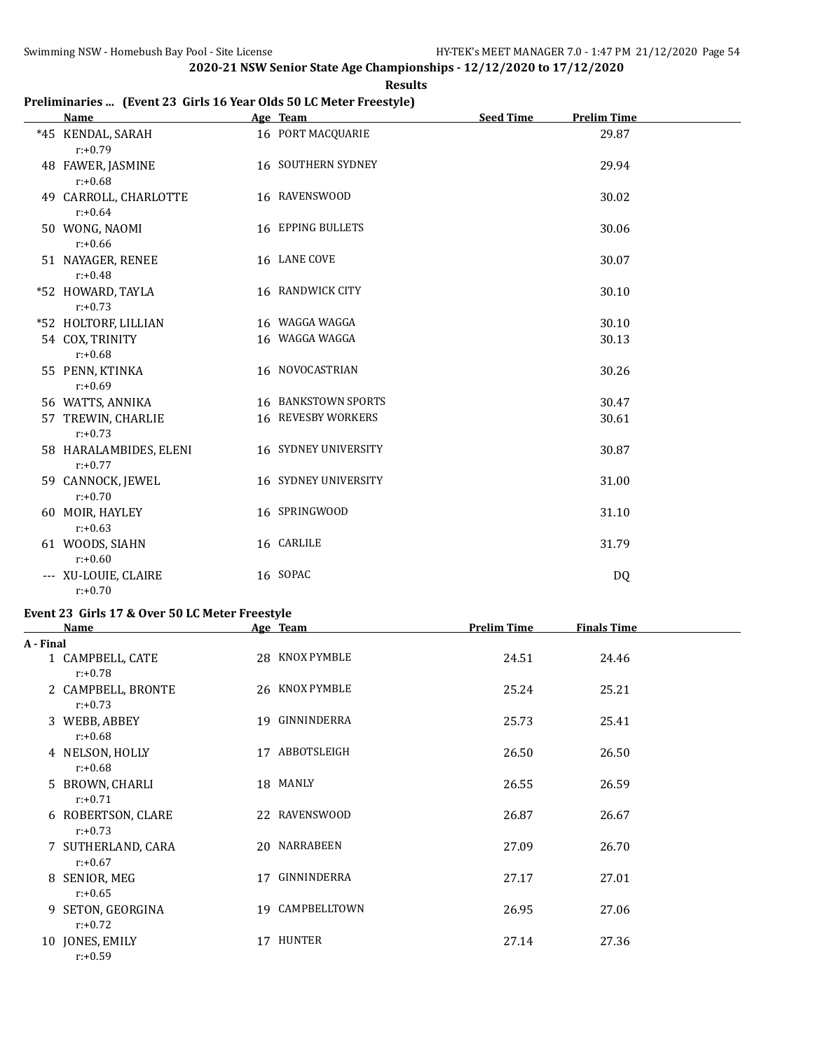**Results**

## **Preliminaries ... (Event 23 Girls 16 Year Olds 50 LC Meter Freestyle)**

| <b>Name</b>                          | Age Team                    | <b>Seed Time</b><br><b>Prelim Time</b> |
|--------------------------------------|-----------------------------|----------------------------------------|
| *45 KENDAL, SARAH<br>$r: +0.79$      | 16 PORT MACQUARIE           | 29.87                                  |
| 48 FAWER, JASMINE<br>$r: +0.68$      | <b>16 SOUTHERN SYDNEY</b>   | 29.94                                  |
| 49 CARROLL, CHARLOTTE<br>$r: +0.64$  | 16 RAVENSWOOD               | 30.02                                  |
| 50 WONG, NAOMI<br>$r: +0.66$         | 16 EPPING BULLETS           | 30.06                                  |
| 51 NAYAGER, RENEE<br>$r: +0.48$      | 16 LANE COVE                | 30.07                                  |
| *52 HOWARD, TAYLA<br>$r: +0.73$      | 16 RANDWICK CITY            | 30.10                                  |
| *52 HOLTORF, LILLIAN                 | 16 WAGGA WAGGA              | 30.10                                  |
| 54 COX, TRINITY<br>$r: +0.68$        | 16 WAGGA WAGGA              | 30.13                                  |
| 55 PENN, KTINKA<br>$r: +0.69$        | 16 NOVOCASTRIAN             | 30.26                                  |
| 56 WATTS, ANNIKA                     | 16 BANKSTOWN SPORTS         | 30.47                                  |
| 57 TREWIN, CHARLIE<br>$r: +0.73$     | <b>16 REVESBY WORKERS</b>   | 30.61                                  |
| 58 HARALAMBIDES, ELENI<br>$r: +0.77$ | <b>16 SYDNEY UNIVERSITY</b> | 30.87                                  |
| 59 CANNOCK, JEWEL<br>$r: +0.70$      | 16 SYDNEY UNIVERSITY        | 31.00                                  |
| 60 MOIR, HAYLEY<br>$r: +0.63$        | 16 SPRINGWOOD               | 31.10                                  |
| 61 WOODS, SIAHN<br>$r: +0.60$        | 16 CARLILE                  | 31.79                                  |
| --- XU-LOUIE, CLAIRE<br>$r: +0.70$   | 16 SOPAC                    | <b>DQ</b>                              |

# **Event 23 Girls 17 & Over 50 LC Meter Freestyle**

|           | <b>Name</b>                      |    | Age Team        | <b>Prelim Time</b> | <b>Finals Time</b> |  |
|-----------|----------------------------------|----|-----------------|--------------------|--------------------|--|
| A - Final |                                  |    |                 |                    |                    |  |
|           | 1 CAMPBELL, CATE<br>$r: +0.78$   |    | 28 KNOX PYMBLE  | 24.51              | 24.46              |  |
|           | 2 CAMPBELL, BRONTE<br>$r: +0.73$ |    | 26 KNOX PYMBLE  | 25.24              | 25.21              |  |
|           | 3 WEBB, ABBEY<br>$r: +0.68$      |    | 19 GINNINDERRA  | 25.73              | 25.41              |  |
|           | 4 NELSON, HOLLY<br>$r: +0.68$    | 17 | ABBOTSLEIGH     | 26.50              | 26.50              |  |
|           | 5 BROWN, CHARLI<br>$r: +0.71$    |    | 18 MANLY        | 26.55              | 26.59              |  |
|           | 6 ROBERTSON, CLARE<br>$r: +0.73$ |    | 22 RAVENSWOOD   | 26.87              | 26.67              |  |
|           | 7 SUTHERLAND, CARA<br>$r: +0.67$ |    | 20 NARRABEEN    | 27.09              | 26.70              |  |
|           | 8 SENIOR, MEG<br>$r: +0.65$      | 17 | GINNINDERRA     | 27.17              | 27.01              |  |
|           | 9 SETON, GEORGINA<br>$r: +0.72$  |    | 19 CAMPBELLTOWN | 26.95              | 27.06              |  |
|           | 10 JONES, EMILY<br>$r: +0.59$    | 17 | HUNTER          | 27.14              | 27.36              |  |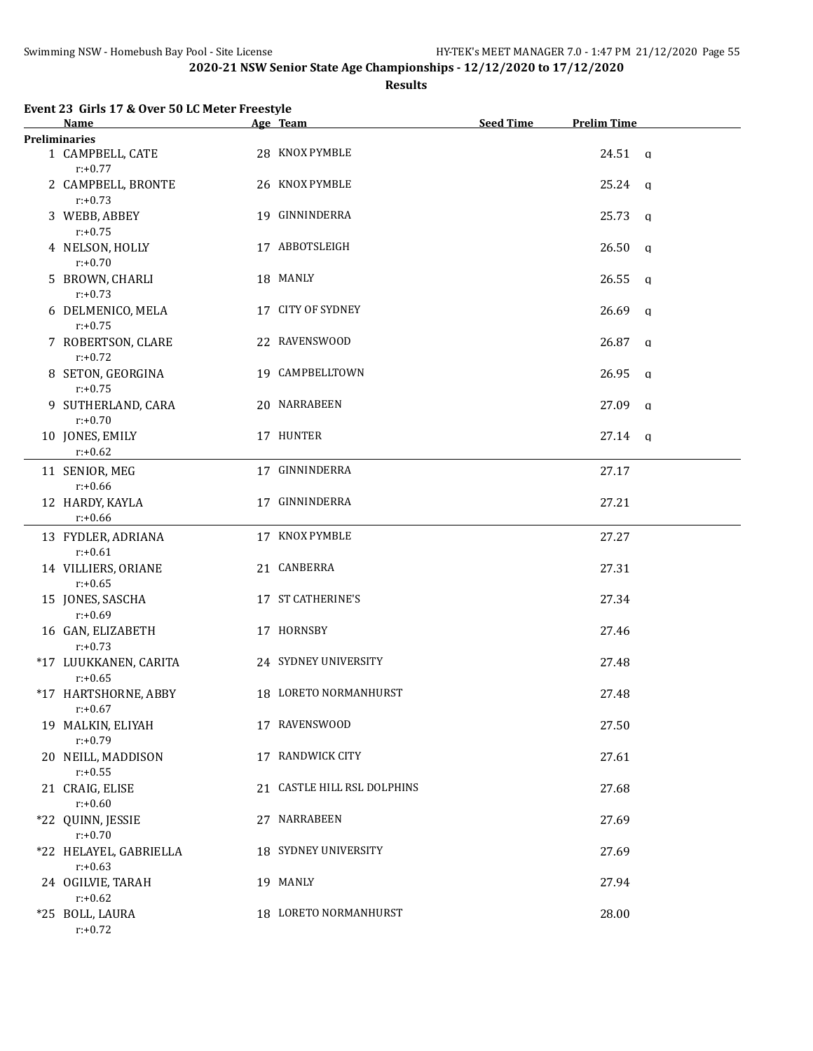#### **Results**

| Event 23 Girls 17 & Over 50 LC Meter Freestyle         |                             |                  |                       |
|--------------------------------------------------------|-----------------------------|------------------|-----------------------|
| Name                                                   | Age Team                    | <b>Seed Time</b> | <b>Prelim Time</b>    |
| <b>Preliminaries</b><br>1 CAMPBELL, CATE<br>$r: +0.77$ | 28 KNOX PYMBLE              |                  | $24.51$ a             |
| 2 CAMPBELL, BRONTE<br>$r: +0.73$                       | 26 KNOX PYMBLE              |                  | $25.24$ q             |
| 3 WEBB, ABBEY<br>$r: +0.75$                            | 19 GINNINDERRA              |                  | 25.73<br>$\mathsf{q}$ |
| 4 NELSON, HOLLY<br>$r: +0.70$                          | 17 ABBOTSLEIGH              |                  | 26.50<br>q            |
| 5 BROWN, CHARLI<br>$r: +0.73$                          | 18 MANLY                    |                  | 26.55<br>$\mathsf{q}$ |
| 6 DELMENICO, MELA<br>$r: +0.75$                        | 17 CITY OF SYDNEY           |                  | 26.69<br>q            |
| 7 ROBERTSON, CLARE<br>$r: +0.72$                       | 22 RAVENSWOOD               |                  | 26.87<br>q            |
| 8 SETON, GEORGINA<br>$r: +0.75$                        | 19 CAMPBELLTOWN             |                  | 26.95<br>$\mathsf{q}$ |
| 9 SUTHERLAND, CARA<br>$r: +0.70$                       | 20 NARRABEEN                |                  | 27.09<br>q            |
| 10 JONES, EMILY<br>$r: +0.62$                          | 17 HUNTER                   |                  | $27.14 \text{ q}$     |
| 11 SENIOR, MEG<br>$r: +0.66$                           | 17 GINNINDERRA              |                  | 27.17                 |
| 12 HARDY, KAYLA<br>$r: +0.66$                          | 17 GINNINDERRA              |                  | 27.21                 |
| 13 FYDLER, ADRIANA<br>$r: +0.61$                       | 17 KNOX PYMBLE              |                  | 27.27                 |
| 14 VILLIERS, ORIANE<br>$r: +0.65$                      | 21 CANBERRA                 |                  | 27.31                 |
| 15 JONES, SASCHA<br>$r: +0.69$                         | 17 ST CATHERINE'S           |                  | 27.34                 |
| 16 GAN, ELIZABETH<br>$r: +0.73$                        | 17 HORNSBY                  |                  | 27.46                 |
| *17 LUUKKANEN, CARITA<br>$r: +0.65$                    | 24 SYDNEY UNIVERSITY        |                  | 27.48                 |
| *17 HARTSHORNE, ABBY<br>$r: +0.67$                     | 18 LORETO NORMANHURST       |                  | 27.48                 |
| 19 MALKIN, ELIYAH<br>$r: +0.79$                        | 17 RAVENSWOOD               |                  | 27.50                 |
| 20 NEILL, MADDISON<br>$r: +0.55$                       | 17 RANDWICK CITY            |                  | 27.61                 |
| 21 CRAIG, ELISE<br>$r: +0.60$                          | 21 CASTLE HILL RSL DOLPHINS |                  | 27.68                 |
| *22 QUINN, JESSIE<br>$r: +0.70$                        | 27 NARRABEEN                |                  | 27.69                 |
| *22 HELAYEL, GABRIELLA<br>$r: +0.63$                   | 18 SYDNEY UNIVERSITY        |                  | 27.69                 |
| 24 OGILVIE, TARAH<br>$r: +0.62$                        | 19 MANLY                    |                  | 27.94                 |
| *25 BOLL, LAURA<br>$r: +0.72$                          | 18 LORETO NORMANHURST       |                  | 28.00                 |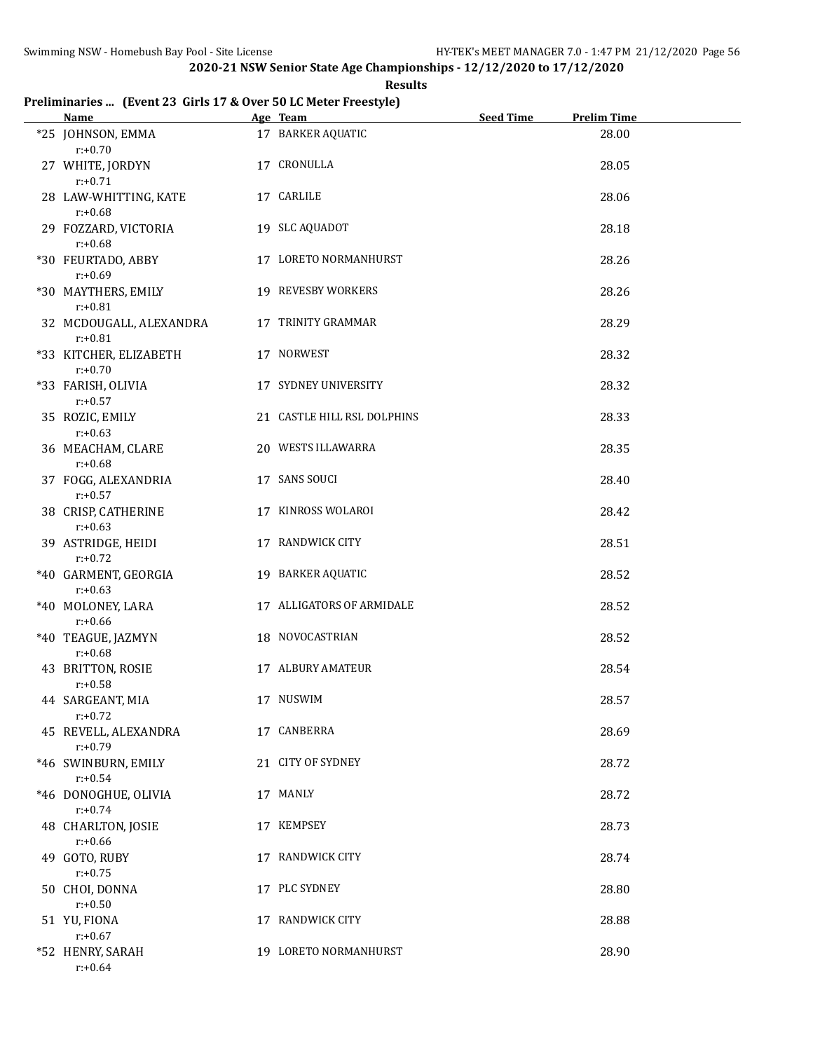**Results**

#### **Preliminaries ... (Event 23 Girls 17 & Over 50 LC Meter Freestyle)**

| <b>Name</b>                           | Age Team                    | <b>Seed Time</b> | <b>Prelim Time</b> |  |
|---------------------------------------|-----------------------------|------------------|--------------------|--|
| *25 JOHNSON, EMMA<br>$r: +0.70$       | 17 BARKER AQUATIC           |                  | 28.00              |  |
| 27 WHITE, JORDYN<br>$r: +0.71$        | 17 CRONULLA                 |                  | 28.05              |  |
| 28 LAW-WHITTING, KATE<br>$r: +0.68$   | 17 CARLILE                  |                  | 28.06              |  |
| 29 FOZZARD, VICTORIA<br>$r: +0.68$    | 19 SLC AQUADOT              |                  | 28.18              |  |
| *30 FEURTADO, ABBY<br>$r: +0.69$      | 17 LORETO NORMANHURST       |                  | 28.26              |  |
| *30 MAYTHERS, EMILY<br>$r: +0.81$     | 19 REVESBY WORKERS          |                  | 28.26              |  |
| 32 MCDOUGALL, ALEXANDRA<br>$r: +0.81$ | 17 TRINITY GRAMMAR          |                  | 28.29              |  |
| *33 KITCHER, ELIZABETH<br>$r: +0.70$  | 17 NORWEST                  |                  | 28.32              |  |
| *33 FARISH, OLIVIA<br>$r: +0.57$      | 17 SYDNEY UNIVERSITY        |                  | 28.32              |  |
| 35 ROZIC, EMILY<br>$r: +0.63$         | 21 CASTLE HILL RSL DOLPHINS |                  | 28.33              |  |
| 36 MEACHAM, CLARE<br>$r: +0.68$       | 20 WESTS ILLAWARRA          |                  | 28.35              |  |
| 37 FOGG, ALEXANDRIA<br>$r: +0.57$     | 17 SANS SOUCI               |                  | 28.40              |  |
| 38 CRISP, CATHERINE<br>$r: +0.63$     | 17 KINROSS WOLAROI          |                  | 28.42              |  |
| 39 ASTRIDGE, HEIDI<br>$r: +0.72$      | 17 RANDWICK CITY            |                  | 28.51              |  |
| *40 GARMENT, GEORGIA<br>$r: +0.63$    | 19 BARKER AQUATIC           |                  | 28.52              |  |
| *40 MOLONEY, LARA<br>$r: +0.66$       | 17 ALLIGATORS OF ARMIDALE   |                  | 28.52              |  |
| *40 TEAGUE, JAZMYN<br>$r: +0.68$      | 18 NOVOCASTRIAN             |                  | 28.52              |  |
| 43 BRITTON, ROSIE<br>$r: +0.58$       | <b>17 ALBURY AMATEUR</b>    |                  | 28.54              |  |
| 44 SARGEANT, MIA<br>$r: +0.72$        | 17 NUSWIM                   |                  | 28.57              |  |
| 45 REVELL, ALEXANDRA<br>$r: +0.79$    | 17 CANBERRA                 |                  | 28.69              |  |
| *46 SWINBURN, EMILY<br>$r: +0.54$     | 21 CITY OF SYDNEY           |                  | 28.72              |  |
| *46 DONOGHUE, OLIVIA<br>$r: +0.74$    | 17 MANLY                    |                  | 28.72              |  |
| 48 CHARLTON, JOSIE<br>$r: +0.66$      | 17 KEMPSEY                  |                  | 28.73              |  |
| 49 GOTO, RUBY<br>$r: +0.75$           | 17 RANDWICK CITY            |                  | 28.74              |  |
| 50 CHOI, DONNA<br>$r: +0.50$          | 17 PLC SYDNEY               |                  | 28.80              |  |
| 51 YU, FIONA<br>$r: +0.67$            | 17 RANDWICK CITY            |                  | 28.88              |  |
| *52 HENRY, SARAH<br>$r: +0.64$        | 19 LORETO NORMANHURST       |                  | 28.90              |  |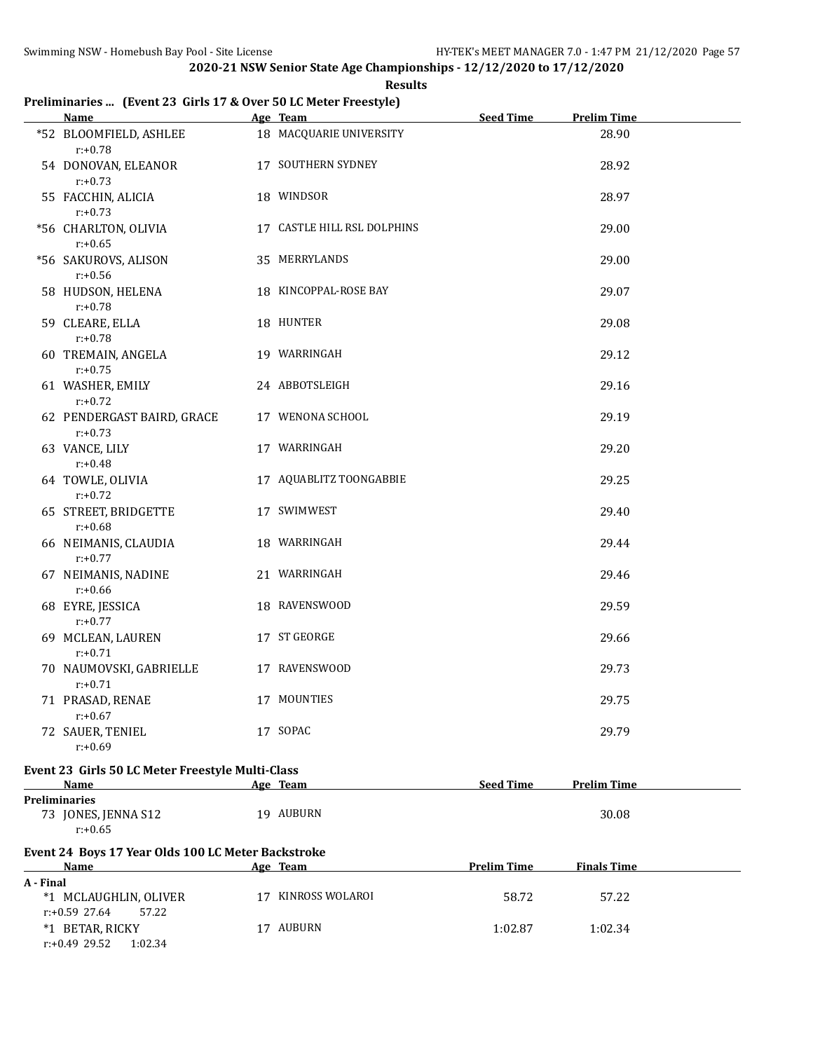| Results |
|---------|
|---------|

#### **Preliminaries ... (Event 23 Girls 17 & Over 50 LC Meter Freestyle)**

|           | Name                                                       | Age Team                    | <b>Seed Time</b>   | <b>Prelim Time</b> |
|-----------|------------------------------------------------------------|-----------------------------|--------------------|--------------------|
|           | *52 BLOOMFIELD, ASHLEE<br>$r: +0.78$                       | 18 MACQUARIE UNIVERSITY     |                    | 28.90              |
|           | 54 DONOVAN, ELEANOR<br>$r: +0.73$                          | 17 SOUTHERN SYDNEY          |                    | 28.92              |
|           | 55 FACCHIN, ALICIA<br>$r: +0.73$                           | 18 WINDSOR                  |                    | 28.97              |
|           | *56 CHARLTON, OLIVIA<br>$r: +0.65$                         | 17 CASTLE HILL RSL DOLPHINS |                    | 29.00              |
|           | *56 SAKUROVS, ALISON<br>$r: +0.56$                         | 35 MERRYLANDS               |                    | 29.00              |
|           | 58 HUDSON, HELENA<br>$r: +0.78$                            | 18 KINCOPPAL-ROSE BAY       |                    | 29.07              |
|           | 59 CLEARE, ELLA<br>$r: +0.78$                              | 18 HUNTER                   |                    | 29.08              |
|           | 60 TREMAIN, ANGELA<br>$r: +0.75$                           | 19 WARRINGAH                |                    | 29.12              |
|           | 61 WASHER, EMILY<br>$r: +0.72$                             | 24 ABBOTSLEIGH              |                    | 29.16              |
|           | 62 PENDERGAST BAIRD, GRACE<br>$r: +0.73$                   | 17 WENONA SCHOOL            |                    | 29.19              |
|           | 63 VANCE, LILY<br>$r: +0.48$                               | 17 WARRINGAH                |                    | 29.20              |
|           | 64 TOWLE, OLIVIA<br>$r: +0.72$                             | 17 AQUABLITZ TOONGABBIE     |                    | 29.25              |
|           | 65 STREET, BRIDGETTE<br>$r: +0.68$                         | 17 SWIMWEST                 |                    | 29.40              |
|           | 66 NEIMANIS, CLAUDIA<br>$r: +0.77$                         | 18 WARRINGAH                |                    | 29.44              |
|           | 67 NEIMANIS, NADINE<br>$r: +0.66$                          | 21 WARRINGAH                |                    | 29.46              |
|           | 68 EYRE, JESSICA<br>$r: +0.77$                             | 18 RAVENSWOOD               |                    | 29.59              |
|           | 69 MCLEAN, LAUREN<br>$r: +0.71$                            | 17 ST GEORGE                |                    | 29.66              |
|           | 70 NAUMOVSKI, GABRIELLE<br>$r: +0.71$                      | 17 RAVENSWOOD               |                    | 29.73              |
|           | 71 PRASAD, RENAE<br>$r: +0.67$                             | 17 MOUNTIES                 |                    | 29.75              |
|           | 72 SAUER, TENIEL<br>$r: +0.69$                             | 17 SOPAC                    |                    | 29.79              |
|           | Event 23 Girls 50 LC Meter Freestyle Multi-Class           |                             |                    |                    |
|           | Name                                                       | Age Team                    | <b>Seed Time</b>   | <b>Prelim Time</b> |
|           | <b>Preliminaries</b><br>73 JONES, JENNA S12<br>$r: +0.65$  | 19 AUBURN                   |                    | 30.08              |
|           | Event 24 Boys 17 Year Olds 100 LC Meter Backstroke<br>Name | Age Team                    | <b>Prelim Time</b> | <b>Finals Time</b> |
| A - Final |                                                            |                             |                    |                    |
|           | *1 MCLAUGHLIN, OLIVER<br>$r: +0.59$ 27.64<br>57.22         | 17 KINROSS WOLAROI          | 58.72              | 57.22              |
|           | *1 BETAR, RICKY<br>$r: +0.49$ 29.52<br>1:02.34             | 17 AUBURN                   | 1:02.87            | 1:02.34            |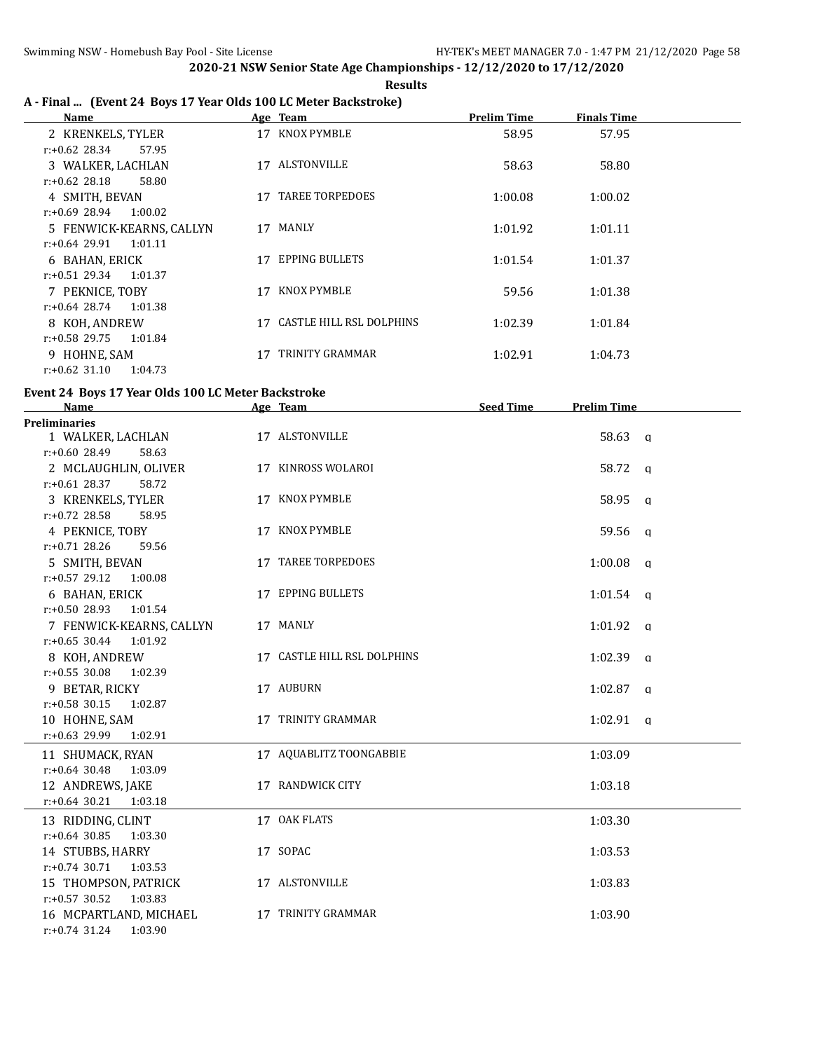#### **Results A - Final ... (Event 24 Boys 17 Year Olds 100 LC Meter Backstroke)**

| <b>Name</b>                 |    | Age Team                 | <b>Prelim Time</b> | <b>Finals Time</b> |
|-----------------------------|----|--------------------------|--------------------|--------------------|
| 2 KRENKELS, TYLER           |    | 17 KNOX PYMBLE           | 58.95              | 57.95              |
| $r: +0.62$ 28.34<br>57.95   |    |                          |                    |                    |
| 3 WALKER, LACHLAN           |    | 17 ALSTONVILLE           | 58.63              | 58.80              |
| $r: +0.62$ 28.18<br>58.80   |    |                          |                    |                    |
| 4 SMITH, BEVAN              | 17 | <b>TAREE TORPEDOES</b>   | 1:00.08            | 1:00.02            |
| r:+0.69 28.94<br>1:00.02    |    |                          |                    |                    |
| 5 FENWICK-KEARNS, CALLYN    | 17 | MANLY                    | 1:01.92            | 1:01.11            |
| $r: +0.64$ 29.91<br>1:01.11 |    |                          |                    |                    |
| 6 BAHAN, ERICK              | 17 | <b>EPPING BULLETS</b>    | 1:01.54            | 1:01.37            |
| r:+0.51 29.34<br>1:01.37    |    |                          |                    |                    |
| 7 PEKNICE, TOBY             | 17 | KNOX PYMBLE              | 59.56              | 1:01.38            |
| 1:01.38<br>r:+0.64 28.74    |    |                          |                    |                    |
| 8 KOH, ANDREW               | 17 | CASTLE HILL RSL DOLPHINS | 1:02.39            | 1:01.84            |
| $r: +0.58$ 29.75<br>1:01.84 |    |                          |                    |                    |
| 9 HOHNE, SAM                | 17 | TRINITY GRAMMAR          | 1:02.91            | 1:04.73            |
| $r: +0.62$ 31.10<br>1:04.73 |    |                          |                    |                    |

## **Event 24 Boys 17 Year Olds 100 LC Meter Backstroke**

| <b>Name</b>                 | Age Team                    | <b>Seed Time</b> | <b>Prelim Time</b> |  |
|-----------------------------|-----------------------------|------------------|--------------------|--|
| <b>Preliminaries</b>        |                             |                  |                    |  |
| 1 WALKER, LACHLAN           | 17 ALSTONVILLE              |                  | 58.63 a            |  |
| $r: +0.60$ 28.49<br>58.63   |                             |                  |                    |  |
| 2 MCLAUGHLIN, OLIVER        | 17 KINROSS WOLAROI          |                  | 58.72 q            |  |
| $r: +0.61$ 28.37<br>58.72   |                             |                  |                    |  |
| 3 KRENKELS, TYLER           | 17 KNOX PYMBLE              |                  | 58.95 a            |  |
| $r: +0.72$ 28.58<br>58.95   |                             |                  |                    |  |
| 4 PEKNICE, TOBY             | 17 KNOX PYMBLE              |                  | 59.56 a            |  |
| $r: +0.71$ 28.26<br>59.56   |                             |                  |                    |  |
| 5 SMITH, BEVAN              | 17 TAREE TORPEDOES          |                  | $1:00.08$ a        |  |
| $r: +0.57$ 29.12<br>1:00.08 |                             |                  |                    |  |
| 6 BAHAN, ERICK              | 17 EPPING BULLETS           |                  | $1:01.54$ q        |  |
| $r: +0.50$ 28.93<br>1:01.54 |                             |                  |                    |  |
| 7 FENWICK-KEARNS, CALLYN    | 17 MANLY                    |                  | $1:01.92$ q        |  |
| 1:01.92<br>$r: +0.65$ 30.44 |                             |                  |                    |  |
| 8 KOH, ANDREW               | 17 CASTLE HILL RSL DOLPHINS |                  | $1:02.39$ q        |  |
| $r: +0.55$ 30.08<br>1:02.39 |                             |                  |                    |  |
| 9 BETAR, RICKY              | 17 AUBURN                   |                  | $1:02.87$ q        |  |
| $r: +0.58$ 30.15<br>1:02.87 |                             |                  |                    |  |
| 10 HOHNE, SAM               | 17 TRINITY GRAMMAR          |                  | $1:02.91$ q        |  |
| r:+0.63 29.99<br>1:02.91    |                             |                  |                    |  |
| 11 SHUMACK, RYAN            | 17 AQUABLITZ TOONGABBIE     |                  | 1:03.09            |  |
| $r: +0.64$ 30.48<br>1:03.09 |                             |                  |                    |  |
| 12 ANDREWS, JAKE            | 17 RANDWICK CITY            |                  | 1:03.18            |  |
| $r: +0.64$ 30.21<br>1:03.18 |                             |                  |                    |  |
| 13 RIDDING, CLINT           | 17 OAK FLATS                |                  | 1:03.30            |  |
| $r: +0.64$ 30.85<br>1:03.30 |                             |                  |                    |  |
| 14 STUBBS, HARRY            | 17 SOPAC                    |                  | 1:03.53            |  |
| $r: +0.74$ 30.71<br>1:03.53 |                             |                  |                    |  |
| 15 THOMPSON, PATRICK        | 17 ALSTONVILLE              |                  | 1:03.83            |  |
| $r.+0.57$ 30.52<br>1:03.83  |                             |                  |                    |  |
| 16 MCPARTLAND, MICHAEL      | 17 TRINITY GRAMMAR          |                  | 1:03.90            |  |
| 1:03.90<br>$r: +0.74$ 31.24 |                             |                  |                    |  |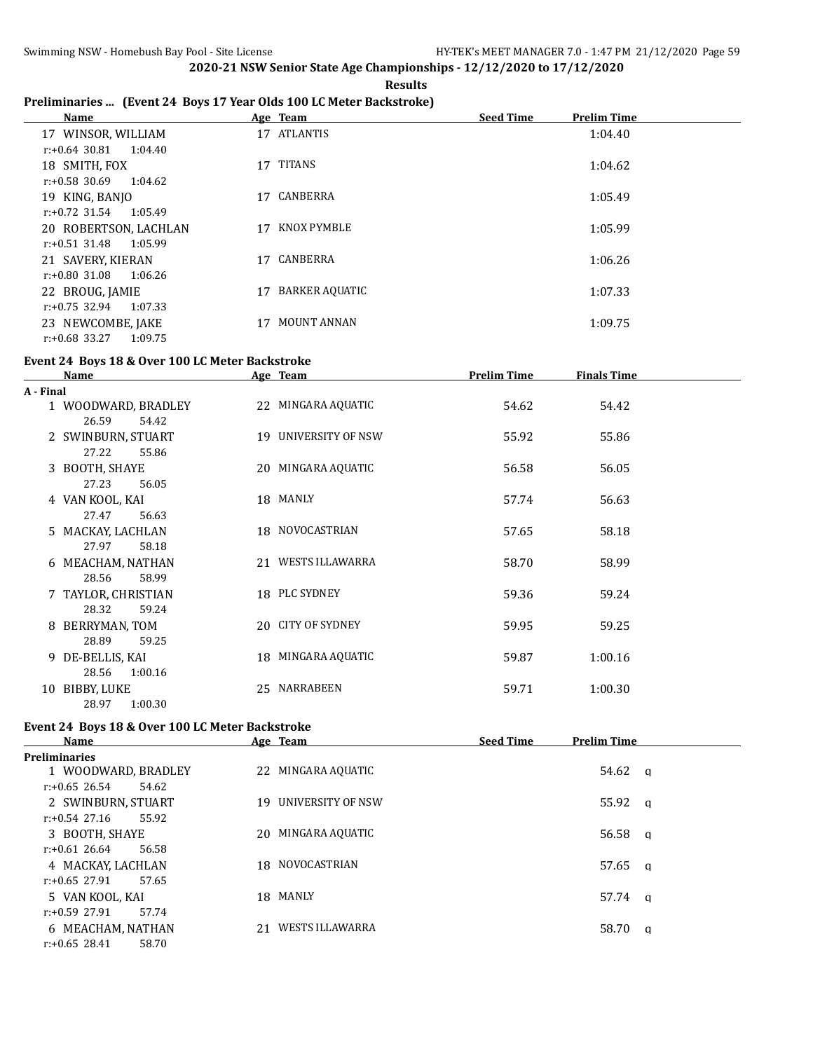**Results**

## **Preliminaries ... (Event 24 Boys 17 Year Olds 100 LC Meter Backstroke)**

| Name                        |    | Age Team              | <b>Seed Time</b><br><b>Prelim Time</b> |
|-----------------------------|----|-----------------------|----------------------------------------|
| 17 WINSOR, WILLIAM          |    | 17 ATLANTIS           | 1:04.40                                |
| $r: +0.64$ 30.81<br>1:04.40 |    |                       |                                        |
| 18 SMITH, FOX               | 17 | <b>TITANS</b>         | 1:04.62                                |
| $r: +0.58$ 30.69<br>1:04.62 |    |                       |                                        |
| 19 KING, BANJO              | 17 | CANBERRA              | 1:05.49                                |
| $r: +0.72$ 31.54<br>1:05.49 |    |                       |                                        |
| 20 ROBERTSON, LACHLAN       | 17 | KNOX PYMBLE           | 1:05.99                                |
| $r: +0.51$ 31.48<br>1:05.99 |    |                       |                                        |
| 21 SAVERY, KIERAN           | 17 | CANBERRA              | 1:06.26                                |
| $r: +0.80$ 31.08<br>1:06.26 |    |                       |                                        |
| 22 BROUG, JAMIE             | 17 | <b>BARKER AQUATIC</b> | 1:07.33                                |
| $r: +0.75$ 32.94<br>1:07.33 |    |                       |                                        |
| 23 NEWCOMBE, JAKE           |    | <b>MOUNT ANNAN</b>    | 1:09.75                                |
| $r: +0.68$ 33.27<br>1:09.75 |    |                       |                                        |

#### **Event 24 Boys 18 & Over 100 LC Meter Backstroke**

|           | Name                | Age Team             | <b>Prelim Time</b> | <b>Finals Time</b> |  |
|-----------|---------------------|----------------------|--------------------|--------------------|--|
| A - Final |                     |                      |                    |                    |  |
|           | 1 WOODWARD, BRADLEY | 22 MINGARA AQUATIC   | 54.62              | 54.42              |  |
|           | 26.59<br>54.42      |                      |                    |                    |  |
|           | 2 SWINBURN, STUART  | 19 UNIVERSITY OF NSW | 55.92              | 55.86              |  |
|           | 27.22<br>55.86      |                      |                    |                    |  |
|           | 3 BOOTH, SHAYE      | 20 MINGARA AQUATIC   | 56.58              | 56.05              |  |
|           | 27.23<br>56.05      |                      |                    |                    |  |
|           | 4 VAN KOOL, KAI     | 18 MANLY             | 57.74              | 56.63              |  |
|           | 27.47<br>56.63      |                      |                    |                    |  |
|           | 5 MACKAY, LACHLAN   | 18 NOVOCASTRIAN      | 57.65              | 58.18              |  |
|           | 58.18<br>27.97      |                      |                    |                    |  |
|           | 6 MEACHAM, NATHAN   | 21 WESTS ILLAWARRA   | 58.70              | 58.99              |  |
|           | 28.56<br>58.99      |                      |                    |                    |  |
|           | 7 TAYLOR, CHRISTIAN | 18 PLC SYDNEY        | 59.36              | 59.24              |  |
|           | 28.32<br>59.24      |                      |                    |                    |  |
|           | 8 BERRYMAN, TOM     | 20 CITY OF SYDNEY    | 59.95              | 59.25              |  |
|           | 28.89<br>59.25      |                      |                    |                    |  |
|           | 9 DE-BELLIS, KAI    | 18 MINGARA AQUATIC   | 59.87              | 1:00.16            |  |
|           | 28.56<br>1:00.16    |                      |                    |                    |  |
| 10        | BIBBY, LUKE         | 25 NARRABEEN         | 59.71              | 1:00.30            |  |
|           | 28.97<br>1:00.30    |                      |                    |                    |  |

# **Event 24 Boys 18 & Over 100 LC Meter Backstroke**

| Name                      | Age Team              | <b>Seed Time</b><br><b>Prelim Time</b> |
|---------------------------|-----------------------|----------------------------------------|
| <b>Preliminaries</b>      |                       |                                        |
| 1 WOODWARD, BRADLEY       | 22 MINGARA AQUATIC    | $54.62 \alpha$                         |
| $r: +0.65$ 26.54<br>54.62 |                       |                                        |
| 2 SWINBURN, STUART        | 19 UNIVERSITY OF NSW  | $55.92 \quad a$                        |
| $r: +0.54$ 27.16<br>55.92 |                       |                                        |
| 3 BOOTH, SHAYE            | 20 MINGARA AQUATIC    | 56.58 $\alpha$                         |
| $r: +0.61$ 26.64<br>56.58 |                       |                                        |
| 4 MACKAY, LACHLAN         | 18 NOVOCASTRIAN       | 57.65 q                                |
| $r: +0.65$ 27.91<br>57.65 |                       |                                        |
| 5 VAN KOOL, KAI           | 18 MANLY              | 57.74 a                                |
| $r: +0.59$ 27.91<br>57.74 |                       |                                        |
| 6 MEACHAM, NATHAN         | WESTS ILLAWARRA<br>21 | 58.70 a                                |
| $r: +0.65$ 28.41<br>58.70 |                       |                                        |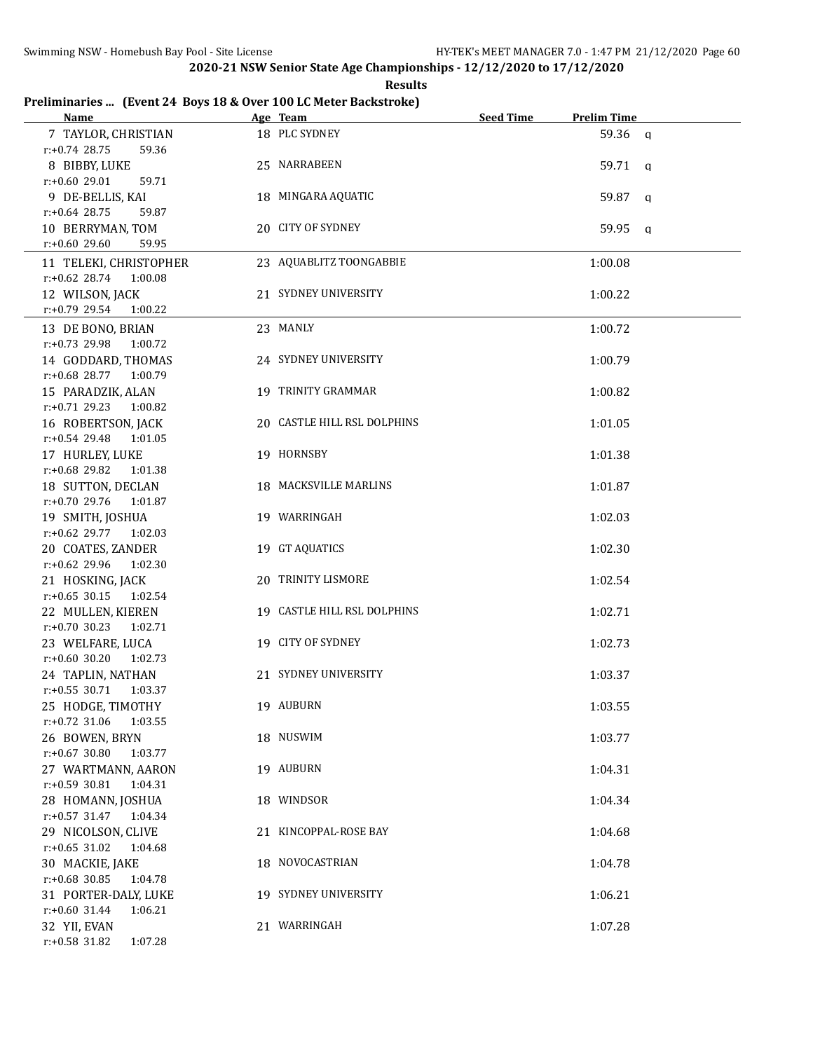**Results**

## **Preliminaries ... (Event 24 Boys 18 & Over 100 LC Meter Backstroke)**

| Name and the same state of the state of the state of the state of the state of the state of the state of the state of the state of the state of the state of the state of the state of the state of the state of the state of | Age Team                    | <b>Seed Time</b> | <b>Prelim Time</b> |
|-------------------------------------------------------------------------------------------------------------------------------------------------------------------------------------------------------------------------------|-----------------------------|------------------|--------------------|
| 7 TAYLOR, CHRISTIAN                                                                                                                                                                                                           | 18 PLC SYDNEY               |                  | 59.36 a            |
| $r: +0.74$ 28.75<br>59.36                                                                                                                                                                                                     |                             |                  |                    |
| 8 BIBBY, LUKE                                                                                                                                                                                                                 | 25 NARRABEEN                |                  | $59.71 \quad a$    |
| r:+0.60 29.01<br>59.71                                                                                                                                                                                                        |                             |                  |                    |
| 9 DE-BELLIS, KAI                                                                                                                                                                                                              | 18 MINGARA AQUATIC          |                  | 59.87 a            |
| $r: +0.64$ 28.75<br>59.87                                                                                                                                                                                                     |                             |                  |                    |
| 10 BERRYMAN, TOM                                                                                                                                                                                                              | 20 CITY OF SYDNEY           |                  | 59.95 q            |
| r:+0.60 29.60<br>59.95                                                                                                                                                                                                        |                             |                  |                    |
| 11 TELEKI, CHRISTOPHER                                                                                                                                                                                                        | 23 AQUABLITZ TOONGABBIE     |                  | 1:00.08            |
| $r: +0.62$ 28.74<br>1:00.08                                                                                                                                                                                                   |                             |                  |                    |
| 12 WILSON, JACK                                                                                                                                                                                                               | 21 SYDNEY UNIVERSITY        |                  | 1:00.22            |
| $r: +0.79$ 29.54 1:00.22                                                                                                                                                                                                      |                             |                  |                    |
| 13 DE BONO, BRIAN                                                                                                                                                                                                             | 23 MANLY                    |                  | 1:00.72            |
| r:+0.73 29.98 1:00.72                                                                                                                                                                                                         |                             |                  |                    |
| 14 GODDARD, THOMAS                                                                                                                                                                                                            | 24 SYDNEY UNIVERSITY        |                  | 1:00.79            |
| $r: +0.68$ 28.77 1:00.79                                                                                                                                                                                                      |                             |                  |                    |
| 15 PARADZIK, ALAN                                                                                                                                                                                                             | 19 TRINITY GRAMMAR          |                  | 1:00.82            |
| $r.+0.7129.23100.82$                                                                                                                                                                                                          |                             |                  |                    |
| 16 ROBERTSON, JACK                                                                                                                                                                                                            | 20 CASTLE HILL RSL DOLPHINS |                  | 1:01.05            |
| $r: +0.54$ 29.48 1:01.05                                                                                                                                                                                                      |                             |                  |                    |
| 17 HURLEY, LUKE                                                                                                                                                                                                               | 19 HORNSBY                  |                  | 1:01.38            |
| $r: +0.68$ 29.82<br>1:01.38                                                                                                                                                                                                   |                             |                  |                    |
| 18 SUTTON, DECLAN                                                                                                                                                                                                             | 18 MACKSVILLE MARLINS       |                  | 1:01.87            |
| $r: +0.70$ 29.76<br>1:01.87                                                                                                                                                                                                   |                             |                  |                    |
| 19 SMITH, JOSHUA                                                                                                                                                                                                              | 19 WARRINGAH                |                  | 1:02.03            |
| $r.+0.62$ 29.77 1:02.03                                                                                                                                                                                                       |                             |                  |                    |
| 20 COATES, ZANDER                                                                                                                                                                                                             | 19 GT AQUATICS              |                  | 1:02.30            |
| $r: +0.62$ 29.96 1:02.30                                                                                                                                                                                                      |                             |                  |                    |
| 21 HOSKING, JACK                                                                                                                                                                                                              | 20 TRINITY LISMORE          |                  | 1:02.54            |
| $r: +0.65$ 30.15<br>1:02.54                                                                                                                                                                                                   |                             |                  |                    |
| 22 MULLEN, KIEREN                                                                                                                                                                                                             | 19 CASTLE HILL RSL DOLPHINS |                  | 1:02.71            |
| $r: +0.70$ 30.23<br>1:02.71                                                                                                                                                                                                   |                             |                  |                    |
| 23 WELFARE, LUCA                                                                                                                                                                                                              | 19 CITY OF SYDNEY           |                  | 1:02.73            |
| $r: +0.60$ 30.20 1:02.73                                                                                                                                                                                                      |                             |                  |                    |
| 24 TAPLIN, NATHAN                                                                                                                                                                                                             | 21 SYDNEY UNIVERSITY        |                  | 1:03.37            |
| $r.+0.55$ 30.71 1:03.37<br>25 HODGE, TIMOTHY                                                                                                                                                                                  | 19 AUBURN                   |                  |                    |
| $r: +0.72$ 31.06<br>1:03.55                                                                                                                                                                                                   |                             |                  | 1:03.55            |
| 26 BOWEN, BRYN                                                                                                                                                                                                                | 18 NUSWIM                   |                  | 1:03.77            |
| $r: +0.67$ 30.80<br>1:03.77                                                                                                                                                                                                   |                             |                  |                    |
| 27 WARTMANN, AARON                                                                                                                                                                                                            | 19 AUBURN                   |                  | 1:04.31            |
| r:+0.59 30.81<br>1:04.31                                                                                                                                                                                                      |                             |                  |                    |
| 28 HOMANN, JOSHUA                                                                                                                                                                                                             | 18 WINDSOR                  |                  | 1:04.34            |
| $r: +0.57$ 31.47<br>1:04.34                                                                                                                                                                                                   |                             |                  |                    |
| 29 NICOLSON, CLIVE                                                                                                                                                                                                            | 21 KINCOPPAL-ROSE BAY       |                  | 1:04.68            |
| $r: +0.65$ 31.02<br>1:04.68                                                                                                                                                                                                   |                             |                  |                    |
| 30 MACKIE, JAKE                                                                                                                                                                                                               | 18 NOVOCASTRIAN             |                  | 1:04.78            |
| $r: +0.68$ 30.85<br>1:04.78                                                                                                                                                                                                   |                             |                  |                    |
| 31 PORTER-DALY, LUKE                                                                                                                                                                                                          | 19 SYDNEY UNIVERSITY        |                  | 1:06.21            |
| $r: +0.60$ 31.44<br>1:06.21                                                                                                                                                                                                   |                             |                  |                    |
| 32 YII, EVAN                                                                                                                                                                                                                  | 21 WARRINGAH                |                  | 1:07.28            |
| $r.+0.58$ 31.82<br>1:07.28                                                                                                                                                                                                    |                             |                  |                    |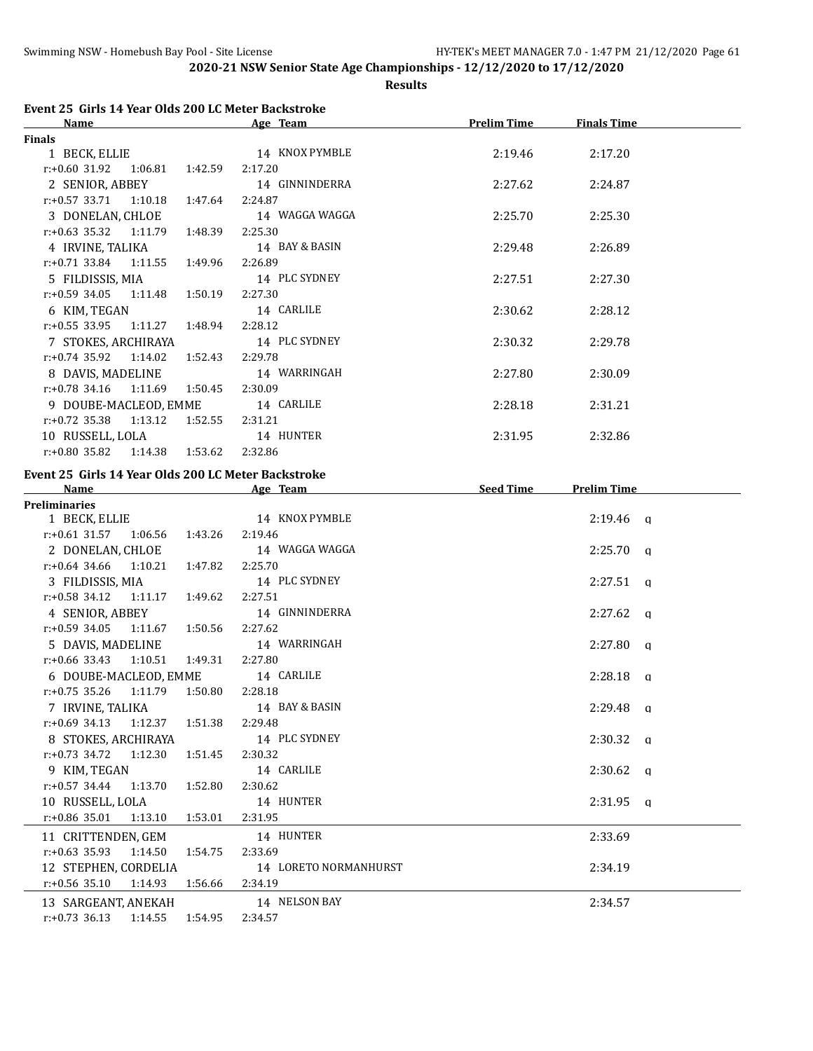**Results**

| <b>Name</b>                      |         | Age Team       | <b>Prelim Time</b> | <b>Finals Time</b> |  |
|----------------------------------|---------|----------------|--------------------|--------------------|--|
| Finals                           |         |                |                    |                    |  |
| 1 BECK, ELLIE                    |         | 14 KNOX PYMBLE | 2:19.46            | 2:17.20            |  |
| $r.+0.60$ 31.92 1:06.81          | 1:42.59 | 2:17.20        |                    |                    |  |
| 2 SENIOR, ABBEY                  |         | 14 GINNINDERRA | 2:27.62            | 2:24.87            |  |
| $r: +0.57$ 33.71 1:10.18         | 1:47.64 | 2:24.87        |                    |                    |  |
| 3 DONELAN, CHLOE                 |         | 14 WAGGA WAGGA | 2:25.70            | 2:25.30            |  |
| $r.+0.63$ 35.32 1:11.79          | 1:48.39 | 2:25.30        |                    |                    |  |
| 4 IRVINE, TALIKA                 |         | 14 BAY & BASIN | 2:29.48            | 2:26.89            |  |
| $r.+0.71$ 33.84 1:11.55 1:49.96  |         | 2:26.89        |                    |                    |  |
| 5 FILDISSIS, MIA                 |         | 14 PLC SYDNEY  | 2:27.51            | 2:27.30            |  |
| $r: +0.59$ 34.05 1:11.48         | 1:50.19 | 2:27.30        |                    |                    |  |
| 6 KIM, TEGAN                     |         | 14 CARLILE     | 2:30.62            | 2:28.12            |  |
| $r.+0.55$ 33.95 1:11.27 1:48.94  |         | 2:28.12        |                    |                    |  |
| 7 STOKES, ARCHIRAYA              |         | 14 PLC SYDNEY  | 2:30.32            | 2:29.78            |  |
| $r.+0.74$ 35.92 1:14.02          | 1:52.43 | 2:29.78        |                    |                    |  |
| 8 DAVIS, MADELINE                |         | 14 WARRINGAH   | 2:27.80            | 2:30.09            |  |
| $r.+0.78$ 34.16 1:11.69 1:50.45  |         | 2:30.09        |                    |                    |  |
| 9 DOUBE-MACLEOD, EMME            |         | 14 CARLILE     | 2:28.18            | 2:31.21            |  |
| $r.+0.72$ 35.38 1:13.12          | 1:52.55 | 2:31.21        |                    |                    |  |
| 10 RUSSELL, LOLA                 |         | 14 HUNTER      | 2:31.95            | 2:32.86            |  |
| $r: +0.80$ 35.82 1:14.38 1:53.62 |         | 2:32.86        |                    |                    |  |
|                                  |         |                |                    |                    |  |

# **Event 25 Girls 14 Year Olds 200 LC Meter Backstroke**

| Name                                     |                                  | Age Team                     | <b>Seed Time</b> | <b>Prelim Time</b> |  |
|------------------------------------------|----------------------------------|------------------------------|------------------|--------------------|--|
| <b>Preliminaries</b>                     |                                  |                              |                  |                    |  |
|                                          |                                  | 1 BECK, ELLIE 14 KNOX PYMBLE |                  | $2:19.46$ q        |  |
| $r: +0.61$ 31.57 1:06.56 1:43.26         |                                  | 2:19.46                      |                  |                    |  |
| 2 DONELAN, CHLOE                         |                                  | 14 WAGGA WAGGA               |                  | $2:25.70$ a        |  |
| $r: +0.64$ 34.66 1:10.21 1:47.82         |                                  | 2:25.70                      |                  |                    |  |
| 3 FILDISSIS, MIA                         |                                  | 14 PLC SYDNEY                |                  | $2:27.51$ a        |  |
| $r: +0.58$ 34.12 1:11.17 1:49.62         |                                  | 2:27.51                      |                  |                    |  |
| 4 SENIOR, ABBEY                          |                                  | 14 GINNINDERRA               |                  | $2:27.62$ a        |  |
| $r: +0.59$ 34.05 1:11.67 1:50.56         |                                  | 2:27.62                      |                  |                    |  |
| 5 DAVIS, MADELINE                        |                                  | 14 WARRINGAH                 |                  | $2:27.80$ q        |  |
| $r: +0.66$ 33.43 1:10.51 1:49.31 2:27.80 |                                  |                              |                  |                    |  |
|                                          | 6 DOUBE-MACLEOD, EMME 14 CARLILE |                              |                  | $2:28.18$ a        |  |
| $r.+0.75$ 35.26 1:11.79 1:50.80 2:28.18  |                                  |                              |                  |                    |  |
|                                          | 7 IRVINE, TALIKA                 | 14 BAY & BASIN               |                  | $2:29.48$ a        |  |
| $r: +0.69$ 34.13 1:12.37 1:51.38         |                                  | 2:29.48                      |                  |                    |  |
| 8 STOKES, ARCHIRAYA                      |                                  | 14 PLC SYDNEY                |                  | $2:30.32$ a        |  |
| $r.+0.73$ 34.72 1:12.30 1:51.45 2:30.32  |                                  |                              |                  |                    |  |
| 9 KIM, TEGAN                             |                                  | 14 CARLILE                   |                  | $2:30.62$ q        |  |
| $r: +0.57$ 34.44 1:13.70 1:52.80         |                                  | 2:30.62                      |                  |                    |  |
| 10 RUSSELL, LOLA                         |                                  | 14 HUNTER                    |                  | $2:31.95$ a        |  |
| $r.+0.86$ 35.01 1:13.10 1:53.01          |                                  | 2:31.95                      |                  |                    |  |
| 11 CRITTENDEN, GEM                       |                                  | 14 HUNTER                    |                  | 2:33.69            |  |
| $r: +0.63$ 35.93 1:14.50                 | 1:54.75                          | 2:33.69                      |                  |                    |  |
| 12 STEPHEN, CORDELIA                     |                                  | 14 LORETO NORMANHURST        |                  | 2:34.19            |  |
| r:+0.56 35.10 1:14.93 1:56.66 2:34.19    |                                  |                              |                  |                    |  |
| 13 SARGEANT, ANEKAH                      |                                  | 14 NELSON BAY                |                  | 2:34.57            |  |
| $r.+0.73$ 36.13 1:14.55 1:54.95 2:34.57  |                                  |                              |                  |                    |  |
|                                          |                                  |                              |                  |                    |  |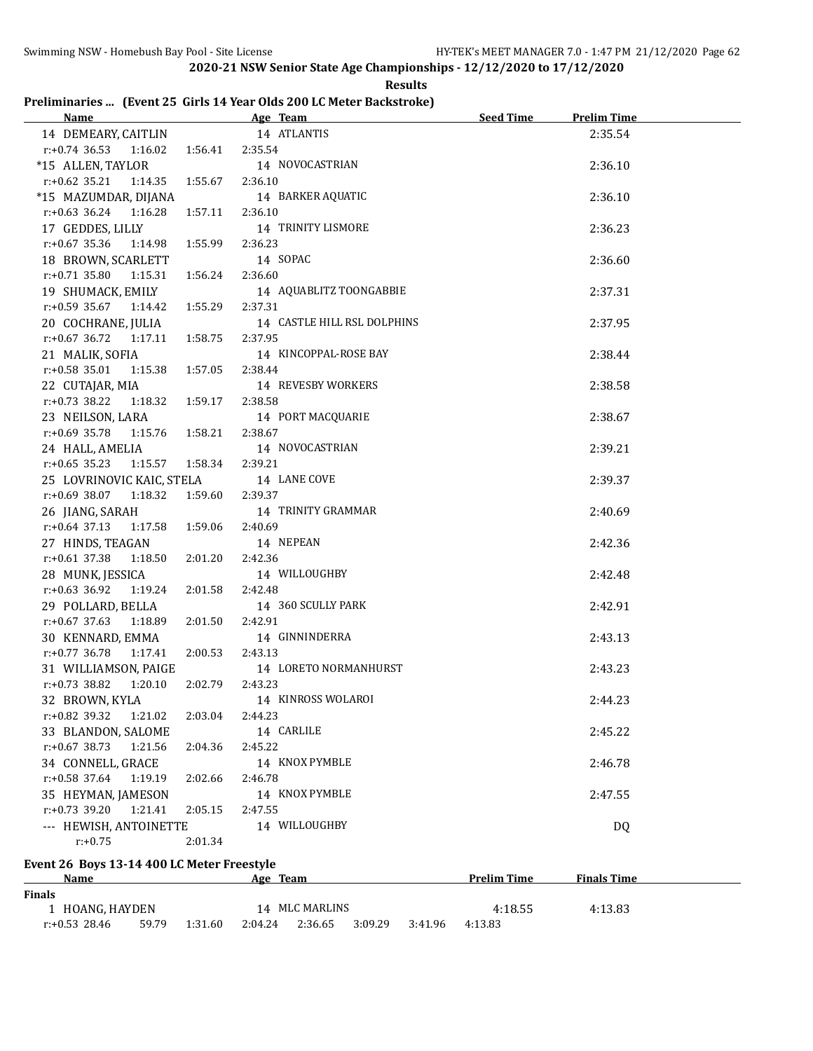**Results**

## **Preliminaries ... (Event 25 Girls 14 Year Olds 200 LC Meter Backstroke)**

|                                               |         | Name Age Team               | <b>Seed Time</b>   | <b>Prelim Time</b> |
|-----------------------------------------------|---------|-----------------------------|--------------------|--------------------|
| 14 DEMEARY, CAITLIN 14 ATLANTIS               |         |                             |                    | 2:35.54            |
| $r: +0.74$ 36.53 1:16.02 1:56.41 2:35.54      |         |                             |                    |                    |
| *15 ALLEN, TAYLOR                             |         | 14 NOVOCASTRIAN             |                    | 2:36.10            |
| r:+0.62 35.21 1:14.35 1:55.67 2:36.10         |         |                             |                    |                    |
| *15 MAZUMDAR, DIJANA                          |         | 14 BARKER AQUATIC           |                    | 2:36.10            |
| $r.+0.63$ 36.24 1:16.28                       | 1:57.11 | 2:36.10                     |                    |                    |
| 17 GEDDES, LILLY                              |         | 14 TRINITY LISMORE          |                    | 2:36.23            |
| $r.+0.67$ 35.36 1:14.98 1:55.99               |         | 2:36.23                     |                    |                    |
| 18 BROWN, SCARLETT                            |         | 14 SOPAC                    |                    | 2:36.60            |
| $r: +0.71$ 35.80 1:15.31 1:56.24              |         | 2:36.60                     |                    |                    |
| 19 SHUMACK, EMILY                             |         | 14 AQUABLITZ TOONGABBIE     |                    | 2:37.31            |
| $r.+0.59$ 35.67 1:14.42 1:55.29               |         | 2:37.31                     |                    |                    |
| 20 COCHRANE, JULIA                            |         | 14 CASTLE HILL RSL DOLPHINS |                    | 2:37.95            |
| $r: +0.67$ 36.72 $1:17.11$ $1:58.75$          |         | 2:37.95                     |                    |                    |
| 21 MALIK, SOFIA                               |         | 14 KINCOPPAL-ROSE BAY       |                    | 2:38.44            |
| $r.+0.58$ 35.01 1:15.38 1:57.05               |         | 2:38.44                     |                    |                    |
| 22 CUTAJAR, MIA                               |         | 14 REVESBY WORKERS          |                    | 2:38.58            |
| $r: +0.73$ 38.22 1:18.32 1:59.17              |         | 2:38.58                     |                    |                    |
| 23 NEILSON, LARA                              |         | 14 PORT MACQUARIE           |                    | 2:38.67            |
| $r.+0.69$ 35.78 1:15.76 1:58.21               |         | 2:38.67                     |                    |                    |
| 24 HALL, AMELIA                               |         | 14 NOVOCASTRIAN             |                    | 2:39.21            |
| $r: +0.65$ 35.23 1:15.57 1:58.34              |         | 2:39.21                     |                    |                    |
| 25 LOVRINOVIC KAIC, STELA 14 LANE COVE        |         |                             |                    | 2:39.37            |
| $r.+0.69$ 38.07 1:18.32 1:59.60 2:39.37       |         |                             |                    |                    |
| 26 JIANG, SARAH                               |         | 14 TRINITY GRAMMAR          |                    | 2:40.69            |
| r:+0.64 37.13 1:17.58 1:59.06 2:40.69         |         |                             |                    |                    |
| 27 HINDS, TEAGAN                              |         | 14 NEPEAN                   |                    | 2:42.36            |
| $r: +0.61$ 37.38<br>1:18.50  2:01.20  2:42.36 |         |                             |                    |                    |
| 28 MUNK, JESSICA                              |         | 14 WILLOUGHBY               |                    | 2:42.48            |
| $r.+0.63$ 36.92 1:19.24 2:01.58               |         | 2:42.48                     |                    |                    |
| 29 POLLARD, BELLA                             |         | 14 360 SCULLY PARK          |                    | 2:42.91            |
| $r.+0.67$ 37.63 1:18.89 2:01.50               |         | 2:42.91                     |                    |                    |
| 30 KENNARD, EMMA                              |         | 14 GINNINDERRA              |                    | 2:43.13            |
| $r.+0.77$ 36.78 1:17.41 2:00.53               |         | 2:43.13                     |                    |                    |
| 31 WILLIAMSON, PAIGE                          |         | 14 LORETO NORMANHURST       |                    | 2:43.23            |
| $r.+0.73$ 38.82 1:20.10                       | 2:02.79 | 2:43.23                     |                    |                    |
| 32 BROWN, KYLA                                |         | 14 KINROSS WOLAROI          |                    | 2:44.23            |
| $r$ :+0.82 39.32<br>1:21.02                   | 2:03.04 | 2:44.23                     |                    |                    |
| 33 BLANDON, SALOME                            |         | 14 CARLILE                  |                    | 2:45.22            |
| $r.+0.67$ 38.73<br>1:21.56                    | 2:04.36 | 2:45.22                     |                    |                    |
| 34 CONNELL, GRACE                             |         | 14 KNOX PYMBLE              |                    | 2:46.78            |
| $r: +0.58$ 37.64<br>1:19.19                   | 2:02.66 | 2:46.78                     |                    |                    |
| 35 HEYMAN, JAMESON                            |         | 14 KNOX PYMBLE              |                    | 2:47.55            |
| r:+0.73 39.20 1:21.41                         | 2:05.15 | 2:47.55                     |                    |                    |
| --- HEWISH, ANTOINETTE                        |         | 14 WILLOUGHBY               |                    | DQ                 |
| $r: +0.75$                                    | 2:01.34 |                             |                    |                    |
| Event 26 Boys 13-14 400 LC Meter Freestyle    |         |                             |                    |                    |
| <b>Name</b>                                   |         | Age Team                    | <b>Prelim Time</b> | <b>Finals Time</b> |
| <b>Finals</b>                                 |         |                             |                    |                    |
| 1 HOANG, HAYDEN                               |         | 14 MLC MARLINS              | 4:18.55            | 4:13.83            |

r:+0.53 28.46 59.79 1:31.60 2:04.24 2:36.65 3:09.29 3:41.96 4:13.83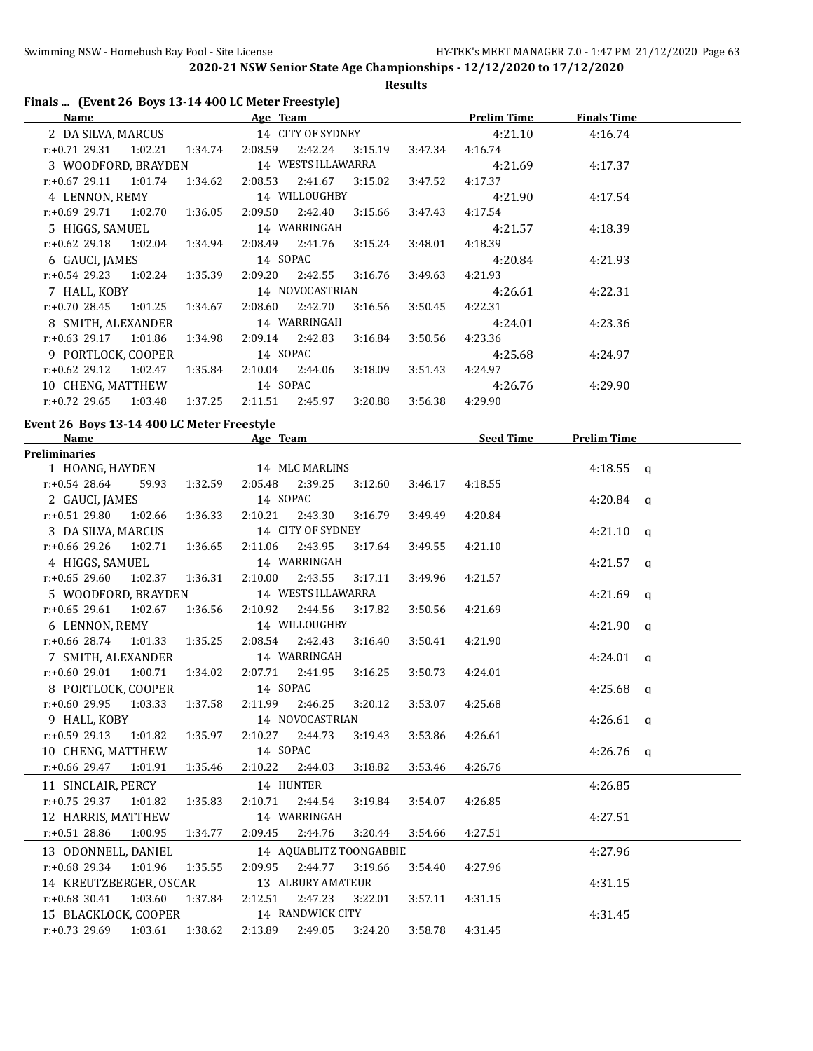**Results**

|  |  | Finals  (Event 26 Boys 13-14 400 LC Meter Freestyle) |  |
|--|--|------------------------------------------------------|--|
|--|--|------------------------------------------------------|--|

| Name                             |         |         | Age Team          |                    |         |         | <b>Prelim Time</b> | <b>Finals Time</b> |  |
|----------------------------------|---------|---------|-------------------|--------------------|---------|---------|--------------------|--------------------|--|
| 2 DA SILVA, MARCUS               |         |         | 14 CITY OF SYDNEY |                    |         |         | 4:21.10            | 4:16.74            |  |
| $r.+0.71$ 29.31 1:02.21 1:34.74  |         |         | 2:08.59           | 2:42.24            | 3:15.19 | 3:47.34 | 4:16.74            |                    |  |
| 3 WOODFORD, BRAYDEN              |         |         |                   | 14 WESTS ILLAWARRA |         |         | 4:21.69            | 4:17.37            |  |
| $r.+0.6729.1111.01.74$           |         | 1:34.62 | 2:08.53           | 2:41.67            | 3:15.02 | 3:47.52 | 4:17.37            |                    |  |
| 4 LENNON, REMY                   |         |         |                   | 14 WILLOUGHBY      |         |         | 4:21.90            | 4:17.54            |  |
| $r: +0.69$ 29.71 1:02.70         |         | 1:36.05 | 2:09.50           | 2:42.40            | 3:15.66 | 3:47.43 | 4:17.54            |                    |  |
| 5 HIGGS, SAMUEL                  |         |         |                   | 14 WARRINGAH       |         |         | 4:21.57            | 4:18.39            |  |
| $r: +0.62$ 29.18 1:02.04 1:34.94 |         |         | 2:08.49           | 2:41.76            | 3:15.24 | 3:48.01 | 4:18.39            |                    |  |
| 6 GAUCI, JAMES                   |         |         | 14 SOPAC          |                    |         |         | 4:20.84            | 4:21.93            |  |
| $r: +0.54$ 29.23 1:02.24         |         | 1:35.39 | 2:09.20           | 2:42.55            | 3:16.76 | 3:49.63 | 4:21.93            |                    |  |
| 7 HALL, KOBY                     |         |         | 14 NOVOCASTRIAN   |                    |         |         | 4:26.61            | 4:22.31            |  |
| r:+0.70 28.45                    | 1:01.25 | 1:34.67 | 2:08.60           | 2:42.70            | 3:16.56 | 3:50.45 | 4:22.31            |                    |  |
| 8 SMITH, ALEXANDER               |         |         | 14 WARRINGAH      |                    |         |         | 4:24.01            | 4:23.36            |  |
| $r: +0.63$ 29.17                 | 1:01.86 | 1:34.98 | 2:09.14 2:42.83   |                    | 3:16.84 | 3:50.56 | 4:23.36            |                    |  |
| 9 PORTLOCK, COOPER               |         |         | 14 SOPAC          |                    |         |         | 4:25.68            | 4:24.97            |  |
| r:+0.62 29.12                    | 1:02.47 | 1:35.84 | 2:10.04           | 2:44.06            | 3:18.09 | 3:51.43 | 4:24.97            |                    |  |
| 10 CHENG, MATTHEW                |         |         | 14 SOPAC          |                    |         |         | 4:26.76            | 4:29.90            |  |
| $r: +0.72$ 29.65                 | 1:03.48 | 1:37.25 | 2:11.51           | 2:45.97            | 3:20.88 | 3:56.38 | 4:29.90            |                    |  |

#### **Event 26 Boys 13-14 400 LC Meter Freestyle**

| Name                     |         |         | Age Team        |                         |         |         | Seed Time | <b>Prelim Time</b>  |  |
|--------------------------|---------|---------|-----------------|-------------------------|---------|---------|-----------|---------------------|--|
| <b>Preliminaries</b>     |         |         |                 |                         |         |         |           |                     |  |
| 1 HOANG, HAYDEN          |         |         |                 | 14 MLC MARLINS          |         |         |           | $4:18.55$ q         |  |
| $r: +0.54$ 28.64         | 59.93   | 1:32.59 | 2:05.48 2:39.25 |                         | 3:12.60 | 3:46.17 | 4:18.55   |                     |  |
| 2 GAUCI, JAMES           |         |         | 14 SOPAC        |                         |         |         |           | $4:20.84$ q         |  |
| $r: +0.51$ 29.80         | 1:02.66 | 1:36.33 | 2:10.21         | 2:43.30                 | 3:16.79 | 3:49.49 | 4:20.84   |                     |  |
| 3 DA SILVA, MARCUS       |         |         |                 | 14 CITY OF SYDNEY       |         |         |           | $4:21.10 \text{ q}$ |  |
| $r: +0.66$ 29.26 1:02.71 |         | 1:36.65 | 2:11.06         | 2:43.95                 | 3:17.64 | 3:49.55 | 4:21.10   |                     |  |
| 4 HIGGS, SAMUEL          |         |         |                 | 14 WARRINGAH            |         |         |           | $4:21.57$ q         |  |
| $r: +0.65$ 29.60         | 1:02.37 | 1:36.31 | 2:10.00         | 2:43.55                 | 3:17.11 | 3:49.96 | 4:21.57   |                     |  |
| 5 WOODFORD, BRAYDEN      |         |         |                 | 14 WESTS ILLAWARRA      |         |         |           | $4:21.69$ q         |  |
| $r: +0.65$ 29.61         | 1:02.67 | 1:36.56 | 2:10.92         | 2:44.56                 | 3:17.82 | 3:50.56 | 4:21.69   |                     |  |
| 6 LENNON, REMY           |         |         |                 | 14 WILLOUGHBY           |         |         |           | $4:21.90$ q         |  |
| $r: +0.66$ 28.74 1:01.33 |         | 1:35.25 | 2:08.54 2:42.43 |                         | 3:16.40 | 3:50.41 | 4:21.90   |                     |  |
| 7 SMITH, ALEXANDER       |         |         |                 | 14 WARRINGAH            |         |         |           | $4:24.01$ q         |  |
| $r: +0.60$ 29.01         | 1:00.71 | 1:34.02 | 2:07.71 2:41.95 |                         | 3:16.25 | 3:50.73 | 4:24.01   |                     |  |
| 8 PORTLOCK, COOPER       |         |         | 14 SOPAC        |                         |         |         |           | $4:25.68$ a         |  |
| $r: +0.60$ 29.95 1:03.33 |         | 1:37.58 | 2:11.99         | 2:46.25                 | 3:20.12 | 3:53.07 | 4:25.68   |                     |  |
| 9 HALL, KOBY             |         |         |                 | 14 NOVOCASTRIAN         |         |         |           | $4:26.61$ q         |  |
| r:+0.59 29.13 1:01.82    |         | 1:35.97 | 2:10.27 2:44.73 |                         | 3:19.43 | 3:53.86 | 4:26.61   |                     |  |
| 10 CHENG, MATTHEW        |         |         | 14 SOPAC        |                         |         |         |           | $4:26.76$ q         |  |
| r:+0.66 29.47 1:01.91    |         | 1:35.46 | 2:10.22         | 2:44.03                 | 3:18.82 | 3:53.46 | 4:26.76   |                     |  |
| 11 SINCLAIR, PERCY       |         |         | 14 HUNTER       |                         |         |         |           | 4:26.85             |  |
| $r: +0.75$ 29.37 1:01.82 |         | 1:35.83 | 2:10.71         | 2:44.54                 | 3:19.84 | 3:54.07 | 4:26.85   |                     |  |
| 12 HARRIS, MATTHEW       |         |         |                 | 14 WARRINGAH            |         |         |           | 4:27.51             |  |
| $r: +0.51$ 28.86         | 1:00.95 | 1:34.77 | 2:09.45         | 2:44.76                 | 3:20.44 | 3:54.66 | 4:27.51   |                     |  |
| 13 ODONNELL, DANIEL      |         |         |                 | 14 AQUABLITZ TOONGABBIE |         |         |           | 4:27.96             |  |
| $r: +0.68$ 29.34         | 1:01.96 | 1:35.55 | 2:09.95         | 2:44.77                 | 3:19.66 | 3:54.40 | 4:27.96   |                     |  |
| 14 KREUTZBERGER, OSCAR   |         |         |                 | 13 ALBURY AMATEUR       |         |         |           | 4:31.15             |  |
| $r: +0.68$ 30.41 1:03.60 |         | 1:37.84 | 2:12.51         | 2:47.23                 | 3:22.01 | 3:57.11 | 4:31.15   |                     |  |
| 15 BLACKLOCK, COOPER     |         |         |                 | 14 RANDWICK CITY        |         |         |           | 4:31.45             |  |
| $r: +0.73$ 29.69 1:03.61 |         | 1:38.62 | 2:13.89         | 2:49.05                 | 3:24.20 | 3:58.78 | 4:31.45   |                     |  |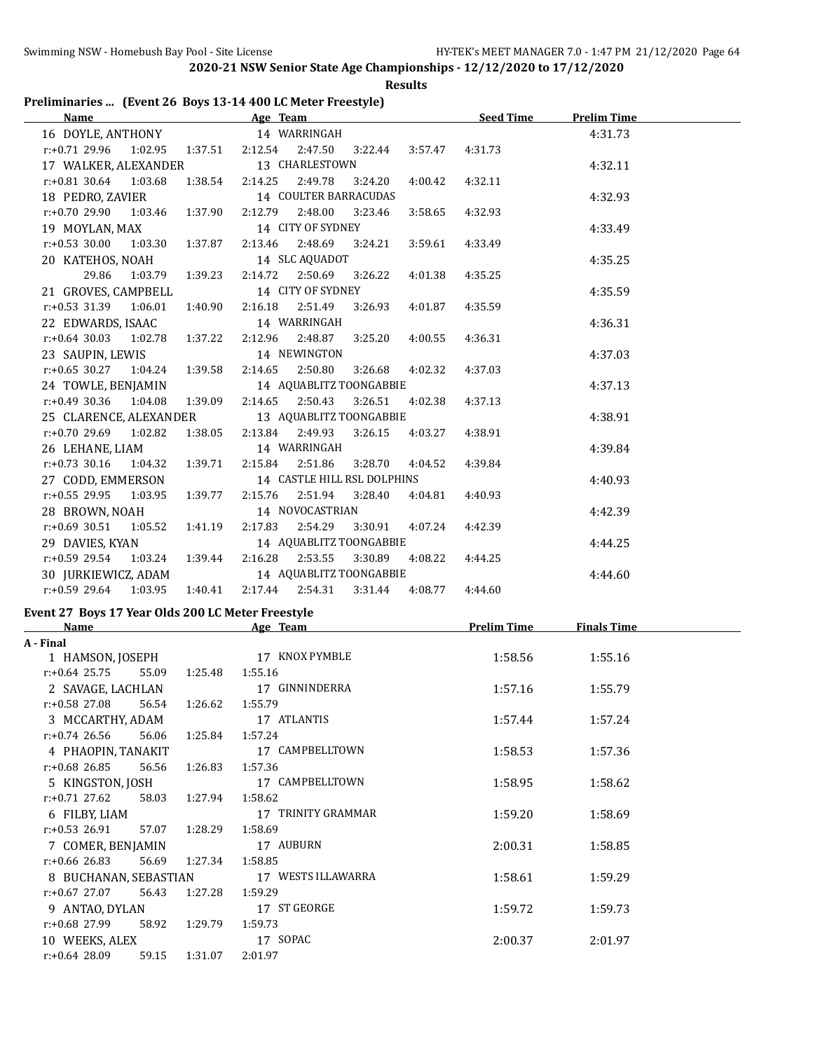**Results**

#### **Preliminaries ... (Event 26 Boys 13-14 400 LC Meter Freestyle)**

| Name <b>Seed Time</b> Prelim Time <b>Age</b> Team <b>Seed Time Seed Time</b> Prelim Time |            |                             |         |                 |                 |         |  |
|------------------------------------------------------------------------------------------|------------|-----------------------------|---------|-----------------|-----------------|---------|--|
| 16 DOYLE, ANTHONY 14 WARRINGAH                                                           |            |                             |         |                 |                 | 4:31.73 |  |
| $r: +0.71$ 29.96 1:02.95 1:37.51 2:12.54 2:47.50 3:22.44                                 |            |                             |         |                 | 3:57.47 4:31.73 |         |  |
| 17 WALKER, ALEXANDER 13 CHARLESTOWN                                                      |            |                             |         |                 |                 | 4:32.11 |  |
| r:+0.81 30.64 1:03.68 1:38.54 2:14.25 2:49.78 3:24.20                                    |            |                             |         | 4:00.42         | 4:32.11         |         |  |
| 18 PEDRO, ZAVIER                                                                         |            | 14 COULTER BARRACUDAS       |         |                 |                 | 4:32.93 |  |
| r:+0.70 29.90 1:03.46                                                                    | 1:37.90    | 2:12.79 2:48.00 3:23.46     |         | 3:58.65         | 4:32.93         |         |  |
| 19 MOYLAN, MAX                                                                           |            | 14 CITY OF SYDNEY           |         |                 |                 | 4:33.49 |  |
| $r.+0.53$ 30.00 1:03.30 1:37.87                                                          |            | 2:13.46 2:48.69 3:24.21     |         | 3:59.61         | 4:33.49         |         |  |
| 20 KATEHOS, NOAH                                                                         |            | 14 SLC AQUADOT              |         |                 |                 | 4:35.25 |  |
| 29.86 1:03.79 1:39.23                                                                    |            | 2:14.72  2:50.69  3:26.22   |         | 4:01.38         | 4:35.25         |         |  |
| 21 GROVES, CAMPBELL                                                                      |            | 14 CITY OF SYDNEY           |         |                 |                 | 4:35.59 |  |
| $r: +0.53$ 31.39 1:06.01 1:40.90                                                         |            | 2:16.18 2:51.49 3:26.93     |         | 4:01.87         | 4:35.59         |         |  |
| 22 EDWARDS, ISAAC                                                                        |            | 14 WARRINGAH                |         |                 |                 | 4:36.31 |  |
| $r.+0.64$ 30.03 1:02.78 1:37.22                                                          |            | 2:12.96 2:48.87             | 3:25.20 | 4:00.55         | 4:36.31         |         |  |
| 23 SAUPIN, LEWIS                                                                         |            | 14 NEWINGTON                |         |                 |                 | 4:37.03 |  |
| $r: +0.65$ 30.27 1:04.24 1:39.58                                                         |            | 2:14.65 2:50.80             | 3:26.68 | 4:02.32         | 4:37.03         |         |  |
| 24 TOWLE, BENJAMIN                                                                       |            | 14 AQUABLITZ TOONGABBIE     |         |                 |                 | 4:37.13 |  |
| $r: +0.49$ 30.36 1:04.08 1:39.09                                                         |            | 2:14.65 2:50.43             | 3:26.51 | 4:02.38         | 4:37.13         |         |  |
| 25 CLARENCE, ALEXANDER                                                                   |            | 13 AQUABLITZ TOONGABBIE     |         |                 |                 | 4:38.91 |  |
| r:+0.70 29.69 1:02.82 1:38.05 2:13.84 2:49.93 3:26.15 4:03.27                            |            |                             |         |                 | 4:38.91         |         |  |
| 26 LEHANE, LIAM                                                                          |            | 14 WARRINGAH                |         |                 |                 | 4:39.84 |  |
| $r.+0.73$ 30.16 1:04.32 1:39.71                                                          |            | 2:15.84 2:51.86             |         | 3:28.70 4:04.52 | 4:39.84         |         |  |
| 27 CODD, EMMERSON                                                                        |            | 14 CASTLE HILL RSL DOLPHINS |         |                 |                 | 4:40.93 |  |
| $r: +0.55$ 29.95 1:03.95 1:39.77                                                         |            | 2:15.76 2:51.94 3:28.40     |         | 4:04.81         | 4:40.93         |         |  |
| 28 BROWN, NOAH                                                                           |            | 14 NOVOCASTRIAN             |         |                 |                 | 4:42.39 |  |
| r:+0.69 30.51  1:05.52  1:41.19  2:17.83  2:54.29  3:30.91                               |            |                             |         | 4:07.24         | 4:42.39         |         |  |
| 29 DAVIES, KYAN                                                                          |            | 14 AQUABLITZ TOONGABBIE     |         |                 |                 | 4:44.25 |  |
| $r: +0.59$ 29.54 1:03.24 1:39.44 2:16.28 2:53.55                                         |            |                             | 3:30.89 | 4:08.22         | 4:44.25         |         |  |
| 30 JURKIEWICZ, ADAM                                                                      |            | 14 AQUABLITZ TOONGABBIE     |         |                 |                 | 4:44.60 |  |
| r:+0.59 29.64 1:03.95 1:40.41 2:17.44 2:54.31 3:31.44 4:08.77                            |            |                             |         |                 | 4:44.60         |         |  |
| Event 27 Boys 17 Year Olds 200 LC Meter Freestyle                                        |            |                             |         |                 |                 |         |  |
| Name Age Team Age Team Prelim Time Finals Time                                           |            |                             |         |                 |                 |         |  |
| A - Final                                                                                |            |                             |         |                 |                 |         |  |
| 1 HAMSON, JOSEPH 17 KNOX PYMBLE                                                          |            |                             |         |                 | 1:58.56         | 1:55.16 |  |
| $r: +0.64$ 25.75 55.09 1:25.48 1:55.16                                                   |            |                             |         |                 |                 |         |  |
| 2 SAVAGE, LACHLAN                                                                        |            |                             |         | 17 GINNINDERRA  | 1:57.16         | 1:55.79 |  |
|                                                                                          | . <u>.</u> |                             |         |                 |                 |         |  |

| 4 <i>טובשרו</i> ט שטר <i>ו</i> אדע |       |         | $\frac{1}{2}$ $\frac{1}{2}$ | 1.J/.IU | 1.JJ. <i>I J</i> |
|------------------------------------|-------|---------|-----------------------------|---------|------------------|
| r:+0.58 27.08                      | 56.54 | 1:26.62 | 1:55.79                     |         |                  |
| 3 MCCARTHY, ADAM                   |       |         | 17 ATLANTIS                 | 1:57.44 | 1:57.24          |
| r:+0.74 26.56                      | 56.06 | 1:25.84 | 1:57.24                     |         |                  |
| 4 PHAOPIN, TANAKIT                 |       |         | 17 CAMPBELLTOWN             | 1:58.53 | 1:57.36          |
| r:+0.68 26.85                      | 56.56 | 1:26.83 | 1:57.36                     |         |                  |
| 5 KINGSTON, JOSH                   |       |         | 17 CAMPBELLTOWN             | 1:58.95 | 1:58.62          |
| r:+0.71 27.62                      | 58.03 | 1:27.94 | 1:58.62                     |         |                  |
| 6 FILBY, LIAM                      |       |         | 17 TRINITY GRAMMAR          | 1:59.20 | 1:58.69          |
| r:+0.53 26.91                      | 57.07 | 1:28.29 | 1:58.69                     |         |                  |
| 7 COMER, BENJAMIN                  |       |         | 17 AUBURN                   | 2:00.31 | 1:58.85          |
| r:+0.66 26.83                      | 56.69 | 1:27.34 | 1:58.85                     |         |                  |
| 8 BUCHANAN, SEBASTIAN              |       |         | 17 WESTS ILLAWARRA          | 1:58.61 | 1:59.29          |
| r:+0.67 27.07                      | 56.43 | 1:27.28 | 1:59.29                     |         |                  |
| 9 ANTAO, DYLAN                     |       |         | 17 ST GEORGE                | 1:59.72 | 1:59.73          |
| r:+0.68 27.99                      | 58.92 | 1:29.79 | 1:59.73                     |         |                  |
| 10 WEEKS, ALEX                     |       |         | 17 SOPAC                    | 2:00.37 | 2:01.97          |
| $r: +0.64$ 28.09                   | 59.15 | 1:31.07 | 2:01.97                     |         |                  |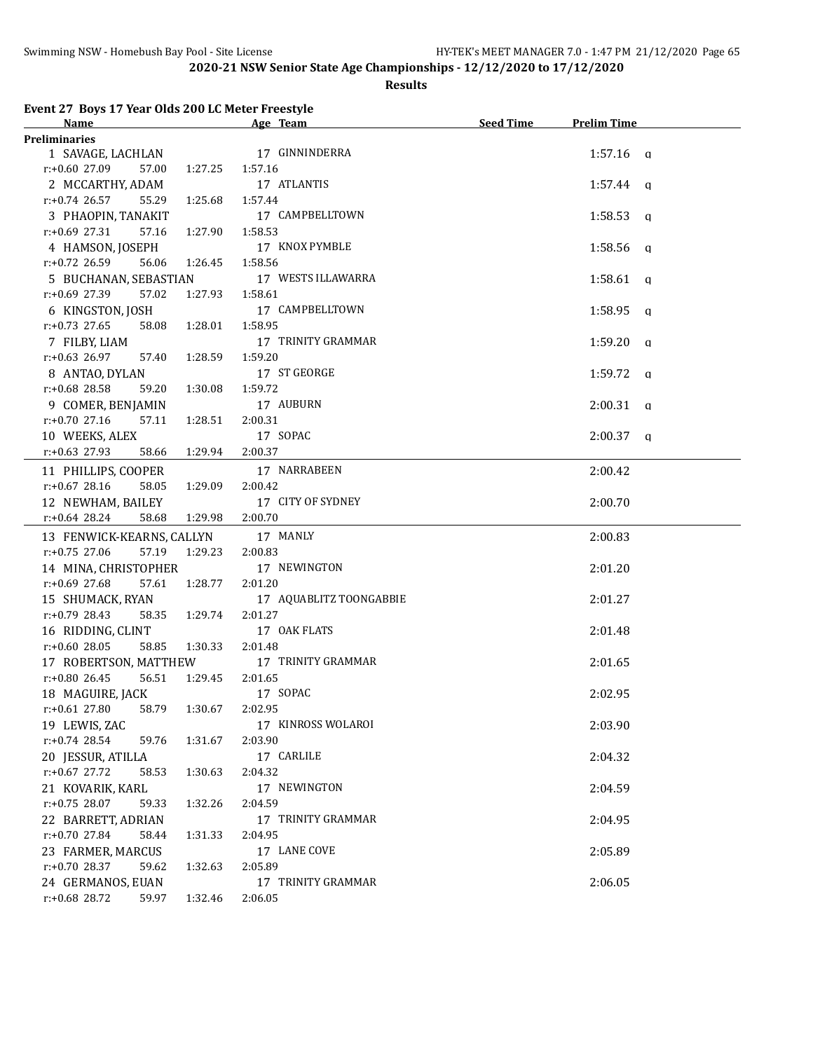#### **Results**

**Event 27 Boys 17 Year Olds 200 LC Meter Freestyle**

| <u>Name</u>                         |                 | Age Team                | <b>Seed Time</b> | <b>Prelim Time</b> |
|-------------------------------------|-----------------|-------------------------|------------------|--------------------|
| Preliminaries                       |                 |                         |                  |                    |
| 1 SAVAGE, LACHLAN 17 GINNINDERRA    |                 |                         |                  | $1:57.16$ a        |
| r:+0.60 27.09<br>57.00              | 1:27.25         | 1:57.16                 |                  |                    |
| 2 MCCARTHY, ADAM                    |                 | 17 ATLANTIS             |                  | $1:57.44$ a        |
| r:+0.74 26.57<br>55.29              | 1:25.68         | 1:57.44                 |                  |                    |
| 3 PHAOPIN, TANAKIT                  |                 | 17 CAMPBELLTOWN         |                  | $1:58.53$ q        |
| $r: +0.69$ 27.31<br>57.16           | 1:27.90         | 1:58.53                 |                  |                    |
| 4 HAMSON, JOSEPH                    |                 | 17 KNOX PYMBLE          |                  | $1:58.56$ q        |
| r:+0.72 26.59<br>56.06              | 1:26.45         | 1:58.56                 |                  |                    |
| 5 BUCHANAN, SEBASTIAN               |                 | 17 WESTS ILLAWARRA      |                  | $1:58.61$ a        |
| r:+0.69 27.39<br>57.02              | 1:27.93         | 1:58.61                 |                  |                    |
| 6 KINGSTON, JOSH                    |                 | 17 CAMPBELLTOWN         |                  | $1:58.95$ q        |
| $r: +0.73$ 27.65<br>58.08           | 1:28.01         | 1:58.95                 |                  |                    |
| 7 FILBY, LIAM                       |                 | 17 TRINITY GRAMMAR      |                  | $1:59.20$ a        |
| $r: +0.63$ 26.97<br>57.40           | 1:28.59         | 1:59.20                 |                  |                    |
| 8 ANTAO, DYLAN                      |                 | 17 ST GEORGE            |                  | $1:59.72$ q        |
| $r: +0.68$ 28.58<br>59.20           | 1:30.08         | 1:59.72                 |                  |                    |
| 9 COMER, BENJAMIN                   |                 | 17 AUBURN               |                  | $2:00.31$ q        |
| $r: +0.70$ 27.16<br>57.11           | 1:28.51         | 2:00.31                 |                  |                    |
| 10 WEEKS, ALEX                      |                 | 17 SOPAC                |                  | $2:00.37$ q        |
| $r: +0.63$ 27.93<br>58.66           | 1:29.94         | 2:00.37                 |                  |                    |
| 11 PHILLIPS, COOPER                 |                 | 17 NARRABEEN            |                  | 2:00.42            |
| $r: +0.67$ 28.16<br>58.05           | 1:29.09         | 2:00.42                 |                  |                    |
| 12 NEWHAM, BAILEY                   |                 | 17 CITY OF SYDNEY       |                  | 2:00.70            |
| r:+0.64 28.24<br>58.68              | 1:29.98 2:00.70 |                         |                  |                    |
|                                     |                 |                         |                  |                    |
| 13 FENWICK-KEARNS, CALLYN           |                 | 17 MANLY                |                  | 2:00.83            |
| 57.19 1:29.23<br>$r: +0.75$ 27.06   |                 | 2:00.83                 |                  |                    |
| 14 MINA, CHRISTOPHER                |                 | 17 NEWINGTON            |                  | 2:01.20            |
| $r: +0.69$ 27.68<br>57.61 1:28.77   |                 | 2:01.20                 |                  |                    |
| 15 SHUMACK, RYAN                    |                 | 17 AQUABLITZ TOONGABBIE |                  | 2:01.27            |
| $r: +0.79$ 28.43<br>58.35           | 1:29.74         | 2:01.27                 |                  |                    |
| 16 RIDDING, CLINT                   |                 | 17 OAK FLATS            |                  | 2:01.48            |
| $r: +0.60$ 28.05<br>58.85           | 1:30.33         | 2:01.48                 |                  |                    |
| 17 ROBERTSON, MATTHEW               |                 | 17 TRINITY GRAMMAR      |                  | 2:01.65            |
| $r: +0.80$ 26.45<br>56.51 1:29.45   |                 | 2:01.65                 |                  |                    |
| 18 MAGUIRE, JACK                    |                 | 17 SOPAC                |                  | 2:02.95            |
| r:+0.61 27.80 58.79 1:30.67 2:02.95 |                 |                         |                  |                    |
| 19 LEWIS, ZAC                       |                 | 17 KINROSS WOLAROI      |                  | 2:03.90            |
| $r: +0.74$ 28.54<br>59.76           | 1:31.67         | 2:03.90                 |                  |                    |
| 20 JESSUR, ATILLA                   |                 | 17 CARLILE              |                  | 2:04.32            |
| $r: +0.67$ 27.72<br>58.53           | 1:30.63         | 2:04.32                 |                  |                    |
| 21 KOVARIK, KARL                    |                 | 17 NEWINGTON            |                  | 2:04.59            |
| $r.+0.75$ 28.07<br>59.33            | 1:32.26         | 2:04.59                 |                  |                    |
| 22 BARRETT, ADRIAN                  |                 | 17 TRINITY GRAMMAR      |                  | 2:04.95            |
| $r: +0.70$ 27.84<br>58.44           | 1:31.33         | 2:04.95                 |                  |                    |
| 23 FARMER, MARCUS                   |                 | 17 LANE COVE            |                  | 2:05.89            |
| $r.+0.70$ 28.37<br>59.62            | 1:32.63         | 2:05.89                 |                  |                    |
| 24 GERMANOS, EUAN                   |                 | 17 TRINITY GRAMMAR      |                  | 2:06.05            |
| r:+0.68 28.72<br>59.97              | 1:32.46         | 2:06.05                 |                  |                    |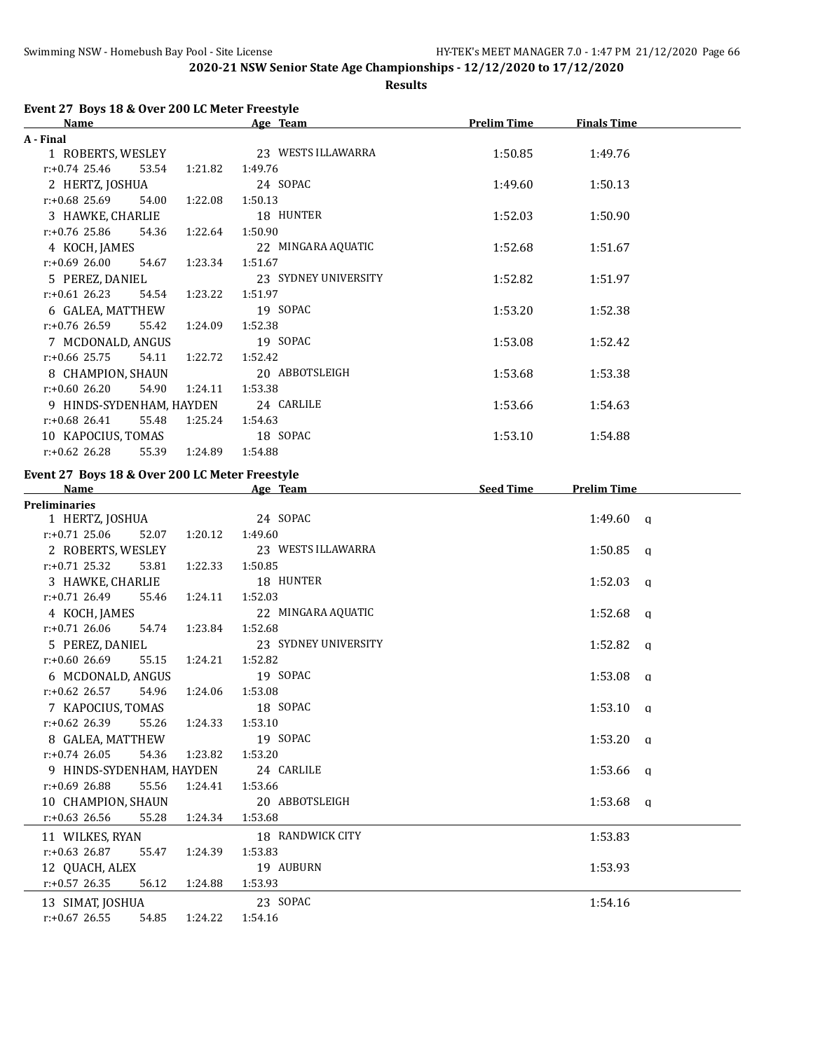**Results**

|  | Event 27 Boys 18 & Over 200 LC Meter Freestyle |  |
|--|------------------------------------------------|--|
|--|------------------------------------------------|--|

| <b>Name</b>              |                  | Age Team             | <b>Prelim Time</b> | <b>Finals Time</b> |  |
|--------------------------|------------------|----------------------|--------------------|--------------------|--|
| A - Final                |                  |                      |                    |                    |  |
| 1 ROBERTS, WESLEY        |                  | 23 WESTS ILLAWARRA   | 1:50.85            | 1:49.76            |  |
| $r: +0.74$ 25.46         | 53.54 1:21.82    | 1:49.76              |                    |                    |  |
| 2 HERTZ, JOSHUA          |                  | 24 SOPAC             | 1:49.60            | 1:50.13            |  |
| r:+0.68 25.69            | 54.00<br>1:22.08 | 1:50.13              |                    |                    |  |
| 3 HAWKE, CHARLIE         |                  | 18 HUNTER            | 1:52.03            | 1:50.90            |  |
| $r: +0.76$ 25.86         | 1:22.64<br>54.36 | 1:50.90              |                    |                    |  |
| 4 KOCH, JAMES            |                  | 22 MINGARA AQUATIC   | 1:52.68            | 1:51.67            |  |
| $r: +0.69$ 26.00         | 1:23.34<br>54.67 | 1:51.67              |                    |                    |  |
| 5 PEREZ, DANIEL          |                  | 23 SYDNEY UNIVERSITY | 1:52.82            | 1:51.97            |  |
| $r: +0.61$ 26.23         | 1:23.22<br>54.54 | 1:51.97              |                    |                    |  |
| 6 GALEA, MATTHEW         |                  | 19 SOPAC             | 1:53.20            | 1:52.38            |  |
| r:+0.76 26.59            | 55.42<br>1:24.09 | 1:52.38              |                    |                    |  |
| 7 MCDONALD, ANGUS        |                  | 19 SOPAC             | 1:53.08            | 1:52.42            |  |
| $r: +0.66$ 25.75         | 1:22.72<br>54.11 | 1:52.42              |                    |                    |  |
| 8 CHAMPION, SHAUN        |                  | 20 ABBOTSLEIGH       | 1:53.68            | 1:53.38            |  |
| $r: +0.60$ 26.20         | 54.90<br>1:24.11 | 1:53.38              |                    |                    |  |
| 9 HINDS-SYDENHAM, HAYDEN |                  | 24 CARLILE           | 1:53.66            | 1:54.63            |  |
| $r: +0.68$ 26.41         | 55.48<br>1:25.24 | 1:54.63              |                    |                    |  |
| 10 KAPOCIUS, TOMAS       |                  | 18 SOPAC             | 1:53.10            | 1:54.88            |  |
| $r: +0.62$ 26.28         | 55.39<br>1:24.89 | 1:54.88              |                    |                    |  |

#### **Event 27 Boys 18 & Over 200 LC Meter Freestyle**

| <b>Name</b>               |                   | Age Team             | <b>Seed Time</b> | <b>Prelim Time</b> |  |
|---------------------------|-------------------|----------------------|------------------|--------------------|--|
| <b>Preliminaries</b>      |                   |                      |                  |                    |  |
| 1 HERTZ, JOSHUA           |                   | 24 SOPAC             |                  | $1:49.60$ q        |  |
| $r: +0.71$ 25.06          | 52.07 1:20.12     | 1:49.60              |                  |                    |  |
| 2 ROBERTS, WESLEY         |                   | 23 WESTS ILLAWARRA   |                  | $1:50.85$ q        |  |
| $r: +0.71$ 25.32<br>53.81 | 1:22.33           | 1:50.85              |                  |                    |  |
| 3 HAWKE, CHARLIE          |                   | 18 HUNTER            |                  | $1:52.03$ q        |  |
| r:+0.71 26.49<br>55.46    | 1:24.11           | 1:52.03              |                  |                    |  |
| 4 KOCH, JAMES             |                   | 22 MINGARA AQUATIC   |                  | 1:52.68 $q$        |  |
| $r: +0.71$ 26.06<br>54.74 | 1:23.84           | 1:52.68              |                  |                    |  |
| 5 PEREZ, DANIEL           |                   | 23 SYDNEY UNIVERSITY |                  | $1:52.82$ q        |  |
| $r: +0.60$ 26.69          | 55.15 1:24.21     | 1:52.82              |                  |                    |  |
| 6 MCDONALD, ANGUS         |                   | 19 SOPAC             |                  | $1:53.08$ a        |  |
| $r: +0.62$ 26.57          | 54.96 1:24.06     | 1:53.08              |                  |                    |  |
| 7 KAPOCIUS, TOMAS         |                   | 18 SOPAC             |                  | $1:53.10$ q        |  |
| r:+0.62 26.39<br>55.26    | 1:24.33           | 1:53.10              |                  |                    |  |
| 8 GALEA, MATTHEW          |                   | 19 SOPAC             |                  | $1:53.20$ q        |  |
| $r: +0.74$ 26.05<br>54.36 | 1:23.82           | 1:53.20              |                  |                    |  |
| 9 HINDS-SYDENHAM, HAYDEN  |                   | 24 CARLILE           |                  | 1:53.66 $q$        |  |
| $r: +0.69$ 26.88          | 55.56 1:24.41     | 1:53.66              |                  |                    |  |
| 10 CHAMPION, SHAUN        |                   | 20 ABBOTSLEIGH       |                  | $1:53.68$ q        |  |
| $r: +0.63$ 26.56          | 55.28 1:24.34     | 1:53.68              |                  |                    |  |
| 11 WILKES, RYAN           |                   | 18 RANDWICK CITY     |                  | 1:53.83            |  |
| 55.47<br>$r: +0.63$ 26.87 | 1:24.39           | 1:53.83              |                  |                    |  |
| 12 QUACH, ALEX            |                   | 19 AUBURN            |                  | 1:53.93            |  |
| $r: +0.57$ 26.35          | 56.12 1:24.88     | 1:53.93              |                  |                    |  |
| 13 SIMAT, JOSHUA          |                   | 23 SOPAC             |                  | 1:54.16            |  |
| $r: +0.67$ 26.55<br>54.85 | 1:24.22   1:54.16 |                      |                  |                    |  |
|                           |                   |                      |                  |                    |  |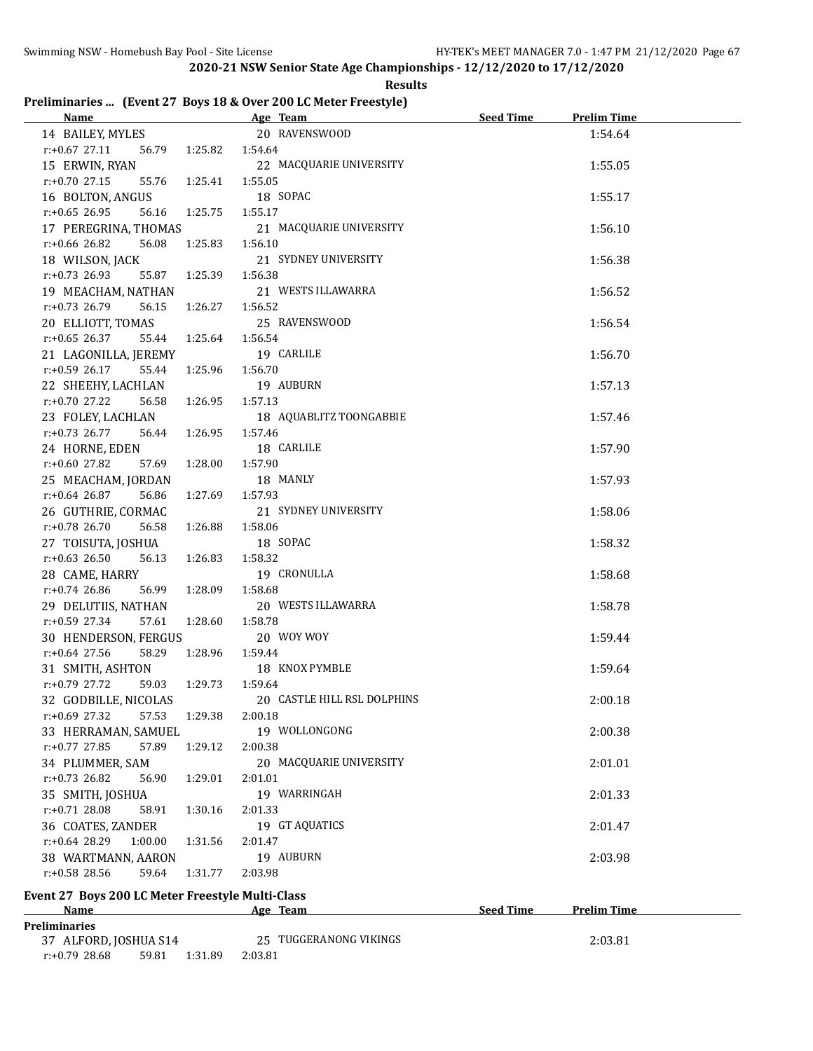**Results**

# **Preliminaries ... (Event 27 Boys 18 & Over 200 LC Meter Freestyle)**

| <b>Name</b>                                        |                           | Age Team                    | <b>Seed Time</b> | <b>Prelim Time</b> |
|----------------------------------------------------|---------------------------|-----------------------------|------------------|--------------------|
| 14 BAILEY, MYLES                                   |                           | 20 RAVENSWOOD               |                  | 1:54.64            |
| $r.+0.67$ 27.11                                    | 56.79   1:25.82   1:54.64 |                             |                  |                    |
| 15 ERWIN, RYAN                                     |                           | 22 MACQUARIE UNIVERSITY     |                  | 1:55.05            |
| $r: +0.70$ 27.15<br>55.76 1:25.41                  |                           | 1:55.05                     |                  |                    |
| 16 BOLTON, ANGUS                                   |                           | 18 SOPAC                    |                  | 1:55.17            |
| $r: +0.65$ 26.95<br>56.16                          | 1:25.75                   | 1:55.17                     |                  |                    |
| 17 PEREGRINA, THOMAS                               |                           | 21 MACQUARIE UNIVERSITY     |                  | 1:56.10            |
| $r: +0.66$ 26.82<br>56.08                          | 1:25.83                   | 1:56.10                     |                  |                    |
| 18 WILSON, JACK                                    |                           | 21 SYDNEY UNIVERSITY        |                  | 1:56.38            |
| $r: +0.73$ 26.93<br>55.87                          | 1:25.39                   | 1:56.38                     |                  |                    |
| 19 MEACHAM, NATHAN                                 |                           | 21 WESTS ILLAWARRA          |                  | 1:56.52            |
| $r: +0.73$ 26.79<br>56.15                          | 1:26.27                   | 1:56.52                     |                  |                    |
| 20 ELLIOTT, TOMAS                                  |                           | 25 RAVENSWOOD               |                  | 1:56.54            |
| $r: +0.65$ 26.37<br>55.44                          | 1:25.64                   | 1:56.54                     |                  |                    |
| 21 LAGONILLA, JEREMY                               |                           | 19 CARLILE                  |                  | 1:56.70            |
| $r: +0.59$ 26.17                                   | 55.44 1:25.96             | 1:56.70                     |                  |                    |
| 22 SHEEHY, LACHLAN                                 |                           | 19 AUBURN                   |                  | 1:57.13            |
| $r: +0.70$ 27.22                                   | 56.58 1:26.95             | 1:57.13                     |                  |                    |
| 23 FOLEY, LACHLAN                                  |                           | 18 AQUABLITZ TOONGABBIE     |                  | 1:57.46            |
| r:+0.73 26.77<br>56.44 1:26.95                     |                           | 1:57.46                     |                  |                    |
| 24 HORNE, EDEN                                     |                           | 18 CARLILE                  |                  | 1:57.90            |
| $r: +0.60$ 27.82<br>57.69                          | 1:28.00                   | 1:57.90                     |                  |                    |
| 25 MEACHAM, JORDAN                                 |                           | 18 MANLY                    |                  | 1:57.93            |
| $r: +0.64$ 26.87<br>56.86                          | 1:27.69                   | 1:57.93                     |                  |                    |
| 26 GUTHRIE, CORMAC                                 |                           | 21 SYDNEY UNIVERSITY        |                  | 1:58.06            |
| $r: +0.78$ 26.70<br>56.58                          | 1:26.88                   | 1:58.06                     |                  |                    |
| 27 TOISUTA, JOSHUA                                 |                           | 18 SOPAC                    |                  | 1:58.32            |
| r:+0.63 26.50<br>56.13                             | 1:26.83                   | 1:58.32                     |                  |                    |
| 28 CAME, HARRY                                     |                           | 19 CRONULLA                 |                  | 1:58.68            |
| $r: +0.74$ 26.86<br>56.99 1:28.09                  |                           | 1:58.68                     |                  |                    |
| 29 DELUTIIS, NATHAN                                |                           | 20 WESTS ILLAWARRA          |                  | 1:58.78            |
| r:+0.59 27.34<br>57.61                             | 1:28.60                   | 1:58.78                     |                  |                    |
| 30 HENDERSON, FERGUS                               |                           | 20 WOY WOY                  |                  | 1:59.44            |
| $r: +0.64$ 27.56<br>58.29                          | 1:28.96                   | 1:59.44                     |                  |                    |
| 31 SMITH, ASHTON                                   |                           | 18 KNOX PYMBLE              |                  | 1:59.64            |
| $r: +0.79$ 27.72<br>59.03                          | 1:29.73                   | 1:59.64                     |                  |                    |
| 32 GODBILLE, NICOLAS                               |                           | 20 CASTLE HILL RSL DOLPHINS |                  | 2:00.18            |
| $r: +0.69$ 27.32<br>57.53                          | 1:29.38                   | 2:00.18                     |                  |                    |
| 33 HERRAMAN, SAMUEL                                |                           | 19 WOLLONGONG               |                  | 2:00.38            |
| $r: +0.77$ 27.85<br>57.89                          | 1:29.12                   | 2:00.38                     |                  |                    |
| 34 PLUMMER, SAM                                    |                           | 20 MACQUARIE UNIVERSITY     |                  | 2:01.01            |
| $r: +0.73$ 26.82<br>56.90                          | 1:29.01                   | 2:01.01                     |                  |                    |
| 35 SMITH, JOSHUA                                   |                           | 19 WARRINGAH                |                  | 2:01.33            |
| $r: +0.71$ 28.08<br>58.91                          | 1:30.16                   | 2:01.33                     |                  |                    |
| 36 COATES, ZANDER                                  |                           | 19 GT AQUATICS              |                  | 2:01.47            |
| $r: +0.64$ 28.29<br>1:00.00                        | 1:31.56                   | 2:01.47                     |                  |                    |
| 38 WARTMANN, AARON                                 |                           | 19 AUBURN                   |                  | 2:03.98            |
| r:+0.58 28.56<br>59.64                             | 1:31.77                   | 2:03.98                     |                  |                    |
|                                                    |                           |                             |                  |                    |
| Event 27 Boys 200 LC Meter Freestyle Multi-Class   |                           |                             |                  |                    |
| <u>Name</u>                                        |                           | Age Team                    | <b>Seed Time</b> | <b>Prelim Time</b> |
| <b>Preliminaries</b>                               |                           | 25 TUGGERANONG VIKINGS      |                  |                    |
| 37 ALFORD, JOSHUA S14<br>$r: +0.79$ 28.68<br>59.81 | 1:31.89                   | 2:03.81                     |                  | 2:03.81            |
|                                                    |                           |                             |                  |                    |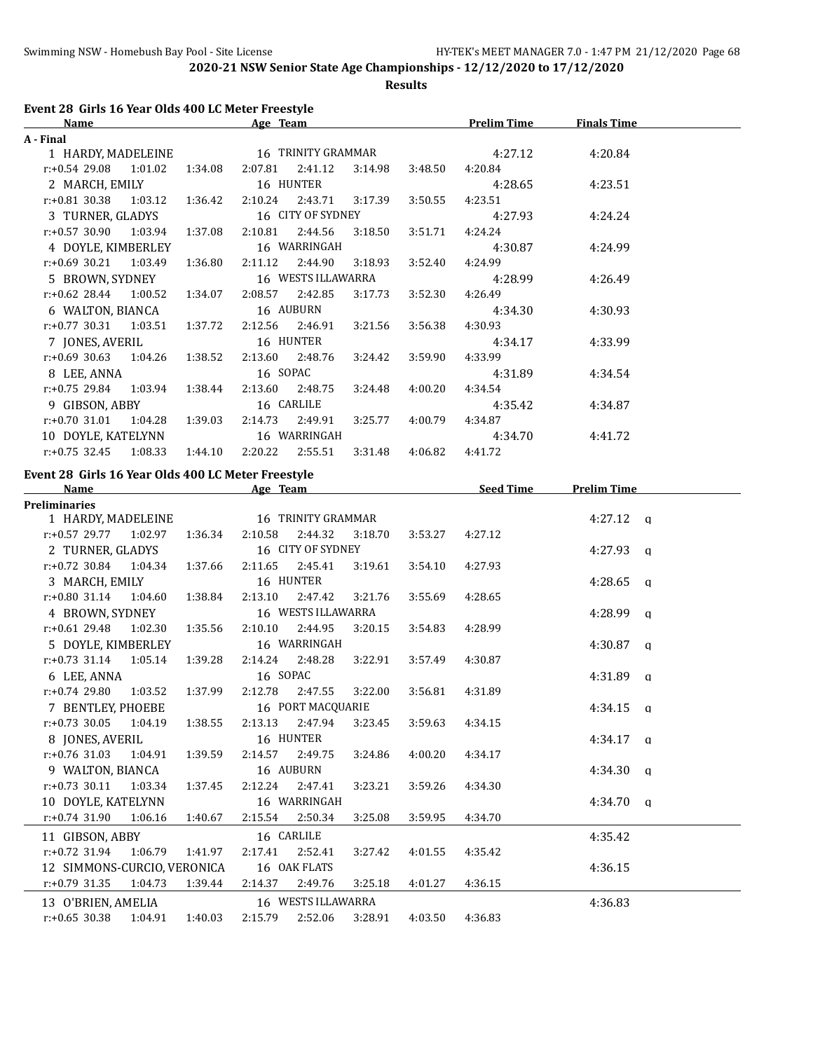**Results**

# **Event 28 Girls 16 Year Olds 400 LC Meter Freestyle**

| Name                            |         |         | Age Team                  |                   |                           |                 | <b>Prelim Time</b> | <b>Finals Time</b> |  |
|---------------------------------|---------|---------|---------------------------|-------------------|---------------------------|-----------------|--------------------|--------------------|--|
| A - Final                       |         |         |                           |                   |                           |                 |                    |                    |  |
| 1 HARDY, MADELEINE              |         |         | 16 TRINITY GRAMMAR        |                   |                           |                 | 4:27.12            | 4:20.84            |  |
| r:+0.54 29.08 1:01.02           |         | 1:34.08 |                           |                   | 2:07.81  2:41.12  3:14.98 | 3:48.50         | 4:20.84            |                    |  |
| 2 MARCH, EMILY                  |         |         |                           | 16 HUNTER         |                           |                 | 4:28.65            | 4:23.51            |  |
| $r.+0.81$ 30.38 1:03.12 1:36.42 |         |         |                           |                   | 2:10.24 2:43.71 3:17.39   | 3:50.55         | 4:23.51            |                    |  |
| 3 TURNER, GLADYS                |         |         |                           | 16 CITY OF SYDNEY |                           |                 | 4:27.93            | 4:24.24            |  |
| $r.+0.57$ 30.90 1:03.94 1:37.08 |         |         | 2:10.81                   |                   | 2:44.56 3:18.50           | 3:51.71         | 4:24.24            |                    |  |
| 4 DOYLE, KIMBERLEY              |         |         | 16 WARRINGAH              |                   |                           |                 | 4:30.87            | 4:24.99            |  |
| $r: +0.69$ 30.21 1:03.49        |         | 1:36.80 | 2:11.12  2:44.90  3:18.93 |                   |                           | 3:52.40         | 4:24.99            |                    |  |
| 5 BROWN, SYDNEY                 |         |         | 16 WESTS ILLAWARRA        |                   |                           |                 | 4:28.99            | 4:26.49            |  |
| $r.+0.62$ 28.44 1:00.52 1:34.07 |         |         | 2:08.57 2:42.85           |                   | 3:17.73                   | 3:52.30         | 4:26.49            |                    |  |
| 6 WALTON, BIANCA                |         |         | 16 AUBURN                 |                   |                           |                 | 4:34.30            | 4:30.93            |  |
| $r.+0.77$ 30.31 1:03.51 1:37.72 |         |         |                           |                   | 2:12.56 2:46.91 3:21.56   | 3:56.38         | 4:30.93            |                    |  |
| 7 JONES, AVERIL                 |         |         | 16 HUNTER                 |                   |                           |                 | 4:34.17            | 4:33.99            |  |
| $r: +0.69$ 30.63 1:04.26        |         | 1:38.52 |                           | 2:13.60 2:48.76   | 3:24.42                   | 3:59.90         | 4:33.99            |                    |  |
| 8 LEE, ANNA                     |         |         | 16 SOPAC                  |                   |                           |                 | 4:31.89            | 4:34.54            |  |
| $r.+0.75$ 29.84 1:03.94 1:38.44 |         |         |                           | 2:13.60 2:48.75   | 3:24.48 4:00.20           |                 | 4:34.54            |                    |  |
| 9 GIBSON, ABBY                  |         |         |                           | 16 CARLILE        |                           |                 | 4:35.42            | 4:34.87            |  |
| $r.+0.70$ 31.01 1:04.28         |         | 1:39.03 |                           | 2:14.73 2:49.91   |                           | 3:25.77 4:00.79 | 4:34.87            |                    |  |
| 10 DOYLE, KATELYNN              |         |         | 16 WARRINGAH              |                   |                           |                 | 4:34.70            | 4:41.72            |  |
| $r: +0.75$ 32.45                | 1:08.33 | 1:44.10 | 2:20.22                   | 2:55.51           |                           | 3:31.48 4:06.82 | 4:41.72            |                    |  |
|                                 |         |         |                           |                   |                           |                 |                    |                    |  |

### **Event 28 Girls 16 Year Olds 400 LC Meter Freestyle**

| <b>Name</b>                           |         | Age Team |                    |         |         | <b>Seed Time</b> | <b>Prelim Time</b> |  |
|---------------------------------------|---------|----------|--------------------|---------|---------|------------------|--------------------|--|
| <b>Preliminaries</b>                  |         |          |                    |         |         |                  |                    |  |
| 1 HARDY, MADELEINE 16 TRINITY GRAMMAR |         |          |                    |         |         |                  | $4:27.12$ a        |  |
| $r.+0.5729.771.02.971.36.34$          |         | 2:10.58  | 2:44.32            | 3:18.70 | 3:53.27 | 4:27.12          |                    |  |
| 2 TURNER, GLADYS                      |         |          | 16 CITY OF SYDNEY  |         |         |                  | $4:27.93$ q        |  |
| $r: +0.72$ 30.84 1:04.34 1:37.66      |         |          | 2:11.65 2:45.41    | 3:19.61 | 3:54.10 | 4:27.93          |                    |  |
| 3 MARCH, EMILY                        |         |          | 16 HUNTER          |         |         |                  | 4:28.65 $q$        |  |
| r:+0.80 31.14 1:04.60 1:38.84         |         |          | 2:13.10 2:47.42    | 3:21.76 | 3:55.69 | 4:28.65          |                    |  |
| 16 WESTS ILLAWARRA<br>4 BROWN, SYDNEY |         |          |                    |         |         |                  | $4:28.99$ a        |  |
| $r: +0.61$ 29.48 1:02.30              | 1:35.56 | 2:10.10  | 2:44.95            | 3:20.15 | 3:54.83 | 4:28.99          |                    |  |
| 5 DOYLE, KIMBERLEY                    |         |          | 16 WARRINGAH       |         |         |                  | $4:30.87$ q        |  |
| $r: +0.73$ 31.14 1:05.14 1:39.28      |         |          | 2:14.24 2:48.28    | 3:22.91 | 3:57.49 | 4:30.87          |                    |  |
| 6 LEE, ANNA                           |         | 16 SOPAC |                    |         |         |                  | $4:31.89$ q        |  |
| $r: +0.74$ 29.80 1:03.52 1:37.99      |         |          | 2:12.78 2:47.55    | 3:22.00 | 3:56.81 | 4:31.89          |                    |  |
| 7 BENTLEY, PHOEBE                     |         |          | 16 PORT MACQUARIE  |         |         |                  | $4:34.15$ a        |  |
| $r: +0.73$ 30.05 1:04.19              | 1:38.55 |          | 2:13.13 2:47.94    | 3:23.45 | 3:59.63 | 4:34.15          |                    |  |
| 8 JONES, AVERIL                       |         |          | 16 HUNTER          |         |         |                  | $4:34.17$ a        |  |
| $r.+0.76$ 31.03 1:04.91 1:39.59       |         |          | 2:14.57 2:49.75    | 3:24.86 | 4:00.20 | 4:34.17          |                    |  |
| 9 WALTON, BIANCA                      |         |          | 16 AUBURN          |         |         |                  | $4:34.30$ q        |  |
| $r: +0.73$ 30.11 1:03.34 1:37.45      |         |          | 2:12.24 2:47.41    | 3:23.21 | 3:59.26 | 4:34.30          |                    |  |
| 10 DOYLE, KATELYNN                    |         |          | 16 WARRINGAH       |         |         |                  | $4:34.70$ a        |  |
| $r: +0.74$ 31.90<br>1:06.16           | 1:40.67 |          | 2:15.54 2:50.34    | 3:25.08 | 3:59.95 | 4:34.70          |                    |  |
| 11 GIBSON, ABBY                       |         |          | 16 CARLILE         |         |         |                  | 4:35.42            |  |
| $r: +0.72$ 31.94<br>1:06.79 1:41.97   |         |          | 2:17.41 2:52.41    | 3:27.42 | 4:01.55 | 4:35.42          |                    |  |
| 12 SIMMONS-CURCIO, VERONICA           |         |          | 16 OAK FLATS       |         |         |                  | 4:36.15            |  |
| $r.+0.79$ 31.35 1:04.73 1:39.44       |         |          | 2:14.37 2:49.76    | 3:25.18 | 4:01.27 | 4:36.15          |                    |  |
| 13 O'BRIEN, AMELIA                    |         |          | 16 WESTS ILLAWARRA |         |         |                  | 4:36.83            |  |
| $r: +0.65$ 30.38 1:04.91 1:40.03      |         | 2:15.79  | 2:52.06            | 3:28.91 | 4:03.50 | 4:36.83          |                    |  |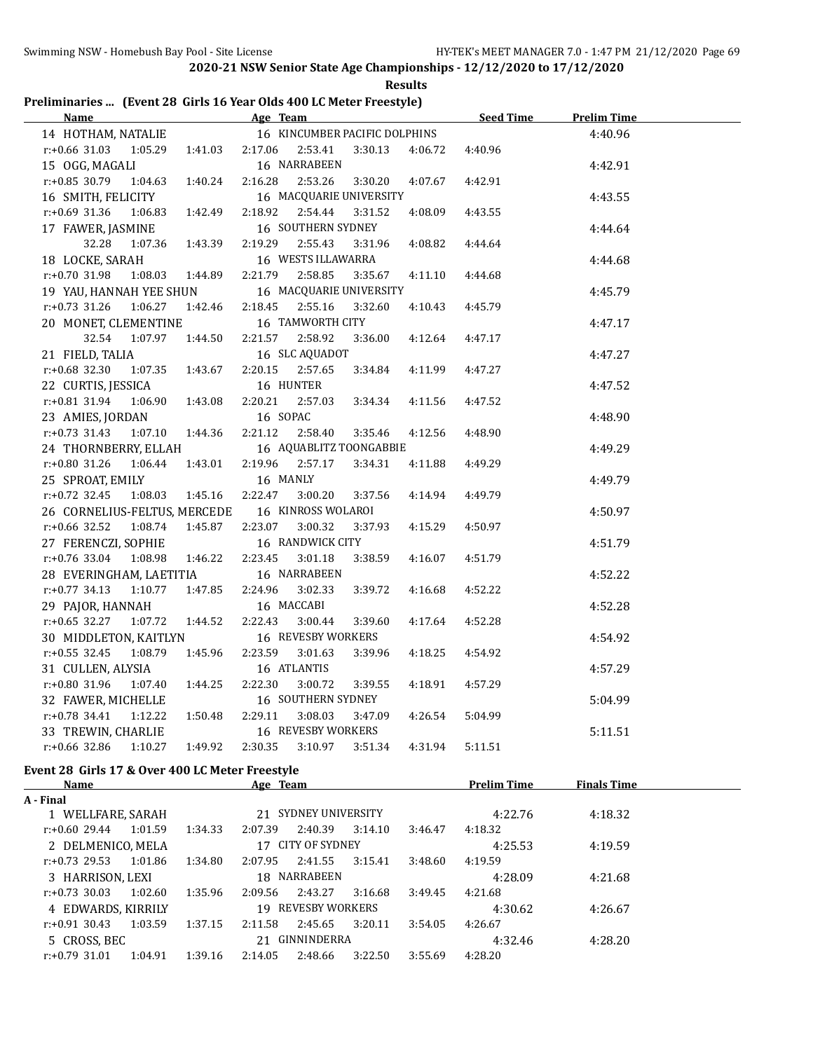|  |  | Preliminaries  (Event 28 Girls 16 Year Olds 400 LC Meter Freestyle) |  |
|--|--|---------------------------------------------------------------------|--|

| Name Age Team                                             | <u>Seed Time</u>                                               |         | <b>Prelim Time</b> |
|-----------------------------------------------------------|----------------------------------------------------------------|---------|--------------------|
|                                                           | 14 HOTHAM, NATALIE 16 KINCUMBER PACIFIC DOLPHINS               |         | 4:40.96            |
| $r: +0.66$ 31.03                                          | 2:17.06<br>2:53.41<br>3:30.13<br>4:06.72                       | 4:40.96 |                    |
| 15 OGG, MAGALI                                            | 16 NARRABEEN                                                   |         | 4:42.91            |
| $r: +0.85$ 30.79<br>1:04.63<br>1:40.24                    | 2:16.28<br>2:53.26<br>3:30.20<br>4:07.67                       | 4:42.91 |                    |
| 16 SMITH, FELICITY                                        | 16 MACQUARIE UNIVERSITY                                        |         | 4:43.55            |
| $r: +0.69$ 31.36<br>1:06.83<br>1:42.49                    | 2:18.92<br>2:54.44<br>3:31.52<br>4:08.09                       | 4:43.55 |                    |
| 17 FAWER, JASMINE                                         | 16 SOUTHERN SYDNEY                                             |         | 4:44.64            |
| 32.28<br>1:07.36<br>1:43.39                               | 2:19.29<br>2:55.43<br>3:31.96<br>4:08.82                       | 4:44.64 |                    |
| 18 LOCKE, SARAH                                           | 16 WESTS ILLAWARRA                                             |         | 4:44.68            |
| $r: +0.70$ 31.98<br>1:08.03  1:44.89                      | 2:58.85<br>2:21.79<br>3:35.67<br>4:11.10                       | 4:44.68 |                    |
| 19 YAU, HANNAH YEE SHUN                                   | 16 MACQUARIE UNIVERSITY                                        |         | 4:45.79            |
| $r.+0.73$ 31.26 1:06.27 1:42.46                           | 2:18.45<br>2:55.16<br>3:32.60<br>4:10.43                       | 4:45.79 |                    |
| 20 MONET, CLEMENTINE                                      | 16 TAMWORTH CITY                                               |         | 4:47.17            |
| 32.54 1:07.97 1:44.50                                     | 2:21.57<br>2:58.92<br>3:36.00<br>4:12.64                       | 4:47.17 |                    |
| 21 FIELD, TALIA                                           | 16 SLC AQUADOT                                                 |         | 4:47.27            |
| $r.+0.68$ 32.30 1:07.35 1:43.67                           | 2:20.15<br>2:57.65<br>3:34.84<br>4:11.99                       | 4:47.27 |                    |
| 22 CURTIS, JESSICA                                        | 16 HUNTER                                                      |         | 4:47.52            |
| $r: +0.81$ 31.94<br>1:06.90<br>1:43.08                    | 2:20.21<br>2:57.03<br>3:34.34<br>4:11.56                       | 4:47.52 |                    |
| 23 AMIES, JORDAN                                          | 16 SOPAC                                                       |         | 4:48.90            |
| 1:44.36<br>$r.+0.73$ 31.43 1:07.10                        | 2:21.12<br>4:12.56<br>2:58.40<br>3:35.46                       | 4:48.90 |                    |
| 24 THORNBERRY, ELLAH                                      | 16 AQUABLITZ TOONGABBIE                                        |         | 4:49.29            |
| $r: +0.80$ 31.26 1:06.44<br>1:43.01                       | 2:19.96<br>2:57.17<br>3:34.31<br>4:11.88                       | 4:49.29 |                    |
| 25 SPROAT, EMILY                                          | 16 MANLY                                                       |         | 4:49.79            |
| $r: +0.72$ 32.45<br>1:08.03  1:45.16                      | 2:22.47<br>3:00.20<br>3:37.56<br>4:14.94                       | 4:49.79 |                    |
| 26 CORNELIUS-FELTUS, MERCEDE                              | 16 KINROSS WOLAROI                                             |         | 4:50.97            |
| $r.+0.66$ 32.52 1:08.74 1:45.87                           | 2:23.07<br>3:00.32<br>3:37.93<br>4:15.29                       | 4:50.97 |                    |
| 27 FERENCZI, SOPHIE                                       | 16 RANDWICK CITY                                               |         | 4:51.79            |
| $r: +0.76$ 33.04 1:08.98<br>1:46.22                       | 2:23.45<br>3:01.18<br>3:38.59<br>4:16.07                       | 4:51.79 |                    |
| 28 EVERINGHAM, LAETITIA                                   | 16 NARRABEEN                                                   |         | 4:52.22            |
| $r: +0.77$ 34.13 1:10.77<br>1:47.85                       | 2:24.96<br>3:02.33<br>3:39.72<br>4:16.68                       | 4:52.22 |                    |
| 29 PAJOR, HANNAH                                          | 16 MACCABI                                                     |         | 4:52.28            |
| r:+0.65 32.27 1:07.72 1:44.52                             | 2:22.43<br>3:00.44<br>3:39.60<br>4:17.64                       | 4:52.28 |                    |
| 30 MIDDLETON, KAITLYN                                     | 16 REVESBY WORKERS                                             |         | 4:54.92            |
| $r: +0.55$ 32.45<br>1:08.79  1:45.96                      | 2:23.59<br>3:01.63<br>3:39.96<br>4:18.25                       | 4:54.92 |                    |
| 31 CULLEN, ALYSIA                                         | 16 ATLANTIS                                                    |         | 4:57.29            |
| r:+0.80 31.96<br>1:07.40<br>1:44.25                       | 2:22.30<br>3:00.72<br>3:39.55<br>4:18.91                       | 4:57.29 |                    |
| 32 FAWER, MICHELLE                                        | 16 SOUTHERN SYDNEY                                             |         | 5:04.99            |
| $r: +0.78$ 34.41 1:12.22<br>1:50.48<br>33 TREWIN, CHARLIE | 2:29.11<br>3:08.03<br>4:26.54<br>3:47.09<br>16 REVESBY WORKERS | 5:04.99 |                    |
| $r: +0.66$ 32.86 1:10.27 1:49.92                          | 2:30.35<br>3:10.97<br>3:51.34<br>4:31.94                       | 5:11.51 | 5:11.51            |
| Event 28 Girls 17 & Over 400 LC Meter Freestyle           |                                                                |         |                    |
|                                                           |                                                                |         |                    |

| <b>Name</b>        |         |         | Age Team |                      |         |         | <b>Prelim Time</b> | <b>Finals Time</b> |  |
|--------------------|---------|---------|----------|----------------------|---------|---------|--------------------|--------------------|--|
| A - Final          |         |         |          |                      |         |         |                    |                    |  |
| 1 WELLFARE, SARAH  |         |         |          | 21 SYDNEY UNIVERSITY |         |         | 4:22.76            | 4:18.32            |  |
| $r: +0.6029.44$    | 1:01.59 | 1:34.33 | 2:07.39  | 2:40.39              | 3:14.10 | 3:46.47 | 4:18.32            |                    |  |
| 2 DELMENICO, MELA  |         |         | 17       | CITY OF SYDNEY       |         |         | 4:25.53            | 4:19.59            |  |
| $r: +0.73$ 29.53   | 1:01.86 | 1:34.80 | 2:07.95  | 2:41.55              | 3:15.41 | 3:48.60 | 4:19.59            |                    |  |
| 3 HARRISON, LEXI   |         |         | 18       | NARRABEEN            |         |         | 4:28.09            | 4:21.68            |  |
| $r: +0.73$ 30.03   | 1:02.60 | 1:35.96 | 2:09.56  | 2:43.27              | 3:16.68 | 3:49.45 | 4:21.68            |                    |  |
| 4 EDWARDS, KIRRILY |         |         |          | 19 REVESBY WORKERS   |         |         | 4:30.62            | 4:26.67            |  |
| $r: +0.91$ 30.43   | 1:03.59 | 1:37.15 | 2:11.58  | 2:45.65              | 3:20.11 | 3:54.05 | 4:26.67            |                    |  |
| 5 CROSS, BEC       |         |         |          | 21 GINNINDERRA       |         |         | 4:32.46            | 4:28.20            |  |
| $r: +0.79$ 31.01   | 1:04.91 | 1:39.16 | 2:14.05  | 2:48.66              | 3:22.50 | 3:55.69 | 4:28.20            |                    |  |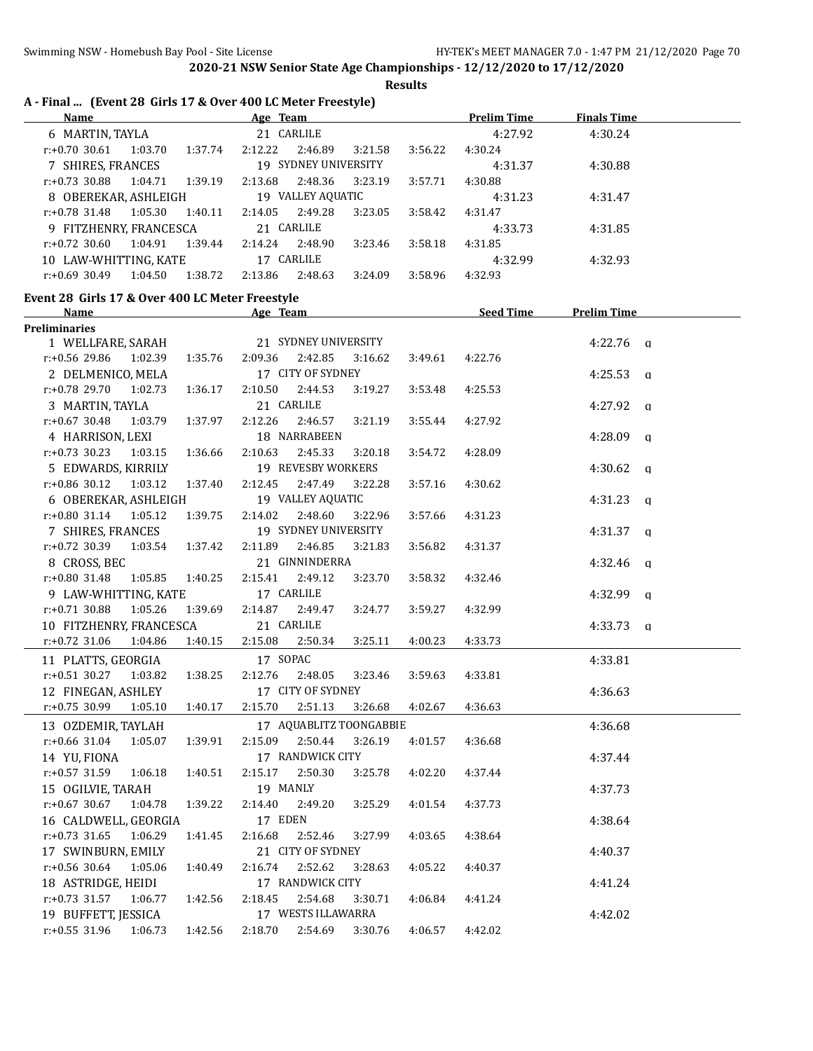**Results**

|  |  |  |  |  |  | A - Final  (Event 28 Girls 17 & Over 400 LC Meter Freestyle) |
|--|--|--|--|--|--|--------------------------------------------------------------|
|--|--|--|--|--|--|--------------------------------------------------------------|

| <b>Name</b>                                     |         |         | Age Team |                      |         |         | <b>Prelim Time</b> | <b>Finals Time</b>  |  |
|-------------------------------------------------|---------|---------|----------|----------------------|---------|---------|--------------------|---------------------|--|
| 6 MARTIN, TAYLA                                 |         |         |          | 21 CARLILE           |         |         | 4:27.92            | 4:30.24             |  |
| $r: +0.70$ 30.61                                | 1:03.70 | 1:37.74 | 2:12.22  | 2:46.89              | 3:21.58 | 3:56.22 | 4:30.24            |                     |  |
| 7 SHIRES, FRANCES                               |         |         |          | 19 SYDNEY UNIVERSITY |         |         | 4:31.37            | 4:30.88             |  |
| $r: +0.73$ 30.88                                | 1:04.71 | 1:39.19 | 2:13.68  | 2:48.36              | 3:23.19 | 3:57.71 | 4:30.88            |                     |  |
| 8 OBEREKAR, ASHLEIGH                            |         |         |          | 19 VALLEY AQUATIC    |         |         | 4:31.23            | 4:31.47             |  |
| $r: +0.78$ 31.48                                | 1:05.30 | 1:40.11 | 2:14.05  | 2:49.28              | 3:23.05 | 3:58.42 | 4:31.47            |                     |  |
| 9 FITZHENRY, FRANCESCA                          |         |         |          | 21 CARLILE           |         |         | 4:33.73            | 4:31.85             |  |
| $r: +0.72$ 30.60                                | 1:04.91 | 1:39.44 | 2:14.24  | 2:48.90              | 3:23.46 | 3:58.18 | 4:31.85            |                     |  |
| 10 LAW-WHITTING, KATE                           |         |         |          | 17 CARLILE           |         |         | 4:32.99            | 4:32.93             |  |
| $r: +0.69$ 30.49                                | 1:04.50 | 1:38.72 | 2:13.86  | 2:48.63              | 3:24.09 | 3:58.96 | 4:32.93            |                     |  |
| Event 28 Girls 17 & Over 400 LC Meter Freestyle |         |         |          |                      |         |         |                    |                     |  |
| Name                                            |         |         | Age Team |                      |         |         | <b>Seed Time</b>   | <b>Prelim Time</b>  |  |
| <b>Preliminaries</b>                            |         |         |          |                      |         |         |                    |                     |  |
| WELLFARE SARAH                                  |         |         |          | 21 SYDNEY UNIVERSITY |         |         |                    | 4:22.76<br>$\Omega$ |  |

| 1 WELLFARE, SARAH                                   |         |                    | 21 SYDNEY UNIVERSITY            |                         |         |         | 4:22.76 $q$ |  |
|-----------------------------------------------------|---------|--------------------|---------------------------------|-------------------------|---------|---------|-------------|--|
| $r.+0.56$ 29.86 1:02.39                             | 1:35.76 | 2:09.36            | 2:42.85                         | 3:16.62                 | 3:49.61 | 4:22.76 |             |  |
| 2 DELMENICO, MELA                                   |         |                    | 17 CITY OF SYDNEY               |                         |         |         | $4:25.53$ a |  |
| $r: +0.78$ 29.70<br>1:02.73                         | 1:36.17 | 2:10.50            | 2:44.53                         | 3:19.27                 | 3:53.48 | 4:25.53 |             |  |
| 3 MARTIN, TAYLA                                     |         |                    | 21 CARLILE                      |                         |         |         | $4:27.92$ q |  |
| $r.+0.67$ 30.48<br>1:03.79                          | 1:37.97 |                    | 2:12.26 2:46.57                 | 3:21.19                 | 3:55.44 | 4:27.92 |             |  |
| 4 HARRISON, LEXI                                    | 1:36.66 |                    | 18 NARRABEEN<br>2:10.63 2:45.33 | 3:20.18                 |         | 4:28.09 | $4:28.09$ a |  |
| $r.+0.73$ 30.23 1:03.15                             |         |                    | 19 REVESBY WORKERS              |                         | 3:54.72 |         |             |  |
| 5 EDWARDS, KIRRILY<br>$r.+0.86$ 30.12 1:03.12       | 1:37.40 |                    | 2:12.45 2:47.49                 | 3:22.28                 | 3:57.16 | 4:30.62 | 4:30.62 $q$ |  |
| 6 OBEREKAR, ASHLEIGH                                |         |                    | 19 VALLEY AQUATIC               |                         |         |         | 4:31.23 $q$ |  |
| $r: +0.80$ 31.14 1:05.12                            | 1:39.75 | 2:14.02            | 2:48.60                         | 3:22.96                 | 3:57.66 | 4:31.23 |             |  |
| 7 SHIRES, FRANCES                                   |         |                    | 19 SYDNEY UNIVERSITY            |                         |         |         |             |  |
| $r.+0.72$ 30.39 1:03.54                             | 1:37.42 | 2:11.89            | 2:46.85                         | 3:21.83                 | 3:56.82 | 4:31.37 | $4:31.37$ a |  |
| 8 CROSS, BEC                                        |         |                    | 21 GINNINDERRA                  |                         |         |         | $4:32.46$ q |  |
| r:+0.80 31.48<br>1:05.85                            | 1:40.25 | 2:15.41            | 2:49.12                         | 3:23.70                 | 3:58.32 | 4:32.46 |             |  |
| 9 LAW-WHITTING, KATE                                |         | 17 CARLILE         |                                 |                         |         |         | $4:32.99$ q |  |
| 1:05.26<br>$r: +0.71$ 30.88                         | 1:39.69 | 2:14.87            | 2:49.47                         | 3:24.77                 | 3:59.27 | 4:32.99 |             |  |
| 10 FITZHENRY, FRANCESCA                             |         | 21 CARLILE         |                                 |                         |         |         | 4:33.73 $q$ |  |
| $r: +0.72$ 31.06<br>1:04.86                         | 1:40.15 | 2:15.08            | 2:50.34                         | 3:25.11                 | 4:00.23 | 4:33.73 |             |  |
| 11 PLATTS, GEORGIA                                  |         | 17 SOPAC           |                                 |                         |         |         | 4:33.81     |  |
| $r: +0.51$ 30.27<br>1:03.82                         | 1:38.25 | 2:12.76            | 2:48.05                         | 3:23.46                 | 3:59.63 | 4:33.81 |             |  |
| 12 FINEGAN, ASHLEY                                  |         |                    | 17 CITY OF SYDNEY               |                         |         |         | 4:36.63     |  |
| r:+0.75 30.99<br>1:05.10                            | 1:40.17 | 2:15.70            | 2:51.13                         | 3:26.68                 | 4:02.67 | 4:36.63 |             |  |
|                                                     |         |                    |                                 |                         |         |         |             |  |
| 13 OZDEMIR, TAYLAH                                  |         |                    |                                 | 17 AQUABLITZ TOONGABBIE |         |         | 4:36.68     |  |
| $r: +0.66$ 31.04<br>1:05.07                         | 1:39.91 |                    | 2:15.09 2:50.44                 | 3:26.19                 | 4:01.57 | 4:36.68 |             |  |
| 14 YU, FIONA                                        |         |                    | 17 RANDWICK CITY                |                         |         |         | 4:37.44     |  |
| $r: +0.57$ 31.59<br>1:06.18                         | 1:40.51 | 2:15.17            | 2:50.30                         | 3:25.78                 | 4:02.20 | 4:37.44 |             |  |
| 15 OGILVIE, TARAH                                   |         | 19 MANLY           |                                 |                         |         |         | 4:37.73     |  |
| r:+0.67 30.67<br>1:04.78                            | 1:39.22 | 2:14.40<br>17 EDEN | 2:49.20                         | 3:25.29                 | 4:01.54 | 4:37.73 |             |  |
| 16 CALDWELL, GEORGIA<br>$r: +0.73$ 31.65<br>1:06.29 | 1:41.45 | 2:16.68            | 2:52.46                         | 3:27.99                 | 4:03.65 | 4:38.64 | 4:38.64     |  |
|                                                     |         |                    | 21 CITY OF SYDNEY               |                         |         |         |             |  |
| 17 SWINBURN, EMILY<br>1:05.06                       |         | 2:16.74            | 2:52.62                         |                         |         | 4:40.37 | 4:40.37     |  |
| r:+0.56 30.64<br>18 ASTRIDGE, HEIDI                 | 1:40.49 |                    | 17 RANDWICK CITY                | 3:28.63                 | 4:05.22 |         |             |  |
| $r: +0.73$ 31.57<br>1:06.77                         | 1:42.56 | 2:18.45            | 2:54.68                         | 3:30.71                 | 4:06.84 | 4:41.24 | 4:41.24     |  |
|                                                     |         |                    | 17 WESTS ILLAWARRA              |                         |         |         |             |  |
| 19 BUFFETT, JESSICA<br>$r: +0.55$ 31.96<br>1:06.73  | 1:42.56 | 2:18.70            | 2:54.69                         | 3:30.76                 | 4:06.57 | 4:42.02 | 4:42.02     |  |
|                                                     |         |                    |                                 |                         |         |         |             |  |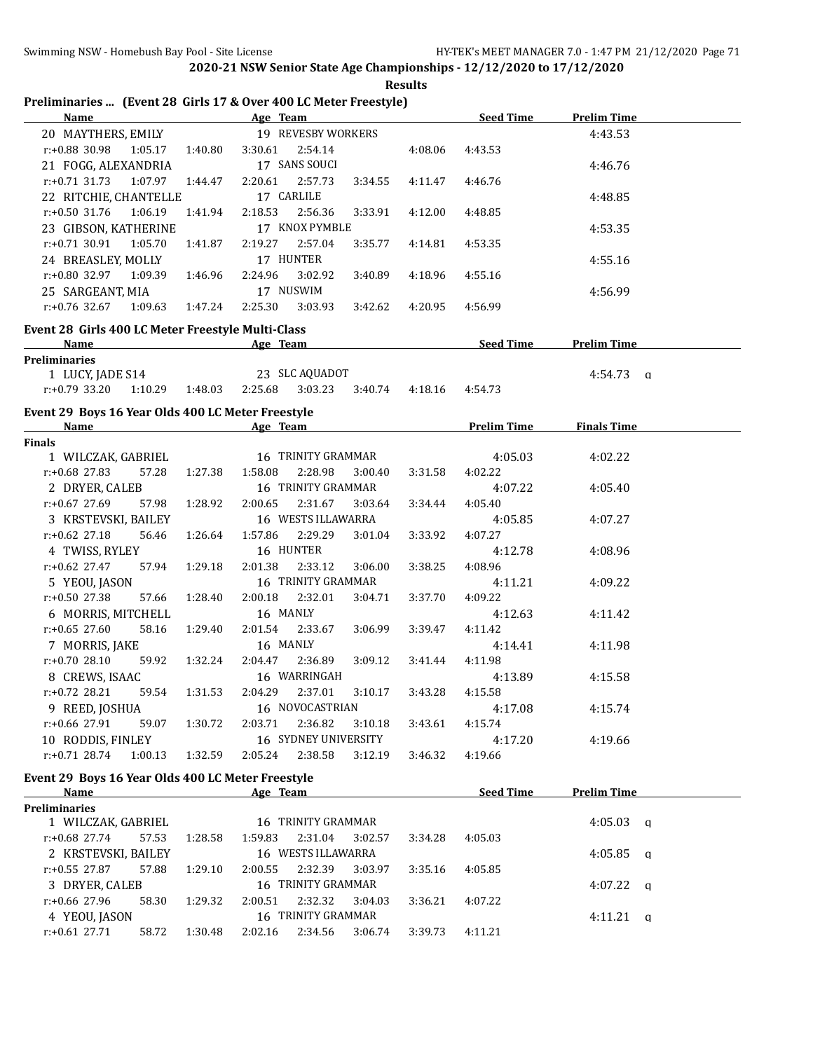| <b>Name</b>                                                      |         | Preliminaries  (Event 28 Girls 17 & Over 400 LC Meter Freestyle)<br>Age Team |         | <b>Seed Time</b>   | <b>Prelim Time</b>      |
|------------------------------------------------------------------|---------|------------------------------------------------------------------------------|---------|--------------------|-------------------------|
| 20 MAYTHERS, EMILY                                               |         | 19 REVESBY WORKERS                                                           |         |                    | 4:43.53                 |
| r:+0.88 30.98<br>1:05.17                                         | 1:40.80 | 3:30.61<br>2:54.14                                                           | 4:08.06 | 4:43.53            |                         |
| 21 FOGG, ALEXANDRIA                                              |         | 17 SANS SOUCI                                                                |         |                    | 4:46.76                 |
| $r: +0.71$ 31.73<br>1:07.97 1:44.47                              |         | 2:57.73<br>2:20.61<br>3:34.55                                                | 4:11.47 | 4:46.76            |                         |
| 22 RITCHIE, CHANTELLE                                            |         | 17 CARLILE                                                                   |         |                    | 4:48.85                 |
| $r: +0.50$ 31.76<br>1:06.19                                      | 1:41.94 | 2:56.36<br>2:18.53<br>3:33.91                                                | 4:12.00 | 4:48.85            |                         |
| 23 GIBSON, KATHERINE                                             |         | 17 KNOX PYMBLE                                                               |         |                    | 4:53.35                 |
| $r: +0.71$ 30.91<br>1:05.70                                      | 1:41.87 | 2:19.27<br>2:57.04<br>3:35.77                                                | 4:14.81 | 4:53.35            |                         |
| 24 BREASLEY, MOLLY                                               |         | 17 HUNTER                                                                    |         |                    | 4:55.16                 |
| $r: +0.80$ 32.97 1:09.39                                         | 1:46.96 | 3:02.92<br>2:24.96<br>3:40.89                                                | 4:18.96 | 4:55.16            |                         |
| 25 SARGEANT, MIA                                                 |         | 17 NUSWIM                                                                    |         |                    | 4:56.99                 |
| $r: +0.76$ 32.67<br>1:09.63                                      | 1:47.24 | 2:25.30<br>3:03.93<br>3:42.62                                                | 4:20.95 | 4:56.99            |                         |
| Event 28 Girls 400 LC Meter Freestyle Multi-Class                |         |                                                                              |         |                    |                         |
| Name                                                             |         | Age Team                                                                     |         | Seed Time          | <b>Prelim Time</b>      |
| <b>Preliminaries</b>                                             |         |                                                                              |         |                    |                         |
| 1 LUCY, JADE S14                                                 |         | 23 SLC AQUADOT                                                               |         |                    | $4:54.73$ q             |
| $r: +0.79$ 33.20<br>1:10.29  1:48.03                             |         | 2:25.68<br>3:03.23<br>3:40.74                                                | 4:18.16 | 4:54.73            |                         |
| Event 29 Boys 16 Year Olds 400 LC Meter Freestyle                |         |                                                                              |         |                    |                         |
| Name                                                             |         | Age Team                                                                     |         | <b>Prelim Time</b> | <b>Finals Time</b>      |
| <b>Finals</b>                                                    |         |                                                                              |         |                    |                         |
| 1 WILCZAK, GABRIEL                                               |         | 16 TRINITY GRAMMAR                                                           |         | 4:05.03            | 4:02.22                 |
| $r: +0.68$ 27.83<br>57.28                                        | 1:27.38 | 1:58.08<br>2:28.98<br>3:00.40                                                | 3:31.58 | 4:02.22            |                         |
| 2 DRYER, CALEB                                                   |         | 16 TRINITY GRAMMAR                                                           |         | 4:07.22            | 4:05.40                 |
| $r: +0.67$ 27.69<br>57.98                                        | 1:28.92 | 2:00.65<br>2:31.67<br>3:03.64                                                | 3:34.44 | 4:05.40            |                         |
| 3 KRSTEVSKI, BAILEY                                              |         | 16 WESTS ILLAWARRA                                                           |         | 4:05.85            | 4:07.27                 |
| $r: +0.62$ 27.18<br>56.46                                        | 1:26.64 | 2:29.29<br>1:57.86<br>3:01.04                                                | 3:33.92 | 4:07.27            |                         |
| 4 TWISS, RYLEY                                                   |         | 16 HUNTER                                                                    |         | 4:12.78            | 4:08.96                 |
| $r: +0.62$ 27.47<br>57.94                                        | 1:29.18 | 2:01.38<br>2:33.12<br>3:06.00                                                | 3:38.25 | 4:08.96            |                         |
| 5 YEOU, JASON                                                    |         | 16 TRINITY GRAMMAR                                                           |         | 4:11.21            | 4:09.22                 |
| r:+0.50 27.38<br>57.66                                           | 1:28.40 | 2:00.18<br>2:32.01<br>3:04.71                                                | 3:37.70 | 4:09.22            |                         |
| 6 MORRIS, MITCHELL                                               |         | 16 MANLY                                                                     |         | 4:12.63            | 4:11.42                 |
| $r: +0.65$ 27.60<br>58.16                                        | 1:29.40 | 2:01.54<br>2:33.67<br>3:06.99                                                | 3:39.47 | 4:11.42            |                         |
| 7 MORRIS, JAKE<br>$r: +0.7028.10$                                |         | 16 MANLY<br>2:04.47                                                          |         | 4:14.41            | 4:11.98                 |
| 59.92<br>8 CREWS, ISAAC                                          | 1:32.24 | 2:36.89<br>3:09.12<br>16 WARRINGAH                                           | 3:41.44 | 4:11.98            |                         |
| 59.54<br>r:+0.72 28.21                                           | 1:31.53 | 3:10.17<br>2:04.29<br>2:37.01                                                | 3:43.28 | 4:13.89<br>4:15.58 | 4:15.58                 |
| 9 REED, JOSHUA                                                   |         | 16 NOVOCASTRIAN                                                              |         | 4:17.08            | 4:15.74                 |
| r:+0.66 27.91<br>59.07                                           | 1:30.72 | 2:03.71<br>2:36.82<br>3:10.18                                                | 3:43.61 | 4:15.74            |                         |
| 10 RODDIS, FINLEY                                                |         | 16 SYDNEY UNIVERSITY                                                         |         | 4:17.20            | 4:19.66                 |
| $r: +0.71$ 28.74<br>1:00.13                                      | 1:32.59 | 2:05.24<br>2:38.58<br>3:12.19                                                | 3:46.32 | 4:19.66            |                         |
|                                                                  |         |                                                                              |         |                    |                         |
| Event 29 Boys 16 Year Olds 400 LC Meter Freestyle<br><b>Name</b> |         | Age Team                                                                     |         | <b>Seed Time</b>   | <b>Prelim Time</b>      |
| <b>Preliminaries</b>                                             |         |                                                                              |         |                    |                         |
| 1 WILCZAK, GABRIEL                                               |         | 16 TRINITY GRAMMAR                                                           |         |                    | 4:05.03<br>$\mathbf{q}$ |
| $r: +0.68$ 27.74<br>57.53                                        | 1:28.58 | 1:59.83<br>2:31.04<br>3:02.57                                                | 3:34.28 | 4:05.03            |                         |
| 2 KRSTEVSKI, BAILEY                                              |         | 16 WESTS ILLAWARRA                                                           |         |                    | 4:05.85<br>$\mathbf{q}$ |
| r:+0.55 27.87<br>57.88                                           | 1:29.10 | 2:32.39<br>2:00.55<br>3:03.97                                                | 3:35.16 | 4:05.85            |                         |
| 3 DRYER, CALEB                                                   |         | 16 TRINITY GRAMMAR                                                           |         |                    | $4:07.22$ q             |
| r:+0.66 27.96<br>58.30                                           | 1:29.32 | 2:32.32<br>2:00.51<br>3:04.03                                                | 3:36.21 | 4:07.22            |                         |
| 4 YEOU, JASON                                                    |         | 16 TRINITY GRAMMAR                                                           |         |                    | $4:11.21$ q             |
| $r: +0.61$ 27.71<br>58.72                                        | 1:30.48 | 2:02.16<br>2:34.56<br>3:06.74                                                | 3:39.73 | 4:11.21            |                         |
|                                                                  |         |                                                                              |         |                    |                         |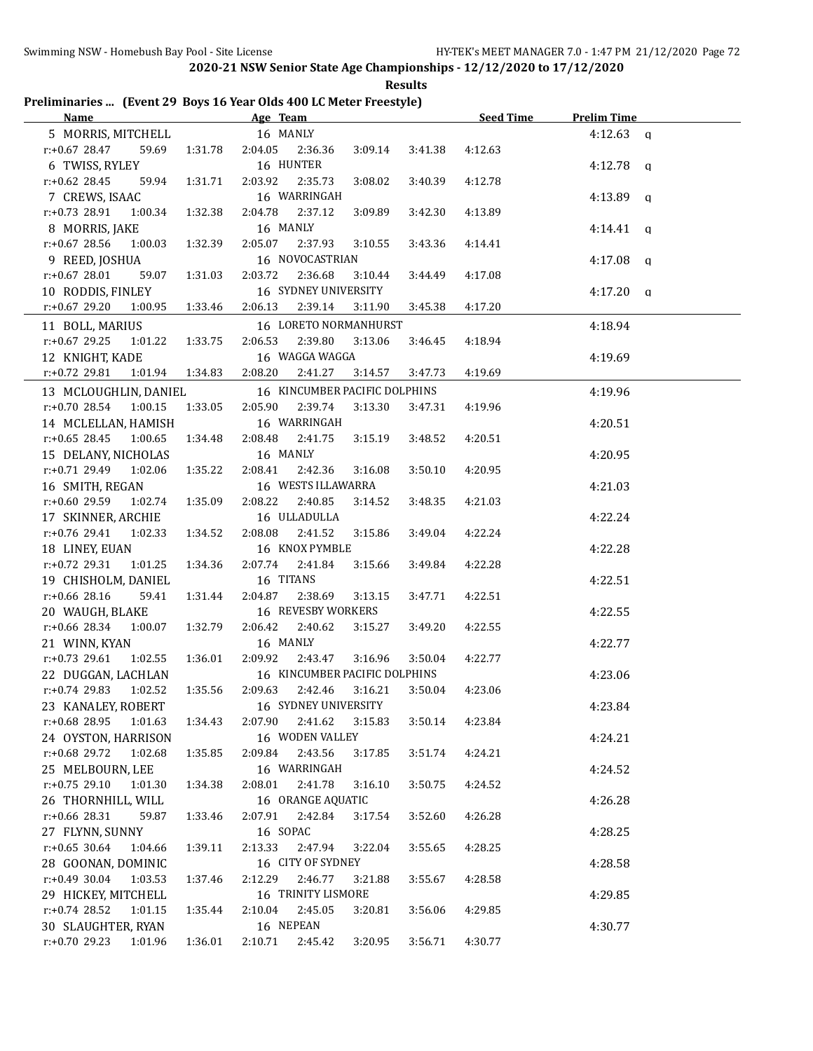|                                                                    |  |  | <b>Results</b> |  |
|--------------------------------------------------------------------|--|--|----------------|--|
| Preliminaries  (Event 29 Boys 16 Year Olds 400 LC Meter Freestyle) |  |  |                |  |

| <u>Name</u>                 |         | Age Team                                 |         |         | <b>Seed Time</b> | <b>Prelim Time</b> |  |
|-----------------------------|---------|------------------------------------------|---------|---------|------------------|--------------------|--|
| 5 MORRIS, MITCHELL 16 MANLY |         |                                          |         |         |                  | $4:12.63$ q        |  |
| $r: +0.67$ 28.47<br>59.69   | 1:31.78 | 2:04.05<br>2:36.36                       | 3:09.14 | 3:41.38 | 4:12.63          |                    |  |
| 6 TWISS, RYLEY              |         | 16 HUNTER                                |         |         |                  | $4:12.78$ q        |  |
| $r+0.62$ 28.45<br>59.94     | 1:31.71 | 2:03.92<br>2:35.73                       | 3:08.02 | 3:40.39 | 4:12.78          |                    |  |
| 7 CREWS, ISAAC              |         | 16 WARRINGAH                             |         |         |                  | $4:13.89$ a        |  |
| $r: +0.73$ 28.91<br>1:00.34 | 1:32.38 | 2:04.78<br>2:37.12                       | 3:09.89 | 3:42.30 | 4:13.89          |                    |  |
| 8 MORRIS, JAKE              |         | 16 MANLY                                 |         |         |                  | $4:14.41$ q        |  |
| r:+0.67 28.56<br>1:00.03    | 1:32.39 | 2:05.07<br>2:37.93                       | 3:10.55 | 3:43.36 | 4:14.41          |                    |  |
| 9 REED, JOSHUA              |         | 16 NOVOCASTRIAN                          |         |         |                  | $4:17.08$ q        |  |
| r:+0.67 28.01<br>59.07      | 1:31.03 | 2:03.72<br>2:36.68                       | 3:10.44 | 3:44.49 | 4:17.08          |                    |  |
| 10 RODDIS, FINLEY           |         | 16 SYDNEY UNIVERSITY                     |         |         |                  | $4:17.20$ q        |  |
| $r.+0.67$ 29.20<br>1:00.95  | 1:33.46 | 2:06.13<br>2:39.14                       | 3:11.90 | 3:45.38 | 4:17.20          |                    |  |
| 11 BOLL, MARIUS             |         | 16 LORETO NORMANHURST                    |         |         |                  | 4:18.94            |  |
| $r: +0.67$ 29.25<br>1:01.22 | 1:33.75 | 2:06.53<br>2:39.80                       | 3:13.06 | 3:46.45 | 4:18.94          |                    |  |
| 12 KNIGHT, KADE             |         | 16 WAGGA WAGGA                           |         |         |                  | 4:19.69            |  |
| $r+0.72$ 29.81<br>1:01.94   | 1:34.83 | 2:08.20<br>2:41.27                       | 3:14.57 | 3:47.73 | 4:19.69          |                    |  |
|                             |         |                                          |         |         |                  |                    |  |
| 13 MCLOUGHLIN, DANIEL       |         | 16 KINCUMBER PACIFIC DOLPHINS<br>2:05.90 | 3:13.30 |         |                  | 4:19.96            |  |
| $r.+0.7028.54100.15$        | 1:33.05 | 2:39.74                                  |         | 3:47.31 | 4:19.96          |                    |  |
| 14 MCLELLAN, HAMISH         |         | 16 WARRINGAH                             |         |         |                  | 4:20.51            |  |
| $r.+0.65$ 28.45 1:00.65     | 1:34.48 | 2:08.48<br>2:41.75                       | 3:15.19 | 3:48.52 | 4:20.51          |                    |  |
| 15 DELANY, NICHOLAS         |         | 16 MANLY                                 |         |         |                  | 4:20.95            |  |
| $r.+0.7129.491.02.06$       | 1:35.22 | 2:08.41<br>2:42.36                       | 3:16.08 | 3:50.10 | 4:20.95          |                    |  |
| 16 SMITH, REGAN             |         | 16 WESTS ILLAWARRA                       |         |         |                  | 4:21.03            |  |
| r:+0.60 29.59<br>1:02.74    | 1:35.09 | 2:08.22<br>2:40.85                       | 3:14.52 | 3:48.35 | 4:21.03          |                    |  |
| 17 SKINNER, ARCHIE          |         | 16 ULLADULLA                             |         |         |                  | 4:22.24            |  |
| $r.+0.76$ 29.41 1:02.33     | 1:34.52 | 2:08.08<br>2:41.52                       | 3:15.86 | 3:49.04 | 4:22.24          |                    |  |
| 18 LINEY, EUAN              |         | 16 KNOX PYMBLE                           |         |         |                  | 4:22.28            |  |
| $r.+0.72$ 29.31 1:01.25     | 1:34.36 | 2:07.74<br>2:41.84                       | 3:15.66 | 3:49.84 | 4:22.28          |                    |  |
| 19 CHISHOLM, DANIEL         |         | 16 TITANS                                |         |         |                  | 4:22.51            |  |
| r:+0.66 28.16<br>59.41      | 1:31.44 | 2:04.87<br>2:38.69                       | 3:13.15 | 3:47.71 | 4:22.51          |                    |  |
| 20 WAUGH, BLAKE             |         | 16 REVESBY WORKERS                       |         |         |                  | 4:22.55            |  |
| $r.+0.66$ 28.34 1:00.07     | 1:32.79 | 2:06.42<br>2:40.62                       | 3:15.27 | 3:49.20 | 4:22.55          |                    |  |
| 21 WINN, KYAN               |         | 16 MANLY                                 |         |         |                  | 4:22.77            |  |
| $r+0.73$ 29.61<br>1:02.55   | 1:36.01 | 2:09.92<br>2:43.47                       | 3:16.96 | 3:50.04 | 4:22.77          |                    |  |
| 22 DUGGAN, LACHLAN          |         | 16 KINCUMBER PACIFIC DOLPHINS            |         |         |                  | 4:23.06            |  |
| $r: +0.74$ 29.83 1:02.52    | 1:35.56 | 2:09.63 2:42.46<br>16 SYDNEY UNIVERSITY  | 3:16.21 | 3:50.04 | 4:23.06          |                    |  |
| 23 KANALEY, ROBERT          |         |                                          |         |         |                  | 4:23.84            |  |
| r:+0.68 28.95<br>1:01.63    | 1:34.43 | 2:41.62<br>2:07.90                       | 3:15.83 | 3:50.14 | 4:23.84          |                    |  |
| 24 OYSTON, HARRISON         |         | 16 WODEN VALLEY                          |         |         |                  | 4:24.21            |  |
| r:+0.68 29.72<br>1:02.68    | 1:35.85 | 2:09.84<br>2:43.56                       | 3:17.85 | 3:51.74 | 4:24.21          |                    |  |
| 25 MELBOURN, LEE            |         | 16 WARRINGAH                             |         |         |                  | 4:24.52            |  |
| $r: +0.75$ 29.10<br>1:01.30 | 1:34.38 | 2:08.01<br>2:41.78                       | 3:16.10 | 3:50.75 | 4:24.52          |                    |  |
| 26 THORNHILL, WILL          |         | 16 ORANGE AQUATIC                        |         |         |                  | 4:26.28            |  |
| r:+0.66 28.31<br>59.87      | 1:33.46 | 2:07.91<br>2:42.84                       | 3:17.54 | 3:52.60 | 4:26.28          |                    |  |
| 27 FLYNN, SUNNY             |         | 16 SOPAC                                 |         |         |                  | 4:28.25            |  |
| $r: +0.65$ 30.64<br>1:04.66 | 1:39.11 | 2:13.33<br>2:47.94                       | 3:22.04 | 3:55.65 | 4:28.25          |                    |  |
| 28 GOONAN, DOMINIC          |         | 16 CITY OF SYDNEY                        |         |         |                  | 4:28.58            |  |
| $r: +0.49$ 30.04<br>1:03.53 | 1:37.46 | 2:12.29<br>2:46.77                       | 3:21.88 | 3:55.67 | 4:28.58          |                    |  |
| 29 HICKEY, MITCHELL         |         | 16 TRINITY LISMORE                       |         |         |                  | 4:29.85            |  |
| $r.+0.74$ 28.52<br>1:01.15  | 1:35.44 | 2:45.05<br>2:10.04                       | 3:20.81 | 3:56.06 | 4:29.85          |                    |  |
| 30 SLAUGHTER, RYAN          |         | 16 NEPEAN                                |         |         |                  | 4:30.77            |  |
| r:+0.70 29.23<br>1:01.96    | 1:36.01 | 2:10.71<br>2:45.42                       | 3:20.95 | 3:56.71 | 4:30.77          |                    |  |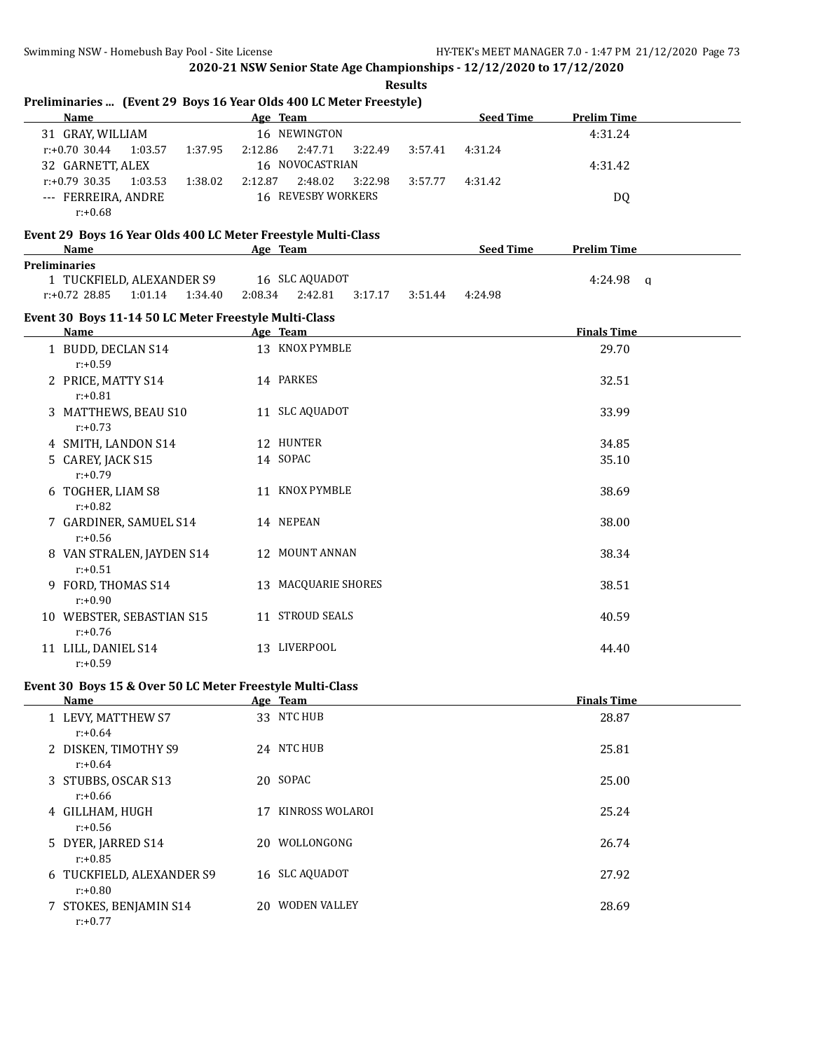|                                                                                                                                                                                                                                | <b>Results</b>                                                                                                                                                                                                                 |           |                    |
|--------------------------------------------------------------------------------------------------------------------------------------------------------------------------------------------------------------------------------|--------------------------------------------------------------------------------------------------------------------------------------------------------------------------------------------------------------------------------|-----------|--------------------|
| Name                                                                                                                                                                                                                           | Preliminaries  (Event 29 Boys 16 Year Olds 400 LC Meter Freestyle)<br>Age Team                                                                                                                                                 | Seed Time | <b>Prelim Time</b> |
| 31 GRAY, WILLIAM                                                                                                                                                                                                               | 16 NEWINGTON                                                                                                                                                                                                                   |           | 4:31.24            |
| $r: +0.70$ 30.44<br>1:03.57<br>1:37.95                                                                                                                                                                                         | 2:12.86<br>2:47.71<br>3:22.49<br>3:57.41                                                                                                                                                                                       | 4:31.24   |                    |
| 32 GARNETT, ALEX                                                                                                                                                                                                               | 16 NOVOCASTRIAN                                                                                                                                                                                                                |           | 4:31.42            |
| $r: +0.79$ 30.35<br>1:03.53<br>1:38.02                                                                                                                                                                                         | 2:48.02<br>2:12.87<br>3:22.98<br>3:57.77                                                                                                                                                                                       | 4:31.42   |                    |
| --- FERREIRA, ANDRE                                                                                                                                                                                                            | 16 REVESBY WORKERS                                                                                                                                                                                                             |           | DQ                 |
| $r: +0.68$                                                                                                                                                                                                                     |                                                                                                                                                                                                                                |           |                    |
| Event 29 Boys 16 Year Olds 400 LC Meter Freestyle Multi-Class                                                                                                                                                                  |                                                                                                                                                                                                                                |           |                    |
| Name and the state of the state of the state of the state of the state of the state of the state of the state of the state of the state of the state of the state of the state of the state of the state of the state of the s | Age Team and the state of the state of the state of the state of the state of the state of the state of the state of the state of the state of the state of the state of the state of the state of the state of the state of t | Seed Time | <b>Prelim Time</b> |
| <b>Preliminaries</b>                                                                                                                                                                                                           |                                                                                                                                                                                                                                |           |                    |
| 1 TUCKFIELD, ALEXANDER S9<br>1:01.14  1:34.40  2:08.34<br>$r: +0.72$ 28.85                                                                                                                                                     | 16 SLC AQUADOT<br>2:42.81<br>3:17.17 3:51.44                                                                                                                                                                                   | 4:24.98   | $4:24.98$ q        |
|                                                                                                                                                                                                                                |                                                                                                                                                                                                                                |           |                    |
| Event 30 Boys 11-14 50 LC Meter Freestyle Multi-Class                                                                                                                                                                          |                                                                                                                                                                                                                                |           |                    |
| <b>Name</b>                                                                                                                                                                                                                    | Age Team                                                                                                                                                                                                                       |           | <b>Finals Time</b> |
| 1 BUDD, DECLAN S14<br>$r: +0.59$                                                                                                                                                                                               | 13 KNOX PYMBLE                                                                                                                                                                                                                 |           | 29.70              |
| 2 PRICE, MATTY S14<br>$r: +0.81$                                                                                                                                                                                               | 14 PARKES                                                                                                                                                                                                                      |           | 32.51              |
| 3 MATTHEWS, BEAU S10<br>$r: +0.73$                                                                                                                                                                                             | 11 SLC AQUADOT                                                                                                                                                                                                                 |           | 33.99              |
| 4 SMITH, LANDON S14                                                                                                                                                                                                            | 12 HUNTER                                                                                                                                                                                                                      |           | 34.85              |
| 5 CAREY, JACK S15                                                                                                                                                                                                              | 14 SOPAC                                                                                                                                                                                                                       |           | 35.10              |
| $r: +0.79$                                                                                                                                                                                                                     |                                                                                                                                                                                                                                |           |                    |
| 6 TOGHER, LIAM S8<br>$r: +0.82$                                                                                                                                                                                                | 11 KNOX PYMBLE                                                                                                                                                                                                                 |           | 38.69              |
| 7 GARDINER, SAMUEL S14<br>$r: +0.56$                                                                                                                                                                                           | 14 NEPEAN                                                                                                                                                                                                                      |           | 38.00              |
| 8 VAN STRALEN, JAYDEN S14<br>$r: +0.51$                                                                                                                                                                                        | 12 MOUNT ANNAN                                                                                                                                                                                                                 |           | 38.34              |
| 9 FORD, THOMAS S14<br>$r: +0.90$                                                                                                                                                                                               | 13 MACQUARIE SHORES                                                                                                                                                                                                            |           | 38.51              |
| 10 WEBSTER, SEBASTIAN S15<br>$r: +0.76$                                                                                                                                                                                        | 11 STROUD SEALS                                                                                                                                                                                                                |           | 40.59              |
| 11 LILL, DANIEL S14<br>$r: +0.59$                                                                                                                                                                                              | 13 LIVERPOOL                                                                                                                                                                                                                   |           | 44.40              |
| Event 30 Boys 15 & Over 50 LC Meter Freestyle Multi-Class                                                                                                                                                                      |                                                                                                                                                                                                                                |           |                    |
| <b>Name</b>                                                                                                                                                                                                                    | Age Team                                                                                                                                                                                                                       |           | <b>Finals Time</b> |
| 1 LEVY MATTHEW S7                                                                                                                                                                                                              | 33 NTC HUB                                                                                                                                                                                                                     |           | 28.87              |

| 1 LEVY, MATTHEW S7<br>$r: +0.64$        |    | 33 NTC HUB          | 28.87 |
|-----------------------------------------|----|---------------------|-------|
| 2 DISKEN, TIMOTHY S9<br>$r: +0.64$      |    | 24 NTC HUB          | 25.81 |
| 3 STUBBS, OSCAR S13<br>$r: +0.66$       |    | 20 SOPAC            | 25.00 |
| 4 GILLHAM, HUGH<br>$r: +0.56$           | 17 | KINROSS WOLAROI     | 25.24 |
| 5 DYER, JARRED S14<br>$r: +0.85$        | 20 | WOLLONGONG          | 26.74 |
| 6 TUCKFIELD, ALEXANDER S9<br>$r: +0.80$ |    | 16 SLC AQUADOT      | 27.92 |
| 7 STOKES, BENJAMIN S14<br>$r: +0.77$    | 20 | <b>WODEN VALLEY</b> | 28.69 |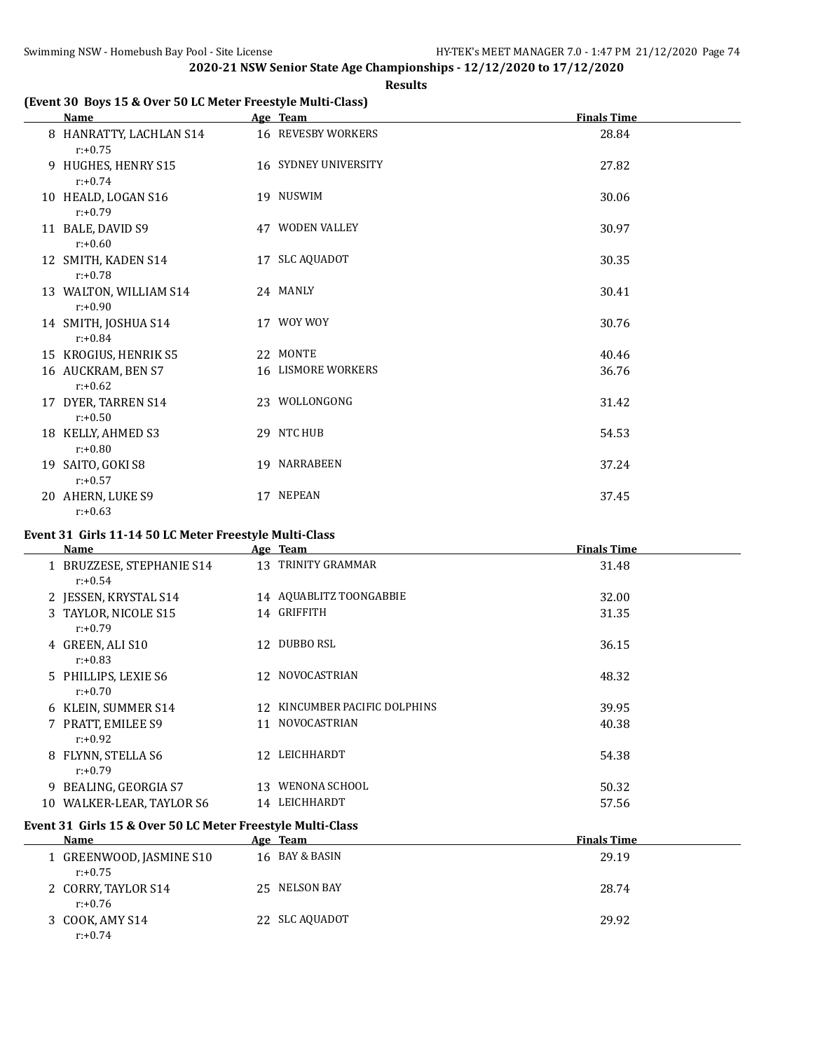### **Results**

# **(Event 30 Boys 15 & Over 50 LC Meter Freestyle Multi-Class)**

| Name                                  | Age Team                  | <b>Finals Time</b> |
|---------------------------------------|---------------------------|--------------------|
| 8 HANRATTY, LACHLAN S14<br>$r: +0.75$ | 16 REVESBY WORKERS        | 28.84              |
| 9 HUGHES, HENRY S15<br>$r: +0.74$     | 16 SYDNEY UNIVERSITY      | 27.82              |
| 10 HEALD, LOGAN S16<br>$r: +0.79$     | 19 NUSWIM                 | 30.06              |
| 11 BALE, DAVID S9<br>$r: +0.60$       | 47 WODEN VALLEY           | 30.97              |
| 12 SMITH, KADEN S14<br>$r: +0.78$     | 17 SLC AQUADOT            | 30.35              |
| 13 WALTON, WILLIAM S14<br>$r: +0.90$  | 24 MANLY                  | 30.41              |
| 14 SMITH, JOSHUA S14<br>$r: +0.84$    | 17 WOY WOY                | 30.76              |
| 15 KROGIUS, HENRIK S5                 | 22 MONTE                  | 40.46              |
| 16 AUCKRAM, BEN S7<br>$r: +0.62$      | <b>16 LISMORE WORKERS</b> | 36.76              |
| 17 DYER, TARREN S14<br>$r: +0.50$     | 23 WOLLONGONG             | 31.42              |
| 18 KELLY, AHMED S3<br>$r: +0.80$      | 29 NTC HUB                | 54.53              |
| 19 SAITO, GOKI S8<br>$r: +0.57$       | 19 NARRABEEN              | 37.24              |
| 20 AHERN, LUKE S9<br>$r: +0.63$       | 17 NEPEAN                 | 37.45              |

# **Event 31 Girls 11-14 50 LC Meter Freestyle Multi-Class**

|    | Name                                    |     | Age Team                   | <b>Finals Time</b> |
|----|-----------------------------------------|-----|----------------------------|--------------------|
|    | 1 BRUZZESE, STEPHANIE S14<br>$r: +0.54$ |     | 13 TRINITY GRAMMAR         | 31.48              |
|    | 2 JESSEN, KRYSTAL S14                   |     | 14 AQUABLITZ TOONGABBIE    | 32.00              |
|    | 3 TAYLOR, NICOLE S15<br>$r: +0.79$      |     | 14 GRIFFITH                | 31.35              |
|    | 4 GREEN, ALI S10<br>$r: +0.83$          | 12  | DUBBO RSL                  | 36.15              |
|    | 5 PHILLIPS, LEXIE S6<br>$r: +0.70$      |     | 12 NOVOCASTRIAN            | 48.32              |
|    | 6 KLEIN, SUMMER S14                     | 12. | KINCUMBER PACIFIC DOLPHINS | 39.95              |
|    | 7 PRATT, EMILEE S9<br>$r: +0.92$        | 11  | <b>NOVOCASTRIAN</b>        | 40.38              |
|    | 8 FLYNN, STELLA S6<br>$r: +0.79$        | 12  | LEICHHARDT                 | 54.38              |
|    | 9 BEALING, GEORGIA S7                   | 13  | WENONA SCHOOL              | 50.32              |
| 10 | WALKER-LEAR, TAYLOR S6                  | 14  | LEICHHARDT                 | 57.56              |

## **Event 31 Girls 15 & Over 50 LC Meter Freestyle Multi-Class**

| Name                                   | Age Team         | <b>Finals Time</b> |
|----------------------------------------|------------------|--------------------|
| 1 GREENWOOD, JASMINE S10<br>$r: +0.75$ | 16 BAY & BASIN   | 29.19              |
| 2 CORRY, TAYLOR S14<br>r:+0.76         | NELSON BAY<br>25 | 28.74              |
| 3 COOK, AMY S14<br>$r: +0.74$          | 22 SLC AQUADOT   | 29.92              |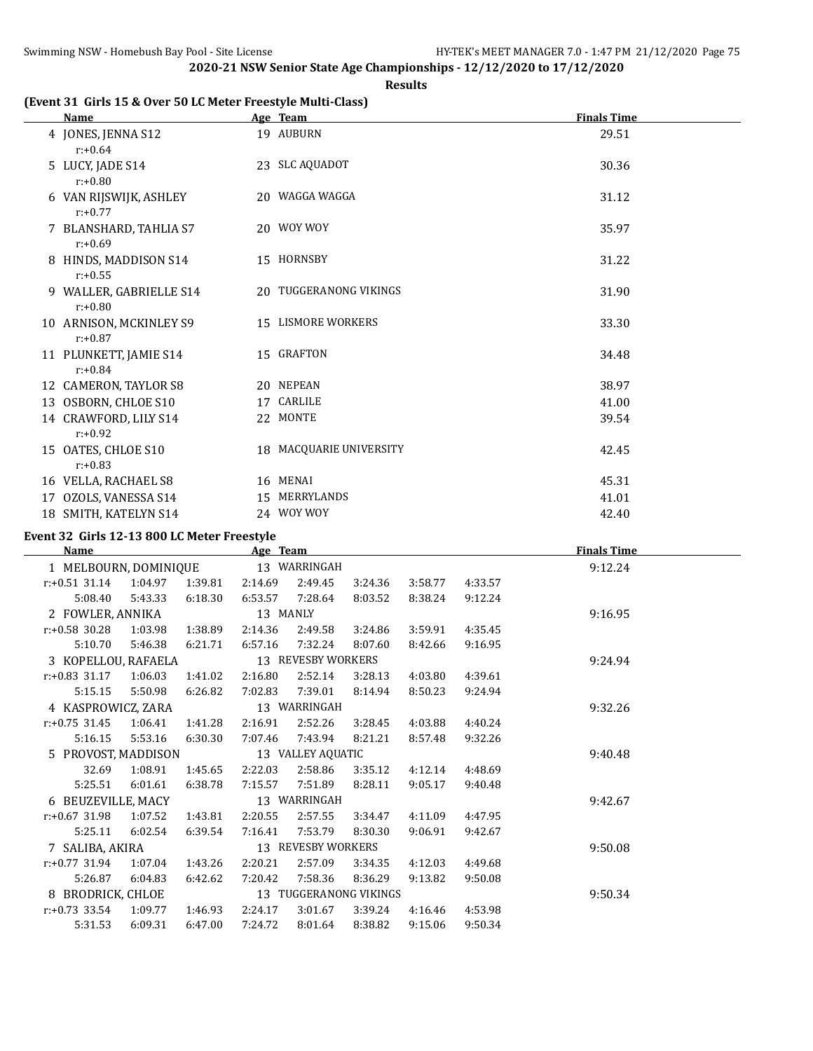### **Results**

# **(Event 31 Girls 15 & Over 50 LC Meter Freestyle Multi-Class)**

| Name                                  | Age Team                | <b>Finals Time</b> |
|---------------------------------------|-------------------------|--------------------|
| 4 JONES, JENNA S12<br>$r: +0.64$      | 19 AUBURN               | 29.51              |
| 5 LUCY, JADE S14<br>$r: +0.80$        | 23 SLC AQUADOT          | 30.36              |
| 6 VAN RIJSWIJK, ASHLEY<br>$r: +0.77$  | 20 WAGGA WAGGA          | 31.12              |
| 7 BLANSHARD, TAHLIA S7<br>$r: +0.69$  | 20 WOY WOY              | 35.97              |
| 8 HINDS, MADDISON S14<br>$r: +0.55$   | 15 HORNSBY              | 31.22              |
| 9 WALLER, GABRIELLE S14<br>$r: +0.80$ | 20 TUGGERANONG VIKINGS  | 31.90              |
| 10 ARNISON, MCKINLEY S9<br>$r: +0.87$ | 15 LISMORE WORKERS      | 33.30              |
| 11 PLUNKETT, JAMIE S14<br>$r: +0.84$  | 15 GRAFTON              | 34.48              |
| 12 CAMERON, TAYLOR S8                 | 20 NEPEAN               | 38.97              |
| 13 OSBORN, CHLOE S10                  | 17 CARLILE              | 41.00              |
| 14 CRAWFORD, LILY S14<br>$r: +0.92$   | 22 MONTE                | 39.54              |
| 15 OATES, CHLOE S10<br>$r: +0.83$     | 18 MACQUARIE UNIVERSITY | 42.45              |
| 16 VELLA, RACHAEL S8                  | 16 MENAI                | 45.31              |
| 17 OZOLS, VANESSA S14                 | 15 MERRYLANDS           | 41.01              |
| 18 SMITH, KATELYN S14                 | 24 WOY WOY              | 42.40              |

# **Event 32 Girls 12-13 800 LC Meter Freestyle**

 $\overline{a}$ 

| <b>Name</b>           |         |         | Age Team |                        |         |         |         | <b>Finals Time</b> |
|-----------------------|---------|---------|----------|------------------------|---------|---------|---------|--------------------|
| 1 MELBOURN, DOMINIQUE |         |         |          | 13 WARRINGAH           |         |         |         | 9:12.24            |
| $r: +0.51$ 31.14      | 1:04.97 | 1:39.81 | 2:14.69  | 2:49.45                | 3:24.36 | 3:58.77 | 4:33.57 |                    |
| 5:08.40               | 5:43.33 | 6:18.30 | 6:53.57  | 7:28.64                | 8:03.52 | 8:38.24 | 9:12.24 |                    |
| 2 FOWLER, ANNIKA      |         |         | 13 MANLY |                        |         |         |         | 9:16.95            |
| $r: +0.58$ 30.28      | 1:03.98 | 1:38.89 | 2:14.36  | 2:49.58                | 3:24.86 | 3:59.91 | 4:35.45 |                    |
| 5:10.70               | 5:46.38 | 6:21.71 | 6:57.16  | 7:32.24                | 8:07.60 | 8:42.66 | 9:16.95 |                    |
| 3 KOPELLOU, RAFAELA   |         |         |          | 13 REVESBY WORKERS     |         |         |         | 9:24.94            |
| $r: +0.83$ 31.17      | 1:06.03 | 1:41.02 | 2:16.80  | 2:52.14                | 3:28.13 | 4:03.80 | 4:39.61 |                    |
| 5:15.15               | 5:50.98 | 6:26.82 | 7:02.83  | 7:39.01                | 8:14.94 | 8:50.23 | 9:24.94 |                    |
| 4 KASPROWICZ, ZARA    |         |         |          | 13 WARRINGAH           |         |         |         | 9:32.26            |
| $r: +0.75$ 31.45      | 1:06.41 | 1:41.28 | 2:16.91  | 2:52.26                | 3:28.45 | 4:03.88 | 4:40.24 |                    |
| 5:16.15               | 5:53.16 | 6:30.30 | 7:07.46  | 7:43.94                | 8:21.21 | 8:57.48 | 9:32.26 |                    |
| 5 PROVOST, MADDISON   |         |         |          | 13 VALLEY AQUATIC      |         |         |         | 9:40.48            |
| 32.69                 | 1:08.91 | 1:45.65 | 2:22.03  | 2:58.86                | 3:35.12 | 4:12.14 | 4:48.69 |                    |
| 5:25.51               | 6:01.61 | 6:38.78 | 7:15.57  | 7:51.89                | 8:28.11 | 9:05.17 | 9:40.48 |                    |
| 6 BEUZEVILLE, MACY    |         |         |          | 13 WARRINGAH           |         |         |         | 9:42.67            |
| $r: +0.67$ 31.98      | 1:07.52 | 1:43.81 | 2:20.55  | 2:57.55                | 3:34.47 | 4:11.09 | 4:47.95 |                    |
| 5:25.11               | 6:02.54 | 6:39.54 | 7:16.41  | 7:53.79                | 8:30.30 | 9:06.91 | 9:42.67 |                    |
| 7 SALIBA, AKIRA       |         |         |          | 13 REVESBY WORKERS     |         |         |         | 9:50.08            |
| $r: +0.77$ 31.94      | 1:07.04 | 1:43.26 | 2:20.21  | 2:57.09                | 3:34.35 | 4:12.03 | 4:49.68 |                    |
| 5:26.87               | 6:04.83 | 6:42.62 | 7:20.42  | 7:58.36                | 8:36.29 | 9:13.82 | 9:50.08 |                    |
| 8 BRODRICK, CHLOE     |         |         |          | 13 TUGGERANONG VIKINGS |         |         |         | 9:50.34            |
| $r: +0.73$ 33.54      | 1:09.77 | 1:46.93 | 2:24.17  | 3:01.67                | 3:39.24 | 4:16.46 | 4:53.98 |                    |
| 5:31.53               | 6:09.31 | 6:47.00 | 7:24.72  | 8:01.64                | 8:38.82 | 9:15.06 | 9:50.34 |                    |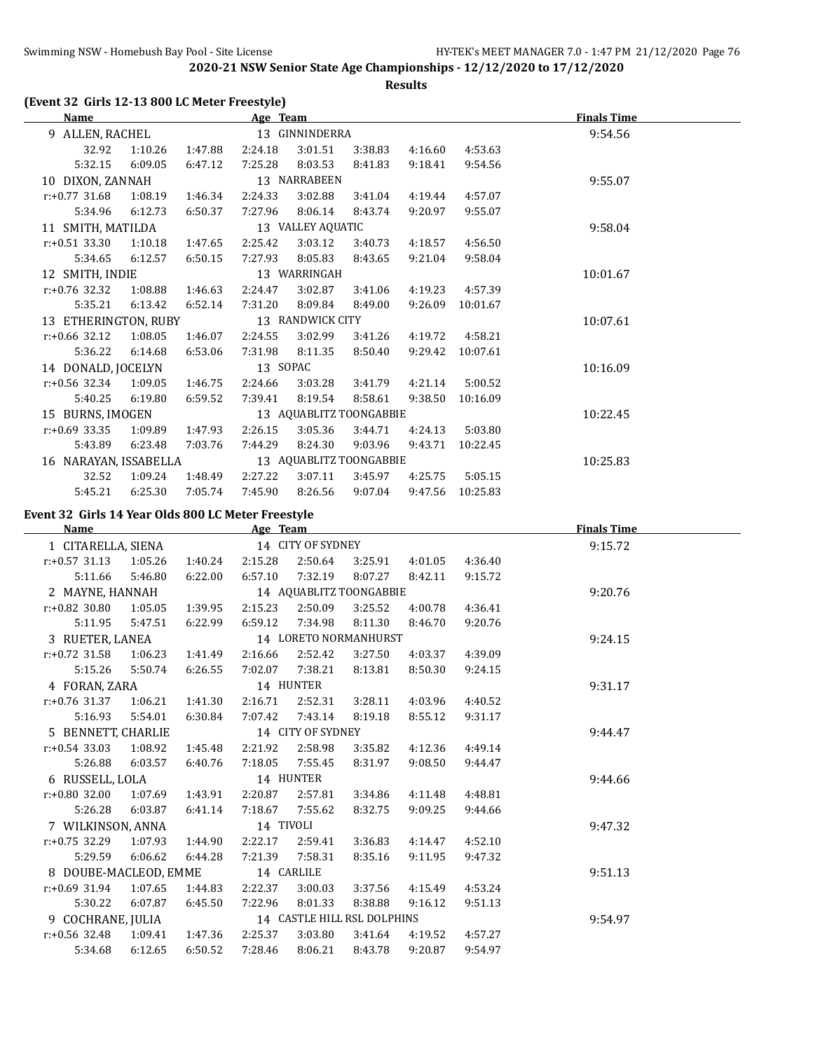**Results**

# **(Event 32 Girls 12-13 800 LC Meter Freestyle)**

| Name                  |         |         | Age Team |                   |                         |         |          | <b>Finals Time</b> |
|-----------------------|---------|---------|----------|-------------------|-------------------------|---------|----------|--------------------|
| 9 ALLEN, RACHEL       |         |         |          | 13 GINNINDERRA    |                         |         |          | 9:54.56            |
| 32.92                 | 1:10.26 | 1:47.88 | 2:24.18  | 3:01.51           | 3:38.83                 | 4:16.60 | 4:53.63  |                    |
| 5:32.15               | 6:09.05 | 6:47.12 | 7:25.28  | 8:03.53           | 8:41.83                 | 9:18.41 | 9:54.56  |                    |
| 10 DIXON, ZANNAH      |         |         |          | 13 NARRABEEN      |                         |         |          | 9:55.07            |
| $r: +0.77$ 31.68      | 1:08.19 | 1:46.34 | 2:24.33  | 3:02.88           | 3:41.04                 | 4:19.44 | 4:57.07  |                    |
| 5:34.96               | 6:12.73 | 6:50.37 | 7:27.96  | 8:06.14           | 8:43.74                 | 9:20.97 | 9:55.07  |                    |
| 11 SMITH, MATILDA     |         |         |          | 13 VALLEY AQUATIC |                         |         |          | 9:58.04            |
| $r: +0.51$ 33.30      | 1:10.18 | 1:47.65 | 2:25.42  | 3:03.12           | 3:40.73                 | 4:18.57 | 4:56.50  |                    |
| 5:34.65               | 6:12.57 | 6:50.15 | 7:27.93  | 8:05.83           | 8:43.65                 | 9:21.04 | 9:58.04  |                    |
| 12 SMITH, INDIE       |         |         |          | 13 WARRINGAH      |                         |         |          | 10:01.67           |
| $r: +0.76$ 32.32      | 1:08.88 | 1:46.63 | 2:24.47  | 3:02.87           | 3:41.06                 | 4:19.23 | 4:57.39  |                    |
| 5:35.21               | 6:13.42 | 6:52.14 | 7:31.20  | 8:09.84           | 8:49.00                 | 9:26.09 | 10:01.67 |                    |
| 13 ETHERINGTON, RUBY  |         |         |          | 13 RANDWICK CITY  |                         |         |          | 10:07.61           |
| $r: +0.66$ 32.12      | 1:08.05 | 1:46.07 | 2:24.55  | 3:02.99           | 3:41.26                 | 4:19.72 | 4:58.21  |                    |
| 5:36.22               | 6:14.68 | 6:53.06 | 7:31.98  | 8:11.35           | 8:50.40                 | 9:29.42 | 10:07.61 |                    |
| 14 DONALD, JOCELYN    |         |         | 13 SOPAC |                   |                         |         |          | 10:16.09           |
| $r: +0.56$ 32.34      | 1:09.05 | 1:46.75 | 2:24.66  | 3:03.28           | 3:41.79                 | 4:21.14 | 5:00.52  |                    |
| 5:40.25               | 6:19.80 | 6:59.52 | 7:39.41  | 8:19.54           | 8:58.61                 | 9:38.50 | 10:16.09 |                    |
| 15 BURNS, IMOGEN      |         |         |          |                   | 13 AQUABLITZ TOONGABBIE |         |          | 10:22.45           |
| $r: +0.69$ 33.35      | 1:09.89 | 1:47.93 | 2:26.15  | 3:05.36           | 3:44.71                 | 4:24.13 | 5:03.80  |                    |
| 5:43.89               | 6:23.48 | 7:03.76 | 7:44.29  | 8:24.30           | 9:03.96                 | 9:43.71 | 10:22.45 |                    |
| 16 NARAYAN, ISSABELLA |         |         |          |                   | 13 AQUABLITZ TOONGABBIE |         |          | 10:25.83           |
| 32.52                 | 1:09.24 | 1:48.49 | 2:27.22  | 3:07.11           | 3:45.97                 | 4:25.75 | 5:05.15  |                    |
| 5:45.21               | 6:25.30 | 7:05.74 | 7:45.90  | 8:26.56           | 9:07.04                 | 9:47.56 | 10:25.83 |                    |

### **Event 32 Girls 14 Year Olds 800 LC Meter Freestyle**

| Name                  |         |         | Age Team  |                   |                             |         |         | <b>Finals Time</b> |  |
|-----------------------|---------|---------|-----------|-------------------|-----------------------------|---------|---------|--------------------|--|
| 1 CITARELLA, SIENA    |         |         |           | 14 CITY OF SYDNEY |                             |         |         | 9:15.72            |  |
| $r: +0.57$ 31.13      | 1:05.26 | 1:40.24 | 2:15.28   | 2:50.64           | 3:25.91                     | 4:01.05 | 4:36.40 |                    |  |
| 5:11.66               | 5:46.80 | 6:22.00 | 6:57.10   | 7:32.19           | 8:07.27                     | 8:42.11 | 9:15.72 |                    |  |
| 2 MAYNE, HANNAH       |         |         |           |                   | 14 AQUABLITZ TOONGABBIE     |         |         | 9:20.76            |  |
| $r: +0.82$ 30.80      | 1:05.05 | 1:39.95 | 2:15.23   | 2:50.09           | 3:25.52                     | 4:00.78 | 4:36.41 |                    |  |
| 5:11.95               | 5:47.51 | 6:22.99 | 6:59.12   | 7:34.98           | 8:11.30                     | 8:46.70 | 9:20.76 |                    |  |
| 3 RUETER, LANEA       |         |         |           |                   | 14 LORETO NORMANHURST       |         |         | 9:24.15            |  |
| $r: +0.72$ 31.58      | 1:06.23 | 1:41.49 | 2:16.66   | 2:52.42           | 3:27.50                     | 4:03.37 | 4:39.09 |                    |  |
| 5:15.26               | 5:50.74 | 6:26.55 | 7:02.07   | 7:38.21           | 8:13.81                     | 8:50.30 | 9:24.15 |                    |  |
| 4 FORAN, ZARA         |         |         |           | 14 HUNTER         |                             |         |         | 9:31.17            |  |
| $r: +0.76$ 31.37      | 1:06.21 | 1:41.30 | 2:16.71   | 2:52.31           | 3:28.11                     | 4:03.96 | 4:40.52 |                    |  |
| 5:16.93               | 5:54.01 | 6:30.84 | 7:07.42   | 7:43.14           | 8:19.18                     | 8:55.12 | 9:31.17 |                    |  |
| 5 BENNETT, CHARLIE    |         |         |           | 14 CITY OF SYDNEY |                             |         |         | 9:44.47            |  |
| $r: +0.54$ 33.03      | 1:08.92 | 1:45.48 | 2:21.92   | 2:58.98           | 3:35.82                     | 4:12.36 | 4:49.14 |                    |  |
| 5:26.88               | 6:03.57 | 6:40.76 | 7:18.05   | 7:55.45           | 8:31.97                     | 9:08.50 | 9:44.47 |                    |  |
| 6 RUSSELL, LOLA       |         |         |           | 14 HUNTER         |                             |         |         | 9:44.66            |  |
| $r: +0.80$ 32.00      | 1:07.69 | 1:43.91 | 2:20.87   | 2:57.81           | 3:34.86                     | 4:11.48 | 4:48.81 |                    |  |
| 5:26.28               | 6:03.87 | 6:41.14 | 7:18.67   | 7:55.62           | 8:32.75                     | 9:09.25 | 9:44.66 |                    |  |
| 7 WILKINSON, ANNA     |         |         | 14 TIVOLI |                   |                             |         |         | 9:47.32            |  |
| $r: +0.75$ 32.29      | 1:07.93 | 1:44.90 | 2:22.17   | 2:59.41           | 3:36.83                     | 4:14.47 | 4:52.10 |                    |  |
| 5:29.59               | 6:06.62 | 6:44.28 | 7:21.39   | 7:58.31           | 8:35.16                     | 9:11.95 | 9:47.32 |                    |  |
| 8 DOUBE-MACLEOD, EMME |         |         |           | 14 CARLILE        |                             |         |         | 9:51.13            |  |
| $r: +0.69$ 31.94      | 1:07.65 | 1:44.83 | 2:22.37   | 3:00.03           | 3:37.56                     | 4:15.49 | 4:53.24 |                    |  |
| 5:30.22               | 6:07.87 | 6:45.50 | 7:22.96   | 8:01.33           | 8:38.88                     | 9:16.12 | 9:51.13 |                    |  |
| 9 COCHRANE, JULIA     |         |         |           |                   | 14 CASTLE HILL RSL DOLPHINS |         |         | 9:54.97            |  |
| $r: +0.56$ 32.48      | 1:09.41 | 1:47.36 | 2:25.37   | 3:03.80           | 3:41.64                     | 4:19.52 | 4:57.27 |                    |  |
| 5:34.68               | 6:12.65 | 6:50.52 | 7:28.46   | 8:06.21           | 8:43.78                     | 9:20.87 | 9:54.97 |                    |  |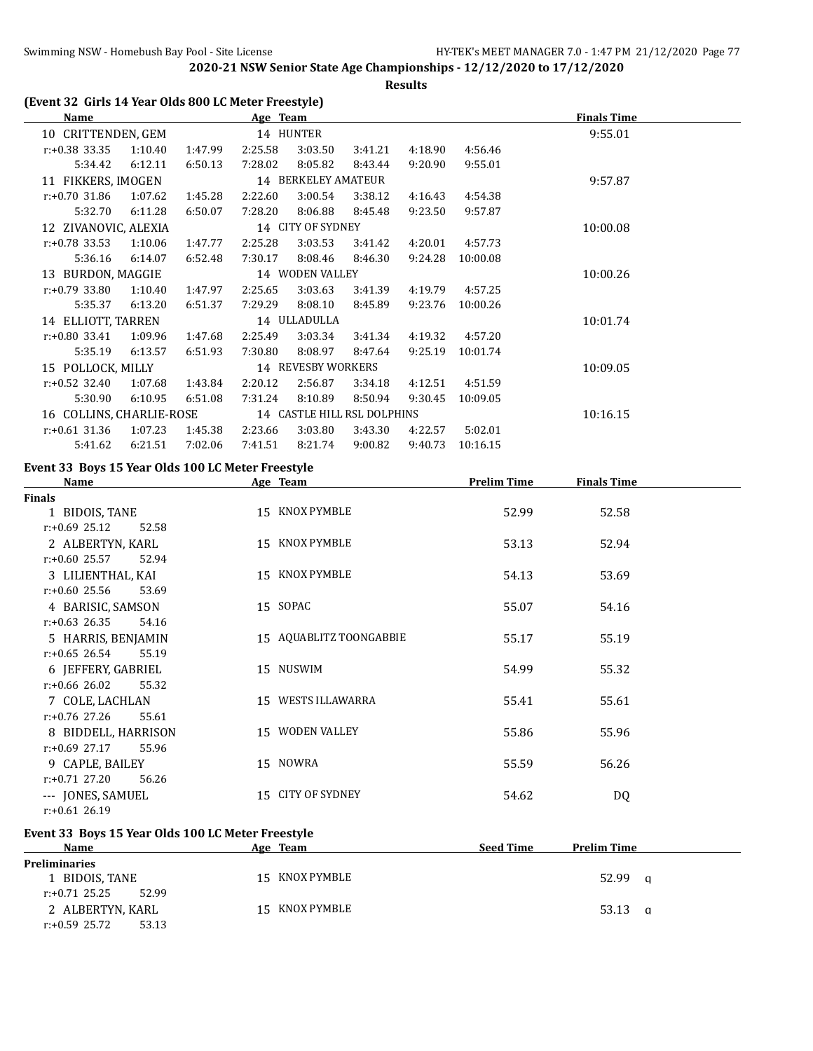**Results**

# **(Event 32 Girls 14 Year Olds 800 LC Meter Freestyle)**

| Name                     |         |         | Age Team |                     |                             |         |          | <b>Finals Time</b> |
|--------------------------|---------|---------|----------|---------------------|-----------------------------|---------|----------|--------------------|
| 10 CRITTENDEN, GEM       |         |         |          | 14 HUNTER           |                             |         |          | 9:55.01            |
| $r: +0.38$ 33.35         | 1:10.40 | 1:47.99 | 2:25.58  | 3:03.50             | 3:41.21                     | 4:18.90 | 4:56.46  |                    |
| 5:34.42                  | 6:12.11 | 6:50.13 | 7:28.02  | 8:05.82             | 8:43.44                     | 9:20.90 | 9:55.01  |                    |
| 11 FIKKERS, IMOGEN       |         |         |          | 14 BERKELEY AMATEUR |                             |         |          | 9:57.87            |
| $r: +0.70$ 31.86         | 1:07.62 | 1:45.28 | 2:22.60  | 3:00.54             | 3:38.12                     | 4:16.43 | 4:54.38  |                    |
| 5:32.70                  | 6:11.28 | 6:50.07 | 7:28.20  | 8:06.88             | 8:45.48                     | 9:23.50 | 9:57.87  |                    |
| 12 ZIVANOVIC, ALEXIA     |         |         |          | 14 CITY OF SYDNEY   |                             |         |          | 10:00.08           |
| $r: +0.78$ 33.53         | 1:10.06 | 1:47.77 | 2:25.28  | 3:03.53             | 3:41.42                     | 4:20.01 | 4:57.73  |                    |
| 5:36.16                  | 6:14.07 | 6:52.48 | 7:30.17  | 8:08.46             | 8:46.30                     | 9:24.28 | 10:00.08 |                    |
| 13 BURDON, MAGGIE        |         |         |          | 14 WODEN VALLEY     |                             |         |          | 10:00.26           |
| $r: +0.79$ 33.80         | 1:10.40 | 1:47.97 | 2:25.65  | 3:03.63             | 3:41.39                     | 4:19.79 | 4:57.25  |                    |
| 5:35.37                  | 6:13.20 | 6:51.37 | 7:29.29  | 8:08.10             | 8:45.89                     | 9:23.76 | 10:00.26 |                    |
| 14 ELLIOTT, TARREN       |         |         |          | 14 ULLADULLA        |                             |         |          | 10:01.74           |
| $r: +0.80$ 33.41         | 1:09.96 | 1:47.68 | 2:25.49  | 3:03.34             | 3:41.34                     | 4:19.32 | 4:57.20  |                    |
| 5:35.19                  | 6:13.57 | 6:51.93 | 7:30.80  | 8:08.97             | 8:47.64                     | 9:25.19 | 10:01.74 |                    |
| 15 POLLOCK, MILLY        |         |         |          | 14 REVESBY WORKERS  |                             |         |          | 10:09.05           |
| $r: +0.52$ 32.40         | 1:07.68 | 1:43.84 | 2:20.12  | 2:56.87             | 3:34.18                     | 4:12.51 | 4:51.59  |                    |
| 5:30.90                  | 6:10.95 | 6:51.08 | 7:31.24  | 8:10.89             | 8:50.94                     | 9:30.45 | 10:09.05 |                    |
| 16 COLLINS, CHARLIE-ROSE |         |         |          |                     | 14 CASTLE HILL RSL DOLPHINS |         |          | 10:16.15           |
| $r: +0.61$ 31.36         | 1:07.23 | 1:45.38 | 2:23.66  | 3:03.80             | 3:43.30                     | 4:22.57 | 5:02.01  |                    |
| 5:41.62                  | 6:21.51 | 7:02.06 | 7:41.51  | 8:21.74             | 9:00.82                     | 9:40.73 | 10:16.15 |                    |

# **Event 33 Boys 15 Year Olds 100 LC Meter Freestyle**

| Name                      | Age Team                | <b>Prelim Time</b> | <b>Finals Time</b> |  |
|---------------------------|-------------------------|--------------------|--------------------|--|
| <b>Finals</b>             |                         |                    |                    |  |
| 1 BIDOIS, TANE            | 15 KNOX PYMBLE          | 52.99              | 52.58              |  |
| $r: +0.69$ 25.12<br>52.58 |                         |                    |                    |  |
| 2 ALBERTYN, KARL          | 15 KNOX PYMBLE          | 53.13              | 52.94              |  |
| $r: +0.60$ 25.57<br>52.94 |                         |                    |                    |  |
| 3 LILIENTHAL, KAI         | 15 KNOX PYMBLE          | 54.13              | 53.69              |  |
| $r: +0.60$ 25.56<br>53.69 |                         |                    |                    |  |
| 4 BARISIC, SAMSON         | 15 SOPAC                | 55.07              | 54.16              |  |
| $r: +0.63$ 26.35<br>54.16 |                         |                    |                    |  |
| 5 HARRIS, BENJAMIN        | 15 AQUABLITZ TOONGABBIE | 55.17              | 55.19              |  |
| $r: +0.65$ 26.54<br>55.19 |                         |                    |                    |  |
| 6 JEFFERY, GABRIEL        | 15 NUSWIM               | 54.99              | 55.32              |  |
| $r: +0.66$ 26.02<br>55.32 |                         |                    |                    |  |
| 7 COLE, LACHLAN           | 15 WESTS ILLAWARRA      | 55.41              | 55.61              |  |
| $r: +0.76$ 27.26<br>55.61 |                         |                    |                    |  |
| 8 BIDDELL, HARRISON       | 15 WODEN VALLEY         | 55.86              | 55.96              |  |
| $r: +0.69$ 27.17<br>55.96 |                         |                    |                    |  |
| 9 CAPLE, BAILEY           | 15 NOWRA                | 55.59              | 56.26              |  |
| $r: +0.71$ 27.20<br>56.26 |                         |                    |                    |  |
| --- JONES, SAMUEL         | 15 CITY OF SYDNEY       | 54.62              | DQ                 |  |
| $r: +0.61$ 26.19          |                         |                    |                    |  |

### **Event 33 Boys 15 Year Olds 100 LC Meter Freestyle**

| <b>Name</b>               | Age Team       | <b>Seed Time</b><br><b>Prelim Time</b> |
|---------------------------|----------------|----------------------------------------|
| <b>Preliminaries</b>      |                |                                        |
| 1 BIDOIS, TANE            | 15 KNOX PYMBLE | 52.99<br>a                             |
| $r: +0.71$ 25.25<br>52.99 |                |                                        |
| 2 ALBERTYN, KARL          | 15 KNOX PYMBLE | 53.13<br>a                             |
| r:+0.59 25.72<br>53.13    |                |                                        |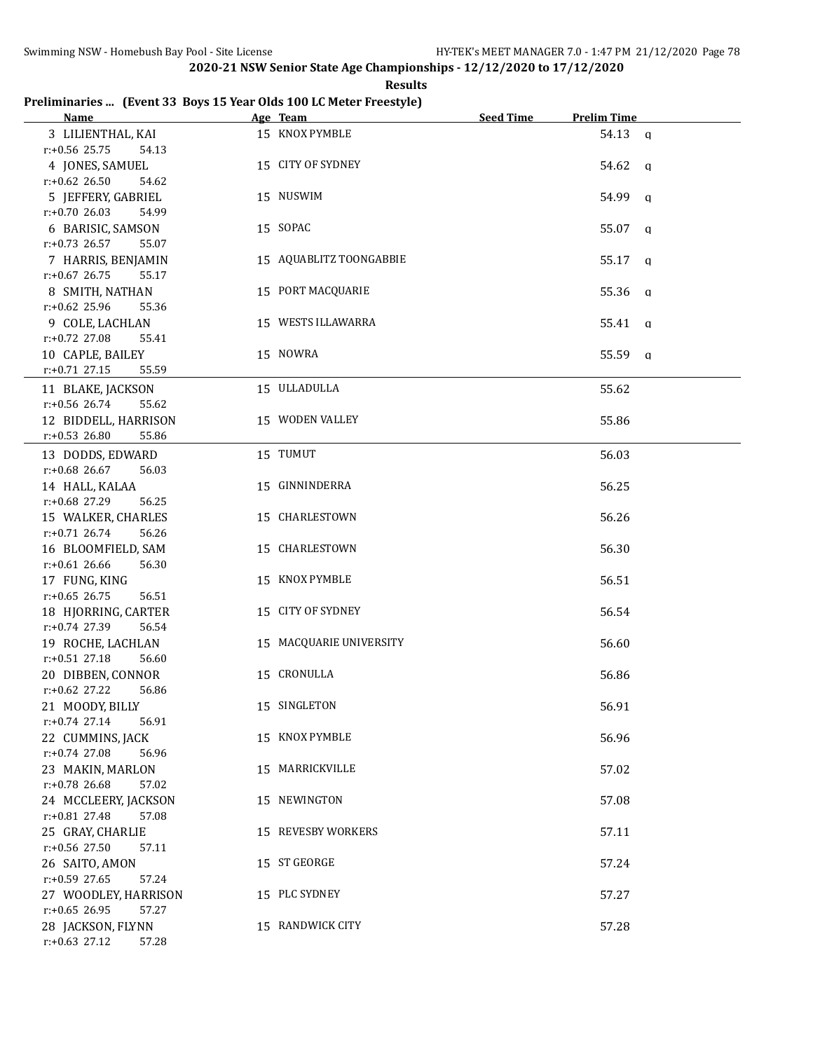**Results**

# **Preliminaries ... (Event 33 Boys 15 Year Olds 100 LC Meter Freestyle)**

| <b>Name</b>                                   | Age Team                | <b>Seed Time</b> | <b>Prelim Time</b> |
|-----------------------------------------------|-------------------------|------------------|--------------------|
| 3 LILIENTHAL, KAI                             | 15 KNOX PYMBLE          |                  | 54.13 a            |
| r:+0.56 25.75<br>54.13                        |                         |                  |                    |
| 4 JONES, SAMUEL                               | 15 CITY OF SYDNEY       |                  | 54.62 a            |
| $r: +0.62$ 26.50<br>54.62                     |                         |                  |                    |
| 5 JEFFERY, GABRIEL                            | 15 NUSWIM               |                  | 54.99 a            |
| $r: +0.70$ 26.03<br>54.99                     |                         |                  |                    |
| 6 BARISIC, SAMSON                             | 15 SOPAC                |                  | 55.07<br>q         |
| $r: +0.73$ 26.57<br>55.07                     |                         |                  |                    |
| 7 HARRIS, BENJAMIN                            | 15 AQUABLITZ TOONGABBIE |                  | 55.17<br>q         |
| $r: +0.67$ 26.75<br>55.17                     |                         |                  |                    |
| 8 SMITH, NATHAN                               | 15 PORT MACQUARIE       |                  | 55.36 a            |
| $r: +0.62$ 25.96<br>55.36                     |                         |                  |                    |
| 9 COLE, LACHLAN                               | 15 WESTS ILLAWARRA      |                  | 55.41 a            |
| r:+0.72 27.08<br>55.41                        |                         |                  |                    |
| 10 CAPLE, BAILEY                              | 15 NOWRA                |                  | 55.59 a            |
| $r: +0.71$ 27.15<br>55.59                     |                         |                  |                    |
| 11 BLAKE, JACKSON                             | 15 ULLADULLA            |                  | 55.62              |
| r:+0.56 26.74<br>55.62                        |                         |                  |                    |
| 12 BIDDELL, HARRISON                          | 15 WODEN VALLEY         |                  | 55.86              |
| $r: +0.53$ 26.80<br>55.86                     |                         |                  |                    |
| 13 DODDS, EDWARD                              | 15 TUMUT                |                  | 56.03              |
| $r: +0.68$ 26.67<br>56.03                     |                         |                  |                    |
| 14 HALL, KALAA                                | 15 GINNINDERRA          |                  | 56.25              |
| r:+0.68 27.29<br>56.25                        |                         |                  |                    |
| 15 WALKER, CHARLES                            | 15 CHARLESTOWN          |                  | 56.26              |
| $r: +0.71$ 26.74<br>56.26                     |                         |                  |                    |
| 16 BLOOMFIELD, SAM                            | 15 CHARLESTOWN          |                  | 56.30              |
| $r: +0.61$ 26.66<br>56.30                     |                         |                  |                    |
| 17 FUNG, KING                                 | 15 KNOX PYMBLE          |                  | 56.51              |
| $r: +0.65$ 26.75<br>56.51                     |                         |                  |                    |
| 18 HJORRING, CARTER                           | 15 CITY OF SYDNEY       |                  | 56.54              |
| r:+0.74 27.39<br>56.54                        |                         |                  |                    |
| 19 ROCHE, LACHLAN<br>$r.+0.51$ 27.18<br>56.60 | 15 MACQUARIE UNIVERSITY |                  | 56.60              |
| 20 DIBBEN, CONNOR                             | 15 CRONULLA             |                  | 56.86              |
| $r: +0.62$ 27.22<br>56.86                     |                         |                  |                    |
| 21 MOODY, BILLY                               | 15 SINGLETON            |                  | 56.91              |
| $r.+0.74$ 27.14<br>56.91                      |                         |                  |                    |
| 22 CUMMINS, JACK                              | 15 KNOX PYMBLE          |                  | 56.96              |
| $r: +0.74$ 27.08<br>56.96                     |                         |                  |                    |
| 23 MAKIN, MARLON                              | 15 MARRICKVILLE         |                  | 57.02              |
| r:+0.78 26.68<br>57.02                        |                         |                  |                    |
| 24 MCCLEERY, JACKSON                          | 15 NEWINGTON            |                  | 57.08              |
| $r.+0.81$ 27.48<br>57.08                      |                         |                  |                    |
| 25 GRAY, CHARLIE                              | 15 REVESBY WORKERS      |                  | 57.11              |
| $r: +0.56$ 27.50<br>57.11                     |                         |                  |                    |
| 26 SAITO, AMON                                | 15 ST GEORGE            |                  | 57.24              |
| r:+0.59 27.65<br>57.24                        |                         |                  |                    |
| 27 WOODLEY, HARRISON                          | 15 PLC SYDNEY           |                  | 57.27              |
| $r: +0.65$ 26.95<br>57.27                     |                         |                  |                    |
| 28 JACKSON, FLYNN                             | 15 RANDWICK CITY        |                  | 57.28              |
| $r.+0.63$ 27.12<br>57.28                      |                         |                  |                    |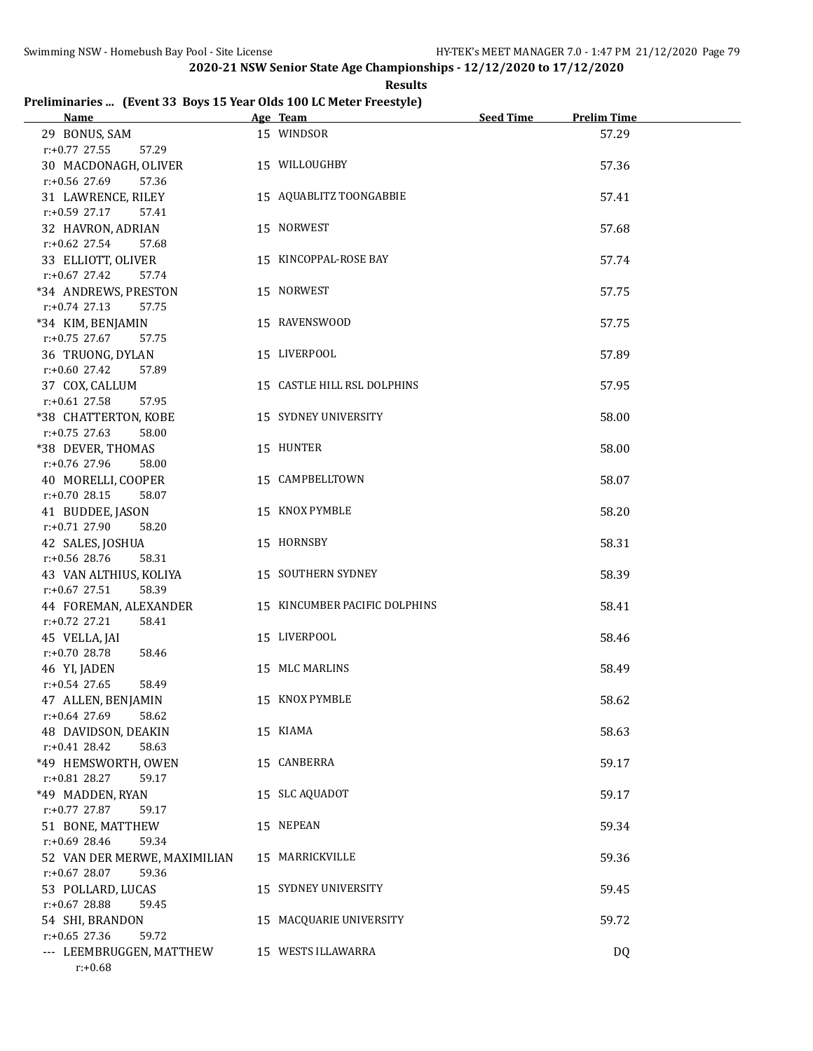**Results**

# **Preliminaries ... (Event 33 Boys 15 Year Olds 100 LC Meter Freestyle)**

| Name and the state of the state of the state of the state of the state of the state of the state of the state of the state of the state of the state of the state of the state of the state of the state of the state of the s | Age Team                      | Seed Time | <b>Prelim Time</b> |
|--------------------------------------------------------------------------------------------------------------------------------------------------------------------------------------------------------------------------------|-------------------------------|-----------|--------------------|
| 29 BONUS, SAM<br>$r: +0.77$ 27.55<br>57.29                                                                                                                                                                                     | 15 WINDSOR                    |           | 57.29              |
| 30 MACDONAGH, OLIVER<br>$r: +0.56$ 27.69<br>57.36                                                                                                                                                                              | 15 WILLOUGHBY                 |           | 57.36              |
| 31 LAWRENCE, RILEY<br>$r: +0.59$ 27.17<br>57.41                                                                                                                                                                                | 15 AQUABLITZ TOONGABBIE       |           | 57.41              |
| 32 HAVRON, ADRIAN                                                                                                                                                                                                              | 15 NORWEST                    |           | 57.68              |
| $r: +0.62$ 27.54<br>57.68<br>33 ELLIOTT, OLIVER                                                                                                                                                                                | 15 KINCOPPAL-ROSE BAY         |           | 57.74              |
| $r+0.67$ 27.42<br>57.74<br>*34 ANDREWS, PRESTON                                                                                                                                                                                | 15 NORWEST                    |           | 57.75              |
| $r: +0.74$ 27.13<br>57.75<br>*34 KIM, BENJAMIN                                                                                                                                                                                 | 15 RAVENSWOOD                 |           | 57.75              |
| $r: +0.75$ 27.67<br>57.75<br>36 TRUONG, DYLAN                                                                                                                                                                                  | 15 LIVERPOOL                  |           | 57.89              |
| $r+0.60$ 27.42<br>57.89<br>37 COX, CALLUM                                                                                                                                                                                      | 15 CASTLE HILL RSL DOLPHINS   |           | 57.95              |
| $r: +0.61$ 27.58<br>57.95<br>*38 CHATTERTON, KOBE                                                                                                                                                                              | 15 SYDNEY UNIVERSITY          |           | 58.00              |
| $r: +0.75$ 27.63<br>58.00<br>*38 DEVER, THOMAS                                                                                                                                                                                 | 15 HUNTER                     |           | 58.00              |
| r:+0.76 27.96<br>58.00<br>40 MORELLI, COOPER                                                                                                                                                                                   | 15 CAMPBELLTOWN               |           | 58.07              |
| $r: +0.70$ 28.15<br>58.07<br>41 BUDDEE, JASON                                                                                                                                                                                  | 15 KNOX PYMBLE                |           | 58.20              |
| $r: +0.71$ 27.90<br>58.20<br>42 SALES, JOSHUA                                                                                                                                                                                  | 15 HORNSBY                    |           | 58.31              |
| r:+0.56 28.76<br>58.31<br>43 VAN ALTHIUS, KOLIYA                                                                                                                                                                               | 15 SOUTHERN SYDNEY            |           | 58.39              |
| $r: +0.67$ 27.51<br>58.39<br>44 FOREMAN, ALEXANDER                                                                                                                                                                             | 15 KINCUMBER PACIFIC DOLPHINS |           | 58.41              |
| $r.+0.72$ 27.21<br>58.41<br>45 VELLA, JAI                                                                                                                                                                                      | 15 LIVERPOOL                  |           | 58.46              |
| $r: +0.70$ 28.78<br>58.46<br>46 YI, JADEN                                                                                                                                                                                      | 15 MLC MARLINS                |           | 58.49              |
| $r: +0.54$ 27.65<br>58.49<br>47 ALLEN, BENJAMIN                                                                                                                                                                                | 15 KNOX PYMBLE                |           | 58.62              |
| r:+0.64 27.69<br>58.62<br>48 DAVIDSON, DEAKIN                                                                                                                                                                                  | 15 KIAMA                      |           | 58.63              |
| $r: +0.41$ 28.42<br>58.63<br>*49 HEMSWORTH, OWEN                                                                                                                                                                               | 15 CANBERRA                   |           | 59.17              |
| r:+0.81 28.27<br>59.17<br>*49 MADDEN, RYAN                                                                                                                                                                                     | 15 SLC AQUADOT                |           | 59.17              |
| $r: +0.77$ 27.87<br>59.17<br>51 BONE, MATTHEW                                                                                                                                                                                  | 15 NEPEAN                     |           | 59.34              |
| r:+0.69 28.46<br>59.34<br>52 VAN DER MERWE, MAXIMILIAN                                                                                                                                                                         | 15 MARRICKVILLE               |           | 59.36              |
| $r: +0.67$ 28.07<br>59.36<br>53 POLLARD, LUCAS                                                                                                                                                                                 | 15 SYDNEY UNIVERSITY          |           | 59.45              |
| $r: +0.67$ 28.88<br>59.45<br>54 SHI, BRANDON                                                                                                                                                                                   | 15 MACQUARIE UNIVERSITY       |           | 59.72              |
| $r: +0.65$ 27.36<br>59.72<br>--- LEEMBRUGGEN, MATTHEW<br>$r: +0.68$                                                                                                                                                            | 15 WESTS ILLAWARRA            |           | DQ                 |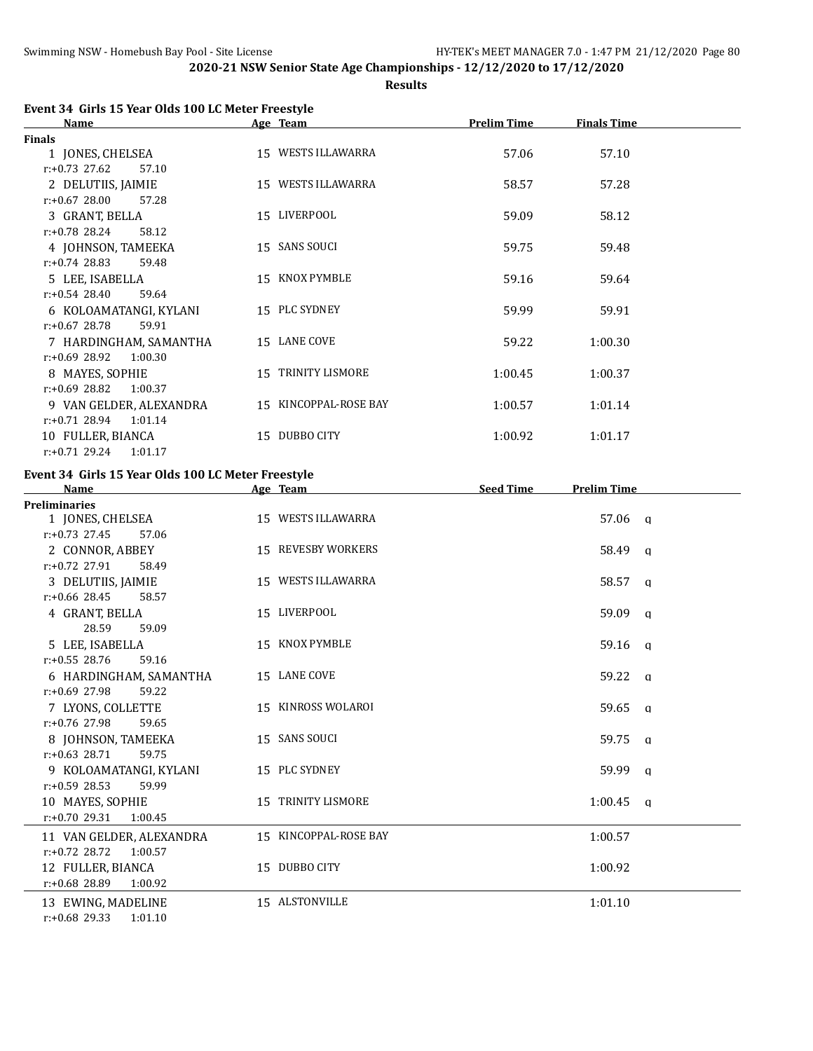**Results**

| Event 34 Girls 15 Year Olds 100 LC Meter Freestyle |  |
|----------------------------------------------------|--|
|----------------------------------------------------|--|

| <b>Name</b>                 | Age Team              | <b>Prelim Time</b> | <b>Finals Time</b> |  |
|-----------------------------|-----------------------|--------------------|--------------------|--|
| <b>Finals</b>               |                       |                    |                    |  |
| 1 JONES, CHELSEA            | 15 WESTS ILLAWARRA    | 57.06              | 57.10              |  |
| $r: +0.73$ 27.62<br>57.10   |                       |                    |                    |  |
| 2 DELUTIIS, JAIMIE          | 15 WESTS ILLAWARRA    | 58.57              | 57.28              |  |
| $r: +0.67$ 28.00<br>57.28   |                       |                    |                    |  |
| 3 GRANT, BELLA              | 15 LIVERPOOL          | 59.09              | 58.12              |  |
| $r: +0.78$ 28.24<br>58.12   |                       |                    |                    |  |
| 4 JOHNSON, TAMEEKA          | 15 SANS SOUCI         | 59.75              | 59.48              |  |
| $r: +0.74$ 28.83<br>59.48   |                       |                    |                    |  |
| 5 LEE, ISABELLA             | 15 KNOX PYMBLE        | 59.16              | 59.64              |  |
| $r: +0.54$ 28.40<br>59.64   |                       |                    |                    |  |
| 6 KOLOAMATANGI, KYLANI      | 15 PLC SYDNEY         | 59.99              | 59.91              |  |
| $r: +0.67$ 28.78<br>59.91   |                       |                    |                    |  |
| 7 HARDINGHAM, SAMANTHA      | 15 LANE COVE          | 59.22              | 1:00.30            |  |
| $r: +0.69$ 28.92<br>1:00.30 |                       |                    |                    |  |
| 8 MAYES, SOPHIE             | 15 TRINITY LISMORE    | 1:00.45            | 1:00.37            |  |
| $r: +0.69$ 28.82<br>1:00.37 |                       |                    |                    |  |
| 9 VAN GELDER, ALEXANDRA     | 15 KINCOPPAL-ROSE BAY | 1:00.57            | 1:01.14            |  |
| $r: +0.71$ 28.94<br>1:01.14 |                       |                    |                    |  |
| 10 FULLER, BIANCA           | 15 DUBBO CITY         | 1:00.92            | 1:01.17            |  |
| $r: +0.71$ 29.24<br>1:01.17 |                       |                    |                    |  |

# **Event 34 Girls 15 Year Olds 100 LC Meter Freestyle**

| <b>Name</b>                                    | Age Team              | <b>Seed Time</b><br><b>Prelim Time</b> |
|------------------------------------------------|-----------------------|----------------------------------------|
| <b>Preliminaries</b>                           |                       |                                        |
| 1 JONES, CHELSEA                               | 15 WESTS ILLAWARRA    | 57.06 a                                |
| $r: +0.73$ 27.45<br>57.06                      |                       |                                        |
| 2 CONNOR, ABBEY                                | 15 REVESBY WORKERS    | 58.49 q                                |
| $r: +0.72$ 27.91<br>58.49                      |                       |                                        |
| 3 DELUTIIS, JAIMIE                             | 15 WESTS ILLAWARRA    | 58.57 a                                |
| $r: +0.66$ 28.45<br>58.57                      |                       |                                        |
| 4 GRANT, BELLA                                 | 15 LIVERPOOL          | 59.09 a                                |
| 28.59<br>59.09                                 |                       |                                        |
| 5 LEE, ISABELLA                                | 15 KNOX PYMBLE        | $59.16$ q                              |
| $r: +0.55$ 28.76<br>59.16                      |                       |                                        |
| 6 HARDINGHAM, SAMANTHA                         | 15 LANE COVE          | 59.22 a                                |
| $r: +0.69$ 27.98<br>59.22                      | 15 KINROSS WOLAROI    |                                        |
| 7 LYONS, COLLETTE<br>$r: +0.76$ 27.98<br>59.65 |                       | 59.65 g                                |
| 8 JOHNSON, TAMEEKA                             | 15 SANS SOUCI         | 59.75 g                                |
| $r: +0.63$ 28.71<br>59.75                      |                       |                                        |
| 9 KOLOAMATANGI, KYLANI                         | 15 PLC SYDNEY         | 59.99 a                                |
| $r: +0.59$ 28.53<br>59.99                      |                       |                                        |
| 10 MAYES, SOPHIE                               | 15 TRINITY LISMORE    | $1:00.45$ q                            |
| $r: +0.70$ 29.31<br>1:00.45                    |                       |                                        |
| 11 VAN GELDER, ALEXANDRA                       | 15 KINCOPPAL-ROSE BAY | 1:00.57                                |
| $r: +0.72$ 28.72<br>1:00.57                    |                       |                                        |
| 12 FULLER, BIANCA                              | 15 DUBBO CITY         | 1:00.92                                |
| r:+0.68 28.89<br>1:00.92                       |                       |                                        |
| 13 EWING, MADELINE                             | 15 ALSTONVILLE        | 1:01.10                                |
| $r: +0.68$ 29.33<br>1:01.10                    |                       |                                        |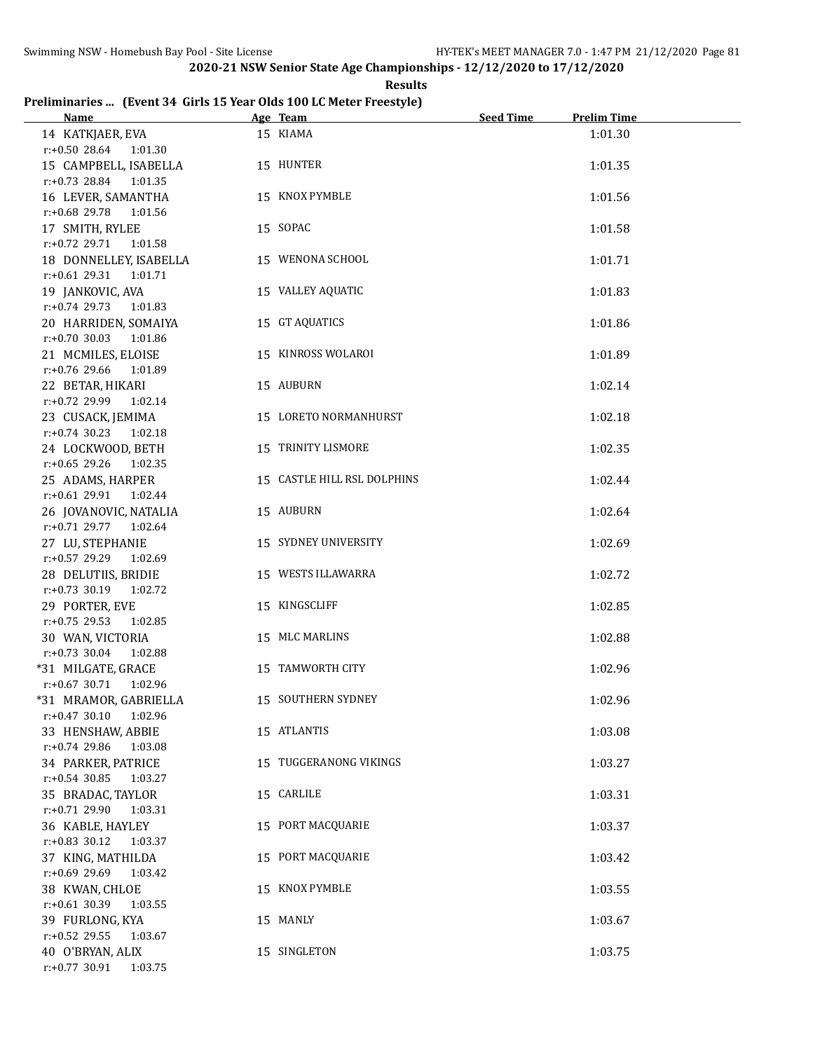**Results**

# **Preliminaries ... (Event 34 Girls 15 Year Olds 100 LC Meter Freestyle)**

| Name and the state of the state of the state of the state of the state of the state of the state of the state of the state of the state of the state of the state of the state of the state of the state of the state of the s | Age Team 2008               | <b>Prelim Time</b><br>Seed Time |
|--------------------------------------------------------------------------------------------------------------------------------------------------------------------------------------------------------------------------------|-----------------------------|---------------------------------|
| 14 KATKJAER, EVA                                                                                                                                                                                                               | 15 KIAMA                    | 1:01.30                         |
| $r.+0.50$ 28.64 1:01.30                                                                                                                                                                                                        |                             |                                 |
| 15 CAMPBELL, ISABELLA                                                                                                                                                                                                          | 15 HUNTER                   | 1:01.35                         |
| r:+0.73 28.84 1:01.35                                                                                                                                                                                                          |                             |                                 |
| 16 LEVER, SAMANTHA                                                                                                                                                                                                             | 15 KNOX PYMBLE              | 1:01.56                         |
| r:+0.68 29.78 1:01.56                                                                                                                                                                                                          |                             |                                 |
| 17 SMITH, RYLEE                                                                                                                                                                                                                | 15 SOPAC                    | 1:01.58                         |
| r:+0.72 29.71 1:01.58                                                                                                                                                                                                          |                             |                                 |
| 18 DONNELLEY, ISABELLA                                                                                                                                                                                                         | 15 WENONA SCHOOL            | 1:01.71                         |
| r:+0.61 29.31 1:01.71                                                                                                                                                                                                          |                             |                                 |
| 19 JANKOVIC, AVA                                                                                                                                                                                                               | 15 VALLEY AQUATIC           | 1:01.83                         |
| $r.+0.74$ 29.73 1:01.83                                                                                                                                                                                                        |                             |                                 |
| 20 HARRIDEN, SOMAIYA                                                                                                                                                                                                           | 15 GT AQUATICS              | 1:01.86                         |
| $r: +0.70$ 30.03 1:01.86                                                                                                                                                                                                       |                             |                                 |
| 21 MCMILES, ELOISE                                                                                                                                                                                                             | 15 KINROSS WOLAROI          | 1:01.89                         |
| $r: +0.76$ 29.66 1:01.89                                                                                                                                                                                                       |                             |                                 |
| 22 BETAR, HIKARI                                                                                                                                                                                                               | 15 AUBURN                   | 1:02.14                         |
| $r: +0.72$ 29.99 1:02.14                                                                                                                                                                                                       |                             |                                 |
| 23 CUSACK, JEMIMA                                                                                                                                                                                                              | 15 LORETO NORMANHURST       | 1:02.18                         |
| $r: +0.74$ 30.23 1:02.18                                                                                                                                                                                                       |                             |                                 |
| 24 LOCKWOOD, BETH                                                                                                                                                                                                              | 15 TRINITY LISMORE          | 1:02.35                         |
| $r: +0.65$ 29.26 1:02.35                                                                                                                                                                                                       |                             |                                 |
| 25 ADAMS, HARPER                                                                                                                                                                                                               | 15 CASTLE HILL RSL DOLPHINS | 1:02.44                         |
| $r.+0.6129.911.02.44$                                                                                                                                                                                                          |                             |                                 |
| 26 JOVANOVIC, NATALIA                                                                                                                                                                                                          | 15 AUBURN                   | 1:02.64                         |
| r:+0.71 29.77 1:02.64                                                                                                                                                                                                          |                             |                                 |
| 27 LU, STEPHANIE                                                                                                                                                                                                               | 15 SYDNEY UNIVERSITY        | 1:02.69                         |
| $r.+0.57$ 29.29 1:02.69                                                                                                                                                                                                        |                             |                                 |
| 28 DELUTIIS, BRIDIE                                                                                                                                                                                                            | 15 WESTS ILLAWARRA          | 1:02.72                         |
| r:+0.73 30.19 1:02.72                                                                                                                                                                                                          |                             |                                 |
| 29 PORTER, EVE<br>1:02.85                                                                                                                                                                                                      | 15 KINGSCLIFF               | 1:02.85                         |
| $r: +0.75$ 29.53<br>30 WAN, VICTORIA                                                                                                                                                                                           | 15 MLC MARLINS              | 1:02.88                         |
| $r: +0.73$ 30.04<br>1:02.88                                                                                                                                                                                                    |                             |                                 |
| *31 MILGATE, GRACE                                                                                                                                                                                                             | 15 TAMWORTH CITY            | 1:02.96                         |
| r:+0.67 30.71 1:02.96                                                                                                                                                                                                          |                             |                                 |
| *31 MRAMOR, GABRIELLA                                                                                                                                                                                                          | 15 SOUTHERN SYDNEY          | 1:02.96                         |
| $r: +0.47$ 30.10 1:02.96                                                                                                                                                                                                       |                             |                                 |
| 33 HENSHAW, ABBIE                                                                                                                                                                                                              | 15 ATLANTIS                 | 1:03.08                         |
| r:+0.74 29.86<br>1:03.08                                                                                                                                                                                                       |                             |                                 |
| 34 PARKER, PATRICE                                                                                                                                                                                                             | 15 TUGGERANONG VIKINGS      | 1:03.27                         |
| $r: +0.54$ 30.85<br>1:03.27                                                                                                                                                                                                    |                             |                                 |
| 35 BRADAC, TAYLOR                                                                                                                                                                                                              | 15 CARLILE                  | 1:03.31                         |
| $r.+0.71$ 29.90<br>1:03.31                                                                                                                                                                                                     |                             |                                 |
| 36 KABLE, HAYLEY                                                                                                                                                                                                               | 15 PORT MACQUARIE           | 1:03.37                         |
| $r.+0.83$ 30.12<br>1:03.37                                                                                                                                                                                                     |                             |                                 |
| 37 KING, MATHILDA                                                                                                                                                                                                              | 15 PORT MACQUARIE           | 1:03.42                         |
| r:+0.69 29.69<br>1:03.42                                                                                                                                                                                                       |                             |                                 |
| 38 KWAN, CHLOE                                                                                                                                                                                                                 | 15 KNOX PYMBLE              | 1:03.55                         |
| $r: +0.61$ 30.39<br>1:03.55                                                                                                                                                                                                    |                             |                                 |
| 39 FURLONG, KYA                                                                                                                                                                                                                | 15 MANLY                    | 1:03.67                         |
| r:+0.52 29.55<br>1:03.67                                                                                                                                                                                                       |                             |                                 |
| 40 O'BRYAN, ALIX                                                                                                                                                                                                               | 15 SINGLETON                | 1:03.75                         |
| $r.+0.77$ 30.91<br>1:03.75                                                                                                                                                                                                     |                             |                                 |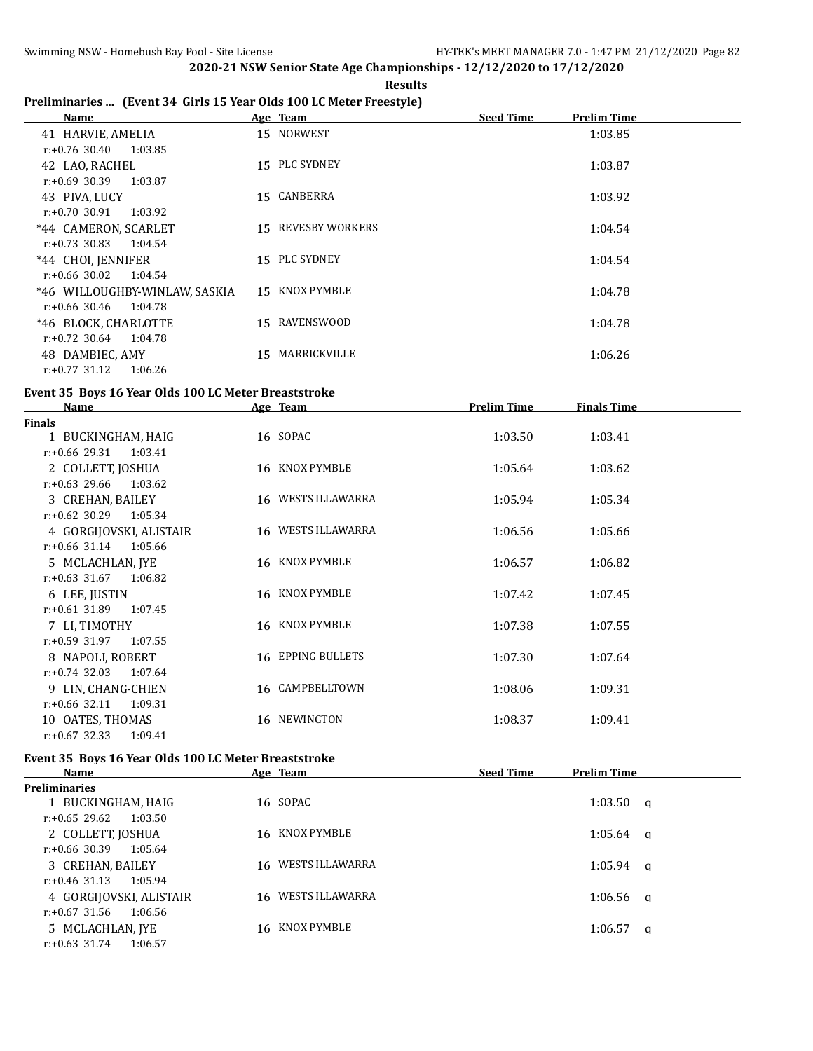**Results**

# **Preliminaries ... (Event 34 Girls 15 Year Olds 100 LC Meter Freestyle)**

| Name                          |    | Age Team           | <b>Seed Time</b> | <b>Prelim Time</b> |
|-------------------------------|----|--------------------|------------------|--------------------|
| 41 HARVIE, AMELIA             |    | 15 NORWEST         |                  | 1:03.85            |
| 1:03.85<br>$r: +0.76$ 30.40   |    |                    |                  |                    |
| 42 LAO, RACHEL                |    | 15 PLC SYDNEY      |                  | 1:03.87            |
| $r: +0.69$ 30.39<br>1:03.87   |    |                    |                  |                    |
| 43 PIVA, LUCY                 |    | 15 CANBERRA        |                  | 1:03.92            |
| $r: +0.70$ 30.91<br>1:03.92   |    |                    |                  |                    |
| *44 CAMERON, SCARLET          |    | 15 REVESBY WORKERS |                  | 1:04.54            |
| $r: +0.73$ 30.83<br>1:04.54   |    |                    |                  |                    |
| *44 CHOI, JENNIFER            |    | 15 PLC SYDNEY      |                  | 1:04.54            |
| $r: +0.66$ 30.02<br>1:04.54   |    |                    |                  |                    |
| *46 WILLOUGHBY-WINLAW, SASKIA |    | 15 KNOX PYMBLE     |                  | 1:04.78            |
| r:+0.66 30.46<br>1:04.78      |    |                    |                  |                    |
| *46 BLOCK. CHARLOTTE          | 15 | RAVENSWOOD         |                  | 1:04.78            |
| $r: +0.72$ 30.64<br>1:04.78   |    |                    |                  |                    |
| 48 DAMBIEC, AMY               | 15 | MARRICKVILLE       |                  | 1:06.26            |
| 1:06.26<br>$r: +0.77$ 31.12   |    |                    |                  |                    |

# **Event 35 Boys 16 Year Olds 100 LC Meter Breaststroke**

| <b>Name</b>                 | <u>Age Team</u>    | <b>Prelim Time</b> | <b>Finals Time</b> |  |
|-----------------------------|--------------------|--------------------|--------------------|--|
| <b>Finals</b>               |                    |                    |                    |  |
| 1 BUCKINGHAM, HAIG          | 16 SOPAC           | 1:03.50            | 1:03.41            |  |
| $r: +0.66$ 29.31<br>1:03.41 |                    |                    |                    |  |
| 2 COLLETT, JOSHUA           | 16 KNOX PYMBLE     | 1:05.64            | 1:03.62            |  |
| $r: +0.63$ 29.66<br>1:03.62 |                    |                    |                    |  |
| 3 CREHAN, BAILEY            | 16 WESTS ILLAWARRA | 1:05.94            | 1:05.34            |  |
| $r: +0.62$ 30.29<br>1:05.34 |                    |                    |                    |  |
| 4 GORGIJOVSKI, ALISTAIR     | 16 WESTS ILLAWARRA | 1:06.56            | 1:05.66            |  |
| $r: +0.66$ 31.14 1:05.66    |                    |                    |                    |  |
| 5 MCLACHLAN, IYE            | 16 KNOX PYMBLE     | 1:06.57            | 1:06.82            |  |
| $r: +0.63$ 31.67<br>1:06.82 |                    |                    |                    |  |
| 6 LEE, JUSTIN               | 16 KNOX PYMBLE     | 1:07.42            | 1:07.45            |  |
| $r: +0.61$ 31.89<br>1:07.45 |                    |                    |                    |  |
| 7 LI, TIMOTHY               | 16 KNOX PYMBLE     | 1:07.38            | 1:07.55            |  |
| r:+0.59 31.97<br>1:07.55    |                    |                    |                    |  |
| 8 NAPOLI, ROBERT            | 16 EPPING BULLETS  | 1:07.30            | 1:07.64            |  |
| $r: +0.74$ 32.03<br>1:07.64 |                    |                    |                    |  |
| 9 LIN, CHANG-CHIEN          | 16 CAMPBELLTOWN    | 1:08.06            | 1:09.31            |  |
| $r: +0.66$ 32.11<br>1:09.31 |                    |                    |                    |  |
| 10 OATES, THOMAS            | 16 NEWINGTON       | 1:08.37            | 1:09.41            |  |
| $r: +0.67$ 32.33<br>1:09.41 |                    |                    |                    |  |

### **Event 35 Boys 16 Year Olds 100 LC Meter Breaststroke**

| Name                        | Age Team           | <b>Seed Time</b> | <b>Prelim Time</b> |  |
|-----------------------------|--------------------|------------------|--------------------|--|
| <b>Preliminaries</b>        |                    |                  |                    |  |
| 1 BUCKINGHAM, HAIG          | 16 SOPAC           |                  | $1:03.50$ a        |  |
| r:+0.65 29.62<br>1:03.50    |                    |                  |                    |  |
| 2 COLLETT, JOSHUA           | 16 KNOX PYMBLE     |                  | $1:05.64$ a        |  |
| r:+0.66 30.39<br>1:05.64    |                    |                  |                    |  |
| 3 CREHAN, BAILEY            | 16 WESTS ILLAWARRA |                  | $1:05.94$ a        |  |
| $r: +0.46$ 31.13<br>1:05.94 |                    |                  |                    |  |
| 4 GORGIJOVSKI, ALISTAIR     | 16 WESTS ILLAWARRA |                  | $1:06.56$ a        |  |
| r:+0.67 31.56<br>1:06.56    |                    |                  |                    |  |
| 5 MCLACHLAN, JYE            | 16 KNOX PYMBLE     |                  | 1:06.57<br>- a     |  |
| $r: +0.63$ 31.74<br>1:06.57 |                    |                  |                    |  |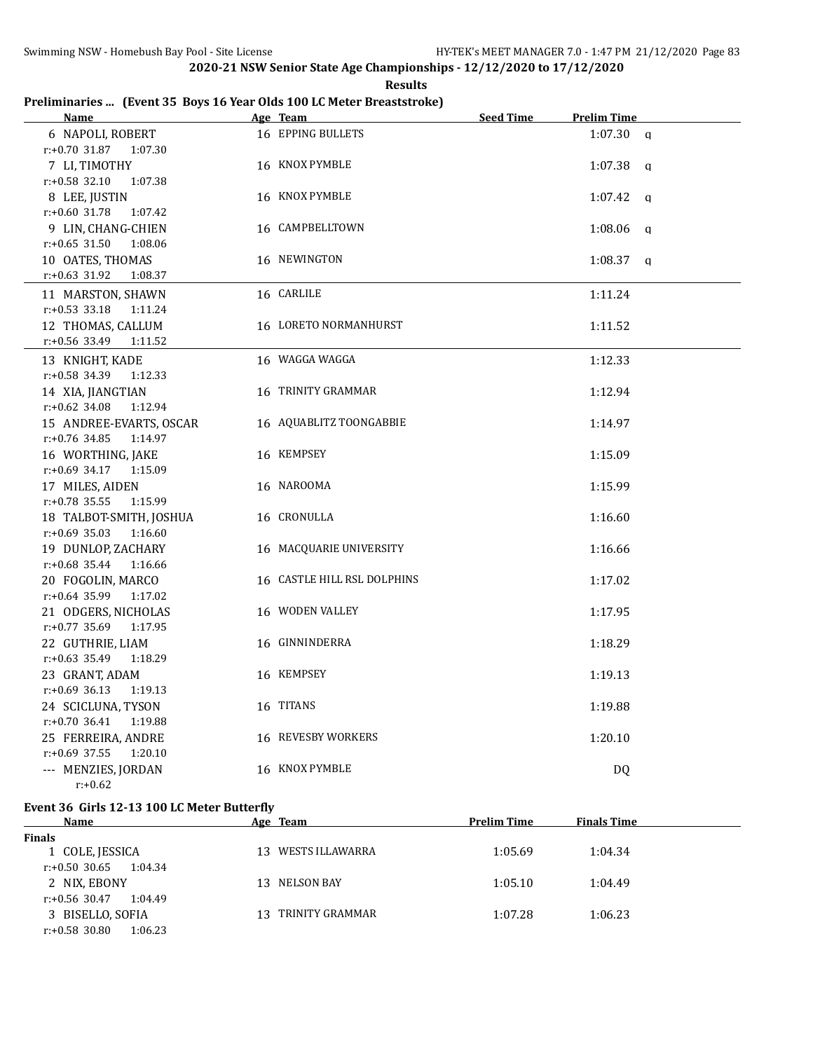**Results**

# **Preliminaries ... (Event 35 Boys 16 Year Olds 100 LC Meter Breaststroke)**

| <b>Name</b>                 | Age Team                    | <b>Seed Time</b> | <b>Prelim Time</b> |  |
|-----------------------------|-----------------------------|------------------|--------------------|--|
| 6 NAPOLI, ROBERT            | 16 EPPING BULLETS           |                  | $1:07.30$ a        |  |
| $r: +0.70$ 31.87<br>1:07.30 |                             |                  |                    |  |
| 7 LI, TIMOTHY               | 16 KNOX PYMBLE              |                  | $1:07.38$ q        |  |
| r:+0.58 32.10<br>1:07.38    |                             |                  |                    |  |
| 8 LEE, JUSTIN               | 16 KNOX PYMBLE              |                  | $1:07.42$ a        |  |
| r:+0.60 31.78<br>1:07.42    |                             |                  |                    |  |
| 9 LIN, CHANG-CHIEN          | 16 CAMPBELLTOWN             |                  | $1:08.06$ q        |  |
| $r: +0.65$ 31.50<br>1:08.06 |                             |                  |                    |  |
| 10 OATES, THOMAS            | 16 NEWINGTON                |                  | $1:08.37$ q        |  |
| $r: +0.63$ 31.92<br>1:08.37 |                             |                  |                    |  |
| 11 MARSTON, SHAWN           | 16 CARLILE                  |                  | 1:11.24            |  |
| $r: +0.53$ 33.18<br>1:11.24 |                             |                  |                    |  |
| 12 THOMAS, CALLUM           | 16 LORETO NORMANHURST       |                  | 1:11.52            |  |
| $r.+0.56$ 33.49 1:11.52     |                             |                  |                    |  |
| 13 KNIGHT, KADE             | 16 WAGGA WAGGA              |                  | 1:12.33            |  |
| $r: +0.58$ 34.39<br>1:12.33 |                             |                  |                    |  |
| 14 XIA, JIANGTIAN           | 16 TRINITY GRAMMAR          |                  | 1:12.94            |  |
| $r: +0.62$ 34.08<br>1:12.94 |                             |                  |                    |  |
| 15 ANDREE-EVARTS, OSCAR     | 16 AQUABLITZ TOONGABBIE     |                  | 1:14.97            |  |
| $r: +0.76$ 34.85<br>1:14.97 |                             |                  |                    |  |
| 16 WORTHING, JAKE           | 16 KEMPSEY                  |                  | 1:15.09            |  |
| $r.+0.69$ 34.17 1:15.09     |                             |                  |                    |  |
| 17 MILES, AIDEN             | 16 NAROOMA                  |                  | 1:15.99            |  |
| r:+0.78 35.55<br>1:15.99    |                             |                  |                    |  |
| 18 TALBOT-SMITH, JOSHUA     | 16 CRONULLA                 |                  | 1:16.60            |  |
| $r: +0.69$ 35.03<br>1:16.60 |                             |                  |                    |  |
| 19 DUNLOP, ZACHARY          | 16 MACQUARIE UNIVERSITY     |                  | 1:16.66            |  |
| $r: +0.68$ 35.44<br>1:16.66 |                             |                  |                    |  |
| 20 FOGOLIN, MARCO           | 16 CASTLE HILL RSL DOLPHINS |                  | 1:17.02            |  |
| r:+0.64 35.99 1:17.02       |                             |                  |                    |  |
| 21 ODGERS, NICHOLAS         | 16 WODEN VALLEY             |                  | 1:17.95            |  |
| r:+0.77 35.69 1:17.95       |                             |                  |                    |  |
| 22 GUTHRIE, LIAM            | 16 GINNINDERRA              |                  | 1:18.29            |  |
| r:+0.63 35.49<br>1:18.29    |                             |                  |                    |  |
| 23 GRANT, ADAM              | 16 KEMPSEY                  |                  | 1:19.13            |  |
| $r: +0.69$ 36.13<br>1:19.13 |                             |                  |                    |  |
| 24 SCICLUNA, TYSON          | 16 TITANS                   |                  | 1:19.88            |  |
| r:+0.70 36.41<br>1:19.88    |                             |                  |                    |  |
| 25 FERREIRA, ANDRE          | 16 REVESBY WORKERS          |                  | 1:20.10            |  |
| $r: +0.69$ 37.55 1:20.10    |                             |                  |                    |  |
| --- MENZIES, JORDAN         | 16 KNOX PYMBLE              |                  | <b>DQ</b>          |  |
| r:+0.62                     |                             |                  |                    |  |

### **Event 36 Girls 12-13 100 LC Meter Butterfly**

| Name                        | Age Team               | <b>Prelim Time</b> | <b>Finals Time</b> |  |
|-----------------------------|------------------------|--------------------|--------------------|--|
| <b>Finals</b>               |                        |                    |                    |  |
| 1 COLE, JESSICA             | WESTS ILLAWARRA<br>13. | 1:05.69            | 1:04.34            |  |
| r:+0.50 30.65<br>1:04.34    |                        |                    |                    |  |
| 2 NIX, EBONY                | 13 NELSON BAY          | 1:05.10            | 1:04.49            |  |
| r:+0.56 30.47<br>1:04.49    |                        |                    |                    |  |
| 3 BISELLO, SOFIA            | 13 TRINITY GRAMMAR     | 1:07.28            | 1:06.23            |  |
| $r: +0.58$ 30.80<br>1:06.23 |                        |                    |                    |  |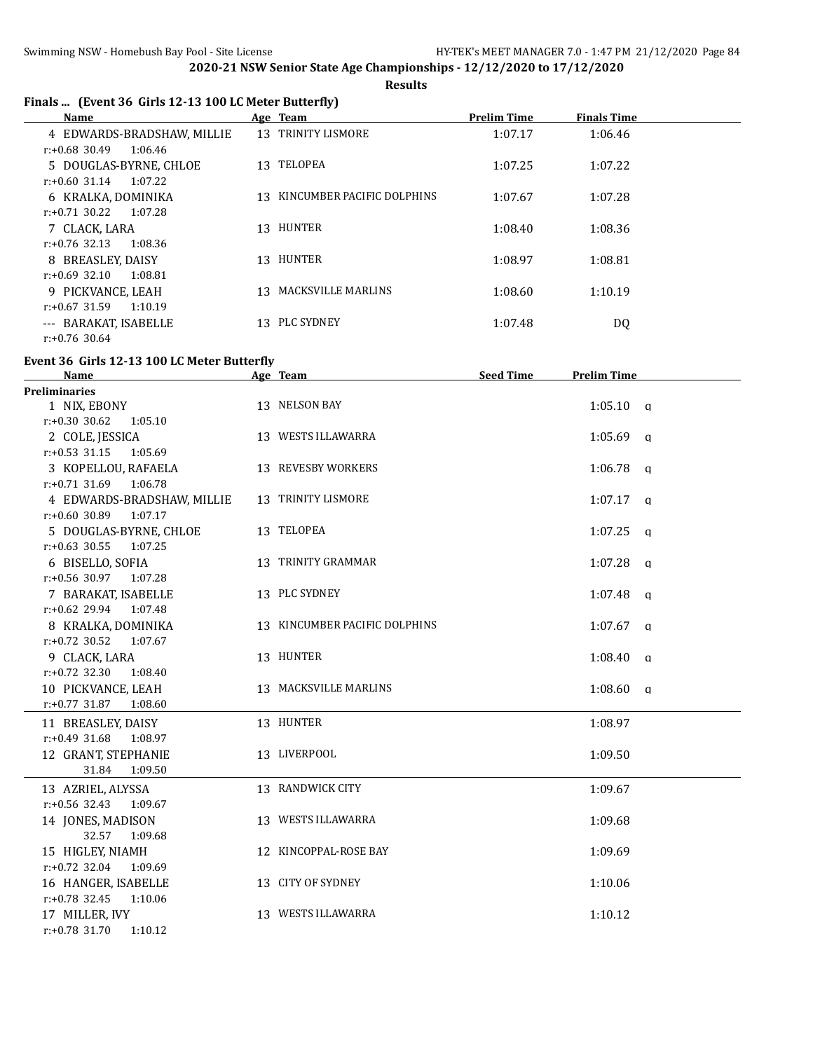**Results**

|  | Finals  (Event 36 Girls 12-13 100 LC Meter Butterfly) |
|--|-------------------------------------------------------|
|  |                                                       |

| Name                        | Age Team                      | <b>Prelim Time</b> | <b>Finals Time</b> |  |
|-----------------------------|-------------------------------|--------------------|--------------------|--|
| 4 EDWARDS-BRADSHAW, MILLIE  | 13 TRINITY LISMORE            | 1:07.17            | 1:06.46            |  |
| $r: +0.68$ 30.49<br>1:06.46 |                               |                    |                    |  |
| 5 DOUGLAS-BYRNE, CHLOE      | 13 TELOPEA                    | 1:07.25            | 1:07.22            |  |
| $r: +0.60$ 31.14<br>1:07.22 |                               |                    |                    |  |
| 6 KRALKA, DOMINIKA          | 13 KINCUMBER PACIFIC DOLPHINS | 1:07.67            | 1:07.28            |  |
| r:+0.71 30.22<br>1:07.28    |                               |                    |                    |  |
| 7 CLACK, LARA               | 13 HUNTER                     | 1:08.40            | 1:08.36            |  |
| $r: +0.76$ 32.13<br>1:08.36 |                               |                    |                    |  |
| 8 BREASLEY, DAISY           | 13 HUNTER                     | 1:08.97            | 1:08.81            |  |
| $r: +0.69$ 32.10<br>1:08.81 |                               |                    |                    |  |
| 9 PICKVANCE, LEAH           | 13 MACKSVILLE MARLINS         | 1:08.60            | 1:10.19            |  |
| 1:10.19<br>$r: +0.67$ 31.59 |                               |                    |                    |  |
| --- BARAKAT, ISABELLE       | 13 PLC SYDNEY                 | 1:07.48            | DQ                 |  |
| $r: +0.76$ 30.64            |                               |                    |                    |  |

### **Event 36 Girls 12-13 100 LC Meter Butterfly**

| <b>Name</b>                 | Age Team                      | <b>Seed Time</b> | <b>Prelim Time</b> |
|-----------------------------|-------------------------------|------------------|--------------------|
| <b>Preliminaries</b>        |                               |                  |                    |
| 1 NIX, EBONY                | 13 NELSON BAY                 |                  | $1:05.10$ q        |
| $r: +0.30$ 30.62<br>1:05.10 |                               |                  |                    |
| 2 COLE, JESSICA             | 13 WESTS ILLAWARRA            |                  | $1:05.69$ q        |
| $r: +0.53$ 31.15<br>1:05.69 |                               |                  |                    |
| 3 KOPELLOU, RAFAELA         | 13 REVESBY WORKERS            |                  | $1:06.78$ q        |
| r:+0.71 31.69 1:06.78       |                               |                  |                    |
| 4 EDWARDS-BRADSHAW, MILLIE  | 13 TRINITY LISMORE            |                  | $1:07.17$ q        |
| $r: +0.60$ 30.89<br>1:07.17 |                               |                  |                    |
| 5 DOUGLAS-BYRNE, CHLOE      | 13 TELOPEA                    |                  | $1:07.25$ a        |
| $r: +0.63$ 30.55<br>1:07.25 |                               |                  |                    |
| 6 BISELLO, SOFIA            | 13 TRINITY GRAMMAR            |                  | $1:07.28$ a        |
| $r: +0.56$ 30.97 1:07.28    |                               |                  |                    |
| 7 BARAKAT, ISABELLE         | 13 PLC SYDNEY                 |                  | $1:07.48$ a        |
| $r: +0.62$ 29.94 1:07.48    |                               |                  |                    |
| 8 KRALKA, DOMINIKA          | 13 KINCUMBER PACIFIC DOLPHINS |                  | $1:07.67$ q        |
| $r: +0.72$ 30.52 1:07.67    |                               |                  |                    |
| 9 CLACK, LARA               | 13 HUNTER                     |                  | $1:08.40$ a        |
| $r: +0.72$ 32.30<br>1:08.40 |                               |                  |                    |
| 10 PICKVANCE, LEAH          | 13 MACKSVILLE MARLINS         |                  | $1:08.60$ q        |
| $r: +0.77$ 31.87<br>1:08.60 |                               |                  |                    |
| 11 BREASLEY, DAISY          | 13 HUNTER                     |                  | 1:08.97            |
| r:+0.49 31.68 1:08.97       |                               |                  |                    |
| 12 GRANT, STEPHANIE         | 13 LIVERPOOL                  |                  | 1:09.50            |
| 31.84<br>1:09.50            |                               |                  |                    |
| 13 AZRIEL, ALYSSA           | 13 RANDWICK CITY              |                  | 1:09.67            |
| $r: +0.56$ 32.43 1:09.67    |                               |                  |                    |
| 14 JONES, MADISON           | 13 WESTS ILLAWARRA            |                  | 1:09.68            |
| 32.57<br>1:09.68            |                               |                  |                    |
| 15 HIGLEY, NIAMH            | 12 KINCOPPAL-ROSE BAY         |                  | 1:09.69            |
| $r: +0.72$ 32.04 1:09.69    |                               |                  |                    |
| 16 HANGER, ISABELLE         | 13 CITY OF SYDNEY             |                  | 1:10.06            |
| $r: +0.78$ 32.45<br>1:10.06 |                               |                  |                    |
| 17 MILLER, IVY              | 13 WESTS ILLAWARRA            |                  | 1:10.12            |
| $r: +0.78$ 31.70<br>1:10.12 |                               |                  |                    |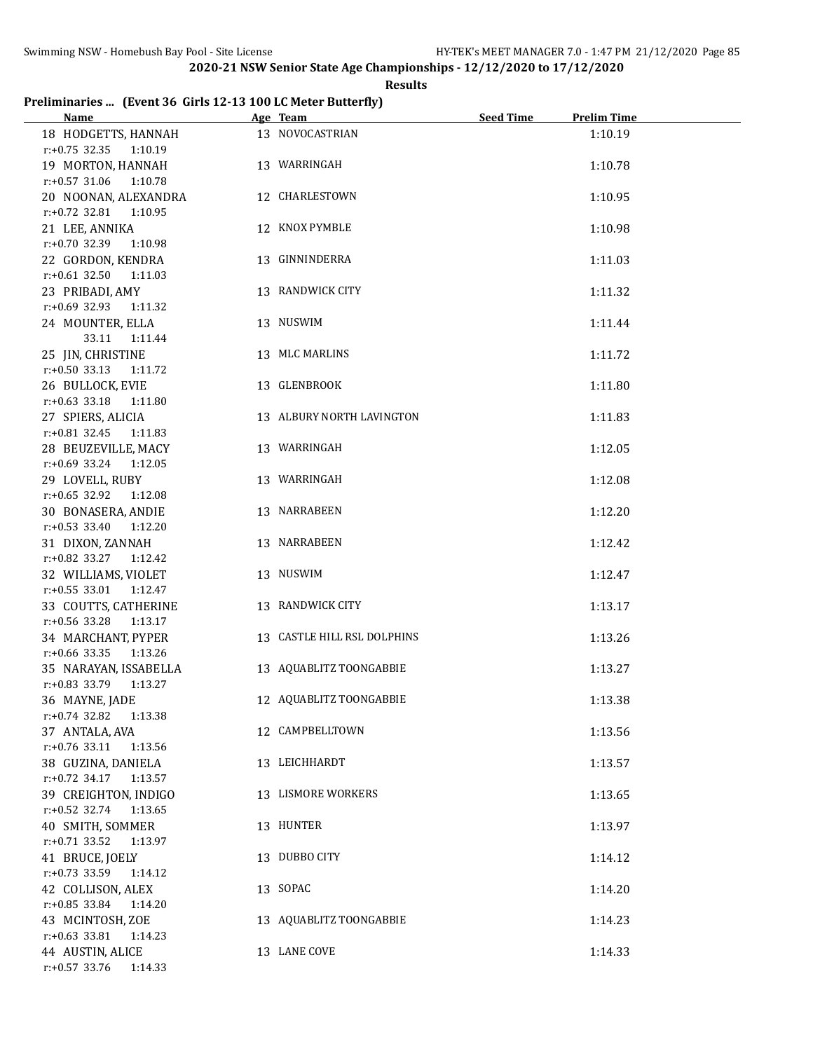### **Preliminaries ... (Event 36 Girls 12-13 100 LC Meter Butterfly)**

| The minimal result to the state of the state of $\frac{1}{2}$ . The state of $\frac{1}{2}$<br><u>Name</u> | Age Team                    | <b>Seed Time</b><br><b>Prelim Time</b> |
|-----------------------------------------------------------------------------------------------------------|-----------------------------|----------------------------------------|
| 18 HODGETTS, HANNAH                                                                                       | 13 NOVOCASTRIAN             | 1:10.19                                |
|                                                                                                           |                             |                                        |
| $r.+0.75$ 32.35 1:10.19                                                                                   |                             |                                        |
| 19 MORTON, HANNAH                                                                                         | 13 WARRINGAH                | 1:10.78                                |
| $r: +0.57$ 31.06 1:10.78                                                                                  |                             |                                        |
| 20 NOONAN, ALEXANDRA                                                                                      | 12 CHARLESTOWN              | 1:10.95                                |
| r:+0.72 32.81 1:10.95                                                                                     |                             |                                        |
| 21 LEE, ANNIKA                                                                                            | 12 KNOX PYMBLE              | 1:10.98                                |
| $r: +0.70$ 32.39<br>1:10.98                                                                               |                             |                                        |
| 22 GORDON, KENDRA                                                                                         | 13 GINNINDERRA              | 1:11.03                                |
| $r: +0.61$ 32.50 1:11.03                                                                                  |                             |                                        |
| 23 PRIBADI, AMY                                                                                           | 13 RANDWICK CITY            | 1:11.32                                |
| r:+0.69 32.93 1:11.32                                                                                     |                             |                                        |
| 24 MOUNTER, ELLA                                                                                          | 13 NUSWIM                   | 1:11.44                                |
| 33.11  1:11.44                                                                                            |                             |                                        |
| 25 JIN, CHRISTINE                                                                                         | 13 MLC MARLINS              | 1:11.72                                |
| $r: +0.50$ 33.13<br>1:11.72                                                                               |                             |                                        |
| 26 BULLOCK, EVIE                                                                                          | 13 GLENBROOK                | 1:11.80                                |
| $r.+0.63$ 33.18 1:11.80                                                                                   |                             |                                        |
| 27 SPIERS, ALICIA                                                                                         | 13 ALBURY NORTH LAVINGTON   | 1:11.83                                |
| r:+0.81 32.45 1:11.83                                                                                     |                             |                                        |
| 28 BEUZEVILLE, MACY                                                                                       | 13 WARRINGAH                | 1:12.05                                |
| r:+0.69 33.24 1:12.05                                                                                     |                             |                                        |
| 29 LOVELL, RUBY                                                                                           | 13 WARRINGAH                | 1:12.08                                |
| r:+0.65 32.92 1:12.08                                                                                     |                             |                                        |
| 30 BONASERA, ANDIE                                                                                        | 13 NARRABEEN                | 1:12.20                                |
| r:+0.53 33.40 1:12.20                                                                                     |                             |                                        |
| 31 DIXON, ZANNAH                                                                                          | 13 NARRABEEN                | 1:12.42                                |
| r:+0.82 33.27 1:12.42                                                                                     |                             |                                        |
| 32 WILLIAMS, VIOLET                                                                                       | 13 NUSWIM                   | 1:12.47                                |
| r:+0.55 33.01 1:12.47                                                                                     |                             |                                        |
| 33 COUTTS, CATHERINE                                                                                      | 13 RANDWICK CITY            | 1:13.17                                |
| r:+0.56 33.28 1:13.17                                                                                     |                             |                                        |
| 34 MARCHANT, PYPER                                                                                        | 13 CASTLE HILL RSL DOLPHINS | 1:13.26                                |
| r:+0.66 33.35 1:13.26                                                                                     |                             |                                        |
| 35 NARAYAN, ISSABELLA                                                                                     | 13 AQUABLITZ TOONGABBIE     | 1:13.27                                |
| r:+0.83 33.79 1:13.27                                                                                     |                             |                                        |
| 36 MAYNE, JADE                                                                                            | 12 AQUABLITZ TOONGABBIE     | 1:13.38                                |
| r:+0.74 32.82<br>1:13.38                                                                                  |                             |                                        |
| 37 ANTALA, AVA                                                                                            | 12 CAMPBELLTOWN             | 1:13.56                                |
| $r.+0.76$ 33.11<br>1:13.56                                                                                |                             |                                        |
| 38 GUZINA, DANIELA                                                                                        | 13 LEICHHARDT               | 1:13.57                                |
| r:+0.72 34.17 1:13.57                                                                                     |                             |                                        |
| 39 CREIGHTON, INDIGO                                                                                      | 13 LISMORE WORKERS          | 1:13.65                                |
| $r: +0.52$ 32.74<br>1:13.65                                                                               |                             |                                        |
| 40 SMITH, SOMMER                                                                                          | 13 HUNTER                   | 1:13.97                                |
| $r.+0.71$ 33.52<br>1:13.97                                                                                |                             |                                        |
| 41 BRUCE, JOELY                                                                                           | 13 DUBBO CITY               | 1:14.12                                |
| $r: +0.73$ 33.59<br>1:14.12                                                                               |                             |                                        |
| 42 COLLISON, ALEX                                                                                         | 13 SOPAC                    | 1:14.20                                |
| $r: +0.85$ 33.84<br>1:14.20                                                                               |                             |                                        |
| 43 MCINTOSH, ZOE                                                                                          | 13 AQUABLITZ TOONGABBIE     | 1:14.23                                |
| $r.+0.63$ 33.81<br>1:14.23                                                                                |                             |                                        |
| 44 AUSTIN, ALICE                                                                                          | 13 LANE COVE                | 1:14.33                                |
| r:+0.57 33.76 1:14.33                                                                                     |                             |                                        |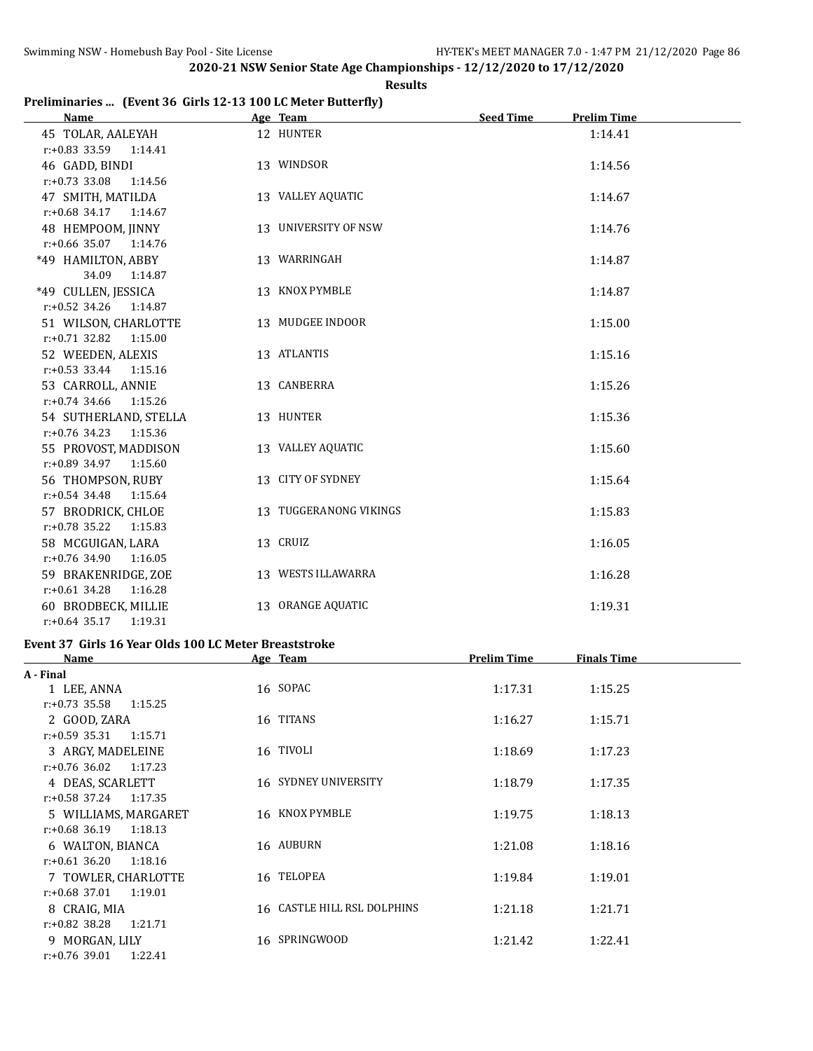### **Results**

# **Preliminaries ... (Event 36 Girls 12-13 100 LC Meter Butterfly)**

| <b>Name</b>                                       | Age Team and the state of the state of the state of the state of the state of the state of the state of the state of the state of the state of the state of the state of the state of the state of the state of the state of t | <b>Seed Time</b><br><b>Prelim Time</b> |
|---------------------------------------------------|--------------------------------------------------------------------------------------------------------------------------------------------------------------------------------------------------------------------------------|----------------------------------------|
| 45 TOLAR, AALEYAH                                 | 12 HUNTER                                                                                                                                                                                                                      | 1:14.41                                |
| r:+0.83 33.59 1:14.41                             |                                                                                                                                                                                                                                |                                        |
| 46 GADD, BINDI                                    | 13 WINDSOR                                                                                                                                                                                                                     | 1:14.56                                |
| $r: +0.73$ 33.08<br>1:14.56                       |                                                                                                                                                                                                                                |                                        |
| 47 SMITH, MATILDA                                 | 13 VALLEY AQUATIC                                                                                                                                                                                                              | 1:14.67                                |
| $r.+0.68$ 34.17 1:14.67                           |                                                                                                                                                                                                                                |                                        |
| 48 HEMPOOM, JINNY                                 | 13 UNIVERSITY OF NSW                                                                                                                                                                                                           | 1:14.76                                |
| $r: +0.66$ 35.07 1:14.76                          |                                                                                                                                                                                                                                |                                        |
| *49 HAMILTON, ABBY                                | 13 WARRINGAH                                                                                                                                                                                                                   | 1:14.87                                |
| 34.09<br>1:14.87                                  |                                                                                                                                                                                                                                |                                        |
| *49 CULLEN, JESSICA                               | 13 KNOX PYMBLE                                                                                                                                                                                                                 | 1:14.87                                |
| $r: +0.52$ 34.26<br>1:14.87                       |                                                                                                                                                                                                                                |                                        |
| 51 WILSON, CHARLOTTE                              | 13 MUDGEE INDOOR                                                                                                                                                                                                               | 1:15.00                                |
| r:+0.71 32.82 1:15.00                             |                                                                                                                                                                                                                                |                                        |
| 52 WEEDEN, ALEXIS                                 | 13 ATLANTIS                                                                                                                                                                                                                    | 1:15.16                                |
| $r.+0.53$ 33.44 1:15.16                           |                                                                                                                                                                                                                                |                                        |
| 53 CARROLL, ANNIE                                 | 13 CANBERRA                                                                                                                                                                                                                    | 1:15.26                                |
| $r: +0.74$ 34.66<br>1:15.26                       |                                                                                                                                                                                                                                |                                        |
| 54 SUTHERLAND, STELLA<br>$r: +0.76$ 34.23 1:15.36 | 13 HUNTER                                                                                                                                                                                                                      | 1:15.36                                |
| 55 PROVOST, MADDISON                              | 13 VALLEY AQUATIC                                                                                                                                                                                                              | 1:15.60                                |
| r:+0.89 34.97<br>1:15.60                          |                                                                                                                                                                                                                                |                                        |
| 56 THOMPSON, RUBY                                 | 13 CITY OF SYDNEY                                                                                                                                                                                                              | 1:15.64                                |
| $r: +0.54$ 34.48<br>1:15.64                       |                                                                                                                                                                                                                                |                                        |
| 57 BRODRICK, CHLOE                                | 13 TUGGERANONG VIKINGS                                                                                                                                                                                                         | 1:15.83                                |
| $r: +0.78$ 35.22<br>1:15.83                       |                                                                                                                                                                                                                                |                                        |
| 58 MCGUIGAN, LARA                                 | 13 CRUIZ                                                                                                                                                                                                                       | 1:16.05                                |
| $r: +0.76$ 34.90 1:16.05                          |                                                                                                                                                                                                                                |                                        |
| 59 BRAKENRIDGE, ZOE                               | 13 WESTS ILLAWARRA                                                                                                                                                                                                             | 1:16.28                                |
| $r: +0.61$ 34.28<br>1:16.28                       |                                                                                                                                                                                                                                |                                        |
| 60 BRODBECK, MILLIE                               | 13 ORANGE AQUATIC                                                                                                                                                                                                              | 1:19.31                                |
| $r: +0.64$ 35.17 1:19.31                          |                                                                                                                                                                                                                                |                                        |

### **Event 37 Girls 16 Year Olds 100 LC Meter Breaststroke**

| Name                        | Age Team                    | <b>Prelim Time</b> | <b>Finals Time</b> |  |
|-----------------------------|-----------------------------|--------------------|--------------------|--|
| A - Final                   |                             |                    |                    |  |
| 1 LEE, ANNA                 | 16 SOPAC                    | 1:17.31            | 1:15.25            |  |
| $r: +0.73$ 35.58<br>1:15.25 |                             |                    |                    |  |
| 2 GOOD, ZARA                | 16 TITANS                   | 1:16.27            | 1:15.71            |  |
| $r: +0.59$ 35.31<br>1:15.71 |                             |                    |                    |  |
| 3 ARGY, MADELEINE           | 16 TIVOLI                   | 1:18.69            | 1:17.23            |  |
| $r: +0.76$ 36.02<br>1:17.23 |                             |                    |                    |  |
| 4 DEAS, SCARLETT            | <b>16 SYDNEY UNIVERSITY</b> | 1:18.79            | 1:17.35            |  |
| r:+0.58 37.24<br>1:17.35    |                             |                    |                    |  |
| 5 WILLIAMS, MARGARET        | 16 KNOX PYMBLE              | 1:19.75            | 1:18.13            |  |
| $r: +0.68$ 36.19<br>1:18.13 |                             |                    |                    |  |
| 6 WALTON, BIANCA            | 16 AUBURN                   | 1:21.08            | 1:18.16            |  |
| $r: +0.61$ 36.20<br>1:18.16 |                             |                    |                    |  |
| 7 TOWLER, CHARLOTTE         | 16 TELOPEA                  | 1:19.84            | 1:19.01            |  |
| $r: +0.68$ 37.01<br>1:19.01 |                             |                    |                    |  |
| 8 CRAIG, MIA                | 16 CASTLE HILL RSL DOLPHINS | 1:21.18            | 1:21.71            |  |
| $r: +0.82$ 38.28<br>1:21.71 |                             |                    |                    |  |
| 9 MORGAN, LILY              | 16 SPRINGWOOD               | 1:21.42            | 1:22.41            |  |
| $r: +0.76$ 39.01<br>1:22.41 |                             |                    |                    |  |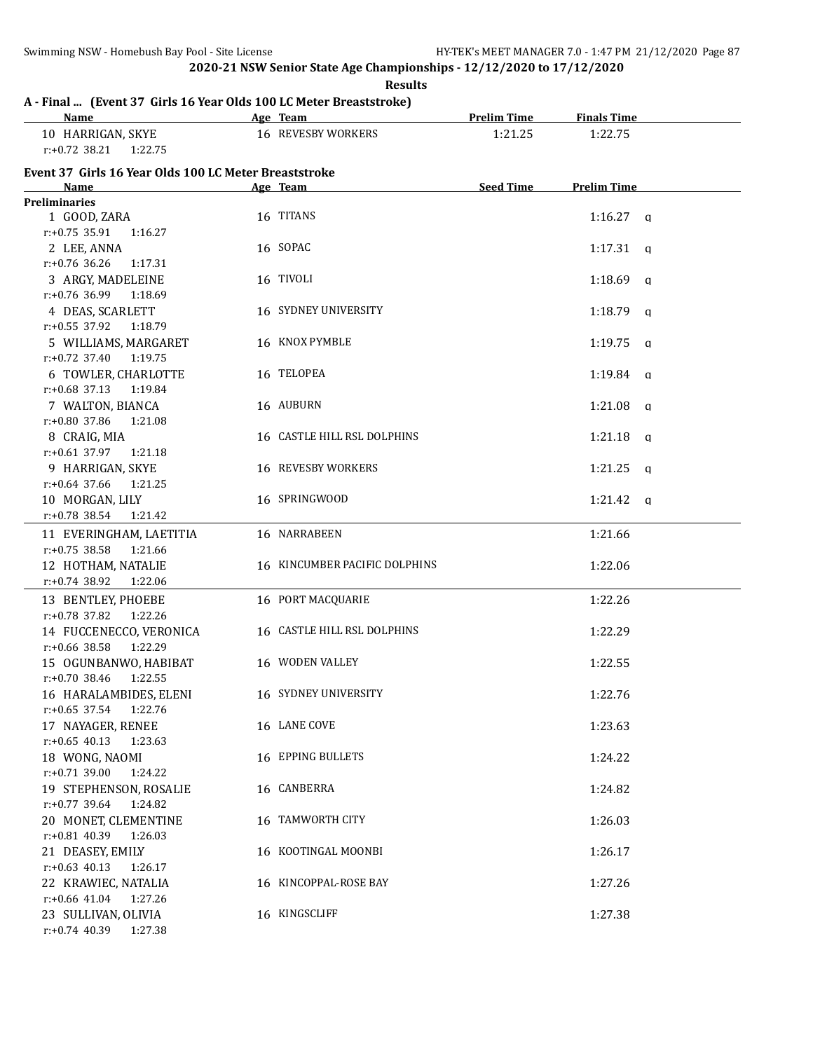**Results**

# **A - Final ... (Event 37 Girls 16 Year Olds 100 LC Meter Breaststroke)**

| <u>Name</u>                                           | Age Team                      | <b>Prelim Time</b> | <b>Finals Time</b> |  |
|-------------------------------------------------------|-------------------------------|--------------------|--------------------|--|
| 10 HARRIGAN, SKYE                                     | 16 REVESBY WORKERS            | 1:21.25            | 1:22.75            |  |
| $r: +0.72$ 38.21<br>1:22.75                           |                               |                    |                    |  |
| Event 37 Girls 16 Year Olds 100 LC Meter Breaststroke |                               |                    |                    |  |
| Name                                                  | Age Team                      | <b>Seed Time</b>   | <b>Prelim Time</b> |  |
| <b>Preliminaries</b>                                  |                               |                    |                    |  |
| 1 GOOD, ZARA                                          | 16 TITANS                     |                    | $1:16.27$ q        |  |
| $r: +0.75$ 35.91<br>1:16.27                           |                               |                    |                    |  |
| 2 LEE, ANNA                                           | 16 SOPAC                      |                    | $1:17.31$ q        |  |
| $r: +0.76$ 36.26<br>1:17.31                           |                               |                    |                    |  |
| 3 ARGY, MADELEINE                                     | 16 TIVOLI                     |                    | $1:18.69$ q        |  |
| $r: +0.76$ 36.99<br>1:18.69                           |                               |                    |                    |  |
| 4 DEAS, SCARLETT                                      | <b>16 SYDNEY UNIVERSITY</b>   |                    | $1:18.79$ q        |  |
| $r: +0.55$ 37.92<br>1:18.79                           |                               |                    |                    |  |
| 5 WILLIAMS, MARGARET                                  | 16 KNOX PYMBLE                |                    | $1:19.75$ q        |  |
| $r: +0.72$ 37.40<br>1:19.75                           |                               |                    |                    |  |
| 6 TOWLER, CHARLOTTE                                   | 16 TELOPEA                    |                    | $1:19.84$ q        |  |
| $r: +0.68$ 37.13<br>1:19.84                           |                               |                    |                    |  |
| 7 WALTON, BIANCA                                      | 16 AUBURN                     |                    | $1:21.08$ q        |  |
| $r: +0.80$ 37.86<br>1:21.08                           |                               |                    |                    |  |
| 8 CRAIG, MIA                                          | 16 CASTLE HILL RSL DOLPHINS   |                    | $1:21.18$ a        |  |
| $r: +0.61$ 37.97<br>1:21.18                           |                               |                    |                    |  |
| 9 HARRIGAN, SKYE                                      | <b>16 REVESBY WORKERS</b>     |                    | $1:21.25$ q        |  |
| $r: +0.64$ 37.66<br>1:21.25                           |                               |                    |                    |  |
| 10 MORGAN, LILY                                       | 16 SPRINGWOOD                 |                    | 1:21.42 $q$        |  |
| $r.+0.78$ 38.54<br>1:21.42                            |                               |                    |                    |  |
| 11 EVERINGHAM, LAETITIA                               | 16 NARRABEEN                  |                    | 1:21.66            |  |
| $r: +0.75$ 38.58<br>1:21.66                           |                               |                    |                    |  |
| 12 HOTHAM, NATALIE                                    | 16 KINCUMBER PACIFIC DOLPHINS |                    | 1:22.06            |  |
| r:+0.74 38.92<br>1:22.06                              |                               |                    |                    |  |
| 13 BENTLEY, PHOEBE                                    | 16 PORT MACQUARIE             |                    | 1:22.26            |  |
| r:+0.78 37.82<br>1:22.26                              |                               |                    |                    |  |
| 14 FUCCENECCO, VERONICA                               | 16 CASTLE HILL RSL DOLPHINS   |                    | 1:22.29            |  |
| r:+0.66 38.58<br>1:22.29                              |                               |                    |                    |  |
| 15 OGUNBANWO, HABIBAT                                 | 16 WODEN VALLEY               |                    | 1:22.55            |  |
| $r: +0.70$ 38.46<br>1:22.55                           |                               |                    |                    |  |
| 16 HARALAMBIDES, ELENI                                | 16 SYDNEY UNIVERSITY          |                    | 1:22.76            |  |
| $r: +0.65$ 37.54<br>1:22.76                           |                               |                    |                    |  |
| 17 NAYAGER, RENEE                                     | 16 LANE COVE                  |                    | 1:23.63            |  |
| $r: +0.65$ 40.13<br>1:23.63                           |                               |                    |                    |  |
| 18 WONG, NAOMI                                        | 16 EPPING BULLETS             |                    | 1:24.22            |  |
| $r: +0.71$ 39.00<br>1:24.22                           |                               |                    |                    |  |
| 19 STEPHENSON, ROSALIE                                | 16 CANBERRA                   |                    | 1:24.82            |  |
| $r: +0.77$ 39.64<br>1:24.82                           |                               |                    |                    |  |
| 20 MONET, CLEMENTINE                                  | 16 TAMWORTH CITY              |                    | 1:26.03            |  |
| r:+0.81 40.39<br>1:26.03                              |                               |                    |                    |  |
| 21 DEASEY, EMILY                                      | 16 KOOTINGAL MOONBI           |                    | 1:26.17            |  |
| $r: +0.63$ 40.13<br>1:26.17                           |                               |                    |                    |  |
| 22 KRAWIEC, NATALIA                                   | 16 KINCOPPAL-ROSE BAY         |                    | 1:27.26            |  |
| $r: +0.66$ 41.04<br>1:27.26                           |                               |                    |                    |  |
| 23 SULLIVAN, OLIVIA                                   | 16 KINGSCLIFF                 |                    | 1:27.38            |  |
| $r.+0.74$ 40.39<br>1:27.38                            |                               |                    |                    |  |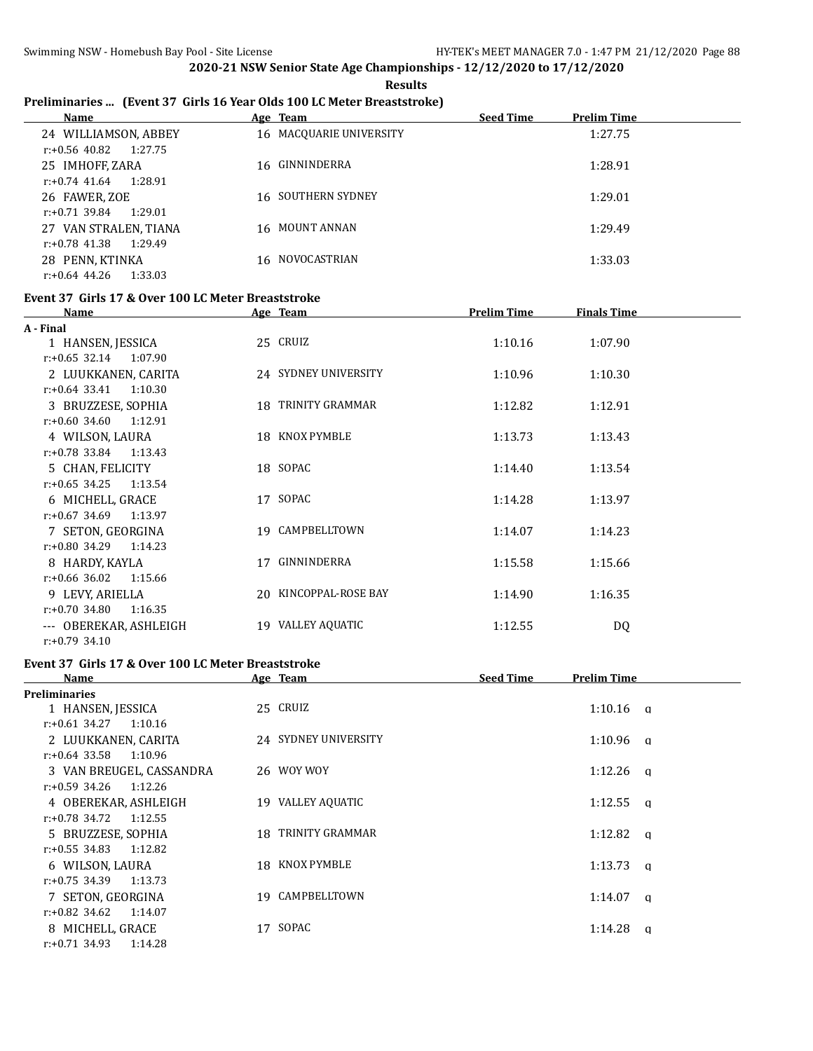### **Preliminaries ... (Event 37 Girls 16 Year Olds 100 LC Meter Breaststroke)**

| Name                        | Age Team                | <b>Seed Time</b> | <b>Prelim Time</b> |
|-----------------------------|-------------------------|------------------|--------------------|
| 24 WILLIAMSON, ABBEY        | 16 MACQUARIE UNIVERSITY |                  | 1:27.75            |
| $r: +0.56$ 40.82<br>1:27.75 |                         |                  |                    |
| 25 IMHOFF, ZARA             | 16 GINNINDERRA          |                  | 1:28.91            |
| $r: +0.74$ 41.64<br>1:28.91 |                         |                  |                    |
| 26 FAWER, ZOE               | 16 SOUTHERN SYDNEY      |                  | 1:29.01            |
| r:+0.71 39.84<br>1:29.01    |                         |                  |                    |
| 27 VAN STRALEN, TIANA       | 16 MOUNT ANNAN          |                  | 1:29.49            |
| r:+0.78 41.38<br>1:29.49    |                         |                  |                    |
| 28 PENN, KTINKA             | 16 NOVOCASTRIAN         |                  | 1:33.03            |
| r:+0.64 44.26<br>1:33.03    |                         |                  |                    |

#### **Event 37 Girls 17 & Over 100 LC Meter Breaststroke**

| <b>Name</b>                 |    | Age Team              | <b>Prelim Time</b> | <b>Finals Time</b> |  |
|-----------------------------|----|-----------------------|--------------------|--------------------|--|
| A - Final                   |    |                       |                    |                    |  |
| 1 HANSEN, JESSICA           |    | 25 CRUIZ              | 1:10.16            | 1:07.90            |  |
| $r: +0.65$ 32.14 1:07.90    |    |                       |                    |                    |  |
| 2 LUUKKANEN, CARITA         |    | 24 SYDNEY UNIVERSITY  | 1:10.96            | 1:10.30            |  |
| $r: +0.64$ 33.41<br>1:10.30 |    |                       |                    |                    |  |
| 3 BRUZZESE, SOPHIA          |    | 18 TRINITY GRAMMAR    | 1:12.82            | 1:12.91            |  |
| $r: +0.60$ 34.60<br>1:12.91 |    |                       |                    |                    |  |
| 4 WILSON, LAURA             |    | 18 KNOX PYMBLE        | 1:13.73            | 1:13.43            |  |
| r:+0.78 33.84<br>1:13.43    |    |                       |                    |                    |  |
| 5 CHAN, FELICITY            |    | 18 SOPAC              | 1:14.40            | 1:13.54            |  |
| $r: +0.65$ 34.25<br>1:13.54 |    |                       |                    |                    |  |
| 6 MICHELL, GRACE            |    | 17 SOPAC              | 1:14.28            | 1:13.97            |  |
| $r: +0.67$ 34.69<br>1:13.97 |    |                       |                    |                    |  |
| 7 SETON, GEORGINA           |    | 19 CAMPBELLTOWN       | 1:14.07            | 1:14.23            |  |
| $r: +0.80$ 34.29<br>1:14.23 |    |                       |                    |                    |  |
| 8 HARDY, KAYLA              | 17 | GINNINDERRA           | 1:15.58            | 1:15.66            |  |
| $r: +0.66$ 36.02<br>1:15.66 |    |                       |                    |                    |  |
| 9 LEVY, ARIELLA             |    | 20 KINCOPPAL-ROSE BAY | 1:14.90            | 1:16.35            |  |
| $r: +0.70$ 34.80<br>1:16.35 |    |                       |                    |                    |  |
| --- OBEREKAR, ASHLEIGH      |    | 19 VALLEY AQUATIC     | 1:12.55            | DQ                 |  |
| $r: +0.79$ 34.10            |    |                       |                    |                    |  |

# **Event 37 Girls 17 & Over 100 LC Meter Breaststroke**

| Name                        | Age Team             | <b>Seed Time</b><br><b>Prelim Time</b> |
|-----------------------------|----------------------|----------------------------------------|
| <b>Preliminaries</b>        |                      |                                        |
| 1 HANSEN, JESSICA           | 25 CRUIZ             | $1:10.16$ a                            |
| $r: +0.61$ 34.27<br>1:10.16 |                      |                                        |
| 2 LUUKKANEN, CARITA         | 24 SYDNEY UNIVERSITY | 1:10.96<br>a                           |
| $r: +0.64$ 33.58<br>1:10.96 |                      |                                        |
| 3 VAN BREUGEL, CASSANDRA    | 26 WOY WOY           | $1:12.26$ a                            |
| 1:12.26<br>$r: +0.59$ 34.26 |                      |                                        |
| 4 OBEREKAR, ASHLEIGH        | 19 VALLEY AQUATIC    | 1:12.55<br>$\alpha$                    |
| r:+0.78 34.72<br>1:12.55    |                      |                                        |
| 5 BRUZZESE, SOPHIA          | 18 TRINITY GRAMMAR   | $1:12.82$ a                            |
| $r: +0.55$ 34.83<br>1:12.82 |                      |                                        |
| 6 WILSON, LAURA             | 18 KNOX PYMBLE       | 1:13.73<br>a                           |
| r:+0.75 34.39<br>1:13.73    |                      |                                        |
| 7 SETON, GEORGINA           | CAMPBELLTOWN<br>19.  | 1:14.07<br>a                           |
| $r: +0.82$ 34.62<br>1:14.07 |                      |                                        |
| 8 MICHELL, GRACE            | SOPAC<br>17          | 1:14.28<br>a                           |
| $r: +0.71$ 34.93<br>1:14.28 |                      |                                        |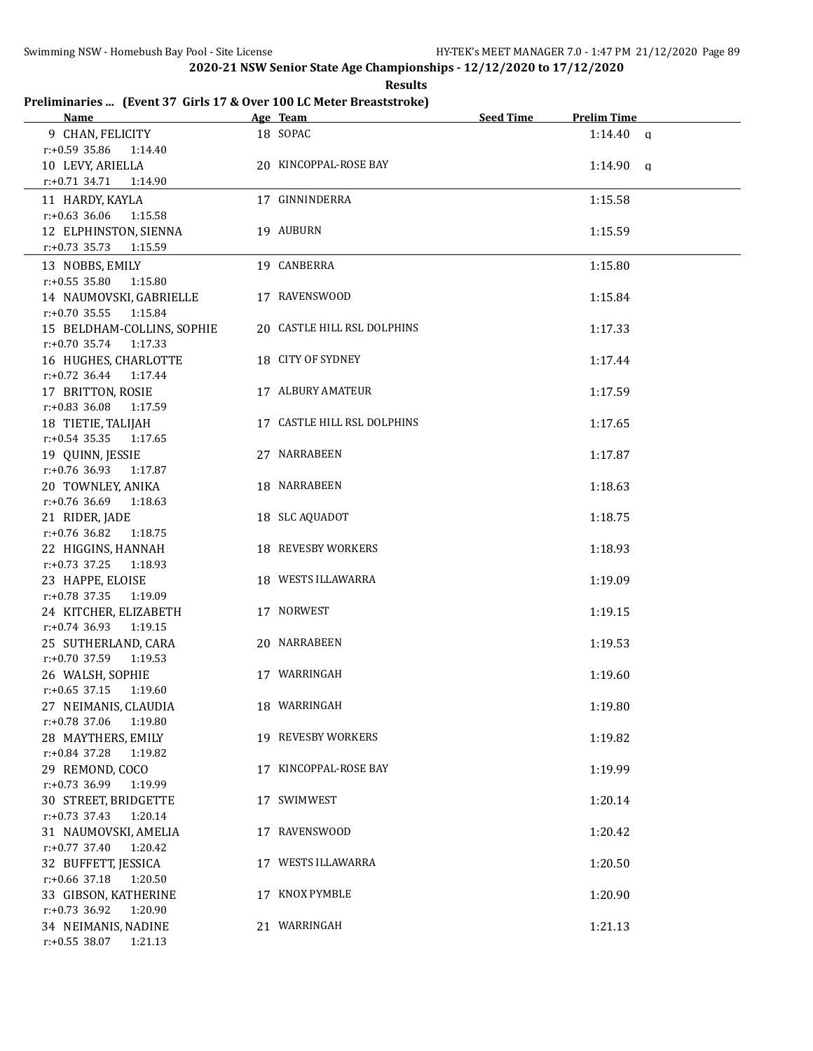**Results**

# **Preliminaries ... (Event 37 Girls 17 & Over 100 LC Meter Breaststroke)**

| <b>Name</b>                                    | Age Team                    | <b>Seed Time</b> | <b>Prelim Time</b> |  |
|------------------------------------------------|-----------------------------|------------------|--------------------|--|
| 9 CHAN, FELICITY                               | 18 SOPAC                    |                  | $1:14.40$ a        |  |
| $r: +0.59$ 35.86<br>1:14.40                    |                             |                  |                    |  |
| 10 LEVY, ARIELLA                               | 20 KINCOPPAL-ROSE BAY       |                  | $1:14.90$ q        |  |
| $r.+0.71$ 34.71<br>1:14.90                     |                             |                  |                    |  |
| 11 HARDY, KAYLA                                | 17 GINNINDERRA              |                  | 1:15.58            |  |
| $r: +0.63$ 36.06<br>1:15.58                    |                             |                  |                    |  |
| 12 ELPHINSTON, SIENNA                          | 19 AUBURN                   |                  | 1:15.59            |  |
| r:+0.73 35.73 1:15.59                          |                             |                  |                    |  |
| 13 NOBBS, EMILY                                | 19 CANBERRA                 |                  | 1:15.80            |  |
| $r: +0.55$ 35.80 1:15.80                       |                             |                  |                    |  |
| 14 NAUMOVSKI, GABRIELLE                        | 17 RAVENSWOOD               |                  | 1:15.84            |  |
| $r: +0.70$ 35.55 1:15.84                       |                             |                  |                    |  |
| 15 BELDHAM-COLLINS, SOPHIE                     | 20 CASTLE HILL RSL DOLPHINS |                  | 1:17.33            |  |
| $r.+0.70$ 35.74 1:17.33                        |                             |                  |                    |  |
| 16 HUGHES, CHARLOTTE                           | 18 CITY OF SYDNEY           |                  | 1:17.44            |  |
| $r: +0.72$ 36.44 1:17.44                       |                             |                  |                    |  |
| 17 BRITTON, ROSIE                              | <b>17 ALBURY AMATEUR</b>    |                  | 1:17.59            |  |
| r:+0.83 36.08 1:17.59                          |                             |                  |                    |  |
| 18 TIETIE, TALIJAH                             | 17 CASTLE HILL RSL DOLPHINS |                  | 1:17.65            |  |
| $r: +0.54$ 35.35 1:17.65                       |                             |                  |                    |  |
| 19 QUINN, JESSIE                               | 27 NARRABEEN                |                  | 1:17.87            |  |
| r:+0.76 36.93 1:17.87                          |                             |                  |                    |  |
| 20 TOWNLEY, ANIKA                              | 18 NARRABEEN                |                  | 1:18.63            |  |
| $r: +0.76$ 36.69 1:18.63                       |                             |                  |                    |  |
| 21 RIDER, JADE                                 | 18 SLC AQUADOT              |                  | 1:18.75            |  |
| $r: +0.76$ 36.82<br>1:18.75                    |                             |                  |                    |  |
| 22 HIGGINS, HANNAH                             | 18 REVESBY WORKERS          |                  | 1:18.93            |  |
| $r: +0.73$ 37.25<br>1:18.93                    |                             |                  |                    |  |
| 23 HAPPE, ELOISE                               | 18 WESTS ILLAWARRA          |                  | 1:19.09            |  |
| r:+0.78 37.35 1:19.09                          |                             |                  |                    |  |
| 24 KITCHER, ELIZABETH                          | 17 NORWEST                  |                  | 1:19.15            |  |
| $r.+0.74$ 36.93 1:19.15                        |                             |                  |                    |  |
| 25 SUTHERLAND, CARA<br>$r.+0.70$ 37.59 1:19.53 | 20 NARRABEEN                |                  | 1:19.53            |  |
| 26 WALSH, SOPHIE                               | 17 WARRINGAH                |                  | 1:19.60            |  |
| $r: +0.65$ 37.15 1:19.60                       |                             |                  |                    |  |
| 27 NEIMANIS, CLAUDIA                           | 18 WARRINGAH                |                  | 1:19.80            |  |
| $r: +0.78$ 37.06<br>1:19.80                    |                             |                  |                    |  |
| 28 MAYTHERS, EMILY                             | 19 REVESBY WORKERS          |                  | 1:19.82            |  |
| $r: +0.84$ 37.28<br>1:19.82                    |                             |                  |                    |  |
| 29 REMOND, COCO                                | 17 KINCOPPAL-ROSE BAY       |                  | 1:19.99            |  |
| $r: +0.73$ 36.99<br>1:19.99                    |                             |                  |                    |  |
| 30 STREET, BRIDGETTE                           | 17 SWIMWEST                 |                  | 1:20.14            |  |
| $r: +0.73$ 37.43<br>1:20.14                    |                             |                  |                    |  |
| 31 NAUMOVSKI, AMELIA                           | 17 RAVENSWOOD               |                  | 1:20.42            |  |
| $r: +0.77$ 37.40<br>1:20.42                    |                             |                  |                    |  |
| 32 BUFFETT, JESSICA                            | 17 WESTS ILLAWARRA          |                  | 1:20.50            |  |
| $r: +0.66$ 37.18<br>1:20.50                    |                             |                  |                    |  |
| 33 GIBSON, KATHERINE                           | 17 KNOX PYMBLE              |                  | 1:20.90            |  |
| $r.+0.73$ 36.92<br>1:20.90                     |                             |                  |                    |  |
| 34 NEIMANIS, NADINE                            | 21 WARRINGAH                |                  | 1:21.13            |  |
| $r: +0.55$ 38.07<br>1:21.13                    |                             |                  |                    |  |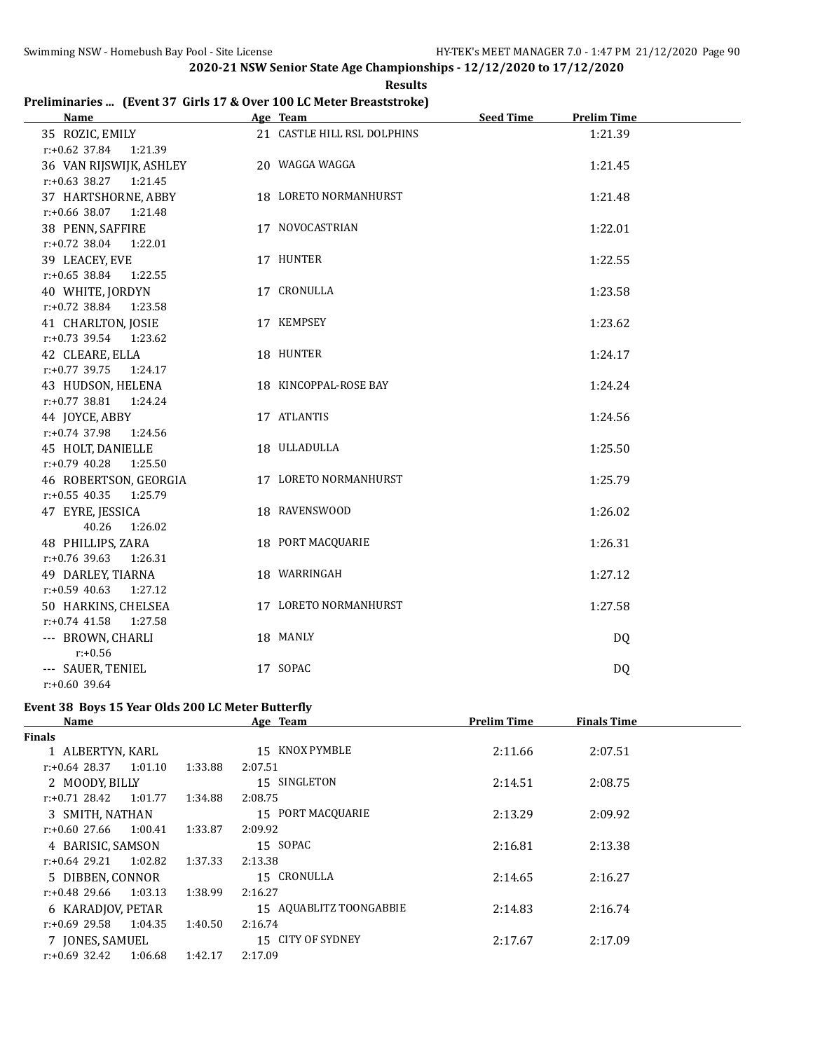|  | <b>Results</b>                                                      |
|--|---------------------------------------------------------------------|
|  | Preliminaries  (Event 37 Girls 17 & Over 100 LC Meter Breaststroke) |

| <b>Name</b>                                      | Age Team and the contract of the state of the state of the state of the state of the state of the state of the | <b>Seed Time</b><br><b>Prelim Time</b> |  |
|--------------------------------------------------|----------------------------------------------------------------------------------------------------------------|----------------------------------------|--|
| 35 ROZIC, EMILY                                  | 21 CASTLE HILL RSL DOLPHINS                                                                                    | 1:21.39                                |  |
| $r: +0.62$ 37.84<br>1:21.39                      |                                                                                                                |                                        |  |
| 36 VAN RIJSWIJK, ASHLEY                          | 20 WAGGA WAGGA                                                                                                 | 1:21.45                                |  |
| $r: +0.63$ 38.27 1:21.45                         |                                                                                                                |                                        |  |
| 37 HARTSHORNE, ABBY                              | 18 LORETO NORMANHURST                                                                                          | 1:21.48                                |  |
| $r: +0.66$ 38.07<br>1:21.48                      |                                                                                                                |                                        |  |
| 38 PENN, SAFFIRE                                 | 17 NOVOCASTRIAN                                                                                                | 1:22.01                                |  |
| $r: +0.72$ 38.04<br>1:22.01                      |                                                                                                                |                                        |  |
| 39 LEACEY, EVE                                   | 17 HUNTER                                                                                                      | 1:22.55                                |  |
| $r: +0.65$ 38.84 1:22.55                         |                                                                                                                |                                        |  |
| 40 WHITE, JORDYN                                 | 17 CRONULLA                                                                                                    | 1:23.58                                |  |
| $r: +0.72$ 38.84 1:23.58                         |                                                                                                                |                                        |  |
| 41 CHARLTON, JOSIE                               | 17 KEMPSEY                                                                                                     | 1:23.62                                |  |
| r:+0.73 39.54 1:23.62                            |                                                                                                                |                                        |  |
| 42 CLEARE, ELLA                                  | 18 HUNTER                                                                                                      | 1:24.17                                |  |
| $r: +0.77$ 39.75 1:24.17                         |                                                                                                                |                                        |  |
| 43 HUDSON, HELENA                                | 18 KINCOPPAL-ROSE BAY                                                                                          | 1:24.24                                |  |
| $r.+0.77$ 38.81 1:24.24                          |                                                                                                                |                                        |  |
| 44 JOYCE, ABBY                                   | 17 ATLANTIS                                                                                                    | 1:24.56                                |  |
| $r: +0.74$ 37.98<br>1:24.56                      | 18 ULLADULLA                                                                                                   |                                        |  |
| 45 HOLT, DANIELLE<br>$r: +0.79$ 40.28<br>1:25.50 |                                                                                                                | 1:25.50                                |  |
| 46 ROBERTSON, GEORGIA                            | 17 LORETO NORMANHURST                                                                                          | 1:25.79                                |  |
| $r: +0.55$ 40.35<br>1:25.79                      |                                                                                                                |                                        |  |
| 47 EYRE, JESSICA                                 | 18 RAVENSWOOD                                                                                                  | 1:26.02                                |  |
| 40.26<br>1:26.02                                 |                                                                                                                |                                        |  |
| 48 PHILLIPS, ZARA                                | 18 PORT MACQUARIE                                                                                              | 1:26.31                                |  |
| $r: +0.76$ 39.63<br>1:26.31                      |                                                                                                                |                                        |  |
| 49 DARLEY, TIARNA                                | 18 WARRINGAH                                                                                                   | 1:27.12                                |  |
| $r: +0.59$ 40.63<br>1:27.12                      |                                                                                                                |                                        |  |
| 50 HARKINS, CHELSEA                              | 17 LORETO NORMANHURST                                                                                          | 1:27.58                                |  |
| $r: +0.74$ 41.58<br>1:27.58                      |                                                                                                                |                                        |  |
| --- BROWN, CHARLI                                | 18 MANLY                                                                                                       | DQ                                     |  |
| $r: +0.56$                                       |                                                                                                                |                                        |  |
| --- SAUER, TENIEL                                | 17 SOPAC                                                                                                       | DQ                                     |  |
| $r: +0.60$ 39.64                                 |                                                                                                                |                                        |  |

# **Event 38 Boys 15 Year Olds 200 LC Meter Butterfly**

| Name              |         |         | Age Team                | <b>Prelim Time</b> | <b>Finals Time</b> |  |
|-------------------|---------|---------|-------------------------|--------------------|--------------------|--|
| Finals            |         |         |                         |                    |                    |  |
| 1 ALBERTYN, KARL  |         |         | KNOX PYMBLE<br>15       | 2:11.66            | 2:07.51            |  |
| r:+0.64 28.37     | 1:01.10 | 1:33.88 | 2:07.51                 |                    |                    |  |
| 2 MOODY, BILLY    |         |         | 15 SINGLETON            | 2:14.51            | 2:08.75            |  |
| $r: +0.71$ 28.42  | 1:01.77 | 1:34.88 | 2:08.75                 |                    |                    |  |
| 3 SMITH, NATHAN   |         |         | 15 PORT MACOUARIE       | 2:13.29            | 2:09.92            |  |
| r:+0.60 27.66     | 1:00.41 | 1:33.87 | 2:09.92                 |                    |                    |  |
| 4 BARISIC, SAMSON |         |         | 15 SOPAC                | 2:16.81            | 2:13.38            |  |
| r:+0.64 29.21     | 1:02.82 | 1:37.33 | 2:13.38                 |                    |                    |  |
| 5 DIBBEN, CONNOR  |         |         | 15 CRONULLA             | 2:14.65            | 2:16.27            |  |
| r:+0.48 29.66     | 1:03.13 | 1:38.99 | 2:16.27                 |                    |                    |  |
| 6 KARADJOV, PETAR |         |         | 15 AQUABLITZ TOONGABBIE | 2:14.83            | 2:16.74            |  |
| $r: +0.69$ 29.58  | 1:04.35 | 1:40.50 | 2:16.74                 |                    |                    |  |
| 7 JONES, SAMUEL   |         |         | 15 CITY OF SYDNEY       | 2:17.67            | 2:17.09            |  |
| $r: +0.69$ 32.42  | 1:06.68 | 1:42.17 | 2:17.09                 |                    |                    |  |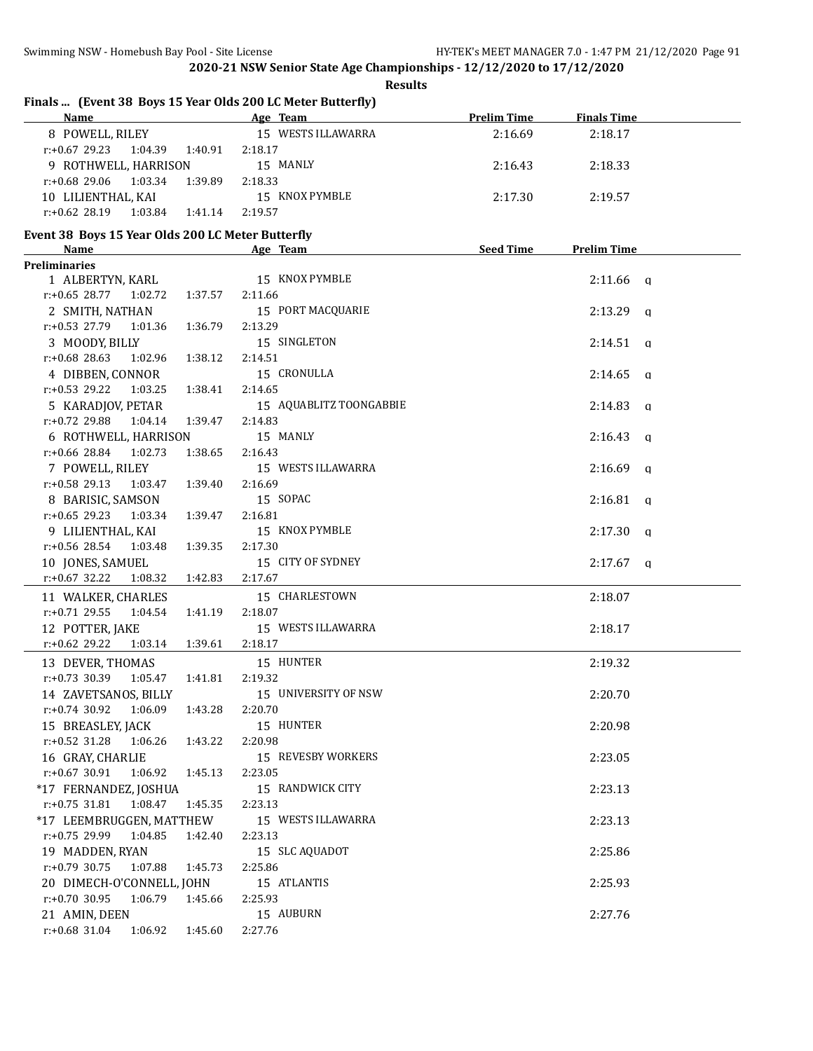| Finals  (Event 38 Boys 15 Year Olds 200 LC Meter Butterfly)<br>Name                                           |         |                         | <b>Prelim Time</b> | <b>Finals Time</b>      |
|---------------------------------------------------------------------------------------------------------------|---------|-------------------------|--------------------|-------------------------|
| and the same of the same state of the same state of the same state of the same state of the same state of the |         | 15 WESTS ILLAWARRA      |                    |                         |
| 8 POWELL, RILEY                                                                                               |         |                         | 2:16.69            | 2:18.17                 |
| $r: +0.67$ 29.23 1:04.39                                                                                      | 1:40.91 | 2:18.17                 |                    |                         |
| 9 ROTHWELL, HARRISON                                                                                          |         | 15 MANLY                | 2:16.43            | 2:18.33                 |
| $r: +0.68$ 29.06<br>1:03.34                                                                                   | 1:39.89 | 2:18.33                 |                    |                         |
| 10 LILIENTHAL, KAI                                                                                            |         | 15 KNOX PYMBLE          | 2:17.30            | 2:19.57                 |
| $r: +0.62$ 28.19 1:03.84                                                                                      | 1:41.14 | 2:19.57                 |                    |                         |
| Event 38 Boys 15 Year Olds 200 LC Meter Butterfly                                                             |         |                         |                    |                         |
| <b>Name</b>                                                                                                   |         | Age Team                | <b>Seed Time</b>   | <b>Prelim Time</b>      |
| <b>Preliminaries</b>                                                                                          |         |                         |                    |                         |
| 1 ALBERTYN, KARL                                                                                              |         | 15 KNOX PYMBLE          |                    | $2:11.66$ a             |
| $r: +0.65$ 28.77 1:02.72                                                                                      | 1:37.57 | 2:11.66                 |                    |                         |
| 2 SMITH, NATHAN                                                                                               |         | 15 PORT MACQUARIE       |                    | $2:13.29$ q             |
| r:+0.53 27.79<br>1:01.36                                                                                      | 1:36.79 | 2:13.29                 |                    |                         |
| 3 MOODY, BILLY                                                                                                |         | 15 SINGLETON            |                    | 2:14.51<br>$\mathbf{q}$ |
| $r: +0.68$ 28.63<br>1:02.96                                                                                   | 1:38.12 | 2:14.51                 |                    |                         |
| 4 DIBBEN, CONNOR                                                                                              |         | 15 CRONULLA             |                    | 2:14.65<br>$\mathbf{q}$ |
| $r: +0.53$ 29.22<br>1:03.25                                                                                   | 1:38.41 | 2:14.65                 |                    |                         |
| 5 KARADJOV, PETAR                                                                                             |         | 15 AQUABLITZ TOONGABBIE |                    | 2:14.83<br>q            |
| $r: +0.72$ 29.88<br>1:04.14                                                                                   | 1:39.47 | 2:14.83                 |                    |                         |
| 6 ROTHWELL, HARRISON                                                                                          |         | 15 MANLY                |                    | 2:16.43<br>q            |
| r:+0.66 28.84<br>1:02.73                                                                                      | 1:38.65 | 2:16.43                 |                    |                         |
| 7 POWELL, RILEY                                                                                               |         | 15 WESTS ILLAWARRA      |                    | 2:16.69<br>q            |
| $r: +0.58$ 29.13<br>1:03.47                                                                                   | 1:39.40 | 2:16.69                 |                    |                         |
| 8 BARISIC, SAMSON                                                                                             |         | 15 SOPAC                |                    | 2:16.81<br>q            |
| $r: +0.65$ 29.23<br>1:03.34                                                                                   | 1:39.47 | 2:16.81                 |                    |                         |
| 9 LILIENTHAL, KAI                                                                                             |         | 15 KNOX PYMBLE          |                    | 2:17.30<br>$\mathbf{q}$ |
| r:+0.56 28.54<br>1:03.48                                                                                      | 1:39.35 | 2:17.30                 |                    |                         |
| 10 JONES, SAMUEL                                                                                              |         | 15 CITY OF SYDNEY       |                    | $2:17.67$ q             |
| $r: +0.67$ 32.22<br>1:08.32                                                                                   | 1:42.83 | 2:17.67                 |                    |                         |
| 11 WALKER, CHARLES                                                                                            |         | 15 CHARLESTOWN          |                    | 2:18.07                 |
| $r: +0.71$ 29.55<br>1:04.54                                                                                   | 1:41.19 | 2:18.07                 |                    |                         |
| 12 POTTER, JAKE                                                                                               |         | 15 WESTS ILLAWARRA      |                    | 2:18.17                 |
| $r: +0.62$ 29.22<br>1:03.14                                                                                   | 1:39.61 | 2:18.17                 |                    |                         |
| 13 DEVER, THOMAS                                                                                              |         | 15 HUNTER               |                    | 2:19.32                 |
| $r: +0.73$ 30.39<br>1:05.47                                                                                   | 1:41.81 | 2:19.32                 |                    |                         |
| 14 ZAVETSANOS, BILLY                                                                                          |         | 15 UNIVERSITY OF NSW    |                    | 2:20.70                 |
| $r: +0.74$ 30.92<br>1:06.09                                                                                   | 1:43.28 | 2:20.70                 |                    |                         |
| 15 BREASLEY, JACK                                                                                             |         | 15 HUNTER               |                    | 2:20.98                 |
| $r: +0.52$ 31.28<br>1:06.26                                                                                   | 1:43.22 | 2:20.98                 |                    |                         |
| 16 GRAY, CHARLIE                                                                                              |         | 15 REVESBY WORKERS      |                    | 2:23.05                 |
| $r: +0.67$ 30.91<br>1:06.92                                                                                   | 1:45.13 | 2:23.05                 |                    |                         |
| *17 FERNANDEZ, JOSHUA                                                                                         |         | 15 RANDWICK CITY        |                    | 2:23.13                 |
| $r: +0.75$ 31.81<br>1:08.47                                                                                   | 1:45.35 | 2:23.13                 |                    |                         |
| *17 LEEMBRUGGEN, MATTHEW                                                                                      |         | 15 WESTS ILLAWARRA      |                    | 2:23.13                 |
| r:+0.75 29.99<br>1:04.85                                                                                      | 1:42.40 | 2:23.13                 |                    |                         |
| 19 MADDEN, RYAN                                                                                               |         | 15 SLC AQUADOT          |                    | 2:25.86                 |
| $r: +0.79$ 30.75<br>1:07.88                                                                                   | 1:45.73 | 2:25.86                 |                    |                         |
| 20 DIMECH-O'CONNELL, JOHN                                                                                     |         | 15 ATLANTIS             |                    | 2:25.93                 |
| r:+0.70 30.95<br>1:06.79                                                                                      | 1:45.66 | 2:25.93                 |                    |                         |
| 21 AMIN, DEEN                                                                                                 |         | 15 AUBURN               |                    | 2:27.76                 |
| r:+0.68 31.04<br>1:06.92                                                                                      | 1:45.60 | 2:27.76                 |                    |                         |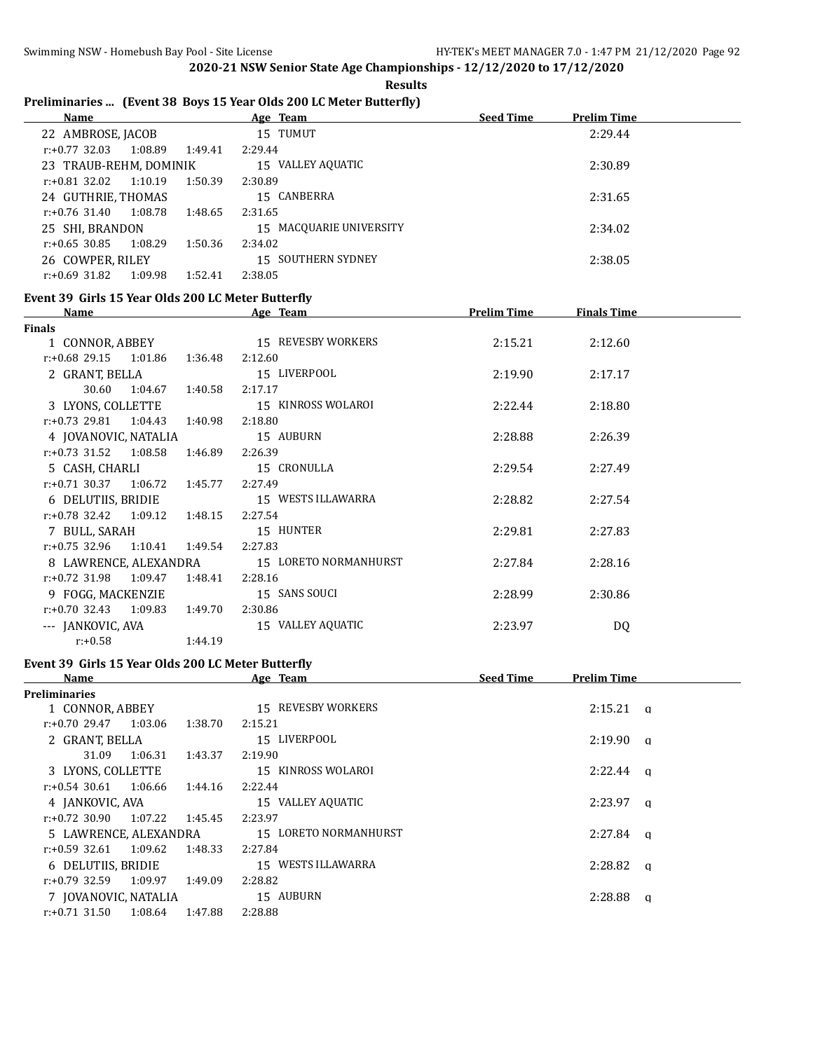### **Results**

# **Preliminaries ... (Event 38 Boys 15 Year Olds 200 LC Meter Butterfly)**

| <b>Name</b>                 |         | <u>Age Team</u>         | <b>Seed Time</b><br><b>Prelim Time</b> |
|-----------------------------|---------|-------------------------|----------------------------------------|
| 22 AMBROSE, JACOB           |         | 15 TUMUT                | 2:29.44                                |
| 1:08.89<br>$r: +0.77$ 32.03 | 1:49.41 | 2:29.44                 |                                        |
| 23 TRAUB-REHM, DOMINIK      |         | 15 VALLEY AQUATIC       | 2:30.89                                |
| 1:10.19<br>$r: +0.81$ 32.02 | 1:50.39 | 2:30.89                 |                                        |
| 24 GUTHRIE, THOMAS          |         | 15 CANBERRA             | 2:31.65                                |
| 1:08.78<br>$r: +0.76$ 31.40 | 1:48.65 | 2:31.65                 |                                        |
| 25 SHI, BRANDON             |         | 15 MACQUARIE UNIVERSITY | 2:34.02                                |
| 1:08.29<br>r:+0.65 30.85    | 1:50.36 | 2:34.02                 |                                        |
| 26 COWPER, RILEY            |         | 15 SOUTHERN SYDNEY      | 2:38.05                                |
| 1:09.98<br>$r: +0.69$ 31.82 | 1:52.41 | 2:38.05                 |                                        |

### **Event 39 Girls 15 Year Olds 200 LC Meter Butterfly**

| Name                        |         | Age Team              | <b>Prelim Time</b> | <b>Finals Time</b> |  |
|-----------------------------|---------|-----------------------|--------------------|--------------------|--|
| Finals                      |         |                       |                    |                    |  |
| 1 CONNOR, ABBEY             |         | 15 REVESBY WORKERS    | 2:15.21            | 2:12.60            |  |
| $r.+0.68$ 29.15 1:01.86     | 1:36.48 | 2:12.60               |                    |                    |  |
| 2 GRANT, BELLA              |         | 15 LIVERPOOL          | 2:19.90            | 2:17.17            |  |
| 30.60<br>1:04.67            | 1:40.58 | 2:17.17               |                    |                    |  |
| 3 LYONS, COLLETTE           |         | 15 KINROSS WOLAROI    | 2:22.44            | 2:18.80            |  |
| $r: +0.73$ 29.81 1:04.43    | 1:40.98 | 2:18.80               |                    |                    |  |
| 4 JOVANOVIC, NATALIA        |         | 15 AUBURN             | 2:28.88            | 2:26.39            |  |
| $r: +0.73$ 31.52 1:08.58    | 1:46.89 | 2:26.39               |                    |                    |  |
| 5 CASH, CHARLI              |         | 15 CRONULLA           | 2:29.54            | 2:27.49            |  |
| $r: +0.71$ 30.37 1:06.72    | 1:45.77 | 2:27.49               |                    |                    |  |
| 6 DELUTIIS, BRIDIE          |         | 15 WESTS ILLAWARRA    | 2:28.82            | 2:27.54            |  |
| $r: +0.78$ 32.42 1:09.12    | 1:48.15 | 2:27.54               |                    |                    |  |
| 7 BULL, SARAH               |         | 15 HUNTER             | 2:29.81            | 2:27.83            |  |
| $r: +0.75$ 32.96 1:10.41    | 1:49.54 | 2:27.83               |                    |                    |  |
| 8 LAWRENCE, ALEXANDRA       |         | 15 LORETO NORMANHURST | 2:27.84            | 2:28.16            |  |
| $r: +0.72$ 31.98 1:09.47    | 1:48.41 | 2:28.16               |                    |                    |  |
| 9 FOGG, MACKENZIE           |         | 15 SANS SOUCI         | 2:28.99            | 2:30.86            |  |
| $r: +0.70$ 32.43<br>1:09.83 | 1:49.70 | 2:30.86               |                    |                    |  |
| --- JANKOVIC, AVA           |         | 15 VALLEY AQUATIC     | 2:23.97            | DQ                 |  |
| $r: +0.58$                  | 1:44.19 |                       |                    |                    |  |

# **Event 39 Girls 15 Year Olds 200 LC Meter Butterfly**

| Name                        |         | Age Team              | <b>Seed Time</b> | <b>Prelim Time</b>  |          |
|-----------------------------|---------|-----------------------|------------------|---------------------|----------|
| Preliminaries               |         |                       |                  |                     |          |
| 1 CONNOR, ABBEY             |         | 15 REVESBY WORKERS    |                  | 2:15.21<br>$\alpha$ |          |
| 1:03.06<br>$r: +0.70$ 29.47 | 1:38.70 | 2:15.21               |                  |                     |          |
| 2 GRANT, BELLA              |         | 15 LIVERPOOL          |                  | 2:19.90             | <b>a</b> |
| 31.09<br>1:06.31            | 1:43.37 | 2:19.90               |                  |                     |          |
| 3 LYONS, COLLETTE           |         | 15 KINROSS WOLAROI    |                  | $2:22.44$ a         |          |
| $r: +0.54$ 30.61 1:06.66    | 1:44.16 | 2:22.44               |                  |                     |          |
| 4 JANKOVIC, AVA             |         | 15 VALLEY AQUATIC     |                  | $2:23.97$ a         |          |
| 1:07.22<br>r:+0.72 30.90    | 1:45.45 | 2:23.97               |                  |                     |          |
| 5 LAWRENCE. ALEXANDRA       |         | 15 LORETO NORMANHURST |                  | $2:27.84$ a         |          |
| $r: +0.59$ 32.61 1:09.62    | 1:48.33 | 2:27.84               |                  |                     |          |
| 6 DELUTIIS, BRIDIE          |         | 15 WESTS ILLAWARRA    |                  | 2:28.82<br>$\alpha$ |          |
| 1:09.97<br>r:+0.79 32.59    | 1:49.09 | 2:28.82               |                  |                     |          |
| 7 JOVANOVIC, NATALIA        |         | 15 AUBURN             |                  | 2:28.88             | a        |
| $r: +0.71$ 31.50<br>1:08.64 | 1:47.88 | 2:28.88               |                  |                     |          |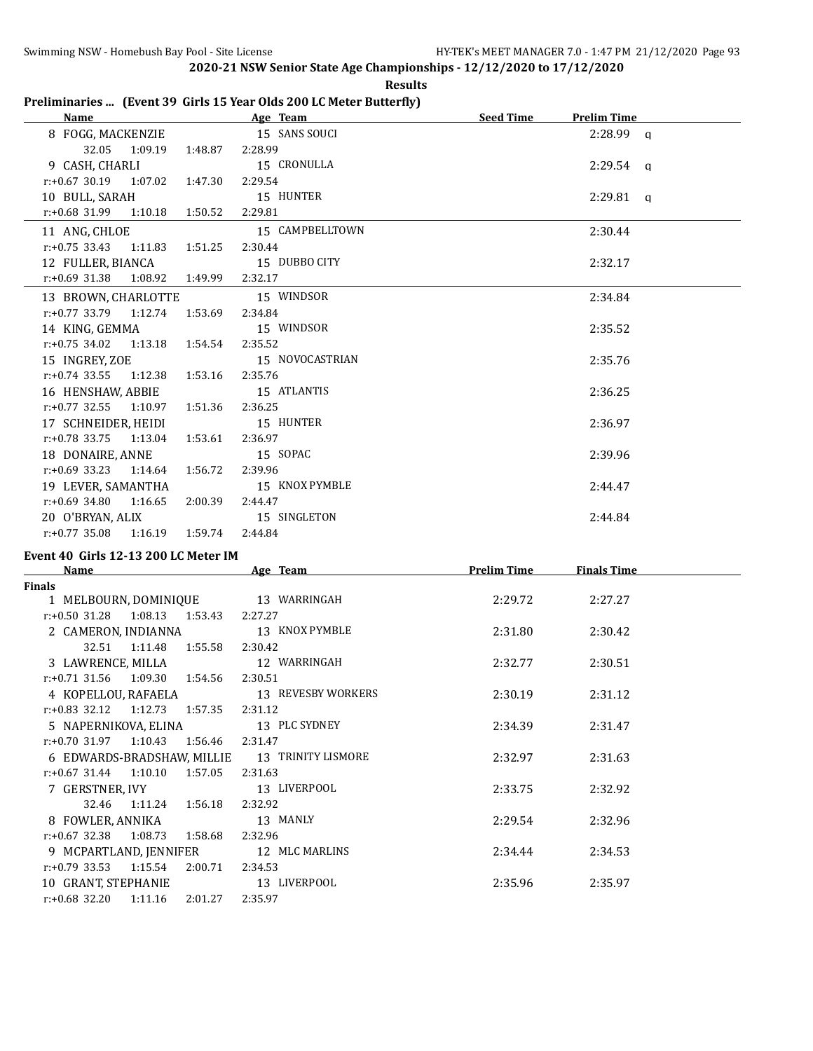| шт<br>s:<br>H |
|---------------|
|---------------|

# **Preliminaries ... (Event 39 Girls 15 Year Olds 200 LC Meter Butterfly)**

| Name                             |         | Age Team        | <b>Seed Time</b><br><b>Prelim Time</b> |
|----------------------------------|---------|-----------------|----------------------------------------|
| 8 FOGG, MACKENZIE                |         | 15 SANS SOUCI   | $2:28.99$ q                            |
| 32.05 1:09.19                    | 1:48.87 | 2:28.99         |                                        |
| 9 CASH. CHARLI                   |         | 15 CRONULLA     | $2:29.54$ a                            |
| $r: +0.67$ 30.19 1:07.02         | 1:47.30 | 2:29.54         |                                        |
| 10 BULL, SARAH                   |         | 15 HUNTER       | $2:29.81$ q                            |
| $r: +0.68$ 31.99 1:10.18 1:50.52 |         | 2:29.81         |                                        |
| 11 ANG, CHLOE                    |         | 15 CAMPBELLTOWN | 2:30.44                                |
| $r: +0.75$ 33.43 1:11.83 1:51.25 |         | 2:30.44         |                                        |
| 12 FULLER, BIANCA                |         | 15 DUBBO CITY   | 2:32.17                                |
| $r.+0.69$ 31.38 1:08.92 1:49.99  |         | 2:32.17         |                                        |
| 13 BROWN, CHARLOTTE              |         | 15 WINDSOR      | 2:34.84                                |
| $r: +0.77$ 33.79 1:12.74 1:53.69 |         | 2:34.84         |                                        |
| 14 KING, GEMMA                   |         | 15 WINDSOR      | 2:35.52                                |
| $r: +0.75$ 34.02 1:13.18 1:54.54 |         | 2:35.52         |                                        |
| 15 INGREY, ZOE                   |         | 15 NOVOCASTRIAN | 2:35.76                                |
| $r: +0.74$ 33.55 1:12.38         | 1:53.16 | 2:35.76         |                                        |
| 16 HENSHAW, ABBIE                |         | 15 ATLANTIS     | 2:36.25                                |
| $r: +0.77$ 32.55 1:10.97 1:51.36 |         | 2:36.25         |                                        |
| 17 SCHNEIDER, HEIDI              |         | 15 HUNTER       | 2:36.97                                |
| $r: +0.78$ 33.75 1:13.04         | 1:53.61 | 2:36.97         |                                        |
| 18 DONAIRE, ANNE                 |         | 15 SOPAC        | 2:39.96                                |
| $r: +0.69$ 33.23 1:14.64         | 1:56.72 | 2:39.96         |                                        |
| 19 LEVER, SAMANTHA               |         | 15 KNOX PYMBLE  | 2:44.47                                |
| $r: +0.69$ 34.80 1:16.65         | 2:00.39 | 2:44.47         |                                        |
| 20 O'BRYAN, ALIX                 |         | 15 SINGLETON    | 2:44.84                                |
| $r: +0.77$ 35.08 1:16.19 1:59.74 |         | 2:44.84         |                                        |

# **Event 40 Girls 12-13 200 LC Meter IM**

| <b>Name</b>                         | Age Team           | <b>Prelim Time</b> | <b>Finals Time</b> |  |
|-------------------------------------|--------------------|--------------------|--------------------|--|
| Finals                              |                    |                    |                    |  |
| 1 MELBOURN, DOMINIQUE               | 13 WARRINGAH       | 2:29.72            | 2:27.27            |  |
| $r: +0.50$ 31.28 1:08.13 1:53.43    | 2:27.27            |                    |                    |  |
| 2 CAMERON, INDIANNA                 | 13 KNOX PYMBLE     | 2:31.80            | 2:30.42            |  |
| 32.51  1:11.48<br>1:55.58           | 2:30.42            |                    |                    |  |
| 3 LAWRENCE, MILLA                   | 12 WARRINGAH       | 2:32.77            | 2:30.51            |  |
| $r.+0.71$ 31.56 1:09.30 1:54.56     | 2:30.51            |                    |                    |  |
| 4 KOPELLOU, RAFAELA                 | 13 REVESBY WORKERS | 2:30.19            | 2:31.12            |  |
| $r: +0.83$ 32.12 1:12.73 1:57.35    | 2:31.12            |                    |                    |  |
| 5 NAPERNIKOVA, ELINA                | 13 PLC SYDNEY      | 2:34.39            | 2:31.47            |  |
| $r.+0.70$ 31.97 1:10.43<br>1:56.46  | 2:31.47            |                    |                    |  |
| 6 EDWARDS-BRADSHAW, MILLIE          | 13 TRINITY LISMORE | 2:32.97            | 2:31.63            |  |
| $r: +0.67$ 31.44 1:10.10<br>1:57.05 | 2:31.63            |                    |                    |  |
| 7 GERSTNER, IVY                     | 13 LIVERPOOL       | 2:33.75            | 2:32.92            |  |
| 32.46<br>1:11.24 1:56.18            | 2:32.92            |                    |                    |  |
| 8 FOWLER, ANNIKA                    | 13 MANLY           | 2:29.54            | 2:32.96            |  |
| $r.+0.67$ 32.38 1:08.73<br>1:58.68  | 2:32.96            |                    |                    |  |
| 9 MCPARTLAND, JENNIFER              | 12 MLC MARLINS     | 2:34.44            | 2:34.53            |  |
| $r: +0.79$ 33.53<br>1:15.54         | 2:00.71<br>2:34.53 |                    |                    |  |
| 10 GRANT, STEPHANIE                 | 13 LIVERPOOL       | 2:35.96            | 2:35.97            |  |
| $r.+0.68$ 32.20 1:11.16             | 2:01.27<br>2:35.97 |                    |                    |  |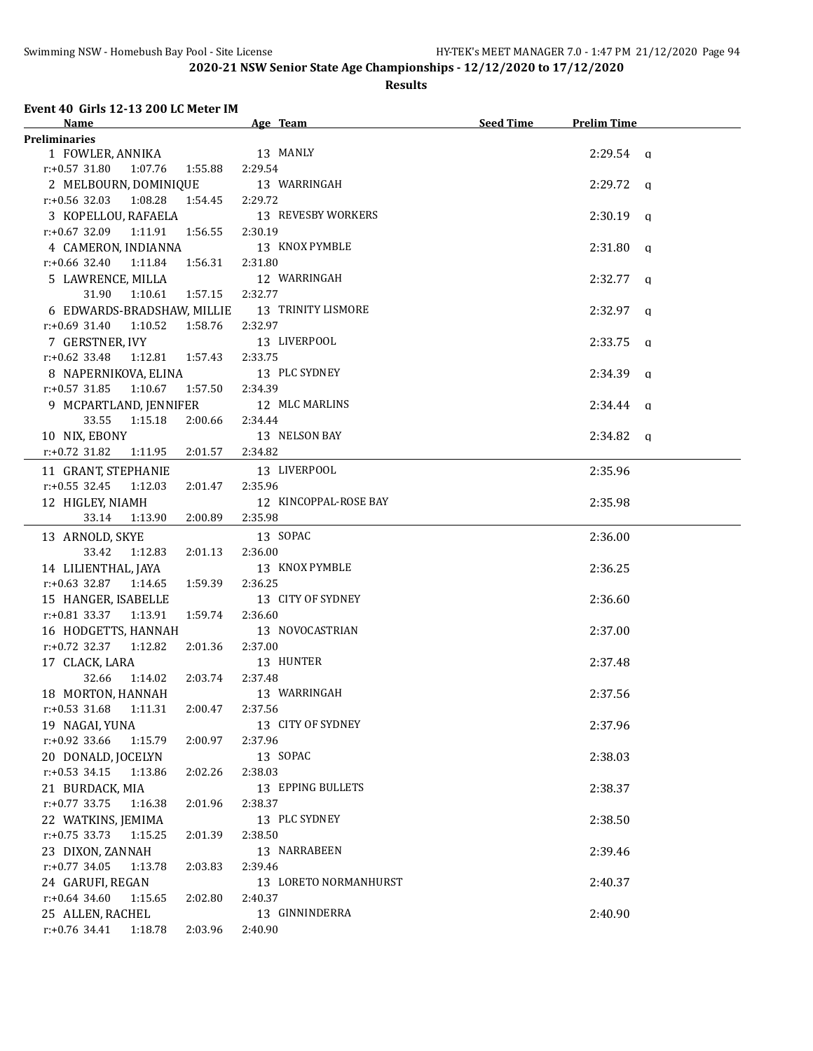## **Results**

### **Event 40 Girls 12-13 200 LC Meter IM**

| Name                                          | Age Team              | Seed Time | <b>Prelim Time</b> |
|-----------------------------------------------|-----------------------|-----------|--------------------|
| <b>Preliminaries</b>                          |                       |           |                    |
| 1 FOWLER, ANNIKA 13 MANLY                     |                       |           | $2:29.54$ a        |
| r:+0.57 31.80 1:07.76 1:55.88 2:29.54         |                       |           |                    |
| 2 MELBOURN, DOMINIQUE 13 WARRINGAH            |                       |           | $2:29.72$ q        |
| $r: +0.56$ 32.03 $1:08.28$ $1:54.45$ 2:29.72  |                       |           |                    |
| 3 KOPELLOU, RAFAELA 13 REVESBY WORKERS        |                       |           | $2:30.19$ q        |
| r:+0.67 32.09 1:11.91 1:56.55 2:30.19         |                       |           |                    |
| 4 CAMERON, INDIANNA 13 KNOX PYMBLE            |                       |           | $2:31.80$ q        |
| r:+0.66 32.40  1:11.84  1:56.31  2:31.80      |                       |           |                    |
| 5 LAWRENCE, MILLA                             | 12 WARRINGAH          |           | $2:32.77$ q        |
| 31.90   1:10.61   1:57.15   2:32.77           |                       |           |                    |
| 6 EDWARDS-BRADSHAW, MILLIE 13 TRINITY LISMORE |                       |           | $2:32.97$ q        |
| $r: +0.69$ 31.40 1:10.52 1:58.76              | 2:32.97               |           |                    |
| 7 GERSTNER, IVY                               | 13 LIVERPOOL          |           | $2:33.75$ q        |
| r:+0.62 33.48 1:12.81 1:57.43 2:33.75         |                       |           |                    |
| 8 NAPERNIKOVA, ELINA                          | 13 PLC SYDNEY         |           | $2:34.39$ q        |
| $r: +0.57$ 31.85 1:10.67<br>1:57.50 2:34.39   |                       |           |                    |
| 9 MCPARTLAND, JENNIFER 12 MLC MARLINS         |                       |           | $2:34.44$ q        |
| 33.55<br>1:15.18<br>2:00.66                   | 2:34.44               |           |                    |
| 10 NIX, EBONY                                 | 13 NELSON BAY         |           | $2:34.82$ q        |
| r:+0.72 31.82<br>1:11.95 2:01.57              | 2:34.82               |           |                    |
| 11 GRANT, STEPHANIE                           | 13 LIVERPOOL          |           | 2:35.96            |
| $r: +0.55$ 32.45 1:12.03<br>2:01.47           | 2:35.96               |           |                    |
| 12 HIGLEY, NIAMH                              | 12 KINCOPPAL-ROSE BAY |           | 2:35.98            |
| 33.14 1:13.90 2:00.89                         | 2:35.98               |           |                    |
| 13 ARNOLD, SKYE                               | 13 SOPAC              |           | 2:36.00            |
| 33.42  1:12.83  2:01.13                       | 2:36.00               |           |                    |
| 14 LILIENTHAL, JAYA                           | 13 KNOX PYMBLE        |           | 2:36.25            |
| $r.+0.63$ 32.87 1:14.65 1:59.39               | 2:36.25               |           |                    |
| 15 HANGER, ISABELLE                           | 13 CITY OF SYDNEY     |           | 2:36.60            |
| r:+0.81 33.37 1:13.91 1:59.74                 | 2:36.60               |           |                    |
| 16 HODGETTS, HANNAH                           | 13 NOVOCASTRIAN       |           | 2:37.00            |
| $r.+0.72$ 32.37 1:12.82 2:01.36               | 2:37.00               |           |                    |
| 17 CLACK, LARA                                | 13 HUNTER             |           | 2:37.48            |
| 32.66 1:14.02 2:03.74                         | 2:37.48               |           |                    |
| 18 MORTON, HANNAH                             | 13 WARRINGAH          |           | 2:37.56            |
| r:+0.53 31.68  1:11.31  2:00.47  2:37.56      |                       |           |                    |
| 19 NAGAI, YUNA                                | 13 CITY OF SYDNEY     |           | 2:37.96            |
| $r: +0.92$ 33.66<br>1:15.79<br>2:00.97        | 2:37.96               |           |                    |
| 20 DONALD, JOCELYN                            | 13 SOPAC              |           | 2:38.03            |
| $r: +0.53$ 34.15<br>1:13.86<br>2:02.26        | 2:38.03               |           |                    |
| 21 BURDACK, MIA                               | 13 EPPING BULLETS     |           | 2:38.37            |
| $r: +0.77$ 33.75<br>1:16.38<br>2:01.96        | 2:38.37               |           |                    |
| 22 WATKINS, JEMIMA                            | 13 PLC SYDNEY         |           | 2:38.50            |
| $r: +0.75$ 33.73<br>1:15.25<br>2:01.39        | 2:38.50               |           |                    |
| 23 DIXON, ZANNAH                              | 13 NARRABEEN          |           | 2:39.46            |
| $r: +0.77$ 34.05<br>1:13.78<br>2:03.83        | 2:39.46               |           |                    |
| 24 GARUFI, REGAN                              | 13 LORETO NORMANHURST |           | 2:40.37            |
| $r$ :+0.64 34.60<br>1:15.65<br>2:02.80        | 2:40.37               |           |                    |
| 25 ALLEN, RACHEL                              | 13 GINNINDERRA        |           | 2:40.90            |
| r:+0.76 34.41<br>1:18.78<br>2:03.96           | 2:40.90               |           |                    |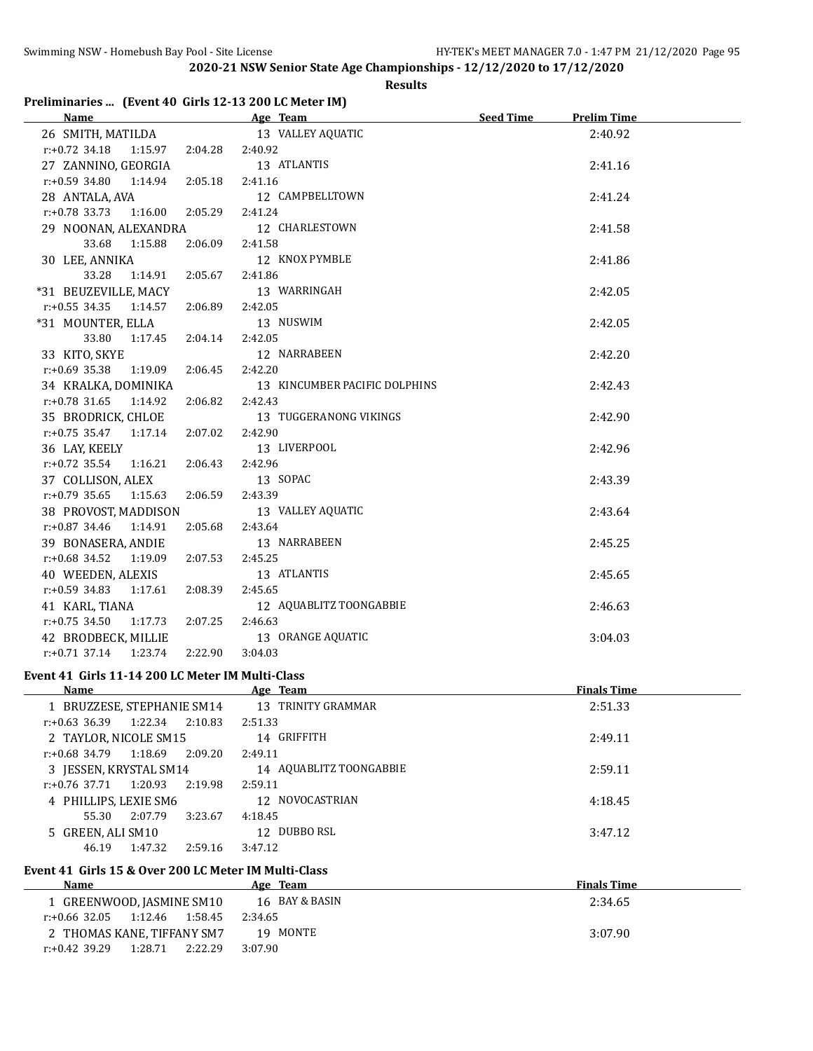# **Results**

# **Preliminaries ... (Event 40 Girls 12-13 200 LC Meter IM)**

| Name                                   | Age Team and the state of the state of the state of the state of the state of the state of the state of the state of the state of the state of the state of the state of the state of the state of the state of the state of t | Seed Time<br><b>Prelim Time</b> |  |
|----------------------------------------|--------------------------------------------------------------------------------------------------------------------------------------------------------------------------------------------------------------------------------|---------------------------------|--|
| 26 SMITH, MATILDA                      | 13 VALLEY AQUATIC                                                                                                                                                                                                              | 2:40.92                         |  |
| $r: +0.72$ 34.18<br>1:15.97 2:04.28    | 2:40.92                                                                                                                                                                                                                        |                                 |  |
| 27 ZANNINO, GEORGIA                    | 13 ATLANTIS                                                                                                                                                                                                                    | 2:41.16                         |  |
| $r.+0.59$ 34.80 1:14.94 2:05.18        | 2:41.16                                                                                                                                                                                                                        |                                 |  |
| 28 ANTALA, AVA                         | 12 CAMPBELLTOWN                                                                                                                                                                                                                | 2:41.24                         |  |
| $r: +0.78$ 33.73 1:16.00 2:05.29       | 2:41.24                                                                                                                                                                                                                        |                                 |  |
| 29 NOONAN, ALEXANDRA                   | 12 CHARLESTOWN                                                                                                                                                                                                                 | 2:41.58                         |  |
| 33.68<br>1:15.88<br>2:06.09            | 2:41.58                                                                                                                                                                                                                        |                                 |  |
| 30 LEE, ANNIKA                         | 12 KNOX PYMBLE                                                                                                                                                                                                                 | 2:41.86                         |  |
| 33.28<br>1:14.91<br>2:05.67            | 2:41.86                                                                                                                                                                                                                        |                                 |  |
| *31 BEUZEVILLE, MACY                   | 13 WARRINGAH                                                                                                                                                                                                                   | 2:42.05                         |  |
| $r: +0.55$ 34.35 1:14.57<br>2:06.89    | 2:42.05                                                                                                                                                                                                                        |                                 |  |
| *31 MOUNTER, ELLA                      | 13 NUSWIM                                                                                                                                                                                                                      | 2:42.05                         |  |
| 33.80<br>1:17.45 2:04.14               | 2:42.05                                                                                                                                                                                                                        |                                 |  |
| 33 KITO, SKYE                          | 12 NARRABEEN                                                                                                                                                                                                                   | 2:42.20                         |  |
| $r: +0.69$ 35.38 1:19.09<br>2:06.45    | 2:42.20                                                                                                                                                                                                                        |                                 |  |
| 34 KRALKA, DOMINIKA                    | 13 KINCUMBER PACIFIC DOLPHINS                                                                                                                                                                                                  | 2:42.43                         |  |
| 2:06.82<br>$r.+0.78$ 31.65 1:14.92     | 2:42.43                                                                                                                                                                                                                        |                                 |  |
| 35 BRODRICK, CHLOE                     | 13 TUGGERANONG VIKINGS                                                                                                                                                                                                         | 2:42.90                         |  |
| $r: +0.75$ 35.47 1:17.14<br>2:07.02    | 2:42.90                                                                                                                                                                                                                        |                                 |  |
| 36 LAY, KEELY                          | 13 LIVERPOOL                                                                                                                                                                                                                   | 2:42.96                         |  |
| $r: +0.72$ 35.54<br>1:16.21<br>2:06.43 | 2:42.96                                                                                                                                                                                                                        |                                 |  |
| 37 COLLISON, ALEX                      | 13 SOPAC                                                                                                                                                                                                                       | 2:43.39                         |  |
| $r: +0.79$ 35.65 1:15.63<br>2:06.59    | 2:43.39                                                                                                                                                                                                                        |                                 |  |
| 38 PROVOST, MADDISON                   | 13 VALLEY AQUATIC                                                                                                                                                                                                              | 2:43.64                         |  |
| $r.+0.87$ 34.46 1:14.91<br>2:05.68     | 2:43.64                                                                                                                                                                                                                        |                                 |  |
| 39 BONASERA, ANDIE                     | 13 NARRABEEN                                                                                                                                                                                                                   | 2:45.25                         |  |
| $r: +0.68$ 34.52<br>2:07.53<br>1:19.09 | 2:45.25                                                                                                                                                                                                                        |                                 |  |
| 40 WEEDEN, ALEXIS                      | 13 ATLANTIS                                                                                                                                                                                                                    | 2:45.65                         |  |
| $r: +0.59$ 34.83 1:17.61<br>2:08.39    | 2:45.65                                                                                                                                                                                                                        |                                 |  |
| 41 KARL, TIANA                         | 12 AQUABLITZ TOONGABBIE                                                                                                                                                                                                        | 2:46.63                         |  |
| $r: +0.75$ 34.50<br>1:17.73 2:07.25    | 2:46.63                                                                                                                                                                                                                        |                                 |  |
| 42 BRODBECK, MILLIE                    | 13 ORANGE AQUATIC                                                                                                                                                                                                              | 3:04.03                         |  |
| 2:22.90<br>$r.+0.71$ 37.14<br>1:23.74  | 3:04.03                                                                                                                                                                                                                        |                                 |  |

# **Event 41 Girls 11-14 200 LC Meter IM Multi-Class**

| Name                                   | Age Team                | <b>Finals Time</b> |
|----------------------------------------|-------------------------|--------------------|
| 1 BRUZZESE, STEPHANIE SM14             | 13 TRINITY GRAMMAR      | 2:51.33            |
| 1:22.34<br>2:10.83<br>$r: +0.63$ 36.39 | 2:51.33                 |                    |
| 2 TAYLOR, NICOLE SM15                  | 14 GRIFFITH             | 2:49.11            |
| $r: +0.68$ 34.79<br>1:18.69<br>2:09.20 | 2:49.11                 |                    |
| 3 JESSEN, KRYSTAL SM14                 | 14 AQUABLITZ TOONGABBIE | 2:59.11            |
| 2:19.98<br>r:+0.76 37.71<br>1:20.93    | 2:59.11                 |                    |
| 4 PHILLIPS, LEXIE SM6                  | 12 NOVOCASTRIAN         | 4:18.45            |
| 55.30<br>2:07.79<br>3:23.67            | 4:18.45                 |                    |
| 5 GREEN, ALI SM10                      | 12 DUBBO RSL            | 3:47.12            |
| 1:47.32<br>46.19<br>2:59.16            | 3:47.12                 |                    |

# **Event 41 Girls 15 & Over 200 LC Meter IM Multi-Class**

| Name                                | Age Team       | <b>Finals Time</b> |
|-------------------------------------|----------------|--------------------|
| 1 GREENWOOD, JASMINE SM10           | 16 BAY & BASIN | 2:34.65            |
| 1:12.46<br>r:+0.66 32.05<br>1:58.45 | 2:34.65        |                    |
| 2 THOMAS KANE. TIFFANY SM7          | 19 MONTE       | 3:07.90            |
| 1:28.71<br>r:+0.42 39.29<br>2:22.29 | 3:07.90        |                    |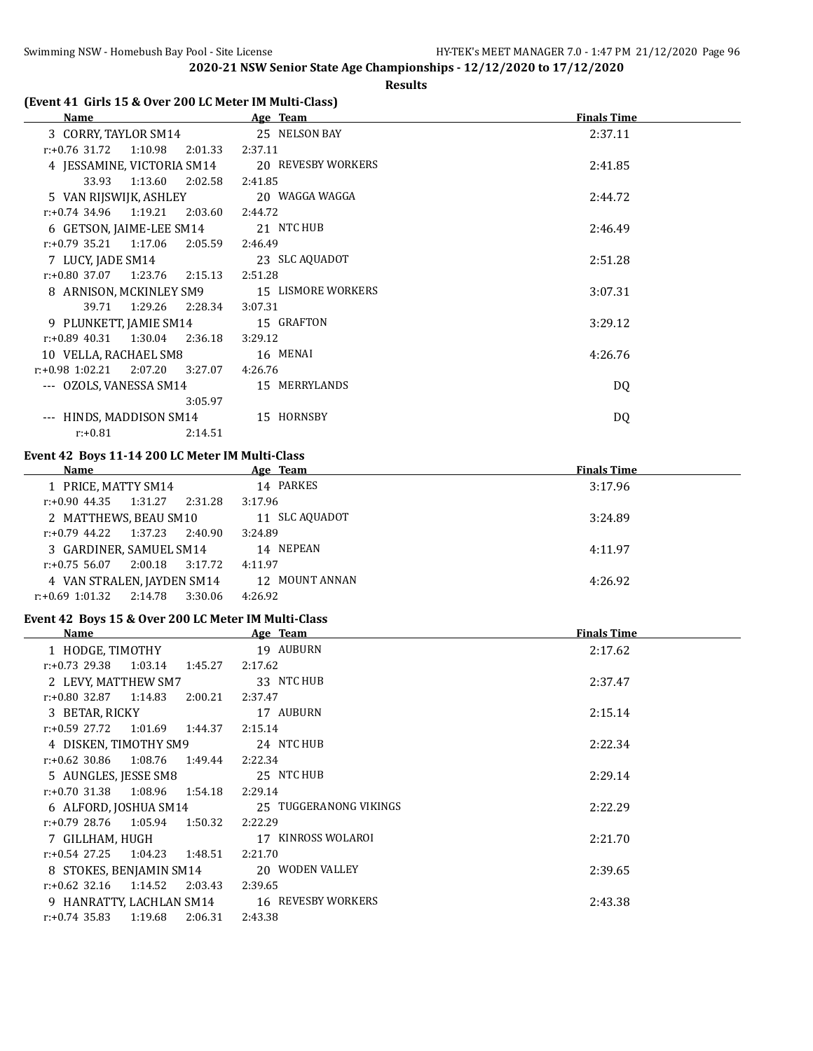### **Results**

# **(Event 41 Girls 15 & Over 200 LC Meter IM Multi-Class)**

| Name                                   | Age Team           | <b>Finals Time</b> |
|----------------------------------------|--------------------|--------------------|
| 3 CORRY, TAYLOR SM14                   | 25 NELSON BAY      | 2:37.11            |
| 1:10.98<br>$r: +0.76$ 31.72<br>2:01.33 | 2:37.11            |                    |
| 4 JESSAMINE, VICTORIA SM14             | 20 REVESBY WORKERS | 2:41.85            |
| 33.93<br>1:13.60<br>2:02.58            | 2:41.85            |                    |
| 5 VAN RIJSWIJK, ASHLEY                 | 20 WAGGA WAGGA     | 2:44.72            |
| $r: +0.74$ 34.96 1:19.21 2:03.60       | 2:44.72            |                    |
| 6 GETSON, JAIME-LEE SM14               | 21 NTC HUB         | 2:46.49            |
| $r: +0.79$ 35.21 1:17.06<br>2:05.59    | 2:46.49            |                    |
| 7 LUCY, JADE SM14                      | 23 SLC AQUADOT     | 2:51.28            |
| $r: +0.80$ 37.07 1:23.76<br>2:15.13    | 2:51.28            |                    |
| 8 ARNISON, MCKINLEY SM9                | 15 LISMORE WORKERS | 3:07.31            |
| 1:29.26<br>39.71<br>2:28.34            | 3:07.31            |                    |
| 9 PLUNKETT, JAMIE SM14                 | 15 GRAFTON         | 3:29.12            |
| $r: +0.89$ 40.31 1:30.04<br>2:36.18    | 3:29.12            |                    |
| 10 VELLA, RACHAEL SM8                  | 16 MENAI           | 4:26.76            |
| $r: +0.98$ 1:02.21 2:07.20<br>3:27.07  | 4:26.76            |                    |
| --- OZOLS, VANESSA SM14                | 15 MERRYLANDS      | DQ                 |
| 3:05.97                                |                    |                    |
| HINDS, MADDISON SM14<br>$---$          | 15 HORNSBY         | DQ                 |
| $r: +0.81$<br>2:14.51                  |                    |                    |

#### **Event 42 Boys 11-14 200 LC Meter IM Multi-Class**

| Name                     |                            | Age Team       | <b>Finals Time</b> |
|--------------------------|----------------------------|----------------|--------------------|
| 1 PRICE, MATTY SM14      |                            | 14 PARKES      | 3:17.96            |
| r:+0.90 44.35            | 1:31.27<br>2:31.28         | 3:17.96        |                    |
| 2 MATTHEWS, BEAU SM10    |                            | 11 SLC AQUADOT | 3:24.89            |
| $r: +0.79$ 44.22 1:37.23 | 2:40.90                    | 3:24.89        |                    |
|                          | 3 GARDINER, SAMUEL SM14    | 14 NEPEAN      | 4:11.97            |
| $r: +0.75$ 56.07         | 3:17.72<br>2:00.18         | 4:11.97        |                    |
|                          | 4 VAN STRALEN, JAYDEN SM14 | 12 MOUNT ANNAN | 4:26.92            |
| $r+0.69$ 1:01.32         | 2:14.78<br>3:30.06         | 4:26.92        |                    |

### **Event 42 Boys 15 & Over 200 LC Meter IM Multi-Class**

| <b>Name</b>                            | Age Team               | <b>Finals Time</b> |
|----------------------------------------|------------------------|--------------------|
| 1 HODGE, TIMOTHY                       | 19 AUBURN              | 2:17.62            |
| $r: +0.73$ 29.38 1:03.14<br>1:45.27    | 2:17.62                |                    |
| 2 LEVY, MATTHEW SM7                    | 33 NTC HUB             | 2:37.47            |
| $r: +0.80$ 32.87 1:14.83<br>2:00.21    | 2:37.47                |                    |
| 3 BETAR, RICKY                         | 17 AUBURN              | 2:15.14            |
| r:+0.59 27.72<br>1:01.69 1:44.37       | 2:15.14                |                    |
| 4 DISKEN, TIMOTHY SM9                  | 24 NTC HUB             | 2:22.34            |
| $r: +0.62$ 30.86 1:08.76<br>1:49.44    | 2:22.34                |                    |
| 5 AUNGLES, JESSE SM8                   | 25 NTC HUB             | 2:29.14            |
| $r: +0.70$ 31.38 1:08.96 1:54.18       | 2:29.14                |                    |
| 6 ALFORD, JOSHUA SM14                  | 25 TUGGERANONG VIKINGS | 2:22.29            |
| $r: +0.79$ 28.76 1:05.94<br>1:50.32    | 2:22.29                |                    |
| 7 GILLHAM, HUGH                        | 17 KINROSS WOLAROI     | 2:21.70            |
| $r: +0.54$ 27.25<br>1:04.23 1:48.51    | 2:21.70                |                    |
| 8 STOKES, BENJAMIN SM14                | 20 WODEN VALLEY        | 2:39.65            |
| $r.+0.62$ 32.16 1:14.52<br>2:03.43     | 2:39.65                |                    |
| 9 HANRATTY, LACHLAN SM14               | 16 REVESBY WORKERS     | 2:43.38            |
| 1:19.68<br>$r: +0.74$ 35.83<br>2:06.31 | 2:43.38                |                    |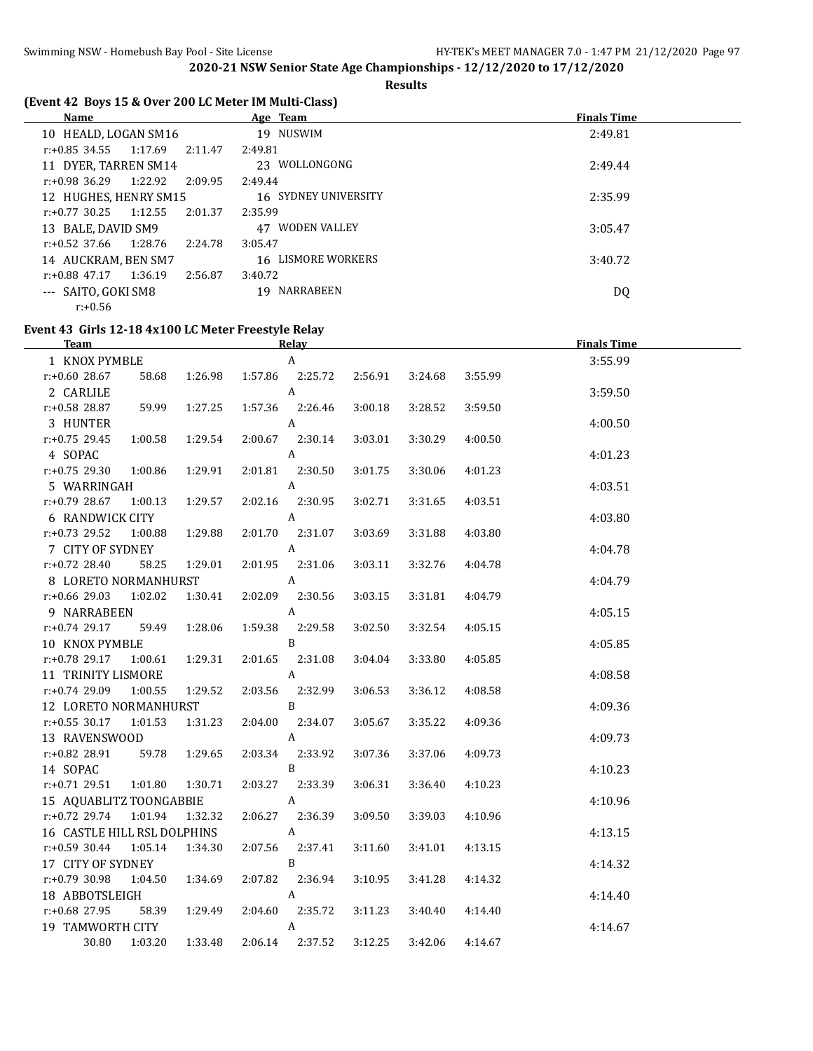### **Results**

# **(Event 42 Boys 15 & Over 200 LC Meter IM Multi-Class)**

| Name                     |                    | Age Team             | <b>Finals Time</b> |
|--------------------------|--------------------|----------------------|--------------------|
| 10 HEALD, LOGAN SM16     |                    | 19 NUSWIM            | 2:49.81            |
| $r.+0.85$ 34.55 1:17.69  | 2:11.47            | 2:49.81              |                    |
| 11 DYER, TARREN SM14     |                    | 23 WOLLONGONG        | 2:49.44            |
| $r: +0.98$ 36.29 1:22.92 | 2:09.95            | 2:49.44              |                    |
| 12 HUGHES, HENRY SM15    |                    | 16 SYDNEY UNIVERSITY | 2:35.99            |
| r:+0.77 30.25            | 1:12.55<br>2:01.37 | 2:35.99              |                    |
| 13 BALE, DAVID SM9       |                    | 47 WODEN VALLEY      | 3:05.47            |
| $r: +0.52$ 37.66 1:28.76 | 2:24.78            | 3:05.47              |                    |
| 14 AUCKRAM, BEN SM7      |                    | 16 LISMORE WORKERS   | 3:40.72            |
| $r: +0.88$ 47.17         | 1:36.19<br>2:56.87 | 3:40.72              |                    |
| --- SAITO, GOKI SM8      |                    | 19 NARRABEEN         | DQ                 |
| $r: +0.56$               |                    |                      |                    |

### **Event 43 Girls 12-18 4x100 LC Meter Freestyle Relay**

| <b>Team</b>                 |         | Relay              |         |         |         | <b>Finals Time</b> |
|-----------------------------|---------|--------------------|---------|---------|---------|--------------------|
| 1 KNOX PYMBLE               |         | A                  |         |         |         | 3:55.99            |
| $r: +0.60$ 28.67<br>58.68   | 1:26.98 | 2:25.72<br>1:57.86 | 2:56.91 | 3:24.68 | 3:55.99 |                    |
| 2 CARLILE                   |         | A                  |         |         |         | 3:59.50            |
| r:+0.58 28.87<br>59.99      | 1:27.25 | 1:57.36<br>2:26.46 | 3:00.18 | 3:28.52 | 3:59.50 |                    |
| 3 HUNTER                    |         | A                  |         |         |         | 4:00.50            |
| $r: +0.75$ 29.45<br>1:00.58 | 1:29.54 | 2:30.14<br>2:00.67 | 3:03.01 | 3:30.29 | 4:00.50 |                    |
| 4 SOPAC                     |         | A                  |         |         |         | 4:01.23            |
| $r: +0.75$ 29.30<br>1:00.86 | 1:29.91 | 2:01.81<br>2:30.50 | 3:01.75 | 3:30.06 | 4:01.23 |                    |
| 5 WARRINGAH                 |         | $\boldsymbol{A}$   |         |         |         | 4:03.51            |
| r:+0.79 28.67<br>1:00.13    | 1:29.57 | 2:02.16<br>2:30.95 | 3:02.71 | 3:31.65 | 4:03.51 |                    |
| 6 RANDWICK CITY             |         | $\boldsymbol{A}$   |         |         |         | 4:03.80            |
| $r.+0.73$ 29.52<br>1:00.88  | 1:29.88 | 2:01.70<br>2:31.07 | 3:03.69 | 3:31.88 | 4:03.80 |                    |
| 7 CITY OF SYDNEY            |         | $\mathbf{A}$       |         |         |         | 4:04.78            |
| 58.25<br>$r: +0.72$ 28.40   | 1:29.01 | 2:01.95 2:31.06    | 3:03.11 | 3:32.76 | 4:04.78 |                    |
| 8 LORETO NORMANHURST        |         | A                  |         |         |         | 4:04.79            |
| $r: +0.66$ 29.03<br>1:02.02 | 1:30.41 | 2:02.09 2:30.56    | 3:03.15 | 3:31.81 | 4:04.79 |                    |
| 9 NARRABEEN                 |         | A                  |         |         |         | 4:05.15            |
| $r: +0.74$ 29.17<br>59.49   | 1:28.06 | 2:29.58<br>1:59.38 | 3:02.50 | 3:32.54 | 4:05.15 |                    |
| 10 KNOX PYMBLE              |         | $\, {\bf B}$       |         |         |         | 4:05.85            |
| r:+0.78 29.17<br>1:00.61    | 1:29.31 | 2:31.08<br>2:01.65 | 3:04.04 | 3:33.80 | 4:05.85 |                    |
| 11 TRINITY LISMORE          |         | $\mathbf{A}$       |         |         |         | 4:08.58            |
| r:+0.74 29.09<br>1:00.55    | 1:29.52 | 2:32.99<br>2:03.56 | 3:06.53 | 3:36.12 | 4:08.58 |                    |
| 12 LORETO NORMANHURST       |         | $\, {\bf B}$       |         |         |         | 4:09.36            |
| $r: +0.55$ 30.17<br>1:01.53 | 1:31.23 | 2:04.00<br>2:34.07 | 3:05.67 | 3:35.22 | 4:09.36 |                    |
| 13 RAVENSWOOD               |         | $\mathbf{A}$       |         |         |         | 4:09.73            |
| 59.78<br>$r: +0.82$ 28.91   | 1:29.65 | 2:03.34<br>2:33.92 | 3:07.36 | 3:37.06 | 4:09.73 |                    |
| 14 SOPAC                    |         | $\, {\bf B}$       |         |         |         | 4:10.23            |
| $r: +0.71$ 29.51<br>1:01.80 | 1:30.71 | 2:33.39<br>2:03.27 | 3:06.31 | 3:36.40 | 4:10.23 |                    |
| 15 AQUABLITZ TOONGABBIE     |         | $\mathbf{A}$       |         |         |         | 4:10.96            |
| 1:01.94<br>r:+0.72 29.74    | 1:32.32 | 2:06.27<br>2:36.39 | 3:09.50 | 3:39.03 | 4:10.96 |                    |
| 16 CASTLE HILL RSL DOLPHINS |         | $\boldsymbol{A}$   |         |         |         | 4:13.15            |
| $r: +0.59$ 30.44<br>1:05.14 | 1:34.30 | 2:07.56<br>2:37.41 | 3:11.60 | 3:41.01 | 4:13.15 |                    |
| 17 CITY OF SYDNEY           |         | $\, {\bf B}$       |         |         |         | 4:14.32            |
| $r: +0.79$ 30.98<br>1:04.50 | 1:34.69 | 2:07.82<br>2:36.94 | 3:10.95 | 3:41.28 | 4:14.32 |                    |
| 18 ABBOTSLEIGH              |         | $\mathbf{A}$       |         |         |         | 4:14.40            |
| r:+0.68 27.95<br>58.39      | 1:29.49 | 2:04.60<br>2:35.72 | 3:11.23 | 3:40.40 | 4:14.40 |                    |
| 19 TAMWORTH CITY            |         | $\boldsymbol{A}$   |         |         |         | 4:14.67            |
| 30.80<br>1:03.20            | 1:33.48 | 2:06.14<br>2:37.52 | 3:12.25 | 3:42.06 | 4:14.67 |                    |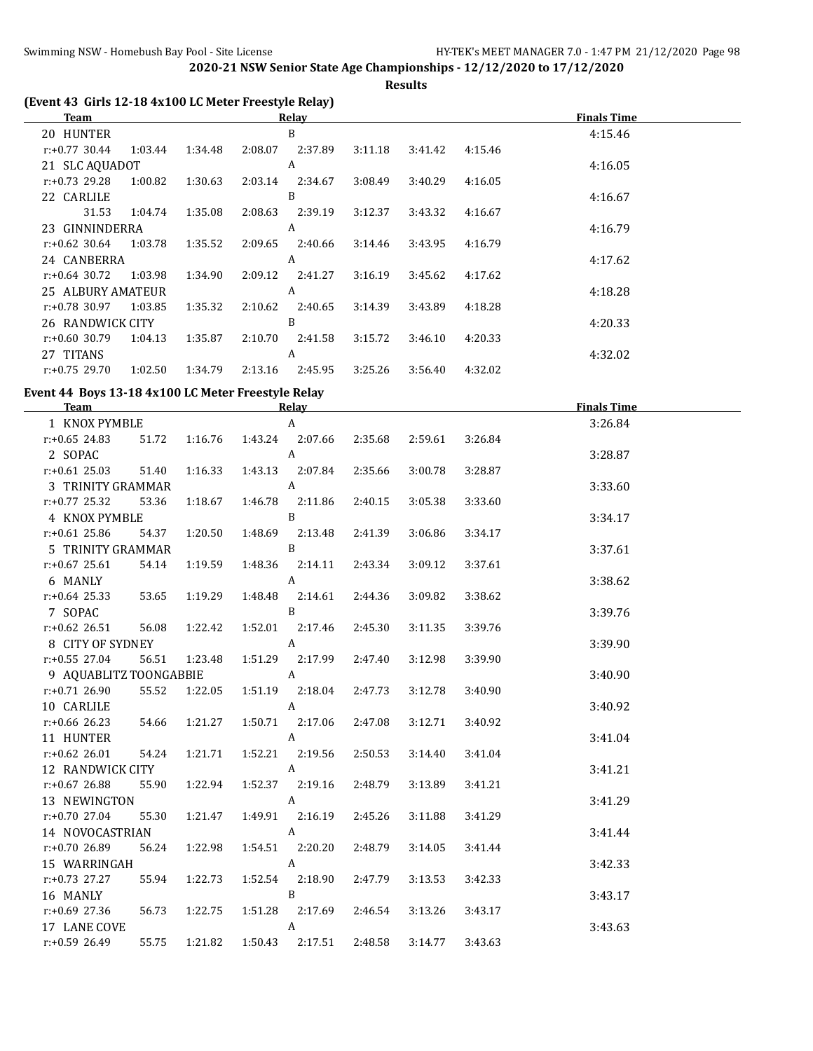**Results**

| B<br>20 HUNTER<br>4:15.46<br>$r: +0.77$ 30.44<br>1:03.44<br>1:34.48<br>2:08.07<br>2:37.89<br>3:11.18<br>3:41.42<br>4:15.46<br>A<br>21 SLC AQUADOT<br>4:16.05<br>$r: +0.73$ 29.28<br>1:30.63<br>2:03.14<br>3:08.49<br>3:40.29<br>1:00.82<br>2:34.67<br>4:16.05<br>B<br>22 CARLILE<br>4:16.67<br>31.53<br>1:35.08<br>2:08.63<br>2:39.19<br>1:04.74<br>3:12.37<br>3:43.32<br>4:16.67<br>23 GINNINDERRA<br>A<br>4:16.79<br>$r: +0.62$ 30.64<br>1:03.78<br>1:35.52<br>2:09.65<br>3:43.95<br>2:40.66<br>3:14.46<br>4:16.79<br>24 CANBERRA<br>A<br>4:17.62<br>$r: +0.64$ 30.72<br>1:03.98<br>1:34.90<br>2:09.12<br>2:41.27<br>3:16.19<br>3:45.62<br>4:17.62<br>A<br>25 ALBURY AMATEUR<br>4:18.28<br>r:+0.78 30.97<br>1:03.85<br>1:35.32<br>2:10.62<br>2:40.65<br>4:18.28<br>3:14.39<br>3:43.89<br>B<br>26 RANDWICK CITY<br>4:20.33<br>$r: +0.60$ 30.79<br>1:35.87<br>2:10.70<br>4:20.33<br>1:04.13<br>2:41.58<br>3:15.72<br>3:46.10<br>A<br>27 TITANS<br>4:32.02<br>$r: +0.75$ 29.70<br>1:02.50<br>2:13.16<br>1:34.79<br>2:45.95<br>3:25.26<br>3:56.40<br>4:32.02<br>Event 44 Boys 13-18 4x100 LC Meter Freestyle Relay<br><b>Finals Time</b><br><b>Team</b><br><b>Relay</b><br>$\boldsymbol{A}$<br>3:26.84<br>1 KNOX PYMBLE<br>$r: +0.65$ 24.83<br>2:07.66<br>3:26.84<br>51.72<br>1:16.76<br>1:43.24<br>2:35.68<br>2:59.61<br>2 SOPAC<br>$\boldsymbol{A}$<br>3:28.87<br>$r: +0.61$ 25.03<br>51.40<br>1:43.13<br>2:07.84<br>1:16.33<br>2:35.66<br>3:00.78<br>3:28.87<br>A<br>3 TRINITY GRAMMAR<br>3:33.60<br>r:+0.77 25.32<br>53.36<br>1:18.67<br>1:46.78<br>2:11.86<br>3:05.38<br>3:33.60<br>2:40.15<br>B<br>4 KNOX PYMBLE<br>3:34.17<br>$r: +0.61$ 25.86<br>1:20.50<br>1:48.69<br>2:13.48<br>54.37<br>2:41.39<br>3:06.86<br>3:34.17<br>$\mathbf{B}$<br>5 TRINITY GRAMMAR<br>3:37.61<br>$r: +0.67$ 25.61<br>54.14<br>1:19.59<br>1:48.36<br>2:14.11<br>2:43.34<br>3:09.12<br>3:37.61<br>$\boldsymbol{A}$<br>6 MANLY<br>3:38.62<br>$r: +0.64$ 25.33<br>53.65<br>1:19.29<br>1:48.48<br>3:09.82<br>3:38.62<br>2:14.61<br>2:44.36<br>B<br>7 SOPAC<br>3:39.76<br>$r: +0.62$ 26.51<br>56.08<br>1:22.42<br>1:52.01<br>3:39.76<br>2:17.46<br>2:45.30<br>3:11.35<br>$\boldsymbol{A}$<br>8 CITY OF SYDNEY<br>3:39.90<br>$r: +0.55$ 27.04<br>56.51<br>1:23.48<br>1:51.29<br>2:17.99<br>3:39.90<br>2:47.40<br>3:12.98<br>9 AQUABLITZ TOONGABBIE<br>A<br>3:40.90<br>r:+0.71 26.90<br>55.52 1:22.05 1:51.19 2:18.04 2:47.73<br>3:12.78<br>3:40.90<br>10 CARLILE<br>A<br>3:40.92<br>r:+0.66 26.23<br>54.66<br>1:21.27<br>1:50.71  2:17.06<br>2:47.08<br>3:12.71<br>3:40.92<br>11 HUNTER<br>$\mathbf{A}$<br>3:41.04<br>$r: +0.62$ 26.01<br>54.24<br>1:21.71<br>1:52.21 2:19.56<br>2:50.53<br>3:14.40<br>3:41.04<br>12 RANDWICK CITY<br>A<br>3:41.21<br>r:+0.67 26.88<br>1:22.94<br>3:41.21<br>55.90<br>1:52.37 2:19.16<br>2:48.79<br>3:13.89<br>A<br>13 NEWINGTON<br>3:41.29<br>r:+0.70 27.04<br>2:45.26<br>3:41.29<br>55.30<br>1:21.47<br>1:49.91 2:16.19<br>3:11.88<br>A<br>14 NOVOCASTRIAN<br>3:41.44<br>r:+0.70 26.89<br>56.24<br>1:22.98<br>1:54.51<br>2:20.20<br>2:48.79<br>3:14.05<br>3:41.44<br>A<br>15 WARRINGAH<br>3:42.33<br>1:22.73<br>2:18.90<br>$r: +0.73$ 27.27<br>55.94<br>1:52.54<br>2:47.79<br>3:13.53<br>3:42.33<br>B<br>16 MANLY<br>3:43.17<br>1:22.75<br>3:13.26<br>3:43.17<br>r:+0.69 27.36<br>56.73<br>1:51.28<br>2:17.69<br>2:46.54<br>17 LANE COVE<br>A<br>3:43.63 | (Event 43 Girls 12-18 4x100 LC Meter Freestyle Relay)<br>Team |       |         |         | Relay   |         |         |         | <b>Finals Time</b> |
|----------------------------------------------------------------------------------------------------------------------------------------------------------------------------------------------------------------------------------------------------------------------------------------------------------------------------------------------------------------------------------------------------------------------------------------------------------------------------------------------------------------------------------------------------------------------------------------------------------------------------------------------------------------------------------------------------------------------------------------------------------------------------------------------------------------------------------------------------------------------------------------------------------------------------------------------------------------------------------------------------------------------------------------------------------------------------------------------------------------------------------------------------------------------------------------------------------------------------------------------------------------------------------------------------------------------------------------------------------------------------------------------------------------------------------------------------------------------------------------------------------------------------------------------------------------------------------------------------------------------------------------------------------------------------------------------------------------------------------------------------------------------------------------------------------------------------------------------------------------------------------------------------------------------------------------------------------------------------------------------------------------------------------------------------------------------------------------------------------------------------------------------------------------------------------------------------------------------------------------------------------------------------------------------------------------------------------------------------------------------------------------------------------------------------------------------------------------------------------------------------------------------------------------------------------------------------------------------------------------------------------------------------------------------------------------------------------------------------------------------------------------------------------------------------------------------------------------------------------------------------------------------------------------------------------------------------------------------------------------------------------------------------------------------------------------------------------------------------------------------------------------------------------------------------------------------------------------------------------------------------------------------------------------------------------------------------------------------------------------------|---------------------------------------------------------------|-------|---------|---------|---------|---------|---------|---------|--------------------|
|                                                                                                                                                                                                                                                                                                                                                                                                                                                                                                                                                                                                                                                                                                                                                                                                                                                                                                                                                                                                                                                                                                                                                                                                                                                                                                                                                                                                                                                                                                                                                                                                                                                                                                                                                                                                                                                                                                                                                                                                                                                                                                                                                                                                                                                                                                                                                                                                                                                                                                                                                                                                                                                                                                                                                                                                                                                                                                                                                                                                                                                                                                                                                                                                                                                                                                                                                                      |                                                               |       |         |         |         |         |         |         |                    |
|                                                                                                                                                                                                                                                                                                                                                                                                                                                                                                                                                                                                                                                                                                                                                                                                                                                                                                                                                                                                                                                                                                                                                                                                                                                                                                                                                                                                                                                                                                                                                                                                                                                                                                                                                                                                                                                                                                                                                                                                                                                                                                                                                                                                                                                                                                                                                                                                                                                                                                                                                                                                                                                                                                                                                                                                                                                                                                                                                                                                                                                                                                                                                                                                                                                                                                                                                                      |                                                               |       |         |         |         |         |         |         |                    |
|                                                                                                                                                                                                                                                                                                                                                                                                                                                                                                                                                                                                                                                                                                                                                                                                                                                                                                                                                                                                                                                                                                                                                                                                                                                                                                                                                                                                                                                                                                                                                                                                                                                                                                                                                                                                                                                                                                                                                                                                                                                                                                                                                                                                                                                                                                                                                                                                                                                                                                                                                                                                                                                                                                                                                                                                                                                                                                                                                                                                                                                                                                                                                                                                                                                                                                                                                                      |                                                               |       |         |         |         |         |         |         |                    |
|                                                                                                                                                                                                                                                                                                                                                                                                                                                                                                                                                                                                                                                                                                                                                                                                                                                                                                                                                                                                                                                                                                                                                                                                                                                                                                                                                                                                                                                                                                                                                                                                                                                                                                                                                                                                                                                                                                                                                                                                                                                                                                                                                                                                                                                                                                                                                                                                                                                                                                                                                                                                                                                                                                                                                                                                                                                                                                                                                                                                                                                                                                                                                                                                                                                                                                                                                                      |                                                               |       |         |         |         |         |         |         |                    |
|                                                                                                                                                                                                                                                                                                                                                                                                                                                                                                                                                                                                                                                                                                                                                                                                                                                                                                                                                                                                                                                                                                                                                                                                                                                                                                                                                                                                                                                                                                                                                                                                                                                                                                                                                                                                                                                                                                                                                                                                                                                                                                                                                                                                                                                                                                                                                                                                                                                                                                                                                                                                                                                                                                                                                                                                                                                                                                                                                                                                                                                                                                                                                                                                                                                                                                                                                                      |                                                               |       |         |         |         |         |         |         |                    |
|                                                                                                                                                                                                                                                                                                                                                                                                                                                                                                                                                                                                                                                                                                                                                                                                                                                                                                                                                                                                                                                                                                                                                                                                                                                                                                                                                                                                                                                                                                                                                                                                                                                                                                                                                                                                                                                                                                                                                                                                                                                                                                                                                                                                                                                                                                                                                                                                                                                                                                                                                                                                                                                                                                                                                                                                                                                                                                                                                                                                                                                                                                                                                                                                                                                                                                                                                                      |                                                               |       |         |         |         |         |         |         |                    |
|                                                                                                                                                                                                                                                                                                                                                                                                                                                                                                                                                                                                                                                                                                                                                                                                                                                                                                                                                                                                                                                                                                                                                                                                                                                                                                                                                                                                                                                                                                                                                                                                                                                                                                                                                                                                                                                                                                                                                                                                                                                                                                                                                                                                                                                                                                                                                                                                                                                                                                                                                                                                                                                                                                                                                                                                                                                                                                                                                                                                                                                                                                                                                                                                                                                                                                                                                                      |                                                               |       |         |         |         |         |         |         |                    |
|                                                                                                                                                                                                                                                                                                                                                                                                                                                                                                                                                                                                                                                                                                                                                                                                                                                                                                                                                                                                                                                                                                                                                                                                                                                                                                                                                                                                                                                                                                                                                                                                                                                                                                                                                                                                                                                                                                                                                                                                                                                                                                                                                                                                                                                                                                                                                                                                                                                                                                                                                                                                                                                                                                                                                                                                                                                                                                                                                                                                                                                                                                                                                                                                                                                                                                                                                                      |                                                               |       |         |         |         |         |         |         |                    |
|                                                                                                                                                                                                                                                                                                                                                                                                                                                                                                                                                                                                                                                                                                                                                                                                                                                                                                                                                                                                                                                                                                                                                                                                                                                                                                                                                                                                                                                                                                                                                                                                                                                                                                                                                                                                                                                                                                                                                                                                                                                                                                                                                                                                                                                                                                                                                                                                                                                                                                                                                                                                                                                                                                                                                                                                                                                                                                                                                                                                                                                                                                                                                                                                                                                                                                                                                                      |                                                               |       |         |         |         |         |         |         |                    |
|                                                                                                                                                                                                                                                                                                                                                                                                                                                                                                                                                                                                                                                                                                                                                                                                                                                                                                                                                                                                                                                                                                                                                                                                                                                                                                                                                                                                                                                                                                                                                                                                                                                                                                                                                                                                                                                                                                                                                                                                                                                                                                                                                                                                                                                                                                                                                                                                                                                                                                                                                                                                                                                                                                                                                                                                                                                                                                                                                                                                                                                                                                                                                                                                                                                                                                                                                                      |                                                               |       |         |         |         |         |         |         |                    |
|                                                                                                                                                                                                                                                                                                                                                                                                                                                                                                                                                                                                                                                                                                                                                                                                                                                                                                                                                                                                                                                                                                                                                                                                                                                                                                                                                                                                                                                                                                                                                                                                                                                                                                                                                                                                                                                                                                                                                                                                                                                                                                                                                                                                                                                                                                                                                                                                                                                                                                                                                                                                                                                                                                                                                                                                                                                                                                                                                                                                                                                                                                                                                                                                                                                                                                                                                                      |                                                               |       |         |         |         |         |         |         |                    |
|                                                                                                                                                                                                                                                                                                                                                                                                                                                                                                                                                                                                                                                                                                                                                                                                                                                                                                                                                                                                                                                                                                                                                                                                                                                                                                                                                                                                                                                                                                                                                                                                                                                                                                                                                                                                                                                                                                                                                                                                                                                                                                                                                                                                                                                                                                                                                                                                                                                                                                                                                                                                                                                                                                                                                                                                                                                                                                                                                                                                                                                                                                                                                                                                                                                                                                                                                                      |                                                               |       |         |         |         |         |         |         |                    |
|                                                                                                                                                                                                                                                                                                                                                                                                                                                                                                                                                                                                                                                                                                                                                                                                                                                                                                                                                                                                                                                                                                                                                                                                                                                                                                                                                                                                                                                                                                                                                                                                                                                                                                                                                                                                                                                                                                                                                                                                                                                                                                                                                                                                                                                                                                                                                                                                                                                                                                                                                                                                                                                                                                                                                                                                                                                                                                                                                                                                                                                                                                                                                                                                                                                                                                                                                                      |                                                               |       |         |         |         |         |         |         |                    |
|                                                                                                                                                                                                                                                                                                                                                                                                                                                                                                                                                                                                                                                                                                                                                                                                                                                                                                                                                                                                                                                                                                                                                                                                                                                                                                                                                                                                                                                                                                                                                                                                                                                                                                                                                                                                                                                                                                                                                                                                                                                                                                                                                                                                                                                                                                                                                                                                                                                                                                                                                                                                                                                                                                                                                                                                                                                                                                                                                                                                                                                                                                                                                                                                                                                                                                                                                                      |                                                               |       |         |         |         |         |         |         |                    |
|                                                                                                                                                                                                                                                                                                                                                                                                                                                                                                                                                                                                                                                                                                                                                                                                                                                                                                                                                                                                                                                                                                                                                                                                                                                                                                                                                                                                                                                                                                                                                                                                                                                                                                                                                                                                                                                                                                                                                                                                                                                                                                                                                                                                                                                                                                                                                                                                                                                                                                                                                                                                                                                                                                                                                                                                                                                                                                                                                                                                                                                                                                                                                                                                                                                                                                                                                                      |                                                               |       |         |         |         |         |         |         |                    |
|                                                                                                                                                                                                                                                                                                                                                                                                                                                                                                                                                                                                                                                                                                                                                                                                                                                                                                                                                                                                                                                                                                                                                                                                                                                                                                                                                                                                                                                                                                                                                                                                                                                                                                                                                                                                                                                                                                                                                                                                                                                                                                                                                                                                                                                                                                                                                                                                                                                                                                                                                                                                                                                                                                                                                                                                                                                                                                                                                                                                                                                                                                                                                                                                                                                                                                                                                                      |                                                               |       |         |         |         |         |         |         |                    |
|                                                                                                                                                                                                                                                                                                                                                                                                                                                                                                                                                                                                                                                                                                                                                                                                                                                                                                                                                                                                                                                                                                                                                                                                                                                                                                                                                                                                                                                                                                                                                                                                                                                                                                                                                                                                                                                                                                                                                                                                                                                                                                                                                                                                                                                                                                                                                                                                                                                                                                                                                                                                                                                                                                                                                                                                                                                                                                                                                                                                                                                                                                                                                                                                                                                                                                                                                                      |                                                               |       |         |         |         |         |         |         |                    |
|                                                                                                                                                                                                                                                                                                                                                                                                                                                                                                                                                                                                                                                                                                                                                                                                                                                                                                                                                                                                                                                                                                                                                                                                                                                                                                                                                                                                                                                                                                                                                                                                                                                                                                                                                                                                                                                                                                                                                                                                                                                                                                                                                                                                                                                                                                                                                                                                                                                                                                                                                                                                                                                                                                                                                                                                                                                                                                                                                                                                                                                                                                                                                                                                                                                                                                                                                                      |                                                               |       |         |         |         |         |         |         |                    |
|                                                                                                                                                                                                                                                                                                                                                                                                                                                                                                                                                                                                                                                                                                                                                                                                                                                                                                                                                                                                                                                                                                                                                                                                                                                                                                                                                                                                                                                                                                                                                                                                                                                                                                                                                                                                                                                                                                                                                                                                                                                                                                                                                                                                                                                                                                                                                                                                                                                                                                                                                                                                                                                                                                                                                                                                                                                                                                                                                                                                                                                                                                                                                                                                                                                                                                                                                                      |                                                               |       |         |         |         |         |         |         |                    |
|                                                                                                                                                                                                                                                                                                                                                                                                                                                                                                                                                                                                                                                                                                                                                                                                                                                                                                                                                                                                                                                                                                                                                                                                                                                                                                                                                                                                                                                                                                                                                                                                                                                                                                                                                                                                                                                                                                                                                                                                                                                                                                                                                                                                                                                                                                                                                                                                                                                                                                                                                                                                                                                                                                                                                                                                                                                                                                                                                                                                                                                                                                                                                                                                                                                                                                                                                                      |                                                               |       |         |         |         |         |         |         |                    |
|                                                                                                                                                                                                                                                                                                                                                                                                                                                                                                                                                                                                                                                                                                                                                                                                                                                                                                                                                                                                                                                                                                                                                                                                                                                                                                                                                                                                                                                                                                                                                                                                                                                                                                                                                                                                                                                                                                                                                                                                                                                                                                                                                                                                                                                                                                                                                                                                                                                                                                                                                                                                                                                                                                                                                                                                                                                                                                                                                                                                                                                                                                                                                                                                                                                                                                                                                                      |                                                               |       |         |         |         |         |         |         |                    |
|                                                                                                                                                                                                                                                                                                                                                                                                                                                                                                                                                                                                                                                                                                                                                                                                                                                                                                                                                                                                                                                                                                                                                                                                                                                                                                                                                                                                                                                                                                                                                                                                                                                                                                                                                                                                                                                                                                                                                                                                                                                                                                                                                                                                                                                                                                                                                                                                                                                                                                                                                                                                                                                                                                                                                                                                                                                                                                                                                                                                                                                                                                                                                                                                                                                                                                                                                                      |                                                               |       |         |         |         |         |         |         |                    |
|                                                                                                                                                                                                                                                                                                                                                                                                                                                                                                                                                                                                                                                                                                                                                                                                                                                                                                                                                                                                                                                                                                                                                                                                                                                                                                                                                                                                                                                                                                                                                                                                                                                                                                                                                                                                                                                                                                                                                                                                                                                                                                                                                                                                                                                                                                                                                                                                                                                                                                                                                                                                                                                                                                                                                                                                                                                                                                                                                                                                                                                                                                                                                                                                                                                                                                                                                                      |                                                               |       |         |         |         |         |         |         |                    |
|                                                                                                                                                                                                                                                                                                                                                                                                                                                                                                                                                                                                                                                                                                                                                                                                                                                                                                                                                                                                                                                                                                                                                                                                                                                                                                                                                                                                                                                                                                                                                                                                                                                                                                                                                                                                                                                                                                                                                                                                                                                                                                                                                                                                                                                                                                                                                                                                                                                                                                                                                                                                                                                                                                                                                                                                                                                                                                                                                                                                                                                                                                                                                                                                                                                                                                                                                                      |                                                               |       |         |         |         |         |         |         |                    |
|                                                                                                                                                                                                                                                                                                                                                                                                                                                                                                                                                                                                                                                                                                                                                                                                                                                                                                                                                                                                                                                                                                                                                                                                                                                                                                                                                                                                                                                                                                                                                                                                                                                                                                                                                                                                                                                                                                                                                                                                                                                                                                                                                                                                                                                                                                                                                                                                                                                                                                                                                                                                                                                                                                                                                                                                                                                                                                                                                                                                                                                                                                                                                                                                                                                                                                                                                                      |                                                               |       |         |         |         |         |         |         |                    |
|                                                                                                                                                                                                                                                                                                                                                                                                                                                                                                                                                                                                                                                                                                                                                                                                                                                                                                                                                                                                                                                                                                                                                                                                                                                                                                                                                                                                                                                                                                                                                                                                                                                                                                                                                                                                                                                                                                                                                                                                                                                                                                                                                                                                                                                                                                                                                                                                                                                                                                                                                                                                                                                                                                                                                                                                                                                                                                                                                                                                                                                                                                                                                                                                                                                                                                                                                                      |                                                               |       |         |         |         |         |         |         |                    |
|                                                                                                                                                                                                                                                                                                                                                                                                                                                                                                                                                                                                                                                                                                                                                                                                                                                                                                                                                                                                                                                                                                                                                                                                                                                                                                                                                                                                                                                                                                                                                                                                                                                                                                                                                                                                                                                                                                                                                                                                                                                                                                                                                                                                                                                                                                                                                                                                                                                                                                                                                                                                                                                                                                                                                                                                                                                                                                                                                                                                                                                                                                                                                                                                                                                                                                                                                                      |                                                               |       |         |         |         |         |         |         |                    |
|                                                                                                                                                                                                                                                                                                                                                                                                                                                                                                                                                                                                                                                                                                                                                                                                                                                                                                                                                                                                                                                                                                                                                                                                                                                                                                                                                                                                                                                                                                                                                                                                                                                                                                                                                                                                                                                                                                                                                                                                                                                                                                                                                                                                                                                                                                                                                                                                                                                                                                                                                                                                                                                                                                                                                                                                                                                                                                                                                                                                                                                                                                                                                                                                                                                                                                                                                                      |                                                               |       |         |         |         |         |         |         |                    |
|                                                                                                                                                                                                                                                                                                                                                                                                                                                                                                                                                                                                                                                                                                                                                                                                                                                                                                                                                                                                                                                                                                                                                                                                                                                                                                                                                                                                                                                                                                                                                                                                                                                                                                                                                                                                                                                                                                                                                                                                                                                                                                                                                                                                                                                                                                                                                                                                                                                                                                                                                                                                                                                                                                                                                                                                                                                                                                                                                                                                                                                                                                                                                                                                                                                                                                                                                                      |                                                               |       |         |         |         |         |         |         |                    |
|                                                                                                                                                                                                                                                                                                                                                                                                                                                                                                                                                                                                                                                                                                                                                                                                                                                                                                                                                                                                                                                                                                                                                                                                                                                                                                                                                                                                                                                                                                                                                                                                                                                                                                                                                                                                                                                                                                                                                                                                                                                                                                                                                                                                                                                                                                                                                                                                                                                                                                                                                                                                                                                                                                                                                                                                                                                                                                                                                                                                                                                                                                                                                                                                                                                                                                                                                                      |                                                               |       |         |         |         |         |         |         |                    |
|                                                                                                                                                                                                                                                                                                                                                                                                                                                                                                                                                                                                                                                                                                                                                                                                                                                                                                                                                                                                                                                                                                                                                                                                                                                                                                                                                                                                                                                                                                                                                                                                                                                                                                                                                                                                                                                                                                                                                                                                                                                                                                                                                                                                                                                                                                                                                                                                                                                                                                                                                                                                                                                                                                                                                                                                                                                                                                                                                                                                                                                                                                                                                                                                                                                                                                                                                                      |                                                               |       |         |         |         |         |         |         |                    |
|                                                                                                                                                                                                                                                                                                                                                                                                                                                                                                                                                                                                                                                                                                                                                                                                                                                                                                                                                                                                                                                                                                                                                                                                                                                                                                                                                                                                                                                                                                                                                                                                                                                                                                                                                                                                                                                                                                                                                                                                                                                                                                                                                                                                                                                                                                                                                                                                                                                                                                                                                                                                                                                                                                                                                                                                                                                                                                                                                                                                                                                                                                                                                                                                                                                                                                                                                                      |                                                               |       |         |         |         |         |         |         |                    |
|                                                                                                                                                                                                                                                                                                                                                                                                                                                                                                                                                                                                                                                                                                                                                                                                                                                                                                                                                                                                                                                                                                                                                                                                                                                                                                                                                                                                                                                                                                                                                                                                                                                                                                                                                                                                                                                                                                                                                                                                                                                                                                                                                                                                                                                                                                                                                                                                                                                                                                                                                                                                                                                                                                                                                                                                                                                                                                                                                                                                                                                                                                                                                                                                                                                                                                                                                                      |                                                               |       |         |         |         |         |         |         |                    |
|                                                                                                                                                                                                                                                                                                                                                                                                                                                                                                                                                                                                                                                                                                                                                                                                                                                                                                                                                                                                                                                                                                                                                                                                                                                                                                                                                                                                                                                                                                                                                                                                                                                                                                                                                                                                                                                                                                                                                                                                                                                                                                                                                                                                                                                                                                                                                                                                                                                                                                                                                                                                                                                                                                                                                                                                                                                                                                                                                                                                                                                                                                                                                                                                                                                                                                                                                                      |                                                               |       |         |         |         |         |         |         |                    |
|                                                                                                                                                                                                                                                                                                                                                                                                                                                                                                                                                                                                                                                                                                                                                                                                                                                                                                                                                                                                                                                                                                                                                                                                                                                                                                                                                                                                                                                                                                                                                                                                                                                                                                                                                                                                                                                                                                                                                                                                                                                                                                                                                                                                                                                                                                                                                                                                                                                                                                                                                                                                                                                                                                                                                                                                                                                                                                                                                                                                                                                                                                                                                                                                                                                                                                                                                                      |                                                               |       |         |         |         |         |         |         |                    |
|                                                                                                                                                                                                                                                                                                                                                                                                                                                                                                                                                                                                                                                                                                                                                                                                                                                                                                                                                                                                                                                                                                                                                                                                                                                                                                                                                                                                                                                                                                                                                                                                                                                                                                                                                                                                                                                                                                                                                                                                                                                                                                                                                                                                                                                                                                                                                                                                                                                                                                                                                                                                                                                                                                                                                                                                                                                                                                                                                                                                                                                                                                                                                                                                                                                                                                                                                                      |                                                               |       |         |         |         |         |         |         |                    |
|                                                                                                                                                                                                                                                                                                                                                                                                                                                                                                                                                                                                                                                                                                                                                                                                                                                                                                                                                                                                                                                                                                                                                                                                                                                                                                                                                                                                                                                                                                                                                                                                                                                                                                                                                                                                                                                                                                                                                                                                                                                                                                                                                                                                                                                                                                                                                                                                                                                                                                                                                                                                                                                                                                                                                                                                                                                                                                                                                                                                                                                                                                                                                                                                                                                                                                                                                                      |                                                               |       |         |         |         |         |         |         |                    |
|                                                                                                                                                                                                                                                                                                                                                                                                                                                                                                                                                                                                                                                                                                                                                                                                                                                                                                                                                                                                                                                                                                                                                                                                                                                                                                                                                                                                                                                                                                                                                                                                                                                                                                                                                                                                                                                                                                                                                                                                                                                                                                                                                                                                                                                                                                                                                                                                                                                                                                                                                                                                                                                                                                                                                                                                                                                                                                                                                                                                                                                                                                                                                                                                                                                                                                                                                                      |                                                               |       |         |         |         |         |         |         |                    |
|                                                                                                                                                                                                                                                                                                                                                                                                                                                                                                                                                                                                                                                                                                                                                                                                                                                                                                                                                                                                                                                                                                                                                                                                                                                                                                                                                                                                                                                                                                                                                                                                                                                                                                                                                                                                                                                                                                                                                                                                                                                                                                                                                                                                                                                                                                                                                                                                                                                                                                                                                                                                                                                                                                                                                                                                                                                                                                                                                                                                                                                                                                                                                                                                                                                                                                                                                                      |                                                               |       |         |         |         |         |         |         |                    |
|                                                                                                                                                                                                                                                                                                                                                                                                                                                                                                                                                                                                                                                                                                                                                                                                                                                                                                                                                                                                                                                                                                                                                                                                                                                                                                                                                                                                                                                                                                                                                                                                                                                                                                                                                                                                                                                                                                                                                                                                                                                                                                                                                                                                                                                                                                                                                                                                                                                                                                                                                                                                                                                                                                                                                                                                                                                                                                                                                                                                                                                                                                                                                                                                                                                                                                                                                                      |                                                               |       |         |         |         |         |         |         |                    |
|                                                                                                                                                                                                                                                                                                                                                                                                                                                                                                                                                                                                                                                                                                                                                                                                                                                                                                                                                                                                                                                                                                                                                                                                                                                                                                                                                                                                                                                                                                                                                                                                                                                                                                                                                                                                                                                                                                                                                                                                                                                                                                                                                                                                                                                                                                                                                                                                                                                                                                                                                                                                                                                                                                                                                                                                                                                                                                                                                                                                                                                                                                                                                                                                                                                                                                                                                                      |                                                               |       |         |         |         |         |         |         |                    |
|                                                                                                                                                                                                                                                                                                                                                                                                                                                                                                                                                                                                                                                                                                                                                                                                                                                                                                                                                                                                                                                                                                                                                                                                                                                                                                                                                                                                                                                                                                                                                                                                                                                                                                                                                                                                                                                                                                                                                                                                                                                                                                                                                                                                                                                                                                                                                                                                                                                                                                                                                                                                                                                                                                                                                                                                                                                                                                                                                                                                                                                                                                                                                                                                                                                                                                                                                                      |                                                               |       |         |         |         |         |         |         |                    |
|                                                                                                                                                                                                                                                                                                                                                                                                                                                                                                                                                                                                                                                                                                                                                                                                                                                                                                                                                                                                                                                                                                                                                                                                                                                                                                                                                                                                                                                                                                                                                                                                                                                                                                                                                                                                                                                                                                                                                                                                                                                                                                                                                                                                                                                                                                                                                                                                                                                                                                                                                                                                                                                                                                                                                                                                                                                                                                                                                                                                                                                                                                                                                                                                                                                                                                                                                                      |                                                               |       |         |         |         |         |         |         |                    |
|                                                                                                                                                                                                                                                                                                                                                                                                                                                                                                                                                                                                                                                                                                                                                                                                                                                                                                                                                                                                                                                                                                                                                                                                                                                                                                                                                                                                                                                                                                                                                                                                                                                                                                                                                                                                                                                                                                                                                                                                                                                                                                                                                                                                                                                                                                                                                                                                                                                                                                                                                                                                                                                                                                                                                                                                                                                                                                                                                                                                                                                                                                                                                                                                                                                                                                                                                                      |                                                               |       |         |         |         |         |         |         |                    |
|                                                                                                                                                                                                                                                                                                                                                                                                                                                                                                                                                                                                                                                                                                                                                                                                                                                                                                                                                                                                                                                                                                                                                                                                                                                                                                                                                                                                                                                                                                                                                                                                                                                                                                                                                                                                                                                                                                                                                                                                                                                                                                                                                                                                                                                                                                                                                                                                                                                                                                                                                                                                                                                                                                                                                                                                                                                                                                                                                                                                                                                                                                                                                                                                                                                                                                                                                                      |                                                               |       |         |         |         |         |         |         |                    |
|                                                                                                                                                                                                                                                                                                                                                                                                                                                                                                                                                                                                                                                                                                                                                                                                                                                                                                                                                                                                                                                                                                                                                                                                                                                                                                                                                                                                                                                                                                                                                                                                                                                                                                                                                                                                                                                                                                                                                                                                                                                                                                                                                                                                                                                                                                                                                                                                                                                                                                                                                                                                                                                                                                                                                                                                                                                                                                                                                                                                                                                                                                                                                                                                                                                                                                                                                                      |                                                               |       |         |         |         |         |         |         |                    |
|                                                                                                                                                                                                                                                                                                                                                                                                                                                                                                                                                                                                                                                                                                                                                                                                                                                                                                                                                                                                                                                                                                                                                                                                                                                                                                                                                                                                                                                                                                                                                                                                                                                                                                                                                                                                                                                                                                                                                                                                                                                                                                                                                                                                                                                                                                                                                                                                                                                                                                                                                                                                                                                                                                                                                                                                                                                                                                                                                                                                                                                                                                                                                                                                                                                                                                                                                                      |                                                               |       |         |         |         |         |         |         |                    |
|                                                                                                                                                                                                                                                                                                                                                                                                                                                                                                                                                                                                                                                                                                                                                                                                                                                                                                                                                                                                                                                                                                                                                                                                                                                                                                                                                                                                                                                                                                                                                                                                                                                                                                                                                                                                                                                                                                                                                                                                                                                                                                                                                                                                                                                                                                                                                                                                                                                                                                                                                                                                                                                                                                                                                                                                                                                                                                                                                                                                                                                                                                                                                                                                                                                                                                                                                                      |                                                               |       |         |         |         |         |         |         |                    |
|                                                                                                                                                                                                                                                                                                                                                                                                                                                                                                                                                                                                                                                                                                                                                                                                                                                                                                                                                                                                                                                                                                                                                                                                                                                                                                                                                                                                                                                                                                                                                                                                                                                                                                                                                                                                                                                                                                                                                                                                                                                                                                                                                                                                                                                                                                                                                                                                                                                                                                                                                                                                                                                                                                                                                                                                                                                                                                                                                                                                                                                                                                                                                                                                                                                                                                                                                                      |                                                               |       |         |         |         |         |         |         |                    |
|                                                                                                                                                                                                                                                                                                                                                                                                                                                                                                                                                                                                                                                                                                                                                                                                                                                                                                                                                                                                                                                                                                                                                                                                                                                                                                                                                                                                                                                                                                                                                                                                                                                                                                                                                                                                                                                                                                                                                                                                                                                                                                                                                                                                                                                                                                                                                                                                                                                                                                                                                                                                                                                                                                                                                                                                                                                                                                                                                                                                                                                                                                                                                                                                                                                                                                                                                                      |                                                               |       |         |         |         |         |         |         |                    |
|                                                                                                                                                                                                                                                                                                                                                                                                                                                                                                                                                                                                                                                                                                                                                                                                                                                                                                                                                                                                                                                                                                                                                                                                                                                                                                                                                                                                                                                                                                                                                                                                                                                                                                                                                                                                                                                                                                                                                                                                                                                                                                                                                                                                                                                                                                                                                                                                                                                                                                                                                                                                                                                                                                                                                                                                                                                                                                                                                                                                                                                                                                                                                                                                                                                                                                                                                                      |                                                               |       |         |         |         |         |         |         |                    |
|                                                                                                                                                                                                                                                                                                                                                                                                                                                                                                                                                                                                                                                                                                                                                                                                                                                                                                                                                                                                                                                                                                                                                                                                                                                                                                                                                                                                                                                                                                                                                                                                                                                                                                                                                                                                                                                                                                                                                                                                                                                                                                                                                                                                                                                                                                                                                                                                                                                                                                                                                                                                                                                                                                                                                                                                                                                                                                                                                                                                                                                                                                                                                                                                                                                                                                                                                                      |                                                               |       |         |         |         |         |         |         |                    |
|                                                                                                                                                                                                                                                                                                                                                                                                                                                                                                                                                                                                                                                                                                                                                                                                                                                                                                                                                                                                                                                                                                                                                                                                                                                                                                                                                                                                                                                                                                                                                                                                                                                                                                                                                                                                                                                                                                                                                                                                                                                                                                                                                                                                                                                                                                                                                                                                                                                                                                                                                                                                                                                                                                                                                                                                                                                                                                                                                                                                                                                                                                                                                                                                                                                                                                                                                                      | r:+0.59 26.49                                                 | 55.75 | 1:21.82 | 1:50.43 | 2:17.51 | 2:48.58 | 3:14.77 | 3:43.63 |                    |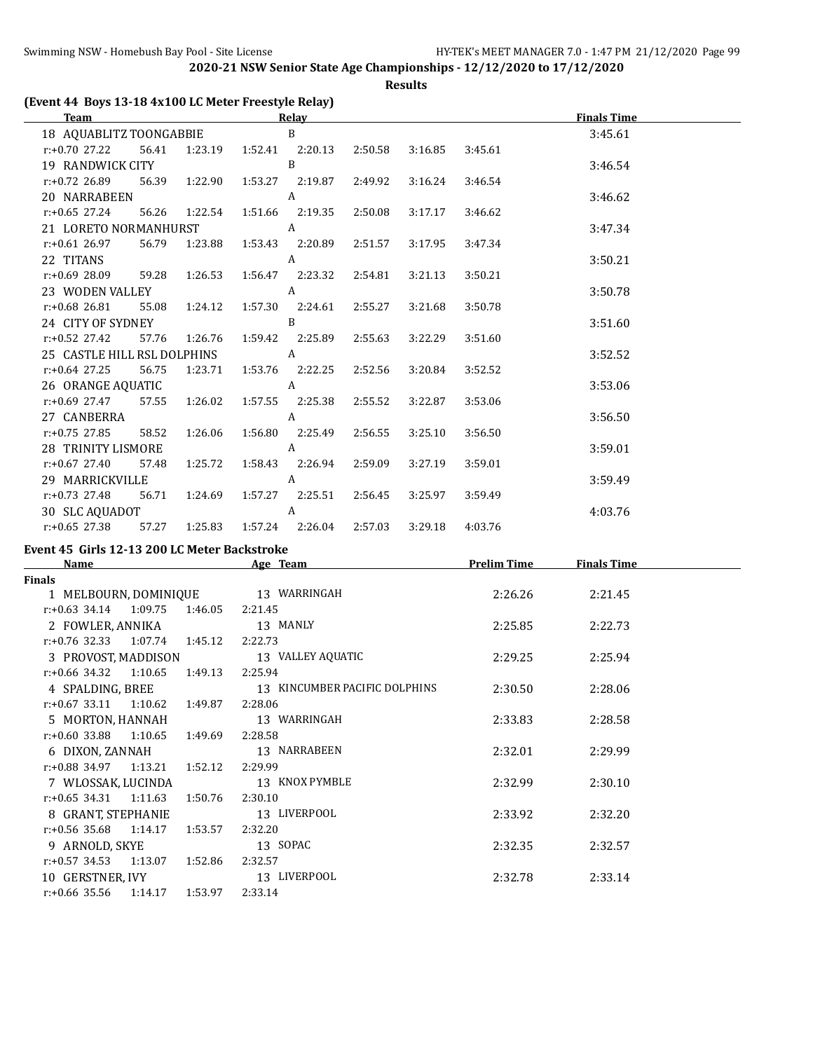**Results**

| (Event 44 Boys 13-18 4x100 LC Meter Freestyle Relay) |  |
|------------------------------------------------------|--|
|                                                      |  |

| <b>Team</b>                                         |       |               |                                  | <b>Relay</b>    |         |         |         | <b>Finals Time</b> |  |
|-----------------------------------------------------|-------|---------------|----------------------------------|-----------------|---------|---------|---------|--------------------|--|
| 18 AQUABLITZ TOONGABBIE                             |       |               |                                  | B               |         |         |         | 3:45.61            |  |
| r:+0.70 27.22 56.41 1:23.19 1:52.41 2:20.13         |       |               |                                  |                 | 2:50.58 | 3:16.85 | 3:45.61 |                    |  |
| 19 RANDWICK CITY                                    |       |               |                                  | B               |         |         |         | 3:46.54            |  |
| $r: +0.72$ 26.89                                    |       | 56.39 1:22.90 |                                  |                 |         | 3:16.24 | 3:46.54 |                    |  |
| 20 NARRABEEN                                        |       |               |                                  | A               |         |         |         | 3:46.62            |  |
| $r: +0.65$ 27.24                                    |       |               | 56.26  1:22.54  1:51.66  2:19.35 |                 | 2:50.08 | 3:17.17 | 3:46.62 |                    |  |
| 21 LORETO NORMANHURST A                             |       |               |                                  |                 |         |         |         | 3:47.34            |  |
| r:+0.61 26.97                                       | 56.79 |               | 1:23.88   1:53.43   2:20.89      |                 | 2:51.57 | 3:17.95 | 3:47.34 |                    |  |
| 22 TITANS                                           |       |               |                                  | A               |         |         |         | 3:50.21            |  |
| r:+0.69 28.09 59.28 1:26.53 1:56.47 2:23.32 2:54.81 |       |               |                                  |                 |         | 3:21.13 | 3:50.21 |                    |  |
| 23 WODEN VALLEY                                     |       |               |                                  | A               |         |         |         | 3:50.78            |  |
| $r: +0.68$ 26.81                                    |       | 55.08 1:24.12 | 1:57.30 2:24.61                  |                 | 2:55.27 | 3:21.68 | 3:50.78 |                    |  |
| 24 CITY OF SYDNEY                                   |       |               |                                  | B               |         |         |         | 3:51.60            |  |
| $r: +0.52$ 27.42                                    | 57.76 | 1:26.76       | 1:59.42 2:25.89                  |                 | 2:55.63 | 3:22.29 | 3:51.60 |                    |  |
| 25 CASTLE HILL RSL DOLPHINS                         |       |               | $\overline{A}$                   |                 |         |         |         | 3:52.52            |  |
| r:+0.64 27.25                                       | 56.75 |               | 1:23.71  1:53.76  2:22.25        |                 | 2:52.56 | 3:20.84 | 3:52.52 |                    |  |
| 26 ORANGE AQUATIC                                   |       |               |                                  | A               |         |         |         | 3:53.06            |  |
| r:+0.69 27.47 57.55 1:26.02 1:57.55 2:25.38         |       |               |                                  |                 | 2:55.52 | 3:22.87 | 3:53.06 |                    |  |
| 27 CANBERRA                                         |       |               |                                  | A               |         |         |         | 3:56.50            |  |
| $r: +0.75$ 27.85                                    | 58.52 |               | 1:26.06  1:56.80  2:25.49        |                 | 2:56.55 | 3:25.10 | 3:56.50 |                    |  |
| 28 TRINITY LISMORE                                  |       |               |                                  | $\mathbf{A}$    |         |         |         | 3:59.01            |  |
| $r: +0.67$ 27.40                                    | 57.48 | 1:25.72       |                                  | 1:58.43 2:26.94 | 2:59.09 | 3:27.19 | 3:59.01 |                    |  |
| 29 MARRICKVILLE                                     |       |               |                                  | A               |         |         |         | 3:59.49            |  |
| r:+0.73 27.48                                       | 56.71 |               | 1:24.69  1:57.27  2:25.51        |                 | 2:56.45 | 3:25.97 | 3:59.49 |                    |  |
| 30 SLC AQUADOT                                      |       |               |                                  | A               |         |         |         | 4:03.76            |  |
| $r: +0.65$ 27.38 57.27                              |       |               | 1:25.83   1:57.24   2:26.04      |                 | 2:57.03 | 3:29.18 | 4:03.76 |                    |  |

# **Event 45 Girls 12-13 200 LC Meter Backstroke**

| <b>Name</b>                 |         | Age Team                      | <b>Prelim Time</b> | <b>Finals Time</b> |  |
|-----------------------------|---------|-------------------------------|--------------------|--------------------|--|
| Finals                      |         |                               |                    |                    |  |
| 1 MELBOURN, DOMINIQUE       |         | 13 WARRINGAH                  | 2:26.26            | 2:21.45            |  |
| $r: +0.63$ 34.14 1:09.75    | 1:46.05 | 2:21.45                       |                    |                    |  |
| 2 FOWLER, ANNIKA            |         | 13 MANLY                      | 2:25.85            | 2:22.73            |  |
| $r: +0.76$ 32.33 1:07.74    | 1:45.12 | 2:22.73                       |                    |                    |  |
| 3 PROVOST, MADDISON         |         | 13 VALLEY AQUATIC             | 2:29.25            | 2:25.94            |  |
| $r: +0.66$ 34.32 1:10.65    | 1:49.13 | 2:25.94                       |                    |                    |  |
| 4 SPALDING, BREE            |         | 13 KINCUMBER PACIFIC DOLPHINS | 2:30.50            | 2:28.06            |  |
| $r: +0.67$ 33.11 1:10.62    | 1:49.87 | 2:28.06                       |                    |                    |  |
| 5 MORTON, HANNAH            |         | 13 WARRINGAH                  | 2:33.83            | 2:28.58            |  |
| r:+0.60 33.88<br>1:10.65    | 1:49.69 | 2:28.58                       |                    |                    |  |
| 6 DIXON, ZANNAH             |         | 13 NARRABEEN                  | 2:32.01            | 2:29.99            |  |
| $r: +0.88$ 34.97 1:13.21    | 1:52.12 | 2:29.99                       |                    |                    |  |
| 7 WLOSSAK, LUCINDA          |         | 13 KNOX PYMBLE                | 2:32.99            | 2:30.10            |  |
| $r: +0.65$ 34.31<br>1:11.63 | 1:50.76 | 2:30.10                       |                    |                    |  |
| 8 GRANT, STEPHANIE          |         | 13 LIVERPOOL                  | 2:33.92            | 2:32.20            |  |
| $r: +0.56$ 35.68 1:14.17    | 1:53.57 | 2:32.20                       |                    |                    |  |
| 9 ARNOLD, SKYE              |         | 13 SOPAC                      | 2:32.35            | 2:32.57            |  |
| $r.+0.57$ 34.53 1:13.07     | 1:52.86 | 2:32.57                       |                    |                    |  |
| 10 GERSTNER, IVY            |         | 13 LIVERPOOL                  | 2:32.78            | 2:33.14            |  |
| $r: +0.66$ 35.56<br>1:14.17 | 1:53.97 | 2:33.14                       |                    |                    |  |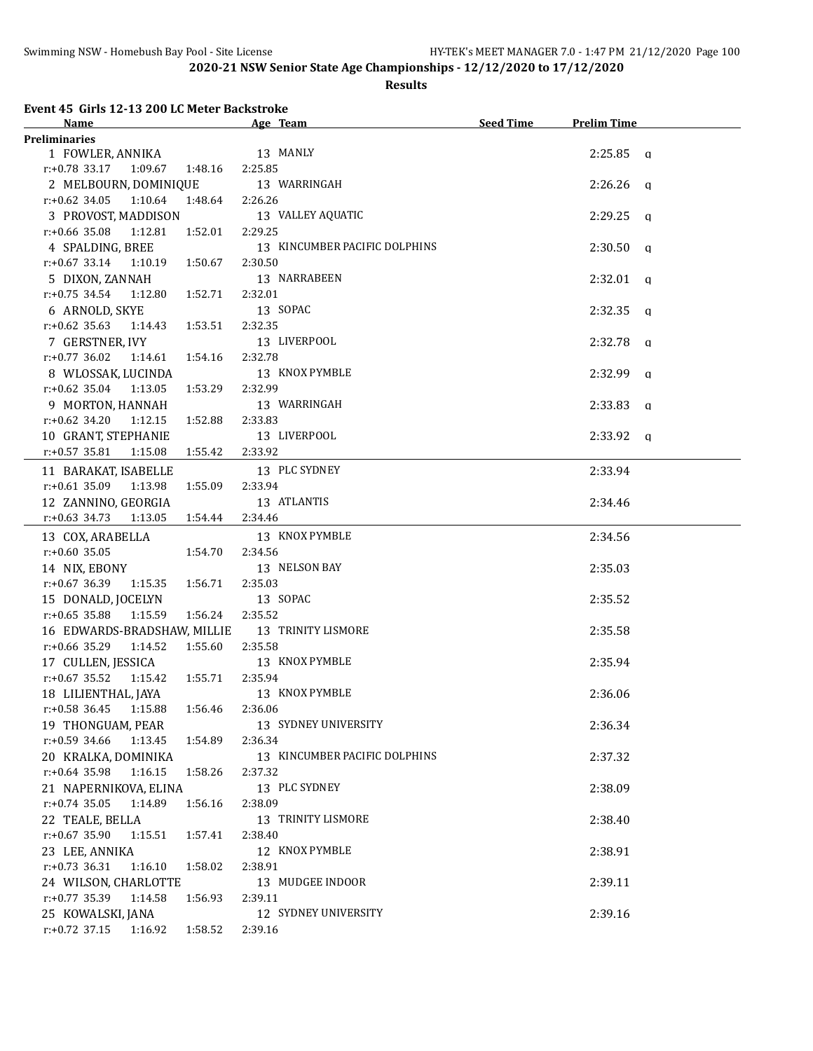### **Results**

**Event 45 Girls 12-13 200 LC Meter Backstroke**

| Name                                            | Age Team                      | <b>Seed Time</b> | <b>Prelim Time</b> |  |
|-------------------------------------------------|-------------------------------|------------------|--------------------|--|
| <b>Preliminaries</b>                            |                               |                  |                    |  |
| 1 FOWLER, ANNIKA                                | 13 MANLY                      |                  | $2:25.85$ a        |  |
| $r.+0.78$ 33.17 1:09.67 1:48.16                 | 2:25.85                       |                  |                    |  |
| 2 MELBOURN, DOMINIQUE                           | 13 WARRINGAH                  |                  | $2:26.26$ q        |  |
| $r.+0.62$ 34.05 1:10.64 1:48.64                 | 2:26.26                       |                  |                    |  |
| 3 PROVOST, MADDISON                             | 13 VALLEY AQUATIC             |                  | $2:29.25$ q        |  |
| $r.+0.66$ 35.08 1:12.81<br>1:52.01              | 2:29.25                       |                  |                    |  |
| 4 SPALDING, BREE                                | 13 KINCUMBER PACIFIC DOLPHINS |                  | $2:30.50$ q        |  |
| 1:50.67<br>$r: +0.67$ 33.14 1:10.19             | 2:30.50                       |                  |                    |  |
| 5 DIXON, ZANNAH                                 | 13 NARRABEEN                  |                  | $2:32.01$ a        |  |
| r:+0.75 34.54 1:12.80<br>1:52.71                | 2:32.01                       |                  |                    |  |
| 6 ARNOLD, SKYE                                  | 13 SOPAC                      |                  | $2:32.35$ a        |  |
| $r.+0.62$ 35.63 1:14.43<br>1:53.51              | 2:32.35                       |                  |                    |  |
| 7 GERSTNER, IVY                                 | 13 LIVERPOOL                  |                  | $2:32.78$ q        |  |
| $r.+0.77$ 36.02 1:14.61<br>1:54.16              | 2:32.78                       |                  |                    |  |
| 8 WLOSSAK, LUCINDA                              | 13 KNOX PYMBLE                |                  | $2:32.99$ q        |  |
| $r.+0.62$ 35.04 1:13.05<br>1:53.29              | 2:32.99                       |                  |                    |  |
| 9 MORTON, HANNAH                                | 13 WARRINGAH                  |                  | $2:33.83$ q        |  |
| $r: +0.62$ 34.20<br>1:12.15<br>1:52.88          | 2:33.83                       |                  |                    |  |
| 10 GRANT, STEPHANIE                             | 13 LIVERPOOL                  |                  | $2:33.92$ q        |  |
| $r: +0.57$ 35.81<br>1:15.08<br>1:55.42          | 2:33.92                       |                  |                    |  |
| 11 BARAKAT, ISABELLE                            | 13 PLC SYDNEY                 |                  | 2:33.94            |  |
| $r: +0.61$ 35.09 1:13.98<br>1:55.09             | 2:33.94                       |                  |                    |  |
| 12 ZANNINO, GEORGIA                             | 13 ATLANTIS                   |                  | 2:34.46            |  |
| $r.+0.63$ 34.73 1:13.05 1:54.44                 | 2:34.46                       |                  |                    |  |
|                                                 | 13 KNOX PYMBLE                |                  | 2:34.56            |  |
| 13 COX, ARABELLA<br>$r: +0.60$ 35.05<br>1:54.70 | 2:34.56                       |                  |                    |  |
| 14 NIX, EBONY                                   | 13 NELSON BAY                 |                  | 2:35.03            |  |
| $r.+0.6736.39$ 1:15.35 1:56.71                  | 2:35.03                       |                  |                    |  |
| 15 DONALD, JOCELYN                              | 13 SOPAC                      |                  | 2:35.52            |  |
| $r: +0.65$ 35.88 1:15.59<br>1:56.24             | 2:35.52                       |                  |                    |  |
| 16 EDWARDS-BRADSHAW, MILLIE                     | 13 TRINITY LISMORE            |                  | 2:35.58            |  |
| $r: +0.66$ 35.29 1:14.52 1:55.60                | 2:35.58                       |                  |                    |  |
| 17 CULLEN, JESSICA                              | 13 KNOX PYMBLE                |                  | 2:35.94            |  |
| $r.+0.67$ 35.52 1:15.42 1:55.71                 | 2:35.94                       |                  |                    |  |
| 18 LILIENTHAL, JAYA                             | 13 KNOX PYMBLE                |                  | 2:36.06            |  |
| r:+0.58 36.45 1:15.88 1:56.46 2:36.06           |                               |                  |                    |  |
| 19 THONGUAM, PEAR                               | 13 SYDNEY UNIVERSITY          |                  | 2:36.34            |  |
| $r: +0.59$ 34.66 1:13.45 1:54.89                | 2:36.34                       |                  |                    |  |
| 20 KRALKA, DOMINIKA                             | 13 KINCUMBER PACIFIC DOLPHINS |                  | 2:37.32            |  |
| $r: +0.64$ 35.98<br>1:16.15<br>1:58.26          | 2:37.32                       |                  |                    |  |
| 21 NAPERNIKOVA, ELINA                           | 13 PLC SYDNEY                 |                  | 2:38.09            |  |
| $r: +0.74$ 35.05<br>1:14.89<br>1:56.16          | 2:38.09                       |                  |                    |  |
| 22 TEALE, BELLA                                 | 13 TRINITY LISMORE            |                  | 2:38.40            |  |
| $r$ :+0.67 35.90<br>1:15.51<br>1:57.41          | 2:38.40                       |                  |                    |  |
| 23 LEE, ANNIKA                                  | 12 KNOX PYMBLE                |                  | 2:38.91            |  |
| $r.+0.73$ 36.31<br>1:58.02<br>1:16.10           | 2:38.91                       |                  |                    |  |
| 24 WILSON, CHARLOTTE                            | 13 MUDGEE INDOOR              |                  | 2:39.11            |  |
| $r: +0.77$ 35.39<br>1:14.58<br>1:56.93          | 2:39.11                       |                  |                    |  |
| 25 KOWALSKI, JANA                               | 12 SYDNEY UNIVERSITY          |                  | 2:39.16            |  |
| r:+0.72 37.15 1:16.92 1:58.52                   | 2:39.16                       |                  |                    |  |
|                                                 |                               |                  |                    |  |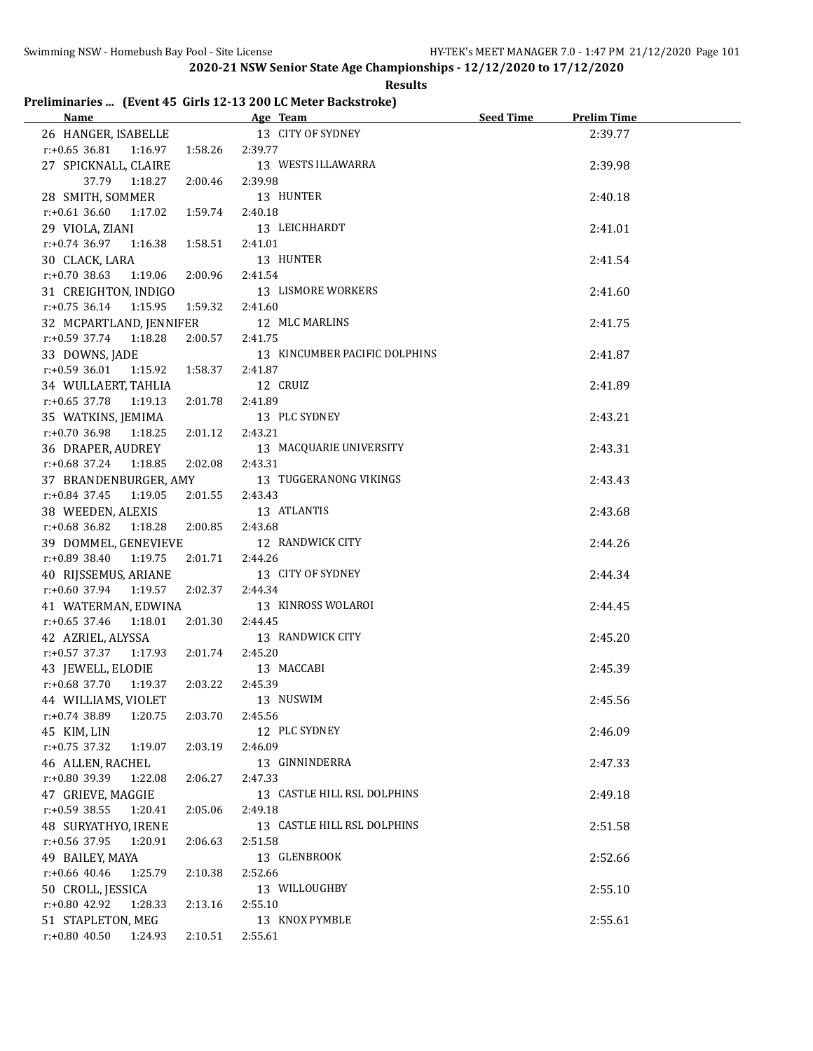$\overline{a}$ 

**2020-21 NSW Senior State Age Championships - 12/12/2020 to 17/12/2020**

# **Preliminaries ... (Event 45 Girls 12-13 200 LC Meter Backstroke)**

| Name and the state of the state of the state of the state of the state of the state of the state of the state of the state of the state of the state of the state of the state of the state of the state of the state of the s | Age Team and the state of the state of the state of the state of the state of the state of the state of the state of the state of the state of the state of the state of the state of the state of the state of the state of t | <b>Seed Time</b> | <b>Prelim Time</b> |  |
|--------------------------------------------------------------------------------------------------------------------------------------------------------------------------------------------------------------------------------|--------------------------------------------------------------------------------------------------------------------------------------------------------------------------------------------------------------------------------|------------------|--------------------|--|
| 26 HANGER, ISABELLE                                                                                                                                                                                                            | 13 CITY OF SYDNEY                                                                                                                                                                                                              |                  | 2:39.77            |  |
| $r: +0.65$ 36.81 1:16.97<br>1:58.26                                                                                                                                                                                            | 2:39.77                                                                                                                                                                                                                        |                  |                    |  |
| 27 SPICKNALL, CLAIRE                                                                                                                                                                                                           | 13 WESTS ILLAWARRA                                                                                                                                                                                                             |                  | 2:39.98            |  |
| 37.79 1:18.27<br>2:00.46                                                                                                                                                                                                       | 2:39.98                                                                                                                                                                                                                        |                  |                    |  |
| 28 SMITH, SOMMER                                                                                                                                                                                                               | 13 HUNTER                                                                                                                                                                                                                      |                  | 2:40.18            |  |
| $r.+0.61\,36.60\qquad1:17.02$<br>1:59.74                                                                                                                                                                                       | 2:40.18                                                                                                                                                                                                                        |                  |                    |  |
| 29 VIOLA, ZIANI                                                                                                                                                                                                                | 13 LEICHHARDT                                                                                                                                                                                                                  |                  | 2:41.01            |  |
| $r.+0.74$ 36.97 1:16.38<br>1:58.51                                                                                                                                                                                             | 2:41.01                                                                                                                                                                                                                        |                  |                    |  |
| 30 CLACK, LARA                                                                                                                                                                                                                 | 13 HUNTER                                                                                                                                                                                                                      |                  | 2:41.54            |  |
| $r: +0.70$ 38.63<br>2:00.96<br>1:19.06                                                                                                                                                                                         | 2:41.54                                                                                                                                                                                                                        |                  |                    |  |
| 31 CREIGHTON, INDIGO                                                                                                                                                                                                           | 13 LISMORE WORKERS                                                                                                                                                                                                             |                  | 2:41.60            |  |
| $r: +0.75$ 36.14 1:15.95                                                                                                                                                                                                       | 2:41.60                                                                                                                                                                                                                        |                  |                    |  |
| 1:59.32                                                                                                                                                                                                                        |                                                                                                                                                                                                                                |                  |                    |  |
| 32 MCPARTLAND, JENNIFER                                                                                                                                                                                                        | 12 MLC MARLINS                                                                                                                                                                                                                 |                  | 2:41.75            |  |
| $r: +0.59$ 37.74 1:18.28<br>2:00.57                                                                                                                                                                                            | 2:41.75                                                                                                                                                                                                                        |                  |                    |  |
| 33 DOWNS, JADE                                                                                                                                                                                                                 | 13 KINCUMBER PACIFIC DOLPHINS                                                                                                                                                                                                  |                  | 2:41.87            |  |
| $r: +0.59$ 36.01<br>1:58.37<br>1:15.92                                                                                                                                                                                         | 2:41.87                                                                                                                                                                                                                        |                  |                    |  |
| 34 WULLAERT, TAHLIA                                                                                                                                                                                                            | 12 CRUIZ                                                                                                                                                                                                                       |                  | 2:41.89            |  |
| $r: +0.65$ 37.78<br>1:19.13<br>2:01.78                                                                                                                                                                                         | 2:41.89                                                                                                                                                                                                                        |                  |                    |  |
| 35 WATKINS, JEMIMA                                                                                                                                                                                                             | 13 PLC SYDNEY                                                                                                                                                                                                                  |                  | 2:43.21            |  |
| $r: +0.70$ 36.98<br>2:01.12<br>1:18.25                                                                                                                                                                                         | 2:43.21                                                                                                                                                                                                                        |                  |                    |  |
| 36 DRAPER, AUDREY                                                                                                                                                                                                              | 13 MACQUARIE UNIVERSITY                                                                                                                                                                                                        |                  | 2:43.31            |  |
| $r: +0.68$ 37.24<br>1:18.85<br>2:02.08                                                                                                                                                                                         | 2:43.31                                                                                                                                                                                                                        |                  |                    |  |
| 37 BRANDENBURGER, AMY                                                                                                                                                                                                          | 13 TUGGERANONG VIKINGS                                                                                                                                                                                                         |                  | 2:43.43            |  |
| $r: +0.84$ 37.45<br>2:01.55<br>1:19.05                                                                                                                                                                                         | 2:43.43                                                                                                                                                                                                                        |                  |                    |  |
| 38 WEEDEN, ALEXIS                                                                                                                                                                                                              | 13 ATLANTIS                                                                                                                                                                                                                    |                  | 2:43.68            |  |
| 1:18.28  2:00.85<br>r:+0.68 36.82                                                                                                                                                                                              | 2:43.68                                                                                                                                                                                                                        |                  |                    |  |
| 39 DOMMEL, GENEVIEVE                                                                                                                                                                                                           | 12 RANDWICK CITY                                                                                                                                                                                                               |                  | 2:44.26            |  |
| 1:19.75<br>2:01.71<br>r:+0.89 38.40                                                                                                                                                                                            | 2:44.26                                                                                                                                                                                                                        |                  |                    |  |
| 40 RIJSSEMUS, ARIANE                                                                                                                                                                                                           | 13 CITY OF SYDNEY                                                                                                                                                                                                              |                  | 2:44.34            |  |
| 2:02.37<br>$r.+0.60$ 37.94 1:19.57                                                                                                                                                                                             | 2:44.34                                                                                                                                                                                                                        |                  |                    |  |
| 41 WATERMAN, EDWINA                                                                                                                                                                                                            | 13 KINROSS WOLAROI                                                                                                                                                                                                             |                  | 2:44.45            |  |
| $r: +0.65$ 37.46<br>2:01.30<br>1:18.01                                                                                                                                                                                         | 2:44.45                                                                                                                                                                                                                        |                  |                    |  |
| 42 AZRIEL, ALYSSA                                                                                                                                                                                                              | 13 RANDWICK CITY                                                                                                                                                                                                               |                  | 2:45.20            |  |
| $r.+0.57$ 37.37 1:17.93<br>2:01.74                                                                                                                                                                                             | 2:45.20                                                                                                                                                                                                                        |                  |                    |  |
| 43 JEWELL, ELODIE                                                                                                                                                                                                              | 13 MACCABI                                                                                                                                                                                                                     |                  | 2:45.39            |  |
| 2:03.22<br>$r.+0.68$ 37.70 1:19.37                                                                                                                                                                                             | 2:45.39                                                                                                                                                                                                                        |                  |                    |  |
| 44 WILLIAMS, VIOLET                                                                                                                                                                                                            | 13 NUSWIM                                                                                                                                                                                                                      |                  | 2:45.56            |  |
| r:+0.74 38.89<br>1:20.75<br>2:03.70                                                                                                                                                                                            | 2:45.56                                                                                                                                                                                                                        |                  |                    |  |
| 45 KIM, LIN                                                                                                                                                                                                                    | 12 PLC SYDNEY                                                                                                                                                                                                                  |                  | 2:46.09            |  |
| $r: +0.75$ 37.32<br>2:03.19<br>1:19.07                                                                                                                                                                                         | 2:46.09                                                                                                                                                                                                                        |                  |                    |  |
|                                                                                                                                                                                                                                | 13 GINNINDERRA                                                                                                                                                                                                                 |                  |                    |  |
| 46 ALLEN, RACHEL                                                                                                                                                                                                               |                                                                                                                                                                                                                                |                  | 2:47.33            |  |
| r:+0.80 39.39<br>1:22.08<br>2:06.27                                                                                                                                                                                            | 2:47.33                                                                                                                                                                                                                        |                  |                    |  |
| 47 GRIEVE, MAGGIE                                                                                                                                                                                                              | 13 CASTLE HILL RSL DOLPHINS                                                                                                                                                                                                    |                  | 2:49.18            |  |
| $r: +0.59$ 38.55<br>1:20.41<br>2:05.06                                                                                                                                                                                         | 2:49.18                                                                                                                                                                                                                        |                  |                    |  |
| 48 SURYATHYO, IRENE                                                                                                                                                                                                            | 13 CASTLE HILL RSL DOLPHINS                                                                                                                                                                                                    |                  | 2:51.58            |  |
| r:+0.56 37.95<br>1:20.91<br>2:06.63                                                                                                                                                                                            | 2:51.58                                                                                                                                                                                                                        |                  |                    |  |
| 49 BAILEY, MAYA                                                                                                                                                                                                                | 13 GLENBROOK                                                                                                                                                                                                                   |                  | 2:52.66            |  |
| $r$ :+0.66 40.46<br>1:25.79<br>2:10.38                                                                                                                                                                                         | 2:52.66                                                                                                                                                                                                                        |                  |                    |  |
| 50 CROLL, JESSICA                                                                                                                                                                                                              | 13 WILLOUGHBY                                                                                                                                                                                                                  |                  | 2:55.10            |  |
| r:+0.80 42.92<br>1:28.33<br>2:13.16                                                                                                                                                                                            | 2:55.10                                                                                                                                                                                                                        |                  |                    |  |
| 51 STAPLETON, MEG                                                                                                                                                                                                              | 13 KNOX PYMBLE                                                                                                                                                                                                                 |                  | 2:55.61            |  |
| $r: +0.80$ 40.50<br>1:24.93<br>2:10.51                                                                                                                                                                                         | 2:55.61                                                                                                                                                                                                                        |                  |                    |  |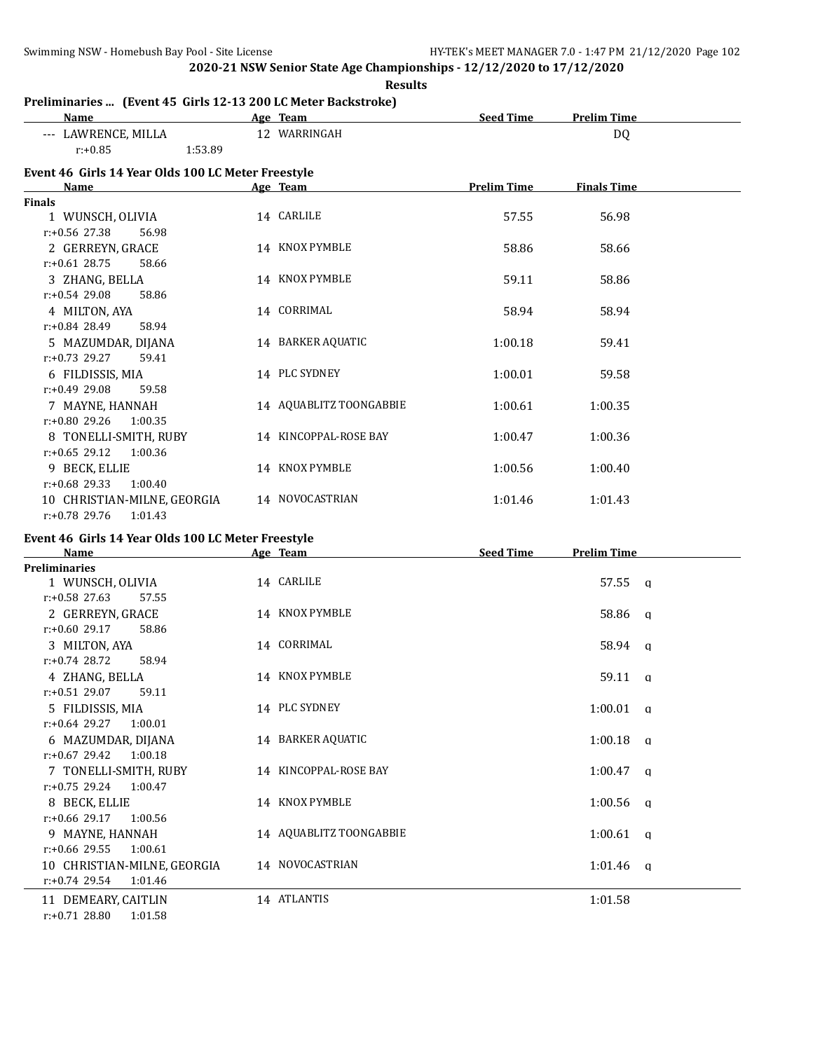| <b>Results</b>                                                        |  |                         |                    |                    |  |
|-----------------------------------------------------------------------|--|-------------------------|--------------------|--------------------|--|
| Preliminaries  (Event 45 Girls 12-13 200 LC Meter Backstroke)<br>Name |  | Age Team                | <b>Seed Time</b>   | <b>Prelim Time</b> |  |
| --- LAWRENCE, MILLA                                                   |  | 12 WARRINGAH            |                    | DQ                 |  |
| $r: +0.85$<br>1:53.89                                                 |  |                         |                    |                    |  |
| Event 46 Girls 14 Year Olds 100 LC Meter Freestyle                    |  |                         |                    |                    |  |
| <b>Name</b>                                                           |  | Age Team                | <b>Prelim Time</b> | <b>Finals Time</b> |  |
| <b>Finals</b>                                                         |  |                         |                    |                    |  |
| 1 WUNSCH, OLIVIA                                                      |  | 14 CARLILE              | 57.55              | 56.98              |  |
| r:+0.56 27.38<br>56.98                                                |  |                         |                    |                    |  |
| 2 GERREYN, GRACE                                                      |  | 14 KNOX PYMBLE          | 58.86              | 58.66              |  |
| $r: +0.61$ 28.75<br>58.66                                             |  |                         |                    |                    |  |
| 3 ZHANG, BELLA                                                        |  | 14 KNOX PYMBLE          | 59.11              | 58.86              |  |
| $r: +0.54$ 29.08<br>58.86                                             |  |                         |                    |                    |  |
| 4 MILTON, AYA                                                         |  | 14 CORRIMAL             | 58.94              | 58.94              |  |
| $r: +0.84$ 28.49<br>58.94                                             |  |                         |                    |                    |  |
| 5 MAZUMDAR, DIJANA                                                    |  | 14 BARKER AQUATIC       | 1:00.18            | 59.41              |  |
| $r: +0.73$ 29.27<br>59.41                                             |  |                         |                    |                    |  |
| 6 FILDISSIS, MIA                                                      |  | 14 PLC SYDNEY           | 1:00.01            | 59.58              |  |
| $r: +0.49$ 29.08<br>59.58                                             |  |                         |                    |                    |  |
| 7 MAYNE, HANNAH                                                       |  | 14 AQUABLITZ TOONGABBIE | 1:00.61            | 1:00.35            |  |
| r:+0.80 29.26<br>1:00.35                                              |  |                         |                    |                    |  |
| 8 TONELLI-SMITH, RUBY                                                 |  | 14 KINCOPPAL-ROSE BAY   | 1:00.47            | 1:00.36            |  |
| $r: +0.65$ 29.12<br>1:00.36                                           |  |                         |                    |                    |  |
| 9 BECK, ELLIE                                                         |  | 14 KNOX PYMBLE          | 1:00.56            | 1:00.40            |  |
| $r: +0.68$ 29.33<br>1:00.40                                           |  |                         |                    |                    |  |
| 10 CHRISTIAN-MILNE, GEORGIA                                           |  | 14 NOVOCASTRIAN         | 1:01.46            | 1:01.43            |  |
| $r: +0.78$ 29.76<br>1:01.43                                           |  |                         |                    |                    |  |
| Event 46 Girls 14 Year Olds 100 LC Meter Freestyle                    |  |                         |                    |                    |  |
| <b>Name</b>                                                           |  | Age Team                | <b>Seed Time</b>   | <b>Prelim Time</b> |  |
| <b>Preliminaries</b>                                                  |  |                         |                    |                    |  |
| 1 WIINSCH OLIVIA                                                      |  | 14 CARLUE               |                    | 5755a              |  |

| <b>Preliminaries</b>        |                         |                   |
|-----------------------------|-------------------------|-------------------|
| 1 WUNSCH, OLIVIA            | 14 CARLILE              | 57.55 g           |
| $r: +0.58$ 27.63<br>57.55   |                         |                   |
| 2 GERREYN, GRACE            | 14 KNOX PYMBLE          | 58.86 q           |
| $r: +0.60$ 29.17<br>58.86   |                         |                   |
| 3 MILTON, AYA               | 14 CORRIMAL             | 58.94 q           |
| $r: +0.74$ 28.72<br>58.94   |                         |                   |
| 4 ZHANG, BELLA              | 14 KNOX PYMBLE          | $59.11 \text{ q}$ |
| $r: +0.51$ 29.07<br>59.11   |                         |                   |
| 5 FILDISSIS, MIA            | 14 PLC SYDNEY           | $1:00.01$ q       |
| $r: +0.64$ 29.27<br>1:00.01 |                         |                   |
| 6 MAZUMDAR, DIJANA          | 14 BARKER AQUATIC       | $1:00.18$ q       |
| $r: +0.67$ 29.42<br>1:00.18 |                         |                   |
| 7 TONELLI-SMITH, RUBY       | 14 KINCOPPAL-ROSE BAY   | $1:00.47$ a       |
| $r: +0.75$ 29.24<br>1:00.47 |                         |                   |
| 8 BECK, ELLIE               | 14 KNOX PYMBLE          | $1:00.56$ q       |
| $r: +0.66$ 29.17<br>1:00.56 |                         |                   |
| 9 MAYNE, HANNAH             | 14 AQUABLITZ TOONGABBIE | $1:00.61$ q       |
| $r: +0.66$ 29.55<br>1:00.61 |                         |                   |
| 10 CHRISTIAN-MILNE, GEORGIA | 14 NOVOCASTRIAN         | $1:01.46$ q       |
| $r: +0.74$ 29.54<br>1:01.46 |                         |                   |
| 11 DEMEARY, CAITLIN         | 14 ATLANTIS             | 1:01.58           |
| $0.71.00.00$ $1.01.70$      |                         |                   |

r:+0.71 28.80 1:01.58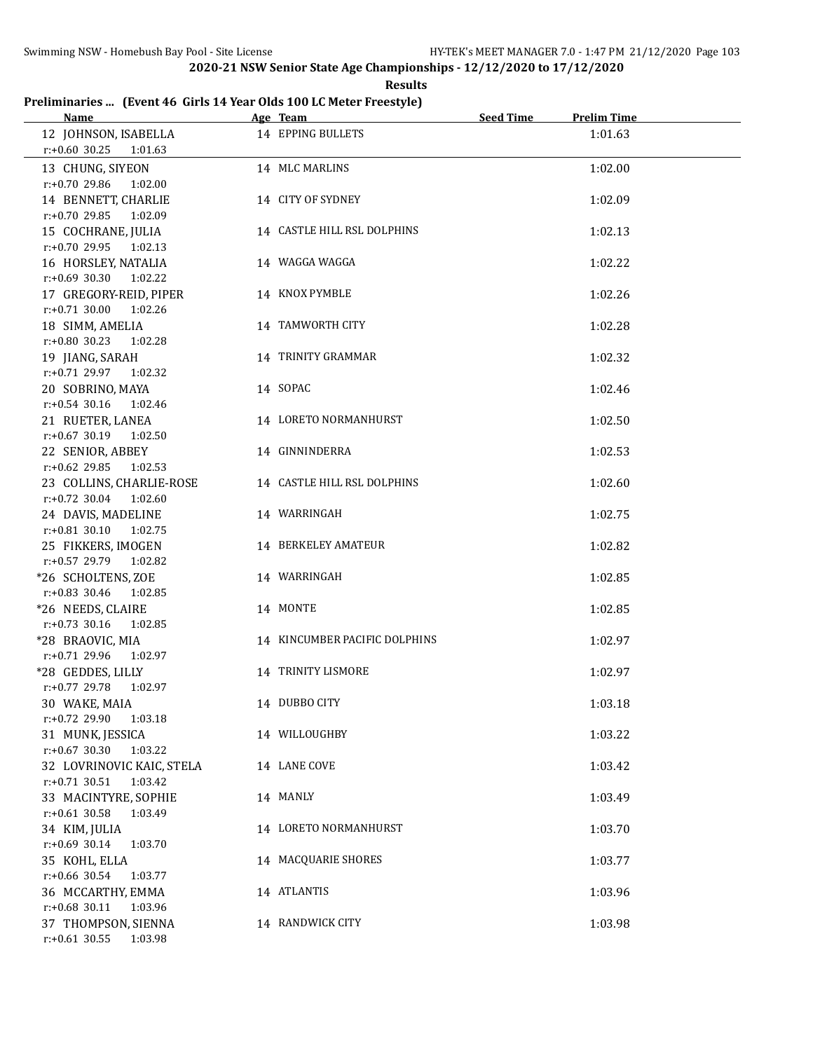**Results**

# **Preliminaries ... (Event 46 Girls 14 Year Olds 100 LC Meter Freestyle)**

| Name                                             | Age Team                      | <b>Seed Time</b> | <b>Prelim Time</b> |
|--------------------------------------------------|-------------------------------|------------------|--------------------|
| 12 JOHNSON, ISABELLA                             | 14 EPPING BULLETS             |                  | 1:01.63            |
| $r: +0.60$ 30.25 1:01.63                         |                               |                  |                    |
| 13 CHUNG, SIYEON                                 | 14 MLC MARLINS                |                  | 1:02.00            |
| r:+0.70 29.86<br>1:02.00                         |                               |                  |                    |
| 14 BENNETT, CHARLIE                              | 14 CITY OF SYDNEY             |                  | 1:02.09            |
| r:+0.70 29.85 1:02.09                            |                               |                  |                    |
| 15 COCHRANE, JULIA                               | 14 CASTLE HILL RSL DOLPHINS   |                  | 1:02.13            |
| $r: +0.7029.95$ 1:02.13                          |                               |                  |                    |
| 16 HORSLEY, NATALIA                              | 14 WAGGA WAGGA                |                  | 1:02.22            |
| $r: +0.69$ 30.30 1:02.22                         |                               |                  |                    |
| 17 GREGORY-REID, PIPER                           | 14 KNOX PYMBLE                |                  | 1:02.26            |
| $r: +0.71$ 30.00<br>1:02.26                      |                               |                  |                    |
| 18 SIMM, AMELIA                                  | 14 TAMWORTH CITY              |                  | 1:02.28            |
| $r: +0.80$ 30.23 1:02.28                         |                               |                  |                    |
| 19 JIANG, SARAH                                  | 14 TRINITY GRAMMAR            |                  | 1:02.32            |
| r:+0.71 29.97 1:02.32                            |                               |                  |                    |
| 20 SOBRINO, MAYA                                 | 14 SOPAC                      |                  | 1:02.46            |
| r:+0.54 30.16 1:02.46                            |                               |                  |                    |
| 21 RUETER, LANEA                                 | 14 LORETO NORMANHURST         |                  | 1:02.50            |
| $r: +0.67$ 30.19 1:02.50                         |                               |                  |                    |
| 22 SENIOR, ABBEY                                 | 14 GINNINDERRA                |                  | 1:02.53            |
| $r: +0.62$ 29.85 1:02.53                         |                               |                  |                    |
| 23 COLLINS, CHARLIE-ROSE                         | 14 CASTLE HILL RSL DOLPHINS   |                  | 1:02.60            |
| $r.+0.72$ 30.04 1:02.60                          |                               |                  |                    |
| 24 DAVIS, MADELINE                               | 14 WARRINGAH                  |                  | 1:02.75            |
| $r: +0.81$ 30.10 1:02.75                         |                               |                  |                    |
| 25 FIKKERS, IMOGEN                               | 14 BERKELEY AMATEUR           |                  | 1:02.82            |
| r:+0.57 29.79 1:02.82                            |                               |                  |                    |
| *26 SCHOLTENS, ZOE                               | 14 WARRINGAH                  |                  | 1:02.85            |
| $r: +0.83$ 30.46 1:02.85                         | 14 MONTE                      |                  |                    |
| *26 NEEDS, CLAIRE<br>$r: +0.73$ 30.16<br>1:02.85 |                               |                  | 1:02.85            |
| *28 BRAOVIC, MIA                                 | 14 KINCUMBER PACIFIC DOLPHINS |                  | 1:02.97            |
| $r.+0.7129.96102.97$                             |                               |                  |                    |
| *28 GEDDES, LILLY                                | 14 TRINITY LISMORE            |                  | 1:02.97            |
| r:+0.77 29.78 1:02.97                            |                               |                  |                    |
| 30 WAKE, MAIA                                    | 14 DUBBO CITY                 |                  | 1:03.18            |
| $r: +0.72$ 29.90<br>1:03.18                      |                               |                  |                    |
| 31 MUNK, JESSICA                                 | 14 WILLOUGHBY                 |                  | 1:03.22            |
| $r: +0.67$ 30.30<br>1:03.22                      |                               |                  |                    |
| 32 LOVRINOVIC KAIC, STELA                        | 14 LANE COVE                  |                  | 1:03.42            |
| $r: +0.71$ 30.51<br>1:03.42                      |                               |                  |                    |
| 33 MACINTYRE, SOPHIE                             | 14 MANLY                      |                  | 1:03.49            |
| $r: +0.61$ 30.58<br>1:03.49                      |                               |                  |                    |
| 34 KIM, JULIA                                    | 14 LORETO NORMANHURST         |                  | 1:03.70            |
| $r: +0.69$ 30.14<br>1:03.70                      |                               |                  |                    |
| 35 KOHL, ELLA                                    | 14 MACQUARIE SHORES           |                  | 1:03.77            |
| r:+0.66 30.54<br>1:03.77                         |                               |                  |                    |
| 36 MCCARTHY, EMMA                                | 14 ATLANTIS                   |                  | 1:03.96            |
| r:+0.68 30.11<br>1:03.96                         |                               |                  |                    |
| 37 THOMPSON, SIENNA                              | 14 RANDWICK CITY              |                  | 1:03.98            |
| $r: +0.61$ 30.55<br>1:03.98                      |                               |                  |                    |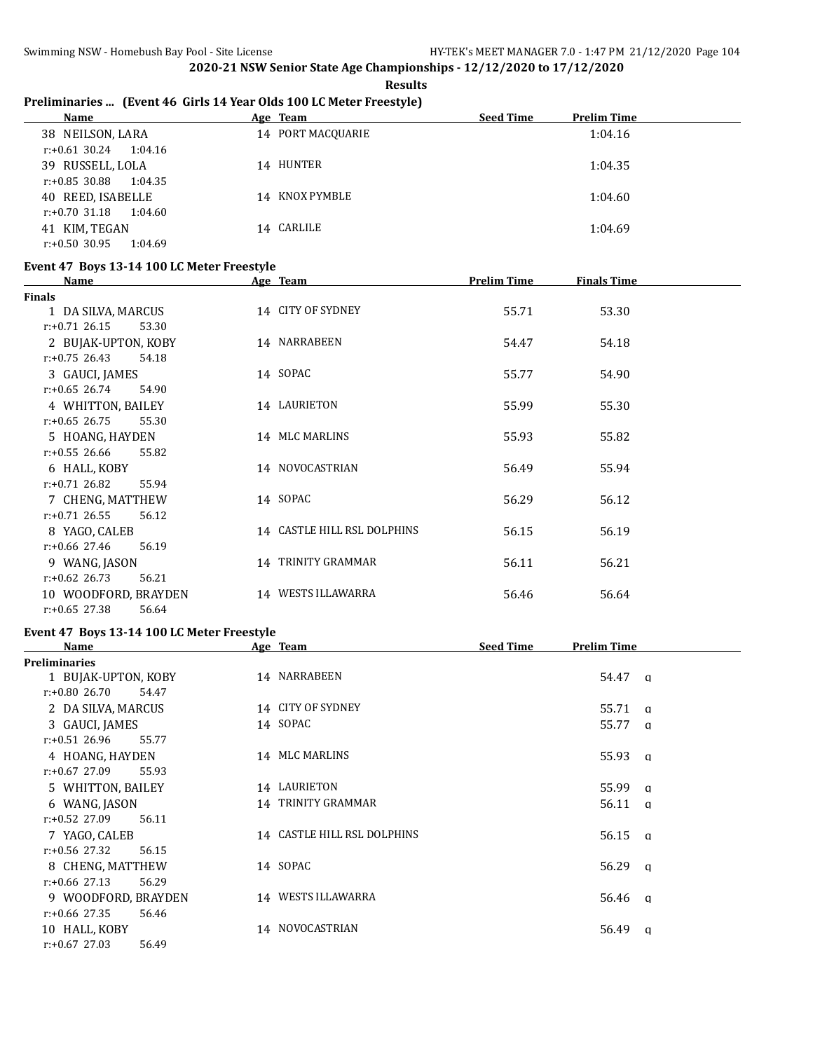**Results**

# **Preliminaries ... (Event 46 Girls 14 Year Olds 100 LC Meter Freestyle)**

| Name                        | Age Team          | <b>Seed Time</b><br><b>Prelim Time</b> |
|-----------------------------|-------------------|----------------------------------------|
| 38 NEILSON, LARA            | 14 PORT MACOUARIE | 1:04.16                                |
| r:+0.61 30.24<br>1:04.16    |                   |                                        |
| 39 RUSSELL, LOLA            | 14 HUNTER         | 1:04.35                                |
| r:+0.85 30.88<br>1:04.35    |                   |                                        |
| 40 REED, ISABELLE           | 14 KNOX PYMBLE    | 1:04.60                                |
| 1:04.60<br>r:+0.70 31.18    |                   |                                        |
| 41 KIM, TEGAN               | 14 CARLILE        | 1:04.69                                |
| $r: +0.50$ 30.95<br>1:04.69 |                   |                                        |

### **Event 47 Boys 13-14 100 LC Meter Freestyle**

| Name                      | Age Team                    | <b>Prelim Time</b> | <b>Finals Time</b> |  |
|---------------------------|-----------------------------|--------------------|--------------------|--|
| <b>Finals</b>             |                             |                    |                    |  |
| 1 DA SILVA, MARCUS        | 14 CITY OF SYDNEY           | 55.71              | 53.30              |  |
| $r: +0.71$ 26.15<br>53.30 |                             |                    |                    |  |
| 2 BUJAK-UPTON, KOBY       | 14 NARRABEEN                | 54.47              | 54.18              |  |
| $r: +0.75$ 26.43<br>54.18 |                             |                    |                    |  |
| 3 GAUCI, JAMES            | 14 SOPAC                    | 55.77              | 54.90              |  |
| $r: +0.65$ 26.74<br>54.90 |                             |                    |                    |  |
| 4 WHITTON, BAILEY         | 14 LAURIETON                | 55.99              | 55.30              |  |
| $r: +0.65$ 26.75<br>55.30 |                             |                    |                    |  |
| 5 HOANG, HAYDEN           | 14 MLC MARLINS              | 55.93              | 55.82              |  |
| $r: +0.55$ 26.66<br>55.82 |                             |                    |                    |  |
| 6 HALL, KOBY              | 14 NOVOCASTRIAN             | 56.49              | 55.94              |  |
| $r: +0.71$ 26.82<br>55.94 |                             |                    |                    |  |
| 7 CHENG, MATTHEW          | 14 SOPAC                    | 56.29              | 56.12              |  |
| $r: +0.71$ 26.55<br>56.12 |                             |                    |                    |  |
| 8 YAGO, CALEB             | 14 CASTLE HILL RSL DOLPHINS | 56.15              | 56.19              |  |
| $r: +0.66$ 27.46<br>56.19 |                             |                    |                    |  |
| 9 WANG, JASON             | 14 TRINITY GRAMMAR          | 56.11              | 56.21              |  |
| $r: +0.62$ 26.73<br>56.21 |                             |                    |                    |  |
| 10 WOODFORD, BRAYDEN      | 14 WESTS ILLAWARRA          | 56.46              | 56.64              |  |
| $r: +0.65$ 27.38<br>56.64 |                             |                    |                    |  |

### **Event 47 Boys 13-14 100 LC Meter Freestyle**

| Name                      | Age Team                    | <b>Seed Time</b><br><b>Prelim Time</b> |
|---------------------------|-----------------------------|----------------------------------------|
| <b>Preliminaries</b>      |                             |                                        |
| 1 BUJAK-UPTON, KOBY       | 14 NARRABEEN                | 54.47<br>$\alpha$                      |
| $r: +0.80$ 26.70<br>54.47 |                             |                                        |
| 2 DA SILVA, MARCUS        | 14 CITY OF SYDNEY           | 55.71<br>a                             |
| 3 GAUCI, JAMES            | 14 SOPAC                    | 55.77<br><b>a</b>                      |
| $r: +0.51$ 26.96<br>55.77 |                             |                                        |
| 4 HOANG, HAYDEN           | 14 MLC MARLINS              | 55.93 g                                |
| $r: +0.67$ 27.09<br>55.93 |                             |                                        |
| 5 WHITTON, BAILEY         | 14 LAURIETON                | 55.99<br>$\alpha$                      |
| 6 WANG, JASON             | 14 TRINITY GRAMMAR          | 56.11<br>$\alpha$                      |
| $r: +0.52$ 27.09<br>56.11 |                             |                                        |
| 7 YAGO, CALEB             | 14 CASTLE HILL RSL DOLPHINS | $56.15 \quad q$                        |
| $r: +0.56$ 27.32<br>56.15 |                             |                                        |
| 8 CHENG, MATTHEW          | 14 SOPAC                    | $56.29 \quad a$                        |
| $r: +0.66$ 27.13<br>56.29 |                             |                                        |
| 9 WOODFORD, BRAYDEN       | 14 WESTS ILLAWARRA          | 56.46 q                                |
| $r: +0.66$ 27.35<br>56.46 |                             |                                        |
| 10 HALL, KOBY             | 14 NOVOCASTRIAN             | 56.49<br>q                             |
| $r: +0.67$ 27.03<br>56.49 |                             |                                        |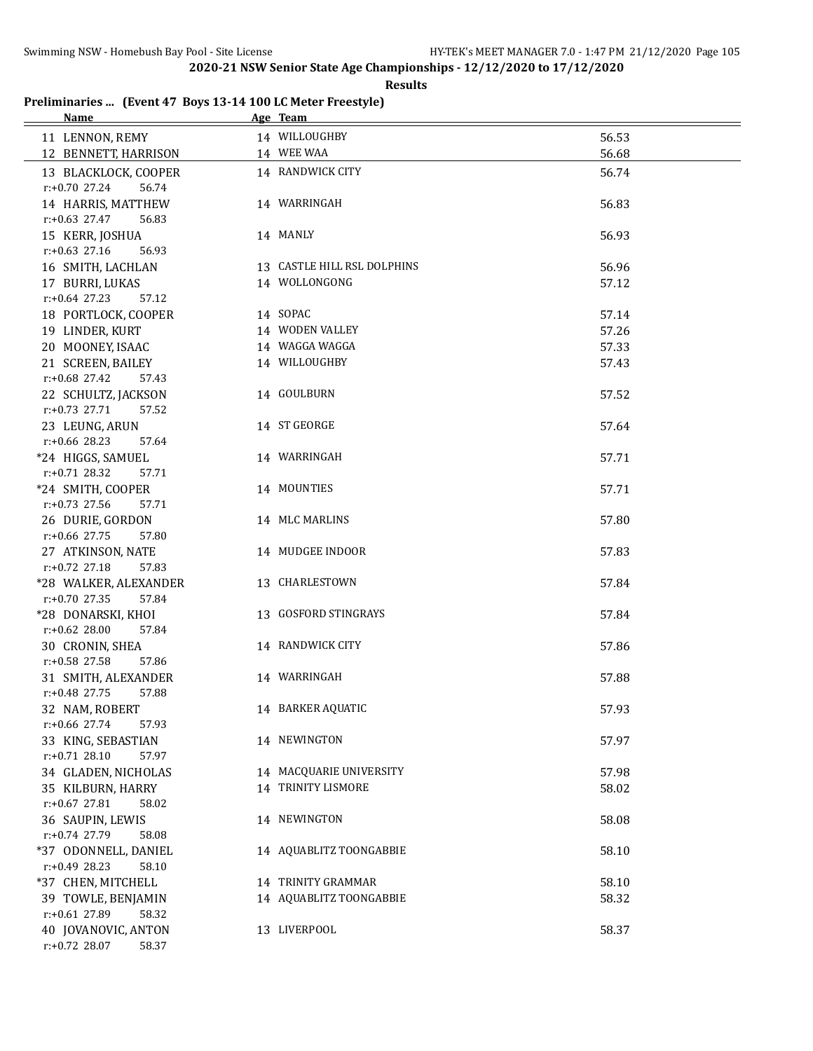|  |  | Preliminaries  (Event 47 Boys 13-14 100 LC Meter Freestyle) |
|--|--|-------------------------------------------------------------|
|--|--|-------------------------------------------------------------|

| <b>Name</b>                               | Age Team                    |       |
|-------------------------------------------|-----------------------------|-------|
| 11 LENNON, REMY                           | 14 WILLOUGHBY               | 56.53 |
| 12 BENNETT, HARRISON                      | 14 WEE WAA                  | 56.68 |
| 13 BLACKLOCK, COOPER                      | 14 RANDWICK CITY            | 56.74 |
| $r: +0.70$ 27.24<br>56.74                 |                             |       |
| 14 HARRIS, MATTHEW                        | 14 WARRINGAH                | 56.83 |
| $r: +0.63$ 27.47<br>56.83                 |                             |       |
| 15 KERR, JOSHUA                           | 14 MANLY                    | 56.93 |
| $r: +0.63$ 27.16<br>56.93                 |                             |       |
| 16 SMITH, LACHLAN                         | 13 CASTLE HILL RSL DOLPHINS | 56.96 |
| 17 BURRI, LUKAS                           | 14 WOLLONGONG               | 57.12 |
| $r: +0.64$ 27.23<br>57.12                 |                             |       |
| 18 PORTLOCK, COOPER                       | 14 SOPAC                    | 57.14 |
| 19 LINDER, KURT                           | 14 WODEN VALLEY             | 57.26 |
| 20 MOONEY, ISAAC                          | 14 WAGGA WAGGA              | 57.33 |
| 21 SCREEN, BAILEY                         | 14 WILLOUGHBY               | 57.43 |
| r:+0.68 27.42<br>57.43                    |                             |       |
| 22 SCHULTZ, JACKSON                       | 14 GOULBURN                 | 57.52 |
| $r: +0.73$ 27.71<br>57.52                 |                             |       |
| 23 LEUNG, ARUN                            | 14 ST GEORGE                | 57.64 |
| $r: +0.66$ 28.23<br>57.64                 |                             |       |
| *24 HIGGS, SAMUEL                         | 14 WARRINGAH                | 57.71 |
| $r: +0.71$ 28.32<br>57.71                 |                             |       |
| *24 SMITH, COOPER                         | 14 MOUNTIES                 | 57.71 |
| $r: +0.73$ 27.56<br>57.71                 |                             |       |
| 26 DURIE, GORDON                          | 14 MLC MARLINS              | 57.80 |
| $r: +0.66$ 27.75<br>57.80                 |                             |       |
| 27 ATKINSON, NATE                         | 14 MUDGEE INDOOR            | 57.83 |
| $r: +0.72$ 27.18<br>57.83                 |                             |       |
| *28 WALKER, ALEXANDER                     | 13 CHARLESTOWN              | 57.84 |
| $r: +0.70$ 27.35<br>57.84                 |                             |       |
| *28 DONARSKI, KHOI                        | 13 GOSFORD STINGRAYS        | 57.84 |
| r:+0.62 28.00<br>57.84<br>30 CRONIN, SHEA | 14 RANDWICK CITY            | 57.86 |
| $r: +0.58$ 27.58<br>57.86                 |                             |       |
| 31 SMITH, ALEXANDER                       | 14 WARRINGAH                | 57.88 |
| $r: +0.48$ 27.75<br>57.88                 |                             |       |
| 32 NAM, ROBERT                            | 14 BARKER AQUATIC           | 57.93 |
| $r: +0.66$ 27.74<br>57.93                 |                             |       |
| 33 KING, SEBASTIAN                        | 14 NEWINGTON                | 57.97 |
| $r.+0.71$ 28.10<br>57.97                  |                             |       |
| 34 GLADEN, NICHOLAS                       | 14 MACQUARIE UNIVERSITY     | 57.98 |
| 35 KILBURN, HARRY                         | 14 TRINITY LISMORE          | 58.02 |
| $r: +0.67$ 27.81<br>58.02                 |                             |       |
| 36 SAUPIN, LEWIS                          | 14 NEWINGTON                | 58.08 |
| r:+0.74 27.79<br>58.08                    |                             |       |
| *37 ODONNELL, DANIEL                      | 14 AQUABLITZ TOONGABBIE     | 58.10 |
| $r: +0.49$ 28.23<br>58.10                 |                             |       |
| *37 CHEN, MITCHELL                        | 14 TRINITY GRAMMAR          | 58.10 |
| 39 TOWLE, BENJAMIN                        | 14 AQUABLITZ TOONGABBIE     | 58.32 |
| r:+0.61 27.89<br>58.32                    |                             |       |
| 40 JOVANOVIC, ANTON                       | 13 LIVERPOOL                | 58.37 |
| $r: +0.72$ 28.07<br>58.37                 |                             |       |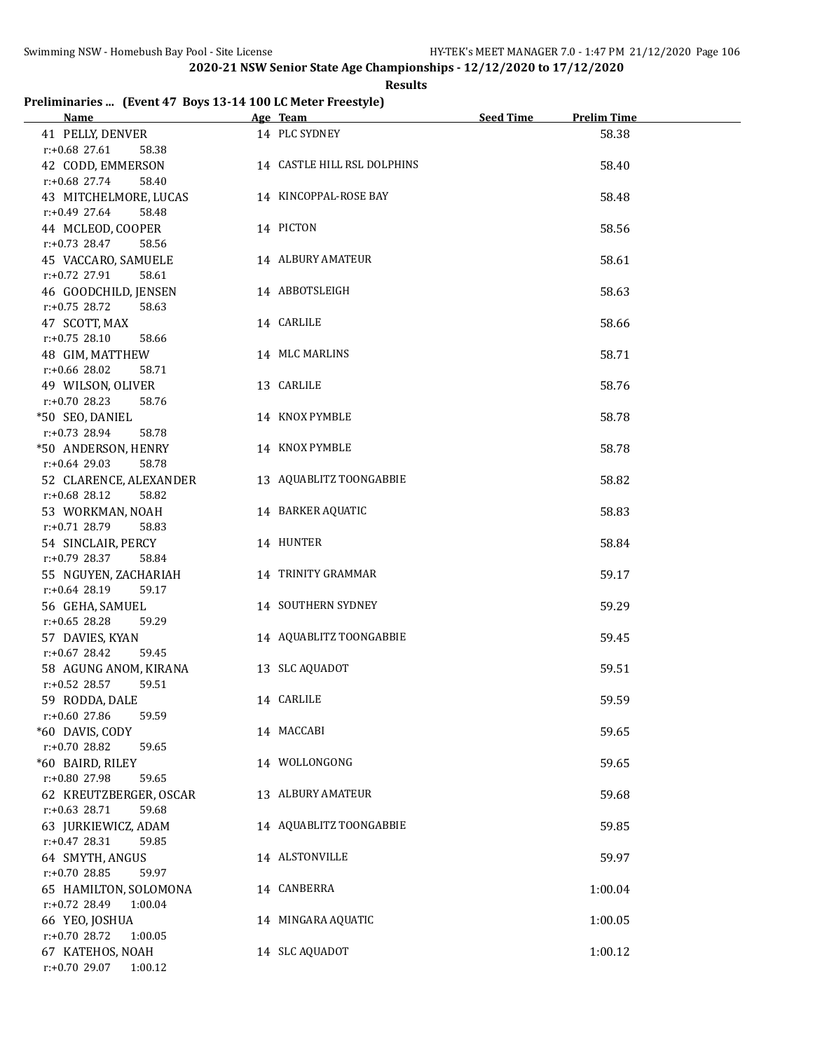### **Results**

# **Preliminaries ... (Event 47 Boys 13-14 100 LC Meter Freestyle)**

| <b>Name</b>               | Age Team                    | <b>Seed Time</b> | <b>Prelim Time</b> |
|---------------------------|-----------------------------|------------------|--------------------|
| 41 PELLY, DENVER          | 14 PLC SYDNEY               |                  | 58.38              |
| $r: +0.68$ 27.61<br>58.38 |                             |                  |                    |
| 42 CODD, EMMERSON         | 14 CASTLE HILL RSL DOLPHINS |                  | 58.40              |
| $r: +0.68$ 27.74<br>58.40 |                             |                  |                    |
| 43 MITCHELMORE, LUCAS     | 14 KINCOPPAL-ROSE BAY       |                  | 58.48              |
| $r: +0.49$ 27.64<br>58.48 |                             |                  |                    |
| 44 MCLEOD, COOPER         | 14 PICTON                   |                  | 58.56              |
| $r: +0.73$ 28.47<br>58.56 |                             |                  |                    |
| 45 VACCARO, SAMUELE       | 14 ALBURY AMATEUR           |                  | 58.61              |
| $r: +0.72$ 27.91<br>58.61 |                             |                  |                    |
| 46 GOODCHILD, JENSEN      | 14 ABBOTSLEIGH              |                  | 58.63              |
| $r.+0.75$ 28.72<br>58.63  |                             |                  |                    |
| 47 SCOTT, MAX             | 14 CARLILE                  |                  | 58.66              |
| $r: +0.75$ 28.10<br>58.66 |                             |                  |                    |
| 48 GIM, MATTHEW           | 14 MLC MARLINS              |                  | 58.71              |
| $r: +0.66$ 28.02<br>58.71 |                             |                  |                    |
| 49 WILSON, OLIVER         | 13 CARLILE                  |                  | 58.76              |
| $r: +0.70$ 28.23<br>58.76 |                             |                  |                    |
| *50 SEO, DANIEL           | 14 KNOX PYMBLE              |                  | 58.78              |
| $r.+0.73$ 28.94<br>58.78  |                             |                  |                    |
| *50 ANDERSON, HENRY       | 14 KNOX PYMBLE              |                  | 58.78              |
| $r: +0.64$ 29.03<br>58.78 |                             |                  |                    |
| 52 CLARENCE, ALEXANDER    | 13 AQUABLITZ TOONGABBIE     |                  | 58.82              |
| $r: +0.68$ 28.12<br>58.82 |                             |                  |                    |
| 53 WORKMAN, NOAH          | 14 BARKER AQUATIC           |                  | 58.83              |
| $r: +0.71$ 28.79<br>58.83 |                             |                  |                    |
| 54 SINCLAIR, PERCY        | 14 HUNTER                   |                  | 58.84              |
| $r: +0.79$ 28.37<br>58.84 |                             |                  |                    |
| 55 NGUYEN, ZACHARIAH      | 14 TRINITY GRAMMAR          |                  | 59.17              |
| $r: +0.64$ 28.19<br>59.17 |                             |                  |                    |
| 56 GEHA, SAMUEL           | 14 SOUTHERN SYDNEY          |                  | 59.29              |
| $r: +0.65$ 28.28<br>59.29 |                             |                  |                    |
| 57 DAVIES, KYAN           | 14 AQUABLITZ TOONGABBIE     |                  | 59.45              |
| $r: +0.67$ 28.42<br>59.45 |                             |                  |                    |
| 58 AGUNG ANOM, KIRANA     | 13 SLC AQUADOT              |                  | 59.51              |
| 59.51<br>$r: +0.52$ 28.57 |                             |                  |                    |
| 59 RODDA, DALE            | 14 CARLILE                  |                  | 59.59              |
| r:+0.60 27.86<br>59.59    |                             |                  |                    |
| *60 DAVIS, CODY           | 14 MACCABI                  |                  | 59.65              |
| r:+0.70 28.82<br>59.65    |                             |                  |                    |
| *60 BAIRD, RILEY          | 14 WOLLONGONG               |                  | 59.65              |
| r:+0.80 27.98<br>59.65    |                             |                  |                    |
| 62 KREUTZBERGER, OSCAR    | 13 ALBURY AMATEUR           |                  | 59.68              |
| $r: +0.63$ 28.71<br>59.68 |                             |                  |                    |
| 63 JURKIEWICZ, ADAM       | 14 AQUABLITZ TOONGABBIE     |                  | 59.85              |
| $r: +0.47$ 28.31<br>59.85 |                             |                  |                    |
| 64 SMYTH, ANGUS           | 14 ALSTONVILLE              |                  | 59.97              |
| r:+0.70 28.85<br>59.97    |                             |                  |                    |
| 65 HAMILTON, SOLOMONA     | 14 CANBERRA                 |                  | 1:00.04            |
| r:+0.72 28.49<br>1:00.04  |                             |                  |                    |
| 66 YEO, JOSHUA            | 14 MINGARA AQUATIC          |                  | 1:00.05            |
| r:+0.70 28.72<br>1:00.05  |                             |                  |                    |
| 67 KATEHOS, NOAH          | 14 SLC AQUADOT              |                  | 1:00.12            |
| r:+0.70 29.07<br>1:00.12  |                             |                  |                    |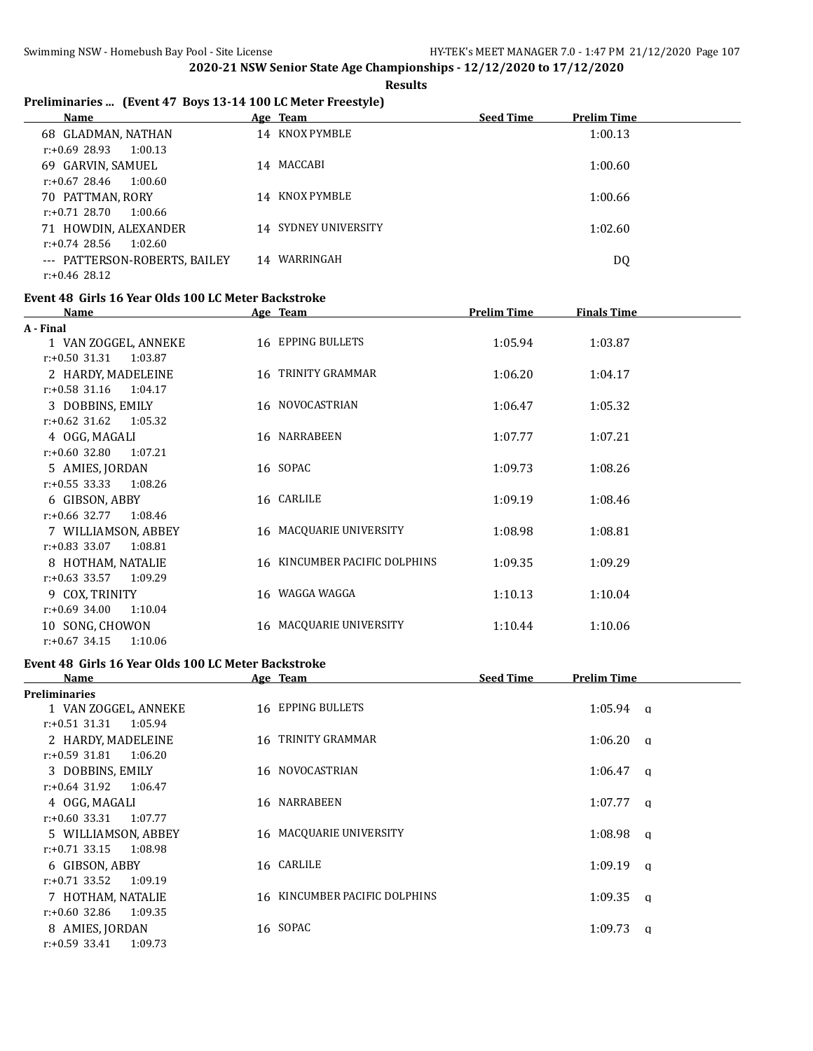**Results**

# **Preliminaries ... (Event 47 Boys 13-14 100 LC Meter Freestyle)**

| Name                          |    | Age Team             | <b>Seed Time</b> | <b>Prelim Time</b> |
|-------------------------------|----|----------------------|------------------|--------------------|
| 68 GLADMAN, NATHAN            |    | 14 KNOX PYMBLE       |                  | 1:00.13            |
| r:+0.69 28.93<br>1:00.13      |    |                      |                  |                    |
| 69 GARVIN, SAMUEL             |    | 14 MACCABI           |                  | 1:00.60            |
| 1:00.60<br>r:+0.67 28.46      |    |                      |                  |                    |
| 70 PATTMAN, RORY              |    | 14 KNOX PYMBLE       |                  | 1:00.66            |
| r:+0.71 28.70<br>1:00.66      |    |                      |                  |                    |
| 71 HOWDIN, ALEXANDER          |    | 14 SYDNEY UNIVERSITY |                  | 1:02.60            |
| $r: +0.74$ 28.56<br>1:02.60   |    |                      |                  |                    |
| --- PATTERSON-ROBERTS, BAILEY | 14 | WARRINGAH            |                  | DQ                 |
| $r: +0.46$ 28.12              |    |                      |                  |                    |

### **Event 48 Girls 16 Year Olds 100 LC Meter Backstroke**

| <b>Name</b>                 | Age Team                      | <b>Prelim Time</b> | <b>Finals Time</b> |  |
|-----------------------------|-------------------------------|--------------------|--------------------|--|
| A - Final                   |                               |                    |                    |  |
| 1 VAN ZOGGEL, ANNEKE        | 16 EPPING BULLETS             | 1:05.94            | 1:03.87            |  |
| $r: +0.50$ 31.31<br>1:03.87 |                               |                    |                    |  |
| 2 HARDY, MADELEINE          | 16 TRINITY GRAMMAR            | 1:06.20            | 1:04.17            |  |
| $r: +0.58$ 31.16<br>1:04.17 |                               |                    |                    |  |
| 3 DOBBINS, EMILY            | 16 NOVOCASTRIAN               | 1:06.47            | 1:05.32            |  |
| $r: +0.62$ 31.62<br>1:05.32 |                               |                    |                    |  |
| 4 OGG, MAGALI               | 16 NARRABEEN                  | 1:07.77            | 1:07.21            |  |
| $r: +0.60$ 32.80<br>1:07.21 |                               |                    |                    |  |
| 5 AMIES, JORDAN             | 16 SOPAC                      | 1:09.73            | 1:08.26            |  |
| $r: +0.55$ 33.33<br>1:08.26 |                               |                    |                    |  |
| 6 GIBSON, ABBY              | 16 CARLILE                    | 1:09.19            | 1:08.46            |  |
| $r: +0.66$ 32.77<br>1:08.46 |                               |                    |                    |  |
| 7 WILLIAMSON, ABBEY         | 16 MACQUARIE UNIVERSITY       | 1:08.98            | 1:08.81            |  |
| $r: +0.83$ 33.07<br>1:08.81 |                               |                    |                    |  |
| 8 HOTHAM, NATALIE           | 16 KINCUMBER PACIFIC DOLPHINS | 1:09.35            | 1:09.29            |  |
| $r: +0.63$ 33.57<br>1:09.29 |                               |                    |                    |  |
| 9 COX, TRINITY              | 16 WAGGA WAGGA                | 1:10.13            | 1:10.04            |  |
| $r: +0.69$ 34.00<br>1:10.04 |                               |                    |                    |  |
| 10 SONG, CHOWON             | 16 MACQUARIE UNIVERSITY       | 1:10.44            | 1:10.06            |  |
| $r: +0.67$ 34.15<br>1:10.06 |                               |                    |                    |  |

# **Event 48 Girls 16 Year Olds 100 LC Meter Backstroke**

| <b>Name</b>                 | Age Team                      | <b>Seed Time</b><br><b>Prelim Time</b> |
|-----------------------------|-------------------------------|----------------------------------------|
| <b>Preliminaries</b>        |                               |                                        |
| 1 VAN ZOGGEL, ANNEKE        | 16 EPPING BULLETS             | $1:05.94$ a                            |
| $r: +0.51$ 31.31<br>1:05.94 |                               |                                        |
| 2 HARDY, MADELEINE          | 16 TRINITY GRAMMAR            | 1:06.20<br>a                           |
| $r: +0.59$ 31.81<br>1:06.20 |                               |                                        |
| 3 DOBBINS, EMILY            | 16 NOVOCASTRIAN               | 1:06.47<br>$\alpha$                    |
| $r: +0.64$ 31.92<br>1:06.47 |                               |                                        |
| 4 OGG, MAGALI               | 16 NARRABEEN                  | 1:07.77<br>- a                         |
| $r: +0.60$ 33.31<br>1:07.77 |                               |                                        |
| 5 WILLIAMSON, ABBEY         | 16 MACQUARIE UNIVERSITY       | 1:08.98<br><b>a</b>                    |
| $r: +0.71$ 33.15<br>1:08.98 |                               |                                        |
| 6 GIBSON, ABBY              | 16 CARLILE                    | 1:09.19<br><b>a</b>                    |
| $r: +0.71$ 33.52<br>1:09.19 |                               |                                        |
| 7 HOTHAM, NATALIE           | 16 KINCUMBER PACIFIC DOLPHINS | 1:09.35<br>a                           |
| $r: +0.60$ 32.86<br>1:09.35 |                               |                                        |
| 8 AMIES, JORDAN             | 16 SOPAC                      | 1:09.73<br>a                           |
| $r: +0.59$ 33.41<br>1:09.73 |                               |                                        |
|                             |                               |                                        |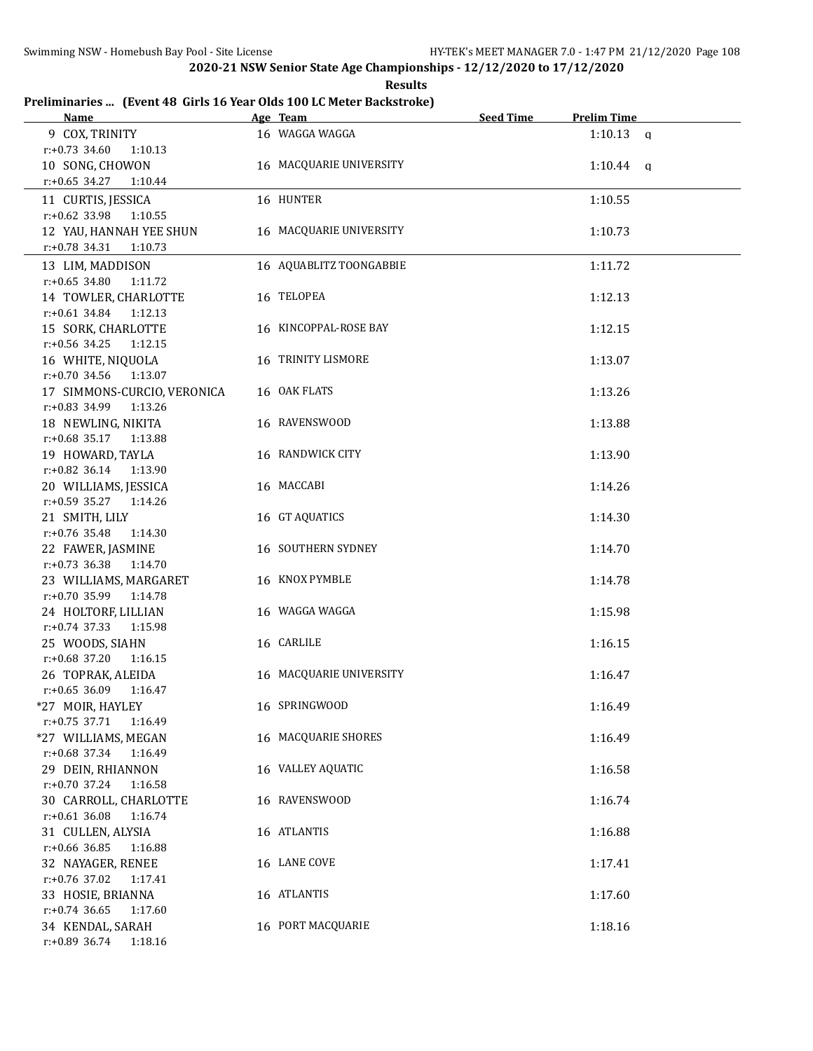**Results**

# **Preliminaries ... (Event 48 Girls 16 Year Olds 100 LC Meter Backstroke)**

| <b>Name</b>                                    | Age Team                  | <b>Seed Time</b> | <b>Prelim Time</b> |  |
|------------------------------------------------|---------------------------|------------------|--------------------|--|
| 9 COX, TRINITY                                 | 16 WAGGA WAGGA            |                  | $1:10.13$ a        |  |
| $r: +0.73$ 34.60<br>1:10.13                    |                           |                  |                    |  |
| 10 SONG, CHOWON                                | 16 MACQUARIE UNIVERSITY   |                  | $1:10.44$ q        |  |
| $r: +0.65$ 34.27<br>1:10.44                    |                           |                  |                    |  |
| 11 CURTIS, JESSICA                             | 16 HUNTER                 |                  | 1:10.55            |  |
| $r: +0.62$ 33.98<br>1:10.55                    |                           |                  |                    |  |
| 12 YAU, HANNAH YEE SHUN                        | 16 MACQUARIE UNIVERSITY   |                  | 1:10.73            |  |
| $r: +0.78$ 34.31<br>1:10.73                    |                           |                  |                    |  |
| 13 LIM, MADDISON                               | 16 AQUABLITZ TOONGABBIE   |                  | 1:11.72            |  |
| $r: +0.65$ 34.80<br>1:11.72                    |                           |                  |                    |  |
| 14 TOWLER, CHARLOTTE                           | 16 TELOPEA                |                  | 1:12.13            |  |
| r:+0.61 34.84 1:12.13                          |                           |                  |                    |  |
| 15 SORK, CHARLOTTE                             | 16 KINCOPPAL-ROSE BAY     |                  | 1:12.15            |  |
| $r: +0.56$ 34.25 1:12.15                       |                           |                  |                    |  |
| 16 WHITE, NIQUOLA                              | 16 TRINITY LISMORE        |                  | 1:13.07            |  |
| $r.+0.70$ 34.56 1:13.07                        |                           |                  |                    |  |
| 17 SIMMONS-CURCIO, VERONICA                    | 16 OAK FLATS              |                  | 1:13.26            |  |
| $r.+0.83$ 34.99<br>1:13.26                     |                           |                  |                    |  |
| 18 NEWLING, NIKITA                             | 16 RAVENSWOOD             |                  | 1:13.88            |  |
| r:+0.68 35.17 1:13.88                          |                           |                  |                    |  |
| 19 HOWARD, TAYLA                               | 16 RANDWICK CITY          |                  | 1:13.90            |  |
| r:+0.82 36.14 1:13.90                          |                           |                  |                    |  |
| 20 WILLIAMS, JESSICA                           | 16 MACCABI                |                  | 1:14.26            |  |
| r:+0.59 35.27 1:14.26                          |                           |                  |                    |  |
| 21 SMITH, LILY                                 | 16 GT AQUATICS            |                  | 1:14.30            |  |
| $r: +0.76$ 35.48<br>1:14.30                    |                           |                  |                    |  |
| 22 FAWER, JASMINE                              | <b>16 SOUTHERN SYDNEY</b> |                  | 1:14.70            |  |
| $r: +0.73$ 36.38<br>1:14.70                    |                           |                  |                    |  |
| 23 WILLIAMS, MARGARET<br>r:+0.70 35.99 1:14.78 | 16 KNOX PYMBLE            |                  | 1:14.78            |  |
| 24 HOLTORF, LILLIAN                            | 16 WAGGA WAGGA            |                  |                    |  |
| r:+0.74 37.33 1:15.98                          |                           |                  | 1:15.98            |  |
| 25 WOODS, SIAHN                                | 16 CARLILE                |                  | 1:16.15            |  |
| $r: +0.68$ 37.20<br>1:16.15                    |                           |                  |                    |  |
| 26 TOPRAK, ALEIDA                              | 16 MACQUARIE UNIVERSITY   |                  | 1:16.47            |  |
| $r: +0.65$ 36.09 1:16.47                       |                           |                  |                    |  |
| *27 MOIR, HAYLEY                               | 16 SPRINGWOOD             |                  | 1:16.49            |  |
| $r: +0.75$ 37.71<br>1:16.49                    |                           |                  |                    |  |
| *27 WILLIAMS, MEGAN                            | 16 MACQUARIE SHORES       |                  | 1:16.49            |  |
| r:+0.68 37.34<br>1:16.49                       |                           |                  |                    |  |
| 29 DEIN, RHIANNON                              | 16 VALLEY AQUATIC         |                  | 1:16.58            |  |
| r:+0.70 37.24<br>1:16.58                       |                           |                  |                    |  |
| 30 CARROLL, CHARLOTTE                          | 16 RAVENSWOOD             |                  | 1:16.74            |  |
| $r: +0.61$ 36.08<br>1:16.74                    |                           |                  |                    |  |
| 31 CULLEN, ALYSIA                              | 16 ATLANTIS               |                  | 1:16.88            |  |
| $r: +0.66$ 36.85<br>1:16.88                    |                           |                  |                    |  |
| 32 NAYAGER, RENEE                              | 16 LANE COVE              |                  | 1:17.41            |  |
| r:+0.76 37.02<br>1:17.41                       |                           |                  |                    |  |
| 33 HOSIE, BRIANNA                              | 16 ATLANTIS               |                  | 1:17.60            |  |
| $r: +0.74$ 36.65<br>1:17.60                    |                           |                  |                    |  |
| 34 KENDAL, SARAH                               | 16 PORT MACQUARIE         |                  | 1:18.16            |  |
| r:+0.89 36.74<br>1:18.16                       |                           |                  |                    |  |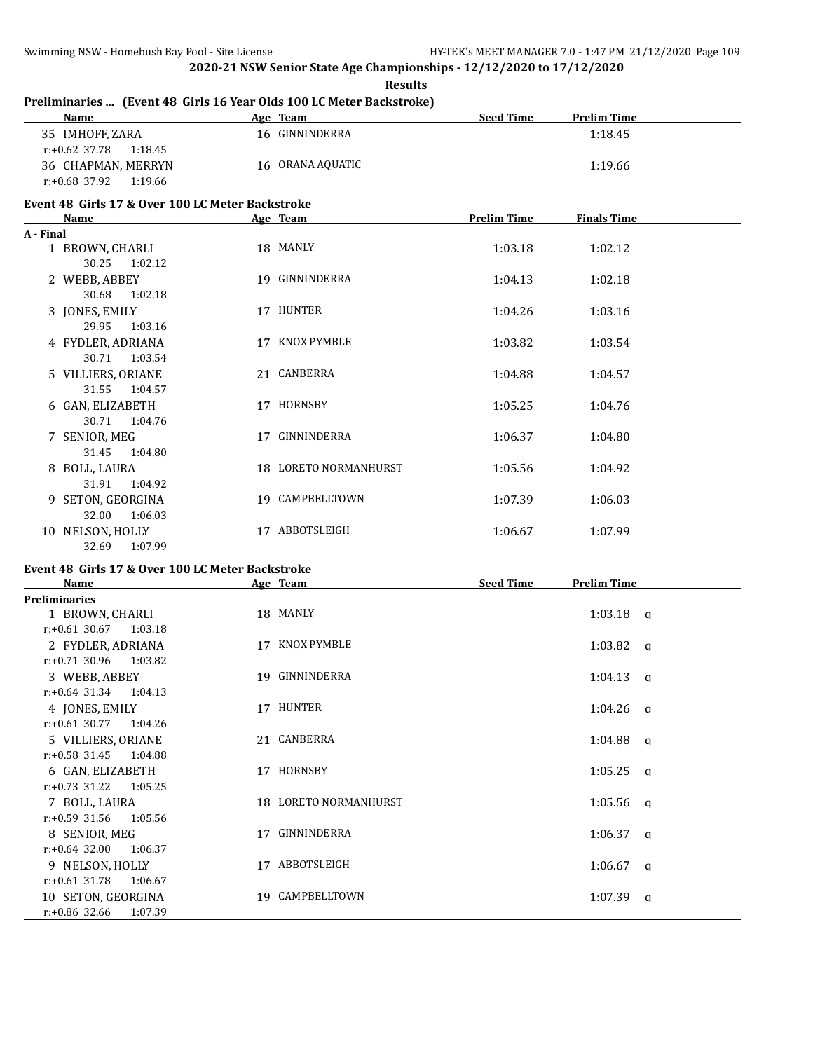|           | Preliminaries  (Event 48 Girls 16 Year Olds 100 LC Meter Backstroke) |  |                       |                    |                    |  |  |
|-----------|----------------------------------------------------------------------|--|-----------------------|--------------------|--------------------|--|--|
|           | Name                                                                 |  | Age Team              | <b>Seed Time</b>   | <b>Prelim Time</b> |  |  |
|           | 35 IMHOFF, ZARA<br>$r: +0.62$ 37.78<br>1:18.45                       |  | 16 GINNINDERRA        |                    | 1:18.45            |  |  |
|           | 36 CHAPMAN, MERRYN<br>$r: +0.68$ 37.92 1:19.66                       |  | 16 ORANA AQUATIC      |                    | 1:19.66            |  |  |
|           | Event 48 Girls 17 & Over 100 LC Meter Backstroke                     |  |                       |                    |                    |  |  |
|           | Name                                                                 |  | Age Team              | <b>Prelim Time</b> | <b>Finals Time</b> |  |  |
| A - Final |                                                                      |  |                       |                    |                    |  |  |
|           | 1 BROWN, CHARLI<br>30.25<br>1:02.12                                  |  | 18 MANLY              | 1:03.18            | 1:02.12            |  |  |
|           | 2 WEBB, ABBEY                                                        |  | 19 GINNINDERRA        | 1:04.13            | 1:02.18            |  |  |
|           | 30.68<br>1:02.18                                                     |  |                       |                    |                    |  |  |
|           | 3 JONES, EMILY                                                       |  | 17 HUNTER             | 1:04.26            | 1:03.16            |  |  |
|           | 29.95<br>1:03.16                                                     |  |                       |                    |                    |  |  |
|           | 4 FYDLER, ADRIANA                                                    |  | 17 KNOX PYMBLE        | 1:03.82            | 1:03.54            |  |  |
|           | 30.71<br>1:03.54                                                     |  |                       |                    |                    |  |  |
|           | 5 VILLIERS, ORIANE                                                   |  | 21 CANBERRA           | 1:04.88            | 1:04.57            |  |  |
|           | 31.55<br>1:04.57                                                     |  |                       |                    |                    |  |  |
|           | 6 GAN, ELIZABETH                                                     |  | 17 HORNSBY            | 1:05.25            | 1:04.76            |  |  |
|           | 30.71<br>1:04.76<br>7 SENIOR, MEG                                    |  | 17 GINNINDERRA        | 1:06.37            | 1:04.80            |  |  |
|           | 31.45<br>1:04.80                                                     |  |                       |                    |                    |  |  |
|           | 8 BOLL, LAURA                                                        |  | 18 LORETO NORMANHURST | 1:05.56            | 1:04.92            |  |  |
|           | 31.91<br>1:04.92                                                     |  |                       |                    |                    |  |  |
|           | 9 SETON, GEORGINA                                                    |  | 19 CAMPBELLTOWN       | 1:07.39            | 1:06.03            |  |  |
|           | 32.00<br>1:06.03                                                     |  |                       |                    |                    |  |  |
|           | 10 NELSON, HOLLY                                                     |  | 17 ABBOTSLEIGH        | 1:06.67            | 1:07.99            |  |  |
|           | 32.69<br>1:07.99                                                     |  |                       |                    |                    |  |  |

# **Event 48 Girls 17 & Over 100 LC Meter Backstroke**

| <b>Name</b>                 | Age Team              | <b>Seed Time</b><br><b>Prelim Time</b> |
|-----------------------------|-----------------------|----------------------------------------|
| <b>Preliminaries</b>        |                       |                                        |
| 1 BROWN, CHARLI             | 18 MANLY              | $1:03.18$ q                            |
| $r: +0.61$ 30.67<br>1:03.18 |                       |                                        |
| 2 FYDLER, ADRIANA           | 17 KNOX PYMBLE        | $1:03.82$ a                            |
| $r: +0.71$ 30.96 1:03.82    |                       |                                        |
| 3 WEBB, ABBEY               | 19 GINNINDERRA        | $1:04.13$ q                            |
| $r.+0.64$ 31.34 1:04.13     |                       |                                        |
| 4 JONES, EMILY              | 17 HUNTER             | $1:04.26$ q                            |
| $r: +0.61$ 30.77<br>1:04.26 |                       |                                        |
| 5 VILLIERS, ORIANE          | 21 CANBERRA           | $1:04.88$ q                            |
| $r: +0.58$ 31.45<br>1:04.88 |                       |                                        |
| 6 GAN, ELIZABETH            | 17 HORNSBY            | $1:05.25$ a                            |
| $r: +0.73$ 31.22<br>1:05.25 |                       |                                        |
| 7 BOLL, LAURA               | 18 LORETO NORMANHURST | $1:05.56$ q                            |
| r:+0.59 31.56<br>1:05.56    |                       |                                        |
| 8 SENIOR, MEG               | GINNINDERRA<br>17     | $1:06.37$ q                            |
| $r: +0.64$ 32.00<br>1:06.37 |                       |                                        |
| 9 NELSON, HOLLY             | 17 ABBOTSLEIGH        | $1:06.67$ q                            |
| $r: +0.61$ 31.78<br>1:06.67 |                       |                                        |
| 10 SETON, GEORGINA          | CAMPBELLTOWN<br>19.   | 1:07.39<br>q                           |
| $r: +0.86$ 32.66<br>1:07.39 |                       |                                        |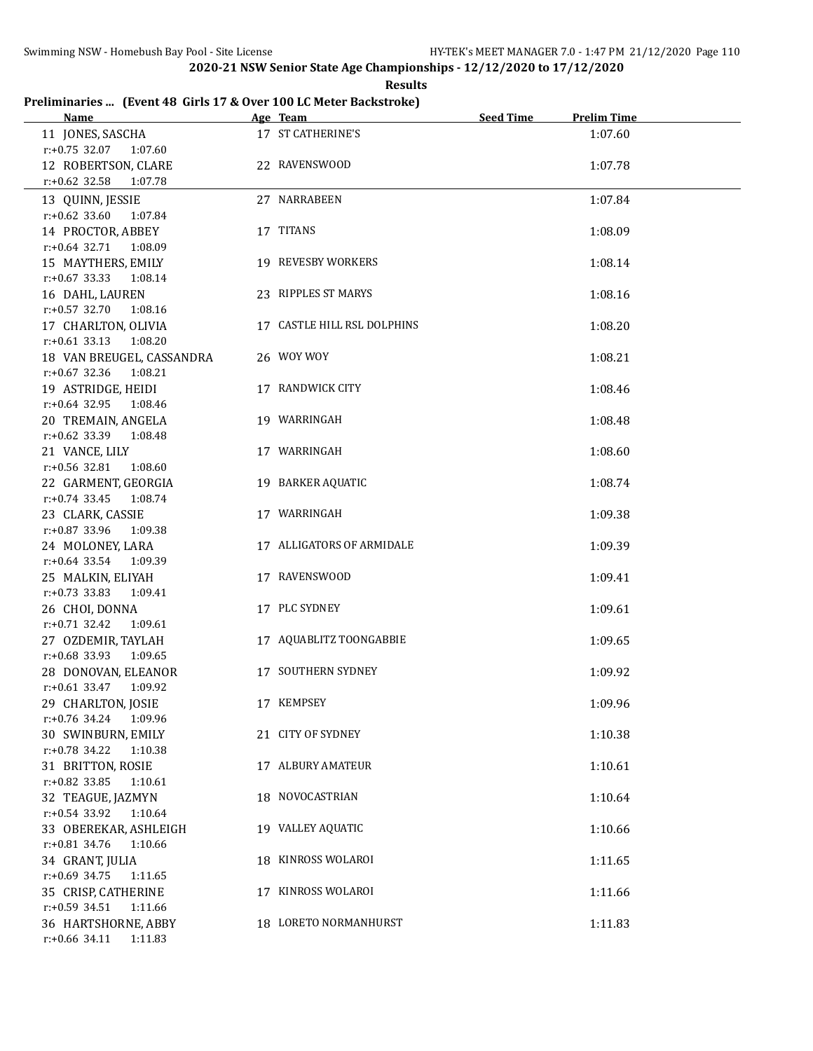**Results**

## **Preliminaries ... (Event 48 Girls 17 & Over 100 LC Meter Backstroke)**

| <b>Name</b>                                        | Age Team                    | <b>Seed Time</b> | <b>Prelim Time</b> |
|----------------------------------------------------|-----------------------------|------------------|--------------------|
| 11 JONES, SASCHA<br>r:+0.75 32.07 1:07.60          | 17 ST CATHERINE'S           |                  | 1:07.60            |
| 12 ROBERTSON, CLARE<br>$r: +0.62$ 32.58<br>1:07.78 | 22 RAVENSWOOD               |                  | 1:07.78            |
| 13 QUINN, JESSIE                                   | 27 NARRABEEN                |                  | 1:07.84            |
| $r: +0.62$ 33.60<br>1:07.84<br>14 PROCTOR, ABBEY   | 17 TITANS                   |                  | 1:08.09            |
| r:+0.64 32.71 1:08.09<br>15 MAYTHERS, EMILY        | 19 REVESBY WORKERS          |                  | 1:08.14            |
| $r: +0.67$ 33.33 1:08.14<br>16 DAHL, LAUREN        | 23 RIPPLES ST MARYS         |                  | 1:08.16            |
| $r: +0.57$ 32.70<br>1:08.16<br>17 CHARLTON, OLIVIA | 17 CASTLE HILL RSL DOLPHINS |                  | 1:08.20            |
| r:+0.61 33.13 1:08.20<br>18 VAN BREUGEL, CASSANDRA | 26 WOY WOY                  |                  | 1:08.21            |
| $r: +0.67$ 32.36<br>1:08.21<br>19 ASTRIDGE, HEIDI  | 17 RANDWICK CITY            |                  | 1:08.46            |
| $r.+0.64$ 32.95 1:08.46<br>20 TREMAIN, ANGELA      | 19 WARRINGAH                |                  | 1:08.48            |
| r:+0.62 33.39 1:08.48<br>21 VANCE, LILY            | 17 WARRINGAH                |                  | 1:08.60            |
| r:+0.56 32.81 1:08.60<br>22 GARMENT, GEORGIA       | 19 BARKER AQUATIC           |                  | 1:08.74            |
| $r.+0.74$ 33.45 1:08.74                            |                             |                  |                    |
| 23 CLARK, CASSIE<br>$r: +0.87$ 33.96<br>1:09.38    | 17 WARRINGAH                |                  | 1:09.38            |
| 24 MOLONEY, LARA<br>r:+0.64 33.54 1:09.39          | 17 ALLIGATORS OF ARMIDALE   |                  | 1:09.39            |
| 25 MALKIN, ELIYAH<br>r:+0.73 33.83 1:09.41         | 17 RAVENSWOOD               |                  | 1:09.41            |
| 26 CHOI, DONNA<br>$r: +0.71$ 32.42 1:09.61         | 17 PLC SYDNEY               |                  | 1:09.61            |
| 27 OZDEMIR, TAYLAH<br>r:+0.68 33.93 1:09.65        | 17 AQUABLITZ TOONGABBIE     |                  | 1:09.65            |
| 28 DONOVAN, ELEANOR<br>r:+0.61 33.47 1:09.92       | 17 SOUTHERN SYDNEY          |                  | 1:09.92            |
| 29 CHARLTON, JOSIE<br>r:+0.76 34.24 1:09.96        | 17 KEMPSEY                  |                  | 1:09.96            |
| 30 SWINBURN, EMILY<br>$r.+0.78$ 34.22<br>1:10.38   | 21 CITY OF SYDNEY           |                  | 1:10.38            |
| 31 BRITTON, ROSIE<br>$r: +0.82$ 33.85<br>1:10.61   | 17 ALBURY AMATEUR           |                  | 1:10.61            |
| 32 TEAGUE, JAZMYN<br>r:+0.54 33.92<br>1:10.64      | 18 NOVOCASTRIAN             |                  | 1:10.64            |
| 33 OBEREKAR, ASHLEIGH                              | 19 VALLEY AQUATIC           |                  | 1:10.66            |
| r:+0.81 34.76<br>1:10.66<br>34 GRANT, JULIA        | 18 KINROSS WOLAROI          |                  | 1:11.65            |
| $r: +0.69$ 34.75<br>1:11.65<br>35 CRISP, CATHERINE | 17 KINROSS WOLAROI          |                  | 1:11.66            |
| $r: +0.59$ 34.51<br>1:11.66<br>36 HARTSHORNE, ABBY | 18 LORETO NORMANHURST       |                  | 1:11.83            |
| r:+0.66 34.11 1:11.83                              |                             |                  |                    |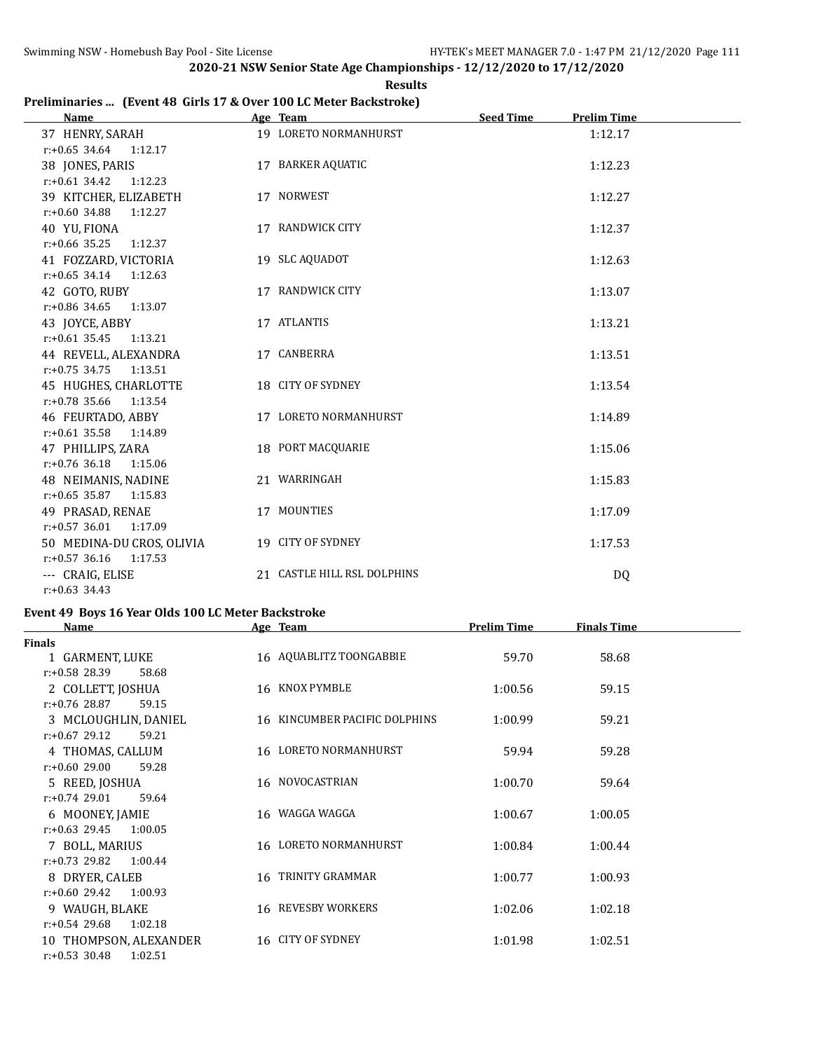## **Results Preliminaries ... (Event 48 Girls 17 & Over 100 LC Meter Backstroke)**

| <b>Name</b>                 | Age Team                    | <b>Seed Time</b><br><b>Prelim Time</b> |
|-----------------------------|-----------------------------|----------------------------------------|
| 37 HENRY, SARAH             | 19 LORETO NORMANHURST       | 1:12.17                                |
| $r: +0.65$ 34.64 1:12.17    |                             |                                        |
| 38 JONES, PARIS             | 17 BARKER AQUATIC           | 1:12.23                                |
| $r: +0.61$ 34.42<br>1:12.23 |                             |                                        |
| 39 KITCHER, ELIZABETH       | 17 NORWEST                  | 1:12.27                                |
| $r.+0.60$ 34.88 1:12.27     |                             |                                        |
| 40 YU, FIONA                | 17 RANDWICK CITY            | 1:12.37                                |
| $r: +0.66$ 35.25<br>1:12.37 |                             |                                        |
| 41 FOZZARD, VICTORIA        | 19 SLC AQUADOT              | 1:12.63                                |
| $r: +0.65$ 34.14 1:12.63    |                             |                                        |
| 42 GOTO, RUBY               | 17 RANDWICK CITY            | 1:13.07                                |
| $r: +0.86$ 34.65<br>1:13.07 |                             |                                        |
| 43 JOYCE, ABBY              | 17 ATLANTIS                 | 1:13.21                                |
| $r: +0.61$ 35.45<br>1:13.21 |                             |                                        |
| 44 REVELL, ALEXANDRA        | 17 CANBERRA                 | 1:13.51                                |
| $r: +0.75$ 34.75<br>1:13.51 |                             |                                        |
| 45 HUGHES, CHARLOTTE        | 18 CITY OF SYDNEY           | 1:13.54                                |
| $r: +0.78$ 35.66 1:13.54    |                             |                                        |
| 46 FEURTADO, ABBY           | 17 LORETO NORMANHURST       | 1:14.89                                |
| $r: +0.61$ 35.58 1:14.89    |                             |                                        |
| 47 PHILLIPS, ZARA           | 18 PORT MACQUARIE           | 1:15.06                                |
| $r: +0.76$ 36.18<br>1:15.06 |                             |                                        |
| 48 NEIMANIS, NADINE         | 21 WARRINGAH                | 1:15.83                                |
| $r: +0.65$ 35.87<br>1:15.83 |                             |                                        |
| 49 PRASAD, RENAE            | 17 MOUNTIES                 | 1:17.09                                |
| $r: +0.57$ 36.01<br>1:17.09 |                             |                                        |
| 50 MEDINA-DU CROS, OLIVIA   | 19 CITY OF SYDNEY           | 1:17.53                                |
| $r: +0.57$ 36.16<br>1:17.53 |                             |                                        |
| --- CRAIG, ELISE            | 21 CASTLE HILL RSL DOLPHINS | DQ                                     |
| $r: +0.63$ 34.43            |                             |                                        |

# **Event 49 Boys 16 Year Olds 100 LC Meter Backstroke**

| <b>Name</b>                 | Age Team                      | <b>Prelim Time</b> | <b>Finals Time</b> |  |
|-----------------------------|-------------------------------|--------------------|--------------------|--|
| <b>Finals</b>               |                               |                    |                    |  |
| 1 GARMENT, LUKE             | 16 AQUABLITZ TOONGABBIE       | 59.70              | 58.68              |  |
| $r: +0.58$ 28.39<br>58.68   |                               |                    |                    |  |
| 2 COLLETT, JOSHUA           | 16 KNOX PYMBLE                | 1:00.56            | 59.15              |  |
| $r: +0.76$ 28.87<br>59.15   |                               |                    |                    |  |
| 3 MCLOUGHLIN, DANIEL        | 16 KINCUMBER PACIFIC DOLPHINS | 1:00.99            | 59.21              |  |
| $r: +0.67$ 29.12<br>59.21   |                               |                    |                    |  |
| 4 THOMAS, CALLUM            | 16 LORETO NORMANHURST         | 59.94              | 59.28              |  |
| $r: +0.60$ 29.00<br>59.28   |                               |                    |                    |  |
| 5 REED, JOSHUA              | 16 NOVOCASTRIAN               | 1:00.70            | 59.64              |  |
| $r: +0.74$ 29.01<br>59.64   |                               |                    |                    |  |
| 6 MOONEY, JAMIE             | 16 WAGGA WAGGA                | 1:00.67            | 1:00.05            |  |
| $r: +0.63$ 29.45<br>1:00.05 |                               |                    |                    |  |
| 7 BOLL, MARIUS              | 16 LORETO NORMANHURST         | 1:00.84            | 1:00.44            |  |
| $r: +0.73$ 29.82<br>1:00.44 |                               |                    |                    |  |
| 8 DRYER, CALEB              | 16 TRINITY GRAMMAR            | 1:00.77            | 1:00.93            |  |
| $r: +0.60$ 29.42<br>1:00.93 |                               |                    |                    |  |
| 9 WAUGH, BLAKE              | 16 REVESBY WORKERS            | 1:02.06            | 1:02.18            |  |
| $r: +0.54$ 29.68<br>1:02.18 |                               |                    |                    |  |
| 10 THOMPSON, ALEXANDER      | 16 CITY OF SYDNEY             | 1:01.98            | 1:02.51            |  |
| $r: +0.53$ 30.48<br>1:02.51 |                               |                    |                    |  |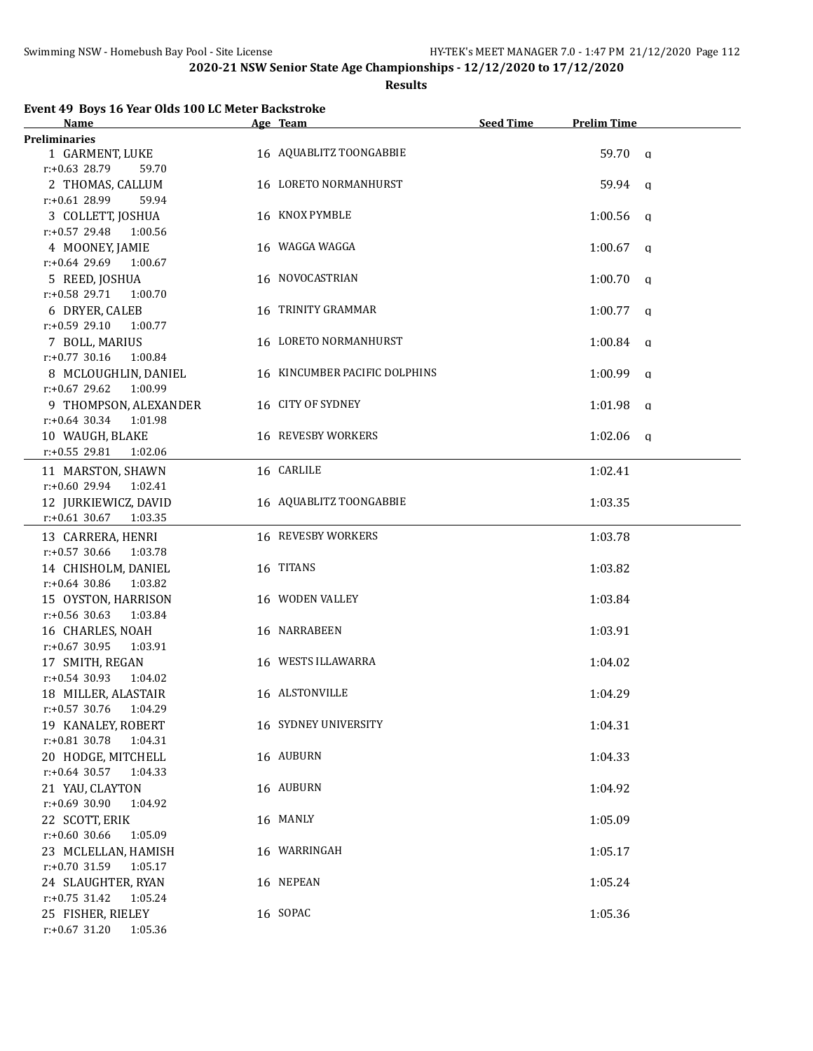#### **Results**

| Name                        | Age Team                      | <b>Seed Time</b> | <b>Prelim Time</b>      |
|-----------------------------|-------------------------------|------------------|-------------------------|
| Preliminaries               |                               |                  |                         |
| 1 GARMENT, LUKE             | 16 AQUABLITZ TOONGABBIE       |                  | 59.70 a                 |
| $r: +0.63$ 28.79<br>59.70   |                               |                  |                         |
| 2 THOMAS, CALLUM            | 16 LORETO NORMANHURST         |                  | 59.94 a                 |
| $r: +0.61$ 28.99<br>59.94   |                               |                  |                         |
| 3 COLLETT, JOSHUA           | 16 KNOX PYMBLE                |                  | 1:00.56<br>q            |
| $r: +0.57$ 29.48<br>1:00.56 |                               |                  |                         |
| 4 MOONEY, JAMIE             | 16 WAGGA WAGGA                |                  | $1:00.67$ q             |
| $r: +0.64$ 29.69<br>1:00.67 |                               |                  |                         |
| 5 REED, JOSHUA              | 16 NOVOCASTRIAN               |                  | 1:00.70<br>$\mathbf{q}$ |
| r:+0.58 29.71<br>1:00.70    |                               |                  |                         |
| 6 DRYER, CALEB              | 16 TRINITY GRAMMAR            |                  | $1:00.77$ q             |
| $r: +0.59$ 29.10<br>1:00.77 |                               |                  |                         |
| 7 BOLL, MARIUS              | 16 LORETO NORMANHURST         |                  | $1:00.84$ q             |
| $r: +0.77$ 30.16<br>1:00.84 |                               |                  |                         |
| 8 MCLOUGHLIN, DANIEL        | 16 KINCUMBER PACIFIC DOLPHINS |                  | $1:00.99$ q             |
| $r: +0.67$ 29.62<br>1:00.99 |                               |                  |                         |
| 9 THOMPSON, ALEXANDER       | 16 CITY OF SYDNEY             |                  | 1:01.98<br><b>q</b>     |
| $r: +0.64$ 30.34 1:01.98    |                               |                  |                         |
| 10 WAUGH, BLAKE             | 16 REVESBY WORKERS            |                  | $1:02.06$ a             |
| $r: +0.55$ 29.81<br>1:02.06 |                               |                  |                         |
| 11 MARSTON, SHAWN           | 16 CARLILE                    |                  | 1:02.41                 |
| $r: +0.60$ 29.94<br>1:02.41 |                               |                  |                         |
| 12 JURKIEWICZ, DAVID        | 16 AQUABLITZ TOONGABBIE       |                  | 1:03.35                 |
| $r: +0.61$ 30.67<br>1:03.35 |                               |                  |                         |
| 13 CARRERA, HENRI           | <b>16 REVESBY WORKERS</b>     |                  | 1:03.78                 |
| $r: +0.57$ 30.66<br>1:03.78 |                               |                  |                         |
| 14 CHISHOLM, DANIEL         | 16 TITANS                     |                  | 1:03.82                 |
| $r: +0.64$ 30.86<br>1:03.82 |                               |                  |                         |
| 15 OYSTON, HARRISON         | 16 WODEN VALLEY               |                  | 1:03.84                 |
| $r: +0.56$ 30.63<br>1:03.84 |                               |                  |                         |
| 16 CHARLES, NOAH            | 16 NARRABEEN                  |                  | 1:03.91                 |
| $r: +0.67$ 30.95<br>1:03.91 |                               |                  |                         |
| 17 SMITH, REGAN             | 16 WESTS ILLAWARRA            |                  | 1:04.02                 |
| $r: +0.54$ 30.93<br>1:04.02 |                               |                  |                         |
| 18 MILLER, ALASTAIR         | 16 ALSTONVILLE                |                  | 1:04.29                 |
| $r: +0.57$ 30.76 1:04.29    |                               |                  |                         |
| 19 KANALEY, ROBERT          | 16 SYDNEY UNIVERSITY          |                  | 1:04.31                 |
| r:+0.81 30.78<br>1:04.31    |                               |                  |                         |
| 20 HODGE, MITCHELL          | 16 AUBURN                     |                  | 1:04.33                 |
| $r: +0.64$ 30.57<br>1:04.33 |                               |                  |                         |
| 21 YAU, CLAYTON             | 16 AUBURN                     |                  | 1:04.92                 |
| r:+0.69 30.90<br>1:04.92    |                               |                  |                         |
| 22 SCOTT, ERIK              | 16 MANLY                      |                  | 1:05.09                 |
| $r: +0.60$ 30.66<br>1:05.09 |                               |                  |                         |
| 23 MCLELLAN, HAMISH         | 16 WARRINGAH                  |                  | 1:05.17                 |
| r:+0.70 31.59<br>1:05.17    |                               |                  |                         |
| 24 SLAUGHTER, RYAN          | 16 NEPEAN                     |                  | 1:05.24                 |
| $r: +0.75$ 31.42<br>1:05.24 |                               |                  |                         |
| 25 FISHER, RIELEY           | 16 SOPAC                      |                  | 1:05.36                 |
| r:+0.67 31.20 1:05.36       |                               |                  |                         |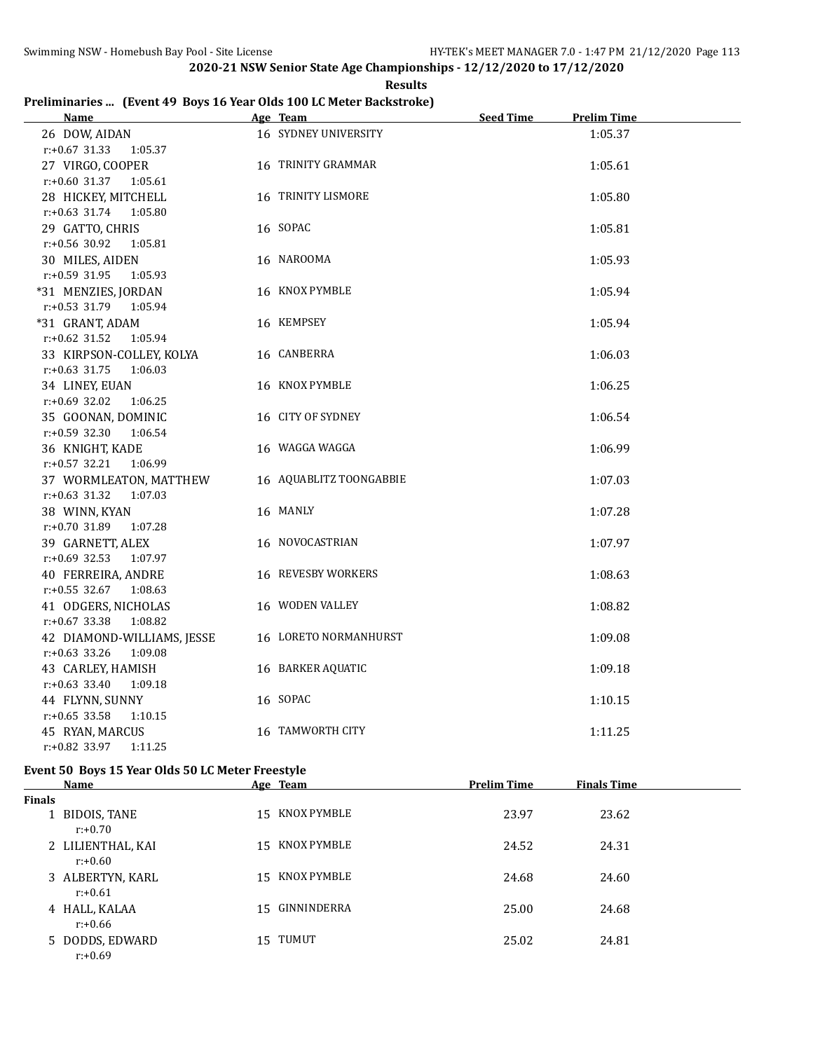**Results**

## **Preliminaries ... (Event 49 Boys 16 Year Olds 100 LC Meter Backstroke)**

| <b>Name</b>                                    | Age Team                | <b>Seed Time</b> | <b>Prelim Time</b> |  |
|------------------------------------------------|-------------------------|------------------|--------------------|--|
| 26 DOW, AIDAN                                  | 16 SYDNEY UNIVERSITY    |                  | 1:05.37            |  |
| $r: +0.67$ 31.33<br>1:05.37                    |                         |                  |                    |  |
| 27 VIRGO, COOPER                               | 16 TRINITY GRAMMAR      |                  | 1:05.61            |  |
| $r: +0.60$ 31.37 1:05.61                       |                         |                  |                    |  |
| 28 HICKEY, MITCHELL                            | 16 TRINITY LISMORE      |                  | 1:05.80            |  |
| $r: +0.63$ 31.74 1:05.80                       |                         |                  |                    |  |
| 29 GATTO, CHRIS                                | 16 SOPAC                |                  | 1:05.81            |  |
| r:+0.56 30.92<br>1:05.81                       |                         |                  |                    |  |
| 30 MILES, AIDEN                                | 16 NAROOMA              |                  | 1:05.93            |  |
| r:+0.59 31.95<br>1:05.93                       |                         |                  |                    |  |
| *31 MENZIES, JORDAN                            | 16 KNOX PYMBLE          |                  | 1:05.94            |  |
| r:+0.53 31.79 1:05.94                          |                         |                  |                    |  |
| *31 GRANT, ADAM                                | 16 KEMPSEY              |                  | 1:05.94            |  |
| $r.+0.62$ 31.52<br>1:05.94                     |                         |                  |                    |  |
| 33 KIRPSON-COLLEY, KOLYA                       | 16 CANBERRA             |                  | 1:06.03            |  |
| $r: +0.63$ 31.75<br>1:06.03                    |                         |                  |                    |  |
| 34 LINEY, EUAN                                 | 16 KNOX PYMBLE          |                  | 1:06.25            |  |
| $r: +0.69$ 32.02<br>1:06.25                    |                         |                  |                    |  |
| 35 GOONAN, DOMINIC                             | 16 CITY OF SYDNEY       |                  | 1:06.54            |  |
| $r: +0.59$ 32.30 1:06.54                       |                         |                  |                    |  |
| 36 KNIGHT, KADE                                | 16 WAGGA WAGGA          |                  | 1:06.99            |  |
| r:+0.57 32.21 1:06.99                          |                         |                  |                    |  |
| 37 WORMLEATON, MATTHEW                         | 16 AQUABLITZ TOONGABBIE |                  | 1:07.03            |  |
| $r: +0.63$ 31.32<br>1:07.03                    |                         |                  |                    |  |
| 38 WINN, KYAN                                  | 16 MANLY                |                  | 1:07.28            |  |
| r:+0.70 31.89<br>1:07.28                       |                         |                  |                    |  |
| 39 GARNETT, ALEX                               | 16 NOVOCASTRIAN         |                  | 1:07.97            |  |
| $r: +0.69$ 32.53<br>1:07.97                    |                         |                  |                    |  |
| 40 FERREIRA, ANDRE                             | 16 REVESBY WORKERS      |                  | 1:08.63            |  |
| r:+0.55 32.67 1:08.63                          |                         |                  |                    |  |
| 41 ODGERS, NICHOLAS                            | 16 WODEN VALLEY         |                  | 1:08.82            |  |
| $r: +0.67$ 33.38<br>1:08.82                    |                         |                  |                    |  |
| 42 DIAMOND-WILLIAMS, JESSE                     | 16 LORETO NORMANHURST   |                  | 1:09.08            |  |
| $r: +0.63$ 33.26<br>1:09.08                    |                         |                  |                    |  |
| 43 CARLEY, HAMISH                              | 16 BARKER AQUATIC       |                  | 1:09.18            |  |
| $r.+0.63$ 33.40<br>1:09.18                     |                         |                  |                    |  |
| 44 FLYNN, SUNNY                                | 16 SOPAC                |                  | 1:10.15            |  |
| $r: +0.65$ 33.58<br>1:10.15                    | 16 TAMWORTH CITY        |                  |                    |  |
| 45 RYAN, MARCUS<br>$r: +0.82$ 33.97<br>1:11.25 |                         |                  | 1:11.25            |  |
|                                                |                         |                  |                    |  |

# **Event 50 Boys 15 Year Olds 50 LC Meter Freestyle**

|               | Name                            | Age Team       | <b>Prelim Time</b> | <b>Finals Time</b> |  |
|---------------|---------------------------------|----------------|--------------------|--------------------|--|
| <b>Finals</b> |                                 |                |                    |                    |  |
|               | 1 BIDOIS, TANE<br>$r: +0.70$    | 15 KNOX PYMBLE | 23.97              | 23.62              |  |
|               | 2 LILIENTHAL, KAI<br>$r: +0.60$ | 15 KNOX PYMBLE | 24.52              | 24.31              |  |
|               | 3 ALBERTYN, KARL<br>$r: +0.61$  | 15 KNOX PYMBLE | 24.68              | 24.60              |  |
|               | 4 HALL, KALAA<br>$r: +0.66$     | 15 GINNINDERRA | 25.00              | 24.68              |  |
|               | 5 DODDS, EDWARD<br>$r: +0.69$   | 15 TUMUT       | 25.02              | 24.81              |  |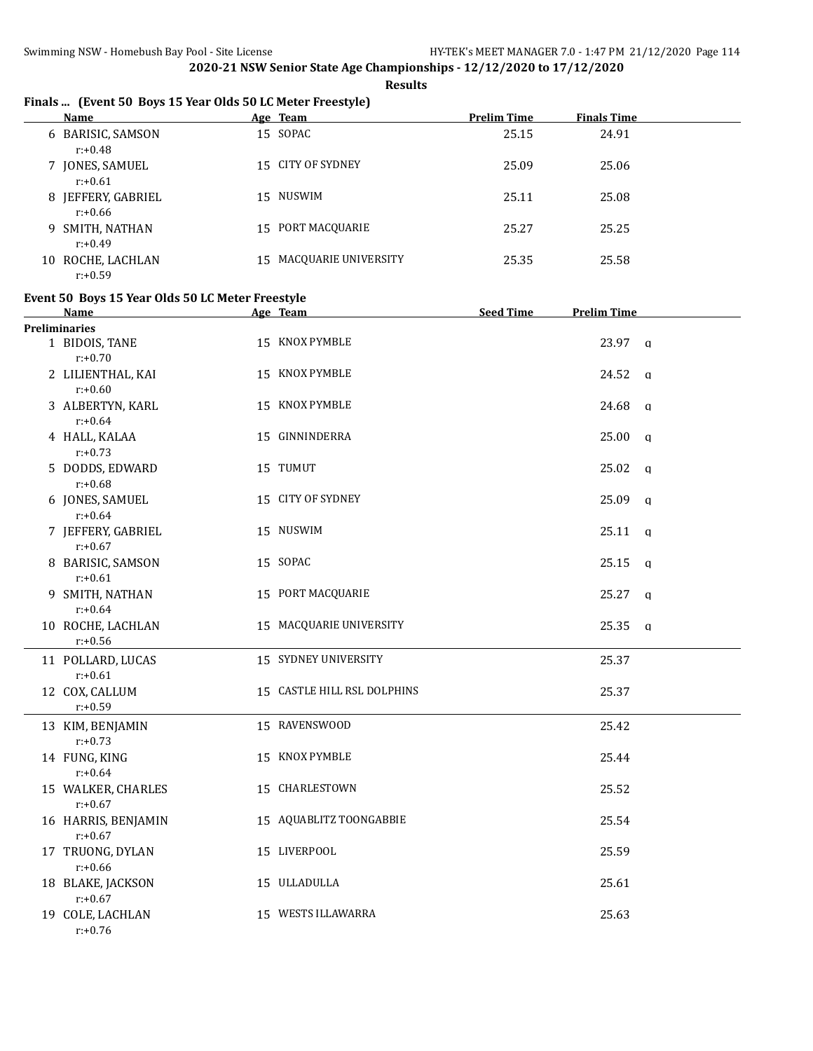**Results**

# **Finals ... (Event 50 Boys 15 Year Olds 50 LC Meter Freestyle)**

|    | Name                            | Age Team                | <b>Prelim Time</b> | <b>Finals Time</b> |
|----|---------------------------------|-------------------------|--------------------|--------------------|
|    | 6 BARISIC, SAMSON<br>$r: +0.48$ | 15 SOPAC                | 25.15              | 24.91              |
|    | 7 JONES, SAMUEL<br>$r: +0.61$   | 15 CITY OF SYDNEY       | 25.09              | 25.06              |
| 8  | JEFFERY, GABRIEL<br>r:+0.66     | 15 NUSWIM               | 25.11              | 25.08              |
|    | 9 SMITH, NATHAN<br>r:+0.49      | 15 PORT MACQUARIE       | 25.27              | 25.25              |
| 10 | ROCHE, LACHLAN<br>$r: +0.59$    | 15 MACQUARIE UNIVERSITY | 25.35              | 25.58              |

#### **Event 50 Boys 15 Year Olds 50 LC Meter Freestyle**

| Name                              | Age Team                    | <b>Seed Time</b> | <b>Prelim Time</b> |              |
|-----------------------------------|-----------------------------|------------------|--------------------|--------------|
| <b>Preliminaries</b>              |                             |                  |                    |              |
| 1 BIDOIS, TANE<br>$r: +0.70$      | 15 KNOX PYMBLE              |                  | 23.97 q            |              |
| 2 LILIENTHAL, KAI<br>$r: +0.60$   | 15 KNOX PYMBLE              |                  | 24.52 a            |              |
| 3 ALBERTYN, KARL<br>$r: +0.64$    | 15 KNOX PYMBLE              |                  | 24.68              | q            |
| 4 HALL, KALAA<br>$r: +0.73$       | 15 GINNINDERRA              |                  | 25.00 a            |              |
| 5 DODDS, EDWARD<br>$r: +0.68$     | 15 TUMUT                    |                  | 25.02              | $\mathbf{q}$ |
| 6 JONES, SAMUEL<br>$r: +0.64$     | 15 CITY OF SYDNEY           |                  | 25.09              | $\mathsf{q}$ |
| 7 JEFFERY, GABRIEL<br>$r: +0.67$  | 15 NUSWIM                   |                  | 25.11              | q            |
| 8 BARISIC, SAMSON<br>$r: +0.61$   | 15 SOPAC                    |                  | 25.15              | q            |
| 9 SMITH, NATHAN<br>$r: +0.64$     | 15 PORT MACQUARIE           |                  | 25.27              | q            |
| 10 ROCHE, LACHLAN<br>$r: +0.56$   | 15 MACQUARIE UNIVERSITY     |                  | 25.35              | q            |
| 11 POLLARD, LUCAS<br>$r: +0.61$   | 15 SYDNEY UNIVERSITY        |                  | 25.37              |              |
| 12 COX, CALLUM<br>$r: +0.59$      | 15 CASTLE HILL RSL DOLPHINS |                  | 25.37              |              |
| 13 KIM, BENJAMIN<br>$r: +0.73$    | 15 RAVENSWOOD               |                  | 25.42              |              |
| 14 FUNG, KING<br>$r: +0.64$       | 15 KNOX PYMBLE              |                  | 25.44              |              |
| 15 WALKER, CHARLES<br>$r: +0.67$  | 15 CHARLESTOWN              |                  | 25.52              |              |
| 16 HARRIS, BENJAMIN<br>$r: +0.67$ | 15 AQUABLITZ TOONGABBIE     |                  | 25.54              |              |
| 17 TRUONG, DYLAN<br>$r: +0.66$    | 15 LIVERPOOL                |                  | 25.59              |              |
| 18 BLAKE, JACKSON<br>$r: +0.67$   | 15 ULLADULLA                |                  | 25.61              |              |
| 19 COLE, LACHLAN<br>$r: +0.76$    | 15 WESTS ILLAWARRA          |                  | 25.63              |              |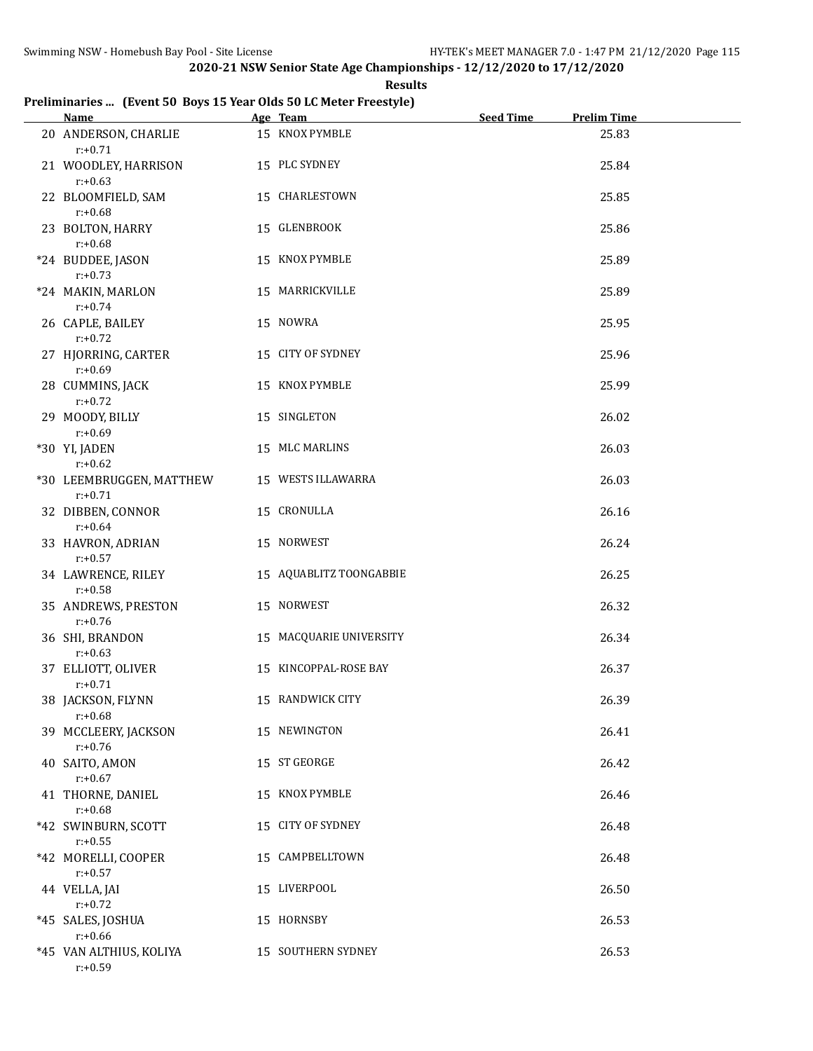**Results**

# **Preliminaries ... (Event 50 Boys 15 Year Olds 50 LC Meter Freestyle)**

| <b>Name</b>                            | Age Team                | <b>Seed Time</b> | <b>Prelim Time</b> |
|----------------------------------------|-------------------------|------------------|--------------------|
| 20 ANDERSON, CHARLIE<br>$r: +0.71$     | 15 KNOX PYMBLE          |                  | 25.83              |
| 21 WOODLEY, HARRISON<br>$r: +0.63$     | 15 PLC SYDNEY           |                  | 25.84              |
| 22 BLOOMFIELD, SAM<br>$r: +0.68$       | 15 CHARLESTOWN          |                  | 25.85              |
| 23 BOLTON, HARRY<br>$r: +0.68$         | 15 GLENBROOK            |                  | 25.86              |
| *24 BUDDEE, JASON<br>$r: +0.73$        | 15 KNOX PYMBLE          |                  | 25.89              |
| *24 MAKIN, MARLON<br>$r: +0.74$        | 15 MARRICKVILLE         |                  | 25.89              |
| 26 CAPLE, BAILEY<br>$r: +0.72$         | 15 NOWRA                |                  | 25.95              |
| 27 HJORRING, CARTER<br>$r: +0.69$      | 15 CITY OF SYDNEY       |                  | 25.96              |
| 28 CUMMINS, JACK<br>$r: +0.72$         | 15 KNOX PYMBLE          |                  | 25.99              |
| 29 MOODY, BILLY<br>$r: +0.69$          | 15 SINGLETON            |                  | 26.02              |
| *30 YI, JADEN<br>$r: +0.62$            | 15 MLC MARLINS          |                  | 26.03              |
| *30 LEEMBRUGGEN, MATTHEW<br>$r: +0.71$ | 15 WESTS ILLAWARRA      |                  | 26.03              |
| 32 DIBBEN, CONNOR<br>$r: +0.64$        | 15 CRONULLA             |                  | 26.16              |
| 33 HAVRON, ADRIAN<br>$r: +0.57$        | 15 NORWEST              |                  | 26.24              |
| 34 LAWRENCE, RILEY<br>$r: +0.58$       | 15 AQUABLITZ TOONGABBIE |                  | 26.25              |
| 35 ANDREWS, PRESTON<br>$r: +0.76$      | 15 NORWEST              |                  | 26.32              |
| 36 SHI, BRANDON<br>$r: +0.63$          | 15 MACQUARIE UNIVERSITY |                  | 26.34              |
| 37 ELLIOTT, OLIVER<br>$r: +0.71$       | 15 KINCOPPAL-ROSE BAY   |                  | 26.37              |
| 38 JACKSON, FLYNN<br>$r: +0.68$        | 15 RANDWICK CITY        |                  | 26.39              |
| 39 MCCLEERY, JACKSON<br>$r: +0.76$     | 15 NEWINGTON            |                  | 26.41              |
| 40 SAITO, AMON<br>$r: +0.67$           | 15 ST GEORGE            |                  | 26.42              |
| 41 THORNE, DANIEL<br>$r: +0.68$        | 15 KNOX PYMBLE          |                  | 26.46              |
| *42 SWINBURN, SCOTT<br>$r: +0.55$      | 15 CITY OF SYDNEY       |                  | 26.48              |
| *42 MORELLI, COOPER<br>$r: +0.57$      | 15 CAMPBELLTOWN         |                  | 26.48              |
| 44 VELLA, JAI<br>$r: +0.72$            | 15 LIVERPOOL            |                  | 26.50              |
| *45 SALES, JOSHUA<br>$r: +0.66$        | 15 HORNSBY              |                  | 26.53              |
| *45 VAN ALTHIUS, KOLIYA<br>$r: +0.59$  | 15 SOUTHERN SYDNEY      |                  | 26.53              |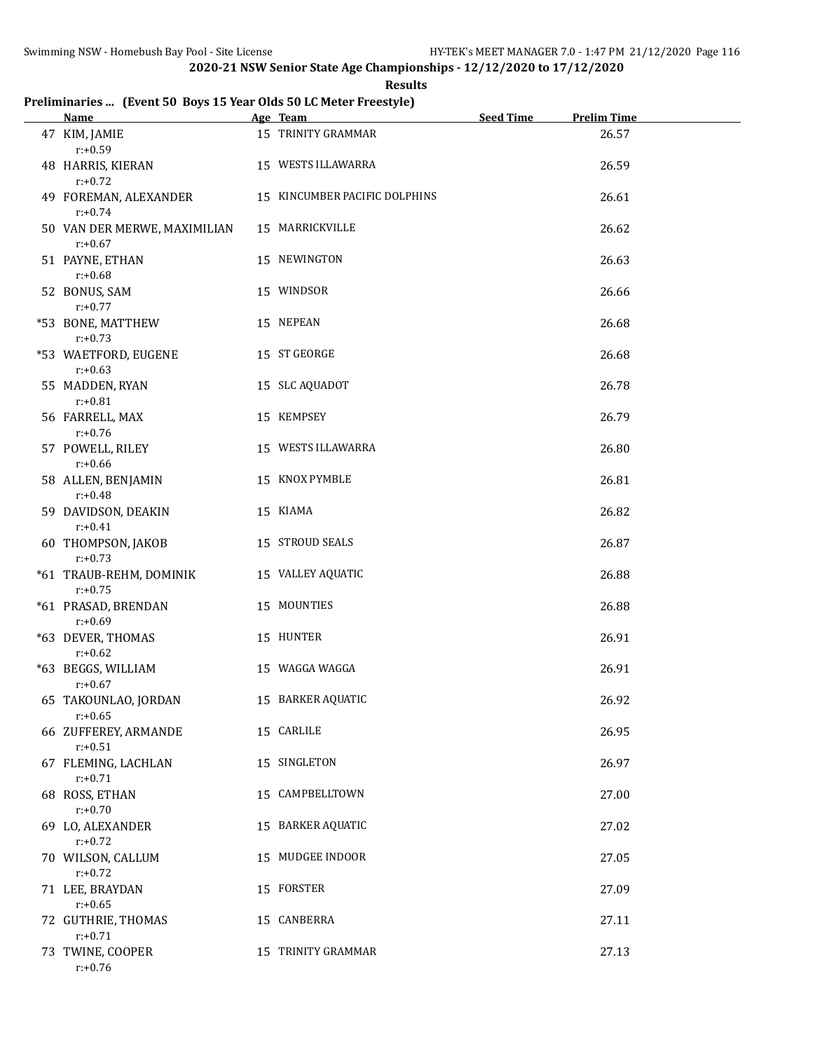**Results**

# **Preliminaries ... (Event 50 Boys 15 Year Olds 50 LC Meter Freestyle)**

| <b>Name</b>                                | Age Team                      | <b>Seed Time</b> | <b>Prelim Time</b> |  |
|--------------------------------------------|-------------------------------|------------------|--------------------|--|
| 47 KIM, JAMIE<br>$r: +0.59$                | 15 TRINITY GRAMMAR            |                  | 26.57              |  |
| 48 HARRIS, KIERAN<br>$r: +0.72$            | 15 WESTS ILLAWARRA            |                  | 26.59              |  |
| 49 FOREMAN, ALEXANDER<br>$r: +0.74$        | 15 KINCUMBER PACIFIC DOLPHINS |                  | 26.61              |  |
| 50 VAN DER MERWE, MAXIMILIAN<br>$r: +0.67$ | 15 MARRICKVILLE               |                  | 26.62              |  |
| 51 PAYNE, ETHAN<br>$r: +0.68$              | 15 NEWINGTON                  |                  | 26.63              |  |
| 52 BONUS, SAM<br>$r: +0.77$                | 15 WINDSOR                    |                  | 26.66              |  |
| *53 BONE, MATTHEW<br>$r: +0.73$            | 15 NEPEAN                     |                  | 26.68              |  |
| *53 WAETFORD, EUGENE<br>$r: +0.63$         | 15 ST GEORGE                  |                  | 26.68              |  |
| 55 MADDEN, RYAN<br>$r: +0.81$              | 15 SLC AQUADOT                |                  | 26.78              |  |
| 56 FARRELL, MAX<br>$r: +0.76$              | 15 KEMPSEY                    |                  | 26.79              |  |
| 57 POWELL, RILEY<br>$r: +0.66$             | 15 WESTS ILLAWARRA            |                  | 26.80              |  |
| 58 ALLEN, BENJAMIN<br>$r: +0.48$           | 15 KNOX PYMBLE                |                  | 26.81              |  |
| 59 DAVIDSON, DEAKIN<br>$r: +0.41$          | 15 KIAMA                      |                  | 26.82              |  |
| 60 THOMPSON, JAKOB<br>$r: +0.73$           | 15 STROUD SEALS               |                  | 26.87              |  |
| *61 TRAUB-REHM, DOMINIK<br>$r: +0.75$      | 15 VALLEY AQUATIC             |                  | 26.88              |  |
| *61 PRASAD, BRENDAN<br>$r: +0.69$          | 15 MOUNTIES                   |                  | 26.88              |  |
| *63 DEVER, THOMAS<br>$r: +0.62$            | 15 HUNTER                     |                  | 26.91              |  |
| *63 BEGGS, WILLIAM<br>$r: +0.67$           | 15 WAGGA WAGGA                |                  | 26.91              |  |
| 65 TAKOUNLAO, JORDAN<br>$r: +0.65$         | 15 BARKER AQUATIC             |                  | 26.92              |  |
| 66 ZUFFEREY, ARMANDE<br>$r: +0.51$         | 15 CARLILE                    |                  | 26.95              |  |
| 67 FLEMING, LACHLAN<br>$r: +0.71$          | 15 SINGLETON                  |                  | 26.97              |  |
| 68 ROSS, ETHAN<br>$r: +0.70$               | 15 CAMPBELLTOWN               |                  | 27.00              |  |
| 69 LO, ALEXANDER<br>$r: +0.72$             | 15 BARKER AQUATIC             |                  | 27.02              |  |
| 70 WILSON, CALLUM<br>$r: +0.72$            | 15 MUDGEE INDOOR              |                  | 27.05              |  |
| 71 LEE, BRAYDAN<br>$r: +0.65$              | 15 FORSTER                    |                  | 27.09              |  |
| 72 GUTHRIE, THOMAS<br>$r: +0.71$           | 15 CANBERRA                   |                  | 27.11              |  |
| 73 TWINE, COOPER<br>$r: +0.76$             | 15 TRINITY GRAMMAR            |                  | 27.13              |  |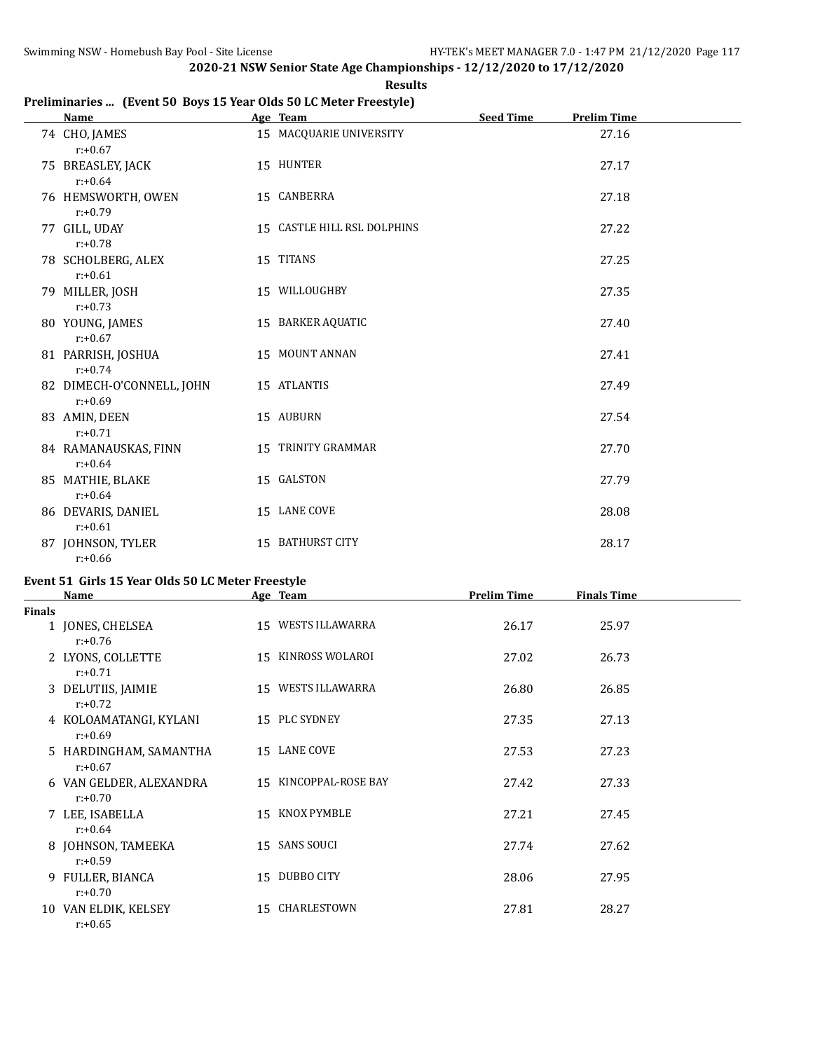**Results**

## **Preliminaries ... (Event 50 Boys 15 Year Olds 50 LC Meter Freestyle)**

| <b>Name</b>                             | Age Team                    | <b>Seed Time</b> | <b>Prelim Time</b> |  |
|-----------------------------------------|-----------------------------|------------------|--------------------|--|
| 74 CHO, JAMES<br>$r: +0.67$             | 15 MACQUARIE UNIVERSITY     |                  | 27.16              |  |
| 75 BREASLEY, JACK<br>$r: +0.64$         | 15 HUNTER                   |                  | 27.17              |  |
| 76 HEMSWORTH, OWEN<br>$r: +0.79$        | 15 CANBERRA                 |                  | 27.18              |  |
| 77 GILL, UDAY<br>$r: +0.78$             | 15 CASTLE HILL RSL DOLPHINS |                  | 27.22              |  |
| 78 SCHOLBERG, ALEX<br>$r: +0.61$        | 15 TITANS                   |                  | 27.25              |  |
| 79 MILLER, JOSH<br>$r: +0.73$           | 15 WILLOUGHBY               |                  | 27.35              |  |
| 80 YOUNG, JAMES<br>$r: +0.67$           | 15 BARKER AQUATIC           |                  | 27.40              |  |
| 81 PARRISH, JOSHUA<br>$r: +0.74$        | 15 MOUNT ANNAN              |                  | 27.41              |  |
| 82 DIMECH-O'CONNELL, JOHN<br>$r: +0.69$ | 15 ATLANTIS                 |                  | 27.49              |  |
| 83 AMIN, DEEN<br>$r: +0.71$             | 15 AUBURN                   |                  | 27.54              |  |
| 84 RAMANAUSKAS, FINN<br>$r: +0.64$      | 15 TRINITY GRAMMAR          |                  | 27.70              |  |
| 85 MATHIE, BLAKE<br>$r: +0.64$          | 15 GALSTON                  |                  | 27.79              |  |
| 86 DEVARIS, DANIEL<br>$r: +0.61$        | 15 LANE COVE                |                  | 28.08              |  |
| 87 JOHNSON, TYLER<br>$r: +0.66$         | 15 BATHURST CITY            |                  | 28.17              |  |

#### **Event 51 Girls 15 Year Olds 50 LC Meter Freestyle**

|               | <b>Name</b>                           |    | Age Team              | <b>Prelim Time</b> | <b>Finals Time</b> |  |
|---------------|---------------------------------------|----|-----------------------|--------------------|--------------------|--|
| <b>Finals</b> |                                       |    |                       |                    |                    |  |
|               | 1 JONES, CHELSEA<br>$r: +0.76$        |    | 15 WESTS ILLAWARRA    | 26.17              | 25.97              |  |
|               | 2 LYONS, COLLETTE<br>$r: +0.71$       |    | 15 KINROSS WOLAROI    | 27.02              | 26.73              |  |
|               | 3 DELUTIIS, JAIMIE<br>$r: +0.72$      |    | 15 WESTS ILLAWARRA    | 26.80              | 26.85              |  |
|               | 4 KOLOAMATANGI, KYLANI<br>$r: +0.69$  |    | 15 PLC SYDNEY         | 27.35              | 27.13              |  |
|               | 5 HARDINGHAM, SAMANTHA<br>$r: +0.67$  |    | 15 LANE COVE          | 27.53              | 27.23              |  |
|               | 6 VAN GELDER, ALEXANDRA<br>$r: +0.70$ |    | 15 KINCOPPAL-ROSE BAY | 27.42              | 27.33              |  |
|               | 7 LEE, ISABELLA<br>$r: +0.64$         |    | 15 KNOX PYMBLE        | 27.21              | 27.45              |  |
|               | 8 JOHNSON, TAMEEKA<br>$r: +0.59$      | 15 | <b>SANS SOUCI</b>     | 27.74              | 27.62              |  |
|               | 9 FULLER, BIANCA<br>$r: +0.70$        |    | 15 DUBBO CITY         | 28.06              | 27.95              |  |
|               | 10 VAN ELDIK, KELSEY<br>$r: +0.65$    |    | 15 CHARLESTOWN        | 27.81              | 28.27              |  |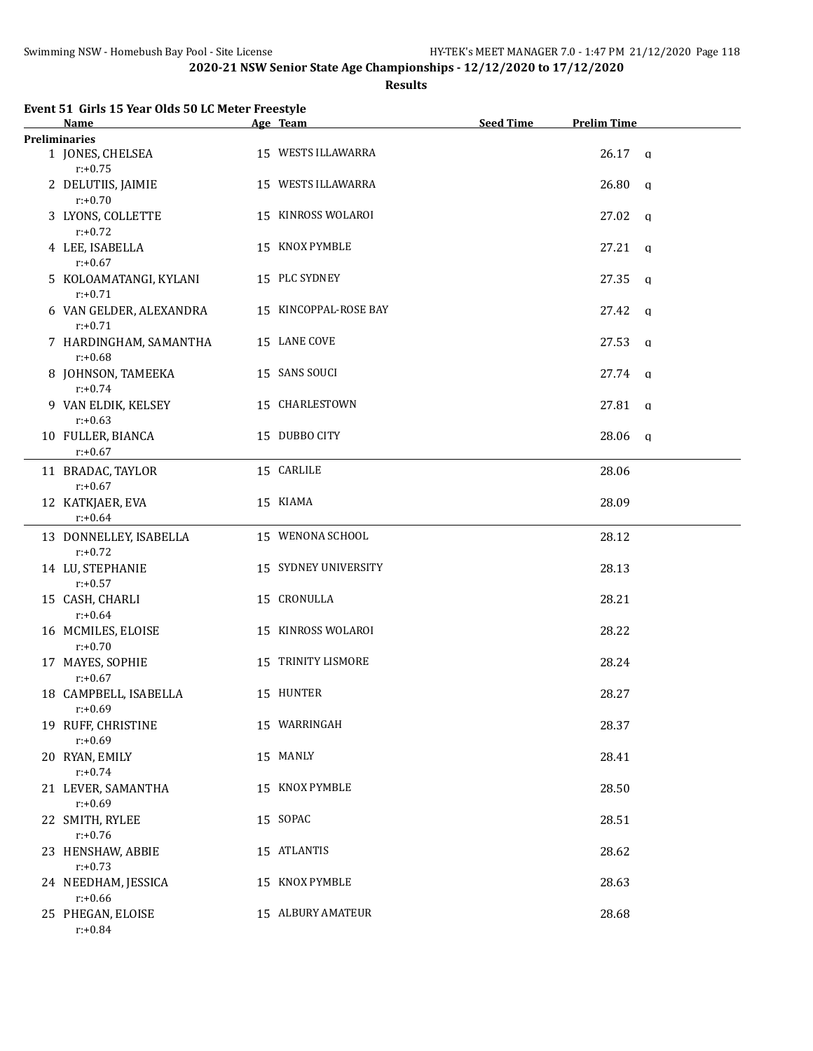#### **Results**

| Event 51 Girls 15 Year Olds 50 LC Meter Freestyle<br>Name | Age Team              | <b>Seed Time</b> | <b>Prelim Time</b>    |  |
|-----------------------------------------------------------|-----------------------|------------------|-----------------------|--|
| <b>Preliminaries</b>                                      |                       |                  |                       |  |
| 1 JONES, CHELSEA<br>$r: +0.75$                            | 15 WESTS ILLAWARRA    |                  | $26.17$ q             |  |
| 2 DELUTIIS, JAIMIE<br>$r: +0.70$                          | 15 WESTS ILLAWARRA    |                  | $26.80$ a             |  |
| 3 LYONS, COLLETTE<br>$r: +0.72$                           | 15 KINROSS WOLAROI    |                  | $27.02 \text{ q}$     |  |
| 4 LEE, ISABELLA<br>$r: +0.67$                             | 15 KNOX PYMBLE        |                  | $27.21$ q             |  |
| 5 KOLOAMATANGI, KYLANI<br>$r: +0.71$                      | 15 PLC SYDNEY         |                  | $27.35$ a             |  |
| 6 VAN GELDER, ALEXANDRA<br>$r: +0.71$                     | 15 KINCOPPAL-ROSE BAY |                  | $27.42 \text{ q}$     |  |
| 7 HARDINGHAM, SAMANTHA<br>$r: +0.68$                      | 15 LANE COVE          |                  | 27.53<br>$\mathbf{q}$ |  |
| 8 JOHNSON, TAMEEKA<br>$r: +0.74$                          | 15 SANS SOUCI         |                  | $27.74$ q             |  |
| 9 VAN ELDIK, KELSEY<br>$r: +0.63$                         | 15 CHARLESTOWN        |                  | $27.81$ q             |  |
| 10 FULLER, BIANCA<br>$r: +0.67$                           | 15 DUBBO CITY         |                  | $28.06$ a             |  |
| 11 BRADAC, TAYLOR<br>$r: +0.67$                           | 15 CARLILE            |                  | 28.06                 |  |
| 12 KATKJAER, EVA<br>$r: +0.64$                            | 15 KIAMA              |                  | 28.09                 |  |
| 13 DONNELLEY, ISABELLA<br>$r: +0.72$                      | 15 WENONA SCHOOL      |                  | 28.12                 |  |
| 14 LU, STEPHANIE<br>$r: +0.57$                            | 15 SYDNEY UNIVERSITY  |                  | 28.13                 |  |
| 15 CASH, CHARLI<br>$r: +0.64$                             | 15 CRONULLA           |                  | 28.21                 |  |
| 16 MCMILES, ELOISE<br>$r: +0.70$                          | 15 KINROSS WOLAROI    |                  | 28.22                 |  |
| 17 MAYES, SOPHIE<br>$r: +0.67$                            | 15 TRINITY LISMORE    |                  | 28.24                 |  |
| 18 CAMPBELL, ISABELLA<br>$r: +0.69$                       | 15 HUNTER             |                  | 28.27                 |  |
| 19 RUFF, CHRISTINE<br>$r: +0.69$                          | 15 WARRINGAH          |                  | 28.37                 |  |
| 20 RYAN, EMILY<br>$r: +0.74$                              | 15 MANLY              |                  | 28.41                 |  |
| 21 LEVER, SAMANTHA<br>$r: +0.69$                          | 15 KNOX PYMBLE        |                  | 28.50                 |  |
| 22 SMITH, RYLEE<br>$r: +0.76$                             | 15 SOPAC              |                  | 28.51                 |  |
| 23 HENSHAW, ABBIE<br>$r: +0.73$                           | 15 ATLANTIS           |                  | 28.62                 |  |
| 24 NEEDHAM, JESSICA<br>$r: +0.66$                         | 15 KNOX PYMBLE        |                  | 28.63                 |  |
| 25 PHEGAN, ELOISE<br>$r: +0.84$                           | 15 ALBURY AMATEUR     |                  | 28.68                 |  |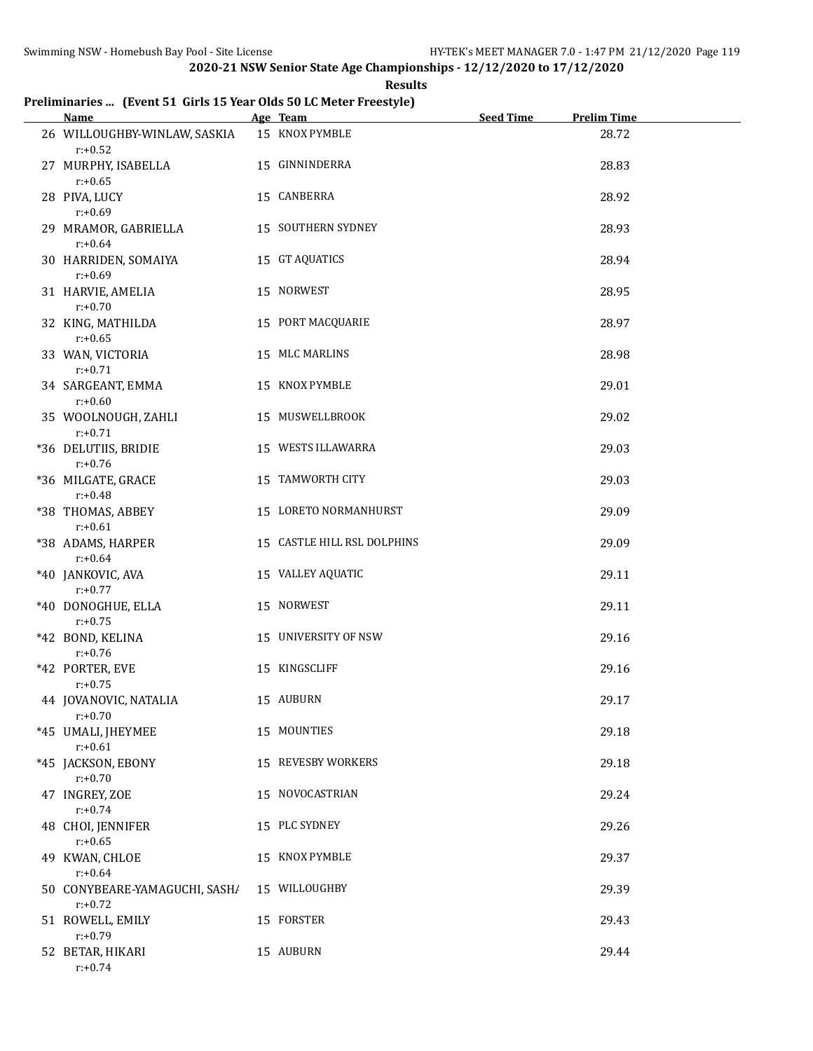**Results**

# **Preliminaries ... (Event 51 Girls 15 Year Olds 50 LC Meter Freestyle)**

| <b>Name</b>                                 | Age Team                    | <b>Seed Time</b> | <b>Prelim Time</b> |  |
|---------------------------------------------|-----------------------------|------------------|--------------------|--|
| 26 WILLOUGHBY-WINLAW, SASKIA<br>$r: +0.52$  | 15 KNOX PYMBLE              |                  | 28.72              |  |
| 27 MURPHY, ISABELLA<br>$r: +0.65$           | 15 GINNINDERRA              |                  | 28.83              |  |
| 28 PIVA, LUCY<br>$r: +0.69$                 | 15 CANBERRA                 |                  | 28.92              |  |
| 29 MRAMOR, GABRIELLA<br>$r: +0.64$          | 15 SOUTHERN SYDNEY          |                  | 28.93              |  |
| 30 HARRIDEN, SOMAIYA<br>$r: +0.69$          | 15 GT AQUATICS              |                  | 28.94              |  |
| 31 HARVIE, AMELIA<br>$r: +0.70$             | 15 NORWEST                  |                  | 28.95              |  |
| 32 KING, MATHILDA<br>$r: +0.65$             | 15 PORT MACQUARIE           |                  | 28.97              |  |
| 33 WAN, VICTORIA<br>$r: +0.71$              | 15 MLC MARLINS              |                  | 28.98              |  |
| 34 SARGEANT, EMMA<br>$r: +0.60$             | 15 KNOX PYMBLE              |                  | 29.01              |  |
| 35 WOOLNOUGH, ZAHLI<br>$r: +0.71$           | 15 MUSWELLBROOK             |                  | 29.02              |  |
| *36 DELUTIIS, BRIDIE<br>$r: +0.76$          | 15 WESTS ILLAWARRA          |                  | 29.03              |  |
| *36 MILGATE, GRACE<br>$r: +0.48$            | 15 TAMWORTH CITY            |                  | 29.03              |  |
| *38 THOMAS, ABBEY<br>$r: +0.61$             | 15 LORETO NORMANHURST       |                  | 29.09              |  |
| *38 ADAMS, HARPER<br>$r: +0.64$             | 15 CASTLE HILL RSL DOLPHINS |                  | 29.09              |  |
| *40 JANKOVIC, AVA<br>$r: +0.77$             | 15 VALLEY AQUATIC           |                  | 29.11              |  |
| *40 DONOGHUE, ELLA<br>$r: +0.75$            | 15 NORWEST                  |                  | 29.11              |  |
| *42 BOND, KELINA<br>$r: +0.76$              | 15 UNIVERSITY OF NSW        |                  | 29.16              |  |
| *42 PORTER, EVE<br>$r: +0.75$               | 15 KINGSCLIFF               |                  | 29.16              |  |
| 44 JOVANOVIC, NATALIA<br>$r: +0.70$         | 15 AUBURN                   |                  | 29.17              |  |
| *45 UMALI, JHEYMEE<br>$r: +0.61$            | 15 MOUNTIES                 |                  | 29.18              |  |
| *45 JACKSON, EBONY<br>$r: +0.70$            | 15 REVESBY WORKERS          |                  | 29.18              |  |
| 47 INGREY, ZOE<br>$r: +0.74$                | 15 NOVOCASTRIAN             |                  | 29.24              |  |
| 48 CHOI, JENNIFER<br>$r: +0.65$             | 15 PLC SYDNEY               |                  | 29.26              |  |
| 49 KWAN, CHLOE<br>$r: +0.64$                | 15 KNOX PYMBLE              |                  | 29.37              |  |
| 50 CONYBEARE-YAMAGUCHI, SASH/<br>$r: +0.72$ | 15 WILLOUGHBY               |                  | 29.39              |  |
| 51 ROWELL, EMILY<br>$r: +0.79$              | 15 FORSTER                  |                  | 29.43              |  |
| 52 BETAR, HIKARI<br>$r: +0.74$              | 15 AUBURN                   |                  | 29.44              |  |
|                                             |                             |                  |                    |  |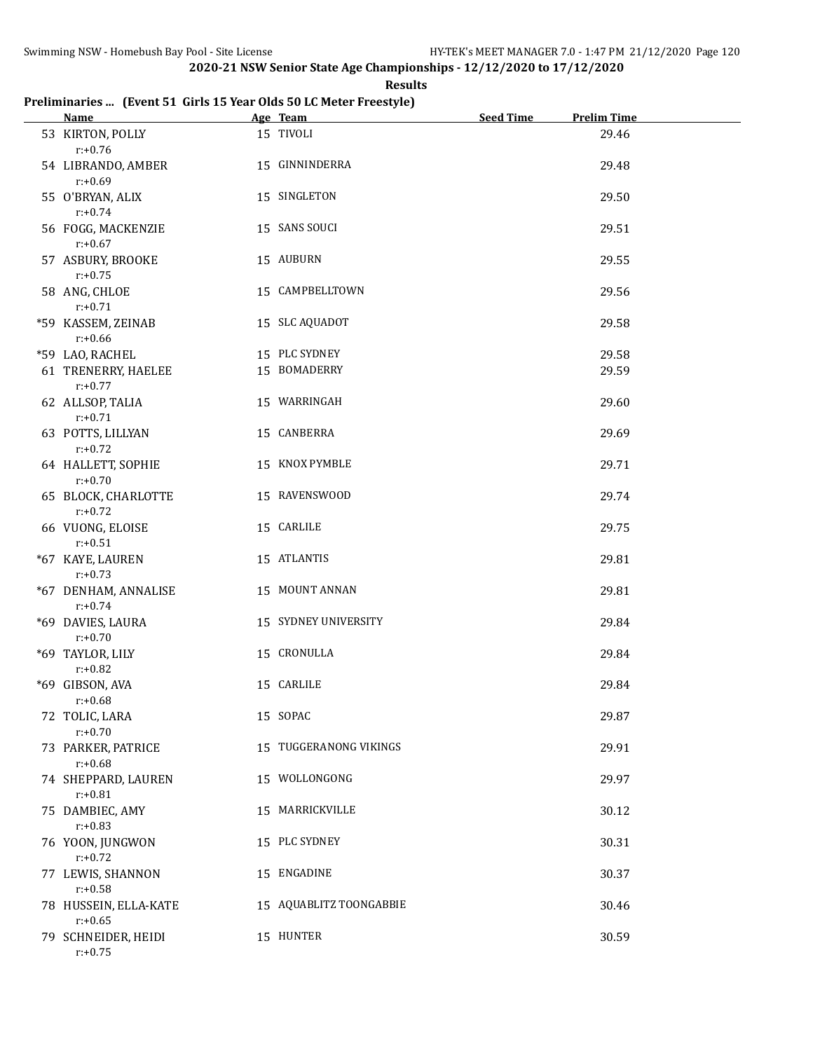**Results**

## **Preliminaries ... (Event 51 Girls 15 Year Olds 50 LC Meter Freestyle)**

| <b>Name</b>                         | Age Team                | <b>Seed Time</b> | <b>Prelim Time</b> |  |
|-------------------------------------|-------------------------|------------------|--------------------|--|
| 53 KIRTON, POLLY<br>$r: +0.76$      | 15 TIVOLI               |                  | 29.46              |  |
| 54 LIBRANDO, AMBER<br>$r: +0.69$    | 15 GINNINDERRA          |                  | 29.48              |  |
| 55 O'BRYAN, ALIX<br>$r: +0.74$      | 15 SINGLETON            |                  | 29.50              |  |
| 56 FOGG, MACKENZIE<br>$r: +0.67$    | 15 SANS SOUCI           |                  | 29.51              |  |
| 57 ASBURY, BROOKE<br>$r: +0.75$     | 15 AUBURN               |                  | 29.55              |  |
| 58 ANG, CHLOE<br>$r: +0.71$         | 15 CAMPBELLTOWN         |                  | 29.56              |  |
| *59 KASSEM, ZEINAB<br>$r: +0.66$    | 15 SLC AQUADOT          |                  | 29.58              |  |
| *59 LAO, RACHEL                     | 15 PLC SYDNEY           |                  | 29.58              |  |
| 61 TRENERRY, HAELEE<br>$r: +0.77$   | 15 BOMADERRY            |                  | 29.59              |  |
| 62 ALLSOP, TALIA<br>$r: +0.71$      | 15 WARRINGAH            |                  | 29.60              |  |
| 63 POTTS, LILLYAN<br>$r: +0.72$     | 15 CANBERRA             |                  | 29.69              |  |
| 64 HALLETT, SOPHIE<br>$r: +0.70$    | 15 KNOX PYMBLE          |                  | 29.71              |  |
| 65 BLOCK, CHARLOTTE<br>$r: +0.72$   | 15 RAVENSWOOD           |                  | 29.74              |  |
| 66 VUONG, ELOISE<br>$r: +0.51$      | 15 CARLILE              |                  | 29.75              |  |
| *67 KAYE, LAUREN<br>$r: +0.73$      | 15 ATLANTIS             |                  | 29.81              |  |
| *67 DENHAM, ANNALISE<br>$r: +0.74$  | 15 MOUNT ANNAN          |                  | 29.81              |  |
| *69 DAVIES, LAURA<br>$r: +0.70$     | 15 SYDNEY UNIVERSITY    |                  | 29.84              |  |
| *69 TAYLOR, LILY<br>$r: +0.82$      | 15 CRONULLA             |                  | 29.84              |  |
| *69 GIBSON, AVA<br>$r: +0.68$       | 15 CARLILE              |                  | 29.84              |  |
| 72 TOLIC, LARA<br>$r: +0.70$        | 15 SOPAC                |                  | 29.87              |  |
| 73 PARKER, PATRICE<br>$r: +0.68$    | 15 TUGGERANONG VIKINGS  |                  | 29.91              |  |
| 74 SHEPPARD, LAUREN<br>$r: +0.81$   | 15 WOLLONGONG           |                  | 29.97              |  |
| 75 DAMBIEC, AMY<br>$r: +0.83$       | 15 MARRICKVILLE         |                  | 30.12              |  |
| 76 YOON, JUNGWON<br>$r: +0.72$      | 15 PLC SYDNEY           |                  | 30.31              |  |
| 77 LEWIS, SHANNON<br>$r: +0.58$     | 15 ENGADINE             |                  | 30.37              |  |
| 78 HUSSEIN, ELLA-KATE<br>$r: +0.65$ | 15 AQUABLITZ TOONGABBIE |                  | 30.46              |  |
| 79 SCHNEIDER, HEIDI<br>$r: +0.75$   | 15 HUNTER               |                  | 30.59              |  |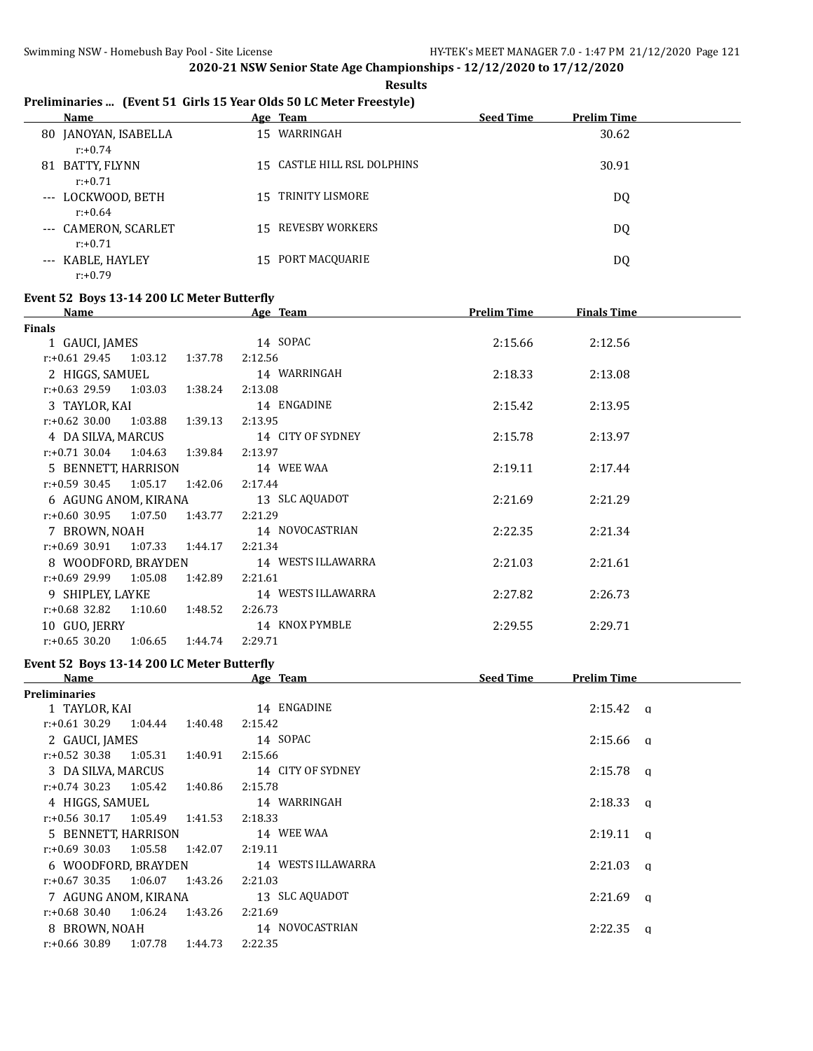# **Preliminaries ... (Event 51 Girls 15 Year Olds 50 LC Meter Freestyle)**

|    | Name                               |    | Age Team                    | <b>Seed Time</b> | <b>Prelim Time</b> |
|----|------------------------------------|----|-----------------------------|------------------|--------------------|
|    | 80 JANOYAN, ISABELLA<br>$r: +0.74$ | 15 | WARRINGAH                   |                  | 30.62              |
| 81 | BATTY, FLYNN<br>$r: +0.71$         |    | 15 CASTLE HILL RSL DOLPHINS |                  | 30.91              |
|    | --- LOCKWOOD, BETH<br>$r: +0.64$   |    | 15 TRINITY LISMORE          |                  | DQ                 |
|    | --- CAMERON, SCARLET<br>$r: +0.71$ |    | 15 REVESBY WORKERS          |                  | DQ                 |
|    | --- KABLE, HAYLEY<br>$r: +0.79$    |    | 15 PORT MACQUARIE           |                  | DQ                 |

#### **Event 52 Boys 13-14 200 LC Meter Butterfly**

| <b>Name</b>                      |                 |         | Age Team           | <b>Prelim Time</b> | <b>Finals Time</b> |  |
|----------------------------------|-----------------|---------|--------------------|--------------------|--------------------|--|
| <b>Finals</b>                    |                 |         |                    |                    |                    |  |
| 1 GAUCI, JAMES                   |                 |         | 14 SOPAC           | 2:15.66            | 2:12.56            |  |
| $r.+0.61$ 29.45 1:03.12 1:37.78  |                 |         | 2:12.56            |                    |                    |  |
| 2 HIGGS, SAMUEL                  |                 |         | 14 WARRINGAH       | 2:18.33            | 2:13.08            |  |
| $r: +0.63$ 29.59 1:03.03 1:38.24 |                 |         | 2:13.08            |                    |                    |  |
| 3 TAYLOR, KAI                    |                 |         | 14 ENGADINE        | 2:15.42            | 2:13.95            |  |
| $r.+0.62$ 30.00 1:03.88 1:39.13  |                 |         | 2:13.95            |                    |                    |  |
| 4 DA SILVA, MARCUS               |                 |         | 14 CITY OF SYDNEY  | 2:15.78            | 2:13.97            |  |
| $r: +0.71$ 30.04 1:04.63         |                 | 1:39.84 | 2:13.97            |                    |                    |  |
| 5 BENNETT, HARRISON              |                 |         | 14 WEE WAA         | 2:19.11            | 2:17.44            |  |
| $r.+0.59$ 30.45 1:05.17 1:42.06  |                 |         | 2:17.44            |                    |                    |  |
| 6 AGUNG ANOM, KIRANA             |                 |         | 13 SLC AQUADOT     | 2:21.69            | 2:21.29            |  |
| $r.+0.60$ 30.95 1:07.50 1:43.77  |                 |         | 2:21.29            |                    |                    |  |
| 7 BROWN, NOAH                    |                 |         | 14 NOVOCASTRIAN    | 2:22.35            | 2:21.34            |  |
| $r: +0.69$ 30.91 1:07.33 1:44.17 |                 |         | 2:21.34            |                    |                    |  |
| 8 WOODFORD, BRAYDEN              |                 |         | 14 WESTS ILLAWARRA | 2:21.03            | 2:21.61            |  |
| $r: +0.69$ 29.99 1:05.08         |                 | 1:42.89 | 2:21.61            |                    |                    |  |
| 9 SHIPLEY, LAYKE                 |                 |         | 14 WESTS ILLAWARRA | 2:27.82            | 2:26.73            |  |
| $r: +0.68$ 32.82                 | 1:10.60 1:48.52 |         | 2:26.73            |                    |                    |  |
| 10 GUO, JERRY                    |                 |         | 14 KNOX PYMBLE     | 2:29.55            | 2:29.71            |  |
| $r: +0.65$ 30.20                 | 1:06.65 1:44.74 |         | 2:29.71            |                    |                    |  |

#### **Event 52 Boys 13-14 200 LC Meter Butterfly**

| Name                        |         | Age Team           | <b>Seed Time</b> | Prelim Time             |   |
|-----------------------------|---------|--------------------|------------------|-------------------------|---|
| Preliminaries               |         |                    |                  |                         |   |
| 1 TAYLOR, KAI               |         | 14 ENGADINE        |                  | $2:15.42$ q             |   |
| $r: +0.61$ 30.29 1:04.44    | 1:40.48 | 2:15.42            |                  |                         |   |
| 2 GAUCI, JAMES              |         | 14 SOPAC           |                  | $2:15.66$ a             |   |
| $r: +0.52$ 30.38<br>1:05.31 | 1:40.91 | 2:15.66            |                  |                         |   |
| 3 DA SILVA, MARCUS          |         | 14 CITY OF SYDNEY  |                  | 2:15.78<br>$\alpha$     |   |
| $r: +0.74$ 30.23<br>1:05.42 | 1:40.86 | 2:15.78            |                  |                         |   |
| 4 HIGGS, SAMUEL             |         | 14 WARRINGAH       |                  | $2:18.33$ a             |   |
| 1:05.49<br>$r: +0.56$ 30.17 | 1:41.53 | 2:18.33            |                  |                         |   |
| 5 BENNETT, HARRISON         |         | 14 WEE WAA         |                  | $2:19.11 \text{ a}$     |   |
| r:+0.69 30.03<br>1:05.58    | 1:42.07 | 2:19.11            |                  |                         |   |
| 6 WOODFORD, BRAYDEN         |         | 14 WESTS ILLAWARRA |                  | 2:21.03<br>$\alpha$     |   |
| $r: +0.67$ 30.35 1:06.07    | 1:43.26 | 2:21.03            |                  |                         |   |
| 7 AGUNG ANOM, KIRANA        |         | 13 SLC AQUADOT     |                  | 2:21.69                 | a |
| 1:06.24<br>$r: +0.68$ 30.40 | 1:43.26 | 2:21.69            |                  |                         |   |
| 8 BROWN, NOAH               |         | 14 NOVOCASTRIAN    |                  | 2:22.35<br><sub>a</sub> |   |
| $r: +0.66$ 30.89<br>1:07.78 | 1:44.73 | 2:22.35            |                  |                         |   |
|                             |         |                    |                  |                         |   |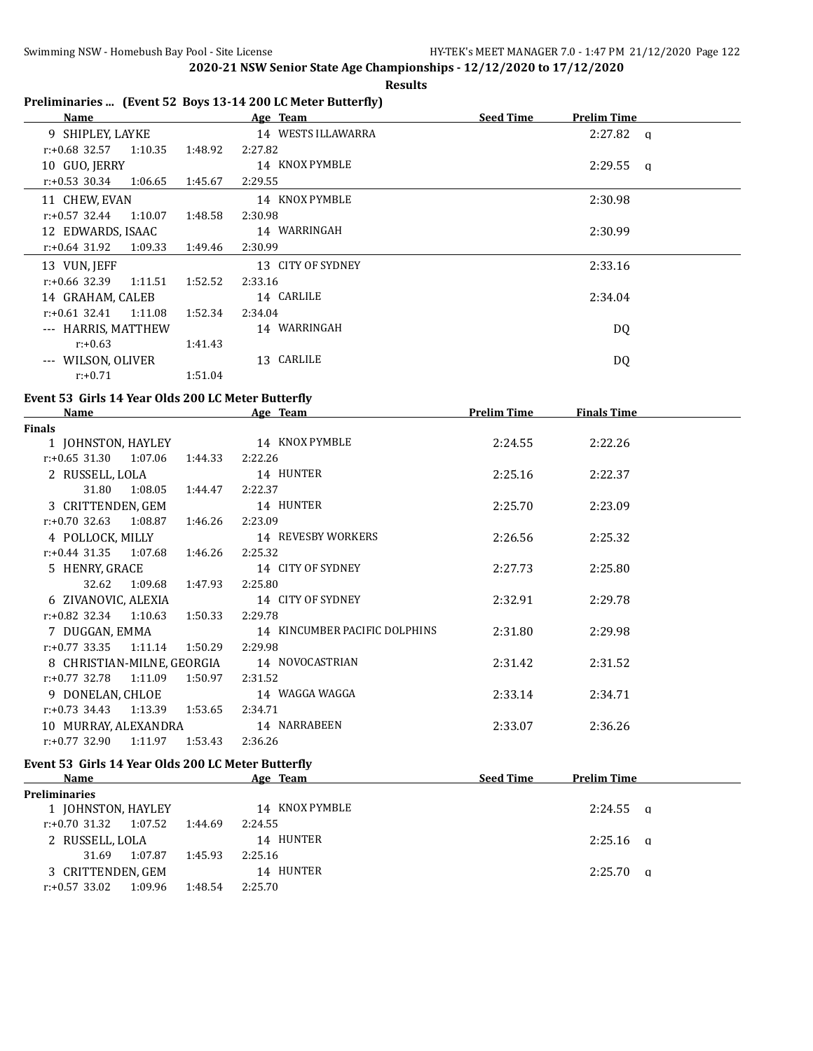#### **Results**

# **Preliminaries ... (Event 52 Boys 13-14 200 LC Meter Butterfly)**

| Name                        |         | Age Team           | <b>Seed Time</b><br><b>Prelim Time</b> |
|-----------------------------|---------|--------------------|----------------------------------------|
| 9 SHIPLEY, LAYKE            |         | 14 WESTS ILLAWARRA | $2:27.82$ a                            |
| $r: +0.68$ 32.57<br>1:10.35 | 1:48.92 | 2:27.82            |                                        |
| 10 GUO, JERRY               |         | 14 KNOX PYMBLE     | $2:29.55$ a                            |
| r:+0.53 30.34<br>1:06.65    | 1:45.67 | 2:29.55            |                                        |
| 11 CHEW, EVAN               |         | 14 KNOX PYMBLE     | 2:30.98                                |
| $r: +0.57$ 32.44<br>1:10.07 | 1:48.58 | 2:30.98            |                                        |
| 12 EDWARDS, ISAAC           |         | 14 WARRINGAH       | 2:30.99                                |
| r:+0.64 31.92<br>1:09.33    | 1:49.46 | 2:30.99            |                                        |
| 13 VUN, JEFF                |         | 13 CITY OF SYDNEY  | 2:33.16                                |
| $r: +0.66$ 32.39<br>1:11.51 | 1:52.52 | 2:33.16            |                                        |
| 14 GRAHAM, CALEB            |         | 14 CARLILE         | 2:34.04                                |
| $r: +0.61$ 32.41<br>1:11.08 | 1:52.34 | 2:34.04            |                                        |
| --- HARRIS, MATTHEW         |         | 14 WARRINGAH       | DQ                                     |
| $r: +0.63$                  | 1:41.43 |                    |                                        |
| WILSON, OLIVER<br>$---$     |         | 13 CARLILE         | DQ                                     |
| $r: +0.71$                  | 1:51.04 |                    |                                        |

# **Event 53 Girls 14 Year Olds 200 LC Meter Butterfly**

| <b>Name</b>                         |         | Age Team                      | <b>Prelim Time</b> | <b>Finals Time</b> |  |
|-------------------------------------|---------|-------------------------------|--------------------|--------------------|--|
| Finals                              |         |                               |                    |                    |  |
| 1 JOHNSTON, HAYLEY                  |         | 14 KNOX PYMBLE                | 2:24.55            | 2:22.26            |  |
| $r: +0.65$ 31.30 1:07.06            | 1:44.33 | 2:22.26                       |                    |                    |  |
| 2 RUSSELL, LOLA                     |         | 14 HUNTER                     | 2:25.16            | 2:22.37            |  |
| 31.80 1:08.05                       | 1:44.47 | 2:22.37                       |                    |                    |  |
| 3 CRITTENDEN, GEM                   |         | 14 HUNTER                     | 2:25.70            | 2:23.09            |  |
| $r: +0.70$ 32.63 1:08.87            | 1:46.26 | 2:23.09                       |                    |                    |  |
| 4 POLLOCK, MILLY                    |         | 14 REVESBY WORKERS            | 2:26.56            | 2:25.32            |  |
| $r.+0.44$ 31.35 1:07.68 1:46.26     |         | 2:25.32                       |                    |                    |  |
| 5 HENRY, GRACE                      |         | 14 CITY OF SYDNEY             | 2:27.73            | 2:25.80            |  |
| 1:09.68<br>32.62                    | 1:47.93 | 2:25.80                       |                    |                    |  |
| 6 ZIVANOVIC, ALEXIA                 |         | 14 CITY OF SYDNEY             | 2:32.91            | 2:29.78            |  |
| $r: +0.82$ 32.34 1:10.63            | 1:50.33 | 2:29.78                       |                    |                    |  |
| 7 DUGGAN, EMMA                      |         | 14 KINCUMBER PACIFIC DOLPHINS | 2:31.80            | 2:29.98            |  |
| $r.+0.77$ 33.35 1:11.14 1:50.29     |         | 2:29.98                       |                    |                    |  |
| 8 CHRISTIAN-MILNE, GEORGIA          |         | 14 NOVOCASTRIAN               | 2:31.42            | 2:31.52            |  |
| $r.+0.77$ 32.78 1:11.09             | 1:50.97 | 2:31.52                       |                    |                    |  |
| 9 DONELAN, CHLOE                    |         | 14 WAGGA WAGGA                | 2:33.14            | 2:34.71            |  |
| $r: +0.73$ 34.43<br>1:13.39 1:53.65 |         | 2:34.71                       |                    |                    |  |
| 10 MURRAY, ALEXANDRA                |         | 14 NARRABEEN                  | 2:33.07            | 2:36.26            |  |
| r:+0.77 32.90<br>1:11.97            | 1:53.43 | 2:36.26                       |                    |                    |  |

#### **Event 53 Girls 14 Year Olds 200 LC Meter Butterfly**

| Name                     |         |         | Age Team       | <b>Seed Time</b> | <b>Prelim Time</b> |  |
|--------------------------|---------|---------|----------------|------------------|--------------------|--|
| <b>Preliminaries</b>     |         |         |                |                  |                    |  |
| 1 JOHNSTON, HAYLEY       |         |         | 14 KNOX PYMBLE |                  | $2:24.55$ a        |  |
| $r: +0.70$ 31.32 1:07.52 |         | 1:44.69 | 2:24.55        |                  |                    |  |
| 2 RUSSELL, LOLA          |         |         | 14 HUNTER      |                  | $2:25.16$ a        |  |
| 31.69                    | 1:07.87 | 1:45.93 | 2:25.16        |                  |                    |  |
| 3 CRITTENDEN, GEM        |         |         | 14 HUNTER      |                  | 2:25.70 a          |  |
| $r: +0.57$ 33.02         | 1:09.96 | 1:48.54 | 2:25.70        |                  |                    |  |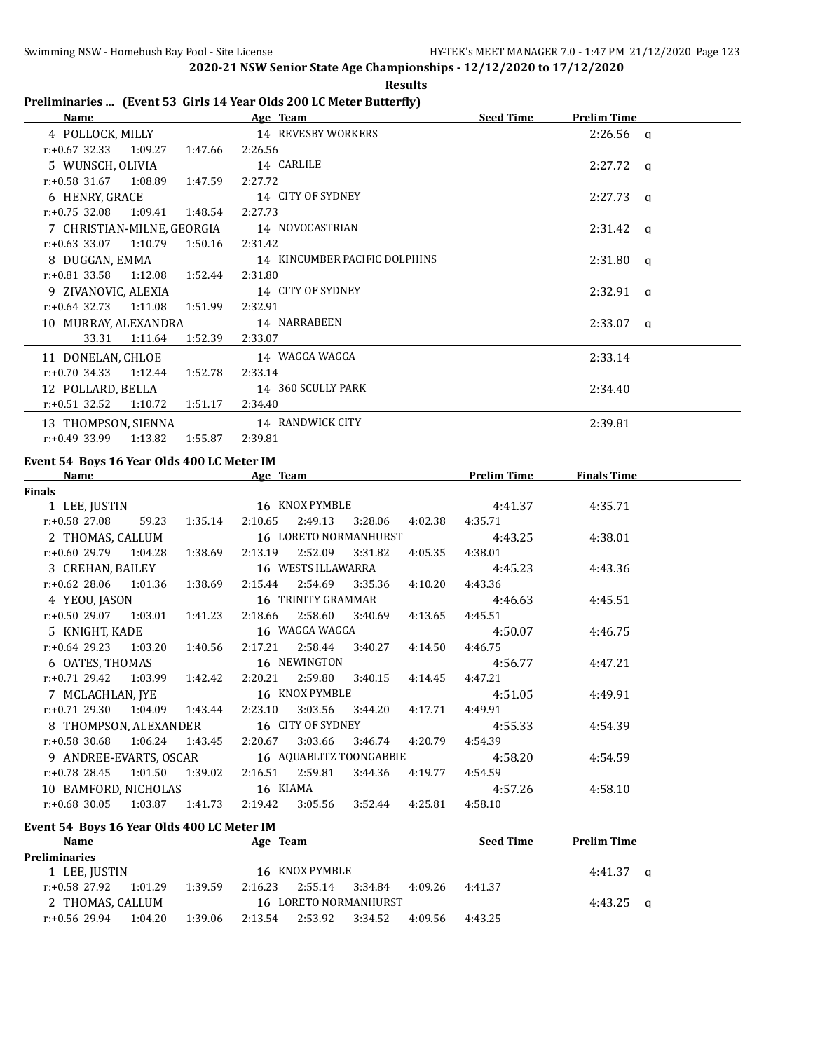|                                                                                                                                                                                                                                | 2020-21 NSW Senior State Age Championships - 12/12/2020 to 17/12/2020<br><b>Results</b> |                    |                         |
|--------------------------------------------------------------------------------------------------------------------------------------------------------------------------------------------------------------------------------|-----------------------------------------------------------------------------------------|--------------------|-------------------------|
|                                                                                                                                                                                                                                | Preliminaries  (Event 53 Girls 14 Year Olds 200 LC Meter Butterfly)                     |                    |                         |
| Name and the contract of the contract of the contract of the contract of the contract of the contract of the contract of the contract of the contract of the contract of the contract of the contract of the contract of the c | Age Team                                                                                | Seed Time          | <b>Prelim Time</b>      |
| 4 POLLOCK, MILLY                                                                                                                                                                                                               | 14 REVESBY WORKERS                                                                      |                    | $2:26.56$ q             |
| $r: +0.67$ 32.33<br>1:09.27<br>1:47.66                                                                                                                                                                                         | 2:26.56                                                                                 |                    |                         |
| 5 WUNSCH, OLIVIA                                                                                                                                                                                                               | 14 CARLILE                                                                              |                    | 2:27.72<br>$\mathbf{q}$ |
| r:+0.58 31.67<br>1:08.89<br>1:47.59                                                                                                                                                                                            | 2:27.72                                                                                 |                    |                         |
| 6 HENRY, GRACE                                                                                                                                                                                                                 | 14 CITY OF SYDNEY                                                                       |                    | 2:27.73<br>a            |
| $r: +0.75$ 32.08<br>1:09.41<br>1:48.54                                                                                                                                                                                         | 2:27.73                                                                                 |                    |                         |
| 7 CHRISTIAN-MILNE, GEORGIA                                                                                                                                                                                                     | 14 NOVOCASTRIAN                                                                         |                    | 2:31.42<br>$\mathsf{q}$ |
| $r: +0.63$ 33.07<br>1:10.79<br>1:50.16                                                                                                                                                                                         | 2:31.42                                                                                 |                    |                         |
| 8 DUGGAN, EMMA                                                                                                                                                                                                                 | 14 KINCUMBER PACIFIC DOLPHINS                                                           |                    | 2:31.80<br>$\mathbf{q}$ |
| $r: +0.81$ 33.58<br>1:12.08<br>1:52.44                                                                                                                                                                                         | 2:31.80                                                                                 |                    |                         |
| 9 ZIVANOVIC, ALEXIA                                                                                                                                                                                                            | 14 CITY OF SYDNEY                                                                       |                    | 2:32.91<br>a            |
| $r: +0.64$ 32.73<br>1:11.08<br>1:51.99                                                                                                                                                                                         | 2:32.91                                                                                 |                    |                         |
| 10 MURRAY, ALEXANDRA                                                                                                                                                                                                           | 14 NARRABEEN                                                                            |                    | 2:33.07<br>$\mathsf{q}$ |
| 33.31<br>1:52.39<br>1:11.64                                                                                                                                                                                                    | 2:33.07                                                                                 |                    |                         |
| 11 DONELAN, CHLOE                                                                                                                                                                                                              | 14 WAGGA WAGGA                                                                          |                    | 2:33.14                 |
| $r: +0.70$ 34.33<br>1:12.44<br>1:52.78                                                                                                                                                                                         | 2:33.14                                                                                 |                    |                         |
| 12 POLLARD, BELLA                                                                                                                                                                                                              | 14 360 SCULLY PARK                                                                      |                    | 2:34.40                 |
| $r: +0.51$ 32.52<br>1:10.72<br>1:51.17                                                                                                                                                                                         | 2:34.40                                                                                 |                    |                         |
| 13 THOMPSON, SIENNA                                                                                                                                                                                                            | 14 RANDWICK CITY                                                                        |                    | 2:39.81                 |
| $r: +0.49$ 33.99<br>1:13.82<br>1:55.87                                                                                                                                                                                         | 2:39.81                                                                                 |                    |                         |
|                                                                                                                                                                                                                                |                                                                                         |                    |                         |
| Event 54 Boys 16 Year Olds 400 LC Meter IM                                                                                                                                                                                     |                                                                                         |                    |                         |
| Name                                                                                                                                                                                                                           | Age Team                                                                                | <b>Prelim Time</b> | <b>Finals Time</b>      |
| <b>Finals</b><br>1 LEE, JUSTIN                                                                                                                                                                                                 | 16 KNOX PYMBLE                                                                          | 4:41.37            | 4:35.71                 |
| $r: +0.58$ 27.08<br>59.23<br>1:35.14                                                                                                                                                                                           | 2:10.65<br>2:49.13<br>3:28.06<br>4:02.38                                                | 4:35.71            |                         |
|                                                                                                                                                                                                                                | 16 LORETO NORMANHURST                                                                   |                    |                         |
| 2 THOMAS, CALLUM<br>$r: +0.60$ 29.79<br>1:04.28<br>1:38.69                                                                                                                                                                     | 2:13.19<br>2:52.09<br>3:31.82<br>4:05.35                                                | 4:43.25<br>4:38.01 | 4:38.01                 |
|                                                                                                                                                                                                                                | 16 WESTS ILLAWARRA                                                                      |                    |                         |
| 3 CREHAN, BAILEY<br>$r: +0.62$ 28.06<br>1:01.36                                                                                                                                                                                | 2:54.69                                                                                 | 4:45.23            | 4:43.36                 |
| 1:38.69                                                                                                                                                                                                                        | 2:15.44<br>3:35.36<br>4:10.20<br>16 TRINITY GRAMMAR                                     | 4:43.36            |                         |
| 4 YEOU, JASON<br>$r: +0.50$ 29.07<br>1:03.01                                                                                                                                                                                   | 2:18.66<br>2:58.60                                                                      | 4:46.63<br>4:45.51 | 4:45.51                 |
| 1:41.23                                                                                                                                                                                                                        | 3:40.69<br>4:13.65                                                                      |                    |                         |
| 5 KNIGHT, KADE                                                                                                                                                                                                                 | 16 WAGGA WAGGA<br>2:58.44                                                               | 4:50.07            | 4:46.75                 |
| $r: +0.64$ 29.23<br>1:03.20<br>1:40.56                                                                                                                                                                                         | 2:17.21<br>3:40.27<br>4:14.50                                                           | 4:46.75            |                         |
| 6 OATES, THOMAS                                                                                                                                                                                                                | 16 NEWINGTON                                                                            | 4:56.77            | 4:47.21                 |
| r:+0.71 29.42<br>1:03.99<br>1:42.42                                                                                                                                                                                            | 2:20.21<br>2:59.80<br>4:14.45<br>3:40.15                                                | 4:47.21            |                         |
| 7 MCLACHLAN, JYE                                                                                                                                                                                                               | 16 KNOX PYMBLE                                                                          | 4:51.05            | 4:49.91                 |
| $r: +0.71$ 29.30<br>1:43.44<br>1:04.09                                                                                                                                                                                         | 2:23.10<br>3:03.56<br>3:44.20<br>4:17.71                                                | 4:49.91            |                         |
| 8 THOMPSON, ALEXANDER                                                                                                                                                                                                          | 16 CITY OF SYDNEY                                                                       | 4:55.33            | 4:54.39                 |
| 1:06.24<br>$r: +0.58$ 30.68<br>1:43.45                                                                                                                                                                                         | 2:20.67<br>3:03.66<br>3:46.74<br>4:20.79                                                | 4:54.39            |                         |
| 9 ANDREE-EVARTS, OSCAR                                                                                                                                                                                                         | 16 AQUABLITZ TOONGABBIE                                                                 | 4:58.20            | 4:54.59                 |
| r:+0.78 28.45<br>1:01.50<br>1:39.02                                                                                                                                                                                            | 2:16.51<br>2:59.81<br>3:44.36<br>4:19.77                                                | 4:54.59            |                         |
| 10 BAMFORD, NICHOLAS                                                                                                                                                                                                           | 16 KIAMA                                                                                | 4:57.26            | 4:58.10                 |
| $r: +0.68$ 30.05<br>1:03.87<br>1:41.73                                                                                                                                                                                         | 2:19.42<br>3:05.56<br>3:52.44<br>4:25.81                                                | 4:58.10            |                         |
| Event 54 Boys 16 Year Olds 400 LC Meter IM                                                                                                                                                                                     |                                                                                         |                    |                         |
| <b>Name</b>                                                                                                                                                                                                                    | Age Team                                                                                | Seed Time          | <b>Prelim Time</b>      |
| <b>Preliminaries</b>                                                                                                                                                                                                           |                                                                                         |                    |                         |
| 1 LEE, JUSTIN                                                                                                                                                                                                                  | 16 KNOX PYMBLE                                                                          |                    | 4:41.37<br>$\mathbf{q}$ |
| r:+0.58 27.92<br>1:01.29<br>1:39.59                                                                                                                                                                                            | 2:55.14<br>2:16.23<br>3:34.84<br>4:09.26                                                | 4:41.37            |                         |
| 2 THOMAS, CALLUM                                                                                                                                                                                                               | 16 LORETO NORMANHURST                                                                   |                    | 4:43.25<br>$\mathbf q$  |

r:+0.56 29.94 1:04.20 1:39.06 2:13.54 2:53.92 3:34.52 4:09.56 4:43.25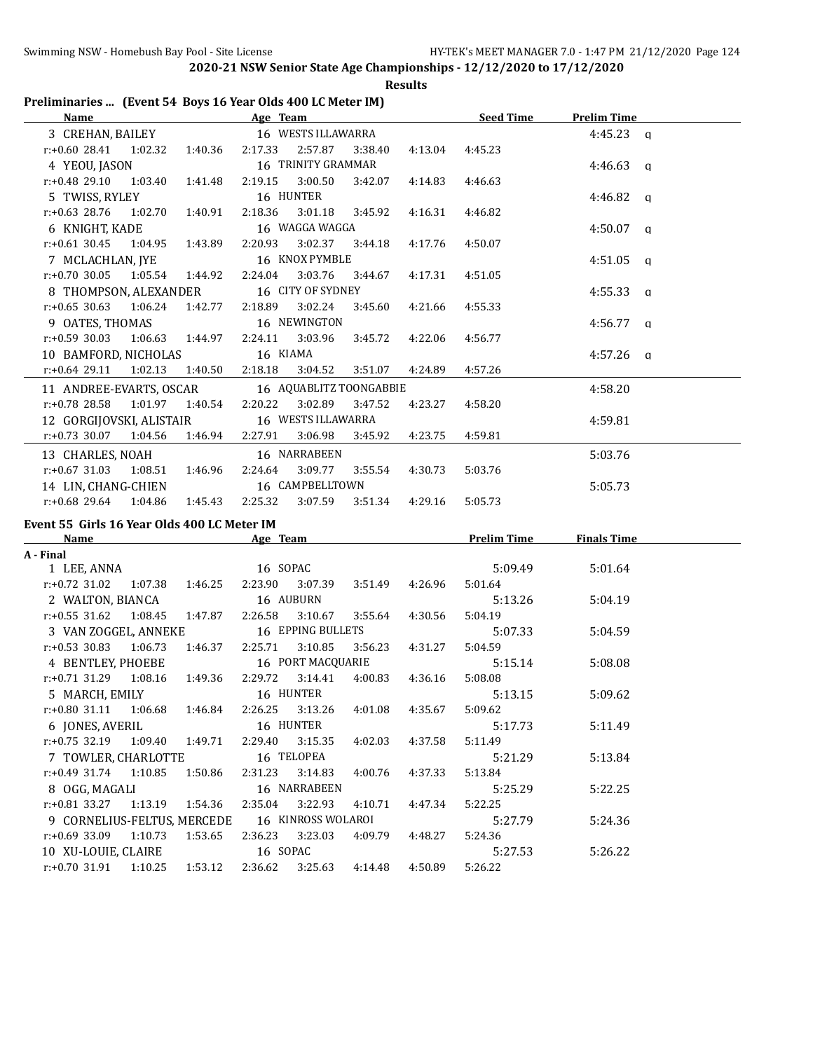**Results**

## **Preliminaries ... (Event 54 Boys 16 Year Olds 400 LC Meter IM)**

| <b>Name</b>                      |                           | Age Team |                         |         |         | <b>Seed Time</b> | <b>Prelim Time</b> |  |
|----------------------------------|---------------------------|----------|-------------------------|---------|---------|------------------|--------------------|--|
| 3 CREHAN, BAILEY                 |                           |          | 16 WESTS ILLAWARRA      |         |         |                  | $4:45.23$ q        |  |
| r:+0.60 28.41 1:02.32            | 1:40.36                   |          | 2:17.33 2:57.87         | 3:38.40 | 4:13.04 | 4:45.23          |                    |  |
| 4 YEOU, JASON                    |                           |          | 16 TRINITY GRAMMAR      |         |         |                  | $4:46.63$ a        |  |
| $r.+0.48$ 29.10 1:03.40 1:41.48  |                           |          | 2:19.15 3:00.50         | 3:42.07 | 4:14.83 | 4:46.63          |                    |  |
| 5 TWISS, RYLEY                   |                           |          | 16 HUNTER               |         |         |                  | $4:46.82$ a        |  |
| $r: +0.63$ 28.76 1:02.70         | 1:40.91                   |          | 2:18.36 3:01.18 3:45.92 |         | 4:16.31 | 4:46.82          |                    |  |
| 6 KNIGHT, KADE                   |                           |          | 16 WAGGA WAGGA          |         |         |                  | $4:50.07$ q        |  |
| $r.+0.61$ 30.45 1:04.95 1:43.89  |                           |          | 2:20.93 3:02.37 3:44.18 |         | 4:17.76 | 4:50.07          |                    |  |
| 7 MCLACHLAN, JYE                 |                           |          | 16 KNOX PYMBLE          |         |         |                  | $4:51.05$ q        |  |
| $r: +0.70$ 30.05 1:05.54 1:44.92 |                           | 2:24.04  | 3:03.76                 | 3:44.67 | 4:17.31 | 4:51.05          |                    |  |
| 8 THOMPSON, ALEXANDER            |                           |          | 16 CITY OF SYDNEY       |         |         |                  | $4:55.33$ q        |  |
| $r.+0.65$ 30.63 1:06.24 1:42.77  |                           | 2:18.89  | 3:02.24                 | 3:45.60 | 4:21.66 | 4:55.33          |                    |  |
| 9 OATES, THOMAS                  |                           |          | 16 NEWINGTON            |         |         |                  | $4:56.77$ a        |  |
| $r: +0.59$ 30.03                 | 1:06.63 1:44.97           |          | 2:24.11 3:03.96         | 3:45.72 | 4:22.06 | 4:56.77          |                    |  |
| 10 BAMFORD, NICHOLAS             |                           | 16 KIAMA |                         |         |         |                  | $4:57.26$ q        |  |
| $r: +0.64$ 29.11 1:02.13         | 1:40.50                   |          |                         | 3:51.07 | 4:24.89 | 4:57.26          |                    |  |
| 11 ANDREE-EVARTS, OSCAR          |                           |          | 16 AQUABLITZ TOONGABBIE |         |         |                  | 4:58.20            |  |
| $r: +0.78$ 28.58 1:01.97 1:40.54 |                           | 2:20.22  | 3:02.89                 | 3:47.52 | 4:23.27 | 4:58.20          |                    |  |
| 12 GORGIJOVSKI, ALISTAIR         |                           |          | 16 WESTS ILLAWARRA      |         |         |                  | 4:59.81            |  |
| $r: +0.73$ 30.07 1:04.56         | 1:46.94  2:27.91  3:06.98 |          |                         | 3:45.92 | 4:23.75 | 4:59.81          |                    |  |
| 13 CHARLES, NOAH                 |                           |          | 16 NARRABEEN            |         |         |                  | 5:03.76            |  |
| $r.+0.67$ 31.03 1:08.51          | 1:46.96                   | 2:24.64  | 3:09.77                 | 3:55.54 | 4:30.73 | 5:03.76          |                    |  |
| 14 LIN, CHANG-CHIEN              |                           |          | 16 CAMPBELLTOWN         |         |         |                  | 5:05.73            |  |
| $r: +0.68$ 29.64<br>1:04.86      | 1:45.43                   | 2:25.32  | 3:07.59                 | 3:51.34 | 4:29.16 | 5:05.73          |                    |  |

#### **Event 55 Girls 16 Year Olds 400 LC Meter IM**

| Name                                                                |  | Age Team |          |                                 |         | <b>Prelim Time</b> | <b>Finals Time</b> |  |
|---------------------------------------------------------------------|--|----------|----------|---------------------------------|---------|--------------------|--------------------|--|
| A - Final                                                           |  |          |          |                                 |         |                    |                    |  |
| 1 LEE, ANNA                                                         |  |          | 16 SOPAC |                                 |         | 5:09.49            | 5:01.64            |  |
| r:+0.72 31.02 1:07.38 1:46.25 2:23.90 3:07.39 3:51.49 4:26.96       |  |          |          |                                 |         | 5:01.64            |                    |  |
| 2 WALTON, BIANCA 16 AUBURN                                          |  |          |          |                                 |         | 5:13.26            | 5:04.19            |  |
| $r: +0.55$ 31.62 1:08.45 1:47.87                                    |  |          |          | 2:26.58 3:10.67 3:55.64 4:30.56 |         | 5:04.19            |                    |  |
| 3 VAN ZOGGEL, ANNEKE 16 EPPING BULLETS                              |  |          |          |                                 |         | 5:07.33            | 5:04.59            |  |
| $r: +0.53$ 30.83 1:06.73 1:46.37 2:25.71 3:10.85                    |  |          |          | 3:56.23   4:31.27               |         | 5:04.59            |                    |  |
| 4 BENTLEY, PHOEBE 16 PORT MACQUARIE                                 |  |          |          |                                 |         | 5:15.14            | 5:08.08            |  |
| r:+0.71 31.29  1:08.16  1:49.36  2:29.72  3:14.41  4:00.83  4:36.16 |  |          |          |                                 |         | 5:08.08            |                    |  |
| 5 MARCH, EMILY 16 HUNTER                                            |  |          |          |                                 |         | 5:13.15            | 5:09.62            |  |
| $r: +0.80$ 31.11 1:06.68 1:46.84 2:26.25 3:13.26 4:01.08 4:35.67    |  |          |          |                                 |         | 5:09.62            |                    |  |
| 6 JONES, AVERIL 16 HUNTER                                           |  |          |          |                                 |         | 5:17.73            | 5:11.49            |  |
| $r.+0.75$ 32.19 1:09.40 1:49.71 2:29.40 3:15.35                     |  |          |          | 4:02.03  4:37.58                |         | 5:11.49            |                    |  |
| 7 TOWLER, CHARLOTTE 16 TELOPEA                                      |  |          |          |                                 |         | 5:21.29            | 5:13.84            |  |
| $r.+0.49$ 31.74 1:10.85 1:50.86 2:31.23 3:14.83 4:00.76 4:37.33     |  |          |          |                                 |         | 5:13.84            |                    |  |
| 8 OGG, MAGALI 16 NARRABEEN                                          |  |          |          |                                 |         | 5:25.29            | 5:22.25            |  |
| $r.+0.81$ 33.27 1:13.19 1:54.36 2:35.04 3:22.93                     |  |          |          | 4:10.71                         | 4:47.34 | 5:22.25            |                    |  |
| 9 CORNELIUS-FELTUS, MERCEDE 16 KINROSS WOLAROI                      |  |          |          |                                 |         | 5:27.79            | 5:24.36            |  |
| r:+0.69 33.09 1:10.73 1:53.65 2:36.23 3:23.03 4:09.79 4:48.27       |  |          |          |                                 |         | 5:24.36            |                    |  |
| 10 XU-LOUIE, CLAIRE 16 SOPAC                                        |  |          |          |                                 |         | 5:27.53            | 5:26.22            |  |
| $r.+0.70$ 31.91 1:10.25 1:53.12                                     |  |          |          | 2:36.62 3:25.63 4:14.48         | 4:50.89 | 5:26.22            |                    |  |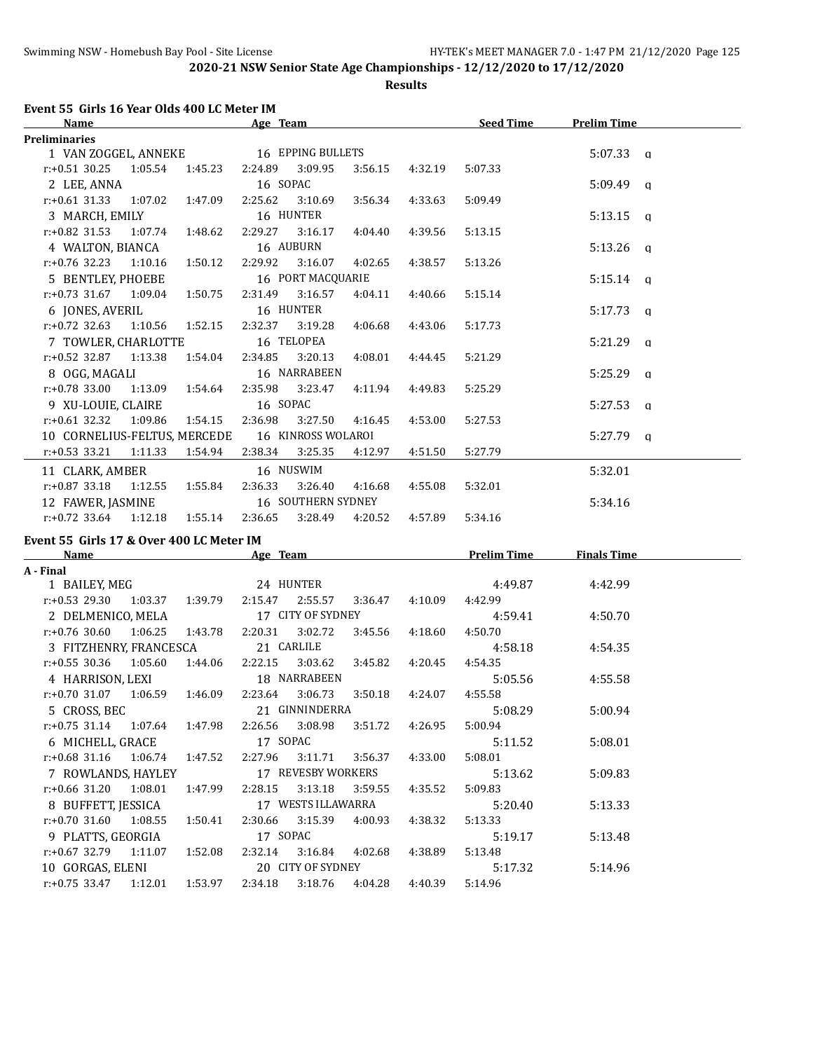**Results**

# **Event 55 Girls 16 Year Olds 400 LC Meter IM**

| Name                                                     |                   |         | Age Team |                              |         |                 | <u>Seed Time</u>   | <b>Prelim Time</b> |  |
|----------------------------------------------------------|-------------------|---------|----------|------------------------------|---------|-----------------|--------------------|--------------------|--|
| <b>Preliminaries</b>                                     |                   |         |          |                              |         |                 |                    |                    |  |
| 1 VAN ZOGGEL, ANNEKE 16 EPPING BULLETS                   |                   |         |          |                              |         |                 |                    | $5:07.33$ a        |  |
| $r.+0.51$ 30.25 1:05.54                                  |                   | 1:45.23 |          | 2:24.89 3:09.95              | 3:56.15 | 4:32.19         | 5:07.33            |                    |  |
| 2 LEE, ANNA                                              |                   |         | 16 SOPAC |                              |         |                 |                    | $5:09.49$ q        |  |
| $r: +0.61$ 31.33 1:07.02                                 |                   | 1:47.09 | 2:25.62  | 3:10.69                      | 3:56.34 | 4:33.63         | 5:09.49            |                    |  |
| 3 MARCH, EMILY                                           |                   |         |          | 16 HUNTER                    |         |                 |                    | $5:13.15$ q        |  |
| $r: +0.82$ 31.53 1:07.74                                 |                   | 1:48.62 | 2:29.27  | 3:16.17                      | 4:04.40 | 4:39.56         | 5:13.15            |                    |  |
| 4 WALTON, BIANCA                                         |                   |         |          | 16 AUBURN                    |         |                 |                    | $5:13.26$ q        |  |
| $r.+0.76$ 32.23 1:10.16 1:50.12                          |                   |         | 2:29.92  | 3:16.07                      | 4:02.65 | 4:38.57         | 5:13.26            |                    |  |
| 5 BENTLEY, PHOEBE                                        |                   |         |          | 16 PORT MACQUARIE            |         |                 |                    | $5:15.14$ q        |  |
| $r: +0.73$ 31.67 1:09.04 1:50.75                         |                   |         |          | 2:31.49 3:16.57              | 4:04.11 | 4:40.66         | 5:15.14            |                    |  |
| 6 JONES, AVERIL                                          |                   |         |          | 16 HUNTER                    |         |                 |                    | $5:17.73$ q        |  |
| $r: +0.72$ 32.63                                         | 1:10.56 1:52.15   |         | 2:32.37  | 3:19.28                      | 4:06.68 | 4:43.06         | 5:17.73            |                    |  |
| 7 TOWLER, CHARLOTTE                                      |                   |         |          | 16 TELOPEA                   |         |                 |                    | $5:21.29$ q        |  |
| r:+0.52 32.87 1:13.38                                    |                   | 1:54.04 | 2:34.85  | 3:20.13                      | 4:08.01 | 4:44.45         | 5:21.29            |                    |  |
| 8 OGG, MAGALI                                            |                   |         |          | 16 NARRABEEN                 |         |                 |                    | $5:25.29$ q        |  |
| r:+0.78 33.00 1:13.09 1:54.64 2:35.98 3:23.47            |                   |         |          |                              | 4:11.94 | 4:49.83         | 5:25.29            |                    |  |
| 9 XU-LOUIE, CLAIRE                                       |                   |         | 16 SOPAC |                              |         |                 |                    | $5:27.53$ q        |  |
| $r.+0.61$ 32.32 1:09.86                                  |                   | 1:54.15 | 2:36.98  | 3:27.50                      | 4:16.45 | 4:53.00         | 5:27.53            |                    |  |
| 10 CORNELIUS-FELTUS, MERCEDE                             |                   |         |          | 16 KINROSS WOLAROI           |         |                 |                    | $5:27.79$ a        |  |
| $r: +0.53$ 33.21 1:11.33 1:54.94 2:38.34 3:25.35         |                   |         |          |                              | 4:12.97 | 4:51.50         | 5:27.79            |                    |  |
| 11 CLARK, AMBER                                          |                   |         |          | 16 NUSWIM                    |         |                 |                    | 5:32.01            |  |
| $r: +0.87$ 33.18                                         | 1:12.55   1:55.84 |         | 2:36.33  | 3:26.40                      | 4:16.68 | 4:55.08         | 5:32.01            |                    |  |
| 12 FAWER, JASMINE 16 SOUTHERN SYDNEY                     |                   |         |          |                              |         |                 |                    | 5:34.16            |  |
| $r: +0.72$ 33.64 1:12.18 1:55.14 2:36.65 3:28.49 4:20.52 |                   |         |          |                              |         | 4:57.89         | 5:34.16            |                    |  |
|                                                          |                   |         |          |                              |         |                 |                    |                    |  |
| Event 55 Girls 17 & Over 400 LC Meter IM                 |                   |         |          |                              |         |                 | <b>Prelim Time</b> | <b>Finals Time</b> |  |
| <b>Name</b><br>A - Final                                 |                   |         |          | <b>Example 2018 Age Team</b> |         |                 |                    |                    |  |
| 1 BAILEY, MEG                                            |                   |         |          | 24 HUNTER                    |         |                 | 4:49.87            | 4:42.99            |  |
| $r: +0.53$ 29.30 $1:03.37$ $1:39.79$ $2:15.47$ $2:55.57$ |                   |         |          |                              | 3:36.47 | 4:10.09         | 4:42.99            |                    |  |
| 2 DELMENICO, MELA 17 CITY OF SYDNEY                      |                   |         |          |                              |         |                 | 4:59.41            | 4:50.70            |  |
| $r.+0.76$ 30.60 1:06.25                                  |                   | 1:43.78 |          | 2:20.31 3:02.72              |         | 3:45.56 4:18.60 | 4:50.70            |                    |  |
| 3 FITZHENRY, FRANCESCA                                   |                   |         |          | 21 CARLILE                   |         |                 | 4:58.18            | 4:54.35            |  |
| r:+0.55 30.36 1:05.60                                    |                   | 1:44.06 | 2:22.15  | 3:03.62 3:45.82              |         | 4:20.45         | 4:54.35            |                    |  |
|                                                          |                   |         |          |                              |         |                 |                    |                    |  |

| 3 FITZHENRY FRANCESCA |         |         | 21 CARLILE |                    |         |         | 4:58.18 | 4:54.35 |
|-----------------------|---------|---------|------------|--------------------|---------|---------|---------|---------|
| $r: +0.55$ 30.36      | 1:05.60 | 1:44.06 | 2:22.15    | 3:03.62            | 3:45.82 | 4:20.45 | 4:54.35 |         |
| 4 HARRISON, LEXI      |         |         |            | 18 NARRABEEN       |         |         | 5:05.56 | 4:55.58 |
| $r: +0.70$ 31.07      | 1:06.59 | 1:46.09 | 2:23.64    | 3:06.73            | 3:50.18 | 4:24.07 | 4:55.58 |         |
| 5 CROSS, BEC          |         |         |            | 21 GINNINDERRA     |         |         | 5:08.29 | 5:00.94 |
| $r: +0.75$ 31.14      | 1:07.64 | 1:47.98 | 2:26.56    | 3:08.98            | 3:51.72 | 4:26.95 | 5:00.94 |         |
| 6 MICHELL, GRACE      |         |         | 17 SOPAC   |                    |         |         | 5:11.52 | 5:08.01 |
| $r: +0.68$ 31.16      | 1:06.74 | 1:47.52 | 2:27.96    | 3:11.71            | 3:56.37 | 4:33.00 | 5:08.01 |         |
| 7 ROWLANDS, HAYLEY    |         |         |            | 17 REVESBY WORKERS |         |         | 5:13.62 | 5:09.83 |
| $r: +0.66$ 31.20      | 1:08.01 | 1:47.99 | 2:28.15    | 3:13.18            | 3:59.55 | 4:35.52 | 5:09.83 |         |
| 8 BUFFETT, JESSICA    |         |         |            | 17 WESTS ILLAWARRA |         |         | 5:20.40 | 5:13.33 |
| $r: +0.70$ 31.60      | 1:08.55 | 1:50.41 | 2:30.66    | 3:15.39            | 4:00.93 | 4:38.32 | 5:13.33 |         |
| 9 PLATTS, GEORGIA     |         |         | 17 SOPAC   |                    |         |         | 5:19.17 | 5:13.48 |
| $r: +0.67$ 32.79      | 1:11.07 | 1:52.08 | 2:32.14    | 3:16.84            | 4:02.68 | 4:38.89 | 5:13.48 |         |
| 10 GORGAS, ELENI      |         |         |            | 20 CITY OF SYDNEY  |         |         | 5:17.32 | 5:14.96 |
| $r: +0.75$ 33.47      | 1:12.01 | 1:53.97 | 2:34.18    | 3:18.76            | 4:04.28 | 4:40.39 | 5:14.96 |         |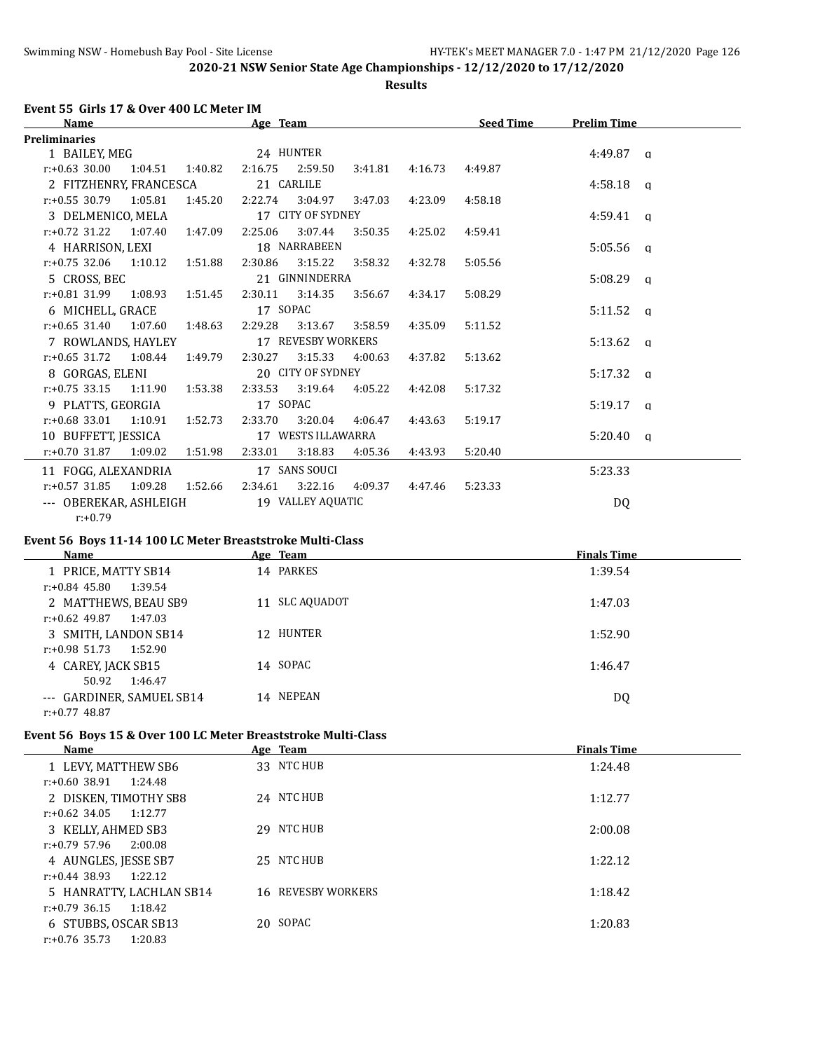**Results**

#### **Event 55 Girls 17 & Over 400 LC Meter IM**

| Name                             |         | Age Team |                    |         |         | <b>Seed Time</b> | <b>Prelim Time</b> |  |
|----------------------------------|---------|----------|--------------------|---------|---------|------------------|--------------------|--|
| <b>Preliminaries</b>             |         |          |                    |         |         |                  |                    |  |
| 1 BAILEY, MEG                    |         |          | 24 HUNTER          |         |         |                  | $4:49.87$ a        |  |
| $r: +0.63$ 30.00 1:04.51 1:40.82 |         |          | 2:16.75 2:59.50    | 3:41.81 | 4:16.73 | 4:49.87          |                    |  |
| 2 FITZHENRY, FRANCESCA           |         |          | 21 CARLILE         |         |         |                  | $4:58.18$ a        |  |
| $r.+0.55$ 30.79 1:05.81          | 1:45.20 |          | 2:22.74 3:04.97    | 3:47.03 | 4:23.09 | 4:58.18          |                    |  |
| 3 DELMENICO, MELA                |         |          | 17 CITY OF SYDNEY  |         |         |                  | $4:59.41$ a        |  |
| $r: +0.72$ 31.22 1:07.40         | 1:47.09 | 2:25.06  | 3:07.44            | 3:50.35 | 4:25.02 | 4:59.41          |                    |  |
| 4 HARRISON, LEXI                 |         |          | 18 NARRABEEN       |         |         |                  | $5:05.56$ q        |  |
| $r: +0.75$ 32.06 1:10.12         | 1:51.88 | 2:30.86  | 3:15.22            | 3:58.32 | 4:32.78 | 5:05.56          |                    |  |
| 5 CROSS, BEC                     |         |          | 21 GINNINDERRA     |         |         |                  | $5:08.29$ q        |  |
| $r.+0.81$ 31.99 1:08.93          | 1:51.45 | 2:30.11  | 3:14.35            | 3:56.67 | 4:34.17 | 5:08.29          |                    |  |
| 6 MICHELL, GRACE                 |         | 17 SOPAC |                    |         |         |                  | $5:11.52$ q        |  |
| $r: +0.65$ 31.40 1:07.60         | 1:48.63 | 2:29.28  | 3:13.67            | 3:58.59 | 4:35.09 | 5:11.52          |                    |  |
| 7 ROWLANDS, HAYLEY               |         |          | 17 REVESBY WORKERS |         |         |                  | $5:13.62$ a        |  |
| $r: +0.65$ 31.72 1:08.44         | 1:49.79 | 2:30.27  | 3:15.33            | 4:00.63 | 4:37.82 | 5:13.62          |                    |  |
| 8 GORGAS, ELENI                  |         |          | 20 CITY OF SYDNEY  |         |         |                  | $5:17.32$ a        |  |
| $r: +0.75$ 33.15<br>1:11.90      | 1:53.38 | 2:33.53  | 3:19.64            | 4:05.22 | 4:42.08 | 5:17.32          |                    |  |
| 9 PLATTS, GEORGIA                |         | 17 SOPAC |                    |         |         |                  | $5:19.17$ q        |  |
| $r: +0.68$ 33.01 1:10.91         | 1:52.73 | 2:33.70  | 3:20.04            | 4:06.47 | 4:43.63 | 5:19.17          |                    |  |
| 10 BUFFETT, JESSICA              |         |          | 17 WESTS ILLAWARRA |         |         |                  | $5:20.40$ a        |  |
| $r.+0.70$ 31.87 1:09.02          | 1:51.98 | 2:33.01  | 3:18.83            | 4:05.36 | 4:43.93 | 5:20.40          |                    |  |
| 11 FOGG, ALEXANDRIA              |         |          | 17 SANS SOUCI      |         |         |                  | 5:23.33            |  |
| 1:09.28<br>$r: +0.57$ 31.85      | 1:52.66 | 2:34.61  | 3:22.16            | 4:09.37 | 4:47.46 | 5:23.33          |                    |  |
| --- OBEREKAR, ASHLEIGH           |         |          | 19 VALLEY AQUATIC  |         |         |                  | DQ                 |  |
| $r: +0.79$                       |         |          |                    |         |         |                  |                    |  |

## **Event 56 Boys 11-14 100 LC Meter Breaststroke Multi-Class**

| Name                        | Age Team       | <b>Finals Time</b> |
|-----------------------------|----------------|--------------------|
| 1 PRICE, MATTY SB14         | 14 PARKES      | 1:39.54            |
| $r: +0.84$ 45.80<br>1:39.54 |                |                    |
| 2 MATTHEWS, BEAU SB9        | 11 SLC AQUADOT | 1:47.03            |
| $r: +0.62$ 49.87<br>1:47.03 |                |                    |
| 3 SMITH, LANDON SB14        | 12 HUNTER      | 1:52.90            |
| r:+0.98 51.73<br>1:52.90    |                |                    |
| 4 CAREY, JACK SB15          | 14 SOPAC       | 1:46.47            |
| 50.92<br>1:46.47            |                |                    |
| --- GARDINER, SAMUEL SB14   | 14 NEPEAN      | DQ                 |
| $r: +0.77$ 48.87            |                |                    |

#### **Event 56 Boys 15 & Over 100 LC Meter Breaststroke Multi-Class**

|  | <b>Finals Time</b>                                                                                 |
|--|----------------------------------------------------------------------------------------------------|
|  | 1:24.48                                                                                            |
|  |                                                                                                    |
|  | 1:12.77                                                                                            |
|  |                                                                                                    |
|  | 2:00.08                                                                                            |
|  |                                                                                                    |
|  | 1:22.12                                                                                            |
|  |                                                                                                    |
|  | 1:18.42                                                                                            |
|  |                                                                                                    |
|  | 1:20.83                                                                                            |
|  |                                                                                                    |
|  | Age Team<br>33 NTC HUB<br>24 NTC HUB<br>29 NTC HUB<br>25 NTC HUB<br>16 REVESBY WORKERS<br>20 SOPAC |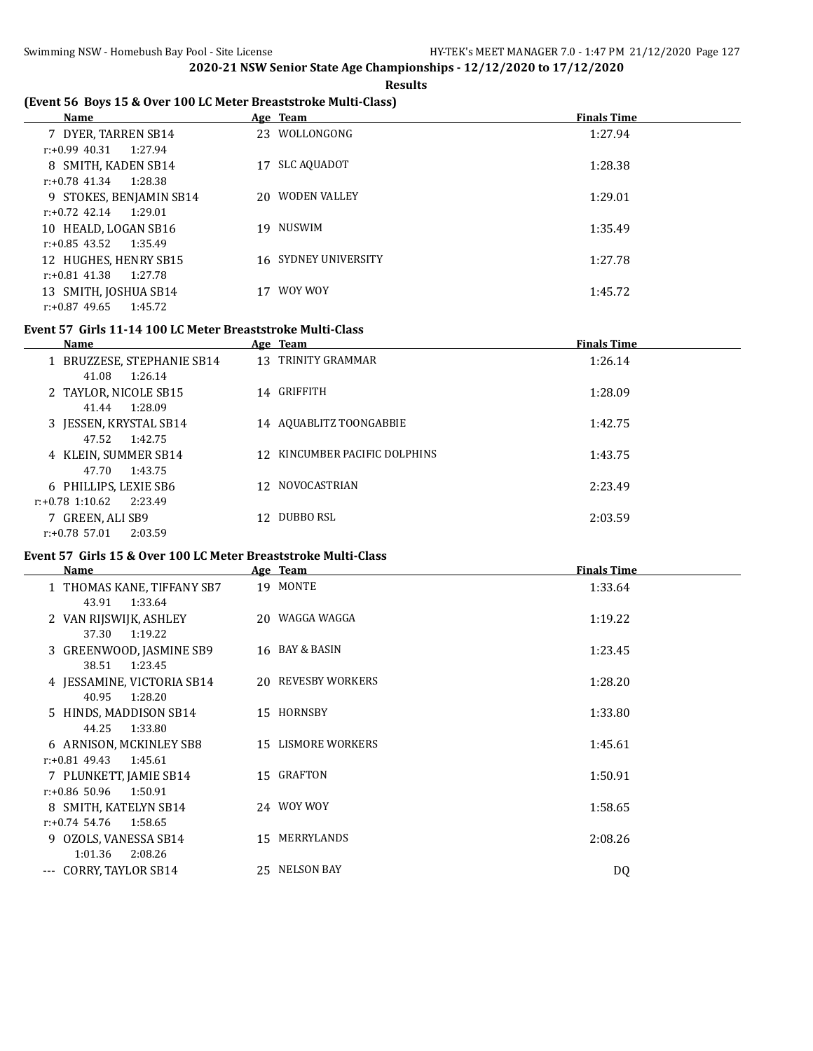#### **Results**

# **(Event 56 Boys 15 & Over 100 LC Meter Breaststroke Multi-Class)**

| <b>Name</b>                 | Age Team                 | <b>Finals Time</b> |
|-----------------------------|--------------------------|--------------------|
| 7 DYER, TARREN SB14         | 23 WOLLONGONG            | 1:27.94            |
| $r: +0.99$ 40.31<br>1:27.94 |                          |                    |
| 8 SMITH, KADEN SB14         | <b>SLC AQUADOT</b><br>17 | 1:28.38            |
| $r: +0.78$ 41.34<br>1:28.38 |                          |                    |
| 9 STOKES, BENJAMIN SB14     | 20 WODEN VALLEY          | 1:29.01            |
| $r: +0.72$ 42.14<br>1:29.01 |                          |                    |
| 10 HEALD, LOGAN SB16        | 19 NUSWIM                | 1:35.49            |
| r:+0.85 43.52<br>1:35.49    |                          |                    |
| 12 HUGHES, HENRY SB15       | 16 SYDNEY UNIVERSITY     | 1:27.78            |
| r:+0.81 41.38<br>1:27.78    |                          |                    |
| 13 SMITH, JOSHUA SB14       | WOY WOY                  | 1:45.72            |
| $r: +0.87$ 49.65<br>1:45.72 |                          |                    |

#### **Event 57 Girls 11-14 100 LC Meter Breaststroke Multi-Class**

| <b>Name</b>                   |     | Age Team                      | <b>Finals Time</b> |
|-------------------------------|-----|-------------------------------|--------------------|
| 1 BRUZZESE, STEPHANIE SB14    |     | 13 TRINITY GRAMMAR            | 1:26.14            |
| 41.08<br>1:26.14              |     |                               |                    |
| 2 TAYLOR, NICOLE SB15         |     | 14 GRIFFITH                   | 1:28.09            |
| 1:28.09<br>41.44              |     |                               |                    |
| 3 JESSEN, KRYSTAL SB14        |     | 14 AQUABLITZ TOONGABBIE       | 1:42.75            |
| 47.52<br>1:42.75              |     |                               |                    |
| 4 KLEIN, SUMMER SB14          |     | 12 KINCUMBER PACIFIC DOLPHINS | 1:43.75            |
| 47.70<br>1:43.75              |     |                               |                    |
| 6 PHILLIPS, LEXIE SB6         |     | 12 NOVOCASTRIAN               | 2:23.49            |
| $r: +0.78$ 1:10.62<br>2:23.49 |     |                               |                    |
| 7 GREEN, ALI SB9              | 12. | DUBBO RSL                     | 2:03.59            |
| 2:03.59<br>$r: +0.78$ 57.01   |     |                               |                    |
|                               |     |                               |                    |

## **Event 57 Girls 15 & Over 100 LC Meter Breaststroke Multi-Class**

| <b>Name</b>                                            | Age Team                  | <b>Finals Time</b> |
|--------------------------------------------------------|---------------------------|--------------------|
| 1 THOMAS KANE, TIFFANY SB7                             | 19 MONTE                  | 1:33.64            |
| 1:33.64<br>43.91<br>2 VAN RIJSWIJK, ASHLEY             | 20 WAGGA WAGGA            | 1:19.22            |
| 37.30<br>1:19.22                                       |                           |                    |
| 3 GREENWOOD, JASMINE SB9<br>38.51<br>1:23.45           | 16 BAY & BASIN            | 1:23.45            |
| 4 JESSAMINE, VICTORIA SB14                             | 20 REVESBY WORKERS        | 1:28.20            |
| 1:28.20<br>40.95<br>5 HINDS, MADDISON SB14             | 15 HORNSBY                | 1:33.80            |
| 1:33.80<br>44.25                                       |                           |                    |
| 6 ARNISON, MCKINLEY SB8<br>$r: +0.81$ 49.43<br>1:45.61 | <b>15 LISMORE WORKERS</b> | 1:45.61            |
| 7 PLUNKETT, JAMIE SB14                                 | 15 GRAFTON                | 1:50.91            |
| $r: +0.86$ 50.96<br>1:50.91<br>8 SMITH, KATELYN SB14   | 24 WOY WOY                | 1:58.65            |
| $r: +0.74$ 54.76<br>1:58.65                            |                           |                    |
| 9 OZOLS, VANESSA SB14                                  | MERRYLANDS<br>15          | 2:08.26            |
| 1:01.36<br>2:08.26<br>--- CORRY, TAYLOR SB14           | 25 NELSON BAY             |                    |
|                                                        |                           | DQ                 |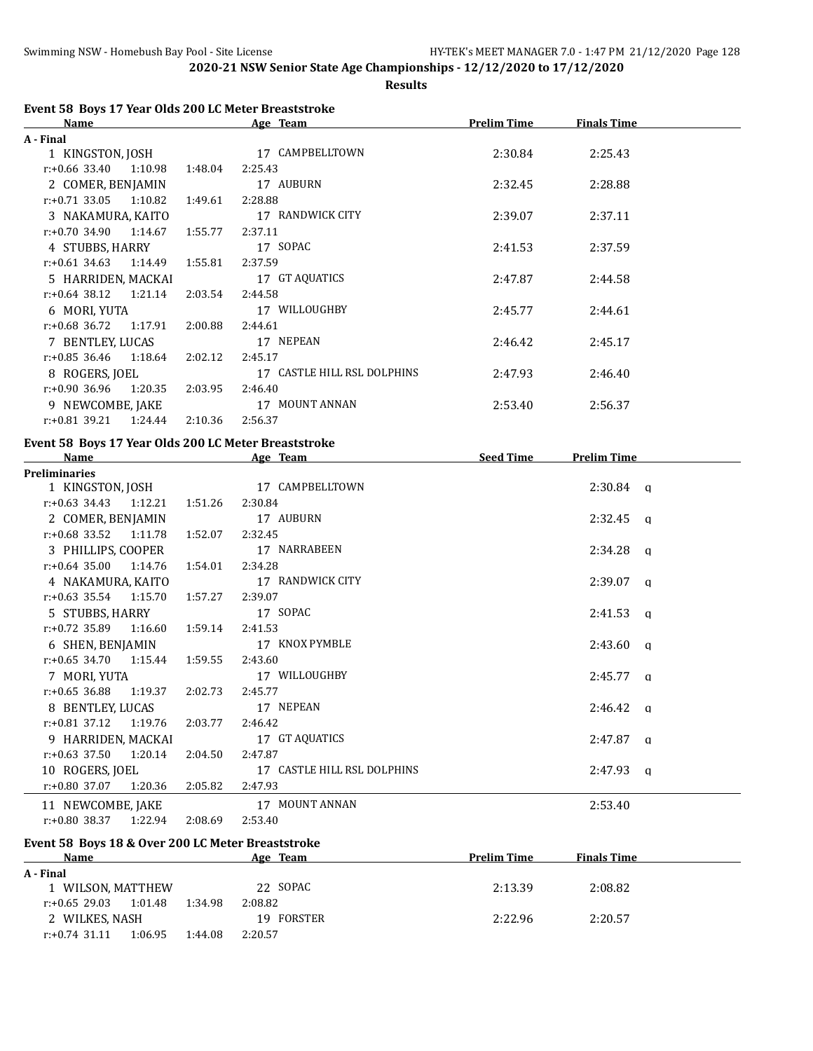**Results**

| Event 58 Boys 17 Year Olds 200 LC Meter Breaststroke |         |                             |                    |                    |  |
|------------------------------------------------------|---------|-----------------------------|--------------------|--------------------|--|
| Name                                                 |         | Age Team                    | <b>Prelim Time</b> | <b>Finals Time</b> |  |
| A - Final                                            |         |                             |                    |                    |  |
| 1 KINGSTON, JOSH                                     |         | 17 CAMPBELLTOWN             | 2:30.84            | 2:25.43            |  |
| $r: +0.66$ 33.40<br>1:10.98                          | 1:48.04 | 2:25.43                     |                    |                    |  |
| 2 COMER, BENJAMIN                                    |         | 17 AUBURN                   | 2:32.45            | 2:28.88            |  |
| $r.+0.71$ 33.05 1:10.82                              | 1:49.61 | 2:28.88                     |                    |                    |  |
| 3 NAKAMURA, KAITO                                    |         | 17 RANDWICK CITY            | 2:39.07            | 2:37.11            |  |
| $r: +0.70$ 34.90<br>1:14.67                          | 1:55.77 | 2:37.11                     |                    |                    |  |
| 4 STUBBS, HARRY                                      |         | 17 SOPAC                    | 2:41.53            | 2:37.59            |  |
| $r.+0.61$ 34.63 1:14.49                              | 1:55.81 | 2:37.59                     |                    |                    |  |
| 5 HARRIDEN, MACKAI                                   |         | 17 GT AQUATICS              | 2:47.87            | 2:44.58            |  |
| $r: +0.64$ 38.12<br>1:21.14                          | 2:03.54 | 2:44.58                     |                    |                    |  |
| 6 MORI, YUTA                                         |         | 17 WILLOUGHBY               | 2:45.77            | 2:44.61            |  |
| $r: +0.68$ 36.72<br>1:17.91                          | 2:00.88 | 2:44.61                     |                    |                    |  |
| 7 BENTLEY, LUCAS                                     |         | 17 NEPEAN                   | 2:46.42            | 2:45.17            |  |
| $r: +0.85$ 36.46<br>1:18.64                          | 2:02.12 | 2:45.17                     |                    |                    |  |
| 8 ROGERS, JOEL                                       |         | 17 CASTLE HILL RSL DOLPHINS | 2:47.93            | 2:46.40            |  |
| $r: +0.90$ 36.96<br>1:20.35 2:03.95                  |         | 2:46.40                     |                    |                    |  |
| 9 NEWCOMBE, JAKE                                     |         | 17 MOUNT ANNAN              | 2:53.40            | 2:56.37            |  |
| $r.+0.81$ 39.21 1:24.44                              | 2:10.36 | 2:56.37                     |                    |                    |  |
|                                                      |         |                             |                    |                    |  |
| Event 58 Boys 17 Year Olds 200 LC Meter Breaststroke |         |                             |                    |                    |  |
| Name                                                 |         | Age Team Seed Time          |                    | <b>Prelim Time</b> |  |
| <b>Preliminaries</b>                                 |         | 17 CAMPBELLTOWN             |                    | $2:30.84$ q        |  |
| 1 KINGSTON, JOSH<br>$r.+0.63$ 34.43 1:12.21 1:51.26  |         | 2:30.84                     |                    |                    |  |
|                                                      |         | 17 AUBURN                   |                    |                    |  |
| 2 COMER, BENJAMIN                                    |         |                             |                    | $2:32.45$ q        |  |
| $r.+0.68$ 33.52 1:11.78                              | 1:52.07 | 2:32.45                     |                    |                    |  |
| 3 PHILLIPS, COOPER                                   |         | 17 NARRABEEN                |                    | $2:34.28$ a        |  |
| $r.+0.64$ 35.00 1:14.76                              | 1:54.01 | 2:34.28                     |                    |                    |  |
| 4 NAKAMURA, KAITO                                    |         | 17 RANDWICK CITY            |                    | $2:39.07$ q        |  |
| $r: +0.63$ 35.54 1:15.70                             | 1:57.27 | 2:39.07                     |                    |                    |  |
| 5 STUBBS, HARRY                                      |         | 17 SOPAC                    |                    | $2:41.53$ q        |  |
| $r: +0.72$ 35.89<br>1:16.60                          | 1:59.14 | 2:41.53                     |                    |                    |  |
| 6 SHEN, BENJAMIN                                     |         | 17 KNOX PYMBLE              |                    | $2:43.60$ q        |  |
| $r: +0.65$ 34.70<br>1:15.44 1:59.55                  |         | 2:43.60                     |                    |                    |  |
| 7 MORI, YUTA                                         |         | 17 WILLOUGHBY               |                    | $2:45.77$ a        |  |
| r:+0.65 36.88 1:19.37                                |         | 2:02.73 2:45.77             |                    |                    |  |
| 8 BENTLEY, LUCAS                                     |         | 17 NEPEAN                   |                    | $2:46.42$ a        |  |
| $r: +0.81$ 37.12<br>1:19.76                          | 2:03.77 | 2:46.42                     |                    |                    |  |
| 9 HARRIDEN, MACKAI                                   |         | 17 GT AQUATICS              |                    | $2:47.87$ a        |  |
| $r: +0.63$ 37.50<br>1:20.14                          | 2:04.50 | 2:47.87                     |                    |                    |  |
| 10 ROGERS, JOEL                                      |         | 17 CASTLE HILL RSL DOLPHINS |                    | $2:47.93$ q        |  |
| r:+0.80 37.07<br>1:20.36                             | 2:05.82 | 2:47.93                     |                    |                    |  |
| 11 NEWCOMBE, JAKE                                    |         | 17 MOUNT ANNAN              |                    | 2:53.40            |  |
| r:+0.80 38.37<br>1:22.94                             | 2:08.69 | 2:53.40                     |                    |                    |  |
| Event 58 Boys 18 & Over 200 LC Meter Breaststroke    |         |                             |                    |                    |  |

| Name              |         |         | Age Team       | <b>Prelim Time</b> | <b>Finals Time</b> |  |
|-------------------|---------|---------|----------------|--------------------|--------------------|--|
| A - Final         |         |         |                |                    |                    |  |
| 1 WILSON, MATTHEW |         |         | 22 SOPAC       | 2:13.39            | 2:08.82            |  |
| $r: +0.65$ 29.03  | 1:01.48 | 1:34.98 | 2:08.82        |                    |                    |  |
| 2 WILKES, NASH    |         |         | FORSTER<br>19. | 2:22.96            | 2:20.57            |  |
| $r: +0.74$ 31.11  | 1:06.95 | 1:44.08 | 2:20.57        |                    |                    |  |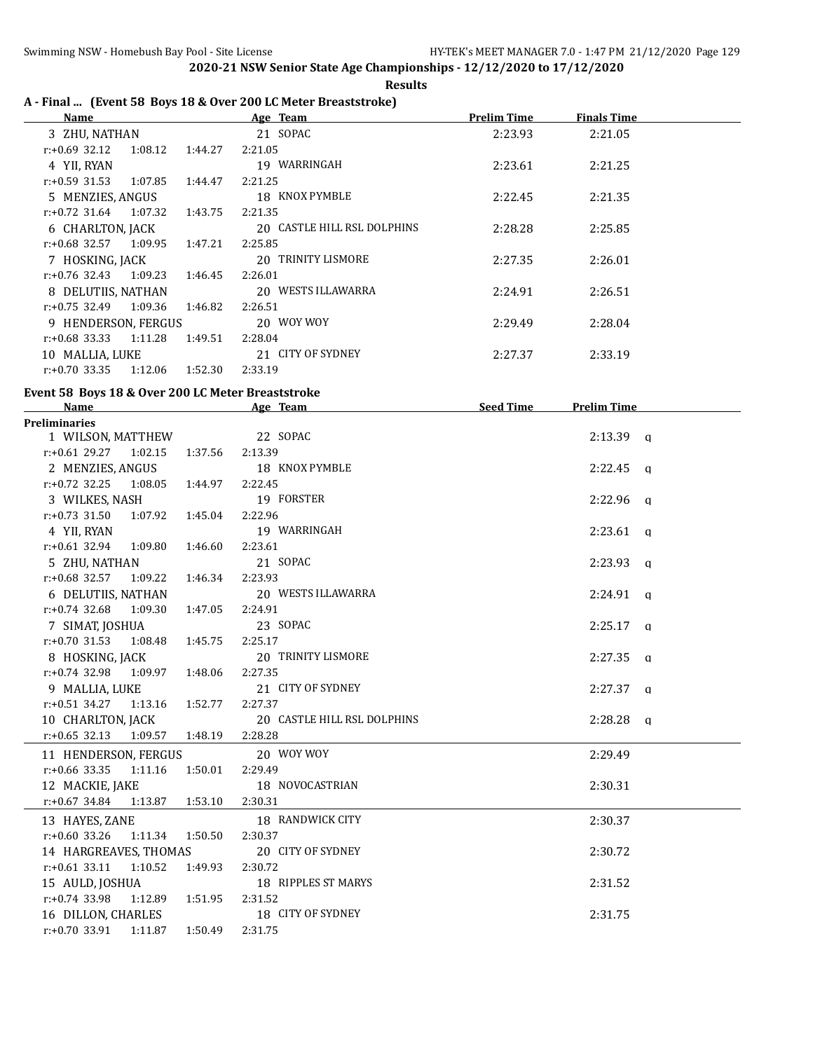**Results**

# **A - Final ... (Event 58 Boys 18 & Over 200 LC Meter Breaststroke)**

| Name                        |         | Age Team                    | <b>Prelim Time</b> | <b>Finals Time</b> |  |
|-----------------------------|---------|-----------------------------|--------------------|--------------------|--|
| 3 ZHU, NATHAN               |         | 21 SOPAC                    | 2:23.93            | 2:21.05            |  |
| $r: +0.69$ 32.12<br>1:08.12 | 1:44.27 | 2:21.05                     |                    |                    |  |
| 4 YII, RYAN                 |         | 19 WARRINGAH                | 2:23.61            | 2:21.25            |  |
| 1:07.85<br>r:+0.59 31.53    | 1:44.47 | 2:21.25                     |                    |                    |  |
| 5 MENZIES, ANGUS            |         | 18 KNOX PYMBLE              | 2:22.45            | 2:21.35            |  |
| 1:07.32<br>$r: +0.72$ 31.64 | 1:43.75 | 2:21.35                     |                    |                    |  |
| 6 CHARLTON, JACK            |         | 20 CASTLE HILL RSL DOLPHINS | 2:28.28            | 2:25.85            |  |
| 1:09.95<br>r:+0.68 32.57    | 1:47.21 | 2:25.85                     |                    |                    |  |
| 7 HOSKING, JACK             |         | 20 TRINITY LISMORE          | 2:27.35            | 2:26.01            |  |
| $r: +0.76$ 32.43<br>1:09.23 | 1:46.45 | 2:26.01                     |                    |                    |  |
| 8 DELUTIIS, NATHAN          |         | 20 WESTS ILLAWARRA          | 2:24.91            | 2:26.51            |  |
| 1:09.36<br>r:+0.75 32.49    | 1:46.82 | 2:26.51                     |                    |                    |  |
| 9 HENDERSON, FERGUS         |         | 20 WOY WOY                  | 2:29.49            | 2:28.04            |  |
| 1:11.28<br>r:+0.68 33.33    | 1:49.51 | 2:28.04                     |                    |                    |  |
| 10 MALLIA, LUKE             |         | 21 CITY OF SYDNEY           | 2:27.37            | 2:33.19            |  |
| 1:12.06<br>$r: +0.70$ 33.35 | 1:52.30 | 2:33.19                     |                    |                    |  |

#### **Event 58 Boys 18 & Over 200 LC Meter Breaststroke**

| Name                                     |         | Age Team                    | Seed Time | <b>Prelim Time</b> |
|------------------------------------------|---------|-----------------------------|-----------|--------------------|
| <b>Preliminaries</b>                     |         |                             |           |                    |
| 1 WILSON, MATTHEW 22 SOPAC               |         |                             |           | $2:13.39$ a        |
| r:+0.61 29.27 1:02.15 1:37.56 2:13.39    |         |                             |           |                    |
| 2 MENZIES, ANGUS                         |         | 18 KNOX PYMBLE              |           | $2:22.45$ q        |
| r:+0.72 32.25 1:08.05 1:44.97 2:22.45    |         |                             |           |                    |
| 3 WILKES, NASH                           |         | 19 FORSTER                  |           | $2:22.96$ a        |
| r:+0.73 31.50 1:07.92 1:45.04 2:22.96    |         |                             |           |                    |
| 4 YII, RYAN                              |         | 19 WARRINGAH                |           | $2:23.61$ q        |
| $r: +0.61$ 32.94 1:09.80                 | 1:46.60 | 2:23.61                     |           |                    |
| 5 ZHU, NATHAN                            |         | 21 SOPAC                    |           | $2:23.93$ q        |
| $r: +0.68$ 32.57 1:09.22 1:46.34 2:23.93 |         |                             |           |                    |
| 6 DELUTIIS, NATHAN                       |         | 20 WESTS ILLAWARRA          |           | $2:24.91$ q        |
| $r: +0.74$ 32.68 1:09.30                 | 1:47.05 | 2:24.91                     |           |                    |
| 7 SIMAT, JOSHUA                          |         | 23 SOPAC                    |           | $2:25.17$ q        |
| $r.+0.70$ 31.53 1:08.48 1:45.75 2:25.17  |         |                             |           |                    |
| 8 HOSKING, JACK                          |         | 20 TRINITY LISMORE          |           | $2:27.35$ q        |
| $r: +0.74$ 32.98 1:09.97 1:48.06 2:27.35 |         |                             |           |                    |
| 9 MALLIA, LUKE                           |         | 21 CITY OF SYDNEY           |           | $2:27.37$ a        |
| $r.+0.51$ 34.27 1:13.16                  | 1:52.77 | 2:27.37                     |           |                    |
| 10 CHARLTON, JACK                        |         | 20 CASTLE HILL RSL DOLPHINS |           | $2:28.28$ a        |
| r:+0.65 32.13 1:09.57 1:48.19 2:28.28    |         |                             |           |                    |
| 11 HENDERSON, FERGUS                     |         | 20 WOY WOY                  |           | 2:29.49            |
| $r.+0.66$ 33.35 1:11.16 1:50.01 2:29.49  |         |                             |           |                    |
| 12 MACKIE, JAKE 18 NOVOCASTRIAN          |         |                             |           | 2:30.31            |
| $r.+0.67$ 34.84 1:13.87 1:53.10          |         | 2:30.31                     |           |                    |
| 13 HAYES, ZANE                           |         | 18 RANDWICK CITY            |           | 2:30.37            |
| r:+0.60 33.26 1:11.34 1:50.50 2:30.37    |         |                             |           |                    |
| 14 HARGREAVES, THOMAS                    |         | 20 CITY OF SYDNEY           |           | 2:30.72            |
| $r: +0.61$ 33.11<br>1:10.52              | 1:49.93 | 2:30.72                     |           |                    |
| 15 AULD, JOSHUA                          |         | 18 RIPPLES ST MARYS         |           | 2:31.52            |
| $r.+0.74$ 33.98 1:12.89 1:51.95          |         | 2:31.52                     |           |                    |
| 16 DILLON, CHARLES                       |         | 18 CITY OF SYDNEY           |           | 2:31.75            |
| $r: +0.70$ 33.91 1:11.87                 | 1:50.49 | 2:31.75                     |           |                    |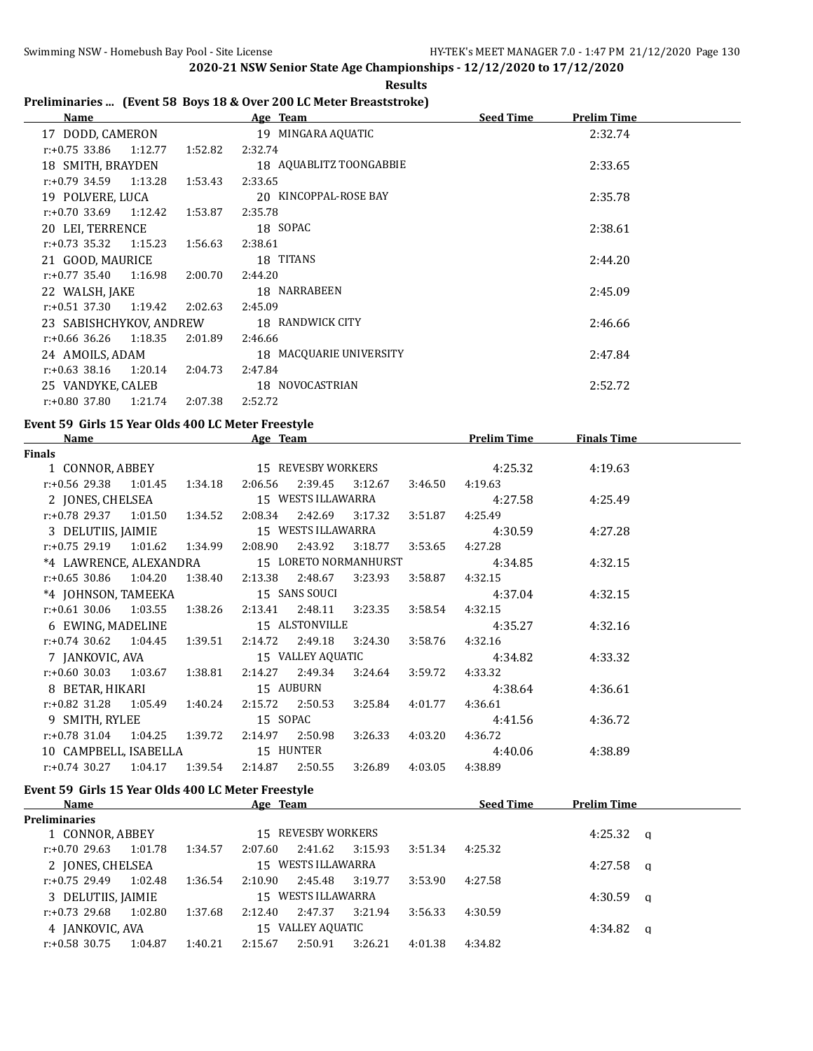$\overline{a}$ 

**2020-21 NSW Senior State Age Championships - 12/12/2020 to 17/12/2020 Results**

# **Preliminaries ... (Event 58 Boys 18 & Over 200 LC Meter Breaststroke)**

| Age Team                | <b>Seed Time</b><br><b>Prelim Time</b> |
|-------------------------|----------------------------------------|
| 19 MINGARA AQUATIC      | 2:32.74                                |
| 2:32.74                 |                                        |
| 18 AQUABLITZ TOONGABBIE | 2:33.65                                |
| 2:33.65                 |                                        |
| 20 KINCOPPAL-ROSE BAY   | 2:35.78                                |
| 2:35.78                 |                                        |
| 18 SOPAC                | 2:38.61                                |
| 2:38.61                 |                                        |
| 18 TITANS               | 2:44.20                                |
| 2:44.20                 |                                        |
| 18 NARRABEEN            | 2:45.09                                |
| 2:45.09                 |                                        |
| 18 RANDWICK CITY        | 2:46.66                                |
| 2:46.66                 |                                        |
| 18 MACQUARIE UNIVERSITY | 2:47.84                                |
| 2:47.84                 |                                        |
| 18 NOVOCASTRIAN         | 2:52.72                                |
| 2:52.72                 |                                        |
|                         |                                        |

#### **Event 59 Girls 15 Year Olds 400 LC Meter Freestyle**

| <b>Name</b>                                                         |  | Age Team |  |                 | <b>Prelim Time</b>                                   | <b>Finals Time</b> |  |
|---------------------------------------------------------------------|--|----------|--|-----------------|------------------------------------------------------|--------------------|--|
| Finals                                                              |  |          |  |                 |                                                      |                    |  |
|                                                                     |  |          |  |                 | 1 CONNOR, ABBEY 15 REVESBY WORKERS 4:25.32           | 4:19.63            |  |
| r:+0.56 29.38  1:01.45  1:34.18  2:06.56  2:39.45  3:12.67  3:46.50 |  |          |  |                 | 4:19.63                                              |                    |  |
| 2 JONES, CHELSEA 15 WESTS ILLAWARRA                                 |  |          |  |                 | 4:27.58                                              | 4:25.49            |  |
| r:+0.78 29.37 1:01.50 1:34.52 2:08.34 2:42.69 3:17.32 3:51.87       |  |          |  |                 | 4:25.49                                              |                    |  |
|                                                                     |  |          |  |                 | 3 DELUTIIS, JAIMIE 15 WESTS ILLAWARRA 4:30.59        | 4:27.28            |  |
| r:+0.75 29.19 1:01.62 1:34.99 2:08.90 2:43.92 3:18.77 3:53.65       |  |          |  |                 | 4:27.28                                              |                    |  |
|                                                                     |  |          |  |                 | *4 LAWRENCE, ALEXANDRA 15 LORETO NORMANHURST 4:34.85 | 4:32.15            |  |
| r:+0.65 30.86 1:04.20 1:38.40 2:13.38 2:48.67 3:23.93 3:58.87       |  |          |  |                 | 4:32.15                                              |                    |  |
| *4 JOHNSON, TAMEEKA 15 SANS SOUCI                                   |  |          |  |                 | 4:37.04                                              | 4:32.15            |  |
| r:+0.61 30.06 1:03.55 1:38.26 2:13.41 2:48.11 3:23.35 3:58.54       |  |          |  |                 | 4:32.15                                              |                    |  |
| 6 EWING, MADELINE 15 ALSTONVILLE                                    |  |          |  |                 | 4:35.27                                              | 4:32.16            |  |
| r:+0.74 30.62  1:04.45  1:39.51  2:14.72  2:49.18  3:24.30  3:58.76 |  |          |  |                 | 4:32.16                                              |                    |  |
|                                                                     |  |          |  |                 |                                                      | 4:33.32            |  |
| r:+0.60 30.03  1:03.67  1:38.81  2:14.27  2:49.34  3:24.64  3:59.72 |  |          |  |                 | 4:33.32                                              |                    |  |
| 8 BETAR, HIKARI 15 AUBURN                                           |  |          |  |                 | 4:38.64                                              | 4:36.61            |  |
| r:+0.82 31.28 1:05.49 1:40.24 2:15.72 2:50.53 3:25.84 4:01.77       |  |          |  |                 | 4:36.61                                              |                    |  |
| 9 SMITH, RYLEE 15 SOPAC                                             |  |          |  |                 | 4:41.56                                              | 4:36.72            |  |
| $r: +0.78$ 31.04 1:04.25 1:39.72 2:14.97 2:50.98                    |  |          |  | 3:26.33 4:03.20 | 4:36.72                                              |                    |  |
| 10 CAMPBELL, ISABELLA 15 HUNTER                                     |  |          |  |                 | 4:40.06                                              | 4:38.89            |  |
| $r.+0.74$ 30.27 1.04.17 1.39.54 2.14.87 2.50.55                     |  |          |  | 3:26.89 4:03.05 | 4:38.89                                              |                    |  |

#### **Event 59 Girls 15 Year Olds 400 LC Meter Freestyle**

| <b>Name</b>          |         |         | Age Team           |                    |         |         | <b>Seed Time</b> | <b>Prelim Time</b> |   |
|----------------------|---------|---------|--------------------|--------------------|---------|---------|------------------|--------------------|---|
| <b>Preliminaries</b> |         |         |                    |                    |         |         |                  |                    |   |
| 1 CONNOR, ABBEY      |         |         | 15 REVESBY WORKERS |                    |         |         |                  | 4:25.32            | a |
| $r: +0.70$ 29.63     | 1:01.78 | 1:34.57 | 2:07.60            | 2:41.62            | 3:15.93 | 3:51.34 | 4:25.32          |                    |   |
| 2 JONES, CHELSEA     |         |         | 15 WESTS ILLAWARRA |                    |         |         |                  | 4:27.58            | a |
| $r: +0.75$ 29.49     | 1:02.48 | 1:36.54 | 2:10.90            | 2:45.48            | 3:19.77 | 3:53.90 | 4:27.58          |                    |   |
| 3 DELUTIIS, JAIMIE   |         |         |                    | 15 WESTS ILLAWARRA |         |         |                  | 4:30.59            | a |
| $r: +0.73$ 29.68     | 1:02.80 | 1:37.68 | 2:12.40            | 2:47.37            | 3:21.94 | 3:56.33 | 4:30.59          |                    |   |
| 4 JANKOVIC, AVA      |         |         | 15 VALLEY AQUATIC  |                    |         |         |                  | 4:34.82            | a |
| $r: +0.58$ 30.75     | 1:04.87 | 1:40.21 | 2:15.67            | 2:50.91            | 3:26.21 | 4:01.38 | 4:34.82          |                    |   |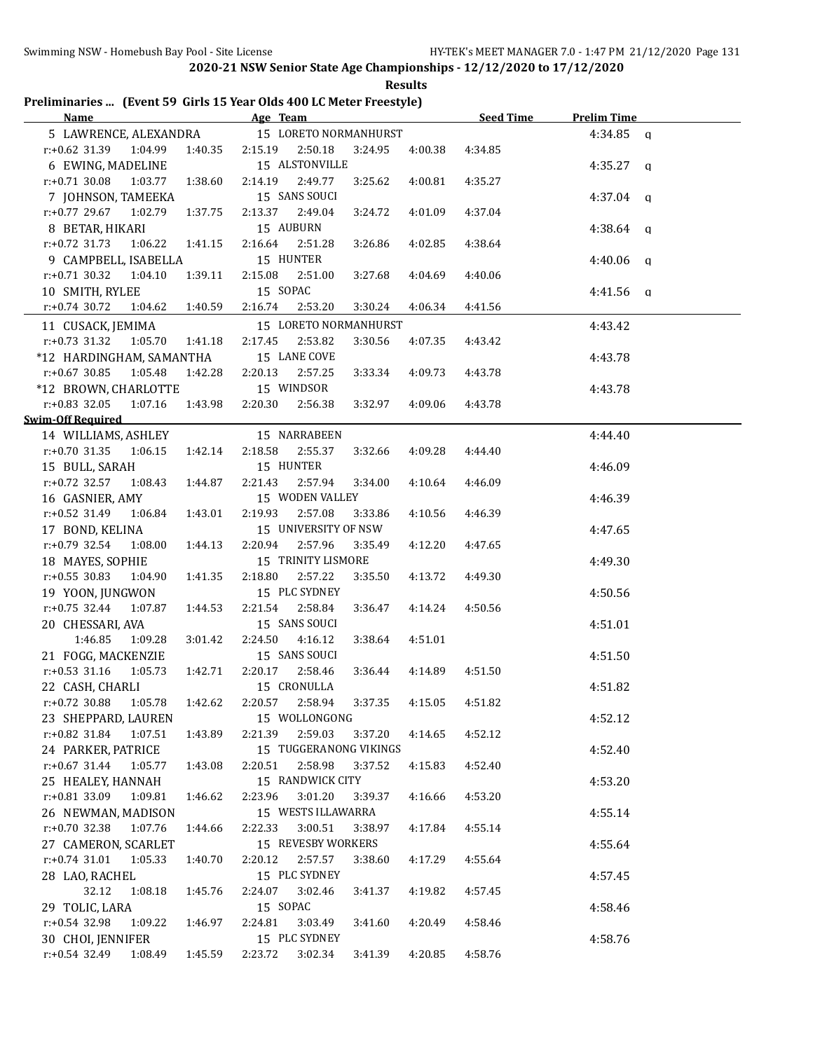| Preliminaries  (Event 59 Girls 15 Year Olds 400 LC Meter Freestyle) |  |  |  |
|---------------------------------------------------------------------|--|--|--|
|                                                                     |  |  |  |

|                                                   | Name Age Team                               | Seed Time                     | <b>Prelim Time</b>      |
|---------------------------------------------------|---------------------------------------------|-------------------------------|-------------------------|
|                                                   | 5 LAWRENCE, ALEXANDRA 15 LORETO NORMANHURST |                               | 4:34.85 a               |
| $r.+0.62$ 31.39 1:04.99                           | 2:15.19  2:50.18<br>1:40.35<br>3:24.95      | 4:00.38<br>4:34.85            |                         |
| 6 EWING, MADELINE                                 | 15 ALSTONVILLE                              |                               | $4:35.27$ q             |
| $r: +0.71$ 30.08<br>1:03.77<br>1:38.60            | 2:14.19<br>2:49.77<br>3:25.62               | 4:00.81<br>4:35.27            |                         |
| 7 JOHNSON, TAMEEKA                                | 15 SANS SOUCI                               |                               | $4:37.04$ q             |
| $r.+0.77$ 29.67 1:02.79<br>1:37.75                | 2:13.37 2:49.04<br>3:24.72                  | 4:37.04<br>4:01.09            |                         |
| 8 BETAR, HIKARI                                   | 15 AUBURN                                   |                               | 4:38.64<br>q            |
| $r.+0.72$ 31.73<br>1:06.22  1:41.15               | 2:16.64<br>2:51.28<br>3:26.86               | 4:38.64<br>4:02.85            |                         |
| 9 CAMPBELL, ISABELLA                              | 15 HUNTER                                   |                               | 4:40.06<br>$\mathbf{q}$ |
| $r.+0.71$ 30.32 1:04.10<br>1:39.11                | 2:15.08<br>2:51.00<br>3:27.68               | 4:04.69<br>4:40.06            |                         |
| 10 SMITH, RYLEE                                   | 15 SOPAC                                    |                               | $4:41.56$ q             |
| $r: +0.74$ 30.72<br>1:04.62  1:40.59              | 2:16.74<br>2:53.20<br>3:30.24               | 4:06.34<br>4:41.56            |                         |
|                                                   |                                             |                               |                         |
| 11 CUSACK, JEMIMA                                 | 15 LORETO NORMANHURST                       |                               | 4:43.42                 |
| $r.+0.73$ 31.32<br>1:05.70<br>1:41.18             | 2:17.45<br>2:53.82<br>3:30.56               | 4:07.35<br>4:43.42            |                         |
| *12 HARDINGHAM, SAMANTHA                          | 15 LANE COVE                                |                               | 4:43.78                 |
| r:+0.67 30.85<br>1:05.48<br>1:42.28               | 2:20.13<br>2:57.25<br>3:33.34               | 4:09.73<br>4:43.78            |                         |
| *12 BROWN, CHARLOTTE                              | 15 WINDSOR                                  |                               | 4:43.78                 |
| $r: +0.83$ 32.05<br>1:07.16 1:43.98               | 2:20.30<br>2:56.38<br>3:32.97               | 4:09.06<br>4:43.78            |                         |
| Swim-Off Required                                 |                                             |                               |                         |
| 14 WILLIAMS, ASHLEY                               | 15 NARRABEEN                                |                               | 4:44.40                 |
| $r.+0.70$ 31.35<br>1:42.14<br>1:06.15             | 2:18.58<br>2:55.37<br>3:32.66               | 4:09.28<br>4:44.40            |                         |
| 15 BULL, SARAH                                    | 15 HUNTER                                   |                               | 4:46.09                 |
| $r.+0.72$ 32.57<br>1:08.43<br>1:44.87             | 2:21.43<br>2:57.94<br>3:34.00               | 4:10.64<br>4:46.09            |                         |
| 16 GASNIER, AMY                                   | 15 WODEN VALLEY                             |                               | 4:46.39                 |
| r:+0.52 31.49 1:06.84<br>1:43.01                  | 2:19.93<br>2:57.08<br>3:33.86               | 4:10.56<br>4:46.39            |                         |
| 17 BOND, KELINA                                   | 15 UNIVERSITY OF NSW                        |                               | 4:47.65                 |
| $r: +0.79$ 32.54<br>1:08.00<br>1:44.13            | 2:20.94 2:57.96<br>3:35.49                  | 4:12.20<br>4:47.65            |                         |
| 18 MAYES, SOPHIE                                  | 15 TRINITY LISMORE                          |                               | 4:49.30                 |
| $r: +0.55$ 30.83<br>1:04.90<br>1:41.35            | 2:18.80<br>2:57.22<br>3:35.50               | 4:13.72<br>4:49.30            |                         |
| 19 YOON, JUNGWON                                  | 15 PLC SYDNEY                               |                               | 4:50.56                 |
| $r: +0.75$ 32.44<br>1:07.87<br>1:44.53            | 2:21.54<br>2:58.84<br>3:36.47               | 4:14.24<br>4:50.56            |                         |
| 20 CHESSARI, AVA                                  | 15 SANS SOUCI                               |                               | 4:51.01                 |
| 1:46.85<br>1:09.28<br>3:01.42                     | 2:24.50<br>4:16.12<br>3:38.64               | 4:51.01                       |                         |
| 21 FOGG, MACKENZIE                                | 15 SANS SOUCI                               |                               | 4:51.50                 |
| $r: +0.53$ 31.16<br>1:05.73<br>1:42.71            | 2:20.17 2:58.46<br>3:36.44                  | 4:51.50<br>4:14.89            |                         |
| 22 CASH, CHARLI                                   | 15 CRONULLA                                 |                               | 4:51.82                 |
| r:+0.72 30.88  1:05.78  1:42.62  2:20.57  2:58.94 |                                             | $3:37.35$ $4:15.05$ $4:51.82$ |                         |
| 23 SHEPPARD, LAUREN                               | 15 WOLLONGONG                               |                               | 4:52.12                 |
| 1:43.89<br>r:+0.82 31.84<br>1:07.51               | 2:21.39<br>2:59.03<br>3:37.20               | 4:14.65<br>4:52.12            |                         |
| 24 PARKER, PATRICE                                | 15 TUGGERANONG VIKINGS                      |                               | 4:52.40                 |
| $r$ :+0.67 31.44<br>1:05.77<br>1:43.08            | 2:20.51<br>2:58.98<br>3:37.52               | 4:15.83<br>4:52.40            |                         |
|                                                   | 15 RANDWICK CITY                            |                               | 4:53.20                 |
| 25 HEALEY, HANNAH<br>$r: +0.81$ 33.09<br>1:09.81  | 3:01.20<br>2:23.96<br>3:39.37               | 4:53.20                       |                         |
| 1:46.62                                           |                                             | 4:16.66                       |                         |
| 26 NEWMAN, MADISON                                | 15 WESTS ILLAWARRA                          |                               | 4:55.14                 |
| $r: +0.70$ 32.38<br>1:07.76<br>1:44.66            | 3:00.51<br>3:38.97<br>2:22.33               | 4:17.84<br>4:55.14            |                         |
| 27 CAMERON, SCARLET                               | 15 REVESBY WORKERS                          |                               | 4:55.64                 |
| $r.+0.74$ 31.01<br>1:05.33<br>1:40.70             | 2:20.12<br>2:57.57<br>3:38.60               | 4:17.29<br>4:55.64            |                         |
| 28 LAO, RACHEL                                    | 15 PLC SYDNEY                               |                               | 4:57.45                 |
| 32.12<br>1:08.18<br>1:45.76                       | 2:24.07<br>3:02.46<br>3:41.37               | 4:19.82<br>4:57.45            |                         |
| 29 TOLIC, LARA                                    | 15 SOPAC                                    |                               | 4:58.46                 |
| $r+0.54$ 32.98<br>1:09.22<br>1:46.97              | 2:24.81<br>3:03.49<br>3:41.60               | 4:20.49<br>4:58.46            |                         |
| 30 CHOI, JENNIFER                                 | 15 PLC SYDNEY                               |                               | 4:58.76                 |
| $r: +0.54$ 32.49<br>1:08.49<br>1:45.59            | 2:23.72<br>3:02.34<br>3:41.39               | 4:20.85<br>4:58.76            |                         |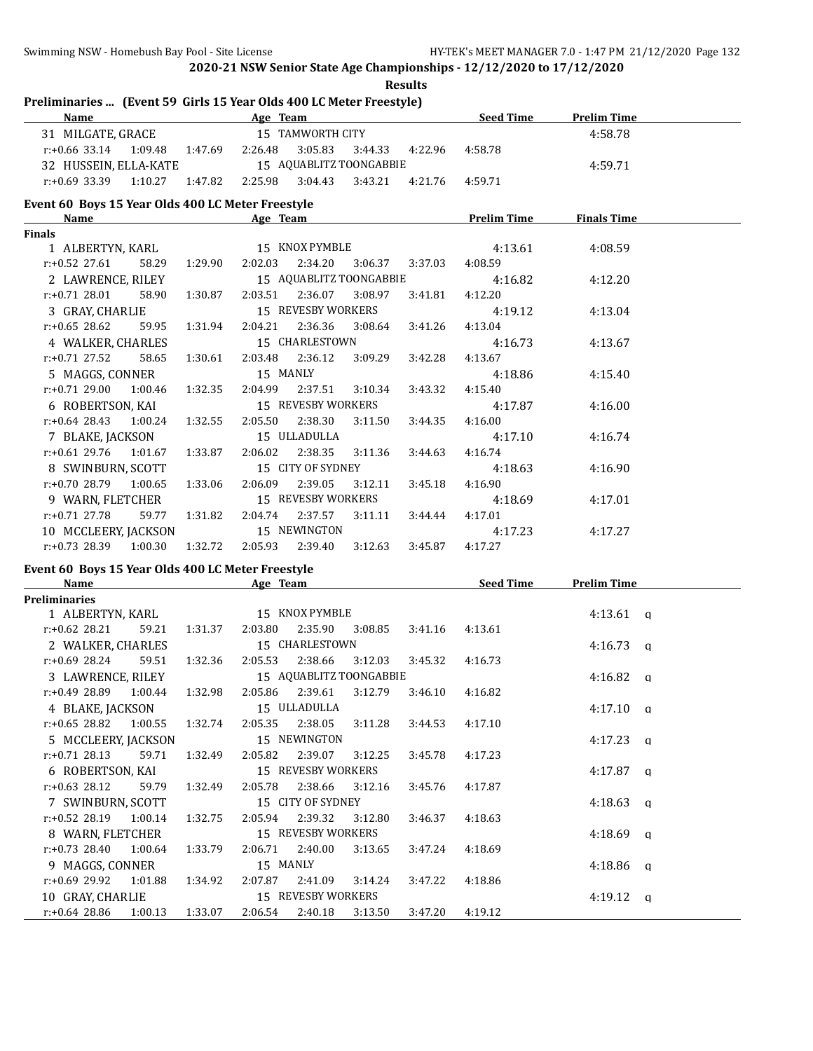## **Results Preliminaries ... (Event 59 Girls 15 Year Olds 400 LC Meter Freestyle)**

| <b>Name</b>                 |                    | Age Team                |         |         | <b>Seed Time</b> | Prelim Time |  |
|-----------------------------|--------------------|-------------------------|---------|---------|------------------|-------------|--|
| 31 MILGATE, GRACE           |                    | 15 TAMWORTH CITY        |         |         |                  | 4:58.78     |  |
| 1:09.48<br>$r: +0.66$ 33.14 | 1:47.69<br>2:26.48 | 3:05.83                 | 3:44.33 | 4:22.96 | 4:58.78          |             |  |
| 32 HUSSEIN, ELLA-KATE       |                    | 15 AQUABLITZ TOONGABBIE |         |         |                  | 4:59.71     |  |
| $r: +0.69$ 33.39<br>1:10.27 | 1:47.82<br>2:25.98 | 3:04.43                 | 3:43.21 | 4:21.76 | 4:59.71          |             |  |

#### **Event 60 Boys 15 Year Olds 400 LC Meter Freestyle**

| <b>Name</b>                               |       |               | Age Team                                    |         |                                 |         | <b>Prelim Time</b>                      | <b>Finals Time</b> |  |
|-------------------------------------------|-------|---------------|---------------------------------------------|---------|---------------------------------|---------|-----------------------------------------|--------------------|--|
| <b>Finals</b>                             |       |               |                                             |         |                                 |         |                                         |                    |  |
|                                           |       |               |                                             |         |                                 |         | 1 ALBERTYN, KARL 15 KNOX PYMBLE 4:13.61 | 4:08.59            |  |
| r:+0.52 27.61                             |       | 58.29 1:29.90 |                                             |         | 2:02.03 2:34.20 3:06.37 3:37.03 |         | 4:08.59                                 |                    |  |
| 2 LAWRENCE, RILEY 15 AQUABLITZ TOONGABBIE |       |               |                                             |         |                                 |         | 4:16.82                                 | 4:12.20            |  |
| r:+0.71 28.01                             | 58.90 |               | 1:30.87  2:03.51  2:36.07  3:08.97          |         |                                 | 3:41.81 | 4:12.20                                 |                    |  |
| 3 GRAY, CHARLIE                           |       |               |                                             |         | 15 REVESBY WORKERS              |         | 4:19.12                                 | 4:13.04            |  |
| r:+0.65 28.62                             | 59.95 |               | 1:31.94  2:04.21  2:36.36  3:08.64  3:41.26 |         |                                 |         | 4:13.04                                 |                    |  |
| 4 WALKER, CHARLES 15 CHARLESTOWN          |       |               |                                             |         |                                 |         | 4:16.73                                 | 4:13.67            |  |
| r:+0.71 27.52                             | 58.65 |               | 1:30.61  2:03.48  2:36.12  3:09.29  3:42.28 |         |                                 |         | 4:13.67                                 |                    |  |
| 5 MAGGS, CONNER                           |       |               | 15 MANLY                                    |         |                                 |         | 4:18.86                                 | 4:15.40            |  |
| $r.+0.71$ 29.00 1:00.46 1:32.35           |       |               | 2:04.99                                     |         | 2:37.51 3:10.34                 | 3:43.32 | 4:15.40                                 |                    |  |
| 6 ROBERTSON, KAI 15 REVESBY WORKERS       |       |               |                                             |         |                                 |         | 4:17.87                                 | 4:16.00            |  |
| $r: +0.64$ 28.43 1:00.24 1:32.55          |       |               | 2:05.50                                     | 2:38.30 | 3:11.50                         | 3:44.35 | 4:16.00                                 |                    |  |
| 7 BLAKE, JACKSON 15 ULLADULLA             |       |               |                                             |         |                                 |         | 4:17.10                                 | 4:16.74            |  |
| $r.+0.61$ 29.76 1:01.67 1:33.87           |       |               | 2:06.02                                     |         | 2:38.35 3:11.36 3:44.63         |         | 4:16.74                                 |                    |  |
| 8 SWINBURN, SCOTT 15 CITY OF SYDNEY       |       |               |                                             |         |                                 |         | 4:18.63                                 | 4:16.90            |  |
| $r.+0.70$ 28.79 1:00.65                   |       | 1:33.06       | 2:06.09                                     | 2:39.05 | 3:12.11                         | 3:45.18 | 4:16.90                                 |                    |  |
| 9 WARN, FLETCHER 15 REVESBY WORKERS       |       |               |                                             |         |                                 |         | 4:18.69                                 | 4:17.01            |  |
| r:+0.71 27.78                             | 59.77 | 1:31.82       |                                             |         | 2:04.74 2:37.57 3:11.11 3:44.44 |         | 4:17.01                                 |                    |  |
| 10 MCCLEERY, JACKSON 15 NEWINGTON         |       |               |                                             |         |                                 |         | 4:17.23                                 | 4:17.27            |  |
| r:+0.73 28.39 1:00.30                     |       | 1:32.72       |                                             |         | 2:05.93 2:39.40 3:12.63         | 3:45.87 | 4:17.27                                 |                    |  |

## **Event 60 Boys 15 Year Olds 400 LC Meter Freestyle**

| <b>Name</b>              |         |         | Age Team |                         |         |         | <b>Seed Time</b> | <b>Prelim Time</b> |  |
|--------------------------|---------|---------|----------|-------------------------|---------|---------|------------------|--------------------|--|
| Preliminaries            |         |         |          |                         |         |         |                  |                    |  |
| 1 ALBERTYN, KARL         |         |         |          | 15 KNOX PYMBLE          |         |         |                  | $4:13.61$ q        |  |
| r:+0.62 28.21            | 59.21   | 1:31.37 | 2:03.80  | 2:35.90                 | 3:08.85 | 3:41.16 | 4:13.61          |                    |  |
| 2 WALKER, CHARLES        |         |         |          | 15 CHARLESTOWN          |         |         |                  | $4:16.73$ q        |  |
| r:+0.69 28.24            | 59.51   | 1:32.36 | 2:05.53  | 2:38.66                 | 3:12.03 | 3:45.32 | 4:16.73          |                    |  |
| 3 LAWRENCE, RILEY        |         |         |          | 15 AQUABLITZ TOONGABBIE |         |         |                  | 4:16.82 $q$        |  |
| $r: +0.49$ 28.89 1:00.44 |         | 1:32.98 |          | 2:05.86 2:39.61         | 3:12.79 | 3:46.10 | 4:16.82          |                    |  |
| 4 BLAKE, JACKSON         |         |         |          | 15 ULLADULLA            |         |         |                  | $4:17.10 \quad q$  |  |
| $r: +0.65$ 28.82 1:00.55 |         | 1:32.74 |          | 2:05.35 2:38.05         | 3:11.28 | 3:44.53 | 4:17.10          |                    |  |
| 5 MCCLEERY, JACKSON      |         |         |          | 15 NEWINGTON            |         |         |                  | $4:17.23$ q        |  |
| $r: +0.71$ 28.13         | 59.71   | 1:32.49 | 2:05.82  | 2:39.07                 | 3:12.25 | 3:45.78 | 4:17.23          |                    |  |
| 6 ROBERTSON, KAI         |         |         |          | 15 REVESBY WORKERS      |         |         |                  | $4:17.87$ a        |  |
| $r: +0.63$ 28.12         | 59.79   | 1:32.49 | 2:05.78  | 2:38.66                 | 3:12.16 | 3:45.76 | 4:17.87          |                    |  |
| 7 SWINBURN, SCOTT        |         |         |          | 15 CITY OF SYDNEY       |         |         |                  | $4:18.63$ q        |  |
| r:+0.52 28.19            | 1:00.14 | 1:32.75 | 2:05.94  | 2:39.32                 | 3:12.80 | 3:46.37 | 4:18.63          |                    |  |
| 8 WARN, FLETCHER         |         |         |          | 15 REVESBY WORKERS      |         |         |                  | $4:18.69$ q        |  |
| $r: +0.73$ 28.40 1:00.64 |         | 1:33.79 |          | 2:06.71 2:40.00         | 3:13.65 | 3:47.24 | 4:18.69          |                    |  |
| 9 MAGGS, CONNER          |         |         | 15 MANLY |                         |         |         |                  | $4:18.86$ q        |  |
| $r: +0.69$ 29.92 1:01.88 |         | 1:34.92 | 2:07.87  | 2:41.09                 | 3:14.24 | 3:47.22 | 4:18.86          |                    |  |
| 10 GRAY, CHARLIE         |         |         |          | 15 REVESBY WORKERS      |         |         |                  | $4:19.12$ q        |  |
| $r: +0.64$ 28.86 1:00.13 |         | 1:33.07 | 2:06.54  | 2:40.18                 | 3:13.50 | 3:47.20 | 4:19.12          |                    |  |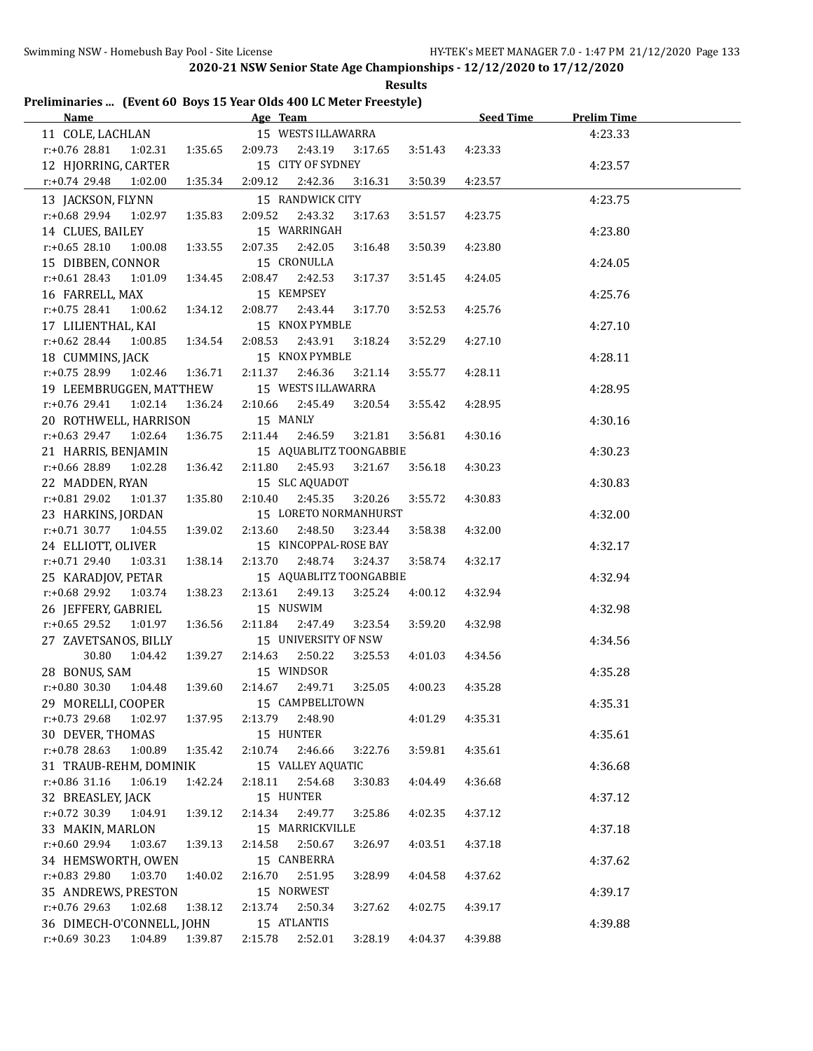# **Preliminaries ... (Event 60 Boys 15 Year Olds 400 LC Meter Freestyle)**

|                               |                         |                         |         |         | Seed Time Prelim Time |         |
|-------------------------------|-------------------------|-------------------------|---------|---------|-----------------------|---------|
| 11 COLE, LACHLAN              |                         | 15 WESTS ILLAWARRA      |         |         |                       | 4:23.33 |
| $r: +0.76$ 28.81<br>1:02.31   | 1:35.65 2:09.73 2:43.19 |                         | 3:17.65 | 3:51.43 | 4:23.33               |         |
| 12 HJORRING, CARTER           |                         | 15 CITY OF SYDNEY       |         |         |                       | 4:23.57 |
| r:+0.74 29.48<br>1:02.00      | 2:09.12<br>1:35.34      | 2:42.36                 | 3:16.31 | 3:50.39 | 4:23.57               |         |
| 13 JACKSON, FLYNN             |                         | 15 RANDWICK CITY        |         |         |                       | 4:23.75 |
| r:+0.68 29.94<br>1:02.97      | 2:09.52<br>1:35.83      | 2:43.32                 | 3:17.63 | 3:51.57 | 4:23.75               |         |
| 14 CLUES, BAILEY              |                         | 15 WARRINGAH            |         |         |                       | 4:23.80 |
| $r: +0.65$ 28.10<br>1:00.08   | 2:07.35<br>1:33.55      | 2:42.05                 | 3:16.48 | 3:50.39 | 4:23.80               |         |
| 15 DIBBEN, CONNOR             |                         | 15 CRONULLA             |         |         |                       | 4:24.05 |
| $r: +0.61$ 28.43<br>1:01.09   | 2:08.47<br>1:34.45      | 2:42.53                 | 3:17.37 | 3:51.45 | 4:24.05               |         |
| 16 FARRELL, MAX               |                         | 15 KEMPSEY              |         |         |                       | 4:25.76 |
| $r.+0.75$ 28.41 1:00.62       | 2:08.77<br>1:34.12      | 2:43.44                 | 3:17.70 | 3:52.53 | 4:25.76               |         |
| 17 LILIENTHAL, KAI            |                         | 15 KNOX PYMBLE          |         |         |                       | 4:27.10 |
| r:+0.62 28.44<br>1:00.85      | 2:08.53<br>1:34.54      | 2:43.91                 | 3:18.24 | 3:52.29 | 4:27.10               |         |
| 18 CUMMINS, JACK              |                         | 15 KNOX PYMBLE          |         |         |                       | 4:28.11 |
| r:+0.75 28.99 1:02.46 1:36.71 | 2:11.37                 | 2:46.36                 | 3:21.14 | 3:55.77 | 4:28.11               |         |
| 19 LEEMBRUGGEN, MATTHEW       |                         | 15 WESTS ILLAWARRA      |         |         |                       | 4:28.95 |
| r:+0.76 29.41<br>1:02.14      | 1:36.24<br>2:10.66      | 2:45.49                 | 3:20.54 | 3:55.42 | 4:28.95               |         |
| 20 ROTHWELL, HARRISON         |                         | 15 MANLY                |         |         |                       | 4:30.16 |
| r:+0.63 29.47 1:02.64         | 1:36.75<br>2:11.44      | 2:46.59                 | 3:21.81 | 3:56.81 | 4:30.16               |         |
| 21 HARRIS, BENJAMIN           |                         | 15 AQUABLITZ TOONGABBIE |         |         |                       | 4:30.23 |
| r:+0.66 28.89 1:02.28         | 1:36.42<br>2:11.80      | 2:45.93                 | 3:21.67 | 3:56.18 | 4:30.23               |         |
| 22 MADDEN, RYAN               |                         | 15 SLC AQUADOT          |         |         |                       | 4:30.83 |
| r:+0.81 29.02 1:01.37         | 2:10.40<br>1:35.80      | 2:45.35                 | 3:20.26 | 3:55.72 | 4:30.83               |         |
| 23 HARKINS, JORDAN            |                         | 15 LORETO NORMANHURST   |         |         |                       | 4:32.00 |
| $r.+0.71$ 30.77 1:04.55       | 1:39.02<br>2:13.60      | 2:48.50                 | 3:23.44 | 3:58.38 | 4:32.00               |         |
| 24 ELLIOTT, OLIVER            |                         | 15 KINCOPPAL-ROSE BAY   |         |         |                       | 4:32.17 |
| $r.+0.7129.40103.31$          | 2:13.70<br>1:38.14      | 2:48.74                 | 3:24.37 | 3:58.74 | 4:32.17               |         |
| 25 KARADJOV, PETAR            |                         | 15 AQUABLITZ TOONGABBIE |         |         |                       | 4:32.94 |
| r:+0.68 29.92 1:03.74         | 1:38.23                 | 2:13.61 2:49.13         | 3:25.24 | 4:00.12 | 4:32.94               |         |
| 26 JEFFERY, GABRIEL           |                         | 15 NUSWIM               |         |         |                       | 4:32.98 |
| $r: +0.65$ 29.52 1:01.97      | 1:36.56<br>2:11.84      | 2:47.49                 | 3:23.54 | 3:59.20 | 4:32.98               |         |
| 27 ZAVETSANOS, BILLY          |                         | 15 UNIVERSITY OF NSW    |         |         |                       | 4:34.56 |
| 30.80  1:04.42                | 1:39.27                 | 2:14.63 2:50.22         | 3:25.53 | 4:01.03 | 4:34.56               |         |
| 28 BONUS, SAM                 |                         | 15 WINDSOR              |         |         |                       | 4:35.28 |
| $r: +0.80$ 30.30 1:04.48      | 1:39.60                 | 2:14.67 2:49.71         | 3:25.05 | 4:00.23 | 4:35.28               |         |
| 29 MORELLI, COOPER            |                         | 15 CAMPBELLTOWN         |         |         |                       | 4:35.31 |
| r:+0.73 29.68<br>1:02.97      | 1:37.95                 | 2:13.79 2:48.90         |         | 4:01.29 | 4:35.31               |         |
| 30 DEVER, THOMAS              |                         | 15 HUNTER               |         |         |                       | 4:35.61 |
| r:+0.78 28.63 1:00.89 1:35.42 |                         | 2:10.74 2:46.66         | 3:22.76 | 3:59.81 | 4:35.61               |         |
| 31 TRAUB-REHM, DOMINIK        |                         | 15 VALLEY AQUATIC       |         |         |                       | 4:36.68 |
| r:+0.86 31.16<br>1:06.19      | 1:42.24<br>2:18.11      | 2:54.68                 | 3:30.83 | 4:04.49 | 4:36.68               |         |
| 32 BREASLEY, JACK             |                         | 15 HUNTER               |         |         |                       | 4:37.12 |
| $r.+0.72$ 30.39 1:04.91       | 1:39.12<br>2:14.34      | 2:49.77                 | 3:25.86 | 4:02.35 | 4:37.12               |         |
| 33 MAKIN, MARLON              |                         | 15 MARRICKVILLE         |         |         |                       | 4:37.18 |
| r:+0.60 29.94<br>1:03.67      | 1:39.13<br>2:14.58      | 2:50.67                 | 3:26.97 | 4:03.51 | 4:37.18               |         |
| 34 HEMSWORTH, OWEN            |                         | 15 CANBERRA             |         |         |                       | 4:37.62 |
| r:+0.83 29.80<br>1:03.70      | 2:16.70<br>1:40.02      | 2:51.95                 | 3:28.99 | 4:04.58 | 4:37.62               |         |
| 35 ANDREWS, PRESTON           |                         | 15 NORWEST              |         |         |                       | 4:39.17 |
| r:+0.76 29.63<br>1:02.68      | 2:13.74<br>1:38.12      | 2:50.34                 | 3:27.62 | 4:02.75 | 4:39.17               |         |
| 36 DIMECH-O'CONNELL, JOHN     |                         | 15 ATLANTIS             |         |         |                       | 4:39.88 |
| r:+0.69 30.23 1:04.89 1:39.87 |                         | 2:15.78  2:52.01        | 3:28.19 | 4:04.37 | 4:39.88               |         |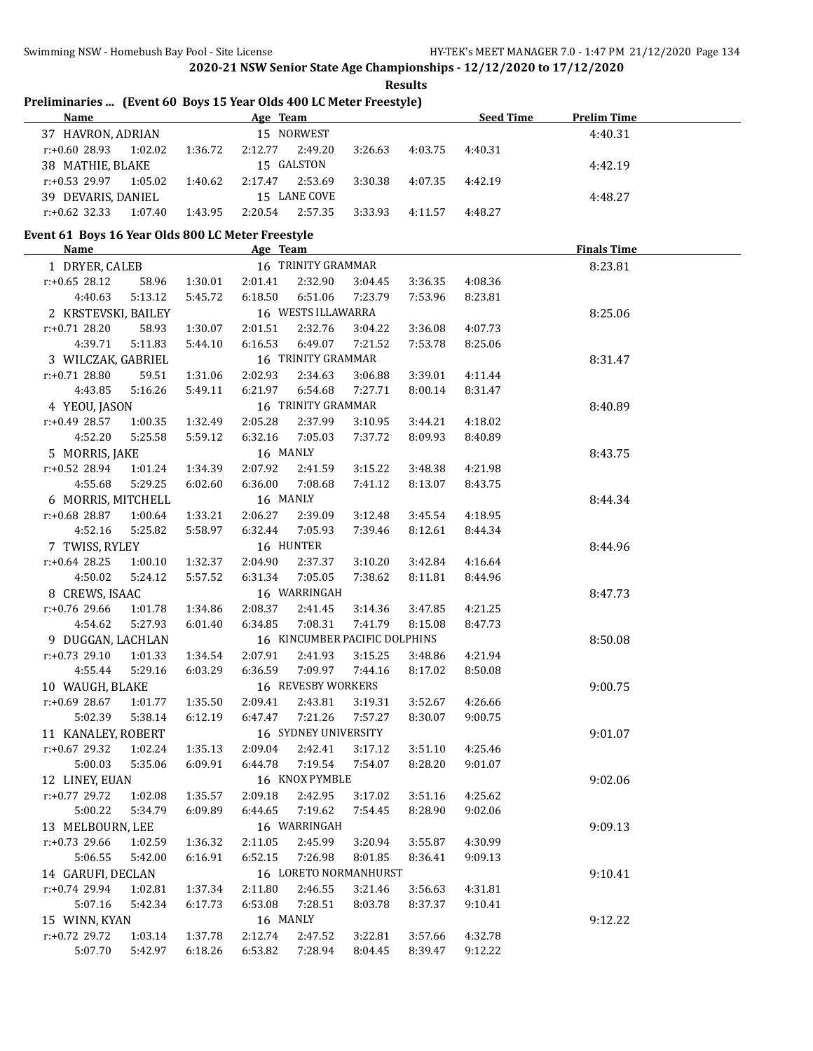## **Results Preliminaries ... (Event 60 Boys 15 Year Olds 400 LC Meter Freestyle)**

| <b>Name</b>                 | Age Team                      | <b>Seed Time</b><br><b>Prelim Time</b> |
|-----------------------------|-------------------------------|----------------------------------------|
| 37 HAVRON, ADRIAN           | 15 NORWEST                    | 4:40.31                                |
| 1:02.02<br>$r: +0.60$ 28.93 | 1:36.72<br>2:49.20<br>2:12.77 | 3:26.63<br>4:40.31<br>4:03.75          |
| 38 MATHIE, BLAKE            | 15 GALSTON                    | 4:42.19                                |
| 1:05.02<br>$r: +0.53$ 29.97 | 2:53.69<br>1:40.62<br>2:17.47 | 3:30.38<br>4:07.35<br>4:42.19          |
| 39 DEVARIS, DANIEL          | 15 LANE COVE                  | 4:48.27                                |
| $r: +0.62$ 32.33<br>1:07.40 | 2:57.35<br>1:43.95<br>2:20.54 | 3:33.93<br>4:48.27<br>4:11.57          |

## **Event 61 Boys 16 Year Olds 800 LC Meter Freestyle**

| <b>Name</b>                                   |         |              | Age Team |                      |                               |         |                 | <b>Finals Time</b> |  |
|-----------------------------------------------|---------|--------------|----------|----------------------|-------------------------------|---------|-----------------|--------------------|--|
| 1 DRYER, CALEB                                |         |              |          | 16 TRINITY GRAMMAR   |                               |         |                 | 8:23.81            |  |
| $r: +0.65$ 28.12                              | 58.96   | 1:30.01      | 2:01.41  | 2:32.90              | 3:04.45                       | 3:36.35 | 4:08.36         |                    |  |
| 4:40.63                                       | 5:13.12 | 5:45.72      | 6:18.50  | 6:51.06              | 7:23.79                       | 7:53.96 | 8:23.81         |                    |  |
| 2 KRSTEVSKI, BAILEY                           |         |              |          | 16 WESTS ILLAWARRA   |                               |         |                 | 8:25.06            |  |
| $r: +0.71$ 28.20                              | 58.93   | 1:30.07      | 2:01.51  | 2:32.76              | 3:04.22                       | 3:36.08 | 4:07.73         |                    |  |
| 4:39.71                                       | 5:11.83 | 5:44.10      | 6:16.53  | 6:49.07              | 7:21.52                       | 7:53.78 | 8:25.06         |                    |  |
| 3 WILCZAK, GABRIEL                            |         |              |          | 16 TRINITY GRAMMAR   |                               |         |                 | 8:31.47            |  |
| $r: +0.71$ 28.80                              | 59.51   | 1:31.06      | 2:02.93  | 2:34.63              | 3:06.88                       | 3:39.01 | 4:11.44         |                    |  |
| 4:43.85                                       | 5:16.26 | 5:49.11      | 6:21.97  | 6:54.68              | 7:27.71                       | 8:00.14 | 8:31.47         |                    |  |
| 4 YEOU, JASON                                 |         |              |          | 16 TRINITY GRAMMAR   |                               |         |                 | 8:40.89            |  |
| $r: +0.49$ 28.57                              | 1:00.35 | 1:32.49      | 2:05.28  | 2:37.99              | 3:10.95                       | 3:44.21 | 4:18.02         |                    |  |
| 4:52.20                                       | 5:25.58 | 5:59.12      | 6:32.16  | 7:05.03              | 7:37.72                       | 8:09.93 | 8:40.89         |                    |  |
| 5 MORRIS, JAKE                                |         |              | 16 MANLY |                      |                               |         |                 | 8:43.75            |  |
| r:+0.52 28.94                                 | 1:01.24 | 1:34.39      | 2:07.92  | 2:41.59              | 3:15.22                       | 3:48.38 | 4:21.98         |                    |  |
| 4:55.68                                       | 5:29.25 | 6:02.60      | 6:36.00  | 7:08.68              | 7:41.12                       | 8:13.07 | 8:43.75         |                    |  |
| 6 MORRIS, MITCHELL                            |         |              | 16 MANLY |                      |                               |         |                 | 8:44.34            |  |
| r:+0.68 28.87                                 | 1:00.64 | 1:33.21      | 2:06.27  | 2:39.09              | 3:12.48                       | 3:45.54 | 4:18.95         |                    |  |
| 4:52.16                                       | 5:25.82 | 5:58.97      | 6:32.44  | 7:05.93              | 7:39.46                       | 8:12.61 | 8:44.34         |                    |  |
| 7 TWISS, RYLEY                                |         |              |          | 16 HUNTER            |                               |         |                 | 8:44.96            |  |
| $r: +0.64$ 28.25                              | 1:00.10 | 1:32.37      | 2:04.90  | 2:37.37              | 3:10.20                       | 3:42.84 | 4:16.64         |                    |  |
| 4:50.02                                       | 5:24.12 | 5:57.52      | 6:31.34  | 7:05.05              | 7:38.62                       | 8:11.81 | 8:44.96         |                    |  |
| 8 CREWS, ISAAC                                |         | 16 WARRINGAH |          |                      |                               |         |                 | 8:47.73            |  |
| r:+0.76 29.66                                 | 1:01.78 | 1:34.86      | 2:08.37  | 2:41.45              | 3:14.36                       | 3:47.85 | 4:21.25         |                    |  |
| 4:54.62                                       | 5:27.93 | 6:01.40      | 6:34.85  | 7:08.31              | 7:41.79                       | 8:15.08 | 8:47.73         |                    |  |
| 9 DUGGAN, LACHLAN                             |         |              |          |                      | 16 KINCUMBER PACIFIC DOLPHINS |         |                 | 8:50.08            |  |
| $r: +0.73$ 29.10                              | 1:01.33 | 1:34.54      | 2:07.91  | 2:41.93              | 3:15.25                       | 3:48.86 | 4:21.94         |                    |  |
| 4:55.44                                       | 5:29.16 | 6:03.29      | 6:36.59  | 7:09.97              | 7:44.16                       | 8:17.02 | 8:50.08         |                    |  |
| 10 WAUGH, BLAKE                               |         |              |          | 16 REVESBY WORKERS   |                               |         |                 | 9:00.75            |  |
| $r: +0.69$ 28.67                              | 1:01.77 | 1:35.50      | 2:09.41  | 2:43.81              | 3:19.31                       | 3:52.67 | 4:26.66         |                    |  |
| 5:02.39                                       | 5:38.14 | 6:12.19      | 6:47.47  | 7:21.26              | 7:57.27                       | 8:30.07 | 9:00.75         |                    |  |
| 11 KANALEY, ROBERT                            |         |              |          | 16 SYDNEY UNIVERSITY |                               |         |                 | 9:01.07            |  |
| r:+0.67 29.32                                 | 1:02.24 | 1:35.13      | 2:09.04  | 2:42.41              | 3:17.12                       | 3:51.10 | 4:25.46         |                    |  |
| 5:00.03                                       | 5:35.06 | 6:09.91      | 6:44.78  | 7:19.54              | 7:54.07                       | 8:28.20 | 9:01.07         |                    |  |
| 12 LINEY, EUAN                                |         |              |          | 16 KNOX PYMBLE       |                               |         |                 | 9:02.06            |  |
| $r: +0.77$ 29.72                              | 1:02.08 | 1:35.57      | 2:09.18  | 2:42.95              | 3:17.02                       | 3:51.16 | 4:25.62         |                    |  |
| 5:00.22                                       | 5:34.79 | 6:09.89      | 6:44.65  | 7:19.62              | 7:54.45                       | 8:28.90 | 9:02.06         |                    |  |
| 13 MELBOURN, LEE                              |         |              |          | 16 WARRINGAH         |                               |         |                 | 9:09.13            |  |
| r:+0.73 29.66 1:02.59 1:36.32 2:11.05 2:45.99 |         |              |          |                      | 3:20.94                       |         | 3:55.87 4:30.99 |                    |  |
| 5:06.55                                       | 5:42.00 | 6:16.91      | 6:52.15  | 7:26.98              | 8:01.85                       | 8:36.41 | 9:09.13         |                    |  |
| 14 GARUFI, DECLAN                             |         |              |          |                      | 16 LORETO NORMANHURST         |         |                 | 9:10.41            |  |
| r:+0.74 29.94                                 | 1:02.81 | 1:37.34      | 2:11.80  | 2:46.55              | 3:21.46                       | 3:56.63 | 4:31.81         |                    |  |
| 5:07.16                                       | 5:42.34 | 6:17.73      | 6:53.08  | 7:28.51              | 8:03.78                       | 8:37.37 | 9:10.41         |                    |  |
| 15 WINN, KYAN                                 |         |              | 16 MANLY |                      |                               |         |                 | 9:12.22            |  |
| r:+0.72 29.72                                 | 1:03.14 | 1:37.78      | 2:12.74  | 2:47.52              | 3:22.81                       | 3:57.66 | 4:32.78         |                    |  |
| 5:07.70                                       | 5:42.97 | 6:18.26      | 6:53.82  | 7:28.94              | 8:04.45                       | 8:39.47 | 9:12.22         |                    |  |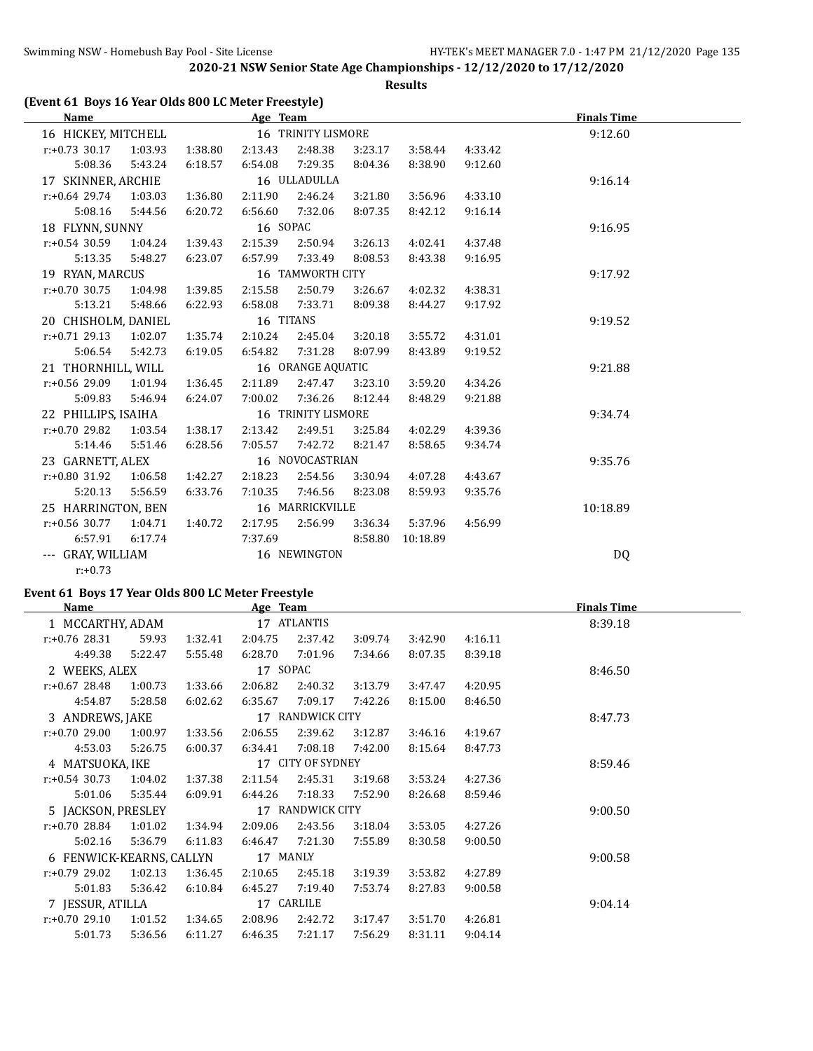**Results**

|  | (Event 61 Boys 16 Year Olds 800 LC Meter Freestyle) |  |
|--|-----------------------------------------------------|--|
|--|-----------------------------------------------------|--|

| Name                |         |                    | Age Team |                    |         |          | <b>Finals Time</b> |          |  |
|---------------------|---------|--------------------|----------|--------------------|---------|----------|--------------------|----------|--|
| 16 HICKEY, MITCHELL |         | 16 TRINITY LISMORE |          |                    |         |          |                    | 9:12.60  |  |
| $r: +0.73$ 30.17    | 1:03.93 | 1:38.80            | 2:13.43  | 2:48.38            | 3:23.17 | 3:58.44  | 4:33.42            |          |  |
| 5:08.36             | 5:43.24 | 6:18.57            | 6:54.08  | 7:29.35            | 8:04.36 | 8:38.90  | 9:12.60            |          |  |
| 17 SKINNER, ARCHIE  |         |                    |          | 16 ULLADULLA       |         |          |                    | 9:16.14  |  |
| $r: +0.64$ 29.74    | 1:03.03 | 1:36.80            | 2:11.90  | 2:46.24            | 3:21.80 | 3:56.96  | 4:33.10            |          |  |
| 5:08.16             | 5:44.56 | 6:20.72            | 6:56.60  | 7:32.06            | 8:07.35 | 8:42.12  | 9:16.14            |          |  |
| 18 FLYNN, SUNNY     |         |                    | 16 SOPAC |                    |         |          |                    | 9:16.95  |  |
| $r: +0.54$ 30.59    | 1:04.24 | 1:39.43            | 2:15.39  | 2:50.94            | 3:26.13 | 4:02.41  | 4:37.48            |          |  |
| 5:13.35             | 5:48.27 | 6:23.07            | 6:57.99  | 7:33.49            | 8:08.53 | 8:43.38  | 9:16.95            |          |  |
| 19 RYAN, MARCUS     |         |                    |          | 16 TAMWORTH CITY   |         |          |                    | 9:17.92  |  |
| $r: +0.70$ 30.75    | 1:04.98 | 1:39.85            | 2:15.58  | 2:50.79            | 3:26.67 | 4:02.32  | 4:38.31            |          |  |
| 5:13.21             | 5:48.66 | 6:22.93            | 6:58.08  | 7:33.71            | 8:09.38 | 8:44.27  | 9:17.92            |          |  |
| 20 CHISHOLM, DANIEL |         | 16 TITANS          |          |                    |         |          |                    | 9:19.52  |  |
| $r: +0.71$ 29.13    | 1:02.07 | 1:35.74            | 2:10.24  | 2:45.04            | 3:20.18 | 3:55.72  | 4:31.01            |          |  |
| 5:06.54             | 5:42.73 | 6:19.05            | 6:54.82  | 7:31.28            | 8:07.99 | 8:43.89  | 9:19.52            |          |  |
| 21 THORNHILL, WILL  |         |                    |          | 16 ORANGE AQUATIC  |         |          |                    | 9:21.88  |  |
| r:+0.56 29.09       | 1:01.94 | 1:36.45            | 2:11.89  | 2:47.47            | 3:23.10 | 3:59.20  | 4:34.26            |          |  |
| 5:09.83             | 5:46.94 | 6:24.07            | 7:00.02  | 7:36.26            | 8:12.44 | 8:48.29  | 9:21.88            |          |  |
| 22 PHILLIPS, ISAIHA |         |                    |          | 16 TRINITY LISMORE |         |          |                    | 9:34.74  |  |
| $r: +0.70$ 29.82    | 1:03.54 | 1:38.17            | 2:13.42  | 2:49.51            | 3:25.84 | 4:02.29  | 4:39.36            |          |  |
| 5:14.46             | 5:51.46 | 6:28.56            | 7:05.57  | 7:42.72            | 8:21.47 | 8:58.65  | 9:34.74            |          |  |
| 23 GARNETT, ALEX    |         |                    |          | 16 NOVOCASTRIAN    |         |          |                    | 9:35.76  |  |
| $r: +0.80$ 31.92    | 1:06.58 | 1:42.27            | 2:18.23  | 2:54.56            | 3:30.94 | 4:07.28  | 4:43.67            |          |  |
| 5:20.13             | 5:56.59 | 6:33.76            | 7:10.35  | 7:46.56            | 8:23.08 | 8:59.93  | 9:35.76            |          |  |
| 25 HARRINGTON, BEN  |         |                    |          | 16 MARRICKVILLE    |         |          |                    | 10:18.89 |  |
| $r: +0.56$ 30.77    | 1:04.71 | 1:40.72            | 2:17.95  | 2:56.99            | 3:36.34 | 5:37.96  | 4:56.99            |          |  |
| 6:57.91             | 6:17.74 |                    | 7:37.69  |                    | 8:58.80 | 10:18.89 |                    |          |  |
| --- GRAY, WILLIAM   |         |                    |          | 16 NEWINGTON       |         |          |                    | DQ       |  |
| $r: +0.73$          |         |                    |          |                    |         |          |                    |          |  |

## **Event 61 Boys 17 Year Olds 800 LC Meter Freestyle**

| Name                     |         |         | Age Team          |                  |         |         |         | <b>Finals Time</b> |
|--------------------------|---------|---------|-------------------|------------------|---------|---------|---------|--------------------|
| 1 MCCARTHY, ADAM         |         |         |                   | 17 ATLANTIS      |         |         |         | 8:39.18            |
| $r: +0.76$ 28.31         | 59.93   | 1:32.41 | 2:04.75           | 2:37.42          | 3:09.74 | 3:42.90 | 4:16.11 |                    |
| 4:49.38                  | 5:22.47 | 5:55.48 | 6:28.70           | 7:01.96          | 7:34.66 | 8:07.35 | 8:39.18 |                    |
| 2 WEEKS, ALEX            |         |         | 17 SOPAC          |                  |         |         |         | 8:46.50            |
| $r: +0.67$ 28.48         | 1:00.73 | 1:33.66 | 2:06.82           | 2:40.32          | 3:13.79 | 3:47.47 | 4:20.95 |                    |
| 4:54.87                  | 5:28.58 | 6:02.62 | 6:35.67           | 7:09.17          | 7:42.26 | 8:15.00 | 8:46.50 |                    |
| 3 ANDREWS, JAKE          |         |         |                   | 17 RANDWICK CITY |         |         |         | 8:47.73            |
| $r: +0.70$ 29.00         | 1:00.97 | 1:33.56 | 2:06.55           | 2:39.62          | 3:12.87 | 3:46.16 | 4:19.67 |                    |
| 4:53.03                  | 5:26.75 | 6:00.37 | 6:34.41           | 7:08.18          | 7:42.00 | 8:15.64 | 8:47.73 |                    |
| 4 MATSUOKA, IKE          |         |         | 17 CITY OF SYDNEY |                  |         |         |         | 8:59.46            |
| $r: +0.54$ 30.73         | 1:04.02 | 1:37.38 | 2:11.54           | 2:45.31          | 3:19.68 | 3:53.24 | 4:27.36 |                    |
| 5:01.06                  | 5:35.44 | 6:09.91 | 6:44.26           | 7:18.33          | 7:52.90 | 8:26.68 | 8:59.46 |                    |
| 5 JACKSON, PRESLEY       |         |         |                   | 17 RANDWICK CITY |         |         |         | 9:00.50            |
| $r: +0.70$ 28.84         | 1:01.02 | 1:34.94 | 2:09.06           | 2:43.56          | 3:18.04 | 3:53.05 | 4:27.26 |                    |
| 5:02.16                  | 5:36.79 | 6:11.83 | 6:46.47           | 7:21.30          | 7:55.89 | 8:30.58 | 9:00.50 |                    |
| 6 FENWICK-KEARNS, CALLYN |         |         | 17 MANLY          |                  |         |         |         | 9:00.58            |
| $r: +0.79$ 29.02         | 1:02.13 | 1:36.45 | 2:10.65           | 2:45.18          | 3:19.39 | 3:53.82 | 4:27.89 |                    |
| 5:01.83                  | 5:36.42 | 6:10.84 | 6:45.27           | 7:19.40          | 7:53.74 | 8:27.83 | 9:00.58 |                    |
| 7 JESSUR, ATILLA         |         |         |                   | 17 CARLILE       |         |         |         | 9:04.14            |
| $r: +0.70$ 29.10         | 1:01.52 | 1:34.65 | 2:08.96           | 2:42.72          | 3:17.47 | 3:51.70 | 4:26.81 |                    |
| 5:01.73                  | 5:36.56 | 6:11.27 | 6:46.35           | 7:21.17          | 7:56.29 | 8:31.11 | 9:04.14 |                    |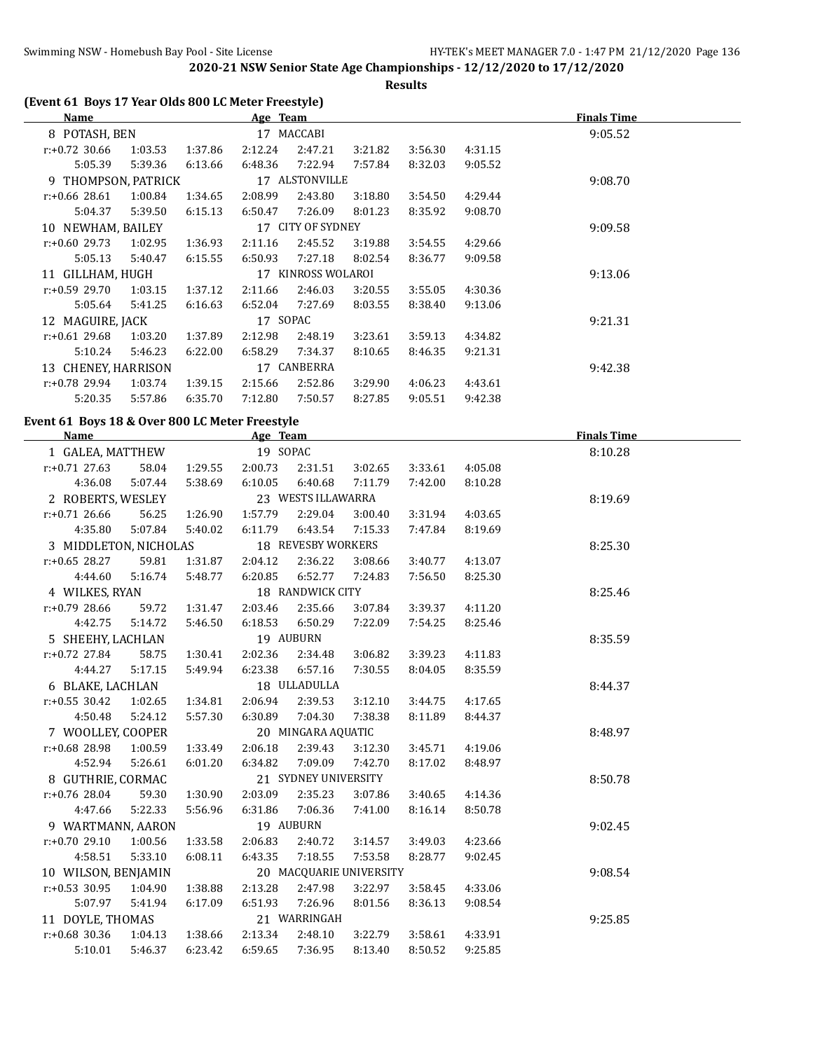**Results**

| Name                |         |         | Age Team |                    |         |         |         | <b>Finals Time</b> |
|---------------------|---------|---------|----------|--------------------|---------|---------|---------|--------------------|
| 8 POTASH, BEN       |         |         |          | 17 MACCABI         |         |         |         | 9:05.52            |
| $r: +0.72$ 30.66    | 1:03.53 | 1:37.86 | 2:12.24  | 2:47.21            | 3:21.82 | 3:56.30 | 4:31.15 |                    |
| 5:05.39             | 5:39.36 | 6:13.66 | 6:48.36  | 7:22.94            | 7:57.84 | 8:32.03 | 9:05.52 |                    |
| 9 THOMPSON, PATRICK |         |         |          | 17 ALSTONVILLE     |         |         |         | 9:08.70            |
| $r: +0.66$ 28.61    | 1:00.84 | 1:34.65 | 2:08.99  | 2:43.80            | 3:18.80 | 3:54.50 | 4:29.44 |                    |
| 5:04.37             | 5:39.50 | 6:15.13 | 6:50.47  | 7:26.09            | 8:01.23 | 8:35.92 | 9:08.70 |                    |
| 10 NEWHAM, BAILEY   |         |         |          | 17 CITY OF SYDNEY  |         |         |         | 9:09.58            |
| $r: +0.60$ 29.73    | 1:02.95 | 1:36.93 | 2:11.16  | 2:45.52            | 3:19.88 | 3:54.55 | 4:29.66 |                    |
| 5:05.13             | 5:40.47 | 6:15.55 | 6:50.93  | 7:27.18            | 8:02.54 | 8:36.77 | 9:09.58 |                    |
| 11 GILLHAM, HUGH    |         |         |          | 17 KINROSS WOLAROI |         |         |         | 9:13.06            |
| $r: +0.59$ 29.70    | 1:03.15 | 1:37.12 | 2:11.66  | 2:46.03            | 3:20.55 | 3:55.05 | 4:30.36 |                    |
| 5:05.64             | 5:41.25 | 6:16.63 | 6:52.04  | 7:27.69            | 8:03.55 | 8:38.40 | 9:13.06 |                    |
| 12 MAGUIRE, JACK    |         |         | 17 SOPAC |                    |         |         |         | 9:21.31            |
| $r: +0.61$ 29.68    | 1:03.20 | 1:37.89 | 2:12.98  | 2:48.19            | 3:23.61 | 3:59.13 | 4:34.82 |                    |
| 5:10.24             | 5:46.23 | 6:22.00 | 6:58.29  | 7:34.37            | 8:10.65 | 8:46.35 | 9:21.31 |                    |
| 13 CHENEY, HARRISON |         |         |          | 17 CANBERRA        |         |         |         | 9:42.38            |
| $r: +0.78$ 29.94    | 1:03.74 | 1:39.15 | 2:15.66  | 2:52.86            | 3:29.90 | 4:06.23 | 4:43.61 |                    |
| 5:20.35             | 5:57.86 | 6:35.70 | 7:12.80  | 7:50.57            | 8:27.85 | 9:05.51 | 9:42.38 |                    |

## **Event 61 Boys 18 & Over 800 LC Meter Freestyle**

 $\overline{a}$ 

| <b>Name</b>           |         |         | Age Team     |                         |         |         |         | <b>Finals Time</b> |
|-----------------------|---------|---------|--------------|-------------------------|---------|---------|---------|--------------------|
| 1 GALEA, MATTHEW      |         |         | 19 SOPAC     |                         |         |         |         | 8:10.28            |
| $r: +0.71$ 27.63      | 58.04   | 1:29.55 | 2:00.73      | 2:31.51                 | 3:02.65 | 3:33.61 | 4:05.08 |                    |
| 4:36.08               | 5:07.44 | 5:38.69 | 6:10.05      | 6:40.68                 | 7:11.79 | 7:42.00 | 8:10.28 |                    |
| 2 ROBERTS, WESLEY     |         |         |              | 23 WESTS ILLAWARRA      |         |         |         | 8:19.69            |
| $r: +0.71$ 26.66      | 56.25   | 1:26.90 | 1:57.79      | 2:29.04                 | 3:00.40 | 3:31.94 | 4:03.65 |                    |
| 4:35.80               | 5:07.84 | 5:40.02 | 6:11.79      | 6:43.54                 | 7:15.33 | 7:47.84 | 8:19.69 |                    |
| 3 MIDDLETON, NICHOLAS |         |         |              | 18 REVESBY WORKERS      |         |         |         | 8:25.30            |
| $r: +0.65$ 28.27      | 59.81   | 1:31.87 | 2:04.12      | 2:36.22                 | 3:08.66 | 3:40.77 | 4:13.07 |                    |
| 4:44.60               | 5:16.74 | 5:48.77 | 6:20.85      | 6:52.77                 | 7:24.83 | 7:56.50 | 8:25.30 |                    |
| 4 WILKES, RYAN        |         |         |              | 18 RANDWICK CITY        |         |         |         | 8:25.46            |
| $r: +0.79$ 28.66      | 59.72   | 1:31.47 | 2:03.46      | 2:35.66                 | 3:07.84 | 3:39.37 | 4:11.20 |                    |
| 4:42.75               | 5:14.72 | 5:46.50 | 6:18.53      | 6:50.29                 | 7:22.09 | 7:54.25 | 8:25.46 |                    |
| 5 SHEEHY, LACHLAN     |         |         |              | 19 AUBURN               |         |         |         | 8:35.59            |
| $r: +0.72$ 27.84      | 58.75   | 1:30.41 | 2:02.36      | 2:34.48                 | 3:06.82 | 3:39.23 | 4:11.83 |                    |
| 4:44.27               | 5:17.15 | 5:49.94 | 6:23.38      | 6:57.16                 | 7:30.55 | 8:04.05 | 8:35.59 |                    |
| 6 BLAKE, LACHLAN      |         |         | 18 ULLADULLA |                         |         |         |         | 8:44.37            |
| $r: +0.55$ 30.42      | 1:02.65 | 1:34.81 | 2:06.94      | 2:39.53                 | 3:12.10 | 3:44.75 | 4:17.65 |                    |
| 4:50.48               | 5:24.12 | 5:57.30 | 6:30.89      | 7:04.30                 | 7:38.38 | 8:11.89 | 8:44.37 |                    |
| 7 WOOLLEY, COOPER     |         |         |              | 20 MINGARA AQUATIC      |         |         |         | 8:48.97            |
| r:+0.68 28.98         | 1:00.59 | 1:33.49 | 2:06.18      | 2:39.43                 | 3:12.30 | 3:45.71 | 4:19.06 |                    |
| 4:52.94               | 5:26.61 | 6:01.20 | 6:34.82      | 7:09.09                 | 7:42.70 | 8:17.02 | 8:48.97 |                    |
| 8 GUTHRIE, CORMAC     |         |         |              | 21 SYDNEY UNIVERSITY    |         |         |         | 8:50.78            |
| $r: +0.76$ 28.04      | 59.30   | 1:30.90 | 2:03.09      | 2:35.23                 | 3:07.86 | 3:40.65 | 4:14.36 |                    |
| 4:47.66               | 5:22.33 | 5:56.96 | 6:31.86      | 7:06.36                 | 7:41.00 | 8:16.14 | 8:50.78 |                    |
| 9 WARTMANN, AARON     |         |         |              | 19 AUBURN               |         |         |         | 9:02.45            |
| $r: +0.70$ 29.10      | 1:00.56 | 1:33.58 | 2:06.83      | 2:40.72                 | 3:14.57 | 3:49.03 | 4:23.66 |                    |
| 4:58.51               | 5:33.10 | 6:08.11 | 6:43.35      | 7:18.55                 | 7:53.58 | 8:28.77 | 9:02.45 |                    |
| 10 WILSON, BENJAMIN   |         |         |              | 20 MACQUARIE UNIVERSITY |         |         |         | 9:08.54            |
| $r: +0.53$ 30.95      | 1:04.90 | 1:38.88 | 2:13.28      | 2:47.98                 | 3:22.97 | 3:58.45 | 4:33.06 |                    |
| 5:07.97               | 5:41.94 | 6:17.09 | 6:51.93      | 7:26.96                 | 8:01.56 | 8:36.13 | 9:08.54 |                    |
| 11 DOYLE, THOMAS      |         |         |              | 21 WARRINGAH            |         |         |         | 9:25.85            |
| $r: +0.68$ 30.36      | 1:04.13 | 1:38.66 | 2:13.34      | 2:48.10                 | 3:22.79 | 3:58.61 | 4:33.91 |                    |
| 5:10.01               | 5:46.37 | 6:23.42 | 6:59.65      | 7:36.95                 | 8:13.40 | 8:50.52 | 9:25.85 |                    |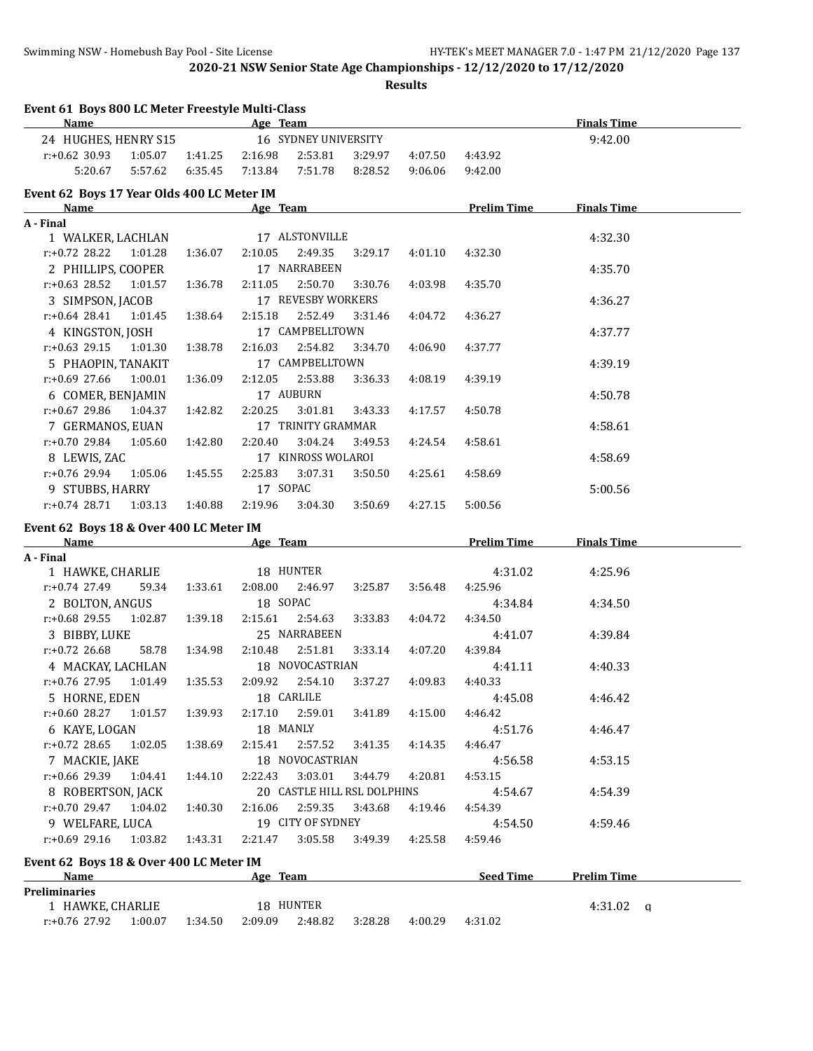**Results**

| Event 61 Boys 800 LC Meter Freestyle Multi-Class<br><b>Name</b> |         | <b>Finals Time</b> |                                            |         |                    |                    |
|-----------------------------------------------------------------|---------|--------------------|--------------------------------------------|---------|--------------------|--------------------|
| 24 HUGHES, HENRY S15                                            |         | 9:42.00            |                                            |         |                    |                    |
| $r: +0.62$ 30.93<br>1:05.07                                     | 1:41.25 | 2:16.98            | 16 SYDNEY UNIVERSITY<br>2:53.81<br>3:29.97 | 4:07.50 | 4:43.92            |                    |
| 5:20.67<br>5:57.62                                              | 6:35.45 | 7:13.84            | 7:51.78<br>8:28.52                         | 9:06.06 | 9:42.00            |                    |
| Event 62 Boys 17 Year Olds 400 LC Meter IM                      |         |                    |                                            |         |                    |                    |
| Name                                                            |         | Age Team           |                                            |         | <b>Prelim Time</b> | <b>Finals Time</b> |
| A - Final                                                       |         |                    |                                            |         |                    |                    |
| 1 WALKER, LACHLAN                                               |         | 17 ALSTONVILLE     |                                            |         |                    | 4:32.30            |
| $r: +0.72$ 28.22<br>1:01.28                                     | 1:36.07 | 2:10.05            | 2:49.35<br>3:29.17                         | 4:01.10 | 4:32.30            |                    |
| 2 PHILLIPS, COOPER                                              |         | 17 NARRABEEN       |                                            |         |                    | 4:35.70            |
| $r: +0.63$ 28.52<br>1:01.57                                     | 1:36.78 | 2:11.05            | 2:50.70<br>3:30.76                         | 4:03.98 | 4:35.70            |                    |
| 3 SIMPSON, JACOB                                                |         |                    | 17 REVESBY WORKERS                         |         |                    | 4:36.27            |
| $r: +0.64$ 28.41<br>1:01.45                                     | 1:38.64 | 2:15.18            | 2:52.49<br>3:31.46                         | 4:04.72 | 4:36.27            |                    |
| 4 KINGSTON, JOSH                                                |         |                    | 17 CAMPBELLTOWN                            |         |                    | 4:37.77            |
| $r: +0.63$ 29.15<br>1:01.30                                     | 1:38.78 | 2:16.03            | 2:54.82<br>3:34.70                         | 4:06.90 | 4:37.77            |                    |
| 5 PHAOPIN, TANAKIT                                              |         |                    | 17 CAMPBELLTOWN                            |         |                    | 4:39.19            |
| $r: +0.69$ 27.66<br>1:00.01                                     | 1:36.09 | 2:12.05            | 2:53.88<br>3:36.33                         | 4:08.19 | 4:39.19            |                    |
| 6 COMER, BENJAMIN                                               |         | 17 AUBURN          |                                            |         |                    | 4:50.78            |
| $r: +0.67$ 29.86<br>1:04.37                                     | 1:42.82 | 2:20.25            | 3:01.81<br>3:43.33                         | 4:17.57 | 4:50.78            |                    |
| 7 GERMANOS, EUAN                                                |         |                    | 17 TRINITY GRAMMAR                         |         |                    | 4:58.61            |
| $r: +0.70$ 29.84<br>1:05.60                                     | 1:42.80 | 2:20.40            | 3:04.24<br>3:49.53                         | 4:24.54 | 4:58.61            |                    |
| 8 LEWIS, ZAC                                                    |         |                    | 17 KINROSS WOLAROI                         |         |                    | 4:58.69            |
| r:+0.76 29.94<br>1:05.06                                        | 1:45.55 | 2:25.83            | 3:07.31<br>3:50.50                         | 4:25.61 | 4:58.69            |                    |
| 9 STUBBS, HARRY                                                 |         | 17 SOPAC           |                                            |         |                    | 5:00.56            |
| $r: +0.74$ 28.71<br>1:03.13                                     | 1:40.88 | 2:19.96            | 3:04.30<br>3:50.69                         | 4:27.15 | 5:00.56            |                    |
| Event 62 Boys 18 & Over 400 LC Meter IM                         |         |                    |                                            |         |                    |                    |
| <b>Name</b>                                                     |         |                    | Age Team                                   |         | <b>Prelim Time</b> | <b>Finals Time</b> |
| A - Final                                                       |         |                    |                                            |         |                    |                    |
| 1 HAWKE, CHARLIE                                                |         | 18 HUNTER          |                                            |         | 4:31.02            | 4:25.96            |
| $r: +0.74$ 27.49<br>59.34                                       | 1:33.61 | 2:08.00            | 2:46.97<br>3:25.87                         | 3:56.48 | 4:25.96            |                    |
| 2 BOLTON, ANGUS                                                 |         | 18 SOPAC           |                                            |         | 4:34.84            | 4:34.50            |
| $r: +0.68$ 29.55<br>1:02.87                                     | 1:39.18 | 2:15.61            | 2:54.63<br>3:33.83                         | 4:04.72 | 4:34.50            |                    |
| 3 BIBBY, LUKE                                                   |         | 25 NARRABEEN       |                                            |         | 4:41.07            | 4:39.84            |
| $r: +0.72$ 26.68<br>58.78                                       | 1:34.98 | 2:10.48            | 2:51.81<br>3:33.14                         | 4:07.20 | 4:39.84            |                    |
| 4 MACKAY, LACHLAN                                               |         |                    | 18 NOVOCASTRIAN                            |         | 4:41.11            | 4:40.33            |
| $r: +0.76$ 27.95<br>1:01.49                                     | 1:35.53 | 2:09.92            | 2:54.10<br>3:37.27                         | 4:09.83 | 4:40.33            |                    |
| 5 HORNE, EDEN                                                   |         | 18 CARLILE         |                                            |         | 4:45.08            | 4:46.42            |
| $r: +0.60$ 28.27<br>1:01.57                                     | 1:39.93 | 2:17.10            | 2:59.01<br>3:41.89                         | 4:15.00 | 4:46.42            |                    |
| 6 KAYE, LOGAN                                                   |         | 18 MANLY           |                                            |         | 4:51.76            | 4:46.47            |
| $r: +0.72$ 28.65<br>1:02.05                                     | 1:38.69 | 2:15.41            | 3:41.35<br>2:57.52                         | 4:14.35 | 4:46.47            |                    |
| 7 MACKIE, JAKE                                                  |         |                    | 18 NOVOCASTRIAN                            |         | 4:56.58            | 4:53.15            |
| r:+0.66 29.39<br>1:04.41                                        | 1:44.10 | 2:22.43            | 3:03.01<br>3:44.79                         | 4:20.81 | 4:53.15            |                    |
| 8 ROBERTSON, JACK                                               |         |                    | 20 CASTLE HILL RSL DOLPHINS                |         | 4:54.67            | 4:54.39            |
| r:+0.70 29.47<br>1:04.02                                        | 1:40.30 | 2:16.06            | 2:59.35<br>3:43.68                         | 4:19.46 | 4:54.39            |                    |
| 9 WELFARE, LUCA                                                 |         |                    | 19 CITY OF SYDNEY                          |         | 4:54.50            | 4:59.46            |
| $r: +0.69$ 29.16<br>1:03.82                                     | 1:43.31 | 2:21.47            | 3:05.58<br>3:49.39                         | 4:25.58 | 4:59.46            |                    |
| Event 62 Boys 18 & Over 400 LC Meter IM                         |         |                    |                                            |         |                    |                    |
|                                                                 |         | Age Team           |                                            |         | Seed Time          | <b>Prelim Time</b> |
| <b>Name</b>                                                     |         |                    |                                            |         |                    |                    |
| <b>Preliminaries</b>                                            |         |                    |                                            |         |                    |                    |
| 1 HAWKE, CHARLIE                                                |         | 18 HUNTER          |                                            |         |                    | $4:31.02$ q        |
| r:+0.76 27.92<br>1:00.07                                        | 1:34.50 | 2:09.09            | 2:48.82<br>3:28.28                         | 4:00.29 | 4:31.02            |                    |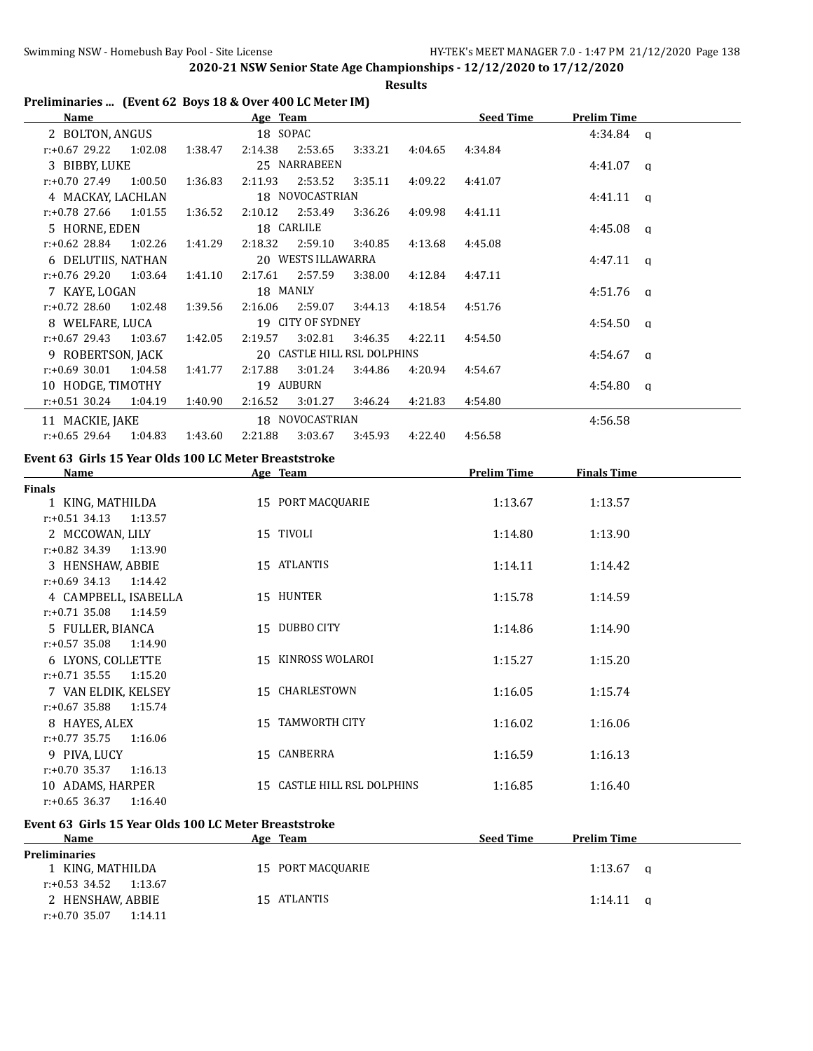**Results**

#### **Preliminaries ... (Event 62 Boys 18 & Over 400 LC Meter IM)**

| <b>Name</b>                                           |         |         | Age Team |                             |         |                 | <b>Seed Time</b> | <b>Prelim Time</b> |  |
|-------------------------------------------------------|---------|---------|----------|-----------------------------|---------|-----------------|------------------|--------------------|--|
| 2 BOLTON, ANGUS                                       |         |         | 18 SOPAC |                             |         |                 |                  | $4:34.84$ q        |  |
| $r: +0.67$ 29.22 1:02.08                              |         | 1:38.47 | 2:14.38  | 2:53.65                     | 3:33.21 | 4:04.65         | 4:34.84          |                    |  |
| 3 BIBBY, LUKE                                         |         |         |          | 25 NARRABEEN                |         |                 |                  | $4:41.07$ q        |  |
| $r: +0.70$ 27.49                                      | 1:00.50 | 1:36.83 | 2:11.93  | 2:53.52                     | 3:35.11 | 4:09.22         | 4:41.07          |                    |  |
| 4 MACKAY, LACHLAN                                     |         |         |          | 18 NOVOCASTRIAN             |         |                 |                  | $4:41.11$ q        |  |
| $r.+0.78$ 27.66 1:01.55                               |         | 1:36.52 |          | 2:10.12 2:53.49             | 3:36.26 | 4:09.98         | 4:41.11          |                    |  |
| 5 HORNE, EDEN                                         |         |         |          | 18 CARLILE                  |         |                 |                  | $4:45.08$ q        |  |
| $r: +0.62$ 28.84 1:02.26                              |         | 1:41.29 | 2:18.32  | 2:59.10                     | 3:40.85 | 4:13.68         | 4:45.08          |                    |  |
| 6 DELUTIIS, NATHAN                                    |         |         |          | 20 WESTS ILLAWARRA          |         |                 |                  | $4:47.11 \quad q$  |  |
| $r: +0.76$ 29.20 1:03.64                              |         | 1:41.10 |          | 2:17.61 2:57.59             | 3:38.00 | 4:12.84         | 4:47.11          |                    |  |
| 7 KAYE, LOGAN                                         |         |         | 18 MANLY |                             |         |                 |                  | $4:51.76$ q        |  |
| $r: +0.72$ 28.60 1:02.48                              |         | 1:39.56 | 2:16.06  | 2:59.07                     | 3:44.13 | 4:18.54         | 4:51.76          |                    |  |
| 8 WELFARE, LUCA                                       |         |         |          | 19 CITY OF SYDNEY           |         |                 |                  | $4:54.50$ q        |  |
| $r: +0.67$ 29.43 1:03.67                              |         | 1:42.05 | 2:19.57  | 3:02.81                     | 3:46.35 | 4:22.11         | 4:54.50          |                    |  |
| 9 ROBERTSON, JACK                                     |         |         |          | 20 CASTLE HILL RSL DOLPHINS |         |                 |                  | $4:54.67$ q        |  |
| $r: +0.69$ 30.01                                      | 1:04.58 | 1:41.77 |          | 2:17.88 3:01.24             |         | 3:44.86 4:20.94 | 4:54.67          |                    |  |
| 10 HODGE, TIMOTHY                                     |         |         |          | 19 AUBURN                   |         |                 |                  | $4:54.80$ q        |  |
| $r.+0.51$ 30.24 1:04.19                               |         | 1:40.90 | 2:16.52  | 3:01.27                     | 3:46.24 | 4:21.83         | 4:54.80          |                    |  |
| 11 MACKIE, JAKE                                       |         |         |          | 18 NOVOCASTRIAN             |         |                 |                  | 4:56.58            |  |
| $r: +0.65$ 29.64 1:04.83 1:43.60                      |         |         |          | 2:21.88 3:03.67             | 3:45.93 | 4:22.40         | 4:56.58          |                    |  |
| Event 63 Girls 15 Year Olds 100 LC Meter Breaststroke |         |         |          |                             |         |                 |                  |                    |  |

#### **Age Team Prelim Time Finals Time Prelim Time Prelim Time Finals Time Finals** 1 KING, MATHILDA 15 PORT MACQUARIE 1:13.67 1:13.57 r:+0.51 34.13 1:13.57 2 MCCOWAN, LILY 15 TIVOLI 1:14.80 1:13.90 r:+0.82 34.39 1:13.90 3 HENSHAW, ABBIE 15 ATLANTIS 1:14.11 1:14.42 r:+0.69 34.13 1:14.42 4 CAMPBELL, ISABELLA 15 HUNTER 1:15.78 1:14.59 r:+0.71 35.08 1:14.59 5 FULLER, BIANCA 15 DUBBO CITY 1:14.86 1:14.90 r:+0.57 35.08 1:14.90 6 LYONS, COLLETTE 15 KINROSS WOLAROI 1:15.27 1:15.20 r:+0.71 35.55 1:15.20 7 VAN ELDIK, KELSEY 15 CHARLESTOWN 1:16.05 1:15.74 r:+0.67 35.88 1:15.74 8 HAYES, ALEX 15 TAMWORTH CITY 1:16.02 1:16.06 r:+0.77 35.75 1:16.06 9 PIVA, LUCY 15 CANBERRA 1:16.59 1:16.13 r:+0.70 35.37 1:16.13 10 ADAMS, HARPER 15 CASTLE HILL RSL DOLPHINS 1:16.85 1:16.40 r:+0.65 36.37 1:16.40

#### **Event 63 Girls 15 Year Olds 100 LC Meter Breaststroke**

| <b>Name</b>              | Age Team          | <b>Seed Time</b><br><b>Prelim Time</b> |
|--------------------------|-------------------|----------------------------------------|
| <b>Preliminaries</b>     |                   |                                        |
| 1 KING, MATHILDA         | 15 PORT MACQUARIE | 1:13.67<br>$\alpha$                    |
| r:+0.53 34.52<br>1:13.67 |                   |                                        |
| 2 HENSHAW, ABBIE         | 15 ATLANTIS       | $1:14.11$ a                            |
| 1:14.11<br>r:+0.70 35.07 |                   |                                        |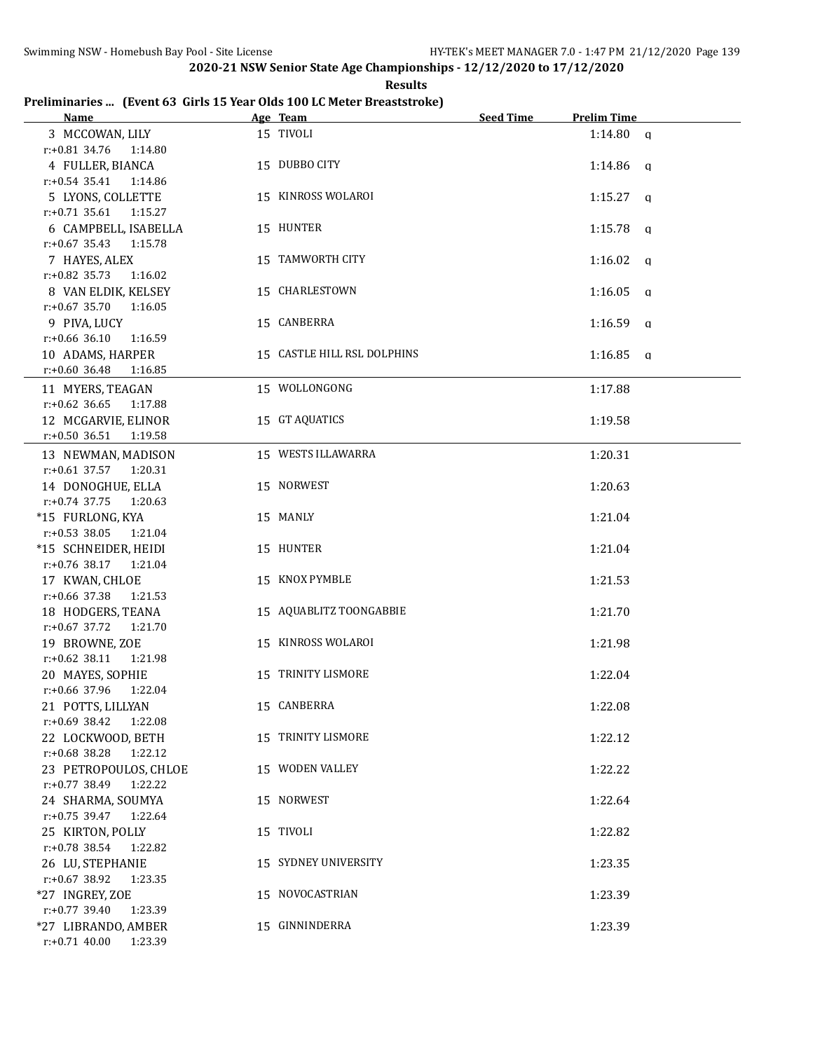**Results**

## **Preliminaries ... (Event 63 Girls 15 Year Olds 100 LC Meter Breaststroke)**

| <b>Name</b>                                   | Age Team                    | <b>Seed Time</b> | <b>Prelim Time</b> |
|-----------------------------------------------|-----------------------------|------------------|--------------------|
| 3 MCCOWAN, LILY                               | 15 TIVOLI                   |                  | $1:14.80$ a        |
| $r: +0.81$ 34.76<br>1:14.80                   |                             |                  |                    |
| 4 FULLER, BIANCA                              | 15 DUBBO CITY               |                  | $1:14.86$ a        |
| r:+0.54 35.41 1:14.86                         |                             |                  |                    |
| 5 LYONS, COLLETTE                             | 15 KINROSS WOLAROI          |                  | $1:15.27$ q        |
| r:+0.71 35.61 1:15.27                         |                             |                  |                    |
| 6 CAMPBELL, ISABELLA                          | 15 HUNTER                   |                  | $1:15.78$ q        |
| r:+0.67 35.43 1:15.78                         |                             |                  |                    |
| 7 HAYES, ALEX                                 | 15 TAMWORTH CITY            |                  | $1:16.02$ q        |
| r:+0.82 35.73 1:16.02                         |                             |                  |                    |
| 8 VAN ELDIK, KELSEY                           | 15 CHARLESTOWN              |                  | $1:16.05$ q        |
| $r: +0.67$ 35.70 1:16.05                      |                             |                  |                    |
| 9 PIVA, LUCY                                  | 15 CANBERRA                 |                  | $1:16.59$ q        |
| $r: +0.66$ 36.10<br>1:16.59                   |                             |                  |                    |
| 10 ADAMS, HARPER                              | 15 CASTLE HILL RSL DOLPHINS |                  | $1:16.85$ a        |
| $r: +0.60$ 36.48<br>1:16.85                   |                             |                  |                    |
| 11 MYERS, TEAGAN                              | 15 WOLLONGONG               |                  | 1:17.88            |
| $r: +0.62$ 36.65<br>1:17.88                   |                             |                  |                    |
| 12 MCGARVIE, ELINOR                           | 15 GT AQUATICS              |                  | 1:19.58            |
| r:+0.50 36.51 1:19.58                         |                             |                  |                    |
| 13 NEWMAN, MADISON                            | 15 WESTS ILLAWARRA          |                  | 1:20.31            |
| $r.+0.61$ 37.57 1:20.31                       |                             |                  |                    |
| 14 DONOGHUE, ELLA                             | 15 NORWEST                  |                  | 1:20.63            |
| $r: +0.74$ 37.75<br>1:20.63                   |                             |                  |                    |
| *15 FURLONG, KYA                              | 15 MANLY                    |                  | 1:21.04            |
| $r: +0.53$ 38.05<br>1:21.04                   |                             |                  |                    |
| *15 SCHNEIDER, HEIDI                          | 15 HUNTER                   |                  | 1:21.04            |
| r:+0.76 38.17 1:21.04                         |                             |                  |                    |
| 17 KWAN, CHLOE                                | 15 KNOX PYMBLE              |                  | 1:21.53            |
| r:+0.66 37.38<br>1:21.53                      |                             |                  |                    |
| 18 HODGERS, TEANA                             | 15 AQUABLITZ TOONGABBIE     |                  | 1:21.70            |
| $r: +0.67$ 37.72<br>1:21.70                   |                             |                  |                    |
| 19 BROWNE, ZOE                                | 15 KINROSS WOLAROI          |                  | 1:21.98            |
| $r.+0.62$ 38.11<br>1:21.98                    |                             |                  |                    |
| 20 MAYES, SOPHIE                              | 15 TRINITY LISMORE          |                  | 1:22.04            |
| r:+0.66 37.96<br>1:22.04<br>21 POTTS, LILLYAN | 15 CANBERRA                 |                  | 1:22.08            |
| r:+0.69 38.42<br>1:22.08                      |                             |                  |                    |
| 22 LOCKWOOD, BETH                             | 15 TRINITY LISMORE          |                  | 1:22.12            |
| r:+0.68 38.28<br>1:22.12                      |                             |                  |                    |
| 23 PETROPOULOS, CHLOE                         | 15 WODEN VALLEY             |                  | 1:22.22            |
| r:+0.77 38.49<br>1:22.22                      |                             |                  |                    |
| 24 SHARMA, SOUMYA                             | 15 NORWEST                  |                  | 1:22.64            |
| $r: +0.75$ 39.47<br>1:22.64                   |                             |                  |                    |
| 25 KIRTON, POLLY                              | 15 TIVOLI                   |                  | 1:22.82            |
| $r: +0.78$ 38.54<br>1:22.82                   |                             |                  |                    |
| 26 LU, STEPHANIE                              | 15 SYDNEY UNIVERSITY        |                  | 1:23.35            |
| $r: +0.67$ 38.92<br>1:23.35                   |                             |                  |                    |
| *27 INGREY, ZOE                               | 15 NOVOCASTRIAN             |                  | 1:23.39            |
| $r: +0.77$ 39.40<br>1:23.39                   |                             |                  |                    |
| *27 LIBRANDO, AMBER                           | 15 GINNINDERRA              |                  | 1:23.39            |
| $r: +0.71$ 40.00<br>1:23.39                   |                             |                  |                    |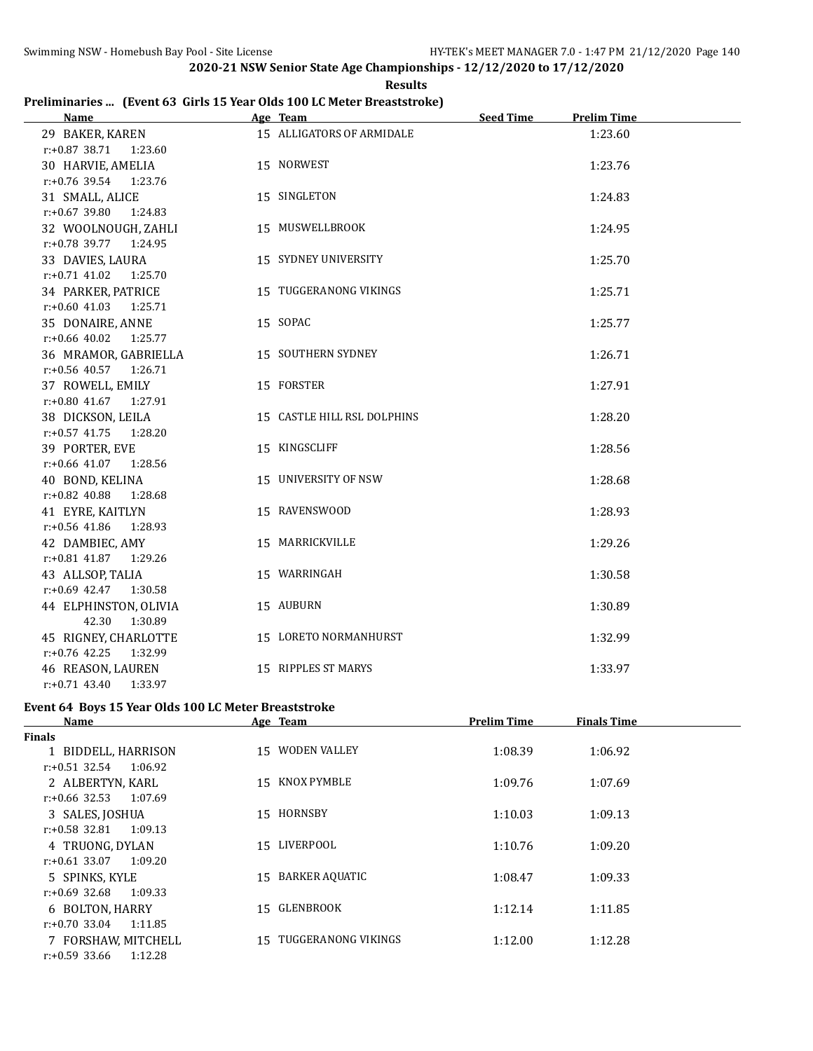**Results Preliminaries ... (Event 63 Girls 15 Year Olds 100 LC Meter Breaststroke)**

| Name                        | Age Team                    | <b>Seed Time</b> | <b>Prelim Time</b> |  |
|-----------------------------|-----------------------------|------------------|--------------------|--|
| 29 BAKER, KAREN             | 15 ALLIGATORS OF ARMIDALE   |                  | 1:23.60            |  |
| $r: +0.87$ 38.71<br>1:23.60 |                             |                  |                    |  |
| 30 HARVIE, AMELIA           | 15 NORWEST                  |                  | 1:23.76            |  |
| r:+0.76 39.54<br>1:23.76    |                             |                  |                    |  |
| 31 SMALL, ALICE             | 15 SINGLETON                |                  | 1:24.83            |  |
| $r: +0.67$ 39.80<br>1:24.83 |                             |                  |                    |  |
| 32 WOOLNOUGH, ZAHLI         | 15 MUSWELLBROOK             |                  | 1:24.95            |  |
| $r: +0.78$ 39.77<br>1:24.95 |                             |                  |                    |  |
| 33 DAVIES, LAURA            | 15 SYDNEY UNIVERSITY        |                  | 1:25.70            |  |
| $r: +0.71$ 41.02<br>1:25.70 |                             |                  |                    |  |
| 34 PARKER, PATRICE          | 15 TUGGERANONG VIKINGS      |                  | 1:25.71            |  |
| $r: +0.60$ 41.03<br>1:25.71 |                             |                  |                    |  |
| 35 DONAIRE, ANNE            | 15 SOPAC                    |                  | 1:25.77            |  |
| $r: +0.66$ 40.02<br>1:25.77 |                             |                  |                    |  |
| 36 MRAMOR, GABRIELLA        | 15 SOUTHERN SYDNEY          |                  | 1:26.71            |  |
| $r: +0.56$ 40.57<br>1:26.71 |                             |                  |                    |  |
| 37 ROWELL, EMILY            | 15 FORSTER                  |                  | 1:27.91            |  |
| $r.+0.80$ 41.67 1:27.91     |                             |                  |                    |  |
| 38 DICKSON, LEILA           | 15 CASTLE HILL RSL DOLPHINS |                  | 1:28.20            |  |
| $r: +0.57$ 41.75<br>1:28.20 |                             |                  |                    |  |
| 39 PORTER, EVE              | 15 KINGSCLIFF               |                  | 1:28.56            |  |
| $r: +0.66$ 41.07<br>1:28.56 |                             |                  |                    |  |
| 40 BOND, KELINA             | 15 UNIVERSITY OF NSW        |                  | 1:28.68            |  |
| $r: +0.82$ 40.88<br>1:28.68 |                             |                  |                    |  |
| 41 EYRE, KAITLYN            | 15 RAVENSWOOD               |                  | 1:28.93            |  |
| $r: +0.56$ 41.86<br>1:28.93 |                             |                  |                    |  |
| 42 DAMBIEC, AMY             | 15 MARRICKVILLE             |                  | 1:29.26            |  |
| $r: +0.81$ 41.87<br>1:29.26 |                             |                  |                    |  |
| 43 ALLSOP, TALIA            | 15 WARRINGAH                |                  | 1:30.58            |  |
| $r: +0.69$ 42.47<br>1:30.58 |                             |                  |                    |  |
| 44 ELPHINSTON, OLIVIA       | 15 AUBURN                   |                  | 1:30.89            |  |
| 42.30<br>1:30.89            |                             |                  |                    |  |
| 45 RIGNEY, CHARLOTTE        | 15 LORETO NORMANHURST       |                  | 1:32.99            |  |
| $r: +0.76$ 42.25<br>1:32.99 |                             |                  |                    |  |
| 46 REASON, LAUREN           | 15 RIPPLES ST MARYS         |                  | 1:33.97            |  |
| $r: +0.71$ 43.40<br>1:33.97 |                             |                  |                    |  |

# **Event 64 Boys 15 Year Olds 100 LC Meter Breaststroke**

| Name                        | Age Team               | <b>Prelim Time</b> | <b>Finals Time</b> |  |
|-----------------------------|------------------------|--------------------|--------------------|--|
| <b>Finals</b>               |                        |                    |                    |  |
| 1 BIDDELL, HARRISON         | 15 WODEN VALLEY        | 1:08.39            | 1:06.92            |  |
| r:+0.51 32.54<br>1:06.92    |                        |                    |                    |  |
| 2 ALBERTYN, KARL            | 15 KNOX PYMBLE         | 1:09.76            | 1:07.69            |  |
| $r: +0.66$ 32.53<br>1:07.69 |                        |                    |                    |  |
| 3 SALES, JOSHUA             | 15 HORNSBY             | 1:10.03            | 1:09.13            |  |
| $r: +0.58$ 32.81<br>1:09.13 |                        |                    |                    |  |
| 4 TRUONG, DYLAN             | 15 LIVERPOOL           | 1:10.76            | 1:09.20            |  |
| 1:09.20<br>r:+0.61 33.07    |                        |                    |                    |  |
| 5 SPINKS, KYLE              | BARKER AQUATIC<br>15   | 1:08.47            | 1:09.33            |  |
| r:+0.69 32.68<br>1:09.33    |                        |                    |                    |  |
| 6 BOLTON, HARRY             | 15 GLENBROOK           | 1:12.14            | 1:11.85            |  |
| r:+0.70 33.04<br>1:11.85    |                        |                    |                    |  |
| 7 FORSHAW, MITCHELL         | 15 TUGGERANONG VIKINGS | 1:12.00            | 1:12.28            |  |
| $r: +0.59$ 33.66<br>1:12.28 |                        |                    |                    |  |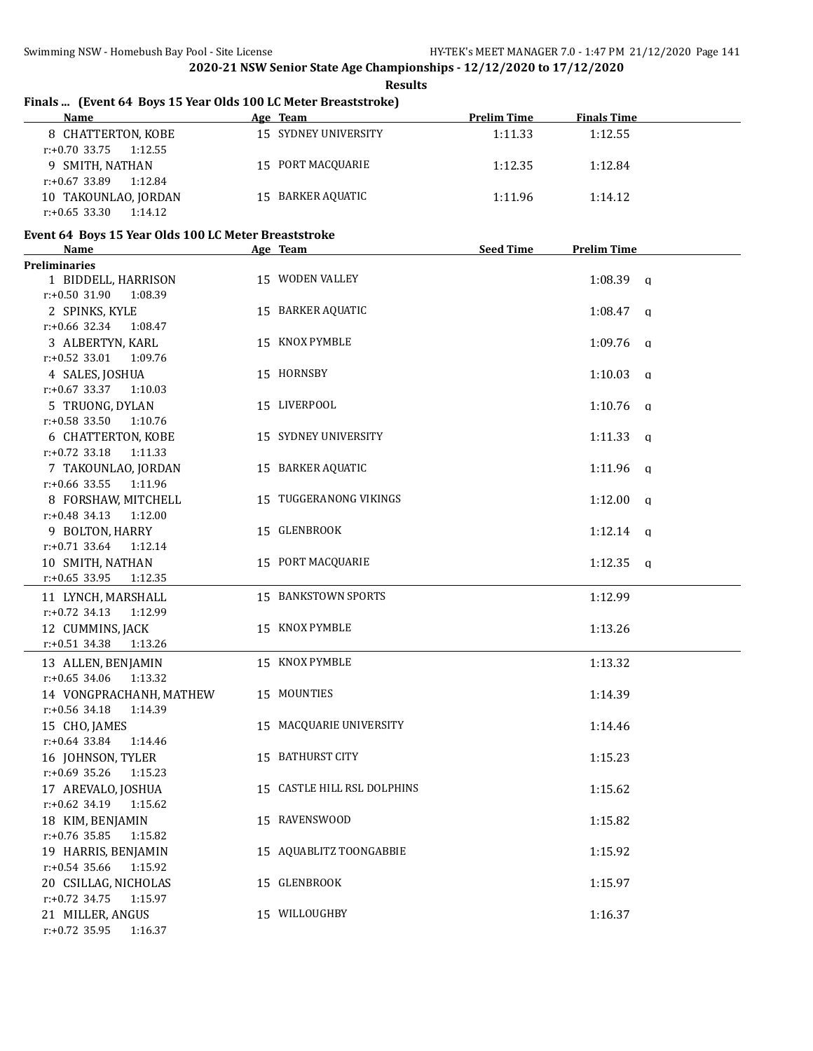**Results**

# **Finals ... (Event 64 Boys 15 Year Olds 100 LC Meter Breaststroke)**

| <b>Name</b>                 | Age Team              | <b>Prelim Time</b> | <b>Finals Time</b> |  |
|-----------------------------|-----------------------|--------------------|--------------------|--|
| 8 CHATTERTON, KOBE          | 15 SYDNEY UNIVERSITY  | 1:11.33            | 1:12.55            |  |
| 1:12.55<br>r:+0.70 33.75    |                       |                    |                    |  |
| 9 SMITH, NATHAN             | 15 PORT MACQUARIE     | 1:12.35            | 1:12.84            |  |
| 1:12.84<br>r:+0.67 33.89    |                       |                    |                    |  |
| 10 TAKOUNLAO, JORDAN        | BARKER AQUATIC<br>15. | 1:11.96            | 1:14.12            |  |
| $r: +0.65$ 33.30<br>1:14.12 |                       |                    |                    |  |

# **Event 64 Boys 15 Year Olds 100 LC Meter Breaststroke**

| <b>Name</b>                 | Age Team                    | Seed Time | <b>Prelim Time</b>      |
|-----------------------------|-----------------------------|-----------|-------------------------|
| <b>Preliminaries</b>        |                             |           |                         |
| 1 BIDDELL, HARRISON         | 15 WODEN VALLEY             |           | $1:08.39$ a             |
| r:+0.50 31.90<br>1:08.39    |                             |           |                         |
| 2 SPINKS, KYLE              | 15 BARKER AQUATIC           |           | $1:08.47$ q             |
| $r: +0.66$ 32.34<br>1:08.47 |                             |           |                         |
| 3 ALBERTYN, KARL            | 15 KNOX PYMBLE              |           | $1:09.76$ q             |
| $r: +0.52$ 33.01<br>1:09.76 |                             |           |                         |
| 4 SALES, JOSHUA             | 15 HORNSBY                  |           | 1:10.03<br>$\mathbf q$  |
| $r: +0.67$ 33.37<br>1:10.03 |                             |           |                         |
| 5 TRUONG, DYLAN             | 15 LIVERPOOL                |           | $1:10.76$ q             |
| $r: +0.58$ 33.50<br>1:10.76 |                             |           |                         |
| <b>6 CHATTERTON, KOBE</b>   | 15 SYDNEY UNIVERSITY        |           | 1:11.33<br>$\mathbf{q}$ |
| $r.+0.72$ 33.18<br>1:11.33  |                             |           |                         |
| 7 TAKOUNLAO, JORDAN         | 15 BARKER AQUATIC           |           | $1:11.96$ q             |
| $r$ :+0.66 33.55<br>1:11.96 |                             |           |                         |
| 8 FORSHAW, MITCHELL         | 15 TUGGERANONG VIKINGS      |           | $1:12.00$ q             |
| r:+0.48 34.13<br>1:12.00    |                             |           |                         |
| 9 BOLTON, HARRY             | 15 GLENBROOK                |           | $1:12.14$ q             |
| $r: +0.71$ 33.64<br>1:12.14 |                             |           |                         |
| 10 SMITH, NATHAN            | 15 PORT MACQUARIE           |           | $1:12.35$ q             |
| $r: +0.65$ 33.95<br>1:12.35 |                             |           |                         |
| 11 LYNCH, MARSHALL          | 15 BANKSTOWN SPORTS         |           | 1:12.99                 |
| $r: +0.72$ 34.13<br>1:12.99 |                             |           |                         |
| 12 CUMMINS, JACK            | 15 KNOX PYMBLE              |           | 1:13.26                 |
| $r: +0.51$ 34.38<br>1:13.26 |                             |           |                         |
| 13 ALLEN, BENJAMIN          | 15 KNOX PYMBLE              |           | 1:13.32                 |
| $r: +0.65$ 34.06<br>1:13.32 |                             |           |                         |
| 14 VONGPRACHANH, MATHEW     | 15 MOUNTIES                 |           | 1:14.39                 |
| $r: +0.56$ 34.18<br>1:14.39 |                             |           |                         |
| 15 CHO, JAMES               | 15 MACQUARIE UNIVERSITY     |           | 1:14.46                 |
| r:+0.64 33.84<br>1:14.46    |                             |           |                         |
| 16 JOHNSON, TYLER           | 15 BATHURST CITY            |           | 1:15.23                 |
| r:+0.69 35.26<br>1:15.23    |                             |           |                         |
| 17 AREVALO, JOSHUA          | 15 CASTLE HILL RSL DOLPHINS |           | 1:15.62                 |
| $r: +0.62$ 34.19<br>1:15.62 |                             |           |                         |
| 18 KIM, BENJAMIN            | 15 RAVENSWOOD               |           | 1:15.82                 |
| $r: +0.76$ 35.85<br>1:15.82 |                             |           |                         |
| 19 HARRIS, BENJAMIN         | 15 AQUABLITZ TOONGABBIE     |           | 1:15.92                 |
| $r: +0.54$ 35.66<br>1:15.92 |                             |           |                         |
| 20 CSILLAG, NICHOLAS        | 15 GLENBROOK                |           | 1:15.97                 |
| $r: +0.72$ 34.75<br>1:15.97 |                             |           |                         |
| 21 MILLER, ANGUS            | 15 WILLOUGHBY               |           | 1:16.37                 |
| $r.+0.72$ 35.95<br>1:16.37  |                             |           |                         |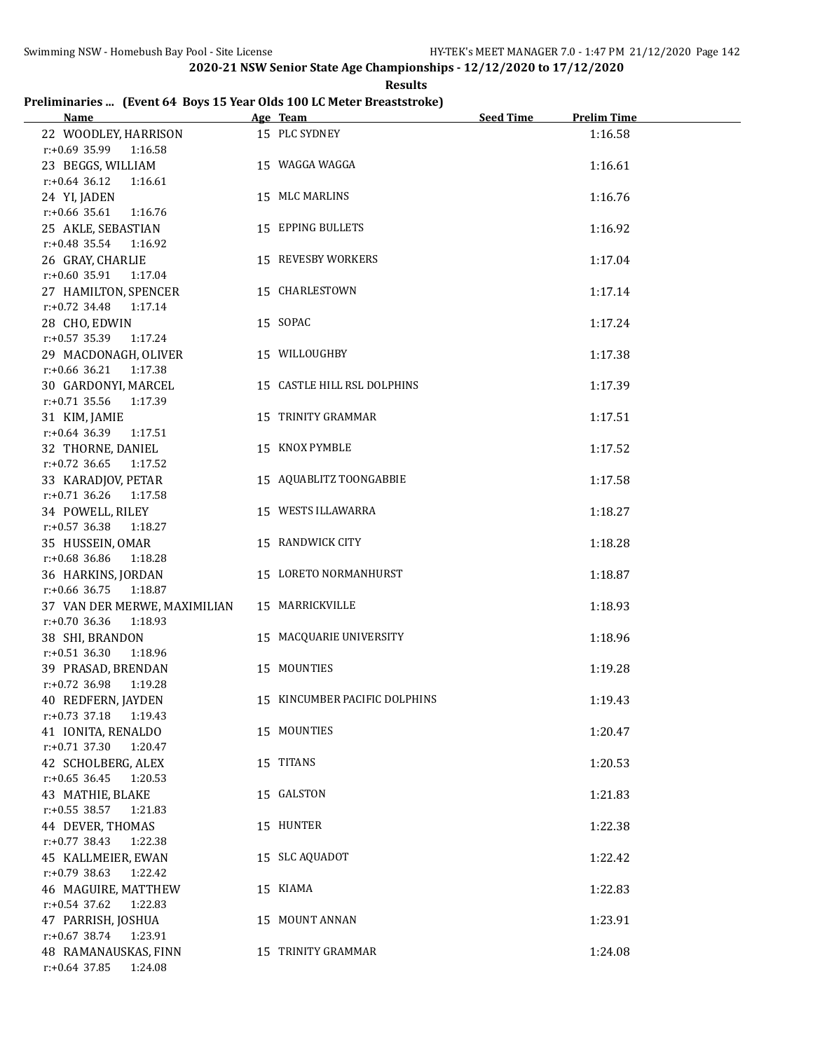**Results**

# **Preliminaries ... (Event 64 Boys 15 Year Olds 100 LC Meter Breaststroke)**

| <b>Name</b>                                                 | Age Team                      | <b>Seed Time</b> | <b>Prelim Time</b> |
|-------------------------------------------------------------|-------------------------------|------------------|--------------------|
| 22 WOODLEY, HARRISON<br>$r: +0.69$ 35.99 1:16.58            | 15 PLC SYDNEY                 |                  | 1:16.58            |
| 23 BEGGS, WILLIAM<br>$r: +0.64$ 36.12<br>1:16.61            | 15 WAGGA WAGGA                |                  | 1:16.61            |
| 24 YI, JADEN<br>$r: +0.66$ 35.61 1:16.76                    | 15 MLC MARLINS                |                  | 1:16.76            |
| 25 AKLE, SEBASTIAN                                          | 15 EPPING BULLETS             |                  | 1:16.92            |
| $r: +0.48$ 35.54 1:16.92<br>26 GRAY, CHARLIE                | 15 REVESBY WORKERS            |                  | 1:17.04            |
| r:+0.60 35.91 1:17.04<br>27 HAMILTON, SPENCER               | 15 CHARLESTOWN                |                  | 1:17.14            |
| r:+0.72 34.48 1:17.14<br>28 CHO, EDWIN                      | 15 SOPAC                      |                  | 1:17.24            |
| $r.+0.57$ 35.39 1:17.24<br>29 MACDONAGH, OLIVER             | 15 WILLOUGHBY                 |                  | 1:17.38            |
| r:+0.66 36.21 1:17.38<br>30 GARDONYI, MARCEL                | 15 CASTLE HILL RSL DOLPHINS   |                  | 1:17.39            |
| $r: +0.71$ 35.56<br>1:17.39<br>31 KIM, JAMIE                | 15 TRINITY GRAMMAR            |                  | 1:17.51            |
| $r: +0.64$ 36.39<br>1:17.51<br>32 THORNE, DANIEL            | 15 KNOX PYMBLE                |                  | 1:17.52            |
| $r: +0.72$ 36.65<br>1:17.52<br>33 KARADJOV, PETAR           | 15 AQUABLITZ TOONGABBIE       |                  | 1:17.58            |
| $r: +0.71$ 36.26<br>1:17.58<br>34 POWELL, RILEY             | 15 WESTS ILLAWARRA            |                  | 1:18.27            |
| $r: +0.57$ 36.38<br>1:18.27<br>35 HUSSEIN, OMAR             | 15 RANDWICK CITY              |                  | 1:18.28            |
| $r: +0.68$ 36.86<br>1:18.28<br>36 HARKINS, JORDAN           | 15 LORETO NORMANHURST         |                  | 1:18.87            |
| $r: +0.66$ 36.75<br>1:18.87<br>37 VAN DER MERWE, MAXIMILIAN | 15 MARRICKVILLE               |                  | 1:18.93            |
| $r: +0.70$ 36.36<br>1:18.93<br>38 SHI, BRANDON              | 15 MACQUARIE UNIVERSITY       |                  | 1:18.96            |
| $r: +0.51$ 36.30<br>1:18.96<br>39 PRASAD, BRENDAN           | 15 MOUNTIES                   |                  | 1:19.28            |
| r:+0.72 36.98 1:19.28<br>40 REDFERN, JAYDEN                 | 15 KINCUMBER PACIFIC DOLPHINS |                  | 1:19.43            |
| $r: +0.73$ 37.18<br>1:19.43<br>41 IONITA, RENALDO           | 15 MOUNTIES                   |                  | 1:20.47            |
| r:+0.71 37.30<br>1:20.47<br>42 SCHOLBERG, ALEX              | 15 TITANS                     |                  | 1:20.53            |
| $r: +0.65$ 36.45<br>1:20.53<br>43 MATHIE, BLAKE             | 15 GALSTON                    |                  | 1:21.83            |
| $r: +0.55$ 38.57<br>1:21.83<br>44 DEVER, THOMAS             | 15 HUNTER                     |                  | 1:22.38            |
| $r: +0.77$ 38.43<br>1:22.38<br>45 KALLMEIER, EWAN           | 15 SLC AQUADOT                |                  | 1:22.42            |
| $r: +0.79$ 38.63<br>1:22.42<br>46 MAGUIRE, MATTHEW          | 15 KIAMA                      |                  | 1:22.83            |
| $r: +0.54$ 37.62<br>1:22.83<br>47 PARRISH, JOSHUA           | 15 MOUNT ANNAN                |                  | 1:23.91            |
| $r: +0.67$ 38.74<br>1:23.91<br>48 RAMANAUSKAS, FINN         | 15 TRINITY GRAMMAR            |                  | 1:24.08            |
| $r: +0.64$ 37.85<br>1:24.08                                 |                               |                  |                    |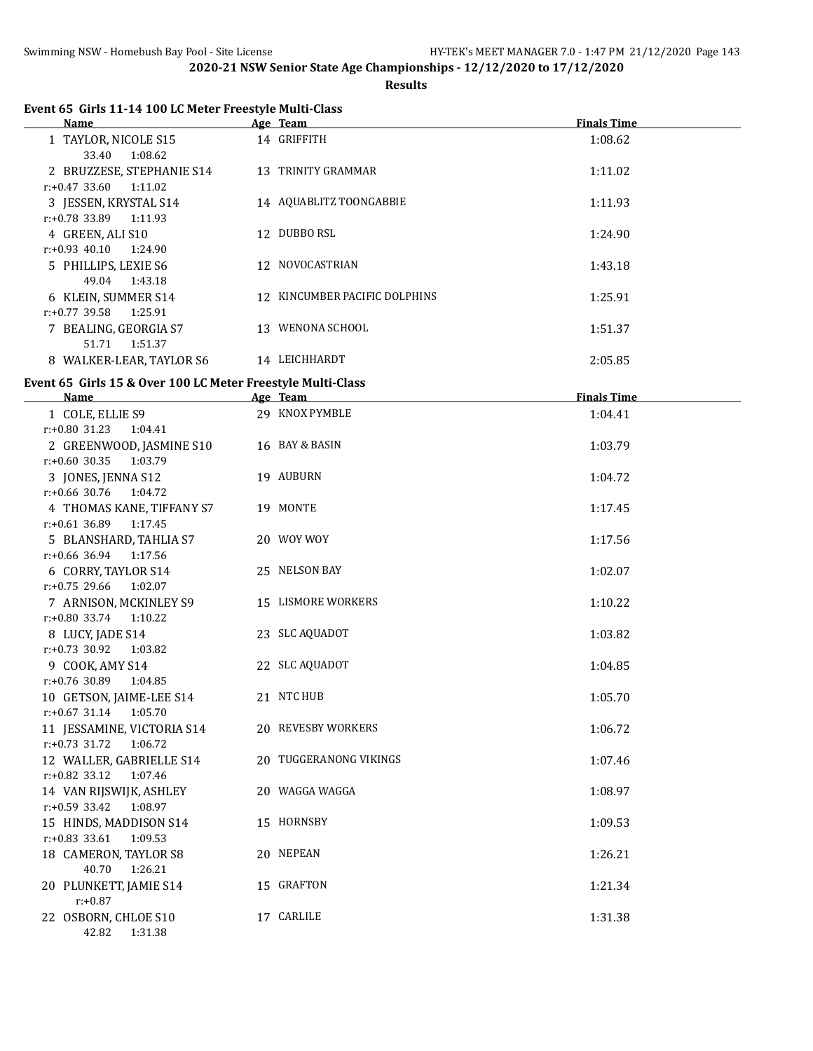## **Results**

| Event 65 Girls 11-14 100 LC Meter Freestyle Multi-Class<br>Name | Age Team                      | <b>Finals Time</b> |
|-----------------------------------------------------------------|-------------------------------|--------------------|
| 1 TAYLOR, NICOLE S15                                            | 14 GRIFFITH                   | 1:08.62            |
| 33.40<br>1:08.62                                                |                               |                    |
| 2 BRUZZESE, STEPHANIE S14                                       | 13 TRINITY GRAMMAR            | 1:11.02            |
| $r: +0.47$ 33.60<br>1:11.02                                     |                               |                    |
| 3 JESSEN, KRYSTAL S14                                           | 14 AQUABLITZ TOONGABBIE       | 1:11.93            |
| $r: +0.78$ 33.89<br>1:11.93                                     |                               |                    |
| 4 GREEN, ALI S10                                                | 12 DUBBO RSL                  | 1:24.90            |
| $r: +0.93$ 40.10<br>1:24.90                                     |                               |                    |
| 5 PHILLIPS, LEXIE S6                                            | 12 NOVOCASTRIAN               | 1:43.18            |
| 49.04<br>1:43.18                                                |                               |                    |
| 6 KLEIN, SUMMER S14                                             | 12 KINCUMBER PACIFIC DOLPHINS | 1:25.91            |
| $r: +0.77$ 39.58<br>1:25.91                                     |                               |                    |
| 7 BEALING, GEORGIA S7                                           | 13 WENONA SCHOOL              | 1:51.37            |
| 51.71<br>1:51.37                                                |                               |                    |
| 8 WALKER-LEAR, TAYLOR S6                                        | 14 LEICHHARDT                 | 2:05.85            |
| Event 65 Girls 15 & Over 100 LC Meter Freestyle Multi-Class     |                               |                    |
| Name                                                            | Age Team                      | <b>Finals Time</b> |
| 1 COLE, ELLIE S9                                                | 29 KNOX PYMBLE                | 1:04.41            |
| r:+0.80 31.23 1:04.41                                           |                               |                    |
| 2 GREENWOOD, JASMINE S10                                        | 16 BAY & BASIN                | 1:03.79            |
| $r: +0.60$ 30.35 1:03.79                                        |                               |                    |
| 3 JONES, JENNA S12                                              | 19 AUBURN                     | 1:04.72            |
| r:+0.66 30.76 1:04.72                                           |                               |                    |
| 4 THOMAS KANE, TIFFANY S7                                       | 19 MONTE                      | 1:17.45            |
| r:+0.61 36.89 1:17.45                                           |                               |                    |
| 5 BLANSHARD, TAHLIA S7                                          | 20 WOY WOY                    | 1:17.56            |
| r:+0.66 36.94 1:17.56                                           |                               |                    |
| 6 CORRY, TAYLOR S14                                             | 25 NELSON BAY                 | 1:02.07            |
| $r: +0.75$ 29.66<br>1:02.07                                     |                               |                    |
| 7 ARNISON, MCKINLEY S9                                          | 15 LISMORE WORKERS            | 1:10.22            |
| $r: +0.80$ 33.74 1:10.22                                        |                               |                    |
| 8 LUCY, JADE S14                                                | 23 SLC AQUADOT                | 1:03.82            |
| $r: +0.73$ 30.92<br>1:03.82                                     |                               |                    |
| 9 COOK, AMY S14                                                 | 22 SLC AQUADOT                | 1:04.85            |
| $r: +0.76$ 30.89<br>1:04.85                                     |                               |                    |
| 10 GETSON, JAIME-LEE S14                                        | 21 NTC HUB                    | 1:05.70            |
| r:+0.67 31.14 1:05.70                                           |                               |                    |
| 11 JESSAMINE, VICTORIA S14                                      | 20 REVESBY WORKERS            | 1:06.72            |
| $r: +0.73$ 31.72<br>1:06.72                                     |                               |                    |
| 12 WALLER, GABRIELLE S14                                        | 20 TUGGERANONG VIKINGS        | 1:07.46            |
| $r: +0.82$ 33.12<br>1:07.46                                     |                               |                    |
| 14 VAN RIJSWIJK, ASHLEY                                         | 20 WAGGA WAGGA                | 1:08.97            |
| r:+0.59 33.42<br>1:08.97                                        |                               |                    |
| 15 HINDS, MADDISON S14                                          | 15 HORNSBY                    | 1:09.53            |
| $r: +0.83$ 33.61<br>1:09.53                                     |                               |                    |
| 18 CAMERON, TAYLOR S8                                           | 20 NEPEAN                     | 1:26.21            |
| 40.70<br>1:26.21                                                |                               |                    |
| 20 PLUNKETT, JAMIE S14                                          | 15 GRAFTON                    | 1:21.34            |
| $r: +0.87$                                                      |                               |                    |
| 22 OSBORN, CHLOE S10                                            | 17 CARLILE                    | 1:31.38            |
| 42.82<br>1:31.38                                                |                               |                    |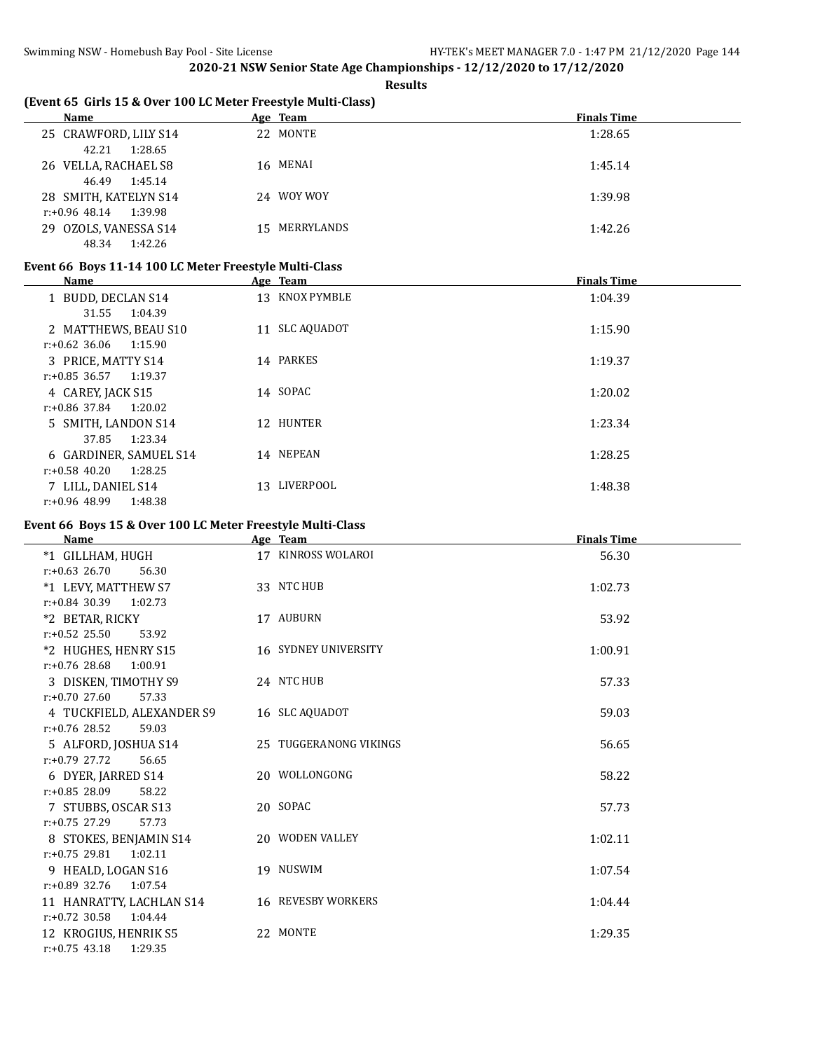**Results**

| (Event 65 Girls 15 & Over 100 LC Meter Freestyle Multi-Class) |  |
|---------------------------------------------------------------|--|
|---------------------------------------------------------------|--|

| <b>Name</b>                              | Age Team      | <b>Finals Time</b> |
|------------------------------------------|---------------|--------------------|
| 25 CRAWFORD, LILY S14                    | 22 MONTE      | 1:28.65            |
| 1:28.65<br>42.21<br>26 VELLA, RACHAEL S8 | 16 MENAI      | 1:45.14            |
| 1:45.14<br>46.49                         |               |                    |
| 28 SMITH, KATELYN S14                    | 24 WOY WOY    | 1:39.98            |
| $r.+0.96$ 48.14 1:39.98                  |               |                    |
| 29 OZOLS, VANESSA S14                    | 15 MERRYLANDS | 1:42.26            |
| 1:42.26<br>48.34                         |               |                    |

#### **Event 66 Boys 11-14 100 LC Meter Freestyle Multi-Class**

| Name                        | Age Team        | <b>Finals Time</b> |
|-----------------------------|-----------------|--------------------|
| 1 BUDD, DECLAN S14          | 13 KNOX PYMBLE  | 1:04.39            |
| 1:04.39<br>31.55            |                 |                    |
| 2 MATTHEWS, BEAU S10        | 11 SLC AQUADOT  | 1:15.90            |
| $r: +0.62$ 36.06<br>1:15.90 |                 |                    |
| 3 PRICE, MATTY S14          | 14 PARKES       | 1:19.37            |
| $r: +0.85$ 36.57 1:19.37    |                 |                    |
| 4 CAREY, JACK S15           | 14 SOPAC        | 1:20.02            |
| $r: +0.86$ 37.84<br>1:20.02 |                 |                    |
| 5 SMITH, LANDON S14         | 12 HUNTER       | 1:23.34            |
| 1:23.34<br>37.85            |                 |                    |
| 6 GARDINER, SAMUEL S14      | 14 NEPEAN       | 1:28.25            |
| 1:28.25<br>$r: +0.58$ 40.20 |                 |                    |
| 7 LILL, DANIEL S14          | LIVERPOOL<br>13 | 1:48.38            |
| $r: +0.96$ 48.99<br>1:48.38 |                 |                    |

#### **Event 66 Boys 15 & Over 100 LC Meter Freestyle Multi-Class**

| <b>Name</b>                 | Age Team                    | <b>Finals Time</b> |
|-----------------------------|-----------------------------|--------------------|
| *1 GILLHAM, HUGH            | 17 KINROSS WOLAROI          | 56.30              |
| $r: +0.63$ 26.70<br>56.30   |                             |                    |
| *1 LEVY, MATTHEW S7         | 33 NTC HUB                  | 1:02.73            |
| $r: +0.84$ 30.39<br>1:02.73 |                             |                    |
| *2 BETAR, RICKY             | 17 AUBURN                   | 53.92              |
| $r: +0.52$ 25.50<br>53.92   |                             |                    |
| *2 HUGHES, HENRY S15        | <b>16 SYDNEY UNIVERSITY</b> | 1:00.91            |
| $r: +0.76$ 28.68<br>1:00.91 |                             |                    |
| 3 DISKEN, TIMOTHY S9        | 24 NTC HUB                  | 57.33              |
| $r: +0.70$ 27.60<br>57.33   |                             |                    |
| 4 TUCKFIELD, ALEXANDER S9   | 16 SLC AQUADOT              | 59.03              |
| $r: +0.76$ 28.52<br>59.03   |                             |                    |
| 5 ALFORD, JOSHUA S14        | 25 TUGGERANONG VIKINGS      | 56.65              |
| $r: +0.79$ 27.72<br>56.65   |                             |                    |
| 6 DYER, JARRED S14          | 20 WOLLONGONG               | 58.22              |
| $r: +0.85$ 28.09<br>58.22   |                             |                    |
| 7 STUBBS, OSCAR S13         | 20 SOPAC                    | 57.73              |
| $r: +0.75$ 27.29<br>57.73   |                             |                    |
| 8 STOKES, BENJAMIN S14      | 20 WODEN VALLEY             | 1:02.11            |
| $r: +0.75$ 29.81 1:02.11    |                             |                    |
| 9 HEALD, LOGAN S16          | 19 NUSWIM                   | 1:07.54            |
| $r: +0.89$ 32.76<br>1:07.54 |                             |                    |
| 11 HANRATTY, LACHLAN S14    | 16 REVESBY WORKERS          | 1:04.44            |
| $r: +0.72$ 30.58<br>1:04.44 |                             |                    |
| 12 KROGIUS, HENRIK S5       | 22 MONTE                    | 1:29.35            |
| $r: +0.75$ 43.18<br>1:29.35 |                             |                    |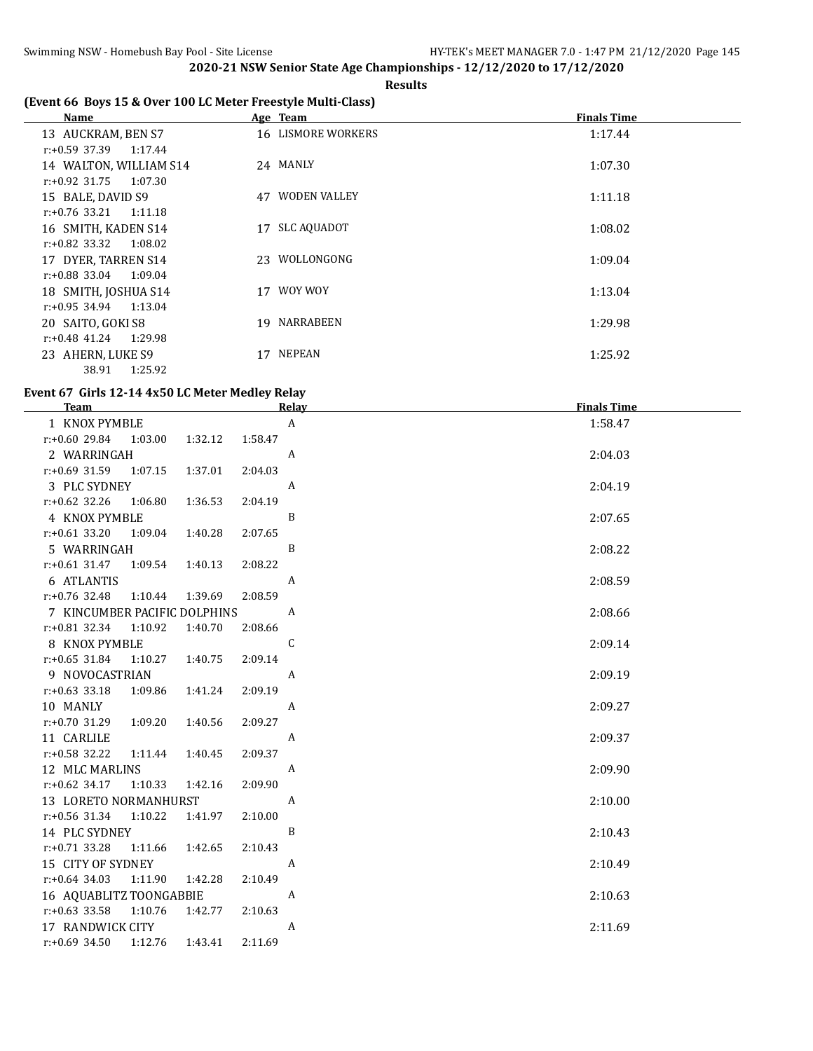**Results**

# **(Event 66 Boys 15 & Over 100 LC Meter Freestyle Multi-Class)**

| Name                     | Age Team                  | <b>Finals Time</b> |
|--------------------------|---------------------------|--------------------|
| 13 AUCKRAM, BEN S7       | 16 LISMORE WORKERS        | 1:17.44            |
| r:+0.59 37.39<br>1:17.44 |                           |                    |
| 14 WALTON, WILLIAM S14   | 24 MANLY                  | 1:07.30            |
| r:+0.92 31.75<br>1:07.30 |                           |                    |
| 15 BALE, DAVID S9        | <b>WODEN VALLEY</b><br>47 | 1:11.18            |
| r:+0.76 33.21<br>1:11.18 |                           |                    |
| 16 SMITH, KADEN S14      | <b>SLC AQUADOT</b><br>17  | 1:08.02            |
| r:+0.82 33.32<br>1:08.02 |                           |                    |
| 17 DYER, TARREN S14      | 23 WOLLONGONG             | 1:09.04            |
| r:+0.88 33.04<br>1:09.04 |                           |                    |
| 18 SMITH, JOSHUA S14     | 17 WOY WOY                | 1:13.04            |
| $r.+0.95$ 34.94 1:13.04  |                           |                    |
| 20 SAITO, GOKI S8        | NARRABEEN<br>19           | 1:29.98            |
| r:+0.48 41.24<br>1:29.98 |                           |                    |
| 23 AHERN, LUKE S9        | NEPEAN<br>17              | 1:25.92            |
| 1:25.92<br>38.91         |                           |                    |

#### **Event 67 Girls 12-14 4x50 LC Meter Medley Relay**

| <b>Team</b>                                          |                    | Relay            | <b>Finals Time</b> |
|------------------------------------------------------|--------------------|------------------|--------------------|
| 1 KNOX PYMBLE                                        |                    | A                | 1:58.47            |
| $r: +0.60$ 29.84 1:03.00                             | 1:32.12<br>1:58.47 |                  |                    |
| 2 WARRINGAH                                          |                    | A                | 2:04.03            |
| $r: +0.69$ 31.59 1:07.15                             | 2:04.03<br>1:37.01 |                  |                    |
| 3 PLC SYDNEY                                         |                    | $\mathbf{A}$     | 2:04.19            |
| $r.+0.62$ 32.26 1:06.80                              | 1:36.53<br>2:04.19 |                  |                    |
| 4 KNOX PYMBLE                                        |                    | B                | 2:07.65            |
| $r: +0.61$ 33.20 1:09.04                             | 1:40.28<br>2:07.65 |                  |                    |
| 5 WARRINGAH                                          |                    | B                | 2:08.22            |
| $r.+0.61$ 31.47 1:09.54                              | 1:40.13<br>2:08.22 |                  |                    |
| 6 ATLANTIS                                           |                    | $\mathbf{A}$     | 2:08.59            |
| r:+0.76 32.48 1:10.44                                | 2:08.59<br>1:39.69 |                  |                    |
| 7 KINCUMBER PACIFIC DOLPHINS                         |                    | A                | 2:08.66            |
| r:+0.81 32.34 1:10.92                                | 1:40.70<br>2:08.66 |                  |                    |
| 8 KNOX PYMBLE                                        |                    | C                | 2:09.14            |
| $r: +0.65$ 31.84<br>1:10.27                          | 1:40.75<br>2:09.14 |                  |                    |
| 9 NOVOCASTRIAN                                       |                    | A                | 2:09.19            |
| $r: +0.63$ 33.18<br>1:09.86                          | 2:09.19<br>1:41.24 |                  |                    |
| 10 MANLY                                             |                    | $\boldsymbol{A}$ | 2:09.27            |
| $r.+0.70$ 31.29 1:09.20                              | 1:40.56<br>2:09.27 |                  |                    |
| 11 CARLILE                                           |                    | $\mathbf{A}$     | 2:09.37            |
| $r.+0.58$ 32.22 1:11.44                              | 1:40.45<br>2:09.37 |                  |                    |
| 12 MLC MARLINS                                       | 2:09.90            | A                | 2:09.90            |
| $r: +0.62$ 34.17<br>1:10.33<br>13 LORETO NORMANHURST | 1:42.16            | A                | 2:10.00            |
| r:+0.56 31.34 1:10.22                                | 2:10.00<br>1:41.97 |                  |                    |
| 14 PLC SYDNEY                                        |                    | B                | 2:10.43            |
| r:+0.71 33.28 1:11.66 1:42.65                        | 2:10.43            |                  |                    |
| 15 CITY OF SYDNEY                                    |                    | $\mathbf{A}$     | 2:10.49            |
| r:+0.64 34.03 1:11.90                                | 1:42.28<br>2:10.49 |                  |                    |
| 16 AQUABLITZ TOONGABBIE                              |                    | A                | 2:10.63            |
| $r: +0.63$ 33.58<br>1:10.76                          | 1:42.77<br>2:10.63 |                  |                    |
| 17 RANDWICK CITY                                     |                    | A                | 2:11.69            |
| $r: +0.69$ 34.50 1:12.76                             | 2:11.69<br>1:43.41 |                  |                    |
|                                                      |                    |                  |                    |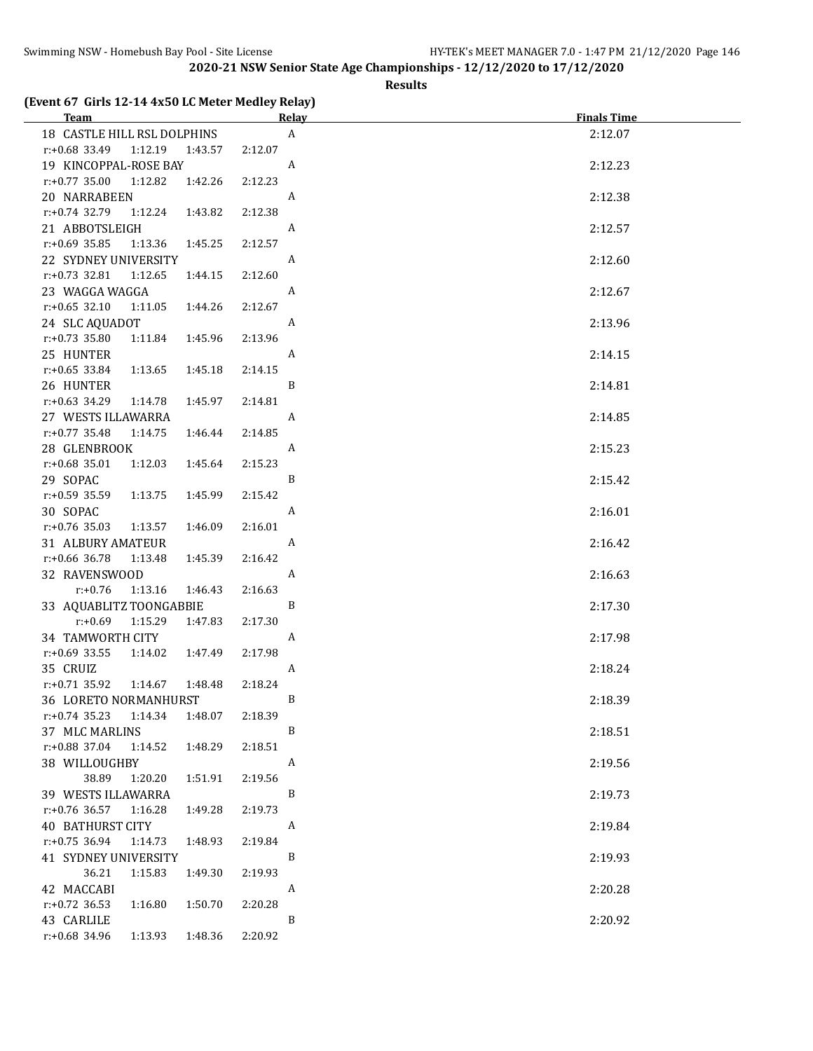#### **Results**

# **(Event 67 Girls 12-14 4x50 LC Meter Medley Relay)**

| Team <b>Example 2018</b> Team <b>Contract 2018</b> | <u>Relav</u>              | <b>Finals Time</b> |
|----------------------------------------------------|---------------------------|--------------------|
| 18 CASTLE HILL RSL DOLPHINS                        | $\boldsymbol{\mathsf{A}}$ | 2:12.07            |
| r:+0.68 33.49<br>1:12.19  1:43.57                  | 2:12.07                   |                    |
| 19 KINCOPPAL-ROSE BAY                              | A                         | 2:12.23            |
| $r.+0.77$ 35.00<br>1:12.82<br>1:42.26              | 2:12.23                   |                    |
| 20 NARRABEEN                                       | A                         | 2:12.38            |
| r:+0.74 32.79 1:12.24<br>1:43.82                   | 2:12.38                   |                    |
| 21 ABBOTSLEIGH                                     | A                         | 2:12.57            |
| $r: +0.69$ 35.85<br>1:13.36<br>1:45.25             | 2:12.57                   |                    |
| 22 SYDNEY UNIVERSITY                               | A                         | 2:12.60            |
| $r: +0.73$ 32.81<br>1:12.65<br>1:44.15             | 2:12.60                   |                    |
| 23 WAGGA WAGGA                                     | A                         | 2:12.67            |
| $r: +0.65$ 32.10<br>1:11.05<br>1:44.26             | 2:12.67                   |                    |
| 24 SLC AQUADOT                                     | A                         | 2:13.96            |
| $r: +0.73$ 35.80<br>1:45.96<br>1:11.84             | 2:13.96                   |                    |
| 25 HUNTER                                          | A                         |                    |
| $r: +0.65$ 33.84<br>1:13.65<br>1:45.18             | 2:14.15                   | 2:14.15            |
| 26 HUNTER                                          | B                         |                    |
| $r.+0.63$ 34.29<br>1:14.78<br>1:45.97              | 2:14.81                   | 2:14.81            |
| 27 WESTS ILLAWARRA                                 | A                         |                    |
| $r: +0.77$ 35.48<br>1:14.75<br>1:46.44             | 2:14.85                   | 2:14.85            |
|                                                    |                           |                    |
| 28 GLENBROOK                                       | A<br>2:15.23              | 2:15.23            |
| $r.+0.68$ 35.01<br>1:12.03<br>1:45.64              | B                         |                    |
| 29 SOPAC                                           |                           | 2:15.42            |
| $r: +0.59$ 35.59 1:13.75<br>1:45.99                | 2:15.42                   |                    |
| 30 SOPAC                                           | A                         | 2:16.01            |
| $r: +0.76$ 35.03 1:13.57<br>1:46.09                | 2:16.01                   |                    |
| 31 ALBURY AMATEUR                                  | A                         | 2:16.42            |
| r:+0.66 36.78 1:13.48<br>1:45.39                   | 2:16.42                   |                    |
| 32 RAVENSWOOD                                      | A                         | 2:16.63            |
| $r: +0.76$<br>1:13.16<br>1:46.43                   | 2:16.63<br>B              |                    |
| 33 AQUABLITZ TOONGABBIE                            |                           | 2:17.30            |
| $r: +0.69$ 1:15.29<br>1:47.83                      | 2:17.30                   |                    |
| 34 TAMWORTH CITY                                   | A                         | 2:17.98            |
| $r.+0.69$ 33.55 1:14.02<br>1:47.49                 | 2:17.98                   |                    |
| 35 CRUIZ                                           | A                         | 2:18.24            |
| r:+0.71 35.92 1:14.67<br>1:48.48                   | 2:18.24<br>$\overline{B}$ |                    |
| 36 LORETO NORMANHURST                              |                           | 2:18.39            |
| $r.+0.74$ 35.23 1:14.34<br>1:48.07                 | 2:18.39                   |                    |
| 37 MLC MARLINS                                     | B                         | 2:18.51            |
| $r.+0.88$ 37.04<br>1:48.29<br>1:14.52              | 2:18.51                   |                    |
| 38 WILLOUGHBY                                      | A                         | 2:19.56            |
| 38.89<br>1:20.20<br>1:51.91                        | 2:19.56                   |                    |
| 39 WESTS ILLAWARRA                                 | B                         | 2:19.73            |
| $r: +0.76$ 36.57<br>1:16.28<br>1:49.28             | 2:19.73                   |                    |
| <b>40 BATHURST CITY</b>                            | A                         | 2:19.84            |
| $r: +0.75$ 36.94<br>1:14.73<br>1:48.93             | 2:19.84                   |                    |
| 41 SYDNEY UNIVERSITY                               | B                         | 2:19.93            |
| 36.21<br>1:15.83<br>1:49.30                        | 2:19.93                   |                    |
| 42 MACCABI                                         | A                         | 2:20.28            |
| $r: +0.72$ 36.53<br>1:50.70<br>1:16.80             | 2:20.28                   |                    |
| 43 CARLILE                                         | $\, {\bf B}$              | 2:20.92            |
| r:+0.68 34.96<br>1:13.93<br>1:48.36                | 2:20.92                   |                    |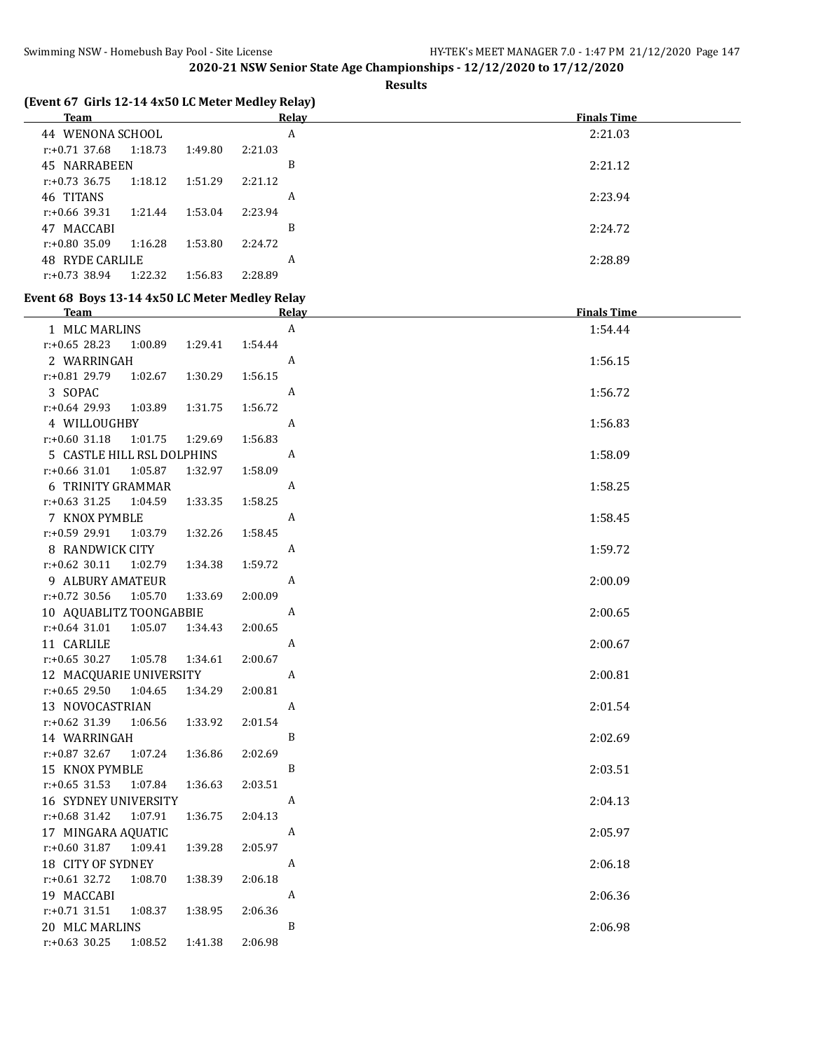**Results**

| (Event 67 Girls 12-14 4x50 LC Meter Medley Relay)<br><b>Team</b>  | <b>Relay</b> | <b>Finals Time</b> |
|-------------------------------------------------------------------|--------------|--------------------|
| 44 WENONA SCHOOL                                                  | $\mathbf{A}$ | 2:21.03            |
| $r: +0.71$ 37.68<br>1:18.73<br>1:49.80                            | 2:21.03      |                    |
| 45 NARRABEEN                                                      | B            | 2:21.12            |
| $r: +0.73$ 36.75<br>1:18.12<br>1:51.29                            | 2:21.12      |                    |
| 46 TITANS                                                         | A            | 2:23.94            |
| $r: +0.66$ 39.31<br>1:21.44<br>1:53.04                            | 2:23.94      |                    |
| 47 MACCABI                                                        | B            | 2:24.72            |
| $r: +0.80$ 35.09<br>1:16.28<br>1:53.80                            | 2:24.72      |                    |
| <b>48 RYDE CARLILE</b>                                            | A            | 2:28.89            |
| $r: +0.73$ 38.94<br>1:22.32<br>1:56.83                            | 2:28.89      |                    |
| Event 68 Boys 13-14 4x50 LC Meter Medley Relay                    |              |                    |
| <b>Team</b>                                                       | Relay        | <b>Finals Time</b> |
| 1 MLC MARLINS                                                     | A            | 1:54.44            |
| $r: +0.65$ 28.23<br>1:00.89<br>1:29.41                            | 1:54.44      |                    |
| 2 WARRINGAH                                                       | A            | 1:56.15            |
| $r: +0.81$ 29.79<br>1:02.67<br>1:30.29                            | 1:56.15      |                    |
| 3 SOPAC                                                           | A            | 1:56.72            |
| r:+0.64 29.93<br>1:03.89<br>1:31.75                               | 1:56.72      |                    |
| 4 WILLOUGHBY                                                      | A            | 1:56.83            |
| $r: +0.60$ 31.18<br>1:01.75<br>1:29.69                            | 1:56.83      |                    |
| 5 CASTLE HILL RSL DOLPHINS                                        | A            | 1:58.09            |
| r:+0.66 31.01<br>1:05.87<br>1:32.97                               | 1:58.09      |                    |
| 6 TRINITY GRAMMAR                                                 | A            | 1:58.25            |
| $r: +0.63$ 31.25<br>1:04.59<br>1:33.35                            | 1:58.25      |                    |
| 7 KNOX PYMBLE                                                     | A            | 1:58.45            |
| r:+0.59 29.91<br>1:03.79<br>1:32.26                               | 1:58.45      |                    |
| 8 RANDWICK CITY                                                   | A            | 1:59.72            |
| $r: +0.62$ 30.11<br>1:02.79<br>1:34.38                            | 1:59.72      |                    |
| 9 ALBURY AMATEUR                                                  | A            | 2:00.09            |
| $r: +0.72$ 30.56<br>1:05.70<br>1:33.69                            | 2:00.09      |                    |
| 10 AQUABLITZ TOONGABBIE<br>$r: +0.64$ 31.01<br>1:05.07<br>1:34.43 | A<br>2:00.65 | 2:00.65            |
|                                                                   | A            |                    |
| 11 CARLILE<br>1:05.78<br>1:34.61                                  | 2:00.67      | 2:00.67            |
| $r: +0.65$ 30.27<br>12 MACQUARIE UNIVERSITY                       | A            | 2:00.81            |
|                                                                   |              |                    |

| r:+0.65 29.50               | 1:04.65 | 1:34.29 | 2:00.81 |   |         |
|-----------------------------|---------|---------|---------|---|---------|
| 13 NOVOCASTRIAN             |         |         |         | A | 2:01.54 |
| r:+0.62 31.39 1:06.56       |         | 1:33.92 | 2:01.54 |   |         |
| 14 WARRINGAH                |         |         |         | B | 2:02.69 |
| $r: +0.87$ 32.67 1:07.24    |         | 1:36.86 | 2:02.69 |   |         |
| 15 KNOX PYMBLE              |         |         |         | B | 2:03.51 |
| $r: +0.65$ 31.53 1:07.84    |         | 1:36.63 | 2:03.51 |   |         |
| <b>16 SYDNEY UNIVERSITY</b> |         |         |         | A | 2:04.13 |
| $r: +0.68$ 31.42 1:07.91    |         | 1:36.75 | 2:04.13 |   |         |
| 17 MINGARA AQUATIC          |         |         |         | A | 2:05.97 |
| r:+0.60 31.87               | 1:09.41 | 1:39.28 | 2:05.97 |   |         |
| 18 CITY OF SYDNEY           |         |         |         | A | 2:06.18 |
| r:+0.61 32.72 1:08.70       |         | 1:38.39 | 2:06.18 |   |         |
| 19 MACCABI                  |         |         |         | A | 2:06.36 |
| r:+0.71 31.51               | 1:08.37 | 1:38.95 | 2:06.36 |   |         |
| 20 MLC MARLINS              |         |         |         | B | 2:06.98 |
| r:+0.63 30.25               | 1:08.52 | 1:41.38 | 2:06.98 |   |         |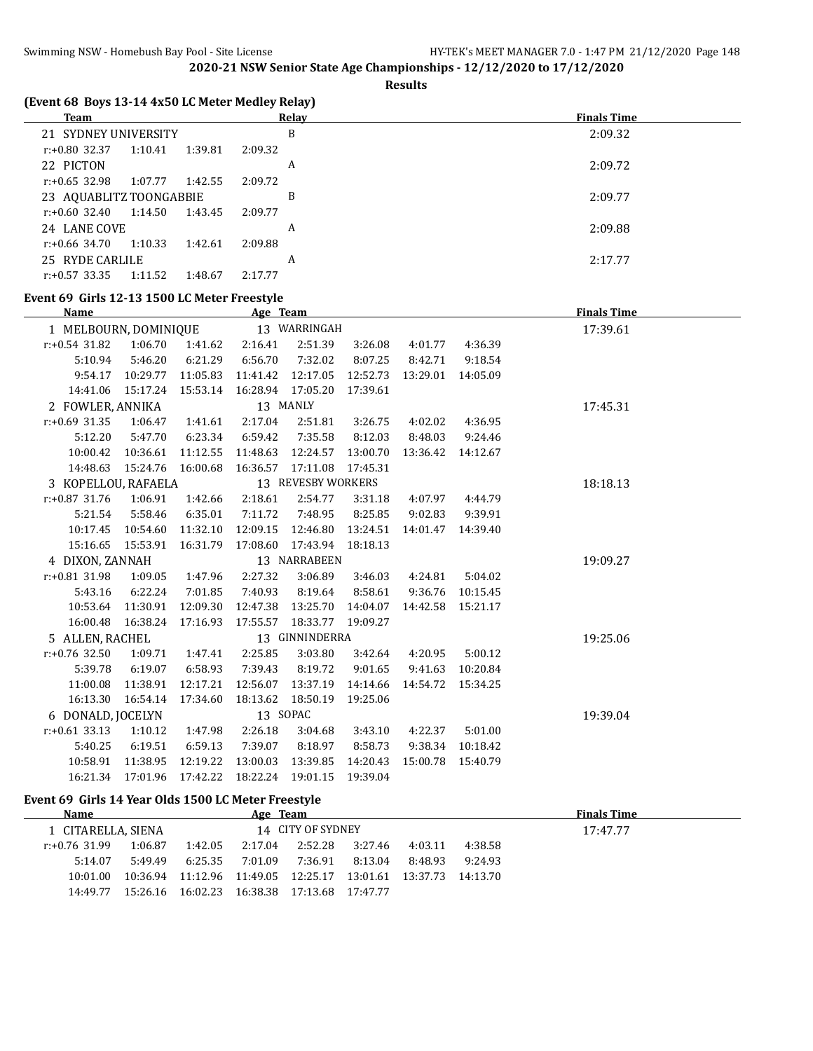**Results**

| (Event 68 Boys 13-14 4x50 LC Meter Medley Relay) |  |
|--------------------------------------------------|--|
|                                                  |  |

| <b>Team</b>              |         |         | Relay   | <b>Finals Time</b> |
|--------------------------|---------|---------|---------|--------------------|
| 21 SYDNEY UNIVERSITY     |         |         | B       | 2:09.32            |
| r:+0.80 32.37            | 1:10.41 | 1:39.81 | 2:09.32 |                    |
| 22 PICTON                |         |         | A       | 2:09.72            |
| $r: +0.65$ 32.98         | 1:07.77 | 1:42.55 | 2:09.72 |                    |
| 23 AQUABLITZ TOONGABBIE  |         |         | B       | 2:09.77            |
| r:+0.60 32.40            | 1:14.50 | 1:43.45 | 2:09.77 |                    |
| 24 LANE COVE             |         |         | A       | 2:09.88            |
| $r: +0.66$ 34.70 1:10.33 |         | 1:42.61 | 2:09.88 |                    |
| 25 RYDE CARLILE          |         |         | A       | 2:17.77            |
| $r: +0.57$ 33.35         | 1:11.52 | 1:48.67 | 2:17.77 |                    |
|                          |         |         |         |                    |

#### **Event 69 Girls 12-13 1500 LC Meter Freestyle**

|                                       | Name                |                              |          | Age Team                                         |                    |          |          |                    | <b>Finals Time</b> |
|---------------------------------------|---------------------|------------------------------|----------|--------------------------------------------------|--------------------|----------|----------|--------------------|--------------------|
| 13 WARRINGAH<br>1 MELBOURN, DOMINIQUE |                     |                              |          |                                                  |                    |          |          | 17:39.61           |                    |
|                                       | $r: +0.54$ 31.82    | 1:06.70                      | 1:41.62  | 2:16.41                                          | 2:51.39            | 3:26.08  | 4:01.77  | 4:36.39            |                    |
|                                       | 5:10.94             | 5:46.20                      | 6:21.29  | 6:56.70                                          | 7:32.02            | 8:07.25  | 8:42.71  | 9:18.54            |                    |
|                                       | 9:54.17             | 10:29.77                     | 11:05.83 | 11:41.42                                         | 12:17.05           | 12:52.73 | 13:29.01 | 14:05.09           |                    |
|                                       |                     |                              |          | 14:41.06  15:17.24  15:53.14  16:28.94  17:05.20 |                    | 17:39.61 |          |                    |                    |
|                                       | 2 FOWLER, ANNIKA    |                              |          |                                                  | 13 MANLY           |          |          |                    | 17:45.31           |
|                                       | $r: +0.69$ 31.35    | 1:06.47                      | 1:41.61  | 2:17.04                                          | 2:51.81            | 3:26.75  | 4:02.02  | 4:36.95            |                    |
|                                       | 5:12.20             | 5:47.70                      | 6:23.34  | 6:59.42                                          | 7:35.58            | 8:12.03  | 8:48.03  | 9:24.46            |                    |
|                                       | 10:00.42            | 10:36.61                     | 11:12.55 | 11:48.63                                         | 12:24.57           | 13:00.70 | 13:36.42 | 14:12.67           |                    |
|                                       |                     | 14:48.63  15:24.76  16:00.68 |          | 16:36.57 17:11.08                                |                    | 17:45.31 |          |                    |                    |
|                                       | 3 KOPELLOU, RAFAELA |                              |          |                                                  | 13 REVESBY WORKERS |          |          |                    | 18:18.13           |
|                                       | $r: +0.87$ 31.76    | 1:06.91                      | 1:42.66  | 2:18.61                                          | 2:54.77            | 3:31.18  | 4:07.97  | 4:44.79            |                    |
|                                       | 5:21.54             | 5:58.46                      | 6:35.01  | 7:11.72                                          | 7:48.95            | 8:25.85  | 9:02.83  | 9:39.91            |                    |
|                                       | 10:17.45            | 10:54.60                     | 11:32.10 | 12:09.15                                         | 12:46.80           | 13:24.51 | 14:01.47 | 14:39.40           |                    |
|                                       |                     | 15:16.65  15:53.91  16:31.79 |          | 17:08.60 17:43.94                                |                    | 18:18.13 |          |                    |                    |
|                                       | 4 DIXON, ZANNAH     |                              |          |                                                  | 13 NARRABEEN       |          |          |                    | 19:09.27           |
|                                       | $r: +0.81$ 31.98    | 1:09.05                      | 1:47.96  | 2:27.32                                          | 3:06.89            | 3:46.03  | 4:24.81  | 5:04.02            |                    |
|                                       | 5:43.16             | 6:22.24                      | 7:01.85  | 7:40.93                                          | 8:19.64            | 8:58.61  | 9:36.76  | 10:15.45           |                    |
|                                       |                     | 10:53.64 11:30.91 12:09.30   |          | 12:47.38                                         | 13:25.70           | 14:04.07 |          | 14:42.58 15:21.17  |                    |
|                                       | 16:00.48            | 16:38.24 17:16.93            |          | 17:55.57                                         | 18:33.77           | 19:09.27 |          |                    |                    |
|                                       | 5 ALLEN, RACHEL     |                              |          |                                                  | 13 GINNINDERRA     |          |          |                    | 19:25.06           |
|                                       | $r: +0.76$ 32.50    | 1:09.71                      | 1:47.41  | 2:25.85                                          | 3:03.80            | 3:42.64  | 4:20.95  | 5:00.12            |                    |
|                                       | 5:39.78             | 6:19.07                      | 6:58.93  | 7:39.43                                          | 8:19.72            | 9:01.65  | 9:41.63  | 10:20.84           |                    |
|                                       | 11:00.08            | 11:38.91                     | 12:17.21 | 12:56.07                                         | 13:37.19           | 14:14.66 |          | 14:54.72  15:34.25 |                    |
|                                       | 16:13.30            | 16:54.14 17:34.60            |          | 18:13.62                                         | 18:50.19           | 19:25.06 |          |                    |                    |
|                                       | 6 DONALD, JOCELYN   |                              |          | 13 SOPAC                                         |                    |          |          |                    | 19:39.04           |
|                                       | $r: +0.61$ 33.13    | 1:10.12                      | 1:47.98  | 2:26.18                                          | 3:04.68            | 3:43.10  | 4:22.37  | 5:01.00            |                    |
|                                       | 5:40.25             | 6:19.51                      | 6:59.13  | 7:39.07                                          | 8:18.97            | 8:58.73  | 9:38.34  | 10:18.42           |                    |
|                                       | 10:58.91            | 11:38.95                     | 12:19.22 | 13:00.03                                         | 13:39.85           | 14:20.43 |          | 15:00.78 15:40.79  |                    |
|                                       |                     | 16:21.34 17:01.96 17:42.22   |          | 18:22.24 19:01.15                                |                    | 19:39.04 |          |                    |                    |
|                                       |                     |                              |          |                                                  |                    |          |          |                    |                    |

# **Event 69 Girls 14 Year Olds 1500 LC Meter Freestyle**

| <b>Name</b>        |          |          | Age      | Team              |          |                   |         | <b>Finals Time</b> |
|--------------------|----------|----------|----------|-------------------|----------|-------------------|---------|--------------------|
| 1 CITARELLA, SIENA |          |          |          | 14 CITY OF SYDNEY |          |                   |         | 17:47.77           |
| r:+0.76 31.99      | 1:06.87  | 1:42.05  | 2:17.04  | 2:52.28           | 3:27.46  | 4:03.11           | 4:38.58 |                    |
| 5:14.07            | 5:49.49  | 6:25.35  | 7:01.09  | 7:36.91           | 8:13.04  | 8:48.93           | 9:24.93 |                    |
| 10:01.00           | 10:36.94 | 11:12.96 | 11:49.05 | 12:25.17          | 13:01.61 | 13:37.73 14:13.70 |         |                    |
| 14:49.77           | 15:26.16 | 16:02.23 | 16:38.38 | 17:13.68 17:47.77 |          |                   |         |                    |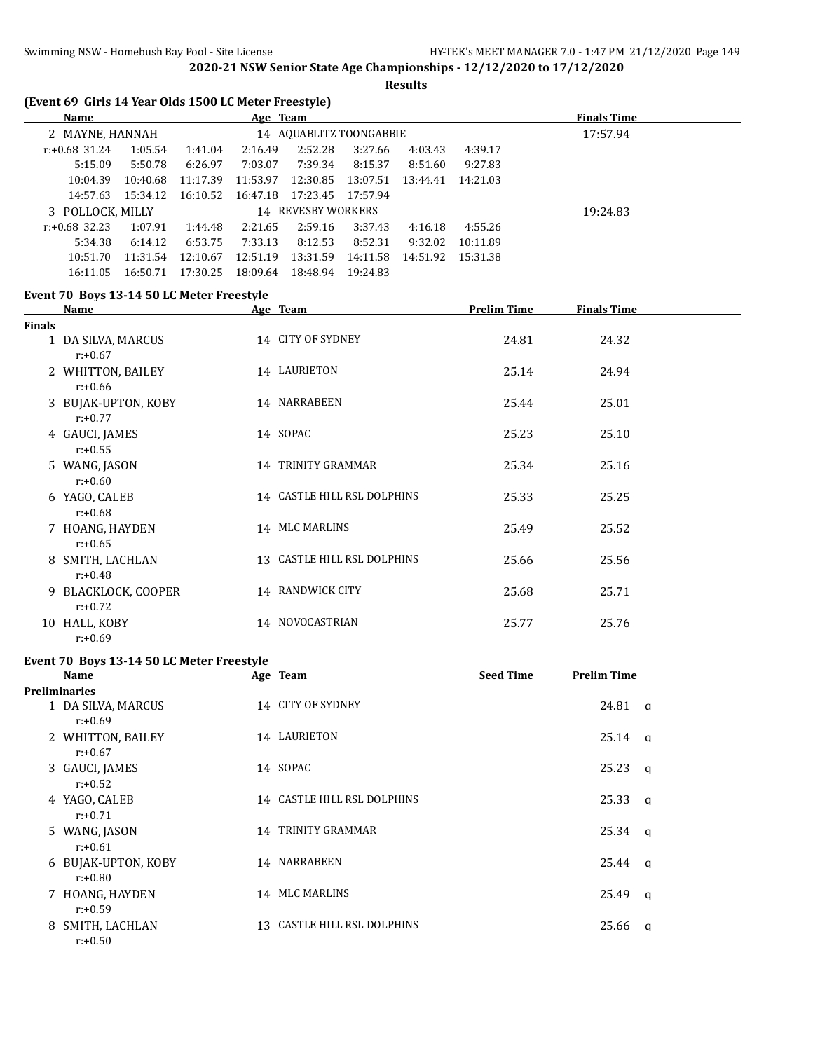#### **Results**

# **(Event 69 Girls 14 Year Olds 1500 LC Meter Freestyle)**

| <b>Name</b>      |          |          | Age Team |                         |          |                   |          | <b>Finals Time</b> |
|------------------|----------|----------|----------|-------------------------|----------|-------------------|----------|--------------------|
| 2 MAYNE, HANNAH  |          |          |          | 14 AQUABLITZ TOONGABBIE |          |                   |          | 17:57.94           |
| $r: +0.68$ 31.24 | 1:05.54  | 1:41.04  | 2:16.49  | 2:52.28                 | 3:27.66  | 4:03.43           | 4:39.17  |                    |
| 5:15.09          | 5:50.78  | 6:26.97  | 7:03.07  | 7:39.34                 | 8:15.37  | 8:51.60           | 9:27.83  |                    |
| 10:04.39         | 10:40.68 | 11:17.39 | 11:53.97 | 12:30.85                | 13:07.51 | 13:44.41          | 14:21.03 |                    |
| 14:57.63         | 15:34.12 | 16:10.52 | 16:47.18 | 17:23.45 17:57.94       |          |                   |          |                    |
| 3 POLLOCK, MILLY |          |          |          | 14 REVESBY WORKERS      |          |                   |          | 19:24.83           |
| $r: +0.68$ 32.23 | 1:07.91  | 1:44.48  | 2:21.65  | 2:59.16                 | 3:37.43  | 4:16.18           | 4:55.26  |                    |
| 5:34.38          | 6:14.12  | 6:53.75  | 7:33.13  | 8:12.53                 | 8:52.31  | 9:32.02           | 10:11.89 |                    |
| 10:51.70         | 11:31.54 | 12:10.67 | 12:51.19 | 13:31.59                | 14:11.58 | 14:51.92 15:31.38 |          |                    |
| 16:11.05         | 16:50.71 | 17:30.25 | 18:09.64 | 18:48.94                | 19:24.83 |                   |          |                    |

# **Event 70 Boys 13-14 50 LC Meter Freestyle**

|        | Name                              | Age Team                    | <b>Prelim Time</b> | <b>Finals Time</b> |
|--------|-----------------------------------|-----------------------------|--------------------|--------------------|
| Finals |                                   |                             |                    |                    |
|        | 1 DA SILVA, MARCUS<br>$r: +0.67$  | 14 CITY OF SYDNEY           | 24.81              | 24.32              |
|        | 2 WHITTON, BAILEY<br>$r: +0.66$   | 14 LAURIETON                | 25.14              | 24.94              |
|        | 3 BUJAK-UPTON, KOBY<br>$r: +0.77$ | 14 NARRABEEN                | 25.44              | 25.01              |
|        | 4 GAUCI, JAMES<br>$r: +0.55$      | 14 SOPAC                    | 25.23              | 25.10              |
|        | 5 WANG, JASON<br>$r: +0.60$       | 14 TRINITY GRAMMAR          | 25.34              | 25.16              |
|        | 6 YAGO, CALEB<br>$r: +0.68$       | 14 CASTLE HILL RSL DOLPHINS | 25.33              | 25.25              |
|        | 7 HOANG, HAYDEN<br>$r: +0.65$     | 14 MLC MARLINS              | 25.49              | 25.52              |
|        | 8 SMITH, LACHLAN<br>$r: +0.48$    | 13 CASTLE HILL RSL DOLPHINS | 25.66              | 25.56              |
|        | 9 BLACKLOCK, COOPER<br>$r: +0.72$ | 14 RANDWICK CITY            | 25.68              | 25.71              |
| 10     | HALL, KOBY<br>$r: +0.69$          | 14 NOVOCASTRIAN             | 25.77              | 25.76              |

#### **Event 70 Boys 13-14 50 LC Meter Freestyle**

| Name                              | Age Team                    | <b>Seed Time</b> | <b>Prelim Time</b> |  |
|-----------------------------------|-----------------------------|------------------|--------------------|--|
| <b>Preliminaries</b>              |                             |                  |                    |  |
| 1 DA SILVA, MARCUS<br>r:+0.69     | 14 CITY OF SYDNEY           |                  | $24.81$ q          |  |
| 2 WHITTON, BAILEY<br>$r: +0.67$   | 14 LAURIETON                |                  | $25.14 \text{ a}$  |  |
| 3 GAUCI, JAMES<br>$r: +0.52$      | 14 SOPAC                    |                  | 25.23 a            |  |
| 4 YAGO, CALEB<br>$r: +0.71$       | 14 CASTLE HILL RSL DOLPHINS |                  | 25.33<br>$\alpha$  |  |
| 5 WANG, JASON<br>$r: +0.61$       | 14 TRINITY GRAMMAR          |                  | $25.34$ q          |  |
| 6 BUJAK-UPTON, KOBY<br>$r: +0.80$ | 14 NARRABEEN                |                  | 25.44 a            |  |
| 7 HOANG, HAYDEN<br>$r: +0.59$     | 14 MLC MARLINS              |                  | 25.49 a            |  |
| 8 SMITH, LACHLAN<br>$r: +0.50$    | 13 CASTLE HILL RSL DOLPHINS |                  | 25.66<br><b>a</b>  |  |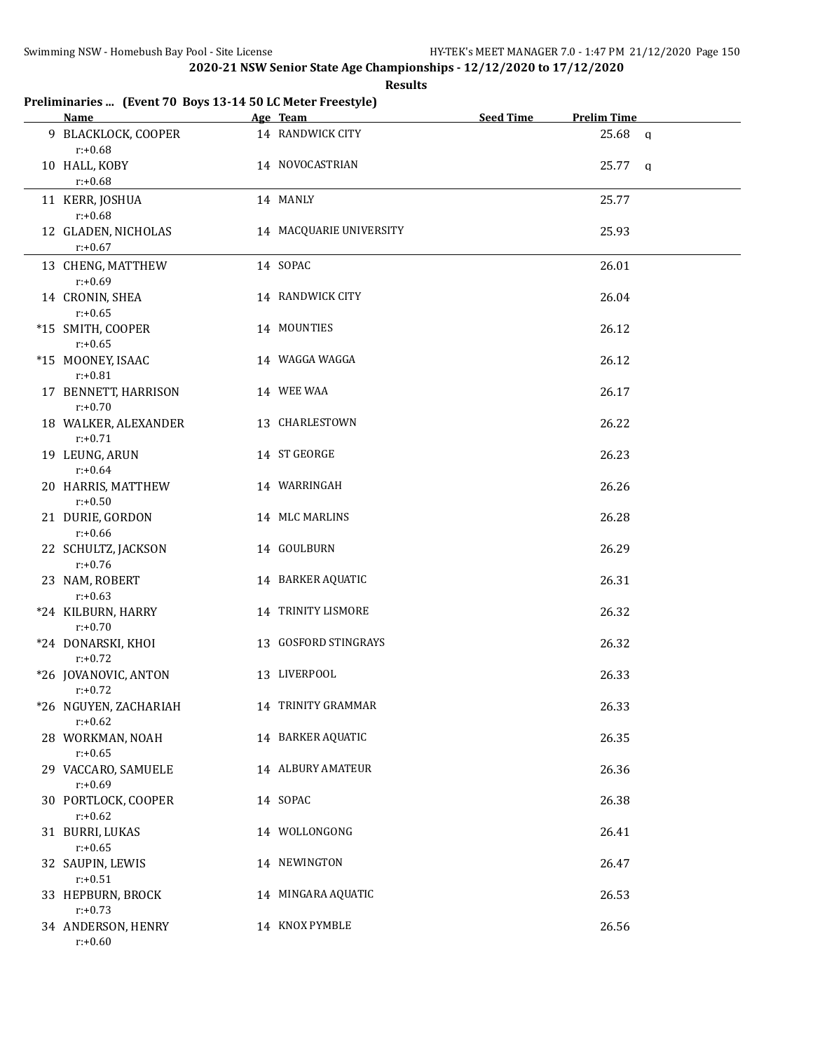**Results**

# **Preliminaries ... (Event 70 Boys 13-14 50 LC Meter Freestyle)**

| <b>Name</b>                         | Age Team                | <b>Seed Time</b> | <b>Prelim Time</b> |          |
|-------------------------------------|-------------------------|------------------|--------------------|----------|
| 9 BLACKLOCK, COOPER<br>$r: +0.68$   | 14 RANDWICK CITY        |                  | 25.68              | $\alpha$ |
| 10 HALL, KOBY<br>$r: +0.68$         | 14 NOVOCASTRIAN         |                  | 25.77 a            |          |
| 11 KERR, JOSHUA<br>$r: +0.68$       | 14 MANLY                |                  | 25.77              |          |
| 12 GLADEN, NICHOLAS<br>$r: +0.67$   | 14 MACQUARIE UNIVERSITY |                  | 25.93              |          |
| 13 CHENG, MATTHEW<br>$r: +0.69$     | 14 SOPAC                |                  | 26.01              |          |
| 14 CRONIN, SHEA<br>$r: +0.65$       | 14 RANDWICK CITY        |                  | 26.04              |          |
| *15 SMITH, COOPER<br>$r: +0.65$     | 14 MOUNTIES             |                  | 26.12              |          |
| *15 MOONEY, ISAAC<br>$r: +0.81$     | 14 WAGGA WAGGA          |                  | 26.12              |          |
| 17 BENNETT, HARRISON<br>$r: +0.70$  | 14 WEE WAA              |                  | 26.17              |          |
| 18 WALKER, ALEXANDER<br>$r: +0.71$  | 13 CHARLESTOWN          |                  | 26.22              |          |
| 19 LEUNG, ARUN<br>$r: +0.64$        | 14 ST GEORGE            |                  | 26.23              |          |
| 20 HARRIS, MATTHEW<br>$r: +0.50$    | 14 WARRINGAH            |                  | 26.26              |          |
| 21 DURIE, GORDON<br>$r: +0.66$      | 14 MLC MARLINS          |                  | 26.28              |          |
| 22 SCHULTZ, JACKSON<br>$r: +0.76$   | 14 GOULBURN             |                  | 26.29              |          |
| 23 NAM, ROBERT<br>$r: +0.63$        | 14 BARKER AQUATIC       |                  | 26.31              |          |
| *24 KILBURN, HARRY<br>$r: +0.70$    | 14 TRINITY LISMORE      |                  | 26.32              |          |
| *24 DONARSKI, KHOI<br>$r: +0.72$    | 13 GOSFORD STINGRAYS    |                  | 26.32              |          |
| *26 JOVANOVIC, ANTON<br>$r: +0.72$  | 13 LIVERPOOL            |                  | 26.33              |          |
| *26 NGUYEN, ZACHARIAH<br>$r: +0.62$ | 14 TRINITY GRAMMAR      |                  | 26.33              |          |
| 28 WORKMAN, NOAH<br>$r: +0.65$      | 14 BARKER AQUATIC       |                  | 26.35              |          |
| 29 VACCARO, SAMUELE<br>$r: +0.69$   | 14 ALBURY AMATEUR       |                  | 26.36              |          |
| 30 PORTLOCK, COOPER<br>$r: +0.62$   | 14 SOPAC                |                  | 26.38              |          |
| 31 BURRI, LUKAS<br>$r: +0.65$       | 14 WOLLONGONG           |                  | 26.41              |          |
| 32 SAUPIN, LEWIS<br>$r: +0.51$      | 14 NEWINGTON            |                  | 26.47              |          |
| 33 HEPBURN, BROCK<br>$r: +0.73$     | 14 MINGARA AQUATIC      |                  | 26.53              |          |
| 34 ANDERSON, HENRY<br>$r: +0.60$    | 14 KNOX PYMBLE          |                  | 26.56              |          |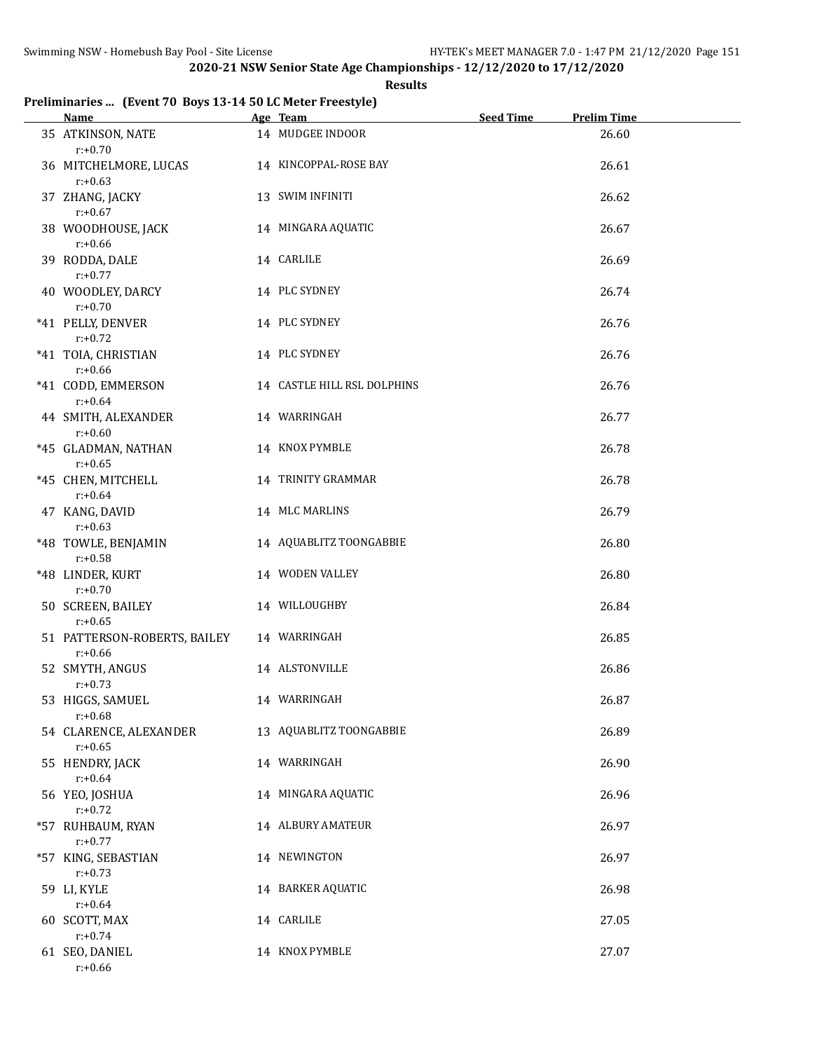#### **Results**

# **Preliminaries ... (Event 70 Boys 13-14 50 LC Meter Freestyle)**

| <b>Name</b>                                | Age Team                    | Seed Time | <b>Prelim Time</b> |
|--------------------------------------------|-----------------------------|-----------|--------------------|
| 35 ATKINSON, NATE<br>$r: +0.70$            | 14 MUDGEE INDOOR            |           | 26.60              |
| 36 MITCHELMORE, LUCAS<br>$r: +0.63$        | 14 KINCOPPAL-ROSE BAY       |           | 26.61              |
| 37 ZHANG, JACKY<br>$r: +0.67$              | 13 SWIM INFINITI            |           | 26.62              |
| 38 WOODHOUSE, JACK<br>$r: +0.66$           | 14 MINGARA AQUATIC          |           | 26.67              |
| 39 RODDA, DALE<br>$r: +0.77$               | 14 CARLILE                  |           | 26.69              |
| 40 WOODLEY, DARCY<br>$r: +0.70$            | 14 PLC SYDNEY               |           | 26.74              |
| *41 PELLY, DENVER<br>$r: +0.72$            | 14 PLC SYDNEY               |           | 26.76              |
| *41 TOIA, CHRISTIAN<br>$r: +0.66$          | 14 PLC SYDNEY               |           | 26.76              |
| *41 CODD, EMMERSON<br>$r: +0.64$           | 14 CASTLE HILL RSL DOLPHINS |           | 26.76              |
| 44 SMITH, ALEXANDER<br>$r: +0.60$          | 14 WARRINGAH                |           | 26.77              |
| *45 GLADMAN, NATHAN<br>$r: +0.65$          | 14 KNOX PYMBLE              |           | 26.78              |
| *45 CHEN, MITCHELL<br>$r: +0.64$           | 14 TRINITY GRAMMAR          |           | 26.78              |
| 47 KANG, DAVID<br>$r: +0.63$               | 14 MLC MARLINS              |           | 26.79              |
| *48 TOWLE, BENJAMIN<br>$r: +0.58$          | 14 AQUABLITZ TOONGABBIE     |           | 26.80              |
| *48 LINDER, KURT<br>$r: +0.70$             | 14 WODEN VALLEY             |           | 26.80              |
| 50 SCREEN, BAILEY<br>$r: +0.65$            | 14 WILLOUGHBY               |           | 26.84              |
| 51 PATTERSON-ROBERTS, BAILEY<br>$r: +0.66$ | 14 WARRINGAH                |           | 26.85              |
| 52 SMYTH, ANGUS<br>$r: +0.73$              | 14 ALSTONVILLE              |           | 26.86              |
| 53 HIGGS, SAMUEL<br>$r: +0.68$             | 14 WARRINGAH                |           | 26.87              |
| 54 CLARENCE, ALEXANDER<br>$r: +0.65$       | 13 AQUABLITZ TOONGABBIE     |           | 26.89              |
| 55 HENDRY, JACK<br>$r: +0.64$              | 14 WARRINGAH                |           | 26.90              |
| 56 YEO, JOSHUA<br>$r: +0.72$               | 14 MINGARA AQUATIC          |           | 26.96              |
| *57 RUHBAUM, RYAN<br>$r: +0.77$            | <b>14 ALBURY AMATEUR</b>    |           | 26.97              |
| *57 KING, SEBASTIAN<br>$r: +0.73$          | 14 NEWINGTON                |           | 26.97              |
| 59 LI, KYLE<br>$r: +0.64$                  | 14 BARKER AQUATIC           |           | 26.98              |
| 60 SCOTT, MAX<br>$r: +0.74$                | 14 CARLILE                  |           | 27.05              |
| 61 SEO, DANIEL<br>$r: +0.66$               | 14 KNOX PYMBLE              |           | 27.07              |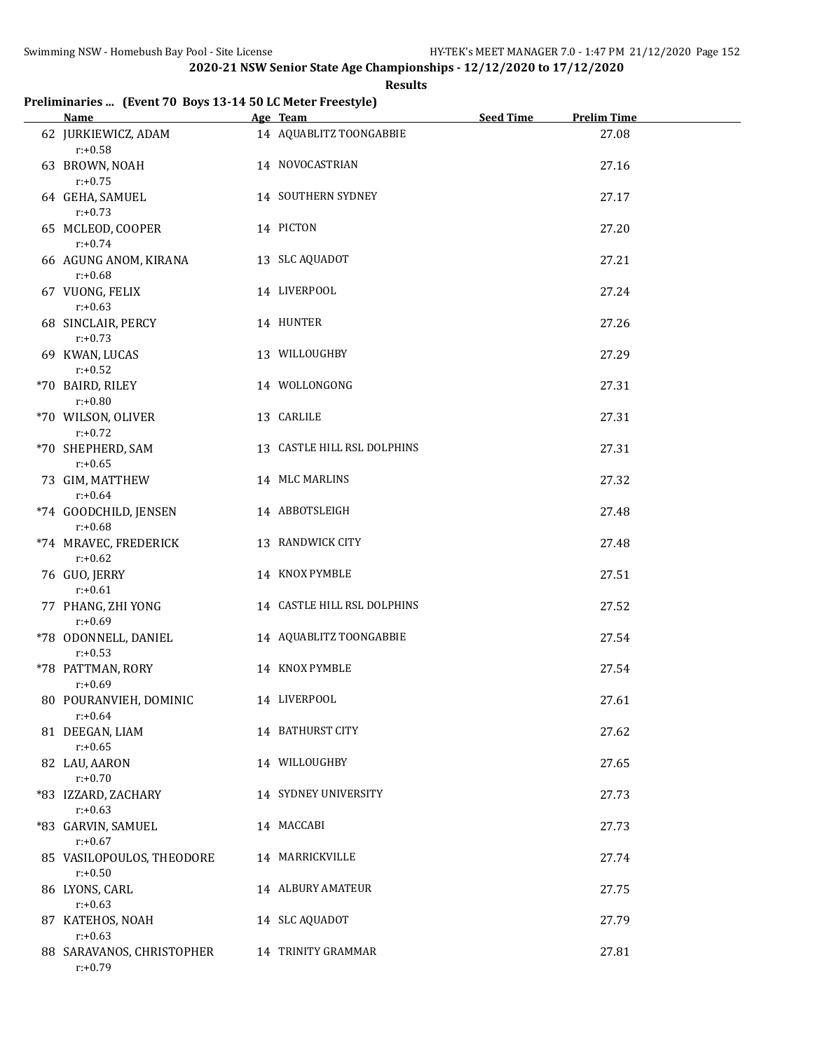#### **Results**

# **Preliminaries ... (Event 70 Boys 13-14 50 LC Meter Freestyle)**

| <b>Name</b>                             | Age Team                    | Seed Time | <b>Prelim Time</b> |  |
|-----------------------------------------|-----------------------------|-----------|--------------------|--|
| 62 JURKIEWICZ, ADAM<br>$r: +0.58$       | 14 AQUABLITZ TOONGABBIE     |           | 27.08              |  |
| 63 BROWN, NOAH<br>$r: +0.75$            | 14 NOVOCASTRIAN             |           | 27.16              |  |
| 64 GEHA, SAMUEL<br>$r: +0.73$           | 14 SOUTHERN SYDNEY          |           | 27.17              |  |
| 65 MCLEOD, COOPER<br>$r: +0.74$         | 14 PICTON                   |           | 27.20              |  |
| 66 AGUNG ANOM, KIRANA<br>$r: +0.68$     | 13 SLC AQUADOT              |           | 27.21              |  |
| 67 VUONG, FELIX<br>$r: +0.63$           | 14 LIVERPOOL                |           | 27.24              |  |
| 68 SINCLAIR, PERCY<br>$r: +0.73$        | 14 HUNTER                   |           | 27.26              |  |
| 69 KWAN, LUCAS<br>$r: +0.52$            | 13 WILLOUGHBY               |           | 27.29              |  |
| *70 BAIRD, RILEY<br>$r: +0.80$          | 14 WOLLONGONG               |           | 27.31              |  |
| *70 WILSON, OLIVER<br>$r: +0.72$        | 13 CARLILE                  |           | 27.31              |  |
| *70 SHEPHERD, SAM<br>$r: +0.65$         | 13 CASTLE HILL RSL DOLPHINS |           | 27.31              |  |
| 73 GIM, MATTHEW<br>$r: +0.64$           | 14 MLC MARLINS              |           | 27.32              |  |
| *74 GOODCHILD, JENSEN<br>$r: +0.68$     | 14 ABBOTSLEIGH              |           | 27.48              |  |
| *74 MRAVEC, FREDERICK<br>$r: +0.62$     | 13 RANDWICK CITY            |           | 27.48              |  |
| 76 GUO, JERRY<br>$r: +0.61$             | 14 KNOX PYMBLE              |           | 27.51              |  |
| 77 PHANG, ZHI YONG<br>$r: +0.69$        | 14 CASTLE HILL RSL DOLPHINS |           | 27.52              |  |
| *78 ODONNELL, DANIEL<br>$r: +0.53$      | 14 AQUABLITZ TOONGABBIE     |           | 27.54              |  |
| *78 PATTMAN, RORY<br>$r: +0.69$         | 14 KNOX PYMBLE              |           | 27.54              |  |
| 80 POURANVIEH, DOMINIC<br>$r: +0.64$    | 14 LIVERPOOL                |           | 27.61              |  |
| 81 DEEGAN, LIAM<br>$r: +0.65$           | 14 BATHURST CITY            |           | 27.62              |  |
| 82 LAU, AARON<br>$r: +0.70$             | 14 WILLOUGHBY               |           | 27.65              |  |
| *83 IZZARD, ZACHARY<br>$r: +0.63$       | 14 SYDNEY UNIVERSITY        |           | 27.73              |  |
| *83 GARVIN, SAMUEL<br>$r: +0.67$        | 14 MACCABI                  |           | 27.73              |  |
| 85 VASILOPOULOS, THEODORE<br>$r: +0.50$ | 14 MARRICKVILLE             |           | 27.74              |  |
| 86 LYONS, CARL<br>$r: +0.63$            | 14 ALBURY AMATEUR           |           | 27.75              |  |
| 87 KATEHOS, NOAH<br>$r: +0.63$          | 14 SLC AQUADOT              |           | 27.79              |  |
| 88 SARAVANOS, CHRISTOPHER<br>$r: +0.79$ | 14 TRINITY GRAMMAR          |           | 27.81              |  |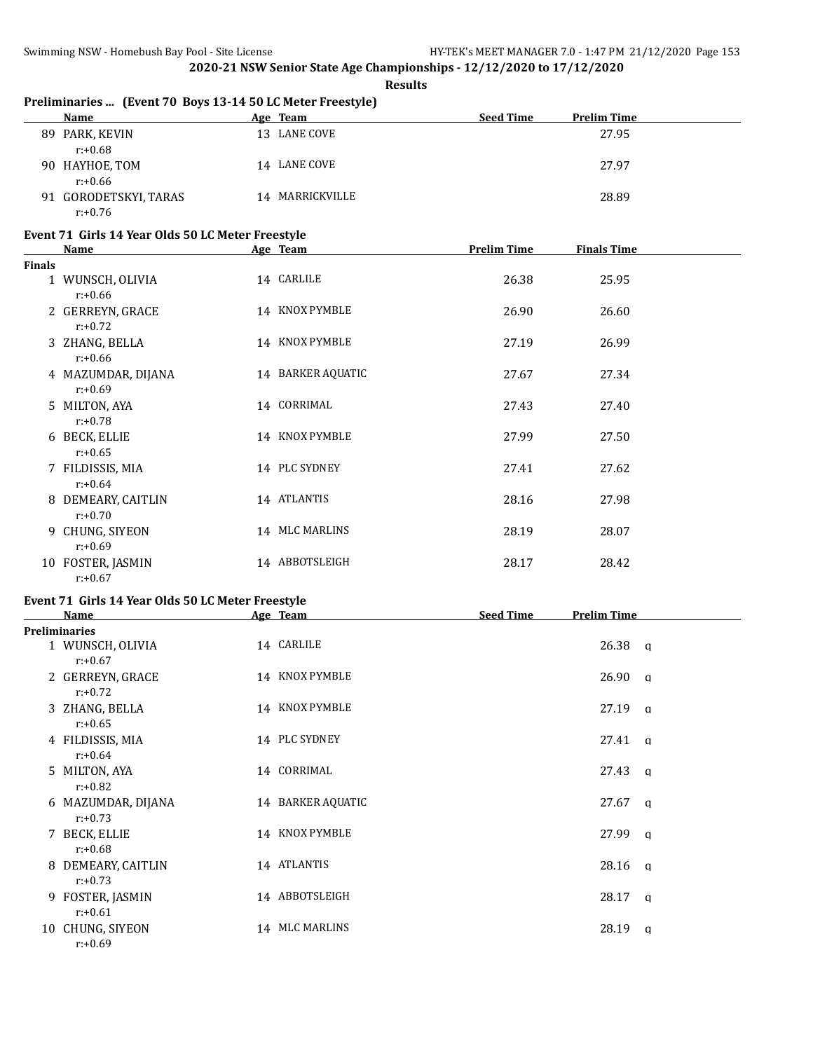**Results**

| Preliminaries  (Event 70 Boys 13-14 50 LC Meter Freestyle) |  |
|------------------------------------------------------------|--|
|                                                            |  |

|    | <b>Name</b>                         |    | Age Team     | <b>Seed Time</b> | <b>Prelim Time</b> |
|----|-------------------------------------|----|--------------|------------------|--------------------|
| 89 | PARK, KEVIN<br>$r: +0.68$           |    | 13 LANE COVE |                  | 27.95              |
| 90 | HAYHOE, TOM<br>$r: +0.66$           |    | 14 LANE COVE |                  | 27.97              |
|    | 91 GORODETSKYI, TARAS<br>$r: +0.76$ | 14 | MARRICKVILLE |                  | 28.89              |

# **Event 71 Girls 14 Year Olds 50 LC Meter Freestyle**

|               | <b>Name</b>                      | Age Team          | <b>Prelim Time</b> | <b>Finals Time</b> |  |
|---------------|----------------------------------|-------------------|--------------------|--------------------|--|
| <b>Finals</b> |                                  |                   |                    |                    |  |
|               | 1 WUNSCH, OLIVIA<br>$r: +0.66$   | 14 CARLILE        | 26.38              | 25.95              |  |
|               | 2 GERREYN, GRACE<br>$r: +0.72$   | 14 KNOX PYMBLE    | 26.90              | 26.60              |  |
|               | 3 ZHANG, BELLA<br>$r: +0.66$     | 14 KNOX PYMBLE    | 27.19              | 26.99              |  |
|               | 4 MAZUMDAR, DIJANA<br>$r: +0.69$ | 14 BARKER AQUATIC | 27.67              | 27.34              |  |
|               | 5 MILTON, AYA<br>$r: +0.78$      | 14 CORRIMAL       | 27.43              | 27.40              |  |
|               | 6 BECK, ELLIE<br>$r: +0.65$      | 14 KNOX PYMBLE    | 27.99              | 27.50              |  |
|               | 7 FILDISSIS, MIA<br>$r: +0.64$   | 14 PLC SYDNEY     | 27.41              | 27.62              |  |
|               | 8 DEMEARY, CAITLIN<br>$r: +0.70$ | 14 ATLANTIS       | 28.16              | 27.98              |  |
|               | 9 CHUNG, SIYEON<br>$r: +0.69$    | 14 MLC MARLINS    | 28.19              | 28.07              |  |
|               | 10 FOSTER, JASMIN<br>$r: +0.67$  | 14 ABBOTSLEIGH    | 28.17              | 28.42              |  |

### **Event 71 Girls 14 Year Olds 50 LC Meter Freestyle**

| <b>Name</b>                      | Age Team          | <b>Seed Time</b> | <b>Prelim Time</b> |                |
|----------------------------------|-------------------|------------------|--------------------|----------------|
| <b>Preliminaries</b>             |                   |                  |                    |                |
| 1 WUNSCH, OLIVIA<br>$r: +0.67$   | 14 CARLILE        |                  | $26.38$ q          |                |
| 2 GERREYN, GRACE<br>$r: +0.72$   | 14 KNOX PYMBLE    |                  | 26.90              | $\alpha$       |
| 3 ZHANG, BELLA<br>$r: +0.65$     | 14 KNOX PYMBLE    |                  | $27.19$ q          |                |
| 4 FILDISSIS, MIA<br>$r: +0.64$   | 14 PLC SYDNEY     |                  | $27.41 \quad q$    |                |
| 5 MILTON, AYA<br>$r: +0.82$      | 14 CORRIMAL       |                  | $27.43 \text{ q}$  |                |
| 6 MAZUMDAR, DIJANA<br>$r: +0.73$ | 14 BARKER AQUATIC |                  | 27.67              | a              |
| 7 BECK, ELLIE<br>$r: +0.68$      | 14 KNOX PYMBLE    |                  | 27.99              | a              |
| 8 DEMEARY, CAITLIN<br>$r: +0.73$ | 14 ATLANTIS       |                  | 28.16              | <b>a</b>       |
| 9 FOSTER, JASMIN<br>$r: +0.61$   | 14 ABBOTSLEIGH    |                  | 28.17              | a              |
| 10 CHUNG, SIYEON<br>$r: +0.69$   | 14 MLC MARLINS    |                  | 28.19              | $\mathfrak{a}$ |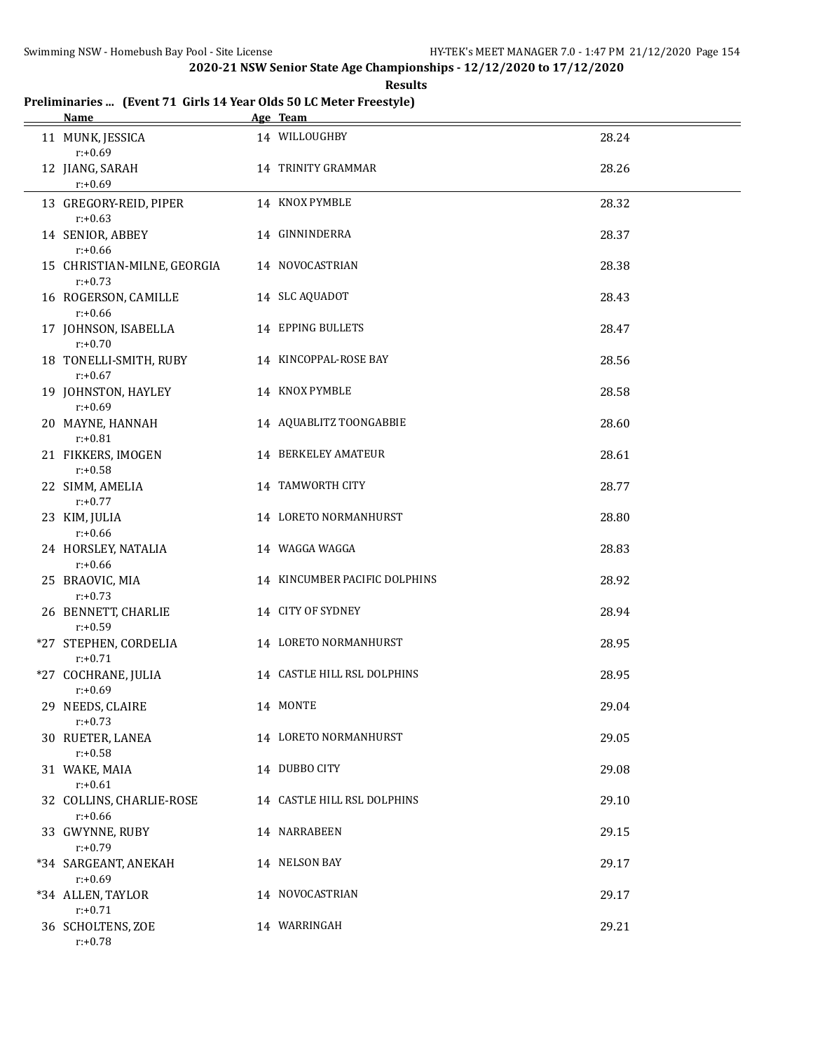**Results**

# **Preliminaries ... (Event 71 Girls 14 Year Olds 50 LC Meter Freestyle)**

| Name                                      | Age Team                      |       |
|-------------------------------------------|-------------------------------|-------|
| 11 MUNK, JESSICA<br>$r: +0.69$            | 14 WILLOUGHBY                 | 28.24 |
| 12 JIANG, SARAH<br>$r: +0.69$             | 14 TRINITY GRAMMAR            | 28.26 |
| 13 GREGORY-REID, PIPER<br>$r: +0.63$      | 14 KNOX PYMBLE                | 28.32 |
| 14 SENIOR, ABBEY<br>$r: +0.66$            | 14 GINNINDERRA                | 28.37 |
| 15 CHRISTIAN-MILNE, GEORGIA<br>$r: +0.73$ | 14 NOVOCASTRIAN               | 28.38 |
| 16 ROGERSON, CAMILLE<br>$r: +0.66$        | 14 SLC AQUADOT                | 28.43 |
| 17 JOHNSON, ISABELLA<br>$r: +0.70$        | 14 EPPING BULLETS             | 28.47 |
| 18 TONELLI-SMITH, RUBY<br>$r: +0.67$      | 14 KINCOPPAL-ROSE BAY         | 28.56 |
| 19 JOHNSTON, HAYLEY<br>$r: +0.69$         | 14 KNOX PYMBLE                | 28.58 |
| 20 MAYNE, HANNAH<br>$r: +0.81$            | 14 AQUABLITZ TOONGABBIE       | 28.60 |
| 21 FIKKERS, IMOGEN<br>$r: +0.58$          | 14 BERKELEY AMATEUR           | 28.61 |
| 22 SIMM, AMELIA<br>$r: +0.77$             | 14 TAMWORTH CITY              | 28.77 |
| 23 KIM, JULIA<br>$r: +0.66$               | 14 LORETO NORMANHURST         | 28.80 |
| 24 HORSLEY, NATALIA<br>$r: +0.66$         | 14 WAGGA WAGGA                | 28.83 |
| 25 BRAOVIC, MIA<br>$r: +0.73$             | 14 KINCUMBER PACIFIC DOLPHINS | 28.92 |
| 26 BENNETT, CHARLIE<br>$r: +0.59$         | 14 CITY OF SYDNEY             | 28.94 |
| *27 STEPHEN, CORDELIA<br>$r: +0.71$       | 14 LORETO NORMANHURST         | 28.95 |
| *27 COCHRANE, JULIA<br>$r: +0.69$         | 14 CASTLE HILL RSL DOLPHINS   | 28.95 |
| 29 NEEDS, CLAIRE<br>$r: +0.73$            | 14 MONTE                      | 29.04 |
| 30 RUETER, LANEA<br>$r: +0.58$            | 14 LORETO NORMANHURST         | 29.05 |
| 31 WAKE, MAIA<br>$r: +0.61$               | 14 DUBBO CITY                 | 29.08 |
| 32 COLLINS, CHARLIE-ROSE<br>$r: +0.66$    | 14 CASTLE HILL RSL DOLPHINS   | 29.10 |
| 33 GWYNNE, RUBY<br>$r: +0.79$             | 14 NARRABEEN                  | 29.15 |
| *34 SARGEANT, ANEKAH<br>$r: +0.69$        | 14 NELSON BAY                 | 29.17 |
| *34 ALLEN, TAYLOR<br>$r: +0.71$           | 14 NOVOCASTRIAN               | 29.17 |
| 36 SCHOLTENS, ZOE<br>$r: +0.78$           | 14 WARRINGAH                  | 29.21 |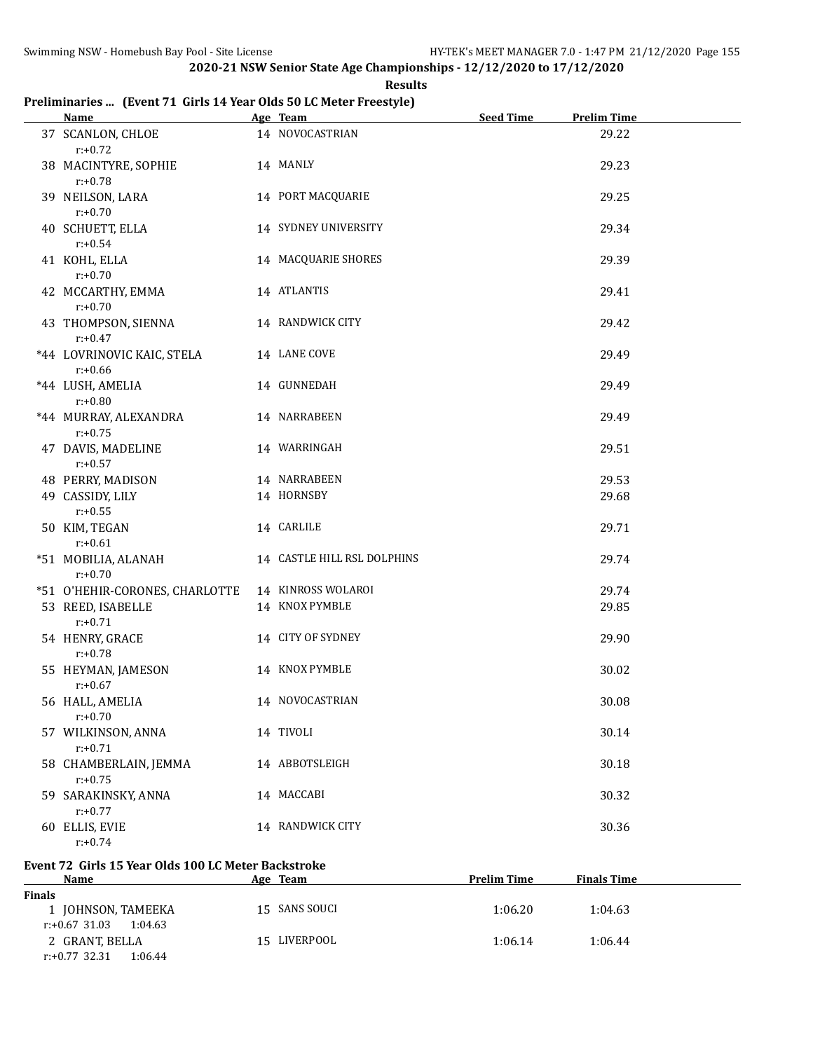**Results**

# **Preliminaries ... (Event 71 Girls 14 Year Olds 50 LC Meter Freestyle)**

| <b>Name</b>                              | Age Team                    | <b>Seed Time</b> | <b>Prelim Time</b> |
|------------------------------------------|-----------------------------|------------------|--------------------|
| 37 SCANLON, CHLOE<br>$r: +0.72$          | 14 NOVOCASTRIAN             |                  | 29.22              |
| 38 MACINTYRE, SOPHIE<br>$r: +0.78$       | 14 MANLY                    |                  | 29.23              |
| 39 NEILSON, LARA<br>$r: +0.70$           | 14 PORT MACQUARIE           |                  | 29.25              |
| 40 SCHUETT, ELLA<br>$r: +0.54$           | 14 SYDNEY UNIVERSITY        |                  | 29.34              |
| 41 KOHL, ELLA<br>$r: +0.70$              | 14 MACQUARIE SHORES         |                  | 29.39              |
| 42 MCCARTHY, EMMA<br>$r: +0.70$          | 14 ATLANTIS                 |                  | 29.41              |
| 43 THOMPSON, SIENNA<br>$r: +0.47$        | 14 RANDWICK CITY            |                  | 29.42              |
| *44 LOVRINOVIC KAIC, STELA<br>$r: +0.66$ | 14 LANE COVE                |                  | 29.49              |
| *44 LUSH, AMELIA<br>$r: +0.80$           | 14 GUNNEDAH                 |                  | 29.49              |
| *44 MURRAY, ALEXANDRA<br>$r: +0.75$      | 14 NARRABEEN                |                  | 29.49              |
| 47 DAVIS, MADELINE<br>$r: +0.57$         | 14 WARRINGAH                |                  | 29.51              |
| 48 PERRY, MADISON                        | 14 NARRABEEN                |                  | 29.53              |
| 49 CASSIDY, LILY                         | 14 HORNSBY                  |                  | 29.68              |
| $r: +0.55$                               |                             |                  |                    |
| 50 KIM, TEGAN<br>$r: +0.61$              | 14 CARLILE                  |                  | 29.71              |
| *51 MOBILIA, ALANAH<br>$r: +0.70$        | 14 CASTLE HILL RSL DOLPHINS |                  | 29.74              |
| *51 O'HEHIR-CORONES, CHARLOTTE           | 14 KINROSS WOLAROI          |                  | 29.74              |
| 53 REED, ISABELLE<br>$r: +0.71$          | 14 KNOX PYMBLE              |                  | 29.85              |
| 54 HENRY, GRACE<br>$r: +0.78$            | 14 CITY OF SYDNEY           |                  | 29.90              |
| 55 HEYMAN, JAMESON<br>$r: +0.67$         | 14 KNOX PYMBLE              |                  | 30.02              |
| 56 HALL, AMELIA<br>$r: +0.70$            | 14 NOVOCASTRIAN             |                  | 30.08              |
| 57 WILKINSON, ANNA<br>$r: +0.71$         | 14 TIVOLI                   |                  | 30.14              |
| 58 CHAMBERLAIN, JEMMA<br>$r: +0.75$      | 14 ABBOTSLEIGH              |                  | 30.18              |
| 59 SARAKINSKY, ANNA<br>$r: +0.77$        | 14 MACCABI                  |                  | 30.32              |
| 60 ELLIS, EVIE<br>$r: +0.74$             | 14 RANDWICK CITY            |                  | 30.36              |

### **Event 72 Girls 15 Year Olds 100 LC Meter Backstroke**

| <b>Name</b>                 | Age Team      | <b>Prelim Time</b> | <b>Finals Time</b> |  |
|-----------------------------|---------------|--------------------|--------------------|--|
| <b>Finals</b>               |               |                    |                    |  |
| 1 JOHNSON, TAMEEKA          | 15 SANS SOUCI | 1:06.20            | 1:04.63            |  |
| r:+0.67 31.03<br>1:04.63    |               |                    |                    |  |
| 2 GRANT, BELLA              | 15 LIVERPOOL  | 1:06.14            | 1:06.44            |  |
| 1:06.44<br>$r: +0.77$ 32.31 |               |                    |                    |  |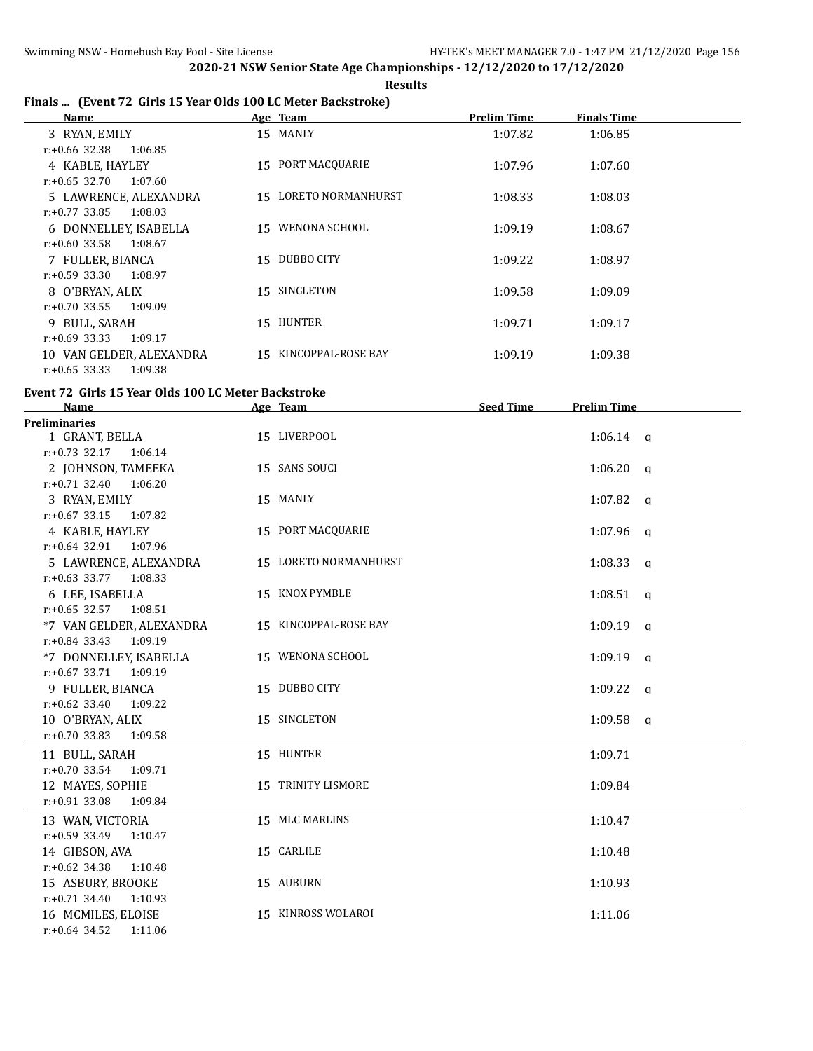# **Results**

|  |  |  | Finals  (Event 72 Girls 15 Year Olds 100 LC Meter Backstroke) |
|--|--|--|---------------------------------------------------------------|
|--|--|--|---------------------------------------------------------------|

| Name                        | Age Team              | <b>Prelim Time</b> | <b>Finals Time</b> |  |
|-----------------------------|-----------------------|--------------------|--------------------|--|
| 3 RYAN, EMILY               | 15 MANLY              | 1:07.82            | 1:06.85            |  |
| r:+0.66 32.38<br>1:06.85    |                       |                    |                    |  |
| 4 KABLE, HAYLEY             | 15 PORT MACOUARIE     | 1:07.96            | 1:07.60            |  |
| r:+0.65 32.70<br>1:07.60    |                       |                    |                    |  |
| 5 LAWRENCE, ALEXANDRA       | 15 LORETO NORMANHURST | 1:08.33            | 1:08.03            |  |
| $r: +0.77$ 33.85<br>1:08.03 |                       |                    |                    |  |
| 6 DONNELLEY, ISABELLA       | 15 WENONA SCHOOL      | 1:09.19            | 1:08.67            |  |
| r:+0.60 33.58<br>1:08.67    |                       |                    |                    |  |
| 7 FULLER, BIANCA            | 15 DUBBO CITY         | 1:09.22            | 1:08.97            |  |
| r:+0.59 33.30<br>1:08.97    |                       |                    |                    |  |
| 8 O'BRYAN, ALIX             | 15 SINGLETON          | 1:09.58            | 1:09.09            |  |
| 1:09.09<br>r:+0.70 33.55    |                       |                    |                    |  |
| 9 BULL, SARAH               | 15 HUNTER             | 1:09.71            | 1:09.17            |  |
| r:+0.69 33.33<br>1:09.17    |                       |                    |                    |  |
| 10 VAN GELDER, ALEXANDRA    | 15 KINCOPPAL-ROSE BAY | 1:09.19            | 1:09.38            |  |
| $r: +0.65$ 33.33<br>1:09.38 |                       |                    |                    |  |

#### **Event 72 Girls 15 Year Olds 100 LC Meter Backstroke**

| <b>Name</b>                                      | Age Team              | <b>Seed Time</b> | <b>Prelim Time</b> |
|--------------------------------------------------|-----------------------|------------------|--------------------|
| <b>Preliminaries</b>                             |                       |                  |                    |
| 1 GRANT, BELLA                                   | 15 LIVERPOOL          |                  | $1:06.14$ a        |
| $r: +0.73$ 32.17<br>1:06.14                      |                       |                  |                    |
| 2 JOHNSON, TAMEEKA                               | 15 SANS SOUCI         |                  | $1:06.20$ q        |
| $r: +0.71$ 32.40 1:06.20                         |                       |                  |                    |
| 3 RYAN, EMILY                                    | 15 MANLY              |                  | 1:07.82 $q$        |
| $r: +0.67$ 33.15<br>1:07.82                      |                       |                  |                    |
| 4 KABLE, HAYLEY                                  | 15 PORT MACQUARIE     |                  | $1:07.96$ q        |
| $r: +0.64$ 32.91<br>1:07.96                      |                       |                  |                    |
| 5 LAWRENCE, ALEXANDRA                            | 15 LORETO NORMANHURST |                  | $1:08.33$ a        |
| $r: +0.63$ 33.77 1:08.33                         |                       |                  |                    |
| 6 LEE, ISABELLA                                  | 15 KNOX PYMBLE        |                  | $1:08.51$ a        |
| $r: +0.65$ 32.57 1:08.51                         |                       |                  |                    |
| *7 VAN GELDER, ALEXANDRA                         | 15 KINCOPPAL-ROSE BAY |                  | $1:09.19$ q        |
| r:+0.84 33.43 1:09.19                            |                       |                  |                    |
| *7 DONNELLEY, ISABELLA                           | 15 WENONA SCHOOL      |                  | $1:09.19$ q        |
| $r: +0.67$ 33.71<br>1:09.19                      |                       |                  |                    |
| 9 FULLER, BIANCA                                 | 15 DUBBO CITY         |                  | $1:09.22$ q        |
| $r: +0.62$ 33.40<br>1:09.22                      |                       |                  |                    |
| 10 O'BRYAN, ALIX                                 | 15 SINGLETON          |                  | $1:09.58$ a        |
| $r: +0.70$ 33.83<br>1:09.58                      |                       |                  |                    |
| 11 BULL, SARAH                                   | 15 HUNTER             |                  | 1:09.71            |
| $r: +0.70$ 33.54<br>1:09.71                      |                       |                  |                    |
| 12 MAYES, SOPHIE                                 | 15 TRINITY LISMORE    |                  | 1:09.84            |
| $r: +0.91$ 33.08<br>1:09.84                      |                       |                  |                    |
| 13 WAN, VICTORIA                                 | 15 MLC MARLINS        |                  | 1:10.47            |
| $r: +0.59$ 33.49<br>1:10.47                      |                       |                  |                    |
| 14 GIBSON, AVA                                   | 15 CARLILE            |                  | 1:10.48            |
| $r: +0.62$ 34.38<br>1:10.48                      |                       |                  |                    |
|                                                  | 15 AUBURN             |                  |                    |
| 15 ASBURY, BROOKE<br>$r: +0.71$ 34.40<br>1:10.93 |                       |                  | 1:10.93            |
|                                                  | 15 KINROSS WOLAROI    |                  |                    |
| 16 MCMILES, ELOISE                               |                       |                  | 1:11.06            |
| $r: +0.64$ 34.52<br>1:11.06                      |                       |                  |                    |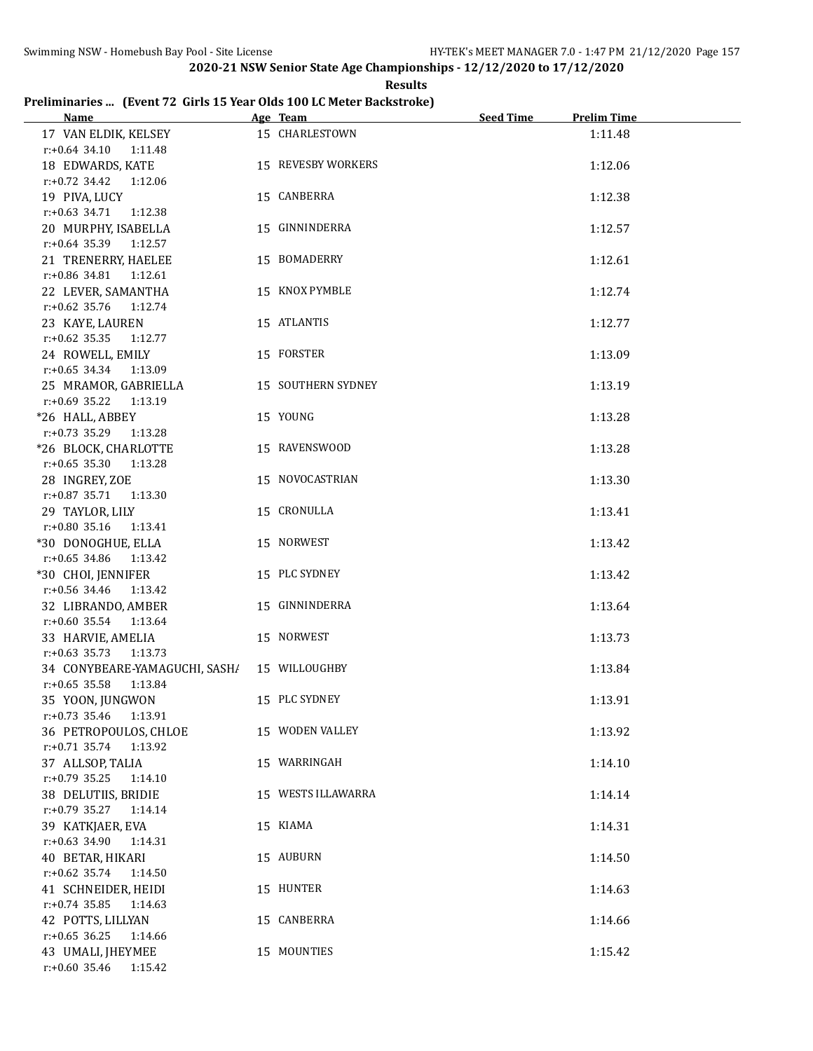**Results**

# **Preliminaries ... (Event 72 Girls 15 Year Olds 100 LC Meter Backstroke)**

| <b>Name</b>                   | Age Team           | <b>Seed Time</b> | <b>Prelim Time</b> |
|-------------------------------|--------------------|------------------|--------------------|
| 17 VAN ELDIK, KELSEY          | 15 CHARLESTOWN     |                  | 1:11.48            |
| r:+0.64 34.10 1:11.48         |                    |                  |                    |
| 18 EDWARDS, KATE              | 15 REVESBY WORKERS |                  | 1:12.06            |
| r:+0.72 34.42 1:12.06         |                    |                  |                    |
| 19 PIVA, LUCY                 | 15 CANBERRA        |                  | 1:12.38            |
| $r: +0.63$ 34.71 1:12.38      |                    |                  |                    |
| 20 MURPHY, ISABELLA           | 15 GINNINDERRA     |                  | 1:12.57            |
| $r: +0.64$ 35.39 1:12.57      |                    |                  |                    |
| 21 TRENERRY, HAELEE           | 15 BOMADERRY       |                  | 1:12.61            |
| $r: +0.86$ 34.81 1:12.61      |                    |                  |                    |
|                               |                    |                  |                    |
| 22 LEVER, SAMANTHA            | 15 KNOX PYMBLE     |                  | 1:12.74            |
| r:+0.62 35.76 1:12.74         |                    |                  |                    |
| 23 KAYE, LAUREN               | 15 ATLANTIS        |                  | 1:12.77            |
| r:+0.62 35.35 1:12.77         |                    |                  |                    |
| 24 ROWELL, EMILY              | 15 FORSTER         |                  | 1:13.09            |
| $r: +0.65$ 34.34 1:13.09      |                    |                  |                    |
| 25 MRAMOR, GABRIELLA          | 15 SOUTHERN SYDNEY |                  | 1:13.19            |
| $r: +0.69$ 35.22<br>1:13.19   |                    |                  |                    |
| *26 HALL, ABBEY               | 15 YOUNG           |                  | 1:13.28            |
| $r: +0.73$ 35.29<br>1:13.28   |                    |                  |                    |
| *26 BLOCK, CHARLOTTE          | 15 RAVENSWOOD      |                  | 1:13.28            |
| $r: +0.65$ 35.30<br>1:13.28   |                    |                  |                    |
| 28 INGREY, ZOE                | 15 NOVOCASTRIAN    |                  | 1:13.30            |
| $r: +0.87$ 35.71<br>1:13.30   |                    |                  |                    |
| 29 TAYLOR, LILY               | 15 CRONULLA        |                  | 1:13.41            |
| $r: +0.80$ 35.16<br>1:13.41   |                    |                  |                    |
| *30 DONOGHUE, ELLA            | 15 NORWEST         |                  | 1:13.42            |
| $r: +0.65$ 34.86<br>1:13.42   |                    |                  |                    |
| *30 CHOI, JENNIFER            | 15 PLC SYDNEY      |                  | 1:13.42            |
| r:+0.56 34.46<br>1:13.42      |                    |                  |                    |
| 32 LIBRANDO, AMBER            | 15 GINNINDERRA     |                  | 1:13.64            |
| $r: +0.60$ 35.54<br>1:13.64   |                    |                  |                    |
| 33 HARVIE, AMELIA             | 15 NORWEST         |                  | 1:13.73            |
| $r.+0.63$ 35.73 1:13.73       |                    |                  |                    |
| 34 CONYBEARE-YAMAGUCHI, SASH/ | 15 WILLOUGHBY      |                  | 1:13.84            |
| $r: +0.65$ 35.58<br>1:13.84   |                    |                  |                    |
| 35 YOON, JUNGWON              | 15 PLC SYDNEY      |                  | 1:13.91            |
| $r.+0.73$ 35.46<br>1:13.91    |                    |                  |                    |
| 36 PETROPOULOS, CHLOE         | 15 WODEN VALLEY    |                  | 1:13.92            |
| $r.+0.71$ 35.74<br>1:13.92    |                    |                  |                    |
| 37 ALLSOP, TALIA              | 15 WARRINGAH       |                  | 1:14.10            |
| $r: +0.79$ 35.25<br>1:14.10   |                    |                  |                    |
| 38 DELUTIIS, BRIDIE           | 15 WESTS ILLAWARRA |                  | 1:14.14            |
| $r: +0.79$ 35.27<br>1:14.14   |                    |                  |                    |
| 39 KATKJAER, EVA              | 15 KIAMA           |                  | 1:14.31            |
| $r: +0.63$ 34.90<br>1:14.31   |                    |                  |                    |
| 40 BETAR, HIKARI              | 15 AUBURN          |                  | 1:14.50            |
| $r: +0.62$ 35.74<br>1:14.50   |                    |                  |                    |
| 41 SCHNEIDER, HEIDI           | 15 HUNTER          |                  | 1:14.63            |
| $r: +0.74$ 35.85<br>1:14.63   |                    |                  |                    |
| 42 POTTS, LILLYAN             | 15 CANBERRA        |                  | 1:14.66            |
| $r: +0.65$ 36.25<br>1:14.66   |                    |                  |                    |
| 43 UMALI, JHEYMEE             | 15 MOUNTIES        |                  | 1:15.42            |
| $r: +0.60$ 35.46<br>1:15.42   |                    |                  |                    |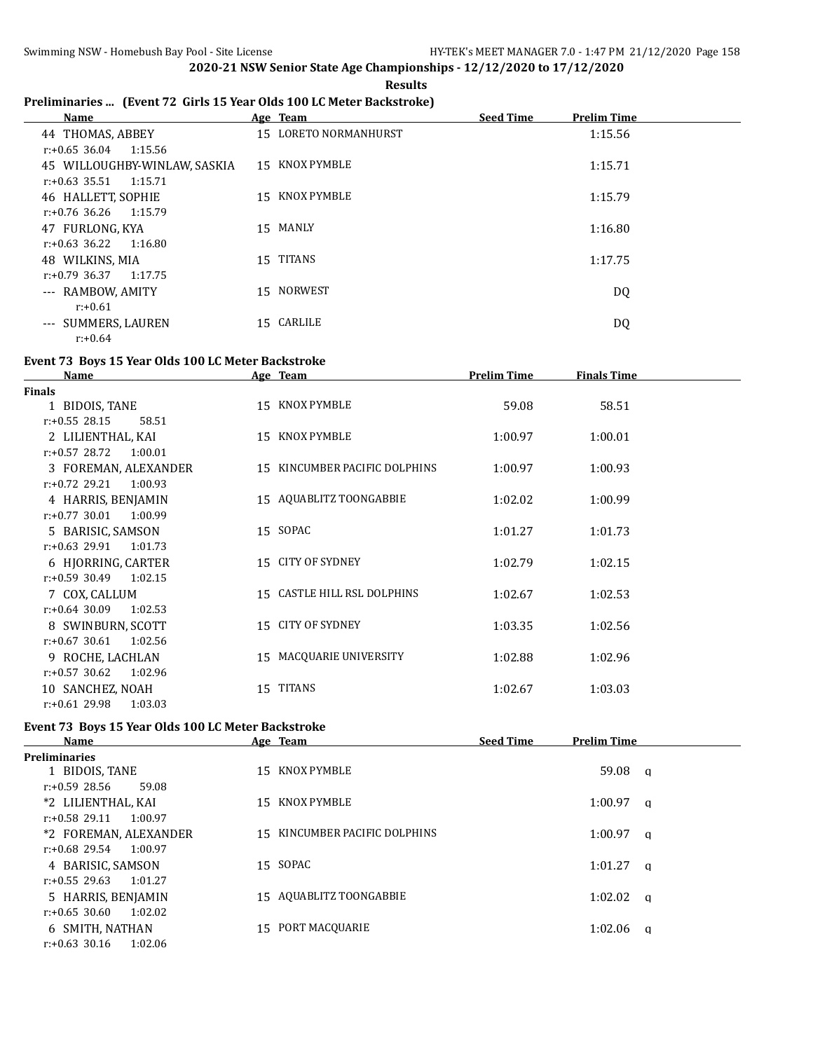# **Preliminaries ... (Event 72 Girls 15 Year Olds 100 LC Meter Backstroke)**

| Name                         |    | Age Team           | <b>Seed Time</b> | <b>Prelim Time</b> |
|------------------------------|----|--------------------|------------------|--------------------|
| 44 THOMAS, ABBEY             | 15 | LORETO NORMANHURST |                  | 1:15.56            |
| $r: +0.65$ 36.04<br>1:15.56  |    |                    |                  |                    |
| 45 WILLOUGHBY-WINLAW, SASKIA | 15 | KNOX PYMBLE        |                  | 1:15.71            |
| $r: +0.63$ 35.51<br>1:15.71  |    |                    |                  |                    |
| 46 HALLETT, SOPHIE           | 15 | KNOX PYMBLE        |                  | 1:15.79            |
| 1:15.79<br>r:+0.76 36.26     |    |                    |                  |                    |
| 47 FURLONG, KYA              | 15 | MANLY              |                  | 1:16.80            |
| 1:16.80<br>$r: +0.63$ 36.22  |    |                    |                  |                    |
| 48 WILKINS, MIA              |    | 15 TITANS          |                  | 1:17.75            |
| $r: +0.79$ 36.37<br>1:17.75  |    |                    |                  |                    |
| --- RAMBOW, AMITY            | 15 | <b>NORWEST</b>     |                  | DQ                 |
| $r: +0.61$                   |    |                    |                  |                    |
| --- SUMMERS, LAUREN          | 15 | CARLILE            |                  | DQ                 |
| $r: +0.64$                   |    |                    |                  |                    |

# **Event 73 Boys 15 Year Olds 100 LC Meter Backstroke**

| <b>Name</b>                 | Age Team                      | <b>Prelim Time</b> | <b>Finals Time</b> |  |
|-----------------------------|-------------------------------|--------------------|--------------------|--|
| <b>Finals</b>               |                               |                    |                    |  |
| 1 BIDOIS, TANE              | 15 KNOX PYMBLE                | 59.08              | 58.51              |  |
| $r: +0.55$ 28.15<br>58.51   |                               |                    |                    |  |
| 2 LILIENTHAL, KAI           | 15 KNOX PYMBLE                | 1:00.97            | 1:00.01            |  |
| $r: +0.57$ 28.72<br>1:00.01 |                               |                    |                    |  |
| 3 FOREMAN, ALEXANDER        | 15 KINCUMBER PACIFIC DOLPHINS | 1:00.97            | 1:00.93            |  |
| $r: +0.72$ 29.21<br>1:00.93 |                               |                    |                    |  |
| 4 HARRIS, BENJAMIN          | 15 AQUABLITZ TOONGABBIE       | 1:02.02            | 1:00.99            |  |
| $r: +0.77$ 30.01<br>1:00.99 |                               |                    |                    |  |
| 5 BARISIC, SAMSON           | 15 SOPAC                      | 1:01.27            | 1:01.73            |  |
| $r: +0.63$ 29.91<br>1:01.73 |                               |                    |                    |  |
| 6 HJORRING, CARTER          | 15 CITY OF SYDNEY             | 1:02.79            | 1:02.15            |  |
| $r: +0.59$ 30.49<br>1:02.15 |                               |                    |                    |  |
| 7 COX, CALLUM               | 15 CASTLE HILL RSL DOLPHINS   | 1:02.67            | 1:02.53            |  |
| $r: +0.64$ 30.09<br>1:02.53 |                               |                    |                    |  |
| 8 SWINBURN, SCOTT           | 15 CITY OF SYDNEY             | 1:03.35            | 1:02.56            |  |
| $r: +0.67$ 30.61<br>1:02.56 |                               |                    |                    |  |
| 9 ROCHE, LACHLAN            | 15 MACQUARIE UNIVERSITY       | 1:02.88            | 1:02.96            |  |
| $r: +0.57$ 30.62<br>1:02.96 |                               |                    |                    |  |
| 10 SANCHEZ, NOAH            | 15 TITANS                     | 1:02.67            | 1:03.03            |  |
| $r: +0.61$ 29.98<br>1:03.03 |                               |                    |                    |  |

# **Event 73 Boys 15 Year Olds 100 LC Meter Backstroke**

| Name                        | Age Team                      | <b>Seed Time</b> | <b>Prelim Time</b> |  |
|-----------------------------|-------------------------------|------------------|--------------------|--|
| <b>Preliminaries</b>        |                               |                  |                    |  |
| 1 BIDOIS, TANE              | 15 KNOX PYMBLE                |                  | $59.08 \text{ a}$  |  |
| $r: +0.59$ 28.56<br>59.08   |                               |                  |                    |  |
| *2 LILIENTHAL, KAI          | 15 KNOX PYMBLE                |                  | $1:00.97$ a        |  |
| $r: +0.58$ 29.11<br>1:00.97 |                               |                  |                    |  |
| *2 FOREMAN, ALEXANDER       | 15 KINCUMBER PACIFIC DOLPHINS |                  | $1:00.97$ a        |  |
| r:+0.68 29.54<br>1:00.97    |                               |                  |                    |  |
| 4 BARISIC, SAMSON           | 15 SOPAC                      |                  | $1:01.27$ a        |  |
| r:+0.55 29.63<br>1:01.27    |                               |                  |                    |  |
| 5 HARRIS, BENJAMIN          | 15 AQUABLITZ TOONGABBIE       |                  | $1:02.02$ a        |  |
| $r: +0.65$ 30.60<br>1:02.02 |                               |                  |                    |  |
| 6 SMITH, NATHAN             | 15 PORT MACOUARIE             |                  | $1:02.06$ a        |  |
| $r: +0.63$ 30.16<br>1:02.06 |                               |                  |                    |  |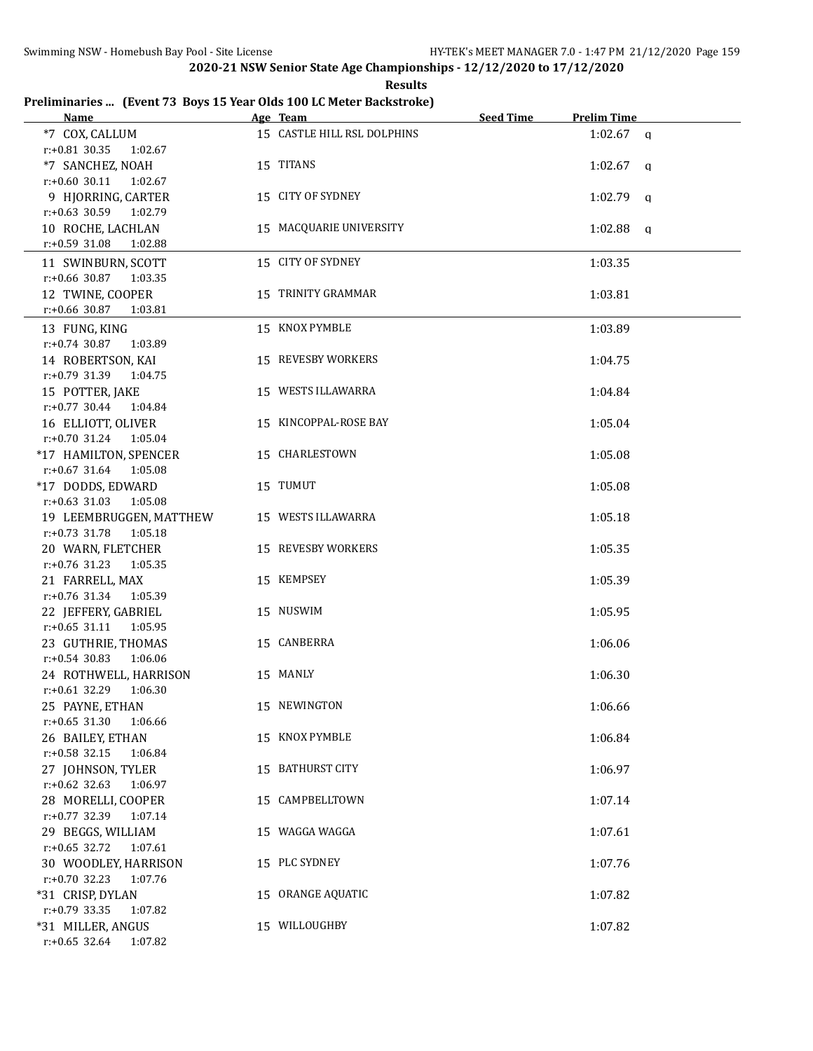**Results**

# **Preliminaries ... (Event 73 Boys 15 Year Olds 100 LC Meter Backstroke)**

| <b>Name</b>                 | Age Team                    | <b>Seed Time</b> | <b>Prelim Time</b> |
|-----------------------------|-----------------------------|------------------|--------------------|
| *7 COX, CALLUM              | 15 CASTLE HILL RSL DOLPHINS |                  | $1:02.67$ a        |
| $r.+0.81$ 30.35 1:02.67     |                             |                  |                    |
| *7 SANCHEZ, NOAH            | 15 TITANS                   |                  | $1:02.67$ a        |
| $r: +0.60$ 30.11 1:02.67    |                             |                  |                    |
| 9 HJORRING, CARTER          | 15 CITY OF SYDNEY           |                  | $1:02.79$ q        |
| r:+0.63 30.59 1:02.79       |                             |                  |                    |
| 10 ROCHE, LACHLAN           | 15 MACQUARIE UNIVERSITY     |                  | $1:02.88$ q        |
| $r: +0.59$ 31.08<br>1:02.88 |                             |                  |                    |
| 11 SWINBURN, SCOTT          | 15 CITY OF SYDNEY           |                  | 1:03.35            |
| $r: +0.66$ 30.87<br>1:03.35 |                             |                  |                    |
| 12 TWINE, COOPER            | 15 TRINITY GRAMMAR          |                  | 1:03.81            |
| $r: +0.66$ 30.87<br>1:03.81 |                             |                  |                    |
| 13 FUNG, KING               | 15 KNOX PYMBLE              |                  | 1:03.89            |
| $r: +0.74$ 30.87<br>1:03.89 |                             |                  |                    |
| 14 ROBERTSON, KAI           | 15 REVESBY WORKERS          |                  | 1:04.75            |
| $r: +0.79$ 31.39 1:04.75    |                             |                  |                    |
| 15 POTTER, JAKE             | 15 WESTS ILLAWARRA          |                  | 1:04.84            |
| $r.+0.77$ 30.44 1:04.84     |                             |                  |                    |
| 16 ELLIOTT, OLIVER          | 15 KINCOPPAL-ROSE BAY       |                  | 1:05.04            |
| $r: +0.70$ 31.24 1:05.04    |                             |                  |                    |
| *17 HAMILTON, SPENCER       | 15 CHARLESTOWN              |                  | 1:05.08            |
| $r: +0.67$ 31.64 1:05.08    |                             |                  |                    |
| *17 DODDS, EDWARD           | 15 TUMUT                    |                  | 1:05.08            |
| $r: +0.63$ 31.03<br>1:05.08 |                             |                  |                    |
| 19 LEEMBRUGGEN, MATTHEW     | 15 WESTS ILLAWARRA          |                  | 1:05.18            |
| $r: +0.73$ 31.78<br>1:05.18 |                             |                  |                    |
| 20 WARN, FLETCHER           | 15 REVESBY WORKERS          |                  | 1:05.35            |
| $r: +0.76$ 31.23<br>1:05.35 |                             |                  |                    |
| 21 FARRELL, MAX             | 15 KEMPSEY                  |                  | 1:05.39            |
| r:+0.76 31.34 1:05.39       |                             |                  |                    |
| 22 JEFFERY, GABRIEL         | 15 NUSWIM                   |                  | 1:05.95            |
| r:+0.65 31.11 1:05.95       |                             |                  |                    |
| 23 GUTHRIE, THOMAS          | 15 CANBERRA                 |                  | 1:06.06            |
| $r: +0.54$ 30.83 1:06.06    |                             |                  |                    |
| 24 ROTHWELL, HARRISON       | 15 MANLY                    |                  | 1:06.30            |
| r:+0.61 32.29 1:06.30       |                             |                  |                    |
| 25 PAYNE, ETHAN             | 15 NEWINGTON                |                  | 1:06.66            |
| $r: +0.65$ 31.30<br>1:06.66 |                             |                  |                    |
| 26 BAILEY, ETHAN            | 15 KNOX PYMBLE              |                  | 1:06.84            |
| r:+0.58 32.15<br>1:06.84    |                             |                  |                    |
| 27 JOHNSON, TYLER           | 15 BATHURST CITY            |                  | 1:06.97            |
| $r: +0.62$ 32.63<br>1:06.97 |                             |                  |                    |
| 28 MORELLI, COOPER          | 15 CAMPBELLTOWN             |                  | 1:07.14            |
| $r: +0.77$ 32.39<br>1:07.14 |                             |                  |                    |
| 29 BEGGS, WILLIAM           | 15 WAGGA WAGGA              |                  | 1:07.61            |
| $r: +0.65$ 32.72<br>1:07.61 |                             |                  |                    |
| 30 WOODLEY, HARRISON        | 15 PLC SYDNEY               |                  | 1:07.76            |
| $r: +0.70$ 32.23<br>1:07.76 |                             |                  |                    |
| *31 CRISP, DYLAN            | 15 ORANGE AQUATIC           |                  | 1:07.82            |
| $r: +0.79$ 33.35<br>1:07.82 |                             |                  |                    |
| *31 MILLER, ANGUS           | 15 WILLOUGHBY               |                  | 1:07.82            |
| $r: +0.65$ 32.64<br>1:07.82 |                             |                  |                    |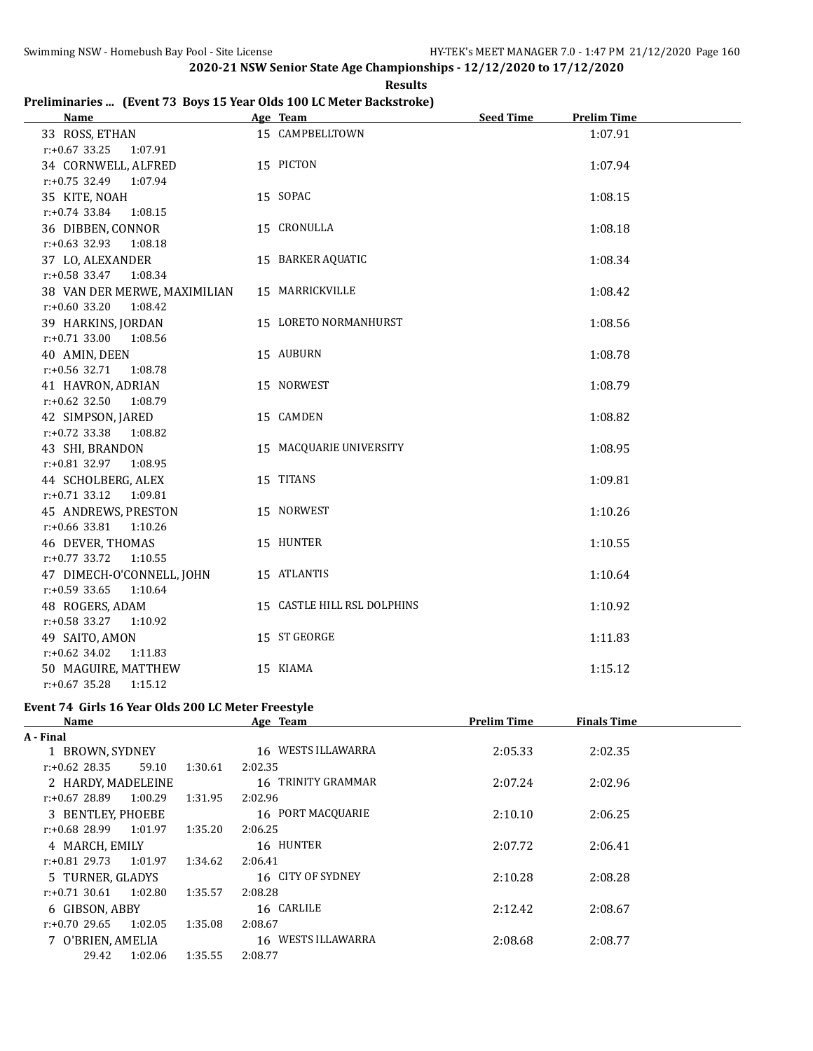**Results**

# **Preliminaries ... (Event 73 Boys 15 Year Olds 100 LC Meter Backstroke)**

| <b>Name</b>                                  | Age Team                    | <b>Seed Time</b> | <b>Prelim Time</b> |
|----------------------------------------------|-----------------------------|------------------|--------------------|
| 33 ROSS, ETHAN                               | 15 CAMPBELLTOWN             |                  | 1:07.91            |
| $r: +0.67$ 33.25<br>1:07.91                  |                             |                  |                    |
| 34 CORNWELL, ALFRED                          | 15 PICTON                   |                  | 1:07.94            |
| r:+0.75 32.49 1:07.94                        |                             |                  |                    |
| 35 KITE, NOAH                                | 15 SOPAC                    |                  | 1:08.15            |
| r:+0.74 33.84<br>1:08.15                     |                             |                  |                    |
| 36 DIBBEN, CONNOR                            | 15 CRONULLA                 |                  | 1:08.18            |
| $r: +0.63$ 32.93<br>1:08.18                  |                             |                  |                    |
| 37 LO, ALEXANDER                             | 15 BARKER AQUATIC           |                  | 1:08.34            |
| $r: +0.58$ 33.47<br>1:08.34                  |                             |                  |                    |
| 38 VAN DER MERWE, MAXIMILIAN                 | 15 MARRICKVILLE             |                  | 1:08.42            |
| $r: +0.60$ 33.20<br>1:08.42                  |                             |                  |                    |
| 39 HARKINS, JORDAN                           | 15 LORETO NORMANHURST       |                  | 1:08.56            |
| $r.+0.71$ 33.00 1:08.56                      | 15 AUBURN                   |                  |                    |
| 40 AMIN, DEEN<br>$r: +0.56$ 32.71<br>1:08.78 |                             |                  | 1:08.78            |
| 41 HAVRON, ADRIAN                            | 15 NORWEST                  |                  | 1:08.79            |
| $r: +0.62$ 32.50<br>1:08.79                  |                             |                  |                    |
| 42 SIMPSON, JARED                            | 15 CAMDEN                   |                  | 1:08.82            |
| $r: +0.72$ 33.38<br>1:08.82                  |                             |                  |                    |
| 43 SHI, BRANDON                              | 15 MACQUARIE UNIVERSITY     |                  | 1:08.95            |
| r:+0.81 32.97<br>1:08.95                     |                             |                  |                    |
| 44 SCHOLBERG, ALEX                           | 15 TITANS                   |                  | 1:09.81            |
| r:+0.71 33.12 1:09.81                        |                             |                  |                    |
| 45 ANDREWS, PRESTON                          | 15 NORWEST                  |                  | 1:10.26            |
| $r: +0.66$ 33.81<br>1:10.26                  |                             |                  |                    |
| 46 DEVER, THOMAS                             | 15 HUNTER                   |                  | 1:10.55            |
| $r: +0.77$ 33.72<br>1:10.55                  |                             |                  |                    |
| 47 DIMECH-O'CONNELL, JOHN                    | 15 ATLANTIS                 |                  | 1:10.64            |
| $r: +0.59$ 33.65<br>1:10.64                  |                             |                  |                    |
| 48 ROGERS, ADAM                              | 15 CASTLE HILL RSL DOLPHINS |                  | 1:10.92            |
| $r: +0.58$ 33.27<br>1:10.92                  |                             |                  |                    |
| 49 SAITO, AMON                               | 15 ST GEORGE                |                  | 1:11.83            |
| $r: +0.62$ 34.02<br>1:11.83                  |                             |                  |                    |
| 50 MAGUIRE, MATTHEW                          | 15 KIAMA                    |                  | 1:15.12            |
| $r: +0.67$ 35.28<br>1:15.12                  |                             |                  |                    |

# **Event 74 Girls 16 Year Olds 200 LC Meter Freestyle**

|                    |         | Age Team           | <b>Prelim Time</b> | <b>Finals Time</b> |  |
|--------------------|---------|--------------------|--------------------|--------------------|--|
|                    |         |                    |                    |                    |  |
| 1 BROWN, SYDNEY    |         | 16 WESTS ILLAWARRA | 2:05.33            | 2:02.35            |  |
| 59.10              | 1:30.61 | 2:02.35            |                    |                    |  |
| 2 HARDY, MADELEINE |         | 16 TRINITY GRAMMAR | 2:07.24            | 2:02.96            |  |
| 1:00.29            | 1:31.95 | 2:02.96            |                    |                    |  |
| 3 BENTLEY, PHOEBE  |         | 16 PORT MACOUARIE  | 2:10.10            | 2:06.25            |  |
| 1:01.97            | 1:35.20 | 2:06.25            |                    |                    |  |
| 4 MARCH, EMILY     |         | 16 HUNTER          | 2:07.72            | 2:06.41            |  |
| 1:01.97            | 1:34.62 | 2:06.41            |                    |                    |  |
| 5 TURNER, GLADYS   |         | 16 CITY OF SYDNEY  | 2:10.28            | 2:08.28            |  |
| 1:02.80            | 1:35.57 | 2:08.28            |                    |                    |  |
| 6 GIBSON, ABBY     |         | 16 CARLILE         | 2:12.42            | 2:08.67            |  |
| 1:02.05            | 1:35.08 | 2:08.67            |                    |                    |  |
| 7 O'BRIEN, AMELIA  |         | 16 WESTS ILLAWARRA | 2:08.68            | 2:08.77            |  |
| 1:02.06            | 1:35.55 | 2:08.77            |                    |                    |  |
|                    |         |                    |                    |                    |  |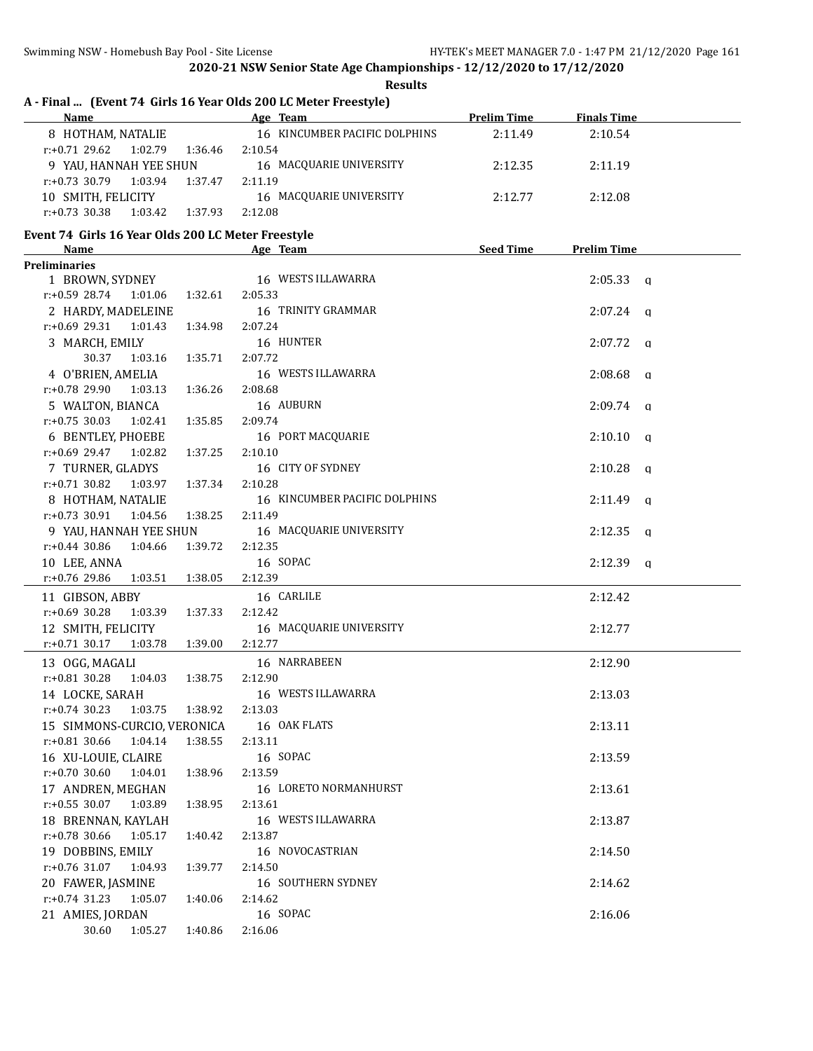**Results**

# **A - Final ... (Event 74 Girls 16 Year Olds 200 LC Meter Freestyle)**

| <b>Name</b>                            | Age Team                      | <b>Prelim Time</b> | <b>Finals Time</b> |  |
|----------------------------------------|-------------------------------|--------------------|--------------------|--|
| 8 HOTHAM, NATALIE                      | 16 KINCUMBER PACIFIC DOLPHINS | 2:11.49            | 2:10.54            |  |
| 1:02.79<br>1:36.46<br>$r: +0.71$ 29.62 | 2:10.54                       |                    |                    |  |
| 9 YAU, HANNAH YEE SHUN                 | 16 MACQUARIE UNIVERSITY       | 2:12.35            | 2:11.19            |  |
| 1:03.94<br>1:37.47<br>$r: +0.73$ 30.79 | 2:11.19                       |                    |                    |  |
| 10 SMITH, FELICITY                     | 16 MACQUARIE UNIVERSITY       | 2:12.77            | 2:12.08            |  |
| 1:37.93<br>1:03.42<br>$r: +0.73$ 30.38 | 2:12.08                       |                    |                    |  |

#### **Event 74 Girls 16 Year Olds 200 LC Meter Freestyle**

| <u>Name</u>                 |         | Age Team                      | <b>Seed Time</b> | <b>Prelim Time</b>  |  |
|-----------------------------|---------|-------------------------------|------------------|---------------------|--|
| <b>Preliminaries</b>        |         |                               |                  |                     |  |
| 1 BROWN, SYDNEY             |         | 16 WESTS ILLAWARRA            |                  | $2:05.33$ a         |  |
| r:+0.59 28.74<br>1:01.06    | 1:32.61 | 2:05.33                       |                  |                     |  |
| 2 HARDY, MADELEINE          |         | 16 TRINITY GRAMMAR            |                  | $2:07.24$ q         |  |
| $r+0.69$ 29.31<br>1:01.43   | 1:34.98 | 2:07.24                       |                  |                     |  |
| 3 MARCH, EMILY              |         | 16 HUNTER                     |                  | $2:07.72$ q         |  |
| 30.37<br>1:03.16            | 1:35.71 | 2:07.72                       |                  |                     |  |
| 4 O'BRIEN, AMELIA           |         | 16 WESTS ILLAWARRA            |                  | 2:08.68<br>$\alpha$ |  |
| r:+0.78 29.90<br>1:03.13    | 1:36.26 | 2:08.68                       |                  |                     |  |
| 5 WALTON, BIANCA            |         | 16 AUBURN                     |                  | $2:09.74$ q         |  |
| $r: +0.75$ 30.03<br>1:02.41 | 1:35.85 | 2:09.74                       |                  |                     |  |
| 6 BENTLEY, PHOEBE           |         | 16 PORT MACQUARIE             |                  | $2:10.10$ q         |  |
| 1:02.82<br>r:+0.69 29.47    | 1:37.25 | 2:10.10                       |                  |                     |  |
| 7 TURNER, GLADYS            |         | 16 CITY OF SYDNEY             |                  | $2:10.28$ q         |  |
| $r: +0.71$ 30.82<br>1:03.97 | 1:37.34 | 2:10.28                       |                  |                     |  |
| 8 HOTHAM, NATALIE           |         | 16 KINCUMBER PACIFIC DOLPHINS |                  | $2:11.49$ q         |  |
| $r: +0.73$ 30.91<br>1:04.56 | 1:38.25 | 2:11.49                       |                  |                     |  |
| 9 YAU, HANNAH YEE SHUN      |         | 16 MACQUARIE UNIVERSITY       |                  | $2:12.35$ a         |  |
| $r: +0.44$ 30.86<br>1:04.66 | 1:39.72 | 2:12.35                       |                  |                     |  |
| 10 LEE, ANNA                |         | 16 SOPAC                      |                  | $2:12.39$ a         |  |
| 1:03.51<br>r:+0.76 29.86    | 1:38.05 | 2:12.39                       |                  |                     |  |
| 11 GIBSON, ABBY             |         | 16 CARLILE                    |                  | 2:12.42             |  |
| $r: +0.69$ 30.28<br>1:03.39 | 1:37.33 | 2:12.42                       |                  |                     |  |
| 12 SMITH, FELICITY          |         | 16 MACQUARIE UNIVERSITY       |                  | 2:12.77             |  |
| $r.+0.71$ 30.17<br>1:03.78  | 1:39.00 | 2:12.77                       |                  |                     |  |
| 13 OGG, MAGALI              |         | 16 NARRABEEN                  |                  | 2:12.90             |  |
| r:+0.81 30.28<br>1:04.03    | 1:38.75 | 2:12.90                       |                  |                     |  |
| 14 LOCKE, SARAH             |         | 16 WESTS ILLAWARRA            |                  | 2:13.03             |  |
| 1:03.75<br>$r: +0.74$ 30.23 | 1:38.92 | 2:13.03                       |                  |                     |  |
| 15 SIMMONS-CURCIO, VERONICA |         | 16 OAK FLATS                  |                  | 2:13.11             |  |
| $r: +0.81$ 30.66<br>1:04.14 | 1:38.55 | 2:13.11                       |                  |                     |  |
| 16 XU-LOUIE, CLAIRE         |         | 16 SOPAC                      |                  | 2:13.59             |  |
| $r: +0.70$ 30.60<br>1:04.01 | 1:38.96 | 2:13.59                       |                  |                     |  |
| 17 ANDREN, MEGHAN           |         | 16 LORETO NORMANHURST         |                  | 2:13.61             |  |
| $r: +0.55$ 30.07<br>1:03.89 | 1:38.95 | 2:13.61                       |                  |                     |  |
| 18 BRENNAN, KAYLAH          |         | 16 WESTS ILLAWARRA            |                  | 2:13.87             |  |
| r:+0.78 30.66<br>1:05.17    | 1:40.42 | 2:13.87                       |                  |                     |  |
| 19 DOBBINS, EMILY           |         | 16 NOVOCASTRIAN               |                  | 2:14.50             |  |
| $r: +0.76$ 31.07<br>1:04.93 | 1:39.77 | 2:14.50                       |                  |                     |  |
| 20 FAWER, JASMINE           |         | 16 SOUTHERN SYDNEY            |                  | 2:14.62             |  |
| $r: +0.74$ 31.23<br>1:05.07 | 1:40.06 | 2:14.62                       |                  |                     |  |
| 21 AMIES, JORDAN            |         | 16 SOPAC                      |                  | 2:16.06             |  |
| 30.60<br>1:05.27            | 1:40.86 | 2:16.06                       |                  |                     |  |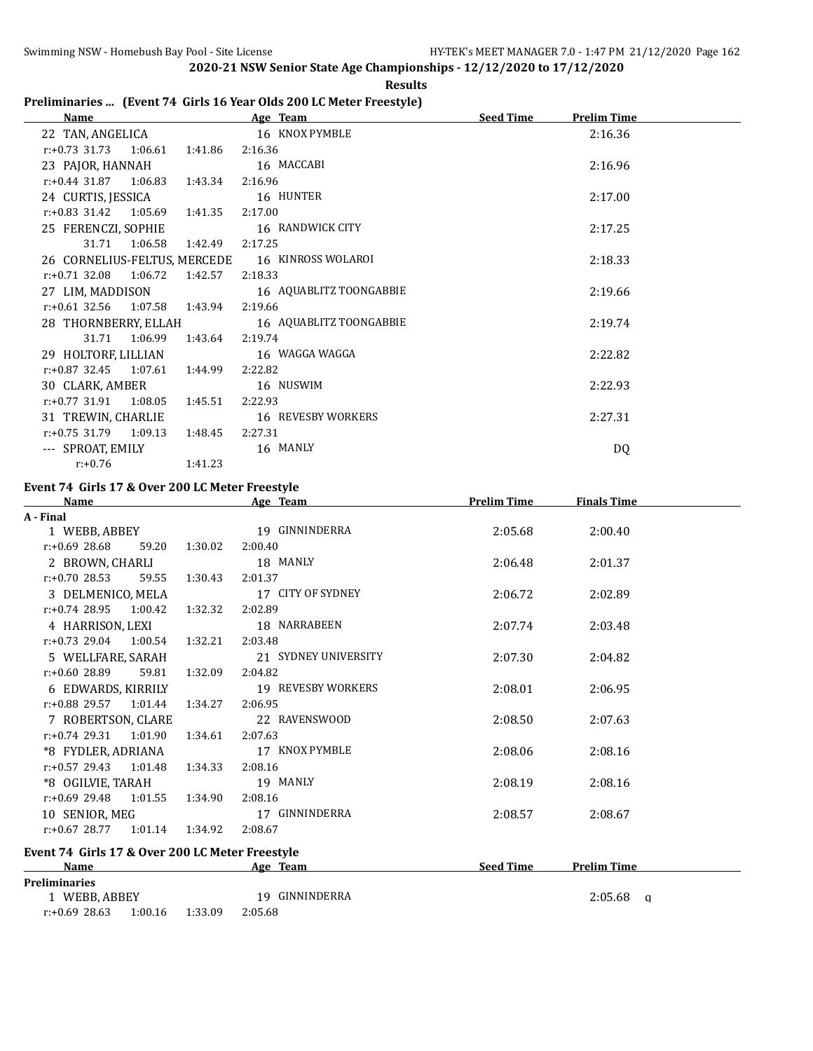# **Results**

# **Preliminaries ... (Event 74 Girls 16 Year Olds 200 LC Meter Freestyle)**

| Name                             |                       | Age Team                                        | <b>Seed Time</b><br><b>Prelim Time</b> |  |
|----------------------------------|-----------------------|-------------------------------------------------|----------------------------------------|--|
| 22 TAN, ANGELICA                 |                       | 16 KNOX PYMBLE                                  | 2:16.36                                |  |
| $r.+0.73$ 31.73 1:06.61          | 1:41.86               | 2:16.36                                         |                                        |  |
| 23 PAJOR, HANNAH                 |                       | 16 MACCABI                                      | 2:16.96                                |  |
| $r.+0.44$ 31.87 1:06.83 1:43.34  |                       | 2:16.96                                         |                                        |  |
| 24 CURTIS, JESSICA               |                       | 16 HUNTER                                       | 2:17.00                                |  |
| $r.+0.83$ 31.42 1.05.69 1.41.35  |                       | 2:17.00                                         |                                        |  |
| 25 FERENCZI, SOPHIE              |                       | 16 RANDWICK CITY                                | 2:17.25                                |  |
| 31.71 1:06.58                    | 1:42.49               | 2:17.25                                         |                                        |  |
|                                  |                       | 26 CORNELIUS-FELTUS, MERCEDE 16 KINROSS WOLAROI | 2:18.33                                |  |
| $r.+0.71$ 32.08 1:06.72          | 1:42.57               | 2:18.33                                         |                                        |  |
| 27 LIM, MADDISON                 |                       | 16 AQUABLITZ TOONGABBIE                         | 2:19.66                                |  |
| r:+0.61 32.56 1:07.58 1:43.94    |                       | 2:19.66                                         |                                        |  |
| 28 THORNBERRY, ELLAH             |                       | 16 AQUABLITZ TOONGABBIE                         | 2:19.74                                |  |
|                                  | 31.71 1:06.99 1:43.64 | 2:19.74                                         |                                        |  |
| 29 HOLTORF, LILLIAN              |                       | 16 WAGGA WAGGA                                  | 2:22.82                                |  |
| $r: +0.87$ 32.45 1:07.61 1:44.99 |                       | 2:22.82                                         |                                        |  |
| 30 CLARK, AMBER                  |                       | 16 NUSWIM                                       | 2:22.93                                |  |
| $r.+0.77$ 31.91 1:08.05 1:45.51  |                       | 2:22.93                                         |                                        |  |
| 31 TREWIN, CHARLIE               |                       | 16 REVESBY WORKERS                              | 2:27.31                                |  |
| $r.+0.75$ 31.79 1:09.13 1:48.45  |                       | 2:27.31                                         |                                        |  |
| --- SPROAT, EMILY                |                       | 16 MANLY                                        | DQ                                     |  |
| $r: +0.76$                       | 1:41.23               |                                                 |                                        |  |

# **Event 74 Girls 17 & Over 200 LC Meter Freestyle**

| <b>Name</b>                                     |         | Age Team             | <b>Prelim Time</b> | <b>Finals Time</b> |  |
|-------------------------------------------------|---------|----------------------|--------------------|--------------------|--|
| A - Final                                       |         |                      |                    |                    |  |
| 1 WEBB, ABBEY                                   |         | 19 GINNINDERRA       | 2:05.68            | 2:00.40            |  |
| $r: +0.69$ 28.68<br>59.20                       | 1:30.02 | 2:00.40              |                    |                    |  |
| 2 BROWN, CHARLI                                 |         | 18 MANLY             | 2:06.48            | 2:01.37            |  |
| 59.55<br>$r: +0.70$ 28.53                       | 1:30.43 | 2:01.37              |                    |                    |  |
| 3 DELMENICO, MELA                               |         | 17 CITY OF SYDNEY    | 2:06.72            | 2:02.89            |  |
| $r: +0.74$ 28.95 1:00.42                        | 1:32.32 | 2:02.89              |                    |                    |  |
| 4 HARRISON, LEXI                                |         | 18 NARRABEEN         | 2:07.74            | 2:03.48            |  |
| $r: +0.73$ 29.04 1:00.54                        | 1:32.21 | 2:03.48              |                    |                    |  |
| 5 WELLFARE, SARAH                               |         | 21 SYDNEY UNIVERSITY | 2:07.30            | 2:04.82            |  |
| r:+0.60 28.89<br>59.81                          | 1:32.09 | 2:04.82              |                    |                    |  |
| 6 EDWARDS, KIRRILY                              |         | 19 REVESBY WORKERS   | 2:08.01            | 2:06.95            |  |
| $r: +0.88$ 29.57 1:01.44                        | 1:34.27 | 2:06.95              |                    |                    |  |
| 7 ROBERTSON, CLARE                              |         | 22 RAVENSWOOD        | 2:08.50            | 2:07.63            |  |
| $r: +0.74$ 29.31 1:01.90                        | 1:34.61 | 2:07.63              |                    |                    |  |
| *8 FYDLER, ADRIANA                              |         | 17 KNOX PYMBLE       | 2:08.06            | 2:08.16            |  |
| $r: +0.57$ 29.43 1:01.48                        | 1:34.33 | 2:08.16              |                    |                    |  |
| *8 OGILVIE, TARAH                               |         | 19 MANLY             | 2:08.19            | 2:08.16            |  |
| $r.+0.69$ 29.48 1:01.55                         | 1:34.90 | 2:08.16              |                    |                    |  |
| 10 SENIOR, MEG                                  |         | 17 GINNINDERRA       | 2:08.57            | 2:08.67            |  |
| $r.+0.6728.771.01.141.34.92$                    |         | 2:08.67              |                    |                    |  |
| Event 74 Girls 17 & Over 200 LC Meter Freestyle |         |                      |                    |                    |  |
| <b>Name</b>                                     |         | Age Team             | <b>Seed Time</b>   | <b>Prelim Time</b> |  |
| <b>Preliminaries</b>                            |         |                      |                    |                    |  |

| .             |  |                 |                |         |  |
|---------------|--|-----------------|----------------|---------|--|
| WEBB. ABBEY   |  |                 | 19 GINNINDERRA | 2:05.68 |  |
| r:+0.69 28.63 |  | 1:00.16 1:33.09 | 2:05.68        |         |  |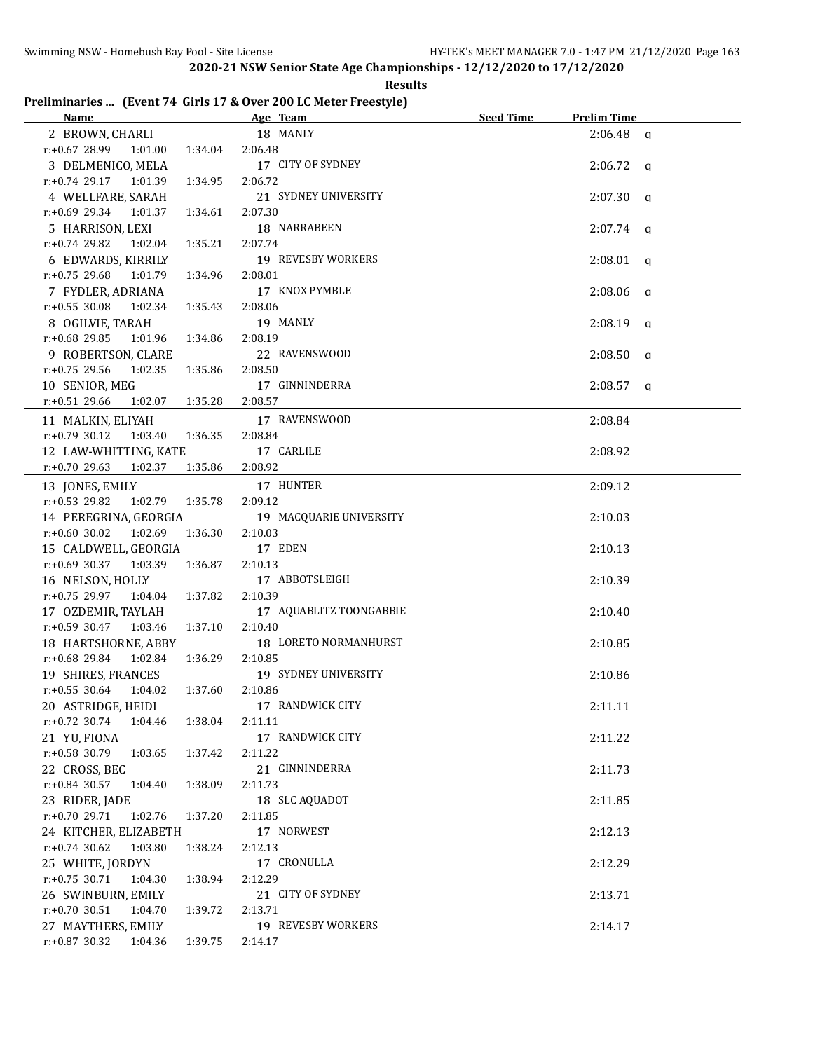# **Preliminaries ... (Event 74 Girls 17 & Over 200 LC Meter Freestyle)**

| Name Manual Communication of the Manual Communication of the Manual Communication of the Manual Communication of the Manual Communication of the Manual Communication of the Manual Communication of the Manual Communication | Age Team                | <b>Seed Time</b> | <b>Prelim Time</b> |  |
|-------------------------------------------------------------------------------------------------------------------------------------------------------------------------------------------------------------------------------|-------------------------|------------------|--------------------|--|
| 2 BROWN, CHARLI                                                                                                                                                                                                               | 18 MANLY                |                  | $2:06.48$ a        |  |
| $r: +0.67$ 28.99 1:01.00<br>1:34.04                                                                                                                                                                                           | 2:06.48                 |                  |                    |  |
| 3 DELMENICO, MELA                                                                                                                                                                                                             | 17 CITY OF SYDNEY       |                  | $2:06.72$ q        |  |
| $r.+0.74$ 29.17 1:01.39<br>1:34.95                                                                                                                                                                                            | 2:06.72                 |                  |                    |  |
| 4 WELLFARE, SARAH                                                                                                                                                                                                             | 21 SYDNEY UNIVERSITY    |                  | $2:07.30$ q        |  |
| r:+0.69 29.34 1:01.37<br>1:34.61                                                                                                                                                                                              | 2:07.30                 |                  |                    |  |
| 5 HARRISON, LEXI                                                                                                                                                                                                              | 18 NARRABEEN            |                  | $2:07.74$ q        |  |
| $r.+0.74$ 29.82 1:02.04<br>1:35.21                                                                                                                                                                                            | 2:07.74                 |                  |                    |  |
| 6 EDWARDS, KIRRILY                                                                                                                                                                                                            | 19 REVESBY WORKERS      |                  | $2:08.01$ q        |  |
| r:+0.75 29.68 1:01.79<br>1:34.96                                                                                                                                                                                              | 2:08.01                 |                  |                    |  |
| 7 FYDLER, ADRIANA                                                                                                                                                                                                             | 17 KNOX PYMBLE          |                  | 2:08.06<br>q       |  |
| $r: +0.55$ 30.08<br>1:02.34<br>1:35.43                                                                                                                                                                                        | 2:08.06                 |                  |                    |  |
| 8 OGILVIE, TARAH                                                                                                                                                                                                              | 19 MANLY                |                  | $2:08.19$ q        |  |
| r:+0.68 29.85 1:01.96<br>1:34.86                                                                                                                                                                                              | 2:08.19                 |                  |                    |  |
| 9 ROBERTSON, CLARE                                                                                                                                                                                                            | 22 RAVENSWOOD           |                  | $2:08.50$ a        |  |
| $r.+0.75$ 29.56 1:02.35<br>1:35.86                                                                                                                                                                                            | 2:08.50                 |                  |                    |  |
| 10 SENIOR, MEG                                                                                                                                                                                                                | 17 GINNINDERRA          |                  | $2:08.57$ q        |  |
| $r: +0.51$ 29.66<br>1:02.07  1:35.28                                                                                                                                                                                          | 2:08.57                 |                  |                    |  |
| 11 MALKIN, ELIYAH                                                                                                                                                                                                             | 17 RAVENSWOOD           |                  | 2:08.84            |  |
| $r: +0.79$ 30.12 1:03.40<br>1:36.35                                                                                                                                                                                           | 2:08.84                 |                  |                    |  |
| 12 LAW-WHITTING, KATE                                                                                                                                                                                                         | 17 CARLILE              |                  | 2:08.92            |  |
| $r: +0.70$ 29.63<br>1:02.37<br>1:35.86                                                                                                                                                                                        | 2:08.92                 |                  |                    |  |
| 13 JONES, EMILY                                                                                                                                                                                                               | 17 HUNTER               |                  | 2:09.12            |  |
| $r: +0.53$ 29.82<br>1:02.79<br>1:35.78                                                                                                                                                                                        | 2:09.12                 |                  |                    |  |
| 14 PEREGRINA, GEORGIA                                                                                                                                                                                                         | 19 MACQUARIE UNIVERSITY |                  | 2:10.03            |  |
| $r: +0.60$ 30.02<br>1:02.69<br>1:36.30                                                                                                                                                                                        | 2:10.03                 |                  |                    |  |
| 15 CALDWELL, GEORGIA                                                                                                                                                                                                          | 17 EDEN                 |                  | 2:10.13            |  |
| $r: +0.69$ 30.37<br>1:03.39<br>1:36.87                                                                                                                                                                                        | 2:10.13                 |                  |                    |  |
| 16 NELSON, HOLLY                                                                                                                                                                                                              | 17 ABBOTSLEIGH          |                  | 2:10.39            |  |
| r:+0.75 29.97 1:04.04<br>1:37.82                                                                                                                                                                                              | 2:10.39                 |                  |                    |  |
| 17 OZDEMIR, TAYLAH                                                                                                                                                                                                            | 17 AQUABLITZ TOONGABBIE |                  | 2:10.40            |  |
| $r: +0.59$ 30.47 1:03.46<br>1:37.10                                                                                                                                                                                           | 2:10.40                 |                  |                    |  |
| 18 HARTSHORNE, ABBY                                                                                                                                                                                                           | 18 LORETO NORMANHURST   |                  | 2:10.85            |  |
| r:+0.68 29.84<br>1:36.29<br>1:02.84                                                                                                                                                                                           | 2:10.85                 |                  |                    |  |
| 19 SHIRES, FRANCES                                                                                                                                                                                                            | 19 SYDNEY UNIVERSITY    |                  | 2:10.86            |  |
| $r: +0.55$ 30.64 1:04.02<br>1:37.60                                                                                                                                                                                           | 2:10.86                 |                  |                    |  |
| 20 ASTRIDGE, HEIDI                                                                                                                                                                                                            | 17 RANDWICK CITY        |                  | 2:11.11            |  |
| $r.+0.72$ 30.74<br>1:04.46<br>1:38.04                                                                                                                                                                                         | 2:11.11                 |                  |                    |  |
| 21 YU, FIONA                                                                                                                                                                                                                  | 17 RANDWICK CITY        |                  | 2:11.22            |  |
| $r: +0.58$ 30.79 1:03.65<br>1:37.42                                                                                                                                                                                           | 2:11.22                 |                  |                    |  |
| 22 CROSS, BEC                                                                                                                                                                                                                 | 21 GINNINDERRA          |                  | 2:11.73            |  |
| $r: +0.84$ 30.57<br>1:04.40<br>1:38.09                                                                                                                                                                                        | 2:11.73                 |                  |                    |  |
| 23 RIDER, JADE                                                                                                                                                                                                                | 18 SLC AQUADOT          |                  | 2:11.85            |  |
| r:+0.70 29.71 1:02.76<br>1:37.20                                                                                                                                                                                              | 2:11.85                 |                  |                    |  |
| 24 KITCHER, ELIZABETH                                                                                                                                                                                                         | 17 NORWEST              |                  | 2:12.13            |  |
| $r: +0.74$ 30.62<br>1:03.80<br>1:38.24                                                                                                                                                                                        | 2:12.13                 |                  |                    |  |
| 25 WHITE, JORDYN                                                                                                                                                                                                              | 17 CRONULLA             |                  | 2:12.29            |  |
| $r.+0.75$ 30.71<br>1:04.30<br>1:38.94                                                                                                                                                                                         | 2:12.29                 |                  |                    |  |
| 26 SWINBURN, EMILY                                                                                                                                                                                                            | 21 CITY OF SYDNEY       |                  | 2:13.71            |  |
| $r.+0.70$ 30.51<br>1:04.70<br>1:39.72                                                                                                                                                                                         | 2:13.71                 |                  |                    |  |
| 27 MAYTHERS, EMILY                                                                                                                                                                                                            | 19 REVESBY WORKERS      |                  | 2:14.17            |  |
| $r: +0.87$ 30.32<br>1:04.36<br>1:39.75                                                                                                                                                                                        | 2:14.17                 |                  |                    |  |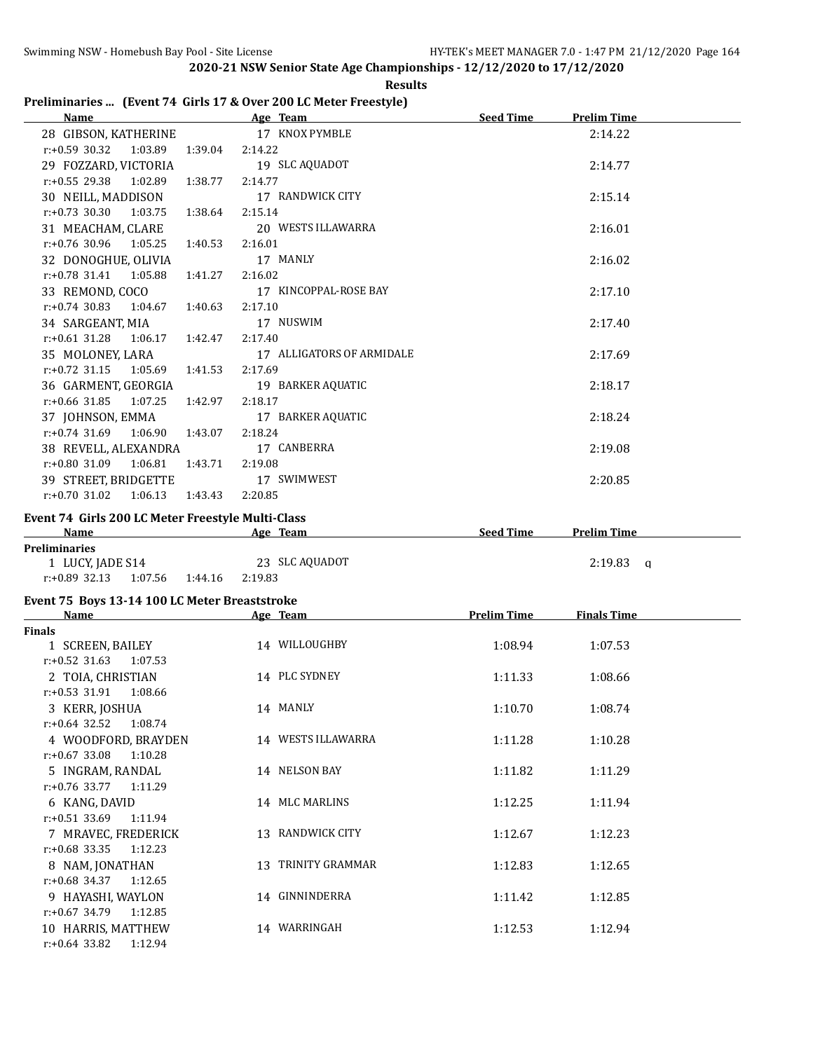|                                                   | 2020-21 NSW Senior State Age Championships - 12/12/2020 to 17/12/2020 |                    |                    |
|---------------------------------------------------|-----------------------------------------------------------------------|--------------------|--------------------|
|                                                   | <b>Results</b>                                                        |                    |                    |
|                                                   | Preliminaries  (Event 74 Girls 17 & Over 200 LC Meter Freestyle)      |                    |                    |
| <b>Name</b>                                       | <b>Example 2016</b> Age Team                                          | Seed Time          | <b>Prelim Time</b> |
| 28 GIBSON, KATHERINE                              | 17 KNOX PYMBLE                                                        |                    | 2:14.22            |
| $r: +0.59$ 30.32<br>1:03.89                       | 2:14.22<br>1:39.04                                                    |                    |                    |
| 29 FOZZARD, VICTORIA                              | 19 SLC AQUADOT                                                        |                    | 2:14.77            |
| $r: +0.55$ 29.38<br>1:02.89                       | 1:38.77<br>2:14.77                                                    |                    |                    |
| 30 NEILL, MADDISON                                | 17 RANDWICK CITY                                                      |                    | 2:15.14            |
| $r: +0.73$ 30.30<br>1:03.75                       | 2:15.14<br>1:38.64                                                    |                    |                    |
| 31 MEACHAM, CLARE                                 | 20 WESTS ILLAWARRA                                                    |                    | 2:16.01            |
| $r: +0.76$ 30.96<br>1:05.25                       | 1:40.53<br>2:16.01                                                    |                    |                    |
| 32 DONOGHUE, OLIVIA                               | 17 MANLY                                                              |                    | 2:16.02            |
| $r: +0.78$ 31.41<br>1:05.88                       | 1:41.27<br>2:16.02                                                    |                    |                    |
| 33 REMOND, COCO                                   | 17 KINCOPPAL-ROSE BAY                                                 |                    | 2:17.10            |
| $r: +0.74$ 30.83<br>1:04.67                       | 2:17.10<br>1:40.63                                                    |                    |                    |
| 34 SARGEANT, MIA                                  | 17 NUSWIM                                                             |                    | 2:17.40            |
| $r: +0.61$ 31.28<br>1:06.17                       | 1:42.47<br>2:17.40                                                    |                    |                    |
| 35 MOLONEY, LARA                                  | 17 ALLIGATORS OF ARMIDALE                                             |                    | 2:17.69            |
| $r: +0.72$ 31.15<br>1:05.69                       | 2:17.69<br>1:41.53                                                    |                    |                    |
| 36 GARMENT, GEORGIA                               | 19 BARKER AQUATIC                                                     |                    | 2:18.17            |
| $r: +0.66$ 31.85<br>1:07.25                       | 2:18.17<br>1:42.97                                                    |                    |                    |
| 37 JOHNSON, EMMA                                  | 17 BARKER AQUATIC                                                     |                    | 2:18.24            |
| $r: +0.74$ 31.69<br>1:06.90                       | 2:18.24<br>1:43.07                                                    |                    |                    |
| 38 REVELL, ALEXANDRA                              | 17 CANBERRA                                                           |                    | 2:19.08            |
| $r: +0.80$ 31.09 1:06.81                          | 1:43.71<br>2:19.08                                                    |                    |                    |
| 39 STREET, BRIDGETTE                              | 17 SWIMWEST                                                           |                    | 2:20.85            |
| $r: +0.70$ 31.02<br>1:06.13                       | 2:20.85<br>1:43.43                                                    |                    |                    |
| Event 74 Girls 200 LC Meter Freestyle Multi-Class |                                                                       |                    |                    |
| <b>Name</b>                                       | Age Team                                                              | <b>Seed Time</b>   | <b>Prelim Time</b> |
| <b>Preliminaries</b>                              |                                                                       |                    |                    |
| 1 LUCY, JADE S14                                  | 23 SLC AQUADOT                                                        |                    | $2:19.83$ q        |
| $r: +0.89$ 32.13<br>1:07.56 1:44.16               | 2:19.83                                                               |                    |                    |
| Event 75 Boys 13-14 100 LC Meter Breaststroke     |                                                                       |                    |                    |
| Name<br>Finale                                    | Age Team                                                              | <b>Prelim Time</b> | <b>Finals Time</b> |

| Name                        | Age ream           | <b>Premii Time</b> | rinais lime |  |
|-----------------------------|--------------------|--------------------|-------------|--|
| <b>Finals</b>               |                    |                    |             |  |
| 1 SCREEN, BAILEY            | 14 WILLOUGHBY      | 1:08.94            | 1:07.53     |  |
| $r: +0.52$ 31.63<br>1:07.53 |                    |                    |             |  |
| 2 TOIA, CHRISTIAN           | 14 PLC SYDNEY      | 1:11.33            | 1:08.66     |  |
| $r: +0.53$ 31.91 1:08.66    |                    |                    |             |  |
| 3 KERR, JOSHUA              | 14 MANLY           | 1:10.70            | 1:08.74     |  |
| $r: +0.64$ 32.52<br>1:08.74 |                    |                    |             |  |
| 4 WOODFORD, BRAYDEN         | 14 WESTS ILLAWARRA | 1:11.28            | 1:10.28     |  |
| $r: +0.67$ 33.08 1:10.28    |                    |                    |             |  |
| 5 INGRAM, RANDAL            | 14 NELSON BAY      | 1:11.82            | 1:11.29     |  |
| r:+0.76 33.77<br>1:11.29    |                    |                    |             |  |
| 6 KANG, DAVID               | 14 MLC MARLINS     | 1:12.25            | 1:11.94     |  |
| $r: +0.51$ 33.69 1:11.94    |                    |                    |             |  |
| 7 MRAVEC, FREDERICK         | 13 RANDWICK CITY   | 1:12.67            | 1:12.23     |  |
| $r: +0.68$ 33.35<br>1:12.23 |                    |                    |             |  |
| 8 NAM, JONATHAN             | 13 TRINITY GRAMMAR | 1:12.83            | 1:12.65     |  |
| r:+0.68 34.37<br>1:12.65    |                    |                    |             |  |
| 9 HAYASHI, WAYLON           | 14 GINNINDERRA     | 1:11.42            | 1:12.85     |  |
| $r: +0.67$ 34.79<br>1:12.85 |                    |                    |             |  |
| 10 HARRIS, MATTHEW          | 14 WARRINGAH       | 1:12.53            | 1:12.94     |  |
| $r: +0.64$ 33.82<br>1:12.94 |                    |                    |             |  |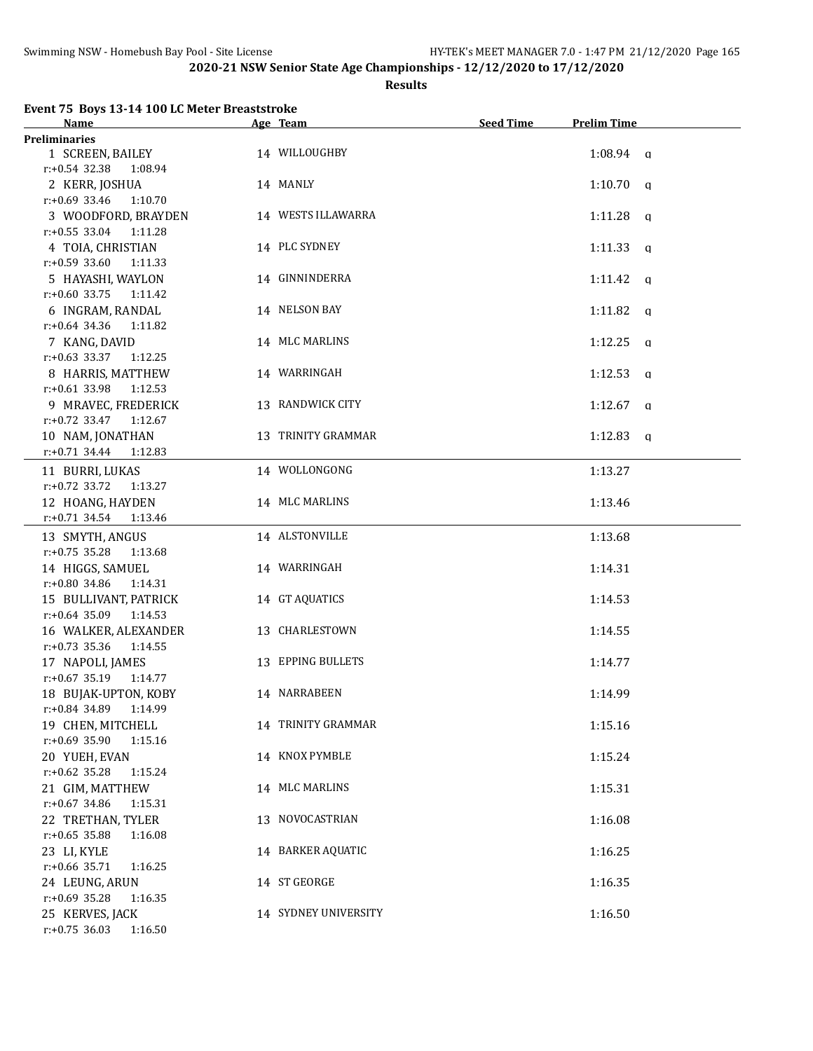#### **Results**

# **Event 75 Boys 13-14 100 LC Meter Breaststroke**

| Name                                            | Age Team             | <b>Seed Time</b> | <b>Prelim Time</b>  |  |
|-------------------------------------------------|----------------------|------------------|---------------------|--|
| <b>Preliminaries</b>                            |                      |                  |                     |  |
| 1 SCREEN, BAILEY                                | 14 WILLOUGHBY        |                  | $1:08.94$ a         |  |
| $r: +0.54$ 32.38<br>1:08.94                     |                      |                  |                     |  |
| 2 KERR, JOSHUA                                  | 14 MANLY             |                  | $1:10.70$ q         |  |
| $r: +0.69$ 33.46<br>1:10.70                     |                      |                  |                     |  |
| 3 WOODFORD, BRAYDEN                             | 14 WESTS ILLAWARRA   |                  | $1:11.28$ q         |  |
| $r: +0.55$ 33.04<br>1:11.28                     |                      |                  |                     |  |
| 4 TOIA, CHRISTIAN                               | 14 PLC SYDNEY        |                  | $1:11.33$ q         |  |
| $r: +0.59$ 33.60<br>1:11.33                     |                      |                  |                     |  |
| 5 HAYASHI, WAYLON                               | 14 GINNINDERRA       |                  | $1:11.42$ q         |  |
| $r: +0.60$ 33.75<br>1:11.42                     |                      |                  |                     |  |
| 6 INGRAM, RANDAL                                | 14 NELSON BAY        |                  | 1:11.82<br>$\alpha$ |  |
| $r: +0.64$ 34.36<br>1:11.82                     |                      |                  |                     |  |
| 7 KANG, DAVID                                   | 14 MLC MARLINS       |                  | $1:12.25$ q         |  |
| $r: +0.63$ 33.37<br>1:12.25                     |                      |                  |                     |  |
| 8 HARRIS, MATTHEW                               | 14 WARRINGAH         |                  | $1:12.53$ q         |  |
| $r: +0.61$ 33.98<br>1:12.53                     |                      |                  |                     |  |
| 9 MRAVEC, FREDERICK                             | 13 RANDWICK CITY     |                  | $1:12.67$ q         |  |
| $r: +0.72$ 33.47<br>1:12.67                     |                      |                  |                     |  |
| 10 NAM, JONATHAN                                | 13 TRINITY GRAMMAR   |                  | $1:12.83$ a         |  |
| $r: +0.71$ 34.44<br>1:12.83                     |                      |                  |                     |  |
| 11 BURRI, LUKAS                                 | 14 WOLLONGONG        |                  | 1:13.27             |  |
| $r: +0.72$ 33.72<br>1:13.27                     |                      |                  |                     |  |
| 12 HOANG, HAYDEN                                | 14 MLC MARLINS       |                  | 1:13.46             |  |
| $r: +0.71$ 34.54<br>1:13.46                     |                      |                  |                     |  |
|                                                 | 14 ALSTONVILLE       |                  |                     |  |
| 13 SMYTH, ANGUS<br>$r: +0.75$ 35.28<br>1:13.68  |                      |                  | 1:13.68             |  |
|                                                 |                      |                  |                     |  |
| 14 HIGGS, SAMUEL<br>$r: +0.80$ 34.86<br>1:14.31 | 14 WARRINGAH         |                  | 1:14.31             |  |
|                                                 | 14 GT AQUATICS       |                  |                     |  |
| 15 BULLIVANT, PATRICK                           |                      |                  | 1:14.53             |  |
| $r: +0.64$ 35.09 1:14.53                        | 13 CHARLESTOWN       |                  |                     |  |
| 16 WALKER, ALEXANDER<br>$r: +0.73$ 35.36        |                      |                  | 1:14.55             |  |
| 1:14.55                                         | 13 EPPING BULLETS    |                  |                     |  |
| 17 NAPOLI, JAMES<br>$r: +0.67$ 35.19<br>1:14.77 |                      |                  | 1:14.77             |  |
| 18 BUJAK-UPTON, KOBY                            | 14 NARRABEEN         |                  | 1:14.99             |  |
|                                                 |                      |                  |                     |  |
| r:+0.84 34.89 1:14.99<br>19 CHEN, MITCHELL      | 14 TRINITY GRAMMAR   |                  | 1:15.16             |  |
| $r: +0.69$ 35.90<br>1:15.16                     |                      |                  |                     |  |
|                                                 |                      |                  |                     |  |
| 20 YUEH, EVAN                                   | 14 KNOX PYMBLE       |                  | 1:15.24             |  |
| $r: +0.62$ 35.28<br>1:15.24<br>21 GIM, MATTHEW  | 14 MLC MARLINS       |                  |                     |  |
|                                                 |                      |                  | 1:15.31             |  |
| r:+0.67 34.86<br>1:15.31                        |                      |                  |                     |  |
| 22 TRETHAN, TYLER                               | 13 NOVOCASTRIAN      |                  | 1:16.08             |  |
| $r: +0.65$ 35.88<br>1:16.08                     |                      |                  |                     |  |
| 23 LI, KYLE                                     | 14 BARKER AQUATIC    |                  | 1:16.25             |  |
| r:+0.66 35.71<br>1:16.25                        |                      |                  |                     |  |
| 24 LEUNG, ARUN                                  | 14 ST GEORGE         |                  | 1:16.35             |  |
| r:+0.69 35.28<br>1:16.35                        |                      |                  |                     |  |
| 25 KERVES, JACK                                 | 14 SYDNEY UNIVERSITY |                  | 1:16.50             |  |
| r:+0.75 36.03 1:16.50                           |                      |                  |                     |  |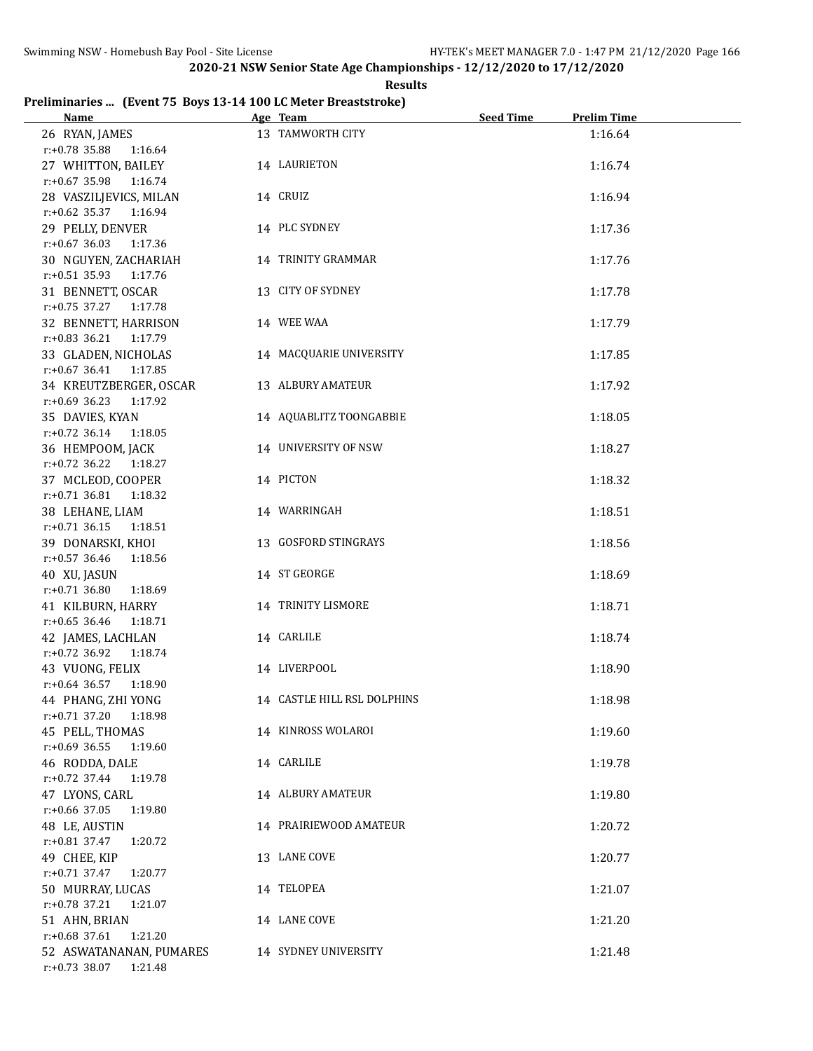**Results**

# **Preliminaries ... (Event 75 Boys 13-14 100 LC Meter Breaststroke)**

| Name and the state of the state of the state of the state of the state of the state of the state of the state of the state of the state of the state of the state of the state of the state of the state of the state of the s | Age Team and the state of the state of the state of the state of the state of the state of the state of the state of the state of the state of the state of the state of the state of the state of the state of the state of t | Seed Time<br><b>Prelim Time</b> |
|--------------------------------------------------------------------------------------------------------------------------------------------------------------------------------------------------------------------------------|--------------------------------------------------------------------------------------------------------------------------------------------------------------------------------------------------------------------------------|---------------------------------|
| 26 RYAN, JAMES                                                                                                                                                                                                                 | 13 TAMWORTH CITY                                                                                                                                                                                                               | 1:16.64                         |
| $r: +0.78$ 35.88 1:16.64                                                                                                                                                                                                       |                                                                                                                                                                                                                                |                                 |
| 27 WHITTON, BAILEY                                                                                                                                                                                                             | 14 LAURIETON                                                                                                                                                                                                                   | 1:16.74                         |
| $r: +0.67$ 35.98 1:16.74                                                                                                                                                                                                       |                                                                                                                                                                                                                                |                                 |
| 28 VASZILJEVICS, MILAN                                                                                                                                                                                                         | 14 CRUIZ                                                                                                                                                                                                                       | 1:16.94                         |
| r:+0.62 35.37 1:16.94                                                                                                                                                                                                          |                                                                                                                                                                                                                                |                                 |
| 29 PELLY, DENVER                                                                                                                                                                                                               | 14 PLC SYDNEY                                                                                                                                                                                                                  | 1:17.36                         |
| $r: +0.67$ 36.03 1:17.36                                                                                                                                                                                                       |                                                                                                                                                                                                                                |                                 |
| 30 NGUYEN, ZACHARIAH                                                                                                                                                                                                           | 14 TRINITY GRAMMAR                                                                                                                                                                                                             | 1:17.76                         |
| r:+0.51 35.93 1:17.76                                                                                                                                                                                                          |                                                                                                                                                                                                                                |                                 |
| 31 BENNETT, OSCAR                                                                                                                                                                                                              | 13 CITY OF SYDNEY                                                                                                                                                                                                              | 1:17.78                         |
| $r.+0.75$ 37.27 1:17.78                                                                                                                                                                                                        |                                                                                                                                                                                                                                |                                 |
| 32 BENNETT, HARRISON                                                                                                                                                                                                           | 14 WEE WAA                                                                                                                                                                                                                     | 1:17.79                         |
| r:+0.83 36.21 1:17.79                                                                                                                                                                                                          |                                                                                                                                                                                                                                |                                 |
| 33 GLADEN, NICHOLAS                                                                                                                                                                                                            | 14 MACQUARIE UNIVERSITY                                                                                                                                                                                                        | 1:17.85                         |
| $r.+0.67$ 36.41 1:17.85                                                                                                                                                                                                        |                                                                                                                                                                                                                                |                                 |
| 34 KREUTZBERGER, OSCAR                                                                                                                                                                                                         | 13 ALBURY AMATEUR                                                                                                                                                                                                              | 1:17.92                         |
| r:+0.69 36.23 1:17.92                                                                                                                                                                                                          |                                                                                                                                                                                                                                |                                 |
| 35 DAVIES, KYAN                                                                                                                                                                                                                | 14 AQUABLITZ TOONGABBIE                                                                                                                                                                                                        | 1:18.05                         |
| $r: +0.72$ 36.14 1:18.05                                                                                                                                                                                                       |                                                                                                                                                                                                                                |                                 |
| 36 HEMPOOM, JACK                                                                                                                                                                                                               | 14 UNIVERSITY OF NSW                                                                                                                                                                                                           | 1:18.27                         |
| $r: +0.72$ 36.22 1:18.27                                                                                                                                                                                                       |                                                                                                                                                                                                                                |                                 |
| 37 MCLEOD, COOPER                                                                                                                                                                                                              | 14 PICTON                                                                                                                                                                                                                      | 1:18.32                         |
| r:+0.71 36.81 1:18.32                                                                                                                                                                                                          |                                                                                                                                                                                                                                |                                 |
| 38 LEHANE, LIAM                                                                                                                                                                                                                | 14 WARRINGAH                                                                                                                                                                                                                   | 1:18.51                         |
| $r.+0.71$ 36.15 1:18.51                                                                                                                                                                                                        |                                                                                                                                                                                                                                |                                 |
| 39 DONARSKI, KHOI                                                                                                                                                                                                              | 13 GOSFORD STINGRAYS                                                                                                                                                                                                           | 1:18.56                         |
| r:+0.57 36.46<br>1:18.56                                                                                                                                                                                                       |                                                                                                                                                                                                                                |                                 |
| 40 XU, JASUN                                                                                                                                                                                                                   | 14 ST GEORGE                                                                                                                                                                                                                   | 1:18.69                         |
| $r.+0.71$ 36.80<br>1:18.69                                                                                                                                                                                                     |                                                                                                                                                                                                                                |                                 |
| 41 KILBURN, HARRY                                                                                                                                                                                                              | 14 TRINITY LISMORE                                                                                                                                                                                                             | 1:18.71                         |
| $r: +0.65$ 36.46<br>1:18.71                                                                                                                                                                                                    |                                                                                                                                                                                                                                |                                 |
| 42 JAMES, LACHLAN                                                                                                                                                                                                              | 14 CARLILE                                                                                                                                                                                                                     | 1:18.74                         |
| $r.+0.72$ 36.92<br>1:18.74                                                                                                                                                                                                     |                                                                                                                                                                                                                                |                                 |
| 43 VUONG, FELIX                                                                                                                                                                                                                | 14 LIVERPOOL                                                                                                                                                                                                                   | 1:18.90                         |
| $r.+0.64$ 36.57 1:18.90                                                                                                                                                                                                        |                                                                                                                                                                                                                                |                                 |
| 44 PHANG, ZHI YONG                                                                                                                                                                                                             | 14 CASTLE HILL RSL DOLPHINS                                                                                                                                                                                                    | 1:18.98                         |
| $r.+0.71$ 37.20 1:18.98                                                                                                                                                                                                        |                                                                                                                                                                                                                                |                                 |
| 45 PELL, THOMAS                                                                                                                                                                                                                | 14 KINROSS WOLAROI                                                                                                                                                                                                             | 1:19.60                         |
| r:+0.69 36.55<br>1:19.60                                                                                                                                                                                                       |                                                                                                                                                                                                                                |                                 |
| 46 RODDA, DALE                                                                                                                                                                                                                 | 14 CARLILE                                                                                                                                                                                                                     | 1:19.78                         |
| $r: +0.72$ 37.44<br>1:19.78                                                                                                                                                                                                    |                                                                                                                                                                                                                                |                                 |
| 47 LYONS, CARL                                                                                                                                                                                                                 | 14 ALBURY AMATEUR                                                                                                                                                                                                              | 1:19.80                         |
| r:+0.66 37.05<br>1:19.80                                                                                                                                                                                                       |                                                                                                                                                                                                                                |                                 |
| 48 LE, AUSTIN                                                                                                                                                                                                                  | 14 PRAIRIEWOOD AMATEUR                                                                                                                                                                                                         | 1:20.72                         |
| $r$ :+0.81 37.47<br>1:20.72                                                                                                                                                                                                    |                                                                                                                                                                                                                                |                                 |
| 49 CHEE, KIP                                                                                                                                                                                                                   | 13 LANE COVE                                                                                                                                                                                                                   | 1:20.77                         |
| $r.+0.71$ 37.47<br>1:20.77                                                                                                                                                                                                     |                                                                                                                                                                                                                                |                                 |
| 50 MURRAY, LUCAS                                                                                                                                                                                                               | 14 TELOPEA                                                                                                                                                                                                                     | 1:21.07                         |
| $r.+0.78$ 37.21<br>1:21.07                                                                                                                                                                                                     |                                                                                                                                                                                                                                |                                 |
| 51 AHN, BRIAN                                                                                                                                                                                                                  | 14 LANE COVE                                                                                                                                                                                                                   | 1:21.20                         |
| $r.+0.68$ 37.61<br>1:21.20                                                                                                                                                                                                     |                                                                                                                                                                                                                                |                                 |
| 52 ASWATANANAN, PUMARES                                                                                                                                                                                                        | 14 SYDNEY UNIVERSITY                                                                                                                                                                                                           | 1:21.48                         |
| r:+0.73 38.07 1:21.48                                                                                                                                                                                                          |                                                                                                                                                                                                                                |                                 |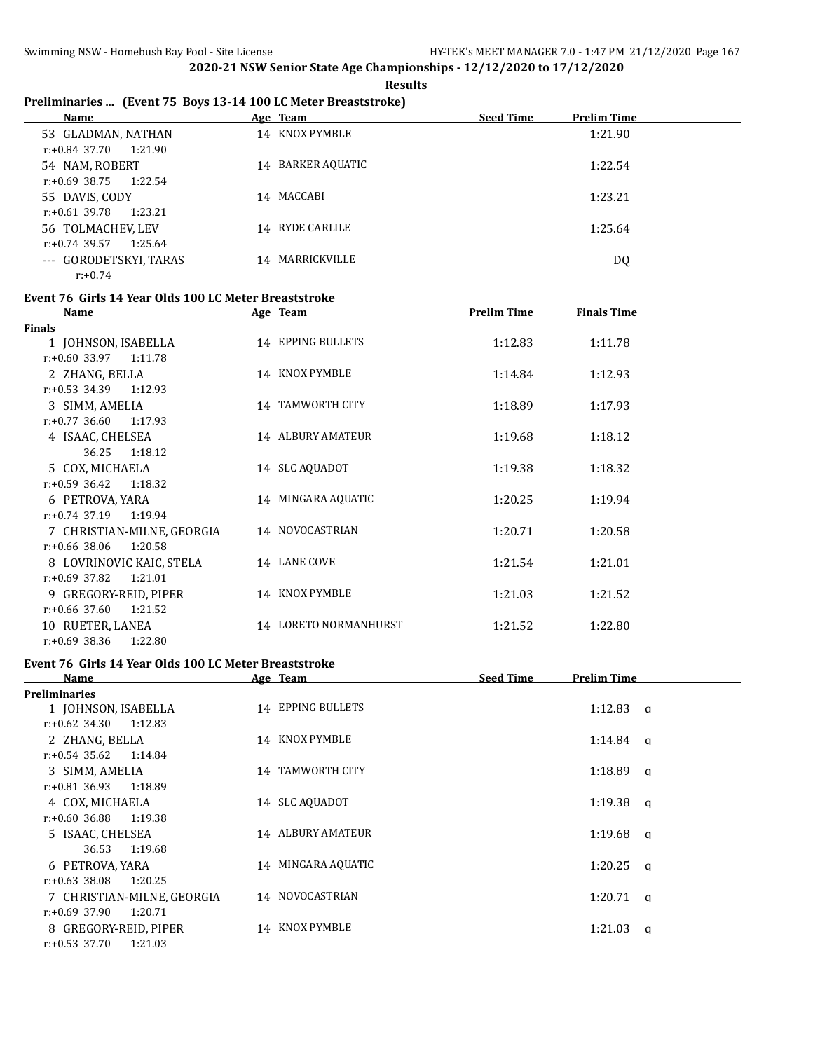**Results**

# **Preliminaries ... (Event 75 Boys 13-14 100 LC Meter Breaststroke)**

| <b>Name</b>                 | Age Team          | <b>Seed Time</b> | <b>Prelim Time</b> |
|-----------------------------|-------------------|------------------|--------------------|
| 53 GLADMAN, NATHAN          | 14 KNOX PYMBLE    |                  | 1:21.90            |
| $r.+0.84$ 37.70 1:21.90     |                   |                  |                    |
| 54 NAM, ROBERT              | 14 BARKER AQUATIC |                  | 1:22.54            |
| r:+0.69 38.75<br>1:22.54    |                   |                  |                    |
| 55 DAVIS, CODY              | 14 MACCABI        |                  | 1:23.21            |
| r:+0.61 39.78<br>1:23.21    |                   |                  |                    |
| 56 TOLMACHEV, LEV           | 14 RYDE CARLILE   |                  | 1:25.64            |
| $r: +0.74$ 39.57<br>1:25.64 |                   |                  |                    |
| --- GORODETSKYI, TARAS      | 14 MARRICKVILLE   |                  | DQ                 |
| $r: +0.74$                  |                   |                  |                    |

#### **Event 76 Girls 14 Year Olds 100 LC Meter Breaststroke**

| <b>Name</b>                 | Age Team                 | <b>Prelim Time</b> | <b>Finals Time</b> |  |
|-----------------------------|--------------------------|--------------------|--------------------|--|
| Finals                      |                          |                    |                    |  |
| 1 JOHNSON, ISABELLA         | 14 EPPING BULLETS        | 1:12.83            | 1:11.78            |  |
| $r: +0.60$ 33.97<br>1:11.78 |                          |                    |                    |  |
| 2 ZHANG, BELLA              | 14 KNOX PYMBLE           | 1:14.84            | 1:12.93            |  |
| $r: +0.53$ 34.39<br>1:12.93 |                          |                    |                    |  |
| 3 SIMM, AMELIA              | 14 TAMWORTH CITY         | 1:18.89            | 1:17.93            |  |
| $r: +0.77$ 36.60<br>1:17.93 |                          |                    |                    |  |
| 4 ISAAC, CHELSEA            | <b>14 ALBURY AMATEUR</b> | 1:19.68            | 1:18.12            |  |
| 36.25<br>1:18.12            |                          |                    |                    |  |
| 5 COX, MICHAELA             | 14 SLC AQUADOT           | 1:19.38            | 1:18.32            |  |
| $r: +0.59$ 36.42<br>1:18.32 |                          |                    |                    |  |
| 6 PETROVA, YARA             | 14 MINGARA AQUATIC       | 1:20.25            | 1:19.94            |  |
| $r: +0.74$ 37.19<br>1:19.94 |                          |                    |                    |  |
| 7 CHRISTIAN-MILNE, GEORGIA  | 14 NOVOCASTRIAN          | 1:20.71            | 1:20.58            |  |
| $r: +0.66$ 38.06<br>1:20.58 |                          |                    |                    |  |
| 8 LOVRINOVIC KAIC, STELA    | 14 LANE COVE             | 1:21.54            | 1:21.01            |  |
| 1:21.01<br>$r: +0.69$ 37.82 |                          |                    |                    |  |
| 9 GREGORY-REID, PIPER       | 14 KNOX PYMBLE           | 1:21.03            | 1:21.52            |  |
| $r: +0.66$ 37.60<br>1:21.52 |                          |                    |                    |  |
| 10 RUETER, LANEA            | 14 LORETO NORMANHURST    | 1:21.52            | 1:22.80            |  |
| $r: +0.69$ 38.36<br>1:22.80 |                          |                    |                    |  |

# **Event 76 Girls 14 Year Olds 100 LC Meter Breaststroke**

| Name                        | Age Team                   | <b>Seed Time</b><br><b>Prelim Time</b> |
|-----------------------------|----------------------------|----------------------------------------|
| <b>Preliminaries</b>        |                            |                                        |
| 1 JOHNSON, ISABELLA         | 14 EPPING BULLETS          | $1:12.83$ a                            |
| 1:12.83<br>r:+0.62 34.30    |                            |                                        |
| 2 ZHANG, BELLA              | 14 KNOX PYMBLE             | 1:14.84<br>a                           |
| $r: +0.54$ 35.62<br>1:14.84 |                            |                                        |
| 3 SIMM, AMELIA              | <b>TAMWORTH CITY</b><br>14 | 1:18.89<br>a                           |
| $r: +0.81$ 36.93<br>1:18.89 |                            |                                        |
| 4 COX, MICHAELA             | 14 SLC AQUADOT             | 1:19.38<br>a                           |
| 1:19.38<br>r:+0.60 36.88    |                            |                                        |
| 5 ISAAC, CHELSEA            | <b>14 ALBURY AMATEUR</b>   | 1:19.68<br>a                           |
| 1:19.68<br>36.53            |                            |                                        |
| 6 PETROVA, YARA             | 14 MINGARA AQUATIC         | 1:20.25<br>$\alpha$                    |
| $r: +0.63$ 38.08<br>1:20.25 |                            |                                        |
| 7 CHRISTIAN-MILNE, GEORGIA  | 14 NOVOCASTRIAN            | 1:20.71<br>a                           |
| $r: +0.69$ 37.90<br>1:20.71 |                            |                                        |
| 8 GREGORY-REID, PIPER       | 14 KNOX PYMBLE             | 1:21.03<br>a                           |
| $r: +0.53$ 37.70<br>1:21.03 |                            |                                        |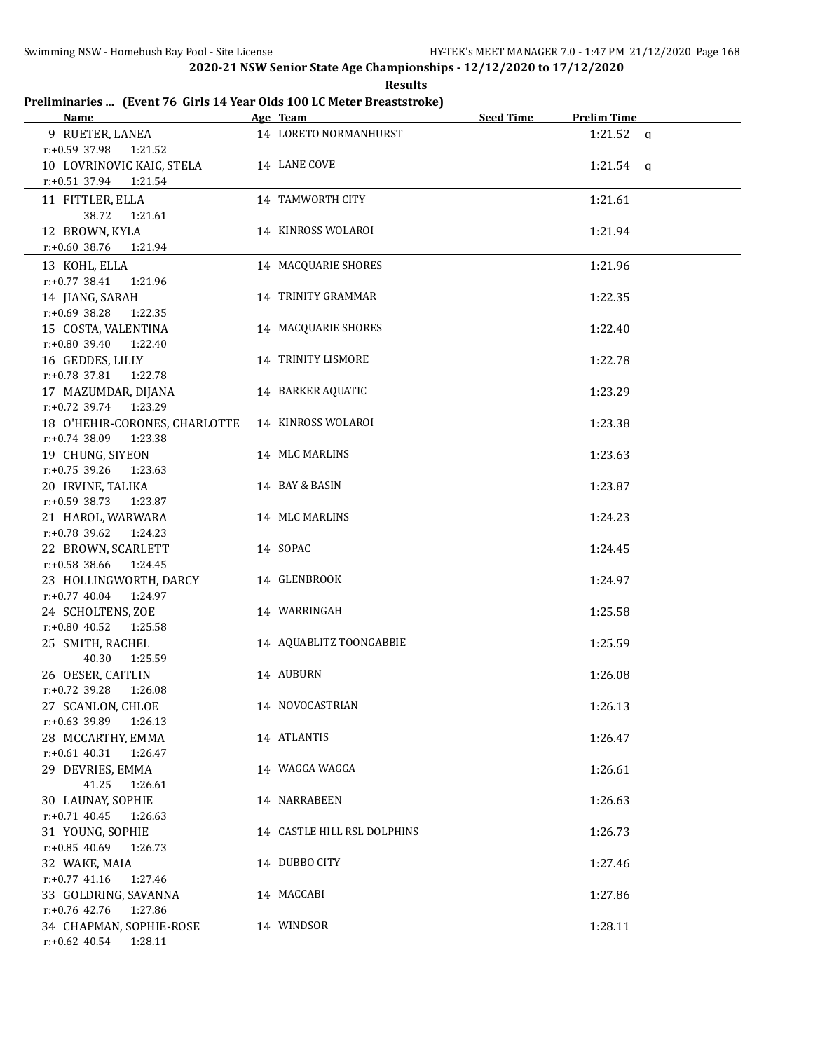#### **Results Preliminaries ... (Event 76 Girls 14 Year Olds 100 LC Meter Breaststroke)**

| <u>Name</u>                           | Age Team                    | <b>Seed Time</b> | <b>Prelim Time</b> |  |
|---------------------------------------|-----------------------------|------------------|--------------------|--|
| 9 RUETER, LANEA                       | 14 LORETO NORMANHURST       |                  | $1:21.52$ a        |  |
| r:+0.59 37.98<br>1:21.52              |                             |                  |                    |  |
| 10 LOVRINOVIC KAIC, STELA             | 14 LANE COVE                |                  | $1:21.54$ a        |  |
| r:+0.51 37.94 1:21.54                 |                             |                  |                    |  |
| 11 FITTLER, ELLA                      | 14 TAMWORTH CITY            |                  | 1:21.61            |  |
| 38.72<br>1:21.61                      |                             |                  |                    |  |
| 12 BROWN, KYLA                        | 14 KINROSS WOLAROI          |                  | 1:21.94            |  |
| $r.+0.60$ 38.76<br>1:21.94            |                             |                  |                    |  |
| 13 KOHL, ELLA                         | 14 MACQUARIE SHORES         |                  | 1:21.96            |  |
| $r: +0.77$ 38.41<br>1:21.96           |                             |                  |                    |  |
| 14 JIANG, SARAH                       | 14 TRINITY GRAMMAR          |                  | 1:22.35            |  |
| r:+0.69 38.28<br>1:22.35              |                             |                  |                    |  |
| 15 COSTA, VALENTINA                   | 14 MACQUARIE SHORES         |                  | 1:22.40            |  |
| r:+0.80 39.40<br>1:22.40              |                             |                  |                    |  |
| 16 GEDDES, LILLY                      | 14 TRINITY LISMORE          |                  | 1:22.78            |  |
| $r: +0.78$ 37.81<br>1:22.78           |                             |                  |                    |  |
| 17 MAZUMDAR, DIJANA                   | 14 BARKER AQUATIC           |                  | 1:23.29            |  |
| r:+0.72 39.74 1:23.29                 |                             |                  |                    |  |
| 18 O'HEHIR-CORONES, CHARLOTTE         | 14 KINROSS WOLAROI          |                  | 1:23.38            |  |
| $r: +0.74$ 38.09<br>1:23.38           |                             |                  |                    |  |
| 19 CHUNG, SIYEON                      | 14 MLC MARLINS              |                  | 1:23.63            |  |
| $r: +0.75$ 39.26<br>1:23.63           |                             |                  |                    |  |
| 20 IRVINE, TALIKA                     | 14 BAY & BASIN              |                  | 1:23.87            |  |
| $r: +0.59$ 38.73<br>1:23.87           |                             |                  |                    |  |
| 21 HAROL, WARWARA                     | 14 MLC MARLINS              |                  | 1:24.23            |  |
| $r: +0.78$ 39.62<br>1:24.23           |                             |                  |                    |  |
| 22 BROWN, SCARLETT                    | 14 SOPAC                    |                  | 1:24.45            |  |
| r:+0.58 38.66<br>1:24.45              |                             |                  |                    |  |
| 23 HOLLINGWORTH, DARCY                | 14 GLENBROOK                |                  | 1:24.97            |  |
| r:+0.77 40.04 1:24.97                 |                             |                  |                    |  |
| 24 SCHOLTENS, ZOE                     | 14 WARRINGAH                |                  | 1:25.58            |  |
| $r: +0.80$ 40.52 1:25.58              |                             |                  |                    |  |
| 25 SMITH, RACHEL                      | 14 AQUABLITZ TOONGABBIE     |                  | 1:25.59            |  |
| 40.30<br>1:25.59<br>26 OESER, CAITLIN | 14 AUBURN                   |                  | 1:26.08            |  |
| $r: +0.72$ 39.28<br>1:26.08           |                             |                  |                    |  |
| 27 SCANLON, CHLOE                     | 14 NOVOCASTRIAN             |                  | 1:26.13            |  |
| r:+0.63 39.89<br>1:26.13              |                             |                  |                    |  |
| 28 MCCARTHY, EMMA                     | 14 ATLANTIS                 |                  | 1:26.47            |  |
| $r: +0.61$ 40.31<br>1:26.47           |                             |                  |                    |  |
| 29 DEVRIES, EMMA                      | 14 WAGGA WAGGA              |                  | 1:26.61            |  |
| 41.25<br>1:26.61                      |                             |                  |                    |  |
| 30 LAUNAY, SOPHIE                     | 14 NARRABEEN                |                  | 1:26.63            |  |
| $r.+0.71$ 40.45<br>1:26.63            |                             |                  |                    |  |
| 31 YOUNG, SOPHIE                      | 14 CASTLE HILL RSL DOLPHINS |                  | 1:26.73            |  |
| r:+0.85 40.69<br>1:26.73              |                             |                  |                    |  |
| 32 WAKE, MAIA                         | 14 DUBBO CITY               |                  | 1:27.46            |  |
| $r: +0.77$ 41.16<br>1:27.46           |                             |                  |                    |  |
| 33 GOLDRING, SAVANNA                  | 14 MACCABI                  |                  | 1:27.86            |  |
| r:+0.76 42.76<br>1:27.86              |                             |                  |                    |  |
| 34 CHAPMAN, SOPHIE-ROSE               | 14 WINDSOR                  |                  | 1:28.11            |  |
| $r: +0.62$ 40.54<br>1:28.11           |                             |                  |                    |  |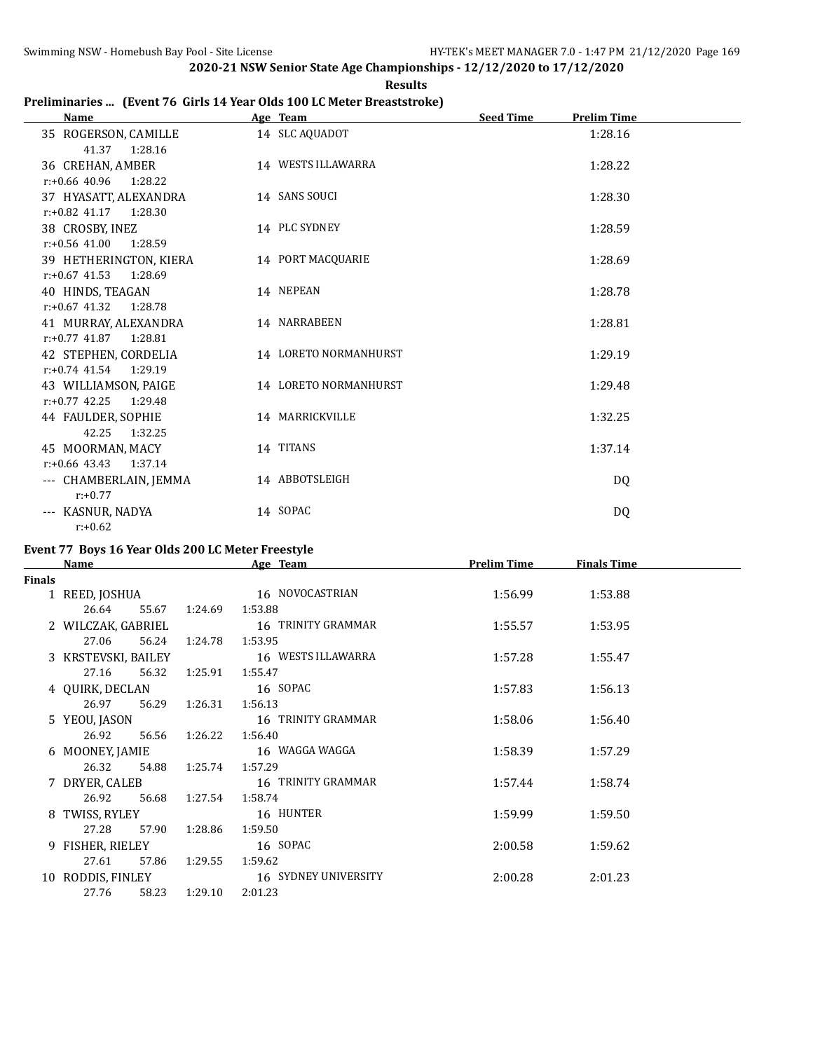# **Preliminaries ... (Event 76 Girls 14 Year Olds 100 LC Meter Breaststroke)**

| Age Team              | <b>Seed Time</b><br><b>Prelim Time</b> |
|-----------------------|----------------------------------------|
| 14 SLC AQUADOT        | 1:28.16                                |
| 14 WESTS ILLAWARRA    | 1:28.22                                |
| 14 SANS SOUCI         | 1:28.30                                |
| 14 PLC SYDNEY         | 1:28.59                                |
| 14 PORT MACQUARIE     | 1:28.69                                |
| 14 NEPEAN             | 1:28.78                                |
| 14 NARRABEEN          | 1:28.81                                |
| 14 LORETO NORMANHURST | 1:29.19                                |
| 14 LORETO NORMANHURST | 1:29.48                                |
| 14 MARRICKVILLE       | 1:32.25                                |
| 14 TITANS             | 1:37.14                                |
| 14 ABBOTSLEIGH        | DQ                                     |
| 14 SOPAC              | DQ                                     |
|                       |                                        |

# **Event 77 Boys 16 Year Olds 200 LC Meter Freestyle**

|               | <b>Name</b>         |               | Age Team             | <b>Prelim Time</b> | <b>Finals Time</b> |  |
|---------------|---------------------|---------------|----------------------|--------------------|--------------------|--|
| <b>Finals</b> |                     |               |                      |                    |                    |  |
|               | 1 REED, JOSHUA      |               | 16 NOVOCASTRIAN      | 1:56.99            | 1:53.88            |  |
|               | 26.64<br>55.67      | 1:24.69       | 1:53.88              |                    |                    |  |
|               | 2 WILCZAK, GABRIEL  |               | 16   TRINITY GRAMMAR | 1:55.57            | 1:53.95            |  |
|               | 27.06               | 56.24 1:24.78 | 1:53.95              |                    |                    |  |
|               | 3 KRSTEVSKI, BAILEY |               | 16 WESTS ILLAWARRA   | 1:57.28            | 1:55.47            |  |
|               | 27.16<br>56.32      | 1:25.91       | 1:55.47              |                    |                    |  |
|               | 4 OUIRK, DECLAN     |               | 16 SOPAC             | 1:57.83            | 1:56.13            |  |
|               | 26.97               | 56.29 1:26.31 | 1:56.13              |                    |                    |  |
|               | 5 YEOU, JASON       |               | 16   TRINITY GRAMMAR | 1:58.06            | 1:56.40            |  |
|               | 26.92               | 56.56 1:26.22 | 1:56.40              |                    |                    |  |
|               | 6 MOONEY, JAMIE     |               | 16 WAGGA WAGGA       | 1:58.39            | 1:57.29            |  |
|               | 26.32               | 54.88 1:25.74 | 1:57.29              |                    |                    |  |
|               | 7 DRYER, CALEB      |               | 16 TRINITY GRAMMAR   | 1:57.44            | 1:58.74            |  |
|               | 26.92<br>56.68      | 1:27.54       | 1:58.74              |                    |                    |  |
|               | 8 TWISS, RYLEY      |               | 16 HUNTER            | 1:59.99            | 1:59.50            |  |
|               | 27.28               | 57.90 1:28.86 | 1:59.50              |                    |                    |  |
|               | 9 FISHER, RIELEY    |               | 16 SOPAC             | 2:00.58            | 1:59.62            |  |
|               | 27.61<br>57.86      | 1:29.55       | 1:59.62              |                    |                    |  |
|               | 10 RODDIS, FINLEY   |               | 16 SYDNEY UNIVERSITY | 2:00.28            | 2:01.23            |  |
|               | 27.76               | 58.23 1:29.10 | 2:01.23              |                    |                    |  |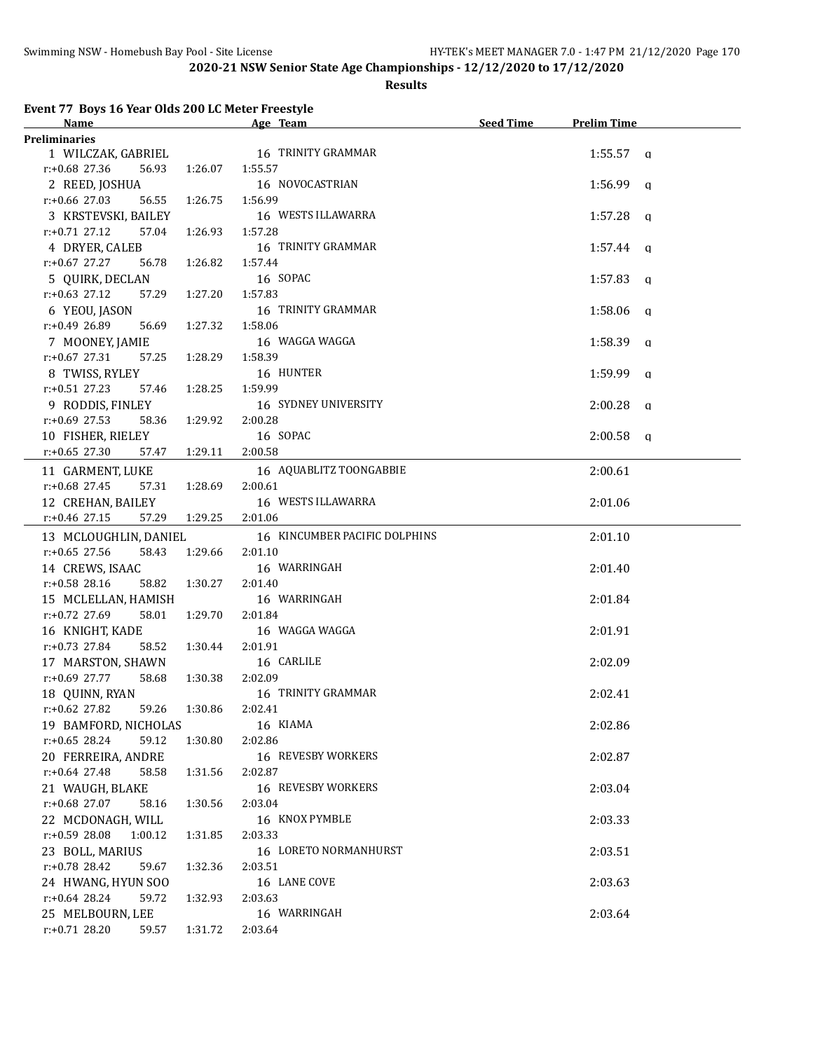#### **Results**

**Event 77 Boys 16 Year Olds 200 LC Meter Freestyle**

| <b>Name</b><br><u> 1980 - Johann Barbara, martxa alemaniar a</u> |         | <u> 1980 - Johann Barbara, martxa a</u><br>Age Team | Seed Time | <b>Prelim Time</b> |
|------------------------------------------------------------------|---------|-----------------------------------------------------|-----------|--------------------|
| Preliminaries                                                    |         |                                                     |           |                    |
|                                                                  |         | 1 WILCZAK, GABRIEL 16 TRINITY GRAMMAR               |           | $1:55.57$ a        |
| r:+0.68 27.36<br>56.93                                           | 1:26.07 | 1:55.57                                             |           |                    |
| 2 REED, JOSHUA                                                   |         | 16 NOVOCASTRIAN                                     |           | $1:56.99$ a        |
| $r: +0.66$ 27.03<br>56.55                                        | 1:26.75 | 1:56.99                                             |           |                    |
| 3 KRSTEVSKI, BAILEY                                              |         | 16 WESTS ILLAWARRA                                  |           | $1:57.28$ q        |
| $r: +0.71$ 27.12<br>57.04                                        | 1:26.93 | 1:57.28                                             |           |                    |
| 4 DRYER, CALEB                                                   |         | 16 TRINITY GRAMMAR                                  |           | $1:57.44$ q        |
| $r: +0.67$ 27.27<br>56.78                                        | 1:26.82 | 1:57.44                                             |           |                    |
| 5 QUIRK, DECLAN                                                  |         | 16 SOPAC                                            |           | $1:57.83$ a        |
| $r: +0.63$ 27.12<br>57.29                                        | 1:27.20 | 1:57.83                                             |           |                    |
| 6 YEOU, JASON                                                    |         | 16 TRINITY GRAMMAR                                  |           | $1:58.06$ a        |
| $r: +0.49$ 26.89<br>56.69                                        | 1:27.32 | 1:58.06                                             |           |                    |
| 7 MOONEY, JAMIE                                                  |         | 16 WAGGA WAGGA                                      |           | $1:58.39$ a        |
| $r: +0.67$ 27.31<br>57.25                                        | 1:28.29 | 1:58.39                                             |           |                    |
| 8 TWISS, RYLEY                                                   |         | 16 HUNTER                                           |           | $1:59.99$ q        |
| $r: +0.51$ 27.23<br>57.46                                        | 1:28.25 | 1:59.99                                             |           |                    |
| 9 RODDIS, FINLEY                                                 |         | 16 SYDNEY UNIVERSITY                                |           | $2:00.28$ q        |
| $r: +0.69$ 27.53<br>58.36                                        | 1:29.92 | 2:00.28                                             |           |                    |
| 10 FISHER, RIELEY                                                |         | 16 SOPAC                                            |           | $2:00.58$ a        |
| $r: +0.65$ 27.30<br>57.47                                        | 1:29.11 | 2:00.58                                             |           |                    |
| 11 GARMENT, LUKE                                                 |         | 16 AQUABLITZ TOONGABBIE                             |           | 2:00.61            |
| $r.+0.68$ 27.45<br>57.31                                         | 1:28.69 | 2:00.61                                             |           |                    |
| 12 CREHAN, BAILEY                                                |         | 16 WESTS ILLAWARRA                                  |           | 2:01.06            |
| $r.+0.46$ 27.15<br>57.29                                         | 1:29.25 | 2:01.06                                             |           |                    |
| 13 MCLOUGHLIN, DANIEL                                            |         | 16 KINCUMBER PACIFIC DOLPHINS                       |           | 2:01.10            |
| $r: +0.65$ 27.56<br>58.43                                        | 1:29.66 | 2:01.10                                             |           |                    |
| 14 CREWS, ISAAC                                                  |         | 16 WARRINGAH                                        |           | 2:01.40            |
| $r: +0.58$ 28.16<br>58.82                                        | 1:30.27 | 2:01.40                                             |           |                    |
| 15 MCLELLAN, HAMISH                                              |         | 16 WARRINGAH                                        |           | 2:01.84            |
| r:+0.72 27.69<br>58.01                                           | 1:29.70 | 2:01.84                                             |           |                    |
| 16 KNIGHT, KADE                                                  |         | 16 WAGGA WAGGA                                      |           | 2:01.91            |
| $r.+0.73$ 27.84<br>58.52                                         | 1:30.44 | 2:01.91                                             |           |                    |
| 17 MARSTON, SHAWN                                                |         | 16 CARLILE                                          |           | 2:02.09            |
| r:+0.69 27.77<br>58.68                                           | 1:30.38 | 2:02.09                                             |           |                    |
| 18 QUINN, RYAN                                                   |         | 16 TRINITY GRAMMAR                                  |           | 2:02.41            |
| r:+0.62 27.82 59.26 1:30.86 2:02.41                              |         |                                                     |           |                    |
| 19 BAMFORD, NICHOLAS                                             |         | 16 KIAMA                                            |           | 2:02.86            |
| $r: +0.65$ 28.24<br>59.12                                        | 1:30.80 | 2:02.86                                             |           |                    |
| 20 FERREIRA, ANDRE                                               |         | 16 REVESBY WORKERS                                  |           | 2:02.87            |
| r:+0.64 27.48<br>58.58                                           | 1:31.56 | 2:02.87                                             |           |                    |
| 21 WAUGH, BLAKE                                                  |         | 16 REVESBY WORKERS                                  |           | 2:03.04            |
| $r.+0.68$ 27.07<br>58.16                                         | 1:30.56 | 2:03.04                                             |           |                    |
| 22 MCDONAGH, WILL                                                |         | 16 KNOX PYMBLE                                      |           | 2:03.33            |
| r:+0.59 28.08<br>1:00.12                                         | 1:31.85 | 2:03.33                                             |           |                    |
| 23 BOLL, MARIUS                                                  |         | 16 LORETO NORMANHURST                               |           | 2:03.51            |
| r:+0.78 28.42<br>59.67                                           | 1:32.36 | 2:03.51                                             |           |                    |
| 24 HWANG, HYUN SOO                                               |         | 16 LANE COVE                                        |           | 2:03.63            |
| $r+0.64$ 28.24<br>59.72                                          | 1:32.93 | 2:03.63                                             |           |                    |
| 25 MELBOURN, LEE                                                 |         | 16 WARRINGAH                                        |           | 2:03.64            |
| r:+0.71 28.20<br>59.57                                           | 1:31.72 | 2:03.64                                             |           |                    |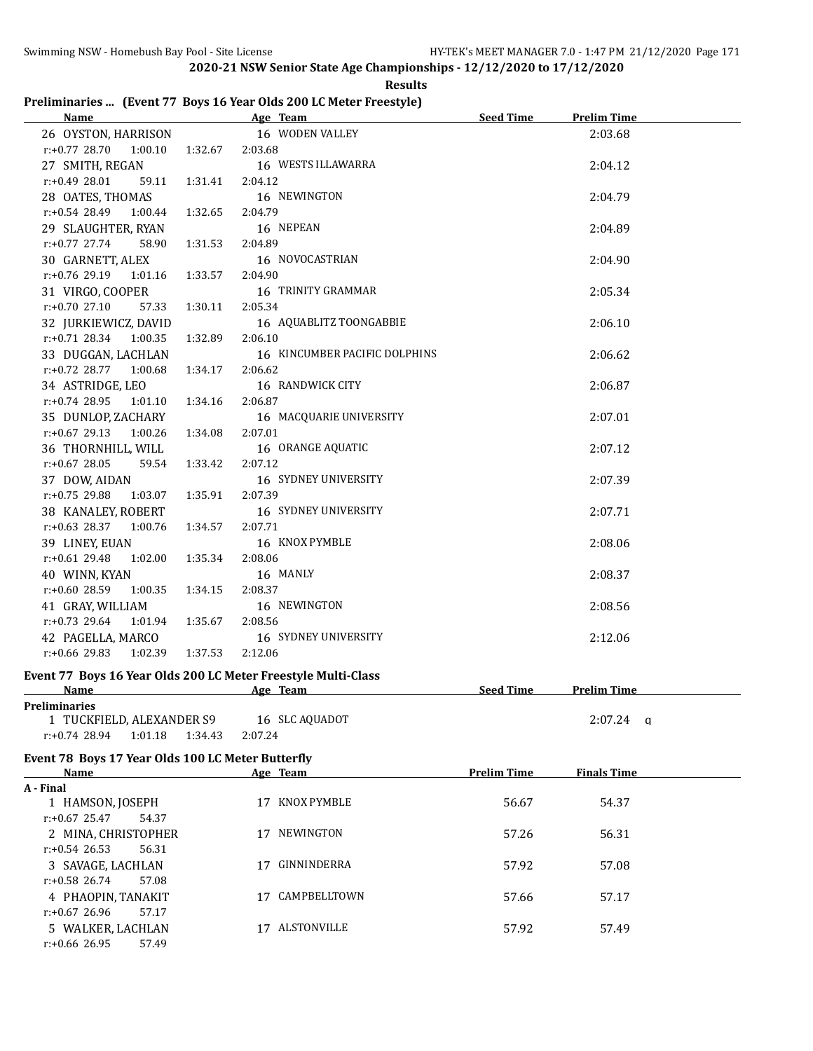|  | <b>Results</b>                                                     |
|--|--------------------------------------------------------------------|
|  | Preliminaries  (Event 77 Boys 16 Year Olds 200 LC Meter Freestyle) |

| Name and the state of the state of the state of the state of the state of the state of the state of the state of the state of the state of the state of the state of the state of the state of the state of the state of the s |                    | Age Team and the Team and the Team and the Team and the Team and the Team and the Team and the Team and the Te | Seed Time          | <b>Prelim Time</b> |
|--------------------------------------------------------------------------------------------------------------------------------------------------------------------------------------------------------------------------------|--------------------|----------------------------------------------------------------------------------------------------------------|--------------------|--------------------|
| 26 OYSTON, HARRISON                                                                                                                                                                                                            |                    | 16 WODEN VALLEY                                                                                                |                    | 2:03.68            |
| $r: +0.77$ 28.70<br>1:00.10                                                                                                                                                                                                    | 2:03.68<br>1:32.67 |                                                                                                                |                    |                    |
| 27 SMITH, REGAN                                                                                                                                                                                                                |                    | 16 WESTS ILLAWARRA                                                                                             |                    | 2:04.12            |
| r:+0.49 28.01<br>59.11                                                                                                                                                                                                         | 1:31.41<br>2:04.12 |                                                                                                                |                    |                    |
| 28 OATES, THOMAS                                                                                                                                                                                                               |                    | 16 NEWINGTON                                                                                                   |                    | 2:04.79            |
| $r: +0.54$ 28.49<br>1:00.44                                                                                                                                                                                                    | 1:32.65<br>2:04.79 |                                                                                                                |                    |                    |
| 29 SLAUGHTER, RYAN                                                                                                                                                                                                             |                    | 16 NEPEAN                                                                                                      |                    | 2:04.89            |
| $r: +0.77$ 27.74<br>58.90                                                                                                                                                                                                      | 1:31.53<br>2:04.89 |                                                                                                                |                    |                    |
| 30 GARNETT, ALEX                                                                                                                                                                                                               |                    | 16 NOVOCASTRIAN                                                                                                |                    | 2:04.90            |
| r:+0.76 29.19<br>1:01.16                                                                                                                                                                                                       | 1:33.57<br>2:04.90 |                                                                                                                |                    |                    |
| 31 VIRGO, COOPER                                                                                                                                                                                                               |                    | 16 TRINITY GRAMMAR                                                                                             |                    | 2:05.34            |
| $r: +0.70$ 27.10<br>57.33                                                                                                                                                                                                      | 1:30.11<br>2:05.34 |                                                                                                                |                    |                    |
| 32 JURKIEWICZ, DAVID                                                                                                                                                                                                           |                    | 16 AQUABLITZ TOONGABBIE                                                                                        |                    | 2:06.10            |
| $r: +0.71$ 28.34 1:00.35                                                                                                                                                                                                       | 1:32.89<br>2:06.10 |                                                                                                                |                    |                    |
| 33 DUGGAN, LACHLAN                                                                                                                                                                                                             |                    | 16 KINCUMBER PACIFIC DOLPHINS                                                                                  |                    | 2:06.62            |
| $r: +0.72$ 28.77<br>1:00.68                                                                                                                                                                                                    | 2:06.62<br>1:34.17 |                                                                                                                |                    |                    |
| 34 ASTRIDGE, LEO                                                                                                                                                                                                               |                    | 16 RANDWICK CITY                                                                                               |                    | 2:06.87            |
| $r.+0.74$ 28.95 1:01.10                                                                                                                                                                                                        | 2:06.87<br>1:34.16 |                                                                                                                |                    |                    |
| 35 DUNLOP, ZACHARY                                                                                                                                                                                                             |                    | 16 MACQUARIE UNIVERSITY                                                                                        |                    | 2:07.01            |
| r:+0.67 29.13 1:00.26                                                                                                                                                                                                          | 2:07.01<br>1:34.08 |                                                                                                                |                    |                    |
| 36 THORNHILL, WILL                                                                                                                                                                                                             |                    | 16 ORANGE AQUATIC                                                                                              |                    | 2:07.12            |
| $r: +0.67$ 28.05<br>59.54                                                                                                                                                                                                      | 1:33.42<br>2:07.12 |                                                                                                                |                    |                    |
| 37 DOW, AIDAN                                                                                                                                                                                                                  |                    | 16 SYDNEY UNIVERSITY                                                                                           |                    | 2:07.39            |
| $r: +0.75$ 29.88<br>1:03.07                                                                                                                                                                                                    | 2:07.39<br>1:35.91 |                                                                                                                |                    |                    |
| 38 KANALEY, ROBERT                                                                                                                                                                                                             |                    | 16 SYDNEY UNIVERSITY                                                                                           |                    | 2:07.71            |
| $r: +0.63$ 28.37 1:00.76                                                                                                                                                                                                       | 1:34.57<br>2:07.71 |                                                                                                                |                    |                    |
| 39 LINEY, EUAN                                                                                                                                                                                                                 |                    | 16 KNOX PYMBLE                                                                                                 |                    | 2:08.06            |
| r:+0.61 29.48<br>1:02.00                                                                                                                                                                                                       | 1:35.34<br>2:08.06 |                                                                                                                |                    |                    |
| 40 WINN, KYAN                                                                                                                                                                                                                  |                    | 16 MANLY                                                                                                       |                    | 2:08.37            |
| r:+0.60 28.59<br>1:00.35                                                                                                                                                                                                       | 2:08.37<br>1:34.15 |                                                                                                                |                    |                    |
| 41 GRAY, WILLIAM                                                                                                                                                                                                               |                    | 16 NEWINGTON                                                                                                   |                    | 2:08.56            |
| $r: +0.73$ 29.64<br>1:01.94                                                                                                                                                                                                    | 1:35.67<br>2:08.56 |                                                                                                                |                    |                    |
| 42 PAGELLA, MARCO                                                                                                                                                                                                              |                    | 16 SYDNEY UNIVERSITY                                                                                           |                    | 2:12.06            |
| $r: +0.66$ 29.83<br>1:02.39                                                                                                                                                                                                    | 2:12.06<br>1:37.53 |                                                                                                                |                    |                    |
| Event 77 Boys 16 Year Olds 200 LC Meter Freestyle Multi-Class                                                                                                                                                                  |                    |                                                                                                                |                    |                    |
| Name                                                                                                                                                                                                                           |                    | Age Team                                                                                                       | <b>Seed Time</b>   | <b>Prelim Time</b> |
| Preliminaries                                                                                                                                                                                                                  |                    |                                                                                                                |                    |                    |
| 1 TUCKFIELD, ALEXANDER S9                                                                                                                                                                                                      |                    | 16 SLC AQUADOT                                                                                                 |                    | $2:07.24$ a        |
| $r: +0.74$ 28.94<br>1:01.18                                                                                                                                                                                                    | 1:34.43<br>2:07.24 |                                                                                                                |                    |                    |
|                                                                                                                                                                                                                                |                    |                                                                                                                |                    |                    |
| Event 78 Boys 17 Year Olds 100 LC Meter Butterfly<br><u>Name</u>                                                                                                                                                               |                    | Age Team                                                                                                       | <b>Prelim Time</b> | <b>Finals Time</b> |
| A - Final                                                                                                                                                                                                                      |                    |                                                                                                                |                    |                    |
| 1 HAMSON, JOSEPH                                                                                                                                                                                                               |                    | 17 KNOX PYMBLE                                                                                                 | 56.67              | 54.37              |
| $r: +0.67$ 25.47<br>54.37                                                                                                                                                                                                      |                    |                                                                                                                |                    |                    |
| 2 MINA, CHRISTOPHER                                                                                                                                                                                                            |                    | 17 NEWINGTON                                                                                                   | 57.26              | 56.31              |
| $r: +0.54$ 26.53<br>56.31                                                                                                                                                                                                      |                    |                                                                                                                |                    |                    |
| 3 SAVAGE, LACHLAN                                                                                                                                                                                                              |                    | 17 GINNINDERRA                                                                                                 | 57.92              | 57.08              |
| r:+0.58 26.74<br>57.08                                                                                                                                                                                                         |                    |                                                                                                                |                    |                    |
| 4 PHAOPIN, TANAKIT                                                                                                                                                                                                             |                    | 17 CAMPBELLTOWN                                                                                                | 57.66              | 57.17              |
| $r: +0.67$ 26.96<br>57.17                                                                                                                                                                                                      |                    |                                                                                                                |                    |                    |
| 5 WALKER, LACHLAN                                                                                                                                                                                                              |                    | 17 ALSTONVILLE                                                                                                 | 57.92              | 57.49              |
| $r: +0.66$ 26.95<br>57.49                                                                                                                                                                                                      |                    |                                                                                                                |                    |                    |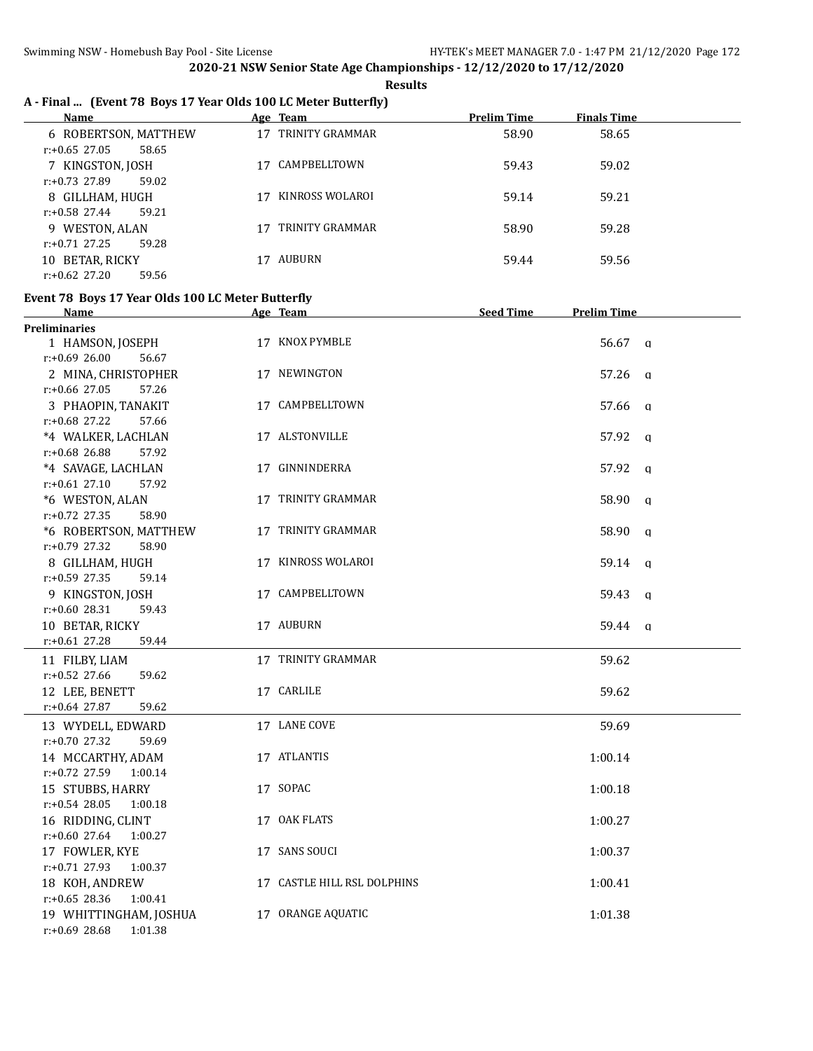# **A - Final ... (Event 78 Boys 17 Year Olds 100 LC Meter Butterfly)**

| Name                      | Age Team        | <b>Prelim Time</b> | <b>Finals Time</b> |
|---------------------------|-----------------|--------------------|--------------------|
| 6 ROBERTSON, MATTHEW      | TRINITY GRAMMAR | 58.90              | 58.65              |
| 58.65<br>$r: +0.65$ 27.05 |                 |                    |                    |
| 7 KINGSTON, JOSH          | CAMPBELLTOWN    | 59.43              | 59.02              |
| 59.02<br>$r: +0.73$ 27.89 |                 |                    |                    |
| 8 GILLHAM, HUGH           | KINROSS WOLAROI | 59.14              | 59.21              |
| 59.21<br>$r: +0.58$ 27.44 |                 |                    |                    |
| 9 WESTON, ALAN            | TRINITY GRAMMAR | 58.90              | 59.28              |
| $r: +0.71$ 27.25<br>59.28 |                 |                    |                    |
| 10 BETAR, RICKY           | AUBURN          | 59.44              | 59.56              |
| $r: +0.62$ 27.20<br>59.56 |                 |                    |                    |

#### **Event 78 Boys 17 Year Olds 100 LC Meter Butterfly**

| Name                        | Age Team                    | <b>Seed Time</b> | <b>Prelim Time</b> |              |
|-----------------------------|-----------------------------|------------------|--------------------|--------------|
| <b>Preliminaries</b>        |                             |                  |                    |              |
| 1 HAMSON, JOSEPH            | 17 KNOX PYMBLE              |                  | 56.67 q            |              |
| $r: +0.69$ 26.00<br>56.67   |                             |                  |                    |              |
| 2 MINA, CHRISTOPHER         | 17 NEWINGTON                |                  | 57.26 a            |              |
| 57.26<br>$r: +0.66$ 27.05   |                             |                  |                    |              |
| 3 PHAOPIN, TANAKIT          | 17 CAMPBELLTOWN             |                  | 57.66 q            |              |
| $r: +0.68$ 27.22<br>57.66   |                             |                  |                    |              |
| *4 WALKER, LACHLAN          | 17 ALSTONVILLE              |                  | 57.92 a            |              |
| $r: +0.68$ 26.88<br>57.92   |                             |                  |                    |              |
| *4 SAVAGE, LACHLAN          | 17 GINNINDERRA              |                  | 57.92 q            |              |
| $r: +0.61$ 27.10<br>57.92   |                             |                  |                    |              |
| *6 WESTON, ALAN             | 17 TRINITY GRAMMAR          |                  | 58.90              | $\mathbf{q}$ |
| $r: +0.72$ 27.35<br>58.90   |                             |                  |                    |              |
| *6 ROBERTSON, MATTHEW       | 17 TRINITY GRAMMAR          |                  | 58.90              | q            |
| $r: +0.79$ 27.32<br>58.90   |                             |                  |                    |              |
| 8 GILLHAM, HUGH             | 17 KINROSS WOLAROI          |                  | 59.14 a            |              |
| $r: +0.59$ 27.35<br>59.14   |                             |                  |                    |              |
| 9 KINGSTON, JOSH            | 17 CAMPBELLTOWN             |                  | 59.43              | $\alpha$     |
| $r: +0.60$ 28.31<br>59.43   |                             |                  |                    |              |
| 10 BETAR, RICKY             | 17 AUBURN                   |                  | 59.44 q            |              |
| $r: +0.61$ 27.28<br>59.44   |                             |                  |                    |              |
| 11 FILBY, LIAM              | 17 TRINITY GRAMMAR          |                  | 59.62              |              |
| $r: +0.52$ 27.66<br>59.62   |                             |                  |                    |              |
| 12 LEE, BENETT              | 17 CARLILE                  |                  | 59.62              |              |
| r:+0.64 27.87<br>59.62      |                             |                  |                    |              |
| 13 WYDELL, EDWARD           | 17 LANE COVE                |                  | 59.69              |              |
| $r: +0.70$ 27.32<br>59.69   |                             |                  |                    |              |
| 14 MCCARTHY, ADAM           | 17 ATLANTIS                 |                  | 1:00.14            |              |
| $r: +0.72$ 27.59<br>1:00.14 |                             |                  |                    |              |
| 15 STUBBS, HARRY            | 17 SOPAC                    |                  | 1:00.18            |              |
| $r: +0.54$ 28.05<br>1:00.18 |                             |                  |                    |              |
| 16 RIDDING, CLINT           | 17 OAK FLATS                |                  | 1:00.27            |              |
| $r: +0.60$ 27.64<br>1:00.27 |                             |                  |                    |              |
| 17 FOWLER, KYE              | 17 SANS SOUCI               |                  | 1:00.37            |              |
| $r: +0.71$ 27.93<br>1:00.37 |                             |                  |                    |              |
| 18 KOH, ANDREW              | 17 CASTLE HILL RSL DOLPHINS |                  | 1:00.41            |              |
| $r: +0.65$ 28.36<br>1:00.41 |                             |                  |                    |              |
| 19 WHITTINGHAM, JOSHUA      | 17 ORANGE AQUATIC           |                  | 1:01.38            |              |
| r:+0.69 28.68<br>1:01.38    |                             |                  |                    |              |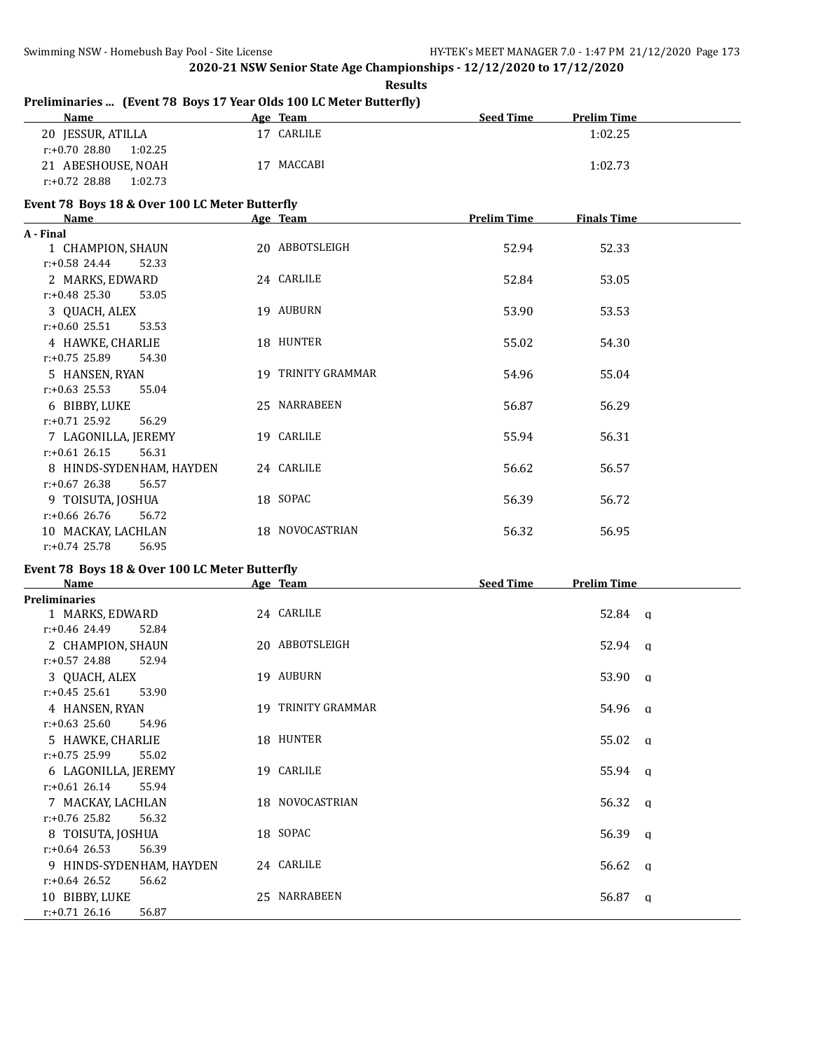**Results**

# **Preliminaries ... (Event 78 Boys 17 Year Olds 100 LC Meter Butterfly)**

| <b>Name</b>              | Age Team      | <b>Seed Time</b><br><b>Prelim Time</b> |
|--------------------------|---------------|----------------------------------------|
| 20 JESSUR, ATILLA        | CARLILE<br>17 | 1:02.25                                |
| 1:02.25<br>r:+0.70 28.80 |               |                                        |
| 21 ABESHOUSE, NOAH       | 17 MACCABI    | 1:02.73                                |
| 1:02.73<br>r:+0.72 28.88 |               |                                        |

#### **Event 78 Boys 18 & Over 100 LC Meter Butterfly**

| Name                      | Age Team           | <b>Prelim Time</b> | <b>Finals Time</b> |  |
|---------------------------|--------------------|--------------------|--------------------|--|
| A - Final                 |                    |                    |                    |  |
| 1 CHAMPION, SHAUN         | 20 ABBOTSLEIGH     | 52.94              | 52.33              |  |
| $r: +0.58$ 24.44<br>52.33 |                    |                    |                    |  |
| 2 MARKS, EDWARD           | 24 CARLILE         | 52.84              | 53.05              |  |
| $r: +0.48$ 25.30<br>53.05 |                    |                    |                    |  |
| 3 QUACH, ALEX             | 19 AUBURN          | 53.90              | 53.53              |  |
| $r: +0.60$ 25.51<br>53.53 |                    |                    |                    |  |
| 4 HAWKE, CHARLIE          | 18 HUNTER          | 55.02              | 54.30              |  |
| $r: +0.75$ 25.89<br>54.30 |                    |                    |                    |  |
| 5 HANSEN, RYAN            | 19 TRINITY GRAMMAR | 54.96              | 55.04              |  |
| $r: +0.63$ 25.53<br>55.04 |                    |                    |                    |  |
| 6 BIBBY, LUKE             | 25 NARRABEEN       | 56.87              | 56.29              |  |
| $r: +0.71$ 25.92<br>56.29 |                    |                    |                    |  |
| 7 LAGONILLA, JEREMY       | 19 CARLILE         | 55.94              | 56.31              |  |
| $r: +0.61$ 26.15<br>56.31 |                    |                    |                    |  |
| 8 HINDS-SYDENHAM, HAYDEN  | 24 CARLILE         | 56.62              | 56.57              |  |
| $r: +0.67$ 26.38<br>56.57 |                    |                    |                    |  |
| 9 TOISUTA, JOSHUA         | 18 SOPAC           | 56.39              | 56.72              |  |
| $r: +0.66$ 26.76<br>56.72 |                    |                    |                    |  |
| 10 MACKAY, LACHLAN        | 18 NOVOCASTRIAN    | 56.32              | 56.95              |  |
| $r: +0.74$ 25.78<br>56.95 |                    |                    |                    |  |

# **Event 78 Boys 18 & Over 100 LC Meter Butterfly**

| Name                      | Age Team           | <b>Seed Time</b><br><b>Prelim Time</b> |
|---------------------------|--------------------|----------------------------------------|
| <b>Preliminaries</b>      |                    |                                        |
| 1 MARKS, EDWARD           | 24 CARLILE         | $52.84$ q                              |
| $r: +0.46$ 24.49<br>52.84 |                    |                                        |
| 2 CHAMPION, SHAUN         | 20 ABBOTSLEIGH     | 52.94 a                                |
| $r: +0.57$ 24.88<br>52.94 |                    |                                        |
| 3 QUACH, ALEX             | 19 AUBURN          | 53.90 a                                |
| $r: +0.45$ 25.61<br>53.90 |                    |                                        |
| 4 HANSEN, RYAN            | 19 TRINITY GRAMMAR | 54.96 q                                |
| $r: +0.63$ 25.60<br>54.96 |                    |                                        |
| 5 HAWKE, CHARLIE          | 18 HUNTER          | $55.02 \quad q$                        |
| $r: +0.75$ 25.99<br>55.02 |                    |                                        |
| 6 LAGONILLA, JEREMY       | 19 CARLILE         | $55.94 \quad q$                        |
| $r: +0.61$ 26.14<br>55.94 |                    |                                        |
| 7 MACKAY, LACHLAN         | 18 NOVOCASTRIAN    | $56.32 \quad a$                        |
| $r: +0.76$ 25.82<br>56.32 |                    |                                        |
| 8 TOISUTA, JOSHUA         | 18 SOPAC           | 56.39 $q$                              |
| $r: +0.64$ 26.53<br>56.39 |                    |                                        |
| 9 HINDS-SYDENHAM, HAYDEN  | 24 CARLILE         | 56.62 q                                |
| $r: +0.64$ 26.52<br>56.62 |                    |                                        |
| 10 BIBBY, LUKE            | 25 NARRABEEN       | 56.87<br>q                             |
| $r: +0.71$ 26.16<br>56.87 |                    |                                        |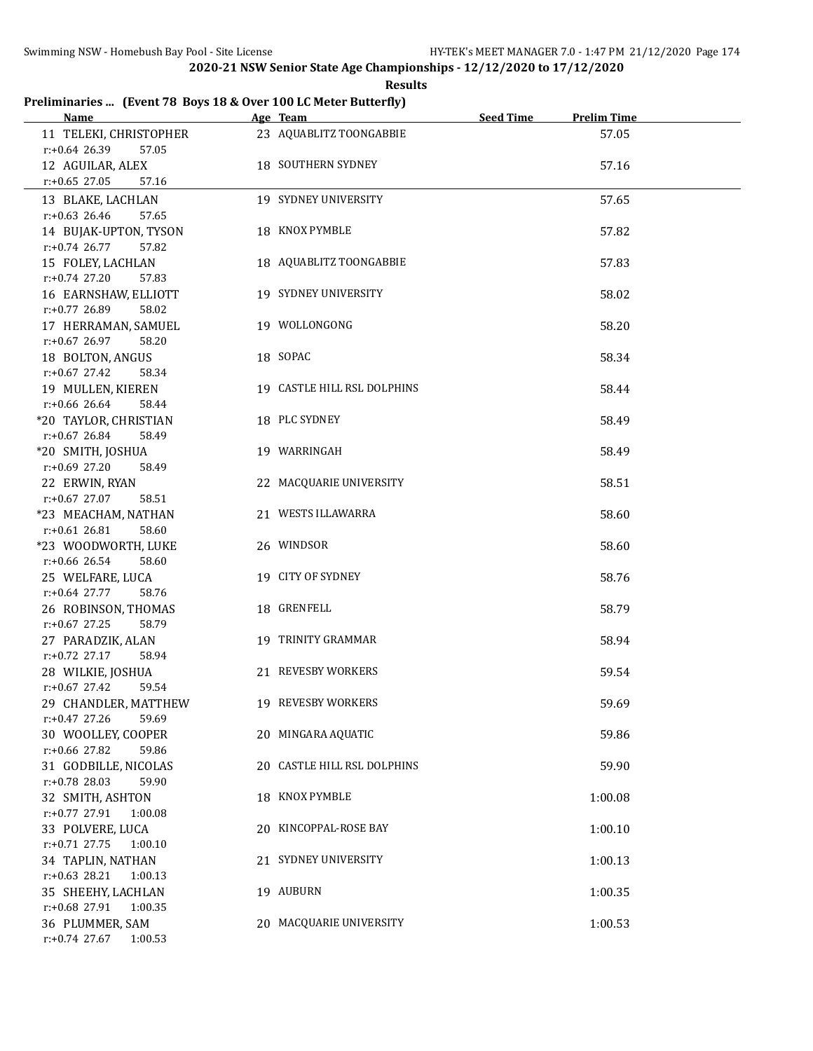**Results**

# **Preliminaries ... (Event 78 Boys 18 & Over 100 LC Meter Butterfly)**

| Name                                                                   | Age Team                    | <b>Seed Time</b> | <b>Prelim Time</b> |  |
|------------------------------------------------------------------------|-----------------------------|------------------|--------------------|--|
| 11 TELEKI, CHRISTOPHER<br>$r: +0.64$ 26.39<br>57.05                    | 23 AQUABLITZ TOONGABBIE     |                  | 57.05              |  |
| 12 AGUILAR, ALEX<br>$r: +0.65$ 27.05<br>57.16                          | 18 SOUTHERN SYDNEY          |                  | 57.16              |  |
| 13 BLAKE, LACHLAN                                                      | 19 SYDNEY UNIVERSITY        |                  | 57.65              |  |
| $r: +0.63$ 26.46<br>57.65<br>14 BUJAK-UPTON, TYSON<br>$r: +0.74$ 26.77 | 18 KNOX PYMBLE              |                  | 57.82              |  |
| 57.82<br>15 FOLEY, LACHLAN<br>$r: +0.74$ 27.20<br>57.83                | 18 AQUABLITZ TOONGABBIE     |                  | 57.83              |  |
| 16 EARNSHAW, ELLIOTT<br>r:+0.77 26.89<br>58.02                         | 19 SYDNEY UNIVERSITY        |                  | 58.02              |  |
| 17 HERRAMAN, SAMUEL<br>$r+0.67$ 26.97<br>58.20                         | 19 WOLLONGONG               |                  | 58.20              |  |
| 18 BOLTON, ANGUS<br>$r+0.67$ 27.42<br>58.34                            | 18 SOPAC                    |                  | 58.34              |  |
| 19 MULLEN, KIEREN<br>$r+0.66$ 26.64<br>58.44                           | 19 CASTLE HILL RSL DOLPHINS |                  | 58.44              |  |
| *20 TAYLOR, CHRISTIAN<br>$r+0.67$ 26.84<br>58.49                       | 18 PLC SYDNEY               |                  | 58.49              |  |
| *20 SMITH, JOSHUA<br>$r: +0.69$ 27.20<br>58.49                         | 19 WARRINGAH                |                  | 58.49              |  |
| 22 ERWIN, RYAN<br>$r: +0.67$ 27.07<br>58.51                            | 22 MACQUARIE UNIVERSITY     |                  | 58.51              |  |
| *23 MEACHAM, NATHAN<br>$r: +0.61$ 26.81<br>58.60                       | 21 WESTS ILLAWARRA          |                  | 58.60              |  |
| *23 WOODWORTH, LUKE<br>$r+0.66$ 26.54<br>58.60                         | 26 WINDSOR                  |                  | 58.60              |  |
| 25 WELFARE, LUCA<br>$r$ :+0.64 27.77<br>58.76                          | 19 CITY OF SYDNEY           |                  | 58.76              |  |
| 26 ROBINSON, THOMAS<br>$r: +0.67$ 27.25<br>58.79                       | 18 GRENFELL                 |                  | 58.79              |  |
| 27 PARADZIK, ALAN<br>$r: +0.72$ 27.17<br>58.94                         | 19 TRINITY GRAMMAR          |                  | 58.94              |  |
| 28 WILKIE, JOSHUA<br>$r: +0.67$ 27.42<br>59.54                         | 21 REVESBY WORKERS          |                  | 59.54              |  |
| 29 CHANDLER, MATTHEW<br>$r: +0.47$ 27.26<br>59.69                      | 19 REVESBY WORKERS          |                  | 59.69              |  |
| 30 WOOLLEY, COOPER<br>$r: +0.66$ 27.82<br>59.86                        | 20 MINGARA AQUATIC          |                  | 59.86              |  |
| 31 GODBILLE, NICOLAS<br>$r: +0.78$ 28.03<br>59.90                      | 20 CASTLE HILL RSL DOLPHINS |                  | 59.90              |  |
| 32 SMITH, ASHTON<br>$r: +0.77$ 27.91<br>1:00.08                        | 18 KNOX PYMBLE              |                  | 1:00.08            |  |
| 33 POLVERE, LUCA<br>$r: +0.71$ 27.75<br>1:00.10                        | 20 KINCOPPAL-ROSE BAY       |                  | 1:00.10            |  |
| 34 TAPLIN, NATHAN<br>$r: +0.63$ 28.21<br>1:00.13                       | 21 SYDNEY UNIVERSITY        |                  | 1:00.13            |  |
| 35 SHEEHY, LACHLAN<br>r:+0.68 27.91<br>1:00.35                         | 19 AUBURN                   |                  | 1:00.35            |  |
| 36 PLUMMER, SAM<br>$r+0.74$ 27.67<br>1:00.53                           | 20 MACQUARIE UNIVERSITY     |                  | 1:00.53            |  |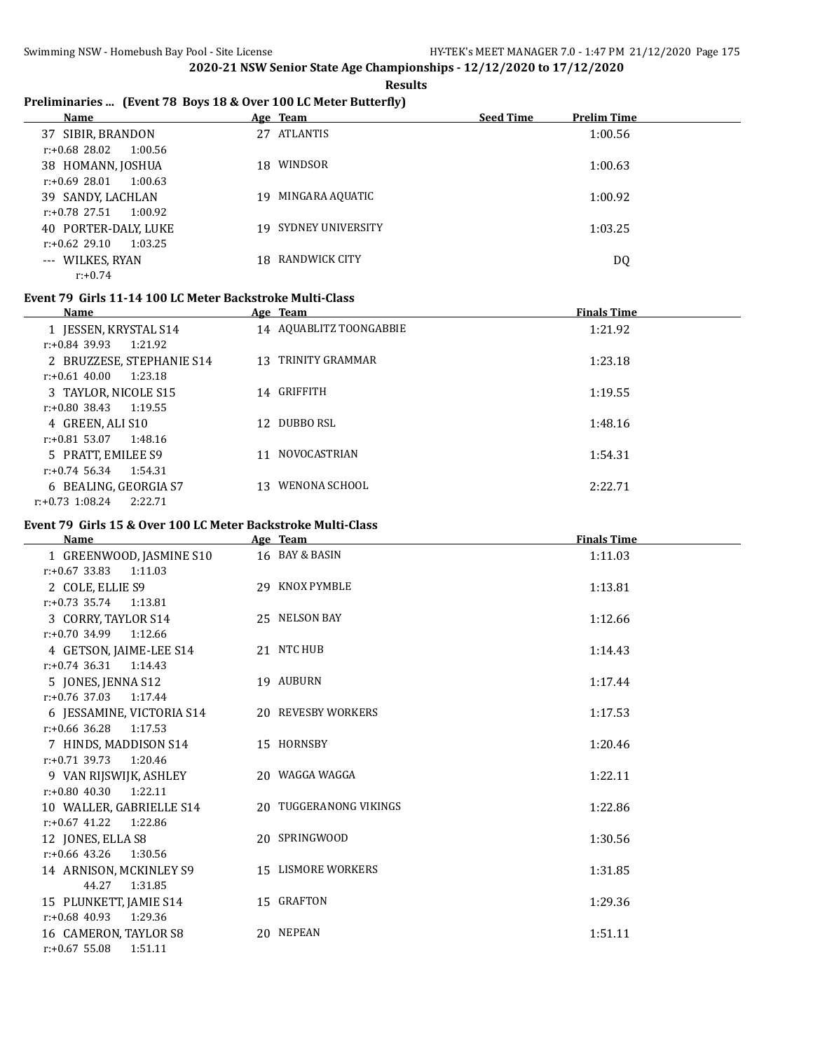**Results**

# **Preliminaries ... (Event 78 Boys 18 & Over 100 LC Meter Butterfly)**

| Name                        |     | Age Team             | <b>Seed Time</b> | <b>Prelim Time</b> |
|-----------------------------|-----|----------------------|------------------|--------------------|
| 37 SIBIR, BRANDON           |     | 27 ATLANTIS          |                  | 1:00.56            |
| 1:00.56<br>r:+0.68 28.02    |     |                      |                  |                    |
| 38 HOMANN, JOSHUA           | 18. | WINDSOR              |                  | 1:00.63            |
| $r: +0.69$ 28.01<br>1:00.63 |     |                      |                  |                    |
| 39 SANDY, LACHLAN           | 19  | MINGARA AQUATIC      |                  | 1:00.92            |
| $r: +0.78$ 27.51<br>1:00.92 |     |                      |                  |                    |
| 40 PORTER-DALY, LUKE        |     | 19 SYDNEY UNIVERSITY |                  | 1:03.25            |
| 1:03.25<br>$r: +0.62$ 29.10 |     |                      |                  |                    |
| --- WILKES, RYAN            |     | 18 RANDWICK CITY     |                  | DQ                 |
| $r: +0.74$                  |     |                      |                  |                    |

#### **Event 79 Girls 11-14 100 LC Meter Backstroke Multi-Class**

| Name                          | Age Team                  | <b>Finals Time</b> |
|-------------------------------|---------------------------|--------------------|
| 1 JESSEN, KRYSTAL S14         | 14 AQUABLITZ TOONGABBIE   | 1:21.92            |
| 1:21.92<br>$r: +0.84$ 39.93   |                           |                    |
| 2 BRUZZESE, STEPHANIE S14     | 13 TRINITY GRAMMAR        | 1:23.18            |
| $r: +0.61, 40.00$<br>1:23.18  |                           |                    |
| 3 TAYLOR, NICOLE S15          | 14 GRIFFITH               | 1:19.55            |
| r:+0.80 38.43<br>1:19.55      |                           |                    |
| 4 GREEN, ALI S10              | DUBBO RSL<br>12.          | 1:48.16            |
| $r: +0.81$ 53.07<br>1:48.16   |                           |                    |
| 5 PRATT, EMILEE S9            | <b>NOVOCASTRIAN</b><br>11 | 1:54.31            |
| 1:54.31<br>$r: +0.74$ 56.34   |                           |                    |
| 6 BEALING, GEORGIA S7         | WENONA SCHOOL<br>13       | 2:22.71            |
| $r: +0.73$ 1:08.24<br>2:22.71 |                           |                    |

#### **Event 79 Girls 15 & Over 100 LC Meter Backstroke Multi-Class**

| <b>Name</b>                                          | Age Team               | <b>Finals Time</b> |
|------------------------------------------------------|------------------------|--------------------|
| 1 GREENWOOD, JASMINE S10<br>$r: +0.67$ 33.83 1:11.03 | 16 BAY & BASIN         | 1:11.03            |
| 2 COLE, ELLIE S9                                     | 29 KNOX PYMBLE         | 1:13.81            |
| $r: +0.73$ 35.74 1:13.81                             |                        |                    |
| 3 CORRY, TAYLOR S14                                  | 25 NELSON BAY          | 1:12.66            |
| $r: +0.70$ 34.99 1:12.66                             |                        |                    |
| 4 GETSON, JAIME-LEE S14                              | 21 NTC HUB             | 1:14.43            |
| $r: +0.74$ 36.31 1:14.43                             |                        |                    |
| 5 JONES, JENNA S12                                   | 19 AUBURN              | 1:17.44            |
| $r: +0.76$ 37.03 1:17.44                             |                        |                    |
| 6 JESSAMINE, VICTORIA S14                            | 20 REVESBY WORKERS     | 1:17.53            |
| $r: +0.66$ 36.28<br>1:17.53                          |                        |                    |
| 7 HINDS, MADDISON S14                                | 15 HORNSBY             | 1:20.46            |
| $r+0.71$ 39.73<br>1:20.46                            |                        |                    |
| 9 VAN RIJSWIJK, ASHLEY                               | 20 WAGGA WAGGA         | 1:22.11            |
| $r: +0.80$ 40.30<br>1:22.11                          |                        |                    |
| 10 WALLER, GABRIELLE S14<br>$r: +0.67$ 41.22 1:22.86 | 20 TUGGERANONG VIKINGS | 1:22.86            |
|                                                      | 20 SPRINGWOOD          | 1:30.56            |
| 12 JONES, ELLA S8<br>$r: +0.66$ 43.26<br>1:30.56     |                        |                    |
| 14 ARNISON, MCKINLEY S9                              | 15 LISMORE WORKERS     | 1:31.85            |
| 44.27<br>1:31.85                                     |                        |                    |
| 15 PLUNKETT, JAMIE S14                               | 15 GRAFTON             | 1:29.36            |
| $r: +0.68$ 40.93<br>1:29.36                          |                        |                    |
| 16 CAMERON, TAYLOR S8                                | 20 NEPEAN              | 1:51.11            |
| $r: +0.67$ 55.08<br>1:51.11                          |                        |                    |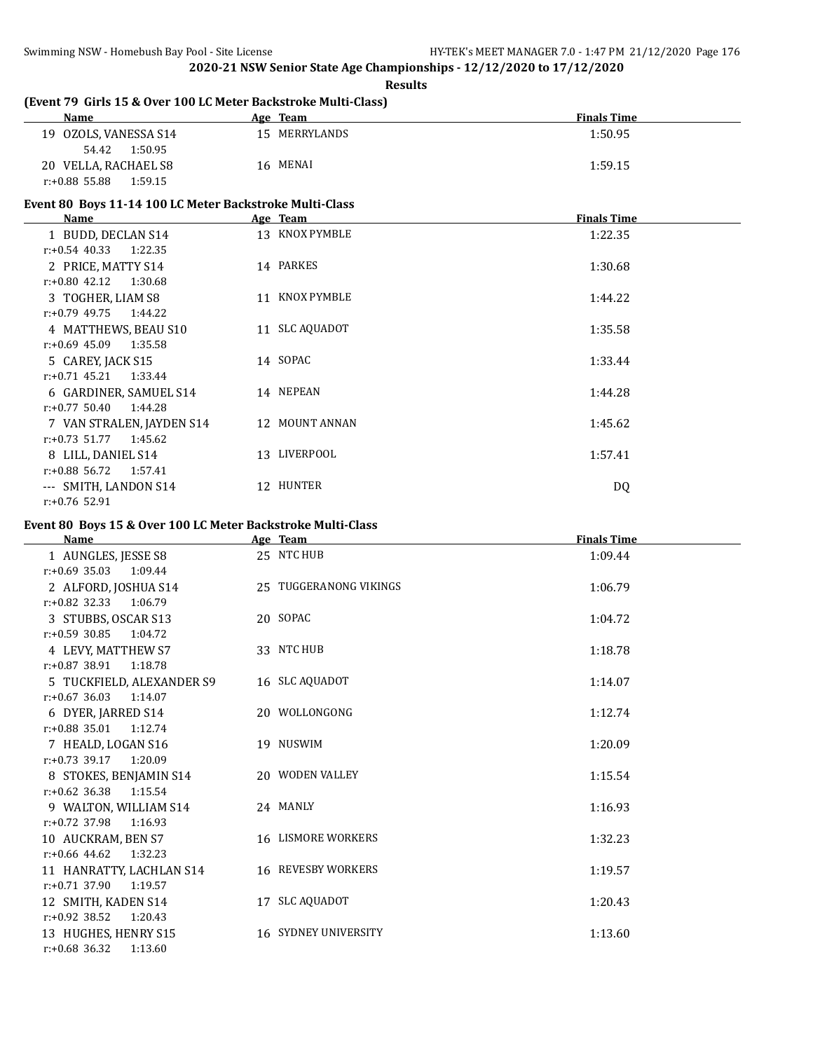#### **Results**

# **(Event 79 Girls 15 & Over 100 LC Meter Backstroke Multi-Class)**

| <b>Name</b>              | Team<br>Age   | <b>Finals Time</b> |
|--------------------------|---------------|--------------------|
| OZOLS, VANESSA S14<br>19 | 15 MERRYLANDS | 1:50.95            |
| 1:50.95<br>54.42         |               |                    |
| 20 VELLA, RACHAEL S8     | 16 MENAI      | 1:59.15            |
| r:+0.88 55.88<br>1:59.15 |               |                    |

# **Event 80 Boys 11-14 100 LC Meter Backstroke Multi-Class**

| Name                        | Age Team       | <b>Finals Time</b> |
|-----------------------------|----------------|--------------------|
| 1 BUDD, DECLAN S14          | 13 KNOX PYMBLE | 1:22.35            |
| 1:22.35<br>$r: +0.54$ 40.33 |                |                    |
| 2 PRICE, MATTY S14          | 14 PARKES      | 1:30.68            |
| 1:30.68<br>$r: +0.80$ 42.12 |                |                    |
| 3 TOGHER, LIAM S8           | 11 KNOX PYMBLE | 1:44.22            |
| r:+0.79 49.75<br>1:44.22    |                |                    |
| 4 MATTHEWS, BEAU S10        | 11 SLC AQUADOT | 1:35.58            |
| $r: +0.69$ 45.09<br>1:35.58 |                |                    |
| 5 CAREY, JACK S15           | 14 SOPAC       | 1:33.44            |
| $r: +0.71$ 45.21<br>1:33.44 |                |                    |
| 6 GARDINER, SAMUEL S14      | 14 NEPEAN      | 1:44.28            |
| $r: +0.77$ 50.40<br>1:44.28 |                |                    |
| 7 VAN STRALEN, JAYDEN S14   | 12 MOUNT ANNAN | 1:45.62            |
| $r: +0.73$ 51.77<br>1:45.62 |                |                    |
| 8 LILL, DANIEL S14          | 13 LIVERPOOL   | 1:57.41            |
| 1:57.41<br>r:+0.88 56.72    |                |                    |
| --- SMITH, LANDON S14       | 12 HUNTER      | DQ                 |
| $r: +0.76$ 52.91            |                |                    |

#### **Event 80 Boys 15 & Over 100 LC Meter Backstroke Multi-Class**

| <b>Name</b>                 | Age Team                    | <b>Finals Time</b> |
|-----------------------------|-----------------------------|--------------------|
| 1 AUNGLES, JESSE S8         | 25 NTC HUB                  | 1:09.44            |
| $r: +0.69$ 35.03<br>1:09.44 |                             |                    |
| 2 ALFORD, JOSHUA S14        | 25 TUGGERANONG VIKINGS      | 1:06.79            |
| $r: +0.82$ 32.33<br>1:06.79 |                             |                    |
| 3 STUBBS, OSCAR S13         | 20 SOPAC                    | 1:04.72            |
| $r: +0.59$ 30.85<br>1:04.72 |                             |                    |
| 4 LEVY, MATTHEW S7          | 33 NTC HUB                  | 1:18.78            |
| $r: +0.87$ 38.91<br>1:18.78 |                             |                    |
| 5 TUCKFIELD, ALEXANDER S9   | 16 SLC AQUADOT              | 1:14.07            |
| $r: +0.67$ 36.03 1:14.07    |                             |                    |
| 6 DYER, JARRED S14          | 20 WOLLONGONG               | 1:12.74            |
| $r: +0.88$ 35.01<br>1:12.74 |                             |                    |
| 7 HEALD, LOGAN S16          | 19 NUSWIM                   | 1:20.09            |
| $r: +0.73$ 39.17<br>1:20.09 |                             |                    |
| 8 STOKES, BENJAMIN S14      | 20 WODEN VALLEY             | 1:15.54            |
| $r: +0.62$ 36.38<br>1:15.54 |                             |                    |
| 9 WALTON, WILLIAM S14       | 24 MANLY                    | 1:16.93            |
| $r: +0.72$ 37.98<br>1:16.93 |                             |                    |
| 10 AUCKRAM, BEN S7          | 16 LISMORE WORKERS          | 1:32.23            |
| $r: +0.66$ 44.62 1:32.23    |                             |                    |
| 11 HANRATTY, LACHLAN S14    | 16 REVESBY WORKERS          | 1:19.57            |
| $r: +0.71$ 37.90<br>1:19.57 |                             |                    |
| 12 SMITH, KADEN S14         | 17 SLC AQUADOT              | 1:20.43            |
| $r: +0.92$ 38.52<br>1:20.43 |                             |                    |
| 13 HUGHES, HENRY S15        | <b>16 SYDNEY UNIVERSITY</b> | 1:13.60            |
| $r: +0.68$ 36.32<br>1:13.60 |                             |                    |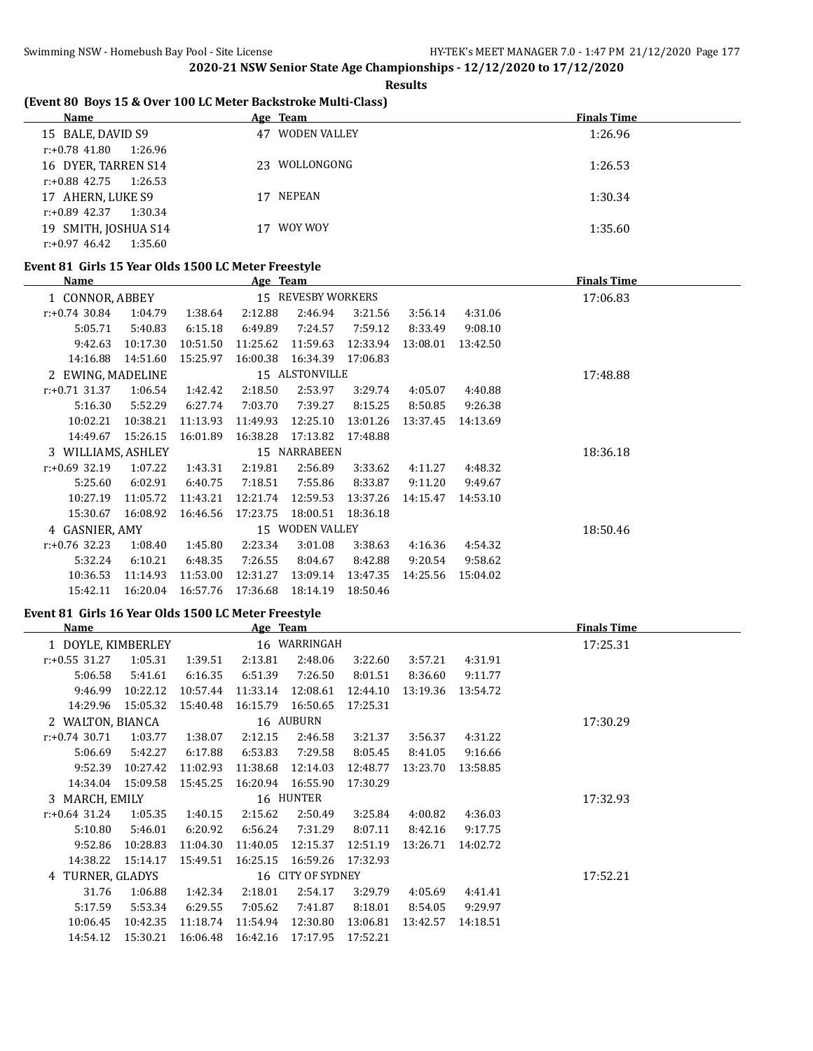**Results**

# **(Event 80 Boys 15 & Over 100 LC Meter Backstroke Multi-Class)**

| Name                        | Age Team           | <b>Finals Time</b> |
|-----------------------------|--------------------|--------------------|
| 15 BALE, DAVID S9           | WODEN VALLEY<br>47 | 1:26.96            |
| r:+0.78 41.80<br>1:26.96    |                    |                    |
| 16 DYER, TARREN S14         | 23 WOLLONGONG      | 1:26.53            |
| $r: +0.88$ 42.75 1:26.53    |                    |                    |
| 17 AHERN, LUKE S9           | NEPEAN<br>17       | 1:30.34            |
| $r: +0.89$ 42.37<br>1:30.34 |                    |                    |
| 19 SMITH, JOSHUA S14        | WOY WOY<br>17      | 1:35.60            |
| r:+0.97 46.42<br>1:35.60    |                    |                    |

#### **Event 81 Girls 15 Year Olds 1500 LC Meter Freestyle**

| Name              |                    |          | Age Team |                    |          |          |          | <b>Finals Time</b> |
|-------------------|--------------------|----------|----------|--------------------|----------|----------|----------|--------------------|
| 1 CONNOR, ABBEY   |                    |          |          | 15 REVESBY WORKERS |          |          |          | 17:06.83           |
| $r: +0.74$ 30.84  | 1:04.79            | 1:38.64  | 2:12.88  | 2:46.94            | 3:21.56  | 3:56.14  | 4:31.06  |                    |
| 5:05.71           | 5:40.83            | 6:15.18  | 6:49.89  | 7:24.57            | 7:59.12  | 8:33.49  | 9:08.10  |                    |
| 9:42.63           | 10:17.30           | 10:51.50 | 11:25.62 | 11:59.63           | 12:33.94 | 13:08.01 | 13:42.50 |                    |
| 14:16.88          | 14:51.60           | 15:25.97 | 16:00.38 | 16:34.39           | 17:06.83 |          |          |                    |
| 2 EWING, MADELINE |                    |          |          | 15 ALSTONVILLE     |          |          |          | 17:48.88           |
| $r: +0.71$ 31.37  | 1:06.54            | 1:42.42  | 2:18.50  | 2:53.97            | 3:29.74  | 4:05.07  | 4:40.88  |                    |
| 5:16.30           | 5:52.29            | 6:27.74  | 7:03.70  | 7:39.27            | 8:15.25  | 8:50.85  | 9:26.38  |                    |
| 10:02.21          | 10:38.21           | 11:13.93 | 11:49.93 | 12:25.10           | 13:01.26 | 13:37.45 | 14:13.69 |                    |
| 14:49.67          | 15:26.15           | 16:01.89 | 16:38.28 | 17:13.82           | 17:48.88 |          |          |                    |
|                   | 3 WILLIAMS, ASHLEY |          |          | 15 NARRABEEN       |          |          |          | 18:36.18           |
| $r: +0.69$ 32.19  | 1:07.22            | 1:43.31  | 2:19.81  | 2:56.89            | 3:33.62  | 4:11.27  | 4:48.32  |                    |
| 5:25.60           | 6:02.91            | 6:40.75  | 7:18.51  | 7:55.86            | 8:33.87  | 9:11.20  | 9:49.67  |                    |
| 10:27.19          | 11:05.72           | 11:43.21 | 12:21.74 | 12:59.53           | 13:37.26 | 14:15.47 | 14:53.10 |                    |
| 15:30.67          | 16:08.92           | 16:46.56 | 17:23.75 | 18:00.51           | 18:36.18 |          |          |                    |
| 4 GASNIER, AMY    |                    |          |          | 15 WODEN VALLEY    |          |          |          | 18:50.46           |
| $r: +0.76$ 32.23  | 1:08.40            | 1:45.80  | 2:23.34  | 3:01.08            | 3:38.63  | 4:16.36  | 4:54.32  |                    |
| 5:32.24           | 6:10.21            | 6:48.35  | 7:26.55  | 8:04.67            | 8:42.88  | 9:20.54  | 9:58.62  |                    |
| 10:36.53          | 11:14.93           | 11:53.00 | 12:31.27 | 13:09.14           | 13:47.35 | 14:25.56 | 15:04.02 |                    |
| 15:42.11          | 16:20.04           | 16:57.76 | 17:36.68 | 18:14.19           | 18:50.46 |          |          |                    |

# **Event 81 Girls 16 Year Olds 1500 LC Meter Freestyle**

| <b>Name</b>        |          |          | Age Team |                   |          |          |          | <b>Finals Time</b> |
|--------------------|----------|----------|----------|-------------------|----------|----------|----------|--------------------|
| 1 DOYLE, KIMBERLEY |          |          |          | 16 WARRINGAH      |          |          |          | 17:25.31           |
| $r: +0.55$ 31.27   | 1:05.31  | 1:39.51  | 2:13.81  | 2:48.06           | 3:22.60  | 3:57.21  | 4:31.91  |                    |
| 5:06.58            | 5:41.61  | 6:16.35  | 6:51.39  | 7:26.50           | 8:01.51  | 8:36.60  | 9:11.77  |                    |
| 9:46.99            | 10:22.12 | 10:57.44 | 11:33.14 | 12:08.61          | 12:44.10 | 13:19.36 | 13:54.72 |                    |
| 14:29.96           | 15:05.32 | 15:40.48 | 16:15.79 | 16:50.65          | 17:25.31 |          |          |                    |
| 2 WALTON, BIANCA   |          |          |          | 16 AUBURN         |          |          |          | 17:30.29           |
| $r: +0.74$ 30.71   | 1:03.77  | 1:38.07  | 2:12.15  | 2:46.58           | 3:21.37  | 3:56.37  | 4:31.22  |                    |
| 5:06.69            | 5:42.27  | 6:17.88  | 6:53.83  | 7:29.58           | 8:05.45  | 8:41.05  | 9:16.66  |                    |
| 9:52.39            | 10:27.42 | 11:02.93 | 11:38.68 | 12:14.03          | 12:48.77 | 13:23.70 | 13:58.85 |                    |
| 14:34.04           | 15:09.58 | 15:45.25 | 16:20.94 | 16:55.90          | 17:30.29 |          |          |                    |
| 3 MARCH, EMILY     |          |          |          | 16 HUNTER         |          |          |          | 17:32.93           |
| $r: +0.64$ 31.24   | 1:05.35  | 1:40.15  | 2:15.62  | 2:50.49           | 3:25.84  | 4:00.82  | 4:36.03  |                    |
| 5:10.80            | 5:46.01  | 6:20.92  | 6:56.24  | 7:31.29           | 8:07.11  | 8:42.16  | 9:17.75  |                    |
| 9:52.86            | 10:28.83 | 11:04.30 | 11:40.05 | 12:15.37          | 12:51.19 | 13:26.71 | 14:02.72 |                    |
| 14:38.22           | 15:14.17 | 15:49.51 | 16:25.15 | 16:59.26          | 17:32.93 |          |          |                    |
| 4 TURNER, GLADYS   |          |          |          | 16 CITY OF SYDNEY |          |          |          | 17:52.21           |
| 31.76              | 1:06.88  | 1:42.34  | 2:18.01  | 2:54.17           | 3:29.79  | 4:05.69  | 4:41.41  |                    |
| 5:17.59            | 5:53.34  | 6:29.55  | 7:05.62  | 7:41.87           | 8:18.01  | 8:54.05  | 9:29.97  |                    |
| 10:06.45           | 10:42.35 | 11:18.74 | 11:54.94 | 12:30.80          | 13:06.81 | 13:42.57 | 14:18.51 |                    |
| 14:54.12           | 15:30.21 | 16:06.48 | 16:42.16 | 17:17.95          | 17:52.21 |          |          |                    |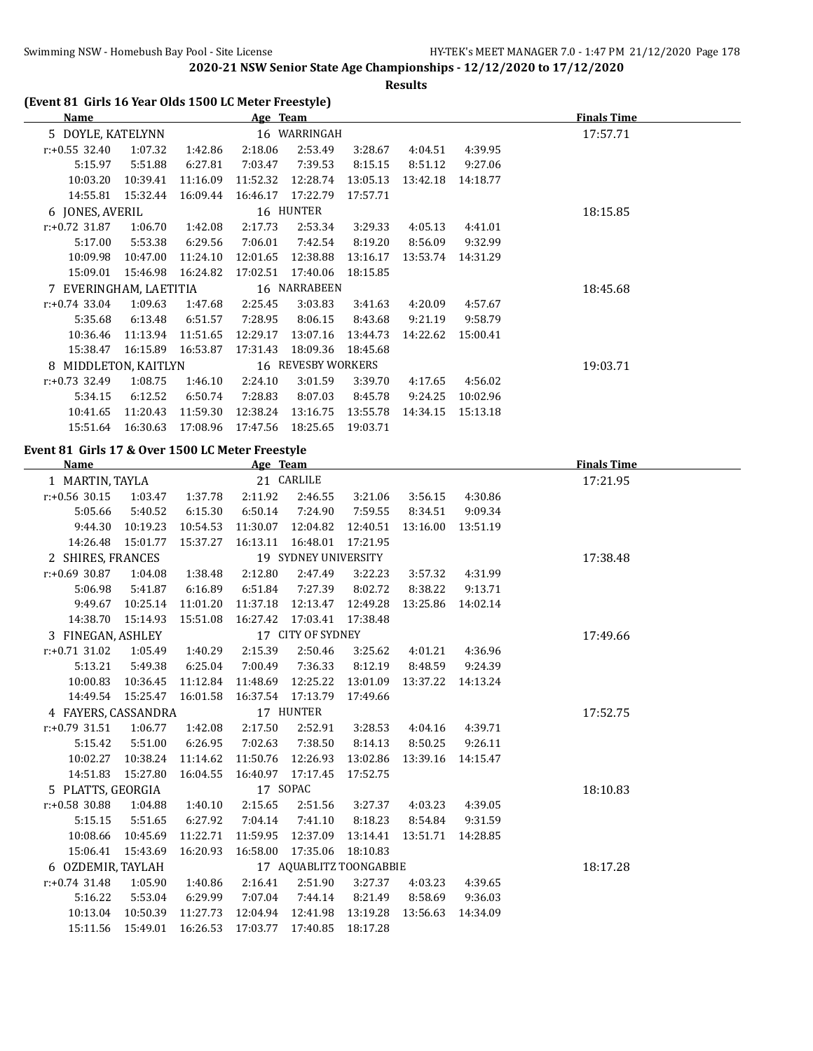**Results**

|  |  | (Event 81 Girls 16 Year Olds 1500 LC Meter Freestyle) |  |  |
|--|--|-------------------------------------------------------|--|--|
|--|--|-------------------------------------------------------|--|--|

| Name                    |          |          | Age Team |                           |          |          |          | <b>Finals Time</b> |
|-------------------------|----------|----------|----------|---------------------------|----------|----------|----------|--------------------|
| 5 DOYLE, KATELYNN       |          |          |          | 16 WARRINGAH              |          |          |          | 17:57.71           |
| $r: +0.55$ 32.40        | 1:07.32  | 1:42.86  | 2:18.06  | 2:53.49                   | 3:28.67  | 4:04.51  | 4:39.95  |                    |
| 5:15.97                 | 5:51.88  | 6:27.81  | 7:03.47  | 7:39.53                   | 8:15.15  | 8:51.12  | 9:27.06  |                    |
| 10:03.20                | 10:39.41 | 11:16.09 | 11:52.32 | 12:28.74                  | 13:05.13 | 13:42.18 | 14:18.77 |                    |
| 14:55.81                | 15:32.44 | 16:09.44 | 16:46.17 | 17:22.79                  | 17:57.71 |          |          |                    |
| 6 JONES, AVERIL         |          |          |          | 16 HUNTER                 |          |          |          | 18:15.85           |
| $r: +0.72$ 31.87        | 1:06.70  | 1:42.08  | 2:17.73  | 2:53.34                   | 3:29.33  | 4:05.13  | 4:41.01  |                    |
| 5:17.00                 | 5:53.38  | 6:29.56  | 7:06.01  | 7:42.54                   | 8:19.20  | 8:56.09  | 9:32.99  |                    |
| 10:09.98                | 10:47.00 | 11:24.10 | 12:01.65 | 12:38.88                  | 13:16.17 | 13:53.74 | 14:31.29 |                    |
| 15:09.01                | 15:46.98 | 16:24.82 | 17:02.51 | 17:40.06                  | 18:15.85 |          |          |                    |
| 7 EVERINGHAM, LAETITIA  |          |          |          | 16 NARRABEEN              |          |          |          | 18:45.68           |
| $r: +0.74$ 33.04        | 1:09.63  | 1:47.68  | 2:25.45  | 3:03.83                   | 3:41.63  | 4:20.09  | 4:57.67  |                    |
| 5:35.68                 | 6:13.48  | 6:51.57  | 7:28.95  | 8:06.15                   | 8:43.68  | 9:21.19  | 9:58.79  |                    |
| 10:36.46                | 11:13.94 | 11:51.65 | 12:29.17 | 13:07.16                  | 13:44.73 | 14:22.62 | 15:00.41 |                    |
| 15:38.47                | 16:15.89 | 16:53.87 | 17:31.43 | 18:09.36                  | 18:45.68 |          |          |                    |
| MIDDLETON, KAITLYN<br>8 |          |          |          | <b>16 REVESBY WORKERS</b> |          |          |          | 19:03.71           |
| $r: +0.73$ 32.49        | 1:08.75  | 1:46.10  | 2:24.10  | 3:01.59                   | 3:39.70  | 4:17.65  | 4:56.02  |                    |
| 5:34.15                 | 6:12.52  | 6:50.74  | 7:28.83  | 8:07.03                   | 8:45.78  | 9:24.25  | 10:02.96 |                    |
| 10:41.65                | 11:20.43 | 11:59.30 | 12:38.24 | 13:16.75                  | 13:55.78 | 14:34.15 | 15:13.18 |                    |
| 15:51.64                | 16:30.63 | 17:08.96 | 17:47.56 | 18:25.65                  | 19:03.71 |          |          |                    |

# **Event 81 Girls 17 & Over 1500 LC Meter Freestyle**

| Name                |                              |          | Age Team                |                      |          |          |                    | <b>Finals Time</b> |
|---------------------|------------------------------|----------|-------------------------|----------------------|----------|----------|--------------------|--------------------|
| 1 MARTIN, TAYLA     |                              |          |                         | 21 CARLILE           |          |          |                    | 17:21.95           |
| $r: +0.56$ 30.15    | 1:03.47                      | 1:37.78  | 2:11.92                 | 2:46.55              | 3:21.06  | 3:56.15  | 4:30.86            |                    |
| 5:05.66             | 5:40.52                      | 6:15.30  | 6:50.14                 | 7:24.90              | 7:59.55  | 8:34.51  | 9:09.34            |                    |
| 9:44.30             | 10:19.23                     | 10:54.53 | 11:30.07                | 12:04.82             | 12:40.51 | 13:16.00 | 13:51.19           |                    |
| 14:26.48            | 15:01.77                     | 15:37.27 | 16:13.11  16:48.01      |                      | 17:21.95 |          |                    |                    |
| 2 SHIRES, FRANCES   |                              |          |                         | 19 SYDNEY UNIVERSITY |          |          |                    | 17:38.48           |
| $r: +0.69$ 30.87    | 1:04.08                      | 1:38.48  | 2:12.80                 | 2:47.49              | 3:22.23  | 3:57.32  | 4:31.99            |                    |
| 5:06.98             | 5:41.87                      | 6:16.89  | 6:51.84                 | 7:27.39              | 8:02.72  | 8:38.22  | 9:13.71            |                    |
| 9:49.67             | 10:25.14                     | 11:01.20 | 11:37.18                | 12:13.47             | 12:49.28 | 13:25.86 | 14:02.14           |                    |
| 14:38.70            | 15:14.93                     | 15:51.08 | 16:27.42 17:03.41       |                      | 17:38.48 |          |                    |                    |
| 3 FINEGAN, ASHLEY   |                              |          |                         | 17 CITY OF SYDNEY    |          |          |                    | 17:49.66           |
| $r: +0.71$ 31.02    | 1:05.49                      | 1:40.29  | 2:15.39                 | 2:50.46              | 3:25.62  | 4:01.21  | 4:36.96            |                    |
| 5:13.21             | 5:49.38                      | 6:25.04  | 7:00.49                 | 7:36.33              | 8:12.19  | 8:48.59  | 9:24.39            |                    |
| 10:00.83            | 10:36.45                     | 11:12.84 | 11:48.69                | 12:25.22             | 13:01.09 |          | 13:37.22  14:13.24 |                    |
|                     | 14:49.54  15:25.47  16:01.58 |          | 16:37.54 17:13.79       |                      | 17:49.66 |          |                    |                    |
| 4 FAYERS, CASSANDRA |                              |          | 17 HUNTER               |                      |          |          |                    | 17:52.75           |
| $r: +0.79$ 31.51    | 1:06.77                      | 1:42.08  | 2:17.50                 | 2:52.91              | 3:28.53  | 4:04.16  | 4:39.71            |                    |
| 5:15.42             | 5:51.00                      | 6:26.95  | 7:02.63                 | 7:38.50              | 8:14.13  | 8:50.25  | 9:26.11            |                    |
| 10:02.27            | 10:38.24                     | 11:14.62 | 11:50.76                | 12:26.93             | 13:02.86 | 13:39.16 | 14:15.47           |                    |
| 14:51.83            | 15:27.80                     | 16:04.55 | 16:40.97 17:17.45       |                      | 17:52.75 |          |                    |                    |
| 5 PLATTS, GEORGIA   |                              |          | 17 SOPAC                |                      |          |          |                    | 18:10.83           |
| $r: +0.58$ 30.88    | 1:04.88                      | 1:40.10  | 2:15.65                 | 2:51.56              | 3:27.37  | 4:03.23  | 4:39.05            |                    |
| 5:15.15             | 5:51.65                      | 6:27.92  | 7:04.14                 | 7:41.10              | 8:18.23  | 8:54.84  | 9:31.59            |                    |
| 10:08.66            | 10:45.69                     | 11:22.71 | 11:59.95                | 12:37.09             | 13:14.41 |          | 13:51.71  14:28.85 |                    |
|                     | 15:06.41  15:43.69  16:20.93 |          |                         | 16:58.00 17:35.06    | 18:10.83 |          |                    |                    |
| 6 OZDEMIR, TAYLAH   |                              |          | 17 AQUABLITZ TOONGABBIE |                      |          |          |                    | 18:17.28           |
| $r: +0.74$ 31.48    | 1:05.90                      | 1:40.86  | 2:16.41                 | 2:51.90              | 3:27.37  | 4:03.23  | 4:39.65            |                    |
| 5:16.22             | 5:53.04                      | 6:29.99  | 7:07.04                 | 7:44.14              | 8:21.49  | 8:58.69  | 9:36.03            |                    |
| 10:13.04            | 10:50.39                     | 11:27.73 | 12:04.94                | 12:41.98             | 13:19.28 | 13:56.63 | 14:34.09           |                    |
|                     | 15:11.56  15:49.01  16:26.53 |          | 17:03.77 17:40.85       |                      | 18:17.28 |          |                    |                    |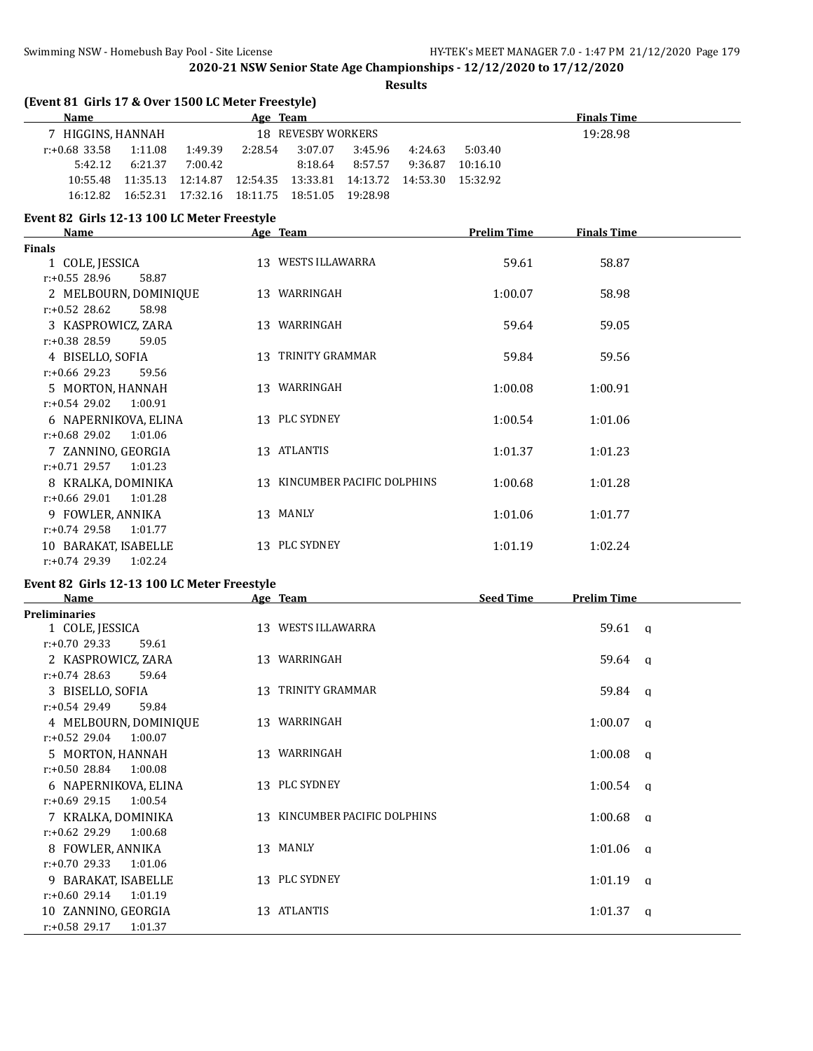**Results**

| (Event 81 Girls 17 & Over 1500 LC Meter Freestyle)<br>Name                     |          | <b>Finals Time</b>            |         |         |                    |                    |  |
|--------------------------------------------------------------------------------|----------|-------------------------------|---------|---------|--------------------|--------------------|--|
| 7 HIGGINS, HANNAH                                                              | Age Team | 18 REVESBY WORKERS            |         |         |                    | 19:28.98           |  |
| $r: +0.68$ 33.58<br>1:11.08 1:49.39                                            | 2:28.54  | 3:07.07                       | 3:45.96 | 4:24.63 | 5:03.40            |                    |  |
| 6:21.37<br>5:42.12<br>7:00.42                                                  |          | 8:18.64                       | 8:57.57 |         | 9:36.87 10:16.10   |                    |  |
| 10:55.48  11:35.13  12:14.87  12:54.35  13:33.81  14:13.72  14:53.30  15:32.92 |          |                               |         |         |                    |                    |  |
| 16:12.82  16:52.31  17:32.16  18:11.75  18:51.05  19:28.98                     |          |                               |         |         |                    |                    |  |
| Event 82 Girls 12-13 100 LC Meter Freestyle<br>Name                            | Age Team |                               |         |         | <b>Prelim Time</b> | <b>Finals Time</b> |  |
| Finals                                                                         |          |                               |         |         |                    |                    |  |
| 1 COLE, JESSICA                                                                |          | 13 WESTS ILLAWARRA            |         |         | 59.61              | 58.87              |  |
| r:+0.55 28.96<br>58.87                                                         |          |                               |         |         |                    |                    |  |
| 2 MELBOURN, DOMINIQUE<br>$r: +0.52$ 28.62<br>58.98                             |          | 13 WARRINGAH                  |         |         | 1:00.07            | 58.98              |  |
| 3 KASPROWICZ, ZARA<br>r:+0.38 28.59<br>59.05                                   |          | 13 WARRINGAH                  |         |         | 59.64              | 59.05              |  |
| 4 BISELLO, SOFIA<br>$r: +0.66$ 29.23<br>59.56                                  |          | 13 TRINITY GRAMMAR            |         |         | 59.84              | 59.56              |  |
| 5 MORTON, HANNAH<br>$r: +0.54$ 29.02<br>1:00.91                                |          | 13 WARRINGAH                  |         |         | 1:00.08            | 1:00.91            |  |
| 6 NAPERNIKOVA, ELINA<br>$r: +0.68$ 29.02<br>1:01.06                            |          | 13 PLC SYDNEY                 |         |         | 1:00.54            | 1:01.06            |  |
| 7 ZANNINO, GEORGIA                                                             |          | 13 ATLANTIS                   |         |         | 1:01.37            | 1:01.23            |  |
| r:+0.71 29.57<br>1:01.23<br>8 KRALKA, DOMINIKA                                 |          | 13 KINCUMBER PACIFIC DOLPHINS |         |         | 1:00.68            | 1:01.28            |  |
| $r: +0.66$ 29.01<br>1:01.28<br>9 FOWLER, ANNIKA                                |          | 13 MANLY                      |         |         | 1:01.06            | 1:01.77            |  |
| $r: +0.74$ 29.58<br>1:01.77<br>10 BARAKAT, ISABELLE                            |          | 13 PLC SYDNEY                 |         |         | 1:01.19            | 1:02.24            |  |
| $r: +0.74$ 29.39<br>1:02.24<br>Event 82 Girls 12-13 100 LC Meter Freestyle     |          |                               |         |         |                    |                    |  |
| <b>Name</b>                                                                    |          | Age Team                      |         |         | Seed Time          | <b>Prelim Time</b> |  |
| <b>Preliminaries</b>                                                           |          |                               |         |         |                    |                    |  |
| 1 COLE, JESSICA<br>r:+0.70 29.33<br>59.61                                      |          | 13 WESTS ILLAWARRA            |         |         |                    | 59.61 q            |  |
| 2 KASPROWICZ, ZARA<br>$r: +0.74$ 28.63<br>59.64                                |          | 13 WARRINGAH                  |         |         |                    | $59.64$ q          |  |
| 3 BISELLO, SOFIA<br>$r+0.54$ 29.49<br>59.84                                    |          | 13 TRINITY GRAMMAR            |         |         |                    | 59.84 a            |  |
| 4 MELBOURN, DOMINIQUE<br>r:+0.52 29.04<br>1:00.07                              |          | 13 WARRINGAH                  |         |         |                    | $1:00.07$ a        |  |
| 5 MORTON, HANNAH                                                               |          | 13 WARRINGAH                  |         |         |                    | $1:00.08$ q        |  |
| $r: +0.5028.8411:00.08$<br>6 NAPERNIKOVA, ELINA                                |          | 13 PLC SYDNEY                 |         |         |                    | $1:00.54$ q        |  |
| $r: +0.69$ 29.15<br>1:00.54<br>7 KRALKA, DOMINIKA                              |          | 13 KINCUMBER PACIFIC DOLPHINS |         |         |                    | $1:00.68$ a        |  |
| $r: +0.62$ 29.29<br>1:00.68<br>8 FOWLER, ANNIKA                                |          | 13 MANLY                      |         |         |                    | $1:01.06$ a        |  |
| $r: +0.70$ 29.33<br>1:01.06                                                    |          |                               |         |         |                    |                    |  |
| 9 BARAKAT, ISABELLE<br>$r.+0.60$ 29.14<br>1:01.19                              |          | 13 PLC SYDNEY                 |         |         |                    | $1:01.19$ q        |  |
| 10 ZANNINO, GEORGIA<br>r:+0.58 29.17 1:01.37                                   |          | 13 ATLANTIS                   |         |         |                    | $1:01.37$ q        |  |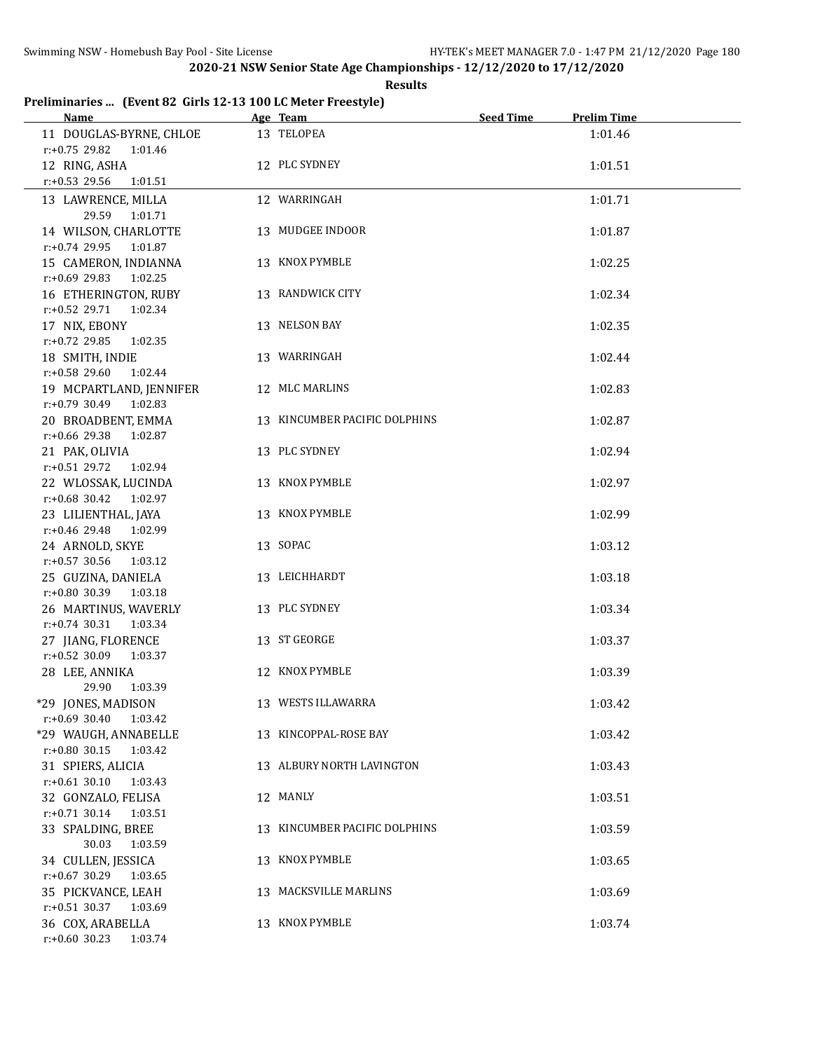#### **Results**

# **Preliminaries ... (Event 82 Girls 12-13 100 LC Meter Freestyle)**

| Name                                                                   | Age Team                      | <b>Seed Time</b> | <b>Prelim Time</b> |
|------------------------------------------------------------------------|-------------------------------|------------------|--------------------|
| 11 DOUGLAS-BYRNE, CHLOE<br>$r: +0.75$ 29.82<br>1:01.46                 | 13 TELOPEA                    |                  | 1:01.46            |
| 12 RING, ASHA<br>r:+0.53 29.56<br>1:01.51                              | 12 PLC SYDNEY                 |                  | 1:01.51            |
| 13 LAWRENCE, MILLA<br>29.59<br>1:01.71                                 | 12 WARRINGAH                  |                  | 1:01.71            |
| 14 WILSON, CHARLOTTE                                                   | 13 MUDGEE INDOOR              |                  | 1:01.87            |
| r:+0.74 29.95 1:01.87<br>15 CAMERON, INDIANNA<br>r:+0.69 29.83 1:02.25 | 13 KNOX PYMBLE                |                  | 1:02.25            |
| 16 ETHERINGTON, RUBY<br>$r.+0.52$ 29.71<br>1:02.34                     | 13 RANDWICK CITY              |                  | 1:02.34            |
| 17 NIX, EBONY<br>$r.+0.72$ 29.85<br>1:02.35                            | 13 NELSON BAY                 |                  | 1:02.35            |
| 18 SMITH, INDIE<br>r:+0.58 29.60 1:02.44                               | 13 WARRINGAH                  |                  | 1:02.44            |
| 19 MCPARTLAND, JENNIFER<br>$r: +0.79$ 30.49 1:02.83                    | 12 MLC MARLINS                |                  | 1:02.83            |
| 20 BROADBENT, EMMA<br>r:+0.66 29.38 1:02.87                            | 13 KINCUMBER PACIFIC DOLPHINS |                  | 1:02.87            |
| 21 PAK, OLIVIA<br>r:+0.51 29.72 1:02.94                                | 13 PLC SYDNEY                 |                  | 1:02.94            |
| 22 WLOSSAK, LUCINDA<br>r:+0.68 30.42 1:02.97                           | 13 KNOX PYMBLE                |                  | 1:02.97            |
| 23 LILIENTHAL, JAYA<br>r:+0.46 29.48 1:02.99                           | 13 KNOX PYMBLE                |                  | 1:02.99            |
| 24 ARNOLD, SKYE<br>$r.+0.57$ 30.56 1:03.12                             | 13 SOPAC                      |                  | 1:03.12            |
| 25 GUZINA, DANIELA<br>$r: +0.80$ 30.39 1:03.18                         | 13 LEICHHARDT                 |                  | 1:03.18            |
| 26 MARTINUS, WAVERLY<br>$r: +0.74$ 30.31 1:03.34                       | 13 PLC SYDNEY                 |                  | 1:03.34            |
| 27 JIANG, FLORENCE<br>r:+0.52 30.09 1:03.37                            | 13 ST GEORGE                  |                  | 1:03.37            |
| 28 LEE, ANNIKA<br>29.90<br>1:03.39                                     | 12 KNOX PYMBLE                |                  | 1:03.39            |
| *29 JONES, MADISON<br>$r: +0.69$ 30.40 1:03.42                         | 13 WESTS ILLAWARRA            |                  | 1:03.42            |
| *29 WAUGH, ANNABELLE<br>r:+0.80 30.15 1:03.42                          | 13 KINCOPPAL-ROSE BAY         |                  | 1:03.42            |
| 31 SPIERS, ALICIA<br>$r: +0.61$ 30.10<br>1:03.43                       | 13 ALBURY NORTH LAVINGTON     |                  | 1:03.43            |
| 32 GONZALO, FELISA<br>$r.+0.71$ 30.14 1:03.51                          | 12 MANLY                      |                  | 1:03.51            |
| 33 SPALDING, BREE<br>30.03<br>1:03.59                                  | 13 KINCUMBER PACIFIC DOLPHINS |                  | 1:03.59            |
| 34 CULLEN, JESSICA<br>$r: +0.67$ 30.29 1:03.65                         | 13 KNOX PYMBLE                |                  | 1:03.65            |
| 35 PICKVANCE, LEAH<br>r:+0.51 30.37 1:03.69                            | 13 MACKSVILLE MARLINS         |                  | 1:03.69            |
| 36 COX, ARABELLA<br>$r: +0.60$ 30.23<br>1:03.74                        | 13 KNOX PYMBLE                |                  | 1:03.74            |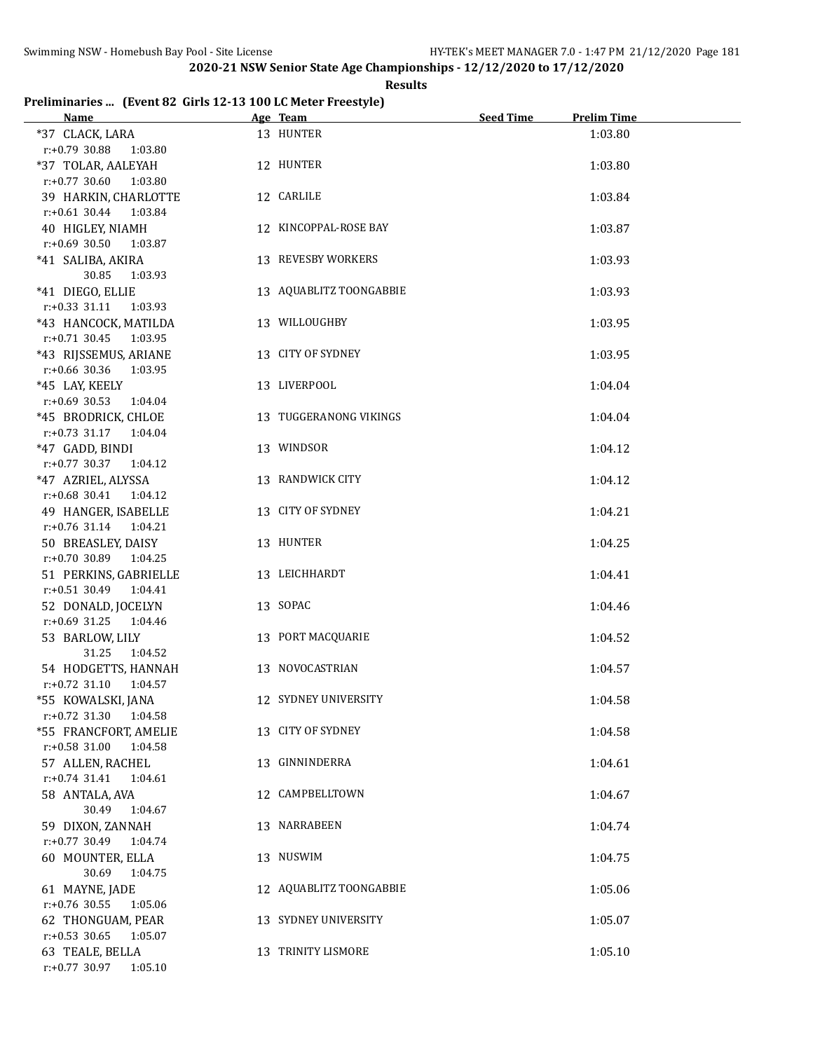#### **Results**

### **Preliminaries ... (Event 82 Girls 12-13 100 LC Meter Freestyle)**

| Name and the state of the state of the state of the state of the state of the state of the state of the state of the state of the state of the state of the state of the state of the state of the state of the state of the s | Age Team and the state of the state of the state of the state of the state of the state of the state of the state of the state of the state of the state of the state of the state of the state of the state of the state of t | Seed Time | <b>Prelim Time</b> |
|--------------------------------------------------------------------------------------------------------------------------------------------------------------------------------------------------------------------------------|--------------------------------------------------------------------------------------------------------------------------------------------------------------------------------------------------------------------------------|-----------|--------------------|
| *37 CLACK, LARA<br>$r: +0.79$ 30.88<br>1:03.80                                                                                                                                                                                 | 13 HUNTER                                                                                                                                                                                                                      |           | 1:03.80            |
| *37 TOLAR, AALEYAH<br>$r: +0.77$ 30.60 1:03.80                                                                                                                                                                                 | 12 HUNTER                                                                                                                                                                                                                      |           | 1:03.80            |
| 39 HARKIN, CHARLOTTE<br>$r: +0.61$ 30.44 1:03.84                                                                                                                                                                               | 12 CARLILE                                                                                                                                                                                                                     |           | 1:03.84            |
| 40 HIGLEY, NIAMH<br>$r: +0.69$ 30.50<br>1:03.87                                                                                                                                                                                | 12 KINCOPPAL-ROSE BAY                                                                                                                                                                                                          |           | 1:03.87            |
| *41 SALIBA, AKIRA<br>30.85<br>1:03.93                                                                                                                                                                                          | 13 REVESBY WORKERS                                                                                                                                                                                                             |           | 1:03.93            |
| *41 DIEGO, ELLIE<br>$r.+0.33$ 31.11 1:03.93                                                                                                                                                                                    | 13 AQUABLITZ TOONGABBIE                                                                                                                                                                                                        |           | 1:03.93            |
| *43 HANCOCK, MATILDA<br>$r: +0.71$ 30.45 1:03.95                                                                                                                                                                               | 13 WILLOUGHBY                                                                                                                                                                                                                  |           | 1:03.95            |
| *43 RIJSSEMUS, ARIANE<br>$r: +0.66$ 30.36 1:03.95                                                                                                                                                                              | 13 CITY OF SYDNEY                                                                                                                                                                                                              |           | 1:03.95            |
| *45 LAY, KEELY<br>$r: +0.69$ 30.53 1:04.04                                                                                                                                                                                     | 13 LIVERPOOL                                                                                                                                                                                                                   |           | 1:04.04            |
| *45 BRODRICK, CHLOE<br>r:+0.73 31.17 1:04.04                                                                                                                                                                                   | 13 TUGGERANONG VIKINGS                                                                                                                                                                                                         |           | 1:04.04            |
| *47 GADD, BINDI<br>$r.+0.77$ 30.37 1:04.12                                                                                                                                                                                     | 13 WINDSOR                                                                                                                                                                                                                     |           | 1:04.12            |
| *47 AZRIEL, ALYSSA<br>$r.+0.68$ 30.41 1:04.12                                                                                                                                                                                  | 13 RANDWICK CITY                                                                                                                                                                                                               |           | 1:04.12            |
| 49 HANGER, ISABELLE<br>$r: +0.76$ 31.14 1:04.21                                                                                                                                                                                | 13 CITY OF SYDNEY                                                                                                                                                                                                              |           | 1:04.21            |
| 50 BREASLEY, DAISY<br>$r: +0.70$ 30.89 1:04.25                                                                                                                                                                                 | 13 HUNTER                                                                                                                                                                                                                      |           | 1:04.25            |
| 51 PERKINS, GABRIELLE<br>$r.+0.51$ 30.49 1:04.41                                                                                                                                                                               | 13 LEICHHARDT                                                                                                                                                                                                                  |           | 1:04.41            |
| 52 DONALD, JOCELYN<br>$r: +0.69$ 31.25 1:04.46                                                                                                                                                                                 | 13 SOPAC                                                                                                                                                                                                                       |           | 1:04.46            |
| 53 BARLOW, LILY<br>31.25<br>1:04.52                                                                                                                                                                                            | 13 PORT MACQUARIE                                                                                                                                                                                                              |           | 1:04.52            |
| 54 HODGETTS, HANNAH<br>$r: +0.72$ 31.10<br>1:04.57                                                                                                                                                                             | 13 NOVOCASTRIAN                                                                                                                                                                                                                |           | 1:04.57            |
| *55 KOWALSKI, JANA<br>$r: +0.72$ 31.30<br>1:04.58                                                                                                                                                                              | 12 SYDNEY UNIVERSITY                                                                                                                                                                                                           |           | 1:04.58            |
| *55 FRANCFORT, AMELIE<br>$r: +0.58$ 31.00<br>1:04.58                                                                                                                                                                           | 13 CITY OF SYDNEY                                                                                                                                                                                                              |           | 1:04.58            |
| 57 ALLEN, RACHEL<br>$r: +0.74$ 31.41<br>1:04.61                                                                                                                                                                                | 13 GINNINDERRA                                                                                                                                                                                                                 |           | 1:04.61            |
| 58 ANTALA, AVA<br>30.49<br>1:04.67                                                                                                                                                                                             | 12 CAMPBELLTOWN                                                                                                                                                                                                                |           | 1:04.67            |
| 59 DIXON, ZANNAH<br>r:+0.77 30.49<br>1:04.74                                                                                                                                                                                   | 13 NARRABEEN                                                                                                                                                                                                                   |           | 1:04.74            |
| 60 MOUNTER, ELLA<br>30.69<br>1:04.75                                                                                                                                                                                           | 13 NUSWIM                                                                                                                                                                                                                      |           | 1:04.75            |
| 61 MAYNE, JADE<br>r:+0.76 30.55<br>1:05.06                                                                                                                                                                                     | 12 AQUABLITZ TOONGABBIE                                                                                                                                                                                                        |           | 1:05.06            |
| 62 THONGUAM, PEAR<br>$r: +0.53$ 30.65<br>1:05.07                                                                                                                                                                               | 13 SYDNEY UNIVERSITY                                                                                                                                                                                                           |           | 1:05.07            |
| 63 TEALE, BELLA<br>r:+0.77 30.97 1:05.10                                                                                                                                                                                       | 13 TRINITY LISMORE                                                                                                                                                                                                             |           | 1:05.10            |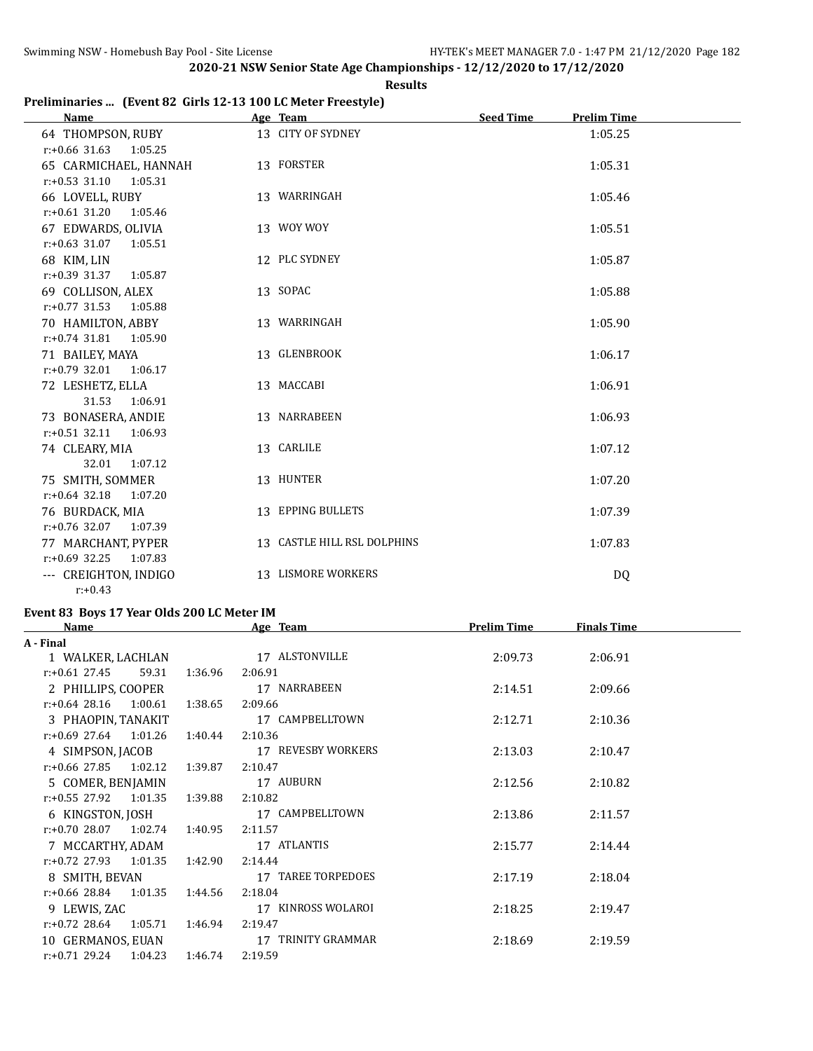### **Results**

## **Preliminaries ... (Event 82 Girls 12-13 100 LC Meter Freestyle)**

| Name                        | Age Team                    | <b>Prelim Time</b><br><b>Seed Time</b> |  |
|-----------------------------|-----------------------------|----------------------------------------|--|
| 64 THOMPSON, RUBY           | 13 CITY OF SYDNEY           | 1:05.25                                |  |
| $r: +0.66$ 31.63 1:05.25    |                             |                                        |  |
| 65 CARMICHAEL, HANNAH       | 13 FORSTER                  | 1:05.31                                |  |
| $r: +0.53$ 31.10<br>1:05.31 |                             |                                        |  |
| 66 LOVELL, RUBY             | 13 WARRINGAH                | 1:05.46                                |  |
| $r: +0.61$ 31.20<br>1:05.46 |                             |                                        |  |
| 67 EDWARDS, OLIVIA          | 13 WOY WOY                  | 1:05.51                                |  |
| $r: +0.63$ 31.07<br>1:05.51 |                             |                                        |  |
| 68 KIM, LIN                 | 12 PLC SYDNEY               | 1:05.87                                |  |
| r:+0.39 31.37<br>1:05.87    |                             |                                        |  |
| 69 COLLISON, ALEX           | 13 SOPAC                    | 1:05.88                                |  |
| $r: +0.77$ 31.53<br>1:05.88 |                             |                                        |  |
| 70 HAMILTON, ABBY           | 13 WARRINGAH                | 1:05.90                                |  |
| $r: +0.74$ 31.81<br>1:05.90 |                             |                                        |  |
| 71 BAILEY, MAYA             | 13 GLENBROOK                | 1:06.17                                |  |
| $r: +0.79$ 32.01<br>1:06.17 |                             |                                        |  |
| 72 LESHETZ, ELLA            | 13 MACCABI                  | 1:06.91                                |  |
| 31.53<br>1:06.91            |                             |                                        |  |
| 73 BONASERA, ANDIE          | 13 NARRABEEN                | 1:06.93                                |  |
| $r: +0.51$ 32.11<br>1:06.93 |                             |                                        |  |
| 74 CLEARY, MIA              | 13 CARLILE                  | 1:07.12                                |  |
| 32.01<br>1:07.12            |                             |                                        |  |
| 75 SMITH, SOMMER            | 13 HUNTER                   | 1:07.20                                |  |
| $r: +0.64$ 32.18<br>1:07.20 |                             |                                        |  |
| 76 BURDACK, MIA             | 13 EPPING BULLETS           | 1:07.39                                |  |
| $r: +0.76$ 32.07<br>1:07.39 |                             |                                        |  |
| 77 MARCHANT, PYPER          | 13 CASTLE HILL RSL DOLPHINS | 1:07.83                                |  |
| $r: +0.69$ 32.25<br>1:07.83 |                             |                                        |  |
| --- CREIGHTON, INDIGO       | 13 LISMORE WORKERS          | DQ                                     |  |
| $r: +0.43$                  |                             |                                        |  |

# **Event 83 Boys 17 Year Olds 200 LC Meter IM**

| Name                        |         | Age Team           | <b>Prelim Time</b> | <b>Finals Time</b> |  |
|-----------------------------|---------|--------------------|--------------------|--------------------|--|
| A - Final                   |         |                    |                    |                    |  |
| 1 WALKER, LACHLAN           |         | 17 ALSTONVILLE     | 2:09.73            | 2:06.91            |  |
| $r: +0.61$ 27.45<br>59.31   | 1:36.96 | 2:06.91            |                    |                    |  |
| 2 PHILLIPS, COOPER          |         | 17 NARRABEEN       | 2:14.51            | 2:09.66            |  |
| $r: +0.64$ 28.16 1:00.61    | 1:38.65 | 2:09.66            |                    |                    |  |
| 3 PHAOPIN, TANAKIT          |         | 17 CAMPBELLTOWN    | 2:12.71            | 2:10.36            |  |
| $r: +0.69$ 27.64 1:01.26    | 1:40.44 | 2:10.36            |                    |                    |  |
| 4 SIMPSON, JACOB            |         | 17 REVESBY WORKERS | 2:13.03            | 2:10.47            |  |
| $r: +0.66$ 27.85 1:02.12    | 1:39.87 | 2:10.47            |                    |                    |  |
| 5 COMER, BENJAMIN           |         | 17 AUBURN          | 2:12.56            | 2:10.82            |  |
| $r: +0.55$ 27.92<br>1:01.35 | 1:39.88 | 2:10.82            |                    |                    |  |
| 6 KINGSTON, JOSH            |         | 17 CAMPBELLTOWN    | 2:13.86            | 2:11.57            |  |
| $r: +0.70$ 28.07 1:02.74    | 1:40.95 | 2:11.57            |                    |                    |  |
| 7 MCCARTHY, ADAM            |         | 17 ATLANTIS        | 2:15.77            | 2:14.44            |  |
| $r: +0.72$ 27.93<br>1:01.35 | 1:42.90 | 2:14.44            |                    |                    |  |
| 8 SMITH, BEVAN              |         | 17 TAREE TORPEDOES | 2:17.19            | 2:18.04            |  |
| $r: +0.66$ 28.84<br>1:01.35 | 1:44.56 | 2:18.04            |                    |                    |  |
| 9 LEWIS, ZAC                |         | 17 KINROSS WOLAROI | 2:18.25            | 2:19.47            |  |
| $r: +0.72$ 28.64<br>1:05.71 | 1:46.94 | 2:19.47            |                    |                    |  |
| 10 GERMANOS, EUAN           |         | 17 TRINITY GRAMMAR | 2:18.69            | 2:19.59            |  |
| $r: +0.71$ 29.24 1:04.23    | 1:46.74 | 2:19.59            |                    |                    |  |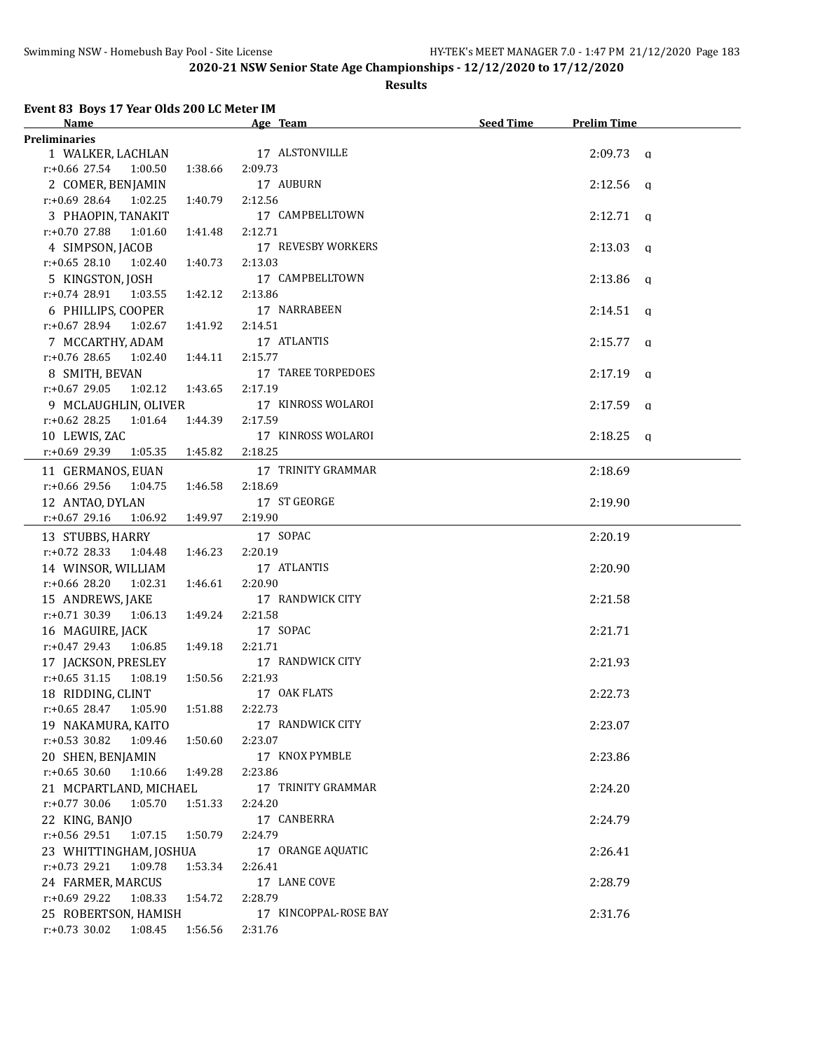### **Results**

## **Event 83 Boys 17 Year Olds 200 LC Meter IM**

| <b>Name</b>                           |         | Age Team                                | Seed Time | <b>Prelim Time</b> |  |
|---------------------------------------|---------|-----------------------------------------|-----------|--------------------|--|
| <b>Preliminaries</b>                  |         |                                         |           |                    |  |
| 1 WALKER, LACHLAN 17 ALSTONVILLE      |         |                                         |           | $2:09.73$ a        |  |
| $r.+0.66$ 27.54 1:00.50 1:38.66       |         | 2:09.73                                 |           |                    |  |
| 2 COMER, BENJAMIN                     |         | 17 AUBURN                               |           | $2:12.56$ a        |  |
| $r: +0.69$ 28.64 1:02.25              | 1:40.79 | 2:12.56                                 |           |                    |  |
| 3 PHAOPIN, TANAKIT                    |         | 17 CAMPBELLTOWN                         |           | $2:12.71$ q        |  |
| $r.+0.70$ 27.88 1:01.60               | 1:41.48 | 2:12.71                                 |           |                    |  |
| 4 SIMPSON, JACOB                      |         | 17 REVESBY WORKERS                      |           | $2:13.03$ q        |  |
| $r: +0.65$ 28.10 1:02.40              | 1:40.73 | 2:13.03                                 |           |                    |  |
| 5 KINGSTON, JOSH                      |         | 17 CAMPBELLTOWN                         |           | $2:13.86$ q        |  |
| $r.+0.7428.91$ 1:03.55 1:42.12        |         | 2:13.86                                 |           |                    |  |
| 6 PHILLIPS, COOPER                    |         | 17 NARRABEEN                            |           | $2:14.51$ q        |  |
| $r.+0.6728.941:02.67$                 | 1:41.92 | 2:14.51                                 |           |                    |  |
| 7 MCCARTHY, ADAM                      |         | 17 ATLANTIS                             |           | $2:15.77$ q        |  |
| $r: +0.76$ 28.65<br>1:02.40  1:44.11  |         | 2:15.77                                 |           |                    |  |
| 8 SMITH, BEVAN                        |         | 17 TAREE TORPEDOES                      |           | $2:17.19$ q        |  |
| $r: +0.67$ 29.05<br>1:02.12 1:43.65   |         | 2:17.19                                 |           |                    |  |
|                                       |         | 9 MCLAUGHLIN, OLIVER 17 KINROSS WOLAROI |           | $2:17.59$ a        |  |
| 1:01.64<br>$r: +0.62$ 28.25           | 1:44.39 | 2:17.59                                 |           |                    |  |
|                                       |         | 17 KINROSS WOLAROI                      |           |                    |  |
| 10 LEWIS, ZAC                         |         |                                         |           | $2:18.25$ a        |  |
| r:+0.69 29.39<br>1:05.35 1:45.82      |         | 2:18.25                                 |           |                    |  |
| 11 GERMANOS, EUAN                     |         | 17 TRINITY GRAMMAR                      |           | 2:18.69            |  |
| $r: +0.66$ 29.56<br>1:04.75           | 1:46.58 | 2:18.69                                 |           |                    |  |
| 12 ANTAO, DYLAN                       |         | 17 ST GEORGE                            |           | 2:19.90            |  |
| $r: +0.67$ 29.16<br>1:06.92  1:49.97  |         | 2:19.90                                 |           |                    |  |
| 13 STUBBS, HARRY                      |         | 17 SOPAC                                |           | 2:20.19            |  |
| $r.+0.72$ 28.33 1:04.48 1:46.23       |         | 2:20.19                                 |           |                    |  |
| 14 WINSOR, WILLIAM                    |         | 17 ATLANTIS                             |           | 2:20.90            |  |
| r:+0.66 28.20 1:02.31                 | 1:46.61 | 2:20.90                                 |           |                    |  |
| 15 ANDREWS, JAKE                      |         | 17 RANDWICK CITY                        |           | 2:21.58            |  |
| $r: +0.71$ 30.39 1:06.13              | 1:49.24 | 2:21.58                                 |           |                    |  |
| 16 MAGUIRE, JACK                      |         | 17 SOPAC                                |           | 2:21.71            |  |
| $r: +0.47$ 29.43 1:06.85 1:49.18      |         | 2:21.71                                 |           |                    |  |
| 17 JACKSON, PRESLEY                   |         | 17 RANDWICK CITY                        |           | 2:21.93            |  |
| $r: +0.65$ 31.15 1:08.19              | 1:50.56 | 2:21.93                                 |           |                    |  |
| 18 RIDDING, CLINT                     |         | 17 OAK FLATS                            |           | 2:22.73            |  |
| r:+0.65 28.47 1:05.90 1:51.88 2:22.73 |         |                                         |           |                    |  |
| 19 NAKAMURA, KAITO                    |         | 17 RANDWICK CITY                        |           | 2:23.07            |  |
| $r.+0.53$ 30.82<br>1:09.46            | 1:50.60 | 2:23.07                                 |           |                    |  |
| 20 SHEN, BENJAMIN                     |         | 17 KNOX PYMBLE                          |           | 2:23.86            |  |
| $r: +0.65$ 30.60<br>1:10.66           | 1:49.28 | 2:23.86                                 |           |                    |  |
| 21 MCPARTLAND, MICHAEL                |         | 17 TRINITY GRAMMAR                      |           | 2:24.20            |  |
| $r: +0.77$ 30.06<br>1:05.70           | 1:51.33 | 2:24.20                                 |           |                    |  |
| 22 KING, BANJO                        |         | 17 CANBERRA                             |           |                    |  |
| r:+0.56 29.51<br>1:07.15              | 1:50.79 | 2:24.79                                 |           | 2:24.79            |  |
|                                       |         |                                         |           |                    |  |
| 23 WHITTINGHAM, JOSHUA<br>1:09.78     |         | 17 ORANGE AQUATIC<br>2:26.41            |           | 2:26.41            |  |
| $r: +0.73$ 29.21                      | 1:53.34 |                                         |           |                    |  |
| 24 FARMER, MARCUS                     |         | 17 LANE COVE                            |           | 2:28.79            |  |
| $r.+0.69$ 29.22<br>1:08.33            | 1:54.72 | 2:28.79                                 |           |                    |  |
| 25 ROBERTSON, HAMISH                  |         | 17 KINCOPPAL-ROSE BAY                   |           | 2:31.76            |  |
| $r: +0.73$ 30.02 1:08.45              | 1:56.56 | 2:31.76                                 |           |                    |  |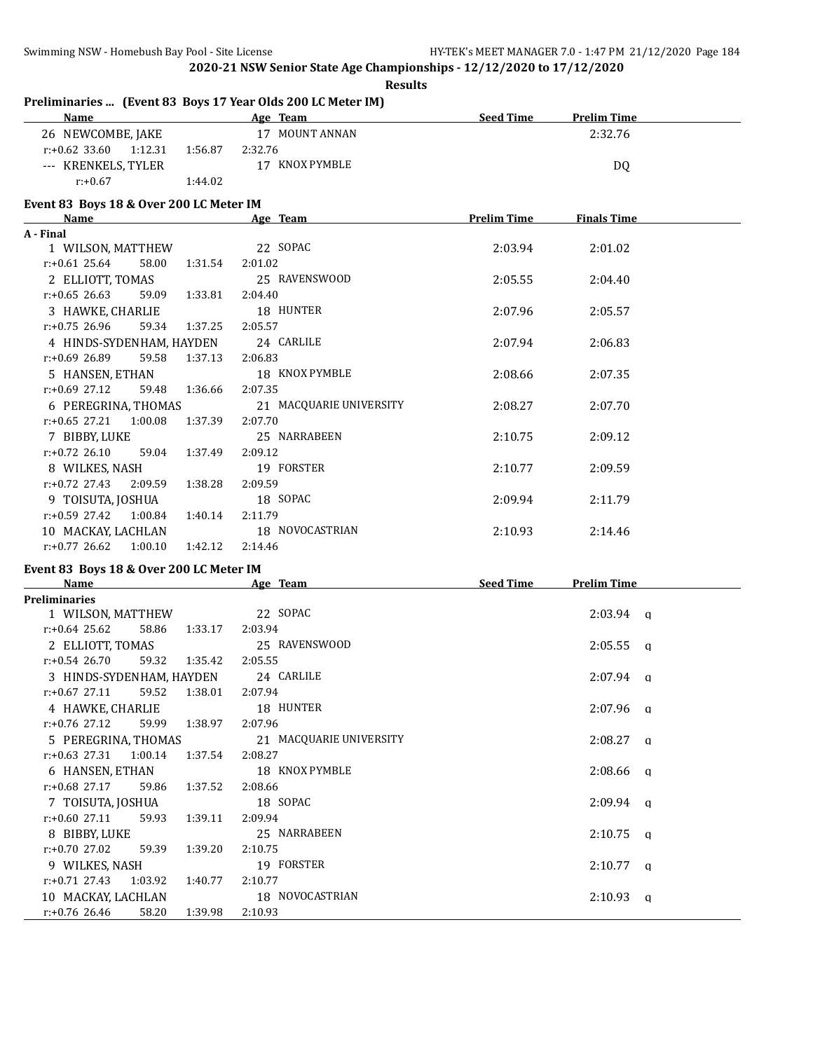| <b>Results</b>                                              |         |                           |                    |                    |          |
|-------------------------------------------------------------|---------|---------------------------|--------------------|--------------------|----------|
| Preliminaries  (Event 83 Boys 17 Year Olds 200 LC Meter IM) |         | Age Team                  |                    |                    |          |
| <b>Name</b>                                                 |         |                           | Seed Time          | <b>Prelim Time</b> |          |
| 26 NEWCOMBE, JAKE                                           |         | 17 MOUNT ANNAN            |                    | 2:32.76            |          |
| $r: +0.62$ 33.60<br>1:12.31                                 | 1:56.87 | 2:32.76<br>17 KNOX PYMBLE |                    |                    |          |
| --- KRENKELS, TYLER<br>$r: +0.67$                           |         |                           |                    | DQ                 |          |
|                                                             | 1:44.02 |                           |                    |                    |          |
| Event 83 Boys 18 & Over 200 LC Meter IM                     |         |                           |                    |                    |          |
| Name                                                        |         | Age Team                  | <b>Prelim Time</b> | <b>Finals Time</b> |          |
| A - Final                                                   |         |                           |                    |                    |          |
| 1 WILSON, MATTHEW                                           |         | 22 SOPAC                  | 2:03.94            | 2:01.02            |          |
| $r.+0.61$ 25.64<br>58.00                                    | 1:31.54 | 2:01.02                   |                    |                    |          |
| 2 ELLIOTT, TOMAS                                            |         | 25 RAVENSWOOD             | 2:05.55            | 2:04.40            |          |
| $r: +0.65$ 26.63<br>59.09                                   | 1:33.81 | 2:04.40                   |                    |                    |          |
| 3 HAWKE, CHARLIE                                            |         | 18 HUNTER                 | 2:07.96            | 2:05.57            |          |
| $r: +0.75$ 26.96<br>59.34                                   | 1:37.25 | 2:05.57                   |                    |                    |          |
| 4 HINDS-SYDENHAM, HAYDEN                                    |         | 24 CARLILE                | 2:07.94            | 2:06.83            |          |
| 59.58<br>r:+0.69 26.89                                      | 1:37.13 | 2:06.83                   |                    |                    |          |
| 5 HANSEN, ETHAN                                             |         | 18 KNOX PYMBLE            | 2:08.66            | 2:07.35            |          |
| $r: +0.69$ 27.12<br>59.48                                   | 1:36.66 | 2:07.35                   |                    |                    |          |
| 6 PEREGRINA, THOMAS                                         |         | 21 MACQUARIE UNIVERSITY   | 2:08.27            | 2:07.70            |          |
| $r: +0.65$ 27.21<br>1:00.08                                 | 1:37.39 | 2:07.70                   |                    |                    |          |
| 7 BIBBY, LUKE                                               |         | 25 NARRABEEN              | 2:10.75            | 2:09.12            |          |
| $r: +0.72$ 26.10<br>59.04                                   | 1:37.49 | 2:09.12                   |                    |                    |          |
| 8 WILKES, NASH                                              |         | 19 FORSTER                | 2:10.77            | 2:09.59            |          |
| $r: +0.72$ 27.43<br>2:09.59                                 | 1:38.28 | 2:09.59                   |                    |                    |          |
| 9 TOISUTA, JOSHUA                                           |         | 18 SOPAC                  | 2:09.94            | 2:11.79            |          |
| $r: +0.59$ 27.42<br>1:00.84                                 | 1:40.14 | 2:11.79                   |                    |                    |          |
| 10 MACKAY, LACHLAN                                          |         | 18 NOVOCASTRIAN           | 2:10.93            | 2:14.46            |          |
| $r: +0.77$ 26.62<br>1:00.10                                 | 1:42.12 | 2:14.46                   |                    |                    |          |
| Event 83 Boys 18 & Over 200 LC Meter IM                     |         |                           |                    |                    |          |
| <b>Name</b>                                                 |         | Age Team                  | Seed Time          | <b>Prelim Time</b> |          |
| <b>Preliminaries</b>                                        |         |                           |                    |                    |          |
| 1 WILSON, MATTHEW                                           |         | 22 SOPAC                  |                    | 2:03.94            | q        |
| $r: +0.64$ 25.62<br>58.86                                   | 1:33.17 | 2:03.94                   |                    |                    |          |
| 2 ELLIOTT, TOMAS                                            |         | 25 RAVENSWOOD             |                    | 2:05.55            | q        |
| $r: +0.54$ 26.70<br>59.32                                   | 1:35.42 | 2:05.55                   |                    |                    |          |
| 3 HINDS-SYDENHAM, HAYDEN                                    |         | 24 CARLILE                |                    | $2:07.94$ a        |          |
| $r: +0.67$ 27.11<br>59.52                                   | 1:38.01 | 2:07.94                   |                    |                    |          |
| 4 HAWKE, CHARLIE                                            |         | 18 HUNTER                 |                    | $2:07.96$ q        |          |
| $r: +0.76$ 27.12<br>59.99                                   | 1:38.97 | 2:07.96                   |                    |                    |          |
| 5 PEREGRINA, THOMAS                                         |         | 21 MACQUARIE UNIVERSITY   |                    | $2:08.27$ q        |          |
| $r: +0.63$ 27.31<br>1:00.14                                 | 1:37.54 | 2:08.27                   |                    |                    |          |
| 6 HANSEN, ETHAN                                             |         | 18 KNOX PYMBLE            |                    | 2:08.66            | <b>a</b> |
| $r: +0.68$ 27.17<br>59.86                                   | 1:37.52 | 2:08.66                   |                    |                    |          |
| 7 TOISUTA, JOSHUA                                           |         | 18 SOPAC                  |                    | $2:09.94$ q        |          |
| $r: +0.60$ 27.11<br>59.93                                   | 1:39.11 | 2:09.94                   |                    |                    |          |
| 8 BIBBY, LUKE                                               |         | 25 NARRABEEN              |                    | 2:10.75            | <b>a</b> |
| r:+0.70 27.02<br>59.39                                      | 1:39.20 | 2:10.75                   |                    |                    |          |
| 9 WILKES, NASH                                              |         | 19 FORSTER                |                    | $2:10.77$ q        |          |
| $r: +0.71$ 27.43<br>1:03.92                                 | 1:40.77 | 2:10.77                   |                    |                    |          |
| 10 MACKAY, LACHLAN                                          |         | 18 NOVOCASTRIAN           |                    | $2:10.93$ q        |          |
| r:+0.76 26.46<br>58.20                                      | 1:39.98 | 2:10.93                   |                    |                    |          |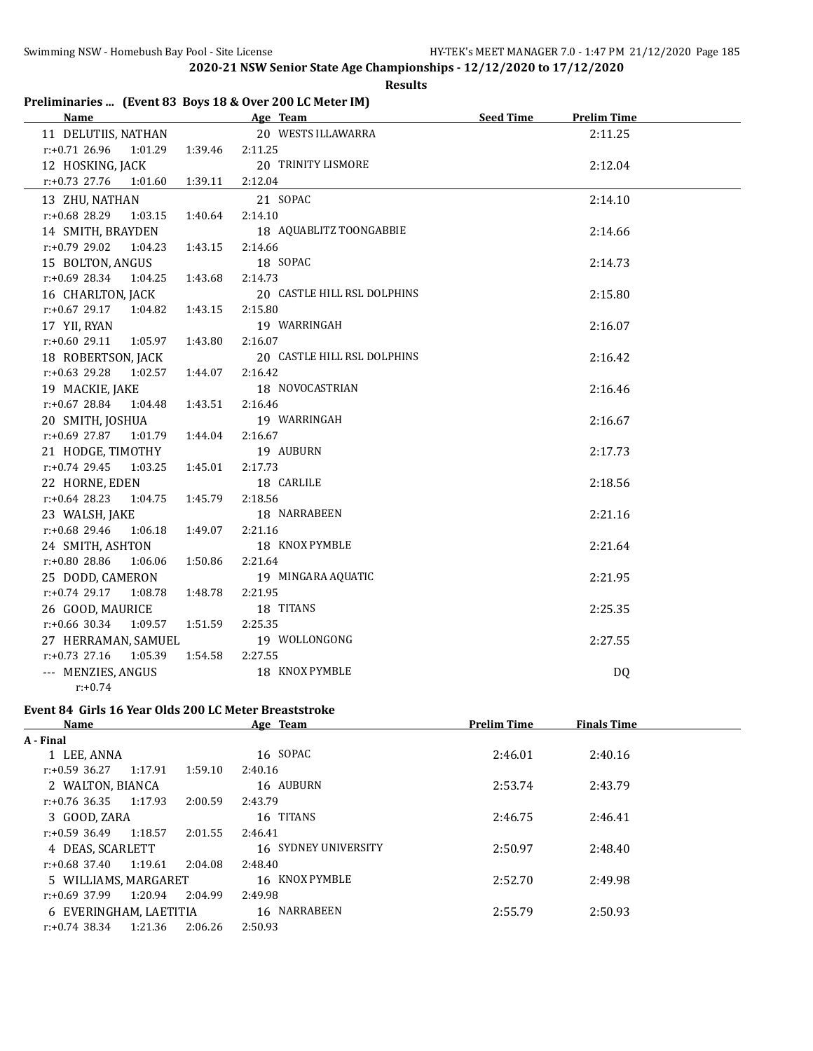**Results**

## **Preliminaries ... (Event 83 Boys 18 & Over 200 LC Meter IM)**

| <b>Name</b>                 |         | Age Team                    | <b>Seed Time</b> | <b>Prelim Time</b> |  |
|-----------------------------|---------|-----------------------------|------------------|--------------------|--|
| 11 DELUTIIS, NATHAN         |         | 20 WESTS ILLAWARRA          |                  | 2:11.25            |  |
| $r: +0.71$ 26.96<br>1:01.29 | 1:39.46 | 2:11.25                     |                  |                    |  |
| 12 HOSKING, JACK            |         | 20 TRINITY LISMORE          |                  | 2:12.04            |  |
| $r: +0.73$ 27.76<br>1:01.60 | 1:39.11 | 2:12.04                     |                  |                    |  |
| 13 ZHU, NATHAN              |         | 21 SOPAC                    |                  | 2:14.10            |  |
| r:+0.68 28.29<br>1:03.15    | 1:40.64 | 2:14.10                     |                  |                    |  |
| 14 SMITH, BRAYDEN           |         | 18 AQUABLITZ TOONGABBIE     |                  | 2:14.66            |  |
| $r: +0.79$ 29.02<br>1:04.23 | 1:43.15 | 2:14.66                     |                  |                    |  |
| 15 BOLTON, ANGUS            |         | 18 SOPAC                    |                  | 2:14.73            |  |
| $r.+0.69$ 28.34 1:04.25     | 1:43.68 | 2:14.73                     |                  |                    |  |
| 16 CHARLTON, JACK           |         | 20 CASTLE HILL RSL DOLPHINS |                  | 2:15.80            |  |
| r:+0.67 29.17<br>1:04.82    | 1:43.15 | 2:15.80                     |                  |                    |  |
| 17 YII, RYAN                |         | 19 WARRINGAH                |                  | 2:16.07            |  |
| $r: +0.60$ 29.11<br>1:05.97 | 1:43.80 | 2:16.07                     |                  |                    |  |
| 18 ROBERTSON, JACK          |         | 20 CASTLE HILL RSL DOLPHINS |                  | 2:16.42            |  |
| $r: +0.63$ 29.28<br>1:02.57 | 1:44.07 | 2:16.42                     |                  |                    |  |
| 19 MACKIE, JAKE             |         | 18 NOVOCASTRIAN             |                  | 2:16.46            |  |
| $r.+0.67$ 28.84 1:04.48     | 1:43.51 | 2:16.46                     |                  |                    |  |
| 20 SMITH, JOSHUA            |         | 19 WARRINGAH                |                  | 2:16.67            |  |
| $r.+0.69$ 27.87 1:01.79     | 1:44.04 | 2:16.67                     |                  |                    |  |
| 21 HODGE, TIMOTHY           |         | 19 AUBURN                   |                  | 2:17.73            |  |
| $r: +0.74$ 29.45<br>1:03.25 | 1:45.01 | 2:17.73                     |                  |                    |  |
| 22 HORNE, EDEN              |         | 18 CARLILE                  |                  | 2:18.56            |  |
| $r: +0.64$ 28.23<br>1:04.75 | 1:45.79 | 2:18.56                     |                  |                    |  |
| 23 WALSH, JAKE              |         | 18 NARRABEEN                |                  | 2:21.16            |  |
| $r: +0.68$ 29.46<br>1:06.18 | 1:49.07 | 2:21.16                     |                  |                    |  |
| 24 SMITH, ASHTON            |         | 18 KNOX PYMBLE              |                  | 2:21.64            |  |
| r:+0.80 28.86<br>1:06.06    | 1:50.86 | 2:21.64                     |                  |                    |  |
| 25 DODD, CAMERON            |         | 19 MINGARA AQUATIC          |                  | 2:21.95            |  |
| $r: +0.74$ 29.17<br>1:08.78 | 1:48.78 | 2:21.95                     |                  |                    |  |
| 26 GOOD, MAURICE            |         | 18 TITANS                   |                  | 2:25.35            |  |
| r:+0.66 30.34<br>1:09.57    | 1:51.59 | 2:25.35                     |                  |                    |  |
| 27 HERRAMAN, SAMUEL         |         | 19 WOLLONGONG               |                  | 2:27.55            |  |
| $r: +0.73$ 27.16<br>1:05.39 | 1:54.58 | 2:27.55                     |                  |                    |  |
| --- MENZIES, ANGUS          |         | 18 KNOX PYMBLE              |                  | DQ                 |  |
| $r: +0.74$                  |         |                             |                  |                    |  |

# **Event 84 Girls 16 Year Olds 200 LC Meter Breaststroke**

| Age Team<br><b>Prelim Time</b><br><b>Finals Time</b><br>Name   |  |
|----------------------------------------------------------------|--|
| A - Final                                                      |  |
| 16 SOPAC<br>1 LEE, ANNA<br>2:46.01<br>2:40.16                  |  |
| 1:17.91<br>1:59.10<br>r:+0.59 36.27<br>2:40.16                 |  |
| 16 AUBURN<br>2:53.74<br>2 WALTON, BIANCA<br>2:43.79            |  |
| $r: +0.76$ 36.35 1:17.93<br>2:00.59<br>2:43.79                 |  |
| 16 TITANS<br>3 GOOD, ZARA<br>2:46.75<br>2:46.41                |  |
| 1:18.57<br>2:01.55<br>r:+0.59 36.49<br>2:46.41                 |  |
| 16 SYDNEY UNIVERSITY<br>2:50.97<br>4 DEAS, SCARLETT<br>2:48.40 |  |
| 1:19.61<br>2:48.40<br>r:+0.68 37.40<br>2:04.08                 |  |
| 16 KNOX PYMBLE<br>2:52.70<br>2:49.98<br>5 WILLIAMS, MARGARET   |  |
| 1:20.94<br>2:04.99<br>$r: +0.69$ 37.99<br>2:49.98              |  |
| 16 NARRABEEN<br>2:55.79<br>2:50.93<br>6 EVERINGHAM, LAETITIA   |  |
| $r: +0.74$ 38.34<br>1:21.36<br>2:06.26<br>2:50.93              |  |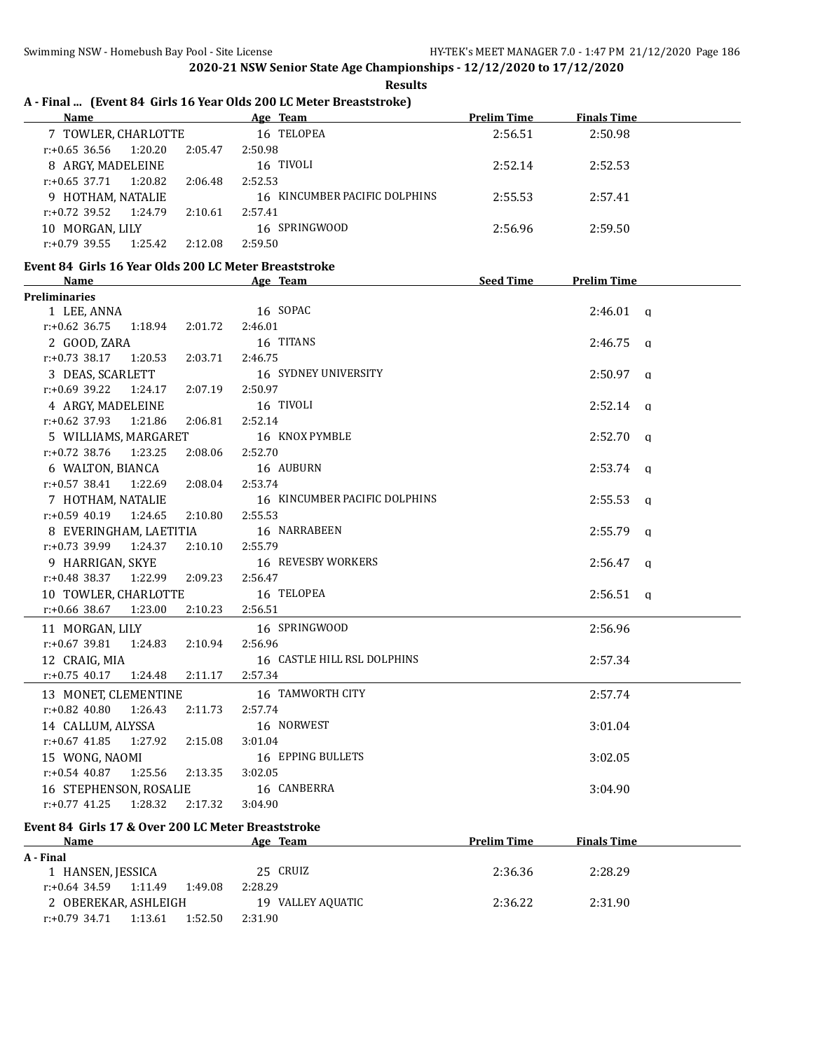**Results**

# **A - Final ... (Event 84 Girls 16 Year Olds 200 LC Meter Breaststroke)**

| Name                                                                 | Age Team                      | <b>Prelim Time</b> | <b>Finals Time</b> |  |
|----------------------------------------------------------------------|-------------------------------|--------------------|--------------------|--|
| 7 TOWLER, CHARLOTTE                                                  | 16 TELOPEA                    | 2:56.51            | 2:50.98            |  |
| $r: +0.65$ 36.56<br>1:20.20<br>2:05.47                               | 2:50.98                       |                    |                    |  |
| 8 ARGY, MADELEINE                                                    | 16 TIVOLI                     | 2:52.14            | 2:52.53            |  |
| $r.+0.65$ 37.71 1:20.82<br>2:06.48                                   | 2:52.53                       |                    |                    |  |
| 9 HOTHAM, NATALIE                                                    | 16 KINCUMBER PACIFIC DOLPHINS | 2:55.53            | 2:57.41            |  |
| $r.+0.72$ 39.52 1:24.79<br>2:10.61                                   | 2:57.41                       |                    |                    |  |
| 10 MORGAN, LILY                                                      | 16 SPRINGWOOD                 | 2:56.96            | 2:59.50            |  |
| $r: +0.79$ 39.55<br>1:25.42<br>2:12.08                               | 2:59.50                       |                    |                    |  |
|                                                                      |                               |                    |                    |  |
| Event 84 Girls 16 Year Olds 200 LC Meter Breaststroke<br><b>Name</b> | Age Team                      | Seed Time          | <b>Prelim Time</b> |  |
| <b>Preliminaries</b>                                                 |                               |                    |                    |  |
| 1 LEE, ANNA                                                          | 16 SOPAC                      |                    | $2:46.01$ q        |  |
| $r: +0.62$ 36.75<br>1:18.94<br>2:01.72                               | 2:46.01                       |                    |                    |  |
| 2 GOOD, ZARA                                                         | 16 TITANS                     |                    | $2:46.75$ q        |  |
| $r.+0.73$ 38.17 1:20.53<br>2:03.71                                   | 2:46.75                       |                    |                    |  |
|                                                                      | 16 SYDNEY UNIVERSITY          |                    |                    |  |
| 3 DEAS, SCARLETT                                                     | 2:50.97                       |                    | $2:50.97$ q        |  |
| $r: +0.69$ 39.22<br>1:24.17<br>2:07.19                               |                               |                    |                    |  |
| 4 ARGY, MADELEINE                                                    | 16 TIVOLI                     |                    | $2:52.14$ q        |  |
| r:+0.62 37.93 1:21.86<br>2:06.81                                     | 2:52.14                       |                    |                    |  |
| 5 WILLIAMS, MARGARET                                                 | 16 KNOX PYMBLE                |                    | $2:52.70$ a        |  |
| $r.+0.72$ 38.76 1:23.25<br>2:08.06                                   | 2:52.70                       |                    |                    |  |
| 6 WALTON, BIANCA                                                     | 16 AUBURN                     |                    | $2:53.74$ q        |  |
| $r: +0.57$ 38.41 1:22.69<br>2:08.04                                  | 2:53.74                       |                    |                    |  |
| 7 HOTHAM, NATALIE                                                    | 16 KINCUMBER PACIFIC DOLPHINS |                    | $2:55.53$ q        |  |
| $r: +0.59$ 40.19 1:24.65<br>2:10.80                                  | 2:55.53                       |                    |                    |  |
| 8 EVERINGHAM, LAETITIA                                               | 16 NARRABEEN                  |                    | $2:55.79$ q        |  |
| $r.+0.73$ 39.99 1:24.37<br>2:10.10                                   | 2:55.79                       |                    |                    |  |
| 9 HARRIGAN, SKYE                                                     | 16 REVESBY WORKERS            |                    | $2:56.47$ a        |  |
| r:+0.48 38.37 1:22.99 2:09.23                                        | 2:56.47                       |                    |                    |  |
| 10 TOWLER, CHARLOTTE                                                 | 16 TELOPEA                    |                    | $2:56.51$ a        |  |
| $r: +0.66$ 38.67<br>1:23.00<br>2:10.23                               | 2:56.51                       |                    |                    |  |
| 11 MORGAN, LILY                                                      | 16 SPRINGWOOD                 |                    | 2:56.96            |  |
| $r: +0.67$ 39.81<br>1:24.83<br>2:10.94                               | 2:56.96                       |                    |                    |  |
| 12 CRAIG, MIA                                                        | 16 CASTLE HILL RSL DOLPHINS   |                    | 2:57.34            |  |
| $r: +0.75$ 40.17<br>1:24.48<br>2:11.17                               | 2:57.34                       |                    |                    |  |
| 13 MONET, CLEMENTINE                                                 | 16 TAMWORTH CITY              |                    | 2:57.74            |  |
| r:+0.82 40.80<br>1:26.43<br>2:11.73                                  | 2:57.74                       |                    |                    |  |
| 14 CALLUM, ALYSSA                                                    | 16 NORWEST                    |                    | 3:01.04            |  |
| $r: +0.67$ 41.85<br>1:27.92<br>2:15.08                               | 3:01.04                       |                    |                    |  |
| 15 WONG, NAOMI                                                       | 16 EPPING BULLETS             |                    | 3:02.05            |  |
| $r: +0.54$ 40.87<br>1:25.56<br>2:13.35                               | 3:02.05                       |                    |                    |  |
|                                                                      | 16 CANBERRA                   |                    | 3:04.90            |  |
| 16 STEPHENSON, ROSALIE<br>2:17.32                                    |                               |                    |                    |  |
| $r: +0.77$ 41.25<br>1:28.32                                          | 3:04.90                       |                    |                    |  |

# **Event 84 Girls 17 & Over 200 LC Meter Breaststroke**

| <b>Name</b>                            | Age Team          | <b>Prelim Time</b> | <b>Finals Time</b> |  |
|----------------------------------------|-------------------|--------------------|--------------------|--|
| A - Final                              |                   |                    |                    |  |
| 1 HANSEN, JESSICA                      | 25 CRUIZ          | 2:36.36            | 2:28.29            |  |
| 1:11.49<br>1:49.08<br>r:+0.64 34.59    | 2:28.29           |                    |                    |  |
| 2 OBEREKAR, ASHLEIGH                   | 19 VALLEY AQUATIC | 2:36.22            | 2:31.90            |  |
| 1:52.50<br>1:13.61<br>$r: +0.79$ 34.71 | 2:31.90           |                    |                    |  |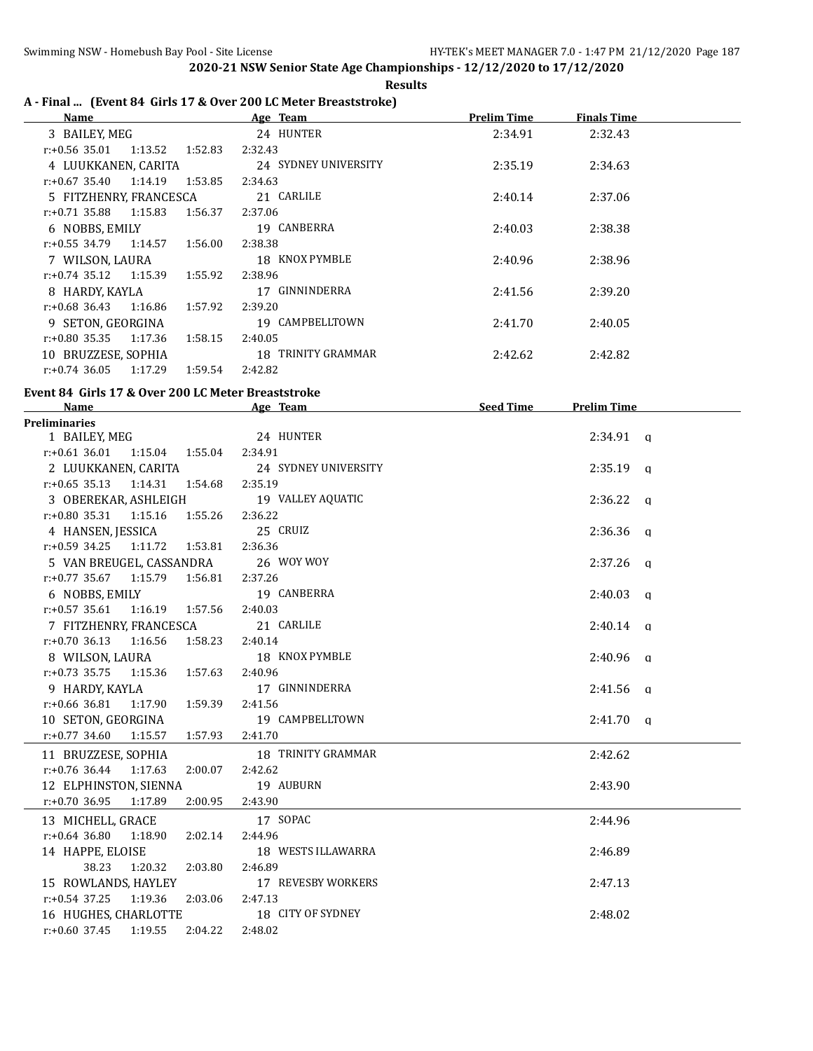**Results**

## **A - Final ... (Event 84 Girls 17 & Over 200 LC Meter Breaststroke)**

| Name                        |         | Age Team             | <b>Prelim Time</b> | Finals Time |  |
|-----------------------------|---------|----------------------|--------------------|-------------|--|
| 3 BAILEY, MEG               |         | 24 HUNTER            | 2:34.91            | 2:32.43     |  |
| r:+0.56 35.01<br>1:13.52    | 1:52.83 | 2:32.43              |                    |             |  |
| 4 LUUKKANEN, CARITA         |         | 24 SYDNEY UNIVERSITY | 2:35.19            | 2:34.63     |  |
| 1:14.19<br>r:+0.67 35.40    | 1:53.85 | 2:34.63              |                    |             |  |
| 5 FITZHENRY, FRANCESCA      |         | 21 CARLILE           | 2:40.14            | 2:37.06     |  |
| $r: +0.71$ 35.88<br>1:15.83 | 1:56.37 | 2:37.06              |                    |             |  |
| 6 NOBBS, EMILY              |         | 19 CANBERRA          | 2:40.03            | 2:38.38     |  |
| $r: +0.55$ 34.79 1:14.57    | 1:56.00 | 2:38.38              |                    |             |  |
| 7 WILSON, LAURA             |         | 18 KNOX PYMBLE       | 2:40.96            | 2:38.96     |  |
| 1:15.39<br>r:+0.74 35.12    | 1:55.92 | 2:38.96              |                    |             |  |
| 8 HARDY, KAYLA              |         | 17 GINNINDERRA       | 2:41.56            | 2:39.20     |  |
| 1:16.86<br>r:+0.68 36.43    | 1:57.92 | 2:39.20              |                    |             |  |
| 9 SETON, GEORGINA           |         | 19 CAMPBELLTOWN      | 2:41.70            | 2:40.05     |  |
| $r: +0.80$ 35.35<br>1:17.36 | 1:58.15 | 2:40.05              |                    |             |  |
| 10 BRUZZESE, SOPHIA         |         | 18 TRINITY GRAMMAR   | 2:42.62            | 2:42.82     |  |
| $r: +0.74$ 36.05<br>1:17.29 | 1:59.54 | 2:42.82              |                    |             |  |

#### **Event 84 Girls 17 & Over 200 LC Meter Breaststroke**

| Name                                        | Age Team and the state of the state of the state of the state of the state of the state of the state of the state of the state of the state of the state of the state of the state of the state of the state of the state of t | Seed Time | <b>Prelim Time</b> |  |
|---------------------------------------------|--------------------------------------------------------------------------------------------------------------------------------------------------------------------------------------------------------------------------------|-----------|--------------------|--|
| <b>Preliminaries</b>                        |                                                                                                                                                                                                                                |           |                    |  |
| 1 BAILEY, MEG                               | 24 HUNTER                                                                                                                                                                                                                      |           | $2:34.91$ a        |  |
| r:+0.61 36.01 1:15.04 1:55.04 2:34.91       |                                                                                                                                                                                                                                |           |                    |  |
| 2 LUUKKANEN, CARITA                         | 24 SYDNEY UNIVERSITY                                                                                                                                                                                                           |           | $2:35.19$ q        |  |
| r:+0.65 35.13 1:14.31 1:54.68 2:35.19       |                                                                                                                                                                                                                                |           |                    |  |
| 3 OBEREKAR, ASHLEIGH                        | 19 VALLEY AQUATIC                                                                                                                                                                                                              |           | $2:36.22$ q        |  |
| $r: +0.80$ 35.31 1:15.16 1:55.26 2:36.22    |                                                                                                                                                                                                                                |           |                    |  |
| 4 HANSEN, JESSICA 25 CRUIZ                  |                                                                                                                                                                                                                                |           | $2:36.36$ q        |  |
| r:+0.59 34.25 1:11.72 1:53.81 2:36.36       |                                                                                                                                                                                                                                |           |                    |  |
| 5 VAN BREUGEL, CASSANDRA                    | 26 WOY WOY                                                                                                                                                                                                                     |           | $2:37.26$ q        |  |
| $r.+0.77$ 35.67 1:15.79 1:56.81 2:37.26     |                                                                                                                                                                                                                                |           |                    |  |
| 6 NOBBS, EMILY                              | 19 CANBERRA                                                                                                                                                                                                                    |           | $2:40.03$ q        |  |
| $r.+0.57$ 35.61 1:16.19 1:57.56 2:40.03     |                                                                                                                                                                                                                                |           |                    |  |
| 7 FITZHENRY, FRANCESCA                      | 21 CARLILE                                                                                                                                                                                                                     |           | $2:40.14$ q        |  |
| $r: +0.70$ 36.13 1:16.56                    | 1:58.23 2:40.14                                                                                                                                                                                                                |           |                    |  |
| 8 WILSON, LAURA                             | 18 KNOX PYMBLE                                                                                                                                                                                                                 |           | $2:40.96$ q        |  |
| r:+0.73 35.75 1:15.36 1:57.63 2:40.96       |                                                                                                                                                                                                                                |           |                    |  |
| 9 HARDY, KAYLA                              | 17 GINNINDERRA                                                                                                                                                                                                                 |           | $2:41.56$ q        |  |
| $r: +0.66$ 36.81 1:17.90 1:59.39 2:41.56    |                                                                                                                                                                                                                                |           |                    |  |
| 10 SETON, GEORGINA 19 CAMPBELLTOWN          |                                                                                                                                                                                                                                |           | $2:41.70$ q        |  |
| $r: +0.77$ 34.60 1:15.57 1:57.93 2:41.70    |                                                                                                                                                                                                                                |           |                    |  |
| 11 BRUZZESE, SOPHIA                         | 18 TRINITY GRAMMAR                                                                                                                                                                                                             |           | 2:42.62            |  |
| $r: +0.76$ 36.44 1:17.63                    | 2:00.07 2:42.62                                                                                                                                                                                                                |           |                    |  |
| 12 ELPHINSTON, SIENNA                       | 19 AUBURN                                                                                                                                                                                                                      |           | 2:43.90            |  |
| $r: +0.70$ 36.95 1:17.89 2:00.95 2:43.90    |                                                                                                                                                                                                                                |           |                    |  |
| 13 MICHELL, GRACE 17 SOPAC                  |                                                                                                                                                                                                                                |           | 2:44.96            |  |
| $r: +0.64$ 36.80<br>1:18.90<br>2:02.14      | 2:44.96                                                                                                                                                                                                                        |           |                    |  |
| 14 HAPPE, ELOISE                            | 18 WESTS ILLAWARRA                                                                                                                                                                                                             |           | 2:46.89            |  |
| 38.23<br>1:20.32 2:03.80                    | 2:46.89                                                                                                                                                                                                                        |           |                    |  |
| 15 ROWLANDS, HAYLEY                         | 17 REVESBY WORKERS                                                                                                                                                                                                             |           | 2:47.13            |  |
| $r: +0.54$ 37.25<br>1:19.36 2:03.06 2:47.13 |                                                                                                                                                                                                                                |           |                    |  |
| 16 HUGHES, CHARLOTTE                        | 18 CITY OF SYDNEY                                                                                                                                                                                                              |           | 2:48.02            |  |
| $r: +0.60$ 37.45 1:19.55<br>2:04.22         | 2:48.02                                                                                                                                                                                                                        |           |                    |  |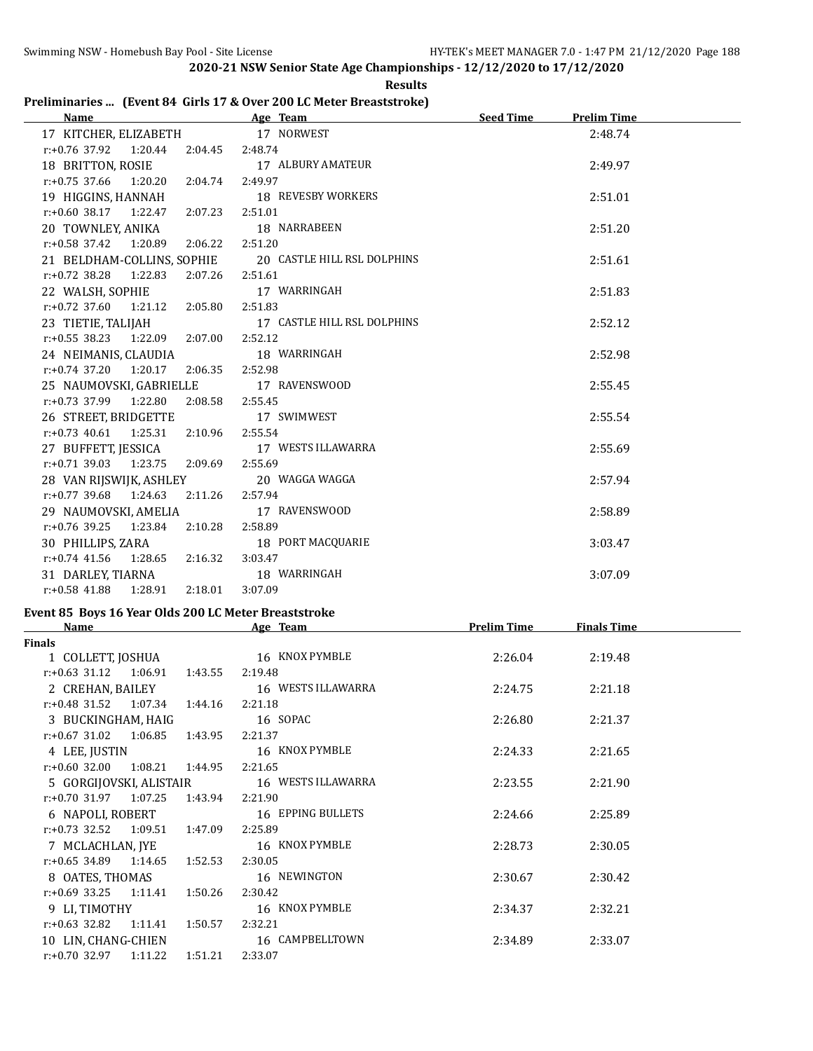# **Results**

| Preliminaries  (Event 84 Girls 17 & Over 200 LC Meter Breaststroke) |  |
|---------------------------------------------------------------------|--|
|---------------------------------------------------------------------|--|

| Name and the state of the state of the state of the state of the state of the state of the state of the state of the state of the state of the state of the state of the state of the state of the state of the state of the s | Age Team and the state of the state of the state of the state of the state of the state of the state of the state of the state of the state of the state of the state of the state of the state of the state of the state of t | <b>Seed Time</b>   | <b>Prelim Time</b> |  |
|--------------------------------------------------------------------------------------------------------------------------------------------------------------------------------------------------------------------------------|--------------------------------------------------------------------------------------------------------------------------------------------------------------------------------------------------------------------------------|--------------------|--------------------|--|
| 17 KITCHER, ELIZABETH 17 NORWEST                                                                                                                                                                                               |                                                                                                                                                                                                                                |                    | 2:48.74            |  |
| r:+0.76 37.92  1:20.44  2:04.45  2:48.74                                                                                                                                                                                       |                                                                                                                                                                                                                                |                    |                    |  |
| 18 BRITTON, ROSIE                                                                                                                                                                                                              | 17 ALBURY AMATEUR                                                                                                                                                                                                              |                    | 2:49.97            |  |
| $r.+0.75$ 37.66 1:20.20 2:04.74 2:49.97                                                                                                                                                                                        |                                                                                                                                                                                                                                |                    |                    |  |
| 19 HIGGINS, HANNAH                                                                                                                                                                                                             | 18 REVESBY WORKERS                                                                                                                                                                                                             |                    | 2:51.01            |  |
| r:+0.60 38.17  1:22.47  2:07.23  2:51.01                                                                                                                                                                                       |                                                                                                                                                                                                                                |                    |                    |  |
| 20 TOWNLEY, ANIKA                                                                                                                                                                                                              | 18 NARRABEEN                                                                                                                                                                                                                   |                    | 2:51.20            |  |
| $r: +0.58$ 37.42 1:20.89 2:06.22                                                                                                                                                                                               | 2:51.20                                                                                                                                                                                                                        |                    |                    |  |
|                                                                                                                                                                                                                                | 21 BELDHAM-COLLINS, SOPHIE 20 CASTLE HILL RSL DOLPHINS                                                                                                                                                                         |                    | 2:51.61            |  |
| $r: +0.72$ 38.28<br>1:22.83                                                                                                                                                                                                    | 2:07.26 2:51.61                                                                                                                                                                                                                |                    |                    |  |
| 22 WALSH, SOPHIE                                                                                                                                                                                                               | 17 WARRINGAH                                                                                                                                                                                                                   |                    | 2:51.83            |  |
| $r.+0.72$ 37.60 1:21.12 2:05.80 2:51.83                                                                                                                                                                                        |                                                                                                                                                                                                                                |                    |                    |  |
| 23 TIETIE, TALIJAH                                                                                                                                                                                                             | 17 CASTLE HILL RSL DOLPHINS                                                                                                                                                                                                    |                    | 2:52.12            |  |
| r:+0.55 38.23 1:22.09 2:07.00 2:52.12                                                                                                                                                                                          |                                                                                                                                                                                                                                |                    |                    |  |
| 24 NEIMANIS, CLAUDIA                                                                                                                                                                                                           | 18 WARRINGAH                                                                                                                                                                                                                   |                    | 2:52.98            |  |
| $r.+0.74$ 37.20 1:20.17 2:06.35 2:52.98                                                                                                                                                                                        |                                                                                                                                                                                                                                |                    |                    |  |
| 25 NAUMOVSKI, GABRIELLE 17 RAVENSWOOD                                                                                                                                                                                          |                                                                                                                                                                                                                                |                    | 2:55.45            |  |
| r:+0.73 37.99 1:22.80 2:08.58 2:55.45                                                                                                                                                                                          |                                                                                                                                                                                                                                |                    |                    |  |
| 26 STREET, BRIDGETTE 17 SWIMWEST                                                                                                                                                                                               |                                                                                                                                                                                                                                |                    | 2:55.54            |  |
| $r: +0.73$ 40.61 1:25.31 2:10.96 2:55.54                                                                                                                                                                                       |                                                                                                                                                                                                                                |                    |                    |  |
| 27 BUFFETT, JESSICA 17 WESTS ILLAWARRA                                                                                                                                                                                         |                                                                                                                                                                                                                                |                    | 2:55.69            |  |
| $r.+0.71$ 39.03 1:23.75 2:09.69                                                                                                                                                                                                | 2:55.69                                                                                                                                                                                                                        |                    |                    |  |
| 28 VAN RIJSWIJK, ASHLEY                                                                                                                                                                                                        | 20 WAGGA WAGGA                                                                                                                                                                                                                 |                    | 2:57.94            |  |
| r:+0.77 39.68 1:24.63 2:11.26 2:57.94                                                                                                                                                                                          |                                                                                                                                                                                                                                |                    |                    |  |
| 29 NAUMOVSKI, AMELIA                                                                                                                                                                                                           | 17 RAVENSWOOD                                                                                                                                                                                                                  |                    | 2:58.89            |  |
| $r.+0.76$ 39.25 1:23.84 2:10.28                                                                                                                                                                                                | 2:58.89                                                                                                                                                                                                                        |                    |                    |  |
| 30 PHILLIPS, ZARA                                                                                                                                                                                                              | 18 PORT MACQUARIE                                                                                                                                                                                                              |                    | 3:03.47            |  |
| $r: +0.74$ 41.56 1:28.65 2:16.32                                                                                                                                                                                               | 3:03.47                                                                                                                                                                                                                        |                    |                    |  |
| 31 DARLEY, TIARNA 18 WARRINGAH                                                                                                                                                                                                 |                                                                                                                                                                                                                                |                    | 3:07.09            |  |
| r:+0.58 41.88 1:28.91 2:18.01 3:07.09                                                                                                                                                                                          |                                                                                                                                                                                                                                |                    |                    |  |
| Event 85 Boys 16 Year Olds 200 LC Meter Breaststroke                                                                                                                                                                           |                                                                                                                                                                                                                                |                    |                    |  |
| <b>Name</b>                                                                                                                                                                                                                    | Age Team                                                                                                                                                                                                                       | <b>Prelim Time</b> | <b>Finals Time</b> |  |
| <b>Finals</b>                                                                                                                                                                                                                  |                                                                                                                                                                                                                                |                    |                    |  |
| $1.0011$ Pmm $1001111$                                                                                                                                                                                                         | $\sim$ <i>UNOV</i> DVM DLE                                                                                                                                                                                                     | 2.201              | 24040              |  |

| Finals                                     |                    |         |         |
|--------------------------------------------|--------------------|---------|---------|
| 1 COLLETT, JOSHUA                          | 16 KNOX PYMBLE     | 2:26.04 | 2:19.48 |
| $r.+0.63$ 31.12 1:06.91 1:43.55            | 2:19.48            |         |         |
| 2 CREHAN, BAILEY                           | 16 WESTS ILLAWARRA | 2:24.75 | 2:21.18 |
| $r.+0.48$ 31.52 1:07.34 1:44.16 2:21.18    |                    |         |         |
| 3 BUCKINGHAM, HAIG                         | 16 SOPAC           | 2:26.80 | 2:21.37 |
| $r.+0.67$ 31.02 1:06.85 1:43.95            | 2:21.37            |         |         |
| 4 LEE, JUSTIN                              | 16 KNOX PYMBLE     | 2:24.33 | 2:21.65 |
| $r: +0.60$ 32.00 1:08.21 1:44.95           | 2:21.65            |         |         |
| 5 GORGIJOVSKI, ALISTAIR 16 WESTS ILLAWARRA |                    | 2:23.55 | 2:21.90 |
| $r.+0.70$ 31.97 1.07.25 1.43.94            | 2:21.90            |         |         |
| 6 NAPOLI, ROBERT                           | 16 EPPING BULLETS  | 2:24.66 | 2:25.89 |
| $r.+0.73$ 32.52 1:09.51 1:47.09            | 2:25.89            |         |         |
| 7 MCLACHLAN, JYE 16 KNOX PYMBLE            |                    | 2:28.73 | 2:30.05 |
| $r.+0.65$ 34.89 1:14.65 1:52.53            | 2:30.05            |         |         |
| 8 OATES, THOMAS                            | 16 NEWINGTON       | 2:30.67 | 2:30.42 |
| $r.+0.69$ 33.25 1:11.41 1:50.26            | 2:30.42            |         |         |
| 9 LI, TIMOTHY                              | 16 KNOX PYMBLE     | 2:34.37 | 2:32.21 |
| $r.+0.63$ 32.82 1:11.41 1:50.57            | 2:32.21            |         |         |
| 10 LIN, CHANG-CHIEN                        | 16 CAMPBELLTOWN    | 2:34.89 | 2:33.07 |
| $r.+0.70$ 32.97 1:11.22<br>1:51.21         | 2:33.07            |         |         |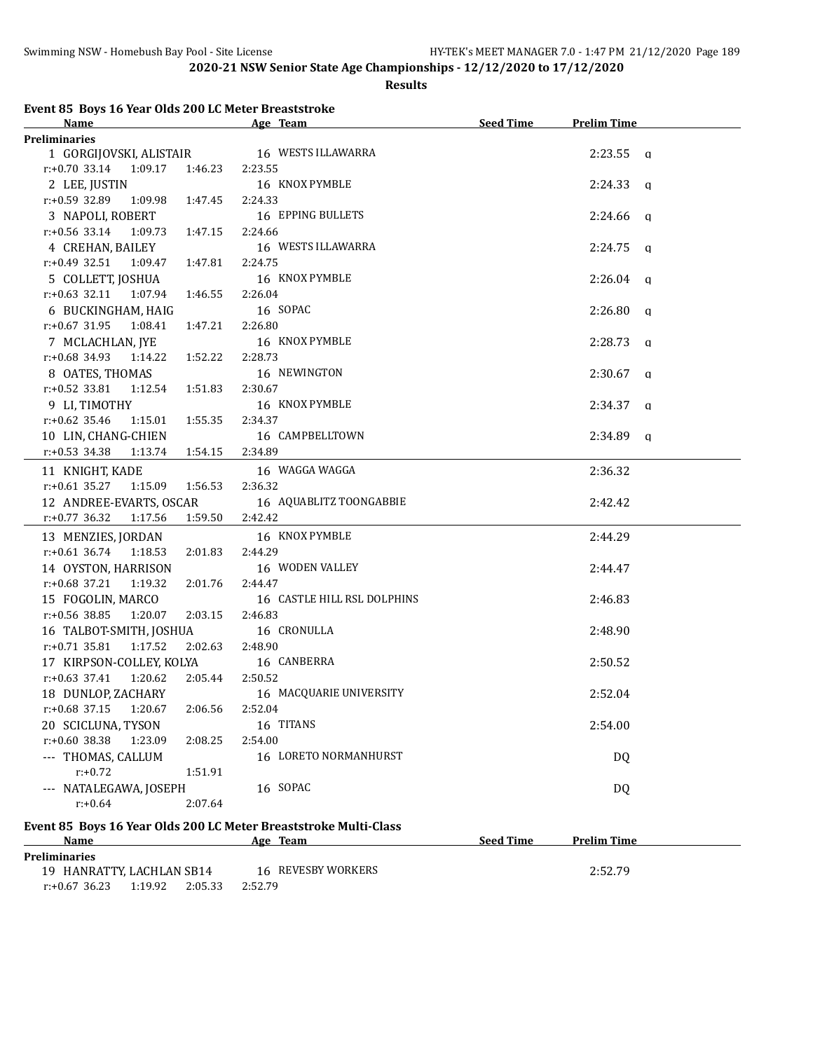#### **Results**

| Event 85 Boys 16 Year Olds 200 LC Meter Breaststroke |  |  |  |  |  |
|------------------------------------------------------|--|--|--|--|--|
|                                                      |  |  |  |  |  |

| Name                                   | Age Team                    | <b>Seed Time</b> | <b>Prelim Time</b> |  |
|----------------------------------------|-----------------------------|------------------|--------------------|--|
| <b>Preliminaries</b>                   |                             |                  |                    |  |
| 1 GORGIJOVSKI, ALISTAIR                | 16 WESTS ILLAWARRA          |                  | $2:23.55$ a        |  |
| $r: +0.70$ 33.14<br>1:09.17<br>1:46.23 | 2:23.55                     |                  |                    |  |
| 2 LEE, JUSTIN                          | 16 KNOX PYMBLE              |                  | $2:24.33$ q        |  |
| r:+0.59 32.89<br>1:09.98<br>1:47.45    | 2:24.33                     |                  |                    |  |
| 3 NAPOLI, ROBERT                       | 16 EPPING BULLETS           |                  | $2:24.66$ q        |  |
| $r: +0.56$ 33.14<br>1:09.73  1:47.15   | 2:24.66                     |                  |                    |  |
| 4 CREHAN, BAILEY                       | 16 WESTS ILLAWARRA          |                  | $2:24.75$ q        |  |
| $r: +0.49$ 32.51<br>1:09.47 1:47.81    | 2:24.75                     |                  |                    |  |
| 5 COLLETT, JOSHUA                      | 16 KNOX PYMBLE              |                  | $2:26.04$ q        |  |
| $r: +0.63$ 32.11 1:07.94<br>1:46.55    | 2:26.04                     |                  |                    |  |
| 6 BUCKINGHAM, HAIG                     | 16 SOPAC                    |                  | $2:26.80$ q        |  |
| 1:47.21<br>$r: +0.67$ 31.95<br>1:08.41 | 2:26.80                     |                  |                    |  |
| 7 MCLACHLAN, JYE                       | 16 KNOX PYMBLE              |                  | $2:28.73$ q        |  |
| 1:52.22<br>$r.+0.68$ 34.93 1:14.22     | 2:28.73                     |                  |                    |  |
| 8 OATES, THOMAS                        | 16 NEWINGTON                |                  | $2:30.67$ q        |  |
| $r: +0.52$ 33.81 1:12.54<br>1:51.83    | 2:30.67                     |                  |                    |  |
| 9 LI, TIMOTHY                          | 16 KNOX PYMBLE              |                  | $2:34.37$ q        |  |
| $r: +0.62$ 35.46<br>1:15.01<br>1:55.35 | 2:34.37                     |                  |                    |  |
| 10 LIN, CHANG-CHIEN                    | 16 CAMPBELLTOWN             |                  | $2:34.89$ a        |  |
| $r.+0.53$ 34.38 1:13.74 1:54.15        | 2:34.89                     |                  |                    |  |
| 11 KNIGHT, KADE                        | 16 WAGGA WAGGA              |                  | 2:36.32            |  |
| $r: +0.61$ 35.27<br>1:15.09<br>1:56.53 | 2:36.32                     |                  |                    |  |
| 12 ANDREE-EVARTS, OSCAR                | 16 AQUABLITZ TOONGABBIE     |                  | 2:42.42            |  |
| $r.+0.77$ 36.32<br>1:17.56             | 1:59.50 2:42.42             |                  |                    |  |
| 13 MENZIES, JORDAN                     | 16 KNOX PYMBLE              |                  | 2:44.29            |  |
| $r: +0.61$ 36.74<br>1:18.53<br>2:01.83 | 2:44.29                     |                  |                    |  |
| 14 OYSTON, HARRISON                    | 16 WODEN VALLEY             |                  | 2:44.47            |  |
| $r: +0.68$ 37.21<br>1:19.32<br>2:01.76 | 2:44.47                     |                  |                    |  |
| 15 FOGOLIN, MARCO                      | 16 CASTLE HILL RSL DOLPHINS |                  | 2:46.83            |  |
| $r: +0.56$ 38.85<br>1:20.07<br>2:03.15 | 2:46.83                     |                  |                    |  |
| 16 TALBOT-SMITH, JOSHUA                | 16 CRONULLA                 |                  | 2:48.90            |  |
| $r: +0.71$ 35.81<br>1:17.52<br>2:02.63 | 2:48.90                     |                  |                    |  |
| 17 KIRPSON-COLLEY, KOLYA               | 16 CANBERRA                 |                  | 2:50.52            |  |
| 1:20.62<br>$r: +0.63$ 37.41            | 2:05.44 2:50.52             |                  |                    |  |
| 18 DUNLOP, ZACHARY                     | 16 MACQUARIE UNIVERSITY     |                  | 2:52.04            |  |
| $r: +0.68$ 37.15<br>1:20.67<br>2:06.56 | 2:52.04                     |                  |                    |  |
| 20 SCICLUNA, TYSON                     | 16 TITANS                   |                  | 2:54.00            |  |
| r:+0.60 38.38<br>1:23.09<br>2:08.25    | 2:54.00                     |                  |                    |  |
| --- THOMAS, CALLUM                     | 16 LORETO NORMANHURST       |                  | DQ                 |  |
| $r: +0.72$<br>1:51.91                  |                             |                  |                    |  |
| --- NATALEGAWA, JOSEPH                 | 16 SOPAC                    |                  | <b>DQ</b>          |  |
| $r: +0.64$<br>2:07.64                  |                             |                  |                    |  |
|                                        |                             |                  |                    |  |

## **Event 85 Boys 16 Year Olds 200 LC Meter Breaststroke Multi-Class**

| Name                      |         | Age                | Team               | <b>Seed Time</b><br><b>Prelim Time</b> |
|---------------------------|---------|--------------------|--------------------|----------------------------------------|
| Preliminaries             |         |                    |                    |                                        |
| 19 HANRATTY, LACHLAN SB14 |         |                    | 16 REVESBY WORKERS | 2:52.79                                |
| $r: +0.67$ 36.23          | 1:19.92 | 2:05.33<br>2:52.79 |                    |                                        |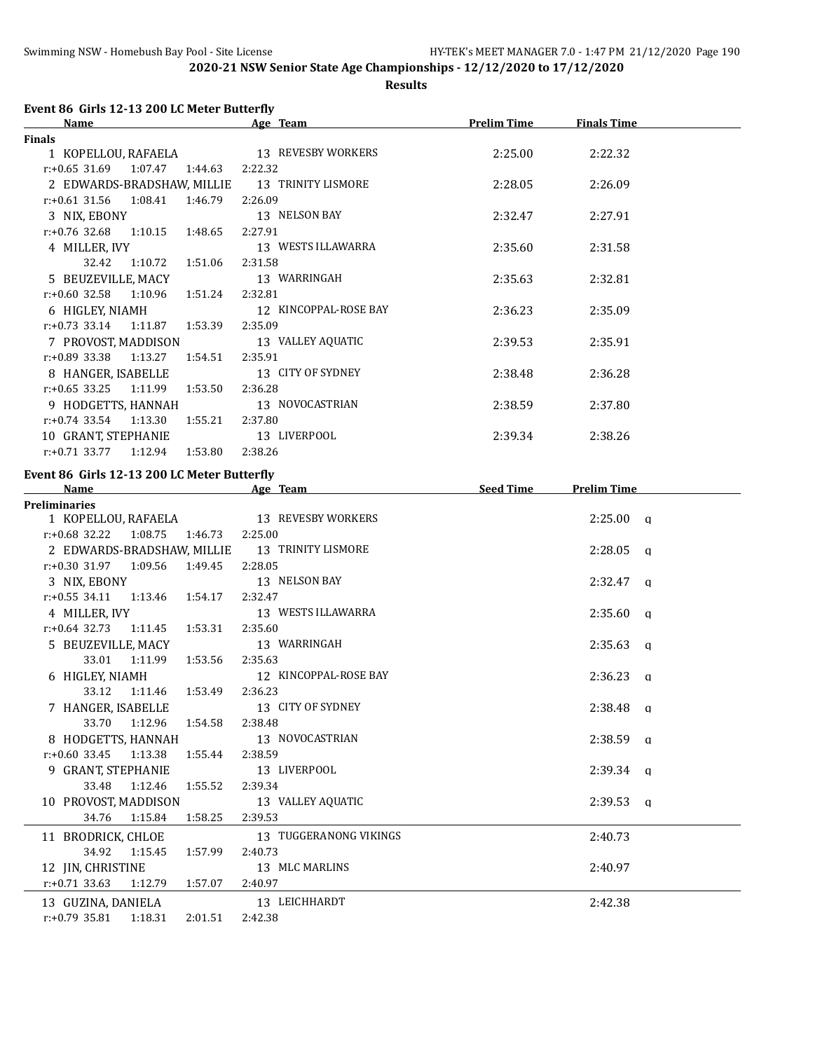**Results**

## **Event 86 Girls 12-13 200 LC Meter Butterfly**

| <b>Name</b>                                        | Age Team                                      | <b>Prelim Time</b> | <b>Finals Time</b> |  |
|----------------------------------------------------|-----------------------------------------------|--------------------|--------------------|--|
| <b>Finals</b>                                      |                                               |                    |                    |  |
| 1 KOPELLOU, RAFAELA                                | 13 REVESBY WORKERS                            | 2:25.00            | 2:22.32            |  |
| $r: +0.65$ 31.69 1:07.47 1:44.63                   | 2:22.32                                       |                    |                    |  |
|                                                    | 2 EDWARDS-BRADSHAW, MILLIE 13 TRINITY LISMORE | 2:28.05            | 2:26.09            |  |
| $r: +0.61$ 31.56 1:08.41 1:46.79                   | 2:26.09                                       |                    |                    |  |
| 3 NIX, EBONY                                       | 13 NELSON BAY                                 | 2:32.47            | 2:27.91            |  |
| $r: +0.76$ 32.68 1:10.15 1:48.65                   | 2:27.91                                       |                    |                    |  |
| 4 MILLER, IVY                                      | 13 WESTS ILLAWARRA                            | 2:35.60            | 2:31.58            |  |
| 32.42 1:10.72 1:51.06                              | 2:31.58                                       |                    |                    |  |
| 5 BEUZEVILLE, MACY                                 | 13 WARRINGAH                                  | 2:35.63            | 2:32.81            |  |
| $r: +0.60$ 32.58 1:10.96 1:51.24 2:32.81           |                                               |                    |                    |  |
|                                                    | 6 HIGLEY, NIAMH 12 KINCOPPAL-ROSE BAY         | 2:36.23            | 2:35.09            |  |
| r:+0.73 33.14 1:11.87 1:53.39                      | 2:35.09                                       |                    |                    |  |
| 7 PROVOST, MADDISON                                | 13 VALLEY AQUATIC                             | 2:39.53            | 2:35.91            |  |
| $r: +0.89$ 33.38 1:13.27 1:54.51                   | 2:35.91                                       |                    |                    |  |
| 8 HANGER, ISABELLE                                 | 13 CITY OF SYDNEY                             | 2:38.48            | 2:36.28            |  |
| $r: +0.65$ 33.25 1:11.99 1:53.50                   | 2:36.28                                       |                    |                    |  |
| 9 HODGETTS, HANNAH                                 | 13 NOVOCASTRIAN                               | 2:38.59            | 2:37.80            |  |
| $r.+0.74$ 33.54 1:13.30 1:55.21                    | 2:37.80                                       |                    |                    |  |
| 10 GRANT, STEPHANIE                                | 13 LIVERPOOL                                  | 2:39.34            | 2:38.26            |  |
| $r: +0.71$ 33.77 1:12.94 1:53.80                   | 2:38.26                                       |                    |                    |  |
| Event 86 Girls 12-13 200 LC Meter Butterfly        |                                               |                    |                    |  |
| <b>Name</b>                                        | Age Team                                      | <b>Seed Time</b>   | <b>Prelim Time</b> |  |
| <b>Preliminaries</b>                               |                                               |                    |                    |  |
|                                                    | 1 KOPELLOU, RAFAELA 13 REVESBY WORKERS        |                    | 2:25.00 a          |  |
| $r+0.69$ 22.22 $t=1.09$ 75 $t=1.46$ 72 $t=2.25$ 00 |                                               |                    |                    |  |

|                                          |                               | 1 KOPELLOU, RAFAELA 13 REVESBY WORKERS        | $2:25.00 \text{ q}$ |  |
|------------------------------------------|-------------------------------|-----------------------------------------------|---------------------|--|
| $r: +0.68$ 32.22 1:08.75 1:46.73 2:25.00 |                               |                                               |                     |  |
|                                          |                               | 2 EDWARDS-BRADSHAW, MILLIE 13 TRINITY LISMORE | $2:28.05$ a         |  |
| $r.+0.30$ 31.97 1:09.56 1:49.45 2:28.05  |                               |                                               |                     |  |
| 3 NIX, EBONY                             |                               | 13 NELSON BAY                                 | $2:32.47$ a         |  |
| $r.+0.55$ 34.11 1:13.46 1:54.17          |                               | 2:32.47                                       |                     |  |
| 4 MILLER, IVY                            |                               | 13 WESTS ILLAWARRA                            | $2:35.60$ q         |  |
| $r: +0.64$ 32.73 1:11.45 1:53.31         |                               | 2:35.60                                       |                     |  |
| 5 BEUZEVILLE, MACY                       |                               | 13 WARRINGAH                                  | $2:35.63$ q         |  |
|                                          | 33.01 1:11.99 1:53.56 2:35.63 |                                               |                     |  |
|                                          |                               | 6 HIGLEY, NIAMH 12 KINCOPPAL-ROSE BAY         | $2:36.23$ q         |  |
|                                          | 33.12 1:11.46 1:53.49 2:36.23 |                                               |                     |  |
|                                          |                               | 7 HANGER, ISABELLE 13 CITY OF SYDNEY          | $2:38.48$ a         |  |
|                                          | 33.70 1:12.96 1:54.58 2:38.48 |                                               |                     |  |
|                                          |                               | 8 HODGETTS, HANNAH 13 NOVOCASTRIAN            | $2:38.59$ a         |  |
| $r: +0.60$ 33.45 1:13.38 1:55.44 2:38.59 |                               |                                               |                     |  |
|                                          |                               | 9 GRANT, STEPHANIE 13 LIVERPOOL               | $2:39.34$ q         |  |
| 33.48                                    | 1:12.46 1:55.52               | 2:39.34                                       |                     |  |
|                                          |                               | 10 PROVOST, MADDISON 13 VALLEY AQUATIC        | $2:39.53$ q         |  |
| 34.76                                    | 1:15.84   1:58.25             | 2:39.53                                       |                     |  |
|                                          |                               | 11 BRODRICK, CHLOE 13 TUGGERANONG VIKINGS     | 2:40.73             |  |
|                                          | 34.92  1:15.45  1:57.99       | 2:40.73                                       |                     |  |
|                                          |                               | 12 JIN, CHRISTINE 13 MLC MARLINS              | 2:40.97             |  |
| $r.+0.71$ 33.63 1:12.79 1:57.07          |                               | 2:40.97                                       |                     |  |
|                                          |                               | 13 GUZINA, DANIELA 13 LEICHHARDT              | 2:42.38             |  |
| $r: +0.79$ 35.81 1:18.31                 | 2:01.51                       | 2:42.38                                       |                     |  |
|                                          |                               |                                               |                     |  |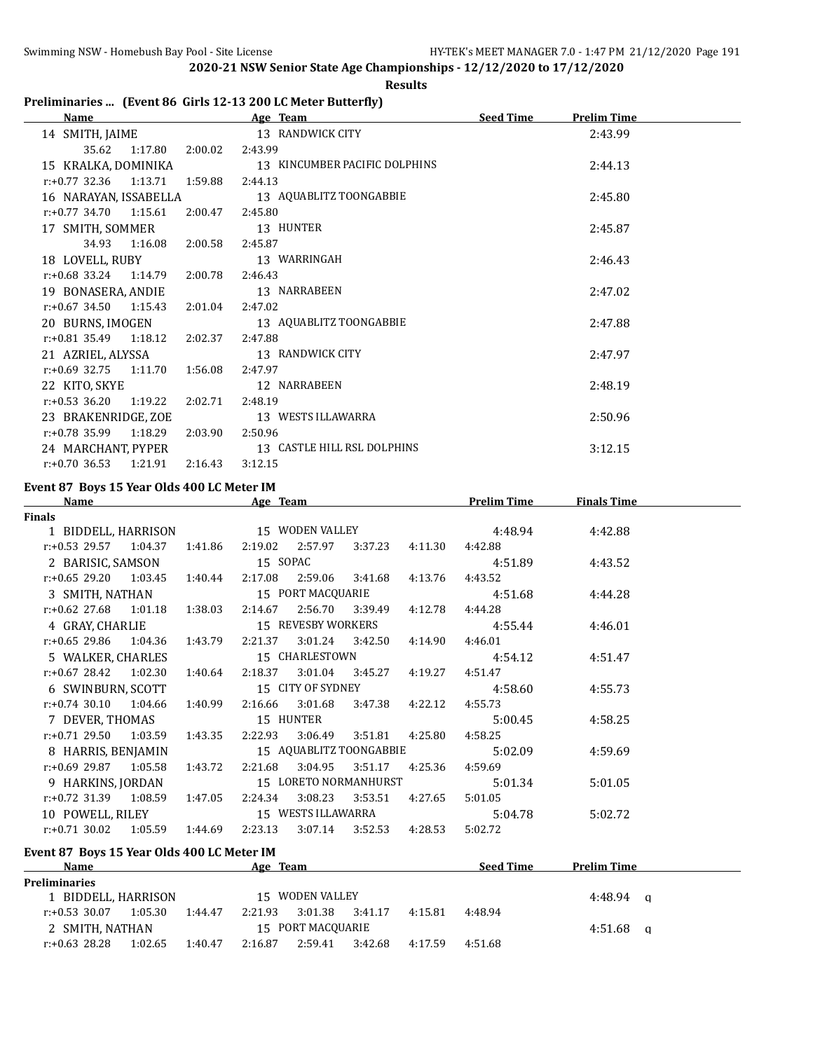### **Results**

# **Preliminaries ... (Event 86 Girls 12-13 200 LC Meter Butterfly)**

| Name                        |         | Age Team                      | <b>Seed Time</b> | <b>Prelim Time</b> |  |
|-----------------------------|---------|-------------------------------|------------------|--------------------|--|
| 14 SMITH, JAIME             |         | 13 RANDWICK CITY              |                  | 2:43.99            |  |
| 35.62<br>1:17.80            | 2:00.02 | 2:43.99                       |                  |                    |  |
| 15 KRALKA, DOMINIKA         |         | 13 KINCUMBER PACIFIC DOLPHINS |                  | 2:44.13            |  |
| $r: +0.77$ 32.36<br>1:13.71 | 1:59.88 | 2:44.13                       |                  |                    |  |
| 16 NARAYAN, ISSABELLA       |         | 13 AQUABLITZ TOONGABBIE       |                  | 2:45.80            |  |
| $r.+0.77$ 34.70 1:15.61     | 2:00.47 | 2:45.80                       |                  |                    |  |
| 17 SMITH, SOMMER            |         | 13 HUNTER                     |                  | 2:45.87            |  |
| 34.93<br>1:16.08            | 2:00.58 | 2:45.87                       |                  |                    |  |
| 18 LOVELL, RUBY             |         | 13 WARRINGAH                  |                  | 2:46.43            |  |
| $r.+0.68$ 33.24 1:14.79     | 2:00.78 | 2:46.43                       |                  |                    |  |
| 19 BONASERA, ANDIE          |         | 13 NARRABEEN                  |                  | 2:47.02            |  |
| $r.+0.67$ 34.50 1:15.43     | 2:01.04 | 2:47.02                       |                  |                    |  |
| 20 BURNS, IMOGEN            |         | 13 AQUABLITZ TOONGABBIE       |                  | 2:47.88            |  |
| $r.+0.81$ 35.49 1:18.12     | 2:02.37 | 2:47.88                       |                  |                    |  |
| 21 AZRIEL, ALYSSA           |         | 13 RANDWICK CITY              |                  | 2:47.97            |  |
| $r: +0.69$ 32.75<br>1:11.70 | 1:56.08 | 2:47.97                       |                  |                    |  |
| 22 KITO, SKYE               |         | 12 NARRABEEN                  |                  | 2:48.19            |  |
| $r: +0.53$ 36.20<br>1:19.22 | 2:02.71 | 2:48.19                       |                  |                    |  |
| 23 BRAKENRIDGE, ZOE         |         | 13 WESTS ILLAWARRA            |                  | 2:50.96            |  |
| $r.+0.78$ 35.99 1:18.29     | 2:03.90 | 2:50.96                       |                  |                    |  |
| 24 MARCHANT, PYPER          |         | 13 CASTLE HILL RSL DOLPHINS   |                  | 3:12.15            |  |
| $r: +0.70$ 36.53<br>1:21.91 | 2:16.43 | 3:12.15                       |                  |                    |  |

#### **Event 87 Boys 15 Year Olds 400 LC Meter IM**

| <b>Name</b>                                                    |  | Age Team |                         |                |                       | <b>Prelim Time</b>                          | <b>Finals Time</b> |  |
|----------------------------------------------------------------|--|----------|-------------------------|----------------|-----------------------|---------------------------------------------|--------------------|--|
| <b>Finals</b>                                                  |  |          |                         |                |                       |                                             |                    |  |
|                                                                |  |          |                         |                |                       | 1 BIDDELL, HARRISON 15 WODEN VALLEY 4:48.94 | 4:42.88            |  |
| r:+0.53 29.57 1:04.37 1:41.86 2:19.02 2:57.97 3:37.23          |  |          |                         |                | 4:11.30               | 4:42.88                                     |                    |  |
| 2 BARISIC, SAMSON 15 SOPAC                                     |  |          |                         |                |                       | 4:51.89                                     | 4:43.52            |  |
| r:+0.65 29.20  1:03.45  1:40.44  2:17.08  2:59.06  3:41.68     |  |          |                         |                | 4:13.76               | 4:43.52                                     |                    |  |
| 3 SMITH, NATHAN 15 PORT MACQUARIE                              |  |          |                         |                |                       | 4:51.68                                     | 4:44.28            |  |
| r:+0.62 27.68  1:01.18  1:38.03  2:14.67  2:56.70  3:39.49     |  |          |                         |                | 4:12.78               | 4:44.28                                     |                    |  |
| 4 GRAY, CHARLIE 15 REVESBY WORKERS                             |  |          |                         |                |                       | 4:55.44                                     | 4:46.01            |  |
| $r+0.65$ 29.86 1:04.36 1:43.79 2:21.37 3:01.24 3:42.50 4:14.90 |  |          |                         |                |                       | 4:46.01                                     |                    |  |
| 5 WALKER, CHARLES                                              |  |          |                         | 15 CHARLESTOWN |                       | 4:54.12                                     | 4:51.47            |  |
| r:+0.67 28.42 1:02.30 1:40.64 2:18.37 3:01.04 3:45.27 4:19.27  |  |          |                         |                |                       | 4:51.47                                     |                    |  |
|                                                                |  |          |                         |                |                       | 6 SWINBURN, SCOTT 15 CITY OF SYDNEY 4:58.60 | 4:55.73            |  |
| r:+0.74 30.10 1:04.66 1:40.99 2:16.66 3:01.68 3:47.38 4:22.12  |  |          |                         |                |                       | 4:55.73                                     |                    |  |
| 7 DEVER, THOMAS 15 HUNTER                                      |  |          |                         |                |                       | 5:00.45                                     | 4:58.25            |  |
| r:+0.71 29.50 1:03.59 1:43.35 2:22.93 3:06.49 3:51.81 4:25.80  |  |          |                         |                |                       | 4:58.25                                     |                    |  |
| 8 HARRIS, BENJAMIN 15 AQUABLITZ TOONGABBIE                     |  |          |                         |                |                       | 5:02.09                                     | 4:59.69            |  |
| $r: +0.69$ 29.87 1:05.58 1:43.72                               |  |          | 2:21.68 3:04.95 3:51.17 |                | 4:25.36               | 4:59.69                                     |                    |  |
| 9 HARKINS, JORDAN                                              |  |          |                         |                | 15 LORETO NORMANHURST | 5:01.34                                     | 5:01.05            |  |
| $r.+0.72$ 31.39 1.08.59 1.47.05                                |  |          | 2:24.34 3:08.23         | 3:53.51        | 4:27.65               | 5:01.05                                     |                    |  |
|                                                                |  |          |                         |                |                       | 10 POWELL, RILEY 15 WESTS ILLAWARRA 5:04.78 | 5:02.72            |  |
| r:+0.71 30.02 1:05.59 1:44.69 2:23.13 3:07.14 3:52.53 4:28.53  |  |          |                         |                |                       | 5:02.72                                     |                    |  |
| Event 87 Boys 15 Year Olds 400 LC Meter IM                     |  |          |                         |                |                       |                                             |                    |  |

### **Age Team Seed Time Prelim Time Preliminaries** 1 BIDDELL, HARRISON 15 WODEN VALLEY 4:48.94 q r:+0.53 30.07 1:05.30 1:44.47 2:21.93 3:01.38 3:41.17 4:15.81 4:48.94 2 SMITH, NATHAN 15 PORT MACQUARIE 2 SMITH, NATHAN 4:51.68 q r:+0.63 28.28 1:02.65 1:40.47 2:16.87 2:59.41 3:42.68 4:17.59 4:51.68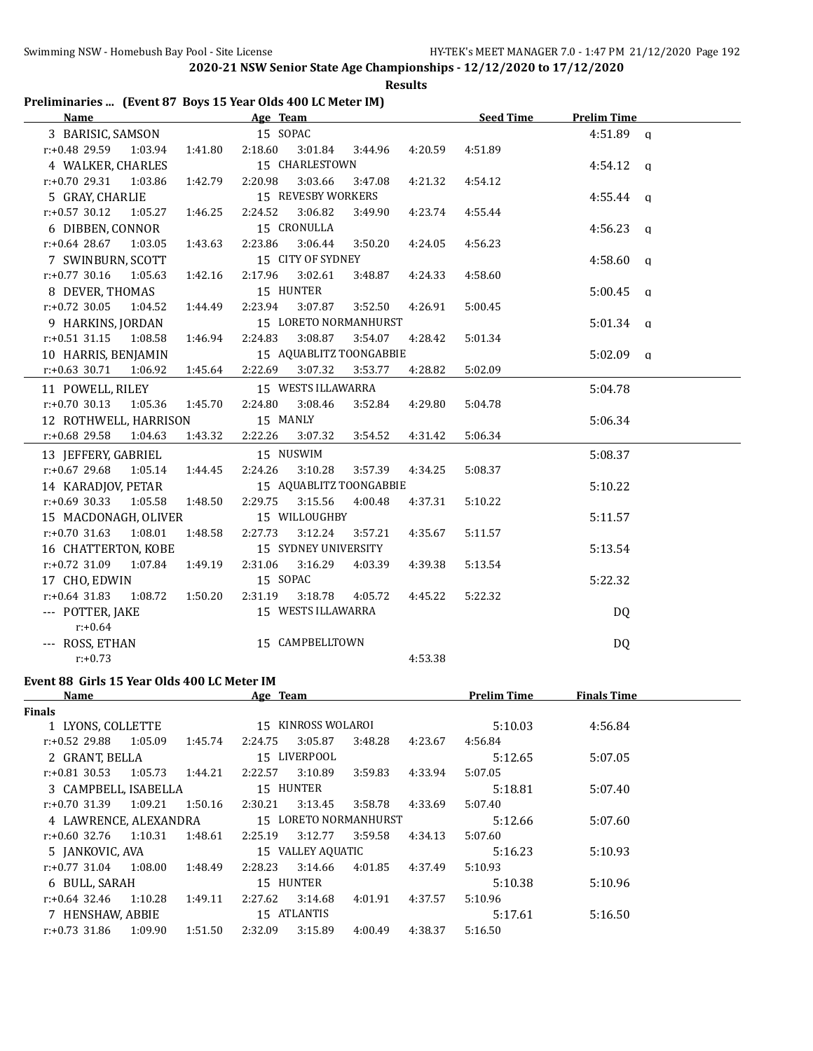**Results**

## **Preliminaries ... (Event 87 Boys 15 Year Olds 400 LC Meter IM)**

| Name and the state of the state of the state of the state of the state of the state of the state of the state of the state of the state of the state of the state of the state of the state of the state of the state of the s | Age Team                                 | <b>Seed Time</b>   | <b>Prelim Time</b> |
|--------------------------------------------------------------------------------------------------------------------------------------------------------------------------------------------------------------------------------|------------------------------------------|--------------------|--------------------|
| 3 BARISIC, SAMSON                                                                                                                                                                                                              | 15 SOPAC                                 |                    | $4:51.89$ a        |
| r:+0.48 29.59 1:03.94 1:41.80                                                                                                                                                                                                  | 2:18.60 3:01.84<br>3:44.96               | 4:20.59<br>4:51.89 |                    |
| 4 WALKER, CHARLES                                                                                                                                                                                                              | 15 CHARLESTOWN                           |                    | $4:54.12$ q        |
| r:+0.70 29.31 1:03.86<br>1:42.79                                                                                                                                                                                               | 2:20.98<br>3:03.66<br>3:47.08            | 4:21.32<br>4:54.12 |                    |
| 5 GRAY, CHARLIE                                                                                                                                                                                                                | 15 REVESBY WORKERS                       |                    | $4:55.44$ q        |
| $r: +0.57$ 30.12<br>1:05.27<br>1:46.25                                                                                                                                                                                         | 2:24.52<br>3:06.82<br>3:49.90            | 4:23.74<br>4:55.44 |                    |
| 6 DIBBEN, CONNOR                                                                                                                                                                                                               | 15 CRONULLA                              |                    | 4:56.23 q          |
| $r: +0.64$ 28.67<br>1:03.05<br>1:43.63                                                                                                                                                                                         | 2:23.86<br>3:06.44<br>3:50.20            | 4:24.05<br>4:56.23 |                    |
| 7 SWINBURN, SCOTT                                                                                                                                                                                                              | 15 CITY OF SYDNEY                        |                    | $4:58.60$ q        |
| 1:05.63<br>$r: +0.77$ 30.16<br>1:42.16                                                                                                                                                                                         | 2:17.96<br>3:02.61<br>3:48.87            | 4:58.60<br>4:24.33 |                    |
| 8 DEVER, THOMAS                                                                                                                                                                                                                | 15 HUNTER                                |                    | $5:00.45$ q        |
| $r: +0.72$ 30.05<br>1:04.52                                                                                                                                                                                                    | 2:23.94<br>3:07.87<br>1:44.49<br>3:52.50 | 4:26.91<br>5:00.45 |                    |
| 9 HARKINS, JORDAN                                                                                                                                                                                                              | 15 LORETO NORMANHURST                    |                    | $5:01.34$ q        |
| $r: +0.51$ 31.15 1:08.58                                                                                                                                                                                                       | 2:24.83<br>3:08.87<br>1:46.94<br>3:54.07 | 4:28.42<br>5:01.34 |                    |
| 10 HARRIS, BENJAMIN                                                                                                                                                                                                            | 15 AQUABLITZ TOONGABBIE                  |                    | $5:02.09$ q        |
| $r.+0.63$ 30.71 1:06.92                                                                                                                                                                                                        | 1:45.64 2:22.69<br>3:07.32<br>3:53.77    | 4:28.82<br>5:02.09 |                    |
| 11 POWELL, RILEY                                                                                                                                                                                                               | 15 WESTS ILLAWARRA                       |                    | 5:04.78            |
| $r: +0.70$ 30.13 1:05.36<br>1:45.70                                                                                                                                                                                            | 2:24.80<br>3:08.46<br>3:52.84            | 4:29.80<br>5:04.78 |                    |
| 12 ROTHWELL, HARRISON                                                                                                                                                                                                          | 15 MANLY                                 |                    | 5:06.34            |
| r:+0.68 29.58<br>1:04.63                                                                                                                                                                                                       | 1:43.32<br>2:22.26<br>3:07.32<br>3:54.52 | 4:31.42<br>5:06.34 |                    |
| 13 JEFFERY, GABRIEL                                                                                                                                                                                                            | 15 NUSWIM                                |                    | 5:08.37            |
| $r: +0.67$ 29.68<br>1:05.14<br>1:44.45                                                                                                                                                                                         | 3:10.28<br>2:24.26<br>3:57.39            | 4:34.25<br>5:08.37 |                    |
| 14 KARADJOV, PETAR                                                                                                                                                                                                             | 15 AQUABLITZ TOONGABBIE                  |                    | 5:10.22            |
| $r: +0.69$ 30.33 1:05.58<br>1:48.50                                                                                                                                                                                            | 3:15.56<br>2:29.75<br>4:00.48            | 4:37.31<br>5:10.22 |                    |
| 15 MACDONAGH, OLIVER                                                                                                                                                                                                           | 15 WILLOUGHBY                            |                    | 5:11.57            |
| $r.+0.70$ 31.63 1:08.01<br>1:48.58                                                                                                                                                                                             | 2:27.73<br>3:12.24<br>3:57.21            | 4:35.67<br>5:11.57 |                    |
| 16 CHATTERTON, KOBE                                                                                                                                                                                                            | 15 SYDNEY UNIVERSITY                     |                    | 5:13.54            |
| r:+0.72 31.09 1:07.84<br>1:49.19                                                                                                                                                                                               | 2:31.06<br>3:16.29<br>4:03.39            | 4:39.38<br>5:13.54 |                    |
| 17 CHO, EDWIN                                                                                                                                                                                                                  | 15 SOPAC                                 |                    | 5:22.32            |
| $r: +0.64$ 31.83<br>1:08.72                                                                                                                                                                                                    | 3:18.78<br>1:50.20<br>2:31.19<br>4:05.72 | 4:45.22<br>5:22.32 |                    |
| --- POTTER, JAKE                                                                                                                                                                                                               | 15 WESTS ILLAWARRA                       |                    | DQ                 |
| $r: +0.64$                                                                                                                                                                                                                     |                                          |                    |                    |
| --- ROSS, ETHAN                                                                                                                                                                                                                | 15 CAMPBELLTOWN                          |                    | DQ                 |
| $r: +0.73$                                                                                                                                                                                                                     |                                          | 4:53.38            |                    |
| Event 88 Girls 15 Year Olds 400 LC Meter IM                                                                                                                                                                                    |                                          |                    |                    |
|                                                                                                                                                                                                                                |                                          |                    |                    |

| Name                  |         |         | Age Team |                    |                       |         | <b>Prelim Time</b> | <b>Finals Time</b> |  |
|-----------------------|---------|---------|----------|--------------------|-----------------------|---------|--------------------|--------------------|--|
| <b>Finals</b>         |         |         |          |                    |                       |         |                    |                    |  |
| 1 LYONS, COLLETTE     |         |         |          | 15 KINROSS WOLAROI |                       |         | 5:10.03            | 4:56.84            |  |
| $r: +0.52$ 29.88      | 1:05.09 | 1:45.74 | 2:24.75  | 3:05.87            | 3:48.28               | 4:23.67 | 4:56.84            |                    |  |
| 2 GRANT, BELLA        |         |         |          | 15 LIVERPOOL       |                       |         | 5:12.65            | 5:07.05            |  |
| $r: +0.81$ 30.53      | 1:05.73 | 1:44.21 | 2:22.57  | 3:10.89            | 3:59.83               | 4:33.94 | 5:07.05            |                    |  |
| 3 CAMPBELL, ISABELLA  |         |         |          | 15 HUNTER          |                       |         | 5:18.81            | 5:07.40            |  |
| $r: +0.70$ 31.39      | 1:09.21 | 1:50.16 | 2:30.21  | 3:13.45            | 3:58.78               | 4:33.69 | 5:07.40            |                    |  |
| 4 LAWRENCE, ALEXANDRA |         |         |          |                    | 15 LORETO NORMANHURST |         | 5:12.66            | 5:07.60            |  |
| r:+0.60 32.76         | 1:10.31 | 1:48.61 | 2:25.19  | 3:12.77            | 3:59.58               | 4:34.13 | 5:07.60            |                    |  |
| 5 JANKOVIC, AVA       |         |         |          | 15 VALLEY AQUATIC  |                       |         | 5:16.23            | 5:10.93            |  |
| $r: +0.77$ 31.04      | 1:08.00 | 1:48.49 | 2:28.23  | 3:14.66            | 4:01.85               | 4:37.49 | 5:10.93            |                    |  |
| 6 BULL, SARAH         |         |         |          | 15 HUNTER          |                       |         | 5:10.38            | 5:10.96            |  |
| $r: +0.64$ 32.46      | 1:10.28 | 1:49.11 | 2:27.62  | 3:14.68            | 4:01.91               | 4:37.57 | 5:10.96            |                    |  |
| 7 HENSHAW, ABBIE      |         |         |          | 15 ATLANTIS        |                       |         | 5:17.61            | 5:16.50            |  |
| $r: +0.73$ 31.86      | 1:09.90 | 1:51.50 | 2:32.09  | 3:15.89            | 4:00.49               | 4:38.37 | 5:16.50            |                    |  |
|                       |         |         |          |                    |                       |         |                    |                    |  |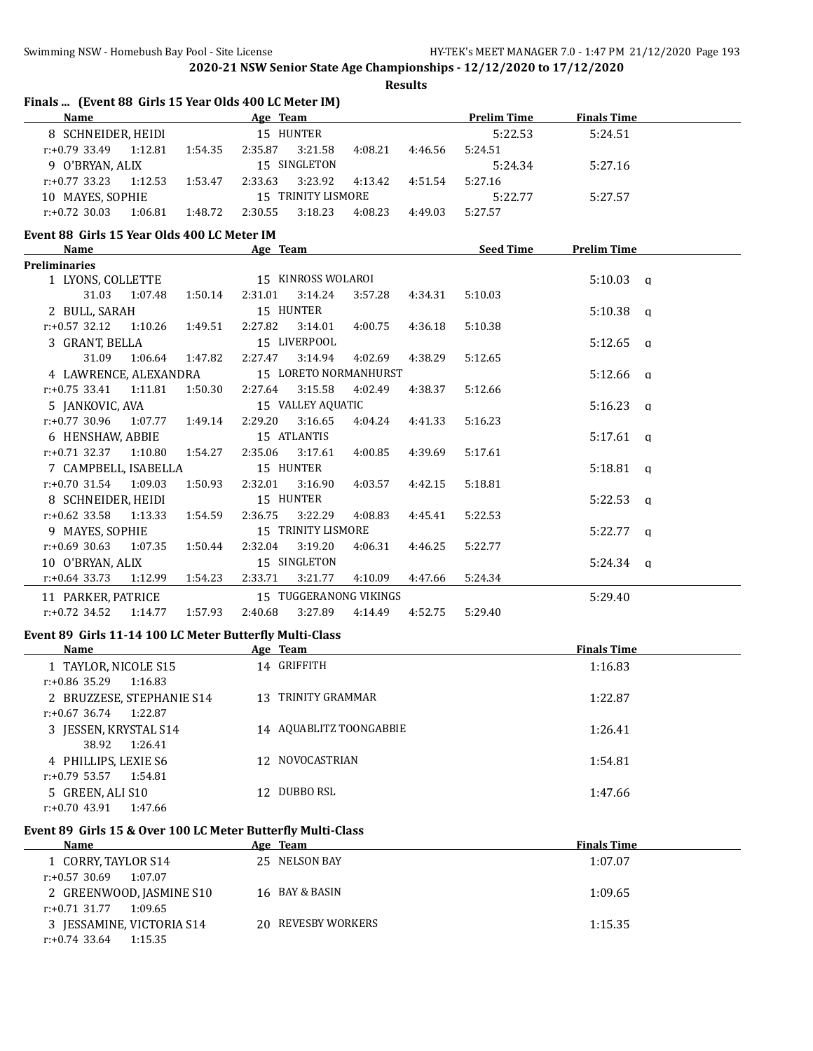**Results**

| Finals  (Event 88 Girls 15 Year Olds 400 LC Meter IM) |         |                                                         |          |                 |         |         |                    |                    |  |
|-------------------------------------------------------|---------|---------------------------------------------------------|----------|-----------------|---------|---------|--------------------|--------------------|--|
| <b>Name</b>                                           |         |                                                         | Age Team |                 |         |         | <b>Prelim Time</b> | <b>Finals Time</b> |  |
| 8 SCHNEIDER, HEIDI                                    |         |                                                         |          | 15 HUNTER       |         |         | 5:22.53            | 5:24.51            |  |
| r:+0.79 33.49                                         | 1:12.81 | 1:54.35                                                 | 2:35.87  | 3:21.58         | 4:08.21 | 4:46.56 | 5:24.51            |                    |  |
| SINGLETON<br>9 O'BRYAN, ALIX<br>15.                   |         |                                                         |          |                 |         | 5:24.34 | 5:27.16            |                    |  |
| r:+0.77 33.23                                         | 1:12.53 | 1:53.47                                                 | 2:33.63  | 3:23.92         | 4:13.42 | 4:51.54 | 5:27.16            |                    |  |
| 10 MAYES, SOPHIE                                      |         |                                                         | 15.      | TRINITY LISMORE |         |         | 5:22.77            | 5:27.57            |  |
| $r: +0.72$ 30.03                                      | 1:06.81 | 1:48.72                                                 | 2:30.55  | 3:18.23         | 4:08.23 | 4:49.03 | 5:27.57            |                    |  |
|                                                       |         | $\sim$ $\sim$ $\sim$ $\sim$ $\sim$ $\sim$ $\sim$ $\sim$ |          |                 |         |         |                    |                    |  |

# **Event 88 Girls 15 Year Olds 400 LC Meter IM**

| Name                                        |                       |         |                         |                    | Age Team and the state of the state of the state of the state of the state of the state of the state of the state of the state of the state of the state of the state of the state of the state of the state of the state of t |         | Seed Time | <b>Prelim Time</b> |
|---------------------------------------------|-----------------------|---------|-------------------------|--------------------|--------------------------------------------------------------------------------------------------------------------------------------------------------------------------------------------------------------------------------|---------|-----------|--------------------|
| <b>Preliminaries</b>                        |                       |         |                         |                    |                                                                                                                                                                                                                                |         |           |                    |
| 1 LYONS, COLLETTE                           |                       |         | 15 KINROSS WOLAROI      |                    |                                                                                                                                                                                                                                |         |           | $5:10.03$ q        |
| 31.03                                       | 1:07.48               | 1:50.14 | 2:31.01                 | 3:14.24            | 3:57.28                                                                                                                                                                                                                        | 4:34.31 | 5:10.03   |                    |
| 2 BULL, SARAH                               |                       |         |                         | 15 HUNTER          |                                                                                                                                                                                                                                |         |           | $5:10.38$ q        |
| $r.+0.57$ 32.12 1:10.26 1:49.51             |                       |         | 2:27.82                 | 3:14.01            | 4:00.75                                                                                                                                                                                                                        | 4:36.18 | 5:10.38   |                    |
| 3 GRANT, BELLA                              |                       |         | 15 LIVERPOOL            |                    |                                                                                                                                                                                                                                |         |           | $5:12.65$ q        |
|                                             | 31.09 1:06.64 1:47.82 |         |                         | 2:27.47 3:14.94    | 4:02.69                                                                                                                                                                                                                        | 4:38.29 | 5:12.65   |                    |
| 4 LAWRENCE, ALEXANDRA 15 LORETO NORMANHURST |                       |         |                         |                    |                                                                                                                                                                                                                                |         |           | $5:12.66$ a        |
| $r: +0.75$ 33.41 1:11.81                    |                       |         | 1:50.30 2:27.64 3:15.58 |                    | 4:02.49                                                                                                                                                                                                                        | 4:38.37 | 5:12.66   |                    |
| 5 JANKOVIC, AVA                             |                       |         | 15 VALLEY AQUATIC       |                    |                                                                                                                                                                                                                                |         |           | $5:16.23$ q        |
| $r: +0.77$ 30.96 1:07.77 1:49.14            |                       |         | 2:29.20                 | 3:16.65            | 4:04.24                                                                                                                                                                                                                        | 4:41.33 | 5:16.23   |                    |
| 6 HENSHAW, ABBIE                            |                       |         | 15 ATLANTIS             |                    |                                                                                                                                                                                                                                |         |           | $5:17.61$ q        |
| $r.+0.71$ 32.37 1:10.80 1:54.27             |                       |         | 2:35.06                 | 3:17.61            | 4:00.85                                                                                                                                                                                                                        | 4:39.69 | 5:17.61   |                    |
| 7 CAMPBELL, ISABELLA                        |                       |         |                         | 15 HUNTER          |                                                                                                                                                                                                                                |         |           | $5:18.81$ q        |
| $r: +0.70$ 31.54 1:09.03                    |                       | 1:50.93 |                         | 2:32.01 3:16.90    | 4:03.57                                                                                                                                                                                                                        | 4:42.15 | 5:18.81   |                    |
| 8 SCHNEIDER, HEIDI                          |                       |         | 15 HUNTER               |                    |                                                                                                                                                                                                                                |         |           | $5:22.53$ q        |
| $r: +0.62$ 33.58 1:13.33                    |                       | 1:54.59 | 2:36.75                 | 3:22.29            | 4:08.83                                                                                                                                                                                                                        | 4:45.41 | 5:22.53   |                    |
| 9 MAYES, SOPHIE                             |                       |         |                         | 15 TRINITY LISMORE |                                                                                                                                                                                                                                |         |           | $5:22.77$ q        |
| $r: +0.69$ 30.63 1:07.35 1:50.44            |                       |         | 2:32.04                 | 3:19.20            | 4:06.31                                                                                                                                                                                                                        | 4:46.25 | 5:22.77   |                    |
| 10 O'BRYAN, ALIX                            |                       |         |                         | 15 SINGLETON       |                                                                                                                                                                                                                                |         |           | $5:24.34$ q        |
| $r.+0.64$ 33.73 1:12.99 1:54.23             |                       |         |                         | 2:33.71 3:21.77    | 4:10.09                                                                                                                                                                                                                        | 4:47.66 | 5:24.34   |                    |
| 11 PARKER, PATRICE                          |                       |         |                         |                    | 15 TUGGERANONG VIKINGS                                                                                                                                                                                                         |         |           | 5:29.40            |
| $r.+0.72$ 34.52 1:14.77                     |                       | 1:57.93 | 2:40.68                 | 3:27.89            | 4:14.49                                                                                                                                                                                                                        | 4:52.75 | 5:29.40   |                    |

### **Event 89 Girls 11-14 100 LC Meter Butterfly Multi-Class**

| Name                        | Age Team                | <b>Finals Time</b> |
|-----------------------------|-------------------------|--------------------|
| 1 TAYLOR, NICOLE S15        | 14 GRIFFITH             | 1:16.83            |
| r:+0.86 35.29<br>1:16.83    |                         |                    |
| 2 BRUZZESE, STEPHANIE S14   | TRINITY GRAMMAR<br>13.  | 1:22.87            |
| r:+0.67 36.74<br>1:22.87    |                         |                    |
| 3 JESSEN, KRYSTAL S14       | 14 AQUABLITZ TOONGABBIE | 1:26.41            |
| 1:26.41<br>38.92            |                         |                    |
| 4 PHILLIPS, LEXIE S6        | 12 NOVOCASTRIAN         | 1:54.81            |
| r:+0.79 53.57<br>1:54.81    |                         |                    |
| 5 GREEN, ALI S10            | DUBBO RSL<br>12.        | 1:47.66            |
| $r: +0.70$ 43.91<br>1:47.66 |                         |                    |

## **Event 89 Girls 15 & Over 100 LC Meter Butterfly Multi-Class**

| <b>Name</b>                 | Age Team           | <b>Finals Time</b> |
|-----------------------------|--------------------|--------------------|
| 1 CORRY, TAYLOR S14         | 25 NELSON BAY      | 1:07.07            |
| 1:07.07<br>$r: +0.57$ 30.69 |                    |                    |
| 2 GREENWOOD, JASMINE S10    | 16 BAY & BASIN     | 1:09.65            |
| 1:09.65<br>r:+0.71 31.77    |                    |                    |
| 3 JESSAMINE, VICTORIA S14   | 20 REVESBY WORKERS | 1:15.35            |
| r:+0.74 33.64<br>1:15.35    |                    |                    |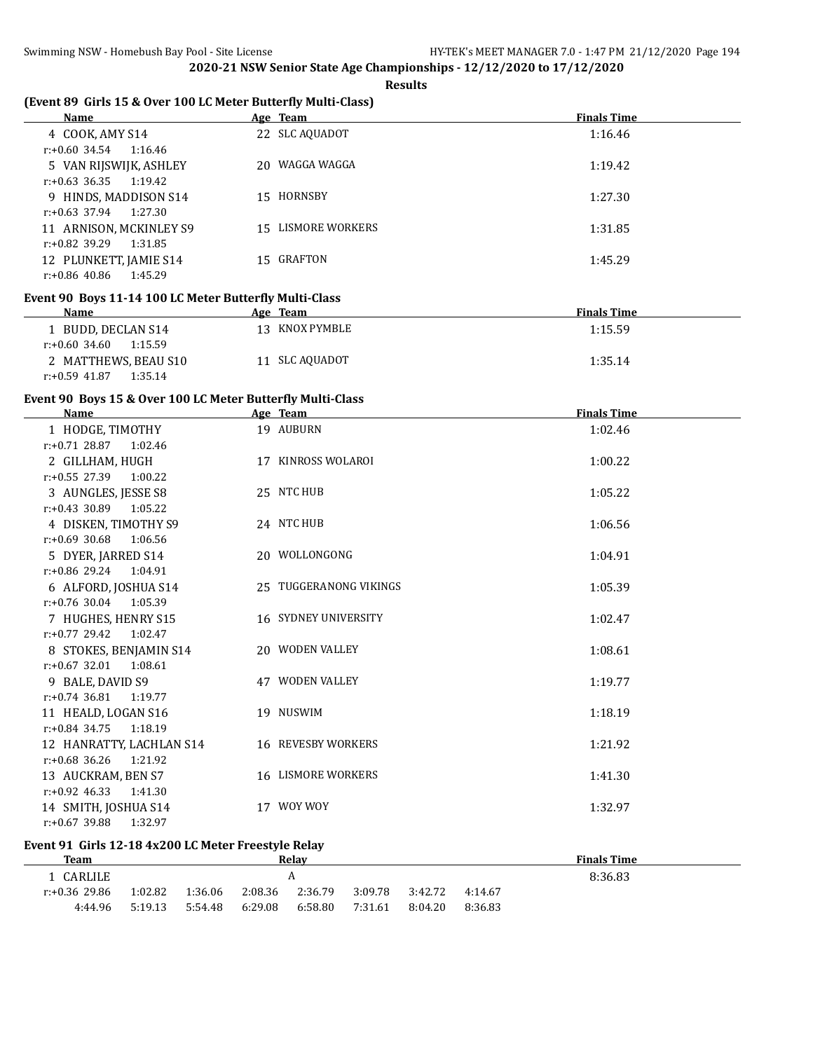**Results**

## **(Event 89 Girls 15 & Over 100 LC Meter Butterfly Multi-Class)**

| Name                        | Age Team           | <b>Finals Time</b> |
|-----------------------------|--------------------|--------------------|
| 4 COOK, AMY S14             | 22 SLC AQUADOT     | 1:16.46            |
| r:+0.60 34.54<br>1:16.46    |                    |                    |
| 5 VAN RIJSWIJK, ASHLEY      | 20 WAGGA WAGGA     | 1:19.42            |
| $r: +0.63$ 36.35<br>1:19.42 |                    |                    |
| 9 HINDS, MADDISON S14       | 15 HORNSBY         | 1:27.30            |
| r:+0.63 37.94<br>1:27.30    |                    |                    |
| 11 ARNISON, MCKINLEY S9     | 15 LISMORE WORKERS | 1:31.85            |
| r:+0.82 39.29<br>1:31.85    |                    |                    |
| 12 PLUNKETT, JAMIE S14      | 15 GRAFTON         | 1:45.29            |
| $r: +0.86$ 40.86<br>1:45.29 |                    |                    |

### **Event 90 Boys 11-14 100 LC Meter Butterfly Multi-Class**

| <b>Name</b>              | Age Team       | <b>Finals Time</b> |
|--------------------------|----------------|--------------------|
| BUDD, DECLAN S14         | 13 KNOX PYMBLE | 1:15.59            |
| r:+0.60 34.60<br>1:15.59 |                |                    |
| 2 MATTHEWS, BEAU S10     | 11 SLC AQUADOT | 1:35.14            |
| 1:35.14<br>r:+0.59 41.87 |                |                    |

#### **Event 90 Boys 15 & Over 100 LC Meter Butterfly Multi-Class**

| <b>Name</b>                 | Age Team                    | <b>Finals Time</b> |
|-----------------------------|-----------------------------|--------------------|
| 1 HODGE, TIMOTHY            | 19 AUBURN                   | 1:02.46            |
| $r: +0.71$ 28.87<br>1:02.46 |                             |                    |
| 2 GILLHAM, HUGH             | 17 KINROSS WOLAROI          | 1:00.22            |
| $r: +0.55$ 27.39<br>1:00.22 |                             |                    |
| 3 AUNGLES, JESSE S8         | 25 NTC HUB                  | 1:05.22            |
| $r: +0.43$ 30.89 1:05.22    |                             |                    |
| 4 DISKEN, TIMOTHY S9        | 24 NTC HUB                  | 1:06.56            |
| $r: +0.69$ 30.68<br>1:06.56 |                             |                    |
| 5 DYER, JARRED S14          | 20 WOLLONGONG               | 1:04.91            |
| $r: +0.86$ 29.24 1:04.91    |                             |                    |
| 6 ALFORD, JOSHUA S14        | 25 TUGGERANONG VIKINGS      | 1:05.39            |
| $r: +0.76$ 30.04<br>1:05.39 |                             |                    |
| 7 HUGHES, HENRY S15         | <b>16 SYDNEY UNIVERSITY</b> | 1:02.47            |
| $r: +0.77$ 29.42<br>1:02.47 |                             |                    |
| 8 STOKES, BENJAMIN S14      | 20 WODEN VALLEY             | 1:08.61            |
| $r: +0.67$ 32.01 1:08.61    |                             |                    |
| 9 BALE, DAVID S9            | 47 WODEN VALLEY             | 1:19.77            |
| $r: +0.74$ 36.81 1:19.77    |                             |                    |
| 11 HEALD, LOGAN S16         | 19 NUSWIM                   | 1:18.19            |
| $r: +0.84$ 34.75<br>1:18.19 |                             |                    |
| 12 HANRATTY, LACHLAN S14    | 16 REVESBY WORKERS          | 1:21.92            |
| $r: +0.68$ 36.26<br>1:21.92 |                             |                    |
| 13 AUCKRAM, BEN S7          | <b>16 LISMORE WORKERS</b>   | 1:41.30            |
| $r: +0.92$ 46.33<br>1:41.30 |                             |                    |
| 14 SMITH, JOSHUA S14        | 17 WOY WOY                  | 1:32.97            |
| $r: +0.67$ 39.88<br>1:32.97 |                             |                    |

## **Event 91 Girls 12-18 4x200 LC Meter Freestyle Relay**

| Team          |         |         |         | Relav   |         |         |         | <b>Finals Time</b> |
|---------------|---------|---------|---------|---------|---------|---------|---------|--------------------|
| CARLILE       |         |         |         | A       |         |         |         | 8:36.83            |
| r:+0.36 29.86 | 1:02.82 | 1:36.06 | 2:08.36 | 2:36.79 | 3:09.78 | 3:42.72 | 4:14.67 |                    |
| 4:44.96       | 5:19.13 | 5:54.48 | 6:29.08 | 6:58.80 | 7:31.61 | 8:04.20 | 8:36.83 |                    |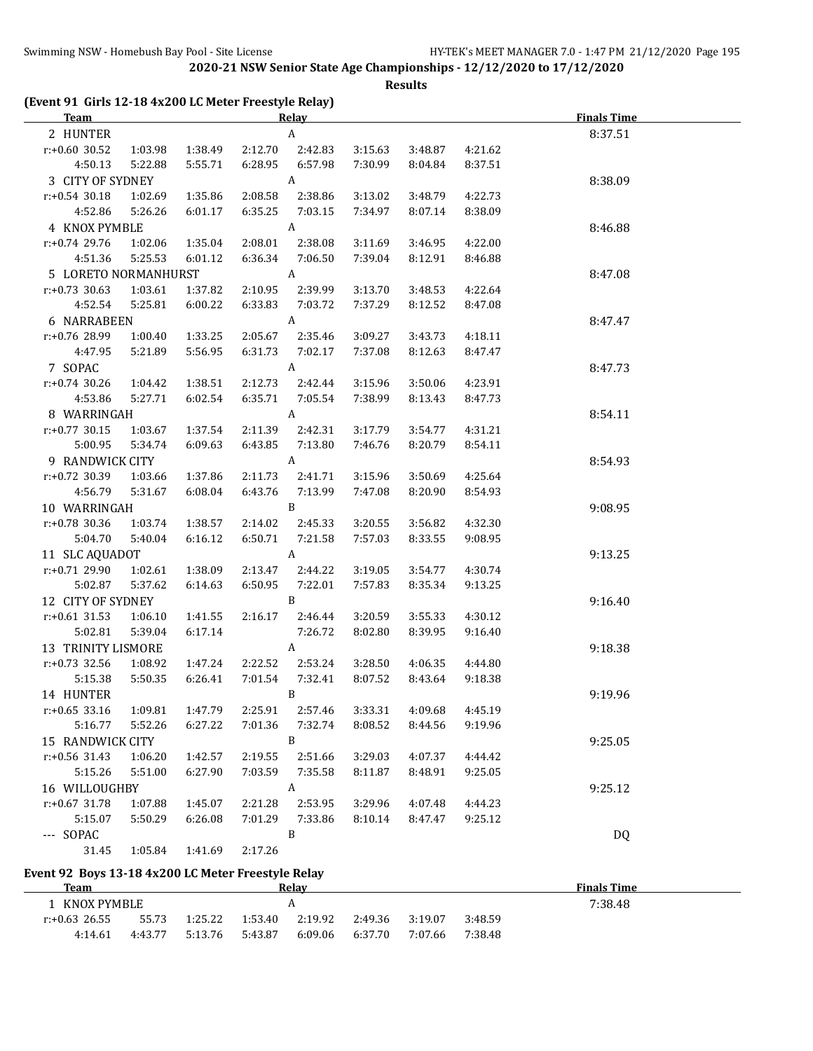**Results**

| (Event 91 Girls 12-18 4x200 LC Meter Freestyle Relay)<br><b>Team</b> |         |         |         | Relay                     |         |         |         | <b>Finals Time</b> |
|----------------------------------------------------------------------|---------|---------|---------|---------------------------|---------|---------|---------|--------------------|
| 2 HUNTER                                                             |         |         |         | $\boldsymbol{\mathsf{A}}$ |         |         |         | 8:37.51            |
| r:+0.60 30.52                                                        | 1:03.98 | 1:38.49 | 2:12.70 | 2:42.83                   | 3:15.63 | 3:48.87 | 4:21.62 |                    |
| 4:50.13                                                              | 5:22.88 | 5:55.71 | 6:28.95 | 6:57.98                   | 7:30.99 | 8:04.84 | 8:37.51 |                    |
| 3 CITY OF SYDNEY                                                     |         |         |         | $\mathbf{A}$              |         |         |         | 8:38.09            |
| $r: +0.54$ 30.18                                                     | 1:02.69 | 1:35.86 | 2:08.58 | 2:38.86                   | 3:13.02 | 3:48.79 | 4:22.73 |                    |
| 4:52.86                                                              | 5:26.26 | 6:01.17 | 6:35.25 | 7:03.15                   | 7:34.97 | 8:07.14 | 8:38.09 |                    |
|                                                                      |         |         |         | $\mathbf{A}$              |         |         |         |                    |
| 4 KNOX PYMBLE                                                        |         |         |         |                           |         |         |         | 8:46.88            |
| $r: +0.74$ 29.76                                                     | 1:02.06 | 1:35.04 | 2:08.01 | 2:38.08                   | 3:11.69 | 3:46.95 | 4:22.00 |                    |
| 4:51.36                                                              | 5:25.53 | 6:01.12 | 6:36.34 | 7:06.50                   | 7:39.04 | 8:12.91 | 8:46.88 |                    |
| 5 LORETO NORMANHURST                                                 |         |         |         | $\mathbf{A}$              |         |         |         | 8:47.08            |
| $r: +0.73$ 30.63                                                     | 1:03.61 | 1:37.82 | 2:10.95 | 2:39.99                   | 3:13.70 | 3:48.53 | 4:22.64 |                    |
| 4:52.54                                                              | 5:25.81 | 6:00.22 | 6:33.83 | 7:03.72                   | 7:37.29 | 8:12.52 | 8:47.08 |                    |
| 6 NARRABEEN                                                          |         |         |         | A                         |         |         |         | 8:47.47            |
| r:+0.76 28.99                                                        | 1:00.40 | 1:33.25 | 2:05.67 | 2:35.46                   | 3:09.27 | 3:43.73 | 4:18.11 |                    |
| 4:47.95                                                              | 5:21.89 | 5:56.95 | 6:31.73 | 7:02.17                   | 7:37.08 | 8:12.63 | 8:47.47 |                    |
| 7 SOPAC                                                              |         |         |         | A                         |         |         |         | 8:47.73            |
| $r: +0.74$ 30.26                                                     | 1:04.42 | 1:38.51 | 2:12.73 | 2:42.44                   | 3:15.96 | 3:50.06 | 4:23.91 |                    |
| 4:53.86                                                              | 5:27.71 | 6:02.54 | 6:35.71 | 7:05.54                   | 7:38.99 | 8:13.43 | 8:47.73 |                    |
| 8 WARRINGAH                                                          |         |         |         | A                         |         |         |         | 8:54.11            |
| $r: +0.77$ 30.15                                                     | 1:03.67 | 1:37.54 | 2:11.39 | 2:42.31                   | 3:17.79 | 3:54.77 | 4:31.21 |                    |
| 5:00.95                                                              | 5:34.74 | 6:09.63 | 6:43.85 | 7:13.80                   | 7:46.76 | 8:20.79 | 8:54.11 |                    |
| 9 RANDWICK CITY                                                      |         |         |         | $\mathbf{A}$              |         |         |         | 8:54.93            |
| r:+0.72 30.39                                                        | 1:03.66 | 1:37.86 | 2:11.73 | 2:41.71                   | 3:15.96 | 3:50.69 | 4:25.64 |                    |
| 4:56.79                                                              | 5:31.67 | 6:08.04 | 6:43.76 | 7:13.99                   | 7:47.08 | 8:20.90 | 8:54.93 |                    |
| 10 WARRINGAH                                                         |         |         |         | B                         |         |         |         | 9:08.95            |
| r:+0.78 30.36                                                        | 1:03.74 | 1:38.57 | 2:14.02 | 2:45.33                   | 3:20.55 | 3:56.82 | 4:32.30 |                    |
| 5:04.70                                                              | 5:40.04 | 6:16.12 | 6:50.71 | 7:21.58                   | 7:57.03 | 8:33.55 | 9:08.95 |                    |
| 11 SLC AQUADOT                                                       |         |         |         | $\mathbf{A}$              |         |         |         | 9:13.25            |
| r:+0.71 29.90                                                        | 1:02.61 | 1:38.09 | 2:13.47 | 2:44.22                   | 3:19.05 | 3:54.77 | 4:30.74 |                    |
| 5:02.87                                                              | 5:37.62 | 6:14.63 | 6:50.95 | 7:22.01                   | 7:57.83 | 8:35.34 | 9:13.25 |                    |
| 12 CITY OF SYDNEY                                                    |         |         |         | B                         |         |         |         | 9:16.40            |
| $r: +0.61$ 31.53                                                     | 1:06.10 | 1:41.55 | 2:16.17 | 2:46.44                   | 3:20.59 | 3:55.33 | 4:30.12 |                    |
| 5:02.81                                                              | 5:39.04 | 6:17.14 |         | 7:26.72                   | 8:02.80 | 8:39.95 | 9:16.40 |                    |
| <b>13 TRINITY LISMORE</b>                                            |         |         |         | A                         |         |         |         | 9:18.38            |
| r:+0.73 32.56                                                        | 1:08.92 | 1:47.24 | 2:22.52 | 2:53.24                   | 3:28.50 | 4:06.35 | 4:44.80 |                    |
| 5:15.38                                                              | 5:50.35 | 6:26.41 | 7:01.54 | 7:32.41                   | 8:07.52 | 8:43.64 | 9:18.38 |                    |
| 14 HUNTER                                                            |         |         |         | B                         |         |         |         | 9:19.96            |
| $r: +0.65$ 33.16                                                     | 1:09.81 | 1:47.79 | 2:25.91 | 2:57.46                   | 3:33.31 | 4:09.68 | 4:45.19 |                    |
| 5:16.77                                                              | 5:52.26 | 6:27.22 | 7:01.36 | 7:32.74                   | 8:08.52 | 8:44.56 | 9:19.96 |                    |
| 15 RANDWICK CITY                                                     |         |         |         | B                         |         |         |         | 9:25.05            |
| r:+0.56 31.43                                                        | 1:06.20 | 1:42.57 | 2:19.55 | 2:51.66                   | 3:29.03 | 4:07.37 | 4:44.42 |                    |
| 5:15.26                                                              | 5:51.00 | 6:27.90 | 7:03.59 | 7:35.58                   | 8:11.87 | 8:48.91 | 9:25.05 |                    |
| 16 WILLOUGHBY                                                        |         |         |         | A                         |         |         |         | 9:25.12            |
| $r: +0.67$ 31.78                                                     | 1:07.88 | 1:45.07 | 2:21.28 | 2:53.95                   | 3:29.96 | 4:07.48 | 4:44.23 |                    |
| 5:15.07                                                              | 5:50.29 | 6:26.08 | 7:01.29 | 7:33.86                   | 8:10.14 | 8:47.47 | 9:25.12 |                    |
| --- SOPAC                                                            |         |         |         | B                         |         |         |         | DQ                 |
| 31.45                                                                | 1:05.84 | 1:41.69 | 2:17.26 |                           |         |         |         |                    |

### **Event 92 Boys 13-18 4x200 LC Meter Freestyle Relay**

| <b>Team</b>   |         |         |         | Relay   |         |         |         | <b>Finals Time</b> |
|---------------|---------|---------|---------|---------|---------|---------|---------|--------------------|
| KNOX PYMBLE   |         |         |         | д       |         |         |         | 7:38.48            |
| r:+0.63 26.55 | 55.73   | 1:25.22 | 1:53.40 | 2:19.92 | 2:49.36 | 3:19.07 | 3:48.59 |                    |
| 4:14.61       | 4:43.77 | 5:13.76 | 5:43.87 | 6:09.06 | 6:37.70 | 7:07.66 | 7:38.48 |                    |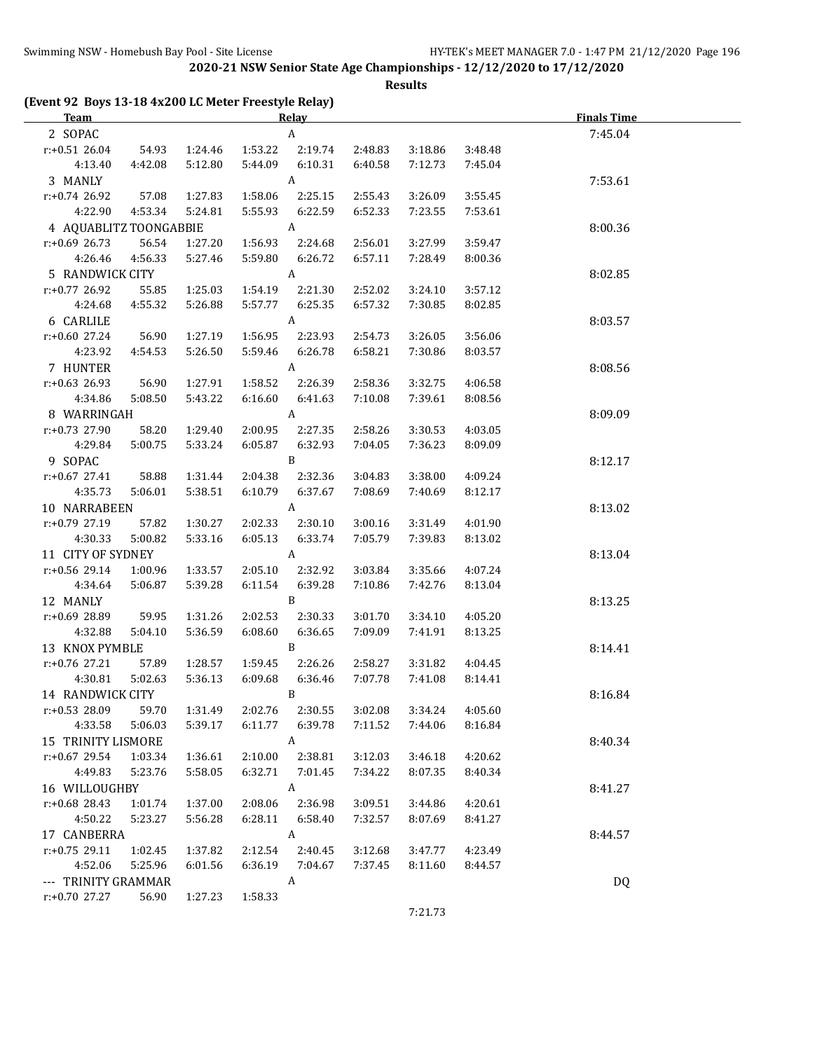**Results**

| (Event 92 Boys 13-18 4x200 LC Meter Freestyle Relay)<br><b>Team</b> |                  |         |         | <b>Relay</b>          |         | <b>Finals Time</b> |         |           |
|---------------------------------------------------------------------|------------------|---------|---------|-----------------------|---------|--------------------|---------|-----------|
| 2 SOPAC                                                             |                  |         |         | $\boldsymbol{\rm{A}}$ |         |                    |         | 7:45.04   |
| $r: +0.51$ 26.04                                                    | 54.93            | 1:24.46 | 1:53.22 | 2:19.74               | 2:48.83 | 3:18.86            | 3:48.48 |           |
| 4:13.40                                                             | 4:42.08          | 5:12.80 | 5:44.09 | 6:10.31               | 6:40.58 | 7:12.73            | 7:45.04 |           |
| 3 MANLY                                                             |                  |         |         | A                     |         |                    |         | 7:53.61   |
| $r: +0.74$ 26.92                                                    | 57.08            | 1:27.83 | 1:58.06 | 2:25.15               | 2:55.43 | 3:26.09            | 3:55.45 |           |
| 4:22.90                                                             | 4:53.34          | 5:24.81 | 5:55.93 | 6:22.59               | 6:52.33 | 7:23.55            | 7:53.61 |           |
| 4 AQUABLITZ TOONGABBIE                                              |                  |         |         | A                     |         |                    |         | 8:00.36   |
| $r: +0.69$ 26.73                                                    | 56.54            | 1:27.20 | 1:56.93 | 2:24.68               | 2:56.01 | 3:27.99            | 3:59.47 |           |
| 4:26.46                                                             | 4:56.33          | 5:27.46 | 5:59.80 | 6:26.72               | 6:57.11 | 7:28.49            | 8:00.36 |           |
| 5 RANDWICK CITY                                                     |                  |         |         | A                     |         |                    |         | 8:02.85   |
| r:+0.77 26.92                                                       | 55.85            | 1:25.03 | 1:54.19 | 2:21.30               | 2:52.02 | 3:24.10            | 3:57.12 |           |
| 4:24.68                                                             | 4:55.32          | 5:26.88 | 5:57.77 | 6:25.35               | 6:57.32 | 7:30.85            | 8:02.85 |           |
|                                                                     |                  |         |         | A                     |         |                    |         |           |
| 6 CARLILE                                                           |                  |         | 1:56.95 |                       |         |                    |         | 8:03.57   |
| r:+0.60 27.24                                                       | 56.90<br>4:54.53 | 1:27.19 |         | 2:23.93               | 2:54.73 | 3:26.05            | 3:56.06 |           |
| 4:23.92                                                             |                  | 5:26.50 | 5:59.46 | 6:26.78               | 6:58.21 | 7:30.86            | 8:03.57 |           |
| 7 HUNTER                                                            |                  |         |         | A                     |         |                    |         | 8:08.56   |
| r:+0.63 26.93                                                       | 56.90            | 1:27.91 | 1:58.52 | 2:26.39               | 2:58.36 | 3:32.75            | 4:06.58 |           |
| 4:34.86                                                             | 5:08.50          | 5:43.22 | 6:16.60 | 6:41.63               | 7:10.08 | 7:39.61            | 8:08.56 |           |
| 8 WARRINGAH                                                         |                  |         |         | $\boldsymbol{A}$      |         |                    |         | 8:09.09   |
| r:+0.73 27.90                                                       | 58.20            | 1:29.40 | 2:00.95 | 2:27.35               | 2:58.26 | 3:30.53            | 4:03.05 |           |
| 4:29.84                                                             | 5:00.75          | 5:33.24 | 6:05.87 | 6:32.93               | 7:04.05 | 7:36.23            | 8:09.09 |           |
| 9 SOPAC                                                             |                  |         |         | B                     |         |                    |         | 8:12.17   |
| $r: +0.67$ 27.41                                                    | 58.88            | 1:31.44 | 2:04.38 | 2:32.36               | 3:04.83 | 3:38.00            | 4:09.24 |           |
| 4:35.73                                                             | 5:06.01          | 5:38.51 | 6:10.79 | 6:37.67               | 7:08.69 | 7:40.69            | 8:12.17 |           |
| 10 NARRABEEN                                                        |                  |         |         | A                     |         |                    |         | 8:13.02   |
| r:+0.79 27.19                                                       | 57.82            | 1:30.27 | 2:02.33 | 2:30.10               | 3:00.16 | 3:31.49            | 4:01.90 |           |
| 4:30.33                                                             | 5:00.82          | 5:33.16 | 6:05.13 | 6:33.74               | 7:05.79 | 7:39.83            | 8:13.02 |           |
| 11 CITY OF SYDNEY                                                   |                  |         |         | A                     |         |                    |         | 8:13.04   |
| r:+0.56 29.14                                                       | 1:00.96          | 1:33.57 | 2:05.10 | 2:32.92               | 3:03.84 | 3:35.66            | 4:07.24 |           |
| 4:34.64                                                             | 5:06.87          | 5:39.28 | 6:11.54 | 6:39.28               | 7:10.86 | 7:42.76            | 8:13.04 |           |
| 12 MANLY                                                            |                  |         |         | B                     |         |                    |         | 8:13.25   |
| r:+0.69 28.89                                                       | 59.95            | 1:31.26 | 2:02.53 | 2:30.33               | 3:01.70 | 3:34.10            | 4:05.20 |           |
| 4:32.88                                                             | 5:04.10          | 5:36.59 | 6:08.60 | 6:36.65               | 7:09.09 | 7:41.91            | 8:13.25 |           |
| 13 KNOX PYMBLE                                                      |                  |         |         | B                     |         |                    |         | 8:14.41   |
| r:+0.76 27.21                                                       | 57.89            | 1:28.57 | 1:59.45 | 2:26.26               | 2:58.27 | 3:31.82            | 4:04.45 |           |
| 4:30.81                                                             | 5:02.63          | 5:36.13 | 6:09.68 | 6:36.46               | 7:07.78 | 7:41.08            | 8:14.41 |           |
| 14 RANDWICK CITY                                                    |                  |         |         | B                     |         |                    |         | 8:16.84   |
| $r: +0.53$ 28.09                                                    | 59.70            | 1:31.49 | 2:02.76 | 2:30.55               | 3:02.08 | 3:34.24            | 4:05.60 |           |
| 4:33.58                                                             | 5:06.03          | 5:39.17 | 6:11.77 | 6:39.78               | 7:11.52 | 7:44.06            | 8:16.84 |           |
| 15 TRINITY LISMORE                                                  |                  |         |         | A                     |         |                    |         | 8:40.34   |
| $r.+0.67$ 29.54                                                     | 1:03.34          | 1:36.61 | 2:10.00 | 2:38.81               | 3:12.03 | 3:46.18            | 4:20.62 |           |
| 4:49.83                                                             | 5:23.76          | 5:58.05 | 6:32.71 | 7:01.45               | 7:34.22 | 8:07.35            | 8:40.34 |           |
| 16 WILLOUGHBY                                                       |                  |         |         | $\mathbf{A}$          |         |                    |         | 8:41.27   |
| $r+0.68$ 28.43                                                      | 1:01.74          | 1:37.00 | 2:08.06 | 2:36.98               | 3:09.51 | 3:44.86            | 4:20.61 |           |
| 4:50.22                                                             | 5:23.27          | 5:56.28 | 6:28.11 | 6:58.40               | 7:32.57 | 8:07.69            | 8:41.27 |           |
| 17 CANBERRA                                                         |                  |         |         | A                     |         |                    |         | 8:44.57   |
| r:+0.75 29.11                                                       | 1:02.45          | 1:37.82 | 2:12.54 | 2:40.45               | 3:12.68 | 3:47.77            | 4:23.49 |           |
| 4:52.06                                                             | 5:25.96          | 6:01.56 | 6:36.19 | 7:04.67               | 7:37.45 | 8:11.60            | 8:44.57 |           |
| --- TRINITY GRAMMAR                                                 |                  |         |         | A                     |         |                    |         | <b>DQ</b> |
| r:+0.70 27.27                                                       | 56.90            | 1:27.23 | 1:58.33 |                       |         |                    |         |           |

7:21.73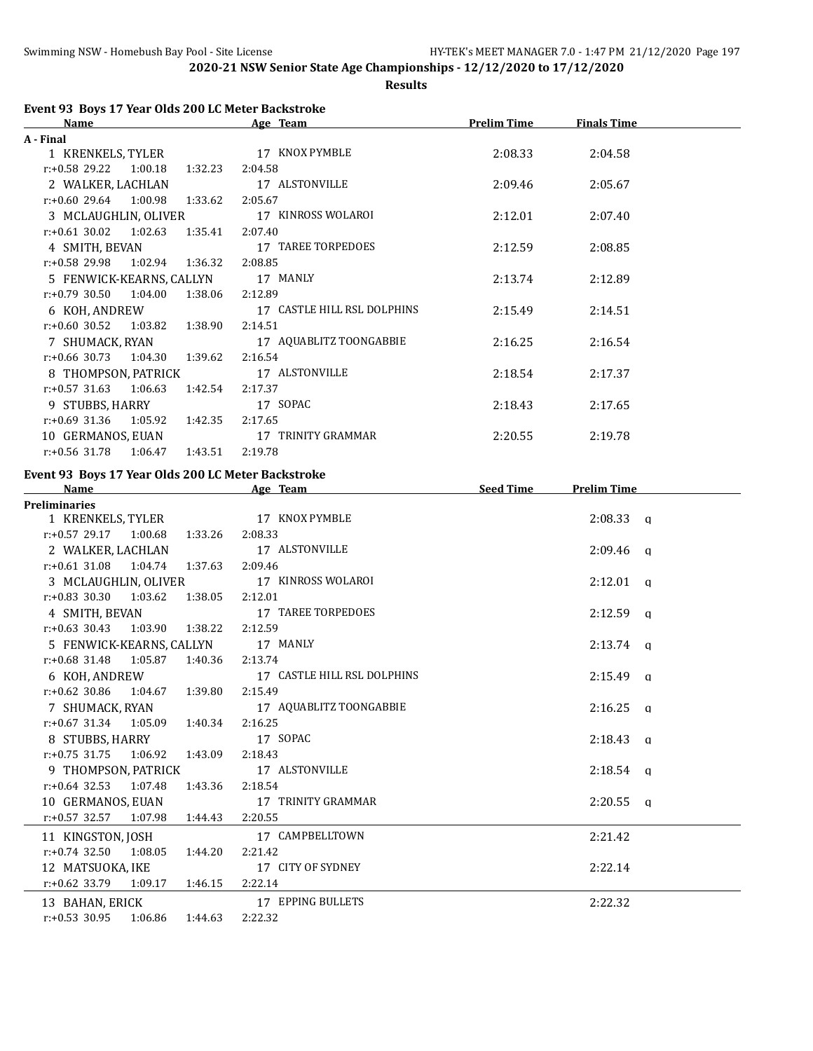**Results**

## **Event 93 Boys 17 Year Olds 200 LC Meter Backstroke**

| Name                                   | Age Team                    | <b>Prelim Time</b> | <b>Finals Time</b> |  |
|----------------------------------------|-----------------------------|--------------------|--------------------|--|
| A - Final                              |                             |                    |                    |  |
| 1 KRENKELS, TYLER                      | 17 KNOX PYMBLE              | 2:08.33            | 2:04.58            |  |
| $r.+0.58$ 29.22 1:00.18<br>1:32.23     | 2:04.58                     |                    |                    |  |
| 2 WALKER, LACHLAN                      | 17 ALSTONVILLE              | 2:09.46            | 2:05.67            |  |
| $r: +0.60$ 29.64 1:00.98<br>1:33.62    | 2:05.67                     |                    |                    |  |
| 3 MCLAUGHLIN, OLIVER                   | 17 KINROSS WOLAROI          | 2:12.01            | 2:07.40            |  |
| $r: +0.61$ 30.02 1:02.63 1:35.41       | 2:07.40                     |                    |                    |  |
| 4 SMITH, BEVAN                         | 17 TAREE TORPEDOES          | 2:12.59            | 2:08.85            |  |
| $r: +0.58$ 29.98 1:02.94 1:36.32       | 2:08.85                     |                    |                    |  |
| 5 FENWICK-KEARNS, CALLYN 17 MANLY      |                             | 2:13.74            | 2:12.89            |  |
| $r: +0.79$ 30.50<br>1:04.00<br>1:38.06 | 2:12.89                     |                    |                    |  |
| 6 KOH, ANDREW                          | 17 CASTLE HILL RSL DOLPHINS | 2:15.49            | 2:14.51            |  |
| 1:03.82<br>$r: +0.60$ 30.52<br>1:38.90 | 2:14.51                     |                    |                    |  |
| 7 SHUMACK, RYAN                        | 17 AQUABLITZ TOONGABBIE     | 2:16.25            | 2:16.54            |  |
| $r: +0.66$ 30.73 1:04.30<br>1:39.62    | 2:16.54                     |                    |                    |  |
| 8 THOMPSON, PATRICK                    | 17 ALSTONVILLE              | 2:18.54            | 2:17.37            |  |
| $r: +0.57$ 31.63 1:06.63<br>1:42.54    | 2:17.37                     |                    |                    |  |
| 9 STUBBS, HARRY                        | 17 SOPAC                    | 2:18.43            | 2:17.65            |  |
| $r: +0.69$ 31.36 1:05.92<br>1:42.35    | 2:17.65                     |                    |                    |  |
| 10 GERMANOS, EUAN                      | 17 TRINITY GRAMMAR          | 2:20.55            | 2:19.78            |  |
| $r: +0.56$ 31.78 1:06.47<br>1:43.51    | 2:19.78                     |                    |                    |  |

# **Event 93 Boys 17 Year Olds 200 LC Meter Backstroke**<br>Name Age Team

| <b>Name</b>                              | Age Team                                  | <b>Seed Time</b> | <b>Prelim Time</b> |
|------------------------------------------|-------------------------------------------|------------------|--------------------|
| <b>Preliminaries</b>                     |                                           |                  |                    |
| 1 KRENKELS, TYLER 17 KNOX PYMBLE         |                                           |                  | $2:08.33$ a        |
| $r: +0.57$ 29.17 1:00.68 1:33.26         | 2:08.33                                   |                  |                    |
| 2 WALKER, LACHLAN                        | 17 ALSTONVILLE                            |                  | $2:09.46$ q        |
| $r: +0.61$ 31.08 1:04.74 1:37.63 2:09.46 |                                           |                  |                    |
| 3 MCLAUGHLIN, OLIVER                     | 17 KINROSS WOLAROI                        |                  | $2:12.01$ a        |
| $r: +0.83$ 30.30 1:03.62 1:38.05         | 2:12.01                                   |                  |                    |
| 4 SMITH, BEVAN 17 TAREE TORPEDOES        |                                           |                  | $2:12.59$ q        |
| r:+0.63 30.43 1:03.90 1:38.22 2:12.59    |                                           |                  |                    |
| 5 FENWICK-KEARNS, CALLYN 17 MANLY        |                                           |                  | $2:13.74$ q        |
| r:+0.68 31.48 1:05.87 1:40.36 2:13.74    |                                           |                  |                    |
|                                          | 6 KOH, ANDREW 17 CASTLE HILL RSL DOLPHINS |                  | $2:15.49$ q        |
| $r: +0.62$ 30.86 1:04.67 1:39.80         | 2:15.49                                   |                  |                    |
| 7 SHUMACK, RYAN                          | 17 AQUABLITZ TOONGABBIE                   |                  | $2:16.25$ a        |
| $r: +0.67$ 31.34 1:05.09 1:40.34         | 2:16.25                                   |                  |                    |
| 8 STUBBS, HARRY                          | 17 SOPAC                                  |                  | $2:18.43$ q        |
| $r.+0.75$ 31.75 1:06.92 1:43.09          | 2:18.43                                   |                  |                    |
| 9 THOMPSON, PATRICK 17 ALSTONVILLE       |                                           |                  | $2:18.54$ q        |
| $r.+0.64$ 32.53 1:07.48 1:43.36          | 2:18.54                                   |                  |                    |
| 10 GERMANOS, EUAN                        | 17 TRINITY GRAMMAR                        |                  | $2:20.55$ a        |
| $r.+0.57$ 32.57 1:07.98 1:44.43          | 2:20.55                                   |                  |                    |
| 11 KINGSTON, JOSH                        | 17 CAMPBELLTOWN                           |                  | 2:21.42            |
| $r: +0.74$ 32.50 1:08.05 1:44.20         | 2:21.42                                   |                  |                    |
| 12 MATSUOKA, IKE                         | 17 CITY OF SYDNEY                         |                  | 2:22.14            |
| r:+0.62 33.79 1:09.17 1:46.15 2:22.14    |                                           |                  |                    |
| 13 BAHAN, ERICK                          | 17 EPPING BULLETS                         |                  | 2:22.32            |
| $r: +0.53$ 30.95 1:06.86 1:44.63         | 2:22.32                                   |                  |                    |
|                                          |                                           |                  |                    |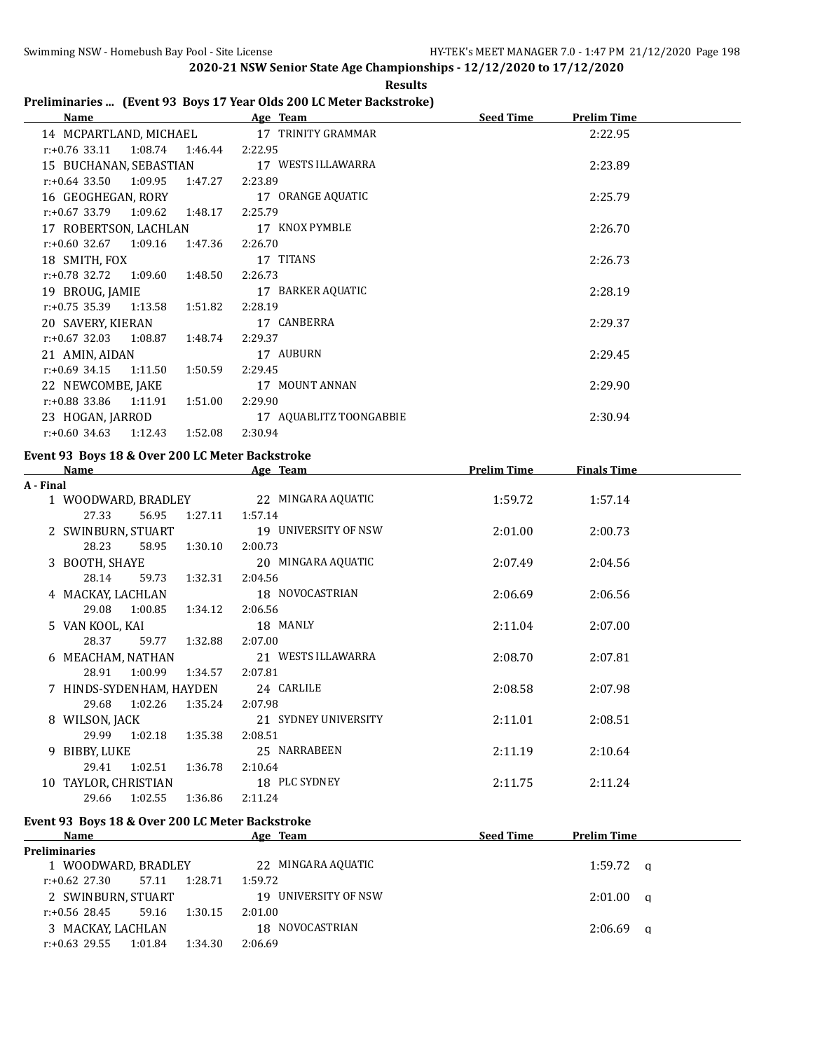## **Preliminaries ... (Event 93 Boys 17 Year Olds 200 LC Meter Backstroke)**

| Name                                   | Age Team                | <b>Seed Time</b><br><b>Prelim Time</b> |
|----------------------------------------|-------------------------|----------------------------------------|
| 14 MCPARTLAND, MICHAEL                 | 17 TRINITY GRAMMAR      | 2:22.95                                |
| $r: +0.76$ 33.11<br>1:08.74<br>1:46.44 | 2:22.95                 |                                        |
| 15 BUCHANAN, SEBASTIAN                 | 17 WESTS ILLAWARRA      | 2:23.89                                |
| $r: +0.64$ 33.50<br>1:09.95<br>1:47.27 | 2:23.89                 |                                        |
| 16 GEOGHEGAN, RORY                     | 17 ORANGE AQUATIC       | 2:25.79                                |
| $r.+0.67$ 33.79 1:09.62<br>1:48.17     | 2:25.79                 |                                        |
| 17 ROBERTSON, LACHLAN                  | 17 KNOX PYMBLE          | 2:26.70                                |
| $r: +0.60$ 32.67<br>1:47.36<br>1:09.16 | 2:26.70                 |                                        |
| 18 SMITH, FOX                          | 17 TITANS               | 2:26.73                                |
| $r: +0.78$ 32.72 1:09.60<br>1:48.50    | 2:26.73                 |                                        |
| 19 BROUG, JAMIE                        | 17 BARKER AQUATIC       | 2:28.19                                |
| $r.+0.75$ 35.39 1:13.58<br>1:51.82     | 2:28.19                 |                                        |
| 20 SAVERY, KIERAN                      | 17 CANBERRA             | 2:29.37                                |
| $r: +0.67$ 32.03<br>1:08.87<br>1:48.74 | 2:29.37                 |                                        |
| 21 AMIN, AIDAN                         | 17 AUBURN               | 2:29.45                                |
| 1:11.50<br>r:+0.69 34.15<br>1:50.59    | 2:29.45                 |                                        |
| 22 NEWCOMBE, JAKE                      | 17 MOUNT ANNAN          | 2:29.90                                |
| r:+0.88 33.86<br>1:11.91<br>1:51.00    | 2:29.90                 |                                        |
| 23 HOGAN, JARROD                       | 17 AQUABLITZ TOONGABBIE | 2:30.94                                |
| 1:12.43<br>1:52.08<br>r:+0.60 34.63    | 2:30.94                 |                                        |

#### **Event 93 Boys 18 & Over 200 LC Meter Backstroke**

r:+0.63 29.55 1:01.84 1:34.30 2:06.69

|           | Name                                            |               | Age Team                                                | <b>Prelim Time</b> | <b>Finals Time</b> |  |
|-----------|-------------------------------------------------|---------------|---------------------------------------------------------|--------------------|--------------------|--|
| A - Final |                                                 |               |                                                         |                    |                    |  |
|           |                                                 |               | 1 WOODWARD, BRADLEY 22 MINGARA AQUATIC                  | 1:59.72            | 1:57.14            |  |
|           | 27.33<br>56.95                                  | 1:27.11       | 1:57.14                                                 |                    |                    |  |
|           |                                                 |               | 2 SWINBURN, STUART 19 UNIVERSITY OF NSW                 | 2:01.00            | 2:00.73            |  |
|           | 28.23                                           | 58.95 1:30.10 | 2:00.73                                                 |                    |                    |  |
|           | 3 BOOTH, SHAYE                                  |               | 20 MINGARA AQUATIC                                      | 2:07.49            | 2:04.56            |  |
|           | 28.14                                           | 59.73 1:32.31 | 2:04.56                                                 |                    |                    |  |
|           | 4 MACKAY, LACHLAN                               |               | 18 NOVOCASTRIAN                                         | 2:06.69            | 2:06.56            |  |
|           | 29.08 1:00.85 1:34.12 2:06.56                   |               |                                                         |                    |                    |  |
|           | 5 VAN KOOL, KAI                                 |               | 18 MANLY                                                | 2:11.04            | 2:07.00            |  |
|           | 28.37                                           | 59.77 1:32.88 | 2:07.00                                                 |                    |                    |  |
|           | 6 MEACHAM, NATHAN                               |               | 21 WESTS ILLAWARRA                                      | 2:08.70            | 2:07.81            |  |
|           | 28.91 1:00.99 1:34.57 2:07.81                   |               |                                                         |                    |                    |  |
|           | 7 HINDS-SYDENHAM, HAYDEN 24 CARLILE             |               |                                                         | 2:08.58            | 2:07.98            |  |
|           | 29.68<br>1:02.26 1:35.24 2:07.98                |               |                                                         |                    |                    |  |
|           | 8 WILSON, JACK                                  |               | 21 SYDNEY UNIVERSITY                                    | 2:11.01            | 2:08.51            |  |
|           | 29.99 1:02.18 1:35.38                           |               | 2:08.51                                                 |                    |                    |  |
|           | 9 BIBBY, LUKE                                   |               | 25 NARRABEEN                                            | 2:11.19            | 2:10.64            |  |
|           | 29.41 1:02.51 1:36.78                           |               | 2:10.64                                                 |                    |                    |  |
|           | 10 TAYLOR. CHRISTIAN 18 PLC SYDNEY              |               |                                                         | 2:11.75            | 2:11.24            |  |
|           | 29.66 1:02.55 1:36.86                           |               | 2:11.24                                                 |                    |                    |  |
|           | Event 93 Boys 18 & Over 200 LC Meter Backstroke |               |                                                         |                    |                    |  |
|           | Name                                            |               | <b>Example 2018</b> Age Team <b>Seed Time</b> Seed Time |                    | <b>Prelim Time</b> |  |
|           | <b>Preliminaries</b>                            |               |                                                         |                    |                    |  |
|           |                                                 |               | 1 WOODWARD, BRADLEY 22 MINGARA AQUATIC                  |                    | $1:59.72$ a        |  |
|           | $r: +0.62$ 27.30                                | 57.11 1:28.71 | 1:59.72                                                 |                    |                    |  |
|           | 2 SWINBURN, STUART                              |               | 19 UNIVERSITY OF NSW                                    |                    | $2:01.00$ q        |  |
|           | r:+0.56 28.45                                   | 59.16 1:30.15 | 2:01.00                                                 |                    |                    |  |

3 MACKAY, LACHLAN 18 NOVOCASTRIAN 2:06.69 q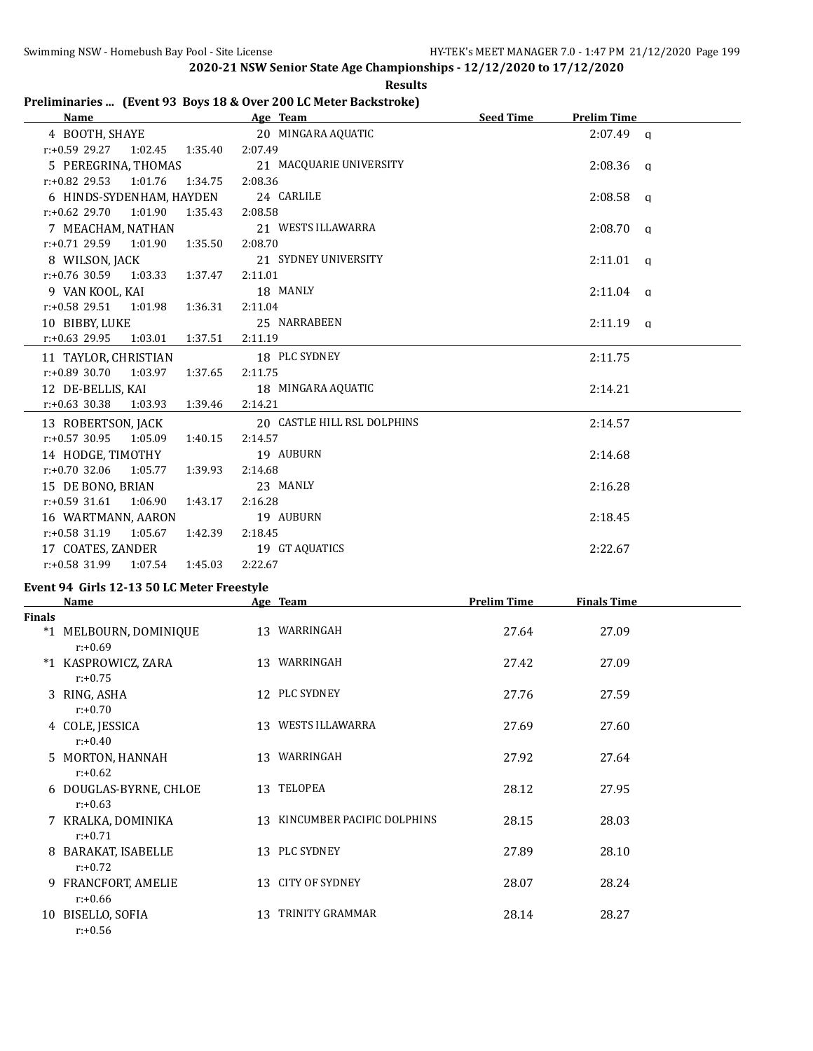|               |                                                                  |         | <b>Results</b>                |                    |                     |  |
|---------------|------------------------------------------------------------------|---------|-------------------------------|--------------------|---------------------|--|
|               | Preliminaries  (Event 93 Boys 18 & Over 200 LC Meter Backstroke) |         |                               |                    |                     |  |
|               | Name                                                             |         | Age Team                      | <b>Seed Time</b>   | <b>Prelim Time</b>  |  |
|               | 4 BOOTH, SHAYE                                                   |         | 20 MINGARA AQUATIC            |                    | $2:07.49$ a         |  |
|               | $r: +0.59$ 29.27 1:02.45<br>1:35.40                              | 2:07.49 |                               |                    |                     |  |
|               | 5 PEREGRINA, THOMAS                                              |         | 21 MACQUARIE UNIVERSITY       |                    | 2:08.36<br><b>a</b> |  |
|               | $r: +0.82$ 29.53<br>1:01.76<br>1:34.75                           | 2:08.36 |                               |                    |                     |  |
|               | 6 HINDS-SYDENHAM, HAYDEN                                         |         | 24 CARLILE                    |                    | 2:08.58<br>q        |  |
|               | $r: +0.62$ 29.70<br>1:01.90<br>1:35.43                           | 2:08.58 |                               |                    |                     |  |
|               | 7 MEACHAM, NATHAN                                                |         | 21 WESTS ILLAWARRA            |                    | 2:08.70<br>q        |  |
|               | r:+0.71 29.59<br>1:01.90<br>1:35.50                              | 2:08.70 |                               |                    |                     |  |
|               | 8 WILSON, JACK                                                   |         | 21 SYDNEY UNIVERSITY          |                    | 2:11.01<br>$\alpha$ |  |
|               | r:+0.76 30.59<br>1:03.33<br>1:37.47                              | 2:11.01 |                               |                    |                     |  |
|               | 9 VAN KOOL, KAI                                                  |         | 18 MANLY                      |                    | 2:11.04<br><b>a</b> |  |
|               | r:+0.58 29.51<br>1:01.98<br>1:36.31                              | 2:11.04 |                               |                    |                     |  |
|               | 10 BIBBY, LUKE                                                   |         | 25 NARRABEEN                  |                    | 2:11.19<br>q        |  |
|               | r:+0.63 29.95<br>1:03.01<br>1:37.51                              | 2:11.19 |                               |                    |                     |  |
|               | 11 TAYLOR, CHRISTIAN                                             |         | 18 PLC SYDNEY                 |                    | 2:11.75             |  |
|               | r:+0.89 30.70<br>1:03.97<br>1:37.65                              | 2:11.75 |                               |                    |                     |  |
|               | 12 DE-BELLIS, KAI                                                |         | 18 MINGARA AQUATIC            |                    | 2:14.21             |  |
|               | $r: +0.63$ 30.38<br>1:03.93<br>1:39.46                           | 2:14.21 |                               |                    |                     |  |
|               | 13 ROBERTSON, JACK                                               |         | 20 CASTLE HILL RSL DOLPHINS   |                    | 2:14.57             |  |
|               | $r: +0.57$ 30.95<br>1:05.09<br>1:40.15                           | 2:14.57 |                               |                    |                     |  |
|               | 14 HODGE, TIMOTHY                                                |         | 19 AUBURN                     |                    | 2:14.68             |  |
|               | $r: +0.70$ 32.06<br>1:05.77<br>1:39.93                           | 2:14.68 |                               |                    |                     |  |
|               | 15 DE BONO, BRIAN                                                |         | 23 MANLY                      |                    | 2:16.28             |  |
|               | $r: +0.59$ 31.61<br>1:06.90<br>1:43.17                           | 2:16.28 |                               |                    |                     |  |
|               | 16 WARTMANN, AARON                                               |         | 19 AUBURN                     |                    | 2:18.45             |  |
|               | $r: +0.58$ 31.19<br>1:05.67<br>1:42.39                           | 2:18.45 |                               |                    |                     |  |
|               | 17 COATES, ZANDER                                                |         | 19 GT AQUATICS                |                    | 2:22.67             |  |
|               | $r: +0.58$ 31.99<br>1:45.03<br>1:07.54                           | 2:22.67 |                               |                    |                     |  |
|               | Event 94 Girls 12-13 50 LC Meter Freestyle                       |         |                               |                    |                     |  |
|               | <b>Name</b>                                                      |         | Age Team                      | <b>Prelim Time</b> | <b>Finals Time</b>  |  |
| <b>Finals</b> |                                                                  |         |                               |                    |                     |  |
|               | *1 MELBOURN, DOMINIQUE<br>$r: +0.69$                             |         | 13 WARRINGAH                  | 27.64              | 27.09               |  |
|               | *1 KASPROWICZ, ZARA<br>$r: +0.75$                                |         | 13 WARRINGAH                  | 27.42              | 27.09               |  |
|               | 3 RING, ASHA<br>$r: +0.70$                                       |         | 12 PLC SYDNEY                 | 27.76              | 27.59               |  |
|               | 4 COLE, JESSICA<br>$r: +0.40$                                    |         | 13 WESTS ILLAWARRA            | 27.69              | 27.60               |  |
|               | 5 MORTON, HANNAH<br>$r: +0.62$                                   |         | 13 WARRINGAH                  | 27.92              | 27.64               |  |
|               | 6 DOUGLAS-BYRNE, CHLOE<br>$r: +0.63$                             |         | 13 TELOPEA                    | 28.12              | 27.95               |  |
|               | 7 KRALKA, DOMINIKA<br>$r: +0.71$                                 |         | 13 KINCUMBER PACIFIC DOLPHINS | 28.15              | 28.03               |  |
|               | 8 BARAKAT, ISABELLE<br>$r: +0.72$                                |         | 13 PLC SYDNEY                 | 27.89              | 28.10               |  |
|               | 9 FRANCFORT, AMELIE<br>$r: +0.66$                                |         | 13 CITY OF SYDNEY             | 28.07              | 28.24               |  |
|               | 10 BISELLO, SOFIA                                                |         | 13 TRINITY GRAMMAR            | 28.14              | 28.27               |  |

r:+0.56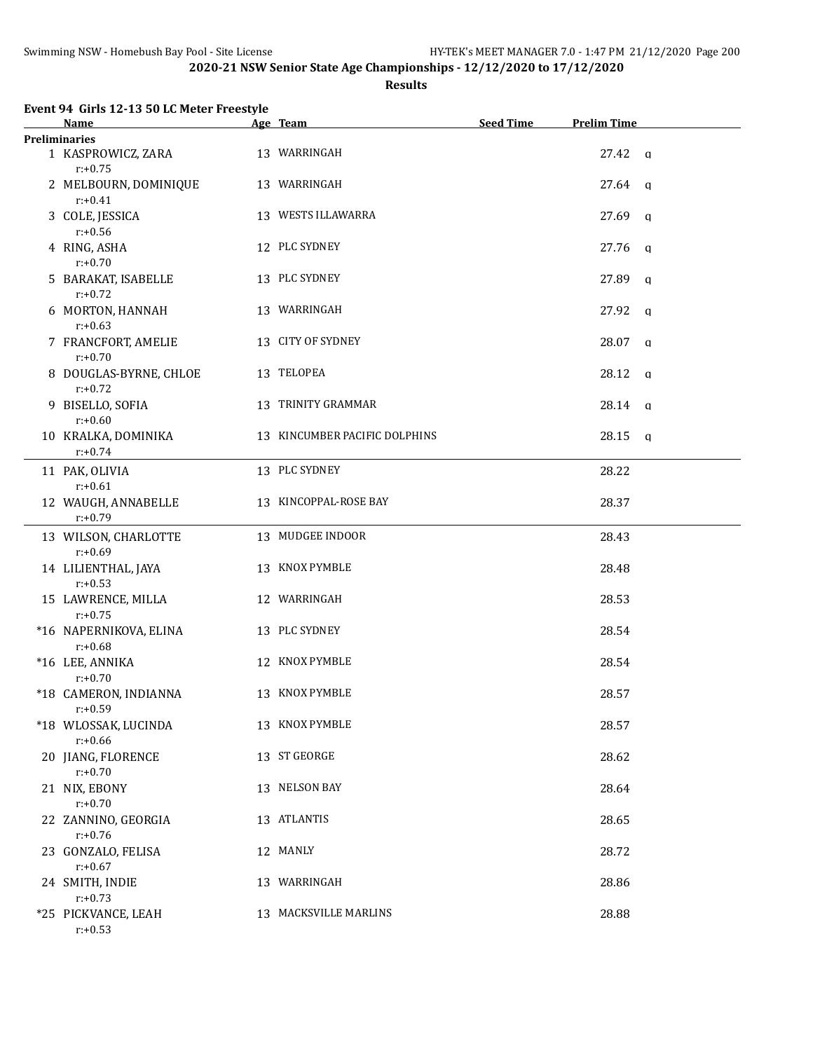## **Results**

| <b>Name</b>                          | Age Team                      | <b>Seed Time</b> | <b>Prelim Time</b>    |
|--------------------------------------|-------------------------------|------------------|-----------------------|
| <b>Preliminaries</b>                 |                               |                  |                       |
| 1 KASPROWICZ, ZARA<br>$r: +0.75$     | 13 WARRINGAH                  |                  | $27.42 \text{ q}$     |
| 2 MELBOURN, DOMINIQUE<br>$r: +0.41$  | 13 WARRINGAH                  |                  | 27.64<br>q            |
| 3 COLE, JESSICA<br>$r: +0.56$        | 13 WESTS ILLAWARRA            |                  | 27.69<br>q            |
| 4 RING, ASHA<br>$r: +0.70$           | 12 PLC SYDNEY                 |                  | 27.76<br>q            |
| 5 BARAKAT, ISABELLE<br>$r: +0.72$    | 13 PLC SYDNEY                 |                  | 27.89<br>$\alpha$     |
| 6 MORTON, HANNAH<br>$r: +0.63$       | 13 WARRINGAH                  |                  | 27.92<br>q            |
| 7 FRANCFORT, AMELIE<br>$r: +0.70$    | 13 CITY OF SYDNEY             |                  | 28.07<br>q            |
| 8 DOUGLAS-BYRNE, CHLOE<br>$r: +0.72$ | 13 TELOPEA                    |                  | 28.12<br>q            |
| 9 BISELLO, SOFIA<br>$r: +0.60$       | 13 TRINITY GRAMMAR            |                  | 28.14 q               |
| 10 KRALKA, DOMINIKA<br>$r: +0.74$    | 13 KINCUMBER PACIFIC DOLPHINS |                  | 28.15<br>$\mathbf{q}$ |
| 11 PAK, OLIVIA<br>$r: +0.61$         | 13 PLC SYDNEY                 |                  | 28.22                 |
| 12 WAUGH, ANNABELLE<br>$r: +0.79$    | 13 KINCOPPAL-ROSE BAY         |                  | 28.37                 |
| 13 WILSON, CHARLOTTE<br>$r: +0.69$   | 13 MUDGEE INDOOR              |                  | 28.43                 |
| 14 LILIENTHAL, JAYA<br>$r: +0.53$    | 13 KNOX PYMBLE                |                  | 28.48                 |
| 15 LAWRENCE, MILLA<br>$r: +0.75$     | 12 WARRINGAH                  |                  | 28.53                 |
| *16 NAPERNIKOVA, ELINA<br>$r: +0.68$ | 13 PLC SYDNEY                 |                  | 28.54                 |
| *16 LEE, ANNIKA<br>$r: +0.70$        | 12 KNOX PYMBLE                |                  | 28.54                 |
| *18 CAMERON, INDIANNA<br>$r: +0.59$  | 13 KNOX PYMBLE                |                  | 28.57                 |
| *18 WLOSSAK, LUCINDA<br>$r: +0.66$   | 13 KNOX PYMBLE                |                  | 28.57                 |
| 20 JIANG, FLORENCE<br>$r: +0.70$     | 13 ST GEORGE                  |                  | 28.62                 |
| 21 NIX, EBONY<br>$r: +0.70$          | 13 NELSON BAY                 |                  | 28.64                 |
| 22 ZANNINO, GEORGIA<br>$r: +0.76$    | 13 ATLANTIS                   |                  | 28.65                 |
| 23 GONZALO, FELISA<br>$r: +0.67$     | 12 MANLY                      |                  | 28.72                 |
| 24 SMITH, INDIE<br>$r: +0.73$        | 13 WARRINGAH                  |                  | 28.86                 |
| *25 PICKVANCE, LEAH<br>$r: +0.53$    | 13 MACKSVILLE MARLINS         |                  | 28.88                 |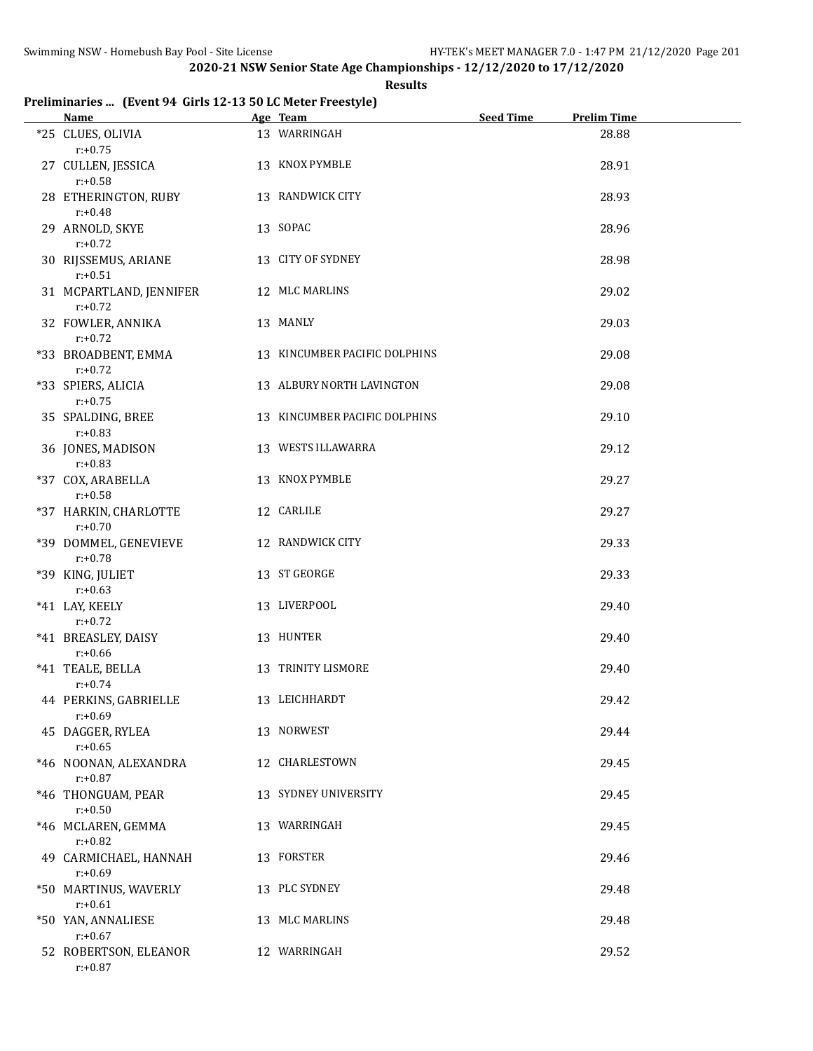#### **Results**

## **Preliminaries ... (Event 94 Girls 12-13 50 LC Meter Freestyle)**

| Name and the state of the state of the state of the state of the state of the state of the state of the state of the state of the state of the state of the state of the state of the state of the state of the state of the s | Age Team and the state of the state of the state of the state of the state of the state of the state of the state of the state of the state of the state of the state of the state of the state of the state of the state of t | <b>Seed Time</b> | <b>Prelim Time</b> |  |
|--------------------------------------------------------------------------------------------------------------------------------------------------------------------------------------------------------------------------------|--------------------------------------------------------------------------------------------------------------------------------------------------------------------------------------------------------------------------------|------------------|--------------------|--|
| *25 CLUES, OLIVIA<br>$r: +0.75$                                                                                                                                                                                                | 13 WARRINGAH                                                                                                                                                                                                                   |                  | 28.88              |  |
| 27 CULLEN, JESSICA<br>$r: +0.58$                                                                                                                                                                                               | 13 KNOX PYMBLE                                                                                                                                                                                                                 |                  | 28.91              |  |
| 28 ETHERINGTON, RUBY<br>$r: +0.48$                                                                                                                                                                                             | 13 RANDWICK CITY                                                                                                                                                                                                               |                  | 28.93              |  |
| 29 ARNOLD, SKYE<br>$r: +0.72$                                                                                                                                                                                                  | 13 SOPAC                                                                                                                                                                                                                       |                  | 28.96              |  |
| 30 RIJSSEMUS, ARIANE<br>$r: +0.51$                                                                                                                                                                                             | 13 CITY OF SYDNEY                                                                                                                                                                                                              |                  | 28.98              |  |
| 31 MCPARTLAND, JENNIFER<br>$r: +0.72$                                                                                                                                                                                          | 12 MLC MARLINS                                                                                                                                                                                                                 |                  | 29.02              |  |
| 32 FOWLER, ANNIKA<br>$r: +0.72$                                                                                                                                                                                                | 13 MANLY                                                                                                                                                                                                                       |                  | 29.03              |  |
| *33 BROADBENT, EMMA<br>$r: +0.72$                                                                                                                                                                                              | 13 KINCUMBER PACIFIC DOLPHINS                                                                                                                                                                                                  |                  | 29.08              |  |
| *33 SPIERS, ALICIA<br>$r: +0.75$                                                                                                                                                                                               | 13 ALBURY NORTH LAVINGTON                                                                                                                                                                                                      |                  | 29.08              |  |
| 35 SPALDING, BREE<br>$r: +0.83$                                                                                                                                                                                                | 13 KINCUMBER PACIFIC DOLPHINS                                                                                                                                                                                                  |                  | 29.10              |  |
| 36 JONES, MADISON<br>$r: +0.83$                                                                                                                                                                                                | 13 WESTS ILLAWARRA                                                                                                                                                                                                             |                  | 29.12              |  |
| *37 COX, ARABELLA<br>$r: +0.58$                                                                                                                                                                                                | 13 KNOX PYMBLE                                                                                                                                                                                                                 |                  | 29.27              |  |
| *37 HARKIN, CHARLOTTE<br>$r: +0.70$                                                                                                                                                                                            | 12 CARLILE                                                                                                                                                                                                                     |                  | 29.27              |  |
| *39 DOMMEL, GENEVIEVE<br>$r: +0.78$                                                                                                                                                                                            | 12 RANDWICK CITY                                                                                                                                                                                                               |                  | 29.33              |  |
| *39 KING, JULIET<br>$r: +0.63$                                                                                                                                                                                                 | 13 ST GEORGE                                                                                                                                                                                                                   |                  | 29.33              |  |
| *41 LAY, KEELY<br>$r: +0.72$                                                                                                                                                                                                   | 13 LIVERPOOL                                                                                                                                                                                                                   |                  | 29.40              |  |
| *41 BREASLEY, DAISY<br>$r: +0.66$                                                                                                                                                                                              | 13 HUNTER                                                                                                                                                                                                                      |                  | 29.40              |  |
| *41 TEALE, BELLA<br>$r: +0.74$                                                                                                                                                                                                 | 13 TRINITY LISMORE                                                                                                                                                                                                             |                  | 29.40              |  |
| 44 PERKINS, GABRIELLE<br>$r: +0.69$                                                                                                                                                                                            | 13 LEICHHARDT                                                                                                                                                                                                                  |                  | 29.42              |  |
| 45 DAGGER, RYLEA<br>$r: +0.65$                                                                                                                                                                                                 | 13 NORWEST                                                                                                                                                                                                                     |                  | 29.44              |  |
| *46 NOONAN, ALEXANDRA<br>$r: +0.87$                                                                                                                                                                                            | 12 CHARLESTOWN                                                                                                                                                                                                                 |                  | 29.45              |  |
| *46 THONGUAM, PEAR<br>$r: +0.50$                                                                                                                                                                                               | 13 SYDNEY UNIVERSITY                                                                                                                                                                                                           |                  | 29.45              |  |
| *46 MCLAREN, GEMMA<br>$r: +0.82$                                                                                                                                                                                               | 13 WARRINGAH                                                                                                                                                                                                                   |                  | 29.45              |  |
| 49 CARMICHAEL, HANNAH<br>$r: +0.69$                                                                                                                                                                                            | 13 FORSTER                                                                                                                                                                                                                     |                  | 29.46              |  |
| *50 MARTINUS, WAVERLY<br>$r: +0.61$                                                                                                                                                                                            | 13 PLC SYDNEY                                                                                                                                                                                                                  |                  | 29.48              |  |
| *50 YAN, ANNALIESE<br>$r: +0.67$                                                                                                                                                                                               | 13 MLC MARLINS                                                                                                                                                                                                                 |                  | 29.48              |  |
| 52 ROBERTSON, ELEANOR<br>$r: +0.87$                                                                                                                                                                                            | 12 WARRINGAH                                                                                                                                                                                                                   |                  | 29.52              |  |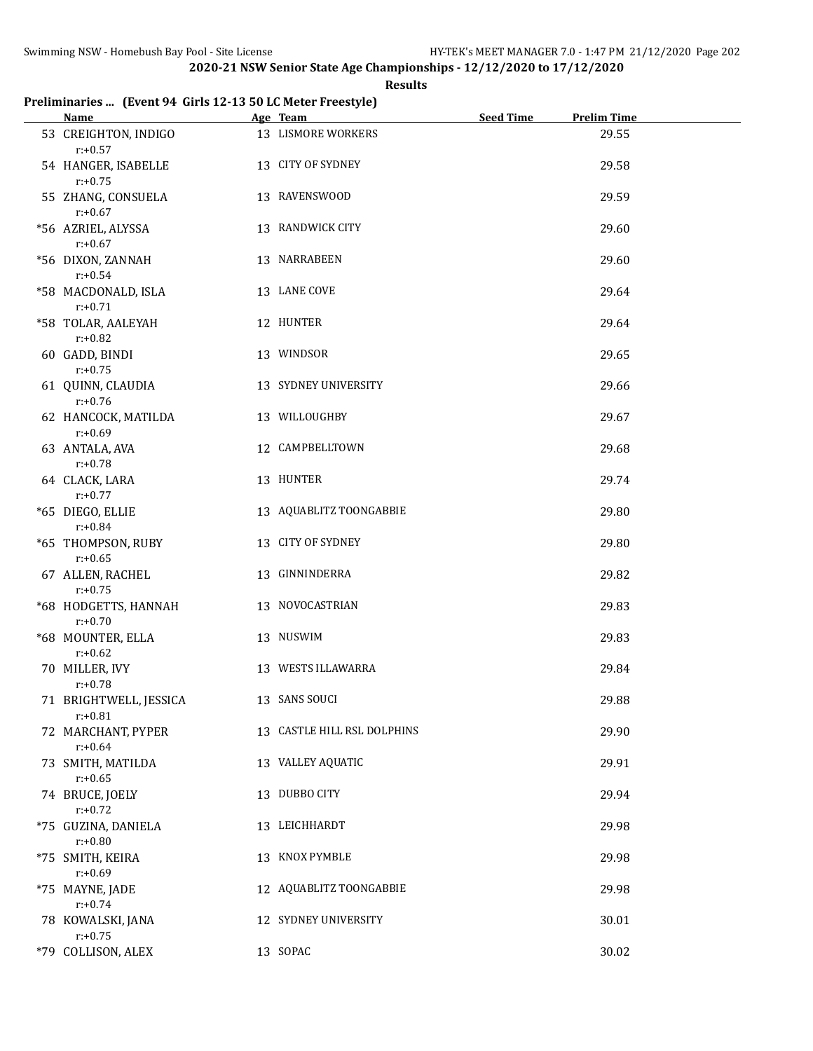## **Results**

## **Preliminaries ... (Event 94 Girls 12-13 50 LC Meter Freestyle)**

| Name Manual Manual Manual Manual Manual Manual Manual Manual Manual Manual Manual Manual Manual Manual Manual | Age Team and the contract of the state of the state of the state of the state of the state of the state of the | Seed Time | <b>Prelim Time</b> |
|---------------------------------------------------------------------------------------------------------------|----------------------------------------------------------------------------------------------------------------|-----------|--------------------|
| 53 CREIGHTON, INDIGO<br>$r: +0.57$                                                                            | 13 LISMORE WORKERS                                                                                             |           | 29.55              |
| 54 HANGER, ISABELLE<br>$r: +0.75$                                                                             | 13 CITY OF SYDNEY                                                                                              |           | 29.58              |
| 55 ZHANG, CONSUELA<br>$r: +0.67$                                                                              | 13 RAVENSWOOD                                                                                                  |           | 29.59              |
| *56 AZRIEL, ALYSSA<br>$r: +0.67$                                                                              | 13 RANDWICK CITY                                                                                               |           | 29.60              |
| *56 DIXON, ZANNAH<br>$r: +0.54$                                                                               | 13 NARRABEEN                                                                                                   |           | 29.60              |
| *58 MACDONALD, ISLA<br>$r: +0.71$                                                                             | 13 LANE COVE                                                                                                   |           | 29.64              |
| *58 TOLAR, AALEYAH<br>$r: +0.82$                                                                              | 12 HUNTER                                                                                                      |           | 29.64              |
| 60 GADD, BINDI<br>$r: +0.75$                                                                                  | 13 WINDSOR                                                                                                     |           | 29.65              |
| 61 QUINN, CLAUDIA<br>$r: +0.76$                                                                               | 13 SYDNEY UNIVERSITY                                                                                           |           | 29.66              |
| 62 HANCOCK, MATILDA<br>$r: +0.69$                                                                             | 13 WILLOUGHBY                                                                                                  |           | 29.67              |
| 63 ANTALA, AVA<br>$r: +0.78$                                                                                  | 12 CAMPBELLTOWN                                                                                                |           | 29.68              |
| 64 CLACK, LARA<br>$r: +0.77$                                                                                  | 13 HUNTER                                                                                                      |           | 29.74              |
| *65 DIEGO, ELLIE<br>$r: +0.84$                                                                                | 13 AQUABLITZ TOONGABBIE                                                                                        |           | 29.80              |
| *65 THOMPSON, RUBY<br>$r: +0.65$                                                                              | 13 CITY OF SYDNEY                                                                                              |           | 29.80              |
| 67 ALLEN, RACHEL<br>$r: +0.75$                                                                                | 13 GINNINDERRA                                                                                                 |           | 29.82              |
| *68 HODGETTS, HANNAH<br>$r: +0.70$                                                                            | 13 NOVOCASTRIAN                                                                                                |           | 29.83              |
| *68 MOUNTER, ELLA<br>$r: +0.62$                                                                               | 13 NUSWIM                                                                                                      |           | 29.83              |
| 70 MILLER, IVY<br>$r: +0.78$                                                                                  | 13 WESTS ILLAWARRA                                                                                             |           | 29.84              |
| 71 BRIGHTWELL, JESSICA<br>$r: +0.81$                                                                          | 13 SANS SOUCI                                                                                                  |           | 29.88              |
| 72 MARCHANT, PYPER<br>$r: +0.64$                                                                              | 13 CASTLE HILL RSL DOLPHINS                                                                                    |           | 29.90              |
| 73 SMITH, MATILDA<br>$r: +0.65$                                                                               | 13 VALLEY AQUATIC                                                                                              |           | 29.91              |
| 74 BRUCE, JOELY<br>$r: +0.72$                                                                                 | 13 DUBBO CITY                                                                                                  |           | 29.94              |
| *75 GUZINA, DANIELA<br>$r: +0.80$                                                                             | 13 LEICHHARDT                                                                                                  |           | 29.98              |
| *75 SMITH, KEIRA<br>$r: +0.69$                                                                                | 13 KNOX PYMBLE                                                                                                 |           | 29.98              |
| *75 MAYNE, JADE<br>$r: +0.74$                                                                                 | 12 AQUABLITZ TOONGABBIE                                                                                        |           | 29.98              |
| 78 KOWALSKI, JANA<br>$r: +0.75$                                                                               | 12 SYDNEY UNIVERSITY                                                                                           |           | 30.01              |
| *79 COLLISON, ALEX                                                                                            | 13 SOPAC                                                                                                       |           | 30.02              |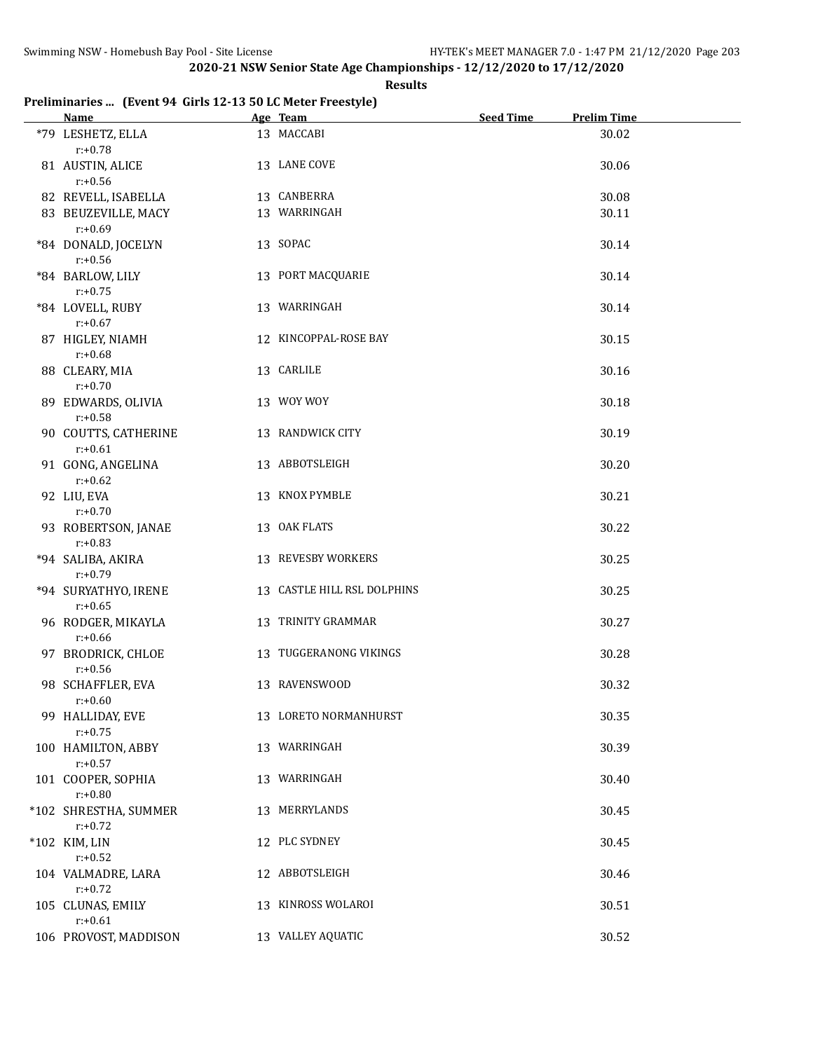## **Results**

## **Preliminaries ... (Event 94 Girls 12-13 50 LC Meter Freestyle)**

| Name Manual Manual Manual Manual Manual Manual Manual Manual Manual Manual Manual Manual Manual Manual Manual Ma | Age Team                    | <b>Seed Time</b> | <b>Prelim Time</b> |
|------------------------------------------------------------------------------------------------------------------|-----------------------------|------------------|--------------------|
| *79 LESHETZ, ELLA<br>$r: +0.78$                                                                                  | 13 MACCABI                  |                  | 30.02              |
| 81 AUSTIN, ALICE<br>$r: +0.56$                                                                                   | 13 LANE COVE                |                  | 30.06              |
| 82 REVELL, ISABELLA                                                                                              | 13 CANBERRA                 |                  | 30.08              |
| 83 BEUZEVILLE, MACY                                                                                              | 13 WARRINGAH                |                  | 30.11              |
| $r: +0.69$                                                                                                       |                             |                  |                    |
| *84 DONALD, JOCELYN<br>$r: +0.56$                                                                                | 13 SOPAC                    |                  | 30.14              |
| *84 BARLOW, LILY<br>$r: +0.75$                                                                                   | 13 PORT MACQUARIE           |                  | 30.14              |
| *84 LOVELL, RUBY<br>$r: +0.67$                                                                                   | 13 WARRINGAH                |                  | 30.14              |
| 87 HIGLEY, NIAMH<br>$r: +0.68$                                                                                   | 12 KINCOPPAL-ROSE BAY       |                  | 30.15              |
| 88 CLEARY, MIA<br>$r: +0.70$                                                                                     | 13 CARLILE                  |                  | 30.16              |
| 89 EDWARDS, OLIVIA<br>$r: +0.58$                                                                                 | 13 WOY WOY                  |                  | 30.18              |
| 90 COUTTS, CATHERINE<br>$r: +0.61$                                                                               | 13 RANDWICK CITY            |                  | 30.19              |
| 91 GONG, ANGELINA<br>$r: +0.62$                                                                                  | 13 ABBOTSLEIGH              |                  | 30.20              |
| 92 LIU, EVA<br>$r: +0.70$                                                                                        | 13 KNOX PYMBLE              |                  | 30.21              |
| 93 ROBERTSON, JANAE<br>$r: +0.83$                                                                                | 13 OAK FLATS                |                  | 30.22              |
| *94 SALIBA, AKIRA<br>$r: +0.79$                                                                                  | 13 REVESBY WORKERS          |                  | 30.25              |
| *94 SURYATHYO, IRENE<br>$r: +0.65$                                                                               | 13 CASTLE HILL RSL DOLPHINS |                  | 30.25              |
| 96 RODGER, MIKAYLA<br>$r: +0.66$                                                                                 | 13 TRINITY GRAMMAR          |                  | 30.27              |
| 97 BRODRICK, CHLOE<br>$r: +0.56$                                                                                 | 13 TUGGERANONG VIKINGS      |                  | 30.28              |
| 98 SCHAFFLER, EVA<br>$r: +0.60$                                                                                  | 13 RAVENSWOOD               |                  | 30.32              |
| 99 HALLIDAY, EVE<br>$r: +0.75$                                                                                   | 13 LORETO NORMANHURST       |                  | 30.35              |
| 100 HAMILTON, ABBY<br>$r: +0.57$                                                                                 | 13 WARRINGAH                |                  | 30.39              |
| 101 COOPER, SOPHIA<br>$r: +0.80$                                                                                 | 13 WARRINGAH                |                  | 30.40              |
| *102 SHRESTHA, SUMMER<br>$r: +0.72$                                                                              | 13 MERRYLANDS               |                  | 30.45              |
| *102 KIM, LIN<br>$r: +0.52$                                                                                      | 12 PLC SYDNEY               |                  | 30.45              |
| 104 VALMADRE, LARA<br>$r: +0.72$                                                                                 | 12 ABBOTSLEIGH              |                  | 30.46              |
| 105 CLUNAS, EMILY<br>$r: +0.61$                                                                                  | 13 KINROSS WOLAROI          |                  | 30.51              |
| 106 PROVOST, MADDISON                                                                                            | 13 VALLEY AQUATIC           |                  | 30.52              |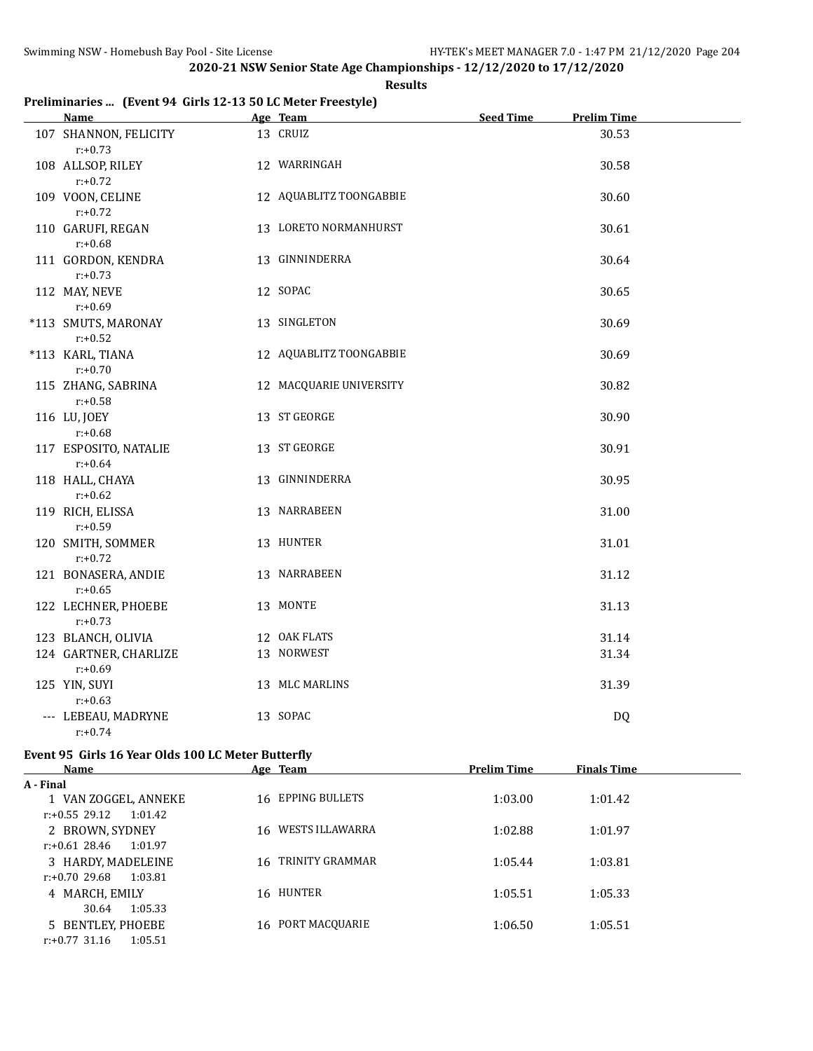#### **Results**

## **Preliminaries ... (Event 94 Girls 12-13 50 LC Meter Freestyle)**

| Name Manual Manual Manual Manual Manual Manual Manual Manual Manual Manual Manual Manual Manual Manual Manual | Age Team                | Seed Time | <b>Prelim Time</b> |  |
|---------------------------------------------------------------------------------------------------------------|-------------------------|-----------|--------------------|--|
| 107 SHANNON, FELICITY<br>$r: +0.73$                                                                           | 13 CRUIZ                |           | 30.53              |  |
| 108 ALLSOP, RILEY<br>$r: +0.72$                                                                               | 12 WARRINGAH            |           | 30.58              |  |
| 109 VOON, CELINE<br>$r: +0.72$                                                                                | 12 AQUABLITZ TOONGABBIE |           | 30.60              |  |
| 110 GARUFI, REGAN<br>$r: +0.68$                                                                               | 13 LORETO NORMANHURST   |           | 30.61              |  |
| 111 GORDON, KENDRA<br>$r: +0.73$                                                                              | 13 GINNINDERRA          |           | 30.64              |  |
| 112 MAY, NEVE<br>$r: +0.69$                                                                                   | 12 SOPAC                |           | 30.65              |  |
| *113 SMUTS, MARONAY<br>$r: +0.52$                                                                             | 13 SINGLETON            |           | 30.69              |  |
| *113 KARL, TIANA<br>$r: +0.70$                                                                                | 12 AQUABLITZ TOONGABBIE |           | 30.69              |  |
| 115 ZHANG, SABRINA<br>$r: +0.58$                                                                              | 12 MACQUARIE UNIVERSITY |           | 30.82              |  |
| 116 LU, JOEY<br>$r: +0.68$                                                                                    | 13 ST GEORGE            |           | 30.90              |  |
| 117 ESPOSITO, NATALIE<br>$r: +0.64$                                                                           | 13 ST GEORGE            |           | 30.91              |  |
| 118 HALL, CHAYA<br>$r: +0.62$                                                                                 | 13 GINNINDERRA          |           | 30.95              |  |
| 119 RICH, ELISSA<br>$r: +0.59$                                                                                | 13 NARRABEEN            |           | 31.00              |  |
| 120 SMITH, SOMMER<br>$r: +0.72$                                                                               | 13 HUNTER               |           | 31.01              |  |
| 121 BONASERA, ANDIE<br>$r: +0.65$                                                                             | 13 NARRABEEN            |           | 31.12              |  |
| 122 LECHNER, PHOEBE<br>$r: +0.73$                                                                             | 13 MONTE                |           | 31.13              |  |
| 123 BLANCH, OLIVIA                                                                                            | 12 OAK FLATS            |           | 31.14              |  |
| 124 GARTNER, CHARLIZE<br>$r: +0.69$                                                                           | 13 NORWEST              |           | 31.34              |  |
| 125 YIN, SUYI<br>$r: +0.63$                                                                                   | 13 MLC MARLINS          |           | 31.39              |  |
| --- LEBEAU, MADRYNE<br>$r: +0.74$                                                                             | 13 SOPAC                |           | <b>DQ</b>          |  |

# **Event 95 Girls 16 Year Olds 100 LC Meter Butterfly**

| Name                        | Age Team           | <b>Prelim Time</b> | <b>Finals Time</b> |  |
|-----------------------------|--------------------|--------------------|--------------------|--|
| A - Final                   |                    |                    |                    |  |
| 1 VAN ZOGGEL, ANNEKE        | 16 EPPING BULLETS  | 1:03.00            | 1:01.42            |  |
| $r: +0.55$ 29.12<br>1:01.42 |                    |                    |                    |  |
| 2 BROWN, SYDNEY             | 16 WESTS ILLAWARRA | 1:02.88            | 1:01.97            |  |
| r:+0.61 28.46<br>1:01.97    |                    |                    |                    |  |
| 3 HARDY, MADELEINE          | 16 TRINITY GRAMMAR | 1:05.44            | 1:03.81            |  |
| $r: +0.70$ 29.68<br>1:03.81 |                    |                    |                    |  |
| 4 MARCH, EMILY              | 16 HUNTER          | 1:05.51            | 1:05.33            |  |
| 1:05.33<br>30.64            |                    |                    |                    |  |
| 5 BENTLEY, PHOEBE           | 16 PORT MACQUARIE  | 1:06.50            | 1:05.51            |  |
| $r: +0.77$ 31.16<br>1:05.51 |                    |                    |                    |  |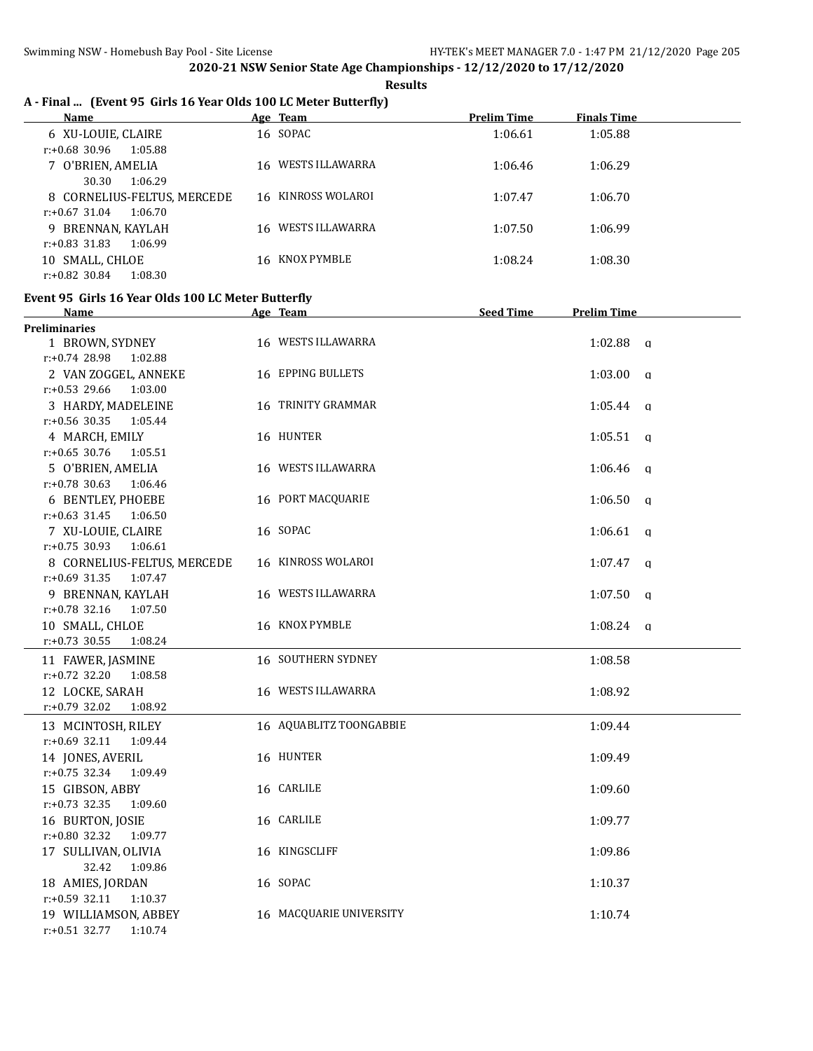**Results**

# **A - Final ... (Event 95 Girls 16 Year Olds 100 LC Meter Butterfly)**

| Name                        | Age Team           | <b>Prelim Time</b> | <b>Finals Time</b> |
|-----------------------------|--------------------|--------------------|--------------------|
| 6 XU-LOUIE, CLAIRE          | 16 SOPAC           | 1:06.61            | 1:05.88            |
| r:+0.68 30.96<br>1:05.88    |                    |                    |                    |
| 7 O'BRIEN, AMELIA           | 16 WESTS ILLAWARRA | 1:06.46            | 1:06.29            |
| 1:06.29<br>30.30            |                    |                    |                    |
| 8 CORNELIUS-FELTUS, MERCEDE | 16 KINROSS WOLAROI | 1:07.47            | 1:06.70            |
| $r: +0.67$ 31.04<br>1:06.70 |                    |                    |                    |
| 9 BRENNAN, KAYLAH           | 16 WESTS ILLAWARRA | 1:07.50            | 1:06.99            |
| $r: +0.83$ 31.83<br>1:06.99 |                    |                    |                    |
| SMALL, CHLOE<br>10          | 16 KNOX PYMBLE     | 1:08.24            | 1:08.30            |
| $r: +0.82$ 30.84<br>1:08.30 |                    |                    |                    |

### **Event 95 Girls 16 Year Olds 100 LC Meter Butterfly**

| Name                        | Age Team                  | <b>Seed Time</b> | <b>Prelim Time</b> |
|-----------------------------|---------------------------|------------------|--------------------|
| <b>Preliminaries</b>        |                           |                  |                    |
| 1 BROWN, SYDNEY             | 16 WESTS ILLAWARRA        |                  | $1:02.88$ q        |
| $r: +0.74$ 28.98<br>1:02.88 |                           |                  |                    |
| 2 VAN ZOGGEL, ANNEKE        | 16 EPPING BULLETS         |                  | $1:03.00$ a        |
| r:+0.53 29.66 1:03.00       |                           |                  |                    |
| 3 HARDY, MADELEINE          | 16 TRINITY GRAMMAR        |                  | $1:05.44$ a        |
| $r: +0.56$ 30.35<br>1:05.44 |                           |                  |                    |
| 4 MARCH, EMILY              | 16 HUNTER                 |                  | $1:05.51$ a        |
| $r: +0.65$ 30.76<br>1:05.51 |                           |                  |                    |
| 5 O'BRIEN, AMELIA           | 16 WESTS ILLAWARRA        |                  | $1:06.46$ q        |
| $r: +0.78$ 30.63<br>1:06.46 |                           |                  |                    |
| 6 BENTLEY, PHOEBE           | 16 PORT MACQUARIE         |                  | $1:06.50$ q        |
| $r: +0.63$ 31.45<br>1:06.50 |                           |                  |                    |
| 7 XU-LOUIE, CLAIRE          | 16 SOPAC                  |                  | 1:06.61<br>q       |
| $r: +0.75$ 30.93<br>1:06.61 |                           |                  |                    |
| 8 CORNELIUS-FELTUS, MERCEDE | 16 KINROSS WOLAROI        |                  | $1:07.47$ q        |
| $r: +0.69$ 31.35<br>1:07.47 |                           |                  |                    |
| 9 BRENNAN, KAYLAH           | 16 WESTS ILLAWARRA        |                  | $1:07.50$ q        |
| $r: +0.78$ 32.16<br>1:07.50 |                           |                  |                    |
| 10 SMALL, CHLOE             | 16 KNOX PYMBLE            |                  | 1:08.24 $q$        |
| $r: +0.73$ 30.55<br>1:08.24 |                           |                  |                    |
| 11 FAWER, JASMINE           | <b>16 SOUTHERN SYDNEY</b> |                  | 1:08.58            |
| $r: +0.72$ 32.20<br>1:08.58 |                           |                  |                    |
| 12 LOCKE, SARAH             | 16 WESTS ILLAWARRA        |                  | 1:08.92            |
| $r.+0.79$ 32.02<br>1:08.92  |                           |                  |                    |
| 13 MCINTOSH, RILEY          | 16 AQUABLITZ TOONGABBIE   |                  | 1:09.44            |
| $r: +0.69$ 32.11<br>1:09.44 |                           |                  |                    |
| 14 JONES, AVERIL            | 16 HUNTER                 |                  | 1:09.49            |
| $r: +0.75$ 32.34<br>1:09.49 |                           |                  |                    |
| 15 GIBSON, ABBY             | 16 CARLILE                |                  | 1:09.60            |
| $r: +0.73$ 32.35<br>1:09.60 |                           |                  |                    |
| 16 BURTON, JOSIE            | 16 CARLILE                |                  | 1:09.77            |
| $r.+0.80$ 32.32<br>1:09.77  |                           |                  |                    |
| 17 SULLIVAN, OLIVIA         | 16 KINGSCLIFF             |                  | 1:09.86            |
| 32.42<br>1:09.86            |                           |                  |                    |
| 18 AMIES, JORDAN            | 16 SOPAC                  |                  | 1:10.37            |
| r:+0.59 32.11<br>1:10.37    |                           |                  |                    |
| 19 WILLIAMSON, ABBEY        | 16 MACQUARIE UNIVERSITY   |                  | 1:10.74            |
| $r: +0.51$ 32.77<br>1:10.74 |                           |                  |                    |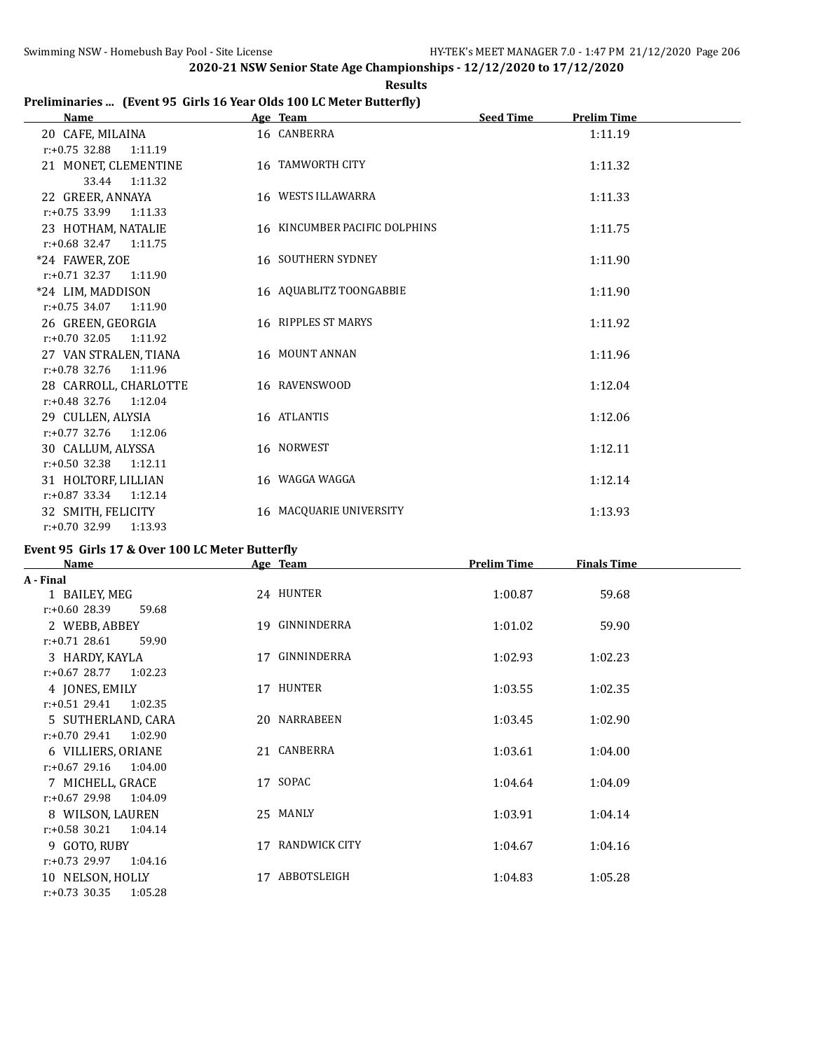# **Results**

## **Preliminaries ... (Event 95 Girls 16 Year Olds 100 LC Meter Butterfly)**

| <b>Name</b>                 | Age Team                      | <b>Seed Time</b><br><b>Prelim Time</b> |
|-----------------------------|-------------------------------|----------------------------------------|
| 20 CAFE, MILAINA            | 16 CANBERRA                   | 1:11.19                                |
| $r: +0.75$ 32.88<br>1:11.19 |                               |                                        |
| 21 MONET, CLEMENTINE        | 16 TAMWORTH CITY              | 1:11.32                                |
| 33.44<br>1:11.32            |                               |                                        |
| 22 GREER, ANNAYA            | 16 WESTS ILLAWARRA            | 1:11.33                                |
| $r: +0.75$ 33.99<br>1:11.33 |                               |                                        |
| 23 HOTHAM, NATALIE          | 16 KINCUMBER PACIFIC DOLPHINS | 1:11.75                                |
| $r.+0.68$ 32.47 1:11.75     |                               |                                        |
| *24 FAWER, ZOE              | <b>16 SOUTHERN SYDNEY</b>     | 1:11.90                                |
| $r: +0.71$ 32.37 1:11.90    |                               |                                        |
| *24 LIM, MADDISON           | 16 AQUABLITZ TOONGABBIE       | 1:11.90                                |
| $r: +0.75$ 34.07<br>1:11.90 |                               |                                        |
| 26 GREEN, GEORGIA           | 16 RIPPLES ST MARYS           | 1:11.92                                |
| $r: +0.70$ 32.05<br>1:11.92 |                               |                                        |
| 27 VAN STRALEN, TIANA       | 16 MOUNT ANNAN                | 1:11.96                                |
| $r: +0.78$ 32.76<br>1:11.96 |                               |                                        |
| 28 CARROLL, CHARLOTTE       | 16 RAVENSWOOD                 | 1:12.04                                |
| $r: +0.48$ 32.76<br>1:12.04 |                               |                                        |
| 29 CULLEN, ALYSIA           | 16 ATLANTIS                   | 1:12.06                                |
| $r.+0.77$ 32.76 1:12.06     |                               |                                        |
| 30 CALLUM, ALYSSA           | 16 NORWEST                    | 1:12.11                                |
| $r: +0.50$ 32.38 1:12.11    |                               |                                        |
| 31 HOLTORF, LILLIAN         | 16 WAGGA WAGGA                | 1:12.14                                |
| $r: +0.87$ 33.34<br>1:12.14 |                               |                                        |
| 32 SMITH, FELICITY          | 16 MACQUARIE UNIVERSITY       | 1:13.93                                |
| r:+0.70 32.99<br>1:13.93    |                               |                                        |

## **Event 95 Girls 17 & Over 100 LC Meter Butterfly**

| Name                        | Age Team            | <b>Prelim Time</b> | <b>Finals Time</b> |  |
|-----------------------------|---------------------|--------------------|--------------------|--|
| A - Final                   |                     |                    |                    |  |
| 1 BAILEY, MEG               | 24 HUNTER           | 1:00.87            | 59.68              |  |
| $r: +0.60$ 28.39<br>59.68   |                     |                    |                    |  |
| 2 WEBB, ABBEY               | 19 GINNINDERRA      | 1:01.02            | 59.90              |  |
| $r: +0.71$ 28.61<br>59.90   |                     |                    |                    |  |
| 3 HARDY, KAYLA              | 17 GINNINDERRA      | 1:02.93            | 1:02.23            |  |
| $r: +0.67$ 28.77<br>1:02.23 |                     |                    |                    |  |
| 4 JONES, EMILY              | 17 HUNTER           | 1:03.55            | 1:02.35            |  |
| $r: +0.51$ 29.41<br>1:02.35 |                     |                    |                    |  |
| 5 SUTHERLAND, CARA          | 20 NARRABEEN        | 1:03.45            | 1:02.90            |  |
| $r: +0.70$ 29.41<br>1:02.90 |                     |                    |                    |  |
| 6 VILLIERS, ORIANE          | 21 CANBERRA         | 1:03.61            | 1:04.00            |  |
| $r: +0.67$ 29.16<br>1:04.00 |                     |                    |                    |  |
| 7 MICHELL, GRACE            | 17 SOPAC            | 1:04.64            | 1:04.09            |  |
| $r: +0.67$ 29.98<br>1:04.09 |                     |                    |                    |  |
| 8 WILSON, LAUREN            | 25 MANLY            | 1:03.91            | 1:04.14            |  |
| $r: +0.58$ 30.21<br>1:04.14 |                     |                    |                    |  |
| 9 GOTO, RUBY                | RANDWICK CITY<br>17 | 1:04.67            | 1:04.16            |  |
| $r: +0.73$ 29.97<br>1:04.16 |                     |                    |                    |  |
| 10 NELSON, HOLLY            | ABBOTSLEIGH<br>17   | 1:04.83            | 1:05.28            |  |
| $r: +0.73$ 30.35<br>1:05.28 |                     |                    |                    |  |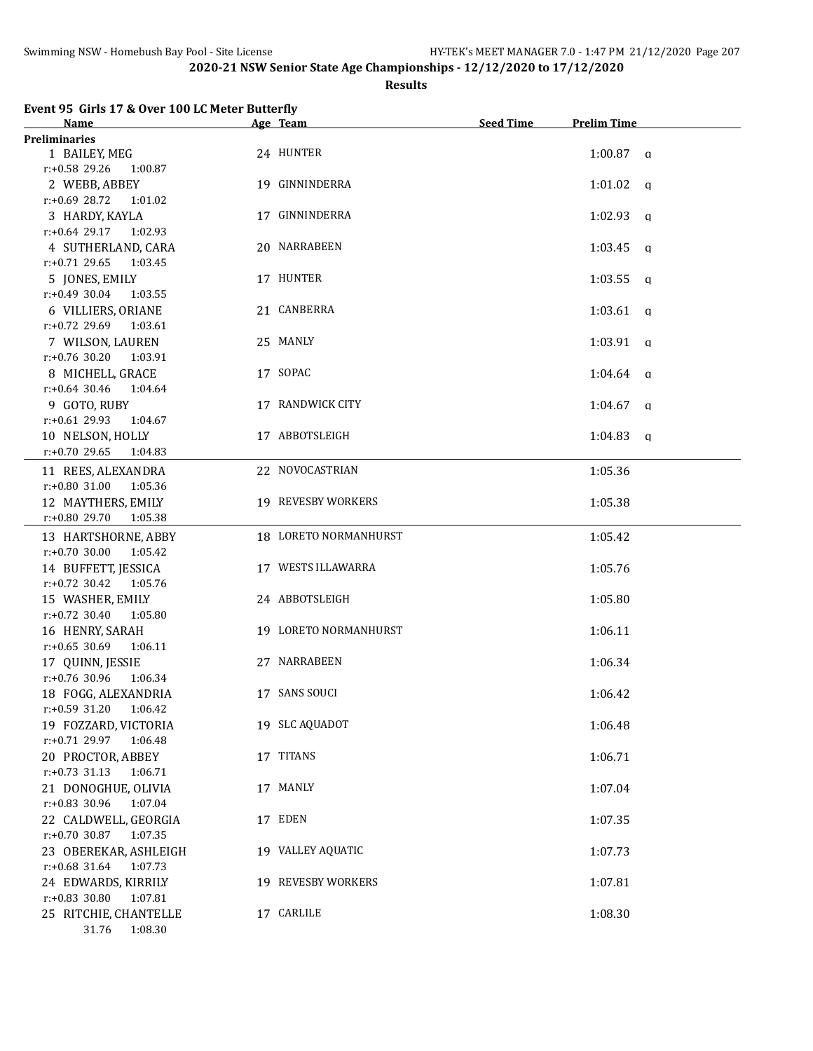### **Results**

| Event 95 Girls 17 & Over 100 LC Meter Butterfly |  |  |                         |
|-------------------------------------------------|--|--|-------------------------|
|                                                 |  |  | $\mathbf{A}$ . The same |

| Name                        | Age Team                  | <b>Seed Time</b> | <b>Prelim Time</b>  |  |
|-----------------------------|---------------------------|------------------|---------------------|--|
| <b>Preliminaries</b>        |                           |                  |                     |  |
| 1 BAILEY, MEG               | 24 HUNTER                 |                  | $1:00.87$ a         |  |
| r:+0.58 29.26<br>1:00.87    |                           |                  |                     |  |
| 2 WEBB, ABBEY               | 19 GINNINDERRA            |                  | $1:01.02$ q         |  |
| $r: +0.69$ 28.72<br>1:01.02 |                           |                  |                     |  |
| 3 HARDY, KAYLA              | 17 GINNINDERRA            |                  | $1:02.93$ q         |  |
| $r: +0.64$ 29.17<br>1:02.93 |                           |                  |                     |  |
| 4 SUTHERLAND, CARA          | 20 NARRABEEN              |                  | 1:03.45<br>q        |  |
| $r: +0.71$ 29.65<br>1:03.45 |                           |                  |                     |  |
| 5 JONES, EMILY              | 17 HUNTER                 |                  | 1:03.55<br>$\alpha$ |  |
| $r: +0.49$ 30.04<br>1:03.55 |                           |                  |                     |  |
| 6 VILLIERS, ORIANE          | 21 CANBERRA               |                  | $1:03.61$ a         |  |
| $r: +0.72$ 29.69<br>1:03.61 |                           |                  |                     |  |
| 7 WILSON, LAUREN            | 25 MANLY                  |                  | $1:03.91$ a         |  |
| $r: +0.76$ 30.20<br>1:03.91 |                           |                  |                     |  |
| 8 MICHELL, GRACE            | 17 SOPAC                  |                  | $1:04.64$ q         |  |
| $r: +0.64$ 30.46<br>1:04.64 |                           |                  |                     |  |
| 9 GOTO, RUBY                | 17 RANDWICK CITY          |                  | 1:04.67<br>q        |  |
| $r: +0.61$ 29.93<br>1:04.67 |                           |                  |                     |  |
| 10 NELSON, HOLLY            | 17 ABBOTSLEIGH            |                  | $1:04.83$ q         |  |
| r:+0.70 29.65<br>1:04.83    |                           |                  |                     |  |
| 11 REES, ALEXANDRA          | 22 NOVOCASTRIAN           |                  | 1:05.36             |  |
| r:+0.80 31.00<br>1:05.36    |                           |                  |                     |  |
| 12 MAYTHERS, EMILY          | <b>19 REVESBY WORKERS</b> |                  | 1:05.38             |  |
| r:+0.80 29.70<br>1:05.38    |                           |                  |                     |  |
|                             |                           |                  |                     |  |
| 13 HARTSHORNE, ABBY         | 18 LORETO NORMANHURST     |                  | 1:05.42             |  |
| $r: +0.70$ 30.00<br>1:05.42 |                           |                  |                     |  |
| 14 BUFFETT, JESSICA         | 17 WESTS ILLAWARRA        |                  | 1:05.76             |  |
| $r: +0.72$ 30.42<br>1:05.76 |                           |                  |                     |  |
| 15 WASHER, EMILY            | 24 ABBOTSLEIGH            |                  | 1:05.80             |  |
| $r: +0.72$ 30.40<br>1:05.80 |                           |                  |                     |  |
| 16 HENRY, SARAH             | 19 LORETO NORMANHURST     |                  | 1:06.11             |  |
| $r: +0.65$ 30.69<br>1:06.11 |                           |                  |                     |  |
| 17 QUINN, JESSIE            | 27 NARRABEEN              |                  | 1:06.34             |  |
| r:+0.76 30.96<br>1:06.34    |                           |                  |                     |  |
| 18 FOGG, ALEXANDRIA         | 17 SANS SOUCI             |                  | 1:06.42             |  |
| $r: +0.59$ 31.20<br>1:06.42 |                           |                  |                     |  |
| 19 FOZZARD, VICTORIA        | 19 SLC AQUADOT            |                  | 1:06.48             |  |
| r:+0.71 29.97<br>1:06.48    |                           |                  |                     |  |
| 20 PROCTOR, ABBEY           | 17 TITANS                 |                  | 1:06.71             |  |
| $r: +0.73$ 31.13<br>1:06.71 |                           |                  |                     |  |
| 21 DONOGHUE, OLIVIA         | 17 MANLY                  |                  | 1:07.04             |  |
| r:+0.83 30.96<br>1:07.04    |                           |                  |                     |  |
| 22 CALDWELL, GEORGIA        | 17 EDEN                   |                  | 1:07.35             |  |
| r:+0.70 30.87<br>1:07.35    |                           |                  |                     |  |
| 23 OBEREKAR, ASHLEIGH       | 19 VALLEY AQUATIC         |                  | 1:07.73             |  |
| r:+0.68 31.64<br>1:07.73    |                           |                  |                     |  |
| 24 EDWARDS, KIRRILY         | 19 REVESBY WORKERS        |                  | 1:07.81             |  |
| r:+0.83 30.80<br>1:07.81    |                           |                  |                     |  |
| 25 RITCHIE, CHANTELLE       | 17 CARLILE                |                  | 1:08.30             |  |
| 31.76<br>1:08.30            |                           |                  |                     |  |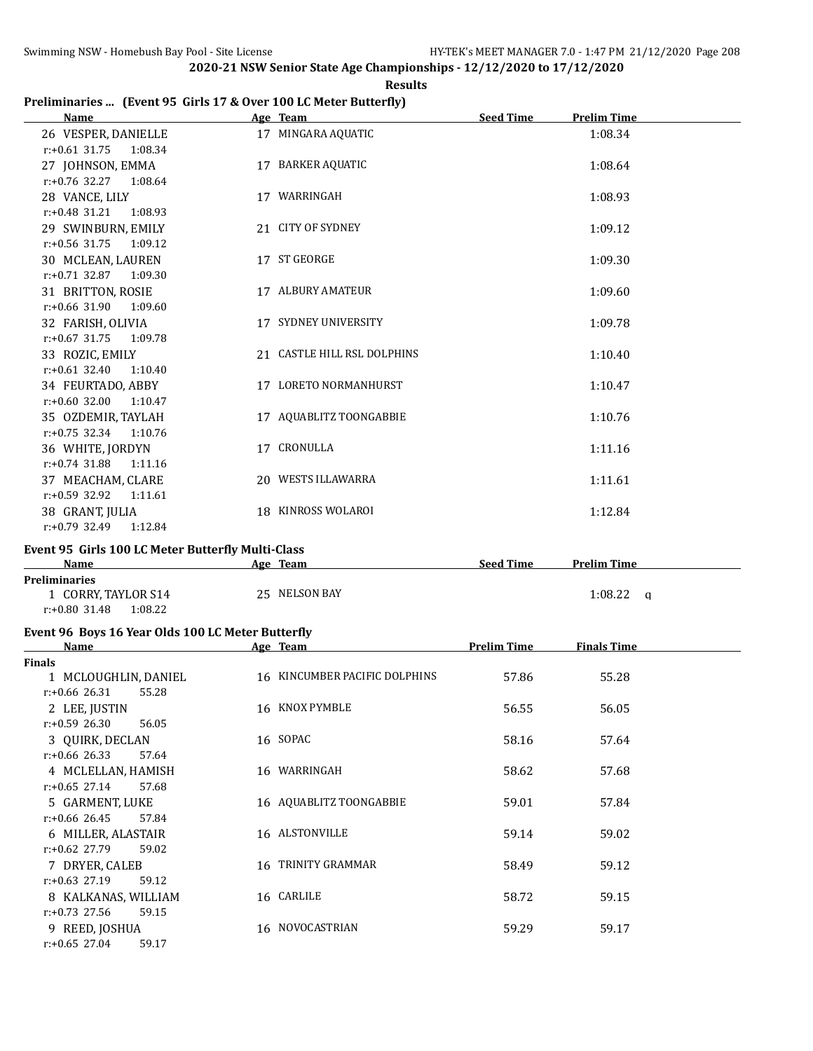#### **Results**

## **Preliminaries ... (Event 95 Girls 17 & Over 100 LC Meter Butterfly)**

| <b>Name</b>                 |    | Age Team                    | <b>Seed Time</b><br><b>Prelim Time</b> |  |
|-----------------------------|----|-----------------------------|----------------------------------------|--|
| 26 VESPER, DANIELLE         |    | 17 MINGARA AQUATIC          | 1:08.34                                |  |
| $r: +0.61$ 31.75<br>1:08.34 |    |                             |                                        |  |
| 27 JOHNSON, EMMA            |    | 17 BARKER AQUATIC           | 1:08.64                                |  |
| $r: +0.76$ 32.27<br>1:08.64 |    |                             |                                        |  |
| 28 VANCE, LILY              |    | 17 WARRINGAH                | 1:08.93                                |  |
| $r: +0.48$ 31.21<br>1:08.93 |    |                             |                                        |  |
| 29 SWINBURN, EMILY          |    | 21 CITY OF SYDNEY           | 1:09.12                                |  |
| $r: +0.56$ 31.75<br>1:09.12 |    |                             |                                        |  |
| 30 MCLEAN, LAUREN           |    | 17 ST GEORGE                | 1:09.30                                |  |
| $r: +0.71$ 32.87<br>1:09.30 |    |                             |                                        |  |
| 31 BRITTON, ROSIE           |    | 17 ALBURY AMATEUR           | 1:09.60                                |  |
| $r: +0.66$ 31.90<br>1:09.60 |    |                             |                                        |  |
| 32 FARISH, OLIVIA           |    | 17 SYDNEY UNIVERSITY        | 1:09.78                                |  |
| $r: +0.67$ 31.75<br>1:09.78 |    |                             |                                        |  |
| 33 ROZIC, EMILY             |    | 21 CASTLE HILL RSL DOLPHINS | 1:10.40                                |  |
| $r: +0.61$ 32.40<br>1:10.40 |    |                             |                                        |  |
| 34 FEURTADO, ABBY           |    | 17 LORETO NORMANHURST       | 1:10.47                                |  |
| $r: +0.60$ 32.00<br>1:10.47 |    |                             |                                        |  |
| 35 OZDEMIR, TAYLAH          |    | 17 AQUABLITZ TOONGABBIE     | 1:10.76                                |  |
| $r: +0.75$ 32.34<br>1:10.76 |    |                             |                                        |  |
| 36 WHITE, JORDYN            | 17 | CRONULLA                    | 1:11.16                                |  |
| $r: +0.74$ 31.88<br>1:11.16 |    |                             |                                        |  |
| 37 MEACHAM, CLARE           |    | 20 WESTS ILLAWARRA          | 1:11.61                                |  |
| $r: +0.59$ 32.92<br>1:11.61 |    |                             |                                        |  |
| 38 GRANT, JULIA             |    | 18 KINROSS WOLAROI          | 1:12.84                                |  |
| $r: +0.79$ 32.49<br>1:12.84 |    |                             |                                        |  |

### **Event 95 Girls 100 LC Meter Butterfly Multi-Class**

| Name                        | Team<br>Age   | <b>Seed Time</b><br><b>Prelim Time</b> |  |
|-----------------------------|---------------|----------------------------------------|--|
| <b>Preliminaries</b>        |               |                                        |  |
| CORRY, TAYLOR S14           | 25 NELSON BAY | 1:08.22                                |  |
| 1:08.22<br>$r: +0.80$ 31.48 |               |                                        |  |

# **Event 96 Boys 16 Year Olds 100 LC Meter Butterfly**

| Name                      | Age Team        |                               | <b>Prelim Time</b> | <b>Finals Time</b> |  |
|---------------------------|-----------------|-------------------------------|--------------------|--------------------|--|
| <b>Finals</b>             |                 |                               |                    |                    |  |
| 1 MCLOUGHLIN, DANIEL      |                 | 16 KINCUMBER PACIFIC DOLPHINS | 57.86              | 55.28              |  |
| $r: +0.66$ 26.31<br>55.28 |                 |                               |                    |                    |  |
| 2 LEE, JUSTIN             | 16 KNOX PYMBLE  |                               | 56.55              | 56.05              |  |
| $r: +0.59$ 26.30<br>56.05 |                 |                               |                    |                    |  |
| 3 QUIRK, DECLAN           | 16 SOPAC        |                               | 58.16              | 57.64              |  |
| $r: +0.66$ 26.33<br>57.64 |                 |                               |                    |                    |  |
| 4 MCLELLAN, HAMISH        | 16 WARRINGAH    |                               | 58.62              | 57.68              |  |
| $r: +0.65$ 27.14<br>57.68 |                 |                               |                    |                    |  |
| 5 GARMENT, LUKE           |                 | 16 AQUABLITZ TOONGABBIE       | 59.01              | 57.84              |  |
| $r: +0.66$ 26.45<br>57.84 |                 |                               |                    |                    |  |
| 6 MILLER, ALASTAIR        | 16 ALSTONVILLE  |                               | 59.14              | 59.02              |  |
| $r: +0.62$ 27.79<br>59.02 |                 |                               |                    |                    |  |
| 7 DRYER, CALEB            | 16.             | TRINITY GRAMMAR               | 58.49              | 59.12              |  |
| $r: +0.63$ 27.19<br>59.12 |                 |                               |                    |                    |  |
| 8 KALKANAS, WILLIAM       | 16 CARLILE      |                               | 58.72              | 59.15              |  |
| $r: +0.73$ 27.56<br>59.15 |                 |                               |                    |                    |  |
| 9 REED, JOSHUA            | 16 NOVOCASTRIAN |                               | 59.29              | 59.17              |  |
| $r: +0.65$ 27.04<br>59.17 |                 |                               |                    |                    |  |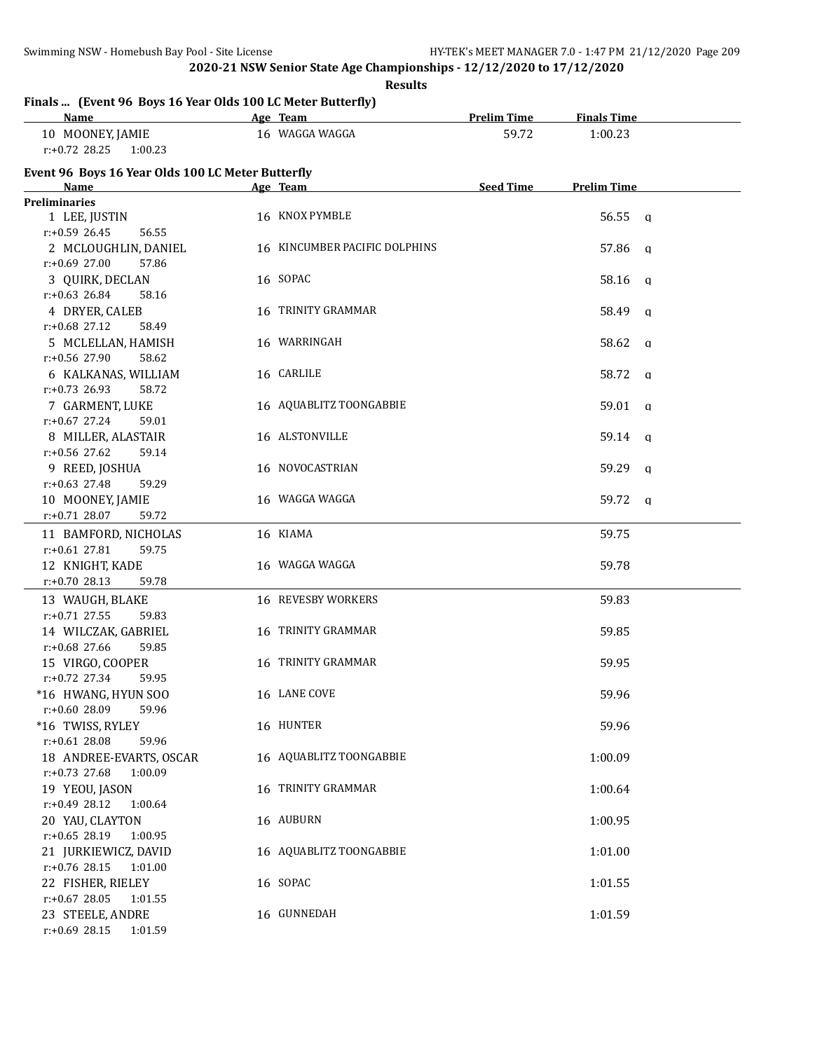**Results**

|  |  |  |  | Finals  (Event 96 Boys 16 Year Olds 100 LC Meter Butterfly) |  |
|--|--|--|--|-------------------------------------------------------------|--|
|--|--|--|--|-------------------------------------------------------------|--|

| <u>Name</u>                                       | Age Team                      | <b>Prelim Time</b> | <b>Finals Time</b> |   |
|---------------------------------------------------|-------------------------------|--------------------|--------------------|---|
| 10 MOONEY, JAMIE                                  | 16 WAGGA WAGGA                | 59.72              | 1:00.23            |   |
| $r: +0.72$ 28.25<br>1:00.23                       |                               |                    |                    |   |
| Event 96 Boys 16 Year Olds 100 LC Meter Butterfly |                               |                    |                    |   |
| Name                                              | Age Team                      | <b>Seed Time</b>   | <b>Prelim Time</b> |   |
| <b>Preliminaries</b>                              |                               |                    |                    |   |
| 1 LEE, JUSTIN                                     | 16 KNOX PYMBLE                |                    | $56.55 \quad a$    |   |
| $r: +0.59$ 26.45<br>56.55                         |                               |                    |                    |   |
| 2 MCLOUGHLIN, DANIEL                              | 16 KINCUMBER PACIFIC DOLPHINS |                    | 57.86 q            |   |
| $r: +0.69$ 27.00<br>57.86                         |                               |                    |                    |   |
| 3 QUIRK, DECLAN                                   | 16 SOPAC                      |                    | 58.16 q            |   |
| $r: +0.63$ 26.84<br>58.16                         |                               |                    |                    |   |
| 4 DRYER, CALEB                                    | 16 TRINITY GRAMMAR            |                    | 58.49 q            |   |
| $r: +0.68$ 27.12<br>58.49                         |                               |                    |                    |   |
| 5 MCLELLAN, HAMISH                                | 16 WARRINGAH                  |                    | 58.62 q            |   |
| r:+0.56 27.90<br>58.62                            |                               |                    |                    |   |
| 6 KALKANAS, WILLIAM                               | 16 CARLILE                    |                    | 58.72 q            |   |
| $r: +0.73$ 26.93<br>58.72                         |                               |                    |                    |   |
| 7 GARMENT, LUKE                                   | 16 AQUABLITZ TOONGABBIE       |                    | 59.01 a            |   |
| $r: +0.67$ 27.24<br>59.01                         |                               |                    |                    |   |
| 8 MILLER, ALASTAIR                                | 16 ALSTONVILLE                |                    | 59.14 a            |   |
| $r: +0.56$ 27.62<br>59.14                         |                               |                    |                    |   |
| 9 REED, JOSHUA                                    | 16 NOVOCASTRIAN               |                    | 59.29              | q |
| $r: +0.63$ 27.48<br>59.29                         |                               |                    |                    |   |
| 10 MOONEY, JAMIE                                  | 16 WAGGA WAGGA                |                    | 59.72 q            |   |
| $r: +0.71$ 28.07<br>59.72                         |                               |                    |                    |   |
| 11 BAMFORD, NICHOLAS                              | 16 KIAMA                      |                    | 59.75              |   |
| r:+0.61 27.81<br>59.75                            |                               |                    |                    |   |
| 12 KNIGHT, KADE                                   | 16 WAGGA WAGGA                |                    | 59.78              |   |
| $r: +0.70$ 28.13<br>59.78                         |                               |                    |                    |   |
| 13 WAUGH, BLAKE                                   | 16 REVESBY WORKERS            |                    | 59.83              |   |
| $r: +0.71$ 27.55<br>59.83                         |                               |                    |                    |   |
| 14 WILCZAK, GABRIEL                               | 16 TRINITY GRAMMAR            |                    | 59.85              |   |
| r:+0.68 27.66<br>59.85                            |                               |                    |                    |   |
| 15 VIRGO, COOPER                                  | 16 TRINITY GRAMMAR            |                    | 59.95              |   |
| $r: +0.72$ 27.34<br>59.95                         |                               |                    |                    |   |
| *16 HWANG, HYUN SOO                               | 16 LANE COVE                  |                    | 59.96              |   |
| r:+0.60 28.09<br>59.96                            |                               |                    |                    |   |
| *16 TWISS, RYLEY                                  | 16 HUNTER                     |                    | 59.96              |   |
| $r: +0.61$ 28.08<br>59.96                         |                               |                    |                    |   |
| 18 ANDREE-EVARTS, OSCAR                           | 16 AQUABLITZ TOONGABBIE       |                    | 1:00.09            |   |
| r:+0.73 27.68<br>1:00.09                          |                               |                    |                    |   |
| 19 YEOU, JASON                                    | 16 TRINITY GRAMMAR            |                    | 1:00.64            |   |
| r:+0.49 28.12<br>1:00.64                          |                               |                    |                    |   |
| 20 YAU, CLAYTON                                   | 16 AUBURN                     |                    | 1:00.95            |   |
| r:+0.65 28.19<br>1:00.95                          |                               |                    |                    |   |
| 21 JURKIEWICZ, DAVID                              | 16 AQUABLITZ TOONGABBIE       |                    | 1:01.00            |   |
| r:+0.76 28.15<br>1:01.00                          |                               |                    |                    |   |
| 22 FISHER, RIELEY                                 | 16 SOPAC                      |                    | 1:01.55            |   |
| r:+0.67 28.05<br>1:01.55                          |                               |                    |                    |   |
| 23 STEELE, ANDRE                                  | 16 GUNNEDAH                   |                    | 1:01.59            |   |
| $r: +0.69$ 28.15<br>1:01.59                       |                               |                    |                    |   |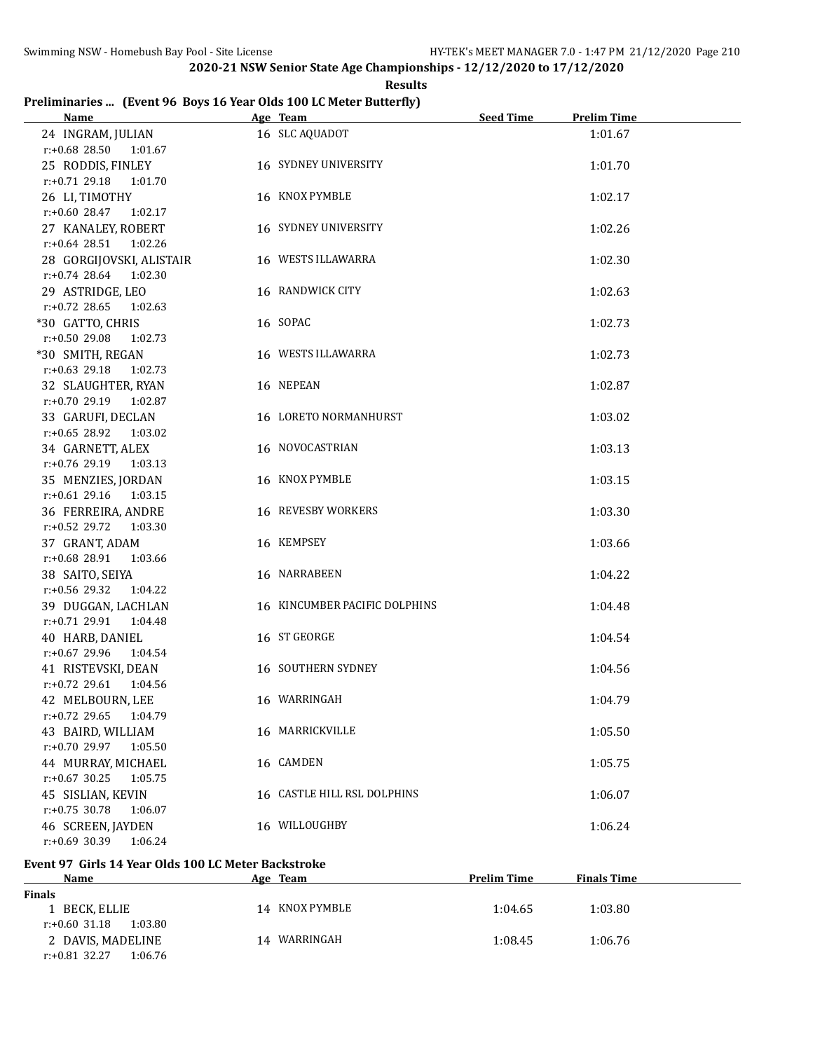**Results**

## **Preliminaries ... (Event 96 Boys 16 Year Olds 100 LC Meter Butterfly)**

| <b>Name</b>                 | Age Team and the state of the state of the state of the state of the state of the state of the state of the state of the state of the state of the state of the state of the state of the state of the state of the state of t | <b>Seed Time</b> | <b>Prelim Time</b> |  |
|-----------------------------|--------------------------------------------------------------------------------------------------------------------------------------------------------------------------------------------------------------------------------|------------------|--------------------|--|
| 24 INGRAM, JULIAN           | 16 SLC AQUADOT                                                                                                                                                                                                                 |                  | 1:01.67            |  |
| r:+0.68 28.50 1:01.67       |                                                                                                                                                                                                                                |                  |                    |  |
| 25 RODDIS, FINLEY           | 16 SYDNEY UNIVERSITY                                                                                                                                                                                                           |                  | 1:01.70            |  |
| r:+0.71 29.18 1:01.70       |                                                                                                                                                                                                                                |                  |                    |  |
| 26 LI, TIMOTHY              | 16 KNOX PYMBLE                                                                                                                                                                                                                 |                  | 1:02.17            |  |
| $r.+0.60$ 28.47 1:02.17     |                                                                                                                                                                                                                                |                  |                    |  |
| 27 KANALEY, ROBERT          | <b>16 SYDNEY UNIVERSITY</b>                                                                                                                                                                                                    |                  | 1:02.26            |  |
| r:+0.64 28.51 1:02.26       |                                                                                                                                                                                                                                |                  |                    |  |
| 28 GORGIJOVSKI, ALISTAIR    | 16 WESTS ILLAWARRA                                                                                                                                                                                                             |                  | 1:02.30            |  |
| r:+0.74 28.64 1:02.30       |                                                                                                                                                                                                                                |                  |                    |  |
| 29 ASTRIDGE, LEO            | 16 RANDWICK CITY                                                                                                                                                                                                               |                  | 1:02.63            |  |
| $r: +0.72$ 28.65<br>1:02.63 |                                                                                                                                                                                                                                |                  |                    |  |
| *30 GATTO, CHRIS            | 16 SOPAC                                                                                                                                                                                                                       |                  | 1:02.73            |  |
| 1:02.73<br>$r: +0.50$ 29.08 |                                                                                                                                                                                                                                |                  |                    |  |
| *30 SMITH, REGAN            | 16 WESTS ILLAWARRA                                                                                                                                                                                                             |                  | 1:02.73            |  |
| $r: +0.63$ 29.18<br>1:02.73 |                                                                                                                                                                                                                                |                  |                    |  |
| 32 SLAUGHTER, RYAN          | 16 NEPEAN                                                                                                                                                                                                                      |                  | 1:02.87            |  |
| r:+0.70 29.19<br>1:02.87    |                                                                                                                                                                                                                                |                  |                    |  |
| 33 GARUFI, DECLAN           | 16 LORETO NORMANHURST                                                                                                                                                                                                          |                  | 1:03.02            |  |
| $r: +0.65$ 28.92<br>1:03.02 |                                                                                                                                                                                                                                |                  |                    |  |
| 34 GARNETT, ALEX            | 16 NOVOCASTRIAN                                                                                                                                                                                                                |                  | 1:03.13            |  |
| r:+0.76 29.19<br>1:03.13    |                                                                                                                                                                                                                                |                  |                    |  |
| 35 MENZIES, JORDAN          | 16 KNOX PYMBLE                                                                                                                                                                                                                 |                  | 1:03.15            |  |
| $r: +0.61$ 29.16<br>1:03.15 |                                                                                                                                                                                                                                |                  |                    |  |
| 36 FERREIRA, ANDRE          | 16 REVESBY WORKERS                                                                                                                                                                                                             |                  | 1:03.30            |  |
| $r: +0.52$ 29.72<br>1:03.30 |                                                                                                                                                                                                                                |                  |                    |  |
| 37 GRANT, ADAM              | 16 KEMPSEY                                                                                                                                                                                                                     |                  | 1:03.66            |  |
| r:+0.68 28.91<br>1:03.66    |                                                                                                                                                                                                                                |                  |                    |  |
| 38 SAITO, SEIYA             | 16 NARRABEEN                                                                                                                                                                                                                   |                  | 1:04.22            |  |
| r:+0.56 29.32<br>1:04.22    |                                                                                                                                                                                                                                |                  |                    |  |
| 39 DUGGAN, LACHLAN          | 16 KINCUMBER PACIFIC DOLPHINS                                                                                                                                                                                                  |                  | 1:04.48            |  |
| $r: +0.71$ 29.91<br>1:04.48 |                                                                                                                                                                                                                                |                  |                    |  |
| 40 HARB, DANIEL             | 16 ST GEORGE                                                                                                                                                                                                                   |                  | 1:04.54            |  |
| r:+0.67 29.96<br>1:04.54    |                                                                                                                                                                                                                                |                  |                    |  |
| 41 RISTEVSKI, DEAN          | 16 SOUTHERN SYDNEY                                                                                                                                                                                                             |                  | 1:04.56            |  |
| r:+0.72 29.61 1:04.56       |                                                                                                                                                                                                                                |                  |                    |  |
| 42 MELBOURN, LEE            | 16 WARRINGAH                                                                                                                                                                                                                   |                  | 1:04.79            |  |
| $r: +0.72$ 29.65<br>1:04.79 |                                                                                                                                                                                                                                |                  |                    |  |
| 43 BAIRD, WILLIAM           | 16 MARRICKVILLE                                                                                                                                                                                                                |                  | 1:05.50            |  |
| r:+0.70 29.97<br>1:05.50    |                                                                                                                                                                                                                                |                  |                    |  |
| 44 MURRAY, MICHAEL          | 16 CAMDEN                                                                                                                                                                                                                      |                  | 1:05.75            |  |
| $r: +0.67$ 30.25<br>1:05.75 |                                                                                                                                                                                                                                |                  |                    |  |
| 45 SISLIAN, KEVIN           | 16 CASTLE HILL RSL DOLPHINS                                                                                                                                                                                                    |                  | 1:06.07            |  |
| r:+0.75 30.78<br>1:06.07    |                                                                                                                                                                                                                                |                  |                    |  |
| 46 SCREEN, JAYDEN           | 16 WILLOUGHBY                                                                                                                                                                                                                  |                  | 1:06.24            |  |
| r:+0.69 30.39<br>1:06.24    |                                                                                                                                                                                                                                |                  |                    |  |

## **Event 97 Girls 14 Year Olds 100 LC Meter Backstroke**

| Name<br>Age                 | <b>Team</b>    | <b>Prelim Time</b> | <b>Finals Time</b> |
|-----------------------------|----------------|--------------------|--------------------|
| <b>Finals</b>               |                |                    |                    |
| 1 BECK, ELLIE               | 14 KNOX PYMBLE | 1:04.65            | 1:03.80            |
| 1:03.80<br>$r: +0.60$ 31.18 |                |                    |                    |
| 2 DAVIS, MADELINE<br>14     | WARRINGAH      | 1:08.45            | 1:06.76            |
| $r: +0.81$ 32.27<br>1:06.76 |                |                    |                    |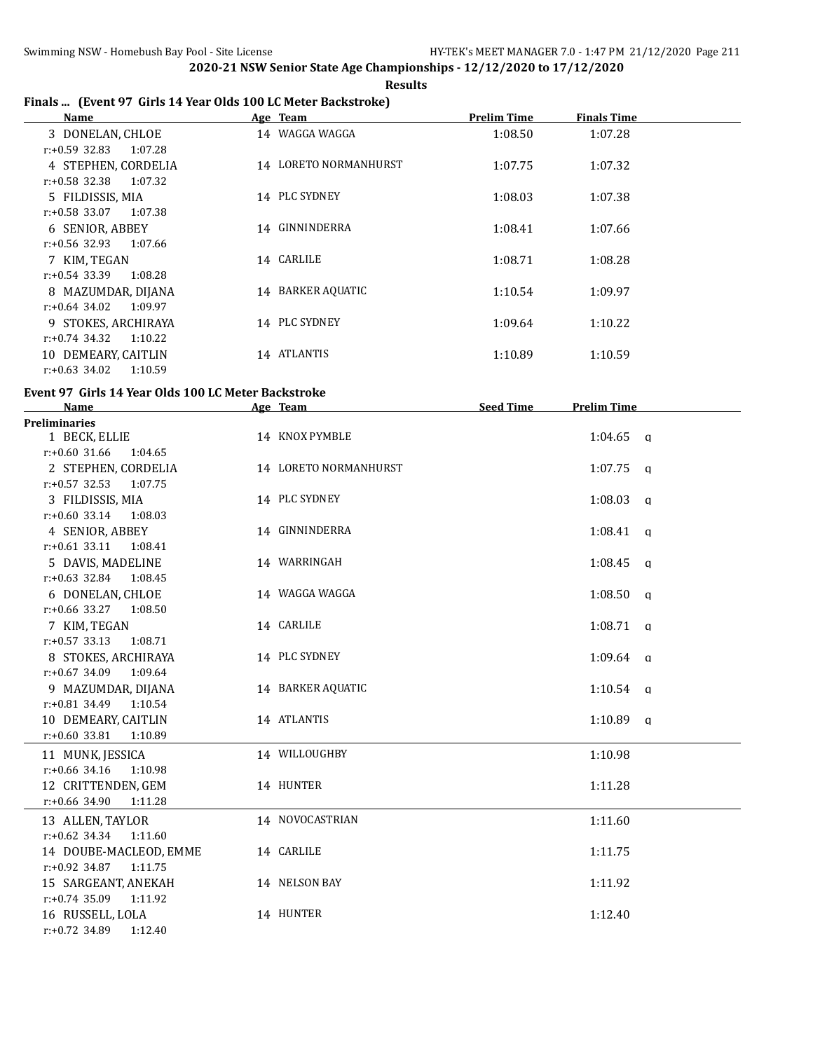**Results**

## **Finals ... (Event 97 Girls 14 Year Olds 100 LC Meter Backstroke)**

| Name                        | Age Team              | <b>Prelim Time</b> | <b>Finals Time</b> |  |
|-----------------------------|-----------------------|--------------------|--------------------|--|
| 3 DONELAN, CHLOE            | 14 WAGGA WAGGA        | 1:08.50            | 1:07.28            |  |
| $r: +0.59$ 32.83<br>1:07.28 |                       |                    |                    |  |
| 4 STEPHEN, CORDELIA         | 14 LORETO NORMANHURST | 1:07.75            | 1:07.32            |  |
| $r: +0.58$ 32.38<br>1:07.32 |                       |                    |                    |  |
| 5 FILDISSIS, MIA            | 14 PLC SYDNEY         | 1:08.03            | 1:07.38            |  |
| $r: +0.58$ 33.07<br>1:07.38 |                       |                    |                    |  |
| 6 SENIOR, ABBEY             | 14 GINNINDERRA        | 1:08.41            | 1:07.66            |  |
| $r: +0.56$ 32.93<br>1:07.66 |                       |                    |                    |  |
| 7 KIM, TEGAN                | 14 CARLILE            | 1:08.71            | 1:08.28            |  |
| $r: +0.54$ 33.39<br>1:08.28 |                       |                    |                    |  |
| 8 MAZUMDAR, DIJANA          | 14 BARKER AQUATIC     | 1:10.54            | 1:09.97            |  |
| $r: +0.64$ 34.02<br>1:09.97 |                       |                    |                    |  |
| 9 STOKES, ARCHIRAYA         | 14 PLC SYDNEY         | 1:09.64            | 1:10.22            |  |
| $r: +0.74$ 34.32<br>1:10.22 |                       |                    |                    |  |
| 10 DEMEARY, CAITLIN         | 14 ATLANTIS           | 1:10.89            | 1:10.59            |  |
| 1:10.59<br>$r: +0.63$ 34.02 |                       |                    |                    |  |

### **Event 97 Girls 14 Year Olds 100 LC Meter Backstroke**

| <b>Name</b>                 | Age Team              | <b>Seed Time</b> | <b>Prelim Time</b> |  |
|-----------------------------|-----------------------|------------------|--------------------|--|
| <b>Preliminaries</b>        |                       |                  |                    |  |
| 1 BECK, ELLIE               | 14 KNOX PYMBLE        |                  | $1:04.65$ a        |  |
| $r: +0.60$ 31.66<br>1:04.65 |                       |                  |                    |  |
| 2 STEPHEN, CORDELIA         | 14 LORETO NORMANHURST |                  | $1:07.75$ q        |  |
| $r: +0.57$ 32.53 1:07.75    |                       |                  |                    |  |
| 3 FILDISSIS, MIA            | 14 PLC SYDNEY         |                  | $1:08.03$ q        |  |
| $r: +0.60$ 33.14 1:08.03    |                       |                  |                    |  |
| 4 SENIOR, ABBEY             | 14 GINNINDERRA        |                  | $1:08.41$ q        |  |
| $r: +0.61$ 33.11<br>1:08.41 |                       |                  |                    |  |
| 5 DAVIS, MADELINE           | 14 WARRINGAH          |                  | $1:08.45$ q        |  |
| $r: +0.63$ 32.84 1:08.45    |                       |                  |                    |  |
| 6 DONELAN, CHLOE            | 14 WAGGA WAGGA        |                  | $1:08.50$ a        |  |
| $r: +0.66$ 33.27 1:08.50    |                       |                  |                    |  |
| 7 KIM, TEGAN                | 14 CARLILE            |                  | $1:08.71$ q        |  |
| $r: +0.57$ 33.13<br>1:08.71 |                       |                  |                    |  |
| 8 STOKES, ARCHIRAYA         | 14 PLC SYDNEY         |                  | $1:09.64$ q        |  |
| $r: +0.67$ 34.09<br>1:09.64 |                       |                  |                    |  |
| 9 MAZUMDAR, DIJANA          | 14 BARKER AQUATIC     |                  | $1:10.54$ q        |  |
| $r: +0.81$ 34.49<br>1:10.54 |                       |                  |                    |  |
| 10 DEMEARY, CAITLIN         | 14 ATLANTIS           |                  | $1:10.89$ q        |  |
| $r: +0.60$ 33.81<br>1:10.89 |                       |                  |                    |  |
| 11 MUNK, JESSICA            | 14 WILLOUGHBY         |                  | 1:10.98            |  |
| $r: +0.66$ 34.16<br>1:10.98 |                       |                  |                    |  |
| 12 CRITTENDEN, GEM          | 14 HUNTER             |                  | 1:11.28            |  |
| r:+0.66 34.90<br>1:11.28    |                       |                  |                    |  |
| 13 ALLEN, TAYLOR            | 14 NOVOCASTRIAN       |                  | 1:11.60            |  |
| $r: +0.62$ 34.34 1:11.60    |                       |                  |                    |  |
| 14 DOUBE-MACLEOD, EMME      | 14 CARLILE            |                  | 1:11.75            |  |
| $r: +0.92$ 34.87<br>1:11.75 |                       |                  |                    |  |
| 15 SARGEANT, ANEKAH         | 14 NELSON BAY         |                  | 1:11.92            |  |
| $r: +0.74$ 35.09<br>1:11.92 |                       |                  |                    |  |
| 16 RUSSELL, LOLA            | 14 HUNTER             |                  | 1:12.40            |  |
| r:+0.72 34.89<br>1:12.40    |                       |                  |                    |  |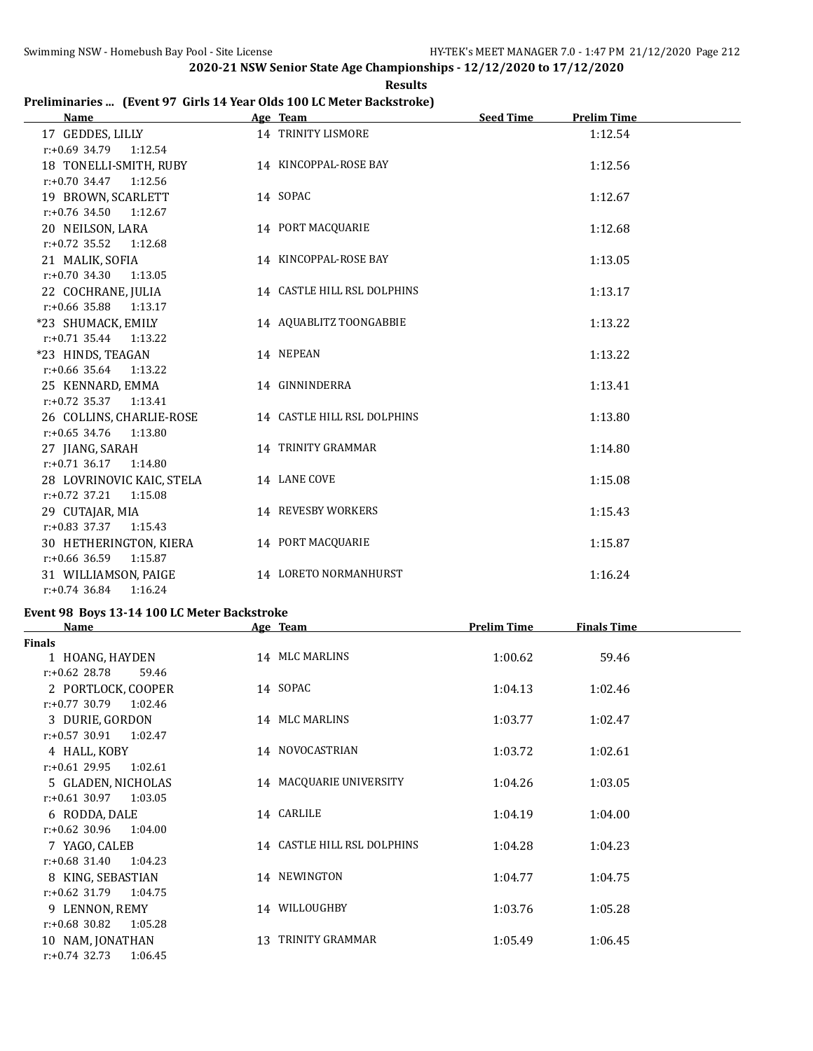**Results**

## **Preliminaries ... (Event 97 Girls 14 Year Olds 100 LC Meter Backstroke)**

| Name                        | Age Team                    | <b>Seed Time</b> | <b>Prelim Time</b> |
|-----------------------------|-----------------------------|------------------|--------------------|
| 17 GEDDES, LILLY            | 14 TRINITY LISMORE          |                  | 1:12.54            |
| $r: +0.69$ 34.79 1:12.54    |                             |                  |                    |
| 18 TONELLI-SMITH, RUBY      | 14 KINCOPPAL-ROSE BAY       |                  | 1:12.56            |
| $r.+0.70$ 34.47 1:12.56     |                             |                  |                    |
| 19 BROWN, SCARLETT          | 14 SOPAC                    |                  | 1:12.67            |
| $r: +0.76$ 34.50<br>1:12.67 |                             |                  |                    |
| 20 NEILSON, LARA            | 14 PORT MACQUARIE           |                  | 1:12.68            |
| $r: +0.72$ 35.52<br>1:12.68 |                             |                  |                    |
| 21 MALIK, SOFIA             | 14 KINCOPPAL-ROSE BAY       |                  | 1:13.05            |
| $r: +0.70$ 34.30<br>1:13.05 |                             |                  |                    |
| 22 COCHRANE, JULIA          | 14 CASTLE HILL RSL DOLPHINS |                  | 1:13.17            |
| $r: +0.66$ 35.88<br>1:13.17 |                             |                  |                    |
| *23 SHUMACK, EMILY          | 14 AQUABLITZ TOONGABBIE     |                  | 1:13.22            |
| $r.+0.71$ 35.44 1:13.22     |                             |                  |                    |
| *23 HINDS, TEAGAN           | 14 NEPEAN                   |                  | 1:13.22            |
| $r: +0.66$ 35.64 1:13.22    |                             |                  |                    |
| 25 KENNARD, EMMA            | 14 GINNINDERRA              |                  | 1:13.41            |
| $r.+0.72$ 35.37 1:13.41     |                             |                  |                    |
| 26 COLLINS, CHARLIE-ROSE    | 14 CASTLE HILL RSL DOLPHINS |                  | 1:13.80            |
| $r: +0.65$ 34.76<br>1:13.80 |                             |                  |                    |
| 27 JIANG, SARAH             | 14 TRINITY GRAMMAR          |                  | 1:14.80            |
| $r: +0.71$ 36.17<br>1:14.80 |                             |                  |                    |
| 28 LOVRINOVIC KAIC, STELA   | 14 LANE COVE                |                  | 1:15.08            |
| $r: +0.72$ 37.21<br>1:15.08 |                             |                  |                    |
| 29 CUTAJAR, MIA             | 14 REVESBY WORKERS          |                  | 1:15.43            |
| $r: +0.83$ 37.37<br>1:15.43 |                             |                  |                    |
| 30 HETHERINGTON, KIERA      | 14 PORT MACQUARIE           |                  | 1:15.87            |
| $r: +0.66$ 36.59 1:15.87    |                             |                  |                    |
| 31 WILLIAMSON, PAIGE        | 14 LORETO NORMANHURST       |                  | 1:16.24            |
| $r: +0.74$ 36.84<br>1:16.24 |                             |                  |                    |

#### **Event 98 Boys 13-14 100 LC Meter Backstroke**

| <b>Name</b>                 | Age Team                    | <b>Prelim Time</b> | <b>Finals Time</b> |  |
|-----------------------------|-----------------------------|--------------------|--------------------|--|
| <b>Finals</b>               |                             |                    |                    |  |
| 1 HOANG, HAYDEN             | 14 MLC MARLINS              | 1:00.62            | 59.46              |  |
| $r: +0.62$ 28.78<br>59.46   |                             |                    |                    |  |
| 2 PORTLOCK, COOPER          | 14 SOPAC                    | 1:04.13            | 1:02.46            |  |
| $r: +0.77$ 30.79<br>1:02.46 |                             |                    |                    |  |
| 3 DURIE, GORDON             | 14 MLC MARLINS              | 1:03.77            | 1:02.47            |  |
| $r: +0.57$ 30.91<br>1:02.47 |                             |                    |                    |  |
| 4 HALL, KOBY                | 14 NOVOCASTRIAN             | 1:03.72            | 1:02.61            |  |
| $r: +0.61$ 29.95<br>1:02.61 |                             |                    |                    |  |
| 5 GLADEN, NICHOLAS          | 14 MACQUARIE UNIVERSITY     | 1:04.26            | 1:03.05            |  |
| $r: +0.61$ 30.97<br>1:03.05 |                             |                    |                    |  |
| 6 RODDA, DALE               | 14 CARLILE                  | 1:04.19            | 1:04.00            |  |
| $r: +0.62$ 30.96<br>1:04.00 |                             |                    |                    |  |
| 7 YAGO, CALEB               | 14 CASTLE HILL RSL DOLPHINS | 1:04.28            | 1:04.23            |  |
| $r: +0.68$ 31.40<br>1:04.23 |                             |                    |                    |  |
| 8 KING, SEBASTIAN           | 14 NEWINGTON                | 1:04.77            | 1:04.75            |  |
| $r: +0.62$ 31.79<br>1:04.75 |                             |                    |                    |  |
| 9 LENNON, REMY              | 14 WILLOUGHBY               | 1:03.76            | 1:05.28            |  |
| $r: +0.68$ 30.82<br>1:05.28 |                             |                    |                    |  |
| 10 NAM, JONATHAN            | TRINITY GRAMMAR<br>13.      | 1:05.49            | 1:06.45            |  |
| $r: +0.74$ 32.73<br>1:06.45 |                             |                    |                    |  |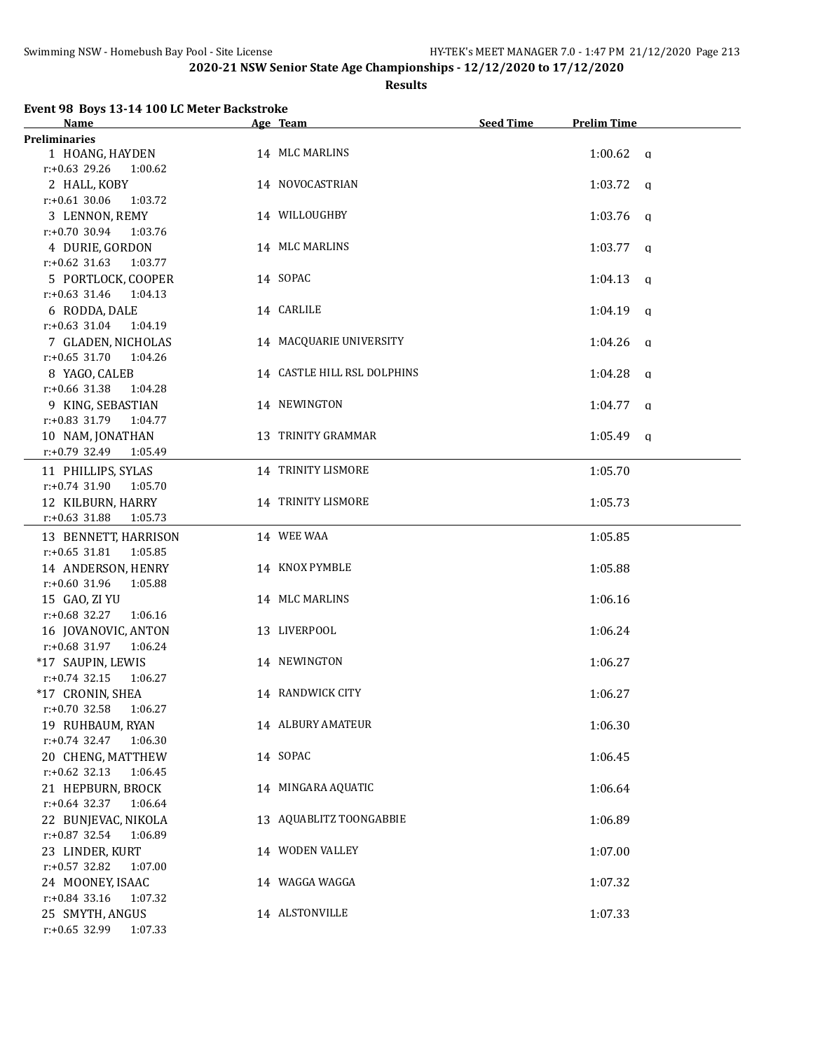#### **Results**

# **Event 98 Boys 13-14 100 LC Meter Backstroke**

| Name                        | Age Team                    | <b>Seed Time</b> | <b>Prelim Time</b>      |
|-----------------------------|-----------------------------|------------------|-------------------------|
| <b>Preliminaries</b>        |                             |                  |                         |
| 1 HOANG, HAYDEN             | 14 MLC MARLINS              |                  | $1:00.62$ a             |
| $r: +0.63$ 29.26<br>1:00.62 |                             |                  |                         |
| 2 HALL, KOBY                | 14 NOVOCASTRIAN             |                  | $1:03.72$ a             |
| $r: +0.61$ 30.06<br>1:03.72 |                             |                  |                         |
| 3 LENNON, REMY              | 14 WILLOUGHBY               |                  | 1:03.76<br>q            |
| $r: +0.70$ 30.94<br>1:03.76 |                             |                  |                         |
| 4 DURIE, GORDON             | 14 MLC MARLINS              |                  | $1:03.77$ q             |
| $r: +0.62$ 31.63<br>1:03.77 |                             |                  |                         |
| 5 PORTLOCK, COOPER          | 14 SOPAC                    |                  | 1:04.13<br>q            |
| $r: +0.63$ 31.46<br>1:04.13 |                             |                  |                         |
| 6 RODDA, DALE               | 14 CARLILE                  |                  | 1:04.19<br>$\mathbf{q}$ |
| $r: +0.63$ 31.04<br>1:04.19 |                             |                  |                         |
| 7 GLADEN, NICHOLAS          | 14 MACQUARIE UNIVERSITY     |                  | 1:04.26<br>$\alpha$     |
| $r: +0.65$ 31.70<br>1:04.26 |                             |                  |                         |
| 8 YAGO, CALEB               | 14 CASTLE HILL RSL DOLPHINS |                  | 1:04.28<br>q            |
| $r: +0.66$ 31.38<br>1:04.28 |                             |                  |                         |
| 9 KING, SEBASTIAN           | 14 NEWINGTON                |                  | 1:04.77<br><sub>q</sub> |
| $r: +0.83$ 31.79<br>1:04.77 |                             |                  |                         |
| 10 NAM, JONATHAN            | 13 TRINITY GRAMMAR          |                  | $1:05.49$ q             |
| r:+0.79 32.49<br>1:05.49    |                             |                  |                         |
|                             |                             |                  |                         |
| 11 PHILLIPS, SYLAS          | 14 TRINITY LISMORE          |                  | 1:05.70                 |
| $r: +0.74$ 31.90<br>1:05.70 |                             |                  |                         |
| 12 KILBURN, HARRY           | 14 TRINITY LISMORE          |                  | 1:05.73                 |
| $r: +0.63$ 31.88<br>1:05.73 |                             |                  |                         |
| 13 BENNETT, HARRISON        | 14 WEE WAA                  |                  | 1:05.85                 |
| $r: +0.65$ 31.81<br>1:05.85 |                             |                  |                         |
| 14 ANDERSON, HENRY          | 14 KNOX PYMBLE              |                  | 1:05.88                 |
| $r: +0.60$ 31.96<br>1:05.88 |                             |                  |                         |
| 15 GAO, ZI YU               | 14 MLC MARLINS              |                  | 1:06.16                 |
| $r: +0.68$ 32.27<br>1:06.16 |                             |                  |                         |
| 16 JOVANOVIC, ANTON         | 13 LIVERPOOL                |                  | 1:06.24                 |
| $r: +0.68$ 31.97<br>1:06.24 |                             |                  |                         |
| *17 SAUPIN, LEWIS           | 14 NEWINGTON                |                  | 1:06.27                 |
| $r: +0.74$ 32.15<br>1:06.27 |                             |                  |                         |
| *17 CRONIN, SHEA            | 14 RANDWICK CITY            |                  | 1:06.27                 |
| $r: +0.70$ 32.58 1:06.27    |                             |                  |                         |
| 19 RUHBAUM, RYAN            | <b>14 ALBURY AMATEUR</b>    |                  | 1:06.30                 |
| $r: +0.74$ 32.47<br>1:06.30 |                             |                  |                         |
| 20 CHENG, MATTHEW           | 14 SOPAC                    |                  | 1:06.45                 |
| $r: +0.62$ 32.13<br>1:06.45 |                             |                  |                         |
| 21 HEPBURN, BROCK           | 14 MINGARA AQUATIC          |                  | 1:06.64                 |
| $r: +0.64$ 32.37<br>1:06.64 |                             |                  |                         |
| 22 BUNJEVAC, NIKOLA         | 13 AQUABLITZ TOONGABBIE     |                  | 1:06.89                 |
| $r: +0.87$ 32.54<br>1:06.89 |                             |                  |                         |
| 23 LINDER, KURT             | 14 WODEN VALLEY             |                  | 1:07.00                 |
| r:+0.57 32.82<br>1:07.00    |                             |                  |                         |
| 24 MOONEY, ISAAC            | 14 WAGGA WAGGA              |                  | 1:07.32                 |
| r:+0.84 33.16<br>1:07.32    |                             |                  |                         |
| 25 SMYTH, ANGUS             | 14 ALSTONVILLE              |                  | 1:07.33                 |
| $r: +0.65$ 32.99<br>1:07.33 |                             |                  |                         |
|                             |                             |                  |                         |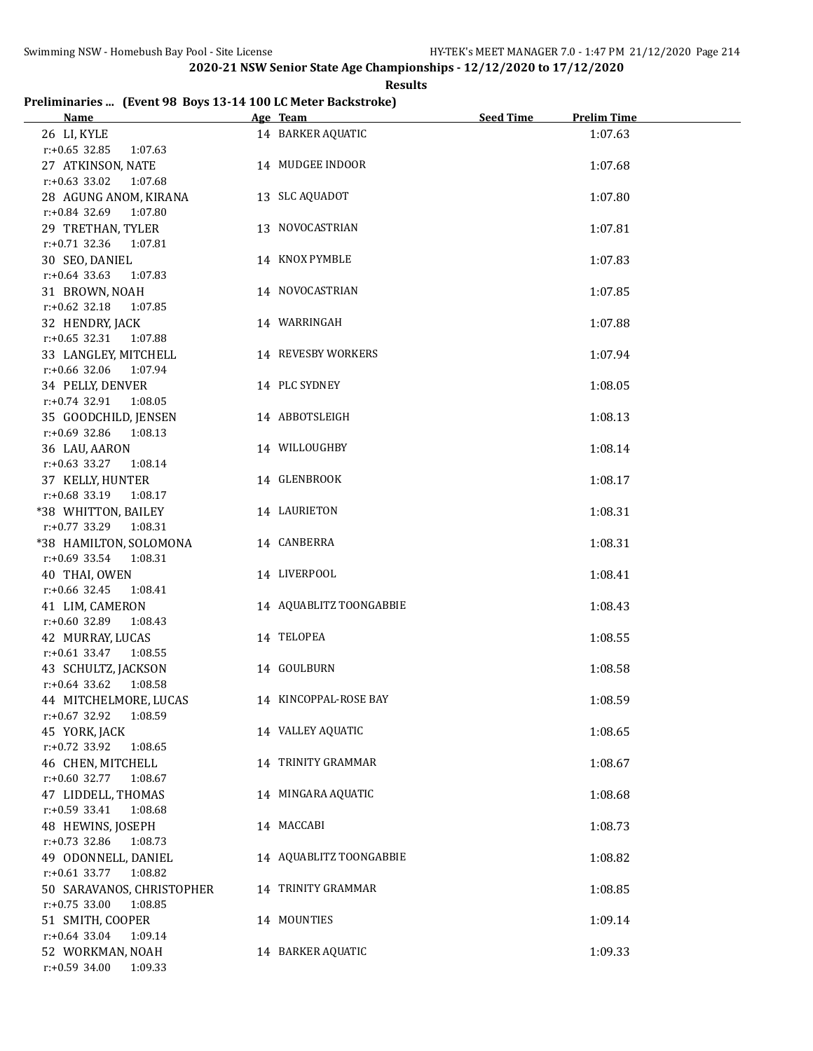### **Results**

## **Preliminaries ... (Event 98 Boys 13-14 100 LC Meter Backstroke)**

| Name                                          | Age Team                | Seed Time | <b>Prelim Time</b> |
|-----------------------------------------------|-------------------------|-----------|--------------------|
| 26 LI, KYLE                                   | 14 BARKER AQUATIC       |           | 1:07.63            |
| $r: +0.65$ 32.85 1:07.63                      |                         |           |                    |
| 27 ATKINSON, NATE                             | 14 MUDGEE INDOOR        |           | 1:07.68            |
| $r: +0.63$ 33.02 1:07.68                      |                         |           |                    |
| 28 AGUNG ANOM, KIRANA                         | 13 SLC AQUADOT          |           | 1:07.80            |
| r:+0.84 32.69 1:07.80                         |                         |           |                    |
| 29 TRETHAN, TYLER                             | 13 NOVOCASTRIAN         |           | 1:07.81            |
| r:+0.71 32.36 1:07.81                         |                         |           |                    |
| 30 SEO, DANIEL                                | 14 KNOX PYMBLE          |           | 1:07.83            |
| $r: +0.64$ 33.63 1:07.83                      |                         |           |                    |
| 31 BROWN, NOAH                                | 14 NOVOCASTRIAN         |           | 1:07.85            |
| r:+0.62 32.18 1:07.85                         |                         |           |                    |
| 32 HENDRY, JACK                               | 14 WARRINGAH            |           | 1:07.88            |
| r:+0.65 32.31 1:07.88                         |                         |           |                    |
| 33 LANGLEY, MITCHELL                          | 14 REVESBY WORKERS      |           | 1:07.94            |
| r:+0.66 32.06 1:07.94                         |                         |           |                    |
| 34 PELLY, DENVER                              | 14 PLC SYDNEY           |           | 1:08.05            |
| r:+0.74 32.91 1:08.05                         |                         |           |                    |
| 35 GOODCHILD, JENSEN                          | 14 ABBOTSLEIGH          |           | 1:08.13            |
| $r: +0.69$ 32.86 1:08.13                      |                         |           |                    |
| 36 LAU, AARON                                 | 14 WILLOUGHBY           |           | 1:08.14            |
| $r.+0.63$ 33.27 1:08.14<br>37 KELLY, HUNTER   | 14 GLENBROOK            |           | 1:08.17            |
| $r.+0.68$ 33.19 1:08.17                       |                         |           |                    |
| *38 WHITTON, BAILEY                           | 14 LAURIETON            |           | 1:08.31            |
| $r.+0.77$ 33.29 1:08.31                       |                         |           |                    |
| *38 HAMILTON, SOLOMONA                        | 14 CANBERRA             |           | 1:08.31            |
| $r: +0.69$ 33.54 1:08.31                      |                         |           |                    |
| 40 THAI, OWEN                                 | 14 LIVERPOOL            |           | 1:08.41            |
| $r: +0.66$ 32.45<br>1:08.41                   |                         |           |                    |
| 41 LIM, CAMERON                               | 14 AQUABLITZ TOONGABBIE |           | 1:08.43            |
| $r: +0.60$ 32.89<br>1:08.43                   |                         |           |                    |
| 42 MURRAY, LUCAS                              | 14 TELOPEA              |           | 1:08.55            |
| $r: +0.61$ 33.47 1:08.55                      |                         |           |                    |
| 43 SCHULTZ, JACKSON                           | 14 GOULBURN             |           | 1:08.58            |
| r:+0.64 33.62 1:08.58                         |                         |           |                    |
| 44 MITCHELMORE, LUCAS                         | 14 KINCOPPAL-ROSE BAY   |           | 1:08.59            |
| $r: +0.67$ 32.92<br>1:08.59                   |                         |           |                    |
| 45 YORK, JACK                                 | 14 VALLEY AQUATIC       |           | 1:08.65            |
| r:+0.72 33.92<br>1:08.65<br>46 CHEN, MITCHELL | 14 TRINITY GRAMMAR      |           |                    |
| $r: +0.60$ 32.77<br>1:08.67                   |                         |           | 1:08.67            |
| 47 LIDDELL, THOMAS                            | 14 MINGARA AQUATIC      |           | 1:08.68            |
| $r: +0.59$ 33.41<br>1:08.68                   |                         |           |                    |
| 48 HEWINS, JOSEPH                             | 14 MACCABI              |           | 1:08.73            |
| $r: +0.73$ 32.86<br>1:08.73                   |                         |           |                    |
| 49 ODONNELL, DANIEL                           | 14 AQUABLITZ TOONGABBIE |           | 1:08.82            |
| r:+0.61 33.77 1:08.82                         |                         |           |                    |
| 50 SARAVANOS, CHRISTOPHER                     | 14 TRINITY GRAMMAR      |           | 1:08.85            |
| $r: +0.75$ 33.00<br>1:08.85                   |                         |           |                    |
| 51 SMITH, COOPER                              | 14 MOUNTIES             |           | 1:09.14            |
| $r: +0.64$ 33.04<br>1:09.14                   |                         |           |                    |
| 52 WORKMAN, NOAH                              | 14 BARKER AQUATIC       |           | 1:09.33            |
| $r: +0.59$ 34.00<br>1:09.33                   |                         |           |                    |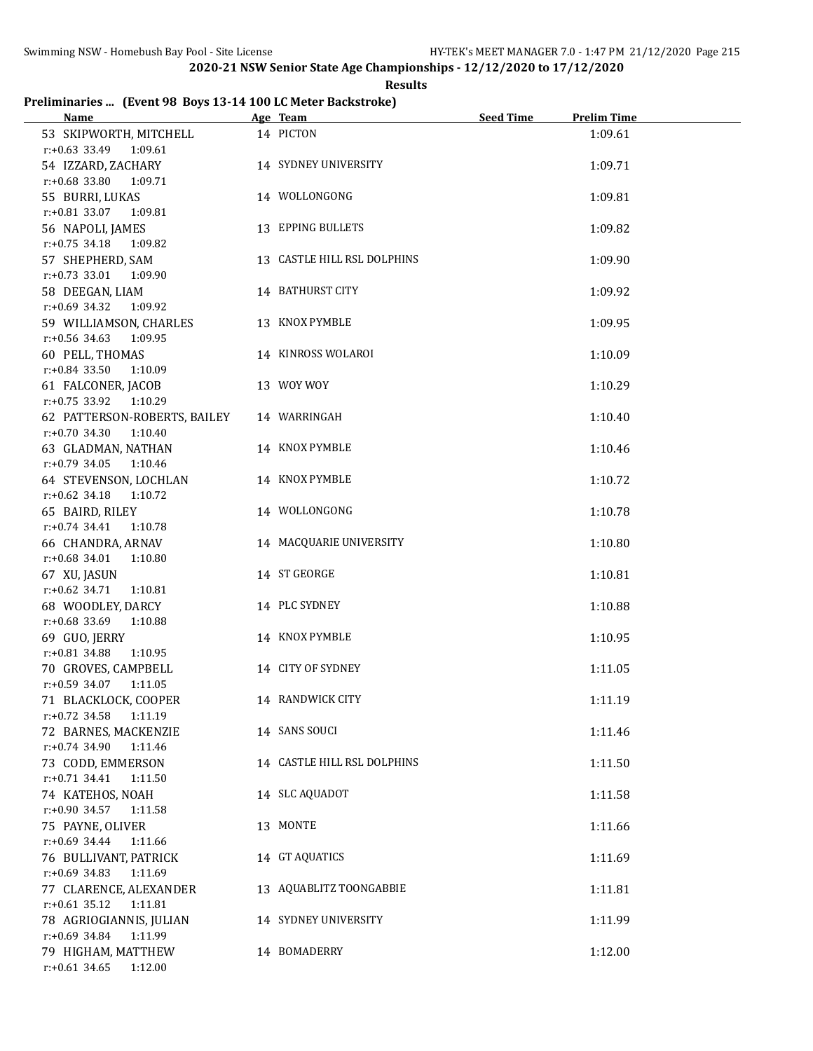#### **Results**

# **Preliminaries ... (Event 98 Boys 13-14 100 LC Meter Backstroke)**

| <u>Name</u>                                 | Age Team                    | <b>Seed Time</b> | <b>Prelim Time</b> |
|---------------------------------------------|-----------------------------|------------------|--------------------|
| 53 SKIPWORTH, MITCHELL                      | 14 PICTON                   |                  | 1:09.61            |
| r:+0.63 33.49 1:09.61                       |                             |                  |                    |
| 54 IZZARD, ZACHARY                          | 14 SYDNEY UNIVERSITY        |                  | 1:09.71            |
| r:+0.68 33.80 1:09.71                       |                             |                  |                    |
| 55 BURRI, LUKAS                             | 14 WOLLONGONG               |                  | 1:09.81            |
| r:+0.81 33.07 1:09.81                       |                             |                  |                    |
| 56 NAPOLI, JAMES                            | 13 EPPING BULLETS           |                  | 1:09.82            |
| $r: +0.75$ 34.18 1:09.82                    |                             |                  |                    |
| 57 SHEPHERD, SAM                            | 13 CASTLE HILL RSL DOLPHINS |                  | 1:09.90            |
| $r: +0.73$ 33.01 1:09.90                    |                             |                  |                    |
| 58 DEEGAN, LIAM                             | 14 BATHURST CITY            |                  | 1:09.92            |
| $r: +0.69$ 34.32 1:09.92                    |                             |                  |                    |
| 59 WILLIAMSON, CHARLES                      | 13 KNOX PYMBLE              |                  | 1:09.95            |
| r:+0.56 34.63 1:09.95                       |                             |                  |                    |
| 60 PELL, THOMAS                             | 14 KINROSS WOLAROI          |                  | 1:10.09            |
| $r.+0.84$ 33.50 1:10.09                     |                             |                  |                    |
| 61 FALCONER, JACOB                          | 13 WOY WOY                  |                  | 1:10.29            |
| r:+0.75 33.92 1:10.29                       |                             |                  |                    |
| 62 PATTERSON-ROBERTS, BAILEY                | 14 WARRINGAH                |                  | 1:10.40            |
| $r: +0.70$ 34.30 1:10.40                    |                             |                  |                    |
| 63 GLADMAN, NATHAN                          | 14 KNOX PYMBLE              |                  | 1:10.46            |
| r:+0.79 34.05 1:10.46                       |                             |                  |                    |
| 64 STEVENSON, LOCHLAN                       | 14 KNOX PYMBLE              |                  | 1:10.72            |
| $r.+0.62$ 34.18 1:10.72                     |                             |                  |                    |
| 65 BAIRD, RILEY                             | 14 WOLLONGONG               |                  | 1:10.78            |
| $r.+0.74$ 34.41 1:10.78                     |                             |                  |                    |
| 66 CHANDRA, ARNAV                           | 14 MACQUARIE UNIVERSITY     |                  | 1:10.80            |
| $r: +0.68$ 34.01<br>1:10.80                 |                             |                  |                    |
| 67 XU, JASUN                                | 14 ST GEORGE                |                  | 1:10.81            |
| $r.+0.62$ 34.71 1:10.81                     |                             |                  |                    |
| 68 WOODLEY, DARCY                           | 14 PLC SYDNEY               |                  | 1:10.88            |
| $r.+0.68$ 33.69 1:10.88                     |                             |                  |                    |
| 69 GUO, JERRY                               | 14 KNOX PYMBLE              |                  | 1:10.95            |
| r:+0.81 34.88<br>1:10.95                    |                             |                  |                    |
| 70 GROVES, CAMPBELL                         | 14 CITY OF SYDNEY           |                  | 1:11.05            |
| r:+0.59 34.07 1:11.05                       |                             |                  |                    |
| 71 BLACKLOCK, COOPER                        | 14 RANDWICK CITY            |                  | 1:11.19            |
| $r: +0.72$ 34.58<br>1:11.19                 |                             |                  |                    |
| 72 BARNES, MACKENZIE                        | 14 SANS SOUCI               |                  | 1:11.46            |
| $r: +0.74$ 34.90<br>1:11.46                 |                             |                  |                    |
| 73 CODD, EMMERSON                           | 14 CASTLE HILL RSL DOLPHINS |                  | 1:11.50            |
| $r: +0.71$ 34.41<br>1:11.50                 |                             |                  |                    |
| 74 KATEHOS, NOAH                            | 14 SLC AQUADOT              |                  | 1:11.58            |
| r:+0.90 34.57 1:11.58                       |                             |                  |                    |
| 75 PAYNE, OLIVER                            | 13 MONTE                    |                  | 1:11.66            |
| $r: +0.69$ 34.44<br>1:11.66                 |                             |                  |                    |
| 76 BULLIVANT, PATRICK                       | 14 GT AQUATICS              |                  | 1:11.69            |
| r:+0.69 34.83<br>1:11.69                    |                             |                  |                    |
| 77 CLARENCE, ALEXANDER                      | 13 AQUABLITZ TOONGABBIE     |                  | 1:11.81            |
| r:+0.61 35.12 1:11.81                       |                             |                  |                    |
| 78 AGRIOGIANNIS, JULIAN                     | 14 SYDNEY UNIVERSITY        |                  | 1:11.99            |
| r:+0.69 34.84<br>1:11.99                    | 14 BOMADERRY                |                  |                    |
| 79 HIGHAM, MATTHEW<br>r:+0.61 34.65 1:12.00 |                             |                  | 1:12.00            |
|                                             |                             |                  |                    |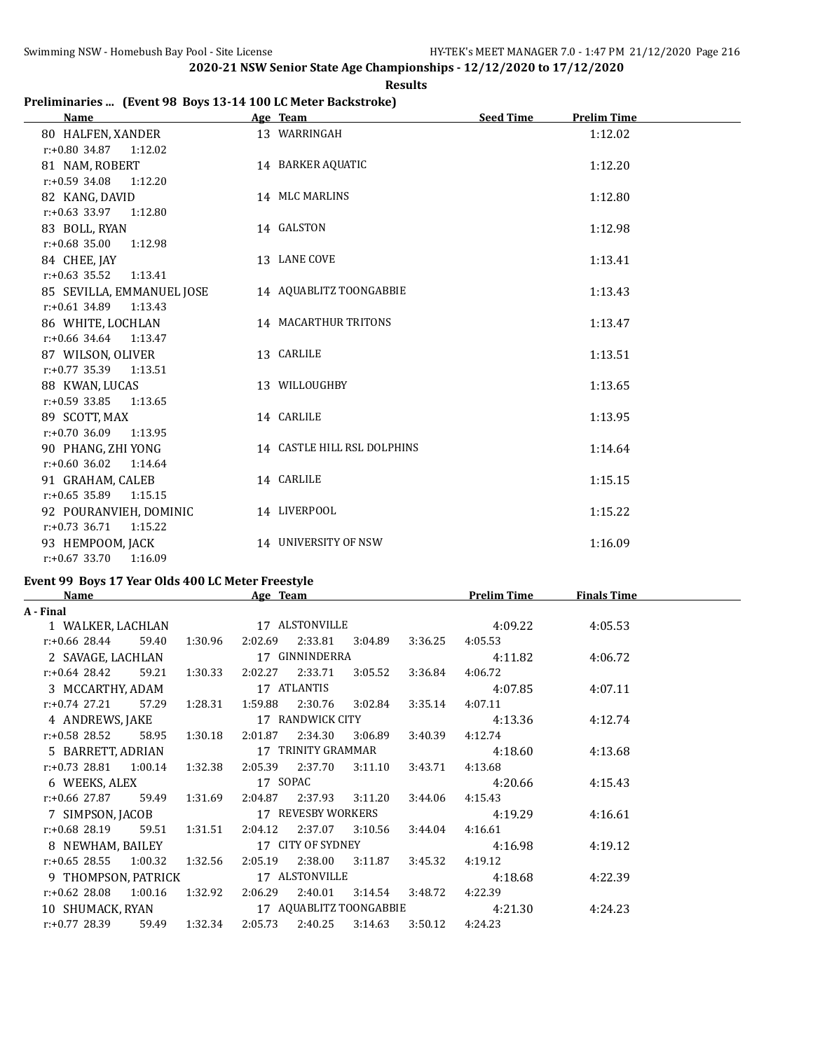| <b>Results</b> |
|----------------|
|                |

## **Preliminaries ... (Event 98 Boys 13-14 100 LC Meter Backstroke)**

| <b>Name</b>                 | Age Team                    | <b>Seed Time</b><br><b>Prelim Time</b> |
|-----------------------------|-----------------------------|----------------------------------------|
| 80 HALFEN, XANDER           | 13 WARRINGAH                | 1:12.02                                |
| $r: +0.80$ 34.87<br>1:12.02 |                             |                                        |
| 81 NAM, ROBERT              | 14 BARKER AQUATIC           | 1:12.20                                |
| $r: +0.59$ 34.08<br>1:12.20 |                             |                                        |
| 82 KANG, DAVID              | 14 MLC MARLINS              | 1:12.80                                |
| $r: +0.63$ 33.97<br>1:12.80 |                             |                                        |
| 83 BOLL, RYAN               | 14 GALSTON                  | 1:12.98                                |
| $r: +0.68$ 35.00<br>1:12.98 |                             |                                        |
| 84 CHEE, JAY                | 13 LANE COVE                | 1:13.41                                |
| $r: +0.63$ 35.52<br>1:13.41 |                             |                                        |
| 85 SEVILLA, EMMANUEL JOSE   | 14 AQUABLITZ TOONGABBIE     | 1:13.43                                |
| 1:13.43<br>$r: +0.61$ 34.89 |                             |                                        |
| 86 WHITE, LOCHLAN           | 14 MACARTHUR TRITONS        | 1:13.47                                |
| $r: +0.66$ 34.64<br>1:13.47 |                             |                                        |
| 87 WILSON, OLIVER           | 13 CARLILE                  | 1:13.51                                |
| r:+0.77 35.39<br>1:13.51    |                             |                                        |
| 88 KWAN, LUCAS              | 13 WILLOUGHBY               | 1:13.65                                |
| $r: +0.59$ 33.85<br>1:13.65 |                             |                                        |
| 89 SCOTT, MAX               | 14 CARLILE                  | 1:13.95                                |
| $r: +0.70$ 36.09<br>1:13.95 |                             |                                        |
| 90 PHANG, ZHI YONG          | 14 CASTLE HILL RSL DOLPHINS | 1:14.64                                |
| $r: +0.60$ 36.02<br>1:14.64 |                             |                                        |
| 91 GRAHAM, CALEB            | 14 CARLILE                  | 1:15.15                                |
| $r: +0.65$ 35.89<br>1:15.15 |                             |                                        |
| 92 POURANVIEH, DOMINIC      | 14 LIVERPOOL                | 1:15.22                                |
| $r: +0.73$ 36.71<br>1:15.22 |                             |                                        |
| 93 HEMPOOM, JACK            | 14 UNIVERSITY OF NSW        | 1:16.09                                |
| $r: +0.67$ 33.70<br>1:16.09 |                             |                                        |

# **Event 99 Boys 17 Year Olds 400 LC Meter Freestyle**<br>Name Age Team

| <b>Name</b>                                                   |  |               | Age Team                           |                 |                         |                         | <b>Prelim Time</b>         | <b>Finals Time</b> |  |
|---------------------------------------------------------------|--|---------------|------------------------------------|-----------------|-------------------------|-------------------------|----------------------------|--------------------|--|
| A - Final                                                     |  |               |                                    |                 |                         |                         |                            |                    |  |
| 1 WALKER, LACHLAN 17 ALSTONVILLE                              |  |               |                                    |                 |                         |                         | 4:09.22                    | 4:05.53            |  |
| $r: +0.66$ 28.44 59.40                                        |  |               | 1:30.96 2:02.69 2:33.81 3:04.89    |                 |                         |                         | 3:36.25 4:05.53            |                    |  |
| 2 SAVAGE, LACHLAN 17 GINNINDERRA                              |  |               |                                    |                 |                         |                         | 4:11.82                    | 4:06.72            |  |
| $r: +0.64$ 28.42 59.21 1:30.33 2:02.27 2:33.71                |  |               |                                    |                 |                         | 3:05.52 3:36.84 4:06.72 |                            |                    |  |
| 3 MCCARTHY, ADAM                                              |  |               | 17 ATLANTIS                        |                 |                         |                         | 4:07.85                    | 4:07.11            |  |
| r:+0.74 27.21 57.29 1:28.31 1:59.88 2:30.76 3:02.84           |  |               |                                    |                 |                         | 3:35.14                 | 4:07.11                    |                    |  |
| 4 ANDREWS, JAKE 17 RANDWICK CITY                              |  |               |                                    |                 |                         |                         | 4:13.36                    | 4:12.74            |  |
| r:+0.58 28.52                                                 |  |               | 58.95 1:30.18 2:01.87 2:34.30      |                 | 3:06.89                 | 3:40.39                 | 4:12.74                    |                    |  |
| 5 BARRETT, ADRIAN 17 TRINITY GRAMMAR                          |  |               |                                    |                 |                         |                         | 4:18.60                    | 4:13.68            |  |
| r:+0.73 28.81 1:00.14 1:32.38 2:05.39 2:37.70 3:11.10 3:43.71 |  |               |                                    |                 |                         |                         | 4:13.68                    |                    |  |
| 6 WEEKS, ALEX                                                 |  |               |                                    | 17 SOPAC        |                         |                         | 4:20.66                    | 4:15.43            |  |
| $r.+0.66$ 27.87 59.49 1:31.69                                 |  |               |                                    |                 | 2:04.87 2:37.93 3:11.20 | 3:44.06                 | 4:15.43                    |                    |  |
| 7 SIMPSON, JACOB                                              |  |               |                                    |                 |                         |                         | 17 REVESBY WORKERS 4:19.29 | 4:16.61            |  |
| r:+0.68 28.19 59.51 1:31.51 2:04.12 2:37.07 3:10.56 3:44.04   |  |               |                                    |                 |                         |                         | 4:16.61                    |                    |  |
| 8 NEWHAM, BAILEY 17 CITY OF SYDNEY                            |  |               |                                    |                 |                         |                         | 4:16.98                    | 4:19.12            |  |
| $r.+0.65$ 28.55 1:00.32 1:32.56                               |  |               |                                    | 2:05.19 2:38.00 | 3:11.87                 | 3:45.32                 | 4:19.12                    |                    |  |
| 9 THOMPSON, PATRICK 17 ALSTONVILLE                            |  |               |                                    |                 |                         |                         | 4:18.68                    | 4:22.39            |  |
| $r.+0.62$ 28.08 1:00.16                                       |  | 1:32.92       | 2:06.29  2:40.01  3:14.54  3:48.72 |                 |                         |                         | 4:22.39                    |                    |  |
|                                                               |  |               |                                    |                 |                         |                         |                            | 4:24.23            |  |
| r:+0.77 28.39                                                 |  | 59.49 1:32.34 |                                    |                 | 2:05.73 2:40.25 3:14.63 | 3:50.12                 | 4:24.23                    |                    |  |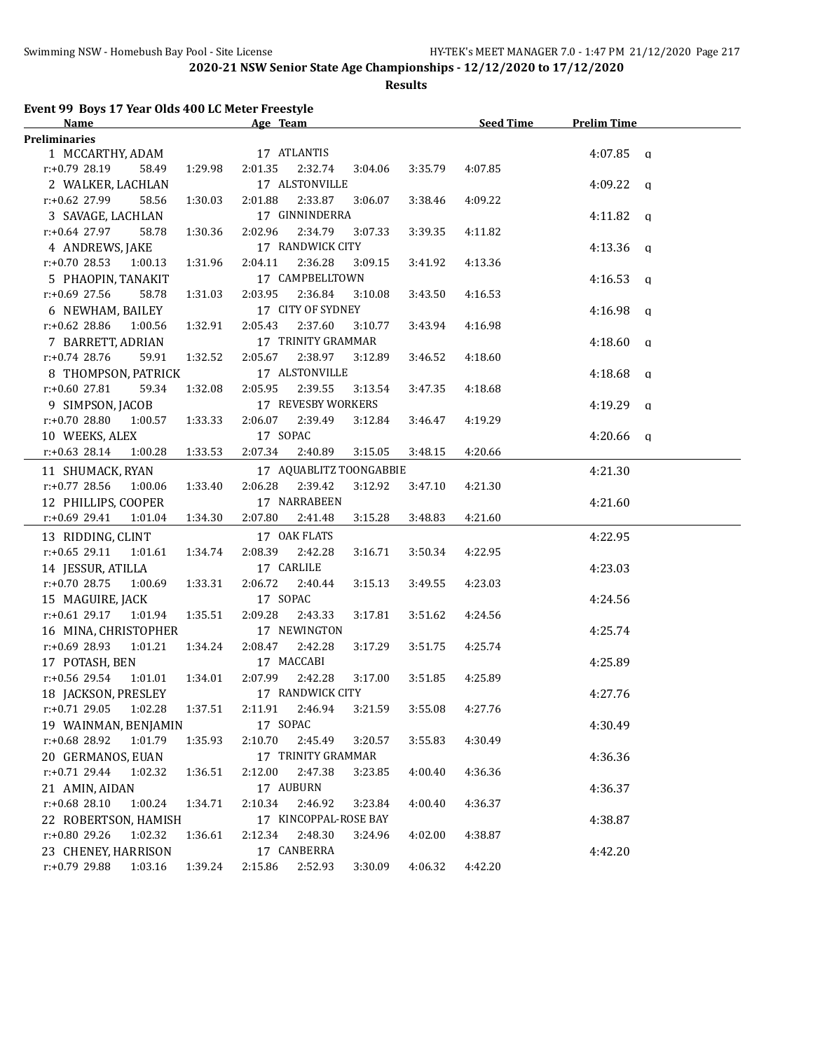**Results**

# **Event 99 Boys 17 Year Olds 400 LC Meter Freestyle**

| <b>Name</b>                          |         | Age Team        |                         |         | <b>Seed Time</b> | <b>Prelim Time</b> |  |
|--------------------------------------|---------|-----------------|-------------------------|---------|------------------|--------------------|--|
| <b>Preliminaries</b>                 |         |                 |                         |         |                  |                    |  |
| 1 MCCARTHY, ADAM                     |         | 17 ATLANTIS     |                         |         |                  | $4:07.85$ q        |  |
| $r: +0.79$ 28.19<br>58.49            | 1:29.98 | 2:01.35         | 2:32.74<br>3:04.06      | 3:35.79 | 4:07.85          |                    |  |
| 2 WALKER, LACHLAN                    |         | 17 ALSTONVILLE  |                         |         |                  | $4:09.22$ q        |  |
| r:+0.62 27.99<br>58.56               | 1:30.03 | 2:01.88         | 2:33.87<br>3:06.07      | 3:38.46 | 4:09.22          |                    |  |
| 3 SAVAGE, LACHLAN                    |         |                 | 17 GINNINDERRA          |         |                  | 4:11.82 $q$        |  |
| $r: +0.64$ 27.97<br>58.78            | 1:30.36 | 2:02.96         | 2:34.79<br>3:07.33      | 3:39.35 | 4:11.82          |                    |  |
| 4 ANDREWS, JAKE                      |         |                 | 17 RANDWICK CITY        |         |                  | $4:13.36$ q        |  |
| $r: +0.70$ 28.53<br>1:00.13          | 1:31.96 | 2:04.11         | 2:36.28<br>3:09.15      | 3:41.92 | 4:13.36          |                    |  |
| 5 PHAOPIN, TANAKIT                   |         |                 | 17 CAMPBELLTOWN         |         |                  | $4:16.53$ q        |  |
| $r: +0.69$ 27.56<br>58.78            | 1:31.03 | 2:03.95         | 2:36.84<br>3:10.08      | 3:43.50 | 4:16.53          |                    |  |
| 6 NEWHAM, BAILEY                     |         |                 | 17 CITY OF SYDNEY       |         |                  | $4:16.98$ a        |  |
| $r$ :+0.62 28.86<br>1:00.56          | 1:32.91 | 2:05.43         | 2:37.60<br>3:10.77      | 3:43.94 | 4:16.98          |                    |  |
| 7 BARRETT, ADRIAN                    |         |                 | 17 TRINITY GRAMMAR      |         |                  | $4:18.60$ a        |  |
| $r: +0.74$ 28.76<br>59.91            | 1:32.52 | 2:05.67         | 2:38.97<br>3:12.89      | 3:46.52 | 4:18.60          |                    |  |
| 8 THOMPSON, PATRICK                  |         | 17 ALSTONVILLE  |                         |         |                  | 4:18.68 $q$        |  |
| $r: +0.60$ 27.81<br>59.34            | 1:32.08 | 2:05.95         | 2:39.55<br>3:13.54      | 3:47.35 | 4:18.68          |                    |  |
| 9 SIMPSON, JACOB                     |         |                 | 17 REVESBY WORKERS      |         |                  |                    |  |
|                                      |         |                 |                         |         |                  | 4:19.29 $q$        |  |
| $r: +0.7028.80 1:00.57$              | 1:33.33 | 2:06.07 2:39.49 | 3:12.84                 | 3:46.47 | 4:19.29          |                    |  |
| 10 WEEKS, ALEX                       |         | 17 SOPAC        |                         |         |                  | $4:20.66$ q        |  |
| $r.+0.63$ 28.14<br>1:00.28           | 1:33.53 | 2:07.34         | 2:40.89<br>3:15.05      | 3:48.15 | 4:20.66          |                    |  |
| 11 SHUMACK, RYAN                     |         |                 | 17 AQUABLITZ TOONGABBIE |         |                  | 4:21.30            |  |
| $r: +0.77$ 28.56<br>1:00.06          | 1:33.40 | 2:06.28         | 2:39.42<br>3:12.92      | 3:47.10 | 4:21.30          |                    |  |
| 12 PHILLIPS, COOPER                  |         | 17 NARRABEEN    |                         |         |                  | 4:21.60            |  |
| r:+0.69 29.41<br>1:01.04             | 1:34.30 | 2:07.80         | 2:41.48<br>3:15.28      | 3:48.83 | 4:21.60          |                    |  |
| 13 RIDDING, CLINT                    |         | 17 OAK FLATS    |                         |         |                  | 4:22.95            |  |
| $r: +0.65$ 29.11<br>1:01.61          | 1:34.74 | 2:08.39         | 2:42.28<br>3:16.71      | 3:50.34 | 4:22.95          |                    |  |
| 14 JESSUR, ATILLA                    |         | 17 CARLILE      |                         |         |                  | 4:23.03            |  |
| 1:00.69<br>$r: +0.70$ 28.75          | 1:33.31 | 2:06.72 2:40.44 | 3:15.13                 | 3:49.55 | 4:23.03          |                    |  |
| 15 MAGUIRE, JACK                     |         | 17 SOPAC        |                         |         |                  | 4:24.56            |  |
| r:+0.61 29.17<br>1:01.94             | 1:35.51 | 2:09.28         | 2:43.33<br>3:17.81      | 3:51.62 | 4:24.56          |                    |  |
| 16 MINA, CHRISTOPHER                 |         | 17 NEWINGTON    |                         |         |                  | 4:25.74            |  |
| r:+0.69 28.93<br>1:01.21             | 1:34.24 | 2:08.47         | 2:42.28<br>3:17.29      | 3:51.75 | 4:25.74          |                    |  |
| 17 POTASH, BEN                       |         | 17 MACCABI      |                         |         |                  | 4:25.89            |  |
| r:+0.56 29.54<br>1:01.01             | 1:34.01 | 2:07.99         | 2:42.28<br>3:17.00      | 3:51.85 | 4:25.89          |                    |  |
| 18 JACKSON, PRESLEY                  |         |                 | 17 RANDWICK CITY        |         |                  | 4:27.76            |  |
| $r: +0.71$ 29.05<br>1:02.28          | 1:37.51 | 2:11.91         | 2:46.94<br>3:21.59      | 3:55.08 | 4:27.76          |                    |  |
| 19 WAINMAN, BENJAMIN                 |         | 17 SOPAC        |                         |         |                  | 4:30.49            |  |
| r:+0.68 28.92<br>1:01.79             | 1:35.93 | 2:10.70         | 2:45.49<br>3:20.57      | 3:55.83 | 4:30.49          |                    |  |
| 20 GERMANOS, EUAN                    |         |                 | 17 TRINITY GRAMMAR      |         |                  | 4:36.36            |  |
| r:+0.71 29.44<br>1:02.32             | 1:36.51 | 2:12.00         | 2:47.38<br>3:23.85      | 4:00.40 | 4:36.36          |                    |  |
| 21 AMIN, AIDAN                       |         | 17 AUBURN       |                         |         |                  | 4:36.37            |  |
| r:+0.68 28.10<br>1:00.24             | 1:34.71 | 2:10.34         | 2:46.92<br>3:23.84      | 4:00.40 | 4:36.37          |                    |  |
| 22 ROBERTSON, HAMISH                 |         |                 | 17 KINCOPPAL-ROSE BAY   |         |                  | 4:38.87            |  |
| r:+0.80 29.26<br>1:02.32             | 1:36.61 | 2:12.34         | 2:48.30<br>3:24.96      | 4:02.00 | 4:38.87          |                    |  |
|                                      |         | 17 CANBERRA     |                         |         |                  | 4:42.20            |  |
| 23 CHENEY, HARRISON<br>r:+0.79 29.88 |         |                 |                         |         | 4:42.20          |                    |  |
| 1:03.16                              | 1:39.24 | 2:15.86         | 2:52.93<br>3:30.09      | 4:06.32 |                  |                    |  |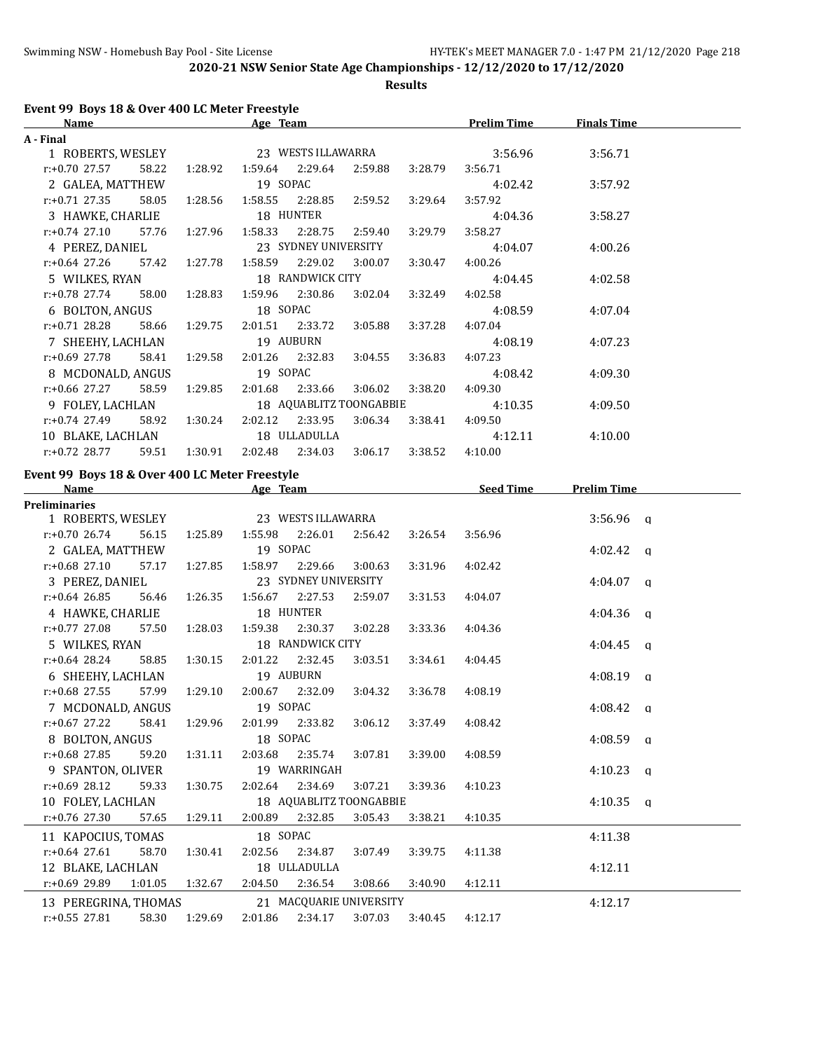**Results**

## **Event 99 Boys 18 & Over 400 LC Meter Freestyle**

| <b>Name</b>           |       |               | Age Team                  |                                 |                 |         | <b>Prelim Time</b> | <b>Finals Time</b> |  |
|-----------------------|-------|---------------|---------------------------|---------------------------------|-----------------|---------|--------------------|--------------------|--|
| A - Final             |       |               |                           |                                 |                 |         |                    |                    |  |
| 1 ROBERTS, WESLEY     |       |               | 23 WESTS ILLAWARRA        |                                 |                 |         | 3:56.96            | 3:56.71            |  |
| r:+0.70 27.57         | 58.22 | 1:28.92       | 1:59.64  2:29.64  2:59.88 |                                 |                 | 3:28.79 | 3:56.71            |                    |  |
| 2 GALEA, MATTHEW      |       |               | 19 SOPAC                  |                                 |                 |         | 4:02.42            | 3:57.92            |  |
| r:+0.71 27.35         | 58.05 | 1:28.56       |                           | 1:58.55 2:28.85 2:59.52         |                 | 3:29.64 | 3:57.92            |                    |  |
| 3 HAWKE, CHARLIE      |       |               |                           | 18 HUNTER                       |                 |         | 4:04.36            | 3:58.27            |  |
| r:+0.74 27.10         |       | 57.76 1:27.96 |                           | 1:58.33 2:28.75 2:59.40         |                 | 3:29.79 | 3:58.27            |                    |  |
| 4 PEREZ, DANIEL       |       |               |                           | 23 SYDNEY UNIVERSITY            |                 |         | 4:04.07            | 4:00.26            |  |
| $r.+0.64$ 27.26 57.42 |       | 1:27.78       |                           | 1:58.59 2:29.02                 | 3:00.07         | 3:30.47 | 4:00.26            |                    |  |
| 5 WILKES, RYAN        |       |               |                           | 18 RANDWICK CITY                |                 |         | 4:04.45            | 4:02.58            |  |
| $r: +0.78$ 27.74      | 58.00 | 1:28.83       |                           | 1:59.96 2:30.86                 | 3:02.04         | 3:32.49 | 4:02.58            |                    |  |
| 6 BOLTON, ANGUS       |       |               | 18 SOPAC                  |                                 |                 |         | 4:08.59            | 4:07.04            |  |
| r:+0.71 28.28         | 58.66 | 1:29.75       |                           | 2:01.51 2:33.72                 | 3:05.88         | 3:37.28 | 4:07.04            |                    |  |
| 7 SHEEHY, LACHLAN     |       |               | 19 AUBURN                 |                                 |                 |         | 4:08.19            | 4:07.23            |  |
| r:+0.69 27.78         | 58.41 | 1:29.58       |                           | 2:01.26 2:32.83                 | 3:04.55 3:36.83 |         | 4:07.23            |                    |  |
| 8 MCDONALD, ANGUS     |       |               |                           | 19 SOPAC                        |                 |         | 4:08.42            | 4:09.30            |  |
| r:+0.66 27.27         | 58.59 | 1:29.85       |                           | 2:01.68 2:33.66                 | 3:06.02         | 3:38.20 | 4:09.30            |                    |  |
| 9 FOLEY, LACHLAN      |       |               | 18 AQUABLITZ TOONGABBIE   |                                 |                 |         | 4:10.35            | 4:09.50            |  |
| r:+0.74 27.49         | 58.92 | 1:30.24       |                           | 2:02.12 2:33.95 3:06.34 3:38.41 |                 |         | 4:09.50            |                    |  |
| 10 BLAKE, LACHLAN     |       |               |                           | 18 ULLADULLA                    |                 |         | 4:12.11            | 4:10.00            |  |
| $r: +0.72$ 28.77      | 59.51 | 1:30.91       | 2:02.48                   | 2:34.03                         | 3:06.17         | 3:38.52 | 4:10.00            |                    |  |

#### **Event 99 Boys 18 & Over 400 LC Meter Freestyle**

| <b>Name</b>               |         | Age Team |                         |         |         | <b>Seed Time</b> | <b>Prelim Time</b> |  |
|---------------------------|---------|----------|-------------------------|---------|---------|------------------|--------------------|--|
| <b>Preliminaries</b>      |         |          |                         |         |         |                  |                    |  |
| 1 ROBERTS, WESLEY         |         |          | 23 WESTS ILLAWARRA      |         |         |                  | $3:56.96$ q        |  |
| $r: +0.70$ 26.74<br>56.15 | 1:25.89 |          | 1:55.98 2:26.01         | 2:56.42 | 3:26.54 | 3:56.96          |                    |  |
| 2 GALEA, MATTHEW          |         | 19 SOPAC |                         |         |         |                  | $4:02.42$ a        |  |
| $r: +0.68$ 27.10<br>57.17 | 1:27.85 |          | 1:58.97 2:29.66         | 3:00.63 | 3:31.96 | 4:02.42          |                    |  |
| 3 PEREZ, DANIEL           |         |          | 23 SYDNEY UNIVERSITY    |         |         |                  | $4:04.07$ q        |  |
| $r: +0.64$ 26.85<br>56.46 | 1:26.35 |          | 1:56.67 2:27.53         | 2:59.07 | 3:31.53 | 4:04.07          |                    |  |
| 4 HAWKE, CHARLIE          |         |          | 18 HUNTER               |         |         |                  | $4:04.36$ q        |  |
| r:+0.77 27.08<br>57.50    | 1:28.03 |          | 1:59.38 2:30.37         | 3:02.28 | 3:33.36 | 4:04.36          |                    |  |
| 5 WILKES, RYAN            |         |          | 18 RANDWICK CITY        |         |         |                  | $4:04.45$ a        |  |
| $r: +0.64$ 28.24<br>58.85 | 1:30.15 |          | 2:01.22 2:32.45         | 3:03.51 | 3:34.61 | 4:04.45          |                    |  |
| 6 SHEEHY, LACHLAN         |         |          | 19 AUBURN               |         |         |                  | $4:08.19$ q        |  |
| $r: +0.68$ 27.55<br>57.99 | 1:29.10 |          | 2:00.67 2:32.09         | 3:04.32 | 3:36.78 | 4:08.19          |                    |  |
| 7 MCDONALD, ANGUS         |         | 19 SOPAC |                         |         |         |                  | $4:08.42$ a        |  |
| $r: +0.67$ 27.22<br>58.41 | 1:29.96 |          | 2:01.99 2:33.82         | 3:06.12 | 3:37.49 | 4:08.42          |                    |  |
| 8 BOLTON, ANGUS           |         | 18 SOPAC |                         |         |         |                  | $4:08.59$ a        |  |
| 59.20<br>r:+0.68 27.85    | 1:31.11 |          | 2:03.68 2:35.74         | 3:07.81 | 3:39.00 | 4:08.59          |                    |  |
| 9 SPANTON, OLIVER         |         |          | 19 WARRINGAH            |         |         |                  | $4:10.23$ q        |  |
| $r: +0.69$ 28.12<br>59.33 | 1:30.75 |          | 2:02.64 2:34.69         | 3:07.21 | 3:39.36 | 4:10.23          |                    |  |
| 10 FOLEY, LACHLAN         |         |          | 18 AQUABLITZ TOONGABBIE |         |         |                  | $4:10.35$ a        |  |
| $r: +0.76$ 27.30<br>57.65 | 1:29.11 | 2:00.89  | 2:32.85                 | 3:05.43 | 3:38.21 | 4:10.35          |                    |  |
| 11 KAPOCIUS, TOMAS        |         | 18 SOPAC |                         |         |         |                  | 4:11.38            |  |
| $r: +0.64$ 27.61<br>58.70 | 1:30.41 | 2:02.56  | 2:34.87                 | 3:07.49 | 3:39.75 | 4:11.38          |                    |  |
| 12 BLAKE, LACHLAN         |         |          | 18 ULLADULLA            |         |         |                  | 4:12.11            |  |
| r:+0.69 29.89<br>1:01.05  | 1:32.67 |          | 2:04.50 2:36.54         | 3:08.66 | 3:40.90 | 4:12.11          |                    |  |
| 13 PEREGRINA, THOMAS      |         |          | 21 MACQUARIE UNIVERSITY |         |         |                  | 4:12.17            |  |
| $r: +0.55$ 27.81<br>58.30 | 1:29.69 |          | 2:01.86 2:34.17         | 3:07.03 | 3:40.45 | 4:12.17          |                    |  |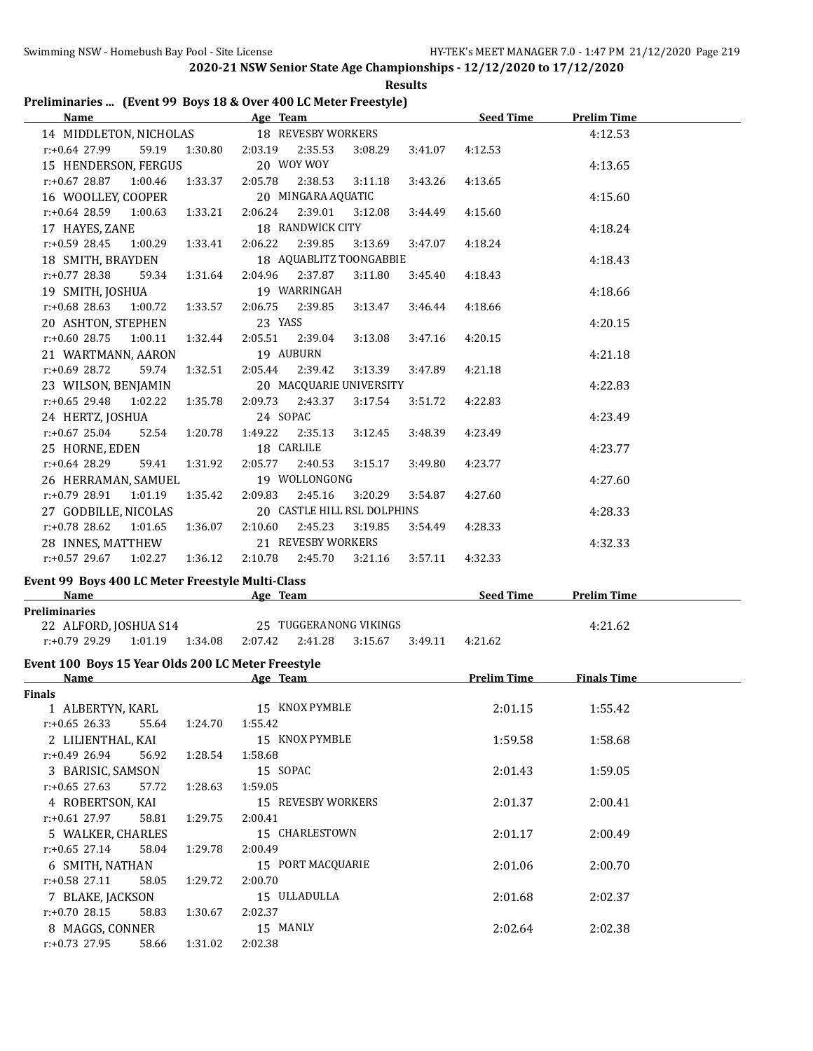|  | <b>Results</b>                                                  |
|--|-----------------------------------------------------------------|
|  | Preliminaries  (Event 99 Boys 18 & Over 400 LC Meter Freestyle) |

| Name                                      |               | Age Team and the contract of the contract of the contract of the contract of the contract of the contract of the contract of the contract of the contract of the contract of the contract of the contract of the contract of t |         |         | <b>Seed Time</b> | <b>Prelim Time</b> |
|-------------------------------------------|---------------|--------------------------------------------------------------------------------------------------------------------------------------------------------------------------------------------------------------------------------|---------|---------|------------------|--------------------|
| 14 MIDDLETON, NICHOLAS 18 REVESBY WORKERS |               |                                                                                                                                                                                                                                |         |         |                  | 4:12.53            |
| r:+0.64 27.99                             | 59.19 1:30.80 | 2:03.19 2:35.53                                                                                                                                                                                                                | 3:08.29 | 3:41.07 | 4:12.53          |                    |
| 15 HENDERSON, FERGUS                      |               | 20 WOY WOY                                                                                                                                                                                                                     |         |         |                  | 4:13.65            |
| $r.+0.6728.871:00.461:33.37$              | 2:05.78       | 2:38.53                                                                                                                                                                                                                        | 3:11.18 | 3:43.26 | 4:13.65          |                    |
| 16 WOOLLEY, COOPER                        |               | 20 MINGARA AQUATIC                                                                                                                                                                                                             |         |         |                  | 4:15.60            |
| $r: +0.64$ 28.59 1:00.63 1:33.21          | 2:06.24       | 2:39.01                                                                                                                                                                                                                        | 3:12.08 | 3:44.49 | 4:15.60          |                    |
| 17 HAYES, ZANE                            |               | 18 RANDWICK CITY                                                                                                                                                                                                               |         |         |                  | 4:18.24            |
| $r: +0.59$ 28.45 1:00.29 1:33.41          |               | 2:06.22 2:39.85                                                                                                                                                                                                                | 3:13.69 | 3:47.07 | 4:18.24          |                    |
| 18 SMITH, BRAYDEN                         |               | 18 AQUABLITZ TOONGABBIE                                                                                                                                                                                                        |         |         |                  | 4:18.43            |
| r:+0.77 28.38<br>59.34 1:31.64            |               | 2:04.96 2:37.87                                                                                                                                                                                                                | 3:11.80 | 3:45.40 | 4:18.43          |                    |
| 19 SMITH, JOSHUA                          |               | 19 WARRINGAH                                                                                                                                                                                                                   |         |         |                  | 4:18.66            |
| $r: +0.68$ 28.63 1:00.72 1:33.57          |               | 2:06.75 2:39.85                                                                                                                                                                                                                | 3:13.47 | 3:46.44 | 4:18.66          |                    |
| 20 ASHTON, STEPHEN                        |               | 23 YASS                                                                                                                                                                                                                        |         |         |                  | 4:20.15            |
| $r.+0.6028.751.00.11132.44$               |               | 2:05.51 2:39.04                                                                                                                                                                                                                | 3:13.08 | 3:47.16 | 4:20.15          |                    |
| 21 WARTMANN, AARON                        |               | 19 AUBURN                                                                                                                                                                                                                      |         |         |                  | 4:21.18            |
| r:+0.69 28.72                             | 59.74 1:32.51 | 2:05.44 2:39.42                                                                                                                                                                                                                | 3:13.39 | 3:47.89 | 4:21.18          |                    |
| 23 WILSON, BENJAMIN                       |               | 20 MACQUARIE UNIVERSITY                                                                                                                                                                                                        |         |         |                  | 4:22.83            |
| $r.+0.65$ 29.48 1:02.22 1:35.78           |               | 2:09.73 2:43.37                                                                                                                                                                                                                | 3:17.54 | 3:51.72 | 4:22.83          |                    |
| 24 HERTZ, JOSHUA                          |               | 24 SOPAC                                                                                                                                                                                                                       |         |         |                  | 4:23.49            |
| $r: +0.67$ 25.04 52.54 1:20.78            |               | 1:49.22 2:35.13                                                                                                                                                                                                                | 3:12.45 | 3:48.39 | 4:23.49          |                    |
| 25 HORNE, EDEN                            |               | 18 CARLILE                                                                                                                                                                                                                     |         |         |                  | 4:23.77            |
| $r.+0.64$ 28.29 59.41 1:31.92             |               | 2:05.77 2:40.53 3:15.17                                                                                                                                                                                                        |         | 3:49.80 | 4:23.77          |                    |
| 26 HERRAMAN, SAMUEL                       |               | 19 WOLLONGONG                                                                                                                                                                                                                  |         |         |                  | 4:27.60            |
| $r: +0.79$ 28.91 1:01.19 1:35.42          |               | 2:09.83 2:45.16 3:20.29                                                                                                                                                                                                        |         | 3:54.87 | 4:27.60          |                    |
| 27 GODBILLE, NICOLAS                      |               | 20 CASTLE HILL RSL DOLPHINS                                                                                                                                                                                                    |         |         |                  | 4:28.33            |
| $r.+0.78$ 28.62 1:01.65 1:36.07           |               | 2:10.60 2:45.23                                                                                                                                                                                                                | 3:19.85 | 3:54.49 | 4:28.33          |                    |
| 28 INNES, MATTHEW                         |               | 21 REVESBY WORKERS                                                                                                                                                                                                             |         |         |                  | 4:32.33            |
| $r: +0.57$ 29.67<br>1:02.27  1:36.12      | 2:10.78       | 2:45.70                                                                                                                                                                                                                        | 3:21.16 | 3:57.11 | 4:32.33          |                    |
|                                           |               |                                                                                                                                                                                                                                |         |         |                  |                    |

#### **Event 99 Boys 400 LC Meter Freestyle Multi-Class**

| Name                  |         |         | Age     | Team    |                        |         | <b>Seed Time</b> | <b>Prelim Time</b> |  |
|-----------------------|---------|---------|---------|---------|------------------------|---------|------------------|--------------------|--|
| Preliminaries         |         |         |         |         |                        |         |                  |                    |  |
| 22 ALFORD, JOSHUA S14 |         |         |         |         | 25 TUGGERANONG VIKINGS |         |                  | 4:21.62            |  |
| r:+0.79 29.29         | 1:01.19 | 1:34.08 | 2:07.42 | 2:41.28 | 3:15.67                | 3:49.11 | 4:21.62          |                    |  |

#### **Event 100 Boys 15 Year Olds 200 LC Meter Freestyle**

| Name              |       | <b>Prelim Time</b><br>Age Team |                    |         | <b>Finals Time</b> |  |
|-------------------|-------|--------------------------------|--------------------|---------|--------------------|--|
| <b>Finals</b>     |       |                                |                    |         |                    |  |
| 1 ALBERTYN, KARL  |       |                                | 15 KNOX PYMBLE     | 2:01.15 | 1:55.42            |  |
| $r: +0.65$ 26.33  | 55.64 | 1:24.70                        | 1:55.42            |         |                    |  |
| 2 LILIENTHAL, KAI |       |                                | 15 KNOX PYMBLE     | 1:59.58 | 1:58.68            |  |
| r:+0.49 26.94     | 56.92 | 1:28.54                        | 1:58.68            |         |                    |  |
| 3 BARISIC, SAMSON |       |                                | 15 SOPAC           | 2:01.43 | 1:59.05            |  |
| $r: +0.65$ 27.63  | 57.72 | 1:28.63                        | 1:59.05            |         |                    |  |
| 4 ROBERTSON, KAI  |       |                                | 15 REVESBY WORKERS | 2:01.37 | 2:00.41            |  |
| r:+0.61 27.97     | 58.81 | 1:29.75                        | 2:00.41            |         |                    |  |
| 5 WALKER, CHARLES |       |                                | 15 CHARLESTOWN     | 2:01.17 | 2:00.49            |  |
| $r: +0.65$ 27.14  | 58.04 | 1:29.78                        | 2:00.49            |         |                    |  |
| 6 SMITH, NATHAN   |       |                                | 15 PORT MACQUARIE  | 2:01.06 | 2:00.70            |  |
| $r: +0.58$ 27.11  | 58.05 | 1:29.72                        | 2:00.70            |         |                    |  |
| 7 BLAKE, JACKSON  |       |                                | 15 ULLADULLA       | 2:01.68 | 2:02.37            |  |
| $r: +0.70$ 28.15  | 58.83 | 1:30.67                        | 2:02.37            |         |                    |  |
| 8 MAGGS, CONNER   |       |                                | 15 MANLY           | 2:02.64 | 2:02.38            |  |
| $r: +0.73$ 27.95  | 58.66 | 1:31.02                        | 2:02.38            |         |                    |  |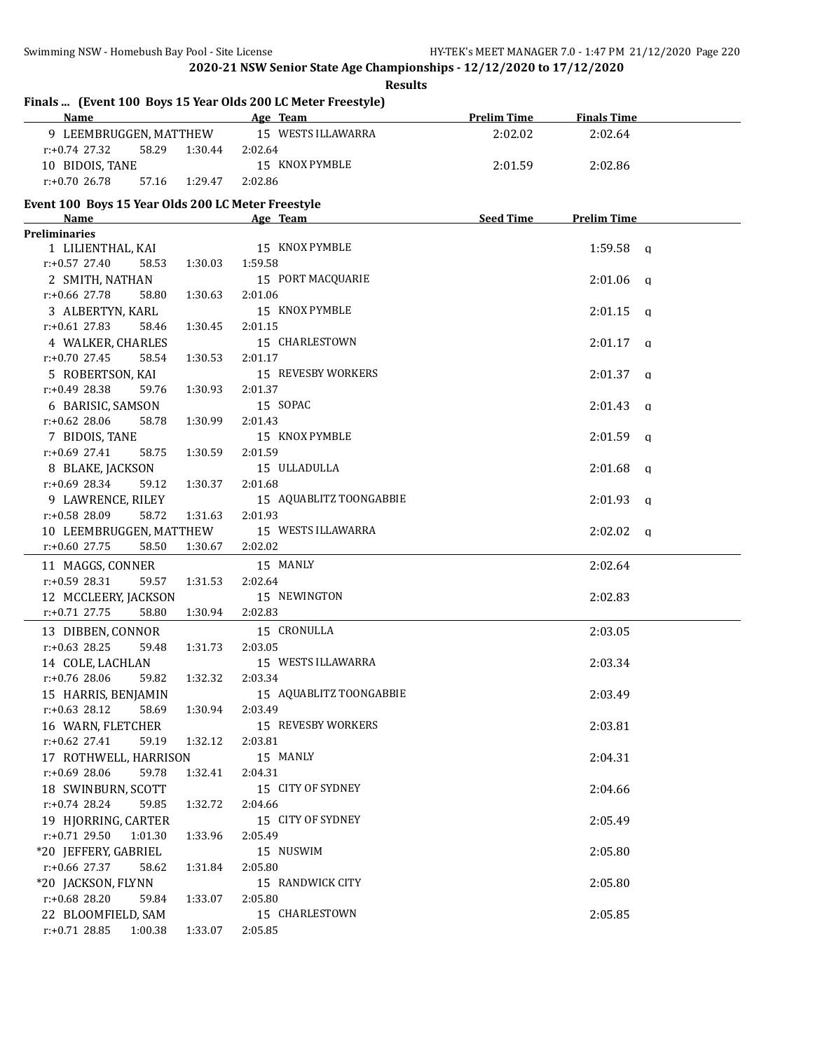|                                                                             | <b>Results</b>          |                    |                         |  |
|-----------------------------------------------------------------------------|-------------------------|--------------------|-------------------------|--|
| Finals  (Event 100 Boys 15 Year Olds 200 LC Meter Freestyle)<br><b>Name</b> | Age Team                | <b>Prelim Time</b> | <b>Finals Time</b>      |  |
| 9 LEEMBRUGGEN, MATTHEW                                                      | 15 WESTS ILLAWARRA      | 2:02.02            | 2:02.64                 |  |
| r:+0.74 27.32<br>58.29<br>1:30.44                                           | 2:02.64                 |                    |                         |  |
| 10 BIDOIS, TANE                                                             | 15 KNOX PYMBLE          | 2:01.59            | 2:02.86                 |  |
| $r: +0.70$ 26.78<br>57.16<br>1:29.47                                        | 2:02.86                 |                    |                         |  |
|                                                                             |                         |                    |                         |  |
| Event 100 Boys 15 Year Olds 200 LC Meter Freestyle<br><b>Name</b>           | Age Team                | <b>Seed Time</b>   | <b>Prelim Time</b>      |  |
| <b>Preliminaries</b>                                                        |                         |                    |                         |  |
| 1 LILIENTHAL, KAI                                                           | 15 KNOX PYMBLE          |                    | 1:59.58<br>q            |  |
| $r: +0.57$ 27.40<br>58.53<br>1:30.03                                        | 1:59.58                 |                    |                         |  |
| 2 SMITH, NATHAN                                                             | 15 PORT MACQUARIE       |                    | 2:01.06<br>a            |  |
| r:+0.66 27.78<br>58.80<br>1:30.63                                           | 2:01.06                 |                    |                         |  |
| 3 ALBERTYN, KARL                                                            | 15 KNOX PYMBLE          |                    | 2:01.15<br>a            |  |
| $r: +0.61$ 27.83<br>58.46<br>1:30.45                                        | 2:01.15                 |                    |                         |  |
| 4 WALKER, CHARLES                                                           | 15 CHARLESTOWN          |                    | 2:01.17<br>$\mathbf{a}$ |  |
| $r: +0.70$ 27.45<br>58.54<br>1:30.53                                        | 2:01.17                 |                    |                         |  |
| 5 ROBERTSON, KAI                                                            | 15 REVESBY WORKERS      |                    | 2:01.37<br>a            |  |
| $r: +0.49$ 28.38<br>59.76<br>1:30.93                                        | 2:01.37                 |                    |                         |  |
| 6 BARISIC, SAMSON                                                           | 15 SOPAC                |                    | 2:01.43<br>$\mathbf{a}$ |  |
| $r: +0.62$ 28.06<br>58.78<br>1:30.99                                        | 2:01.43                 |                    |                         |  |
| 7 BIDOIS, TANE                                                              | 15 KNOX PYMBLE          |                    | 2:01.59<br>a            |  |
| $r: +0.69$ 27.41<br>58.75<br>1:30.59                                        | 2:01.59                 |                    |                         |  |
| 8 BLAKE, JACKSON                                                            | 15 ULLADULLA            |                    | 2:01.68<br>a            |  |
| $r: +0.69$ 28.34<br>59.12<br>1:30.37                                        | 2:01.68                 |                    |                         |  |
| 9 LAWRENCE, RILEY                                                           | 15 AQUABLITZ TOONGABBIE |                    | 2:01.93<br>q            |  |
| r:+0.58 28.09<br>58.72<br>1:31.63                                           | 2:01.93                 |                    |                         |  |
| 10 LEEMBRUGGEN, MATTHEW                                                     | 15 WESTS ILLAWARRA      |                    | 2:02.02<br>a            |  |
| $r: +0.60$ 27.75<br>58.50<br>1:30.67                                        | 2:02.02                 |                    |                         |  |
| 11 MAGGS, CONNER                                                            | 15 MANLY                |                    | 2:02.64                 |  |
| $r: +0.59$ 28.31<br>59.57<br>1:31.53                                        | 2:02.64                 |                    |                         |  |
| 12 MCCLEERY, JACKSON                                                        | 15 NEWINGTON            |                    | 2:02.83                 |  |
| $r: +0.71$ 27.75<br>58.80<br>1:30.94                                        | 2:02.83                 |                    |                         |  |
| 13 DIBBEN, CONNOR                                                           | 15 CRONULLA             |                    | 2:03.05                 |  |
| $r: +0.63$ 28.25<br>59.48<br>1:31.73                                        | 2:03.05                 |                    |                         |  |
| 14 COLE, LACHLAN                                                            | 15 WESTS ILLAWARRA      |                    | 2:03.34                 |  |
| r:+0.76 28.06<br>59.82<br>1:32.32                                           | 2:03.34                 |                    |                         |  |
| 15 HARRIS, BENJAMIN                                                         | 15 AQUABLITZ TOONGABBIE |                    | 2:03.49                 |  |
| $r: +0.63$ 28.12<br>58.69<br>1:30.94                                        | 2:03.49                 |                    |                         |  |
| 16 WARN, FLETCHER                                                           | 15 REVESBY WORKERS      |                    | 2:03.81                 |  |
| $r: +0.62$ 27.41<br>59.19<br>1:32.12                                        | 2:03.81                 |                    |                         |  |
| 17 ROTHWELL, HARRISON                                                       | 15 MANLY                |                    | 2:04.31                 |  |
| $r: +0.69$ 28.06<br>59.78<br>1:32.41                                        | 2:04.31                 |                    |                         |  |
| 18 SWINBURN, SCOTT                                                          | 15 CITY OF SYDNEY       |                    | 2:04.66                 |  |
| $r: +0.74$ 28.24<br>59.85<br>1:32.72                                        | 2:04.66                 |                    |                         |  |
| 19 HJORRING, CARTER                                                         | 15 CITY OF SYDNEY       |                    | 2:05.49                 |  |
| $r: +0.71$ 29.50<br>1:01.30<br>1:33.96                                      | 2:05.49                 |                    |                         |  |
| *20 JEFFERY, GABRIEL                                                        | 15 NUSWIM               |                    | 2:05.80                 |  |
| $r: +0.66$ 27.37<br>58.62<br>1:31.84                                        | 2:05.80                 |                    |                         |  |
| *20 JACKSON, FLYNN                                                          | 15 RANDWICK CITY        |                    | 2:05.80                 |  |
| $r+0.68$ 28.20<br>59.84<br>1:33.07                                          | 2:05.80                 |                    |                         |  |
| 22 BLOOMFIELD, SAM                                                          | 15 CHARLESTOWN          |                    | 2:05.85                 |  |
| $r.+0.7128.85$ 1:00.38<br>1:33.07                                           | 2:05.85                 |                    |                         |  |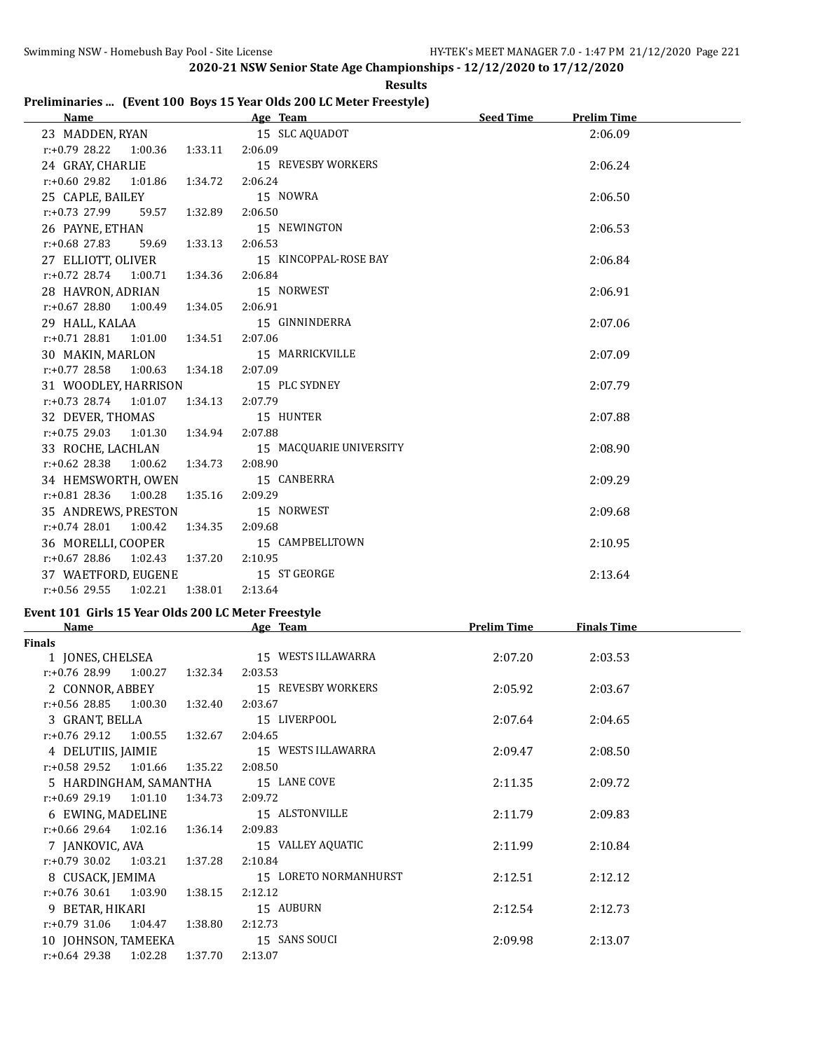|                                                                     |  |  | <b>Results</b> |
|---------------------------------------------------------------------|--|--|----------------|
| Preliminaries  (Event 100 Boys 15 Year Olds 200 LC Meter Freestyle) |  |  |                |

| Name and the state of the state of the state of the state of the state of the state of the state of the state of the state of the state of the state of the state of the state of the state of the state of the state of the s | Age Team Seed Time                        | <b>Prelim Time</b> |  |
|--------------------------------------------------------------------------------------------------------------------------------------------------------------------------------------------------------------------------------|-------------------------------------------|--------------------|--|
|                                                                                                                                                                                                                                | 23 MADDEN, RYAN 15 SLC AQUADOT            | 2:06.09            |  |
| r:+0.79 28.22 1:00.36 1:33.11 2:06.09                                                                                                                                                                                          |                                           |                    |  |
|                                                                                                                                                                                                                                | 24 GRAY, CHARLIE 15 REVESBY WORKERS       | 2:06.24            |  |
| $r.+0.60$ 29.82 1:01.86 1:34.72                                                                                                                                                                                                | 2:06.24                                   |                    |  |
| 25 CAPLE, BAILEY 15 NOWRA                                                                                                                                                                                                      |                                           | 2:06.50            |  |
| r:+0.73 27.99 59.57 1:32.89 2:06.50                                                                                                                                                                                            |                                           |                    |  |
| 26 PAYNE, ETHAN                                                                                                                                                                                                                | 15 NEWINGTON                              | 2:06.53            |  |
| $r: +0.68$ 27.83 59.69 1:33.13 2:06.53                                                                                                                                                                                         |                                           |                    |  |
|                                                                                                                                                                                                                                | 27 ELLIOTT, OLIVER 15 KINCOPPAL-ROSE BAY  | 2:06.84            |  |
| r:+0.72 28.74 1:00.71 1:34.36                                                                                                                                                                                                  | 2:06.84                                   |                    |  |
| 28 HAVRON, ADRIAN 15 NORWEST                                                                                                                                                                                                   |                                           | 2:06.91            |  |
| $r: +0.67$ 28.80 1:00.49 1:34.05 2:06.91                                                                                                                                                                                       |                                           |                    |  |
| 29 HALL, KALAA 15 GINNINDERRA                                                                                                                                                                                                  |                                           | 2:07.06            |  |
| $r: +0.71$ 28.81 1:01.00 1:34.51 2:07.06                                                                                                                                                                                       |                                           |                    |  |
| 30 MAKIN, MARLON 15 MARRICKVILLE                                                                                                                                                                                               |                                           | 2:07.09            |  |
| $r.+0.77$ 28.58 1:00.63 1:34.18                                                                                                                                                                                                | 2:07.09                                   |                    |  |
| 31 WOODLEY, HARRISON 15 PLC SYDNEY                                                                                                                                                                                             |                                           | 2:07.79            |  |
| r:+0.73 28.74 1:01.07 1:34.13 2:07.79                                                                                                                                                                                          |                                           |                    |  |
| 32 DEVER, THOMAS 15 HUNTER                                                                                                                                                                                                     |                                           | 2:07.88            |  |
| r:+0.75 29.03 1:01.30 1:34.94 2:07.88                                                                                                                                                                                          |                                           |                    |  |
|                                                                                                                                                                                                                                | 33 ROCHE, LACHLAN 15 MACQUARIE UNIVERSITY | 2:08.90            |  |
| $r: +0.62$ 28.38 1:00.62 1:34.73 2:08.90                                                                                                                                                                                       |                                           |                    |  |
| 34 HEMSWORTH, OWEN 15 CANBERRA                                                                                                                                                                                                 |                                           | 2:09.29            |  |
| r:+0.81 28.36 1:00.28 1:35.16 2:09.29                                                                                                                                                                                          |                                           |                    |  |
| 35 ANDREWS, PRESTON 15 NORWEST                                                                                                                                                                                                 |                                           | 2:09.68            |  |
| $r.+0.74$ 28.01 1:00.42 1:34.35                                                                                                                                                                                                | 2:09.68                                   |                    |  |
| 36 MORELLI, COOPER 15 CAMPBELLTOWN                                                                                                                                                                                             |                                           | 2:10.95            |  |
| $r: +0.67$ 28.86 1:02.43 1:37.20 2:10.95                                                                                                                                                                                       |                                           |                    |  |
| 37 WAETFORD, EUGENE 15 ST GEORGE                                                                                                                                                                                               |                                           | 2:13.64            |  |
| r:+0.56 29.55 1:02.21 1:38.01 2:13.64                                                                                                                                                                                          |                                           |                    |  |
| $F_{\text{total}}$ (4.04) $G_{\text{total}}$ (4.5 $M_{\text{total}}$ (6.13) (9.00 F C M $_{\text{total}}$ $F_{\text{total}}$ (4.1)                                                                                             |                                           |                    |  |

# **Event 101 Girls 15 Year Olds 200 LC Meter Freestyle**

| <b>Name</b>                 |         | Age Team              | <b>Prelim Time</b> | <b>Finals Time</b> |  |
|-----------------------------|---------|-----------------------|--------------------|--------------------|--|
| <b>Finals</b>               |         |                       |                    |                    |  |
| 1 JONES, CHELSEA            |         | 15 WESTS ILLAWARRA    | 2:07.20            | 2:03.53            |  |
| $r.+0.7628.991.00.27$       | 1:32.34 | 2:03.53               |                    |                    |  |
| 2 CONNOR, ABBEY             |         | 15 REVESBY WORKERS    | 2:05.92            | 2:03.67            |  |
| $r.+0.56$ 28.85 1:00.30     | 1:32.40 | 2:03.67               |                    |                    |  |
| 3 GRANT, BELLA              |         | 15 LIVERPOOL          | 2:07.64            | 2:04.65            |  |
| $r: +0.76$ 29.12<br>1:00.55 | 1:32.67 | 2:04.65               |                    |                    |  |
| 4 DELUTIIS, JAIMIE          |         | 15 WESTS ILLAWARRA    | 2:09.47            | 2:08.50            |  |
| $r: +0.58$ 29.52 1:01.66    | 1:35.22 | 2:08.50               |                    |                    |  |
| 5 HARDINGHAM, SAMANTHA      |         | 15 LANE COVE          | 2:11.35            | 2:09.72            |  |
| $r: +0.69$ 29.19<br>1:01.10 | 1:34.73 | 2:09.72               |                    |                    |  |
| 6 EWING, MADELINE           |         | 15 ALSTONVILLE        | 2:11.79            | 2:09.83            |  |
| $r: +0.66$ 29.64 1:02.16    | 1:36.14 | 2:09.83               |                    |                    |  |
| 7 JANKOVIC, AVA             |         | 15 VALLEY AQUATIC     | 2:11.99            | 2:10.84            |  |
| $r: +0.79$ 30.02<br>1:03.21 | 1:37.28 | 2:10.84               |                    |                    |  |
| 8 CUSACK, JEMIMA            |         | 15 LORETO NORMANHURST | 2:12.51            | 2:12.12            |  |
| $r: +0.76$ 30.61 1:03.90    | 1:38.15 | 2:12.12               |                    |                    |  |
| 9 BETAR, HIKARI             |         | 15 AUBURN             | 2:12.54            | 2:12.73            |  |
| $r: +0.79$ 31.06<br>1:04.47 | 1:38.80 | 2:12.73               |                    |                    |  |
| 10 JOHNSON, TAMEEKA         |         | 15 SANS SOUCI         | 2:09.98            | 2:13.07            |  |
| $r: +0.64$ 29.38 1:02.28    | 1:37.70 | 2:13.07               |                    |                    |  |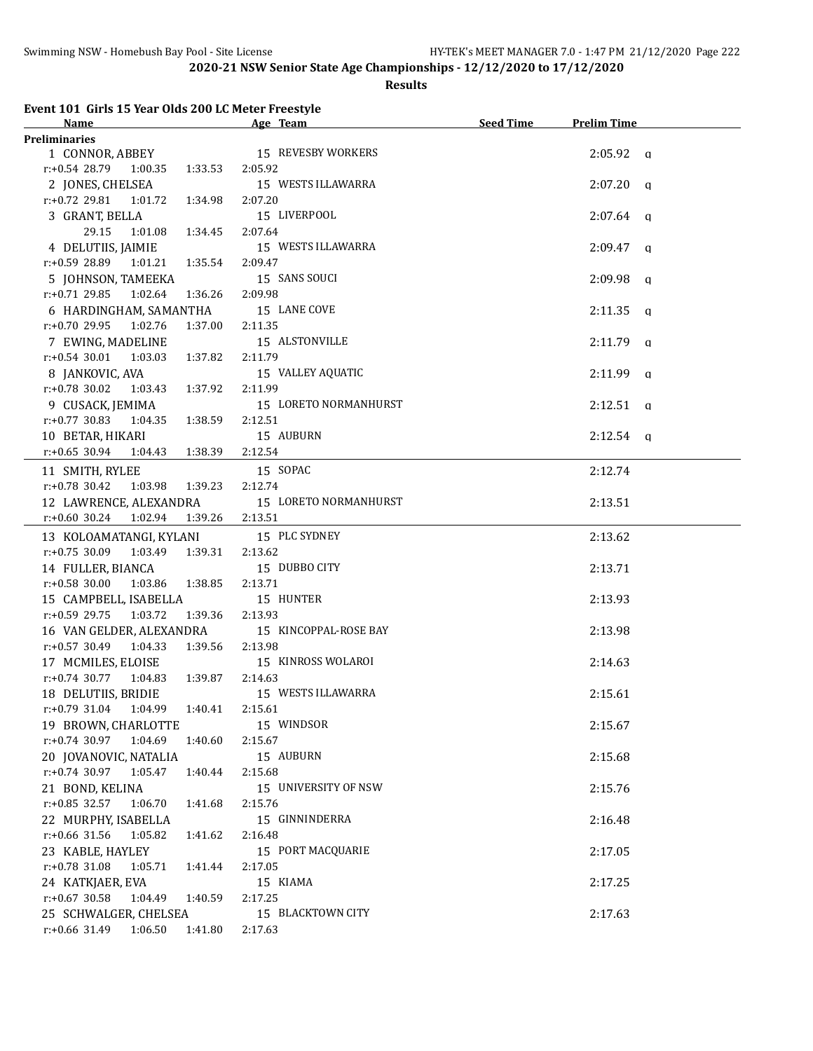#### **Results**

### **Event 101 Girls 15 Year Olds 200 LC Meter Freestyle**

| <b>Name</b>                                 | <u> 1989 - Johann Barbara, martx</u><br>Age Team | Seed Time | <b>Prelim Time</b> |
|---------------------------------------------|--------------------------------------------------|-----------|--------------------|
| <b>Preliminaries</b>                        |                                                  |           |                    |
| 1 CONNOR, ABBEY 15 REVESBY WORKERS          |                                                  |           | $2:05.92$ a        |
| $r: +0.54$ 28.79 1:00.35<br>1:33.53         | 2:05.92                                          |           |                    |
| 2 JONES, CHELSEA                            | 15 WESTS ILLAWARRA                               |           | $2:07.20$ q        |
| $r.+0.72$ 29.81 1:01.72<br>1:34.98          | 2:07.20                                          |           |                    |
| 3 GRANT, BELLA                              | 15 LIVERPOOL                                     |           | $2:07.64$ q        |
| 29.15<br>1:01.08  1:34.45                   | 2:07.64                                          |           |                    |
| 4 DELUTIIS, JAIMIE                          | 15 WESTS ILLAWARRA                               |           | $2:09.47$ q        |
| $r.+0.5928.891:01.21$<br>1:35.54            | 2:09.47                                          |           |                    |
| 5 JOHNSON, TAMEEKA                          | 15 SANS SOUCI                                    |           | $2:09.98$ a        |
| $r.+0.71$ 29.85 1:02.64<br>1:36.26          | 2:09.98                                          |           |                    |
| 6 HARDINGHAM, SAMANTHA                      | 15 LANE COVE                                     |           | $2:11.35$ q        |
| $r: +0.70$ 29.95 1:02.76<br>1:37.00         | 2:11.35                                          |           |                    |
| 7 EWING, MADELINE                           | 15 ALSTONVILLE                                   |           | $2:11.79$ q        |
| $r: +0.54$ 30.01<br>1:03.03<br>1:37.82      | 2:11.79                                          |           |                    |
| 8 JANKOVIC, AVA                             | 15 VALLEY AQUATIC                                |           | $2:11.99$ q        |
| $r: +0.78$ 30.02<br>1:03.43  1:37.92        | 2:11.99                                          |           |                    |
| 9 CUSACK, JEMIMA                            | 15 LORETO NORMANHURST                            |           |                    |
|                                             |                                                  |           | $2:12.51$ q        |
| $r: +0.77$ 30.83<br>1:38.59<br>1:04.35      | 2:12.51                                          |           |                    |
| 10 BETAR, HIKARI                            | 15 AUBURN                                        |           | $2:12.54$ a        |
| $r: +0.65$ 30.94<br>1:04.43<br>1:38.39      | 2:12.54                                          |           |                    |
| 11 SMITH, RYLEE                             | 15 SOPAC                                         |           | 2:12.74            |
| $r: +0.78$ 30.42<br>1:03.98 1:39.23         | 2:12.74                                          |           |                    |
| 12 LAWRENCE, ALEXANDRA                      | 15 LORETO NORMANHURST                            |           | 2:13.51            |
| $r.+0.60$ 30.24 1:02.94                     | 1:39.26 2:13.51                                  |           |                    |
| 13 KOLOAMATANGI, KYLANI 15 PLC SYDNEY       |                                                  |           | 2:13.62            |
| $r.+0.75$ 30.09 1:03.49 1:39.31             | 2:13.62                                          |           |                    |
| 14 FULLER, BIANCA                           | 15 DUBBO CITY                                    |           | 2:13.71            |
| $r.+0.58$ 30.00 1:03.86 1:38.85             | 2:13.71                                          |           |                    |
| 15 CAMPBELL, ISABELLA                       | 15 HUNTER                                        |           | 2:13.93            |
| $r: +0.59$ 29.75 1:03.72<br>1:39.36 2:13.93 |                                                  |           |                    |
| 16 VAN GELDER, ALEXANDRA                    | 15 KINCOPPAL-ROSE BAY                            |           | 2:13.98            |
| r:+0.57 30.49 1:04.33 1:39.56 2:13.98       |                                                  |           |                    |
| 17 MCMILES, ELOISE                          | 15 KINROSS WOLAROI                               |           | 2:14.63            |
| $r: +0.74$ 30.77 1:04.83 1:39.87            | 2:14.63                                          |           |                    |
| 18 DELUTIIS, BRIDIE                         | 15 WESTS ILLAWARRA                               |           | 2:15.61            |
| r:+0.79 31.04 1:04.99 1:40.41 2:15.61       |                                                  |           |                    |
| 19 BROWN, CHARLOTTE                         | 15 WINDSOR                                       |           | 2:15.67            |
| r:+0.74 30.97<br>1:04.69<br>1:40.60         | 2:15.67                                          |           |                    |
| 20 JOVANOVIC, NATALIA                       | 15 AUBURN                                        |           | 2:15.68            |
| $r: +0.74$ 30.97<br>1:05.47<br>1:40.44      | 2:15.68                                          |           |                    |
| 21 BOND, KELINA                             | 15 UNIVERSITY OF NSW                             |           | 2:15.76            |
| $r.+0.85$ 32.57<br>1:06.70<br>1:41.68       | 2:15.76                                          |           |                    |
| 22 MURPHY, ISABELLA                         | 15 GINNINDERRA                                   |           | 2:16.48            |
| $r: +0.66$ 31.56<br>1:05.82<br>1:41.62      | 2:16.48                                          |           |                    |
| 23 KABLE, HAYLEY                            | 15 PORT MACQUARIE                                |           | 2:17.05            |
| $r: +0.78$ 31.08<br>1:05.71<br>1:41.44      | 2:17.05                                          |           |                    |
| 24 KATKJAER, EVA                            | 15 KIAMA                                         |           | 2:17.25            |
| $r: +0.67$ 30.58<br>1:04.49<br>1:40.59      | 2:17.25                                          |           |                    |
| 25 SCHWALGER, CHELSEA                       | 15 BLACKTOWN CITY                                |           | 2:17.63            |
| $r: +0.66$ 31.49 1:06.50<br>1:41.80         | 2:17.63                                          |           |                    |
|                                             |                                                  |           |                    |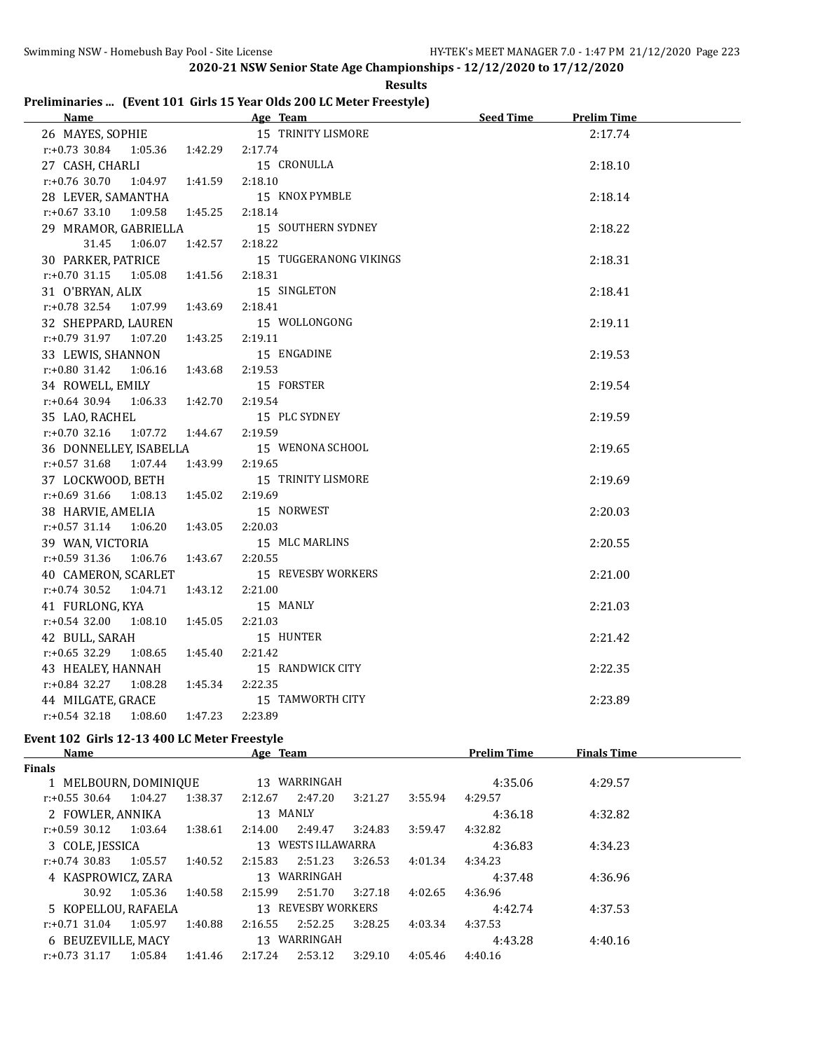|  | <b>Results</b>                                                       |  |
|--|----------------------------------------------------------------------|--|
|  | Preliminaries  (Event 101 Girls 15 Year Olds 200 LC Meter Freestyle) |  |

| Name and the state of the state of the state of the state of the state of the state of the state of the state of the state of the state of the state of the state of the state of the state of the state of the state of the s | Age Team and the state of the state of the state of the state of the state of the state of the state of the state of the state of the state of the state of the state of the state of the state of the state of the state of t | Seed Time<br><b>Prelim Time</b> |
|--------------------------------------------------------------------------------------------------------------------------------------------------------------------------------------------------------------------------------|--------------------------------------------------------------------------------------------------------------------------------------------------------------------------------------------------------------------------------|---------------------------------|
| 26 MAYES, SOPHIE                                                                                                                                                                                                               | 15 TRINITY LISMORE                                                                                                                                                                                                             | 2:17.74                         |
| r:+0.73 30.84 1:05.36 1:42.29 2:17.74                                                                                                                                                                                          |                                                                                                                                                                                                                                |                                 |
| 27 CASH, CHARLI                                                                                                                                                                                                                | 15 CRONULLA                                                                                                                                                                                                                    | 2:18.10                         |
| $r: +0.76$ 30.70<br>1:04.97 1:41.59                                                                                                                                                                                            | 2:18.10                                                                                                                                                                                                                        |                                 |
| 28 LEVER, SAMANTHA                                                                                                                                                                                                             | 15 KNOX PYMBLE                                                                                                                                                                                                                 | 2:18.14                         |
| $r: +0.67$ 33.10 1:09.58<br>1:45.25                                                                                                                                                                                            | 2:18.14                                                                                                                                                                                                                        |                                 |
| 29 MRAMOR, GABRIELLA                                                                                                                                                                                                           | 15 SOUTHERN SYDNEY                                                                                                                                                                                                             | 2:18.22                         |
| 31.45<br>1:06.07<br>1:42.57                                                                                                                                                                                                    | 2:18.22                                                                                                                                                                                                                        |                                 |
| 30 PARKER, PATRICE                                                                                                                                                                                                             | 15 TUGGERANONG VIKINGS                                                                                                                                                                                                         | 2:18.31                         |
| $r: +0.70$ 31.15 1:05.08 1:41.56                                                                                                                                                                                               | 2:18.31                                                                                                                                                                                                                        |                                 |
| 31 O'BRYAN, ALIX                                                                                                                                                                                                               | 15 SINGLETON                                                                                                                                                                                                                   | 2:18.41                         |
| $r.+0.78$ 32.54 1:07.99 1:43.69                                                                                                                                                                                                | 2:18.41                                                                                                                                                                                                                        |                                 |
| 32 SHEPPARD, LAUREN                                                                                                                                                                                                            | 15 WOLLONGONG                                                                                                                                                                                                                  | 2:19.11                         |
| r:+0.79 31.97 1:07.20 1:43.25                                                                                                                                                                                                  | 2:19.11                                                                                                                                                                                                                        |                                 |
| 33 LEWIS, SHANNON                                                                                                                                                                                                              | 15 ENGADINE                                                                                                                                                                                                                    | 2:19.53                         |
| $r: +0.80$ 31.42 1:06.16 1:43.68 2:19.53                                                                                                                                                                                       |                                                                                                                                                                                                                                |                                 |
| 34 ROWELL, EMILY                                                                                                                                                                                                               | 15 FORSTER                                                                                                                                                                                                                     | 2:19.54                         |
| $r: +0.64$ 30.94 1:06.33 1:42.70                                                                                                                                                                                               | 2:19.54                                                                                                                                                                                                                        |                                 |
| 35 LAO, RACHEL                                                                                                                                                                                                                 | 15 PLC SYDNEY                                                                                                                                                                                                                  | 2:19.59                         |
| $r.+0.70$ 32.16 1:07.72 1:44.67                                                                                                                                                                                                | 2:19.59                                                                                                                                                                                                                        |                                 |
| 36 DONNELLEY, ISABELLA                                                                                                                                                                                                         | 15 WENONA SCHOOL                                                                                                                                                                                                               | 2:19.65                         |
| 1:43.99 2:19.65<br>$r.+0.57$ 31.68 1:07.44                                                                                                                                                                                     |                                                                                                                                                                                                                                |                                 |
| 37 LOCKWOOD, BETH                                                                                                                                                                                                              | 15 TRINITY LISMORE                                                                                                                                                                                                             | 2:19.69                         |
| $r.+0.69$ 31.66 1:08.13 1:45.02                                                                                                                                                                                                | 2:19.69                                                                                                                                                                                                                        |                                 |
| 38 HARVIE, AMELIA                                                                                                                                                                                                              | 15 NORWEST                                                                                                                                                                                                                     | 2:20.03                         |
| $r: +0.57$ 31.14 1:06.20 1:43.05                                                                                                                                                                                               | 2:20.03                                                                                                                                                                                                                        |                                 |
| 39 WAN, VICTORIA                                                                                                                                                                                                               | 15 MLC MARLINS                                                                                                                                                                                                                 | 2:20.55                         |
| $r.+0.59$ 31.36 1:06.76 1:43.67                                                                                                                                                                                                | 2:20.55                                                                                                                                                                                                                        |                                 |
| 40 CAMERON, SCARLET                                                                                                                                                                                                            | 15 REVESBY WORKERS                                                                                                                                                                                                             | 2:21.00                         |
| $r.+0.74$ 30.52 1:04.71<br>1:43.12                                                                                                                                                                                             | 2:21.00                                                                                                                                                                                                                        |                                 |
| 41 FURLONG, KYA                                                                                                                                                                                                                | 15 MANLY                                                                                                                                                                                                                       | 2:21.03                         |
| $r: +0.54$ 32.00<br>1:08.10<br>1:45.05                                                                                                                                                                                         | 2:21.03                                                                                                                                                                                                                        |                                 |
| 42 BULL, SARAH                                                                                                                                                                                                                 | 15 HUNTER                                                                                                                                                                                                                      | 2:21.42                         |
| $r: +0.65$ 32.29 1:08.65 1:45.40                                                                                                                                                                                               | 2:21.42                                                                                                                                                                                                                        |                                 |
| 43 HEALEY, HANNAH                                                                                                                                                                                                              | 15 RANDWICK CITY                                                                                                                                                                                                               | 2:22.35                         |
| r:+0.84 32.27 1:08.28<br>1:45.34                                                                                                                                                                                               | 2:22.35                                                                                                                                                                                                                        |                                 |
| 44 MILGATE, GRACE                                                                                                                                                                                                              | 15 TAMWORTH CITY                                                                                                                                                                                                               | 2:23.89                         |
| $r.+0.54$ 32.18 1:08.60<br>1:47.23                                                                                                                                                                                             | 2:23.89                                                                                                                                                                                                                        |                                 |

### **Event 102 Girls 12-13 400 LC Meter Freestyle**

| Name                  |         |         | Age Team |                    |         |         | <b>Prelim Time</b> | <b>Finals Time</b> |  |
|-----------------------|---------|---------|----------|--------------------|---------|---------|--------------------|--------------------|--|
| Finals                |         |         |          |                    |         |         |                    |                    |  |
| 1 MELBOURN, DOMINIQUE |         |         | 13       | WARRINGAH          |         |         | 4:35.06            | 4:29.57            |  |
| $r: +0.55$ 30.64      | 1:04.27 | 1:38.37 | 2:12.67  | 2:47.20            | 3:21.27 | 3:55.94 | 4:29.57            |                    |  |
| 2 FOWLER, ANNIKA      |         |         | 13 MANLY |                    |         |         | 4:36.18            | 4:32.82            |  |
| $r: +0.59$ 30.12      | 1:03.64 | 1:38.61 | 2:14.00  | 2:49.47            | 3:24.83 | 3:59.47 | 4:32.82            |                    |  |
| 3 COLE, JESSICA       |         |         |          | 13 WESTS ILLAWARRA |         |         | 4:36.83            | 4:34.23            |  |
| $r: +0.74$ 30.83      | 1:05.57 | 1:40.52 | 2:15.83  | 2:51.23            | 3:26.53 | 4:01.34 | 4:34.23            |                    |  |
| 4 KASPROWICZ, ZARA    |         |         |          | 13 WARRINGAH       |         |         | 4:37.48            | 4:36.96            |  |
| 30.92                 | 1:05.36 | 1:40.58 | 2:15.99  | 2:51.70            | 3:27.18 | 4:02.65 | 4:36.96            |                    |  |
| 5 KOPELLOU, RAFAELA   |         |         |          | 13 REVESBY WORKERS |         |         | 4:42.74            | 4:37.53            |  |
| $r: +0.71$ 31.04      | 1:05.97 | 1:40.88 | 2:16.55  | 2:52.25            | 3:28.25 | 4:03.34 | 4:37.53            |                    |  |
| 6 BEUZEVILLE, MACY    |         |         | 13       | WARRINGAH          |         |         | 4:43.28            | 4:40.16            |  |
| $r: +0.73$ 31.17      | 1:05.84 | 1:41.46 | 2:17.24  | 2:53.12            | 3:29.10 | 4:05.46 | 4:40.16            |                    |  |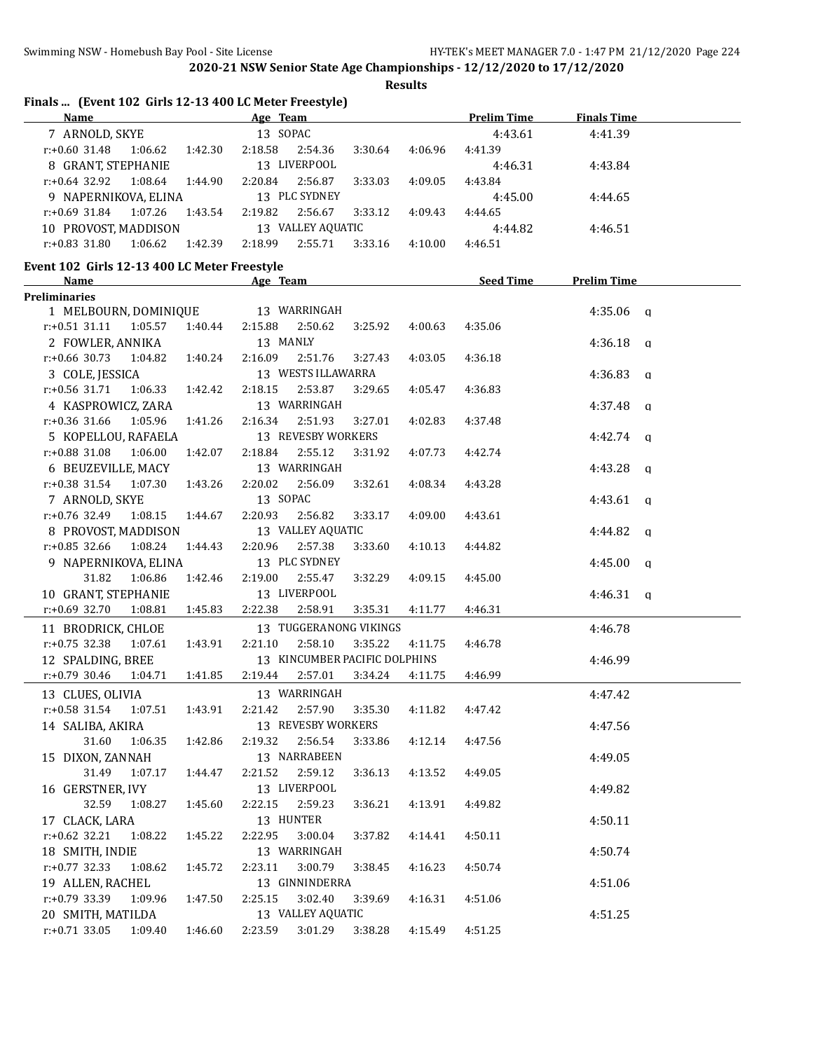**Results**

| Finals  (Event 102 Girls 12-13 400 LC Meter Freestyle)<br>Name |         | Age Team                      |         |         | <b>Prelim Time</b>         | <b>Finals Time</b> |
|----------------------------------------------------------------|---------|-------------------------------|---------|---------|----------------------------|--------------------|
| 7 ARNOLD, SKYE                                                 |         | 13 SOPAC                      |         |         | 4:43.61                    | 4:41.39            |
| $r: +0.60$ 31.48<br>1:06.62                                    | 1:42.30 | 2:18.58<br>2:54.36            | 3:30.64 | 4:06.96 | 4:41.39                    |                    |
| 8 GRANT, STEPHANIE                                             |         | 13 LIVERPOOL                  |         |         | 4:46.31                    | 4:43.84            |
| r:+0.64 32.92<br>1:08.64                                       | 1:44.90 | 2:20.84<br>2:56.87            | 3:33.03 | 4:09.05 | 4:43.84                    |                    |
| 9 NAPERNIKOVA, ELINA                                           |         | 13 PLC SYDNEY                 |         |         | 4:45.00                    | 4:44.65            |
| r:+0.69 31.84<br>1:07.26                                       | 1:43.54 | 2:19.82<br>2:56.67            | 3:33.12 | 4:09.43 | 4:44.65                    |                    |
| 10 PROVOST, MADDISON                                           |         | 13 VALLEY AQUATIC             |         |         | 4:44.82                    | 4:46.51            |
| $r: +0.83$ 31.80<br>1:06.62                                    | 1:42.39 | 2:18.99<br>2:55.71            | 3:33.16 | 4:10.00 | 4:46.51                    |                    |
| Event 102 Girls 12-13 400 LC Meter Freestyle                   |         |                               |         |         |                            |                    |
| <u>Name</u>                                                    |         | Age Team                      |         |         | <b>Example 2 Seed Time</b> | <b>Prelim Time</b> |
| Preliminaries                                                  |         |                               |         |         |                            |                    |
| 1 MELBOURN, DOMINIQUE                                          |         | 13 WARRINGAH                  |         |         |                            | $4:35.06$ q        |
| $r: +0.51$ 31.11<br>1:05.57                                    | 1:40.44 | 2:15.88<br>2:50.62            | 3:25.92 | 4:00.63 | 4:35.06                    |                    |
| 2 FOWLER, ANNIKA                                               |         | 13 MANLY                      |         |         |                            | 4:36.18 $q$        |
| $r: +0.66$ 30.73<br>1:04.82                                    | 1:40.24 | 2:16.09<br>2:51.76            | 3:27.43 | 4:03.05 | 4:36.18                    |                    |
| 3 COLE, JESSICA                                                |         | 13 WESTS ILLAWARRA            |         |         |                            | $4:36.83$ a        |
| r:+0.56 31.71<br>1:06.33                                       | 1:42.42 | 2:18.15<br>2:53.87            | 3:29.65 | 4:05.47 | 4:36.83                    |                    |
| 4 KASPROWICZ, ZARA                                             |         | 13 WARRINGAH                  |         |         |                            | $4:37.48$ q        |
| 1:05.96<br>$r: +0.36$ 31.66                                    | 1:41.26 | 2:16.34<br>2:51.93            | 3:27.01 | 4:02.83 | 4:37.48                    |                    |
| 5 KOPELLOU, RAFAELA                                            |         | 13 REVESBY WORKERS            |         |         |                            | $4:42.74$ a        |
| r:+0.88 31.08<br>1:06.00                                       | 1:42.07 | 2:18.84<br>2:55.12            | 3:31.92 | 4:07.73 | 4:42.74                    |                    |
| 6 BEUZEVILLE, MACY                                             |         | 13 WARRINGAH                  |         |         |                            | $4:43.28$ q        |
| r:+0.38 31.54<br>1:07.30                                       | 1:43.26 | 2:20.02<br>2:56.09            | 3:32.61 | 4:08.34 | 4:43.28                    |                    |
| 7 ARNOLD, SKYE                                                 |         | 13 SOPAC                      |         |         |                            | $4:43.61$ q        |
| $r: +0.76$ 32.49<br>1:08.15                                    | 1:44.67 | 2:20.93<br>2:56.82            | 3:33.17 | 4:09.00 | 4:43.61                    |                    |
| 8 PROVOST, MADDISON                                            |         | 13 VALLEY AQUATIC             |         |         |                            | $4:44.82$ q        |
| $r: +0.85$ 32.66<br>1:08.24                                    | 1:44.43 | 2:20.96<br>2:57.38            | 3:33.60 | 4:10.13 | 4:44.82                    |                    |
| 9 NAPERNIKOVA, ELINA                                           |         | 13 PLC SYDNEY                 |         |         |                            | $4:45.00$ q        |
| 31.82<br>1:06.86                                               | 1:42.46 | 2:55.47<br>2:19.00            | 3:32.29 | 4:09.15 | 4:45.00                    |                    |
| 10 GRANT, STEPHANIE                                            |         | 13 LIVERPOOL                  |         |         |                            | $4:46.31$ q        |
| $r: +0.69$ 32.70<br>1:08.81                                    | 1:45.83 | 2:22.38<br>2:58.91            | 3:35.31 | 4:11.77 | 4:46.31                    |                    |
| 11 BRODRICK, CHLOE                                             |         | 13 TUGGERANONG VIKINGS        |         |         |                            | 4:46.78            |
| $r: +0.75$ 32.38<br>1:07.61                                    | 1:43.91 | 2:21.10<br>2:58.10            | 3:35.22 | 4:11.75 | 4:46.78                    |                    |
| 12 SPALDING, BREE                                              |         | 13 KINCUMBER PACIFIC DOLPHINS |         |         |                            | 4:46.99            |
| $r: +0.79$ 30.46<br>1:04.71                                    | 1:41.85 | 2:19.44<br>2:57.01            | 3:34.24 | 4:11.75 | 4:46.99                    |                    |
| 13 CLUES, OLIVIA                                               |         | 13 WARRINGAH                  |         |         |                            | 4:47.42            |
| $r: +0.58$ 31.54<br>1:07.51                                    | 1:43.91 | 2:57.90<br>2:21.42            | 3:35.30 | 4:11.82 | 4:47.42                    |                    |
| 14 SALIBA, AKIRA                                               |         | 13 REVESBY WORKERS            |         |         |                            | 4:47.56            |
| 31.60<br>1:06.35                                               | 1:42.86 | 2:56.54<br>2:19.32            | 3:33.86 | 4:12.14 | 4:47.56                    |                    |
| 15 DIXON, ZANNAH                                               |         | 13 NARRABEEN                  |         |         |                            | 4:49.05            |
| 31.49<br>1:07.17                                               | 1:44.47 | 2:59.12<br>2:21.52            | 3:36.13 | 4:13.52 | 4:49.05                    |                    |
| 16 GERSTNER, IVY                                               |         | 13 LIVERPOOL                  |         |         |                            | 4:49.82            |
| 32.59<br>1:08.27                                               | 1:45.60 | 2:22.15<br>2:59.23            | 3:36.21 | 4:13.91 | 4:49.82                    |                    |
| 17 CLACK, LARA                                                 |         | 13 HUNTER                     |         |         |                            | 4:50.11            |
| r:+0.62 32.21<br>1:08.22                                       | 1:45.22 | 2:22.95<br>3:00.04            | 3:37.82 | 4:14.41 | 4:50.11                    |                    |
| 18 SMITH, INDIE                                                |         | 13 WARRINGAH                  |         |         |                            | 4:50.74            |
| $r: +0.77$ 32.33<br>1:08.62                                    | 1:45.72 | 2:23.11<br>3:00.79            | 3:38.45 | 4:16.23 | 4:50.74                    |                    |
| 19 ALLEN, RACHEL                                               |         | 13 GINNINDERRA                |         |         |                            | 4:51.06            |
| r:+0.79 33.39<br>1:09.96                                       | 1:47.50 | 2:25.15<br>3:02.40            | 3:39.69 | 4:16.31 | 4:51.06                    |                    |
| 20 SMITH, MATILDA                                              |         | 13 VALLEY AQUATIC             |         |         |                            | 4:51.25            |
| $r: +0.71$ 33.05<br>1:09.40                                    | 1:46.60 | 2:23.59<br>3:01.29            | 3:38.28 | 4:15.49 | 4:51.25                    |                    |
|                                                                |         |                               |         |         |                            |                    |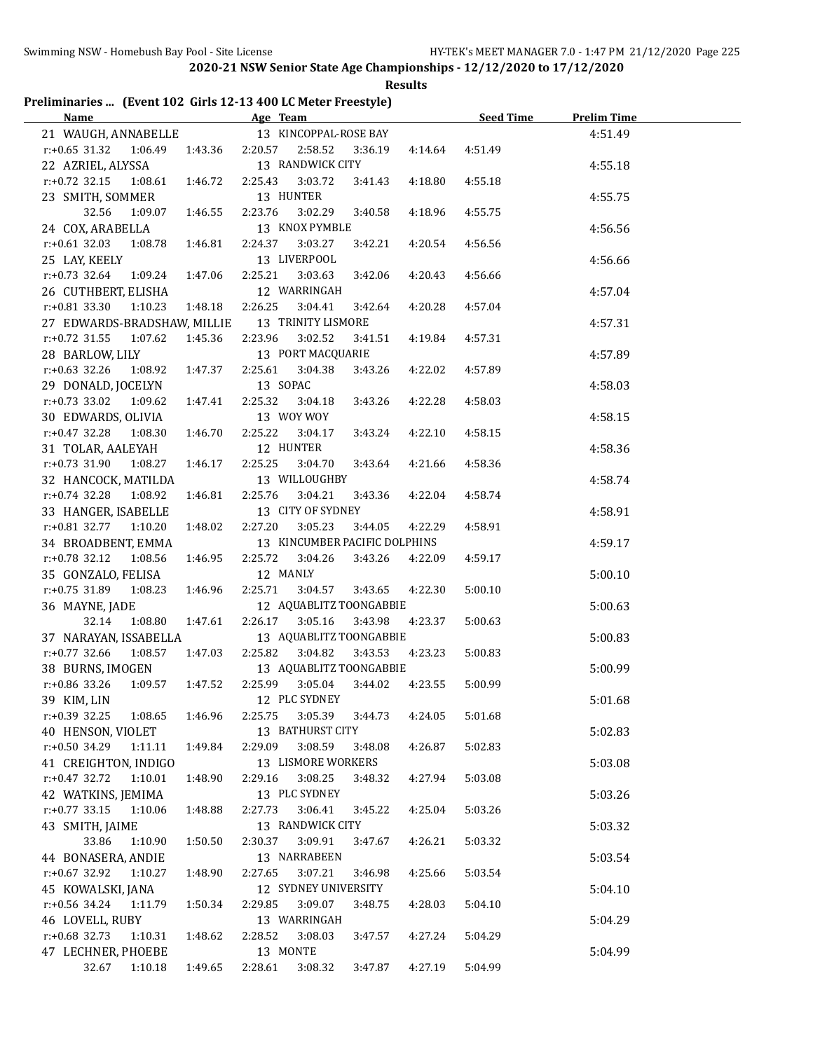**Results**

## **Preliminaries ... (Event 102 Girls 12-13 400 LC Meter Freestyle)**

|                               | Name and the state of the state of the state of the state of the state of the state of the state of the state of the state of the state of the state of the state of the state of the state of the state of the state of the s |          | Age Team and the contract of the state of the state of the state of the state of the state of the state of the |         |         | Seed Time | <b>Prelim Time</b> |  |
|-------------------------------|--------------------------------------------------------------------------------------------------------------------------------------------------------------------------------------------------------------------------------|----------|----------------------------------------------------------------------------------------------------------------|---------|---------|-----------|--------------------|--|
| 21 WAUGH, ANNABELLE           |                                                                                                                                                                                                                                |          | 13 KINCOPPAL-ROSE BAY                                                                                          |         |         |           | 4:51.49            |  |
| $r: +0.65$ 31.32              | 1:06.49                                                                                                                                                                                                                        |          | 1:43.36 2:20.57 2:58.52                                                                                        | 3:36.19 | 4:14.64 | 4:51.49   |                    |  |
| 22 AZRIEL, ALYSSA             |                                                                                                                                                                                                                                |          | 13 RANDWICK CITY                                                                                               |         |         |           | 4:55.18            |  |
| $r: +0.72$ 32.15              | 1:08.61<br>1:46.72                                                                                                                                                                                                             | 2:25.43  | 3:03.72                                                                                                        | 3:41.43 | 4:18.80 | 4:55.18   |                    |  |
| 23 SMITH, SOMMER              |                                                                                                                                                                                                                                |          | 13 HUNTER                                                                                                      |         |         |           | 4:55.75            |  |
| 32.56                         | 1:09.07<br>1:46.55                                                                                                                                                                                                             | 2:23.76  | 3:02.29                                                                                                        | 3:40.58 | 4:18.96 | 4:55.75   |                    |  |
| 24 COX, ARABELLA              |                                                                                                                                                                                                                                |          | 13 KNOX PYMBLE                                                                                                 |         |         |           | 4:56.56            |  |
| $r: +0.61$ 32.03              | 1:08.78<br>1:46.81                                                                                                                                                                                                             | 2:24.37  | 3:03.27                                                                                                        | 3:42.21 | 4:20.54 | 4:56.56   |                    |  |
| 25 LAY, KEELY                 |                                                                                                                                                                                                                                |          | 13 LIVERPOOL                                                                                                   |         |         |           | 4:56.66            |  |
| $r: +0.73$ 32.64              | 1:09.24<br>1:47.06                                                                                                                                                                                                             | 2:25.21  | 3:03.63                                                                                                        | 3:42.06 | 4:20.43 | 4:56.66   |                    |  |
| 26 CUTHBERT, ELISHA           |                                                                                                                                                                                                                                |          | 12 WARRINGAH                                                                                                   |         |         |           | 4:57.04            |  |
| $r: +0.81$ 33.30              | 1:10.23<br>1:48.18                                                                                                                                                                                                             | 2:26.25  | 3:04.41                                                                                                        | 3:42.64 | 4:20.28 | 4:57.04   |                    |  |
|                               | 27 EDWARDS-BRADSHAW, MILLIE                                                                                                                                                                                                    |          | 13 TRINITY LISMORE                                                                                             |         |         |           | 4:57.31            |  |
| $r: +0.72$ 31.55              | 1:07.62<br>1:45.36                                                                                                                                                                                                             | 2:23.96  | 3:02.52                                                                                                        | 3:41.51 | 4:19.84 | 4:57.31   |                    |  |
| 28 BARLOW, LILY               |                                                                                                                                                                                                                                |          | 13 PORT MACQUARIE                                                                                              |         |         |           | 4:57.89            |  |
| $r: +0.63$ 32.26              | 1:08.92<br>1:47.37                                                                                                                                                                                                             | 2:25.61  | 3:04.38                                                                                                        | 3:43.26 | 4:22.02 | 4:57.89   |                    |  |
| 29 DONALD, JOCELYN            |                                                                                                                                                                                                                                | 13 SOPAC |                                                                                                                |         |         |           | 4:58.03            |  |
| $r: +0.73$ 33.02              | 1:09.62<br>1:47.41                                                                                                                                                                                                             | 2:25.32  | 3:04.18                                                                                                        | 3:43.26 | 4:22.28 | 4:58.03   |                    |  |
| 30 EDWARDS, OLIVIA            |                                                                                                                                                                                                                                |          | 13 WOY WOY                                                                                                     |         |         |           | 4:58.15            |  |
| $r: +0.47$ 32.28              | 1:08.30<br>1:46.70                                                                                                                                                                                                             | 2:25.22  | 3:04.17                                                                                                        | 3:43.24 | 4:22.10 | 4:58.15   |                    |  |
| 31 TOLAR, AALEYAH             |                                                                                                                                                                                                                                |          | 12 HUNTER                                                                                                      |         |         |           | 4:58.36            |  |
| $r: +0.73$ 31.90              | 1:08.27<br>1:46.17                                                                                                                                                                                                             | 2:25.25  | 3:04.70                                                                                                        | 3:43.64 | 4:21.66 | 4:58.36   |                    |  |
| 32 HANCOCK, MATILDA           |                                                                                                                                                                                                                                |          | 13 WILLOUGHBY                                                                                                  |         |         |           | 4:58.74            |  |
| $r: +0.74$ 32.28              | 1:08.92<br>1:46.81                                                                                                                                                                                                             | 2:25.76  | 3:04.21                                                                                                        | 3:43.36 | 4:22.04 | 4:58.74   |                    |  |
| 33 HANGER, ISABELLE           |                                                                                                                                                                                                                                |          | 13 CITY OF SYDNEY                                                                                              |         |         |           | 4:58.91            |  |
| r:+0.81 32.77 1:10.20         | 1:48.02                                                                                                                                                                                                                        | 2:27.20  | 3:05.23                                                                                                        | 3:44.05 | 4:22.29 | 4:58.91   |                    |  |
| 34 BROADBENT, EMMA            |                                                                                                                                                                                                                                |          | 13 KINCUMBER PACIFIC DOLPHINS                                                                                  |         |         |           | 4:59.17            |  |
| $r.+0.78$ 32.12               | 1:08.56<br>1:46.95                                                                                                                                                                                                             | 2:25.72  | 3:04.26                                                                                                        | 3:43.26 | 4:22.09 | 4:59.17   |                    |  |
| 35 GONZALO, FELISA            |                                                                                                                                                                                                                                | 12 MANLY |                                                                                                                |         |         |           | 5:00.10            |  |
| $r: +0.75$ 31.89 1:08.23      | 1:46.96                                                                                                                                                                                                                        | 2:25.71  | 3:04.57                                                                                                        | 3:43.65 | 4:22.30 | 5:00.10   |                    |  |
| 36 MAYNE, JADE                |                                                                                                                                                                                                                                |          | 12 AQUABLITZ TOONGABBIE                                                                                        |         |         |           | 5:00.63            |  |
| 32.14                         | 1:08.80<br>1:47.61                                                                                                                                                                                                             | 2:26.17  | 3:05.16                                                                                                        | 3:43.98 | 4:23.37 | 5:00.63   |                    |  |
| 37 NARAYAN, ISSABELLA         |                                                                                                                                                                                                                                |          | 13 AQUABLITZ TOONGABBIE                                                                                        |         |         |           | 5:00.83            |  |
| r:+0.77 32.66 1:08.57 1:47.03 |                                                                                                                                                                                                                                | 2:25.82  | 3:04.82                                                                                                        | 3:43.53 | 4:23.23 | 5:00.83   |                    |  |
| 38 BURNS, IMOGEN              |                                                                                                                                                                                                                                |          | 13 AQUABLITZ TOONGABBIE                                                                                        |         |         |           | 5:00.99            |  |
| r:+0.86 33.26                 | 1:09.57 1:47.52                                                                                                                                                                                                                | 2:25.99  | 3:05.04                                                                                                        | 3:44.02 | 4:23.55 | 5:00.99   |                    |  |
| 39 KIM, LIN                   |                                                                                                                                                                                                                                |          | 12 PLC SYDNEY                                                                                                  |         |         |           | 5:01.68            |  |
| r:+0.39 32.25                 | 1:08.65<br>1:46.96                                                                                                                                                                                                             | 2:25.75  | 3:05.39                                                                                                        | 3:44.73 | 4:24.05 | 5:01.68   |                    |  |
| 40 HENSON, VIOLET             |                                                                                                                                                                                                                                |          | 13 BATHURST CITY                                                                                               |         |         |           | 5:02.83            |  |
| r:+0.50 34.29                 | 1:49.84<br>1:11.11                                                                                                                                                                                                             | 2:29.09  | 3:08.59                                                                                                        | 3:48.08 | 4:26.87 | 5:02.83   |                    |  |
| 41 CREIGHTON, INDIGO          |                                                                                                                                                                                                                                |          | 13 LISMORE WORKERS                                                                                             |         |         |           | 5:03.08            |  |
| $r: +0.47$ 32.72              | 1:10.01<br>1:48.90                                                                                                                                                                                                             | 2:29.16  | 3:08.25                                                                                                        | 3:48.32 | 4:27.94 | 5:03.08   |                    |  |
| 42 WATKINS, JEMIMA            |                                                                                                                                                                                                                                |          | 13 PLC SYDNEY                                                                                                  |         |         |           | 5:03.26            |  |
| $r: +0.77$ 33.15              | 1:48.88<br>1:10.06                                                                                                                                                                                                             | 2:27.73  | 3:06.41                                                                                                        | 3:45.22 | 4:25.04 | 5:03.26   |                    |  |
| 43 SMITH, JAIME               |                                                                                                                                                                                                                                |          | 13 RANDWICK CITY                                                                                               |         |         |           | 5:03.32            |  |
| 33.86                         | 1:10.90<br>1:50.50                                                                                                                                                                                                             | 2:30.37  | 3:09.91                                                                                                        | 3:47.67 | 4:26.21 | 5:03.32   |                    |  |
| 44 BONASERA, ANDIE            |                                                                                                                                                                                                                                |          | 13 NARRABEEN                                                                                                   |         |         |           | 5:03.54            |  |
| $r+0.67$ 32.92                | 1:10.27<br>1:48.90                                                                                                                                                                                                             | 2:27.65  | 3:07.21                                                                                                        | 3:46.98 | 4:25.66 | 5:03.54   |                    |  |
| 45 KOWALSKI, JANA             |                                                                                                                                                                                                                                |          | 12 SYDNEY UNIVERSITY                                                                                           |         |         |           | 5:04.10            |  |
| r:+0.56 34.24                 | 1:11.79<br>1:50.34                                                                                                                                                                                                             | 2:29.85  | 3:09.07                                                                                                        | 3:48.75 | 4:28.03 | 5:04.10   |                    |  |
| 46 LOVELL, RUBY               |                                                                                                                                                                                                                                |          | 13 WARRINGAH                                                                                                   |         |         |           | 5:04.29            |  |
| $r: +0.68$ 32.73              | 1:10.31<br>1:48.62                                                                                                                                                                                                             | 2:28.52  | 3:08.03                                                                                                        | 3:47.57 | 4:27.24 | 5:04.29   |                    |  |
| 47 LECHNER, PHOEBE            |                                                                                                                                                                                                                                | 13 MONTE |                                                                                                                |         |         |           | 5:04.99            |  |
| 32.67                         | 1:10.18<br>1:49.65                                                                                                                                                                                                             | 2:28.61  | 3:08.32                                                                                                        | 3:47.87 | 4:27.19 | 5:04.99   |                    |  |
|                               |                                                                                                                                                                                                                                |          |                                                                                                                |         |         |           |                    |  |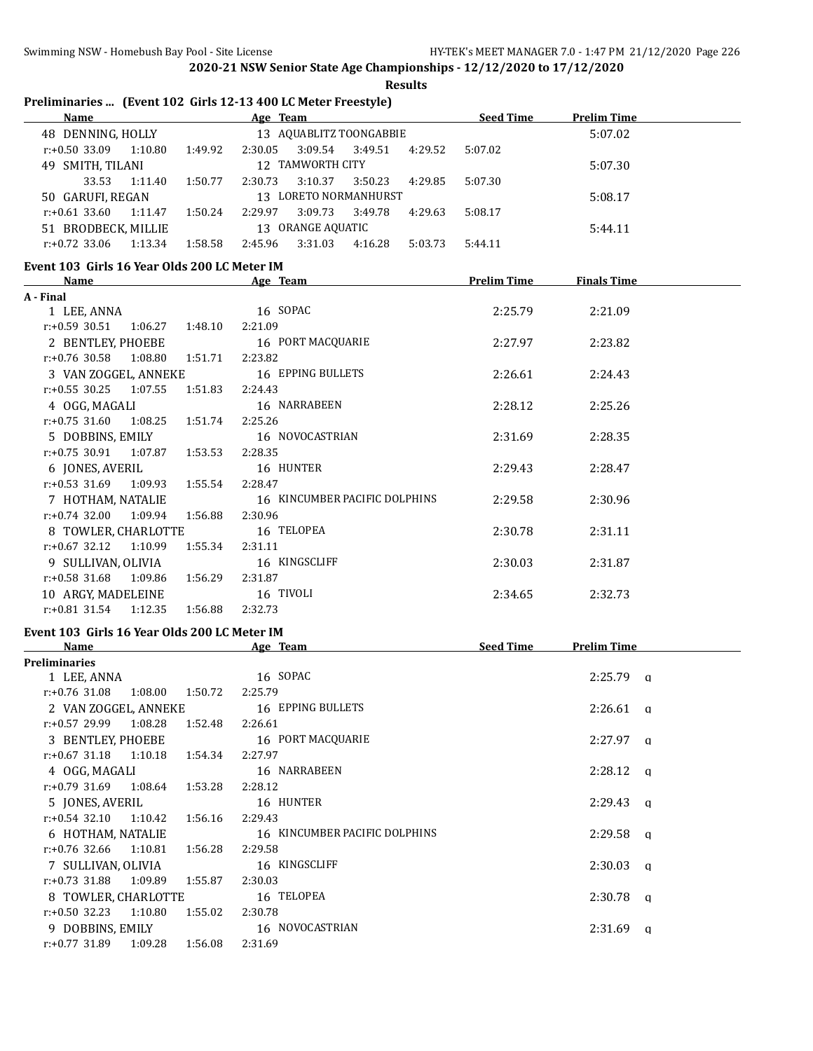|                                              |         |         | <b>Results</b>                                                |                    |                    |  |
|----------------------------------------------|---------|---------|---------------------------------------------------------------|--------------------|--------------------|--|
|                                              |         |         | Preliminaries  (Event 102 Girls 12-13 400 LC Meter Freestyle) |                    |                    |  |
| Name                                         |         |         | Age Team                                                      | <b>Seed Time</b>   | <b>Prelim Time</b> |  |
| 48 DENNING, HOLLY                            |         |         | 13 AQUABLITZ TOONGABBIE                                       |                    | 5:07.02            |  |
| $r.+0.50$ 33.09 1:10.80                      |         | 1:49.92 | 2:30.05<br>3:09.54<br>3:49.51<br>4:29.52                      | 5:07.02            |                    |  |
| 49 SMITH, TILANI                             |         |         | 12 TAMWORTH CITY                                              |                    | 5:07.30            |  |
| 33.53                                        | 1:11.40 | 1:50.77 | 3:10.37<br>2:30.73<br>3:50.23<br>4:29.85                      | 5:07.30            |                    |  |
| 50 GARUFI, REGAN                             |         |         | 13 LORETO NORMANHURST                                         |                    | 5:08.17            |  |
| $r: +0.61$ 33.60                             | 1:11.47 | 1:50.24 | 3:09.73<br>2:29.97<br>3:49.78<br>4:29.63                      | 5:08.17            |                    |  |
| 51 BRODBECK, MILLIE                          |         |         | 13 ORANGE AQUATIC                                             |                    | 5:44.11            |  |
| $r: +0.72$ 33.06                             | 1:13.34 | 1:58.58 | 2:45.96<br>3:31.03<br>4:16.28<br>5:03.73                      | 5:44.11            |                    |  |
| Event 103 Girls 16 Year Olds 200 LC Meter IM |         |         |                                                               |                    |                    |  |
| <u>Name</u>                                  |         |         | Age Team                                                      | <b>Prelim Time</b> | <b>Finals Time</b> |  |
| A - Final                                    |         |         |                                                               |                    |                    |  |
| 1 LEE, ANNA                                  |         |         | 16 SOPAC                                                      | 2:25.79            | 2:21.09            |  |
| $r: +0.59$ 30.51                             | 1:06.27 | 1:48.10 | 2:21.09                                                       |                    |                    |  |
| 2 BENTLEY, PHOEBE                            |         |         | 16 PORT MACQUARIE                                             | 2:27.97            | 2:23.82            |  |
| $r: +0.76$ 30.58                             | 1:08.80 | 1:51.71 | 2:23.82                                                       |                    |                    |  |
| 3 VAN ZOGGEL, ANNEKE                         |         |         | 16 EPPING BULLETS                                             | 2:26.61            | 2:24.43            |  |
| $r: +0.55$ 30.25                             | 1:07.55 | 1:51.83 | 2:24.43                                                       |                    |                    |  |
| 4 OGG, MAGALI                                |         |         | 16 NARRABEEN                                                  | 2:28.12            | 2:25.26            |  |
| $r: +0.75$ 31.60                             | 1:08.25 | 1:51.74 | 2:25.26                                                       |                    |                    |  |
| 5 DOBBINS, EMILY                             |         |         | 16 NOVOCASTRIAN                                               | 2:31.69            | 2:28.35            |  |
| $r: +0.75$ 30.91                             | 1:07.87 | 1:53.53 | 2:28.35                                                       |                    |                    |  |
| 6 JONES, AVERIL                              |         |         | 16 HUNTER                                                     | 2:29.43            | 2:28.47            |  |
| $r: +0.53$ 31.69                             | 1:09.93 | 1:55.54 | 2:28.47                                                       |                    |                    |  |
| 7 HOTHAM, NATALIE                            |         |         | 16 KINCUMBER PACIFIC DOLPHINS                                 | 2:29.58            | 2:30.96            |  |
| $r: +0.74$ 32.00                             | 1:09.94 | 1:56.88 | 2:30.96                                                       |                    |                    |  |
| 8 TOWLER, CHARLOTTE                          |         |         | 16 TELOPEA                                                    | 2:30.78            | 2:31.11            |  |
| $r: +0.67$ 32.12                             | 1:10.99 | 1:55.34 | 2:31.11                                                       |                    |                    |  |
| 9 SULLIVAN, OLIVIA                           |         |         | 16 KINGSCLIFF                                                 | 2:30.03            | 2:31.87            |  |
| $r: +0.58$ 31.68                             | 1:09.86 | 1:56.29 | 2:31.87                                                       |                    |                    |  |
| 10 ARGY, MADELEINE                           |         |         | 16 TIVOLI                                                     | 2:34.65            | 2:32.73            |  |
| $r: +0.81$ 31.54                             | 1:12.35 | 1:56.88 | 2:32.73                                                       |                    |                    |  |
| Event 103 Girls 16 Year Olds 200 LC Meter IM |         |         |                                                               |                    |                    |  |
| Name                                         |         |         | Age Team                                                      | Seed Time          | <b>Prelim Time</b> |  |
| Preliminaries                                |         |         |                                                               |                    |                    |  |
| 1 LEE, ANNA                                  |         |         | 16 SOPAC                                                      |                    | $2:25.79$ a        |  |
| r:+0.76 31.08                                | 1:08.00 | 1:50.72 | 2:25.79                                                       |                    |                    |  |
| 2 VAN ZOGGEL, ANNEKE                         |         |         | 16 EPPING BULLETS                                             |                    | $2:26.61$ q        |  |
| r:+0.57 29.99                                | 1:08.28 | 1:52.48 | 2:26.61                                                       |                    |                    |  |
| 3 BENTLEY, PHOEBE                            |         |         | 16 PORT MACQUARIE                                             |                    | $2:27.97$ q        |  |
| $r: +0.67$ 31.18                             | 1:10.18 | 1:54.34 | 2:27.97                                                       |                    |                    |  |
| 4 OGG, MAGALI                                |         |         | 16 NARRABEEN                                                  |                    | $2:28.12$ q        |  |
| $r+0$ 79 31 69 1.08 64                       |         | 1:53.28 | 2:28.12                                                       |                    |                    |  |

| ent 103  Girls 16 Year Olds 200 LC Meter IM |                    |                    |                               |                  |                    |   |
|---------------------------------------------|--------------------|--------------------|-------------------------------|------------------|--------------------|---|
| Name                                        |                    |                    | Age Team                      | <b>Seed Time</b> | <b>Prelim Time</b> |   |
| eliminaries                                 |                    |                    |                               |                  |                    |   |
| 1 LEE, ANNA                                 |                    |                    | 16 SOPAC                      |                  | $2:25.79$ q        |   |
| $r: +0.76$ 31.08                            | 1:08.00<br>1:50.72 | 2:25.79            |                               |                  |                    |   |
| 2 VAN ZOGGEL, ANNEKE                        |                    |                    | 16 EPPING BULLETS             |                  | 2:26.61            | a |
| $r: +0.57$ 29.99 1:08.28                    |                    | 1:52.48<br>2:26.61 |                               |                  |                    |   |
| 3 BENTLEY, PHOEBE                           |                    |                    | 16 PORT MACQUARIE             |                  | $2:27.97$ q        |   |
| $r: +0.67$ 31.18 1:10.18                    | 1:54.34            | 2:27.97            |                               |                  |                    |   |
| 4 OGG, MAGALI                               |                    |                    | 16 NARRABEEN                  |                  | $2:28.12$ a        |   |
| r:+0.79 31.69 1:08.64                       |                    | 1:53.28<br>2:28.12 |                               |                  |                    |   |
| 5 JONES, AVERIL                             |                    |                    | 16 HUNTER                     |                  | $2:29.43$ a        |   |
| $r: +0.54$ 32.10 1:10.42                    |                    | 2:29.43<br>1:56.16 |                               |                  |                    |   |
| 6 HOTHAM, NATALIE                           |                    |                    | 16 KINCUMBER PACIFIC DOLPHINS |                  | $2:29.58$ a        |   |
| $r: +0.76$ 32.66                            | 1:10.81<br>1:56.28 | 2:29.58            |                               |                  |                    |   |
| 7 SULLIVAN, OLIVIA                          |                    |                    | 16 KINGSCLIFF                 |                  | 2:30.03            | a |
| $r: +0.73$ 31.88 1:09.89                    |                    | 1:55.87<br>2:30.03 |                               |                  |                    |   |
| 8 TOWLER, CHARLOTTE                         |                    |                    | 16 TELOPEA                    |                  | $2:30.78$ q        |   |
| $r: +0.50$ 32.23                            | 1:10.80            | 1:55.02<br>2:30.78 |                               |                  |                    |   |
| 9 DOBBINS, EMILY                            |                    |                    | 16 NOVOCASTRIAN               |                  | 2:31.69            | a |
| r:+0.77 31.89 1:09.28                       | 1:56.08            | 2:31.69            |                               |                  |                    |   |
|                                             |                    |                    |                               |                  |                    |   |
|                                             |                    |                    |                               |                  |                    |   |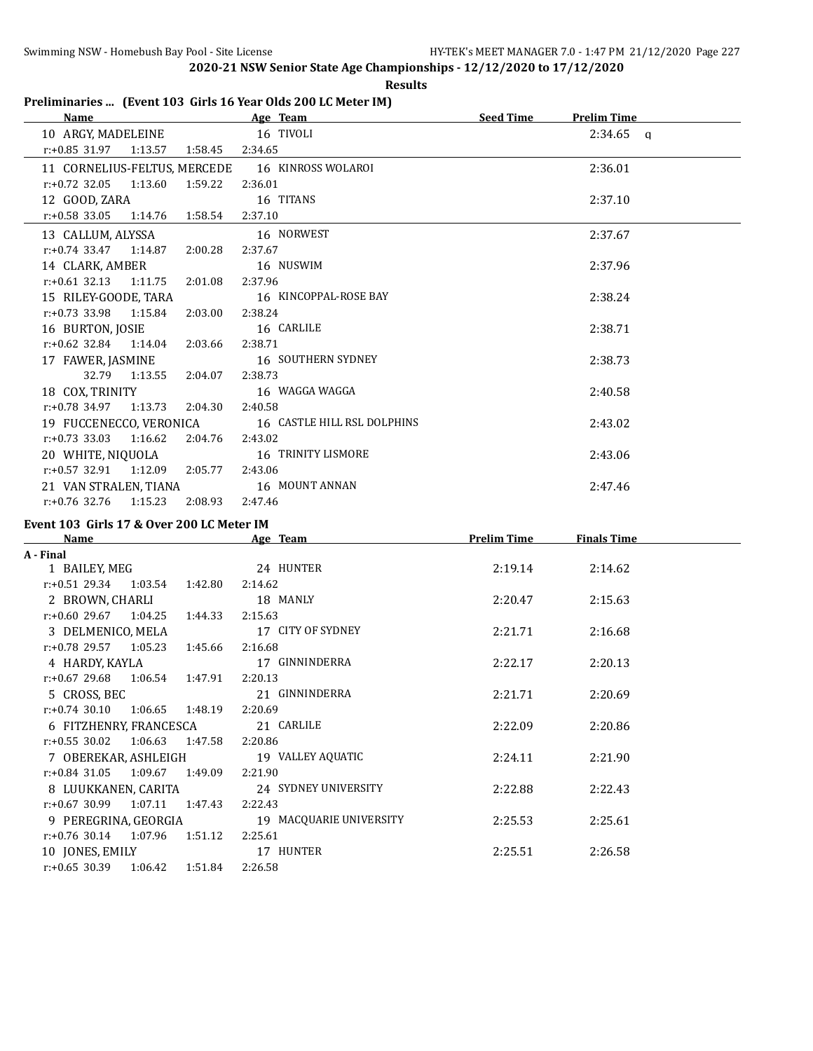r:+0.55 30.02 1:06.63 1:47.58 2:20.86

r:+0.84 31.05 1:09.67 1:49.09 2:21.90

r:+0.67 30.99 1:07.11 1:47.43 2:22.43

r:+0.76 30.14 1:07.96 1:51.12 2:25.61

r:+0.65 30.39 1:06.42 1:51.84 2:26.58

**2020-21 NSW Senior State Age Championships - 12/12/2020 to 17/12/2020**

#### **Results**

### **Preliminaries ... (Event 103 Girls 16 Year Olds 200 LC Meter IM)**

| Name and the state of the state of the state of the state of the state of the state of the state of the state of the state of the state of the state of the state of the state of the state of the state of the state of the s |                  | Age Team                    | Seed Time          | <b>Prelim Time</b> |
|--------------------------------------------------------------------------------------------------------------------------------------------------------------------------------------------------------------------------------|------------------|-----------------------------|--------------------|--------------------|
| 10 ARGY, MADELEINE                                                                                                                                                                                                             |                  | 16 TIVOLI                   |                    | $2:34.65$ a        |
| r:+0.85 31.97 1:13.57                                                                                                                                                                                                          | 1:58.45  2:34.65 |                             |                    |                    |
| 11 CORNELIUS-FELTUS, MERCEDE                                                                                                                                                                                                   |                  | 16 KINROSS WOLAROI          |                    | 2:36.01            |
| $r: +0.72$ 32.05<br>1:13.60                                                                                                                                                                                                    | 1:59.22          | 2:36.01                     |                    |                    |
| 12 GOOD, ZARA                                                                                                                                                                                                                  |                  | 16 TITANS                   |                    | 2:37.10            |
| $r: +0.58$ 33.05<br>1:14.76  1:58.54                                                                                                                                                                                           |                  | 2:37.10                     |                    |                    |
| 13 CALLUM, ALYSSA                                                                                                                                                                                                              |                  | 16 NORWEST                  |                    | 2:37.67            |
| $r.+0.74$ 33.47 1:14.87                                                                                                                                                                                                        | 2:00.28          | 2:37.67                     |                    |                    |
| 14 CLARK, AMBER                                                                                                                                                                                                                |                  | 16 NUSWIM                   |                    | 2:37.96            |
| $r: +0.61$ 32.13 1:11.75                                                                                                                                                                                                       | 2:01.08          | 2:37.96                     |                    |                    |
| 15 RILEY-GOODE, TARA                                                                                                                                                                                                           |                  | 16 KINCOPPAL-ROSE BAY       |                    | 2:38.24            |
| $r: +0.73$ 33.98<br>1:15.84                                                                                                                                                                                                    | 2:03.00          | 2:38.24                     |                    |                    |
| 16 BURTON, JOSIE                                                                                                                                                                                                               |                  | 16 CARLILE                  |                    | 2:38.71            |
| $r: +0.62$ 32.84 1:14.04                                                                                                                                                                                                       | 2:03.66          | 2:38.71                     |                    |                    |
| 17 FAWER, JASMINE                                                                                                                                                                                                              |                  | 16 SOUTHERN SYDNEY          |                    | 2:38.73            |
| 32.79 1:13.55                                                                                                                                                                                                                  | 2:04.07          | 2:38.73                     |                    |                    |
| 18 COX, TRINITY                                                                                                                                                                                                                |                  | 16 WAGGA WAGGA              |                    | 2:40.58            |
| $r: +0.78$ 34.97 1:13.73                                                                                                                                                                                                       | 2:04.30          | 2:40.58                     |                    |                    |
| 19 FUCCENECCO, VERONICA                                                                                                                                                                                                        |                  | 16 CASTLE HILL RSL DOLPHINS |                    | 2:43.02            |
| $r: +0.73$ 33.03 1:16.62 2:04.76                                                                                                                                                                                               |                  | 2:43.02                     |                    |                    |
| 20 WHITE, NIQUOLA                                                                                                                                                                                                              |                  | 16 TRINITY LISMORE          |                    | 2:43.06            |
| $r: +0.57$ 32.91 1:12.09 2:05.77                                                                                                                                                                                               |                  | 2:43.06                     |                    |                    |
| 21 VAN STRALEN, TIANA                                                                                                                                                                                                          |                  | 16 MOUNT ANNAN              |                    | 2:47.46            |
| $r.+0.76$ 32.76 1:15.23 2:08.93                                                                                                                                                                                                |                  | 2:47.46                     |                    |                    |
|                                                                                                                                                                                                                                |                  |                             |                    |                    |
| Event 103 Girls 17 & Over 200 LC Meter IM<br>Name                                                                                                                                                                              |                  | Age Team                    | <b>Prelim Time</b> | <b>Finals Time</b> |
| A - Final                                                                                                                                                                                                                      |                  |                             |                    |                    |
| 1 BAILEY, MEG                                                                                                                                                                                                                  |                  | 24 HUNTER                   | 2:19.14            | 2:14.62            |
| $r.+0.51$ 29.34 1:03.54 1:42.80                                                                                                                                                                                                |                  | 2:14.62                     |                    |                    |
| 2 BROWN, CHARLI                                                                                                                                                                                                                |                  | 18 MANLY                    | 2:20.47            | 2:15.63            |
| $r: +0.60$ 29.67 1:04.25                                                                                                                                                                                                       | 1:44.33          | 2:15.63                     |                    |                    |
| 3 DELMENICO, MELA                                                                                                                                                                                                              |                  | 17 CITY OF SYDNEY           | 2:21.71            | 2:16.68            |
| $r.+0.78$ 29.57 1:05.23                                                                                                                                                                                                        | 1:45.66          | 2:16.68                     |                    |                    |
| 4 HARDY, KAYLA                                                                                                                                                                                                                 |                  | 17 GINNINDERRA              | 2:22.17            | 2:20.13            |
| $r: +0.67$ 29.68<br>1:06.54 1:47.91                                                                                                                                                                                            |                  | 2:20.13                     |                    |                    |
| 5 CROSS, BEC                                                                                                                                                                                                                   |                  | 21 GINNINDERRA              | 2:21.71            | 2:20.69            |
| 1:06.65<br>$r: +0.74$ 30.10                                                                                                                                                                                                    | 1:48.19          | 2:20.69                     |                    |                    |
| 6 FITZHENRY, FRANCESCA                                                                                                                                                                                                         |                  | 21 CARLILE                  | 2:22.09            | 2:20.86            |

7 OBEREKAR, ASHLEIGH 19 VALLEY AQUATIC 2:24.11 2:21.90

8 LUUKKANEN, CARITA 24 SYDNEY UNIVERSITY 2:22.88 2:22.43

9 PEREGRINA, GEORGIA 19 MACQUARIE UNIVERSITY 2:25.53 2:25.61

10 JONES, EMILY 17 HUNTER 2:25.51 2:26.58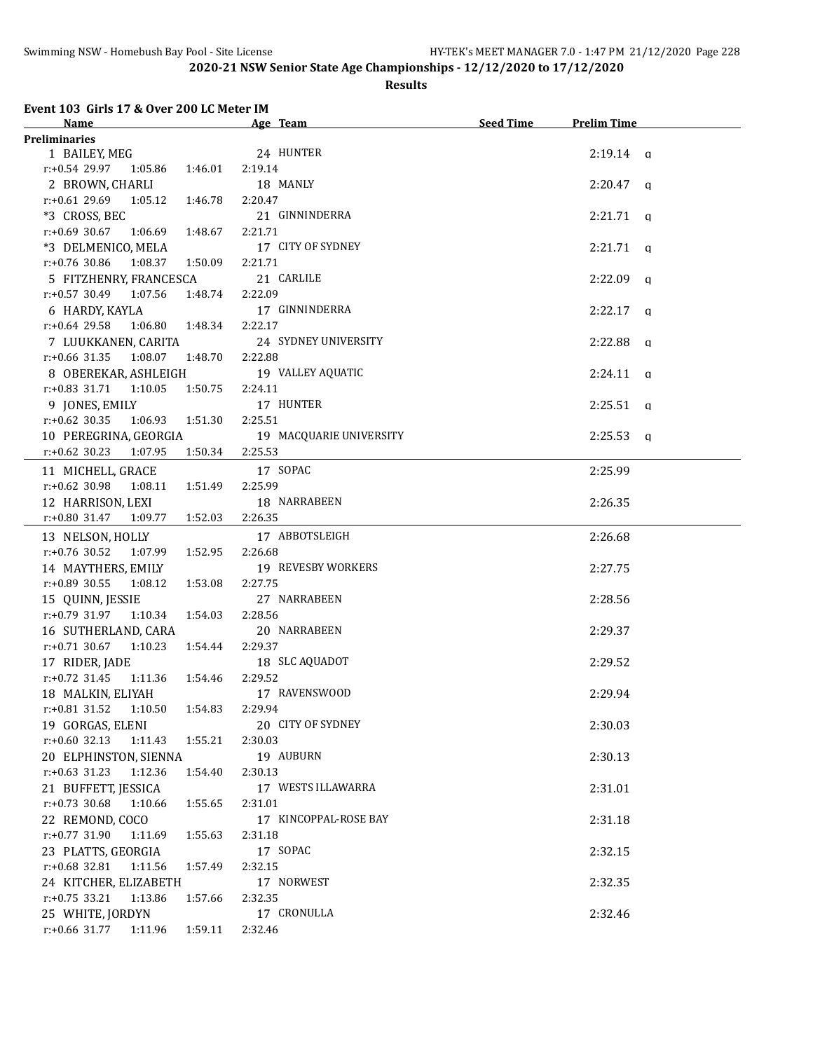#### **Results**

#### **Event 103 Girls 17 & Over 200 LC Meter IM**

| Name<br><u> 1980 - Johann Barn, mars ann an t-</u>      | <u> 1980 - Johann Barbara, martxa a</u><br>Age Team | Seed Time | <b>Prelim Time</b> |
|---------------------------------------------------------|-----------------------------------------------------|-----------|--------------------|
| Preliminaries                                           |                                                     |           |                    |
| 1 BAILEY, MEG                                           | 24 HUNTER                                           |           | $2:19.14$ a        |
| $r: +0.54$ 29.97 1:05.86 1:46.01                        | 2:19.14                                             |           |                    |
| 2 BROWN, CHARLI                                         | 18 MANLY                                            |           | $2:20.47$ q        |
| $r.+0.6129.691:05.12$<br>1:46.78                        | 2:20.47                                             |           |                    |
| *3 CROSS, BEC                                           | 21 GINNINDERRA                                      |           | $2:21.71$ q        |
| $r: +0.69$ 30.67 1:06.69<br>1:48.67                     | 2:21.71                                             |           |                    |
| *3 DELMENICO, MELA                                      | 17 CITY OF SYDNEY                                   |           | $2:21.71$ q        |
| $r.+0.76$ 30.86 1:08.37 1:50.09                         | 2:21.71                                             |           |                    |
| 5 FITZHENRY, FRANCESCA                                  | 21 CARLILE                                          |           | $2:22.09$ q        |
| $r.+0.57$ 30.49 1:07.56                                 | 1:48.74 2:22.09                                     |           |                    |
| 6 HARDY, KAYLA                                          | 17 GINNINDERRA                                      |           | $2:22.17$ q        |
| $r: +0.64$ 29.58<br>1:06.80  1:48.34                    | 2:22.17                                             |           |                    |
| 7 LUUKKANEN, CARITA                                     | 24 SYDNEY UNIVERSITY                                |           | $2:22.88$ q        |
| $r.+0.66$ 31.35 1:08.07 1:48.70                         | 2:22.88                                             |           |                    |
| 8 OBEREKAR, ASHLEIGH                                    | 19 VALLEY AQUATIC                                   |           | $2:24.11$ q        |
| $r.+0.83$ 31.71 1:10.05<br>1:50.75                      | 2:24.11                                             |           |                    |
| 9 JONES, EMILY                                          | 17 HUNTER                                           |           | $2:25.51$ q        |
| $r$ :+0.62 30.35<br>1:06.93   1:51.30                   | 2:25.51                                             |           |                    |
| 10 PEREGRINA, GEORGIA                                   | 19 MACQUARIE UNIVERSITY                             |           | $2:25.53$ a        |
| $r: +0.62$ 30.23<br>1:50.34<br>1:07.95                  | 2:25.53                                             |           |                    |
|                                                         | 17 SOPAC                                            |           | 2:25.99            |
| 11 MICHELL, GRACE<br>$r.+0.62$ 30.98 1:08.11<br>1:51.49 | 2:25.99                                             |           |                    |
|                                                         | 18 NARRABEEN                                        |           |                    |
| 12 HARRISON, LEXI<br>r:+0.80 31.47 1:09.77<br>1:52.03   | 2:26.35                                             |           | 2:26.35            |
|                                                         |                                                     |           |                    |
| 13 NELSON, HOLLY                                        | 17 ABBOTSLEIGH                                      |           | 2:26.68            |
| $r.+0.76$ 30.52 1:07.99<br>1:52.95                      | 2:26.68                                             |           |                    |
| 14 MAYTHERS, EMILY                                      | 19 REVESBY WORKERS                                  |           | 2:27.75            |
| r:+0.89 30.55 1:08.12<br>1:53.08                        | 2:27.75                                             |           |                    |
| 15 QUINN, JESSIE                                        | 27 NARRABEEN                                        |           | 2:28.56            |
| $r.+0.79$ 31.97 1:10.34<br>1:54.03                      | 2:28.56                                             |           |                    |
| 16 SUTHERLAND, CARA                                     | 20 NARRABEEN                                        |           | 2:29.37            |
| $r.+0.71$ 30.67 1:10.23<br>1:54.44                      | 2:29.37                                             |           |                    |
| 17 RIDER, JADE                                          | 18 SLC AQUADOT                                      |           | 2:29.52            |
| r:+0.72 31.45 1:11.36 1:54.46                           | 2:29.52                                             |           |                    |
| 18 MALKIN, ELIYAH                                       | 17 RAVENSWOOD                                       |           | 2:29.94            |
| r:+0.81 31.52  1:10.50  1:54.83  2:29.94                |                                                     |           |                    |
| 19 GORGAS, ELENI                                        | 20 CITY OF SYDNEY                                   |           | 2:30.03            |
| $r: +0.60$ 32.13<br>1:11.43<br>1:55.21                  | 2:30.03                                             |           |                    |
| 20 ELPHINSTON, SIENNA                                   | 19 AUBURN                                           |           | 2:30.13            |
| $r: +0.63$ 31.23<br>1:12.36<br>1:54.40                  | 2:30.13                                             |           |                    |
| 21 BUFFETT, JESSICA                                     | 17 WESTS ILLAWARRA                                  |           | 2:31.01            |
| $r: +0.73$ 30.68<br>1:55.65<br>1:10.66                  | 2:31.01                                             |           |                    |
| 22 REMOND, COCO                                         | 17 KINCOPPAL-ROSE BAY                               |           | 2:31.18            |
| r:+0.77 31.90 1:11.69<br>1:55.63                        | 2:31.18                                             |           |                    |
| 23 PLATTS, GEORGIA                                      | 17 SOPAC                                            |           | 2:32.15            |
| $r: +0.68$ 32.81<br>1:11.56<br>1:57.49                  | 2:32.15                                             |           |                    |
| 24 KITCHER, ELIZABETH                                   | 17 NORWEST                                          |           | 2:32.35            |
| $r$ :+0.75 33.21<br>1:13.86<br>1:57.66                  | 2:32.35                                             |           |                    |
| 25 WHITE, JORDYN                                        | 17 CRONULLA                                         |           | 2:32.46            |
| r:+0.66 31.77 1:11.96 1:59.11                           | 2:32.46                                             |           |                    |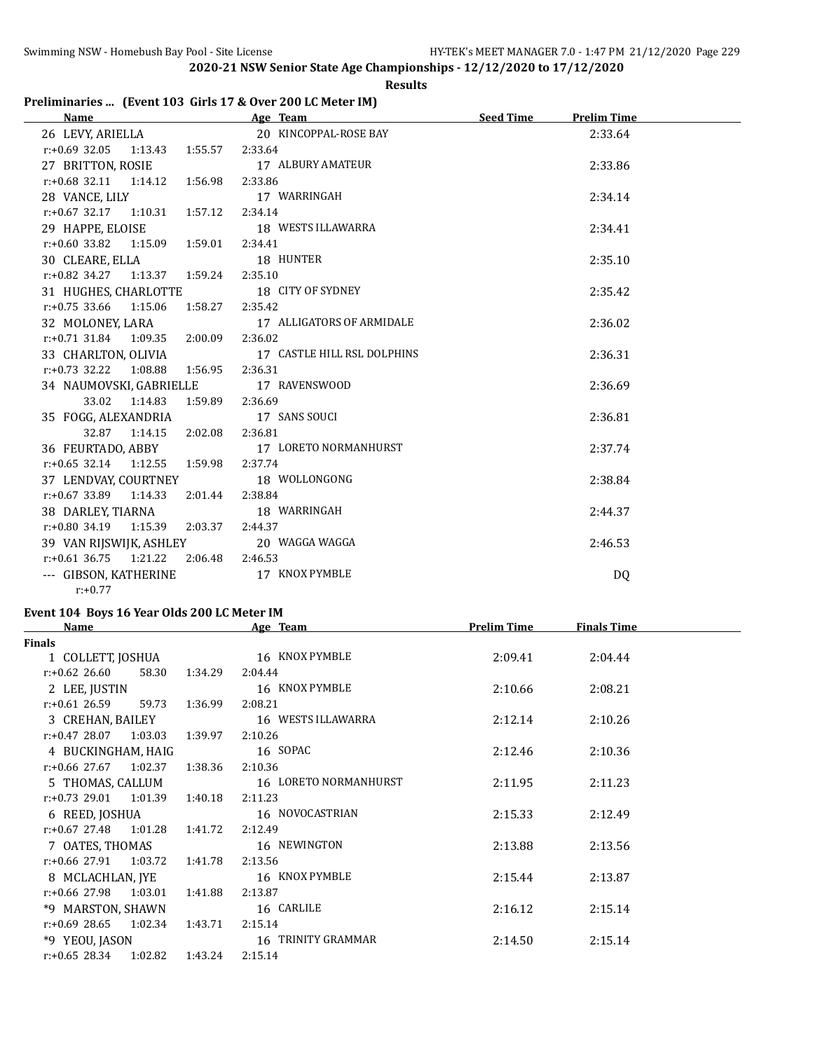#### **Results**

## **Preliminaries ... (Event 103 Girls 17 & Over 200 LC Meter IM)**

| <b>Name</b>                              | Age Team                    | <b>Seed Time</b><br><b>Prelim Time</b> |
|------------------------------------------|-----------------------------|----------------------------------------|
| 26 LEVY, ARIELLA                         | 20 KINCOPPAL-ROSE BAY       | 2:33.64                                |
| $r: +0.69$ 32.05 1:13.43 1:55.57 2:33.64 |                             |                                        |
| 27 BRITTON, ROSIE                        | 17 ALBURY AMATEUR           | 2:33.86                                |
| $r.+0.68$ 32.11 1:14.12 1:56.98          | 2:33.86                     |                                        |
| 28 VANCE, LILY                           | 17 WARRINGAH                | 2:34.14                                |
| $r.+0.67$ 32.17 1:10.31 1:57.12 2:34.14  |                             |                                        |
| 29 HAPPE, ELOISE 18 WESTS ILLAWARRA      |                             | 2:34.41                                |
| $r.+0.60$ 33.82 1:15.09 1:59.01          | 2:34.41                     |                                        |
| 30 CLEARE, ELLA                          | 18 HUNTER                   | 2:35.10                                |
| r:+0.82 34.27 1:13.37 1:59.24 2:35.10    |                             |                                        |
| 31 HUGHES, CHARLOTTE 18 CITY OF SYDNEY   |                             | 2:35.42                                |
| $r.+0.75$ 33.66 1:15.06 1:58.27          | 2:35.42                     |                                        |
| 32 MOLONEY, LARA                         | 17 ALLIGATORS OF ARMIDALE   | 2:36.02                                |
| r:+0.71 31.84 1:09.35 2:00.09 2:36.02    |                             |                                        |
| 33 CHARLTON, OLIVIA                      | 17 CASTLE HILL RSL DOLPHINS | 2:36.31                                |
| $r: +0.73$ 32.22 1:08.88 1:56.95 2:36.31 |                             |                                        |
| 34 NAUMOVSKI, GABRIELLE 17 RAVENSWOOD    |                             | 2:36.69                                |
| 33.02 1:14.83 1:59.89                    | 2:36.69                     |                                        |
| 35 FOGG, ALEXANDRIA                      | 17 SANS SOUCI               | 2:36.81                                |
| 1:14.15  2:02.08  2:36.81<br>32.87       |                             |                                        |
| 36 FEURTADO, ABBY 17 LORETO NORMANHURST  |                             | 2:37.74                                |
| $r: +0.65$ 32.14 1:12.55 1:59.98         | 2:37.74                     |                                        |
| 37 LENDVAY, COURTNEY                     | 18 WOLLONGONG               | 2:38.84                                |
| $r.+0.67$ 33.89 1:14.33 2:01.44 2:38.84  |                             |                                        |
| 38 DARLEY, TIARNA 18 WARRINGAH           |                             | 2:44.37                                |
| $r.+0.80$ 34.19 1:15.39 2:03.37          | 2:44.37                     |                                        |
| 39 VAN RIJSWIJK, ASHLEY                  | 20 WAGGA WAGGA              | 2:46.53                                |
| $r.+0.61$ 36.75 1:21.22 2:06.48 2:46.53  |                             |                                        |
| --- GIBSON, KATHERINE                    | 17 KNOX PYMBLE              | DQ.                                    |
| $r: +0.77$                               |                             |                                        |

# **Event 104 Boys 16 Year Olds 200 LC Meter IM**

| <b>Name</b>                 |         | Age Team              | <b>Prelim Time</b> | <b>Finals Time</b> |  |
|-----------------------------|---------|-----------------------|--------------------|--------------------|--|
| <b>Finals</b>               |         |                       |                    |                    |  |
| 1 COLLETT, JOSHUA           |         | 16 KNOX PYMBLE        | 2:09.41            | 2:04.44            |  |
| $r: +0.62$ 26.60<br>58.30   | 1:34.29 | 2:04.44               |                    |                    |  |
| 2 LEE, JUSTIN               |         | 16 KNOX PYMBLE        | 2:10.66            | 2:08.21            |  |
| $r: +0.61$ 26.59<br>59.73   | 1:36.99 | 2:08.21               |                    |                    |  |
| 3 CREHAN, BAILEY            |         | 16 WESTS ILLAWARRA    | 2:12.14            | 2:10.26            |  |
| $r.+0.4728.071.03.03$       | 1:39.97 | 2:10.26               |                    |                    |  |
| 4 BUCKINGHAM, HAIG          |         | 16 SOPAC              | 2:12.46            | 2:10.36            |  |
| $r: +0.66$ 27.67 1:02.37    | 1:38.36 | 2:10.36               |                    |                    |  |
| 5 THOMAS, CALLUM            |         | 16 LORETO NORMANHURST | 2:11.95            | 2:11.23            |  |
| $r: +0.73$ 29.01<br>1:01.39 | 1:40.18 | 2:11.23               |                    |                    |  |
| 6 REED, JOSHUA              |         | 16 NOVOCASTRIAN       | 2:15.33            | 2:12.49            |  |
| $r: +0.67$ 27.48 1:01.28    | 1:41.72 | 2:12.49               |                    |                    |  |
| 7 OATES, THOMAS             |         | 16 NEWINGTON          | 2:13.88            | 2:13.56            |  |
| r:+0.66 27.91<br>1:03.72    | 1:41.78 | 2:13.56               |                    |                    |  |
| 8 MCLACHLAN, IYE            |         | 16 KNOX PYMBLE        | 2:15.44            | 2:13.87            |  |
| $r: +0.66$ 27.98 1:03.01    | 1:41.88 | 2:13.87               |                    |                    |  |
| *9 MARSTON, SHAWN           |         | 16 CARLILE            | 2:16.12            | 2:15.14            |  |
| $r: +0.69$ 28.65<br>1:02.34 | 1:43.71 | 2:15.14               |                    |                    |  |
| *9 YEOU, JASON              |         | 16 TRINITY GRAMMAR    | 2:14.50            | 2:15.14            |  |
| 1:02.82<br>r:+0.65 28.34    | 1:43.24 | 2:15.14               |                    |                    |  |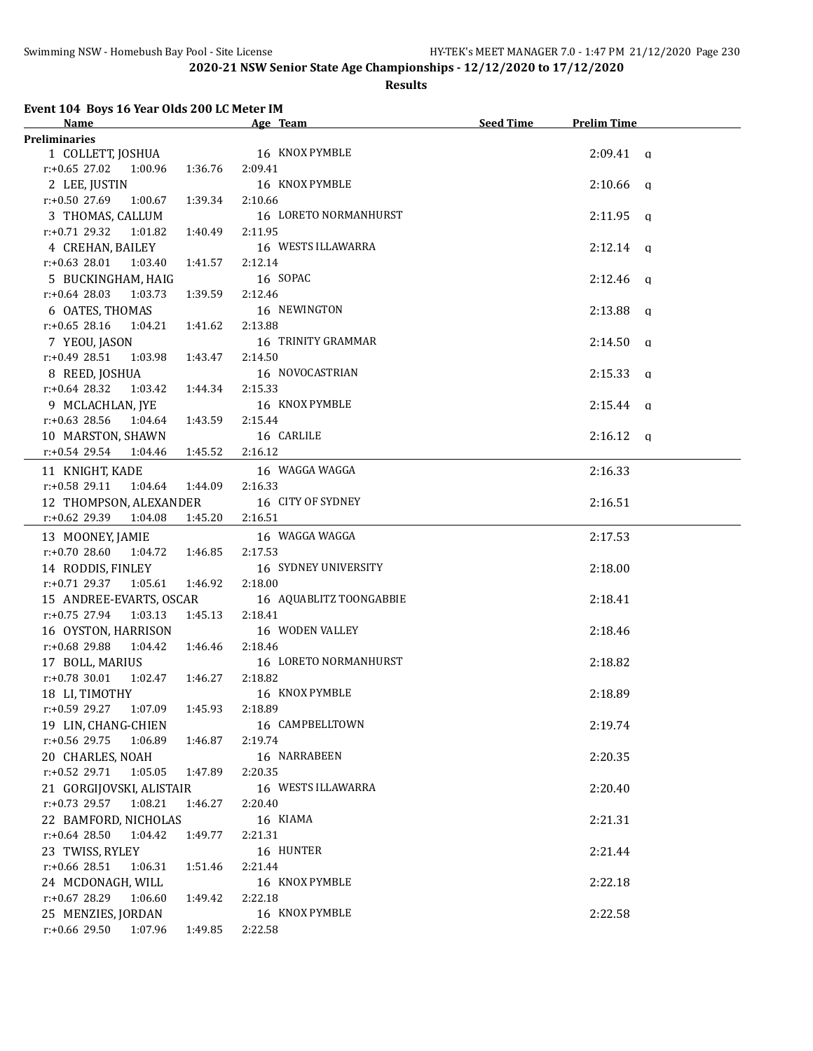#### **Results**

#### **Event 104 Boys 16 Year Olds 200 LC Meter IM**

| <b>Name</b>                                            |         | Age Team                | <b>Seed Time</b> | <b>Prelim Time</b> |  |
|--------------------------------------------------------|---------|-------------------------|------------------|--------------------|--|
| <b>Preliminaries</b>                                   |         |                         |                  |                    |  |
| 1 COLLETT, JOSHUA 16 KNOX PYMBLE                       |         |                         |                  | $2:09.41$ a        |  |
| $r.+0.65$ 27.02 1:00.96                                | 1:36.76 | 2:09.41                 |                  |                    |  |
| 2 LEE, JUSTIN                                          |         | 16 KNOX PYMBLE          |                  | $2:10.66$ q        |  |
| $r: +0.50$ 27.69 1:00.67                               | 1:39.34 | 2:10.66                 |                  |                    |  |
| 3 THOMAS, CALLUM                                       |         | 16 LORETO NORMANHURST   |                  | $2:11.95$ q        |  |
| $r.+0.71$ 29.32 1:01.82                                | 1:40.49 | 2:11.95                 |                  |                    |  |
| 4 CREHAN, BAILEY                                       |         | 16 WESTS ILLAWARRA      |                  | $2:12.14$ q        |  |
| $r: +0.63$ 28.01 1:03.40                               | 1:41.57 | 2:12.14                 |                  |                    |  |
| 5 BUCKINGHAM, HAIG                                     |         | 16 SOPAC                |                  | $2:12.46$ q        |  |
| $r: +0.64$ 28.03<br>1:03.73                            | 1:39.59 | 2:12.46                 |                  |                    |  |
| 6 OATES, THOMAS                                        |         | 16 NEWINGTON            |                  | $2:13.88$ a        |  |
| $r: +0.65$ 28.16<br>1:04.21                            | 1:41.62 | 2:13.88                 |                  |                    |  |
| 7 YEOU, JASON                                          |         | 16 TRINITY GRAMMAR      |                  | $2:14.50$ q        |  |
| $r: +0.49$ 28.51<br>1:03.98                            | 1:43.47 | 2:14.50                 |                  |                    |  |
| 8 REED, JOSHUA                                         |         | 16 NOVOCASTRIAN         |                  | $2:15.33$ q        |  |
| $r: +0.64$ 28.32<br>1:03.42                            | 1:44.34 | 2:15.33                 |                  |                    |  |
| 9 MCLACHLAN, JYE                                       |         | 16 KNOX PYMBLE          |                  | $2:15.44$ q        |  |
| $r: +0.63$ 28.56<br>1:04.64                            | 1:43.59 | 2:15.44                 |                  |                    |  |
| 10 MARSTON, SHAWN                                      |         | 16 CARLILE              |                  | $2:16.12$ q        |  |
| $r.+0.54$ 29.54 1:04.46                                | 1:45.52 | 2:16.12                 |                  |                    |  |
| 11 KNIGHT, KADE                                        |         | 16 WAGGA WAGGA          |                  | 2:16.33            |  |
| $r.+0.58$ 29.11<br>1:04.64 1:44.09                     |         | 2:16.33                 |                  |                    |  |
| 12 THOMPSON, ALEXANDER                                 |         | 16 CITY OF SYDNEY       |                  | 2:16.51            |  |
| $r.+0.62$ 29.39 1:04.08 1:45.20                        |         | 2:16.51                 |                  |                    |  |
|                                                        |         | 16 WAGGA WAGGA          |                  | 2:17.53            |  |
| 13 MOONEY, JAMIE<br>$r.+0.7028.6011:04.721:46.85$      |         | 2:17.53                 |                  |                    |  |
| 14 RODDIS, FINLEY                                      |         | 16 SYDNEY UNIVERSITY    |                  | 2:18.00            |  |
| $r.+0.71$ 29.37 1:05.61 1:46.92                        |         | 2:18.00                 |                  |                    |  |
| 15 ANDREE-EVARTS, OSCAR                                |         | 16 AQUABLITZ TOONGABBIE |                  | 2:18.41            |  |
| $r.+0.75$ 27.94 1:03.13                                | 1:45.13 | 2:18.41                 |                  |                    |  |
| 16 OYSTON, HARRISON                                    |         | 16 WODEN VALLEY         |                  | 2:18.46            |  |
| $r.+0.68$ 29.88 1:04.42 1:46.46                        |         | 2:18.46                 |                  |                    |  |
|                                                        |         | 16 LORETO NORMANHURST   |                  | 2:18.82            |  |
| 17 BOLL, MARIUS<br>$r: +0.78$ 30.01<br>1:02.47 1:46.27 |         | 2:18.82                 |                  |                    |  |
| 18 LI, TIMOTHY                                         |         | 16 KNOX PYMBLE          |                  | 2:18.89            |  |
| r:+0.59 29.27 1:07.09 1:45.93 2:18.89                  |         |                         |                  |                    |  |
| 19 LIN, CHANG-CHIEN                                    |         | 16 CAMPBELLTOWN         |                  | 2:19.74            |  |
| r:+0.56 29.75<br>1:06.89 1:46.87                       |         | 2:19.74                 |                  |                    |  |
|                                                        |         | 16 NARRABEEN            |                  | 2:20.35            |  |
| 20 CHARLES, NOAH<br>$r.+0.52$ 29.71 1:05.05            |         | 2:20.35                 |                  |                    |  |
|                                                        | 1:47.89 | 16 WESTS ILLAWARRA      |                  |                    |  |
| 21 GORGIJOVSKI, ALISTAIR<br>r:+0.73 29.57<br>1:08.21   |         | 2:20.40                 |                  | 2:20.40            |  |
|                                                        | 1:46.27 |                         |                  |                    |  |
| 22 BAMFORD, NICHOLAS<br>$r: +0.64$ 28.50<br>1:04.42    |         | 16 KIAMA<br>2:21.31     |                  | 2:21.31            |  |
|                                                        | 1:49.77 |                         |                  |                    |  |
| 23 TWISS, RYLEY<br>1:06.31                             |         | 16 HUNTER<br>2:21.44    |                  | 2:21.44            |  |
| r:+0.66 28.51                                          | 1:51.46 |                         |                  |                    |  |
| 24 MCDONAGH, WILL                                      |         | 16 KNOX PYMBLE          |                  | 2:22.18            |  |
| r:+0.67 28.29<br>1:06.60                               | 1:49.42 | 2:22.18                 |                  |                    |  |
| 25 MENZIES, JORDAN                                     |         | 16 KNOX PYMBLE          |                  | 2:22.58            |  |
| $r.+0.66$ 29.50 1:07.96                                | 1:49.85 | 2:22.58                 |                  |                    |  |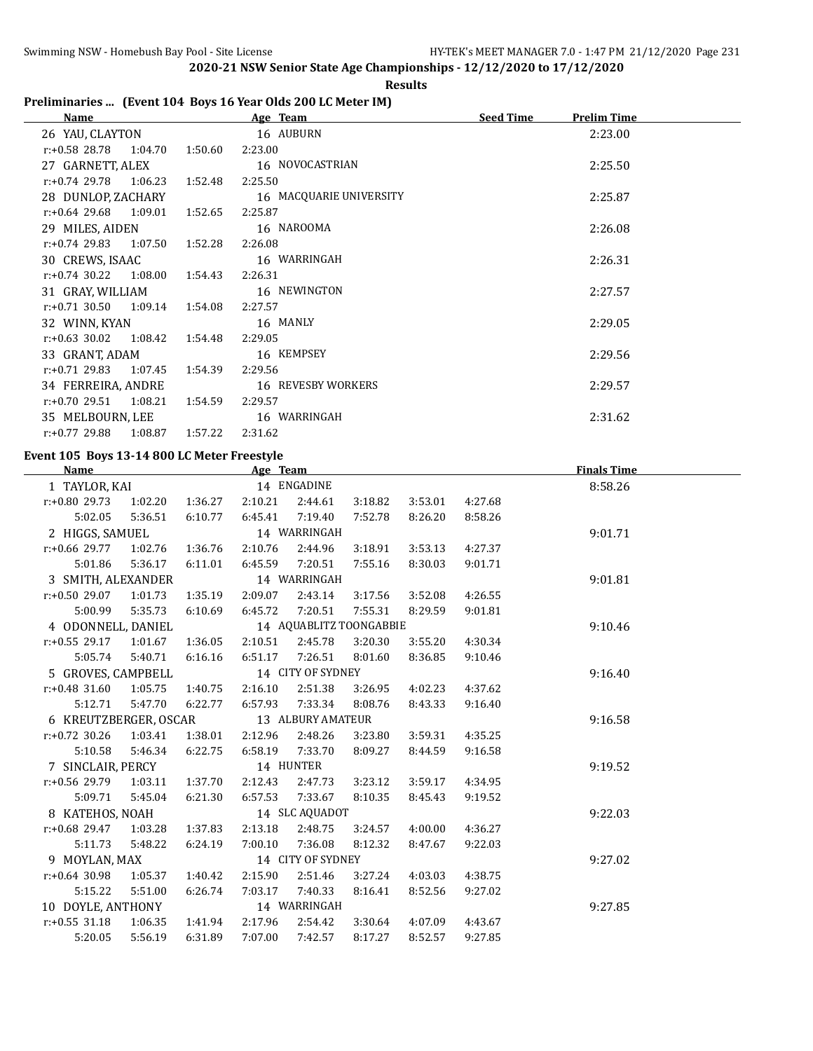#### **Results**

## **Preliminaries ... (Event 104 Boys 16 Year Olds 200 LC Meter IM)**

| Name                        |         | Age Team                | <b>Seed Time</b> | <b>Prelim Time</b> |  |
|-----------------------------|---------|-------------------------|------------------|--------------------|--|
| 26 YAU, CLAYTON             |         | 16 AUBURN               |                  | 2:23.00            |  |
| r:+0.58 28.78<br>1:04.70    | 1:50.60 | 2:23.00                 |                  |                    |  |
| 27 GARNETT, ALEX            |         | 16 NOVOCASTRIAN         |                  | 2:25.50            |  |
| $r: +0.74$ 29.78 1:06.23    | 1:52.48 | 2:25.50                 |                  |                    |  |
| 28 DUNLOP, ZACHARY          |         | 16 MACQUARIE UNIVERSITY |                  | 2:25.87            |  |
| $r.+0.64$ 29.68 1:09.01     | 1:52.65 | 2:25.87                 |                  |                    |  |
| 29 MILES, AIDEN             |         | 16 NAROOMA              |                  | 2:26.08            |  |
| $r: +0.74$ 29.83<br>1:07.50 | 1:52.28 | 2:26.08                 |                  |                    |  |
| 30 CREWS, ISAAC             |         | 16 WARRINGAH            |                  | 2:26.31            |  |
| $r: +0.74$ 30.22 1:08.00    | 1:54.43 | 2:26.31                 |                  |                    |  |
| 31 GRAY, WILLIAM            |         | 16 NEWINGTON            |                  | 2:27.57            |  |
| $r: +0.71$ 30.50 1:09.14    | 1:54.08 | 2:27.57                 |                  |                    |  |
| 32 WINN, KYAN               |         | 16 MANLY                |                  | 2:29.05            |  |
| $r: +0.63$ 30.02<br>1:08.42 | 1:54.48 | 2:29.05                 |                  |                    |  |
| 33 GRANT, ADAM              |         | 16 KEMPSEY              |                  | 2:29.56            |  |
| $r: +0.71$ 29.83 1:07.45    | 1:54.39 | 2:29.56                 |                  |                    |  |
| 34 FERREIRA, ANDRE          |         | 16 REVESBY WORKERS      |                  | 2:29.57            |  |
| r:+0.70 29.51<br>1:08.21    | 1:54.59 | 2:29.57                 |                  |                    |  |
| 35 MELBOURN, LEE            |         | 16 WARRINGAH            |                  | 2:31.62            |  |
| r:+0.77 29.88<br>1:08.87    | 1:57.22 | 2:31.62                 |                  |                    |  |

#### **Event 105 Boys 13-14 800 LC Meter Freestyle**

| <b>Name</b>           |         |         | Age Team |                   |                         |         |         | <b>Finals Time</b> |  |
|-----------------------|---------|---------|----------|-------------------|-------------------------|---------|---------|--------------------|--|
| 1 TAYLOR, KAI         |         |         |          | 14 ENGADINE       |                         |         |         | 8:58.26            |  |
| $r: +0.80$ 29.73      | 1:02.20 | 1:36.27 | 2:10.21  | 2:44.61           | 3:18.82                 | 3:53.01 | 4:27.68 |                    |  |
| 5:02.05               | 5:36.51 | 6:10.77 | 6:45.41  | 7:19.40           | 7:52.78                 | 8:26.20 | 8:58.26 |                    |  |
| 2 HIGGS, SAMUEL       |         |         |          | 14 WARRINGAH      |                         |         |         | 9:01.71            |  |
| $r: +0.66$ 29.77      | 1:02.76 | 1:36.76 | 2:10.76  | 2:44.96           | 3:18.91                 | 3:53.13 | 4:27.37 |                    |  |
| 5:01.86               | 5:36.17 | 6:11.01 | 6:45.59  | 7:20.51           | 7:55.16                 | 8:30.03 | 9:01.71 |                    |  |
| 3 SMITH, ALEXANDER    |         |         |          | 14 WARRINGAH      |                         |         |         | 9:01.81            |  |
| $r: +0.50$ 29.07      | 1:01.73 | 1:35.19 | 2:09.07  | 2:43.14           | 3:17.56                 | 3:52.08 | 4:26.55 |                    |  |
| 5:00.99               | 5:35.73 | 6:10.69 | 6:45.72  | 7:20.51           | 7:55.31                 | 8:29.59 | 9:01.81 |                    |  |
| 4 ODONNELL, DANIEL    |         |         |          |                   | 14 AQUABLITZ TOONGABBIE |         |         | 9:10.46            |  |
| $r: +0.55$ 29.17      | 1:01.67 | 1:36.05 | 2:10.51  | 2:45.78           | 3:20.30                 | 3:55.20 | 4:30.34 |                    |  |
| 5:05.74               | 5:40.71 | 6:16.16 | 6:51.17  | 7:26.51           | 8:01.60                 | 8:36.85 | 9:10.46 |                    |  |
| 5 GROVES, CAMPBELL    |         |         |          | 14 CITY OF SYDNEY |                         |         |         | 9:16.40            |  |
| $r: +0.48$ 31.60      | 1:05.75 | 1:40.75 | 2:16.10  | 2:51.38           | 3:26.95                 | 4:02.23 | 4:37.62 |                    |  |
| 5:12.71               | 5:47.70 | 6:22.77 | 6:57.93  | 7:33.34           | 8:08.76                 | 8:43.33 | 9:16.40 |                    |  |
| 6 KREUTZBERGER, OSCAR |         |         |          | 13 ALBURY AMATEUR |                         |         |         | 9:16.58            |  |
| $r: +0.72$ 30.26      | 1:03.41 | 1:38.01 | 2:12.96  | 2:48.26           | 3:23.80                 | 3:59.31 | 4:35.25 |                    |  |
| 5:10.58               | 5:46.34 | 6:22.75 | 6:58.19  | 7:33.70           | 8:09.27                 | 8:44.59 | 9:16.58 |                    |  |
| 7 SINCLAIR, PERCY     |         |         |          | 14 HUNTER         |                         |         |         | 9:19.52            |  |
| $r: +0.56$ 29.79      | 1:03.11 | 1:37.70 | 2:12.43  | 2:47.73           | 3:23.12                 | 3:59.17 | 4:34.95 |                    |  |
| 5:09.71               | 5:45.04 | 6:21.30 | 6:57.53  | 7:33.67           | 8:10.35                 | 8:45.43 | 9:19.52 |                    |  |
| 8 KATEHOS, NOAH       |         |         |          | 14 SLC AQUADOT    |                         |         |         | 9:22.03            |  |
| $r: +0.68$ 29.47      | 1:03.28 | 1:37.83 | 2:13.18  | 2:48.75           | 3:24.57                 | 4:00.00 | 4:36.27 |                    |  |
| 5:11.73               | 5:48.22 | 6:24.19 | 7:00.10  | 7:36.08           | 8:12.32                 | 8:47.67 | 9:22.03 |                    |  |
| 9 MOYLAN, MAX         |         |         |          | 14 CITY OF SYDNEY |                         |         |         | 9:27.02            |  |
| $r: +0.64$ 30.98      | 1:05.37 | 1:40.42 | 2:15.90  | 2:51.46           | 3:27.24                 | 4:03.03 | 4:38.75 |                    |  |
| 5:15.22               | 5:51.00 | 6:26.74 | 7:03.17  | 7:40.33           | 8:16.41                 | 8:52.56 | 9:27.02 |                    |  |
| 10 DOYLE, ANTHONY     |         |         |          | 14 WARRINGAH      |                         |         |         | 9:27.85            |  |
| $r: +0.55$ 31.18      | 1:06.35 | 1:41.94 | 2:17.96  | 2:54.42           | 3:30.64                 | 4:07.09 | 4:43.67 |                    |  |
| 5:20.05               | 5:56.19 | 6:31.89 | 7:07.00  | 7:42.57           | 8:17.27                 | 8:52.57 | 9:27.85 |                    |  |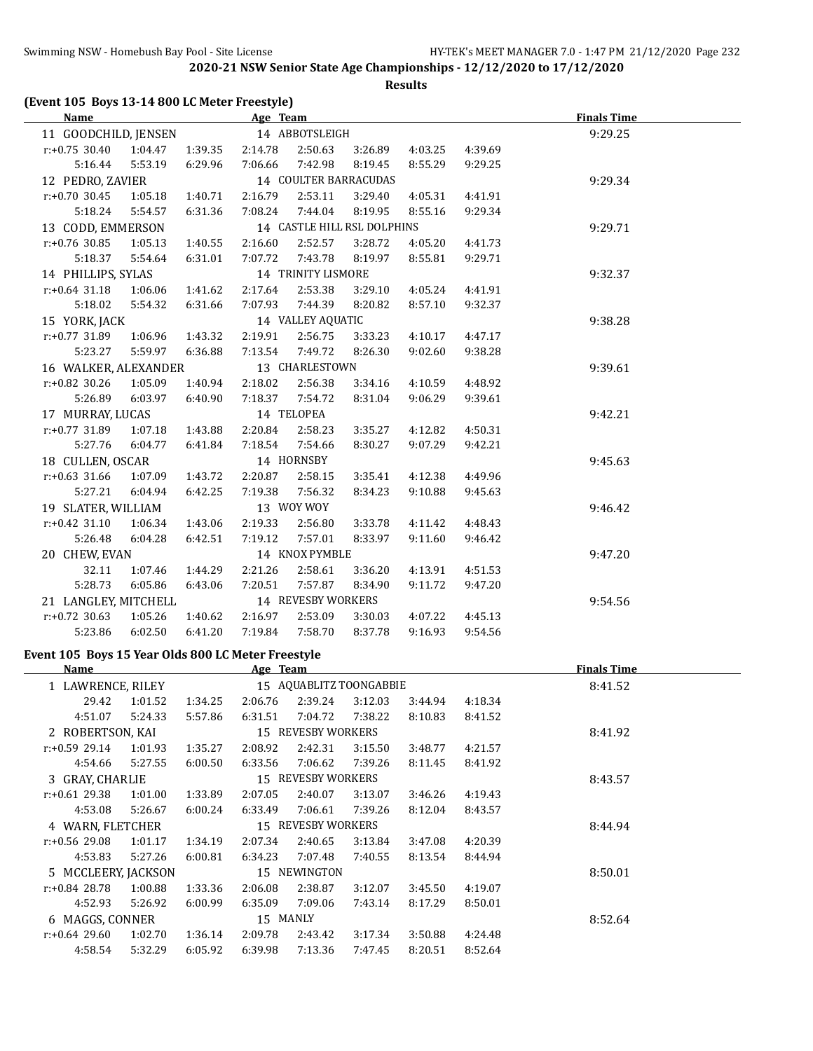**Results**

#### **(Event 105 Boys 13-14 800 LC Meter Freestyle)**

| Name                 |         |         | Age Team   |                       |                             |         |         | <b>Finals Time</b> |
|----------------------|---------|---------|------------|-----------------------|-----------------------------|---------|---------|--------------------|
| 11 GOODCHILD, JENSEN |         |         |            | 14 ABBOTSLEIGH        |                             |         |         | 9:29.25            |
| $r: +0.75$ 30.40     | 1:04.47 | 1:39.35 | 2:14.78    | 2:50.63               | 3:26.89                     | 4:03.25 | 4:39.69 |                    |
| 5:16.44              | 5:53.19 | 6:29.96 | 7:06.66    | 7:42.98               | 8:19.45                     | 8:55.29 | 9:29.25 |                    |
| 12 PEDRO, ZAVIER     |         |         |            | 14 COULTER BARRACUDAS |                             |         |         | 9:29.34            |
| $r: +0.70$ 30.45     | 1:05.18 | 1:40.71 | 2:16.79    | 2:53.11               | 3:29.40                     | 4:05.31 | 4:41.91 |                    |
| 5:18.24              | 5:54.57 | 6:31.36 | 7:08.24    | 7:44.04               | 8:19.95                     | 8:55.16 | 9:29.34 |                    |
| 13 CODD, EMMERSON    |         |         |            |                       | 14 CASTLE HILL RSL DOLPHINS |         |         | 9:29.71            |
| $r: +0.76$ 30.85     | 1:05.13 | 1:40.55 | 2:16.60    | 2:52.57               | 3:28.72                     | 4:05.20 | 4:41.73 |                    |
| 5:18.37              | 5:54.64 | 6:31.01 | 7:07.72    | 7:43.78               | 8:19.97                     | 8:55.81 | 9:29.71 |                    |
| 14 PHILLIPS, SYLAS   |         |         |            | 14 TRINITY LISMORE    |                             |         |         | 9:32.37            |
| $r: +0.64$ 31.18     | 1:06.06 | 1:41.62 | 2:17.64    | 2:53.38               | 3:29.10                     | 4:05.24 | 4:41.91 |                    |
| 5:18.02              | 5:54.32 | 6:31.66 | 7:07.93    | 7:44.39               | 8:20.82                     | 8:57.10 | 9:32.37 |                    |
| 15 YORK, JACK        |         |         |            | 14 VALLEY AQUATIC     |                             |         |         | 9:38.28            |
| r:+0.77 31.89        | 1:06.96 | 1:43.32 | 2:19.91    | 2:56.75               | 3:33.23                     | 4:10.17 | 4:47.17 |                    |
| 5:23.27              | 5:59.97 | 6:36.88 | 7:13.54    | 7:49.72               | 8:26.30                     | 9:02.60 | 9:38.28 |                    |
| 16 WALKER, ALEXANDER |         |         |            | 13 CHARLESTOWN        |                             |         |         | 9:39.61            |
| $r: +0.82$ 30.26     | 1:05.09 | 1:40.94 | 2:18.02    | 2:56.38               | 3:34.16                     | 4:10.59 | 4:48.92 |                    |
| 5:26.89              | 6:03.97 | 6:40.90 | 7:18.37    | 7:54.72               | 8:31.04                     | 9:06.29 | 9:39.61 |                    |
| 17 MURRAY, LUCAS     |         |         |            | 14 TELOPEA            |                             |         |         | 9:42.21            |
| r:+0.77 31.89        | 1:07.18 | 1:43.88 | 2:20.84    | 2:58.23               | 3:35.27                     | 4:12.82 | 4:50.31 |                    |
| 5:27.76              | 6:04.77 | 6:41.84 | 7:18.54    | 7:54.66               | 8:30.27                     | 9:07.29 | 9:42.21 |                    |
| 18 CULLEN, OSCAR     |         |         |            | 14 HORNSBY            |                             |         |         | 9:45.63            |
| $r: +0.63$ 31.66     | 1:07.09 | 1:43.72 | 2:20.87    | 2:58.15               | 3:35.41                     | 4:12.38 | 4:49.96 |                    |
| 5:27.21              | 6:04.94 | 6:42.25 | 7:19.38    | 7:56.32               | 8:34.23                     | 9:10.88 | 9:45.63 |                    |
| 19 SLATER, WILLIAM   |         |         | 13 WOY WOY |                       |                             |         |         | 9:46.42            |
| $r: +0.42$ 31.10     | 1:06.34 | 1:43.06 | 2:19.33    | 2:56.80               | 3:33.78                     | 4:11.42 | 4:48.43 |                    |
| 5:26.48              | 6:04.28 | 6:42.51 | 7:19.12    | 7:57.01               | 8:33.97                     | 9:11.60 | 9:46.42 |                    |
| 20 CHEW, EVAN        |         |         |            | 14 KNOX PYMBLE        |                             |         |         | 9:47.20            |
| 32.11                | 1:07.46 | 1:44.29 | 2:21.26    | 2:58.61               | 3:36.20                     | 4:13.91 | 4:51.53 |                    |
| 5:28.73              | 6:05.86 | 6:43.06 | 7:20.51    | 7:57.87               | 8:34.90                     | 9:11.72 | 9:47.20 |                    |
| 21 LANGLEY, MITCHELL |         |         |            | 14 REVESBY WORKERS    |                             |         |         | 9:54.56            |
| $r: +0.72$ 30.63     | 1:05.26 | 1:40.62 | 2:16.97    | 2:53.09               | 3:30.03                     | 4:07.22 | 4:45.13 |                    |
| 5:23.86              | 6:02.50 | 6:41.20 | 7:19.84    | 7:58.70               | 8:37.78                     | 9:16.93 | 9:54.56 |                    |

# **Event 105 Boys 15 Year Olds 800 LC Meter Freestyle**

| <b>Name</b>         |         |         | Age Team |                         |         |         |         | <b>Finals Time</b> |  |
|---------------------|---------|---------|----------|-------------------------|---------|---------|---------|--------------------|--|
| 1 LAWRENCE, RILEY   |         |         |          | 15 AQUABLITZ TOONGABBIE |         |         |         | 8:41.52            |  |
| 29.42               | 1:01.52 | 1:34.25 | 2:06.76  | 2:39.24                 | 3:12.03 | 3:44.94 | 4:18.34 |                    |  |
| 4:51.07             | 5:24.33 | 5:57.86 | 6:31.51  | 7:04.72                 | 7:38.22 | 8:10.83 | 8:41.52 |                    |  |
| 2 ROBERTSON, KAI    |         |         |          | 15 REVESBY WORKERS      |         |         |         | 8:41.92            |  |
| $r: +0.59$ 29.14    | 1:01.93 | 1:35.27 | 2:08.92  | 2:42.31                 | 3:15.50 | 3:48.77 | 4:21.57 |                    |  |
| 4:54.66             | 5:27.55 | 6:00.50 | 6:33.56  | 7:06.62                 | 7:39.26 | 8:11.45 | 8:41.92 |                    |  |
| 3 GRAY, CHARLIE     |         |         |          | 15 REVESBY WORKERS      |         |         |         | 8:43.57            |  |
| $r: +0.61$ 29.38    | 1:01.00 | 1:33.89 | 2:07.05  | 2:40.07                 | 3:13.07 | 3:46.26 | 4:19.43 |                    |  |
| 4:53.08             | 5:26.67 | 6:00.24 | 6:33.49  | 7:06.61                 | 7:39.26 | 8:12.04 | 8:43.57 |                    |  |
| 4 WARN, FLETCHER    |         |         |          | 15 REVESBY WORKERS      |         |         |         | 8:44.94            |  |
| $r: +0.56$ 29.08    | 1:01.17 | 1:34.19 | 2:07.34  | 2:40.65                 | 3:13.84 | 3:47.08 | 4:20.39 |                    |  |
| 4:53.83             | 5:27.26 | 6:00.81 | 6:34.23  | 7:07.48                 | 7:40.55 | 8:13.54 | 8:44.94 |                    |  |
| 5 MCCLEERY, JACKSON |         |         |          | 15 NEWINGTON            |         |         |         | 8:50.01            |  |
| $r: +0.84$ 28.78    | 1:00.88 | 1:33.36 | 2:06.08  | 2:38.87                 | 3:12.07 | 3:45.50 | 4:19.07 |                    |  |
| 4:52.93             | 5:26.92 | 6:00.99 | 6:35.09  | 7:09.06                 | 7:43.14 | 8:17.29 | 8:50.01 |                    |  |
| 6 MAGGS, CONNER     |         |         | 15 MANLY |                         |         |         |         | 8:52.64            |  |
| $r: +0.64$ 29.60    | 1:02.70 | 1:36.14 | 2:09.78  | 2:43.42                 | 3:17.34 | 3:50.88 | 4:24.48 |                    |  |
| 4:58.54             | 5:32.29 | 6:05.92 | 6:39.98  | 7:13.36                 | 7:47.45 | 8:20.51 | 8:52.64 |                    |  |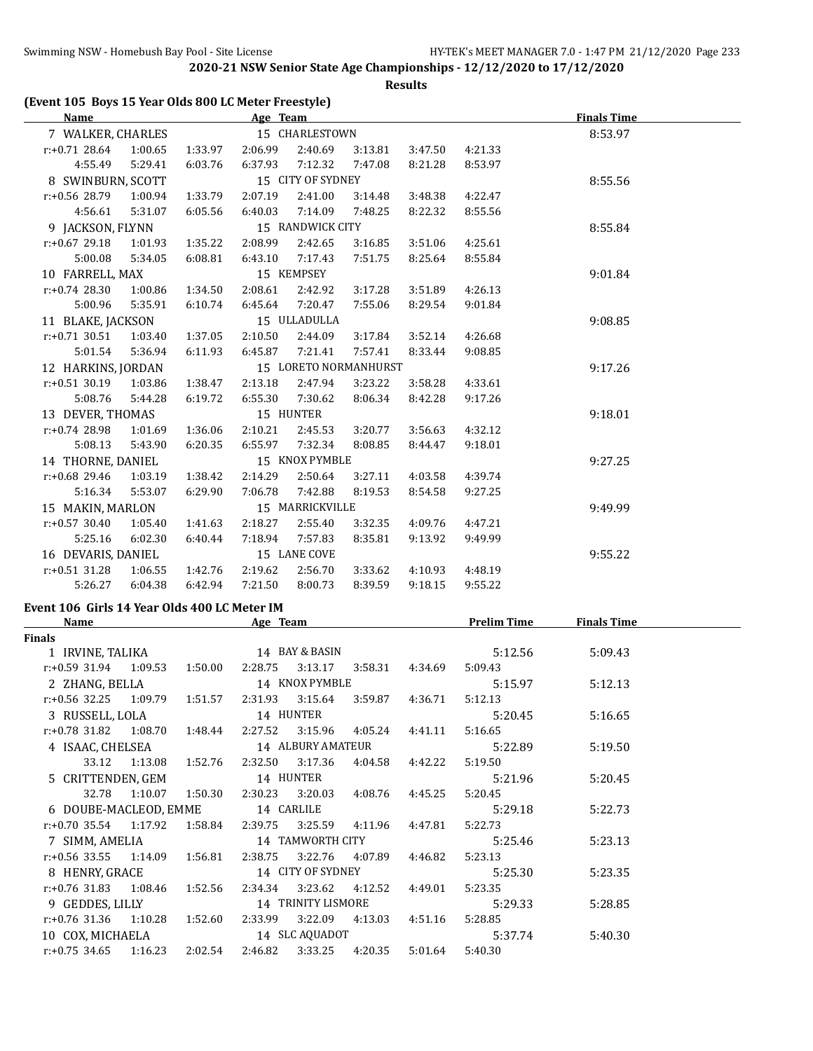**Results**

| Name               |         |         | Age Team |                       |         |         |         | <b>Finals Time</b> |
|--------------------|---------|---------|----------|-----------------------|---------|---------|---------|--------------------|
| 7 WALKER, CHARLES  |         |         |          | 15 CHARLESTOWN        |         |         |         | 8:53.97            |
| $r: +0.71$ 28.64   | 1:00.65 | 1:33.97 | 2:06.99  | 2:40.69               | 3:13.81 | 3:47.50 | 4:21.33 |                    |
| 4:55.49            | 5:29.41 | 6:03.76 | 6:37.93  | 7:12.32               | 7:47.08 | 8:21.28 | 8:53.97 |                    |
| 8 SWINBURN, SCOTT  |         |         |          | 15 CITY OF SYDNEY     |         |         |         | 8:55.56            |
| $r: +0.56$ 28.79   | 1:00.94 | 1:33.79 | 2:07.19  | 2:41.00               | 3:14.48 | 3:48.38 | 4:22.47 |                    |
| 4:56.61            | 5:31.07 | 6:05.56 | 6:40.03  | 7:14.09               | 7:48.25 | 8:22.32 | 8:55.56 |                    |
| 9 JACKSON, FLYNN   |         |         |          | 15 RANDWICK CITY      |         |         |         | 8:55.84            |
| $r: +0.67$ 29.18   | 1:01.93 | 1:35.22 | 2:08.99  | 2:42.65               | 3:16.85 | 3:51.06 | 4:25.61 |                    |
| 5:00.08            | 5:34.05 | 6:08.81 | 6:43.10  | 7:17.43               | 7:51.75 | 8:25.64 | 8:55.84 |                    |
| 10 FARRELL, MAX    |         |         |          | 15 KEMPSEY            |         |         |         | 9:01.84            |
| $r: +0.74$ 28.30   | 1:00.86 | 1:34.50 | 2:08.61  | 2:42.92               | 3:17.28 | 3:51.89 | 4:26.13 |                    |
| 5:00.96            | 5:35.91 | 6:10.74 | 6:45.64  | 7:20.47               | 7:55.06 | 8:29.54 | 9:01.84 |                    |
| 11 BLAKE, JACKSON  |         |         |          | 15 ULLADULLA          |         |         |         | 9:08.85            |
| $r: +0.71$ 30.51   | 1:03.40 | 1:37.05 | 2:10.50  | 2:44.09               | 3:17.84 | 3:52.14 | 4:26.68 |                    |
| 5:01.54            | 5:36.94 | 6:11.93 | 6:45.87  | 7:21.41               | 7:57.41 | 8:33.44 | 9:08.85 |                    |
| 12 HARKINS, JORDAN |         |         |          | 15 LORETO NORMANHURST |         |         |         | 9:17.26            |
| $r: +0.51$ 30.19   | 1:03.86 | 1:38.47 | 2:13.18  | 2:47.94               | 3:23.22 | 3:58.28 | 4:33.61 |                    |
| 5:08.76            | 5:44.28 | 6:19.72 | 6:55.30  | 7:30.62               | 8:06.34 | 8:42.28 | 9:17.26 |                    |
| 13 DEVER, THOMAS   |         |         |          | 15 HUNTER             |         |         |         | 9:18.01            |
| $r: +0.74$ 28.98   | 1:01.69 | 1:36.06 | 2:10.21  | 2:45.53               | 3:20.77 | 3:56.63 | 4:32.12 |                    |
| 5:08.13            | 5:43.90 | 6:20.35 | 6:55.97  | 7:32.34               | 8:08.85 | 8:44.47 | 9:18.01 |                    |
| 14 THORNE, DANIEL  |         |         |          | 15 KNOX PYMBLE        |         |         |         | 9:27.25            |
| $r: +0.68$ 29.46   | 1:03.19 | 1:38.42 | 2:14.29  | 2:50.64               | 3:27.11 | 4:03.58 | 4:39.74 |                    |
| 5:16.34            | 5:53.07 | 6:29.90 | 7:06.78  | 7:42.88               | 8:19.53 | 8:54.58 | 9:27.25 |                    |
| 15 MAKIN, MARLON   |         |         |          | 15 MARRICKVILLE       |         |         |         | 9:49.99            |
| $r: +0.57$ 30.40   | 1:05.40 | 1:41.63 | 2:18.27  | 2:55.40               | 3:32.35 | 4:09.76 | 4:47.21 |                    |
| 5:25.16            | 6:02.30 | 6:40.44 | 7:18.94  | 7:57.83               | 8:35.81 | 9:13.92 | 9:49.99 |                    |
| 16 DEVARIS, DANIEL |         |         |          | 15 LANE COVE          |         |         |         | 9:55.22            |
| $r: +0.51$ 31.28   | 1:06.55 | 1:42.76 | 2:19.62  | 2:56.70               | 3:33.62 | 4:10.93 | 4:48.19 |                    |
| 5:26.27            | 6:04.38 | 6:42.94 | 7:21.50  | 8:00.73               | 8:39.59 | 9:18.15 | 9:55.22 |                    |
|                    |         |         |          |                       |         |         |         |                    |

# **Event 106 Girls 14 Year Olds 400 LC Meter IM**

| <b>Name</b>                                                     |                       | Age Team |                                 |                                                             | <b>Prelim Time</b> | <b>Finals Time</b> |  |
|-----------------------------------------------------------------|-----------------------|----------|---------------------------------|-------------------------------------------------------------|--------------------|--------------------|--|
| <b>Finals</b>                                                   |                       |          |                                 |                                                             |                    |                    |  |
| 1 IRVINE, TALIKA                                                |                       |          | 14 BAY & BASIN                  |                                                             | 5:12.56            | 5:09.43            |  |
| $r: +0.59$ 31.94 1:09.53 1:50.00                                |                       |          | 2:28.75 3:13.17 3:58.31         | 4:34.69                                                     | 5:09.43            |                    |  |
| 2 ZHANG, BELLA                                                  |                       |          | 14 KNOX PYMBLE                  |                                                             | 5:15.97            | 5:12.13            |  |
| $r: +0.56$ 32.25 1:09.79 1:51.57                                |                       |          |                                 | 2:31.93   3:15.64   3:59.87   4:36.71                       | 5:12.13            |                    |  |
| 3 RUSSELL, LOLA                                                 |                       |          | 14 HUNTER                       |                                                             | 5:20.45            | 5:16.65            |  |
| $r.+0.78$ 31.82 1.08.70 1.48.44 2.27.52 3.15.96 4.05.24 4.41.11 |                       |          |                                 |                                                             | 5:16.65            |                    |  |
| 4 ISAAC, CHELSEA                                                |                       |          | 14 ALBURY AMATEUR               |                                                             | 5:22.89            | 5:19.50            |  |
|                                                                 | 33.12 1:13.08 1:52.76 |          | 2:32.50 3:17.36                 | 4:04.58 4:42.22                                             | 5:19.50            |                    |  |
| 5 CRITTENDEN, GEM                                               |                       |          | 14 HUNTER                       |                                                             | 5:21.96            | 5:20.45            |  |
|                                                                 |                       |          |                                 | 32.78  1:10.07  1:50.30  2:30.23  3:20.03  4:08.76  4:45.25 | 5:20.45            |                    |  |
| 6 DOUBE-MACLEOD, EMME 14 CARLILE                                |                       |          |                                 |                                                             | 5:29.18            | 5:22.73            |  |
| r:+0.70 35.54 1:17.92 1:58.84 2:39.75 3:25.59 4:11.96           |                       |          |                                 | 4:47.81                                                     | 5:22.73            |                    |  |
| 7 SIMM, AMELIA                                                  |                       |          | 14 TAMWORTH CITY                |                                                             | 5:25.46            | 5:23.13            |  |
| $r.+0.56$ 33.55 1:14.09 1:56.81                                 |                       |          | 2:38.75 3:22.76 4:07.89 4:46.82 |                                                             | 5:23.13            |                    |  |
| 8 HENRY, GRACE                                                  |                       |          | 14 CITY OF SYDNEY               |                                                             | 5:25.30            | 5:23.35            |  |
| r:+0.76 31.83 1:08.46 1:52.56                                   |                       |          | 2:34.34 3:23.62 4:12.52         | 4:49.01                                                     | 5:23.35            |                    |  |
| 9 GEDDES, LILLY                                                 |                       |          | 14 TRINITY LISMORE              |                                                             | 5:29.33            | 5:28.85            |  |
| $r.+0.76$ 31.36 1:10.28 1:52.60                                 |                       |          | 2:33.99 3:22.09 4:13.03         | 4:51.16                                                     | 5:28.85            |                    |  |
| 10 COX, MICHAELA 14 SLC AQUADOT                                 |                       |          |                                 |                                                             | 5:37.74            | 5:40.30            |  |
| $r: +0.75$ 34.65 1:16.23 2:02.54 2:46.82 3:33.25 4:20.35        |                       |          |                                 | 5:01.64                                                     | 5:40.30            |                    |  |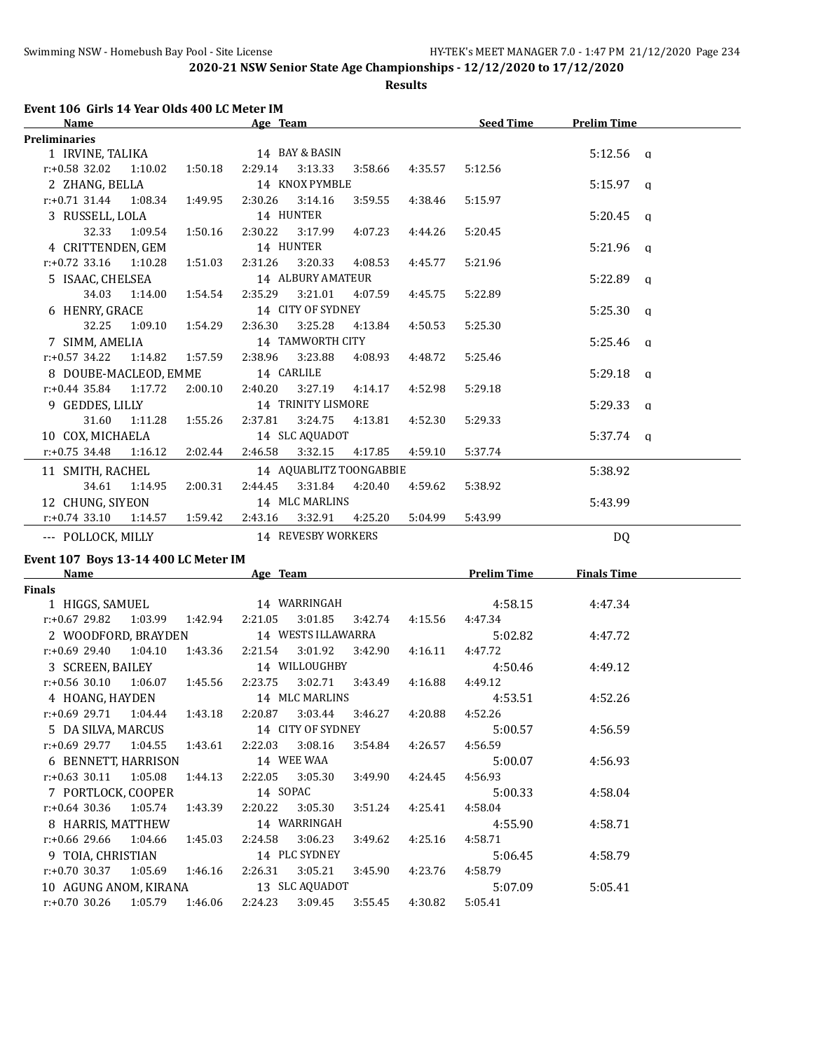**Results**

# **Event 106 Girls 14 Year Olds 400 LC Meter IM**

| <b>Name</b>                                           |                       |                 | Age Team                                      |                    |                         |         | <b>Seed Time</b> | <b>Prelim Time</b> |  |
|-------------------------------------------------------|-----------------------|-----------------|-----------------------------------------------|--------------------|-------------------------|---------|------------------|--------------------|--|
| <b>Preliminaries</b>                                  |                       |                 |                                               |                    |                         |         |                  |                    |  |
| 1 IRVINE, TALIKA 14 BAY & BASIN                       |                       |                 |                                               |                    |                         |         |                  | $5:12.56$ a        |  |
| $r: +0.58$ 32.02 1:10.02                              |                       | 1:50.18         | 2:29.14                                       |                    | 3:13.33 3:58.66         | 4:35.57 | 5:12.56          |                    |  |
| 2 ZHANG, BELLA                                        |                       |                 |                                               | 14 KNOX PYMBLE     |                         |         |                  | $5:15.97$ q        |  |
| $r: +0.71$ 31.44 1:08.34                              |                       | 1:49.95         | 2:30.26                                       | 3:14.16            | 3:59.55                 | 4:38.46 | 5:15.97          |                    |  |
| 3 RUSSELL, LOLA                                       |                       |                 |                                               | 14 HUNTER          |                         |         |                  | $5:20.45$ q        |  |
|                                                       | 32.33 1:09.54 1:50.16 |                 | 2:30.22 3:17.99                               |                    | 4:07.23                 | 4:44.26 | 5:20.45          |                    |  |
| 4 CRITTENDEN, GEM                                     |                       |                 |                                               | 14 HUNTER          |                         |         |                  | $5:21.96$ q        |  |
| r.+0.72 33.16 1:10.28 1:51.03 2:31.26 3:20.33 4:08.53 |                       |                 |                                               |                    |                         | 4:45.77 | 5:21.96          |                    |  |
| 5 ISAAC, CHELSEA                                      |                       |                 |                                               | 14 ALBURY AMATEUR  |                         |         |                  | $5:22.89$ q        |  |
| 34.03                                                 |                       |                 | 1:14.00  1:54.54  2:35.29  3:21.01  4:07.59   |                    |                         | 4:45.75 | 5:22.89          |                    |  |
| 6 HENRY, GRACE                                        |                       |                 |                                               | 14 CITY OF SYDNEY  |                         |         |                  | $5:25.30$ q        |  |
| 32.25                                                 |                       | 1:09.10 1:54.29 | 2:36.30                                       | 3:25.28            | 4:13.84                 | 4:50.53 | 5:25.30          |                    |  |
| 7 SIMM, AMELIA                                        |                       |                 |                                               | 14 TAMWORTH CITY   |                         |         |                  | $5:25.46$ a        |  |
| $r: +0.57$ 34.22 1:14.82                              |                       | 1:57.59         |                                               | 2:38.96 3:23.88    | 4:08.93                 | 4:48.72 | 5:25.46          |                    |  |
| 8 DOUBE-MACLEOD, EMME                                 |                       |                 |                                               | 14 CARLILE         |                         |         |                  | $5:29.18$ q        |  |
| $r: +0.44$ 35.84 1:17.72                              |                       | 2:00.10         | 2:40.20 3:27.19 4:14.17                       |                    |                         | 4:52.98 | 5:29.18          |                    |  |
| 9 GEDDES, LILLY                                       |                       |                 |                                               | 14 TRINITY LISMORE |                         |         |                  | $5:29.33$ q        |  |
|                                                       |                       |                 | 31.60 1:11.28 1:55.26 2:37.81 3:24.75 4:13.81 |                    |                         | 4:52.30 | 5:29.33          |                    |  |
| 10 COX, MICHAELA                                      |                       |                 |                                               | 14 SLC AQUADOT     |                         |         |                  | $5:37.74$ a        |  |
| $r: +0.75$ 34.48                                      | 1:16.12 2:02.44       |                 | 2:46.58                                       |                    | 3:32.15 4:17.85         | 4:59.10 | 5:37.74          |                    |  |
| 11 SMITH, RACHEL                                      |                       |                 |                                               |                    | 14 AQUABLITZ TOONGABBIE |         |                  | 5:38.92            |  |
| 34.61                                                 | 1:14.95               | 2:00.31         | 2:44.45                                       |                    | 3:31.84 4:20.40         | 4:59.62 | 5:38.92          |                    |  |
| 12 CHUNG, SIYEON                                      |                       |                 |                                               | 14 MLC MARLINS     |                         |         |                  | 5:43.99            |  |
| $r: +0.74$ 33.10                                      | 1:14.57 1:59.42       |                 | 2:43.16                                       |                    | $3:32.91$ $4:25.20$     | 5:04.99 | 5:43.99          |                    |  |
| --- POLLOCK, MILLY                                    |                       |                 |                                               | 14 REVESBY WORKERS |                         |         |                  | DQ                 |  |

#### **Event 107 Boys 13-14 400 LC Meter IM**

| Name                                                                        |         | Age Team      |                 |                               |                 | <b>Prelim Time</b> | <b>Finals Time</b> |  |
|-----------------------------------------------------------------------------|---------|---------------|-----------------|-------------------------------|-----------------|--------------------|--------------------|--|
| <b>Finals</b>                                                               |         |               |                 |                               |                 |                    |                    |  |
| 1 HIGGS, SAMUEL                                                             |         | 14 WARRINGAH  |                 |                               |                 | 4:58.15            | 4:47.34            |  |
| r:+0.67 29.82 1:03.99 1:42.94 2:21.05 3:01.85 3:42.74 4:15.56               |         |               |                 |                               |                 | 4:47.34            |                    |  |
| 2 WOODFORD, BRAYDEN 14 WESTS ILLAWARRA                                      |         |               |                 |                               |                 | 5:02.82            | 4:47.72            |  |
| $r.+0.69$ 29.40 1:04.10                                                     | 1:43.36 |               | 2:21.54 3:01.92 |                               | 3:42.90 4:16.11 | 4:47.72            |                    |  |
| 3 SCREEN, BAILEY 14 WILLOUGHBY                                              |         |               |                 |                               |                 | 4:50.46            | 4:49.12            |  |
| $r.+0.56$ 30.10 $1:06.07$ $1:45.56$ $2:23.75$ $3:02.71$ $3:43.49$ $4:16.88$ |         |               |                 |                               |                 | 4:49.12            |                    |  |
| 4 HOANG, HAYDEN 14 MLC MARLINS                                              |         |               |                 |                               |                 | 4:53.51            | 4:52.26            |  |
| $r.+0.69$ 29.71 1:04.44 1:43.18 2:20.87 3:03.44                             |         |               |                 | 3:46.27 4:20.88               |                 | 4:52.26            |                    |  |
| 5 DA SILVA, MARCUS 14 CITY OF SYDNEY                                        |         |               |                 |                               |                 | 5:00.57            | 4:56.59            |  |
| $r: +0.69$ 29.77 1:04.55 1:43.61 2:22.03 3:08.16                            |         |               |                 | 3:54.84 4:26.57               |                 | 4:56.59            |                    |  |
| 6 BENNETT, HARRISON 14 WEE WAA                                              |         |               |                 |                               |                 | 5:00.07            | 4:56.93            |  |
| r:+0.63 30.11 1:05.08 1:44.13 2:22.05 3:05.30 3:49.90 4:24.45               |         |               |                 |                               |                 | 4:56.93            |                    |  |
| 7 PORTLOCK, COOPER 14 SOPAC                                                 |         |               |                 |                               |                 | 5:00.33            | 4:58.04            |  |
| $r.+0.64$ 30.36 1:05.74 1:43.39 2:20.22 3:05.30 3:51.24 4:25.41             |         |               |                 |                               |                 | 4:58.04            |                    |  |
| 8 HARRIS, MATTHEW 14 WARRINGAH                                              |         |               |                 |                               |                 | 4:55.90            | 4:58.71            |  |
| $r: +0.66$ 29.66 1:04.66 1:45.03                                            |         |               | 2:24.58 3:06.23 |                               | 3:49.62 4:25.16 | 4:58.71            |                    |  |
| 9 TOIA, CHRISTIAN                                                           |         | 14 PLC SYDNEY |                 |                               |                 | 5:06.45            | 4:58.79            |  |
| $r.+0.70$ 30.37 1:05.69 1:46.16 2:26.31                                     |         |               | 3:05.21         |                               | 3:45.90 4:23.76 | 4:58.79            |                    |  |
| 10 AGUNG ANOM, KIRANA 13 SLC AQUADOT                                        |         |               |                 |                               |                 | 5:07.09            | 5:05.41            |  |
| $r: +0.70$ 30.26 1:05.79 1:46.06 2:24.23                                    |         |               |                 | $3:09.45$ $3:55.45$ $4:30.82$ |                 | 5:05.41            |                    |  |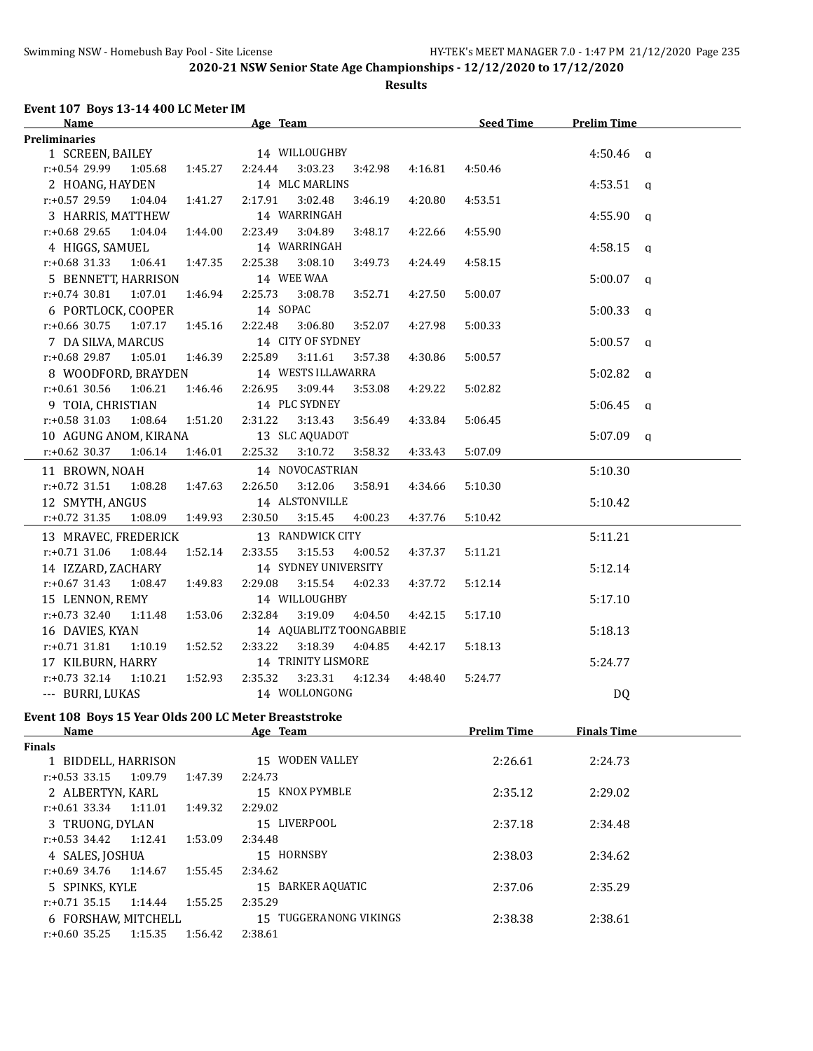**Results**

#### **Event 107 Boys 13-14 400 LC Meter IM**

| <b>Name</b>                                           |         | Age Team                                 | <b>Seed Time</b>   | <b>Prelim Time</b> |  |
|-------------------------------------------------------|---------|------------------------------------------|--------------------|--------------------|--|
| <b>Preliminaries</b>                                  |         |                                          |                    |                    |  |
| 1 SCREEN, BAILEY                                      |         | 14 WILLOUGHBY                            |                    | $4:50.46$ a        |  |
| 1:05.68<br>r:+0.54 29.99                              | 1:45.27 | 2:24.44<br>3:03.23<br>4:16.81<br>3:42.98 | 4:50.46            |                    |  |
| 2 HOANG, HAYDEN                                       |         | 14 MLC MARLINS                           |                    | $4:53.51$ a        |  |
| r:+0.57 29.59<br>1:04.04                              | 1:41.27 | 2:17.91<br>3:02.48<br>3:46.19<br>4:20.80 | 4:53.51            |                    |  |
| 3 HARRIS, MATTHEW                                     |         | 14 WARRINGAH                             |                    | $4:55.90$ q        |  |
| $r: +0.68$ 29.65<br>1:04.04                           | 1:44.00 | 2:23.49<br>3:04.89<br>3:48.17<br>4:22.66 | 4:55.90            |                    |  |
| 4 HIGGS, SAMUEL                                       |         | 14 WARRINGAH                             |                    | $4:58.15$ q        |  |
| $r: +0.68$ 31.33<br>1:06.41                           | 1:47.35 | 2:25.38<br>3:08.10<br>3:49.73<br>4:24.49 | 4:58.15            |                    |  |
| 5 BENNETT, HARRISON                                   |         | 14 WEE WAA                               |                    | $5:00.07$ a        |  |
| $r: +0.74$ 30.81<br>1:07.01                           | 1:46.94 | 2:25.73<br>3:08.78<br>3:52.71<br>4:27.50 | 5:00.07            |                    |  |
| 6 PORTLOCK, COOPER                                    |         | 14 SOPAC                                 |                    | $5:00.33$ a        |  |
| $r: +0.66$ 30.75<br>1:07.17                           | 1:45.16 | 2:22.48<br>3:06.80<br>3:52.07<br>4:27.98 | 5:00.33            |                    |  |
| 7 DA SILVA, MARCUS                                    |         | 14 CITY OF SYDNEY                        |                    | $5:00.57$ a        |  |
| $r.+0.68$ 29.87 1:05.01                               | 1:46.39 | 2:25.89<br>3:11.61<br>3:57.38<br>4:30.86 | 5:00.57            |                    |  |
| 8 WOODFORD, BRAYDEN                                   |         | 14 WESTS ILLAWARRA                       |                    | $5:02.82$ q        |  |
| $r: +0.61$ 30.56<br>1:06.21                           | 1:46.46 | 2:26.95<br>3:09.44<br>3:53.08<br>4:29.22 | 5:02.82            |                    |  |
| 9 TOIA, CHRISTIAN                                     |         | 14 PLC SYDNEY                            |                    | $5:06.45$ q        |  |
| $r: +0.58$ 31.03<br>1:08.64 1:51.20                   |         | 2:31.22<br>3:13.43<br>3:56.49<br>4:33.84 | 5:06.45            |                    |  |
| 10 AGUNG ANOM, KIRANA                                 |         | 13 SLC AQUADOT                           |                    | $5:07.09$ a        |  |
| $r.+0.62$ 30.37 1:06.14                               | 1:46.01 | 2:25.32<br>3:10.72   3:58.32<br>4:33.43  | 5:07.09            |                    |  |
| 11 BROWN, NOAH                                        |         | 14 NOVOCASTRIAN                          |                    | 5:10.30            |  |
| $r: +0.72$ 31.51<br>1:08.28                           | 1:47.63 | 2:26.50<br>3:12.06<br>3:58.91<br>4:34.66 | 5:10.30            |                    |  |
| 12 SMYTH, ANGUS                                       |         | 14 ALSTONVILLE                           |                    | 5:10.42            |  |
| r:+0.72 31.35<br>1:08.09                              | 1:49.93 | 2:30.50<br>3:15.45<br>4:37.76<br>4:00.23 | 5:10.42            |                    |  |
| 13 MRAVEC, FREDERICK                                  |         | 13 RANDWICK CITY                         |                    | 5:11.21            |  |
| $r: +0.71$ 31.06<br>1:08.44                           | 1:52.14 | 2:33.55<br>3:15.53<br>4:00.52<br>4:37.37 | 5:11.21            |                    |  |
| 14 IZZARD, ZACHARY                                    |         | 14 SYDNEY UNIVERSITY                     |                    | 5:12.14            |  |
| $r: +0.67$ 31.43<br>1:08.47                           | 1:49.83 | 2:29.08<br>3:15.54<br>4:02.33<br>4:37.72 | 5:12.14            |                    |  |
| 15 LENNON, REMY                                       |         | 14 WILLOUGHBY                            |                    | 5:17.10            |  |
| $r: +0.73$ 32.40<br>1:11.48                           | 1:53.06 | 2:32.84<br>3:19.09<br>4:04.50<br>4:42.15 | 5:17.10            |                    |  |
| 16 DAVIES, KYAN                                       |         | 14 AQUABLITZ TOONGABBIE                  |                    | 5:18.13            |  |
| $r: +0.71$ 31.81<br>1:10.19                           | 1:52.52 | 2:33.22<br>3:18.39<br>4:04.85<br>4:42.17 | 5:18.13            |                    |  |
| 17 KILBURN, HARRY                                     |         | 14 TRINITY LISMORE                       |                    | 5:24.77            |  |
| $r: +0.73$ 32.14<br>1:10.21                           | 1:52.93 | 2:35.32<br>3:23.31<br>4:12.34<br>4:48.40 | 5:24.77            |                    |  |
| --- BURRI, LUKAS                                      |         | 14 WOLLONGONG                            |                    | DQ                 |  |
| Event 108 Boys 15 Year Olds 200 LC Meter Breaststroke |         |                                          |                    |                    |  |
| Name                                                  |         | Age Team                                 | <b>Prelim Time</b> | <b>Finals Time</b> |  |
| <b>Finals</b>                                         |         |                                          |                    |                    |  |
| 1 BIDDELL, HARRISON                                   |         | 15 WODEN VALLEY                          | 2:26.61            | 2:24.73            |  |
| $r: +0.53$ 33.15<br>1:09.79                           | 1:47.39 | 2:24.73                                  |                    |                    |  |
| 2 ALBERTYN, KARL                                      |         | 15 KNOX PYMBLE                           | 2:35.12            | 2:29.02            |  |
| $r.+0.61$ 33.34<br>1:11.01                            | 1:49.32 | 2:29.02                                  |                    |                    |  |
| 3 TRUONG, DYLAN                                       |         | 15 LIVERPOOL                             | 2:37.18            | 2:34.48            |  |
| $r.+0.53$ 34.42<br>1:12.41                            | 1:53.09 | 2:34.48                                  |                    |                    |  |
| 4 SALES, JOSHUA                                       |         | 15 HORNSBY                               | 2:38.03            | 2:34.62            |  |
| $r: +0.69$ 34.76<br>1:14.67                           | 1:55.45 | 2:34.62                                  |                    |                    |  |
| 5 SPINKS, KYLE                                        |         | 15 BARKER AQUATIC                        | 2:37.06            | 2:35.29            |  |
| $r: +0.71$ 35.15<br>1:14.44                           | 1:55.25 | 2:35.29                                  |                    |                    |  |
| 6 FORSHAW, MITCHELL                                   |         | 15 TUGGERANONG VIKINGS                   | 2:38.38            | 2:38.61            |  |
| $r: +0.60$ 35.25 1:15.35                              | 1:56.42 | 2:38.61                                  |                    |                    |  |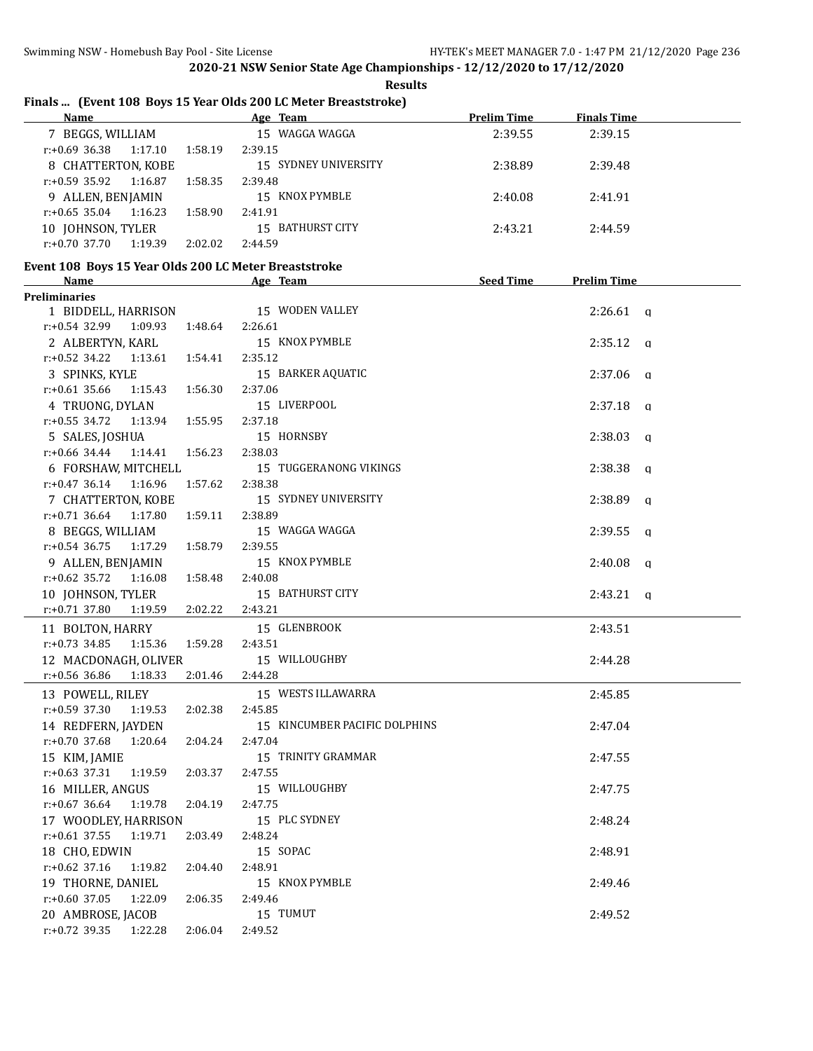|                                                                 |         | .                    |             |                    |  |  |  |  |  |  |  |
|-----------------------------------------------------------------|---------|----------------------|-------------|--------------------|--|--|--|--|--|--|--|
| Finals  (Event 108 Boys 15 Year Olds 200 LC Meter Breaststroke) |         |                      |             |                    |  |  |  |  |  |  |  |
| <b>Name</b>                                                     |         | Age Team             | Prelim Time | <b>Finals Time</b> |  |  |  |  |  |  |  |
| 7 BEGGS, WILLIAM                                                |         | 15 WAGGA WAGGA       | 2:39.55     | 2:39.15            |  |  |  |  |  |  |  |
| $r: +0.69$ 36.38 1:17.10                                        | 1:58.19 | 2:39.15              |             |                    |  |  |  |  |  |  |  |
| 8 CHATTERTON, KOBE                                              |         | 15 SYDNEY UNIVERSITY | 2:38.89     | 2:39.48            |  |  |  |  |  |  |  |
| $r+0593592$<br>1.16.87                                          | 1.58.35 | 2.39.48              |             |                    |  |  |  |  |  |  |  |

**Results**

### r:+0.59 35.92 1:16.87 1:58.35 2:39.48 9 ALLEN, BENJAMIN 15 KNOX PYMBLE 2:40.08 2:41.91 r:+0.65 35.04 1:16.23 1:58.90 2:41.91 10 IOHNSON, TYLER 15 BATHURST CITY 2:43.21 2:44.59 r:+0.70 37.70 1:19.39 2:02.02 2:44.59 **Event 108 Boys 15 Year Olds 200 LC Meter Breaststroke Name Age Team Seed Time Prelim Time Preliminaries** 1 BIDDELL, HARRISON 15 WODEN VALLEY 2:26.61 q r:+0.54 32.99 1:09.93 1:48.64 2:26.61 2 ALBERTYN, KARL 15 KNOX PYMBLE 2:35.12 q r:+0.52 34.22 1:13.61 1:54.41 2:35.12 3 SPINKS, KYLE 15 BARKER AQUATIC 2:37.06 q r:+0.61 35.66 1:15.43 1:56.30 2:37.06 4 TRUONG, DYLAN 15 LIVERPOOL 2:37.18 q r:+0.55 34.72 1:13.94 1:55.95 2:37.18 5 SALES, JOSHUA 15 HORNSBY 2:38.03 q r:+0.66 34.44 1:14.41 1:56.23 2:38.03 6 FORSHAW, MITCHELL 15 TUGGERANONG VIKINGS 2:38.38 q r:+0.47 36.14 1:16.96 1:57.62 2:38.38 7 CHATTERTON, KOBE 15 SYDNEY UNIVERSITY 12:38.89 q r:+0.71 36.64 1:17.80 1:59.11 2:38.89 8 BEGGS, WILLIAM 15 WAGGA WAGGA 2:39.55 q r:+0.54 36.75 1:17.29 1:58.79 2:39.55 9 ALLEN, BENJAMIN 15 KNOX PYMBLE 2:40.08 q r:+0.62 35.72 1:16.08 1:58.48 2:40.08 10 JOHNSON, TYLER 15 BATHURST CITY 12:43.21 q r:+0.71 37.80 1:19.59 2:02.22 2:43.21 11 BOLTON, HARRY 15 GLENBROOK 2:43.51 r:+0.73 34.85 1:15.36 1:59.28 2:43.51 12 MACDONAGH, OLIVER 15 WILLOUGHBY 2:44.28 r:+0.56 36.86 1:18.33 2:01.46 2:44.28 13 POWELL, RILEY 15 WESTS ILLAWARRA 2:45.85 r:+0.59 37.30 1:19.53 2:02.38 2:45.85 14 REDFERN, JAYDEN 15 KINCUMBER PACIFIC DOLPHINS 2:47.04 r:+0.70 37.68 1:20.64 2:04.24 2:47.04 15 KIM, JAMIE 15 TRINITY GRAMMAR 2:47.55 r:+0.63 37.31 1:19.59 2:03.37 2:47.55 16 MILLER, ANGUS 15 WILLOUGHBY 2:47.75 r:+0.67 36.64 1:19.78 2:04.19 2:47.75 17 WOODLEY, HARRISON 15 PLC SYDNEY 15 2:48.24 r:+0.61 37.55 1:19.71 2:03.49 2:48.24 18 CHO, EDWIN 15 SOPAC 2:48.91 r:+0.62 37.16 1:19.82 2:04.40 2:48.91 19 THORNE, DANIEL 15 KNOX PYMBLE 2:49.46 r:+0.60 37.05 1:22.09 2:06.35 2:49.46 20 AMBROSE, JACOB 15 TUMUT 2:49.52 r:+0.72 39.35 1:22.28 2:06.04 2:49.52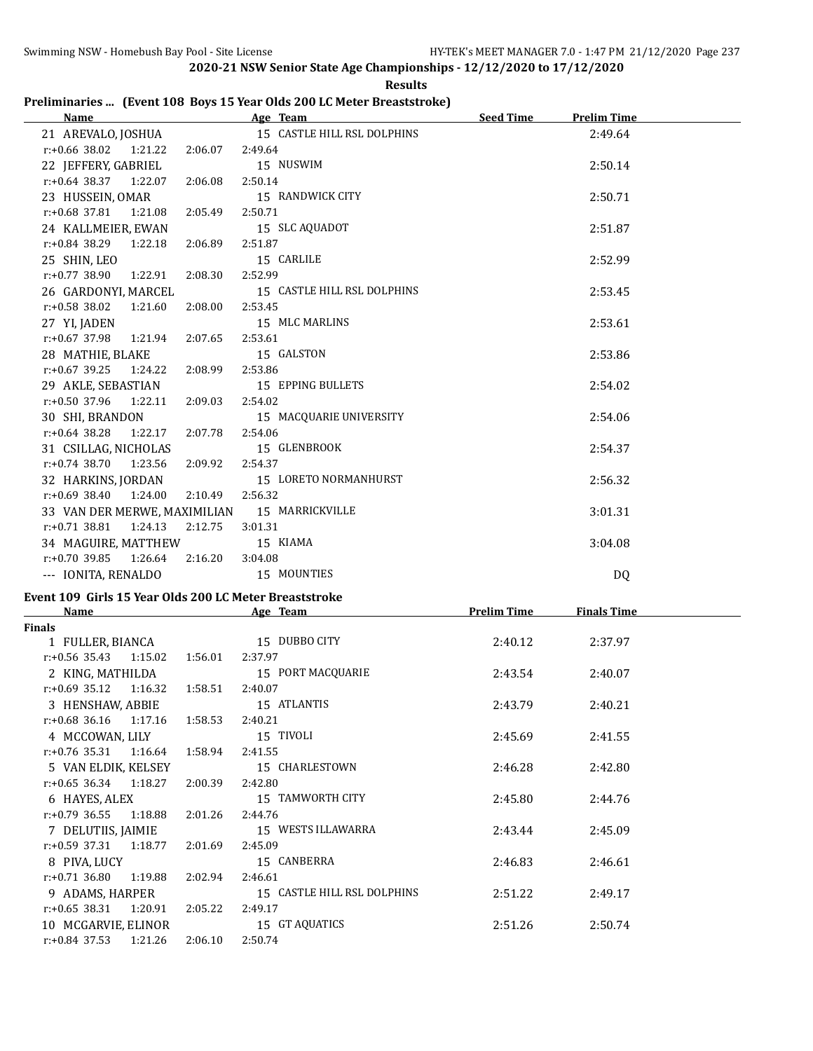|                              |         |         | <b>Results</b>                                                         |           |                    |
|------------------------------|---------|---------|------------------------------------------------------------------------|-----------|--------------------|
|                              |         |         | Preliminaries  (Event 108 Boys 15 Year Olds 200 LC Meter Breaststroke) |           |                    |
| <b>Name</b>                  |         |         | <b>Example 2018</b> Age Team                                           | Seed Time | <b>Prelim Time</b> |
| 21 AREVALO, JOSHUA           |         |         | 15 CASTLE HILL RSL DOLPHINS                                            |           | 2:49.64            |
| $r: +0.66$ 38.02 1:21.22     |         | 2:06.07 | 2:49.64                                                                |           |                    |
| 22 JEFFERY, GABRIEL          |         |         | 15 NUSWIM                                                              |           | 2:50.14            |
| $r.+0.64$ 38.37 1:22.07      |         | 2:06.08 | 2:50.14                                                                |           |                    |
| 23 HUSSEIN, OMAR             |         |         | 15 RANDWICK CITY                                                       |           | 2:50.71            |
| $r: +0.68$ 37.81 1:21.08     |         | 2:05.49 | 2:50.71                                                                |           |                    |
| 24 KALLMEIER, EWAN           |         |         | 15 SLC AQUADOT                                                         |           | 2:51.87            |
| r:+0.84 38.29                | 1:22.18 | 2:06.89 | 2:51.87                                                                |           |                    |
| 25 SHIN, LEO                 |         |         | 15 CARLILE                                                             |           | 2:52.99            |
| r:+0.77 38.90 1:22.91        |         | 2:08.30 | 2:52.99                                                                |           |                    |
| 26 GARDONYI, MARCEL          |         |         | 15 CASTLE HILL RSL DOLPHINS                                            |           | 2:53.45            |
| $r: +0.58$ 38.02 1:21.60     |         | 2:08.00 | 2:53.45                                                                |           |                    |
| 27 YI, JADEN                 |         |         | 15 MLC MARLINS                                                         |           | 2:53.61            |
| $r: +0.67$ 37.98 1:21.94     |         | 2:07.65 | 2:53.61                                                                |           |                    |
| 28 MATHIE, BLAKE             |         |         | 15 GALSTON                                                             |           | 2:53.86            |
| $r: +0.67$ 39.25             | 1:24.22 | 2:08.99 | 2:53.86                                                                |           |                    |
| 29 AKLE, SEBASTIAN           |         |         | 15 EPPING BULLETS                                                      |           | 2:54.02            |
| $r: +0.50$ 37.96 1:22.11     |         | 2:09.03 | 2:54.02                                                                |           |                    |
| 30 SHI, BRANDON              |         |         | 15 MACQUARIE UNIVERSITY                                                |           | 2:54.06            |
| $r: +0.64$ 38.28             | 1:22.17 | 2:07.78 | 2:54.06                                                                |           |                    |
| 31 CSILLAG, NICHOLAS         |         |         | 15 GLENBROOK                                                           |           | 2:54.37            |
| $r: +0.74$ 38.70             | 1:23.56 | 2:09.92 | 2:54.37                                                                |           |                    |
| 32 HARKINS, JORDAN           |         |         | 15 LORETO NORMANHURST                                                  |           | 2:56.32            |
| $r: +0.69$ 38.40 1:24.00     |         | 2:10.49 | 2:56.32                                                                |           |                    |
| 33 VAN DER MERWE, MAXIMILIAN |         |         | 15 MARRICKVILLE                                                        |           | 3:01.31            |
| $r: +0.71$ 38.81             | 1:24.13 | 2:12.75 | 3:01.31                                                                |           |                    |
| 34 MAGUIRE, MATTHEW          |         |         | 15 KIAMA                                                               |           | 3:04.08            |
| $r: +0.70$ 39.85             | 1:26.64 | 2:16.20 | 3:04.08                                                                |           |                    |
| --- IONITA, RENALDO          |         |         | 15 MOUNTIES                                                            |           | DQ                 |

## **Event 109 Girls 15 Year Olds 200 LC Meter Breaststroke**

| Name                        |         | Age Team                    | <b>Prelim Time</b><br><u>Finals Time</u> |         |  |  |
|-----------------------------|---------|-----------------------------|------------------------------------------|---------|--|--|
| <b>Finals</b>               |         |                             |                                          |         |  |  |
| 1 FULLER, BIANCA            |         | 15 DUBBO CITY               | 2:40.12                                  | 2:37.97 |  |  |
| $r.+0.56$ 35.43 1:15.02     | 1:56.01 | 2:37.97                     |                                          |         |  |  |
| 2 KING, MATHILDA            |         | 15 PORT MACQUARIE           | 2:43.54                                  | 2:40.07 |  |  |
| $r: +0.69$ 35.12 1:16.32    | 1:58.51 | 2:40.07                     |                                          |         |  |  |
| 3 HENSHAW, ABBIE            |         | 15 ATLANTIS                 | 2:43.79                                  | 2:40.21 |  |  |
| $r: +0.68$ 36.16 1:17.16    | 1:58.53 | 2:40.21                     |                                          |         |  |  |
| 4 MCCOWAN, LILY             |         | 15 TIVOLI                   | 2:45.69                                  | 2:41.55 |  |  |
| $r: +0.76$ 35.31 1:16.64    | 1:58.94 | 2:41.55                     |                                          |         |  |  |
| 5 VAN ELDIK, KELSEY         |         | 15 CHARLESTOWN              | 2:46.28                                  | 2:42.80 |  |  |
| $r: +0.65$ 36.34 1:18.27    | 2:00.39 | 2:42.80                     |                                          |         |  |  |
| 6 HAYES, ALEX               |         | 15 TAMWORTH CITY            | 2:45.80                                  | 2:44.76 |  |  |
| $r: +0.79$ 36.55 1:18.88    | 2:01.26 | 2:44.76                     |                                          |         |  |  |
| 7 DELUTIIS, JAIMIE          |         | 15 WESTS ILLAWARRA          | 2:43.44                                  | 2:45.09 |  |  |
| $r: +0.59$ 37.31 1:18.77    | 2:01.69 | 2:45.09                     |                                          |         |  |  |
| 8 PIVA, LUCY                |         | 15 CANBERRA                 | 2:46.83                                  | 2:46.61 |  |  |
| $r: +0.71$ 36.80 1:19.88    | 2:02.94 | 2:46.61                     |                                          |         |  |  |
| 9 ADAMS, HARPER             |         | 15 CASTLE HILL RSL DOLPHINS | 2:51.22                                  | 2:49.17 |  |  |
| r:+0.65 38.31<br>1:20.91    | 2:05.22 | 2:49.17                     |                                          |         |  |  |
| 10 MCGARVIE, ELINOR         |         | 15 GT AQUATICS              | 2:51.26                                  | 2:50.74 |  |  |
| $r: +0.84$ 37.53<br>1:21.26 | 2:06.10 | 2:50.74                     |                                          |         |  |  |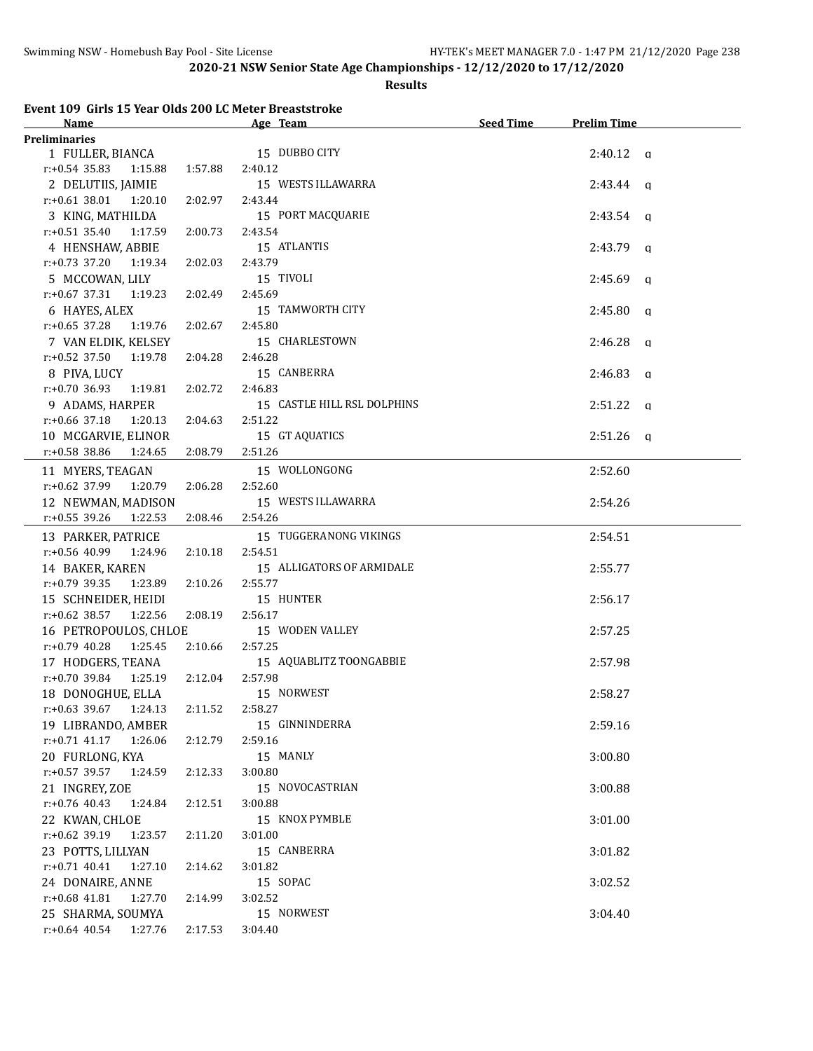#### **Results**

|  | Event 109 Girls 15 Year Olds 200 LC Meter Breaststroke |  |
|--|--------------------------------------------------------|--|
|  |                                                        |  |

| Name                                     |         | Age Team                    | Seed Time | <b>Prelim Time</b> |  |
|------------------------------------------|---------|-----------------------------|-----------|--------------------|--|
| <b>Preliminaries</b>                     |         |                             |           |                    |  |
| 1 FULLER, BIANCA                         |         | 15 DUBBO CITY               |           | $2:40.12$ a        |  |
| $r: +0.54$ 35.83<br>1:15.88              | 1:57.88 | 2:40.12                     |           |                    |  |
| 2 DELUTIIS, JAIMIE                       |         | 15 WESTS ILLAWARRA          |           | $2:43.44$ q        |  |
| $r: +0.61$ 38.01 1:20.10                 | 2:02.97 | 2:43.44                     |           |                    |  |
| 3 KING, MATHILDA                         |         | 15 PORT MACQUARIE           |           | $2:43.54$ q        |  |
| $r: +0.51$ 35.40<br>1:17.59              | 2:00.73 | 2:43.54                     |           |                    |  |
| 4 HENSHAW, ABBIE                         |         | 15 ATLANTIS                 |           | $2:43.79$ q        |  |
| $r: +0.73$ 37.20<br>1:19.34              | 2:02.03 | 2:43.79                     |           |                    |  |
| 5 MCCOWAN, LILY                          |         | 15 TIVOLI                   |           | $2:45.69$ q        |  |
| $r: +0.67$ 37.31<br>1:19.23              | 2:02.49 | 2:45.69                     |           |                    |  |
| 6 HAYES, ALEX                            |         | 15 TAMWORTH CITY            |           | $2:45.80$ a        |  |
| $r: +0.65$ 37.28<br>1:19.76              | 2:02.67 | 2:45.80                     |           |                    |  |
| 7 VAN ELDIK, KELSEY                      |         | 15 CHARLESTOWN              |           | $2:46.28$ q        |  |
| $r: +0.52$ 37.50<br>1:19.78              | 2:04.28 | 2:46.28                     |           |                    |  |
| 8 PIVA, LUCY                             |         | 15 CANBERRA                 |           | $2:46.83$ q        |  |
| $r: +0.70$ 36.93<br>1:19.81              | 2:02.72 | 2:46.83                     |           |                    |  |
| 9 ADAMS, HARPER                          |         | 15 CASTLE HILL RSL DOLPHINS |           | $2:51.22$ q        |  |
| $r: +0.66$ 37.18<br>1:20.13              | 2:04.63 | 2:51.22                     |           |                    |  |
| 10 MCGARVIE, ELINOR                      |         | 15 GT AQUATICS              |           | $2:51.26$ a        |  |
| r:+0.58 38.86<br>1:24.65                 | 2:08.79 | 2:51.26                     |           |                    |  |
|                                          |         |                             |           |                    |  |
| 11 MYERS, TEAGAN                         |         | 15 WOLLONGONG               |           | 2:52.60            |  |
| r:+0.62 37.99<br>1:20.79                 | 2:06.28 | 2:52.60                     |           |                    |  |
| 12 NEWMAN, MADISON                       |         | 15 WESTS ILLAWARRA          |           | 2:54.26            |  |
| r:+0.55 39.26<br>1:22.53                 | 2:08.46 | 2:54.26                     |           |                    |  |
| 13 PARKER, PATRICE                       |         | 15 TUGGERANONG VIKINGS      |           | 2:54.51            |  |
| $r: +0.56$ 40.99<br>1:24.96              | 2:10.18 | 2:54.51                     |           |                    |  |
| 14 BAKER, KAREN                          |         | 15 ALLIGATORS OF ARMIDALE   |           | 2:55.77            |  |
| r:+0.79 39.35<br>1:23.89                 | 2:10.26 | 2:55.77                     |           |                    |  |
| 15 SCHNEIDER, HEIDI                      |         | 15 HUNTER                   |           | 2:56.17            |  |
| r:+0.62 38.57 1:22.56                    | 2:08.19 | 2:56.17                     |           |                    |  |
| 16 PETROPOULOS, CHLOE                    |         | 15 WODEN VALLEY             |           | 2:57.25            |  |
| $r: +0.79$ 40.28<br>1:25.45              | 2:10.66 | 2:57.25                     |           |                    |  |
| 17 HODGERS, TEANA                        |         | 15 AQUABLITZ TOONGABBIE     |           | 2:57.98            |  |
| r:+0.70 39.84 1:25.19 2:12.04            |         | 2:57.98                     |           |                    |  |
| 18 DONOGHUE, ELLA                        |         | 15 NORWEST                  |           | 2:58.27            |  |
| $r: +0.63$ 39.67 1:24.13 2:11.52 2:58.27 |         |                             |           |                    |  |
| 19 LIBRANDO, AMBER                       |         | 15 GINNINDERRA              |           | 2:59.16            |  |
| $r$ :+0.71 41.17<br>1:26.06              | 2:12.79 | 2:59.16                     |           |                    |  |
| 20 FURLONG, KYA                          |         | 15 MANLY                    |           | 3:00.80            |  |
| $r$ :+0.57 39.57<br>1:24.59              | 2:12.33 | 3:00.80                     |           |                    |  |
| 21 INGREY, ZOE                           |         | 15 NOVOCASTRIAN             |           | 3:00.88            |  |
| $r: +0.76$ 40.43<br>1:24.84              | 2:12.51 | 3:00.88                     |           |                    |  |
| 22 KWAN, CHLOE                           |         | 15 KNOX PYMBLE              |           | 3:01.00            |  |
| $r: +0.62$ 39.19<br>1:23.57              | 2:11.20 | 3:01.00                     |           |                    |  |
| 23 POTTS, LILLYAN                        |         | 15 CANBERRA                 |           | 3:01.82            |  |
| $r: +0.71$ 40.41<br>1:27.10              | 2:14.62 | 3:01.82                     |           |                    |  |
| 24 DONAIRE, ANNE                         |         | 15 SOPAC                    |           | 3:02.52            |  |
| $r: +0.68$ 41.81<br>1:27.70              | 2:14.99 | 3:02.52                     |           |                    |  |
| 25 SHARMA, SOUMYA                        |         | 15 NORWEST                  |           | 3:04.40            |  |
| $r: +0.64$ 40.54<br>1:27.76              | 2:17.53 | 3:04.40                     |           |                    |  |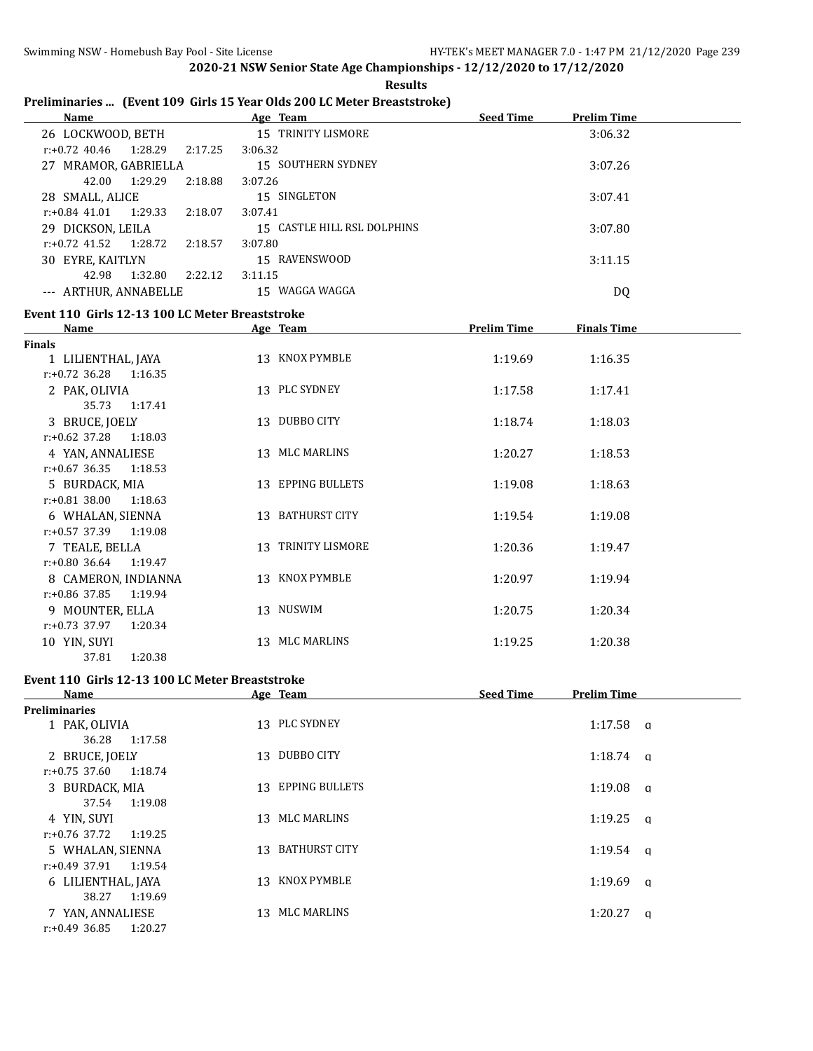**2020-21 NSW Senior State Age Championships - 12/12/2020 to 17/12/2020**

|                                                 | <b>Results</b>                                                                      |                    |                    |
|-------------------------------------------------|-------------------------------------------------------------------------------------|--------------------|--------------------|
| <b>Name</b>                                     | Preliminaries  (Event 109 Girls 15 Year Olds 200 LC Meter Breaststroke)<br>Age Team | <b>Seed Time</b>   | <b>Prelim Time</b> |
| 26 LOCKWOOD, BETH                               | 15 TRINITY LISMORE                                                                  |                    | 3:06.32            |
| $r: +0.72$ 40.46<br>1:28.29<br>2:17.25          | 3:06.32                                                                             |                    |                    |
| 27 MRAMOR, GABRIELLA                            | 15 SOUTHERN SYDNEY                                                                  |                    | 3:07.26            |
| 42.00<br>1:29.29<br>2:18.88                     | 3:07.26                                                                             |                    |                    |
| 28 SMALL, ALICE                                 | 15 SINGLETON                                                                        |                    | 3:07.41            |
| $r: +0.84$ 41.01<br>1:29.33<br>2:18.07          | 3:07.41                                                                             |                    |                    |
| 29 DICKSON, LEILA                               | 15 CASTLE HILL RSL DOLPHINS                                                         |                    | 3:07.80            |
| $r: +0.72$ 41.52<br>1:28.72<br>2:18.57          | 3:07.80                                                                             |                    |                    |
| 30 EYRE, KAITLYN                                | 15 RAVENSWOOD                                                                       |                    | 3:11.15            |
| 42.98<br>1:32.80<br>2:22.12                     | 3:11.15                                                                             |                    |                    |
| --- ARTHUR, ANNABELLE                           | 15 WAGGA WAGGA                                                                      |                    | DQ                 |
| Event 110 Girls 12-13 100 LC Meter Breaststroke |                                                                                     |                    |                    |
| Name                                            | Age Team                                                                            | <b>Prelim Time</b> | <b>Finals Time</b> |
| <b>Finals</b>                                   |                                                                                     |                    |                    |
| 1 LILIENTHAL, JAYA                              | 13 KNOX PYMBLE                                                                      | 1:19.69            | 1:16.35            |
| $r: +0.72$ 36.28<br>1:16.35                     |                                                                                     |                    |                    |
| 2 PAK, OLIVIA                                   | 13 PLC SYDNEY                                                                       | 1:17.58            | 1:17.41            |
| 35.73<br>1:17.41                                |                                                                                     |                    |                    |
| 3 BRUCE, JOELY                                  | 13 DUBBO CITY                                                                       | 1:18.74            | 1:18.03            |
| $r: +0.62$ 37.28<br>1:18.03                     |                                                                                     |                    |                    |
| 4 YAN, ANNALIESE                                | 13 MLC MARLINS                                                                      | 1:20.27            | 1:18.53            |
| $r: +0.67$ 36.35<br>1:18.53                     |                                                                                     |                    |                    |
| 5 BURDACK, MIA                                  | 13 EPPING BULLETS                                                                   | 1:19.08            | 1:18.63            |
| $r: +0.81$ 38.00<br>1:18.63                     |                                                                                     |                    |                    |
| 6 WHALAN, SIENNA                                | 13 BATHURST CITY                                                                    | 1:19.54            | 1:19.08            |
| $r: +0.57$ 37.39<br>1:19.08                     |                                                                                     |                    |                    |
| 7 TEALE, BELLA                                  | 13 TRINITY LISMORE                                                                  | 1:20.36            | 1:19.47            |
| $r: +0.80$ 36.64<br>1:19.47                     |                                                                                     |                    |                    |
| 8 CAMERON, INDIANNA                             | 13 KNOX PYMBLE                                                                      | 1:20.97            | 1:19.94            |
| $r: +0.86$ 37.85<br>1:19.94                     |                                                                                     |                    |                    |
| 9 MOUNTER, ELLA                                 | 13 NUSWIM                                                                           | 1:20.75            | 1:20.34            |

10 YIN, SUYI 1:20.38 13 MLC MARLINS 1:19.25 1:20.38

#### **Event 110 Girls 12-13 100 LC Meter Breaststroke**

1:20.38

r:+0.73 37.97 1:20.34

| Name                        | Age Team          | <b>Seed Time</b><br><b>Prelim Time</b> |
|-----------------------------|-------------------|----------------------------------------|
| <b>Preliminaries</b>        |                   |                                        |
| 1 PAK, OLIVIA               | 13 PLC SYDNEY     | $1:17.58$ a                            |
| 1:17.58<br>36.28            |                   |                                        |
| 2 BRUCE, JOELY              | DUBBO CITY<br>13  | 1:18.74<br>$\alpha$                    |
| 1:18.74<br>$r: +0.75$ 37.60 |                   |                                        |
| 3 BURDACK, MIA              | 13 EPPING BULLETS | 1:19.08<br>a                           |
| 1:19.08<br>37.54            |                   |                                        |
| 4 YIN, SUYI                 | 13 MLC MARLINS    | 1:19.25<br><b>a</b>                    |
| $r: +0.76$ 37.72<br>1:19.25 |                   |                                        |
| 5 WHALAN, SIENNA            | 13 BATHURST CITY  | $1:19.54$ q                            |
| r:+0.49 37.91<br>1:19.54    |                   |                                        |
| 6 LILIENTHAL, JAYA          | KNOX PYMBLE<br>13 | 1:19.69<br>a                           |
| 1:19.69<br>38.27            |                   |                                        |
| 7 YAN, ANNALIESE            | MLC MARLINS<br>13 | 1:20.27<br>$\alpha$                    |
| $r: +0.49$ 36.85<br>1:20.27 |                   |                                        |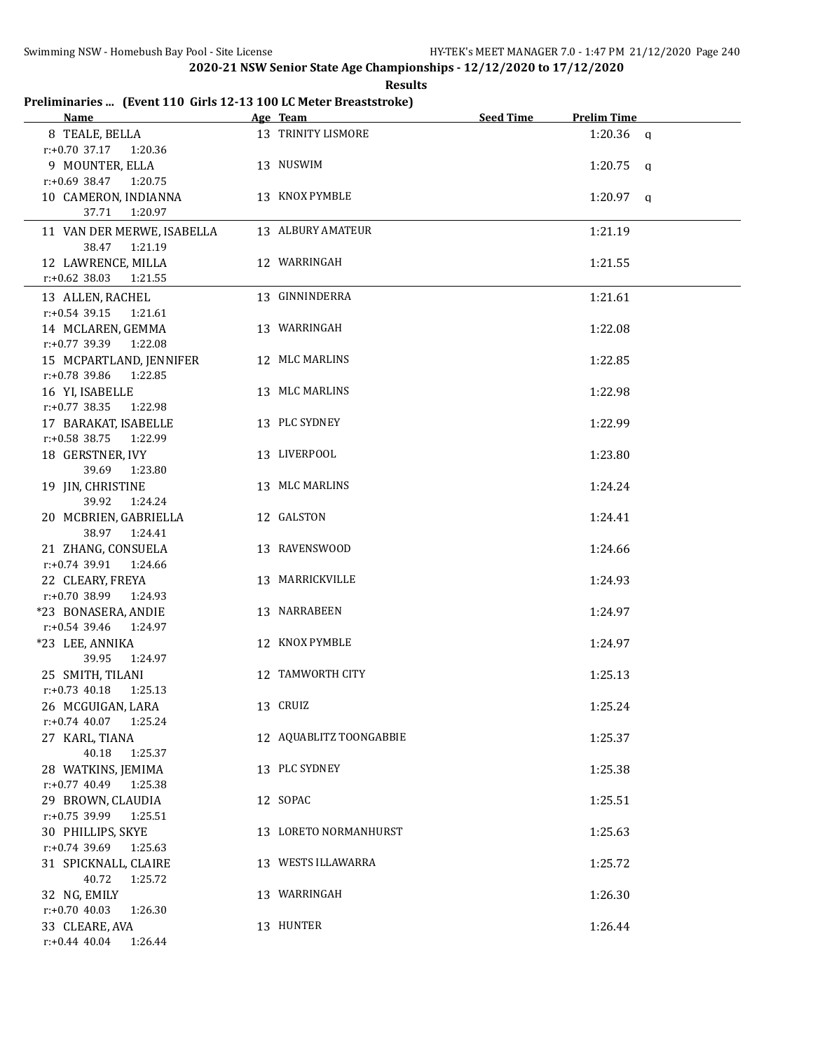| Results |
|---------|
|---------|

# **Preliminaries ... (Event 110 Girls 12-13 100 LC Meter Breaststroke)**

| <u>Name</u>                                 | Age Team                | Seed Time | <b>Prelim Time</b> |  |
|---------------------------------------------|-------------------------|-----------|--------------------|--|
| 8 TEALE, BELLA                              | 13 TRINITY LISMORE      |           | $1:20.36$ a        |  |
| r:+0.70 37.17 1:20.36                       |                         |           |                    |  |
| 9 MOUNTER, ELLA                             | 13 NUSWIM               |           | $1:20.75$ q        |  |
| $r: +0.69$ 38.47 1:20.75                    |                         |           |                    |  |
| 10 CAMERON, INDIANNA                        | 13 KNOX PYMBLE          |           | $1:20.97$ q        |  |
| 37.71 1:20.97                               |                         |           |                    |  |
| 11 VAN DER MERWE, ISABELLA                  | 13 ALBURY AMATEUR       |           | 1:21.19            |  |
| 38.47 1:21.19                               |                         |           |                    |  |
| 12 LAWRENCE, MILLA                          | 12 WARRINGAH            |           | 1:21.55            |  |
| $r.+0.62$ 38.03 1:21.55                     |                         |           |                    |  |
| 13 ALLEN, RACHEL                            | 13 GINNINDERRA          |           | 1:21.61            |  |
| $r.+0.54$ 39.15 1:21.61                     |                         |           |                    |  |
| 14 MCLAREN, GEMMA                           | 13 WARRINGAH            |           | 1:22.08            |  |
| r:+0.77 39.39 1:22.08                       |                         |           |                    |  |
| 15 MCPARTLAND, JENNIFER                     | 12 MLC MARLINS          |           | 1:22.85            |  |
| r:+0.78 39.86 1:22.85                       |                         |           |                    |  |
| 16 YI, ISABELLE                             | 13 MLC MARLINS          |           | 1:22.98            |  |
| r:+0.77 38.35 1:22.98                       |                         |           |                    |  |
| 17 BARAKAT, ISABELLE                        | 13 PLC SYDNEY           |           | 1:22.99            |  |
| $r: +0.58$ 38.75 1:22.99                    |                         |           |                    |  |
| 18 GERSTNER, IVY                            | 13 LIVERPOOL            |           | 1:23.80            |  |
| 39.69<br>1:23.80                            |                         |           |                    |  |
| 19 JIN, CHRISTINE                           | 13 MLC MARLINS          |           | 1:24.24            |  |
| 39.92<br>1:24.24                            |                         |           |                    |  |
| 20 MCBRIEN, GABRIELLA                       | 12 GALSTON              |           | 1:24.41            |  |
| 38.97 1:24.41                               |                         |           |                    |  |
| 21 ZHANG, CONSUELA                          | 13 RAVENSWOOD           |           | 1:24.66            |  |
| r:+0.74 39.91<br>1:24.66                    |                         |           |                    |  |
| 22 CLEARY, FREYA                            | 13 MARRICKVILLE         |           | 1:24.93            |  |
| r:+0.70 38.99 1:24.93                       |                         |           |                    |  |
| *23 BONASERA, ANDIE                         | 13 NARRABEEN            |           | 1:24.97            |  |
| r:+0.54 39.46<br>1:24.97<br>*23 LEE, ANNIKA | 12 KNOX PYMBLE          |           |                    |  |
| 39.95<br>1:24.97                            |                         |           | 1:24.97            |  |
| 25 SMITH, TILANI                            | 12 TAMWORTH CITY        |           | 1:25.13            |  |
| 1:25.13<br>$r: +0.73$ 40.18                 |                         |           |                    |  |
| 26 MCGUIGAN, LARA                           | 13 CRUIZ                |           | 1:25.24            |  |
| $r: +0.74$ 40.07<br>1:25.24                 |                         |           |                    |  |
| 27 KARL, TIANA                              | 12 AQUABLITZ TOONGABBIE |           | 1:25.37            |  |
| 40.18<br>1:25.37                            |                         |           |                    |  |
| 28 WATKINS, JEMIMA                          | 13 PLC SYDNEY           |           | 1:25.38            |  |
| $r: +0.77$ 40.49<br>1:25.38                 |                         |           |                    |  |
| 29 BROWN, CLAUDIA                           | 12 SOPAC                |           | 1:25.51            |  |
| r:+0.75 39.99<br>1:25.51                    |                         |           |                    |  |
| 30 PHILLIPS, SKYE                           | 13 LORETO NORMANHURST   |           | 1:25.63            |  |
| r:+0.74 39.69<br>1:25.63                    |                         |           |                    |  |
| 31 SPICKNALL, CLAIRE                        | 13 WESTS ILLAWARRA      |           | 1:25.72            |  |
| 40.72<br>1:25.72                            |                         |           |                    |  |
| 32 NG, EMILY                                | 13 WARRINGAH            |           | 1:26.30            |  |
| $r: +0.70$ 40.03<br>1:26.30                 |                         |           |                    |  |
| 33 CLEARE, AVA                              | 13 HUNTER               |           | 1:26.44            |  |
| $r: +0.44$ 40.04<br>1:26.44                 |                         |           |                    |  |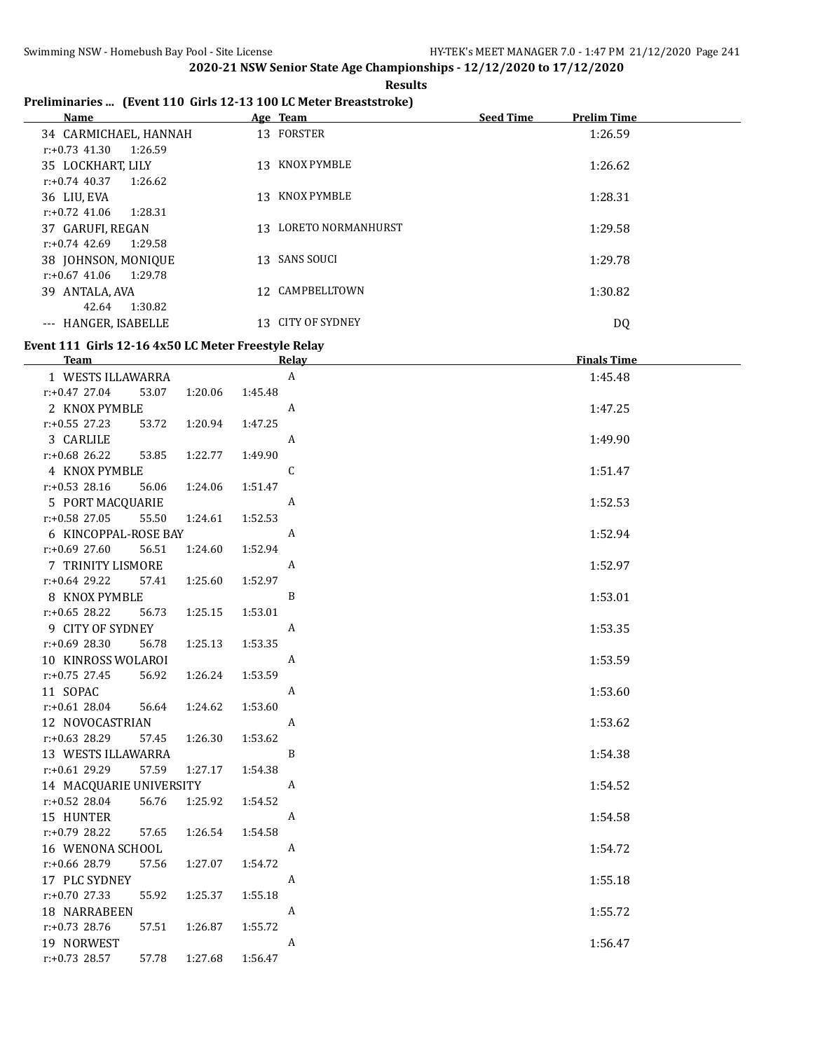**Results**

### **Preliminaries ... (Event 110 Girls 12-13 100 LC Meter Breaststroke)**

## **Event 111 Girls 12-16 4x50 LC Meter Freestyle Relay**

| <b>Team</b>               |                    | Relay            | <b>Finals Time</b> |
|---------------------------|--------------------|------------------|--------------------|
| 1 WESTS ILLAWARRA         |                    | $\mathbf{A}$     | 1:45.48            |
| $r: +0.47$ 27.04<br>53.07 | 1:20.06<br>1:45.48 |                  |                    |
| 2 KNOX PYMBLE             |                    | A                | 1:47.25            |
| $r: +0.55$ 27.23<br>53.72 | 1:47.25<br>1:20.94 |                  |                    |
| 3 CARLILE                 |                    | A                | 1:49.90            |
| $r: +0.68$ 26.22<br>53.85 | 1:49.90<br>1:22.77 |                  |                    |
| 4 KNOX PYMBLE             |                    | $\mathsf{C}$     | 1:51.47            |
| $r: +0.53$ 28.16<br>56.06 | 1:51.47<br>1:24.06 |                  |                    |
| 5 PORT MACQUARIE          |                    | A                | 1:52.53            |
| $r: +0.58$ 27.05<br>55.50 | 1:52.53<br>1:24.61 |                  |                    |
| 6 KINCOPPAL-ROSE BAY      |                    | A                | 1:52.94            |
| $r: +0.69$ 27.60<br>56.51 | 1:52.94<br>1:24.60 |                  |                    |
| 7 TRINITY LISMORE         |                    | $\boldsymbol{A}$ | 1:52.97            |
| $r: +0.64$ 29.22<br>57.41 | 1:25.60<br>1:52.97 |                  |                    |
| 8 KNOX PYMBLE             |                    | B                | 1:53.01            |
| $r: +0.65$ 28.22<br>56.73 | 1:25.15<br>1:53.01 |                  |                    |
| 9 CITY OF SYDNEY          |                    | A                | 1:53.35            |
| r:+0.69 28.30<br>56.78    | 1:25.13<br>1:53.35 |                  |                    |
| 10 KINROSS WOLAROI        |                    | A                | 1:53.59            |
| $r: +0.75$ 27.45<br>56.92 | 1:53.59<br>1:26.24 |                  |                    |
| 11 SOPAC                  |                    | A                | 1:53.60            |
| $r: +0.61$ 28.04<br>56.64 | 1:53.60<br>1:24.62 |                  |                    |
| 12 NOVOCASTRIAN           |                    | A                | 1:53.62            |
| r:+0.63 28.29<br>57.45    | 1:53.62<br>1:26.30 |                  |                    |
| 13 WESTS ILLAWARRA        |                    | B                | 1:54.38            |
| $r: +0.61$ 29.29<br>57.59 | 1:27.17<br>1:54.38 |                  |                    |
| 14 MACQUARIE UNIVERSITY   |                    | A                | 1:54.52            |
| $r: +0.52$ 28.04<br>56.76 | 1:54.52<br>1:25.92 |                  |                    |
| 15 HUNTER                 |                    | A                | 1:54.58            |
| $r: +0.79$ 28.22<br>57.65 | 1:26.54<br>1:54.58 |                  |                    |
| 16 WENONA SCHOOL          |                    | A                | 1:54.72            |
| r:+0.66 28.79<br>57.56    | 1:54.72<br>1:27.07 |                  |                    |
| 17 PLC SYDNEY             |                    | A                | 1:55.18            |
| $r: +0.70$ 27.33<br>55.92 | 1:55.18<br>1:25.37 |                  |                    |
| 18 NARRABEEN              |                    | A                | 1:55.72            |
| $r: +0.73$ 28.76<br>57.51 | 1:55.72<br>1:26.87 |                  |                    |
| 19 NORWEST                |                    | A                | 1:56.47            |
| r:+0.73 28.57<br>57.78    | 1:27.68<br>1:56.47 |                  |                    |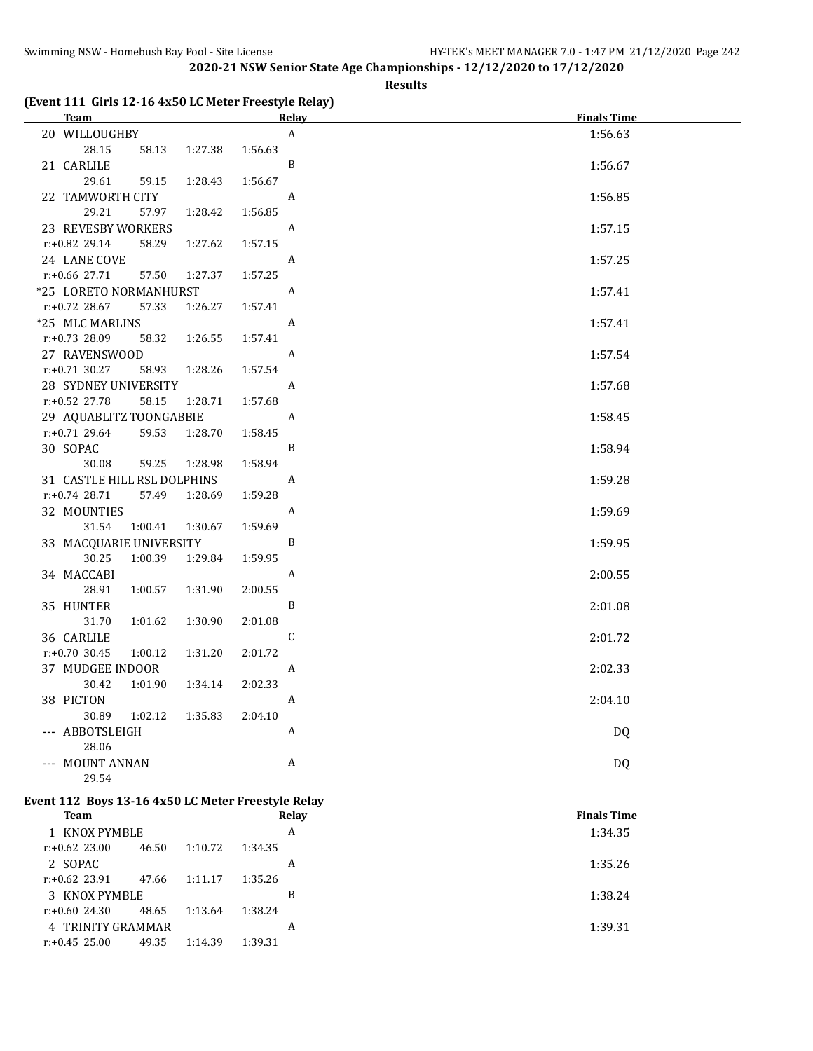#### **Results**

### **(Event 111 Girls 12-16 4x50 LC Meter Freestyle Relay)**

| <b>Team</b>                                     | Relay        | <b>Finals Time</b> |
|-------------------------------------------------|--------------|--------------------|
| 20 WILLOUGHBY                                   | A            | 1:56.63            |
| 28.15<br>58.13<br>1:27.38                       | 1:56.63      |                    |
| 21 CARLILE                                      | B            | 1:56.67            |
| 29.61<br>59.15<br>1:28.43                       | 1:56.67      |                    |
| 22 TAMWORTH CITY                                | A            | 1:56.85            |
| 29.21<br>57.97<br>1:28.42                       | 1:56.85      |                    |
| 23 REVESBY WORKERS                              | A            | 1:57.15            |
| r:+0.82 29.14<br>58.29<br>1:27.62               | 1:57.15      |                    |
| 24 LANE COVE                                    | A            | 1:57.25            |
| r:+0.66 27.71<br>57.50<br>1:27.37               | 1:57.25      |                    |
| *25 LORETO NORMANHURST                          | A            | 1:57.41            |
| r:+0.72 28.67<br>57.33<br>1:26.27               | 1:57.41      |                    |
| *25 MLC MARLINS                                 | A            | 1:57.41            |
| r:+0.73 28.09<br>58.32<br>1:26.55               | 1:57.41      |                    |
| 27 RAVENSWOOD                                   | A            | 1:57.54            |
| $r: +0.71$ 30.27<br>58.93<br>1:28.26            | 1:57.54      |                    |
| 28 SYDNEY UNIVERSITY                            | A            | 1:57.68            |
| r:+0.52 27.78<br>58.15<br>1:28.71               | 1:57.68      |                    |
| 29 AQUABLITZ TOONGABBIE                         | A            | 1:58.45            |
| $r: +0.71$ 29.64<br>59.53<br>1:28.70            | 1:58.45<br>B |                    |
| 30 SOPAC<br>30.08                               | 1:58.94      | 1:58.94            |
| 59.25<br>1:28.98<br>31 CASTLE HILL RSL DOLPHINS | A            | 1:59.28            |
| r:+0.74 28.71<br>57.49<br>1:28.69               | 1:59.28      |                    |
| 32 MOUNTIES                                     | A            | 1:59.69            |
| 31.54<br>1:00.41<br>1:30.67                     | 1:59.69      |                    |
| 33 MACQUARIE UNIVERSITY                         | B            | 1:59.95            |
| 30.25<br>1:00.39<br>1:29.84                     | 1:59.95      |                    |
| 34 MACCABI                                      | A            | 2:00.55            |
| 28.91<br>1:00.57<br>1:31.90                     | 2:00.55      |                    |
| 35 HUNTER                                       | B            | 2:01.08            |
| 31.70<br>1:01.62<br>1:30.90                     | 2:01.08      |                    |
| 36 CARLILE                                      | C            | 2:01.72            |
| r:+0.70 30.45<br>1:31.20<br>1:00.12             | 2:01.72      |                    |
| 37 MUDGEE INDOOR                                | A            | 2:02.33            |
| 30.42<br>1:34.14<br>1:01.90                     | 2:02.33      |                    |
| 38 PICTON                                       | A            | 2:04.10            |
| 30.89<br>1:02.12<br>1:35.83                     | 2:04.10      |                    |
| --- ABBOTSLEIGH                                 | A            | <b>DQ</b>          |
| 28.06                                           |              |                    |
| --- MOUNT ANNAN                                 | A            | <b>DQ</b>          |
| 29.54                                           |              |                    |

#### **Event 112 Boys 13-16 4x50 LC Meter Freestyle Relay**

| <b>Team</b>       |       |         | Relay   | <b>Finals Time</b> |
|-------------------|-------|---------|---------|--------------------|
| 1 KNOX PYMBLE     |       |         | A       | 1:34.35            |
| $r: +0.62$ 23.00  | 46.50 | 1:10.72 | 1:34.35 |                    |
| 2 SOPAC           |       |         | A       | 1:35.26            |
| $r: +0.62$ 23.91  | 47.66 | 1:11.17 | 1:35.26 |                    |
| 3 KNOX PYMBLE     |       |         | B       | 1:38.24            |
| $r: +0.60$ 24.30  | 48.65 | 1:13.64 | 1:38.24 |                    |
| 4 TRINITY GRAMMAR |       |         | A       | 1:39.31            |
| $r: +0.45$ 25.00  | 49.35 | 1:14.39 | 1:39.31 |                    |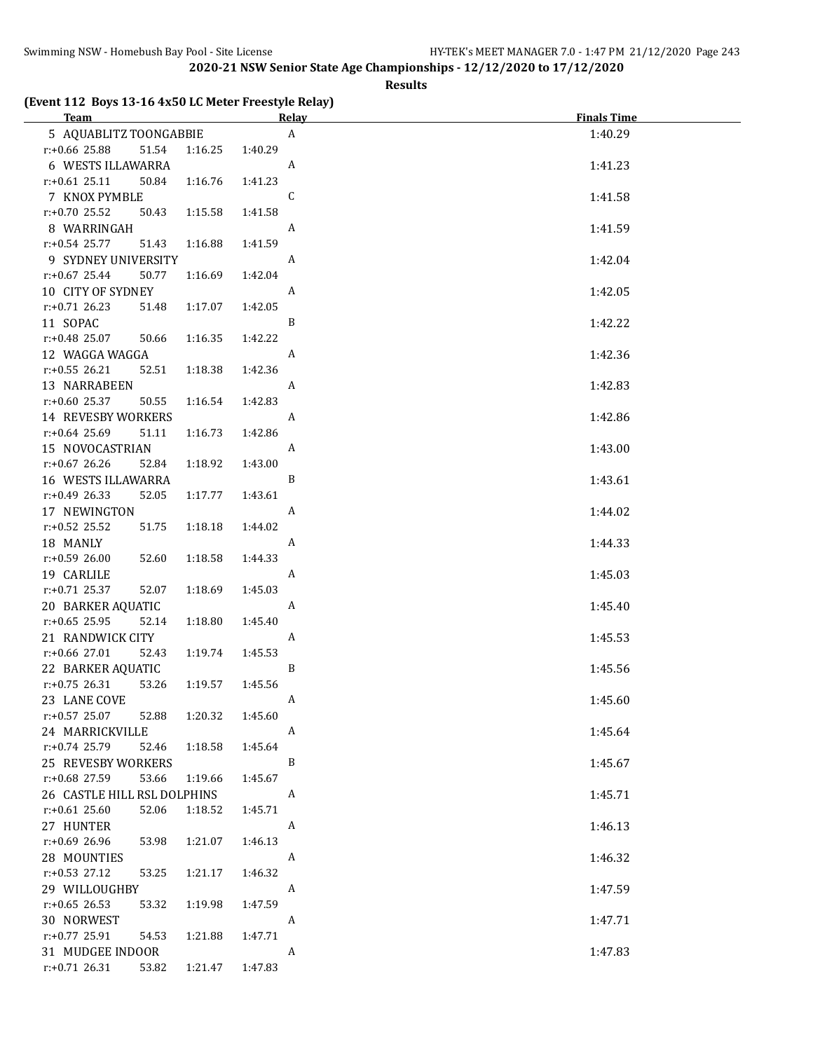#### **Results**

#### **(Event 112 Boys 13-16 4x50 LC Meter Freestyle Relay)**

| <b>Team Example 2018</b>             | <b>Relay</b> | <b>Finals Time</b> |
|--------------------------------------|--------------|--------------------|
| 5 AQUABLITZ TOONGABBIE               | $\mathbf{A}$ | 1:40.29            |
| r:+0.66 25.88<br>51.54<br>1:16.25    | 1:40.29      |                    |
| 6 WESTS ILLAWARRA                    | A            | 1:41.23            |
| $r: +0.61$ 25.11<br>50.84<br>1:16.76 | 1:41.23      |                    |
| 7 KNOX PYMBLE                        | C            | 1:41.58            |
| $r: +0.70$ 25.52<br>50.43<br>1:15.58 | 1:41.58      |                    |
| 8 WARRINGAH                          | $\mathbf{A}$ | 1:41.59            |
| $r: +0.54$ 25.77<br>51.43<br>1:16.88 | 1:41.59      |                    |
| 9 SYDNEY UNIVERSITY                  | A            | 1:42.04            |
| $r: +0.67$ 25.44<br>50.77<br>1:16.69 | 1:42.04      |                    |
| 10 CITY OF SYDNEY                    | A            | 1:42.05            |
| $r: +0.71$ 26.23<br>51.48<br>1:17.07 | 1:42.05      |                    |
| 11 SOPAC                             | B            | 1:42.22            |
| $r.+0.48$ 25.07<br>1:16.35<br>50.66  | 1:42.22      |                    |
| 12 WAGGA WAGGA                       | A            | 1:42.36            |
| $r: +0.55$ 26.21<br>52.51<br>1:18.38 | 1:42.36      |                    |
| 13 NARRABEEN                         | A            | 1:42.83            |
| $r: +0.60$ 25.37<br>1:16.54<br>50.55 | 1:42.83      |                    |
| 14 REVESBY WORKERS                   | A            | 1:42.86            |
| $r: +0.64$ 25.69<br>51.11<br>1:16.73 | 1:42.86      |                    |
| 15 NOVOCASTRIAN                      | A            | 1:43.00            |
| $r.+0.67$ 26.26<br>52.84<br>1:18.92  | 1:43.00      |                    |
| 16 WESTS ILLAWARRA                   | B            | 1:43.61            |
| $r: +0.49$ 26.33<br>52.05<br>1:17.77 | 1:43.61      |                    |
| 17 NEWINGTON                         | A            | 1:44.02            |
| $r.+0.52$ 25.52<br>1:18.18<br>51.75  | 1:44.02      |                    |
| 18 MANLY                             | A            | 1:44.33            |
| $r: +0.59$ 26.00<br>52.60<br>1:18.58 | 1:44.33      |                    |
| 19 CARLILE                           | A            | 1:45.03            |
| $r.+0.71$ 25.37<br>52.07<br>1:18.69  | 1:45.03      |                    |
| 20 BARKER AQUATIC                    | A            | 1:45.40            |
| $r: +0.65$ 25.95<br>52.14<br>1:18.80 | 1:45.40      |                    |
| 21 RANDWICK CITY                     | A            | 1:45.53            |
| r:+0.66 27.01<br>52.43<br>1:19.74    | 1:45.53      |                    |
| 22 BARKER AQUATIC                    | B            | 1:45.56            |
| $r: +0.75$ 26.31<br>53.26<br>1:19.57 | 1:45.56      |                    |
| 23 LANE COVE                         | <b>A</b>     | 1:45.60            |
| $r$ :+0.57 25.07<br>52.88<br>1:20.32 | 1:45.60      |                    |
| 24 MARRICKVILLE                      | A            | 1:45.64            |
| $r: +0.74$ 25.79<br>52.46<br>1:18.58 | 1:45.64      |                    |
| 25 REVESBY WORKERS                   | B            | 1:45.67            |
| r:+0.68 27.59<br>53.66<br>1:19.66    | 1:45.67      |                    |
| 26 CASTLE HILL RSL DOLPHINS          | A            | 1:45.71            |
| $r: +0.61$ 25.60<br>52.06<br>1:18.52 | 1:45.71      |                    |
| 27 HUNTER                            | A            | 1:46.13            |
| 1:21.07<br>$r: +0.69$ 26.96<br>53.98 | 1:46.13      |                    |
| 28 MOUNTIES                          | A            | 1:46.32            |
| r:+0.53 27.12<br>53.25<br>1:21.17    | 1:46.32      |                    |
| 29 WILLOUGHBY                        | A            | 1:47.59            |
| $r: +0.65$ 26.53<br>53.32<br>1:19.98 | 1:47.59      |                    |
| 30 NORWEST                           | A            | 1:47.71            |
| r:+0.77 25.91<br>1:21.88<br>54.53    | 1:47.71      |                    |
| 31 MUDGEE INDOOR                     | A            | 1:47.83            |
| $r.+0.71$ 26.31<br>53.82<br>1:21.47  | 1:47.83      |                    |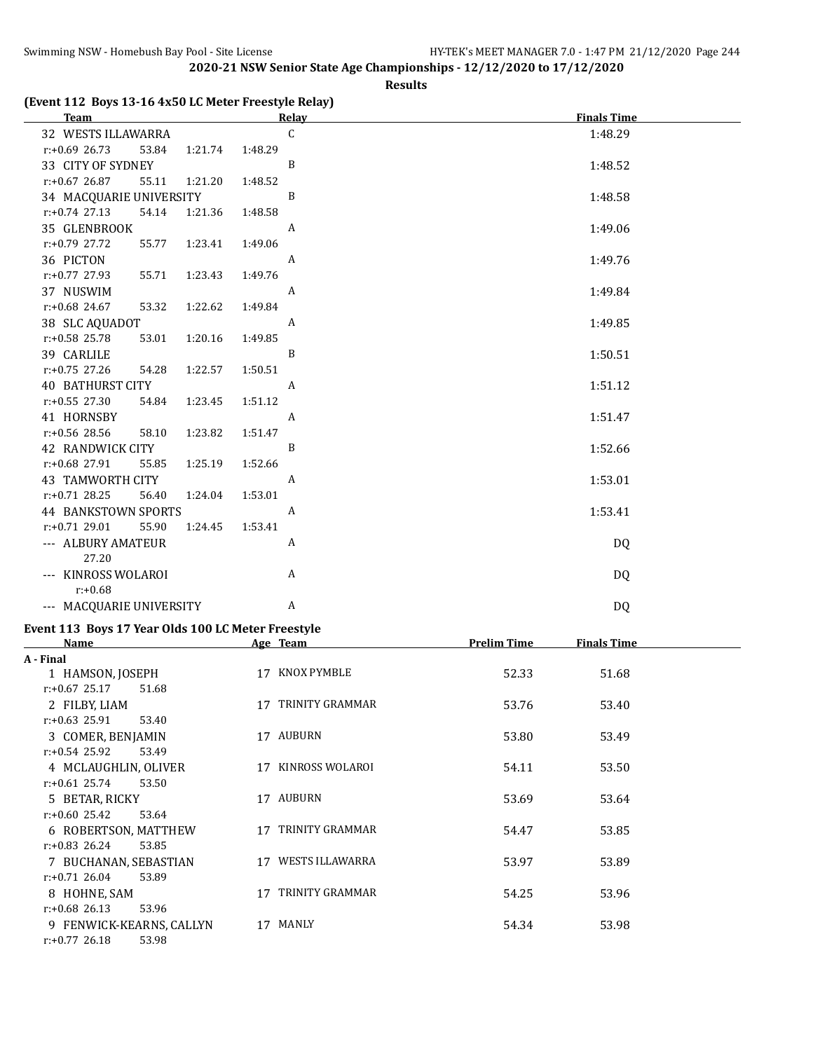#### **Results**

#### **(Event 112 Boys 13-16 4x50 LC Meter Freestyle Relay)**

| <b>Team</b>                 |         | <b>Relay</b>     | <b>Finals Time</b> |
|-----------------------------|---------|------------------|--------------------|
| 32 WESTS ILLAWARRA          |         | C                | 1:48.29            |
| $r: +0.69$ 26.73<br>53.84   | 1:21.74 | 1:48.29          |                    |
| 33 CITY OF SYDNEY           |         | B                | 1:48.52            |
| $r: +0.67$ 26.87<br>55.11   | 1:21.20 | 1:48.52          |                    |
| 34 MACQUARIE UNIVERSITY     |         | B                | 1:48.58            |
| $r: +0.74$ 27.13<br>54.14   | 1:21.36 | 1:48.58          |                    |
| 35 GLENBROOK                |         | A                | 1:49.06            |
| r:+0.79 27.72<br>55.77      | 1:23.41 | 1:49.06          |                    |
| 36 PICTON                   |         | A                | 1:49.76            |
| 55.71<br>r:+0.77 27.93      | 1:23.43 | 1:49.76          |                    |
| 37 NUSWIM                   |         | A                | 1:49.84            |
| $r: +0.68$ 24.67<br>53.32   | 1:22.62 | 1:49.84          |                    |
| 38 SLC AQUADOT              |         | A                | 1:49.85            |
| r:+0.58 25.78<br>53.01      | 1:20.16 | 1:49.85          |                    |
| 39 CARLILE                  |         | B                | 1:50.51            |
| r:+0.75 27.26<br>54.28      | 1:22.57 | 1:50.51          |                    |
| <b>40 BATHURST CITY</b>     |         | A                | 1:51.12            |
| $r: +0.55$ 27.30<br>54.84   | 1:23.45 | 1:51.12          |                    |
| 41 HORNSBY                  |         | A                | 1:51.47            |
| r:+0.56 28.56<br>58.10      | 1:23.82 | 1:51.47          |                    |
| <b>42 RANDWICK CITY</b>     |         | B                | 1:52.66            |
| $r: +0.68$ 27.91<br>55.85   | 1:25.19 | 1:52.66          |                    |
| 43 TAMWORTH CITY            |         | $\boldsymbol{A}$ | 1:53.01            |
| $r: +0.71$ 28.25<br>56.40   | 1:24.04 | 1:53.01          |                    |
| <b>44 BANKSTOWN SPORTS</b>  |         | A                | 1:53.41            |
| 55.90<br>$r: +0.71$ 29.01   | 1:24.45 | 1:53.41          |                    |
| --- ALBURY AMATEUR<br>27.20 |         | A                | DQ                 |
| --- KINROSS WOLAROI         |         | A                | DQ                 |
| $r: +0.68$                  |         |                  |                    |
| --- MACQUARIE UNIVERSITY    |         | A                | DQ                 |
|                             |         |                  |                    |

# **Event 113 Boys 17 Year Olds 100 LC Meter Freestyle**

| <b>Name</b>               |    | Age Team               | <b>Prelim Time</b> | <b>Finals Time</b> |  |
|---------------------------|----|------------------------|--------------------|--------------------|--|
| A - Final                 |    |                        |                    |                    |  |
| 1 HAMSON, JOSEPH          | 17 | KNOX PYMBLE            | 52.33              | 51.68              |  |
| $r: +0.67$ 25.17<br>51.68 |    |                        |                    |                    |  |
| 2 FILBY, LIAM             | 17 | TRINITY GRAMMAR        | 53.76              | 53.40              |  |
| $r: +0.63$ 25.91<br>53.40 |    |                        |                    |                    |  |
| 3 COMER, BENJAMIN         |    | 17 AUBURN              | 53.80              | 53.49              |  |
| $r: +0.54$ 25.92<br>53.49 |    |                        |                    |                    |  |
| 4 MCLAUGHLIN, OLIVER      | 17 | KINROSS WOLAROI        | 54.11              | 53.50              |  |
| $r: +0.61$ 25.74<br>53.50 |    |                        |                    |                    |  |
| 5 BETAR, RICKY            | 17 | AUBURN                 | 53.69              | 53.64              |  |
| $r: +0.60$ 25.42<br>53.64 |    |                        |                    |                    |  |
| 6 ROBERTSON, MATTHEW      | 17 | TRINITY GRAMMAR        | 54.47              | 53.85              |  |
| $r: +0.83$ 26.24<br>53.85 |    |                        |                    |                    |  |
| 7 BUCHANAN, SEBASTIAN     | 17 | <b>WESTS ILLAWARRA</b> | 53.97              | 53.89              |  |
| $r: +0.71$ 26.04<br>53.89 |    |                        |                    |                    |  |
| 8 HOHNE, SAM              | 17 | TRINITY GRAMMAR        | 54.25              | 53.96              |  |
| $r: +0.68$ 26.13<br>53.96 |    |                        |                    |                    |  |
| 9 FENWICK-KEARNS, CALLYN  | 17 | MANLY                  | 54.34              | 53.98              |  |
| $r: +0.77$ 26.18<br>53.98 |    |                        |                    |                    |  |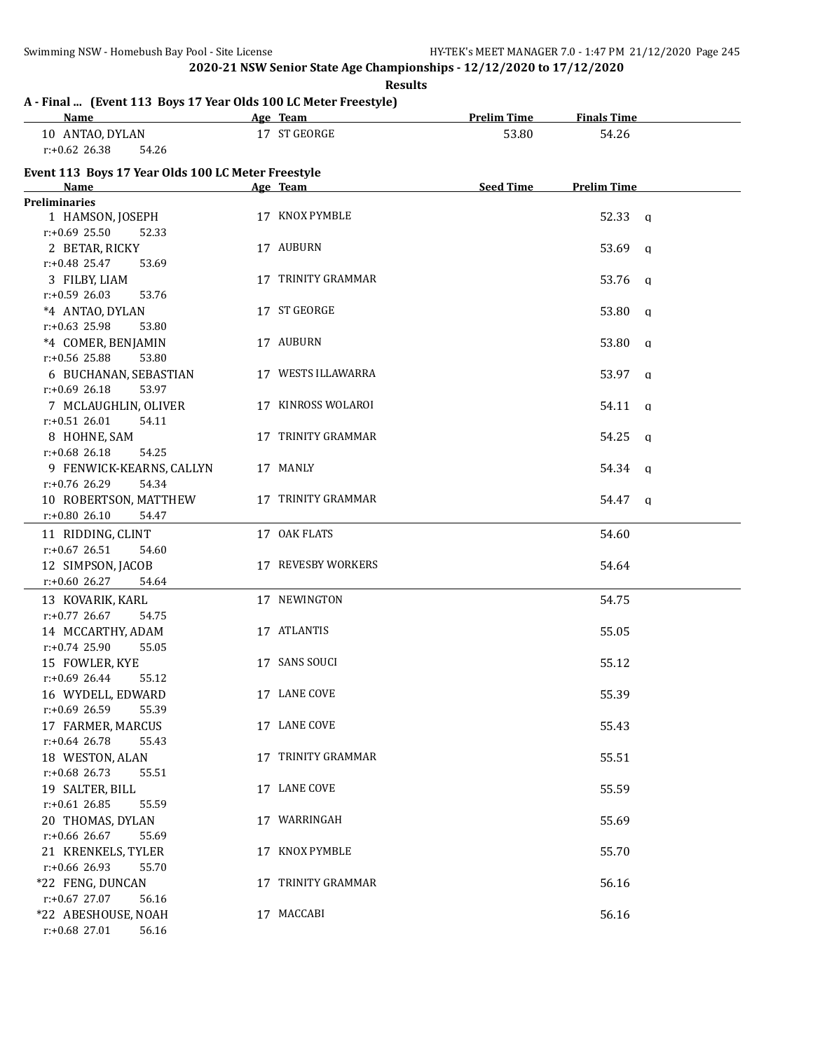**Results**

## **A - Final ... (Event 113 Boys 17 Year Olds 100 LC Meter Freestyle)**

| <b>Name</b>                                        | Age Team           | <b>Prelim Time</b> | <b>Finals Time</b>    |  |
|----------------------------------------------------|--------------------|--------------------|-----------------------|--|
| 10 ANTAO, DYLAN                                    | 17 ST GEORGE       | 53.80              | 54.26                 |  |
| $r: +0.62$ 26.38<br>54.26                          |                    |                    |                       |  |
| Event 113 Boys 17 Year Olds 100 LC Meter Freestyle |                    |                    |                       |  |
| Name                                               | Age Team           | <b>Seed Time</b>   | <b>Prelim Time</b>    |  |
| <b>Preliminaries</b>                               |                    |                    |                       |  |
| 1 HAMSON, JOSEPH                                   | 17 KNOX PYMBLE     |                    | 52.33 a               |  |
| $r: +0.69$ 25.50<br>52.33                          |                    |                    |                       |  |
| 2 BETAR, RICKY                                     | 17 AUBURN          |                    | 53.69 a               |  |
| $r: +0.48$ 25.47<br>53.69                          |                    |                    |                       |  |
| 3 FILBY, LIAM                                      | 17 TRINITY GRAMMAR |                    | 53.76 q               |  |
| $r: +0.59$ 26.03<br>53.76                          |                    |                    |                       |  |
| *4 ANTAO, DYLAN                                    | 17 ST GEORGE       |                    | $53.80 \quad a$       |  |
| $r: +0.63$ 25.98<br>53.80                          |                    |                    |                       |  |
| *4 COMER, BENJAMIN                                 | 17 AUBURN          |                    | $53.80$ q             |  |
| r:+0.56 25.88<br>53.80                             |                    |                    |                       |  |
| 6 BUCHANAN, SEBASTIAN                              | 17 WESTS ILLAWARRA |                    | $53.97$ q             |  |
| $r: +0.69$ 26.18<br>53.97                          |                    |                    |                       |  |
| 7 MCLAUGHLIN, OLIVER                               | 17 KINROSS WOLAROI |                    | 54.11<br><b>q</b>     |  |
| $r: +0.51$ 26.01<br>54.11                          |                    |                    |                       |  |
| 8 HOHNE, SAM                                       | 17 TRINITY GRAMMAR |                    | 54.25<br><b>q</b>     |  |
| $r: +0.68$ 26.18<br>54.25                          |                    |                    |                       |  |
| 9 FENWICK-KEARNS, CALLYN                           | 17 MANLY           |                    | 54.34 q               |  |
| r:+0.76 26.29<br>54.34                             |                    |                    |                       |  |
| 10 ROBERTSON, MATTHEW                              | 17 TRINITY GRAMMAR |                    | 54.47<br>$\mathbf{q}$ |  |
| r:+0.80 26.10<br>54.47                             |                    |                    |                       |  |
| 11 RIDDING, CLINT                                  | 17 OAK FLATS       |                    | 54.60                 |  |
| $r: +0.67$ 26.51<br>54.60                          |                    |                    |                       |  |
| 12 SIMPSON, JACOB                                  | 17 REVESBY WORKERS |                    | 54.64                 |  |
| $r: +0.60$ 26.27<br>54.64                          |                    |                    |                       |  |
| 13 KOVARIK, KARL                                   | 17 NEWINGTON       |                    | 54.75                 |  |
| $r: +0.77$ 26.67<br>54.75                          |                    |                    |                       |  |
| 14 MCCARTHY, ADAM                                  | 17 ATLANTIS        |                    | 55.05                 |  |
| $r: +0.74$ 25.90<br>55.05                          |                    |                    |                       |  |
| 15 FOWLER, KYE                                     | 17 SANS SOUCI      |                    | 55.12                 |  |
| $r: +0.69$ 26.44<br>55.12                          |                    |                    |                       |  |
| 16 WYDELL, EDWARD                                  | 17 LANE COVE       |                    | 55.39                 |  |
| $r: +0.69$ 26.59<br>55.39                          |                    |                    |                       |  |
| 17 FARMER, MARCUS                                  | 17 LANE COVE       |                    | 55.43                 |  |
| $r: +0.64$ 26.78<br>55.43                          |                    |                    |                       |  |
| 18 WESTON, ALAN                                    | 17 TRINITY GRAMMAR |                    | 55.51                 |  |
| $r: +0.68$ 26.73<br>55.51                          |                    |                    |                       |  |
| 19 SALTER, BILL                                    | 17 LANE COVE       |                    | 55.59                 |  |
| $r: +0.61$ 26.85<br>55.59                          |                    |                    |                       |  |
| 20 THOMAS, DYLAN                                   | 17 WARRINGAH       |                    | 55.69                 |  |
| r:+0.66 26.67<br>55.69                             |                    |                    |                       |  |
| 21 KRENKELS, TYLER                                 | 17 KNOX PYMBLE     |                    | 55.70                 |  |
| r:+0.66 26.93<br>55.70                             |                    |                    |                       |  |
| *22 FENG, DUNCAN                                   | 17 TRINITY GRAMMAR |                    | 56.16                 |  |
| $r: +0.67$ 27.07<br>56.16                          |                    |                    |                       |  |
| *22 ABESHOUSE, NOAH                                | 17 MACCABI         |                    | 56.16                 |  |
| r:+0.68 27.01<br>56.16                             |                    |                    |                       |  |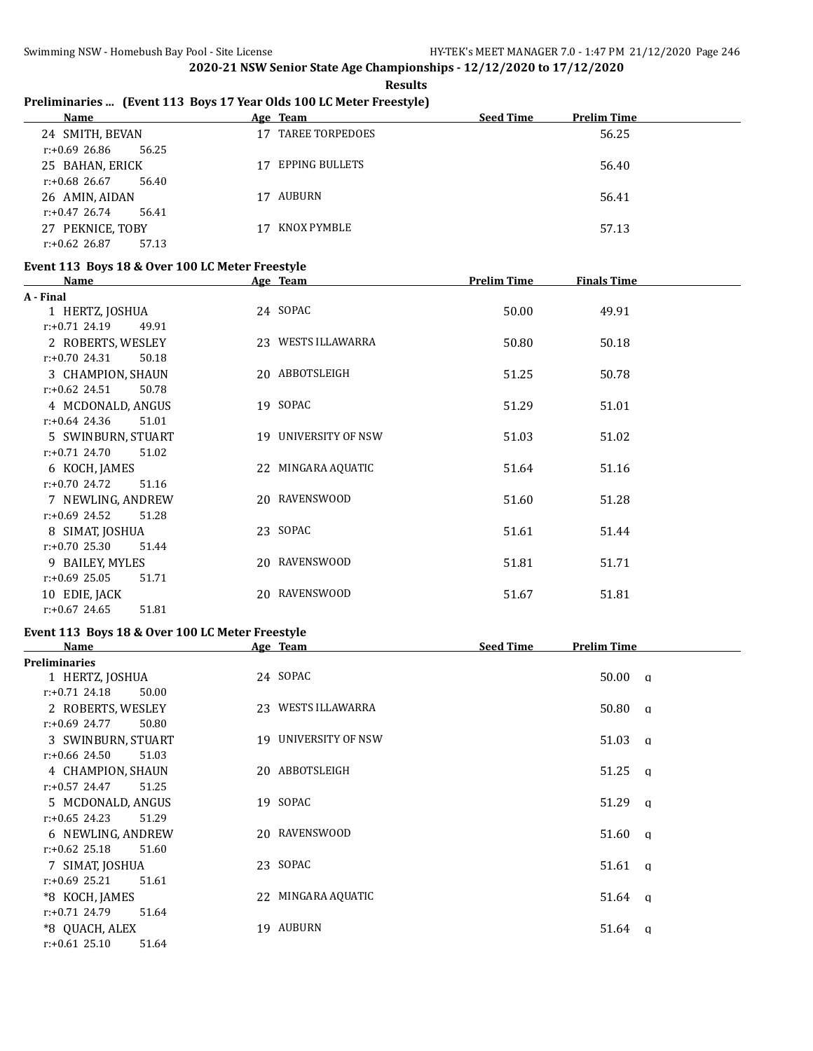**Results**

## **Preliminaries ... (Event 113 Boys 17 Year Olds 100 LC Meter Freestyle)**

| <b>Name</b>               | Age Team                     | <b>Seed Time</b><br><b>Prelim Time</b> |
|---------------------------|------------------------------|----------------------------------------|
| 24 SMITH, BEVAN           | <b>TAREE TORPEDOES</b><br>17 | 56.25                                  |
| $r: +0.69$ 26.86<br>56.25 |                              |                                        |
| 25 BAHAN, ERICK           | EPPING BULLETS<br>17         | 56.40                                  |
| $r: +0.68$ 26.67<br>56.40 |                              |                                        |
| 26 AMIN, AIDAN            | AUBURN<br>17                 | 56.41                                  |
| $r: +0.47$ 26.74<br>56.41 |                              |                                        |
| 27 PEKNICE, TOBY          | KNOX PYMBLE<br>17            | 57.13                                  |
| $r: +0.62$ 26.87<br>57.13 |                              |                                        |

#### **Event 113 Boys 18 & Over 100 LC Meter Freestyle**

| Name                      | Age Team                 | <b>Prelim Time</b> | <b>Finals Time</b> |  |
|---------------------------|--------------------------|--------------------|--------------------|--|
| A - Final                 |                          |                    |                    |  |
| 1 HERTZ, JOSHUA           | 24 SOPAC                 | 50.00              | 49.91              |  |
| $r: +0.71$ 24.19<br>49.91 |                          |                    |                    |  |
| 2 ROBERTS, WESLEY         | 23 WESTS ILLAWARRA       | 50.80              | 50.18              |  |
| $r: +0.70$ 24.31<br>50.18 |                          |                    |                    |  |
| 3 CHAMPION, SHAUN         | 20 ABBOTSLEIGH           | 51.25              | 50.78              |  |
| $r: +0.62$ 24.51<br>50.78 |                          |                    |                    |  |
| 4 MCDONALD, ANGUS         | 19 SOPAC                 | 51.29              | 51.01              |  |
| $r: +0.64$ 24.36<br>51.01 |                          |                    |                    |  |
| 5 SWINBURN, STUART        | 19 UNIVERSITY OF NSW     | 51.03              | 51.02              |  |
| $r: +0.71$ 24.70<br>51.02 |                          |                    |                    |  |
| 6 KOCH, JAMES             | 22 MINGARA AQUATIC       | 51.64              | 51.16              |  |
| $r: +0.70$ 24.72<br>51.16 |                          |                    |                    |  |
| 7 NEWLING, ANDREW         | 20 RAVENSWOOD            | 51.60              | 51.28              |  |
| $r: +0.69$ 24.52<br>51.28 |                          |                    |                    |  |
| 8 SIMAT, JOSHUA           | 23 SOPAC                 | 51.61              | 51.44              |  |
| $r: +0.70$ 25.30<br>51.44 |                          |                    |                    |  |
| 9 BAILEY, MYLES           | 20 RAVENSWOOD            | 51.81              | 51.71              |  |
| $r: +0.69$ 25.05<br>51.71 |                          |                    |                    |  |
| 10 EDIE, JACK             | <b>RAVENSWOOD</b><br>20. | 51.67              | 51.81              |  |
| $r: +0.67$ 24.65<br>51.81 |                          |                    |                    |  |

# **Event 113 Boys 18 & Over 100 LC Meter Freestyle**

| Name                      | Age Team             | <b>Seed Time</b><br><b>Prelim Time</b> |
|---------------------------|----------------------|----------------------------------------|
| <b>Preliminaries</b>      |                      |                                        |
| 1 HERTZ, JOSHUA           | 24 SOPAC             | $50.00 \text{ q}$                      |
| $r: +0.71$ 24.18<br>50.00 |                      |                                        |
| 2 ROBERTS, WESLEY         | 23 WESTS ILLAWARRA   | $50.80 \text{ q}$                      |
| $r: +0.69$ 24.77<br>50.80 |                      |                                        |
| 3 SWINBURN, STUART        | 19 UNIVERSITY OF NSW | $51.03 \text{ q}$                      |
| $r: +0.66$ 24.50<br>51.03 |                      |                                        |
| 4 CHAMPION, SHAUN         | 20 ABBOTSLEIGH       | $51.25 \text{ g}$                      |
| $r: +0.57$ 24.47<br>51.25 |                      |                                        |
| 5 MCDONALD, ANGUS         | 19 SOPAC             | $51.29$ q                              |
| $r: +0.65$ 24.23<br>51.29 |                      |                                        |
| 6 NEWLING, ANDREW         | 20 RAVENSWOOD        | $51.60 \text{ q}$                      |
| $r: +0.62$ 25.18<br>51.60 |                      |                                        |
| 7 SIMAT, JOSHUA           | 23 SOPAC             | $51.61 \quad a$                        |
| $r: +0.69$ 25.21<br>51.61 |                      |                                        |
| *8 KOCH, JAMES            | 22 MINGARA AQUATIC   | $51.64 \quad a$                        |
| $r: +0.71$ 24.79<br>51.64 |                      |                                        |
| *8 OUACH, ALEX            | 19 AUBURN            | $51.64 \quad a$                        |
| $r: +0.61$ 25.10<br>51.64 |                      |                                        |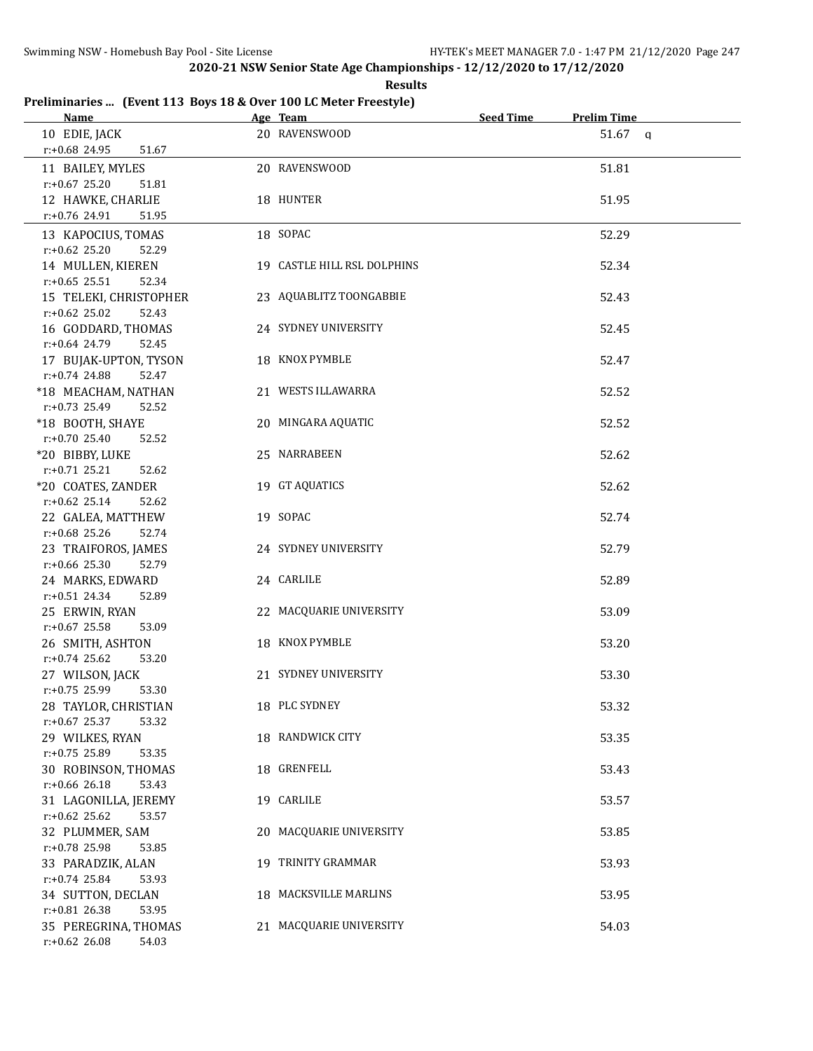**Results**

## **Preliminaries ... (Event 113 Boys 18 & Over 100 LC Meter Freestyle)**

| <u>Name</u>                                     | Age Team                    | <b>Seed Time</b> | <b>Prelim Time</b> |  |
|-------------------------------------------------|-----------------------------|------------------|--------------------|--|
| 10 EDIE, JACK                                   | 20 RAVENSWOOD               |                  | $51.67$ a          |  |
| r:+0.68 24.95<br>51.67                          |                             |                  |                    |  |
| 11 BAILEY, MYLES                                | 20 RAVENSWOOD               |                  | 51.81              |  |
| $r: +0.67$ 25.20<br>51.81                       |                             |                  |                    |  |
| 12 HAWKE, CHARLIE                               | 18 HUNTER                   |                  | 51.95              |  |
| $r.+0.76$ 24.91<br>51.95                        |                             |                  |                    |  |
| 13 KAPOCIUS, TOMAS                              | 18 SOPAC                    |                  | 52.29              |  |
| $r: +0.62$ 25.20<br>52.29                       |                             |                  |                    |  |
| 14 MULLEN, KIEREN                               | 19 CASTLE HILL RSL DOLPHINS |                  | 52.34              |  |
| $r: +0.65$ 25.51<br>52.34                       |                             |                  |                    |  |
| 15 TELEKI, CHRISTOPHER                          | 23 AQUABLITZ TOONGABBIE     |                  | 52.43              |  |
| $r: +0.62$ 25.02<br>52.43                       |                             |                  |                    |  |
| 16 GODDARD, THOMAS<br>$r: +0.64$ 24.79<br>52.45 | 24 SYDNEY UNIVERSITY        |                  | 52.45              |  |
| 17 BUJAK-UPTON, TYSON                           | 18 KNOX PYMBLE              |                  | 52.47              |  |
| $r: +0.74$ 24.88<br>52.47                       |                             |                  |                    |  |
| *18 MEACHAM, NATHAN                             | 21 WESTS ILLAWARRA          |                  | 52.52              |  |
| $r: +0.73$ 25.49<br>52.52                       |                             |                  |                    |  |
| *18 BOOTH, SHAYE                                | 20 MINGARA AQUATIC          |                  | 52.52              |  |
| $r: +0.70$ 25.40<br>52.52                       |                             |                  |                    |  |
| *20 BIBBY, LUKE                                 | 25 NARRABEEN                |                  | 52.62              |  |
| $r: +0.71$ 25.21<br>52.62                       |                             |                  |                    |  |
| *20 COATES, ZANDER                              | 19 GT AQUATICS              |                  | 52.62              |  |
| $r: +0.62$ 25.14<br>52.62                       |                             |                  |                    |  |
| 22 GALEA, MATTHEW                               | 19 SOPAC                    |                  | 52.74              |  |
| $r: +0.68$ 25.26<br>52.74                       |                             |                  |                    |  |
| 23 TRAIFOROS, JAMES                             | 24 SYDNEY UNIVERSITY        |                  | 52.79              |  |
| $r: +0.66$ 25.30<br>52.79                       |                             |                  |                    |  |
| 24 MARKS, EDWARD<br>$r: +0.51$ 24.34<br>52.89   | 24 CARLILE                  |                  | 52.89              |  |
| 25 ERWIN, RYAN                                  | 22 MACQUARIE UNIVERSITY     |                  | 53.09              |  |
| r:+0.67 25.58<br>53.09                          |                             |                  |                    |  |
| 26 SMITH, ASHTON                                | 18 KNOX PYMBLE              |                  | 53.20              |  |
| $r: +0.74$ 25.62<br>53.20                       |                             |                  |                    |  |
| 27 WILSON, JACK                                 | 21 SYDNEY UNIVERSITY        |                  | 53.30              |  |
| $r: +0.75$ 25.99<br>53.30                       |                             |                  |                    |  |
| 28 TAYLOR, CHRISTIAN                            | 18 PLC SYDNEY               |                  | 53.32              |  |
| $r: +0.67$ 25.37<br>53.32                       |                             |                  |                    |  |
| 29 WILKES, RYAN                                 | 18 RANDWICK CITY            |                  | 53.35              |  |
| r:+0.75 25.89<br>53.35                          |                             |                  |                    |  |
| 30 ROBINSON, THOMAS                             | 18 GRENFELL                 |                  | 53.43              |  |
| r:+0.66 26.18<br>53.43<br>31 LAGONILLA, JEREMY  | 19 CARLILE                  |                  |                    |  |
| $r: +0.62$ 25.62<br>53.57                       |                             |                  | 53.57              |  |
| 32 PLUMMER, SAM                                 | 20 MACQUARIE UNIVERSITY     |                  | 53.85              |  |
| r:+0.78 25.98<br>53.85                          |                             |                  |                    |  |
| 33 PARADZIK, ALAN                               | 19 TRINITY GRAMMAR          |                  | 53.93              |  |
| $r.+0.74$ 25.84<br>53.93                        |                             |                  |                    |  |
| 34 SUTTON, DECLAN                               | 18 MACKSVILLE MARLINS       |                  | 53.95              |  |
| $r.+0.81$ 26.38<br>53.95                        |                             |                  |                    |  |
| 35 PEREGRINA, THOMAS                            | 21 MACQUARIE UNIVERSITY     |                  | 54.03              |  |
| $r.+0.62$ 26.08<br>54.03                        |                             |                  |                    |  |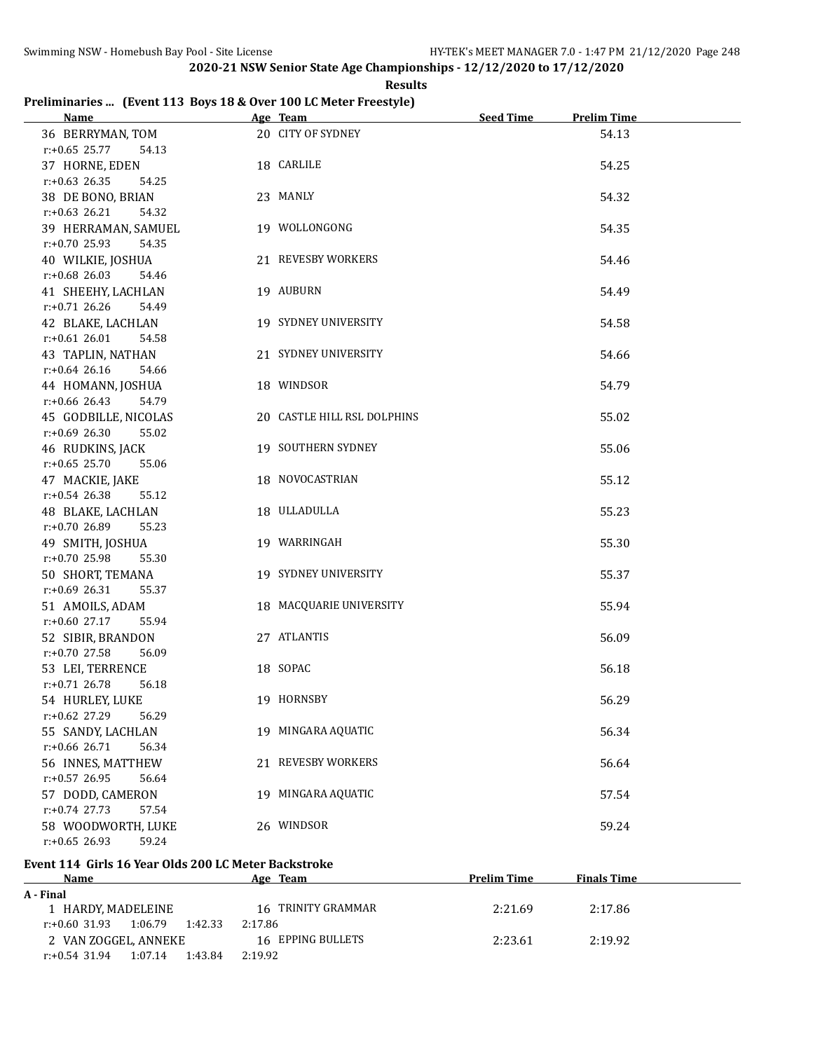**Results**

#### **Preliminaries ... (Event 113 Boys 18 & Over 100 LC Meter Freestyle)**

| <b>Name</b>                                 | Age Team                    | <b>Seed Time</b> | <b>Prelim Time</b> |  |
|---------------------------------------------|-----------------------------|------------------|--------------------|--|
| 36 BERRYMAN, TOM                            | 20 CITY OF SYDNEY           |                  | 54.13              |  |
| $r: +0.65$ 25.77<br>54.13                   |                             |                  |                    |  |
| 37 HORNE, EDEN                              | 18 CARLILE                  |                  | 54.25              |  |
| $r: +0.63$ 26.35<br>54.25                   |                             |                  |                    |  |
| 38 DE BONO, BRIAN                           | 23 MANLY                    |                  | 54.32              |  |
| r:+0.63 26.21<br>54.32                      |                             |                  |                    |  |
| 39 HERRAMAN, SAMUEL                         | 19 WOLLONGONG               |                  | 54.35              |  |
| $r: +0.70$ 25.93<br>54.35                   |                             |                  |                    |  |
| 40 WILKIE, JOSHUA                           | 21 REVESBY WORKERS          |                  | 54.46              |  |
| $r: +0.68$ 26.03<br>54.46                   |                             |                  |                    |  |
| 41 SHEEHY, LACHLAN                          | 19 AUBURN                   |                  | 54.49              |  |
| $r: +0.71$ 26.26<br>54.49                   |                             |                  |                    |  |
| 42 BLAKE, LACHLAN                           | 19 SYDNEY UNIVERSITY        |                  | 54.58              |  |
| $r: +0.61$ 26.01<br>54.58                   |                             |                  |                    |  |
| 43 TAPLIN, NATHAN                           | 21 SYDNEY UNIVERSITY        |                  | 54.66              |  |
| $r: +0.64$ 26.16<br>54.66                   |                             |                  |                    |  |
| 44 HOMANN, JOSHUA                           | 18 WINDSOR                  |                  | 54.79              |  |
| $r: +0.66$ 26.43<br>54.79                   |                             |                  |                    |  |
| 45 GODBILLE, NICOLAS                        | 20 CASTLE HILL RSL DOLPHINS |                  | 55.02              |  |
| $r: +0.69$ 26.30<br>55.02                   |                             |                  |                    |  |
| 46 RUDKINS, JACK                            | 19 SOUTHERN SYDNEY          |                  | 55.06              |  |
| $r: +0.65$ 25.70<br>55.06                   |                             |                  |                    |  |
| 47 MACKIE, JAKE                             | 18 NOVOCASTRIAN             |                  | 55.12              |  |
| $r: +0.54$ 26.38<br>55.12                   |                             |                  |                    |  |
| 48 BLAKE, LACHLAN                           | 18 ULLADULLA                |                  | 55.23              |  |
| r:+0.70 26.89<br>55.23                      |                             |                  |                    |  |
| 49 SMITH, JOSHUA                            | 19 WARRINGAH                |                  | 55.30              |  |
| r:+0.70 25.98<br>55.30                      |                             |                  |                    |  |
| 50 SHORT, TEMANA                            | 19 SYDNEY UNIVERSITY        |                  | 55.37              |  |
| $r: +0.69$ 26.31<br>55.37                   |                             |                  |                    |  |
| 51 AMOILS, ADAM                             | 18 MACQUARIE UNIVERSITY     |                  | 55.94              |  |
| $r: +0.60$ 27.17<br>55.94                   |                             |                  |                    |  |
| 52 SIBIR, BRANDON                           | 27 ATLANTIS                 |                  | 56.09              |  |
| r:+0.70 27.58<br>56.09                      |                             |                  |                    |  |
| 53 LEI, TERRENCE                            | 18 SOPAC                    |                  | 56.18              |  |
| $r.+0.71$ 26.78<br>56.18                    |                             |                  |                    |  |
| 54 HURLEY, LUKE                             | 19 HORNSBY                  |                  | 56.29              |  |
| r:+0.62 27.29<br>56.29                      |                             |                  |                    |  |
| 55 SANDY, LACHLAN<br>r:+0.66 26.71<br>56.34 | 19 MINGARA AQUATIC          |                  | 56.34              |  |
| 56 INNES, MATTHEW                           | 21 REVESBY WORKERS          |                  | 56.64              |  |
| r:+0.57 26.95<br>56.64                      |                             |                  |                    |  |
| 57 DODD, CAMERON                            | 19 MINGARA AQUATIC          |                  | 57.54              |  |
| $r: +0.74$ 27.73<br>57.54                   |                             |                  |                    |  |
| 58 WOODWORTH, LUKE                          | 26 WINDSOR                  |                  | 59.24              |  |
| $r: +0.65$ 26.93<br>59.24                   |                             |                  |                    |  |
|                                             |                             |                  |                    |  |

# **Event 114 Girls 16 Year Olds 200 LC Meter Backstroke**

| Name                 |                    | Age Team           | <b>Prelim Time</b> | <b>Finals Time</b> |  |
|----------------------|--------------------|--------------------|--------------------|--------------------|--|
| A - Final            |                    |                    |                    |                    |  |
| 1 HARDY. MADELEINE   |                    | 16 TRINITY GRAMMAR | 2:21.69            | 2:17.86            |  |
| r:+0.60 31.93        | 1:06.79<br>1:42.33 | 2:17.86            |                    |                    |  |
| 2 VAN ZOGGEL, ANNEKE |                    | 16 EPPING BULLETS  | 2:23.61            | 2:19.92            |  |
| r:+0.54 31.94        | 1:07.14<br>1:43.84 | 2:19.92            |                    |                    |  |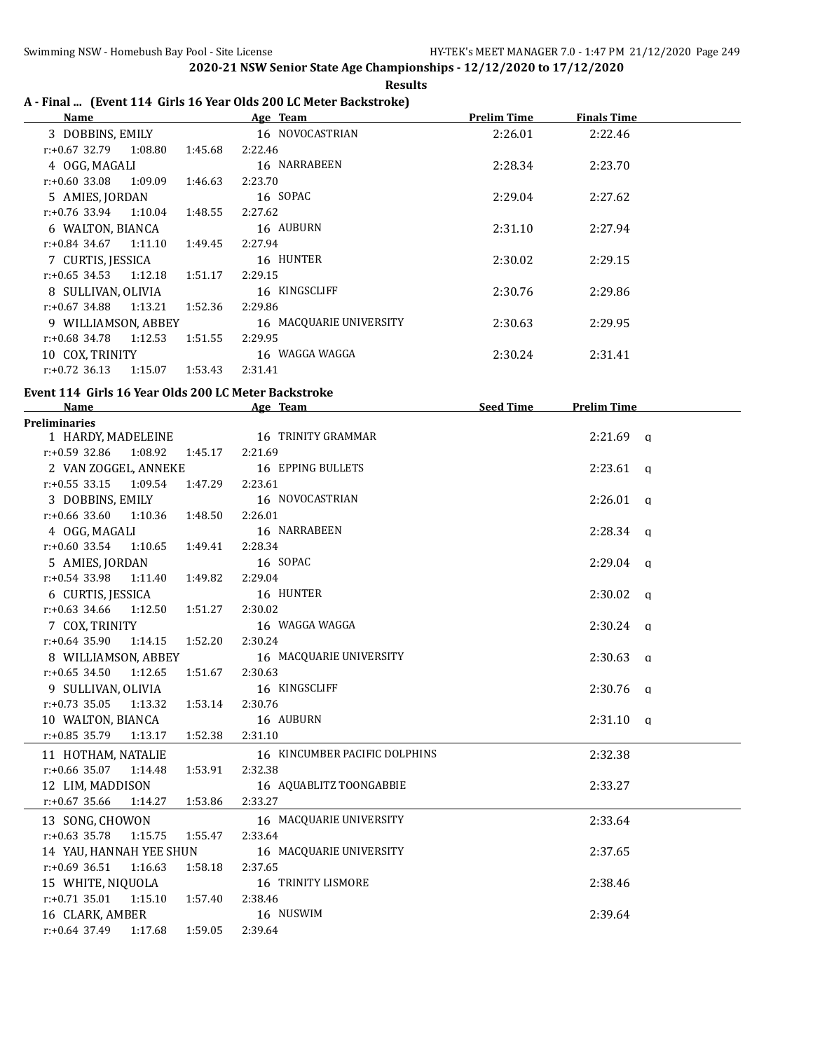|  |                                                                   |  | <b>Results</b> |
|--|-------------------------------------------------------------------|--|----------------|
|  | A - Final  (Event 114 Girls 16 Year Olds 200 LC Meter Backstroke) |  |                |

| Age Team                | <b>Prelim Time</b>                                                                   | <b>Finals Time</b> |  |
|-------------------------|--------------------------------------------------------------------------------------|--------------------|--|
| 16 NOVOCASTRIAN         | 2:26.01                                                                              | 2:22.46            |  |
| 2:22.46                 |                                                                                      |                    |  |
| 16 NARRABEEN            | 2:28.34                                                                              | 2:23.70            |  |
| 2:23.70                 |                                                                                      |                    |  |
| 16 SOPAC                | 2:29.04                                                                              | 2:27.62            |  |
| 2:27.62                 |                                                                                      |                    |  |
| 16 AUBURN               | 2:31.10                                                                              | 2:27.94            |  |
| 2:27.94                 |                                                                                      |                    |  |
| 16 HUNTER               | 2:30.02                                                                              | 2:29.15            |  |
| 2:29.15                 |                                                                                      |                    |  |
| 16 KINGSCLIFF           | 2:30.76                                                                              | 2:29.86            |  |
| 2:29.86                 |                                                                                      |                    |  |
| 16 MACQUARIE UNIVERSITY | 2:30.63                                                                              | 2:29.95            |  |
| 2:29.95                 |                                                                                      |                    |  |
| 16 WAGGA WAGGA          | 2:30.24                                                                              | 2:31.41            |  |
| 2:31.41                 |                                                                                      |                    |  |
|                         | 1:45.68<br>1:46.63<br>1:48.55<br>1:49.45<br>1:51.17<br>1:52.36<br>1:51.55<br>1:53.43 |                    |  |

#### **Event 114 Girls 16 Year Olds 200 LC Meter Backstroke**

| <b>Name</b>                              | Age Team and the state of the state of the state of the state of the state of the state of the state of the state of the state of the state of the state of the state of the state of the state of the state of the state of t | Seed Time | <b>Prelim Time</b> |  |
|------------------------------------------|--------------------------------------------------------------------------------------------------------------------------------------------------------------------------------------------------------------------------------|-----------|--------------------|--|
| Preliminaries                            |                                                                                                                                                                                                                                |           |                    |  |
|                                          | 1 HARDY, MADELEINE 16 TRINITY GRAMMAR                                                                                                                                                                                          |           | $2:21.69$ a        |  |
| r:+0.59 32.86                            | 1:08.92  1:45.17  2:21.69                                                                                                                                                                                                      |           |                    |  |
| 2 VAN ZOGGEL, ANNEKE                     | 16 EPPING BULLETS                                                                                                                                                                                                              |           | $2:23.61$ q        |  |
| r:+0.55 33.15 1:09.54 1:47.29 2:23.61    |                                                                                                                                                                                                                                |           |                    |  |
| 3 DOBBINS, EMILY                         | 16 NOVOCASTRIAN                                                                                                                                                                                                                |           | $2:26.01$ q        |  |
| r:+0.66 33.60 1:10.36 1:48.50 2:26.01    |                                                                                                                                                                                                                                |           |                    |  |
| 4 OGG, MAGALI                            | 16 NARRABEEN                                                                                                                                                                                                                   |           | $2:28.34$ q        |  |
| $r: +0.60$ 33.54<br>1:10.65              | 1:49.41<br>2:28.34                                                                                                                                                                                                             |           |                    |  |
| 5 AMIES, JORDAN                          | 16 SOPAC                                                                                                                                                                                                                       |           | $2:29.04$ q        |  |
| $r: +0.54$ 33.98<br>1:11.40  1:49.82     | 2:29.04                                                                                                                                                                                                                        |           |                    |  |
| 6 CURTIS, JESSICA                        | 16 HUNTER                                                                                                                                                                                                                      |           | $2:30.02$ q        |  |
| $r: +0.63$ 34.66 1:12.50                 | 1:51.27<br>2:30.02                                                                                                                                                                                                             |           |                    |  |
| 7 COX, TRINITY                           | 16 WAGGA WAGGA                                                                                                                                                                                                                 |           | $2:30.24$ q        |  |
| $r: +0.64$ 35.90 1:14.15                 | 1:52.20<br>2:30.24                                                                                                                                                                                                             |           |                    |  |
|                                          | 8 WILLIAMSON, ABBEY 16 MACQUARIE UNIVERSITY                                                                                                                                                                                    |           | $2:30.63$ q        |  |
| $r: +0.65$ 34.50 1:12.65 1:51.67 2:30.63 |                                                                                                                                                                                                                                |           |                    |  |
| 9 SULLIVAN, OLIVIA                       | 16 KINGSCLIFF                                                                                                                                                                                                                  |           | $2:30.76$ q        |  |
| $r: +0.73$ 35.05<br>1:13.32              | 1:53.14<br>2:30.76                                                                                                                                                                                                             |           |                    |  |
| 10 WALTON, BIANCA                        | 16 AUBURN                                                                                                                                                                                                                      |           | $2:31.10$ a        |  |
| r:+0.85 35.79  1:13.17  1:52.38  2:31.10 |                                                                                                                                                                                                                                |           |                    |  |
| 11 HOTHAM, NATALIE                       | 16 KINCUMBER PACIFIC DOLPHINS                                                                                                                                                                                                  |           | 2:32.38            |  |
| $r.+0.66$ 35.07 1:14.48 1:53.91          | 2:32.38                                                                                                                                                                                                                        |           |                    |  |
| 12 LIM, MADDISON                         | 16 AQUABLITZ TOONGABBIE                                                                                                                                                                                                        |           | 2:33.27            |  |
| $r: +0.67$ 35.66<br>1:14.27              | 1:53.86<br>2:33.27                                                                                                                                                                                                             |           |                    |  |
| 13 SONG, CHOWON                          | 16 MACQUARIE UNIVERSITY                                                                                                                                                                                                        |           | 2:33.64            |  |
| $r.+0.63$ 35.78 1:15.75 1:55.47          | 2:33.64                                                                                                                                                                                                                        |           |                    |  |
| 14 YAU, HANNAH YEE SHUN                  | 16 MACQUARIE UNIVERSITY                                                                                                                                                                                                        |           | 2:37.65            |  |
| $r: +0.69$ 36.51<br>1:16.63              | 1:58.18<br>2:37.65                                                                                                                                                                                                             |           |                    |  |
| 15 WHITE, NIQUOLA                        | 16 TRINITY LISMORE                                                                                                                                                                                                             |           | 2:38.46            |  |
| $r.+0.71$ 35.01 1:15.10 1:57.40          | 2:38.46                                                                                                                                                                                                                        |           |                    |  |
| 16 CLARK, AMBER                          | 16 NUSWIM                                                                                                                                                                                                                      |           | 2:39.64            |  |
| $r: +0.64$ 37.49<br>1:17.68              | 1:59.05<br>2:39.64                                                                                                                                                                                                             |           |                    |  |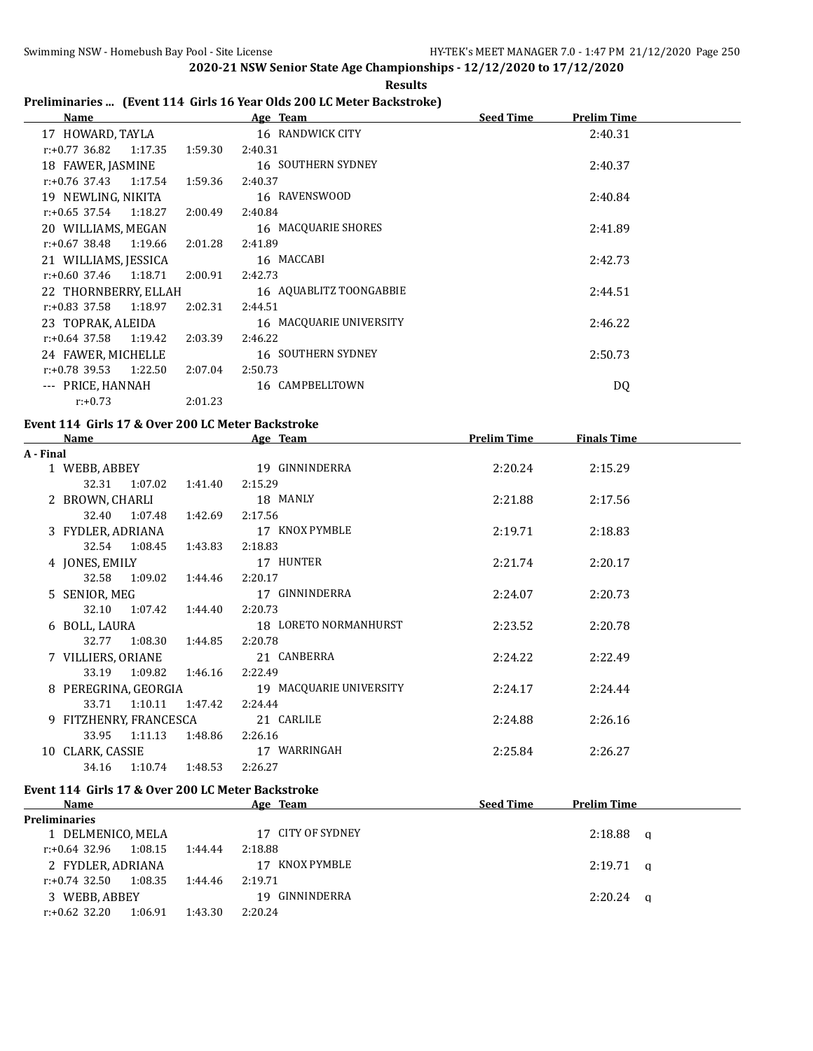## **Preliminaries ... (Event 114 Girls 16 Year Olds 200 LC Meter Backstroke)**

| Name                     |         |         | Age Team                | <b>Seed Time</b> | <b>Prelim Time</b> |  |
|--------------------------|---------|---------|-------------------------|------------------|--------------------|--|
| 17 HOWARD, TAYLA         |         |         | 16 RANDWICK CITY        |                  | 2:40.31            |  |
| $r: +0.77$ 36.82 1:17.35 |         | 1:59.30 | 2:40.31                 |                  |                    |  |
| 18 FAWER, JASMINE        |         |         | 16 SOUTHERN SYDNEY      |                  | 2:40.37            |  |
| $r: +0.76$ 37.43 1:17.54 |         | 1:59.36 | 2:40.37                 |                  |                    |  |
| 19 NEWLING, NIKITA       |         |         | 16 RAVENSWOOD           |                  | 2:40.84            |  |
| $r: +0.65$ 37.54 1:18.27 |         | 2:00.49 | 2:40.84                 |                  |                    |  |
| 20 WILLIAMS, MEGAN       |         |         | 16 MACQUARIE SHORES     |                  | 2:41.89            |  |
| $r: +0.67$ 38.48 1:19.66 |         | 2:01.28 | 2:41.89                 |                  |                    |  |
| 21 WILLIAMS, JESSICA     |         |         | 16 MACCABI              |                  | 2:42.73            |  |
| $r: +0.60$ 37.46 1:18.71 |         | 2:00.91 | 2:42.73                 |                  |                    |  |
| 22 THORNBERRY, ELLAH     |         |         | 16 AQUABLITZ TOONGABBIE |                  | 2:44.51            |  |
| $r: +0.83$ 37.58 1:18.97 |         | 2:02.31 | 2:44.51                 |                  |                    |  |
| 23 TOPRAK, ALEIDA        |         |         | 16 MACQUARIE UNIVERSITY |                  | 2:46.22            |  |
| $r: +0.64$ 37.58 1:19.42 |         | 2:03.39 | 2:46.22                 |                  |                    |  |
| 24 FAWER, MICHELLE       |         |         | 16 SOUTHERN SYDNEY      |                  | 2:50.73            |  |
| r:+0.78 39.53            | 1:22.50 | 2:07.04 | 2:50.73                 |                  |                    |  |
| --- PRICE, HANNAH        |         |         | 16 CAMPBELLTOWN         |                  | DQ                 |  |
| $r: +0.73$               |         | 2:01.23 |                         |                  |                    |  |

#### **Event 114 Girls 17 & Over 200 LC Meter Backstroke**

|           | <b>Name</b>            |               |         | Age Team                | <b>Prelim Time</b> | <b>Finals Time</b> |  |
|-----------|------------------------|---------------|---------|-------------------------|--------------------|--------------------|--|
| A - Final |                        |               |         |                         |                    |                    |  |
|           | 1 WEBB, ABBEY          |               |         | 19 GINNINDERRA          | 2:20.24            | 2:15.29            |  |
|           | 32.31                  | 1:07.02       | 1:41.40 | 2:15.29                 |                    |                    |  |
|           | 2 BROWN, CHARLI        |               |         | 18 MANLY                | 2:21.88            | 2:17.56            |  |
|           |                        | 32.40 1:07.48 | 1:42.69 | 2:17.56                 |                    |                    |  |
|           | 3 FYDLER, ADRIANA      |               |         | 17 KNOX PYMBLE          | 2:19.71            | 2:18.83            |  |
|           |                        | 32.54 1:08.45 | 1:43.83 | 2:18.83                 |                    |                    |  |
|           | 4 JONES, EMILY         |               |         | 17 HUNTER               | 2:21.74            | 2:20.17            |  |
|           |                        | 32.58 1:09.02 | 1:44.46 | 2:20.17                 |                    |                    |  |
|           | 5 SENIOR, MEG          |               |         | 17 GINNINDERRA          | 2:24.07            | 2:20.73            |  |
|           |                        | 32.10 1:07.42 | 1:44.40 | 2:20.73                 |                    |                    |  |
|           | 6 BOLL, LAURA          |               |         | 18 LORETO NORMANHURST   | 2:23.52            | 2:20.78            |  |
|           |                        | 32.77 1:08.30 | 1:44.85 | 2:20.78                 |                    |                    |  |
|           | 7 VILLIERS, ORIANE     |               |         | 21 CANBERRA             | 2:24.22            | 2:22.49            |  |
|           | 33.19                  | 1:09.82       | 1:46.16 | 2:22.49                 |                    |                    |  |
|           | 8 PEREGRINA, GEORGIA   |               |         | 19 MACQUARIE UNIVERSITY | 2:24.17            | 2:24.44            |  |
|           | 33.71                  | 1:10.11       | 1:47.42 | 2:24.44                 |                    |                    |  |
|           | 9 FITZHENRY, FRANCESCA |               |         | 21 CARLILE              | 2:24.88            | 2:26.16            |  |
|           | 33.95                  | 1:11.13       | 1:48.86 | 2:26.16                 |                    |                    |  |
|           | 10 CLARK, CASSIE       |               |         | 17 WARRINGAH            | 2:25.84            | 2:26.27            |  |
|           | 34.16                  | 1:10.74       | 1:48.53 | 2:26.27                 |                    |                    |  |

## **Event 114 Girls 17 & Over 200 LC Meter Backstroke**

| Name                 |         |         | Age Team          | <b>Seed Time</b> | <b>Prelim Time</b> |   |
|----------------------|---------|---------|-------------------|------------------|--------------------|---|
| <b>Preliminaries</b> |         |         |                   |                  |                    |   |
| 1 DELMENICO, MELA    |         |         | 17 CITY OF SYDNEY |                  | 2:18.88            | a |
| r:+0.64 32.96        | 1:08.15 | 1:44.44 | 2:18.88           |                  |                    |   |
| 2 FYDLER, ADRIANA    |         |         | KNOX PYMBLE<br>17 |                  | $2:19.71$ a        |   |
| $r: +0.74$ 32.50     | 1:08.35 | 1:44.46 | 2:19.71           |                  |                    |   |
| 3 WEBB, ABBEY        |         |         | 19 GINNINDERRA    |                  | 2:20.24            | a |
| $r: +0.62$ 32.20     | 1:06.91 | 1:43.30 | 2:20.24           |                  |                    |   |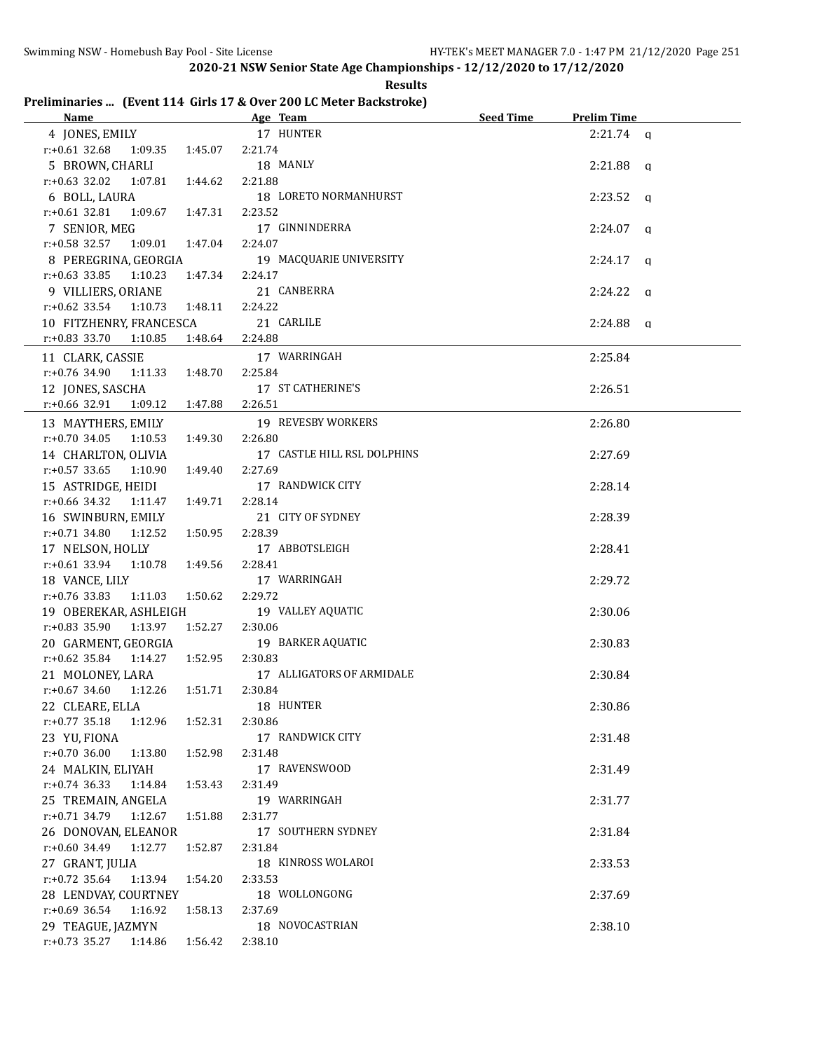**2020-21 NSW Senior State Age Championships - 12/12/2020 to 17/12/2020**

| <b>Results</b>                                                     |
|--------------------------------------------------------------------|
| Preliminaries  (Event 114 Girls 17 & Over 200 LC Meter Backstroke) |

| Name and the state of the state of the state of the state of the state of the state of the state of the state of the state of the state of the state of the state of the state of the state of the state of the state of the s | Age Team and the state of the state of the state of the state of the state of the state of the state of the state of the state of the state of the state of the state of the state of the state of the state of the state of t | Seed Time | <b>Prelim Time</b> |
|--------------------------------------------------------------------------------------------------------------------------------------------------------------------------------------------------------------------------------|--------------------------------------------------------------------------------------------------------------------------------------------------------------------------------------------------------------------------------|-----------|--------------------|
| 4 JONES, EMILY 17 HUNTER                                                                                                                                                                                                       |                                                                                                                                                                                                                                |           | $2:21.74$ a        |
| $r: +0.61$ 32.68<br>1:09.35 1:45.07                                                                                                                                                                                            | 2:21.74                                                                                                                                                                                                                        |           |                    |
| 5 BROWN, CHARLI                                                                                                                                                                                                                | 18 MANLY                                                                                                                                                                                                                       |           | $2:21.88$ a        |
| $r.+0.63$ 32.02 1:07.81<br>1:44.62                                                                                                                                                                                             | 2:21.88                                                                                                                                                                                                                        |           |                    |
| 6 BOLL, LAURA                                                                                                                                                                                                                  | 18 LORETO NORMANHURST                                                                                                                                                                                                          |           | $2:23.52$ a        |
| $r: +0.61$ 32.81<br>1:09.67 1:47.31                                                                                                                                                                                            | 2:23.52                                                                                                                                                                                                                        |           |                    |
| 7 SENIOR, MEG                                                                                                                                                                                                                  | 17 GINNINDERRA                                                                                                                                                                                                                 |           | $2:24.07$ q        |
| r:+0.58 32.57 1:09.01 1:47.04                                                                                                                                                                                                  | 2:24.07                                                                                                                                                                                                                        |           |                    |
| 8 PEREGRINA, GEORGIA                                                                                                                                                                                                           | 19 MACQUARIE UNIVERSITY                                                                                                                                                                                                        |           | $2:24.17$ q        |
| $r: +0.63$ 33.85 1:10.23<br>1:47.34                                                                                                                                                                                            | 2:24.17                                                                                                                                                                                                                        |           |                    |
| 9 VILLIERS, ORIANE                                                                                                                                                                                                             | 21 CANBERRA                                                                                                                                                                                                                    |           | $2:24.22$ q        |
| $r.+0.62$ 33.54 1:10.73 1:48.11                                                                                                                                                                                                | 2:24.22                                                                                                                                                                                                                        |           |                    |
| 10 FITZHENRY, FRANCESCA                                                                                                                                                                                                        | 21 CARLILE                                                                                                                                                                                                                     |           | $2:24.88$ a        |
| $r: +0.83$ 33.70<br>1:10.85<br>1:48.64                                                                                                                                                                                         | 2:24.88                                                                                                                                                                                                                        |           |                    |
|                                                                                                                                                                                                                                |                                                                                                                                                                                                                                |           |                    |
| 11 CLARK, CASSIE                                                                                                                                                                                                               | 17 WARRINGAH                                                                                                                                                                                                                   |           | 2:25.84            |
| r:+0.76 34.90<br>1:11.33<br>1:48.70                                                                                                                                                                                            | 2:25.84                                                                                                                                                                                                                        |           |                    |
| 12 JONES, SASCHA                                                                                                                                                                                                               | 17 ST CATHERINE'S                                                                                                                                                                                                              |           | 2:26.51            |
| r:+0.66 32.91<br>1:09.12<br>1:47.88                                                                                                                                                                                            | 2:26.51                                                                                                                                                                                                                        |           |                    |
| 13 MAYTHERS, EMILY                                                                                                                                                                                                             | 19 REVESBY WORKERS                                                                                                                                                                                                             |           | 2:26.80            |
| $r.+0.70$ 34.05 1:10.53<br>1:49.30                                                                                                                                                                                             | 2:26.80                                                                                                                                                                                                                        |           |                    |
| 14 CHARLTON, OLIVIA                                                                                                                                                                                                            | 17 CASTLE HILL RSL DOLPHINS                                                                                                                                                                                                    |           | 2:27.69            |
| $r: +0.57$ 33.65 1:10.90<br>1:49.40                                                                                                                                                                                            | 2:27.69                                                                                                                                                                                                                        |           |                    |
| 15 ASTRIDGE, HEIDI                                                                                                                                                                                                             | 17 RANDWICK CITY                                                                                                                                                                                                               |           | 2:28.14            |
| r:+0.66 34.32 1:11.47 1:49.71                                                                                                                                                                                                  | 2:28.14                                                                                                                                                                                                                        |           |                    |
| 16 SWINBURN, EMILY                                                                                                                                                                                                             | 21 CITY OF SYDNEY                                                                                                                                                                                                              |           | 2:28.39            |
| $r.+0.71$ 34.80 1:12.52<br>1:50.95                                                                                                                                                                                             | 2:28.39                                                                                                                                                                                                                        |           |                    |
| 17 NELSON, HOLLY                                                                                                                                                                                                               | 17 ABBOTSLEIGH                                                                                                                                                                                                                 |           | 2:28.41            |
| r:+0.61 33.94 1:10.78 1:49.56                                                                                                                                                                                                  | 2:28.41                                                                                                                                                                                                                        |           |                    |
| 18 VANCE, LILY                                                                                                                                                                                                                 | 17 WARRINGAH                                                                                                                                                                                                                   |           | 2:29.72            |
| r:+0.76 33.83 1:11.03<br>1:50.62                                                                                                                                                                                               | 2:29.72                                                                                                                                                                                                                        |           |                    |
| 19 OBEREKAR, ASHLEIGH                                                                                                                                                                                                          | 19 VALLEY AQUATIC                                                                                                                                                                                                              |           | 2:30.06            |
| $r.+0.83$ 35.90 1:13.97<br>1:52.27                                                                                                                                                                                             | 2:30.06                                                                                                                                                                                                                        |           |                    |
| 20 GARMENT, GEORGIA                                                                                                                                                                                                            | 19 BARKER AQUATIC                                                                                                                                                                                                              |           | 2:30.83            |
| $r: +0.62$ 35.84<br>1:14.27<br>1:52.95                                                                                                                                                                                         | 2:30.83                                                                                                                                                                                                                        |           |                    |
| 21 MOLONEY, LARA                                                                                                                                                                                                               | 17 ALLIGATORS OF ARMIDALE                                                                                                                                                                                                      |           | 2:30.84            |
| r:+0.67 34.60 1:12.26 1:51.71                                                                                                                                                                                                  | 2:30.84                                                                                                                                                                                                                        |           |                    |
| 22 CLEARE, ELLA                                                                                                                                                                                                                | 18 HUNTER                                                                                                                                                                                                                      |           | 2:30.86            |
| $r: +0.77$ 35.18<br>1:12.96<br>1:52.31                                                                                                                                                                                         | 2:30.86                                                                                                                                                                                                                        |           |                    |
| 23 YU, FIONA                                                                                                                                                                                                                   | 17 RANDWICK CITY                                                                                                                                                                                                               |           | 2:31.48            |
| $r: +0.70$ 36.00<br>1:13.80<br>1:52.98                                                                                                                                                                                         | 2:31.48                                                                                                                                                                                                                        |           |                    |
| 24 MALKIN, ELIYAH                                                                                                                                                                                                              | 17 RAVENSWOOD                                                                                                                                                                                                                  |           | 2:31.49            |
| $r: +0.74$ 36.33<br>1:53.43<br>1:14.84                                                                                                                                                                                         | 2:31.49                                                                                                                                                                                                                        |           |                    |
| 25 TREMAIN, ANGELA                                                                                                                                                                                                             | 19 WARRINGAH                                                                                                                                                                                                                   |           | 2:31.77            |
| r:+0.71 34.79<br>1:12.67<br>1:51.88                                                                                                                                                                                            | 2:31.77                                                                                                                                                                                                                        |           |                    |
| 26 DONOVAN, ELEANOR                                                                                                                                                                                                            | 17 SOUTHERN SYDNEY                                                                                                                                                                                                             |           | 2:31.84            |
| r:+0.60 34.49<br>1:12.77<br>1:52.87                                                                                                                                                                                            | 2:31.84                                                                                                                                                                                                                        |           |                    |
| 27 GRANT, JULIA                                                                                                                                                                                                                | 18 KINROSS WOLAROI                                                                                                                                                                                                             |           | 2:33.53            |
| $r: +0.72$ 35.64<br>1:13.94<br>1:54.20                                                                                                                                                                                         | 2:33.53                                                                                                                                                                                                                        |           |                    |
| 28 LENDVAY, COURTNEY                                                                                                                                                                                                           | 18 WOLLONGONG                                                                                                                                                                                                                  |           | 2:37.69            |
| $r: +0.69$ 36.54<br>1:16.92<br>1:58.13                                                                                                                                                                                         | 2:37.69                                                                                                                                                                                                                        |           |                    |
|                                                                                                                                                                                                                                | 18 NOVOCASTRIAN                                                                                                                                                                                                                |           |                    |
| 29 TEAGUE, JAZMYN                                                                                                                                                                                                              |                                                                                                                                                                                                                                |           | 2:38.10            |
| $r: +0.73$ 35.27<br>1:14.86<br>1:56.42                                                                                                                                                                                         | 2:38.10                                                                                                                                                                                                                        |           |                    |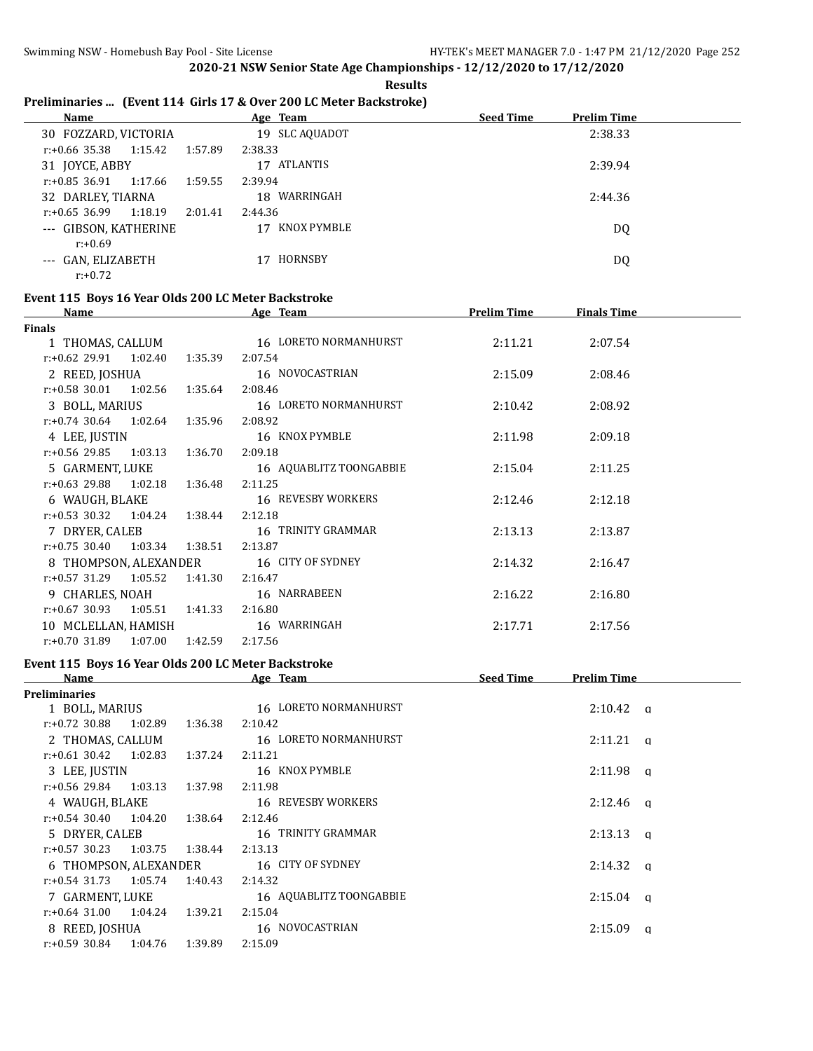|  | <b>Results</b> |  |  |
|--|----------------|--|--|
|  |                |  |  |

## **Preliminaries ... (Event 114 Girls 17 & Over 200 LC Meter Backstroke)**

| Name                        |         | Age Team          | <b>Seed Time</b><br><b>Prelim Time</b> |
|-----------------------------|---------|-------------------|----------------------------------------|
| 30 FOZZARD, VICTORIA        |         | 19 SLC AQUADOT    | 2:38.33                                |
| 1:15.42<br>r:+0.66 35.38    | 1:57.89 | 2:38.33           |                                        |
| 31 JOYCE, ABBY              |         | ATLANTIS<br>17    | 2:39.94                                |
| 1:17.66<br>$r: +0.85$ 36.91 | 1:59.55 | 2:39.94           |                                        |
| 32 DARLEY, TIARNA           |         | WARRINGAH<br>18   | 2:44.36                                |
| 1:18.19<br>$r: +0.65$ 36.99 | 2:01.41 | 2:44.36           |                                        |
| --- GIBSON, KATHERINE       |         | KNOX PYMBLE<br>17 | DQ                                     |
| $r: +0.69$                  |         |                   |                                        |
| --- GAN, ELIZABETH          |         | HORNSBY<br>17     | DQ                                     |
| $r: +0.72$                  |         |                   |                                        |

#### **Event 115 Boys 16 Year Olds 200 LC Meter Backstroke**

| Name                            |         | Age Team                  | <b>Prelim Time</b> | <b>Finals Time</b> |  |
|---------------------------------|---------|---------------------------|--------------------|--------------------|--|
| Finals                          |         |                           |                    |                    |  |
| 1 THOMAS, CALLUM                |         | 16 LORETO NORMANHURST     | 2:11.21            | 2:07.54            |  |
| $r.+0.62$ 29.91 1:02.40         | 1:35.39 | 2:07.54                   |                    |                    |  |
| 2 REED, JOSHUA                  |         | 16 NOVOCASTRIAN           | 2:15.09            | 2:08.46            |  |
| $r: +0.58$ 30.01 1:02.56        | 1:35.64 | 2:08.46                   |                    |                    |  |
| 3 BOLL, MARIUS                  |         | 16 LORETO NORMANHURST     | 2:10.42            | 2:08.92            |  |
| $r.+0.74$ 30.64 1:02.64 1:35.96 |         | 2:08.92                   |                    |                    |  |
| 4 LEE, JUSTIN                   |         | 16 KNOX PYMBLE            | 2:11.98            | 2:09.18            |  |
| $r: +0.56$ 29.85 1:03.13        | 1:36.70 | 2:09.18                   |                    |                    |  |
| 5 GARMENT, LUKE                 |         | 16 AQUABLITZ TOONGABBIE   | 2:15.04            | 2:11.25            |  |
| $r.+0.63$ 29.88 1:02.18 1:36.48 |         | 2:11.25                   |                    |                    |  |
| 6 WAUGH, BLAKE                  |         | <b>16 REVESBY WORKERS</b> | 2:12.46            | 2:12.18            |  |
| $r.+0.53$ 30.32 1:04.24 1:38.44 |         | 2:12.18                   |                    |                    |  |
| 7 DRYER, CALEB                  |         | 16 TRINITY GRAMMAR        | 2:13.13            | 2:13.87            |  |
| $r.+0.75$ 30.40 1:03.34 1:38.51 |         | 2:13.87                   |                    |                    |  |
| 8 THOMPSON, ALEXANDER           |         | 16 CITY OF SYDNEY         | 2:14.32            | 2:16.47            |  |
| $r.+0.57$ 31.29 1:05.52         | 1:41.30 | 2:16.47                   |                    |                    |  |
| 9 CHARLES, NOAH                 |         | 16 NARRABEEN              | 2:16.22            | 2:16.80            |  |
| $r: +0.67$ 30.93<br>1:05.51     | 1:41.33 | 2:16.80                   |                    |                    |  |
| 10 MCLELLAN, HAMISH             |         | 16 WARRINGAH              | 2:17.71            | 2:17.56            |  |
| $r: +0.70$ 31.89 1:07.00        | 1:42.59 | 2:17.56                   |                    |                    |  |

#### **Event 115 Boys 16 Year Olds 200 LC Meter Backstroke**

| Name                             |         | Age Team |                         | <b>Seed Time</b> | <b>Prelim Time</b> |  |
|----------------------------------|---------|----------|-------------------------|------------------|--------------------|--|
| <b>Preliminaries</b>             |         |          |                         |                  |                    |  |
| 1 BOLL, MARIUS                   |         |          | 16 LORETO NORMANHURST   |                  | $2:10.42$ a        |  |
| $r: +0.72$ 30.88 1:02.89         |         | 1:36.38  | 2:10.42                 |                  |                    |  |
| 2 THOMAS, CALLUM                 |         |          | 16 LORETO NORMANHURST   |                  | $2:11.21$ a        |  |
| $r: +0.61$ 30.42 1:02.83         |         | 1:37.24  | 2:11.21                 |                  |                    |  |
| 3 LEE, JUSTIN                    |         |          | 16 KNOX PYMBLE          |                  | $2:11.98$ a        |  |
| $r: +0.56$ 29.84 1:03.13         |         | 1:37.98  | 2:11.98                 |                  |                    |  |
| 4 WAUGH, BLAKE                   |         |          | 16 REVESBY WORKERS      |                  | $2:12.46$ a        |  |
| $r: +0.54$ 30.40 1:04.20 1:38.64 |         |          | 2:12.46                 |                  |                    |  |
| 5 DRYER, CALEB                   |         |          | 16 TRINITY GRAMMAR      |                  | $2:13.13$ q        |  |
| $r: +0.57$ 30.23 1:03.75 1:38.44 |         |          | 2:13.13                 |                  |                    |  |
| 6 THOMPSON, ALEXANDER            |         |          | 16 CITY OF SYDNEY       |                  | $2:14.32$ a        |  |
| $r: +0.54$ 31.73 1:05.74         |         | 1:40.43  | 2:14.32                 |                  |                    |  |
| 7 GARMENT, LUKE                  |         |          | 16 AQUABLITZ TOONGABBIE |                  | $2:15.04$ a        |  |
| r:+0.64 31.00                    | 1:04.24 | 1:39.21  | 2:15.04                 |                  |                    |  |
| 8 REED, JOSHUA                   |         |          | 16 NOVOCASTRIAN         |                  | $2:15.09$ a        |  |
| r:+0.59 30.84                    | 1:04.76 | 1:39.89  | 2:15.09                 |                  |                    |  |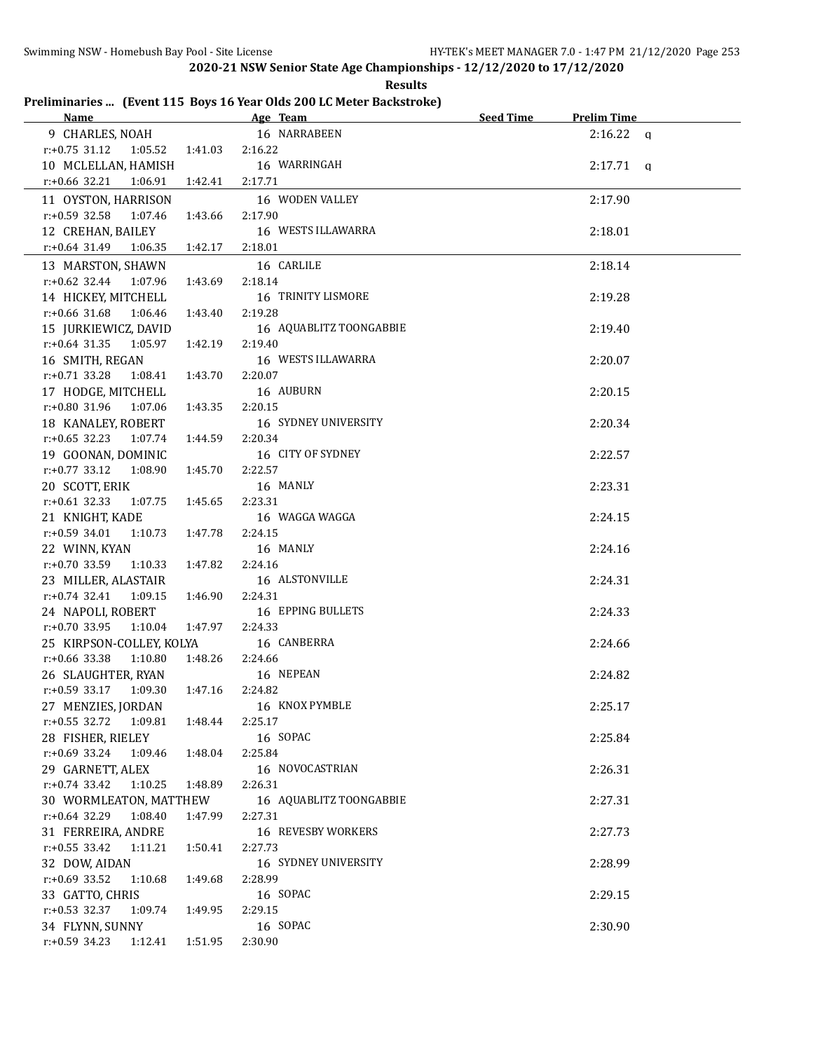| Kesult: |
|---------|
|---------|

## **Preliminaries ... (Event 115 Boys 16 Year Olds 200 LC Meter Backstroke)**

| Name and the state of the state of the state of the state of the state of the state of the state of the state of the state of the state of the state of the state of the state of the state of the state of the state of the s |                 | Age Team and the state of the state of the state of the state of the state of the state of the state of the state of the state of the state of the state of the state of the state of the state of the state of the state of t | Seed Time | <b>Prelim Time</b> |  |
|--------------------------------------------------------------------------------------------------------------------------------------------------------------------------------------------------------------------------------|-----------------|--------------------------------------------------------------------------------------------------------------------------------------------------------------------------------------------------------------------------------|-----------|--------------------|--|
|                                                                                                                                                                                                                                |                 | 9 CHARLES, NOAH 16 NARRABEEN                                                                                                                                                                                                   |           | $2:16.22$ a        |  |
| $r: +0.75$ 31.12 1:05.52 1:41.03 2:16.22                                                                                                                                                                                       |                 |                                                                                                                                                                                                                                |           |                    |  |
| 10 MCLELLAN, HAMISH                                                                                                                                                                                                            |                 | 16 WARRINGAH                                                                                                                                                                                                                   |           | $2:17.71$ q        |  |
| $r.+0.66$ 32.21<br>1:06.91                                                                                                                                                                                                     | 1:42.41 2:17.71 |                                                                                                                                                                                                                                |           |                    |  |
| 11 OYSTON, HARRISON                                                                                                                                                                                                            |                 | 16 WODEN VALLEY                                                                                                                                                                                                                |           | 2:17.90            |  |
| $r.+0.59$ 32.58 1:07.46                                                                                                                                                                                                        | 1:43.66         | 2:17.90                                                                                                                                                                                                                        |           |                    |  |
| 12 CREHAN, BAILEY                                                                                                                                                                                                              |                 | 16 WESTS ILLAWARRA                                                                                                                                                                                                             |           | 2:18.01            |  |
| $r: +0.64$ 31.49 1:06.35 1:42.17 2:18.01                                                                                                                                                                                       |                 |                                                                                                                                                                                                                                |           |                    |  |
|                                                                                                                                                                                                                                |                 |                                                                                                                                                                                                                                |           |                    |  |
| 13 MARSTON, SHAWN                                                                                                                                                                                                              |                 | 16 CARLILE                                                                                                                                                                                                                     |           | 2:18.14            |  |
| r:+0.62 32.44 1:07.96 1:43.69                                                                                                                                                                                                  |                 | 2:18.14                                                                                                                                                                                                                        |           |                    |  |
| 14 HICKEY, MITCHELL                                                                                                                                                                                                            |                 | 16 TRINITY LISMORE                                                                                                                                                                                                             |           | 2:19.28            |  |
| $r.+0.66$ 31.68 1:06.46 1:43.40                                                                                                                                                                                                |                 | 2:19.28                                                                                                                                                                                                                        |           |                    |  |
| 15 JURKIEWICZ, DAVID                                                                                                                                                                                                           |                 | 16 AQUABLITZ TOONGABBIE                                                                                                                                                                                                        |           | 2:19.40            |  |
| $r.+0.64$ 31.35 1:05.97                                                                                                                                                                                                        | 1:42.19         | 2:19.40                                                                                                                                                                                                                        |           |                    |  |
| 16 SMITH, REGAN                                                                                                                                                                                                                |                 | 16 WESTS ILLAWARRA                                                                                                                                                                                                             |           | 2:20.07            |  |
| $r.+0.71$ 33.28 1:08.41 1:43.70                                                                                                                                                                                                |                 | 2:20.07                                                                                                                                                                                                                        |           |                    |  |
| 17 HODGE, MITCHELL                                                                                                                                                                                                             |                 | 16 AUBURN                                                                                                                                                                                                                      |           | 2:20.15            |  |
| $r: +0.80$ 31.96 1:07.06 1:43.35                                                                                                                                                                                               |                 | 2:20.15                                                                                                                                                                                                                        |           |                    |  |
| 18 KANALEY, ROBERT                                                                                                                                                                                                             |                 | <b>16 SYDNEY UNIVERSITY</b>                                                                                                                                                                                                    |           | 2:20.34            |  |
| $r.+0.65$ 32.23 1:07.74 1:44.59                                                                                                                                                                                                |                 | 2:20.34                                                                                                                                                                                                                        |           |                    |  |
| 19 GOONAN, DOMINIC                                                                                                                                                                                                             |                 | 16 CITY OF SYDNEY                                                                                                                                                                                                              |           | 2:22.57            |  |
| $r: +0.77$ 33.12 1:08.90                                                                                                                                                                                                       | 1:45.70         | 2:22.57                                                                                                                                                                                                                        |           |                    |  |
| 20 SCOTT, ERIK                                                                                                                                                                                                                 |                 | 16 MANLY                                                                                                                                                                                                                       |           | 2:23.31            |  |
| $r: +0.61$ 32.33 1:07.75                                                                                                                                                                                                       | 1:45.65         | 2:23.31                                                                                                                                                                                                                        |           |                    |  |
| 21 KNIGHT, KADE                                                                                                                                                                                                                |                 | 16 WAGGA WAGGA                                                                                                                                                                                                                 |           | 2:24.15            |  |
| $r.+0.59$ 34.01 1:10.73 1:47.78                                                                                                                                                                                                |                 | 2:24.15                                                                                                                                                                                                                        |           |                    |  |
| 22 WINN, KYAN                                                                                                                                                                                                                  |                 | 16 MANLY                                                                                                                                                                                                                       |           | 2:24.16            |  |
| $r.+0.70$ 33.59 1:10.33 1:47.82                                                                                                                                                                                                |                 | 2:24.16                                                                                                                                                                                                                        |           |                    |  |
| 23 MILLER, ALASTAIR                                                                                                                                                                                                            |                 | 16 ALSTONVILLE                                                                                                                                                                                                                 |           | 2:24.31            |  |
| $r.+0.74$ 32.41 1:09.15                                                                                                                                                                                                        | 1:46.90         | 2:24.31                                                                                                                                                                                                                        |           |                    |  |
| 24 NAPOLI, ROBERT                                                                                                                                                                                                              |                 | 16 EPPING BULLETS                                                                                                                                                                                                              |           | 2:24.33            |  |
| $r.+0.70$ 33.95 1:10.04 1:47.97                                                                                                                                                                                                |                 | 2:24.33                                                                                                                                                                                                                        |           |                    |  |
| 25 KIRPSON-COLLEY, KOLYA                                                                                                                                                                                                       |                 | 16 CANBERRA                                                                                                                                                                                                                    |           | 2:24.66            |  |
| $r: +0.66$ 33.38<br>1:10.80                                                                                                                                                                                                    | 1:48.26         | 2:24.66                                                                                                                                                                                                                        |           |                    |  |
| 26 SLAUGHTER, RYAN                                                                                                                                                                                                             |                 | 16 NEPEAN                                                                                                                                                                                                                      |           | 2:24.82            |  |
| r:+0.59 33.17 1:09.30 1:47.16                                                                                                                                                                                                  |                 | 2:24.82                                                                                                                                                                                                                        |           |                    |  |
| 27 MENZIES, JORDAN                                                                                                                                                                                                             |                 | 16 KNOX PYMBLE                                                                                                                                                                                                                 |           | 2:25.17            |  |
| r:+0.55 32.72<br>1:09.81                                                                                                                                                                                                       | 1:48.44         | 2:25.17                                                                                                                                                                                                                        |           |                    |  |
| 28 FISHER, RIELEY                                                                                                                                                                                                              |                 | 16 SOPAC                                                                                                                                                                                                                       |           | 2:25.84            |  |
| $r: +0.69$ 33.24<br>1:09.46                                                                                                                                                                                                    | 1:48.04         | 2:25.84                                                                                                                                                                                                                        |           |                    |  |
| 29 GARNETT, ALEX                                                                                                                                                                                                               |                 | 16 NOVOCASTRIAN                                                                                                                                                                                                                |           | 2:26.31            |  |
| $r.+0.74$ 33.42<br>1:10.25                                                                                                                                                                                                     | 1:48.89         | 2:26.31                                                                                                                                                                                                                        |           |                    |  |
| 30 WORMLEATON, MATTHEW                                                                                                                                                                                                         |                 | 16 AQUABLITZ TOONGABBIE                                                                                                                                                                                                        |           | 2:27.31            |  |
| $r.+0.64$ 32.29<br>1:08.40                                                                                                                                                                                                     | 1:47.99         | 2:27.31                                                                                                                                                                                                                        |           |                    |  |
| 31 FERREIRA, ANDRE                                                                                                                                                                                                             |                 | 16 REVESBY WORKERS                                                                                                                                                                                                             |           | 2:27.73            |  |
| $r: +0.55$ 33.42<br>1:11.21                                                                                                                                                                                                    | 1:50.41         | 2:27.73                                                                                                                                                                                                                        |           |                    |  |
| 32 DOW, AIDAN                                                                                                                                                                                                                  |                 | <b>16 SYDNEY UNIVERSITY</b>                                                                                                                                                                                                    |           | 2:28.99            |  |
| $r: +0.69$ 33.52<br>1:10.68                                                                                                                                                                                                    | 1:49.68         | 2:28.99                                                                                                                                                                                                                        |           |                    |  |
| 33 GATTO, CHRIS                                                                                                                                                                                                                |                 | 16 SOPAC                                                                                                                                                                                                                       |           | 2:29.15            |  |
| $r: +0.53$ 32.37<br>1:09.74                                                                                                                                                                                                    | 1:49.95         | 2:29.15                                                                                                                                                                                                                        |           |                    |  |
| 34 FLYNN, SUNNY                                                                                                                                                                                                                |                 | 16 SOPAC                                                                                                                                                                                                                       |           | 2:30.90            |  |
| $r.+0.59$ 34.23 1:12.41                                                                                                                                                                                                        | 1:51.95         | 2:30.90                                                                                                                                                                                                                        |           |                    |  |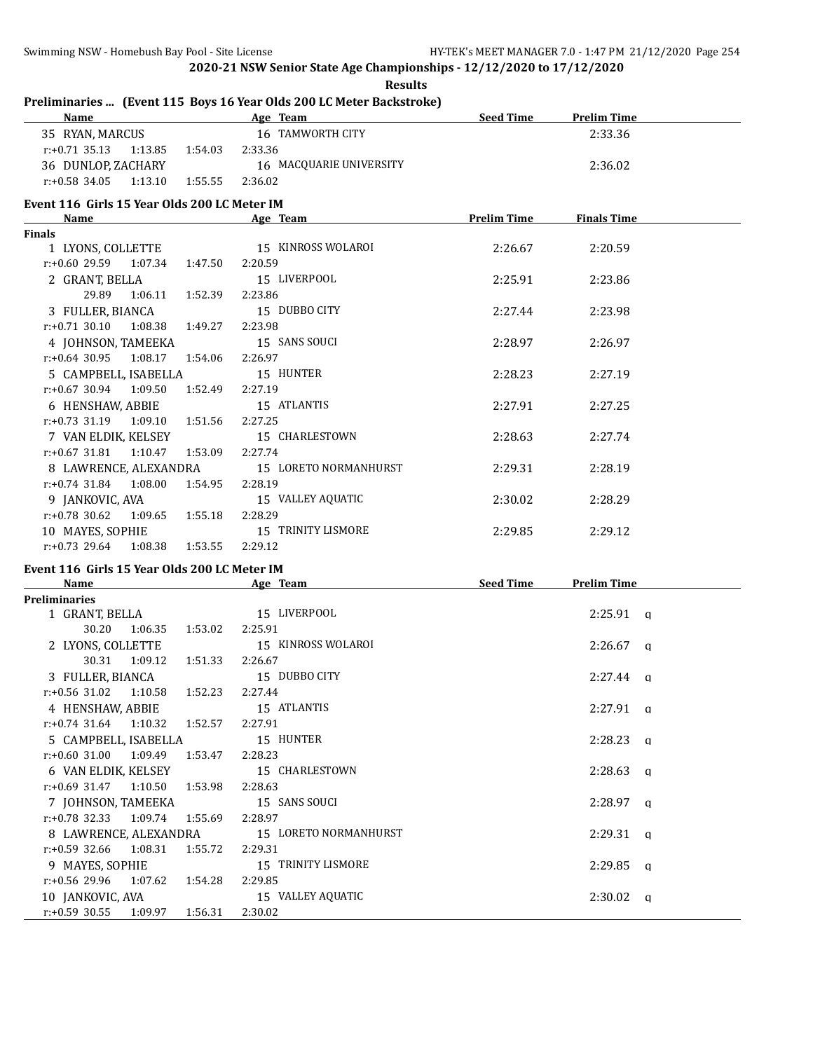| Preliminaries  (Event 115 Boys 16 Year Olds 200 LC Meter Backstroke)<br>Name Age Team |                                                                                                                                                                                                                                | Seed Time          | <b>Prelim Time</b> |  |
|---------------------------------------------------------------------------------------|--------------------------------------------------------------------------------------------------------------------------------------------------------------------------------------------------------------------------------|--------------------|--------------------|--|
| 35 RYAN, MARCUS                                                                       | 16 TAMWORTH CITY                                                                                                                                                                                                               |                    | 2:33.36            |  |
| $r: +0.71$ 35.13<br>1:13.85 1:54.03                                                   | 2:33.36                                                                                                                                                                                                                        |                    |                    |  |
| 36 DUNLOP, ZACHARY                                                                    | 16 MACQUARIE UNIVERSITY                                                                                                                                                                                                        |                    | 2:36.02            |  |
| $r: +0.58$ 34.05<br>1:13.10<br>1:55.55                                                | 2:36.02                                                                                                                                                                                                                        |                    |                    |  |
|                                                                                       |                                                                                                                                                                                                                                |                    |                    |  |
| Event 116 Girls 15 Year Olds 200 LC Meter IM<br>Name                                  | Age Team and the contract of the state of the state of the state of the state of the state of the state of the                                                                                                                 | <b>Prelim Time</b> | <b>Finals Time</b> |  |
| <b>Finals</b>                                                                         |                                                                                                                                                                                                                                |                    |                    |  |
| 1 LYONS, COLLETTE                                                                     | 15 KINROSS WOLAROI                                                                                                                                                                                                             | 2:26.67            | 2:20.59            |  |
| $r: +0.6029.59107.34$<br>1:47.50                                                      | 2:20.59                                                                                                                                                                                                                        |                    |                    |  |
| 2 GRANT, BELLA                                                                        | 15 LIVERPOOL                                                                                                                                                                                                                   | 2:25.91            | 2:23.86            |  |
| 29.89<br>1:06.11<br>1:52.39                                                           | 2:23.86                                                                                                                                                                                                                        |                    |                    |  |
| 3 FULLER, BIANCA                                                                      | 15 DUBBO CITY                                                                                                                                                                                                                  | 2:27.44            | 2:23.98            |  |
| r:+0.71 30.10 1:08.38 1:49.27                                                         | 2:23.98                                                                                                                                                                                                                        |                    |                    |  |
| 4 JOHNSON, TAMEEKA                                                                    | 15 SANS SOUCI                                                                                                                                                                                                                  | 2:28.97            | 2:26.97            |  |
| $r: +0.64$ 30.95 1:08.17<br>1:54.06                                                   | 2:26.97                                                                                                                                                                                                                        |                    |                    |  |
| 5 CAMPBELL, ISABELLA                                                                  | 15 HUNTER                                                                                                                                                                                                                      | 2:28.23            | 2:27.19            |  |
| $r: +0.67$ 30.94 1:09.50<br>1:52.49                                                   | 2:27.19                                                                                                                                                                                                                        |                    |                    |  |
| 6 HENSHAW, ABBIE                                                                      | 15 ATLANTIS                                                                                                                                                                                                                    | 2:27.91            | 2:27.25            |  |
| $r.+0.73$ 31.19 1:09.10 1:51.56                                                       | 2:27.25                                                                                                                                                                                                                        |                    |                    |  |
| 7 VAN ELDIK, KELSEY                                                                   | 15 CHARLESTOWN                                                                                                                                                                                                                 | 2:28.63            | 2:27.74            |  |
| $r: +0.67$ 31.81 1:10.47<br>1:53.09                                                   | 2:27.74                                                                                                                                                                                                                        |                    |                    |  |
| 8 LAWRENCE, ALEXANDRA                                                                 | 15 LORETO NORMANHURST                                                                                                                                                                                                          | 2:29.31            | 2:28.19            |  |
| $r: +0.74$ 31.84 1:08.00<br>1:54.95                                                   | 2:28.19                                                                                                                                                                                                                        |                    |                    |  |
| 9 JANKOVIC, AVA                                                                       | 15 VALLEY AQUATIC                                                                                                                                                                                                              | 2:30.02            | 2:28.29            |  |
| $r+0.78$ 30.62<br>1:09.65<br>1:55.18                                                  | 2:28.29                                                                                                                                                                                                                        |                    |                    |  |
|                                                                                       | 15 TRINITY LISMORE                                                                                                                                                                                                             |                    |                    |  |
| 10 MAYES, SOPHIE<br>$r: +0.73$ 29.64<br>1:08.38<br>1:53.55                            | 2:29.12                                                                                                                                                                                                                        | 2:29.85            | 2:29.12            |  |
|                                                                                       |                                                                                                                                                                                                                                |                    |                    |  |
| Event 116 Girls 15 Year Olds 200 LC Meter IM<br>Name                                  | Age Team and the state of the state of the state of the state of the state of the state of the state of the state of the state of the state of the state of the state of the state of the state of the state of the state of t | Seed Time          | <b>Prelim Time</b> |  |
| <b>Preliminaries</b>                                                                  |                                                                                                                                                                                                                                |                    |                    |  |
| 1 GRANT, BELLA                                                                        | 15 LIVERPOOL                                                                                                                                                                                                                   |                    | $2:25.91$ q        |  |
| 30.20<br>1:06.35 1:53.02                                                              | 2:25.91                                                                                                                                                                                                                        |                    |                    |  |
| 2 LYONS, COLLETTE                                                                     | 15 KINROSS WOLAROI                                                                                                                                                                                                             |                    | $2:26.67$ q        |  |
| 30.31 1:09.12<br>1:51.33                                                              | 2:26.67                                                                                                                                                                                                                        |                    |                    |  |
| 3 FULLER, BIANCA                                                                      | 15 DUBBO CITY                                                                                                                                                                                                                  |                    | $2:27.44$ a        |  |
| r:+0.56 31.02  1:10.58  1:52.23  2:27.44                                              |                                                                                                                                                                                                                                |                    |                    |  |
| 4 HENSHAW, ABBIE                                                                      | 15 ATLANTIS                                                                                                                                                                                                                    |                    | $2:27.91$ q        |  |
| $r.+0.74$ 31.64 1:10.32<br>1:52.57                                                    | 2:27.91                                                                                                                                                                                                                        |                    |                    |  |
| 5 CAMPBELL, ISABELLA                                                                  | 15 HUNTER                                                                                                                                                                                                                      |                    | $2:28.23$ q        |  |
| r:+0.60 31.00 1:09.49<br>1:53.47                                                      | 2:28.23                                                                                                                                                                                                                        |                    |                    |  |
| 6 VAN ELDIK, KELSEY                                                                   | 15 CHARLESTOWN                                                                                                                                                                                                                 |                    | $2:28.63$ a        |  |
| $r.+0.69$ 31.47 1:10.50<br>1:53.98                                                    | 2:28.63                                                                                                                                                                                                                        |                    |                    |  |
| 7 JOHNSON, TAMEEKA                                                                    | 15 SANS SOUCI                                                                                                                                                                                                                  |                    | $2:28.97$ a        |  |
| r:+0.78 32.33<br>1:09.74<br>1:55.69                                                   | 2:28.97                                                                                                                                                                                                                        |                    |                    |  |
| 8 LAWRENCE, ALEXANDRA                                                                 | 15 LORETO NORMANHURST                                                                                                                                                                                                          |                    | $2:29.31$ q        |  |
| $r: +0.59$ 32.66<br>1:08.31<br>1:55.72                                                | 2:29.31                                                                                                                                                                                                                        |                    |                    |  |
| 9 MAYES, SOPHIE                                                                       | 15 TRINITY LISMORE                                                                                                                                                                                                             |                    | $2:29.85$ q        |  |
| r:+0.56 29.96<br>1:07.62<br>1:54.28                                                   | 2:29.85                                                                                                                                                                                                                        |                    |                    |  |
| 10 JANKOVIC, AVA                                                                      | 15 VALLEY AQUATIC                                                                                                                                                                                                              |                    | $2:30.02$ q        |  |
| $r: +0.59$ 30.55<br>1:09.97<br>1:56.31                                                | 2:30.02                                                                                                                                                                                                                        |                    |                    |  |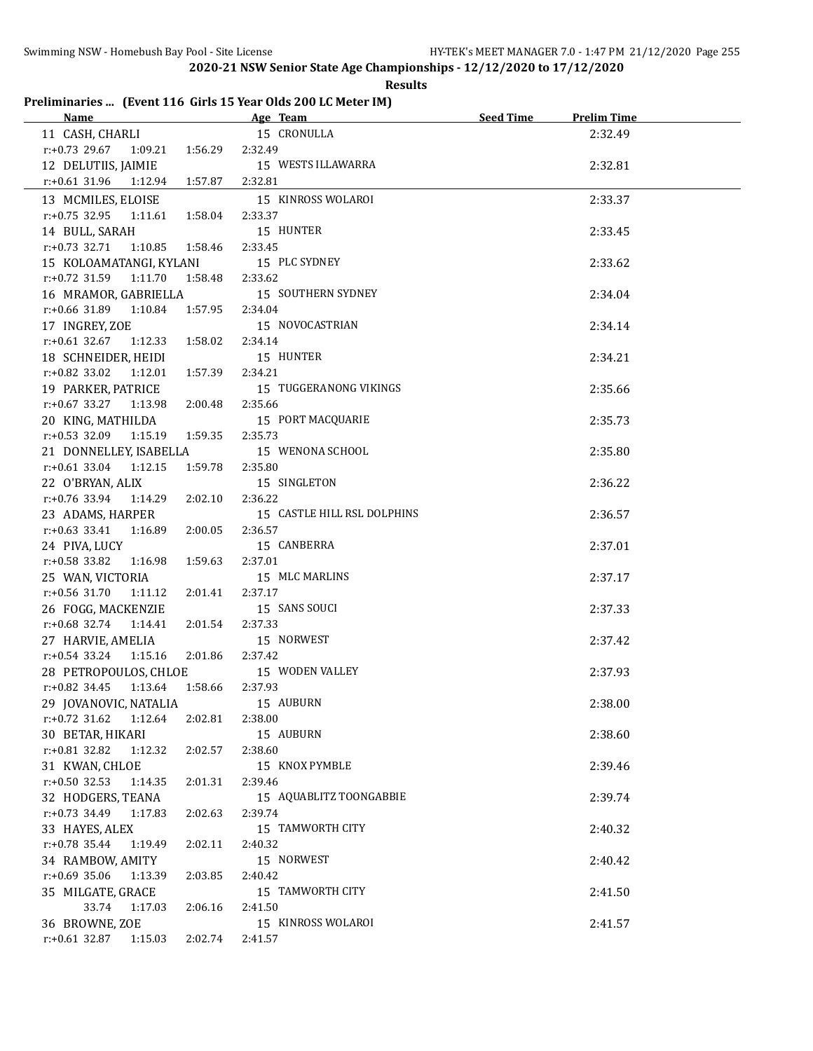**Results**

# **Preliminaries ... (Event 116 Girls 15 Year Olds 200 LC Meter IM)**

|                                          | <b>Name</b> Seed Time Age Team Seed Time | <b>Prelim Time</b> |  |
|------------------------------------------|------------------------------------------|--------------------|--|
| 11 CASH, CHARLI                          | 15 CRONULLA                              | 2:32.49            |  |
| $r: +0.73$ 29.67 1:09.21 1:56.29         | 2:32.49                                  |                    |  |
| 12 DELUTIIS, JAIMIE                      | 15 WESTS ILLAWARRA                       | 2:32.81            |  |
| r:+0.61 31.96 1:12.94 1:57.87            | 2:32.81                                  |                    |  |
| 13 MCMILES, ELOISE                       | 15 KINROSS WOLAROI                       | 2:33.37            |  |
| $r.+0.75$ 32.95 1:11.61 1:58.04          | 2:33.37                                  |                    |  |
| 14 BULL, SARAH                           | 15 HUNTER                                | 2:33.45            |  |
| $r.+0.73$ 32.71 1:10.85 1:58.46          | 2:33.45                                  |                    |  |
| 15 KOLOAMATANGI, KYLANI 15 PLC SYDNEY    |                                          | 2:33.62            |  |
| $r.+0.72$ 31.59 1:11.70                  | 1:58.48 2:33.62                          |                    |  |
|                                          | 16 MRAMOR, GABRIELLA 15 SOUTHERN SYDNEY  | 2:34.04            |  |
| r:+0.66 31.89  1:10.84  1:57.95  2:34.04 |                                          |                    |  |
| 17 INGREY, ZOE                           | 15 NOVOCASTRIAN                          | 2:34.14            |  |
| $r.+0.61$ 32.67 1:12.33 1:58.02          | 2:34.14                                  |                    |  |
| 18 SCHNEIDER, HEIDI                      | 15 HUNTER                                | 2:34.21            |  |
| $r: +0.82$ 33.02 1:12.01 1:57.39         | 2:34.21                                  |                    |  |
| 19 PARKER, PATRICE                       | 15 TUGGERANONG VIKINGS                   | 2:35.66            |  |
| $r.+0.67$ 33.27 1:13.98 2:00.48          | 2:35.66                                  |                    |  |
| 20 KING, MATHILDA                        | 15 PORT MACQUARIE                        | 2:35.73            |  |
| $r: +0.53$ 32.09 1:15.19 1:59.35         | 2:35.73                                  |                    |  |
| 21 DONNELLEY, ISABELLA                   | 15 WENONA SCHOOL                         | 2:35.80            |  |
| $r.+0.61$ 33.04 1:12.15<br>1:59.78       | 2:35.80                                  |                    |  |
| 22 O'BRYAN, ALIX                         | 15 SINGLETON                             | 2:36.22            |  |
| r:+0.76 33.94 1:14.29<br>2:02.10         | 2:36.22                                  |                    |  |
| 23 ADAMS, HARPER                         | 15 CASTLE HILL RSL DOLPHINS              | 2:36.57            |  |
| $r.+0.63$ 33.41 1:16.89<br>2:00.05       | 2:36.57                                  |                    |  |
| 24 PIVA, LUCY                            | 15 CANBERRA                              | 2:37.01            |  |
| $r: +0.58$ 33.82<br>1:16.98<br>1:59.63   | 2:37.01                                  |                    |  |
| 25 WAN, VICTORIA                         | 15 MLC MARLINS                           | 2:37.17            |  |
| $r: +0.56$ 31.70<br>1:11.12              | 2:37.17<br>2:01.41                       |                    |  |
| 26 FOGG, MACKENZIE                       | 15 SANS SOUCI                            | 2:37.33            |  |
| $r.+0.68$ 32.74 1:14.41                  | 2:01.54<br>2:37.33                       |                    |  |
| 27 HARVIE, AMELIA                        | 15 NORWEST                               | 2:37.42            |  |
| $r.+0.54$ 33.24 1:15.16                  | 2:01.86<br>2:37.42                       |                    |  |
| 28 PETROPOULOS, CHLOE 15 WODEN VALLEY    |                                          | 2:37.93            |  |
| $r.+0.82$ 34.45 1:13.64                  | 1:58.66<br>2:37.93                       |                    |  |
| 29 JOVANOVIC, NATALIA                    | 15 AUBURN                                | 2:38.00            |  |
| $r.+0.72$ 31.62 1:12.64<br>2:02.81       | 2:38.00                                  |                    |  |
| 30 BETAR, HIKARI                         | 15 AUBURN                                | 2:38.60            |  |
| $r.+0.81$ 32.82<br>2:02.57<br>1:12.32    | 2:38.60                                  |                    |  |
| 31 KWAN, CHLOE                           | 15 KNOX PYMBLE                           | 2:39.46            |  |
| $r: +0.50$ 32.53<br>1:14.35<br>2:01.31   | 2:39.46                                  |                    |  |
| 32 HODGERS, TEANA                        | 15 AQUABLITZ TOONGABBIE                  | 2:39.74            |  |
| r:+0.73 34.49 1:17.83<br>2:02.63         | 2:39.74                                  |                    |  |
| 33 HAYES, ALEX                           | 15 TAMWORTH CITY                         | 2:40.32            |  |
| r:+0.78 35.44 1:19.49<br>2:02.11         | 2:40.32                                  |                    |  |
| 34 RAMBOW, AMITY                         | 15 NORWEST                               | 2:40.42            |  |
| r:+0.69 35.06 1:13.39<br>2:03.85         | 2:40.42                                  |                    |  |
| 35 MILGATE, GRACE                        | 15 TAMWORTH CITY                         | 2:41.50            |  |
| 33.74<br>1:17.03<br>2:06.16              | 2:41.50                                  |                    |  |
| 36 BROWNE, ZOE                           | 15 KINROSS WOLAROI                       | 2:41.57            |  |
| $r: +0.61$ 32.87 1:15.03<br>2:02.74      | 2:41.57                                  |                    |  |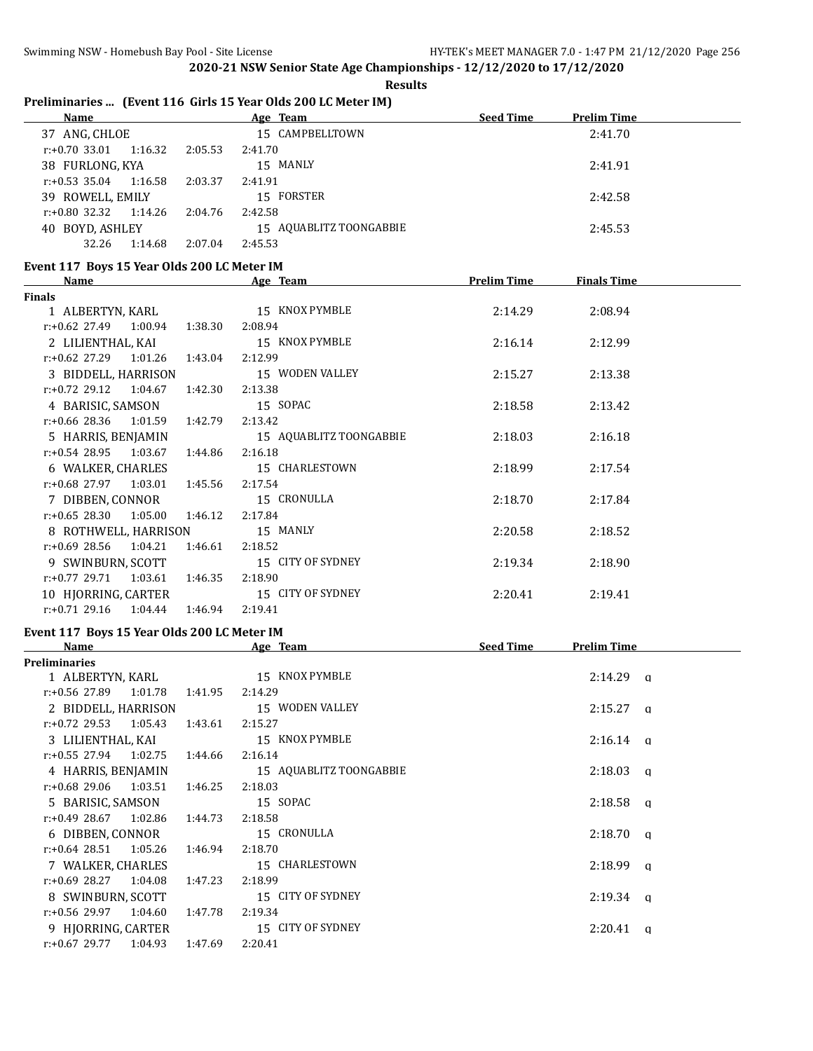**Results**

# **Preliminaries ... (Event 116 Girls 15 Year Olds 200 LC Meter IM)**

| <b>Name</b>                 |         | Age Team                | <b>Seed Time</b> | <b>Prelim Time</b> |  |
|-----------------------------|---------|-------------------------|------------------|--------------------|--|
| ANG, CHLOE<br>37            |         | 15 CAMPBELLTOWN         |                  | 2:41.70            |  |
| 1:16.32<br>$r: +0.70$ 33.01 | 2:05.53 | 2:41.70                 |                  |                    |  |
| 38 FURLONG, KYA             |         | 15 MANLY                |                  | 2:41.91            |  |
| 1:16.58<br>$r: +0.53$ 35.04 | 2:03.37 | 2:41.91                 |                  |                    |  |
| 39 ROWELL, EMILY            |         | 15 FORSTER              |                  | 2:42.58            |  |
| $r: +0.80$ 32.32 1:14.26    | 2:04.76 | 2:42.58                 |                  |                    |  |
| BOYD, ASHLEY<br>40          |         | 15 AQUABLITZ TOONGABBIE |                  | 2:45.53            |  |
| 32.26<br>1:14.68            | 2:07.04 | 2:45.53                 |                  |                    |  |

#### **Event 117 Boys 15 Year Olds 200 LC Meter IM**

| Name                             |         | Age Team                | <b>Prelim Time</b> | <b>Finals Time</b> |  |
|----------------------------------|---------|-------------------------|--------------------|--------------------|--|
| <b>Finals</b>                    |         |                         |                    |                    |  |
| 1 ALBERTYN, KARL                 |         | 15 KNOX PYMBLE          | 2:14.29            | 2:08.94            |  |
| $r: +0.62$ 27.49 1:00.94 1:38.30 |         | 2:08.94                 |                    |                    |  |
| 2 LILIENTHAL, KAI                |         | 15 KNOX PYMBLE          | 2:16.14            | 2:12.99            |  |
| $r: +0.62$ 27.29 1:01.26         | 1:43.04 | 2:12.99                 |                    |                    |  |
| 3 BIDDELL, HARRISON              |         | 15 WODEN VALLEY         | 2:15.27            | 2:13.38            |  |
| $r: +0.72$ 29.12 1:04.67         | 1:42.30 | 2:13.38                 |                    |                    |  |
| 4 BARISIC, SAMSON                |         | 15 SOPAC                | 2:18.58            | 2:13.42            |  |
| r:+0.66 28.36<br>1:01.59         | 1:42.79 | 2:13.42                 |                    |                    |  |
| 5 HARRIS, BENJAMIN               |         | 15 AQUABLITZ TOONGABBIE | 2:18.03            | 2:16.18            |  |
| $r.+0.54$ 28.95 1:03.67 1:44.86  |         | 2:16.18                 |                    |                    |  |
| 6 WALKER, CHARLES                |         | 15 CHARLESTOWN          | 2:18.99            | 2:17.54            |  |
| $r.+0.68$ 27.97 1:03.01          | 1:45.56 | 2:17.54                 |                    |                    |  |
| 7 DIBBEN, CONNOR                 |         | 15 CRONULLA             | 2:18.70            | 2:17.84            |  |
| $r: +0.65$ 28.30 1:05.00 1:46.12 |         | 2:17.84                 |                    |                    |  |
| 8 ROTHWELL, HARRISON             |         | 15 MANLY                | 2:20.58            | 2:18.52            |  |
| $r: +0.69$ 28.56 1:04.21         | 1:46.61 | 2:18.52                 |                    |                    |  |
| 9 SWINBURN, SCOTT                |         | 15 CITY OF SYDNEY       | 2:19.34            | 2:18.90            |  |
| $r.+0.77$ 29.71 1:03.61 1:46.35  |         | 2:18.90                 |                    |                    |  |
| 10 HJORRING, CARTER              |         | 15 CITY OF SYDNEY       | 2:20.41            | 2:19.41            |  |
| $r: +0.71$ 29.16 1:04.44         | 1:46.94 | 2:19.41                 |                    |                    |  |

# **Event 117 Boys 15 Year Olds 200 LC Meter IM**

| Name                     |                    | Age Team                | <b>Seed Time</b> | Prelim Time |              |
|--------------------------|--------------------|-------------------------|------------------|-------------|--------------|
| Preliminaries            |                    |                         |                  |             |              |
| 1 ALBERTYN, KARL         |                    | 15 KNOX PYMBLE          |                  | $2:14.29$ a |              |
| $r: +0.56$ 27.89         | 1:01.78<br>1:41.95 | 2:14.29                 |                  |             |              |
| 2 BIDDELL, HARRISON      |                    | 15 WODEN VALLEY         |                  | 2:15.27     | $\alpha$     |
| $r: +0.72$ 29.53 1:05.43 | 1:43.61            | 2:15.27                 |                  |             |              |
| 3 LILIENTHAL, KAI        |                    | 15 KNOX PYMBLE          |                  | $2:16.14$ q |              |
| $r: +0.55$ 27.94 1:02.75 | 1:44.66            | 2:16.14                 |                  |             |              |
| 4 HARRIS, BENJAMIN       |                    | 15 AQUABLITZ TOONGABBIE |                  | $2:18.03$ a |              |
| $r: +0.68$ 29.06         | 1:03.51<br>1:46.25 | 2:18.03                 |                  |             |              |
| 5 BARISIC, SAMSON        |                    | 15 SOPAC                |                  | $2:18.58$ a |              |
| $r: +0.49$ 28.67         | 1:02.86<br>1:44.73 | 2:18.58                 |                  |             |              |
| 6 DIBBEN, CONNOR         |                    | 15 CRONULLA             |                  | 2:18.70     | $\alpha$     |
| r:+0.64 28.51            | 1:05.26<br>1:46.94 | 2:18.70                 |                  |             |              |
| 7 WALKER, CHARLES        |                    | 15 CHARLESTOWN          |                  | 2:18.99     | $\mathbf{q}$ |
| $r: +0.69$ 28.27 1:04.08 | 1:47.23            | 2:18.99                 |                  |             |              |
| 8 SWINBURN, SCOTT        |                    | 15 CITY OF SYDNEY       |                  | $2:19.34$ q |              |
| $r: +0.56$ 29.97         | 1:04.60<br>1:47.78 | 2:19.34                 |                  |             |              |
| 9 HJORRING, CARTER       |                    | 15 CITY OF SYDNEY       |                  | 2:20.41     | <b>a</b>     |
| $r: +0.67$ 29.77         | 1:04.93<br>1:47.69 | 2:20.41                 |                  |             |              |
|                          |                    |                         |                  |             |              |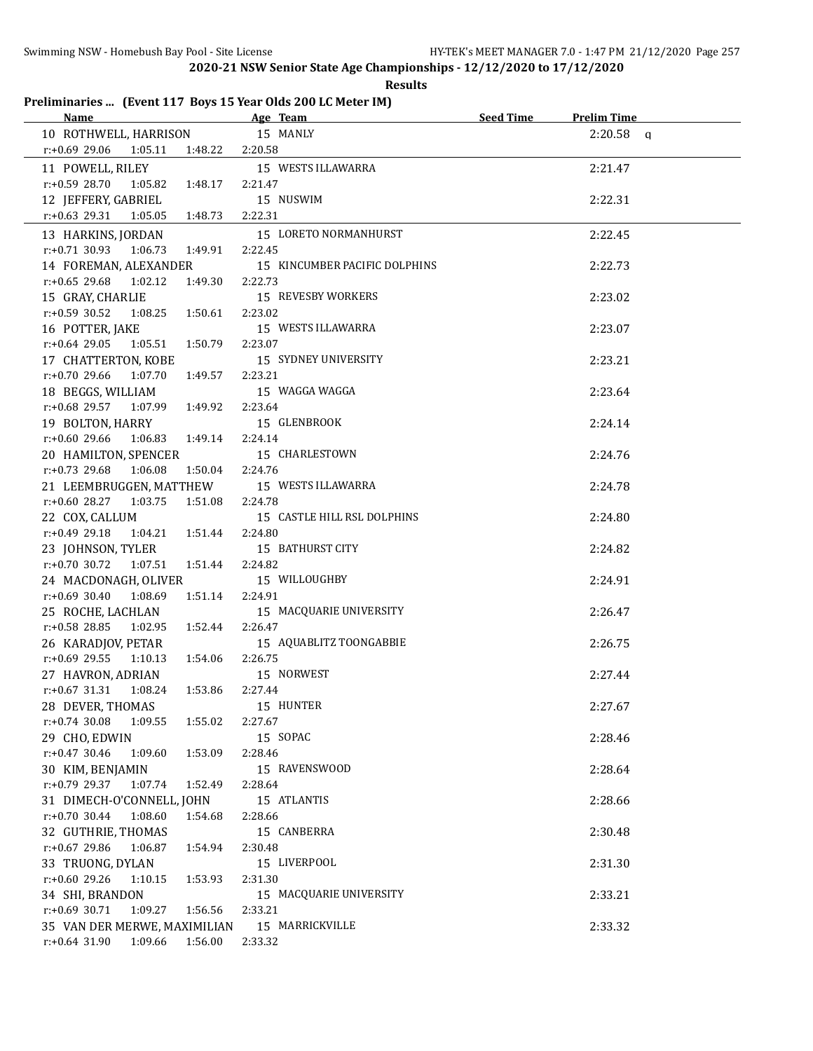#### **Results**

# **Preliminaries ... (Event 117 Boys 15 Year Olds 200 LC Meter IM)**

| Name <b>Name</b>                       | Age Team and the state of the state of the state of the state of the state of the state of the state of the state of the state of the state of the state of the state of the state of the state of the state of the state of t | Seed Time | <b>Prelim Time</b> |
|----------------------------------------|--------------------------------------------------------------------------------------------------------------------------------------------------------------------------------------------------------------------------------|-----------|--------------------|
| 10 ROTHWELL, HARRISON                  | 15 MANLY                                                                                                                                                                                                                       |           | $2:20.58$ a        |
| $r.+0.6929.061:05.11$<br>1:48.22       | 2:20.58                                                                                                                                                                                                                        |           |                    |
| 11 POWELL, RILEY                       | 15 WESTS ILLAWARRA                                                                                                                                                                                                             |           | 2:21.47            |
| $r: +0.59$ 28.70<br>1:05.82<br>1:48.17 | 2:21.47                                                                                                                                                                                                                        |           |                    |
| 12 JEFFERY, GABRIEL                    | 15 NUSWIM                                                                                                                                                                                                                      |           | 2:22.31            |
| $r.+0.63$ 29.31<br>1:05.05<br>1:48.73  | 2:22.31                                                                                                                                                                                                                        |           |                    |
| 13 HARKINS, JORDAN                     | 15 LORETO NORMANHURST                                                                                                                                                                                                          |           | 2:22.45            |
| $r.+0.71$ 30.93 1:06.73<br>1:49.91     | 2:22.45                                                                                                                                                                                                                        |           |                    |
| 14 FOREMAN, ALEXANDER                  | 15 KINCUMBER PACIFIC DOLPHINS                                                                                                                                                                                                  |           | 2:22.73            |
| r:+0.65 29.68 1:02.12<br>1:49.30       | 2:22.73                                                                                                                                                                                                                        |           |                    |
|                                        | 15 REVESBY WORKERS                                                                                                                                                                                                             |           |                    |
| 15 GRAY, CHARLIE                       | 2:23.02                                                                                                                                                                                                                        |           | 2:23.02            |
| $r: +0.59$ 30.52<br>1:08.25<br>1:50.61 |                                                                                                                                                                                                                                |           |                    |
| 16 POTTER, JAKE                        | 15 WESTS ILLAWARRA                                                                                                                                                                                                             |           | 2:23.07            |
| $r: +0.64$ 29.05 1:05.51<br>1:50.79    | 2:23.07                                                                                                                                                                                                                        |           |                    |
| 17 CHATTERTON, KOBE                    | 15 SYDNEY UNIVERSITY                                                                                                                                                                                                           |           | 2:23.21            |
| $r: +0.70$ 29.66<br>1:07.70<br>1:49.57 | 2:23.21                                                                                                                                                                                                                        |           |                    |
| 18 BEGGS, WILLIAM                      | 15 WAGGA WAGGA                                                                                                                                                                                                                 |           | 2:23.64            |
| $r: +0.68$ 29.57 1:07.99<br>1:49.92    | 2:23.64                                                                                                                                                                                                                        |           |                    |
| 19 BOLTON, HARRY                       | 15 GLENBROOK                                                                                                                                                                                                                   |           | 2:24.14            |
| r:+0.60 29.66<br>1:06.83 1:49.14       | 2:24.14                                                                                                                                                                                                                        |           |                    |
| 20 HAMILTON, SPENCER                   | 15 CHARLESTOWN                                                                                                                                                                                                                 |           | 2:24.76            |
| $r: +0.73$ 29.68 1:06.08<br>1:50.04    | 2:24.76                                                                                                                                                                                                                        |           |                    |
| 21 LEEMBRUGGEN, MATTHEW                | 15 WESTS ILLAWARRA                                                                                                                                                                                                             |           | 2:24.78            |
| $r: +0.60$ 28.27 1:03.75<br>1:51.08    | 2:24.78                                                                                                                                                                                                                        |           |                    |
| 22 COX, CALLUM                         | 15 CASTLE HILL RSL DOLPHINS                                                                                                                                                                                                    |           | 2:24.80            |
| r:+0.49 29.18 1:04.21 1:51.44          | 2:24.80                                                                                                                                                                                                                        |           |                    |
| 23 JOHNSON, TYLER                      | 15 BATHURST CITY                                                                                                                                                                                                               |           | 2:24.82            |
| r:+0.70 30.72 1:07.51 1:51.44          | 2:24.82                                                                                                                                                                                                                        |           |                    |
| 24 MACDONAGH, OLIVER                   | 15 WILLOUGHBY                                                                                                                                                                                                                  |           | 2:24.91            |
| $r: +0.69$ 30.40<br>1:51.14<br>1:08.69 | 2:24.91                                                                                                                                                                                                                        |           |                    |
| 25 ROCHE, LACHLAN                      | 15 MACQUARIE UNIVERSITY                                                                                                                                                                                                        |           | 2:26.47            |
| $r: +0.58$ 28.85 1:02.95<br>1:52.44    | 2:26.47                                                                                                                                                                                                                        |           |                    |
| 26 KARADJOV, PETAR                     | 15 AQUABLITZ TOONGABBIE                                                                                                                                                                                                        |           | 2:26.75            |
| $r: +0.69$ 29.55 1:10.13<br>1:54.06    | 2:26.75                                                                                                                                                                                                                        |           |                    |
| 27 HAVRON, ADRIAN                      | 15 NORWEST                                                                                                                                                                                                                     |           | 2:27.44            |
| $r: +0.67$ 31.31 1:08.24<br>1:53.86    | 2:27.44                                                                                                                                                                                                                        |           |                    |
| 28 DEVER, THOMAS                       | 15 HUNTER                                                                                                                                                                                                                      |           | 2:27.67            |
| $r: +0.74$ 30.08 1:09.55<br>1:55.02    | 2:27.67                                                                                                                                                                                                                        |           |                    |
| 29 CHO, EDWIN                          | 15 SOPAC                                                                                                                                                                                                                       |           | 2:28.46            |
| $r.+0.47$ 30.46 1:09.60<br>1:53.09     | 2:28.46                                                                                                                                                                                                                        |           |                    |
| 30 KIM, BENJAMIN                       | 15 RAVENSWOOD                                                                                                                                                                                                                  |           | 2:28.64            |
| r:+0.79 29.37 1:07.74<br>1:52.49       | 2:28.64                                                                                                                                                                                                                        |           |                    |
| 31 DIMECH-O'CONNELL, JOHN              | 15 ATLANTIS                                                                                                                                                                                                                    |           | 2:28.66            |
| $r: +0.70$ 30.44<br>1:08.60<br>1:54.68 | 2:28.66                                                                                                                                                                                                                        |           |                    |
| 32 GUTHRIE, THOMAS                     | 15 CANBERRA                                                                                                                                                                                                                    |           | 2:30.48            |
| r:+0.67 29.86<br>1:06.87<br>1:54.94    | 2:30.48                                                                                                                                                                                                                        |           |                    |
| 33 TRUONG, DYLAN                       | 15 LIVERPOOL                                                                                                                                                                                                                   |           | 2:31.30            |
| r:+0.60 29.26<br>1:10.15<br>1:53.93    | 2:31.30                                                                                                                                                                                                                        |           |                    |
| 34 SHI, BRANDON                        | 15 MACQUARIE UNIVERSITY                                                                                                                                                                                                        |           | 2:33.21            |
| $r: +0.69$ 30.71<br>1:09.27<br>1:56.56 | 2:33.21                                                                                                                                                                                                                        |           |                    |
| 35 VAN DER MERWE, MAXIMILIAN           | 15 MARRICKVILLE                                                                                                                                                                                                                |           | 2:33.32            |
| r:+0.64 31.90 1:09.66 1:56.00          | 2:33.32                                                                                                                                                                                                                        |           |                    |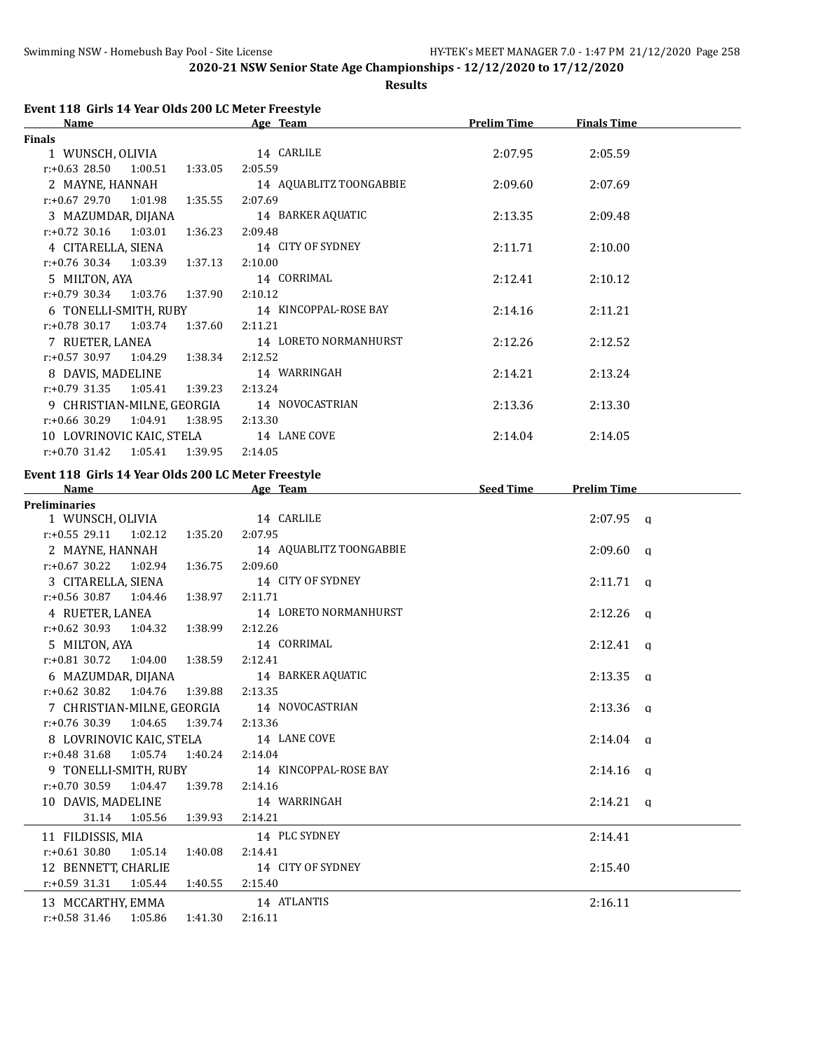**Results**

## **Event 118 Girls 14 Year Olds 200 LC Meter Freestyle**

| Name                                | Age Team                | <b>Prelim Time</b> | <b>Finals Time</b> |  |
|-------------------------------------|-------------------------|--------------------|--------------------|--|
| <b>Finals</b>                       |                         |                    |                    |  |
| 1 WUNSCH, OLIVIA                    | 14 CARLILE              | 2:07.95            | 2:05.59            |  |
| $r: +0.63$ 28.50 1:00.51<br>1:33.05 | 2:05.59                 |                    |                    |  |
| 2 MAYNE, HANNAH                     | 14 AQUABLITZ TOONGABBIE | 2:09.60            | 2:07.69            |  |
| $r: +0.67$ 29.70 1:01.98            | 2:07.69<br>1:35.55      |                    |                    |  |
| 3 MAZUMDAR, DIJANA                  | 14 BARKER AQUATIC       | 2:13.35            | 2:09.48            |  |
| $r.+0.72$ 30.16 1:03.01 1:36.23     | 2:09.48                 |                    |                    |  |
| 4 CITARELLA, SIENA                  | 14 CITY OF SYDNEY       | 2:11.71            | 2:10.00            |  |
| $r: +0.76$ 30.34 1:03.39<br>1:37.13 | 2:10.00                 |                    |                    |  |
| 5 MILTON, AYA                       | 14 CORRIMAL             | 2:12.41            | 2:10.12            |  |
| $r: +0.79$ 30.34 1:03.76 1:37.90    | 2:10.12                 |                    |                    |  |
| 6 TONELLI-SMITH, RUBY               | 14 KINCOPPAL-ROSE BAY   | 2:14.16            | 2:11.21            |  |
| $r: +0.78$ 30.17 1:03.74 1:37.60    | 2:11.21                 |                    |                    |  |
| 7 RUETER, LANEA                     | 14 LORETO NORMANHURST   | 2:12.26            | 2:12.52            |  |
| $r.+0.57$ 30.97 1:04.29 1:38.34     | 2:12.52                 |                    |                    |  |
| 8 DAVIS, MADELINE                   | 14 WARRINGAH            | 2:14.21            | 2:13.24            |  |
| $r.+0.79$ 31.35 1:05.41             | 1:39.23<br>2:13.24      |                    |                    |  |
| 9 CHRISTIAN-MILNE, GEORGIA          | 14 NOVOCASTRIAN         | 2:13.36            | 2:13.30            |  |
| $r: +0.66$ 30.29<br>1:04.91         | 1:38.95<br>2:13.30      |                    |                    |  |
| 10 LOVRINOVIC KAIC, STELA           | 14 LANE COVE            | 2:14.04            | 2:14.05            |  |
| 1:05.41<br>r:+0.70 31.42            | 1:39.95<br>2:14.05      |                    |                    |  |

# **Event 118 Girls 14 Year Olds 200 LC Meter Freestyle**

| <b>Name</b>                                 | Age Team                | <b>Seed Time</b> | <b>Prelim Time</b> |
|---------------------------------------------|-------------------------|------------------|--------------------|
| <b>Preliminaries</b>                        |                         |                  |                    |
| 1 WUNSCH, OLIVIA 14 CARLILE                 |                         |                  | $2:07.95$ a        |
| $r.+0.55$ 29.11 1:02.12 1:35.20             | 2:07.95                 |                  |                    |
| 2 MAYNE, HANNAH                             | 14 AQUABLITZ TOONGABBIE |                  | $2:09.60$ a        |
| $r: +0.67$ 30.22 1:02.94 1:36.75            | 2:09.60                 |                  |                    |
| 3 CITARELLA, SIENA                          | 14 CITY OF SYDNEY       |                  | $2:11.71$ a        |
| $r: +0.56$ 30.87 1:04.46<br>1:38.97         | 2:11.71                 |                  |                    |
| 4 RUETER, LANEA                             | 14 LORETO NORMANHURST   |                  | $2:12.26$ a        |
| $r: +0.62$ 30.93 1:04.32 1:38.99            | 2:12.26                 |                  |                    |
| 5 MILTON, AYA                               | 14 CORRIMAL             |                  | $2:12.41$ q        |
| $r: +0.81$ 30.72 1:04.00 1:38.59            | 2:12.41                 |                  |                    |
| 6 MAZUMDAR, DIJANA                          | 14 BARKER AQUATIC       |                  | $2:13.35$ q        |
| $r.+0.62$ 30.82 1:04.76 1:39.88             | 2:13.35                 |                  |                    |
| 7 CHRISTIAN-MILNE, GEORGIA 14 NOVOCASTRIAN  |                         |                  | $2:13.36$ a        |
| $r: +0.76$ 30.39 1:04.65<br>1:39.74         | 2:13.36                 |                  |                    |
| 8 LOVRINOVIC KAIC, STELA 14 LANE COVE       |                         |                  | $2:14.04$ q        |
| $r.+0.48$ 31.68 1:05.74 1:40.24             | 2:14.04                 |                  |                    |
| 9 TONELLI-SMITH, RUBY 14 KINCOPPAL-ROSE BAY |                         |                  | $2:14.16$ q        |
| $r.+0.70$ 30.59 1:04.47 1:39.78             | 2:14.16                 |                  |                    |
| 10 DAVIS, MADELINE                          | 14 WARRINGAH            |                  | $2:14.21$ a        |
| 31.14 1:05.56 1:39.93                       | 2:14.21                 |                  |                    |
| 11 FILDISSIS, MIA                           | 14 PLC SYDNEY           |                  | 2:14.41            |
| $r: +0.61$ 30.80 1:05.14 1:40.08            | 2:14.41                 |                  |                    |
| 12 BENNETT, CHARLIE                         | 14 CITY OF SYDNEY       |                  | 2:15.40            |
| $r: +0.59$ 31.31 1:05.44 1:40.55            | 2:15.40                 |                  |                    |
| 13 MCCARTHY, EMMA                           | 14 ATLANTIS             |                  | 2:16.11            |
| $r: +0.58$ 31.46 1:05.86<br>1:41.30         | 2:16.11                 |                  |                    |
|                                             |                         |                  |                    |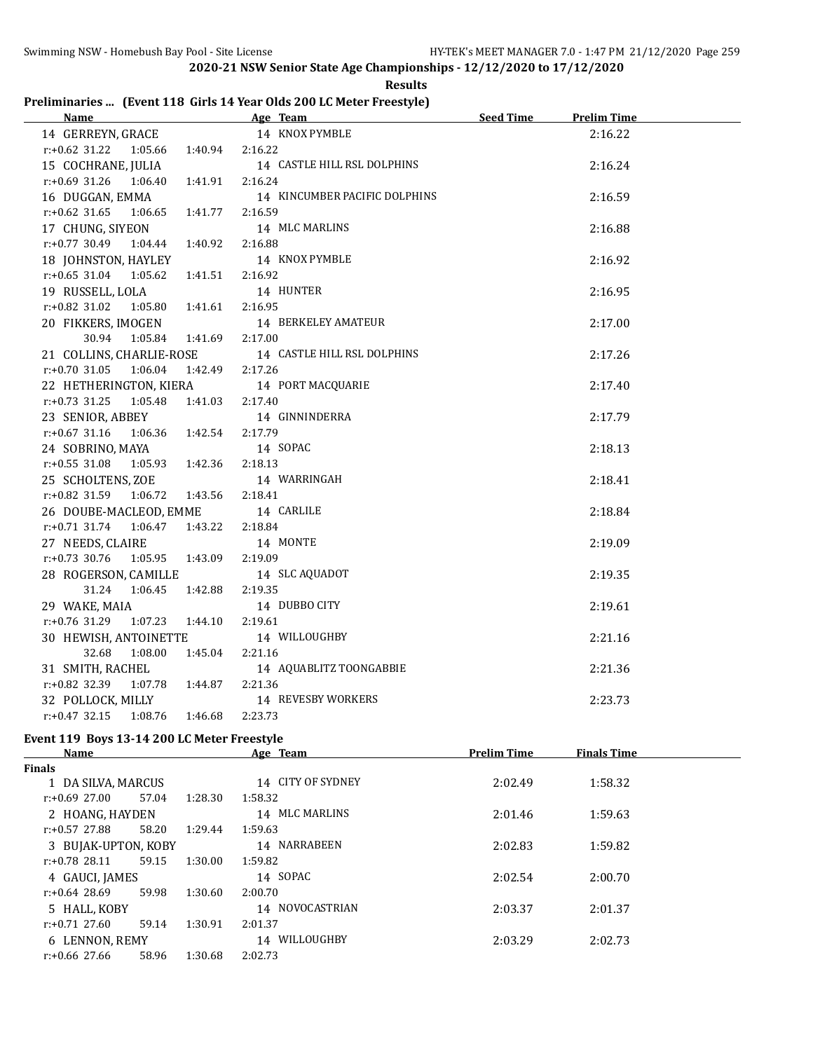|  | Preliminaries  (Event 118 Girls 14 Year Olds 200 LC Meter Freestyle) |  |
|--|----------------------------------------------------------------------|--|
|  |                                                                      |  |

| <b>Name</b>                                    | Age Team                      | <b>Seed Time</b> | <b>Prelim Time</b> |  |
|------------------------------------------------|-------------------------------|------------------|--------------------|--|
| 14 GERREYN, GRACE                              | 14 KNOX PYMBLE                |                  | 2:16.22            |  |
| $r: +0.62$ 31.22 1:05.66 1:40.94 2:16.22       |                               |                  |                    |  |
| 15 COCHRANE, JULIA                             | 14 CASTLE HILL RSL DOLPHINS   |                  | 2:16.24            |  |
| 1:06.40  1:41.91<br>r:+0.69 31.26              | 2:16.24                       |                  |                    |  |
| 16 DUGGAN, EMMA                                | 14 KINCUMBER PACIFIC DOLPHINS |                  | 2:16.59            |  |
| 1:06.65 1:41.77<br>$r: +0.62$ 31.65            | 2:16.59                       |                  |                    |  |
| 17 CHUNG, SIYEON                               | 14 MLC MARLINS                |                  | 2:16.88            |  |
| $r.+0.77$ 30.49 1:04.44 1:40.92                | 2:16.88                       |                  |                    |  |
| 18 JOHNSTON, HAYLEY                            | 14 KNOX PYMBLE                |                  | 2:16.92            |  |
| $r.+0.65$ 31.04 1:05.62 1:41.51                | 2:16.92                       |                  |                    |  |
| 19 RUSSELL, LOLA                               | 14 HUNTER                     |                  | 2:16.95            |  |
| $r: +0.82$ 31.02 1:05.80 1:41.61               | 2:16.95                       |                  |                    |  |
| 20 FIKKERS, IMOGEN                             | 14 BERKELEY AMATEUR           |                  | 2:17.00            |  |
| 30.94 1:05.84 1:41.69                          | 2:17.00                       |                  |                    |  |
| 21 COLLINS, CHARLIE-ROSE                       | 14 CASTLE HILL RSL DOLPHINS   |                  | 2:17.26            |  |
| 1:42.49 2:17.26<br>$r: +0.70$ 31.05 1:06.04    |                               |                  |                    |  |
| 22 HETHERINGTON, KIERA                         | 14 PORT MACQUARIE             |                  | 2:17.40            |  |
| $r: +0.73$ 31.25<br>1:41.03 2:17.40<br>1:05.48 |                               |                  |                    |  |
| 23 SENIOR, ABBEY                               | 14 GINNINDERRA                |                  | 2:17.79            |  |
| r:+0.67 31.16 1:06.36 1:42.54                  | 2:17.79                       |                  |                    |  |
| 24 SOBRINO, MAYA                               | 14 SOPAC                      |                  | 2:18.13            |  |
| r:+0.55 31.08 1:05.93 1:42.36                  | 2:18.13                       |                  |                    |  |
| 25 SCHOLTENS, ZOE                              | 14 WARRINGAH                  |                  | 2:18.41            |  |
| $r.+0.82$ 31.59 1:06.72 1:43.56                | 2:18.41                       |                  |                    |  |
| 26 DOUBE-MACLEOD, EMME                         | 14 CARLILE                    |                  | 2:18.84            |  |
| $r.+0.71$ 31.74 1:06.47 1:43.22                | 2:18.84                       |                  |                    |  |
| 27 NEEDS, CLAIRE                               | 14 MONTE                      |                  | 2:19.09            |  |
| $r.+0.73$ 30.76 1:05.95 1:43.09                | 2:19.09                       |                  |                    |  |
| 28 ROGERSON, CAMILLE                           | 14 SLC AQUADOT                |                  | 2:19.35            |  |
| 31.24 1:06.45<br>1:42.88                       | 2:19.35                       |                  |                    |  |
| 29 WAKE, MAIA                                  | 14 DUBBO CITY                 |                  | 2:19.61            |  |
| $r.+0.76$ 31.29 1:07.23 1:44.10                | 2:19.61                       |                  |                    |  |
| 30 HEWISH, ANTOINETTE                          | 14 WILLOUGHBY                 |                  | 2:21.16            |  |
| 32.68<br>1:08.00<br>1:45.04                    | 2:21.16                       |                  |                    |  |
| 31 SMITH, RACHEL                               | 14 AQUABLITZ TOONGABBIE       |                  | 2:21.36            |  |
| r:+0.82 32.39 1:07.78 1:44.87                  | 2:21.36                       |                  |                    |  |
| 32 POLLOCK, MILLY                              | 14 REVESBY WORKERS            |                  | 2:23.73            |  |
| $r: +0.47$ 32.15<br>1:08.76<br>1:46.68         | 2:23.73                       |                  |                    |  |

## **Event 119 Boys 13-14 200 LC Meter Freestyle**

| Name                |       | Age Team          | <b>Prelim Time</b> | <b>Finals Time</b> |         |  |
|---------------------|-------|-------------------|--------------------|--------------------|---------|--|
| <b>Finals</b>       |       |                   |                    |                    |         |  |
| 1 DA SILVA, MARCUS  |       | 14 CITY OF SYDNEY | 2:02.49            | 1:58.32            |         |  |
| $r: +0.69$ 27.00    | 57.04 | 1:28.30           | 1:58.32            |                    |         |  |
| 2 HOANG, HAYDEN     |       |                   | 14 MLC MARLINS     | 2:01.46            | 1:59.63 |  |
| $r: +0.57$ 27.88    | 58.20 | 1:29.44           | 1:59.63            |                    |         |  |
| 3 BUJAK-UPTON, KOBY |       |                   | 14 NARRABEEN       | 2:02.83            | 1:59.82 |  |
| $r: +0.78$ 28.11    | 59.15 | 1:30.00           | 1:59.82            |                    |         |  |
| 4 GAUCI, JAMES      |       |                   | 14 SOPAC           | 2:02.54            | 2:00.70 |  |
| $r: +0.64$ 28.69    | 59.98 | 1:30.60           | 2:00.70            |                    |         |  |
| 5 HALL, KOBY        |       |                   | 14 NOVOCASTRIAN    | 2:03.37            | 2:01.37 |  |
| $r: +0.71$ 27.60    | 59.14 | 1:30.91           | 2:01.37            |                    |         |  |
| 6 LENNON, REMY      |       |                   | 14 WILLOUGHBY      | 2:03.29            | 2:02.73 |  |
| $r: +0.66$ 27.66    | 58.96 | 1:30.68           | 2:02.73            |                    |         |  |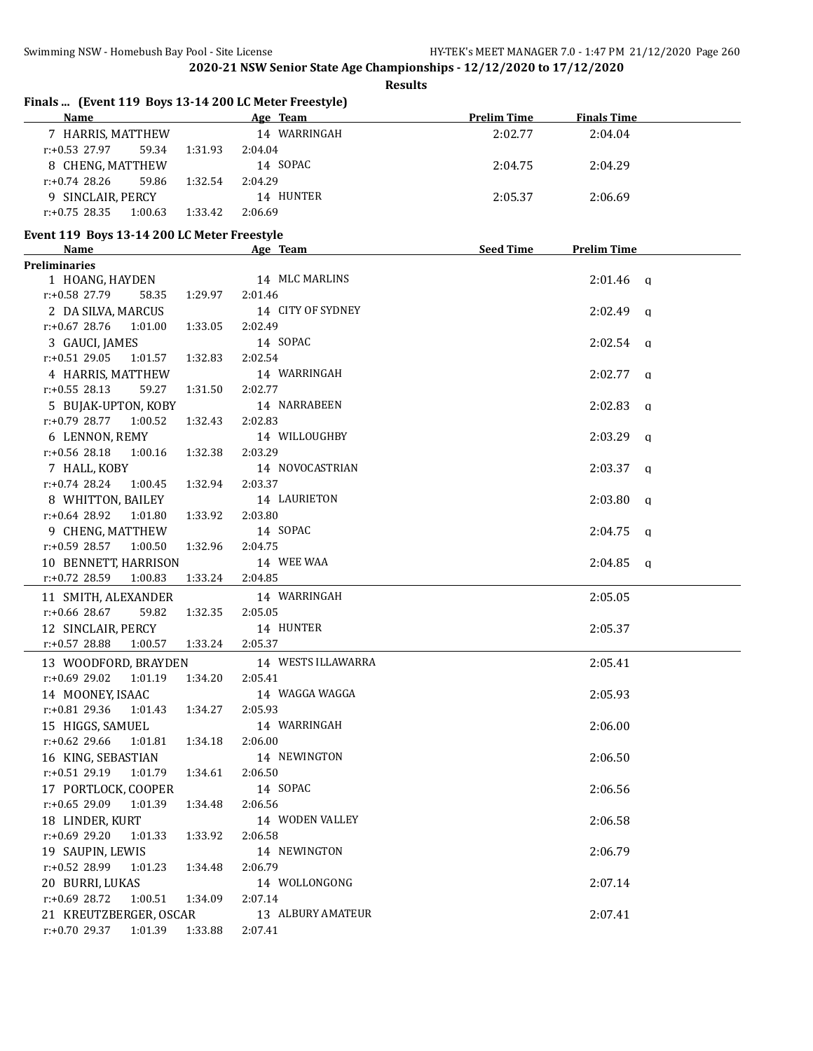**Results**

|                                             |         | Name Age Team                                                                                                                                                                                                                  | <b>Prelim Time</b> | <b>Finals Time</b>  |
|---------------------------------------------|---------|--------------------------------------------------------------------------------------------------------------------------------------------------------------------------------------------------------------------------------|--------------------|---------------------|
| 7 HARRIS, MATTHEW                           |         | 14 WARRINGAH                                                                                                                                                                                                                   | 2:02.77            | 2:04.04             |
| $r: +0.53$ 27.97<br>59.34                   | 1:31.93 | 2:04.04                                                                                                                                                                                                                        |                    |                     |
| 8 CHENG, MATTHEW                            |         | 14 SOPAC                                                                                                                                                                                                                       | 2:04.75            | 2:04.29             |
| $r: +0.74$ 28.26<br>59.86                   | 1:32.54 | 2:04.29                                                                                                                                                                                                                        |                    |                     |
| 9 SINCLAIR, PERCY                           |         | 14 HUNTER                                                                                                                                                                                                                      | 2:05.37            | 2:06.69             |
| $r: +0.75$ 28.35<br>1:00.63                 | 1:33.42 | 2:06.69                                                                                                                                                                                                                        |                    |                     |
| Event 119 Boys 13-14 200 LC Meter Freestyle |         |                                                                                                                                                                                                                                |                    |                     |
| <b>Name</b>                                 |         | Age Team and the state of the state of the state of the state of the state of the state of the state of the state of the state of the state of the state of the state of the state of the state of the state of the state of t | Seed Time          | <b>Prelim Time</b>  |
| <b>Preliminaries</b>                        |         |                                                                                                                                                                                                                                |                    |                     |
| 1 HOANG, HAYDEN                             |         | 14 MLC MARLINS                                                                                                                                                                                                                 |                    | $2:01.46$ q         |
| r:+0.58 27.79<br>58.35                      | 1:29.97 | 2:01.46                                                                                                                                                                                                                        |                    |                     |
| 2 DA SILVA, MARCUS                          |         | 14 CITY OF SYDNEY                                                                                                                                                                                                              |                    | $2:02.49$ q         |
| r:+0.67 28.76 1:01.00                       | 1:33.05 | 2:02.49                                                                                                                                                                                                                        |                    |                     |
| 3 GAUCI, JAMES                              |         | 14 SOPAC                                                                                                                                                                                                                       |                    | $2:02.54$ q         |
| $r: +0.51$ 29.05 1:01.57                    | 1:32.83 | 2:02.54                                                                                                                                                                                                                        |                    |                     |
| 4 HARRIS, MATTHEW                           |         | 14 WARRINGAH                                                                                                                                                                                                                   |                    | $2:02.77$ q         |
| $r: +0.55$ 28.13<br>59.27                   | 1:31.50 | 2:02.77                                                                                                                                                                                                                        |                    |                     |
| 5 BUJAK-UPTON, KOBY                         |         | 14 NARRABEEN                                                                                                                                                                                                                   |                    | $2:02.83$ a         |
| $r.+0.79$ 28.77 1:00.52                     | 1:32.43 | 2:02.83                                                                                                                                                                                                                        |                    |                     |
| 6 LENNON, REMY                              |         | 14 WILLOUGHBY                                                                                                                                                                                                                  |                    | $2:03.29$ q         |
| r:+0.56 28.18 1:00.16                       | 1:32.38 | 2:03.29                                                                                                                                                                                                                        |                    |                     |
| 7 HALL, KOBY                                |         | 14 NOVOCASTRIAN                                                                                                                                                                                                                |                    | $2:03.37$ a         |
| $r.+0.74$ 28.24 1:00.45                     | 1:32.94 | 2:03.37                                                                                                                                                                                                                        |                    |                     |
| 8 WHITTON, BAILEY                           |         | 14 LAURIETON                                                                                                                                                                                                                   |                    | 2:03.80<br>$\alpha$ |
| $r: +0.64$ 28.92<br>1:01.80                 | 1:33.92 | 2:03.80                                                                                                                                                                                                                        |                    |                     |
| 9 CHENG, MATTHEW                            |         | 14 SOPAC                                                                                                                                                                                                                       |                    | 2:04.75             |
| $r: +0.59$ 28.57 1:00.50                    | 1:32.96 | 2:04.75                                                                                                                                                                                                                        |                    | $\mathbf{q}$        |
| 10 BENNETT, HARRISON                        |         | 14 WEE WAA                                                                                                                                                                                                                     |                    | $2:04.85$ q         |
| r:+0.72 28.59<br>1:00.83                    | 1:33.24 | 2:04.85                                                                                                                                                                                                                        |                    |                     |
|                                             |         |                                                                                                                                                                                                                                |                    |                     |
| 11 SMITH, ALEXANDER                         |         | 14 WARRINGAH                                                                                                                                                                                                                   |                    | 2:05.05             |
| r:+0.66 28.67<br>59.82                      | 1:32.35 | 2:05.05                                                                                                                                                                                                                        |                    |                     |
| 12 SINCLAIR, PERCY                          |         | 14 HUNTER                                                                                                                                                                                                                      |                    | 2:05.37             |
| $r: +0.57$ 28.88<br>1:00.57                 | 1:33.24 | 2:05.37                                                                                                                                                                                                                        |                    |                     |
| 13 WOODFORD, BRAYDEN                        |         | 14 WESTS ILLAWARRA                                                                                                                                                                                                             |                    | 2:05.41             |
| $r: +0.69$ 29.02 1:01.19                    | 1:34.20 | 2:05.41                                                                                                                                                                                                                        |                    |                     |
| 14 MOONEY, ISAAC                            |         | 14 WAGGA WAGGA                                                                                                                                                                                                                 |                    | 2:05.93             |
| r:+0.81 29.36<br>1:01.43                    | 1:34.27 | 2:05.93                                                                                                                                                                                                                        |                    |                     |
| 15 HIGGS, SAMUEL                            |         | 14 WARRINGAH                                                                                                                                                                                                                   |                    | 2:06.00             |
| r:+0.62 29.66<br>1:01.81                    | 1:34.18 | 2:06.00                                                                                                                                                                                                                        |                    |                     |
| 16 KING, SEBASTIAN                          |         | 14 NEWINGTON                                                                                                                                                                                                                   |                    | 2:06.50             |
| r:+0.51 29.19<br>1:01.79                    | 1:34.61 | 2:06.50                                                                                                                                                                                                                        |                    |                     |
| 17 PORTLOCK, COOPER                         |         | 14 SOPAC                                                                                                                                                                                                                       |                    | 2:06.56             |
| $r: +0.65$ 29.09<br>1:01.39                 | 1:34.48 | 2:06.56                                                                                                                                                                                                                        |                    |                     |
| 18 LINDER, KURT                             |         | 14 WODEN VALLEY                                                                                                                                                                                                                |                    | 2:06.58             |
| r:+0.69 29.20<br>1:01.33                    | 1:33.92 | 2:06.58                                                                                                                                                                                                                        |                    |                     |
| 19 SAUPIN, LEWIS                            |         | 14 NEWINGTON                                                                                                                                                                                                                   |                    | 2:06.79             |
| r:+0.52 28.99<br>1:01.23                    | 1:34.48 | 2:06.79                                                                                                                                                                                                                        |                    |                     |
| 20 BURRI, LUKAS                             |         | 14 WOLLONGONG                                                                                                                                                                                                                  |                    | 2:07.14             |
| r:+0.69 28.72<br>1:00.51                    | 1:34.09 | 2:07.14                                                                                                                                                                                                                        |                    |                     |
| 21 KREUTZBERGER, OSCAR                      |         | 13 ALBURY AMATEUR                                                                                                                                                                                                              |                    | 2:07.41             |
| r:+0.70 29.37 1:01.39                       | 1:33.88 | 2:07.41                                                                                                                                                                                                                        |                    |                     |
|                                             |         |                                                                                                                                                                                                                                |                    |                     |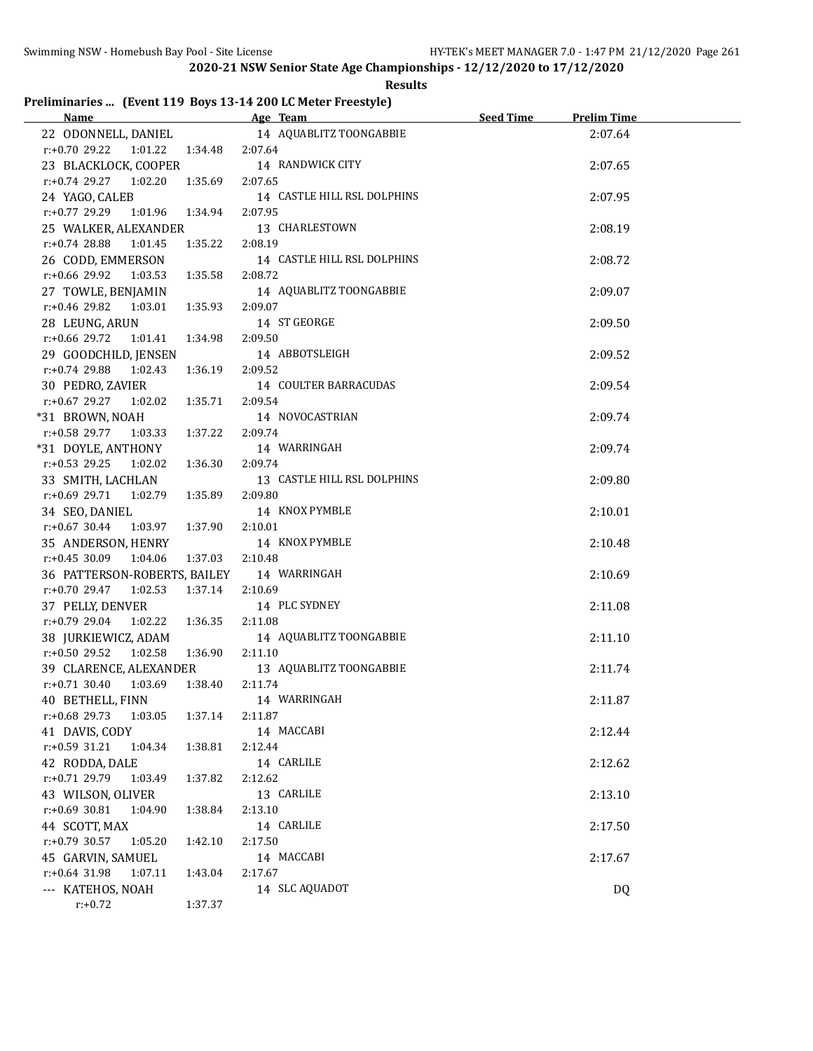#### **Results**

## **Preliminaries ... (Event 119 Boys 13-14 200 LC Meter Freestyle)**

| Name and the state of the state of the state of the state of the state of the state of the state of the state of the state of the state of the state of the state of the state of the state of the state of the state of the s | Age Team and the contract of the contract of the contract of the contract of the contract of the contract of the contract of the contract of the contract of the contract of the contract of the contract of the contract of t | Seed Time | <b>Prelim Time</b> |  |
|--------------------------------------------------------------------------------------------------------------------------------------------------------------------------------------------------------------------------------|--------------------------------------------------------------------------------------------------------------------------------------------------------------------------------------------------------------------------------|-----------|--------------------|--|
|                                                                                                                                                                                                                                | 22 ODONNELL, DANIEL 14 AQUABLITZ TOONGABBIE                                                                                                                                                                                    |           | 2:07.64            |  |
| $r.+0.70$ 29.22 1:01.22 1:34.48                                                                                                                                                                                                | 2:07.64                                                                                                                                                                                                                        |           |                    |  |
| 23 BLACKLOCK, COOPER                                                                                                                                                                                                           | 14 RANDWICK CITY                                                                                                                                                                                                               |           | 2:07.65            |  |
| $r.+0.74$ 29.27 1:02.20<br>1:35.69                                                                                                                                                                                             | 2:07.65                                                                                                                                                                                                                        |           |                    |  |
| 24 YAGO, CALEB                                                                                                                                                                                                                 | 14 CASTLE HILL RSL DOLPHINS                                                                                                                                                                                                    |           | 2:07.95            |  |
| r:+0.77 29.29 1:01.96 1:34.94                                                                                                                                                                                                  | 2:07.95                                                                                                                                                                                                                        |           |                    |  |
| 25 WALKER, ALEXANDER                                                                                                                                                                                                           | 13 CHARLESTOWN                                                                                                                                                                                                                 |           | 2:08.19            |  |
| $r.+0.74$ 28.88 1:01.45<br>1:35.22                                                                                                                                                                                             | 2:08.19                                                                                                                                                                                                                        |           |                    |  |
| 26 CODD, EMMERSON                                                                                                                                                                                                              | 14 CASTLE HILL RSL DOLPHINS                                                                                                                                                                                                    |           | 2:08.72            |  |
| $r.+0.66$ 29.92 1:03.53<br>1:35.58                                                                                                                                                                                             | 2:08.72                                                                                                                                                                                                                        |           |                    |  |
| 27 TOWLE, BENJAMIN                                                                                                                                                                                                             | 14 AQUABLITZ TOONGABBIE                                                                                                                                                                                                        |           | 2:09.07            |  |
| $r.+0.46$ 29.82 1:03.01<br>1:35.93                                                                                                                                                                                             | 2:09.07                                                                                                                                                                                                                        |           |                    |  |
| 28 LEUNG, ARUN                                                                                                                                                                                                                 | 14 ST GEORGE                                                                                                                                                                                                                   |           | 2:09.50            |  |
| $r.+0.66$ 29.72 1:01.41<br>1:34.98                                                                                                                                                                                             | 2:09.50                                                                                                                                                                                                                        |           |                    |  |
| 29 GOODCHILD, JENSEN                                                                                                                                                                                                           | 14 ABBOTSLEIGH                                                                                                                                                                                                                 |           | 2:09.52            |  |
| $r: +0.74$ 29.88<br>1:02.43<br>1:36.19                                                                                                                                                                                         | 2:09.52                                                                                                                                                                                                                        |           |                    |  |
| 30 PEDRO, ZAVIER                                                                                                                                                                                                               | 14 COULTER BARRACUDAS                                                                                                                                                                                                          |           | 2:09.54            |  |
| $r: +0.67$ 29.27 1:02.02<br>1:35.71                                                                                                                                                                                            | 2:09.54                                                                                                                                                                                                                        |           |                    |  |
| *31 BROWN, NOAH                                                                                                                                                                                                                | 14 NOVOCASTRIAN                                                                                                                                                                                                                |           | 2:09.74            |  |
| r:+0.58 29.77<br>1:03.33   1:37.22                                                                                                                                                                                             | 2:09.74                                                                                                                                                                                                                        |           |                    |  |
| *31 DOYLE, ANTHONY                                                                                                                                                                                                             | 14 WARRINGAH                                                                                                                                                                                                                   |           | 2:09.74            |  |
| $r: +0.53$ 29.25<br>1:02.02<br>1:36.30                                                                                                                                                                                         | 2:09.74                                                                                                                                                                                                                        |           |                    |  |
| 33 SMITH, LACHLAN                                                                                                                                                                                                              | 13 CASTLE HILL RSL DOLPHINS                                                                                                                                                                                                    |           | 2:09.80            |  |
| $r: +0.69$ 29.71<br>1:02.79<br>1:35.89                                                                                                                                                                                         | 2:09.80                                                                                                                                                                                                                        |           |                    |  |
| 34 SEO, DANIEL                                                                                                                                                                                                                 | 14 KNOX PYMBLE                                                                                                                                                                                                                 |           | 2:10.01            |  |
| $r: +0.67$ 30.44<br>1:37.90<br>1:03.97                                                                                                                                                                                         | 2:10.01                                                                                                                                                                                                                        |           |                    |  |
| 35 ANDERSON, HENRY                                                                                                                                                                                                             | 14 KNOX PYMBLE                                                                                                                                                                                                                 |           | 2:10.48            |  |
| 1:04.06<br>1:37.03<br>$r: +0.45$ 30.09                                                                                                                                                                                         | 2:10.48                                                                                                                                                                                                                        |           |                    |  |
| 36 PATTERSON-ROBERTS, BAILEY 14 WARRINGAH                                                                                                                                                                                      |                                                                                                                                                                                                                                |           | 2:10.69            |  |
| $r: +0.70$ 29.47<br>1:02.53<br>1:37.14                                                                                                                                                                                         | 2:10.69                                                                                                                                                                                                                        |           |                    |  |
| 37 PELLY, DENVER                                                                                                                                                                                                               | 14 PLC SYDNEY                                                                                                                                                                                                                  |           | 2:11.08            |  |
| $r: +0.79$ 29.04<br>1:02.22   1:36.35                                                                                                                                                                                          | 2:11.08                                                                                                                                                                                                                        |           |                    |  |
| 38 JURKIEWICZ, ADAM                                                                                                                                                                                                            | 14 AQUABLITZ TOONGABBIE                                                                                                                                                                                                        |           | 2:11.10            |  |
| 1:02.58<br>1:36.90<br>r:+0.50 29.52                                                                                                                                                                                            | 2:11.10                                                                                                                                                                                                                        |           |                    |  |
| 39 CLARENCE, ALEXANDER                                                                                                                                                                                                         | 13 AQUABLITZ TOONGABBIE                                                                                                                                                                                                        |           | 2:11.74            |  |
| r:+0.71 30.40 1:03.69<br>1:38.40                                                                                                                                                                                               | 2:11.74                                                                                                                                                                                                                        |           |                    |  |
| 40 BETHELL, FINN                                                                                                                                                                                                               | 14 WARRINGAH                                                                                                                                                                                                                   |           | 2:11.87            |  |
| r:+0.68 29.73<br>1:03.05<br>1:37.14                                                                                                                                                                                            | 2:11.87                                                                                                                                                                                                                        |           |                    |  |
| 41 DAVIS, CODY                                                                                                                                                                                                                 | 14 MACCABI                                                                                                                                                                                                                     |           | 2:12.44            |  |
| r:+0.59 31.21<br>1:04.34<br>1:38.81                                                                                                                                                                                            | 2:12.44                                                                                                                                                                                                                        |           |                    |  |
| 42 RODDA, DALE                                                                                                                                                                                                                 | 14 CARLILE                                                                                                                                                                                                                     |           | 2:12.62            |  |
| r:+0.71 29.79<br>1:03.49<br>1:37.82                                                                                                                                                                                            | 2:12.62                                                                                                                                                                                                                        |           |                    |  |
| 43 WILSON, OLIVER                                                                                                                                                                                                              | 13 CARLILE                                                                                                                                                                                                                     |           | 2:13.10            |  |
| r:+0.69 30.81<br>1:04.90<br>1:38.84                                                                                                                                                                                            | 2:13.10                                                                                                                                                                                                                        |           |                    |  |
| 44 SCOTT, MAX                                                                                                                                                                                                                  | 14 CARLILE                                                                                                                                                                                                                     |           | 2:17.50            |  |
| r:+0.79 30.57<br>1:05.20<br>1:42.10                                                                                                                                                                                            | 2:17.50                                                                                                                                                                                                                        |           |                    |  |
| 45 GARVIN, SAMUEL                                                                                                                                                                                                              | 14 MACCABI                                                                                                                                                                                                                     |           | 2:17.67            |  |
| $r: +0.64$ 31.98<br>1:07.11<br>1:43.04                                                                                                                                                                                         | 2:17.67                                                                                                                                                                                                                        |           |                    |  |
| --- KATEHOS, NOAH                                                                                                                                                                                                              | 14 SLC AQUADOT                                                                                                                                                                                                                 |           | DQ                 |  |
| $r: +0.72$<br>1:37.37                                                                                                                                                                                                          |                                                                                                                                                                                                                                |           |                    |  |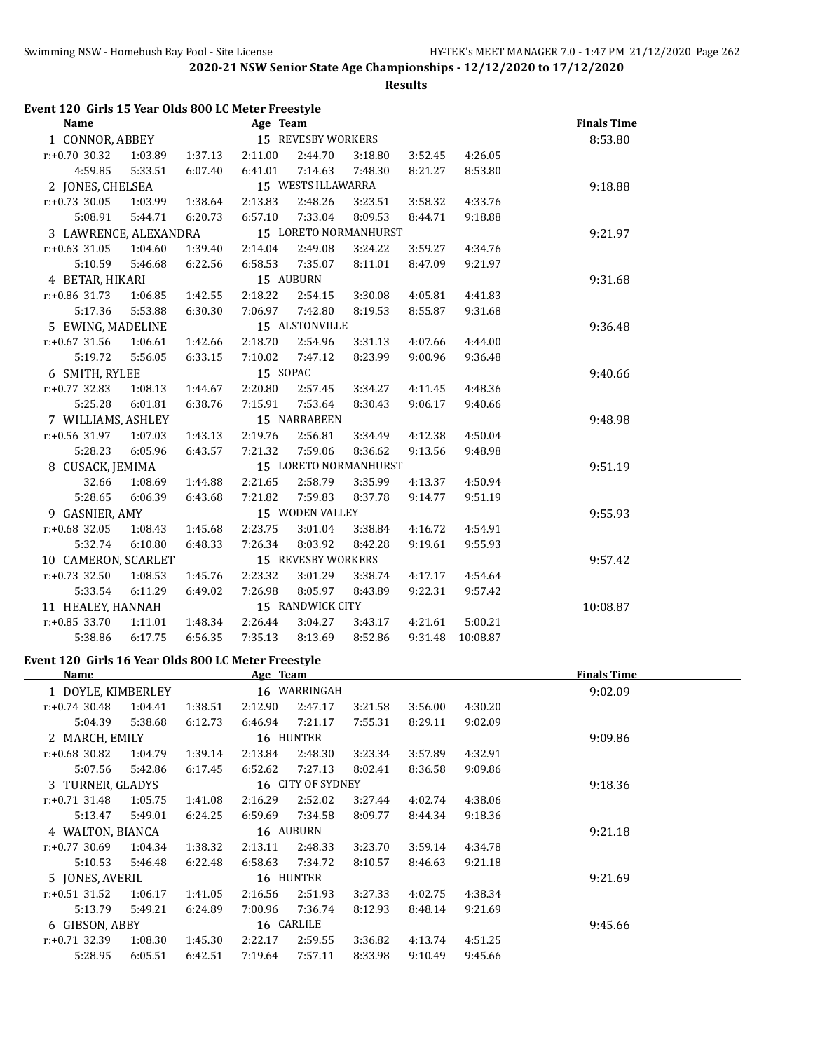**Results**

| Event 120 Girls 15 Year Olds 800 LC Meter Freestyle |  |
|-----------------------------------------------------|--|
|-----------------------------------------------------|--|

|         |                                                                                                                                                                                                                                                                                                                                                                                                                                                                                                                       | Age Team                                     |         |                                       |                                                                                                                         |                                                | <b>Finals Time</b> |
|---------|-----------------------------------------------------------------------------------------------------------------------------------------------------------------------------------------------------------------------------------------------------------------------------------------------------------------------------------------------------------------------------------------------------------------------------------------------------------------------------------------------------------------------|----------------------------------------------|---------|---------------------------------------|-------------------------------------------------------------------------------------------------------------------------|------------------------------------------------|--------------------|
|         |                                                                                                                                                                                                                                                                                                                                                                                                                                                                                                                       |                                              |         |                                       |                                                                                                                         |                                                | 8:53.80            |
| 1:03.89 | 1:37.13                                                                                                                                                                                                                                                                                                                                                                                                                                                                                                               | 2:11.00                                      | 2:44.70 | 3:18.80                               | 3:52.45                                                                                                                 | 4:26.05                                        |                    |
| 5:33.51 | 6:07.40                                                                                                                                                                                                                                                                                                                                                                                                                                                                                                               | 6:41.01                                      | 7:14.63 | 7:48.30                               | 8:21.27                                                                                                                 | 8:53.80                                        |                    |
|         |                                                                                                                                                                                                                                                                                                                                                                                                                                                                                                                       |                                              |         |                                       |                                                                                                                         |                                                | 9:18.88            |
| 1:03.99 | 1:38.64                                                                                                                                                                                                                                                                                                                                                                                                                                                                                                               | 2:13.83                                      | 2:48.26 | 3:23.51                               | 3:58.32                                                                                                                 | 4:33.76                                        |                    |
| 5:44.71 | 6:20.73                                                                                                                                                                                                                                                                                                                                                                                                                                                                                                               | 6:57.10                                      | 7:33.04 | 8:09.53                               | 8:44.71                                                                                                                 | 9:18.88                                        |                    |
|         |                                                                                                                                                                                                                                                                                                                                                                                                                                                                                                                       |                                              |         |                                       |                                                                                                                         |                                                | 9:21.97            |
| 1:04.60 | 1:39.40                                                                                                                                                                                                                                                                                                                                                                                                                                                                                                               | 2:14.04                                      | 2:49.08 | 3:24.22                               | 3:59.27                                                                                                                 | 4:34.76                                        |                    |
| 5:46.68 | 6:22.56                                                                                                                                                                                                                                                                                                                                                                                                                                                                                                               | 6:58.53                                      | 7:35.07 | 8:11.01                               | 8:47.09                                                                                                                 | 9:21.97                                        |                    |
|         |                                                                                                                                                                                                                                                                                                                                                                                                                                                                                                                       |                                              |         |                                       |                                                                                                                         |                                                | 9:31.68            |
| 1:06.85 | 1:42.55                                                                                                                                                                                                                                                                                                                                                                                                                                                                                                               | 2:18.22                                      | 2:54.15 | 3:30.08                               | 4:05.81                                                                                                                 | 4:41.83                                        |                    |
| 5:53.88 | 6:30.30                                                                                                                                                                                                                                                                                                                                                                                                                                                                                                               | 7:06.97                                      | 7:42.80 | 8:19.53                               | 8:55.87                                                                                                                 | 9:31.68                                        |                    |
|         |                                                                                                                                                                                                                                                                                                                                                                                                                                                                                                                       |                                              |         |                                       |                                                                                                                         |                                                | 9:36.48            |
| 1:06.61 | 1:42.66                                                                                                                                                                                                                                                                                                                                                                                                                                                                                                               | 2:18.70                                      | 2:54.96 | 3:31.13                               | 4:07.66                                                                                                                 | 4:44.00                                        |                    |
| 5:56.05 | 6:33.15                                                                                                                                                                                                                                                                                                                                                                                                                                                                                                               | 7:10.02                                      | 7:47.12 | 8:23.99                               | 9:00.96                                                                                                                 | 9:36.48                                        |                    |
|         |                                                                                                                                                                                                                                                                                                                                                                                                                                                                                                                       |                                              |         |                                       |                                                                                                                         |                                                | 9:40.66            |
| 1:08.13 | 1:44.67                                                                                                                                                                                                                                                                                                                                                                                                                                                                                                               | 2:20.80                                      | 2:57.45 | 3:34.27                               | 4:11.45                                                                                                                 | 4:48.36                                        |                    |
| 6:01.81 | 6:38.76                                                                                                                                                                                                                                                                                                                                                                                                                                                                                                               | 7:15.91                                      | 7:53.64 | 8:30.43                               | 9:06.17                                                                                                                 | 9:40.66                                        |                    |
|         |                                                                                                                                                                                                                                                                                                                                                                                                                                                                                                                       |                                              |         |                                       |                                                                                                                         |                                                | 9:48.98            |
| 1:07.03 | 1:43.13                                                                                                                                                                                                                                                                                                                                                                                                                                                                                                               | 2:19.76                                      | 2:56.81 | 3:34.49                               | 4:12.38                                                                                                                 | 4:50.04                                        |                    |
| 6:05.96 | 6:43.57                                                                                                                                                                                                                                                                                                                                                                                                                                                                                                               | 7:21.32                                      | 7:59.06 | 8:36.62                               | 9:13.56                                                                                                                 | 9:48.98                                        |                    |
|         |                                                                                                                                                                                                                                                                                                                                                                                                                                                                                                                       |                                              |         |                                       |                                                                                                                         |                                                | 9:51.19            |
| 1:08.69 | 1:44.88                                                                                                                                                                                                                                                                                                                                                                                                                                                                                                               | 2:21.65                                      | 2:58.79 | 3:35.99                               | 4:13.37                                                                                                                 | 4:50.94                                        |                    |
| 6:06.39 | 6:43.68                                                                                                                                                                                                                                                                                                                                                                                                                                                                                                               | 7:21.82                                      | 7:59.83 | 8:37.78                               | 9:14.77                                                                                                                 | 9:51.19                                        |                    |
|         |                                                                                                                                                                                                                                                                                                                                                                                                                                                                                                                       |                                              |         |                                       |                                                                                                                         |                                                | 9:55.93            |
| 1:08.43 | 1:45.68                                                                                                                                                                                                                                                                                                                                                                                                                                                                                                               | 2:23.75                                      | 3:01.04 | 3:38.84                               | 4:16.72                                                                                                                 | 4:54.91                                        |                    |
| 6:10.80 | 6:48.33                                                                                                                                                                                                                                                                                                                                                                                                                                                                                                               | 7:26.34                                      | 8:03.92 | 8:42.28                               | 9:19.61                                                                                                                 | 9:55.93                                        |                    |
|         |                                                                                                                                                                                                                                                                                                                                                                                                                                                                                                                       |                                              |         |                                       |                                                                                                                         |                                                | 9:57.42            |
| 1:08.53 | 1:45.76                                                                                                                                                                                                                                                                                                                                                                                                                                                                                                               | 2:23.32                                      | 3:01.29 | 3:38.74                               | 4:17.17                                                                                                                 | 4:54.64                                        |                    |
| 6:11.29 | 6:49.02                                                                                                                                                                                                                                                                                                                                                                                                                                                                                                               | 7:26.98                                      | 8:05.97 | 8:43.89                               | 9:22.31                                                                                                                 | 9:57.42                                        |                    |
|         |                                                                                                                                                                                                                                                                                                                                                                                                                                                                                                                       |                                              |         |                                       |                                                                                                                         |                                                | 10:08.87           |
| 1:11.01 | 1:48.34                                                                                                                                                                                                                                                                                                                                                                                                                                                                                                               | 2:26.44                                      | 3:04.27 | 3:43.17                               | 4:21.61                                                                                                                 | 5:00.21                                        |                    |
| 6:17.75 | 6:56.35                                                                                                                                                                                                                                                                                                                                                                                                                                                                                                               | 7:35.13                                      | 8:13.69 | 8:52.86                               | 9:31.48                                                                                                                 | 10:08.87                                       |                    |
|         | 1 CONNOR, ABBEY<br>$r: +0.70$ 30.32<br>4:59.85<br>2 JONES, CHELSEA<br>$r: +0.73$ 30.05<br>5:08.91<br>$r: +0.63$ 31.05<br>5:10.59<br>4 BETAR, HIKARI<br>$r: +0.86$ 31.73<br>5:17.36<br>5 EWING, MADELINE<br>$r: +0.67$ 31.56<br>5:19.72<br>6 SMITH, RYLEE<br>$r: +0.77$ 32.83<br>5:25.28<br>7 WILLIAMS, ASHLEY<br>r:+0.56 31.97<br>5:28.23<br>8 CUSACK, JEMIMA<br>32.66<br>5:28.65<br>9 GASNIER, AMY<br>$r: +0.68$ 32.05<br>5:32.74<br>$r: +0.73$ 32.50<br>5:33.54<br>11 HEALEY, HANNAH<br>$r: +0.85$ 33.70<br>5:38.86 | 3 LAWRENCE, ALEXANDRA<br>10 CAMERON, SCARLET |         | 15 AUBURN<br>15 SOPAC<br>15 NARRABEEN | 15 REVESBY WORKERS<br>15 WESTS ILLAWARRA<br>15 ALSTONVILLE<br>15 WODEN VALLEY<br>15 REVESBY WORKERS<br>15 RANDWICK CITY | 15 LORETO NORMANHURST<br>15 LORETO NORMANHURST |                    |

# **Event 120 Girls 16 Year Olds 800 LC Meter Freestyle**

 $\overline{\phantom{a}}$ 

| Name               |         |           | Age Team     |                   |         |         |         | <b>Finals Time</b> |  |
|--------------------|---------|-----------|--------------|-------------------|---------|---------|---------|--------------------|--|
| 1 DOYLE, KIMBERLEY |         |           | 16 WARRINGAH |                   |         |         | 9:02.09 |                    |  |
| $r: +0.74$ 30.48   | 1:04.41 | 1:38.51   | 2:12.90      | 2:47.17           | 3:21.58 | 3:56.00 | 4:30.20 |                    |  |
| 5:04.39            | 5:38.68 | 6:12.73   | 6:46.94      | 7:21.17           | 7:55.31 | 8:29.11 | 9:02.09 |                    |  |
| 2 MARCH, EMILY     |         |           |              | 16 HUNTER         |         |         |         | 9:09.86            |  |
| r:+0.68 30.82      | 1:04.79 | 1:39.14   | 2:13.84      | 2:48.30           | 3:23.34 | 3:57.89 | 4:32.91 |                    |  |
| 5:07.56            | 5:42.86 | 6:17.45   | 6:52.62      | 7:27.13           | 8:02.41 | 8:36.58 | 9:09.86 |                    |  |
| 3 TURNER, GLADYS   |         |           |              | 16 CITY OF SYDNEY |         |         |         | 9:18.36            |  |
| $r: +0.71$ 31.48   | 1:05.75 | 1:41.08   | 2:16.29      | 2:52.02           | 3:27.44 | 4:02.74 | 4:38.06 |                    |  |
| 5:13.47            | 5:49.01 | 6:24.25   | 6:59.69      | 7:34.58           | 8:09.77 | 8:44.34 | 9:18.36 |                    |  |
| 4 WALTON, BIANCA   |         | 16 AUBURN |              |                   |         |         |         | 9:21.18            |  |
| $r: +0.77$ 30.69   | 1:04.34 | 1:38.32   | 2:13.11      | 2:48.33           | 3:23.70 | 3:59.14 | 4:34.78 |                    |  |
| 5:10.53            | 5:46.48 | 6:22.48   | 6:58.63      | 7:34.72           | 8:10.57 | 8:46.63 | 9:21.18 |                    |  |
| 5 JONES, AVERIL    |         |           |              | 16 HUNTER         |         |         |         | 9:21.69            |  |
| $r: +0.51$ 31.52   | 1:06.17 | 1:41.05   | 2:16.56      | 2:51.93           | 3:27.33 | 4:02.75 | 4:38.34 |                    |  |
| 5:13.79            | 5:49.21 | 6:24.89   | 7:00.96      | 7:36.74           | 8:12.93 | 8:48.14 | 9:21.69 |                    |  |
| 6 GIBSON, ABBY     |         |           |              | 16 CARLILE        |         |         |         | 9:45.66            |  |
| $r: +0.71$ 32.39   | 1:08.30 | 1:45.30   | 2:22.17      | 2:59.55           | 3:36.82 | 4:13.74 | 4:51.25 |                    |  |
| 5:28.95            | 6:05.51 | 6:42.51   | 7:19.64      | 7:57.11           | 8:33.98 | 9:10.49 | 9:45.66 |                    |  |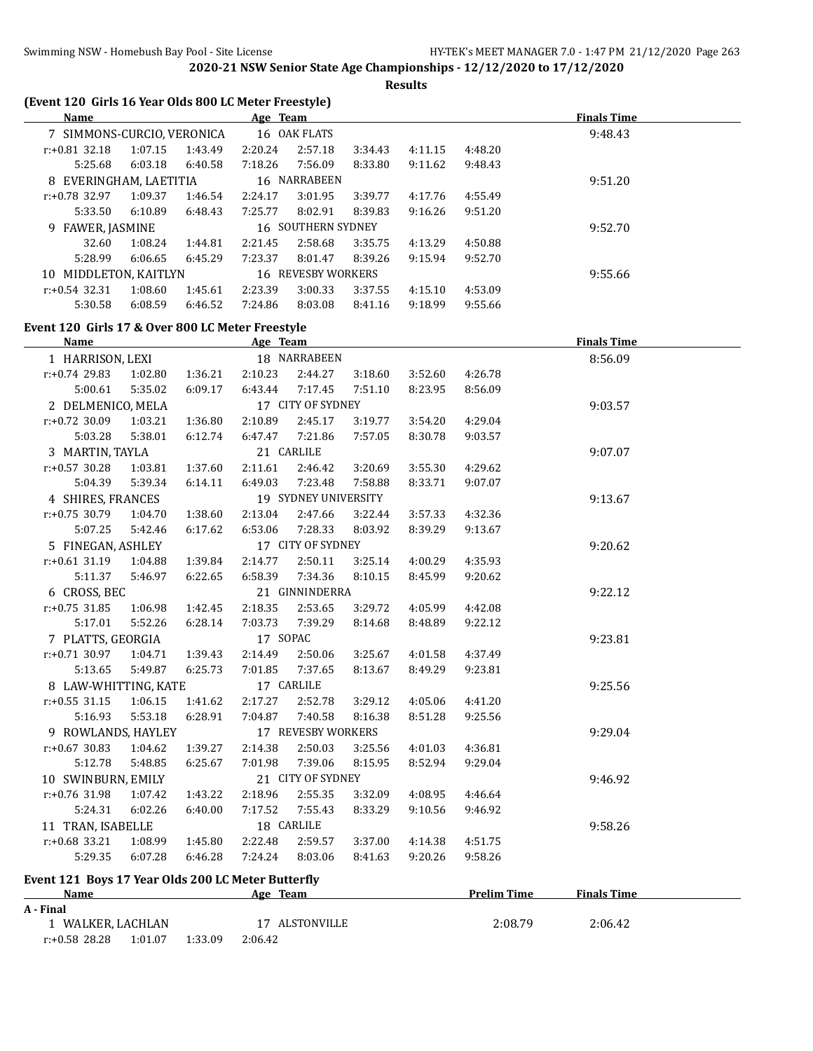**Results**

| (Event 120 Girls 16 Year Olds 800 LC Meter Freestyle) |                    |                    |                    |                      |                    |                    |                    |                    |  |
|-------------------------------------------------------|--------------------|--------------------|--------------------|----------------------|--------------------|--------------------|--------------------|--------------------|--|
| <b>Name</b>                                           |                    |                    | Age Team           |                      |                    |                    |                    | <b>Finals Time</b> |  |
| 7 SIMMONS-CURCIO, VERONICA                            |                    |                    |                    | 16 OAK FLATS         |                    |                    |                    | 9:48.43            |  |
| $r: +0.81$ 32.18                                      | 1:07.15            | 1:43.49            | 2:20.24            | 2:57.18              | 3:34.43            | 4:11.15            | 4:48.20            |                    |  |
| 5:25.68                                               | 6:03.18            | 6:40.58            | 7:18.26            | 7:56.09              | 8:33.80            | 9:11.62            | 9:48.43            |                    |  |
| 8 EVERINGHAM, LAETITIA                                |                    |                    |                    | 16 NARRABEEN         |                    |                    |                    | 9:51.20            |  |
| r:+0.78 32.97                                         | 1:09.37            | 1:46.54            | 2:24.17            | 3:01.95              | 3:39.77            | 4:17.76            | 4:55.49            |                    |  |
| 5:33.50                                               | 6:10.89            | 6:48.43            | 7:25.77            | 8:02.91              | 8:39.83            | 9:16.26            | 9:51.20            |                    |  |
| 9 FAWER, JASMINE                                      |                    |                    |                    | 16 SOUTHERN SYDNEY   |                    |                    |                    | 9:52.70            |  |
| 32.60                                                 | 1:08.24            | 1:44.81            | 2:21.45            | 2:58.68              | 3:35.75            | 4:13.29            | 4:50.88            |                    |  |
| 5:28.99                                               | 6:06.65            | 6:45.29            | 7:23.37            | 8:01.47              | 8:39.26            | 9:15.94            | 9:52.70            |                    |  |
| 10 MIDDLETON, KAITLYN                                 |                    |                    |                    | 16 REVESBY WORKERS   |                    |                    |                    | 9:55.66            |  |
| $r: +0.54$ 32.31                                      | 1:08.60            | 1:45.61            | 2:23.39            | 3:00.33              | 3:37.55            | 4:15.10            | 4:53.09            |                    |  |
| 5:30.58                                               | 6:08.59            | 6:46.52            | 7:24.86            | 8:03.08              | 8:41.16            | 9:18.99            | 9:55.66            |                    |  |
| Event 120 Girls 17 & Over 800 LC Meter Freestyle      |                    |                    |                    |                      |                    |                    |                    |                    |  |
| <b>Name</b>                                           |                    |                    | Age Team           |                      |                    |                    |                    | <b>Finals Time</b> |  |
| 1 HARRISON, LEXI                                      |                    |                    |                    | 18 NARRABEEN         |                    |                    |                    | 8:56.09            |  |
| $r: +0.74$ 29.83                                      | 1:02.80            | 1:36.21            | 2:10.23            | 2:44.27              | 3:18.60            | 3:52.60            | 4:26.78            |                    |  |
| 5:00.61                                               | 5:35.02            | 6:09.17            | 6:43.44            | 7:17.45              | 7:51.10            | 8:23.95            | 8:56.09            |                    |  |
| 2 DELMENICO, MELA                                     |                    |                    |                    | 17 CITY OF SYDNEY    |                    |                    |                    | 9:03.57            |  |
| r:+0.72 30.09                                         | 1:03.21            | 1:36.80            | 2:10.89            | 2:45.17              | 3:19.77            | 3:54.20            | 4:29.04            |                    |  |
| 5:03.28                                               | 5:38.01            | 6:12.74            | 6:47.47            | 7:21.86              | 7:57.05            | 8:30.78            | 9:03.57            |                    |  |
| 3 MARTIN, TAYLA                                       |                    |                    |                    | 21 CARLILE           |                    |                    |                    | 9:07.07            |  |
| $r: +0.57$ 30.28                                      | 1:03.81            | 1:37.60            | 2:11.61            | 2:46.42              | 3:20.69            | 3:55.30            | 4:29.62            |                    |  |
| 5:04.39                                               | 5:39.34            | 6:14.11            | 6:49.03            | 7:23.48              | 7:58.88            | 8:33.71            | 9:07.07            |                    |  |
| 4 SHIRES, FRANCES                                     |                    |                    |                    | 19 SYDNEY UNIVERSITY |                    |                    |                    | 9:13.67            |  |
| $r: +0.75$ 30.79                                      | 1:04.70            | 1:38.60            | 2:13.04            | 2:47.66              | 3:22.44            | 3:57.33            | 4:32.36            |                    |  |
| 5:07.25                                               | 5:42.46            | 6:17.62            | 6:53.06            | 7:28.33              | 8:03.92            | 8:39.29            | 9:13.67            |                    |  |
| 5 FINEGAN, ASHLEY                                     |                    |                    |                    | 17 CITY OF SYDNEY    |                    |                    |                    | 9:20.62            |  |
| $r: +0.61$ 31.19                                      | 1:04.88            | 1:39.84            | 2:14.77            | 2:50.11              | 3:25.14            | 4:00.29            | 4:35.93            |                    |  |
| 5:11.37                                               | 5:46.97            | 6:22.65            | 6:58.39            | 7:34.36              | 8:10.15            | 8:45.99            | 9:20.62            |                    |  |
| 6 CROSS, BEC                                          |                    |                    |                    | 21 GINNINDERRA       |                    |                    |                    | 9:22.12            |  |
| $r: +0.75$ 31.85                                      | 1:06.98            | 1:42.45            | 2:18.35            | 2:53.65              | 3:29.72            | 4:05.99            | 4:42.08            |                    |  |
| 5:17.01                                               | 5:52.26            | 6:28.14            | 7:03.73            | 7:39.29              | 8:14.68            | 8:48.89            | 9:22.12            |                    |  |
| 7 PLATTS, GEORGIA                                     |                    |                    | 17 SOPAC           |                      |                    |                    |                    | 9:23.81            |  |
| r:+0.71 30.97<br>5:13.65                              | 1:04.71            | 1:39.43            | 2:14.49            | 2:50.06              | 3:25.67            | 4:01.58            | 4:37.49<br>9:23.81 |                    |  |
|                                                       | 5:49.87            | 6:25.73            | 7:01.85            | 7:37.65              | 8:13.67            | 8:49.29            |                    |                    |  |
| 8 LAW-WHITTING, KATE                                  |                    |                    |                    | 17 CARLILE           |                    | 4:05.06            |                    | 9:25.56            |  |
| $r: +0.55$ 31.15<br>5:16.93                           | 1:06.15<br>5:53.18 | 1:41.62<br>6:28.91 | 2:17.27<br>7:04.87 | 2:52.78<br>7:40.58   | 3:29.12<br>8:16.38 | 8:51.28            | 4:41.20<br>9:25.56 |                    |  |
|                                                       |                    |                    |                    | 17 REVESBY WORKERS   |                    |                    |                    | 9:29.04            |  |
| 9 ROWLANDS, HAYLEY                                    |                    |                    |                    |                      |                    |                    |                    |                    |  |
| $r: +0.67$ 30.83                                      | 1:04.62<br>5:48.85 | 1:39.27            | 2:14.38<br>7:01.98 | 2:50.03              | 3:25.56            | 4:01.03<br>8:52.94 | 4:36.81            |                    |  |
| 5:12.78                                               |                    | 6:25.67            |                    | 7:39.06              | 8:15.95            |                    | 9:29.04            |                    |  |
| 10 SWINBURN, EMILY                                    |                    |                    |                    | 21 CITY OF SYDNEY    |                    |                    |                    | 9:46.92            |  |
| r:+0.76 31.98                                         | 1:07.42            | 1:43.22            | 2:18.96            | 2:55.35              | 3:32.09            | 4:08.95            | 4:46.64            |                    |  |
| 5:24.31                                               | 6:02.26            | 6:40.00            | 7:17.52            | 7:55.43              | 8:33.29            | 9:10.56            | 9:46.92            |                    |  |
| 11 TRAN, ISABELLE                                     |                    |                    |                    | 18 CARLILE           |                    |                    |                    | 9:58.26            |  |
| r:+0.68 33.21                                         | 1:08.99            | 1:45.80            | 2:22.48            | 2:59.57              | 3:37.00            | 4:14.38            | 4:51.75            |                    |  |
| 5:29.35                                               | 6:07.28            | 6:46.28            | 7:24.24            | 8:03.06              | 8:41.63            | 9:20.26            | 9:58.26            |                    |  |
| Event 121 Boys 17 Year Olds 200 LC Meter Butterfly    |                    |                    |                    |                      |                    |                    |                    |                    |  |
| <u>Name</u>                                           |                    |                    | Age Team           |                      |                    |                    | <b>Prelim Time</b> | <b>Finals Time</b> |  |
| A - Final<br>1 WALKER, LACHLAN                        |                    |                    |                    | 17 ALSTONVILLE       |                    |                    | 2:08.79            | 2:06.42            |  |
| r:+0.58 28.28                                         | 1:01.07            | 1:33.09            | 2:06.42            |                      |                    |                    |                    |                    |  |
|                                                       |                    |                    |                    |                      |                    |                    |                    |                    |  |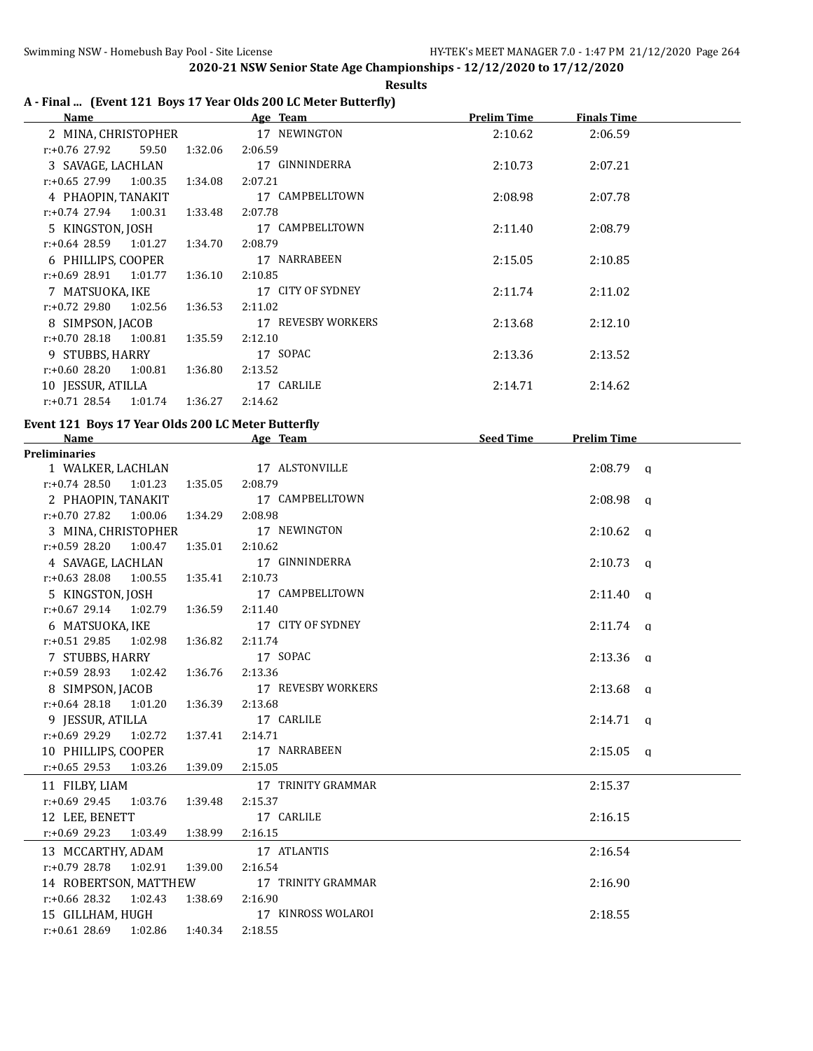r:+0.66 28.32 1:02.43 1:38.69 2:16.90

r:+0.61 28.69 1:02.86 1:40.34 2:18.55

**2020-21 NSW Senior State Age Championships - 12/12/2020 to 17/12/2020 Results**

| <b>Name</b>                                        |         | A - Final  (Event 121 Boys 17 Year Olds 200 LC Meter Butterfly)<br><b>Example 2</b> Age Team | <b>Prelim Time</b>           | <b>Finals Time</b> |  |
|----------------------------------------------------|---------|----------------------------------------------------------------------------------------------|------------------------------|--------------------|--|
| 2 MINA, CHRISTOPHER                                |         | 17 NEWINGTON                                                                                 | 2:10.62                      | 2:06.59            |  |
| r:+0.76 27.92<br>59.50                             | 1:32.06 | 2:06.59                                                                                      |                              |                    |  |
| 3 SAVAGE, LACHLAN                                  |         | 17 GINNINDERRA                                                                               | 2:10.73                      | 2:07.21            |  |
| $r: +0.65$ 27.99 1:00.35                           | 1:34.08 | 2:07.21                                                                                      |                              |                    |  |
| 4 PHAOPIN, TANAKIT                                 |         | 17 CAMPBELLTOWN                                                                              | 2:08.98                      | 2:07.78            |  |
| $r: +0.74$ 27.94<br>1:00.31                        | 1:33.48 | 2:07.78                                                                                      |                              |                    |  |
| 5 KINGSTON, JOSH                                   |         | 17 CAMPBELLTOWN                                                                              | 2:11.40                      | 2:08.79            |  |
| $r: +0.64$ 28.59<br>1:01.27                        | 1:34.70 | 2:08.79                                                                                      |                              |                    |  |
| 6 PHILLIPS, COOPER                                 |         | 17 NARRABEEN                                                                                 | 2:15.05                      | 2:10.85            |  |
| r:+0.69 28.91<br>1:01.77                           | 1:36.10 | 2:10.85                                                                                      |                              |                    |  |
| 7 MATSUOKA, IKE                                    |         | 17 CITY OF SYDNEY                                                                            |                              |                    |  |
| $r: +0.72$ 29.80<br>1:02.56                        |         | 2:11.02                                                                                      | 2:11.74                      | 2:11.02            |  |
|                                                    | 1:36.53 | 17 REVESBY WORKERS                                                                           |                              |                    |  |
| 8 SIMPSON, JACOB                                   |         |                                                                                              | 2:13.68                      | 2:12.10            |  |
| $r: +0.70$ 28.18<br>1:00.81                        | 1:35.59 | 2:12.10                                                                                      |                              |                    |  |
| 9 STUBBS, HARRY                                    |         | 17 SOPAC                                                                                     | 2:13.36                      | 2:13.52            |  |
| $r: +0.60$ 28.20<br>1:00.81                        | 1:36.80 | 2:13.52                                                                                      |                              |                    |  |
| 10 JESSUR, ATILLA                                  |         | 17 CARLILE                                                                                   | 2:14.71                      | 2:14.62            |  |
| $r: +0.71$ 28.54<br>1:01.74                        | 1:36.27 | 2:14.62                                                                                      |                              |                    |  |
| Event 121 Boys 17 Year Olds 200 LC Meter Butterfly |         |                                                                                              |                              |                    |  |
| Name                                               |         | Age Team                                                                                     | <u>Seed Time Prelim Time</u> |                    |  |
| <b>Preliminaries</b>                               |         |                                                                                              |                              |                    |  |
| 1 WALKER, LACHLAN                                  |         | 17 ALSTONVILLE                                                                               |                              | $2:08.79$ q        |  |
| $r: +0.74$ 28.50<br>1:01.23                        | 1:35.05 | 2:08.79                                                                                      |                              |                    |  |
| 2 PHAOPIN, TANAKIT                                 |         | 17 CAMPBELLTOWN                                                                              |                              | $2:08.98$ q        |  |
| $r: +0.70$ 27.82<br>1:00.06                        | 1:34.29 | 2:08.98                                                                                      |                              |                    |  |
| 3 MINA, CHRISTOPHER                                |         | 17 NEWINGTON                                                                                 |                              | $2:10.62$ q        |  |
| $r: +0.59$ 28.20<br>1:00.47                        | 1:35.01 | 2:10.62                                                                                      |                              |                    |  |
| 4 SAVAGE, LACHLAN                                  |         | 17 GINNINDERRA                                                                               |                              | $2:10.73$ q        |  |
| $r: +0.63$ 28.08<br>1:00.55                        | 1:35.41 | 2:10.73                                                                                      |                              |                    |  |
| 5 KINGSTON, JOSH                                   |         | 17 CAMPBELLTOWN                                                                              |                              | $2:11.40$ q        |  |
| $r: +0.67$ 29.14<br>1:02.79                        | 1:36.59 | 2:11.40                                                                                      |                              |                    |  |
| 6 MATSUOKA, IKE                                    |         | 17 CITY OF SYDNEY                                                                            |                              | $2:11.74$ q        |  |
| $r: +0.51$ 29.85<br>1:02.98                        | 1:36.82 | 2:11.74                                                                                      |                              |                    |  |
| 7 STUBBS, HARRY                                    |         | 17 SOPAC                                                                                     |                              | $2:13.36$ q        |  |
| r:+0.59 28.93<br>1:02.42                           | 1:36.76 | 2:13.36                                                                                      |                              |                    |  |
| 8 SIMPSON, JACOB                                   |         | 17 REVESBY WORKERS                                                                           |                              | $2:13.68$ q        |  |
| $r+0.64$ 28.18<br>1:01.20                          | 1:36.39 | 2:13.68                                                                                      |                              |                    |  |
| 9 JESSUR, ATILLA                                   |         | 17 CARLILE                                                                                   |                              | $2:14.71$ q        |  |
| r:+0.69 29.29<br>1:02.72                           | 1:37.41 | 2:14.71                                                                                      |                              |                    |  |
| 10 PHILLIPS, COOPER                                |         | 17 NARRABEEN                                                                                 |                              | $2:15.05$ a        |  |
| $r: +0.65$ 29.53<br>1:03.26                        | 1:39.09 | 2:15.05                                                                                      |                              |                    |  |
| 11 FILBY, LIAM                                     |         | 17 TRINITY GRAMMAR                                                                           |                              | 2:15.37            |  |
| r:+0.69 29.45<br>1:03.76                           | 1:39.48 | 2:15.37                                                                                      |                              |                    |  |
|                                                    |         | 17 CARLILE                                                                                   |                              |                    |  |
| 12 LEE, BENETT<br>r:+0.69 29.23                    |         |                                                                                              |                              | 2:16.15            |  |
| 1:03.49                                            | 1:38.99 | 2:16.15                                                                                      |                              |                    |  |
| 13 MCCARTHY, ADAM                                  |         | 17 ATLANTIS                                                                                  |                              | 2:16.54            |  |
| r:+0.79 28.78<br>1:02.91                           | 1:39.00 | 2:16.54                                                                                      |                              |                    |  |
| 14 ROBERTSON, MATTHEW                              |         | 17 TRINITY GRAMMAR                                                                           |                              | 2:16.90            |  |

15 GILLHAM, HUGH 17 KINROSS WOLAROI 2:18.55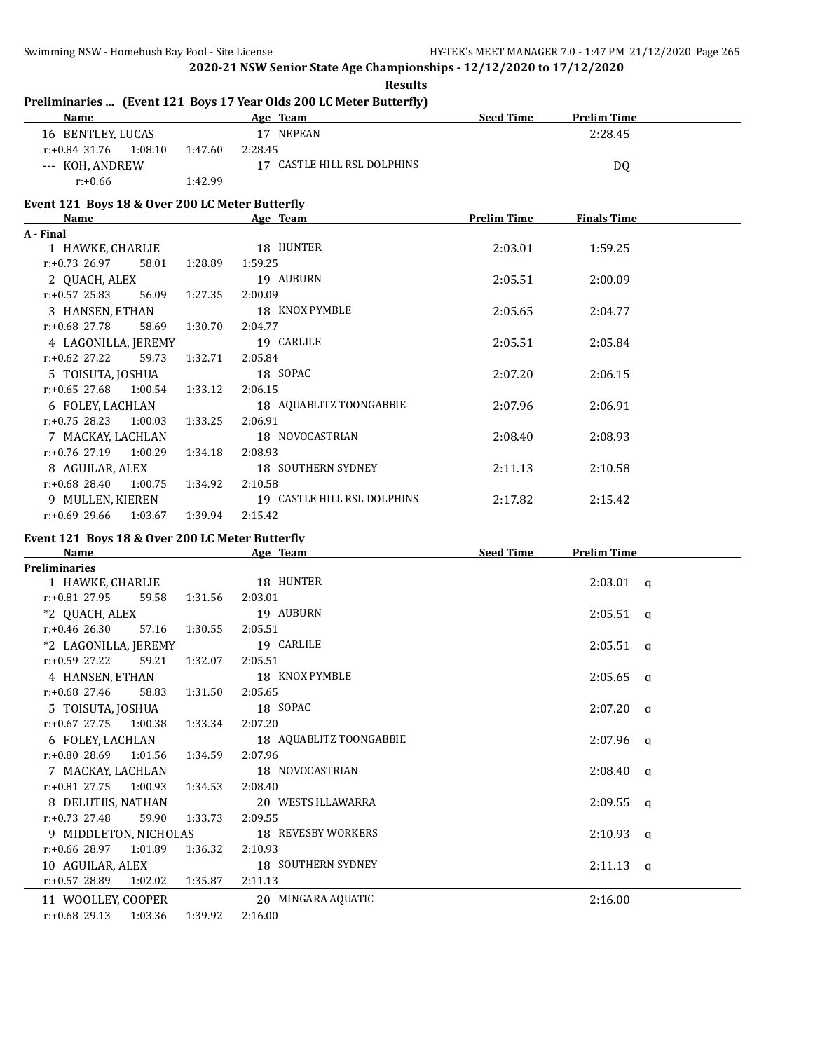| Name                                            |         | Preliminaries  (Event 121 Boys 17 Year Olds 200 LC Meter Butterfly)<br>Age Team | <b>Seed Time</b>   | <b>Prelim Time</b> |              |
|-------------------------------------------------|---------|---------------------------------------------------------------------------------|--------------------|--------------------|--------------|
| 16 BENTLEY, LUCAS                               |         | 17 NEPEAN                                                                       |                    | 2:28.45            |              |
|                                                 |         |                                                                                 |                    |                    |              |
| $r: +0.84$ 31.76<br>1:08.10                     | 1:47.60 | 2:28.45<br>17 CASTLE HILL RSL DOLPHINS                                          |                    |                    |              |
| --- KOH, ANDREW                                 |         |                                                                                 |                    | DQ                 |              |
| $r: +0.66$                                      | 1:42.99 |                                                                                 |                    |                    |              |
| Event 121 Boys 18 & Over 200 LC Meter Butterfly |         |                                                                                 |                    |                    |              |
| Name                                            |         | Age Team                                                                        | <b>Prelim Time</b> | <b>Finals Time</b> |              |
| A - Final                                       |         |                                                                                 |                    |                    |              |
| 1 HAWKE, CHARLIE                                |         | 18 HUNTER                                                                       | 2:03.01            | 1:59.25            |              |
| $r: +0.73$ 26.97<br>58.01                       | 1:28.89 | 1:59.25                                                                         |                    |                    |              |
| 2 QUACH, ALEX                                   |         | 19 AUBURN                                                                       | 2:05.51            | 2:00.09            |              |
| $r: +0.57$ 25.83<br>56.09                       | 1:27.35 | 2:00.09                                                                         |                    |                    |              |
| 3 HANSEN, ETHAN                                 |         | 18 KNOX PYMBLE                                                                  | 2:05.65            | 2:04.77            |              |
| r:+0.68 27.78<br>58.69                          | 1:30.70 | 2:04.77                                                                         |                    |                    |              |
| 4 LAGONILLA, JEREMY                             |         | 19 CARLILE                                                                      | 2:05.51            | 2:05.84            |              |
| r:+0.62 27.22<br>59.73                          | 1:32.71 | 2:05.84                                                                         |                    |                    |              |
| 5 TOISUTA, JOSHUA                               |         | 18 SOPAC                                                                        | 2:07.20            | 2:06.15            |              |
| $r: +0.65$ 27.68<br>1:00.54                     | 1:33.12 | 2:06.15                                                                         |                    |                    |              |
| 6 FOLEY, LACHLAN                                |         | 18 AQUABLITZ TOONGABBIE                                                         | 2:07.96            | 2:06.91            |              |
| $r: +0.75$ 28.23<br>1:00.03                     | 1:33.25 | 2:06.91                                                                         |                    |                    |              |
| 7 MACKAY, LACHLAN                               |         | 18 NOVOCASTRIAN                                                                 | 2:08.40            | 2:08.93            |              |
| r:+0.76 27.19<br>1:00.29                        | 1:34.18 | 2:08.93                                                                         |                    |                    |              |
| 8 AGUILAR, ALEX                                 |         | 18 SOUTHERN SYDNEY                                                              | 2:11.13            | 2:10.58            |              |
| r:+0.68 28.40<br>1:00.75                        | 1:34.92 | 2:10.58                                                                         |                    |                    |              |
| 9 MULLEN, KIEREN                                |         | 19 CASTLE HILL RSL DOLPHINS                                                     | 2:17.82            | 2:15.42            |              |
| $r: +0.69$ 29.66<br>1:03.67                     | 1:39.94 | 2:15.42                                                                         |                    |                    |              |
| Event 121 Boys 18 & Over 200 LC Meter Butterfly |         |                                                                                 |                    |                    |              |
| Name                                            |         | Age Team                                                                        | <b>Seed Time</b>   | <b>Prelim Time</b> |              |
| <b>Preliminaries</b>                            |         |                                                                                 |                    |                    |              |
| 1 HAWKE, CHARLIE                                |         | 18 HUNTER                                                                       |                    | $2:03.01$ q        |              |
| r:+0.81 27.95<br>59.58                          | 1:31.56 | 2:03.01                                                                         |                    |                    |              |
| *2 QUACH, ALEX                                  |         | 19 AUBURN                                                                       |                    | $2:05.51$ q        |              |
| $r: +0.46$ 26.30<br>57.16                       | 1:30.55 | 2:05.51                                                                         |                    |                    |              |
| *2 LAGONILLA, JEREMY                            |         | 19 CARLILE                                                                      |                    | $2:05.51$ q        |              |
| r:+0.59 27.22<br>59.21                          | 1:32.07 | 2:05.51                                                                         |                    |                    |              |
| 4 HANSEN, ETHAN                                 |         | 18 KNOX PYMBLE                                                                  |                    | 2:05.65            | $\mathbf{q}$ |
| 58.83<br>r:+0.68 27.46                          | 1:31.50 | 2:05.65                                                                         |                    |                    |              |
| 5 TOISUTA, JOSHUA                               |         | 18 SOPAC                                                                        |                    | 2:07.20            | $\alpha$     |
| $r: +0.67$ 27.75<br>1:00.38                     | 1:33.34 | 2:07.20                                                                         |                    |                    |              |
| 6 FOLEY, LACHLAN                                |         | 18 AQUABLITZ TOONGABBIE                                                         |                    | $2:07.96$ q        |              |
| r:+0.80 28.69<br>1:01.56                        | 1:34.59 | 2:07.96                                                                         |                    |                    |              |
| 7 MACKAY, LACHLAN                               |         | 18 NOVOCASTRIAN                                                                 |                    | 2:08.40            | q            |
| r:+0.81 27.75<br>1:00.93                        | 1:34.53 | 2:08.40                                                                         |                    |                    |              |
| 8 DELUTIIS, NATHAN                              |         | 20 WESTS ILLAWARRA                                                              |                    | 2:09.55            | q            |
| r:+0.73 27.48<br>59.90                          | 1:33.73 | 2:09.55                                                                         |                    |                    |              |
| 9 MIDDLETON, NICHOLAS                           |         | 18 REVESBY WORKERS                                                              |                    | 2:10.93            | $\alpha$     |
| r:+0.66 28.97<br>1:01.89                        | 1:36.32 | 2:10.93                                                                         |                    |                    |              |
| 10 AGUILAR, ALEX                                |         | 18 SOUTHERN SYDNEY                                                              |                    | $2:11.13$ q        |              |
| r:+0.57 28.89<br>1:02.02                        | 1:35.87 | 2:11.13                                                                         |                    |                    |              |
| 11 WOOLLEY, COOPER                              |         | 20 MINGARA AQUATIC                                                              |                    | 2:16.00            |              |

r:+0.68 29.13 1:03.36 1:39.92 2:16.00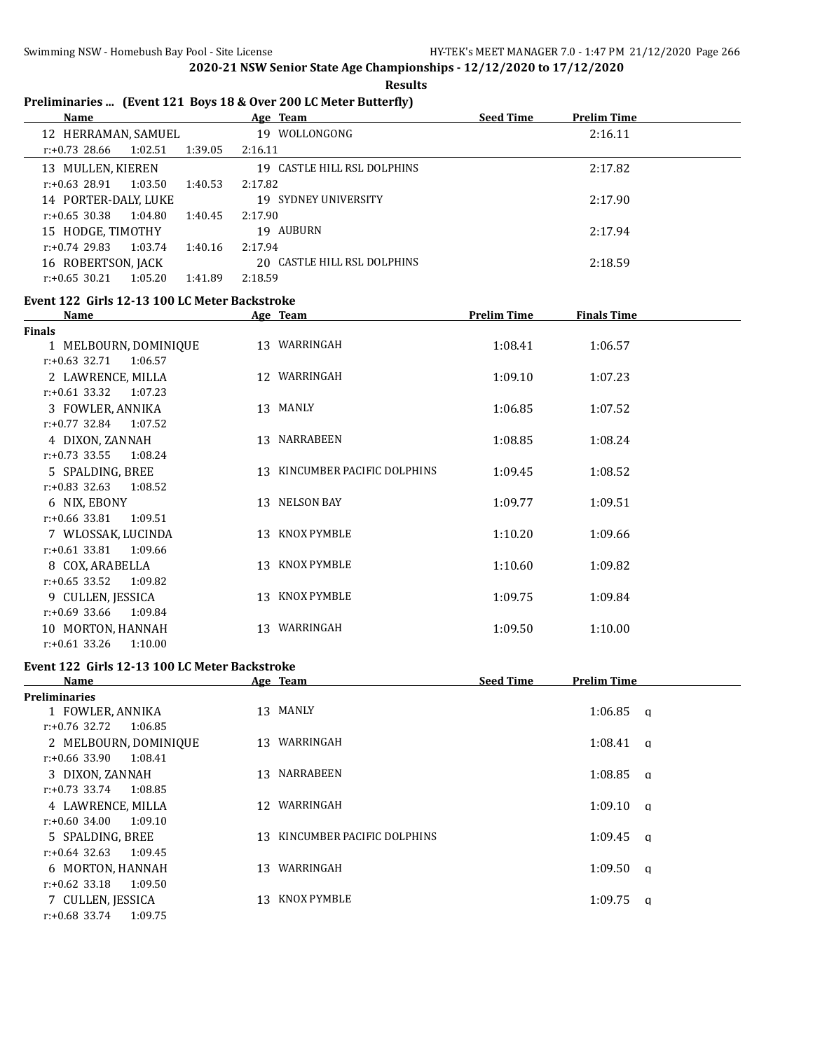#### **Results**

# **Preliminaries ... (Event 121 Boys 18 & Over 200 LC Meter Butterfly)**

|                      | <b>Name</b>        |         |                      | Age Team                    | <b>Seed Time</b> | <b>Prelim Time</b> |  |
|----------------------|--------------------|---------|----------------------|-----------------------------|------------------|--------------------|--|
| 12 HERRAMAN, SAMUEL  |                    |         | WOLLONGONG<br>19     |                             | 2:16.11          |                    |  |
|                      | r:+0.73 28.66      | 1:02.51 | 1:39.05              | 2:16.11                     |                  |                    |  |
|                      | 13 MULLEN, KIEREN  |         |                      | 19 CASTLE HILL RSL DOLPHINS |                  | 2:17.82            |  |
|                      | $r: +0.63$ 28.91   | 1:03.50 | 1:40.53              | 2:17.82                     |                  |                    |  |
| 14 PORTER-DALY, LUKE |                    |         | 19 SYDNEY UNIVERSITY |                             | 2:17.90          |                    |  |
|                      | $r: +0.65$ 30.38   | 1:04.80 | 1:40.45              | 2:17.90                     |                  |                    |  |
|                      | 15 HODGE, TIMOTHY  |         |                      | 19 AUBURN                   |                  | 2:17.94            |  |
|                      | $r: +0.74$ 29.83   | 1:03.74 | 1:40.16              | 2:17.94                     |                  |                    |  |
|                      | 16 ROBERTSON, JACK |         |                      | 20 CASTLE HILL RSL DOLPHINS |                  | 2:18.59            |  |
|                      | $r: +0.65$ 30.21   | 1:05.20 | 1:41.89              | 2:18.59                     |                  |                    |  |

#### **Event 122 Girls 12-13 100 LC Meter Backstroke**

| <b>Name</b>                 | Age Team                      | <b>Prelim Time</b> | <b>Finals Time</b> |  |
|-----------------------------|-------------------------------|--------------------|--------------------|--|
| <b>Finals</b>               |                               |                    |                    |  |
| 1 MELBOURN, DOMINIQUE       | 13 WARRINGAH                  | 1:08.41            | 1:06.57            |  |
| $r: +0.63$ 32.71<br>1:06.57 |                               |                    |                    |  |
| 2 LAWRENCE, MILLA           | 12 WARRINGAH                  | 1:09.10            | 1:07.23            |  |
| $r: +0.61$ 33.32<br>1:07.23 |                               |                    |                    |  |
| 3 FOWLER, ANNIKA            | 13 MANLY                      | 1:06.85            | 1:07.52            |  |
| $r: +0.77$ 32.84<br>1:07.52 |                               |                    |                    |  |
| 4 DIXON, ZANNAH             | 13 NARRABEEN                  | 1:08.85            | 1:08.24            |  |
| $r: +0.73$ 33.55<br>1:08.24 |                               |                    |                    |  |
| 5 SPALDING, BREE            | 13 KINCUMBER PACIFIC DOLPHINS | 1:09.45            | 1:08.52            |  |
| $r: +0.83$ 32.63<br>1:08.52 |                               |                    |                    |  |
| 6 NIX, EBONY                | 13 NELSON BAY                 | 1:09.77            | 1:09.51            |  |
| $r: +0.66$ 33.81<br>1:09.51 |                               |                    |                    |  |
| 7 WLOSSAK, LUCINDA          | 13 KNOX PYMBLE                | 1:10.20            | 1:09.66            |  |
| $r: +0.61$ 33.81<br>1:09.66 |                               |                    |                    |  |
| 8 COX, ARABELLA             | 13 KNOX PYMBLE                | 1:10.60            | 1:09.82            |  |
| $r: +0.65$ 33.52<br>1:09.82 |                               |                    |                    |  |
| 9 CULLEN, JESSICA           | 13 KNOX PYMBLE                | 1:09.75            | 1:09.84            |  |
| $r: +0.69$ 33.66<br>1:09.84 |                               |                    |                    |  |
| 10 MORTON, HANNAH           | 13 WARRINGAH                  | 1:09.50            | 1:10.00            |  |
| $r: +0.61$ 33.26<br>1:10.00 |                               |                    |                    |  |

# **Event 122 Girls 12-13 100 LC Meter Backstroke**

| <b>Name</b>                 |                 | Age Team                      | <b>Seed Time</b> | <b>Prelim Time</b>  |  |
|-----------------------------|-----------------|-------------------------------|------------------|---------------------|--|
| <b>Preliminaries</b>        |                 |                               |                  |                     |  |
| 1 FOWLER, ANNIKA            |                 | 13 MANLY                      |                  | 1:06.85<br>a        |  |
| r:+0.76 32.72<br>1:06.85    |                 |                               |                  |                     |  |
| 2 MELBOURN, DOMINIQUE       | 13              | WARRINGAH                     |                  | 1:08.41<br>a        |  |
| 1:08.41<br>r:+0.66 33.90    |                 |                               |                  |                     |  |
| 3 DIXON, ZANNAH             |                 | 13 NARRABEEN                  |                  | 1:08.85<br><b>a</b> |  |
| r:+0.73 33.74<br>1:08.85    |                 |                               |                  |                     |  |
| 4 LAWRENCE, MILLA           | 12 <sup>1</sup> | WARRINGAH                     |                  | 1:09.10<br>$\alpha$ |  |
| r:+0.60 34.00<br>1:09.10    |                 |                               |                  |                     |  |
| 5 SPALDING, BREE            |                 | 13 KINCUMBER PACIFIC DOLPHINS |                  | 1:09.45<br>$\alpha$ |  |
| $r: +0.64$ 32.63<br>1:09.45 |                 |                               |                  |                     |  |
| 6 MORTON, HANNAH            | 13              | WARRINGAH                     |                  | 1:09.50<br>a        |  |
| $r: +0.62$ 33.18<br>1:09.50 |                 |                               |                  |                     |  |
| 7 CULLEN, JESSICA           |                 | 13 KNOX PYMBLE                |                  | 1:09.75<br>a        |  |
| $r: +0.68$ 33.74<br>1:09.75 |                 |                               |                  |                     |  |
|                             |                 |                               |                  |                     |  |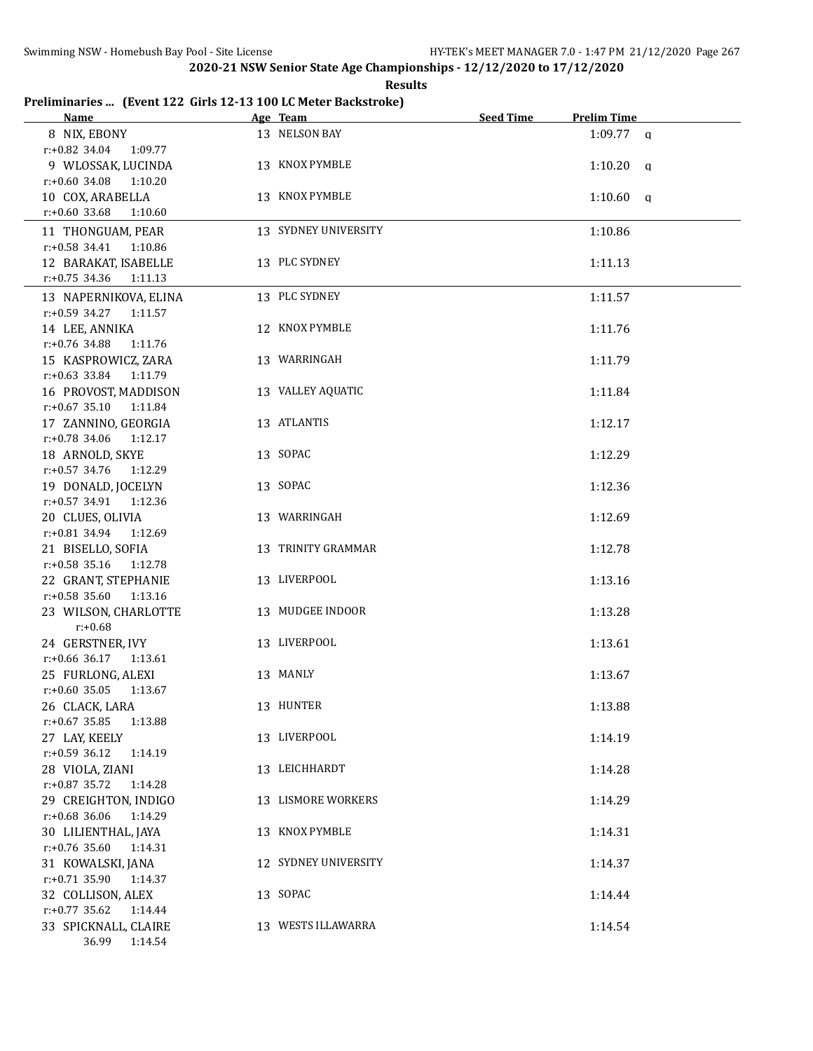| Results |
|---------|
|---------|

## **Preliminaries ... (Event 122 Girls 12-13 100 LC Meter Backstroke)**

| Name and the same state of the state of the state of the state of the state of the state of the state of the state of the state of the state of the state of the state of the state of the state of the state of the state of | Age Team             | Seed Time | <b>Prelim Time</b> |
|-------------------------------------------------------------------------------------------------------------------------------------------------------------------------------------------------------------------------------|----------------------|-----------|--------------------|
| 8 NIX, EBONY                                                                                                                                                                                                                  | 13 NELSON BAY        |           | $1:09.77$ q        |
| r:+0.82 34.04 1:09.77                                                                                                                                                                                                         |                      |           |                    |
| 9 WLOSSAK, LUCINDA                                                                                                                                                                                                            | 13 KNOX PYMBLE       |           | $1:10.20$ q        |
| $r: +0.60$ 34.08<br>1:10.20                                                                                                                                                                                                   |                      |           |                    |
| 10 COX, ARABELLA                                                                                                                                                                                                              | 13 KNOX PYMBLE       |           | $1:10.60$ q        |
| $r: +0.60$ 33.68<br>1:10.60                                                                                                                                                                                                   |                      |           |                    |
| 11 THONGUAM, PEAR                                                                                                                                                                                                             | 13 SYDNEY UNIVERSITY |           | 1:10.86            |
| r:+0.58 34.41 1:10.86                                                                                                                                                                                                         |                      |           |                    |
| 12 BARAKAT, ISABELLE                                                                                                                                                                                                          | 13 PLC SYDNEY        |           | 1:11.13            |
| r:+0.75 34.36 1:11.13                                                                                                                                                                                                         |                      |           |                    |
| 13 NAPERNIKOVA, ELINA                                                                                                                                                                                                         | 13 PLC SYDNEY        |           |                    |
| $r.+0.59$ 34.27 1:11.57                                                                                                                                                                                                       |                      |           | 1:11.57            |
| 14 LEE, ANNIKA                                                                                                                                                                                                                | 12 KNOX PYMBLE       |           | 1:11.76            |
| r:+0.76 34.88 1:11.76                                                                                                                                                                                                         |                      |           |                    |
| 15 KASPROWICZ, ZARA                                                                                                                                                                                                           | 13 WARRINGAH         |           | 1:11.79            |
| r:+0.63 33.84 1:11.79                                                                                                                                                                                                         |                      |           |                    |
|                                                                                                                                                                                                                               | 13 VALLEY AQUATIC    |           |                    |
| 16 PROVOST, MADDISON                                                                                                                                                                                                          |                      |           | 1:11.84            |
| $r.+0.67$ 35.10 1:11.84                                                                                                                                                                                                       |                      |           |                    |
| 17 ZANNINO, GEORGIA                                                                                                                                                                                                           | 13 ATLANTIS          |           | 1:12.17            |
| $r.+0.78$ 34.06 1:12.17                                                                                                                                                                                                       |                      |           |                    |
| 18 ARNOLD, SKYE                                                                                                                                                                                                               | 13 SOPAC             |           | 1:12.29            |
| r:+0.57 34.76 1:12.29                                                                                                                                                                                                         |                      |           |                    |
| 19 DONALD, JOCELYN                                                                                                                                                                                                            | 13 SOPAC             |           | 1:12.36            |
| r:+0.57 34.91 1:12.36                                                                                                                                                                                                         |                      |           |                    |
| 20 CLUES, OLIVIA                                                                                                                                                                                                              | 13 WARRINGAH         |           | 1:12.69            |
| r:+0.81 34.94 1:12.69                                                                                                                                                                                                         |                      |           |                    |
| 21 BISELLO, SOFIA                                                                                                                                                                                                             | 13 TRINITY GRAMMAR   |           | 1:12.78            |
| $r: +0.58$ 35.16<br>1:12.78                                                                                                                                                                                                   |                      |           |                    |
| 22 GRANT, STEPHANIE                                                                                                                                                                                                           | 13 LIVERPOOL         |           | 1:13.16            |
| $r: +0.58$ 35.60<br>1:13.16                                                                                                                                                                                                   |                      |           |                    |
| 23 WILSON, CHARLOTTE                                                                                                                                                                                                          | 13 MUDGEE INDOOR     |           | 1:13.28            |
| $r: +0.68$                                                                                                                                                                                                                    |                      |           |                    |
| 24 GERSTNER, IVY                                                                                                                                                                                                              | 13 LIVERPOOL         |           | 1:13.61            |
| r:+0.66 36.17 1:13.61                                                                                                                                                                                                         |                      |           |                    |
| 25 FURLONG, ALEXI                                                                                                                                                                                                             | 13 MANLY             |           | 1:13.67            |
| $r: +0.60$ 35.05 1:13.67                                                                                                                                                                                                      |                      |           |                    |
| 26 CLACK, LARA                                                                                                                                                                                                                | 13 HUNTER            |           | 1:13.88            |
| $r: +0.67$ 35.85<br>1:13.88                                                                                                                                                                                                   |                      |           |                    |
| 27 LAY, KEELY                                                                                                                                                                                                                 | 13 LIVERPOOL         |           | 1:14.19            |
| $r: +0.59$ 36.12<br>1:14.19                                                                                                                                                                                                   |                      |           |                    |
| 28 VIOLA, ZIANI                                                                                                                                                                                                               | 13 LEICHHARDT        |           | 1:14.28            |
| $r: +0.87$ 35.72<br>1:14.28                                                                                                                                                                                                   |                      |           |                    |
| 29 CREIGHTON, INDIGO                                                                                                                                                                                                          | 13 LISMORE WORKERS   |           | 1:14.29            |
| r:+0.68 36.06<br>1:14.29                                                                                                                                                                                                      |                      |           |                    |
| 30 LILIENTHAL, JAYA                                                                                                                                                                                                           | 13 KNOX PYMBLE       |           | 1:14.31            |
| $r: +0.76$ 35.60<br>1:14.31                                                                                                                                                                                                   |                      |           |                    |
| 31 KOWALSKI, JANA                                                                                                                                                                                                             | 12 SYDNEY UNIVERSITY |           | 1:14.37            |
| $r.+0.71$ 35.90<br>1:14.37                                                                                                                                                                                                    |                      |           |                    |
| 32 COLLISON, ALEX                                                                                                                                                                                                             | 13 SOPAC             |           | 1:14.44            |
| r:+0.77 35.62 1:14.44                                                                                                                                                                                                         |                      |           |                    |
| 33 SPICKNALL, CLAIRE                                                                                                                                                                                                          | 13 WESTS ILLAWARRA   |           | 1:14.54            |
| 36.99<br>1:14.54                                                                                                                                                                                                              |                      |           |                    |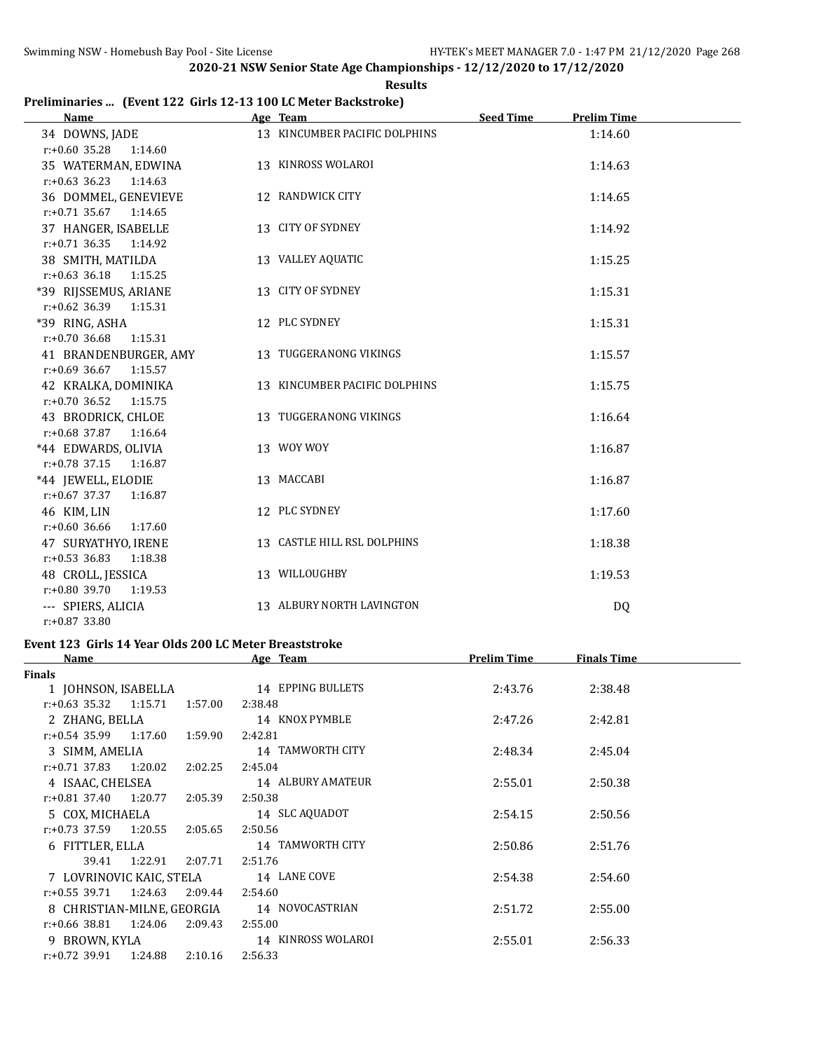# **Preliminaries ... (Event 122 Girls 12-13 100 LC Meter Backstroke)**

| <b>Name</b>                                    | Age Team                      | <b>Seed Time</b> | <b>Prelim Time</b> |  |
|------------------------------------------------|-------------------------------|------------------|--------------------|--|
| 34 DOWNS, JADE                                 | 13 KINCUMBER PACIFIC DOLPHINS |                  | 1:14.60            |  |
| $r: +0.60$ 35.28 1:14.60                       |                               |                  |                    |  |
| 35 WATERMAN, EDWINA                            | 13 KINROSS WOLAROI            |                  | 1:14.63            |  |
| $r: +0.63$ 36.23<br>1:14.63                    |                               |                  |                    |  |
| 36 DOMMEL, GENEVIEVE                           | 12 RANDWICK CITY              |                  | 1:14.65            |  |
| $r: +0.71$ 35.67 1:14.65                       |                               |                  |                    |  |
| 37 HANGER, ISABELLE                            | 13 CITY OF SYDNEY             |                  | 1:14.92            |  |
| $r: +0.71$ 36.35<br>1:14.92                    |                               |                  |                    |  |
| 38 SMITH, MATILDA                              | 13 VALLEY AQUATIC             |                  | 1:15.25            |  |
| $r: +0.63$ 36.18<br>1:15.25                    |                               |                  |                    |  |
| *39 RIJSSEMUS, ARIANE                          | 13 CITY OF SYDNEY             |                  | 1:15.31            |  |
| $r: +0.62$ 36.39<br>1:15.31                    |                               |                  |                    |  |
| *39 RING, ASHA                                 | 12 PLC SYDNEY                 |                  | 1:15.31            |  |
| $r: +0.70$ 36.68<br>1:15.31                    |                               |                  |                    |  |
| 41 BRANDENBURGER, AMY                          | 13 TUGGERANONG VIKINGS        |                  | 1:15.57            |  |
| $r: +0.69$ 36.67 1:15.57                       |                               |                  |                    |  |
| 42 KRALKA, DOMINIKA                            | 13 KINCUMBER PACIFIC DOLPHINS |                  | 1:15.75            |  |
| $r: +0.70$ 36.52<br>1:15.75                    |                               |                  |                    |  |
| 43 BRODRICK, CHLOE                             | 13 TUGGERANONG VIKINGS        |                  | 1:16.64            |  |
| $r.+0.68$ 37.87 1:16.64                        | 13 WOY WOY                    |                  | 1:16.87            |  |
| *44 EDWARDS, OLIVIA<br>$r.+0.78$ 37.15 1:16.87 |                               |                  |                    |  |
| *44 JEWELL, ELODIE                             | 13 MACCABI                    |                  | 1:16.87            |  |
| $r.+0.67$ 37.37 1:16.87                        |                               |                  |                    |  |
| 46 KIM, LIN                                    | 12 PLC SYDNEY                 |                  | 1:17.60            |  |
| $r: +0.60$ 36.66<br>1:17.60                    |                               |                  |                    |  |
| 47 SURYATHYO, IRENE                            | 13 CASTLE HILL RSL DOLPHINS   |                  | 1:18.38            |  |
| $r: +0.53$ 36.83<br>1:18.38                    |                               |                  |                    |  |
| 48 CROLL, JESSICA                              | 13 WILLOUGHBY                 |                  | 1:19.53            |  |
| $r: +0.80$ 39.70<br>1:19.53                    |                               |                  |                    |  |
| --- SPIERS, ALICIA                             | 13 ALBURY NORTH LAVINGTON     |                  | <b>DQ</b>          |  |
| r:+0.87 33.80                                  |                               |                  |                    |  |

# **Event 123 Girls 14 Year Olds 200 LC Meter Breaststroke**

| Name                       |                    | Age Team           | <b>Prelim Time</b> | <b>Finals Time</b> |  |
|----------------------------|--------------------|--------------------|--------------------|--------------------|--|
| <b>Finals</b>              |                    |                    |                    |                    |  |
| 1 JOHNSON, ISABELLA        |                    | 14 EPPING BULLETS  | 2:43.76            | 2:38.48            |  |
| $r: +0.63$ 35.32 1:15.71   | 1:57.00            | 2:38.48            |                    |                    |  |
| 2 ZHANG, BELLA             |                    | 14 KNOX PYMBLE     | 2:47.26            | 2:42.81            |  |
| $r: +0.54$ 35.99 1:17.60   | 1:59.90            | 2:42.81            |                    |                    |  |
| 3 SIMM, AMELIA             |                    | 14 TAMWORTH CITY   | 2:48.34            | 2:45.04            |  |
| $r: +0.71$ 37.83 1:20.02   | 2:02.25            | 2:45.04            |                    |                    |  |
| 4 ISAAC, CHELSEA           |                    | 14 ALBURY AMATEUR  | 2:55.01            | 2:50.38            |  |
| $r: +0.81$ 37.40 1:20.77   | 2:05.39            | 2:50.38            |                    |                    |  |
| 5 COX, MICHAELA            |                    | 14 SLC AQUADOT     | 2:54.15            | 2:50.56            |  |
| r:+0.73 37.59              | 1:20.55<br>2:05.65 | 2:50.56            |                    |                    |  |
| 6 FITTLER, ELLA            |                    | 14 TAMWORTH CITY   | 2:50.86            | 2:51.76            |  |
| 39.41                      | 1:22.91<br>2:07.71 | 2:51.76            |                    |                    |  |
| 7 LOVRINOVIC KAIC, STELA   |                    | 14 LANE COVE       | 2:54.38            | 2:54.60            |  |
| $r: +0.55$ 39.71 1:24.63   | 2:09.44            | 2:54.60            |                    |                    |  |
| 8 CHRISTIAN-MILNE, GEORGIA |                    | 14 NOVOCASTRIAN    | 2:51.72            | 2:55.00            |  |
| $r: +0.66$ 38.81 1:24.06   | 2:09.43            | 2:55.00            |                    |                    |  |
| 9 BROWN, KYLA              |                    | 14 KINROSS WOLAROI | 2:55.01            | 2:56.33            |  |
| r:+0.72 39.91              | 1:24.88<br>2:10.16 | 2:56.33            |                    |                    |  |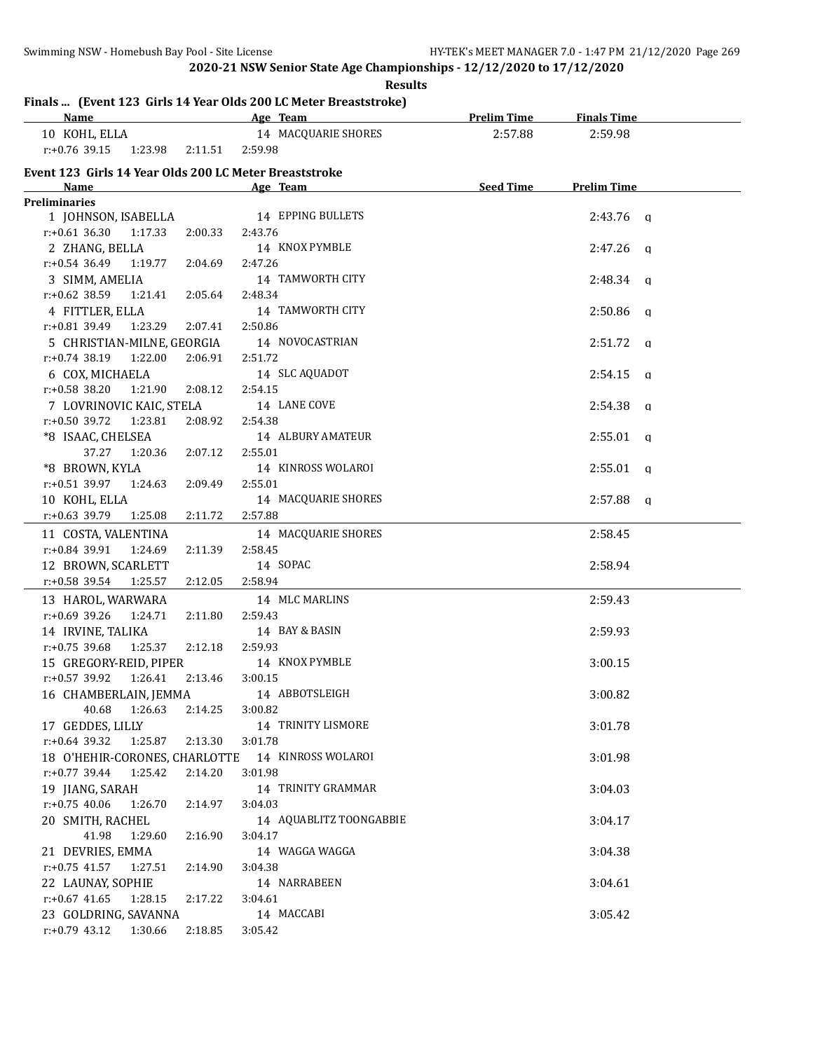|                                                                          | <b>Results</b>          |                    |                         |  |
|--------------------------------------------------------------------------|-------------------------|--------------------|-------------------------|--|
| Finals  (Event 123 Girls 14 Year Olds 200 LC Meter Breaststroke)<br>Name | Age Team                | <b>Prelim Time</b> | <b>Finals Time</b>      |  |
| 10 KOHL, ELLA                                                            | 14 MACQUARIE SHORES     | 2:57.88            | 2:59.98                 |  |
| $r: +0.76$ 39.15<br>1:23.98<br>2:11.51                                   | 2:59.98                 |                    |                         |  |
| Event 123 Girls 14 Year Olds 200 LC Meter Breaststroke                   |                         |                    |                         |  |
| Name                                                                     | Age Team                | Seed Time          | <b>Prelim Time</b>      |  |
| <b>Preliminaries</b>                                                     |                         |                    |                         |  |
| 1 JOHNSON, ISABELLA                                                      | 14 EPPING BULLETS       |                    | $2:43.76$ q             |  |
| $r: +0.61$ 36.30<br>1:17.33<br>2:00.33                                   | 2:43.76                 |                    |                         |  |
| 2 ZHANG, BELLA                                                           | 14 KNOX PYMBLE          |                    | 2:47.26<br>$\alpha$     |  |
| $r: +0.54$ 36.49<br>1:19.77<br>2:04.69                                   | 2:47.26                 |                    |                         |  |
| 3 SIMM, AMELIA                                                           | 14 TAMWORTH CITY        |                    | 2:48.34<br>q            |  |
| $r: +0.62$ 38.59<br>1:21.41<br>2:05.64                                   | 2:48.34                 |                    |                         |  |
| 4 FITTLER, ELLA                                                          | 14 TAMWORTH CITY        |                    | 2:50.86<br>q            |  |
| 1:23.29<br>r:+0.81 39.49<br>2:07.41                                      | 2:50.86                 |                    |                         |  |
| 5 CHRISTIAN-MILNE, GEORGIA                                               | 14 NOVOCASTRIAN         |                    | 2:51.72<br>q            |  |
| 1:22.00<br>$r: +0.74$ 38.19<br>2:06.91                                   | 2:51.72                 |                    |                         |  |
| 6 COX, MICHAELA                                                          | 14 SLC AQUADOT          |                    | 2:54.15<br>q            |  |
| r:+0.58 38.20<br>1:21.90<br>2:08.12                                      | 2:54.15                 |                    |                         |  |
| 7 LOVRINOVIC KAIC, STELA                                                 | 14 LANE COVE            |                    | 2:54.38<br>q            |  |
| $r: +0.50$ 39.72<br>1:23.81<br>2:08.92                                   | 2:54.38                 |                    |                         |  |
| *8 ISAAC, CHELSEA                                                        | 14 ALBURY AMATEUR       |                    | 2:55.01<br>$\alpha$     |  |
| 37.27<br>1:20.36<br>2:07.12                                              | 2:55.01                 |                    |                         |  |
| *8 BROWN, KYLA                                                           | 14 KINROSS WOLAROI      |                    | 2:55.01<br>$\alpha$     |  |
| $r: +0.51$ 39.97<br>1:24.63<br>2:09.49                                   | 2:55.01                 |                    |                         |  |
| 10 KOHL, ELLA                                                            | 14 MACQUARIE SHORES     |                    | 2:57.88<br>$\mathbf{q}$ |  |
| r:+0.63 39.79<br>1:25.08<br>2:11.72                                      | 2:57.88                 |                    |                         |  |
| 11 COSTA, VALENTINA                                                      | 14 MACQUARIE SHORES     |                    | 2:58.45                 |  |
| r:+0.84 39.91<br>1:24.69<br>2:11.39                                      | 2:58.45                 |                    |                         |  |
| 12 BROWN, SCARLETT                                                       | 14 SOPAC                |                    | 2:58.94                 |  |
| $r+0.58$ 39.54<br>1:25.57<br>2:12.05                                     | 2:58.94                 |                    |                         |  |
| 13 HAROL, WARWARA                                                        | 14 MLC MARLINS          |                    | 2:59.43                 |  |
| $r: +0.69$ 39.26<br>1:24.71<br>2:11.80                                   | 2:59.43                 |                    |                         |  |
| 14 IRVINE, TALIKA                                                        | 14 BAY & BASIN          |                    | 2:59.93                 |  |
| $r: +0.75$ 39.68<br>1:25.37<br>2:12.18                                   | 2:59.93                 |                    |                         |  |
| 15 GREGORY-REID, PIPER                                                   | 14 KNOX PYMBLE          |                    | 3:00.15                 |  |
| r:+0.57 39.92<br>1:26.41<br>2:13.46                                      | 3:00.15                 |                    |                         |  |
| 16 CHAMBERLAIN, JEMMA                                                    | 14 ABBOTSLEIGH          |                    | 3:00.82                 |  |
| 40.68<br>1:26.63<br>2:14.25                                              | 3:00.82                 |                    |                         |  |
| 17 GEDDES, LILLY                                                         | 14 TRINITY LISMORE      |                    | 3:01.78                 |  |
| $r: +0.64$ 39.32<br>1:25.87<br>2:13.30                                   | 3:01.78                 |                    |                         |  |
| 18 O'HEHIR-CORONES, CHARLOTTE                                            | 14 KINROSS WOLAROI      |                    | 3:01.98                 |  |
| $r: +0.77$ 39.44<br>1:25.42<br>2:14.20                                   | 3:01.98                 |                    |                         |  |
| 19 JIANG, SARAH                                                          | 14 TRINITY GRAMMAR      |                    | 3:04.03                 |  |
| $r: +0.75$ 40.06<br>1:26.70<br>2:14.97                                   | 3:04.03                 |                    |                         |  |
| 20 SMITH, RACHEL                                                         | 14 AQUABLITZ TOONGABBIE |                    | 3:04.17                 |  |
| 41.98<br>1:29.60<br>2:16.90                                              | 3:04.17                 |                    |                         |  |
| 21 DEVRIES, EMMA                                                         | 14 WAGGA WAGGA          |                    | 3:04.38                 |  |
| $r: +0.75$ 41.57<br>1:27.51<br>2:14.90                                   | 3:04.38                 |                    |                         |  |
| 22 LAUNAY, SOPHIE                                                        | 14 NARRABEEN            |                    | 3:04.61                 |  |
| $r: +0.67$ 41.65<br>1:28.15<br>2:17.22                                   | 3:04.61                 |                    |                         |  |
| 23 GOLDRING, SAVANNA                                                     | 14 MACCABI              |                    | 3:05.42                 |  |
| r:+0.79 43.12 1:30.66<br>2:18.85                                         | 3:05.42                 |                    |                         |  |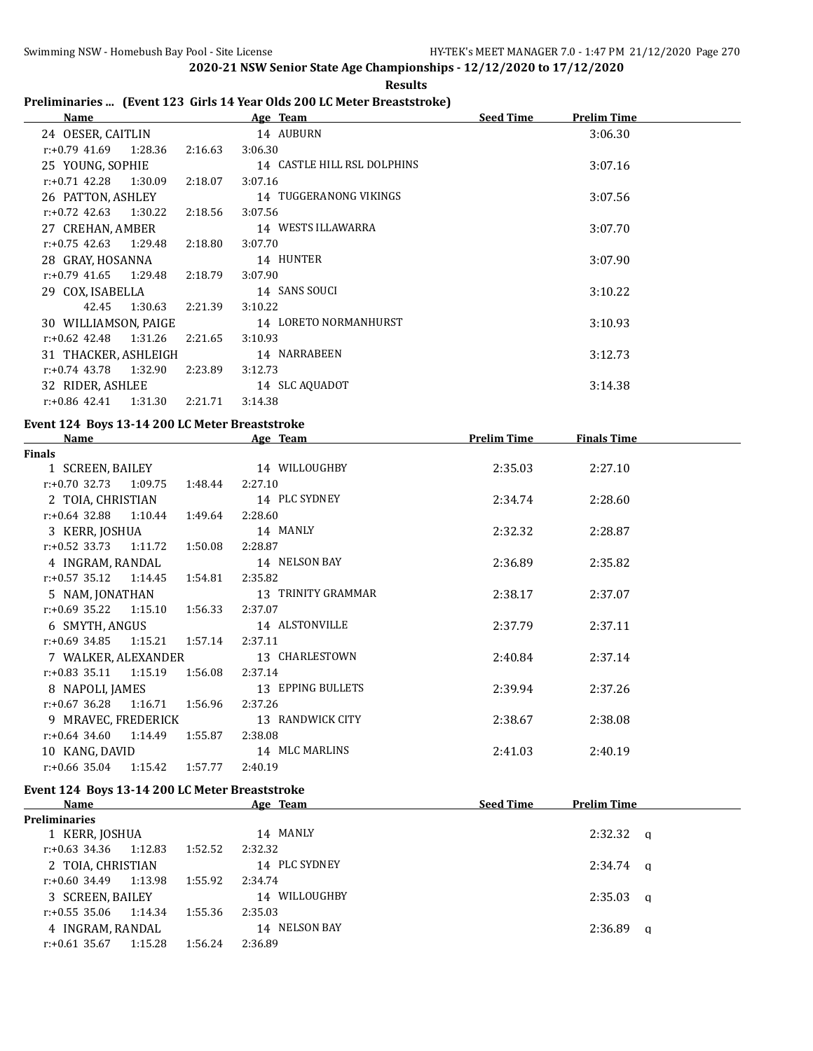$\overline{a}$ 

**2020-21 NSW Senior State Age Championships - 12/12/2020 to 17/12/2020 Results**

# **Preliminaries ... (Event 123 Girls 14 Year Olds 200 LC Meter Breaststroke)**

| Name                        |         | Age Team                    | <b>Seed Time</b> | <b>Prelim Time</b> |  |
|-----------------------------|---------|-----------------------------|------------------|--------------------|--|
| 24 OESER, CAITLIN           |         | 14 AUBURN                   |                  | 3:06.30            |  |
| $r.+0.79$ 41.69 1:28.36     | 2:16.63 | 3:06.30                     |                  |                    |  |
| 25 YOUNG, SOPHIE            |         | 14 CASTLE HILL RSL DOLPHINS |                  | 3:07.16            |  |
| $r.+0.71$ 42.28 1:30.09     | 2:18.07 | 3:07.16                     |                  |                    |  |
| 26 PATTON, ASHLEY           |         | 14 TUGGERANONG VIKINGS      |                  | 3:07.56            |  |
| $r.+0.72$ 42.63 1:30.22     | 2:18.56 | 3:07.56                     |                  |                    |  |
| 27 CREHAN, AMBER            |         | 14 WESTS ILLAWARRA          |                  | 3:07.70            |  |
| $r.+0.75$ 42.63 1:29.48     | 2:18.80 | 3:07.70                     |                  |                    |  |
| 28 GRAY, HOSANNA            |         | 14 HUNTER                   |                  | 3:07.90            |  |
| $r: +0.79$ 41.65 1:29.48    | 2:18.79 | 3:07.90                     |                  |                    |  |
| 29 COX, ISABELLA            |         | 14 SANS SOUCI               |                  | 3:10.22            |  |
| 42.45 1:30.63               | 2:21.39 | 3:10.22                     |                  |                    |  |
| 30 WILLIAMSON, PAIGE        |         | 14 LORETO NORMANHURST       |                  | 3:10.93            |  |
| r:+0.62 42.48<br>1:31.26    | 2:21.65 | 3:10.93                     |                  |                    |  |
| 31 THACKER, ASHLEIGH        |         | 14 NARRABEEN                |                  | 3:12.73            |  |
| $r: +0.74$ 43.78<br>1:32.90 | 2:23.89 | 3:12.73                     |                  |                    |  |
| 32 RIDER, ASHLEE            |         | 14 SLC AQUADOT              |                  | 3:14.38            |  |
| r:+0.86 42.41<br>1:31.30    | 2:21.71 | 3:14.38                     |                  |                    |  |

#### **Event 124 Boys 13-14 200 LC Meter Breaststroke**

| <b>Name</b>                            | Age Team           | <b>Prelim Time</b> | <b>Finals Time</b> |  |
|----------------------------------------|--------------------|--------------------|--------------------|--|
| <b>Finals</b>                          |                    |                    |                    |  |
| 1 SCREEN, BAILEY                       | 14 WILLOUGHBY      | 2:35.03            | 2:27.10            |  |
| $r: +0.70$ 32.73 1:09.75<br>1:48.44    | 2:27.10            |                    |                    |  |
| 2 TOIA, CHRISTIAN                      | 14 PLC SYDNEY      | 2:34.74            | 2:28.60            |  |
| $r: +0.64$ 32.88 1:10.44<br>1:49.64    | 2:28.60            |                    |                    |  |
| 3 KERR, JOSHUA                         | 14 MANLY           | 2:32.32            | 2:28.87            |  |
| $r.+0.52$ 33.73 1:11.72<br>1:50.08     | 2:28.87            |                    |                    |  |
| 4 INGRAM, RANDAL                       | 14 NELSON BAY      | 2:36.89            | 2:35.82            |  |
| $r.+0.57$ 35.12 1:14.45<br>1:54.81     | 2:35.82            |                    |                    |  |
| 5 NAM, JONATHAN                        | 13 TRINITY GRAMMAR | 2:38.17            | 2:37.07            |  |
| $r: +0.69$ 35.22 1:15.10 1:56.33       | 2:37.07            |                    |                    |  |
| 6 SMYTH, ANGUS                         | 14 ALSTONVILLE     | 2:37.79            | 2:37.11            |  |
| $r: +0.69$ 34.85 1:15.21 1:57.14       | 2:37.11            |                    |                    |  |
| 7 WALKER, ALEXANDER                    | 13 CHARLESTOWN     | 2:40.84            | 2:37.14            |  |
| $r.+0.83$ 35.11 1:15.19<br>1:56.08     | 2:37.14            |                    |                    |  |
| 8 NAPOLI, JAMES                        | 13 EPPING BULLETS  | 2:39.94            | 2:37.26            |  |
| $r: +0.67$ 36.28 1:16.71 1:56.96       | 2:37.26            |                    |                    |  |
| 9 MRAVEC, FREDERICK                    | 13 RANDWICK CITY   | 2:38.67            | 2:38.08            |  |
| $r.+0.64$ 34.60 1:14.49<br>1:55.87     | 2:38.08            |                    |                    |  |
| 10 KANG, DAVID                         | 14 MLC MARLINS     | 2:41.03            | 2:40.19            |  |
| $r: +0.66$ 35.04<br>1:57.77<br>1:15.42 | 2:40.19            |                    |                    |  |

#### **Event 124 Boys 13-14 200 LC Meter Breaststroke**

| <b>Name</b>          |         |         | Age Team      | <b>Seed Time</b> | Prelim Time |          |
|----------------------|---------|---------|---------------|------------------|-------------|----------|
| <b>Preliminaries</b> |         |         |               |                  |             |          |
| 1 KERR, JOSHUA       |         |         | 14 MANLY      |                  | 2:32.32     | $\alpha$ |
| r:+0.63 34.36        | 1:12.83 | 1:52.52 | 2:32.32       |                  |             |          |
| 2 TOIA, CHRISTIAN    |         |         | 14 PLC SYDNEY |                  | 2:34.74     | <b>a</b> |
| r:+0.60 34.49        | 1:13.98 | 1:55.92 | 2:34.74       |                  |             |          |
| 3 SCREEN, BAILEY     |         |         | 14 WILLOUGHBY |                  | 2:35.03     | <b>a</b> |
| r:+0.55 35.06        | 1:14.34 | 1:55.36 | 2:35.03       |                  |             |          |
| 4 INGRAM, RANDAL     |         |         | 14 NELSON BAY |                  | 2:36.89     | a        |
| $r: +0.61$ 35.67     | 1:15.28 | 1:56.24 | 2:36.89       |                  |             |          |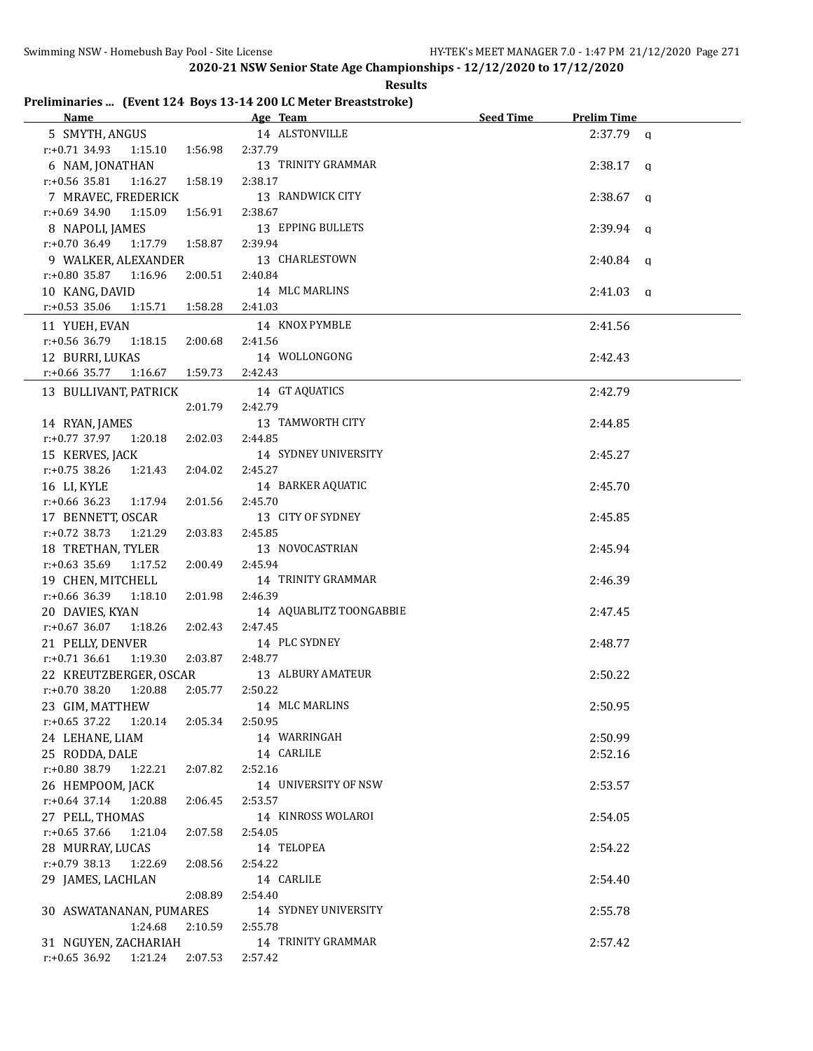|                                  |                  |         | 2020 21 NJW Jefnor Julie Age enamploiships -12/12/2020 to 17/12/2020 | <b>Results</b> |           |                    |          |
|----------------------------------|------------------|---------|----------------------------------------------------------------------|----------------|-----------|--------------------|----------|
|                                  |                  |         | Preliminaries  (Event 124 Boys 13-14 200 LC Meter Breaststroke)      |                |           |                    |          |
| <b>Name</b>                      |                  |         | <u>Age Team and Age Team</u>                                         |                | Seed Time | <b>Prelim Time</b> |          |
| 5 SMYTH, ANGUS                   |                  |         | 14 ALSTONVILLE                                                       |                |           | $2:37.79$ a        |          |
| $r: +0.71$ 34.93 1:15.10 1:56.98 |                  |         | 2:37.79                                                              |                |           |                    |          |
| 6 NAM, JONATHAN                  |                  |         | 13 TRINITY GRAMMAR                                                   |                |           | $2:38.17$ a        |          |
| $r: +0.56$ 35.81                 | 1:16.27          | 1:58.19 | 2:38.17                                                              |                |           |                    |          |
| 7 MRAVEC, FREDERICK              |                  |         | 13 RANDWICK CITY                                                     |                |           | 2:38.67            | $\alpha$ |
| $r: +0.69$ 34.90                 | 1:15.09          | 1:56.91 | 2:38.67                                                              |                |           |                    |          |
| 8 NAPOLI, JAMES                  |                  |         | 13 EPPING BULLETS                                                    |                |           | $2:39.94$ a        |          |
| $r: +0.70$ 36.49                 | 1:17.79          | 1:58.87 | 2:39.94                                                              |                |           |                    |          |
| 9 WALKER, ALEXANDER              |                  |         | 13 CHARLESTOWN                                                       |                |           | 2:40.84            | $\alpha$ |
| $r: +0.80$ 35.87 1:16.96         |                  | 2:00.51 | 2:40.84                                                              |                |           |                    |          |
| 10 KANG, DAVID                   |                  |         | 14 MLC MARLINS                                                       |                |           | 2:41.03            | $\alpha$ |
| $r: +0.53$ 35.06                 | 1:15.71  1:58.28 |         | 2:41.03                                                              |                |           |                    |          |
| 11 YUEH, EVAN                    |                  |         | 14 KNOX PYMBLE                                                       |                |           | 2:41.56            |          |
| $r: +0.56$ 36.79                 | 1:18.15          | 2:00.68 | 2:41.56                                                              |                |           |                    |          |
| 12 BURRI, LUKAS                  |                  |         | 14 WOLLONGONG                                                        |                |           | 2:42.43            |          |
| $r: +0.66$ 35.77                 | 1:16.67 1:59.73  |         | 2:42.43                                                              |                |           |                    |          |
| 13 BULLIVANT, PATRICK            |                  |         | 14 GT AQUATICS                                                       |                |           | 2:42.79            |          |
|                                  |                  | 2:01.79 | 2:42.79                                                              |                |           |                    |          |
| 14 RYAN, JAMES                   |                  |         | 13 TAMWORTH CITY                                                     |                |           | 2:44.85            |          |
| $r: +0.77$ 37.97                 | 1:20.18          | 2:02.03 | 2:44.85                                                              |                |           |                    |          |
| 15 KERVES, JACK                  |                  |         | 14 SYDNEY UNIVERSITY                                                 |                |           | 2:45.27            |          |
| $r: +0.75$ 38.26                 | 1:21.43          | 2:04.02 | 2:45.27                                                              |                |           |                    |          |
| 16 LI, KYLE                      |                  |         | 14 BARKER AQUATIC                                                    |                |           | 2:45.70            |          |
| $r: +0.66$ 36.23                 | 1:17.94          | 2:01.56 | 2:45.70                                                              |                |           |                    |          |
| 17 BENNETT, OSCAR                |                  |         | 13 CITY OF SYDNEY                                                    |                |           | 2:45.85            |          |
|                                  |                  |         |                                                                      |                |           |                    |          |

| 19 DULLIVANI, IAINIUN               |         | T <sub>4</sub> at women | 4.74.77 |
|-------------------------------------|---------|-------------------------|---------|
|                                     | 2:01.79 | 2:42.79                 |         |
| 14 RYAN, JAMES                      |         | 13 TAMWORTH CITY        | 2:44.85 |
| $r: +0.77$ 37.97 1:20.18            | 2:02.03 | 2:44.85                 |         |
| 15 KERVES, JACK                     |         | 14 SYDNEY UNIVERSITY    | 2:45.27 |
| $r: +0.75$ 38.26<br>1:21.43         | 2:04.02 | 2:45.27                 |         |
| 16 LI, KYLE                         |         | 14 BARKER AQUATIC       | 2:45.70 |
| $r: +0.66$ 36.23<br>1:17.94         | 2:01.56 | 2:45.70                 |         |
| 17 BENNETT, OSCAR                   |         | 13 CITY OF SYDNEY       | 2:45.85 |
| $r: +0.72$ 38.73<br>1:21.29         | 2:03.83 | 2:45.85                 |         |
| 18 TRETHAN, TYLER                   |         | 13 NOVOCASTRIAN         | 2:45.94 |
| $r: +0.63$ 35.69<br>1:17.52         | 2:00.49 | 2:45.94                 |         |
| 19 CHEN, MITCHELL                   |         | 14 TRINITY GRAMMAR      | 2:46.39 |
| $r: +0.66$ 36.39<br>1:18.10         | 2:01.98 | 2:46.39                 |         |
| 20 DAVIES, KYAN                     |         | 14 AQUABLITZ TOONGABBIE | 2:47.45 |
| $r: +0.67$ 36.07<br>1:18.26         | 2:02.43 | 2:47.45                 |         |
| 21 PELLY, DENVER                    |         | 14 PLC SYDNEY           | 2:48.77 |
| $r: +0.71$ 36.61<br>1:19.30         | 2:03.87 | 2:48.77                 |         |
| 22 KREUTZBERGER, OSCAR              |         | 13 ALBURY AMATEUR       | 2:50.22 |
| $r: +0.70$ 38.20<br>1:20.88         | 2:05.77 | 2:50.22                 |         |
| 23 GIM, MATTHEW                     |         | 14 MLC MARLINS          | 2:50.95 |
| $r: +0.65$ 37.22<br>1:20.14         | 2:05.34 | 2:50.95                 |         |
| 24 LEHANE, LIAM                     |         | 14 WARRINGAH            | 2:50.99 |
| 25 RODDA, DALE                      |         | 14 CARLILE              | 2:52.16 |
| $r: +0.80$ 38.79 1:22.21            | 2:07.82 | 2:52.16                 |         |
| 26 HEMPOOM, JACK                    |         | 14 UNIVERSITY OF NSW    | 2:53.57 |
| r:+0.64 37.14 1:20.88               | 2:06.45 | 2:53.57                 |         |
| 27 PELL, THOMAS                     |         | 14 KINROSS WOLAROI      | 2:54.05 |
| $r: +0.65$ 37.66<br>1:21.04         | 2:07.58 | 2:54.05                 |         |
| 28 MURRAY, LUCAS                    |         | 14 TELOPEA              | 2:54.22 |
| $r: +0.79$ 38.13 1:22.69            | 2:08.56 | 2:54.22                 |         |
| 29 JAMES, LACHLAN                   |         | 14 CARLILE              | 2:54.40 |
|                                     | 2:08.89 | 2:54.40                 |         |
| 30 ASWATANANAN, PUMARES             |         | 14 SYDNEY UNIVERSITY    | 2:55.78 |
| 1:24.68                             | 2:10.59 | 2:55.78                 |         |
| 31 NGUYEN, ZACHARIAH                |         | 14 TRINITY GRAMMAR      | 2:57.42 |
| $r: +0.65$ 36.92<br>1:21.24 2:07.53 |         | 2:57.42                 |         |
|                                     |         |                         |         |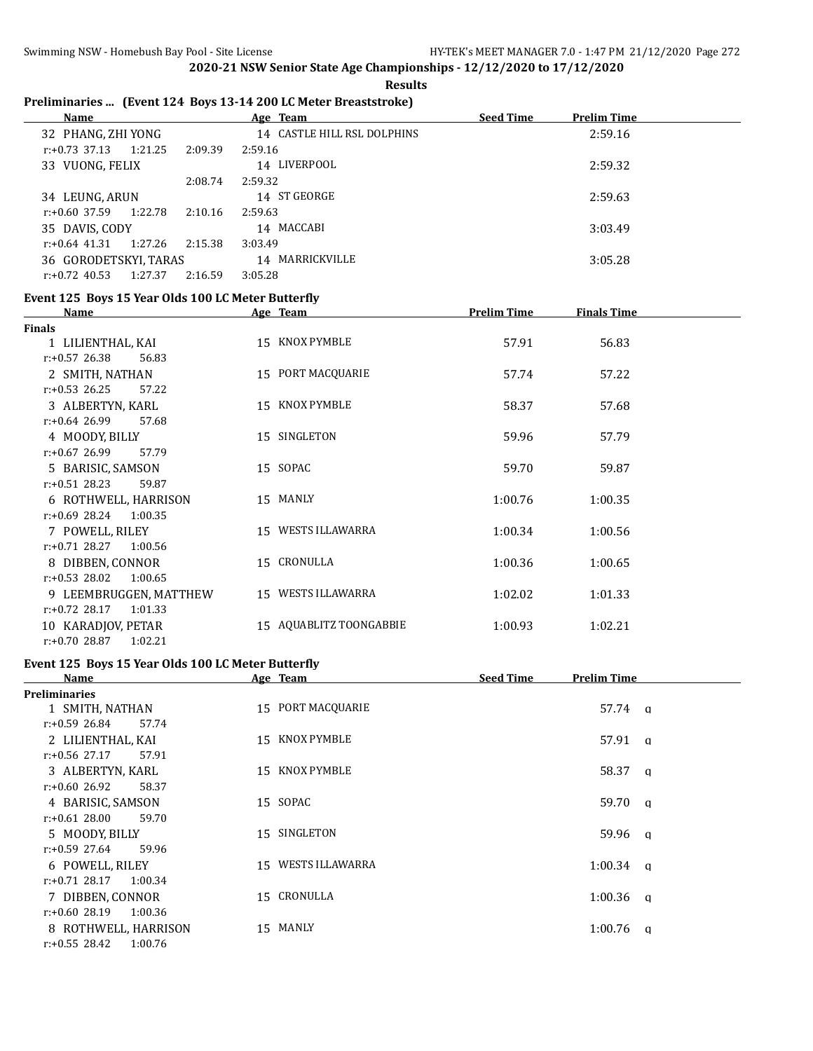#### **Results**

# **Preliminaries ... (Event 124 Boys 13-14 200 LC Meter Breaststroke)**

| Name                        |         | Age Team                    | <b>Seed Time</b> | <b>Prelim Time</b> |  |
|-----------------------------|---------|-----------------------------|------------------|--------------------|--|
| 32 PHANG, ZHI YONG          |         | 14 CASTLE HILL RSL DOLPHINS |                  | 2:59.16            |  |
| 1:21.25<br>$r: +0.73$ 37.13 | 2:09.39 | 2:59.16                     |                  |                    |  |
| 33 VUONG, FELIX             |         | 14 LIVERPOOL                |                  | 2:59.32            |  |
|                             | 2:08.74 | 2:59.32                     |                  |                    |  |
| 34 LEUNG, ARUN              |         | 14 ST GEORGE                |                  | 2:59.63            |  |
| 1:22.78<br>$r: +0.60$ 37.59 | 2:10.16 | 2:59.63                     |                  |                    |  |
| 35 DAVIS, CODY              |         | 14 MACCABI                  |                  | 3:03.49            |  |
| 1:27.26<br>$r: +0.64$ 41.31 | 2:15.38 | 3:03.49                     |                  |                    |  |
| 36 GORODETSKYI, TARAS       |         | 14 MARRICKVILLE             |                  | 3:05.28            |  |
| 1:27.37<br>$r: +0.72$ 40.53 | 2:16.59 | 3:05.28                     |                  |                    |  |

#### **Event 125 Boys 15 Year Olds 100 LC Meter Butterfly**

| Name                        | Age Team                | <b>Prelim Time</b> | <b>Finals Time</b> |
|-----------------------------|-------------------------|--------------------|--------------------|
| Finals                      |                         |                    |                    |
| 1 LILIENTHAL, KAI           | 15 KNOX PYMBLE          | 57.91              | 56.83              |
| $r: +0.57$ 26.38<br>56.83   |                         |                    |                    |
| 2 SMITH, NATHAN             | 15 PORT MACQUARIE       | 57.74              | 57.22              |
| $r: +0.53$ 26.25<br>57.22   |                         |                    |                    |
| 3 ALBERTYN, KARL            | 15 KNOX PYMBLE          | 58.37              | 57.68              |
| $r: +0.64$ 26.99<br>57.68   |                         |                    |                    |
| 4 MOODY, BILLY              | 15 SINGLETON            | 59.96              | 57.79              |
| $r: +0.67$ 26.99<br>57.79   |                         |                    |                    |
| 5 BARISIC, SAMSON           | 15 SOPAC                | 59.70              | 59.87              |
| $r: +0.51$ 28.23<br>59.87   |                         |                    |                    |
| 6 ROTHWELL, HARRISON        | 15 MANLY                | 1:00.76            | 1:00.35            |
| $r: +0.69$ 28.24<br>1:00.35 |                         |                    |                    |
| 7 POWELL, RILEY             | 15 WESTS ILLAWARRA      | 1:00.34            | 1:00.56            |
| $r: +0.71$ 28.27<br>1:00.56 |                         |                    |                    |
| 8 DIBBEN, CONNOR            | 15 CRONULLA             | 1:00.36            | 1:00.65            |
| $r: +0.53$ 28.02<br>1:00.65 |                         |                    |                    |
| 9 LEEMBRUGGEN, MATTHEW      | 15 WESTS ILLAWARRA      | 1:02.02            | 1:01.33            |
| $r: +0.72$ 28.17<br>1:01.33 |                         |                    |                    |
| 10 KARADJOV, PETAR          | 15 AQUABLITZ TOONGABBIE | 1:00.93            | 1:02.21            |
| $r: +0.70$ 28.87<br>1:02.21 |                         |                    |                    |

# **Event 125 Boys 15 Year Olds 100 LC Meter Butterfly**

| Name                        | Age Team              | <b>Seed Time</b><br>Prelim Time |
|-----------------------------|-----------------------|---------------------------------|
| <b>Preliminaries</b>        |                       |                                 |
| 1 SMITH, NATHAN             | 15 PORT MACQUARIE     | 57.74 q                         |
| $r: +0.59$ 26.84<br>57.74   |                       |                                 |
| 2 LILIENTHAL, KAI           | 15 KNOX PYMBLE        | $57.91 \quad q$                 |
| $r: +0.56$ 27.17<br>57.91   |                       |                                 |
| 3 ALBERTYN, KARL            | 15 KNOX PYMBLE        | 58.37 a                         |
| $r: +0.60$ 26.92<br>58.37   |                       |                                 |
| 4 BARISIC, SAMSON           | 15 SOPAC              | $59.70 \alpha$                  |
| $r: +0.61$ 28.00<br>59.70   |                       |                                 |
| 5 MOODY, BILLY              | 15 SINGLETON          | $59.96$ q                       |
| $r: +0.59$ 27.64<br>59.96   |                       |                                 |
| 6 POWELL, RILEY             | WESTS ILLAWARRA<br>15 | 1:00.34<br>a                    |
| $r: +0.71$ 28.17<br>1:00.34 |                       |                                 |
| 7 DIBBEN, CONNOR            | 15 CRONULLA           | $1:00.36$ q                     |
| $r: +0.60$ 28.19<br>1:00.36 |                       |                                 |
| 8 ROTHWELL, HARRISON        | 15 MANLY              | 1:00.76<br>- a                  |
| $r: +0.55$ 28.42<br>1:00.76 |                       |                                 |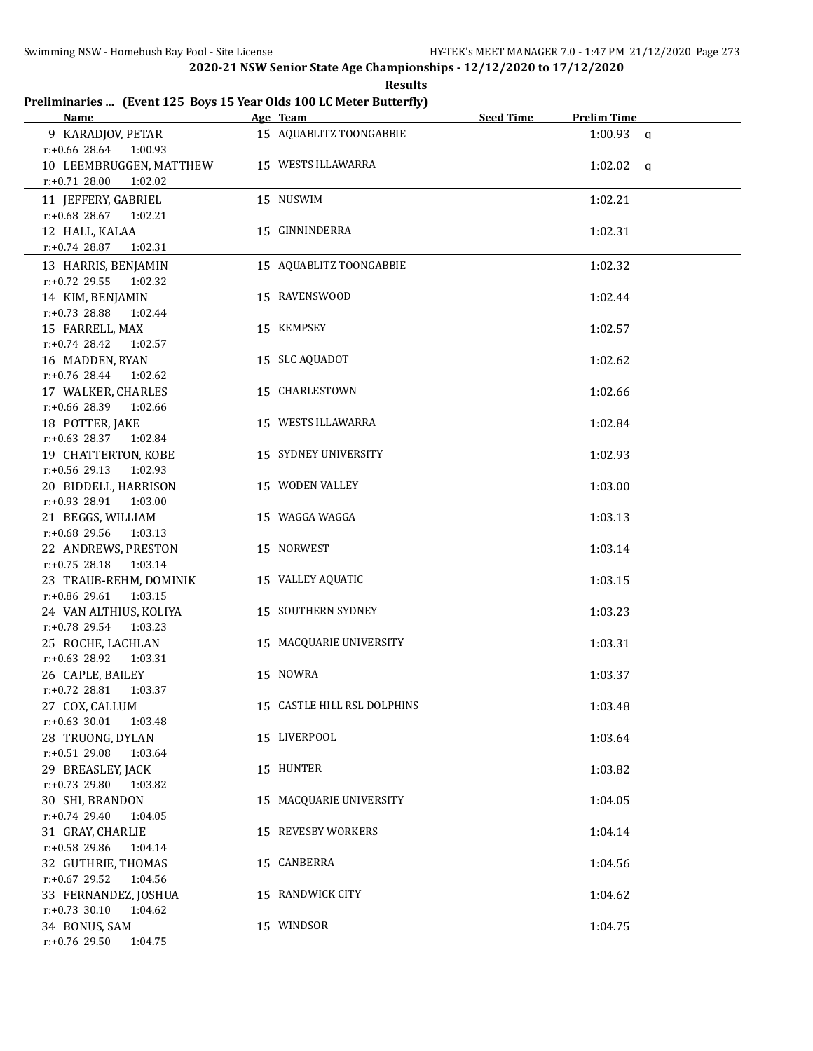**Results**

## **Preliminaries ... (Event 125 Boys 15 Year Olds 100 LC Meter Butterfly)**

| <b>Name</b>                                                                  | Age Team                    | <b>Seed Time</b> | <b>Prelim Time</b> |  |
|------------------------------------------------------------------------------|-----------------------------|------------------|--------------------|--|
| 9 KARADJOV, PETAR<br>$r: +0.66$ 28.64 1:00.93                                | 15 AQUABLITZ TOONGABBIE     |                  | $1:00.93$ a        |  |
| 10 LEEMBRUGGEN, MATTHEW<br>$r: +0.71$ 28.00<br>1:02.02                       | 15 WESTS ILLAWARRA          |                  | $1:02.02$ a        |  |
| 11 JEFFERY, GABRIEL                                                          | 15 NUSWIM                   |                  | 1:02.21            |  |
| $r: +0.68$ 28.67<br>1:02.21<br>12 HALL, KALAA<br>$r: +0.74$ 28.87<br>1:02.31 | 15 GINNINDERRA              |                  | 1:02.31            |  |
| 13 HARRIS, BENJAMIN                                                          | 15 AQUABLITZ TOONGABBIE     |                  | 1:02.32            |  |
| r:+0.72 29.55<br>1:02.32<br>14 KIM, BENJAMIN                                 | 15 RAVENSWOOD               |                  | 1:02.44            |  |
| $r: +0.73$ 28.88<br>1:02.44                                                  |                             |                  |                    |  |
| 15 FARRELL, MAX                                                              | 15 KEMPSEY                  |                  | 1:02.57            |  |
| $r.+0.74$ 28.42<br>1:02.57                                                   |                             |                  |                    |  |
| 16 MADDEN, RYAN<br>$r.+0.76$ 28.44 1:02.62                                   | 15 SLC AQUADOT              |                  | 1:02.62            |  |
| 17 WALKER, CHARLES<br>r:+0.66 28.39<br>1:02.66                               | 15 CHARLESTOWN              |                  | 1:02.66            |  |
| 18 POTTER, JAKE                                                              | 15 WESTS ILLAWARRA          |                  | 1:02.84            |  |
| $r.+0.63$ 28.37 1:02.84<br>19 CHATTERTON, KOBE                               | 15 SYDNEY UNIVERSITY        |                  | 1:02.93            |  |
| $r: +0.56$ 29.13<br>1:02.93                                                  | 15 WODEN VALLEY             |                  |                    |  |
| 20 BIDDELL, HARRISON<br>r:+0.93 28.91<br>1:03.00                             |                             |                  | 1:03.00            |  |
| 21 BEGGS, WILLIAM<br>r:+0.68 29.56<br>1:03.13                                | 15 WAGGA WAGGA              |                  | 1:03.13            |  |
| 22 ANDREWS, PRESTON                                                          | 15 NORWEST                  |                  | 1:03.14            |  |
| $r: +0.75$ 28.18<br>1:03.14<br>23 TRAUB-REHM, DOMINIK                        | 15 VALLEY AQUATIC           |                  | 1:03.15            |  |
| r:+0.86 29.61<br>1:03.15                                                     |                             |                  |                    |  |
| 24 VAN ALTHIUS, KOLIYA<br>$r: +0.78$ 29.54<br>1:03.23                        | 15 SOUTHERN SYDNEY          |                  | 1:03.23            |  |
| 25 ROCHE, LACHLAN<br>r:+0.63 28.92 1:03.31                                   | 15 MACQUARIE UNIVERSITY     |                  | 1:03.31            |  |
| 26 CAPLE, BAILEY                                                             | 15 NOWRA                    |                  | 1:03.37            |  |
| $r: +0.72$ 28.81 1:03.37<br>27 COX, CALLUM                                   | 15 CASTLE HILL RSL DOLPHINS |                  | 1:03.48            |  |
| $r: +0.63$ 30.01<br>1:03.48                                                  |                             |                  |                    |  |
| 28 TRUONG, DYLAN<br>r:+0.51 29.08<br>1:03.64                                 | 15 LIVERPOOL                |                  | 1:03.64            |  |
| 29 BREASLEY, JACK<br>r:+0.73 29.80<br>1:03.82                                | 15 HUNTER                   |                  | 1:03.82            |  |
| 30 SHI, BRANDON                                                              | 15 MACQUARIE UNIVERSITY     |                  | 1:04.05            |  |
| $r.+0.74$ 29.40<br>1:04.05<br>31 GRAY, CHARLIE                               | 15 REVESBY WORKERS          |                  | 1:04.14            |  |
| r:+0.58 29.86<br>1:04.14                                                     |                             |                  |                    |  |
| 32 GUTHRIE, THOMAS<br>$r: +0.67$ 29.52<br>1:04.56                            | 15 CANBERRA                 |                  | 1:04.56            |  |
| 33 FERNANDEZ, JOSHUA                                                         | 15 RANDWICK CITY            |                  | 1:04.62            |  |
| $r: +0.73$ 30.10<br>1:04.62                                                  |                             |                  |                    |  |
| 34 BONUS, SAM<br>r:+0.76 29.50<br>1:04.75                                    | 15 WINDSOR                  |                  | 1:04.75            |  |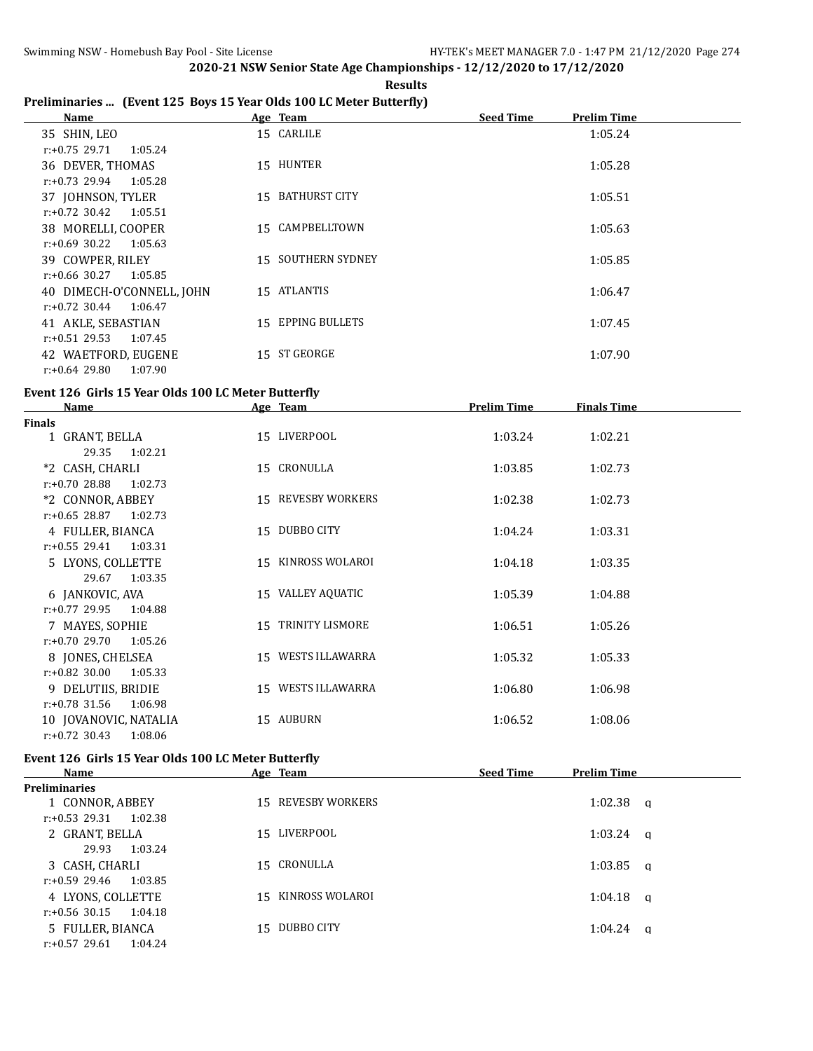$\overline{a}$ 

**2020-21 NSW Senior State Age Championships - 12/12/2020 to 17/12/2020**

**Results Preliminaries ... (Event 125 Boys 15 Year Olds 100 LC Meter Butterfly)**

| Name                        |     | Age Team                  | <b>Seed Time</b> | <b>Prelim Time</b> |
|-----------------------------|-----|---------------------------|------------------|--------------------|
| 35 SHIN, LEO                |     | 15 CARLILE                |                  | 1:05.24            |
| 1:05.24<br>r:+0.75 29.71    |     |                           |                  |                    |
| 36 DEVER, THOMAS            |     | 15 HUNTER                 |                  | 1:05.28            |
| $r: +0.73$ 29.94<br>1:05.28 |     |                           |                  |                    |
| 37 JOHNSON, TYLER           | 15. | BATHURST CITY             |                  | 1:05.51            |
| $r: +0.72$ 30.42<br>1:05.51 |     |                           |                  |                    |
| 38 MORELLI, COOPER          |     | 15 CAMPBELLTOWN           |                  | 1:05.63            |
| r:+0.69 30.22<br>1:05.63    |     |                           |                  |                    |
| 39 COWPER, RILEY            |     | <b>15 SOUTHERN SYDNEY</b> |                  | 1:05.85            |
| r:+0.66 30.27<br>1:05.85    |     |                           |                  |                    |
| 40 DIMECH-O'CONNELL, JOHN   |     | 15 ATLANTIS               |                  | 1:06.47            |
| $r: +0.72$ 30.44<br>1:06.47 |     |                           |                  |                    |
| 41 AKLE, SEBASTIAN          |     | 15 EPPING BULLETS         |                  | 1:07.45            |
| $r: +0.51$ 29.53<br>1:07.45 |     |                           |                  |                    |
| 42 WAETFORD, EUGENE         |     | 15 ST GEORGE              |                  | 1:07.90            |
| r:+0.64 29.80<br>1:07.90    |     |                           |                  |                    |

## **Event 126 Girls 15 Year Olds 100 LC Meter Butterfly**

| <b>Name</b>                 | Age Team           | <b>Prelim Time</b> | <b>Finals Time</b> |  |
|-----------------------------|--------------------|--------------------|--------------------|--|
| <b>Finals</b>               |                    |                    |                    |  |
| 1 GRANT, BELLA              | 15 LIVERPOOL       | 1:03.24            | 1:02.21            |  |
| 29.35<br>1:02.21            |                    |                    |                    |  |
| *2 CASH, CHARLI             | 15 CRONULLA        | 1:03.85            | 1:02.73            |  |
| $r: +0.70$ 28.88<br>1:02.73 |                    |                    |                    |  |
| *2 CONNOR, ABBEY            | 15 REVESBY WORKERS | 1:02.38            | 1:02.73            |  |
| $r: +0.65$ 28.87<br>1:02.73 |                    |                    |                    |  |
| 4 FULLER, BIANCA            | 15 DUBBO CITY      | 1:04.24            | 1:03.31            |  |
| $r: +0.55$ 29.41<br>1:03.31 |                    |                    |                    |  |
| 5 LYONS, COLLETTE           | 15 KINROSS WOLAROI | 1:04.18            | 1:03.35            |  |
| 1:03.35<br>29.67            |                    |                    |                    |  |
| 6 JANKOVIC, AVA             | 15 VALLEY AQUATIC  | 1:05.39            | 1:04.88            |  |
| $r: +0.77$ 29.95<br>1:04.88 |                    |                    |                    |  |
| 7 MAYES, SOPHIE             | 15 TRINITY LISMORE | 1:06.51            | 1:05.26            |  |
| $r: +0.70$ 29.70<br>1:05.26 |                    |                    |                    |  |
| 8 JONES, CHELSEA            | 15 WESTS ILLAWARRA | 1:05.32            | 1:05.33            |  |
| $r: +0.82$ 30.00<br>1:05.33 |                    |                    |                    |  |
| 9 DELUTIIS, BRIDIE          | 15 WESTS ILLAWARRA | 1:06.80            | 1:06.98            |  |
| $r: +0.78$ 31.56<br>1:06.98 |                    |                    |                    |  |
| 10 JOVANOVIC, NATALIA       | 15 AUBURN          | 1:06.52            | 1:08.06            |  |
| $r: +0.72$ 30.43<br>1:08.06 |                    |                    |                    |  |

#### **Event 126 Girls 15 Year Olds 100 LC Meter Butterfly**

| <b>Name</b>                 | Age Team           | <b>Seed Time</b><br><b>Prelim Time</b> |
|-----------------------------|--------------------|----------------------------------------|
| <b>Preliminaries</b>        |                    |                                        |
| 1 CONNOR, ABBEY             | 15 REVESBY WORKERS | $1:02.38$ a                            |
| 1:02.38<br>r:+0.53 29.31    |                    |                                        |
| 2 GRANT, BELLA              | LIVERPOOL<br>15    | $1:03.24$ a                            |
| 1:03.24<br>29.93            |                    |                                        |
| 3 CASH, CHARLI              | 15 CRONULLA        | $1:03.85$ q                            |
| 1:03.85<br>r:+0.59 29.46    |                    |                                        |
| 4 LYONS, COLLETTE           | 15 KINROSS WOLAROI | $1:04.18$ q                            |
| 1:04.18<br>r:+0.56 30.15    |                    |                                        |
| 5 FULLER, BIANCA            | DUBBO CITY<br>15.  | $1:04.24$ a                            |
| $r: +0.57$ 29.61<br>1:04.24 |                    |                                        |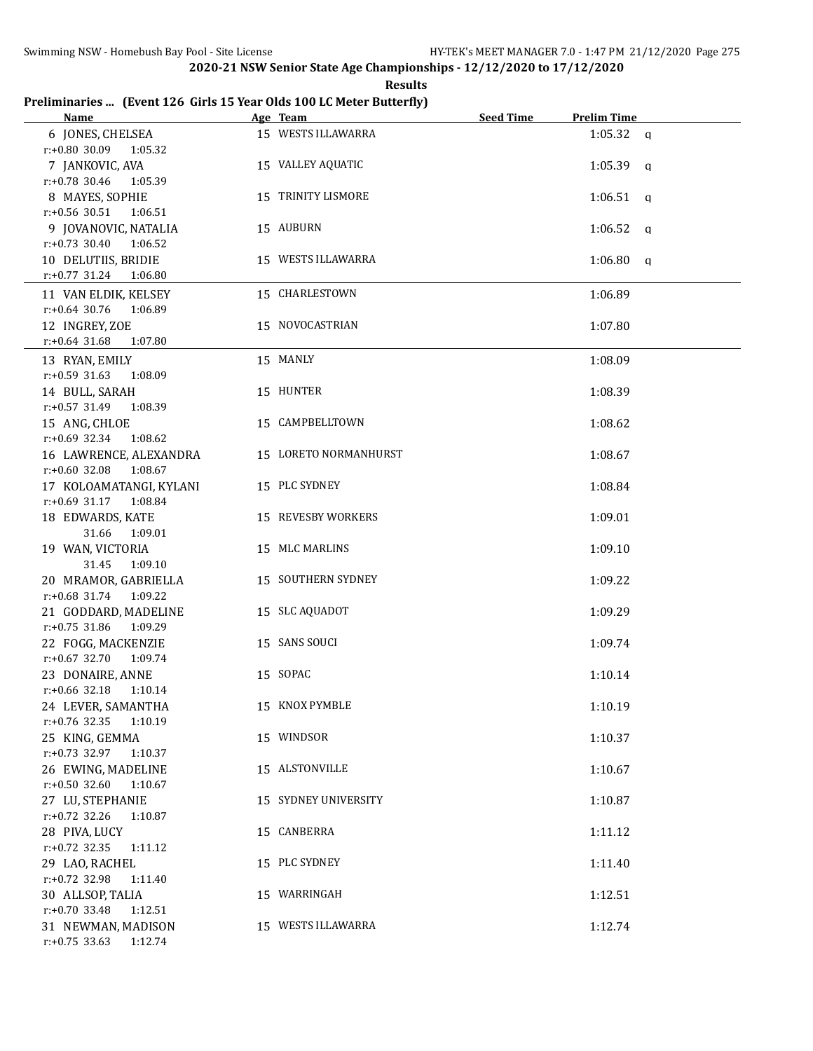**Results**

## **Preliminaries ... (Event 126 Girls 15 Year Olds 100 LC Meter Butterfly)**

| Name                        | Age Team                  | <b>Seed Time</b> | <b>Prelim Time</b> |  |
|-----------------------------|---------------------------|------------------|--------------------|--|
| 6 JONES, CHELSEA            | 15 WESTS ILLAWARRA        |                  | $1:05.32$ a        |  |
| $r: +0.80$ 30.09 1:05.32    |                           |                  |                    |  |
| 7 JANKOVIC, AVA             | 15 VALLEY AQUATIC         |                  | $1:05.39$ a        |  |
| $r: +0.78$ 30.46<br>1:05.39 |                           |                  |                    |  |
| 8 MAYES, SOPHIE             | 15 TRINITY LISMORE        |                  | $1:06.51$ q        |  |
| $r: +0.56$ 30.51<br>1:06.51 |                           |                  |                    |  |
| 9 JOVANOVIC, NATALIA        | 15 AUBURN                 |                  | $1:06.52$ q        |  |
| $r: +0.73$ 30.40 1:06.52    |                           |                  |                    |  |
| 10 DELUTIIS, BRIDIE         | 15 WESTS ILLAWARRA        |                  | $1:06.80$ q        |  |
| r:+0.77 31.24 1:06.80       |                           |                  |                    |  |
| 11 VAN ELDIK, KELSEY        | 15 CHARLESTOWN            |                  | 1:06.89            |  |
| $r: +0.64$ 30.76<br>1:06.89 |                           |                  |                    |  |
| 12 INGREY, ZOE              | 15 NOVOCASTRIAN           |                  | 1:07.80            |  |
| $r: +0.64$ 31.68<br>1:07.80 |                           |                  |                    |  |
|                             |                           |                  |                    |  |
| 13 RYAN, EMILY              | 15 MANLY                  |                  | 1:08.09            |  |
| $r: +0.59$ 31.63<br>1:08.09 |                           |                  |                    |  |
| 14 BULL, SARAH              | 15 HUNTER                 |                  | 1:08.39            |  |
| r:+0.57 31.49<br>1:08.39    |                           |                  |                    |  |
| 15 ANG, CHLOE               | 15 CAMPBELLTOWN           |                  | 1:08.62            |  |
| $r: +0.69$ 32.34 1:08.62    |                           |                  |                    |  |
| 16 LAWRENCE, ALEXANDRA      | 15 LORETO NORMANHURST     |                  | 1:08.67            |  |
| $r: +0.60$ 32.08<br>1:08.67 |                           |                  |                    |  |
| 17 KOLOAMATANGI, KYLANI     | 15 PLC SYDNEY             |                  | 1:08.84            |  |
| $r: +0.69$ 31.17<br>1:08.84 |                           |                  |                    |  |
| 18 EDWARDS, KATE            | 15 REVESBY WORKERS        |                  | 1:09.01            |  |
| 31.66<br>1:09.01            |                           |                  |                    |  |
| 19 WAN, VICTORIA            | 15 MLC MARLINS            |                  | 1:09.10            |  |
| 31.45<br>1:09.10            |                           |                  |                    |  |
| 20 MRAMOR, GABRIELLA        | <b>15 SOUTHERN SYDNEY</b> |                  | 1:09.22            |  |
| r:+0.68 31.74 1:09.22       |                           |                  |                    |  |
| 21 GODDARD, MADELINE        | 15 SLC AQUADOT            |                  | 1:09.29            |  |
| $r: +0.75$ 31.86<br>1:09.29 |                           |                  |                    |  |
| 22 FOGG, MACKENZIE          | 15 SANS SOUCI             |                  | 1:09.74            |  |
| $r: +0.67$ 32.70<br>1:09.74 |                           |                  |                    |  |
| 23 DONAIRE, ANNE            | 15 SOPAC                  |                  | 1:10.14            |  |
| $r.+0.66$ 32.18 1:10.14     |                           |                  |                    |  |
| 24 LEVER, SAMANTHA          | 15 KNOX PYMBLE            |                  | 1:10.19            |  |
| r:+0.76 32.35<br>1:10.19    |                           |                  |                    |  |
| 25 KING, GEMMA              | 15 WINDSOR                |                  | 1:10.37            |  |
| r:+0.73 32.97 1:10.37       |                           |                  |                    |  |
| 26 EWING, MADELINE          | 15 ALSTONVILLE            |                  | 1:10.67            |  |
| $r: +0.50$ 32.60<br>1:10.67 |                           |                  |                    |  |
| 27 LU, STEPHANIE            | 15 SYDNEY UNIVERSITY      |                  | 1:10.87            |  |
| $r: +0.72$ 32.26<br>1:10.87 |                           |                  |                    |  |
| 28 PIVA, LUCY               | 15 CANBERRA               |                  | 1:11.12            |  |
| r:+0.72 32.35<br>1:11.12    |                           |                  |                    |  |
| 29 LAO, RACHEL              | 15 PLC SYDNEY             |                  | 1:11.40            |  |
| r:+0.72 32.98<br>1:11.40    |                           |                  |                    |  |
| 30 ALLSOP, TALIA            | 15 WARRINGAH              |                  | 1:12.51            |  |
| $r.+0.70$ 33.48<br>1:12.51  |                           |                  |                    |  |
| 31 NEWMAN, MADISON          | 15 WESTS ILLAWARRA        |                  | 1:12.74            |  |
| $r: +0.75$ 33.63<br>1:12.74 |                           |                  |                    |  |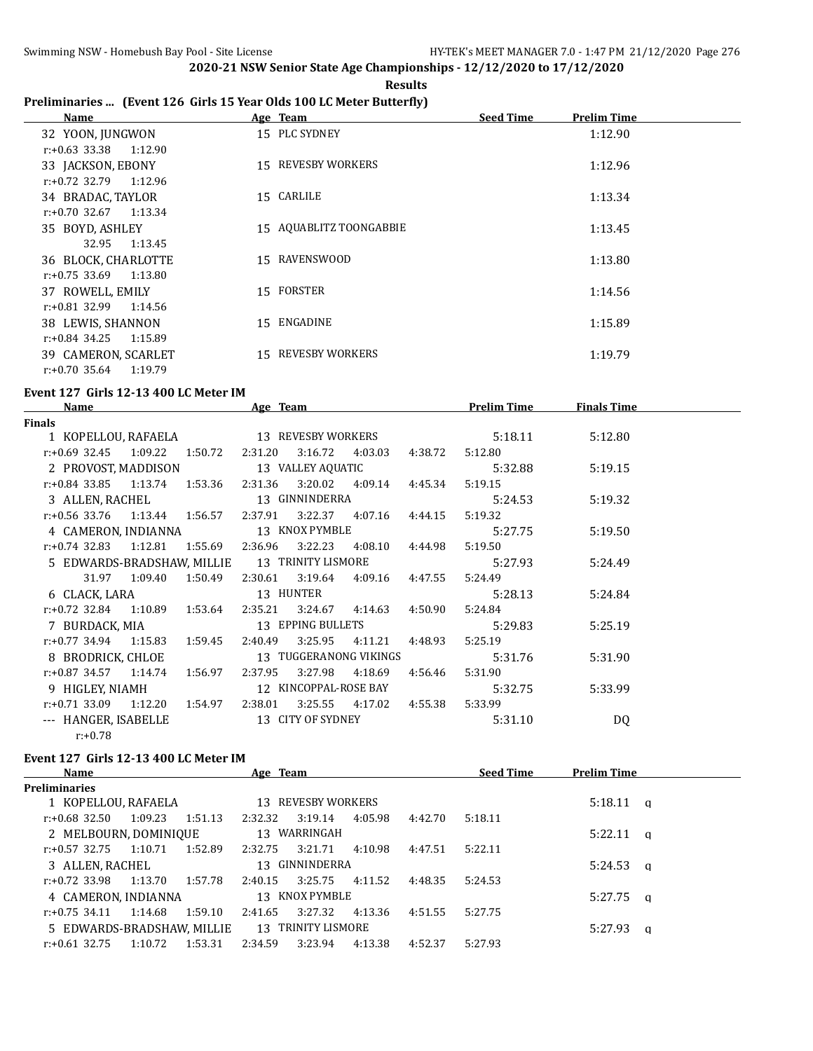**Results**

# **Preliminaries ... (Event 126 Girls 15 Year Olds 100 LC Meter Butterfly)**

| Name                        | Age Team                  | <b>Seed Time</b><br>Prelim Time |
|-----------------------------|---------------------------|---------------------------------|
| 32 YOON, JUNGWON            | 15 PLC SYDNEY             | 1:12.90                         |
| r:+0.63 33.38<br>1:12.90    |                           |                                 |
| 33 JACKSON, EBONY           | 15 REVESBY WORKERS        | 1:12.96                         |
| 1:12.96<br>r:+0.72 32.79    |                           |                                 |
| 34 BRADAC, TAYLOR           | 15 CARLILE                | 1:13.34                         |
| $r: +0.70$ 32.67<br>1:13.34 |                           |                                 |
| 35 BOYD, ASHLEY             | 15 AQUABLITZ TOONGABBIE   | 1:13.45                         |
| 1:13.45<br>32.95            |                           |                                 |
| 36 BLOCK, CHARLOTTE         | 15 RAVENSWOOD             | 1:13.80                         |
| $r: +0.75$ 33.69<br>1:13.80 |                           |                                 |
| 37 ROWELL, EMILY            | 15 FORSTER                | 1:14.56                         |
| r:+0.81 32.99<br>1:14.56    |                           |                                 |
| 38 LEWIS, SHANNON           | 15 ENGADINE               | 1:15.89                         |
| $r: +0.84$ 34.25<br>1:15.89 |                           |                                 |
| 39 CAMERON, SCARLET         | <b>15 REVESBY WORKERS</b> | 1:19.79                         |
| $r: +0.70$ 35.64<br>1:19.79 |                           |                                 |

#### **Event 127 Girls 12-13 400 LC Meter IM**

| <b>Name</b>              | Age Team                                      |         |                        |                           |                 | <b>Prelim Time</b> | <b>Finals Time</b> |  |
|--------------------------|-----------------------------------------------|---------|------------------------|---------------------------|-----------------|--------------------|--------------------|--|
| Finals                   |                                               |         |                        |                           |                 |                    |                    |  |
| 1 KOPELLOU, RAFAELA      |                                               |         | 13 REVESBY WORKERS     |                           |                 | 5:18.11            | 5:12.80            |  |
|                          | $r.+0.69$ 32.45 1:09.22 1:50.72               | 2:31.20 |                        | 3:16.72 4:03.03           | 4:38.72         | 5:12.80            |                    |  |
|                          | 2 PROVOST, MADDISON                           |         | 13 VALLEY AQUATIC      |                           |                 | 5:32.88            | 5:19.15            |  |
|                          | $r.+0.84$ 33.85 1:13.74 1:53.36               | 2:31.36 |                        | 3:20.02  4:09.14  4:45.34 |                 | 5:19.15            |                    |  |
| 3 ALLEN, RACHEL          |                                               |         | 13 GINNINDERRA         |                           |                 | 5:24.53            | 5:19.32            |  |
|                          | $r.+0.56$ 33.76 1:13.44 1:56.57               | 2:37.91 |                        | 3:22.37 4:07.16 4:44.15   |                 | 5:19.32            |                    |  |
| 4 CAMERON, INDIANNA      |                                               |         | 13 KNOX PYMBLE         |                           |                 | 5:27.75            | 5:19.50            |  |
| $r: +0.74$ 32.83         | 1:12.81  1:55.69                              | 2:36.96 | 3:22.23                |                           | 4:08.10 4:44.98 | 5:19.50            |                    |  |
|                          | 5 EDWARDS-BRADSHAW, MILLIE 13 TRINITY LISMORE |         |                        |                           |                 | 5:27.93            | 5:24.49            |  |
|                          | 31.97 1:09.40 1:50.49 2:30.61                 |         |                        | 3:19.64 4:09.16 4:47.55   |                 | 5:24.49            |                    |  |
| 6 CLACK, LARA            |                                               |         | 13 HUNTER              |                           |                 | 5:28.13            | 5:24.84            |  |
| $r: +0.72$ 32.84 1:10.89 | 1:53.64                                       | 2:35.21 |                        | 3:24.67 4:14.63 4:50.90   |                 | 5:24.84            |                    |  |
| 7 BURDACK, MIA           |                                               |         | 13 EPPING BULLETS      |                           |                 | 5:29.83            | 5:25.19            |  |
| $r.+0.77$ 34.94 1:15.83  | 1:59.45                                       | 2:40.49 | 3:25.95                | 4:11.21                   | 4:48.93         | 5:25.19            |                    |  |
| 8 BRODRICK, CHLOE        |                                               |         | 13 TUGGERANONG VIKINGS |                           |                 | 5:31.76            | 5:31.90            |  |
| $r.+0.87$ 34.57 1:14.74  | 1:56.97                                       | 2:37.95 | 3:27.98                | 4:18.69                   | 4:56.46         | 5:31.90            |                    |  |
| 9 HIGLEY, NIAMH          |                                               |         | 12 KINCOPPAL-ROSE BAY  |                           |                 | 5:32.75            | 5:33.99            |  |
| $r.+0.71$ 33.09 1:12.20  | 1:54.97                                       | 2:38.01 |                        | 3:25.55 4:17.02           | 4:55.38         | 5:33.99            |                    |  |
| --- HANGER, ISABELLE     |                                               |         | 13 CITY OF SYDNEY      |                           |                 | 5:31.10            | DQ                 |  |
| $r: +0.78$               |                                               |         |                        |                           |                 |                    |                    |  |

#### **Event 127 Girls 12-13 400 LC Meter IM**

| Name                       |         |         | Age Team |                    |         |         | <b>Seed Time</b> | <b>Prelim Time</b>  |          |
|----------------------------|---------|---------|----------|--------------------|---------|---------|------------------|---------------------|----------|
| <b>Preliminaries</b>       |         |         |          |                    |         |         |                  |                     |          |
| 1 KOPELLOU, RAFAELA        |         |         |          | 13 REVESBY WORKERS |         |         |                  | 5:18.11             | $\alpha$ |
| r:+0.68 32.50              | 1:09.23 | 1:51.13 | 2:32.32  | 3:19.14            | 4:05.98 | 4:42.70 | 5:18.11          |                     |          |
| 2 MELBOURN, DOMINIQUE      |         |         |          | 13 WARRINGAH       |         |         |                  | $5:22.11 \text{ a}$ |          |
| r:+0.57 32.75              | 1:10.71 | 1:52.89 | 2:32.75  | 3:21.71            | 4:10.98 | 4:47.51 | 5:22.11          |                     |          |
| 3 ALLEN, RACHEL            |         |         |          | 13 GINNINDERRA     |         |         |                  | $5:24.53$ a         |          |
| r:+0.72 33.98              | 1:13.70 | 1:57.78 | 2:40.15  | 3:25.75            | 4:11.52 | 4:48.35 | 5:24.53          |                     |          |
| 4 CAMERON, INDIANNA        |         |         |          | 13 KNOX PYMBLE     |         |         |                  | $5:27.75$ a         |          |
| $r: +0.75$ 34.11           | 1:14.68 | 1:59.10 | 2:41.65  | 3:27.32            | 4:13.36 | 4:51.55 | 5:27.75          |                     |          |
| 5 EDWARDS-BRADSHAW, MILLIE |         |         |          | 13 TRINITY LISMORE |         |         |                  | 5:27.93             | - a      |
| $r: +0.61$ 32.75           | 1:10.72 | 1:53.31 | 2:34.59  | 3:23.94            | 4:13.38 | 4:52.37 | 5:27.93          |                     |          |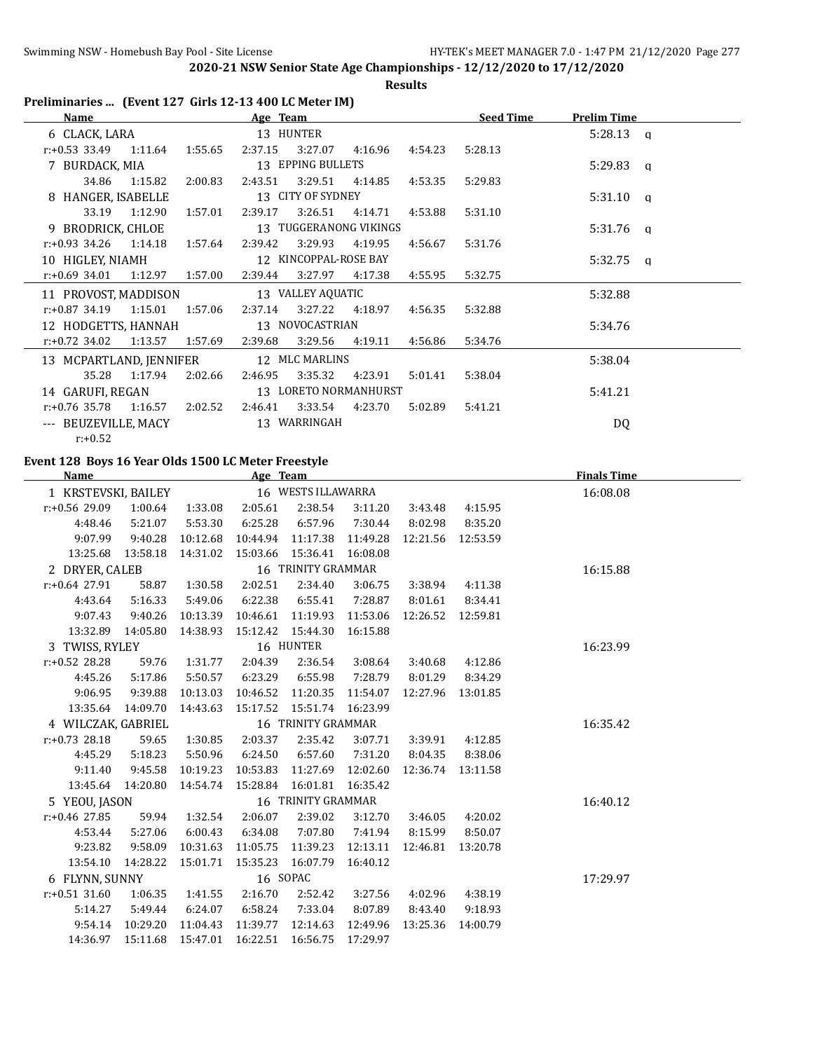**Results**

| Preliminaries  (Event 127 Girls 12-13 400 LC Meter IM) |                     |                      |                                              |                              |                      |          |                   |                    |              |
|--------------------------------------------------------|---------------------|----------------------|----------------------------------------------|------------------------------|----------------------|----------|-------------------|--------------------|--------------|
| Name                                                   |                     |                      | Age Team                                     |                              |                      |          | <b>Seed Time</b>  | <b>Prelim Time</b> |              |
| 6 CLACK, LARA                                          |                     |                      |                                              | 13 HUNTER                    |                      |          |                   | 5:28.13            | $\mathbf{q}$ |
| $r: +0.53$ 33.49                                       | 1:11.64             | 1:55.65              | 2:37.15                                      | 3:27.07                      | 4:16.96              | 4:54.23  | 5:28.13           |                    |              |
| 7 BURDACK, MIA                                         |                     |                      |                                              | 13 EPPING BULLETS            |                      |          |                   | 5:29.83            | $\mathsf{q}$ |
| 34.86                                                  | 1:15.82             | 2:00.83              | 2:43.51                                      | 3:29.51                      | 4:14.85              | 4:53.35  | 5:29.83           |                    |              |
| 8 HANGER, ISABELLE                                     |                     |                      |                                              | 13 CITY OF SYDNEY            |                      |          |                   | 5:31.10            | a            |
| 33.19                                                  | 1:12.90             | 1:57.01              | 2:39.17                                      | 3:26.51                      | 4:14.71              | 4:53.88  | 5:31.10           |                    |              |
| 9 BRODRICK, CHLOE                                      |                     |                      |                                              | 13 TUGGERANONG VIKINGS       |                      |          |                   | 5:31.76            | $\mathbf{q}$ |
| r:+0.93 34.26                                          | 1:14.18             | 1:57.64              | 2:39.42                                      | 3:29.93                      | 4:19.95              | 4:56.67  | 5:31.76           |                    |              |
| 10 HIGLEY, NIAMH                                       |                     |                      |                                              | 12 KINCOPPAL-ROSE BAY        |                      |          |                   | 5:32.75            | $\mathbf{q}$ |
| r:+0.69 34.01                                          | 1:12.97             | 1:57.00              | 2:39.44                                      | 3:27.97                      | 4:17.38              | 4:55.95  | 5:32.75           |                    |              |
| 11 PROVOST, MADDISON                                   |                     |                      |                                              | 13 VALLEY AQUATIC            |                      |          |                   | 5:32.88            |              |
| r:+0.87 34.19                                          | 1:15.01             | 1:57.06              | 2:37.14                                      | 3:27.22                      | 4:18.97              | 4:56.35  | 5:32.88           |                    |              |
| 12 HODGETTS, HANNAH                                    |                     |                      |                                              | 13 NOVOCASTRIAN              |                      |          |                   | 5:34.76            |              |
| $r.+0.72$ 34.02                                        | 1:13.57             | 1:57.69              | 2:39.68                                      | 3:29.56                      | 4:19.11              | 4:56.86  | 5:34.76           |                    |              |
| 13 MCPARTLAND, JENNIFER                                |                     |                      |                                              | 12 MLC MARLINS               |                      |          |                   | 5:38.04            |              |
| 35.28                                                  | 1:17.94             | 2:02.66              | 2:46.95                                      | 3:35.32                      | 4:23.91              | 5:01.41  | 5:38.04           |                    |              |
| 14 GARUFI, REGAN                                       |                     |                      |                                              | 13 LORETO NORMANHURST        |                      |          |                   | 5:41.21            |              |
| r:+0.76 35.78                                          | 1:16.57             | 2:02.52              | 2:46.41                                      | 3:33.54                      | 4:23.70              | 5:02.89  | 5:41.21           |                    |              |
| --- BEUZEVILLE, MACY                                   |                     |                      |                                              | 13 WARRINGAH                 |                      |          |                   | <b>DQ</b>          |              |
| $r: +0.52$                                             |                     |                      |                                              |                              |                      |          |                   |                    |              |
|                                                        |                     |                      |                                              |                              |                      |          |                   |                    |              |
| Event 128 Boys 16 Year Olds 1500 LC Meter Freestyle    |                     |                      |                                              |                              |                      |          |                   |                    |              |
| Name                                                   |                     |                      | Age Team                                     |                              |                      |          |                   | <b>Finals Time</b> |              |
| 1 KRSTEVSKI, BAILEY                                    |                     |                      |                                              | 16 WESTS ILLAWARRA           |                      |          |                   | 16:08.08           |              |
| r:+0.56 29.09                                          | 1:00.64             | 1:33.08              | 2:05.61                                      | 2:38.54                      | 3:11.20              | 3:43.48  | 4:15.95           |                    |              |
| 4:48.46                                                | 5:21.07             | 5:53.30              | 6:25.28                                      | 6:57.96                      | 7:30.44              | 8:02.98  | 8:35.20           |                    |              |
| 9:07.99                                                | 9:40.28             | 10:12.68             | 10:44.94                                     | 11:17.38                     | 11:49.28             | 12:21.56 | 12:53.59          |                    |              |
| 13:25.68                                               | 13:58.18            | 14:31.02             | 15:03.66                                     | 15:36.41                     | 16:08.08             |          |                   |                    |              |
| 2 DRYER, CALEB                                         |                     |                      |                                              | 16 TRINITY GRAMMAR           |                      |          |                   | 16:15.88           |              |
| r:+0.64 27.91                                          | 58.87               | 1:30.58              | 2:02.51                                      | 2:34.40                      | 3:06.75              | 3:38.94  | 4:11.38           |                    |              |
| 4:43.64                                                | 5:16.33             | 5:49.06              | 6:22.38                                      | 6:55.41                      | 7:28.87              | 8:01.61  | 8:34.41           |                    |              |
| 9:07.43                                                | 9:40.26             | 10:13.39             | 10:46.61                                     | 11:19.93                     | 11:53.06             |          | 12:26.52 12:59.81 |                    |              |
|                                                        | 13:32.89 14:05.80   | 14:38.93             | 15:12.42                                     | 15:44.30                     | 16:15.88             |          |                   |                    |              |
| 3 TWISS, RYLEY                                         |                     |                      |                                              | 16 HUNTER                    |                      |          |                   | 16:23.99           |              |
| $r: +0.52$ 28.28                                       | 59.76               | 1:31.77              | 2:04.39                                      | 2:36.54                      | 3:08.64              | 3:40.68  | 4:12.86           |                    |              |
| 4:45.26                                                | 5:17.86             | 5:50.57              | 6:23.29                                      | 6:55.98                      | 7:28.79              | 8:01.29  | 8:34.29           |                    |              |
| 9:06.95                                                | 9:39.88             | 10:13.03             | 10:46.52 11:20.35 11:54.07 12:27.96 13:01.85 |                              |                      |          |                   |                    |              |
|                                                        | 13:35.64 14:09.70   | 14:43.63             |                                              | 15:17.52  15:51.74  16:23.99 |                      |          |                   |                    |              |
| 4 WILCZAK, GABRIEL                                     |                     |                      |                                              | 16 TRINITY GRAMMAR           |                      |          |                   | 16:35.42           |              |
| $r: +0.73$ 28.18                                       | 59.65               | 1:30.85              | 2:03.37                                      | 2:35.42                      | 3:07.71              | 3:39.91  | 4:12.85           |                    |              |
| 4:45.29                                                | 5:18.23             | 5:50.96              | 6:24.50                                      | 6:57.60                      | 7:31.20              | 8:04.35  | 8:38.06           |                    |              |
| 9:11.40                                                | 9:45.58             | 10:19.23             | 10:53.83                                     | 11:27.69                     | 12:02.60             | 12:36.74 | 13:11.58          |                    |              |
|                                                        | 13:45.64 14:20.80   | 14:54.74             | 15:28.84                                     | 16:01.81                     | 16:35.42             |          |                   |                    |              |
| 5 YEOU, JASON                                          |                     |                      |                                              | 16 TRINITY GRAMMAR           |                      |          |                   | 16:40.12           |              |
| $r: +0.46$ 27.85                                       | 59.94               | 1:32.54              | 2:06.07                                      | 2:39.02                      | 3:12.70              | 3:46.05  | 4:20.02           |                    |              |
| 4:53.44<br>9:23.82                                     | 5:27.06             | 6:00.43              | 6:34.08                                      | 7:07.80                      | 7:41.94              | 8:15.99  | 8:50.07           |                    |              |
| 13:54.10                                               | 9:58.09<br>14:28.22 | 10:31.63<br>15:01.71 | 11:05.75<br>15:35.23                         | 11:39.23<br>16:07.79         | 12:13.11<br>16:40.12 | 12:46.81 | 13:20.78          |                    |              |
|                                                        |                     |                      | 16 SOPAC                                     |                              |                      |          |                   |                    |              |
| 6 FLYNN, SUNNY<br>$r: +0.51$ 31.60                     | 1:06.35             |                      | 2:16.70                                      | 2:52.42                      |                      | 4:02.96  | 4:38.19           | 17:29.97           |              |
| 5:14.27                                                | 5:49.44             | 1:41.55<br>6:24.07   | 6:58.24                                      | 7:33.04                      | 3:27.56<br>8:07.89   | 8:43.40  | 9:18.93           |                    |              |
| 9:54.14                                                | 10:29.20            | 11:04.43             | 11:39.77                                     | 12:14.63                     | 12:49.96             | 13:25.36 | 14:00.79          |                    |              |
| 14:36.97                                               | 15:11.68            | 15:47.01             | 16:22.51                                     | 16:56.75                     | 17:29.97             |          |                   |                    |              |
|                                                        |                     |                      |                                              |                              |                      |          |                   |                    |              |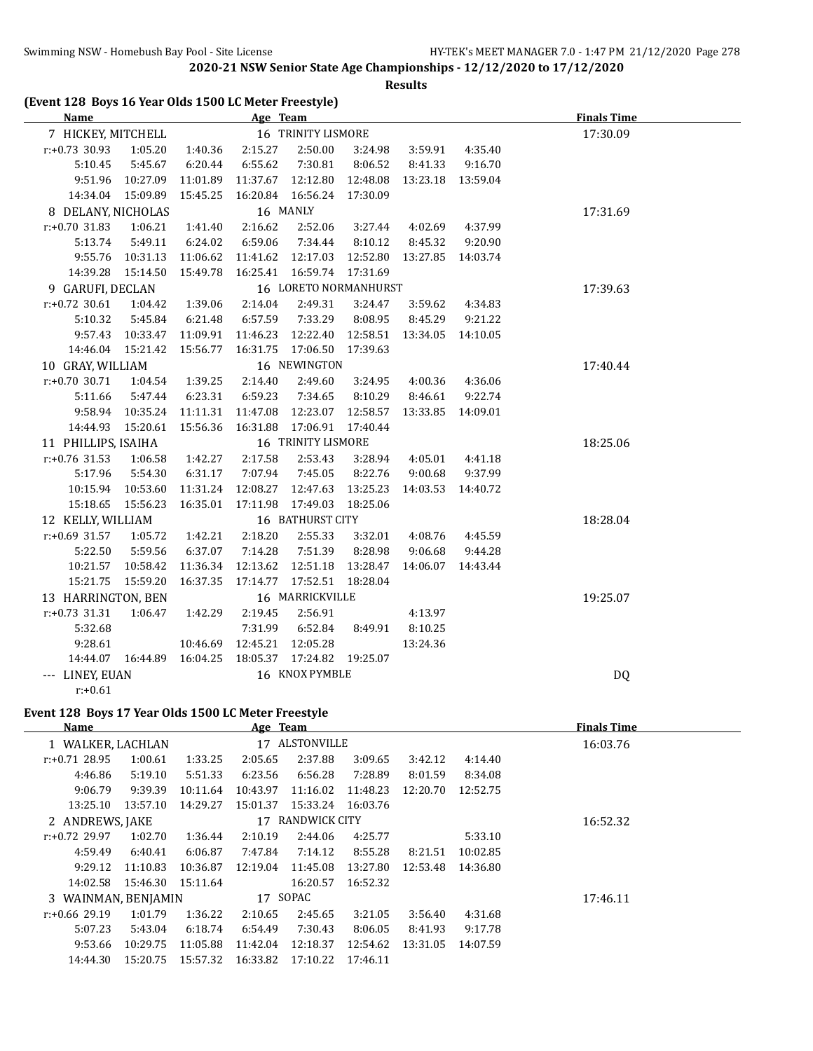**Results**

| <b>Name</b>         |                              |                  | Age Team                                         |                       |          |                                                  |                   | <b>Finals Time</b> |  |
|---------------------|------------------------------|------------------|--------------------------------------------------|-----------------------|----------|--------------------------------------------------|-------------------|--------------------|--|
| 7 HICKEY, MITCHELL  |                              |                  |                                                  | 16 TRINITY LISMORE    |          |                                                  | 17:30.09          |                    |  |
| $r: +0.73$ 30.93    | 1:05.20                      | 1:40.36          | 2:15.27                                          | 2:50.00               | 3:24.98  | 3:59.91                                          | 4:35.40           |                    |  |
| 5:10.45             | 5:45.67                      | 6:20.44          | 6:55.62                                          | 7:30.81               | 8:06.52  | 8:41.33                                          | 9:16.70           |                    |  |
| 9:51.96             | 10:27.09                     | 11:01.89         |                                                  |                       |          | 11:37.67  12:12.80  12:48.08  13:23.18  13:59.04 |                   |                    |  |
|                     | 14:34.04 15:09.89            | 15:45.25         |                                                  | 16:20.84 16:56.24     | 17:30.09 |                                                  |                   |                    |  |
| 8 DELANY, NICHOLAS  |                              |                  |                                                  | 16 MANLY              |          |                                                  |                   | 17:31.69           |  |
| $r: +0.70$ 31.83    | 1:06.21                      | 1:41.40          | 2:16.62                                          | 2:52.06               | 3:27.44  | 4:02.69                                          | 4:37.99           |                    |  |
| 5:13.74             | 5:49.11                      | 6:24.02          | 6:59.06                                          | 7:34.44               | 8:10.12  | 8:45.32                                          | 9:20.90           |                    |  |
|                     | 9:55.76  10:31.13  11:06.62  |                  | 11:41.62  12:17.03  12:52.80  13:27.85  14:03.74 |                       |          |                                                  |                   |                    |  |
|                     | 14:39.28  15:14.50  15:49.78 |                  | 16:25.41  16:59.74  17:31.69                     |                       |          |                                                  |                   |                    |  |
| 9 GARUFI, DECLAN    |                              |                  |                                                  | 16 LORETO NORMANHURST |          |                                                  |                   | 17:39.63           |  |
| $r: +0.72$ 30.61    | 1:04.42  1:39.06             |                  | 2:14.04                                          | 2:49.31               | 3:24.47  | 3:59.62                                          | 4:34.83           |                    |  |
| 5:10.32             | 5:45.84                      | 6:21.48          | 6:57.59                                          | 7:33.29               | 8:08.95  | 8:45.29                                          | 9:21.22           |                    |  |
|                     | 9:57.43 10:33.47 11:09.91    |                  | 11:46.23  12:22.40  12:58.51  13:34.05  14:10.05 |                       |          |                                                  |                   |                    |  |
|                     | 14:46.04  15:21.42  15:56.77 |                  |                                                  | 16:31.75  17:06.50    | 17:39.63 |                                                  |                   |                    |  |
| 10 GRAY, WILLIAM    |                              |                  |                                                  | 16 NEWINGTON          |          |                                                  |                   | 17:40.44           |  |
| $r: +0.70$ 30.71    |                              | 1:04.54  1:39.25 | 2:14.40                                          | 2:49.60               | 3:24.95  | 4:00.36                                          | 4:36.06           |                    |  |
| 5:11.66             | 5:47.44                      | 6:23.31          | 6:59.23                                          | 7:34.65               | 8:10.29  | 8:46.61                                          | 9:22.74           |                    |  |
|                     | 9:58.94  10:35.24  11:11.31  |                  | 11:47.08                                         | 12:23.07              | 12:58.57 |                                                  | 13:33.85 14:09.01 |                    |  |
|                     | 14:44.93  15:20.61  15:56.36 |                  | 16:31.88                                         | 17:06.91              | 17:40.44 |                                                  |                   |                    |  |
| 11 PHILLIPS, ISAIHA |                              |                  |                                                  | 16 TRINITY LISMORE    |          |                                                  |                   | 18:25.06           |  |
| $r: +0.76$ 31.53    | 1:06.58                      | 1:42.27          | 2:17.58                                          | 2:53.43               | 3:28.94  | 4:05.01                                          | 4:41.18           |                    |  |
| 5:17.96             | 5:54.30                      | 6:31.17          | 7:07.94                                          | 7:45.05               | 8:22.76  | 9:00.68                                          | 9:37.99           |                    |  |
|                     | 10:15.94 10:53.60            | 11:31.24         | 12:08.27                                         | 12:47.63              | 13:25.23 |                                                  | 14:03.53 14:40.72 |                    |  |
|                     | 15:18.65  15:56.23  16:35.01 |                  | 17:11.98  17:49.03                               |                       | 18:25.06 |                                                  |                   |                    |  |
| 12 KELLY, WILLIAM   |                              |                  |                                                  | 16 BATHURST CITY      |          |                                                  |                   | 18:28.04           |  |
| $r: +0.69$ 31.57    | 1:05.72                      | 1:42.21          | 2:18.20                                          | 2:55.33               | 3:32.01  | 4:08.76                                          | 4:45.59           |                    |  |
| 5:22.50             | 5:59.56                      | 6:37.07          | 7:14.28                                          | 7:51.39               | 8:28.98  | 9:06.68                                          | 9:44.28           |                    |  |
|                     | 10:21.57 10:58.42            | 11:36.34         | 12:13.62                                         | 12:51.18              | 13:28.47 |                                                  | 14:06.07 14:43.44 |                    |  |
|                     | 15:21.75  15:59.20           | 16:37.35         |                                                  |                       | 18:28.04 |                                                  |                   |                    |  |
| 13 HARRINGTON, BEN  |                              |                  |                                                  | 16 MARRICKVILLE       |          |                                                  |                   | 19:25.07           |  |
| $r: +0.73$ 31.31    | 1:06.47                      | 1:42.29          | 2:19.45                                          | 2:56.91               |          | 4:13.97                                          |                   |                    |  |
| 5:32.68             |                              |                  | 7:31.99                                          | 6:52.84               | 8:49.91  | 8:10.25                                          |                   |                    |  |
| 9:28.61             |                              | 10:46.69         | 12:45.21                                         | 12:05.28              |          | 13:24.36                                         |                   |                    |  |
|                     | 14:44.07  16:44.89  16:04.25 |                  | 18:05.37  17:24.82  19:25.07                     |                       |          |                                                  |                   |                    |  |
| --- LINEY, EUAN     |                              |                  | 16 KNOX PYMBLE                                   |                       |          |                                                  |                   | <b>DQ</b>          |  |
| $r: +0.61$          |                              |                  |                                                  |                       |          |                                                  |                   |                    |  |

# **Event 128 Boys 17 Year Olds 1500 LC Meter Freestyle**

| Name                |          |          | Age Team |                |          |          |          | <b>Finals Time</b> |
|---------------------|----------|----------|----------|----------------|----------|----------|----------|--------------------|
| 1 WALKER, LACHLAN   |          |          |          | 17 ALSTONVILLE |          |          | 16:03.76 |                    |
| $r: +0.71$ 28.95    | 1:00.61  | 1:33.25  | 2:05.65  | 2:37.88        | 3:09.65  | 3:42.12  | 4:14.40  |                    |
| 4:46.86             | 5:19.10  | 5:51.33  | 6:23.56  | 6:56.28        | 7:28.89  | 8:01.59  | 8:34.08  |                    |
| 9:06.79             | 9:39.39  | 10:11.64 | 10:43.97 | 11:16.02       | 11:48.23 | 12:20.70 | 12:52.75 |                    |
| 13:25.10            | 13:57.10 | 14:29.27 | 15:01.37 | 15:33.24       | 16:03.76 |          |          |                    |
| 2 ANDREWS, JAKE     |          |          | 17       | RANDWICK CITY  |          |          |          | 16:52.32           |
| $r: +0.72$ 29.97    | 1:02.70  | 1:36.44  | 2:10.19  | 2:44.06        | 4:25.77  |          | 5:33.10  |                    |
| 4:59.49             | 6:40.41  | 6:06.87  | 7:47.84  | 7:14.12        | 8:55.28  | 8:21.51  | 10:02.85 |                    |
| 9:29.12             | 11:10.83 | 10:36.87 | 12:19.04 | 11:45.08       | 13:27.80 | 12:53.48 | 14:36.80 |                    |
| 14:02.58            | 15:46.30 | 15:11.64 |          | 16:20.57       | 16:52.32 |          |          |                    |
| 3 WAINMAN, BENJAMIN |          |          | 17 SOPAC |                |          |          |          | 17:46.11           |
| $r: +0.66$ 29.19    | 1:01.79  | 1:36.22  | 2:10.65  | 2:45.65        | 3:21.05  | 3:56.40  | 4:31.68  |                    |
| 5:07.23             | 5:43.04  | 6:18.74  | 6:54.49  | 7:30.43        | 8:06.05  | 8:41.93  | 9:17.78  |                    |
| 9:53.66             | 10:29.75 | 11:05.88 | 11:42.04 | 12:18.37       | 12:54.62 | 13:31.05 | 14:07.59 |                    |
| 14:44.30            | 15:20.75 | 15:57.32 | 16:33.82 | 17:10.22       | 17:46.11 |          |          |                    |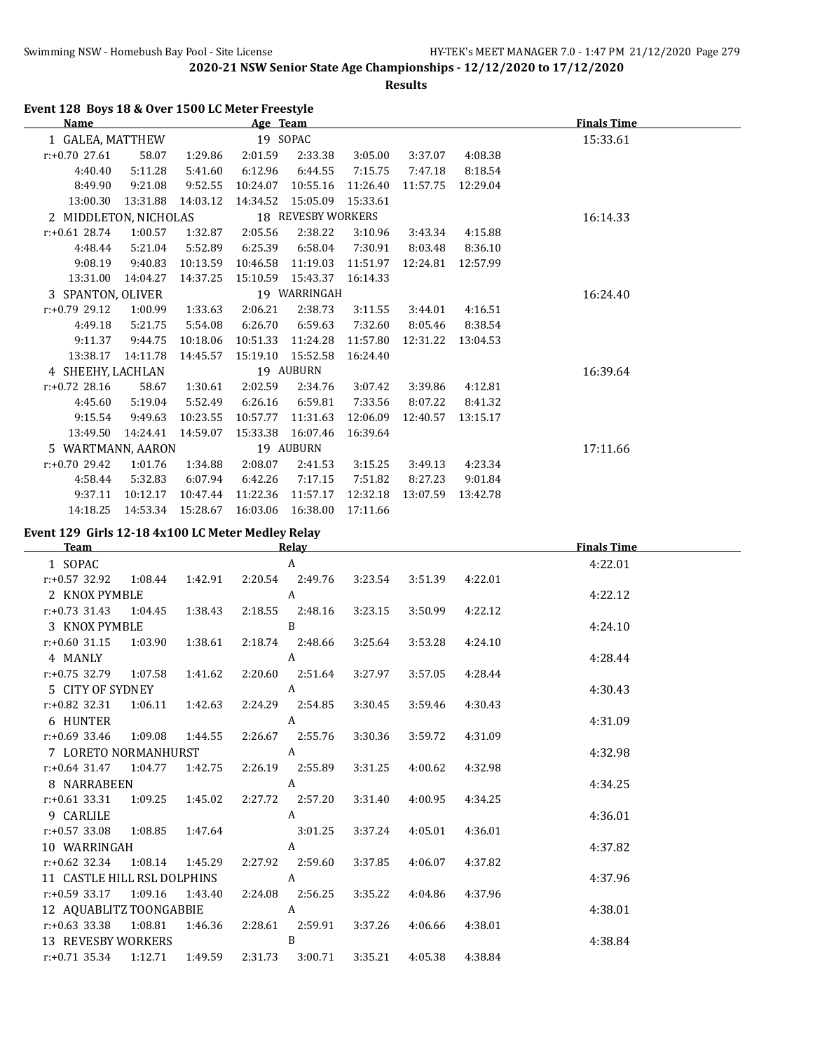**Results**

|  |  | Event 128 Boys 18 & Over 1500 LC Meter Freestyle |  |  |
|--|--|--------------------------------------------------|--|--|
|--|--|--------------------------------------------------|--|--|

| Name                  |          |          | Age Team |                    |          |          |          | <b>Finals Time</b> |
|-----------------------|----------|----------|----------|--------------------|----------|----------|----------|--------------------|
| 1 GALEA, MATTHEW      |          |          | 19 SOPAC |                    |          |          |          | 15:33.61           |
| $r: +0.70$ 27.61      | 58.07    | 1:29.86  | 2:01.59  | 2:33.38            | 3:05.00  | 3:37.07  | 4:08.38  |                    |
| 4:40.40               | 5:11.28  | 5:41.60  | 6:12.96  | 6:44.55            | 7:15.75  | 7:47.18  | 8:18.54  |                    |
| 8:49.90               | 9:21.08  | 9:52.55  | 10:24.07 | 10:55.16           | 11:26.40 | 11:57.75 | 12:29.04 |                    |
| 13:00.30              | 13:31.88 | 14:03.12 | 14:34.52 | 15:05.09           | 15:33.61 |          |          |                    |
| 2 MIDDLETON, NICHOLAS |          |          |          | 18 REVESBY WORKERS |          |          |          | 16:14.33           |
| $r: +0.61$ 28.74      | 1:00.57  | 1:32.87  | 2:05.56  | 2:38.22            | 3:10.96  | 3:43.34  | 4:15.88  |                    |
| 4:48.44               | 5:21.04  | 5:52.89  | 6:25.39  | 6:58.04            | 7:30.91  | 8:03.48  | 8:36.10  |                    |
| 9:08.19               | 9:40.83  | 10:13.59 | 10:46.58 | 11:19.03           | 11:51.97 | 12:24.81 | 12:57.99 |                    |
| 13:31.00              | 14:04.27 | 14:37.25 | 15:10.59 | 15:43.37           | 16:14.33 |          |          |                    |
| 3 SPANTON, OLIVER     |          |          |          | 19 WARRINGAH       |          |          |          | 16:24.40           |
| $r: +0.79$ 29.12      | 1:00.99  | 1:33.63  | 2:06.21  | 2:38.73            | 3:11.55  | 3:44.01  | 4:16.51  |                    |
| 4:49.18               | 5:21.75  | 5:54.08  | 6:26.70  | 6:59.63            | 7:32.60  | 8:05.46  | 8:38.54  |                    |
| 9:11.37               | 9:44.75  | 10:18.06 | 10:51.33 | 11:24.28           | 11:57.80 | 12:31.22 | 13:04.53 |                    |
| 13:38.17              | 14:11.78 | 14:45.57 | 15:19.10 | 15:52.58           | 16:24.40 |          |          |                    |
| 4 SHEEHY, LACHLAN     |          |          |          | 19 AUBURN          |          |          |          | 16:39.64           |
| $r: +0.72$ 28.16      | 58.67    | 1:30.61  | 2:02.59  | 2:34.76            | 3:07.42  | 3:39.86  | 4:12.81  |                    |
| 4:45.60               | 5:19.04  | 5:52.49  | 6:26.16  | 6:59.81            | 7:33.56  | 8:07.22  | 8:41.32  |                    |
| 9:15.54               | 9:49.63  | 10:23.55 | 10:57.77 | 11:31.63           | 12:06.09 | 12:40.57 | 13:15.17 |                    |
| 13:49.50              | 14:24.41 | 14:59.07 | 15:33.38 | 16:07.46           | 16:39.64 |          |          |                    |
| 5 WARTMANN, AARON     |          |          |          | 19 AUBURN          |          |          |          | 17:11.66           |
| $r: +0.70$ 29.42      | 1:01.76  | 1:34.88  | 2:08.07  | 2:41.53            | 3:15.25  | 3:49.13  | 4:23.34  |                    |
| 4:58.44               | 5:32.83  | 6:07.94  | 6:42.26  | 7:17.15            | 7:51.82  | 8:27.23  | 9:01.84  |                    |
| 9:37.11               | 10:12.17 | 10:47.44 | 11:22.36 | 11:57.17           | 12:32.18 | 13:07.59 | 13:42.78 |                    |
| 14:18.25              | 14:53.34 | 15:28.67 | 16:03.06 | 16:38.00           | 17:11.66 |          |          |                    |

**Event 129 Girls 12-18 4x100 LC Meter Medley Relay**

| <b>Team</b>                                                           |         |                         | <b>Relay</b> |                 |         | <b>Finals Time</b> |  |
|-----------------------------------------------------------------------|---------|-------------------------|--------------|-----------------|---------|--------------------|--|
| 1 SOPAC                                                               |         |                         | A            |                 |         | 4:22.01            |  |
| r:+0.57 32.92 1:08.44 1:42.91 2:20.54 2:49.76 3:23.54 3:51.39         |         |                         |              |                 | 4:22.01 |                    |  |
| 2 KNOX PYMBLE                                                         |         | $\overline{A}$          |              |                 |         | 4:22.12            |  |
| $r: +0.73$ 31.43 1:04.45 1:38.43 2:18.55 2:48.16                      |         |                         |              | 3:23.15 3:50.99 | 4:22.12 |                    |  |
| 3 KNOX PYMBLE                                                         |         | $\overline{B}$          |              |                 |         | 4:24.10            |  |
| r:+0.60 31.15 1:03.90 1:38.61 2:18.74 2:48.66 3:25.64 3:53.28 4:24.10 |         |                         |              |                 |         |                    |  |
| 4 MANLY A                                                             |         |                         |              |                 |         | 4:28.44            |  |
| r:+0.75 32.79 1:07.58 1:41.62 2:20.60 2:51.64 3:27.97 3:57.05 4:28.44 |         |                         |              |                 |         |                    |  |
| 5 CITY OF SYDNEY A                                                    |         |                         |              |                 |         | 4:30.43            |  |
| r:+0.82 32.31 1:06.11 1:42.63 2:24.29 2:54.85 3:30.45 3:59.46         |         |                         |              |                 | 4:30.43 |                    |  |
| 6 HUNTER                                                              |         | $\overline{A}$          |              |                 |         | 4:31.09            |  |
| r:+0.69 33.46 1:09.08 1:44.55 2:26.67 2:55.76 3:30.36 3:59.72         |         |                         |              |                 | 4:31.09 |                    |  |
| 7 LORETO NORMANHURST A                                                |         |                         |              |                 |         | 4:32.98            |  |
| $r.+0.64$ 31.47 1:04.77                                               |         | 1:42.75 2:26.19 2:55.89 |              | 3:31.25 4:00.62 | 4:32.98 |                    |  |
| 8 NARRABEEN A                                                         |         |                         |              |                 |         | 4:34.25            |  |
| r:+0.61 33.31 1:09.25 1:45.02 2:27.72 2:57.20 3:31.40 4:00.95         |         |                         |              |                 | 4:34.25 |                    |  |
| 9 CARLILE                                                             |         |                         | A            |                 |         | 4:36.01            |  |
| r:+0.57 33.08 1:08.85 1:47.64 3:01.25 3:37.24 4:05.01                 |         |                         |              |                 | 4:36.01 |                    |  |
| 10 WARRINGAH                                                          |         | A                       |              |                 |         | 4:37.82            |  |
| r:+0.62 32.34 1:08.14 1:45.29 2:27.92 2:59.60 3:37.85                 |         |                         |              | 4:06.07         | 4:37.82 |                    |  |
| 11 CASTLE HILL RSL DOLPHINS A                                         |         |                         |              |                 |         | 4:37.96            |  |
| r:+0.59 33.17 1:09.16 1:43.40 2:24.08 2:56.25 3:35.22 4:04.86         |         |                         |              |                 | 4:37.96 |                    |  |
| 12 AQUABLITZ TOONGABBIE A                                             |         |                         |              |                 |         | 4:38.01            |  |
| $r: +0.63$ 33.38                                                      | 1:08.81 | 1:46.36 2:28.61 2:59.91 |              | 3:37.26 4:06.66 | 4:38.01 |                    |  |
| 13 REVESBY WORKERS B                                                  |         |                         |              |                 |         | 4:38.84            |  |
| $r.+0.71$ 35.34 1:12.71 1:49.59 2:31.73 3:00.71 3:35.21 4:05.38       |         |                         |              |                 | 4:38.84 |                    |  |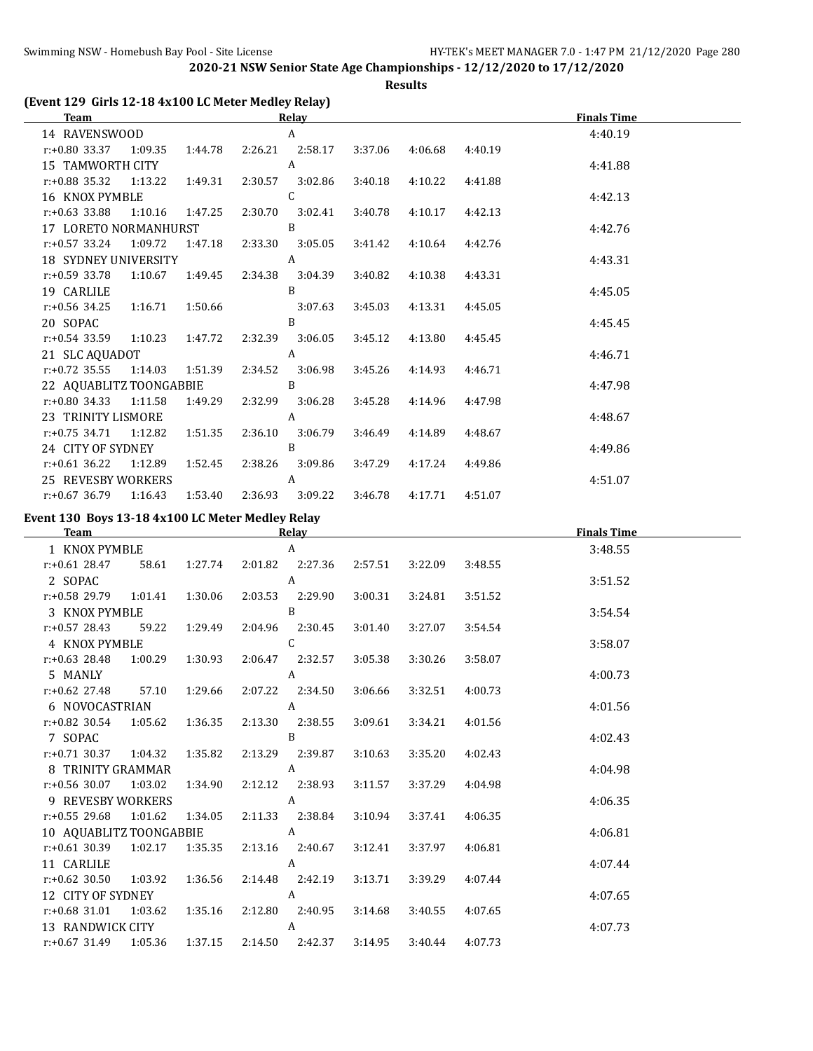**Results**

## **(Event 129 Girls 12-18 4x100 LC Meter Medley Relay)**

| <b>Team</b>                                     |                                    |         |                         | Relay                     |         |         |         | <b>Finals Time</b> |  |
|-------------------------------------------------|------------------------------------|---------|-------------------------|---------------------------|---------|---------|---------|--------------------|--|
| 14 RAVENSWOOD                                   |                                    |         |                         | A                         |         |         |         | 4:40.19            |  |
| $r.+0.80$ 33.37 1:09.35 1:44.78                 |                                    |         |                         | 2:26.21 2:58.17           | 3:37.06 | 4:06.68 | 4:40.19 |                    |  |
| 15 TAMWORTH CITY                                |                                    |         |                         | A                         |         |         |         | 4:41.88            |  |
| $r.+0.88$ 35.32 1:13.22 1:49.31 2:30.57 3:02.86 |                                    |         |                         |                           | 3:40.18 | 4:10.22 | 4:41.88 |                    |  |
| 16 KNOX PYMBLE                                  |                                    |         |                         | C                         |         |         |         | 4:42.13            |  |
| $r: +0.63$ 33.88                                | 1:10.16  1:47.25  2:30.70  3:02.41 |         |                         |                           | 3:40.78 | 4:10.17 | 4:42.13 |                    |  |
| 17 LORETO NORMANHURST                           |                                    |         |                         | B                         |         |         |         | 4:42.76            |  |
| $r.+0.57$ 33.24 1:09.72                         |                                    |         |                         | 1:47.18  2:33.30  3:05.05 | 3:41.42 | 4:10.64 | 4:42.76 |                    |  |
| 18 SYDNEY UNIVERSITY                            |                                    |         |                         | A                         |         |         |         | 4:43.31            |  |
| r:+0.59 33.78                                   | 1:10.67  1:49.45  2:34.38  3:04.39 |         |                         |                           | 3:40.82 | 4:10.38 | 4:43.31 |                    |  |
| 19 CARLILE                                      |                                    |         |                         | B                         |         |         |         | 4:45.05            |  |
| r:+0.56 34.25 1:16.71 1:50.66                   |                                    |         |                         | 3:07.63                   | 3:45.03 | 4:13.31 | 4:45.05 |                    |  |
| 20 SOPAC                                        |                                    |         |                         | B                         |         |         |         | 4:45.45            |  |
| $r.+0.54$ 33.59 1:10.23 1:47.72                 |                                    |         | 2:32.39 3:06.05         |                           | 3:45.12 | 4:13.80 | 4:45.45 |                    |  |
| 21 SLC AQUADOT                                  |                                    |         |                         | A                         |         |         |         | 4:46.71            |  |
| $r.+0.72$ 35.55 1:14.03 1:51.39 2:34.52 3:06.98 |                                    |         |                         |                           | 3:45.26 | 4:14.93 | 4:46.71 |                    |  |
| 22 AQUABLITZ TOONGABBIE                         |                                    |         |                         | B                         |         |         |         | 4:47.98            |  |
| $r: +0.80$ 34.33 1:11.58                        |                                    |         | 1:49.29 2:32.99 3:06.28 |                           | 3:45.28 | 4:14.96 | 4:47.98 |                    |  |
| 23 TRINITY LISMORE                              |                                    |         |                         | A                         |         |         |         | 4:48.67            |  |
| $r.+0.75$ 34.71 1:12.82                         |                                    | 1:51.35 |                         | 2:36.10 3:06.79           | 3:46.49 | 4:14.89 | 4:48.67 |                    |  |
| 24 CITY OF SYDNEY                               |                                    |         |                         | B                         |         |         |         | 4:49.86            |  |
| $r.+0.61$ 36.22 1:12.89                         |                                    | 1:52.45 | 2:38.26                 | 3:09.86                   | 3:47.29 | 4:17.24 | 4:49.86 |                    |  |
| <b>25 REVESBY WORKERS</b>                       |                                    |         |                         | A                         |         |         |         | 4:51.07            |  |
| $r: +0.67$ 36.79 1:16.43                        |                                    | 1:53.40 | 2:36.93                 | 3:09.22                   | 3:46.78 | 4:17.71 | 4:51.07 |                    |  |

## **Event 130 Boys 13-18 4x100 LC Meter Medley Relay**

| <b>Team</b>                                                   |  |                | Relay |         |         |                     | <b>Finals Time</b> |  |
|---------------------------------------------------------------|--|----------------|-------|---------|---------|---------------------|--------------------|--|
| 1 KNOX PYMBLE                                                 |  |                | A     |         |         |                     | 3:48.55            |  |
| r:+0.61 28.47 58.61 1:27.74 2:01.82 2:27.36 2:57.51           |  |                |       |         | 3:22.09 | 3:48.55             |                    |  |
| 2 SOPAC                                                       |  | A              |       |         |         |                     | 3:51.52            |  |
| $r: +0.58$ 29.79 1:01.41 1:30.06 2:03.53 2:29.90              |  |                |       | 3:00.31 | 3:24.81 | 3:51.52             |                    |  |
| 3 KNOX PYMBLE B                                               |  |                |       |         |         |                     | 3:54.54            |  |
| r:+0.57 28.43 59.22 1:29.49 2:04.96 2:30.45 3:01.40 3:27.07   |  |                |       |         |         | 3:54.54             |                    |  |
| 4 KNOX PYMBLE C                                               |  |                |       |         |         |                     | 3:58.07            |  |
| r:+0.63 28.48 1:00.29 1:30.93 2:06.47 2:32.57 3:05.38         |  |                |       |         | 3:30.26 | 3:58.07             |                    |  |
| 5 MANLY                                                       |  | $\overline{A}$ |       |         |         |                     | 4:00.73            |  |
| r:+0.62 27.48 57.10 1:29.66 2:07.22 2:34.50 3:06.66           |  |                |       |         | 3:32.51 | 4:00.73             |                    |  |
| 6 NOVOCASTRIAN A                                              |  |                |       |         |         |                     | 4:01.56            |  |
| r:+0.82 30.54 1:05.62 1:36.35 2:13.30 2:38.55 3:09.61         |  |                |       |         | 3:34.21 | 4:01.56             |                    |  |
| 7 SOPAC                                                       |  | $\overline{B}$ |       |         |         |                     | 4:02.43            |  |
| r:+0.71 30.37 1:04.32 1:35.82 2:13.29 2:39.87 3:10.63         |  |                |       |         |         | $3:35.20$ $4:02.43$ |                    |  |
| 8 TRINITY GRAMMAR A                                           |  |                |       |         |         |                     | 4:04.98            |  |
| r:+0.56 30.07 1:03.02 1:34.90 2:12.12 2:38.93 3:11.57 3:37.29 |  |                |       |         |         | 4:04.98             |                    |  |
| 9 REVESBY WORKERS A                                           |  |                |       |         |         |                     | 4:06.35            |  |
| r:+0.55 29.68  1:01.62  1:34.05  2:11.33  2:38.84  3:10.94    |  |                |       |         | 3:37.41 | 4:06.35             |                    |  |
| 10 AQUABLITZ TOONGABBIE A                                     |  |                |       |         |         |                     | 4:06.81            |  |
| r:+0.61 30.39 1:02.17 1:35.35 2:13.16 2:40.67 3:12.41         |  |                |       |         | 3:37.97 | 4:06.81             |                    |  |
| 11 CARLILE                                                    |  | $\overline{A}$ |       |         |         |                     | 4:07.44            |  |
| $r: +0.62$ 30.50 1:03.92 1:36.56 2:14.48 2:42.19              |  |                |       | 3:13.71 | 3:39.29 | 4:07.44             |                    |  |
| 12 CITY OF SYDNEY A                                           |  |                |       |         |         |                     | 4:07.65            |  |
| r:+0.68 31.01  1:03.62  1:35.16  2:12.80  2:40.95  3:14.68    |  |                |       |         |         | 3:40.55 4:07.65     |                    |  |
| 13 RANDWICK CITY A                                            |  |                |       |         |         |                     | 4:07.73            |  |
| r:+0.67 31.49  1:05.36  1:37.15  2:14.50  2:42.37  3:14.95    |  |                |       |         |         | 3:40.44 4:07.73     |                    |  |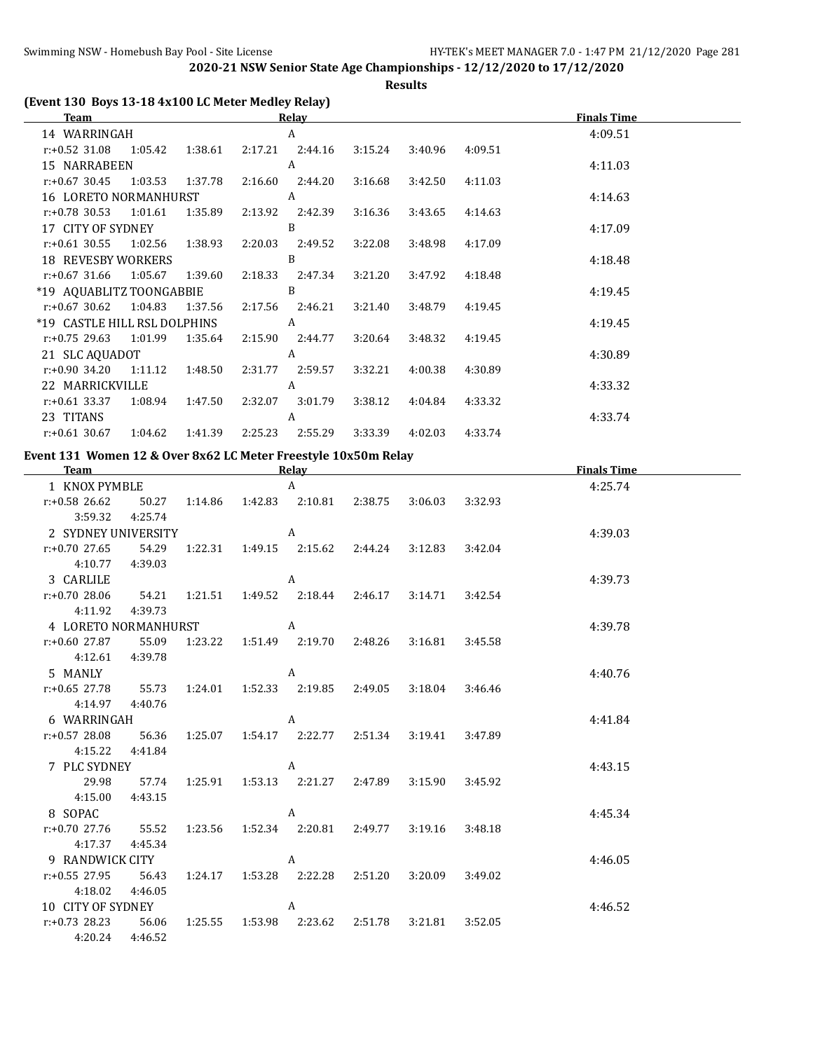**Results**

## **(Event 130 Boys 13-18 4x100 LC Meter Medley Relay)**

| Team                                                                |                         | <b>Relav</b> |                 |         |         | <b>Finals Time</b> |
|---------------------------------------------------------------------|-------------------------|--------------|-----------------|---------|---------|--------------------|
| 14 WARRINGAH                                                        |                         | A            |                 |         |         | 4:09.51            |
| r:+0.52 31.08  1:05.42  1:38.61  2:17.21  2:44.16  3:15.24  3:40.96 |                         |              |                 |         | 4:09.51 |                    |
| 15 NARRABEEN                                                        |                         | A            |                 |         |         | 4:11.03            |
| $r: +0.67$ 30.45                                                    |                         | 2:44.20      | 3:16.68         | 3:42.50 | 4:11.03 |                    |
| 16 LORETO NORMANHURST                                               |                         | A            |                 |         |         | 4:14.63            |
| r:+0.78 30.53 1:01.61 1:35.89 2:13.92 2:42.39 3:16.36               |                         |              |                 | 3:43.65 | 4:14.63 |                    |
| 17 CITY OF SYDNEY                                                   |                         | B            |                 |         |         | 4:17.09            |
| $r: +0.61$ 30.55                                                    | 1:02.56 1:38.93 2:20.03 | 2:49.52      | 3:22.08         | 3:48.98 | 4:17.09 |                    |
| 18 REVESBY WORKERS                                                  |                         | B            |                 |         |         | 4:18.48            |
| $r+0.67$ 31.66 1:05.67 1:39.60 2:18.33 2:47.34 3:21.20              |                         |              |                 | 3:47.92 | 4:18.48 |                    |
| *19 AQUABLITZ TOONGABBIE                                            |                         | B            |                 |         |         | 4:19.45            |
| $r: +0.67$ 30.62 1:04.83                                            | 1:37.56 2:17.56 2:46.21 |              | 3:21.40         | 3:48.79 | 4:19.45 |                    |
| *19 CASTLE HILL RSL DOLPHINS                                        |                         | A            |                 |         |         | 4:19.45            |
| $r: +0.75$ 29.63 1:01.99 1:35.64 2:15.90 2:44.77                    |                         |              | 3:20.64         | 3:48.32 | 4:19.45 |                    |
| 21 SLC AQUADOT                                                      |                         | A            |                 |         |         | 4:30.89            |
| $r.+0.90$ 34.20 1:11.12 1:48.50 2:31.77                             |                         |              | 2:59.57 3:32.21 | 4:00.38 | 4:30.89 |                    |
| 22 MARRICKVILLE                                                     |                         | A            |                 |         |         | 4:33.32            |
| $r.+0.61$ 33.37 1:08.94                                             | 1:47.50 2:32.07         | 3:01.79      | 3:38.12         | 4:04.84 | 4:33.32 |                    |
| 23 TITANS                                                           |                         | A            |                 |         |         | 4:33.74            |
| $r.+0.61$ 30.67 1:04.62 1:41.39 2:25.23                             |                         | 2:55.29      | 3:33.39 4:02.03 |         | 4:33.74 |                    |

#### **Event 131 Women 12 & Over 8x62 LC Meter Freestyle 10x50m Relay**

| <b>Team</b>          |         |         |                 | <b>Relay</b>                       |         |         | <b>Finals Time</b> |         |  |
|----------------------|---------|---------|-----------------|------------------------------------|---------|---------|--------------------|---------|--|
| 1 KNOX PYMBLE        |         |         |                 | $\mathsf{A}$                       |         |         |                    | 4:25.74 |  |
| $r: +0.58$ 26.62     | 50.27   |         |                 | 1:14.86  1:42.83  2:10.81          | 2:38.75 | 3:06.03 | 3:32.93            |         |  |
| 3:59.32              | 4:25.74 |         |                 |                                    |         |         |                    |         |  |
| 2 SYDNEY UNIVERSITY  |         |         |                 | A                                  |         |         |                    | 4:39.03 |  |
| $r: +0.70$ 27.65     | 54.29   |         |                 | 1:22.31  1:49.15  2:15.62  2:44.24 |         | 3:12.83 | 3:42.04            |         |  |
| 4:10.77              | 4:39.03 |         |                 |                                    |         |         |                    |         |  |
| 3 CARLILE            |         |         |                 | A                                  |         |         |                    | 4:39.73 |  |
| $r: +0.70$ 28.06     | 54.21   | 1:21.51 |                 | 1:49.52 2:18.44                    | 2:46.17 | 3:14.71 | 3:42.54            |         |  |
| 4:11.92              | 4:39.73 |         |                 |                                    |         |         |                    |         |  |
| 4 LORETO NORMANHURST |         |         | $\overline{A}$  |                                    |         |         |                    | 4:39.78 |  |
| r:+0.60 27.87        | 55.09   |         |                 | 1:23.22 1:51.49 2:19.70 2:48.26    |         | 3:16.81 | 3:45.58            |         |  |
| 4:12.61              | 4:39.78 |         |                 |                                    |         |         |                    |         |  |
| 5 MANLY              |         |         |                 | A                                  |         |         |                    | 4:40.76 |  |
| $r: +0.65$ 27.78     | 55.73   |         |                 | 1:24.01  1:52.33  2:19.85  2:49.05 |         | 3:18.04 | 3:46.46            |         |  |
| 4:14.97              | 4:40.76 |         |                 |                                    |         |         |                    |         |  |
| 6 WARRINGAH          |         |         |                 | A                                  |         |         |                    | 4:41.84 |  |
| $r: +0.57$ 28.08     | 56.36   | 1:25.07 |                 | 1:54.17 2:22.77                    | 2:51.34 | 3:19.41 | 3:47.89            |         |  |
| 4:15.22              | 4:41.84 |         |                 |                                    |         |         |                    |         |  |
| 7 PLC SYDNEY         |         |         |                 | A                                  |         |         |                    | 4:43.15 |  |
| 29.98                | 57.74   | 1:25.91 |                 | 1:53.13 2:21.27                    | 2:47.89 | 3:15.90 | 3:45.92            |         |  |
| 4:15.00              | 4:43.15 |         |                 |                                    |         |         |                    |         |  |
| 8 SOPAC              |         |         |                 | A                                  |         |         |                    | 4:45.34 |  |
| $r: +0.70$ 27.76     | 55.52   |         |                 |                                    | 2:49.77 | 3:19.16 | 3:48.18            |         |  |
| 4:17.37              | 4:45.34 |         |                 |                                    |         |         |                    |         |  |
| 9 RANDWICK CITY      |         |         |                 | A                                  |         |         |                    | 4:46.05 |  |
| $r: +0.55$ 27.95     | 56.43   | 1:24.17 | 1:53.28 2:22.28 |                                    | 2:51.20 | 3:20.09 | 3:49.02            |         |  |
| 4:18.02              | 4:46.05 |         |                 |                                    |         |         |                    |         |  |
| 10 CITY OF SYDNEY    |         |         |                 | A                                  |         |         |                    | 4:46.52 |  |
| $r: +0.73$ 28.23     | 56.06   |         |                 |                                    | 2:51.78 | 3:21.81 | 3:52.05            |         |  |
| 4:20.24              | 4:46.52 |         |                 |                                    |         |         |                    |         |  |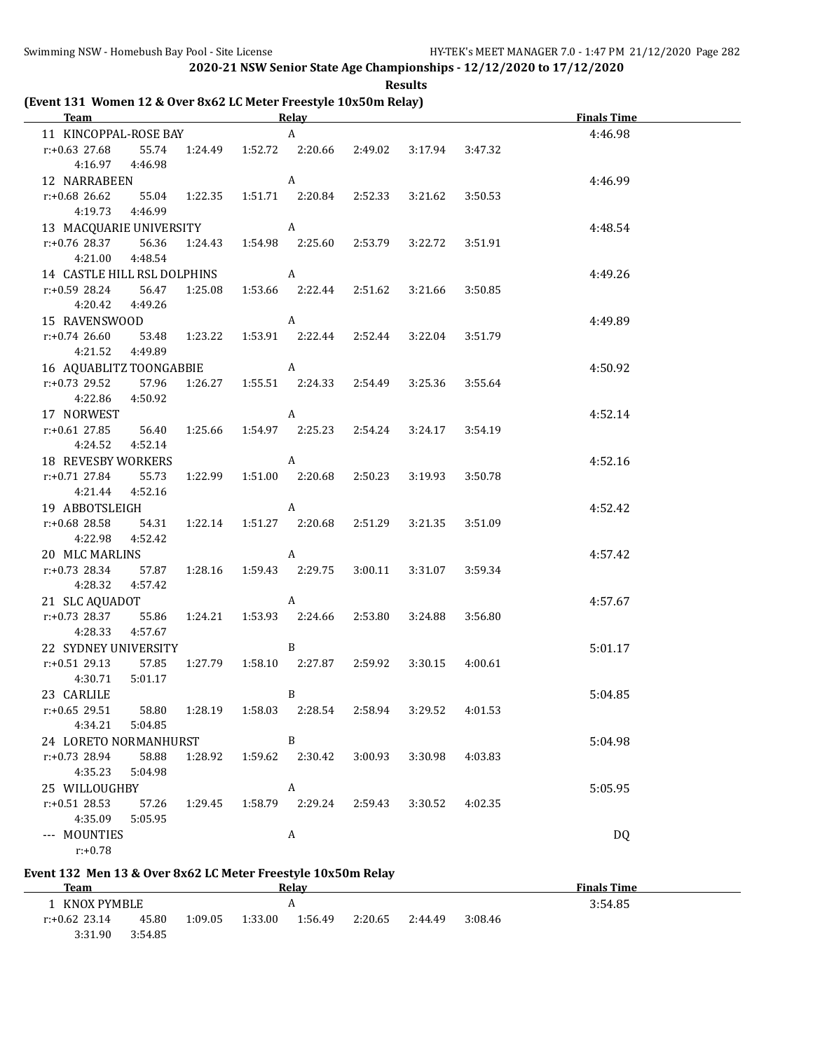3:31.90 3:54.85

**2020-21 NSW Senior State Age Championships - 12/12/2020 to 17/12/2020**

**Results**

**(Event 131 Women 12 & Over 8x62 LC Meter Freestyle 10x50m Relay)**

| <b>Team</b>                                                            |                                                                   | <b>Example 2018</b> Relay |         |                 |         | <b>Finals Time</b> |
|------------------------------------------------------------------------|-------------------------------------------------------------------|---------------------------|---------|-----------------|---------|--------------------|
| 11 KINCOPPAL-ROSE BAY A                                                |                                                                   |                           |         |                 |         | 4:46.98            |
| $r: +0.63$ 27.68                                                       | 55.74   1:24.49   1:52.72   2:20.66   2:49.02   3:17.94   3:47.32 |                           |         |                 |         |                    |
| 4:16.97 4:46.98                                                        |                                                                   |                           |         |                 |         |                    |
| 12 NARRABEEN                                                           | $\overline{A}$                                                    |                           |         |                 |         | 4:46.99            |
| r:+0.68 26.62 55.04 1:22.35 1:51.71 2:20.84 2:52.33 3:21.62 3:50.53    |                                                                   |                           |         |                 |         |                    |
| 4:19.73 4:46.99                                                        |                                                                   |                           |         |                 |         |                    |
| 13 MACQUARIE UNIVERSITY A                                              |                                                                   |                           |         |                 |         | 4:48.54            |
| $r: +0.76$ 28.37 56.36                                                 | 1:24.43  1:54.98  2:25.60  2:53.79  3:22.72                       |                           |         |                 | 3:51.91 |                    |
| 4:21.00<br>4:48.54                                                     |                                                                   |                           |         |                 |         |                    |
| 14 CASTLE HILL RSL DOLPHINS A                                          |                                                                   |                           |         |                 |         | 4:49.26            |
| $r: +0.59$ 28.24 56.47 1:25.08 1:53.66 2:22.44 2:51.62 3:21.66 3:50.85 |                                                                   |                           |         |                 |         |                    |
| 4:20.42  4:49.26                                                       |                                                                   |                           |         |                 |         |                    |
| 15 RAVENSWOOD                                                          | $\overline{A}$                                                    |                           |         |                 |         | 4:49.89            |
| r:+0.74 26.60 53.48 1:23.22 1:53.91 2:22.44 2:52.44 3:22.04 3:51.79    |                                                                   |                           |         |                 |         |                    |
| 4:21.52  4:49.89                                                       |                                                                   |                           |         |                 |         |                    |
| 16 AQUABLITZ TOONGABBIE A                                              |                                                                   |                           |         |                 |         | 4:50.92            |
| r:+0.73 29.52 57.96 1:26.27 1:55.51 2:24.33 2:54.49 3:25.36            |                                                                   |                           |         |                 | 3:55.64 |                    |
| 4:22.86<br>4:50.92                                                     |                                                                   |                           |         |                 |         |                    |
| 17 NORWEST                                                             | $\overline{A}$                                                    |                           |         |                 |         | 4:52.14            |
| r:+0.61 27.85 56.40 1:25.66 1:54.97 2:25.23 2:54.24                    |                                                                   |                           |         | 3:24.17         | 3:54.19 |                    |
| 4:24.52 4:52.14                                                        |                                                                   |                           |         |                 |         |                    |
| 18 REVESBY WORKERS A                                                   |                                                                   |                           |         |                 |         | 4:52.16            |
| r:+0.71 27.84 55.73 1:22.99 1:51.00 2:20.68 2:50.23                    |                                                                   |                           |         | 3:19.93         | 3:50.78 |                    |
| 4:21.44<br>4:52.16                                                     |                                                                   |                           |         |                 |         |                    |
| 19 ABBOTSLEIGH A                                                       |                                                                   |                           |         |                 |         | 4:52.42            |
| r:+0.68 28.58 54.31 1:22.14 1:51.27 2:20.68 2:51.29                    |                                                                   |                           |         | 3:21.35         | 3:51.09 |                    |
| 4:22.98 4:52.42                                                        |                                                                   |                           |         |                 |         |                    |
| 20 MLC MARLINS A                                                       |                                                                   |                           |         |                 |         | 4:57.42            |
| r:+0.73 28.34 57.87 1:28.16 1:59.43 2:29.75 3:00.11                    |                                                                   |                           |         | 3:31.07         | 3:59.34 |                    |
| 4:28.32<br>4:57.42                                                     |                                                                   |                           |         |                 |         |                    |
| 21 SLC AQUADOT A                                                       |                                                                   |                           |         |                 |         | 4:57.67            |
| r:+0.73 28.37 55.86 1:24.21 1:53.93 2:24.66 2:53.80 3:24.88            |                                                                   |                           |         |                 | 3:56.80 |                    |
| 4:28.33 4:57.67                                                        |                                                                   |                           |         |                 |         |                    |
| 22 SYDNEY UNIVERSITY B                                                 |                                                                   |                           |         |                 |         | 5:01.17            |
| r:+0.51 29.13 57.85 1:27.79 1:58.10 2:27.87 2:59.92                    |                                                                   |                           |         | 3:30.15 4:00.61 |         |                    |
| 4:30.71<br>5:01.17                                                     |                                                                   |                           |         |                 |         |                    |
| 23 CARLILE                                                             |                                                                   | B                         |         |                 |         | 5:04.85            |
| $r: +0.65$ 29.51<br>58.80                                              | 1:58.03<br>1:28.19                                                | 2:28.54                   | 2:58.94 | 3:29.52         | 4:01.53 |                    |
| 4:34.21<br>5:04.85                                                     |                                                                   |                           |         |                 |         |                    |
| 24 LORETO NORMANHURST                                                  |                                                                   | B                         |         |                 |         | 5:04.98            |
| $r: +0.73$ 28.94<br>58.88                                              | 1:28.92<br>1:59.62                                                | 2:30.42                   | 3:00.93 | 3:30.98         | 4:03.83 |                    |
| 4:35.23<br>5:04.98                                                     |                                                                   |                           |         |                 |         |                    |
| 25 WILLOUGHBY                                                          |                                                                   | A                         |         |                 |         | 5:05.95            |
| $r: +0.51$ 28.53<br>57.26                                              | 1:29.45<br>1:58.79                                                | 2:29.24                   | 2:59.43 | 3:30.52         | 4:02.35 |                    |
| 4:35.09<br>5:05.95                                                     |                                                                   |                           |         |                 |         |                    |
| --- MOUNTIES                                                           |                                                                   | A                         |         |                 |         | DQ                 |
| $r: +0.78$                                                             |                                                                   |                           |         |                 |         |                    |
| Event 132 Men 13 & Over 8x62 LC Meter Freestyle 10x50m Relay           |                                                                   |                           |         |                 |         |                    |
| <b>Team</b>                                                            |                                                                   | <b>Relay</b>              |         |                 |         | <b>Finals Time</b> |
| 1 KNOX PYMBLE                                                          |                                                                   | $\boldsymbol{A}$          |         |                 |         | 3:54.85            |
| r:+0.62 23.14<br>45.80                                                 | 1:09.05<br>1:33.00                                                | 1:56.49                   | 2:20.65 | 2:44.49         | 3:08.46 |                    |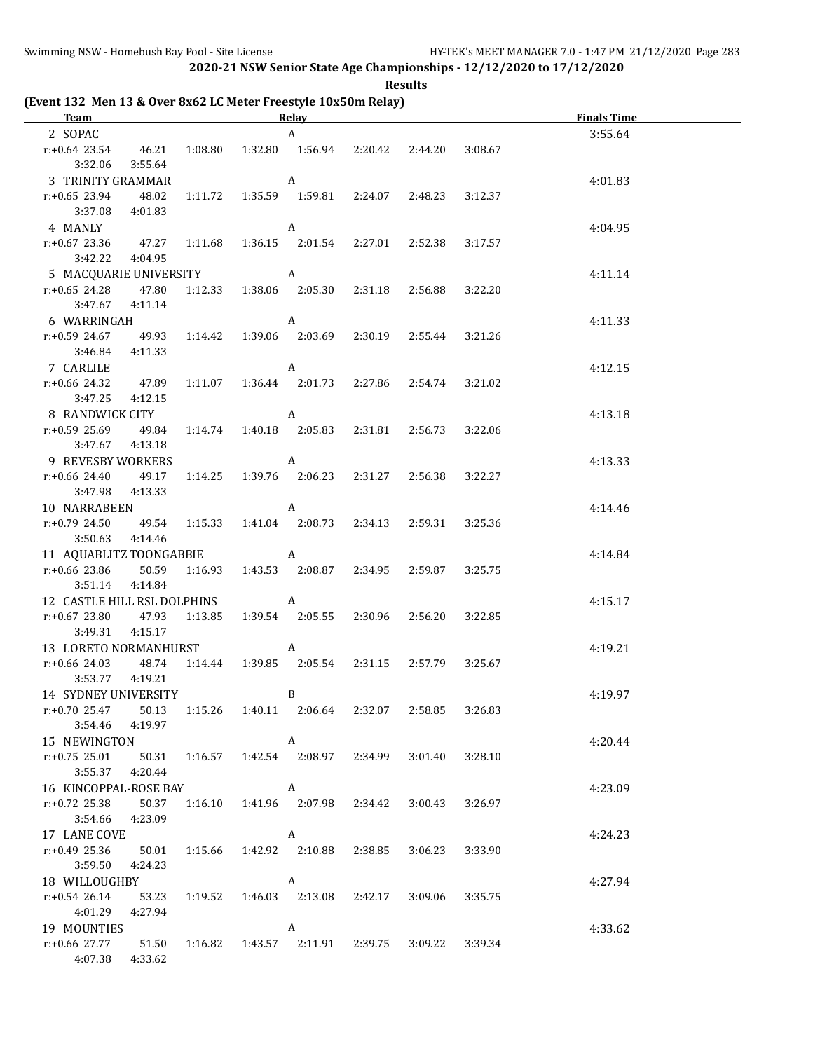**Results**

**(Event 132 Men 13 & Over 8x62 LC Meter Freestyle 10x50m Relay)**

| <b>Team Example 2018</b>                                                   |                   |         |                | Relay Relay             |                           |                                                 |         | <b>Finals Time</b> |
|----------------------------------------------------------------------------|-------------------|---------|----------------|-------------------------|---------------------------|-------------------------------------------------|---------|--------------------|
| 2 SOPAC                                                                    |                   |         |                | $\mathbf{A}$            |                           |                                                 |         | 3:55.64            |
| r:+0.64 23.54  46.21  1:08.80  1:32.80  1:56.94  2:20.42  2:44.20          |                   |         |                |                         |                           |                                                 | 3:08.67 |                    |
| 3:32.06                                                                    | 3:55.64           |         |                |                         |                           |                                                 |         |                    |
| 3 TRINITY GRAMMAR                                                          |                   |         | $\overline{A}$ |                         |                           |                                                 |         | 4:01.83            |
| $r: +0.65$ 23.94                                                           | 48.02             |         |                |                         |                           | 1:11.72   1:35.59   1:59.81   2:24.07   2:48.23 | 3:12.37 |                    |
|                                                                            | 3:37.08  4:01.83  |         |                |                         |                           |                                                 |         |                    |
| 4 MANLY                                                                    |                   |         | $\overline{A}$ |                         |                           |                                                 |         | 4:04.95            |
| $r: +0.67$ 23.36 $47.27$ 1:11.68 1:36.15 2:01.54 2:27.01 2:52.38           |                   |         |                |                         |                           |                                                 | 3:17.57 |                    |
| 3:42.22                                                                    | 4:04.95           |         |                |                         |                           |                                                 |         |                    |
| 5 MACQUARIE UNIVERSITY A                                                   |                   |         |                |                         |                           |                                                 |         | 4:11.14            |
| r:+0.65 24.28 47.80                                                        |                   |         |                |                         |                           | 1:12.33  1:38.06  2:05.30  2:31.18  2:56.88     | 3:22.20 |                    |
|                                                                            | 3:47.67  4:11.14  |         |                |                         |                           |                                                 |         |                    |
| 6 WARRINGAH                                                                |                   |         | $\overline{A}$ |                         |                           |                                                 |         | 4:11.33            |
| r:+0.59 24.67 49.93 1:14.42 1:39.06 2:03.69 2:30.19 2:55.44                |                   |         |                |                         |                           |                                                 | 3:21.26 |                    |
|                                                                            | 3:46.84 4:11.33   |         |                |                         |                           |                                                 |         |                    |
| 7 CARLILE                                                                  |                   |         |                | $\overline{A}$          |                           |                                                 |         | 4:12.15            |
| $r: +0.66$ 24.32 $47.89$ $1:11.07$ $1:36.44$ $2:01.73$ $2:27.86$ $2:54.74$ |                   |         |                |                         |                           |                                                 | 3:21.02 |                    |
| 3:47.25                                                                    | 4:12.15           |         |                |                         |                           |                                                 |         |                    |
| 8 RANDWICK CITY                                                            |                   |         | $\overline{A}$ |                         |                           |                                                 |         | 4:13.18            |
| r:+0.59 25.69 49.84 1:14.74 1:40.18 2:05.83 2:31.81 2:56.73                |                   |         |                |                         |                           |                                                 | 3:22.06 |                    |
|                                                                            | 3:47.67  4:13.18  |         |                |                         |                           |                                                 |         |                    |
| 9 REVESBY WORKERS A                                                        |                   |         |                |                         |                           |                                                 |         | 4:13.33            |
| r:+0.66 24.40 49.17 1:14.25 1:39.76 2:06.23 2:31.27 2:56.38                |                   |         |                |                         |                           |                                                 | 3:22.27 |                    |
|                                                                            | 3:47.98  4:13.33  |         |                |                         |                           |                                                 |         |                    |
| 10 NARRABEEN A                                                             |                   |         |                |                         |                           |                                                 |         | 4:14.46            |
| r:+0.79 24.50 49.54 1:15.33 1:41.04 2:08.73 2:34.13 2:59.31                |                   |         |                |                         |                           |                                                 | 3:25.36 |                    |
| 3:50.63                                                                    | 4:14.46           |         |                |                         |                           |                                                 |         |                    |
| 11 AQUABLITZ TOONGABBIE A                                                  |                   |         |                |                         |                           |                                                 |         | 4:14.84            |
| $r: +0.66$ 23.86 50.59                                                     |                   |         |                |                         |                           | 1:16.93  1:43.53  2:08.87  2:34.95  2:59.87     | 3:25.75 |                    |
|                                                                            | 3:51.14  4:14.84  |         |                |                         |                           |                                                 |         |                    |
| 12 CASTLE HILL RSL DOLPHINS A                                              |                   |         |                |                         |                           |                                                 |         | 4:15.17            |
| $r.+0.6723.80$ 47.93 1:13.85                                               |                   |         |                |                         |                           | 1:39.54 2:05.55 2:30.96 2:56.20                 | 3:22.85 |                    |
|                                                                            | 3:49.31 4:15.17   |         |                |                         |                           |                                                 |         |                    |
| 13 LORETO NORMANHURST A                                                    |                   |         |                |                         |                           |                                                 |         | 4:19.21            |
| r:+0.66 24.03 48.74 1:14.44 1:39.85 2:05.54 2:31.15 2:57.79                |                   |         |                |                         |                           |                                                 | 3:25.67 |                    |
|                                                                            | 3:53.77   4:19.21 |         |                |                         |                           |                                                 |         |                    |
| 14 SYDNEY UNIVERSITY                                                       |                   |         |                | B                       |                           |                                                 |         | 4:19.97            |
| $r: +0.70$ 25.47                                                           | 50.13             | 1:15.26 |                |                         | 1:40.11  2:06.64  2:32.07 | 2:58.85                                         | 3:26.83 |                    |
| 3:54.46                                                                    | 4:19.97           |         |                |                         |                           |                                                 |         |                    |
| 15 NEWINGTON                                                               |                   |         |                | $\overline{A}$          |                           |                                                 |         | 4:20.44            |
| $r: +0.75$ 25.01                                                           | 50.31             | 1:16.57 |                |                         | 1:42.54 2:08.97 2:34.99   | 3:01.40                                         | 3:28.10 |                    |
| 3:55.37                                                                    | 4:20.44           |         |                |                         |                           |                                                 |         |                    |
| 16 KINCOPPAL-ROSE BAY                                                      |                   |         | $\overline{A}$ |                         |                           |                                                 |         | 4:23.09            |
| $r: +0.72$ 25.38                                                           | 50.37             | 1:16.10 |                | 1:41.96 2:07.98 2:34.42 |                           | 3:00.43                                         | 3:26.97 |                    |
| 3:54.66                                                                    | 4:23.09           |         |                |                         |                           |                                                 |         |                    |
| 17 LANE COVE                                                               |                   |         |                | A                       |                           |                                                 |         | 4:24.23            |
| $r: +0.49$ 25.36                                                           | 50.01             | 1:15.66 |                | 1:42.92 2:10.88         | 2:38.85                   | 3:06.23                                         | 3:33.90 |                    |
| 3:59.50                                                                    | 4:24.23           |         |                |                         |                           |                                                 |         |                    |
| 18 WILLOUGHBY                                                              |                   |         |                | A                       |                           |                                                 |         | 4:27.94            |
| $r: +0.54$ 26.14                                                           | 53.23             | 1:19.52 |                |                         | 1:46.03 2:13.08 2:42.17   | 3:09.06                                         | 3:35.75 |                    |
| 4:01.29                                                                    | 4:27.94           |         |                |                         |                           |                                                 |         |                    |
| 19 MOUNTIES                                                                |                   |         |                | A                       |                           |                                                 |         | 4:33.62            |
| $r$ :+0.66 27.77                                                           | 51.50             | 1:16.82 |                |                         | 1:43.57  2:11.91  2:39.75 | 3:09.22                                         | 3:39.34 |                    |
| 4:07.38                                                                    | 4:33.62           |         |                |                         |                           |                                                 |         |                    |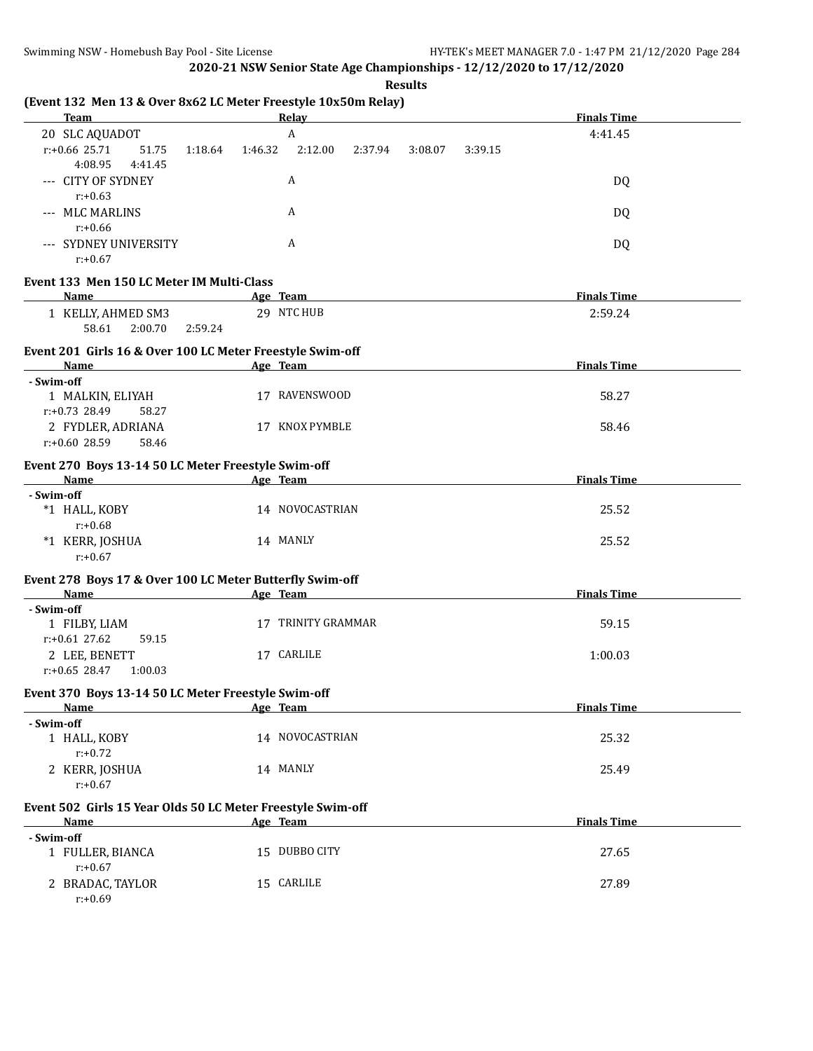**Results**

| A<br>20 SLC AQUADOT<br>4:41.45<br>r:+0.66 25.71<br>1:46.32<br>2:12.00<br>2:37.94<br>3:08.07<br>3:39.15<br>51.75<br>1:18.64<br>4:08.95<br>4:41.45<br>--- CITY OF SYDNEY<br>A<br>DQ<br>$r: +0.63$<br>A<br>--- MLC MARLINS<br>DQ<br>$r: +0.66$<br>A<br>--- SYDNEY UNIVERSITY<br>DQ<br>$r: +0.67$<br>Event 133 Men 150 LC Meter IM Multi-Class<br><b>Finals Time</b><br>Name<br>Age Team<br>29 NTC HUB<br>1 KELLY, AHMED SM3<br>2:59.24<br>58.61<br>2:00.70<br>2:59.24<br>Event 201 Girls 16 & Over 100 LC Meter Freestyle Swim-off<br><b>Finals Time</b><br><b>Name</b><br>Age Team<br>the control of the control of the control of the control of the control of the control of<br>- Swim-off<br>17 RAVENSWOOD<br>58.27<br>1 MALKIN, ELIYAH<br>r:+0.73 28.49<br>58.27<br>2 FYDLER, ADRIANA<br>17 KNOX PYMBLE<br>58.46<br>$r: +0.60$ 28.59<br>58.46<br>Event 270 Boys 13-14 50 LC Meter Freestyle Swim-off<br><b>Finals Time</b><br>Name<br>Age Team<br>- Swim-off<br>*1 HALL, KOBY<br>14 NOVOCASTRIAN<br>25.52<br>$r: +0.68$<br>*1 KERR, JOSHUA<br>14 MANLY<br>25.52<br>$r: +0.67$<br>Event 278 Boys 17 & Over 100 LC Meter Butterfly Swim-off<br><b>Finals Time</b><br>Name<br>Age Team<br>- Swim-off<br>1 FILBY, LIAM<br>17 TRINITY GRAMMAR<br>59.15<br>r:+0.61 27.62<br>59.15<br>17 CARLILE<br>2 LEE, BENETT<br>1:00.03<br>$r: +0.65$ 28.47<br>1:00.03<br>Event 370 Boys 13-14 50 LC Meter Freestyle Swim-off<br><b>Finals Time</b><br><b>Example 2</b> Age Team<br><b>Name</b><br>- Swim-off<br>14 NOVOCASTRIAN<br>25.32<br>1 HALL, KOBY<br>$r: +0.72$<br>2 KERR, JOSHUA<br>14 MANLY<br>25.49<br>$r: +0.67$<br>Event 502 Girls 15 Year Olds 50 LC Meter Freestyle Swim-off<br><b>Finals Time</b><br>Age Team<br>Name<br>- Swim-off<br>15 DUBBO CITY<br>1 FULLER, BIANCA<br>27.65<br>$r: +0.67$<br>2 BRADAC, TAYLOR<br>15 CARLILE<br>27.89 | <b>Team</b> | Relay |  | <b>Finals Time</b> |  |
|---------------------------------------------------------------------------------------------------------------------------------------------------------------------------------------------------------------------------------------------------------------------------------------------------------------------------------------------------------------------------------------------------------------------------------------------------------------------------------------------------------------------------------------------------------------------------------------------------------------------------------------------------------------------------------------------------------------------------------------------------------------------------------------------------------------------------------------------------------------------------------------------------------------------------------------------------------------------------------------------------------------------------------------------------------------------------------------------------------------------------------------------------------------------------------------------------------------------------------------------------------------------------------------------------------------------------------------------------------------------------------------------------------------------------------------------------------------------------------------------------------------------------------------------------------------------------------------------------------------------------------------------------------------------------------------------------------------------------------------------------------------------------------------------------------------------------------------------|-------------|-------|--|--------------------|--|
|                                                                                                                                                                                                                                                                                                                                                                                                                                                                                                                                                                                                                                                                                                                                                                                                                                                                                                                                                                                                                                                                                                                                                                                                                                                                                                                                                                                                                                                                                                                                                                                                                                                                                                                                                                                                                                             |             |       |  |                    |  |
|                                                                                                                                                                                                                                                                                                                                                                                                                                                                                                                                                                                                                                                                                                                                                                                                                                                                                                                                                                                                                                                                                                                                                                                                                                                                                                                                                                                                                                                                                                                                                                                                                                                                                                                                                                                                                                             |             |       |  |                    |  |
|                                                                                                                                                                                                                                                                                                                                                                                                                                                                                                                                                                                                                                                                                                                                                                                                                                                                                                                                                                                                                                                                                                                                                                                                                                                                                                                                                                                                                                                                                                                                                                                                                                                                                                                                                                                                                                             |             |       |  |                    |  |
|                                                                                                                                                                                                                                                                                                                                                                                                                                                                                                                                                                                                                                                                                                                                                                                                                                                                                                                                                                                                                                                                                                                                                                                                                                                                                                                                                                                                                                                                                                                                                                                                                                                                                                                                                                                                                                             |             |       |  |                    |  |
|                                                                                                                                                                                                                                                                                                                                                                                                                                                                                                                                                                                                                                                                                                                                                                                                                                                                                                                                                                                                                                                                                                                                                                                                                                                                                                                                                                                                                                                                                                                                                                                                                                                                                                                                                                                                                                             |             |       |  |                    |  |
|                                                                                                                                                                                                                                                                                                                                                                                                                                                                                                                                                                                                                                                                                                                                                                                                                                                                                                                                                                                                                                                                                                                                                                                                                                                                                                                                                                                                                                                                                                                                                                                                                                                                                                                                                                                                                                             |             |       |  |                    |  |
|                                                                                                                                                                                                                                                                                                                                                                                                                                                                                                                                                                                                                                                                                                                                                                                                                                                                                                                                                                                                                                                                                                                                                                                                                                                                                                                                                                                                                                                                                                                                                                                                                                                                                                                                                                                                                                             |             |       |  |                    |  |
|                                                                                                                                                                                                                                                                                                                                                                                                                                                                                                                                                                                                                                                                                                                                                                                                                                                                                                                                                                                                                                                                                                                                                                                                                                                                                                                                                                                                                                                                                                                                                                                                                                                                                                                                                                                                                                             |             |       |  |                    |  |
|                                                                                                                                                                                                                                                                                                                                                                                                                                                                                                                                                                                                                                                                                                                                                                                                                                                                                                                                                                                                                                                                                                                                                                                                                                                                                                                                                                                                                                                                                                                                                                                                                                                                                                                                                                                                                                             |             |       |  |                    |  |
|                                                                                                                                                                                                                                                                                                                                                                                                                                                                                                                                                                                                                                                                                                                                                                                                                                                                                                                                                                                                                                                                                                                                                                                                                                                                                                                                                                                                                                                                                                                                                                                                                                                                                                                                                                                                                                             |             |       |  |                    |  |
|                                                                                                                                                                                                                                                                                                                                                                                                                                                                                                                                                                                                                                                                                                                                                                                                                                                                                                                                                                                                                                                                                                                                                                                                                                                                                                                                                                                                                                                                                                                                                                                                                                                                                                                                                                                                                                             |             |       |  |                    |  |
|                                                                                                                                                                                                                                                                                                                                                                                                                                                                                                                                                                                                                                                                                                                                                                                                                                                                                                                                                                                                                                                                                                                                                                                                                                                                                                                                                                                                                                                                                                                                                                                                                                                                                                                                                                                                                                             |             |       |  |                    |  |
|                                                                                                                                                                                                                                                                                                                                                                                                                                                                                                                                                                                                                                                                                                                                                                                                                                                                                                                                                                                                                                                                                                                                                                                                                                                                                                                                                                                                                                                                                                                                                                                                                                                                                                                                                                                                                                             |             |       |  |                    |  |
|                                                                                                                                                                                                                                                                                                                                                                                                                                                                                                                                                                                                                                                                                                                                                                                                                                                                                                                                                                                                                                                                                                                                                                                                                                                                                                                                                                                                                                                                                                                                                                                                                                                                                                                                                                                                                                             |             |       |  |                    |  |
|                                                                                                                                                                                                                                                                                                                                                                                                                                                                                                                                                                                                                                                                                                                                                                                                                                                                                                                                                                                                                                                                                                                                                                                                                                                                                                                                                                                                                                                                                                                                                                                                                                                                                                                                                                                                                                             |             |       |  |                    |  |
|                                                                                                                                                                                                                                                                                                                                                                                                                                                                                                                                                                                                                                                                                                                                                                                                                                                                                                                                                                                                                                                                                                                                                                                                                                                                                                                                                                                                                                                                                                                                                                                                                                                                                                                                                                                                                                             |             |       |  |                    |  |
|                                                                                                                                                                                                                                                                                                                                                                                                                                                                                                                                                                                                                                                                                                                                                                                                                                                                                                                                                                                                                                                                                                                                                                                                                                                                                                                                                                                                                                                                                                                                                                                                                                                                                                                                                                                                                                             |             |       |  |                    |  |
|                                                                                                                                                                                                                                                                                                                                                                                                                                                                                                                                                                                                                                                                                                                                                                                                                                                                                                                                                                                                                                                                                                                                                                                                                                                                                                                                                                                                                                                                                                                                                                                                                                                                                                                                                                                                                                             |             |       |  |                    |  |
|                                                                                                                                                                                                                                                                                                                                                                                                                                                                                                                                                                                                                                                                                                                                                                                                                                                                                                                                                                                                                                                                                                                                                                                                                                                                                                                                                                                                                                                                                                                                                                                                                                                                                                                                                                                                                                             |             |       |  |                    |  |
|                                                                                                                                                                                                                                                                                                                                                                                                                                                                                                                                                                                                                                                                                                                                                                                                                                                                                                                                                                                                                                                                                                                                                                                                                                                                                                                                                                                                                                                                                                                                                                                                                                                                                                                                                                                                                                             |             |       |  |                    |  |
|                                                                                                                                                                                                                                                                                                                                                                                                                                                                                                                                                                                                                                                                                                                                                                                                                                                                                                                                                                                                                                                                                                                                                                                                                                                                                                                                                                                                                                                                                                                                                                                                                                                                                                                                                                                                                                             |             |       |  |                    |  |
|                                                                                                                                                                                                                                                                                                                                                                                                                                                                                                                                                                                                                                                                                                                                                                                                                                                                                                                                                                                                                                                                                                                                                                                                                                                                                                                                                                                                                                                                                                                                                                                                                                                                                                                                                                                                                                             |             |       |  |                    |  |
|                                                                                                                                                                                                                                                                                                                                                                                                                                                                                                                                                                                                                                                                                                                                                                                                                                                                                                                                                                                                                                                                                                                                                                                                                                                                                                                                                                                                                                                                                                                                                                                                                                                                                                                                                                                                                                             |             |       |  |                    |  |
|                                                                                                                                                                                                                                                                                                                                                                                                                                                                                                                                                                                                                                                                                                                                                                                                                                                                                                                                                                                                                                                                                                                                                                                                                                                                                                                                                                                                                                                                                                                                                                                                                                                                                                                                                                                                                                             |             |       |  |                    |  |
|                                                                                                                                                                                                                                                                                                                                                                                                                                                                                                                                                                                                                                                                                                                                                                                                                                                                                                                                                                                                                                                                                                                                                                                                                                                                                                                                                                                                                                                                                                                                                                                                                                                                                                                                                                                                                                             |             |       |  |                    |  |
|                                                                                                                                                                                                                                                                                                                                                                                                                                                                                                                                                                                                                                                                                                                                                                                                                                                                                                                                                                                                                                                                                                                                                                                                                                                                                                                                                                                                                                                                                                                                                                                                                                                                                                                                                                                                                                             |             |       |  |                    |  |
|                                                                                                                                                                                                                                                                                                                                                                                                                                                                                                                                                                                                                                                                                                                                                                                                                                                                                                                                                                                                                                                                                                                                                                                                                                                                                                                                                                                                                                                                                                                                                                                                                                                                                                                                                                                                                                             |             |       |  |                    |  |
|                                                                                                                                                                                                                                                                                                                                                                                                                                                                                                                                                                                                                                                                                                                                                                                                                                                                                                                                                                                                                                                                                                                                                                                                                                                                                                                                                                                                                                                                                                                                                                                                                                                                                                                                                                                                                                             |             |       |  |                    |  |
|                                                                                                                                                                                                                                                                                                                                                                                                                                                                                                                                                                                                                                                                                                                                                                                                                                                                                                                                                                                                                                                                                                                                                                                                                                                                                                                                                                                                                                                                                                                                                                                                                                                                                                                                                                                                                                             |             |       |  |                    |  |
|                                                                                                                                                                                                                                                                                                                                                                                                                                                                                                                                                                                                                                                                                                                                                                                                                                                                                                                                                                                                                                                                                                                                                                                                                                                                                                                                                                                                                                                                                                                                                                                                                                                                                                                                                                                                                                             |             |       |  |                    |  |
|                                                                                                                                                                                                                                                                                                                                                                                                                                                                                                                                                                                                                                                                                                                                                                                                                                                                                                                                                                                                                                                                                                                                                                                                                                                                                                                                                                                                                                                                                                                                                                                                                                                                                                                                                                                                                                             | $r: +0.69$  |       |  |                    |  |